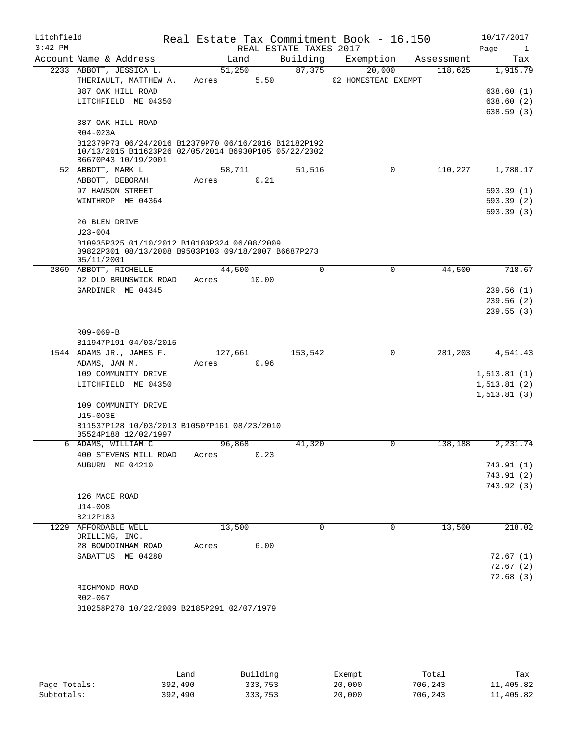| Litchfield<br>$3:42$ PM |                                                                             |         |        | REAL ESTATE TAXES 2017 | Real Estate Tax Commitment Book - 16.150 |            | 10/17/2017<br>Page<br>1 |
|-------------------------|-----------------------------------------------------------------------------|---------|--------|------------------------|------------------------------------------|------------|-------------------------|
|                         | Account Name & Address                                                      |         | Land   | Building               | Exemption                                | Assessment | Tax                     |
|                         | 2233 ABBOTT, JESSICA L.                                                     |         | 51,250 | 87,375                 | 20,000                                   | 118,625    | 1,915.79                |
|                         | THERIAULT, MATTHEW A.                                                       | Acres   | 5.50   |                        | 02 HOMESTEAD EXEMPT                      |            |                         |
|                         | 387 OAK HILL ROAD                                                           |         |        |                        |                                          |            | 638.60(1)               |
|                         | LITCHFIELD ME 04350                                                         |         |        |                        |                                          |            | 638.60 (2)              |
|                         |                                                                             |         |        |                        |                                          |            | 638.59(3)               |
|                         | 387 OAK HILL ROAD<br>R04-023A                                               |         |        |                        |                                          |            |                         |
|                         | B12379P73 06/24/2016 B12379P70 06/16/2016 B12182P192                        |         |        |                        |                                          |            |                         |
|                         | 10/13/2015 B11623P26 02/05/2014 B6930P105 05/22/2002<br>B6670P43 10/19/2001 |         |        |                        |                                          |            |                         |
|                         | 52 ABBOTT, MARK L                                                           |         | 58,711 | 51,516                 | $\mathbf 0$                              | 110,227    | 1,780.17                |
|                         | ABBOTT, DEBORAH                                                             | Acres   | 0.21   |                        |                                          |            |                         |
|                         | 97 HANSON STREET                                                            |         |        |                        |                                          |            | 593.39 (1)              |
|                         | WINTHROP ME 04364                                                           |         |        |                        |                                          |            | 593.39 (2)              |
|                         |                                                                             |         |        |                        |                                          |            | 593.39 (3)              |
|                         | 26 BLEN DRIVE                                                               |         |        |                        |                                          |            |                         |
|                         | $U23 - 004$                                                                 |         |        |                        |                                          |            |                         |
|                         | B10935P325 01/10/2012 B10103P324 06/08/2009                                 |         |        |                        |                                          |            |                         |
|                         | B9822P301 08/13/2008 B9503P103 09/18/2007 B6687P273                         |         |        |                        |                                          |            |                         |
|                         | 05/11/2001<br>2869 ABBOTT, RICHELLE                                         |         | 44,500 | 0                      | 0                                        | 44,500     | 718.67                  |
|                         |                                                                             |         |        |                        |                                          |            |                         |
|                         | 92 OLD BRUNSWICK ROAD                                                       | Acres   | 10.00  |                        |                                          |            |                         |
|                         | GARDINER ME 04345                                                           |         |        |                        |                                          |            | 239.56(1)<br>239.56(2)  |
|                         |                                                                             |         |        |                        |                                          |            |                         |
|                         |                                                                             |         |        |                        |                                          |            | 239.55(3)               |
|                         |                                                                             |         |        |                        |                                          |            |                         |
|                         | R09-069-B                                                                   |         |        |                        |                                          |            |                         |
|                         | B11947P191 04/03/2015<br>1544 ADAMS JR., JAMES F.                           | 127,661 |        | 153,542                | $\mathbf 0$                              | 281,203    | 4,541.43                |
|                         | ADAMS, JAN M.                                                               | Acres   | 0.96   |                        |                                          |            |                         |
|                         | 109 COMMUNITY DRIVE                                                         |         |        |                        |                                          |            | 1, 513.81(1)            |
|                         | LITCHFIELD ME 04350                                                         |         |        |                        |                                          |            | 1, 513.81(2)            |
|                         |                                                                             |         |        |                        |                                          |            | 1, 513.81(3)            |
|                         | 109 COMMUNITY DRIVE                                                         |         |        |                        |                                          |            |                         |
|                         | $U15-003E$                                                                  |         |        |                        |                                          |            |                         |
|                         | B11537P128 10/03/2013 B10507P161 08/23/2010                                 |         |        |                        |                                          |            |                         |
|                         | B5524P188 12/02/1997                                                        |         |        |                        |                                          |            |                         |
|                         | 6 ADAMS, WILLIAM C                                                          |         | 96,868 | 41,320                 | 0                                        | 138,188    | 2,231.74                |
|                         | 400 STEVENS MILL ROAD                                                       | Acres   | 0.23   |                        |                                          |            |                         |
|                         | AUBURN ME 04210                                                             |         |        |                        |                                          |            | 743.91 (1)              |
|                         |                                                                             |         |        |                        |                                          |            | 743.91 (2)              |
|                         |                                                                             |         |        |                        |                                          |            | 743.92 (3)              |
|                         | 126 MACE ROAD                                                               |         |        |                        |                                          |            |                         |
|                         | $U14 - 008$                                                                 |         |        |                        |                                          |            |                         |
|                         | B212P183                                                                    |         |        |                        |                                          |            |                         |
|                         | 1229 AFFORDABLE WELL                                                        | 13,500  |        | 0                      | 0                                        | 13,500     | 218.02                  |
|                         | DRILLING, INC.                                                              |         |        |                        |                                          |            |                         |
|                         | 28 BOWDOINHAM ROAD                                                          | Acres   | 6.00   |                        |                                          |            |                         |
|                         | SABATTUS ME 04280                                                           |         |        |                        |                                          |            | 72.67(1)                |
|                         |                                                                             |         |        |                        |                                          |            | 72.67(2)                |
|                         |                                                                             |         |        |                        |                                          |            | 72.68(3)                |
|                         | RICHMOND ROAD                                                               |         |        |                        |                                          |            |                         |
|                         | R02-067                                                                     |         |        |                        |                                          |            |                         |
|                         | B10258P278 10/22/2009 B2185P291 02/07/1979                                  |         |        |                        |                                          |            |                         |
|                         |                                                                             |         |        |                        |                                          |            |                         |
|                         |                                                                             |         |        |                        |                                          |            |                         |
|                         |                                                                             |         |        |                        |                                          |            |                         |

|              | andش    | Building | Exempt | Total   | Tax       |
|--------------|---------|----------|--------|---------|-----------|
| Page Totals: | 392,490 | 333,753  | 20,000 | 706,243 | 11,405.82 |
| Subtotals:   | 392,490 | 333,753  | 20,000 | 706,243 | 11,405.82 |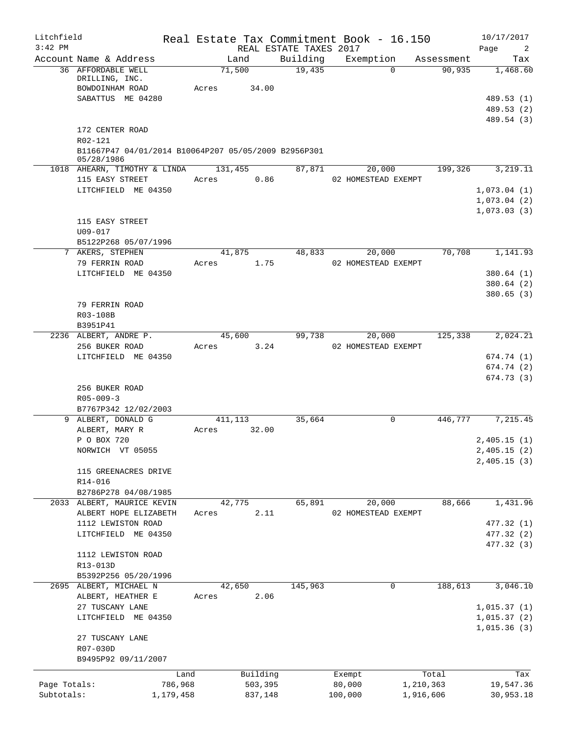| Litchfield<br>$3:42$ PM    |                                                                                                  |                          | REAL ESTATE TAXES 2017 | Real Estate Tax Commitment Book - 16.150 |                        | 10/17/2017<br>Page<br>$\overline{2}$               |
|----------------------------|--------------------------------------------------------------------------------------------------|--------------------------|------------------------|------------------------------------------|------------------------|----------------------------------------------------|
|                            | Account Name & Address                                                                           | Land                     | Building               | Exemption                                | Assessment             | Tax                                                |
|                            | 36 AFFORDABLE WELL<br>DRILLING, INC.<br>BOWDOINHAM ROAD<br>SABATTUS ME 04280                     | 71,500<br>Acres<br>34.00 | 19,435                 | $\Omega$                                 | 90,935                 | 1,468.60<br>489.53 (1)<br>489.53 (2)<br>489.54 (3) |
|                            | 172 CENTER ROAD<br>R02-121<br>B11667P47 04/01/2014 B10064P207 05/05/2009 B2956P301<br>05/28/1986 |                          |                        |                                          |                        |                                                    |
|                            | 1018 AHEARN, TIMOTHY & LINDA 131,455                                                             |                          | 87,871                 | 20,000                                   | 199,326                | 3,219.11                                           |
|                            | 115 EASY STREET                                                                                  | Acres                    | 0.86                   | 02 HOMESTEAD EXEMPT                      |                        |                                                    |
|                            | LITCHFIELD ME 04350                                                                              |                          |                        |                                          |                        | 1,073.04(1)                                        |
|                            |                                                                                                  |                          |                        |                                          |                        | 1,073.04(2)                                        |
|                            | 115 EASY STREET<br>U09-017                                                                       |                          |                        |                                          |                        | 1,073.03(3)                                        |
|                            | B5122P268 05/07/1996<br>7 AKERS, STEPHEN                                                         | 41,875                   | 48,833                 | 20,000                                   | 70,708                 | 1,141.93                                           |
|                            | 79 FERRIN ROAD                                                                                   | Acres                    | 1.75                   | 02 HOMESTEAD EXEMPT                      |                        |                                                    |
|                            | LITCHFIELD ME 04350                                                                              |                          |                        |                                          |                        | 380.64(1)                                          |
|                            |                                                                                                  |                          |                        |                                          |                        | 380.64 (2)                                         |
|                            | 79 FERRIN ROAD<br>R03-108B<br>B3951P41                                                           |                          |                        |                                          |                        | 380.65(3)                                          |
|                            | 2236 ALBERT, ANDRE P.                                                                            | 45,600                   | 99,738                 | 20,000                                   | 125,338                | 2,024.21                                           |
|                            | 256 BUKER ROAD                                                                                   | Acres                    | 3.24                   | 02 HOMESTEAD EXEMPT                      |                        |                                                    |
|                            | LITCHFIELD ME 04350                                                                              |                          |                        |                                          |                        | 674.74(1)                                          |
|                            |                                                                                                  |                          |                        |                                          |                        | 674.74(2)                                          |
|                            | 256 BUKER ROAD<br>$R05 - 009 - 3$<br>B7767P342 12/02/2003                                        |                          |                        |                                          |                        | 674.73(3)                                          |
|                            | 9 ALBERT, DONALD G                                                                               | 411,113                  | 35,664                 | $\mathbf 0$                              | 446,777                | 7,215.45                                           |
|                            | ALBERT, MARY R                                                                                   | 32.00<br>Acres           |                        |                                          |                        |                                                    |
|                            | P O BOX 720                                                                                      |                          |                        |                                          |                        | 2,405.15(1)                                        |
|                            | NORWICH VT 05055                                                                                 |                          |                        |                                          |                        | 2,405.15(2)                                        |
|                            | 115 GREENACRES DRIVE<br>R14-016<br>B2786P278 04/08/1985                                          |                          |                        |                                          |                        | 2,405.15(3)                                        |
|                            | 2033 ALBERT, MAURICE KEVIN                                                                       | 42,775                   | 65,891                 | 20,000                                   | 88,666                 | 1,431.96                                           |
|                            | ALBERT HOPE ELIZABETH                                                                            | Acres                    | 2.11                   | 02 HOMESTEAD EXEMPT                      |                        |                                                    |
|                            | 1112 LEWISTON ROAD                                                                               |                          |                        |                                          |                        | 477.32 (1)                                         |
|                            | LITCHFIELD ME 04350                                                                              |                          |                        |                                          |                        | 477.32 (2)                                         |
|                            | 1112 LEWISTON ROAD<br>R13-013D<br>B5392P256 05/20/1996                                           |                          |                        |                                          |                        | 477.32 (3)                                         |
|                            | 2695 ALBERT, MICHAEL N                                                                           | 42,650                   | 145,963                | $\mathbf 0$                              | 188,613                | 3,046.10                                           |
|                            | ALBERT, HEATHER E                                                                                | Acres                    | 2.06                   |                                          |                        |                                                    |
|                            | 27 TUSCANY LANE                                                                                  |                          |                        |                                          |                        | 1,015.37(1)                                        |
|                            | LITCHFIELD ME 04350                                                                              |                          |                        |                                          |                        | 1,015.37(2)                                        |
|                            | 27 TUSCANY LANE<br>R07-030D<br>B9495P92 09/11/2007                                               |                          |                        |                                          |                        | 1,015.36(3)                                        |
|                            |                                                                                                  |                          |                        |                                          |                        |                                                    |
|                            | Land                                                                                             | Building                 |                        | Exempt                                   | Total                  | Tax                                                |
| Page Totals:<br>Subtotals: | 786,968<br>1,179,458                                                                             | 503,395<br>837,148       |                        | 80,000<br>100,000                        | 1,210,363<br>1,916,606 | 19,547.36<br>30,953.18                             |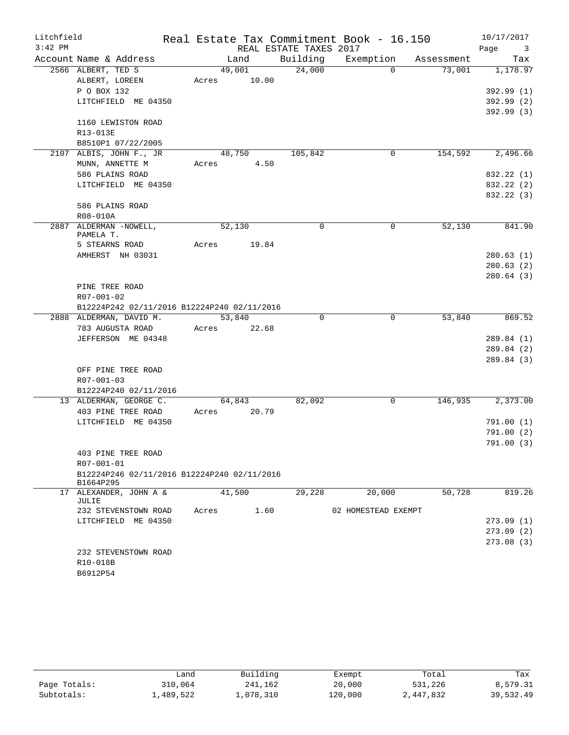| Litchfield |                                             |       |        |                        | Real Estate Tax Commitment Book - 16.150 |            | 10/17/2017                      |
|------------|---------------------------------------------|-------|--------|------------------------|------------------------------------------|------------|---------------------------------|
| $3:42$ PM  |                                             |       |        | REAL ESTATE TAXES 2017 |                                          |            | Page<br>$\overline{\mathbf{3}}$ |
|            | Account Name & Address                      |       | Land   | Building               | Exemption                                | Assessment | Tax                             |
|            | 2566 ALBERT, TED S                          |       | 49,001 | 24,000                 | $\Omega$                                 | 73,001     | 1,178.97                        |
|            | ALBERT, LOREEN                              | Acres | 10.00  |                        |                                          |            |                                 |
|            | P O BOX 132                                 |       |        |                        |                                          |            | 392.99 (1)                      |
|            | LITCHFIELD ME 04350                         |       |        |                        |                                          |            | 392.99 (2)                      |
|            |                                             |       |        |                        |                                          |            | 392.99 (3)                      |
|            | 1160 LEWISTON ROAD                          |       |        |                        |                                          |            |                                 |
|            | R13-013E                                    |       |        |                        |                                          |            |                                 |
|            | B8510P1 07/22/2005                          |       |        |                        |                                          |            |                                 |
|            | 2107 ALBIS, JOHN F., JR                     |       | 48,750 | 105,842                | 0                                        | 154,592    | 2,496.66                        |
|            | MUNN, ANNETTE M<br>586 PLAINS ROAD          | Acres | 4.50   |                        |                                          |            | 832.22 (1)                      |
|            | LITCHFIELD ME 04350                         |       |        |                        |                                          |            | 832.22 (2)                      |
|            |                                             |       |        |                        |                                          |            | 832.22 (3)                      |
|            | 586 PLAINS ROAD                             |       |        |                        |                                          |            |                                 |
|            | R08-010A                                    |       |        |                        |                                          |            |                                 |
|            | 2887 ALDERMAN -NOWELL,                      |       | 52,130 | $\Omega$               | 0                                        | 52,130     | 841.90                          |
|            | PAMELA T.                                   |       |        |                        |                                          |            |                                 |
|            | 5 STEARNS ROAD                              | Acres | 19.84  |                        |                                          |            |                                 |
|            | AMHERST NH 03031                            |       |        |                        |                                          |            | 280.63(1)                       |
|            |                                             |       |        |                        |                                          |            | 280.63(2)                       |
|            |                                             |       |        |                        |                                          |            | 280.64(3)                       |
|            | PINE TREE ROAD                              |       |        |                        |                                          |            |                                 |
|            | R07-001-02                                  |       |        |                        |                                          |            |                                 |
|            | B12224P242 02/11/2016 B12224P240 02/11/2016 |       |        |                        |                                          |            |                                 |
|            | 2888 ALDERMAN, DAVID M.                     |       | 53,840 | $\Omega$               | 0                                        | 53,840     | 869.52                          |
|            | 783 AUGUSTA ROAD                            | Acres | 22.68  |                        |                                          |            |                                 |
|            | JEFFERSON ME 04348                          |       |        |                        |                                          |            | 289.84 (1)                      |
|            |                                             |       |        |                        |                                          |            | 289.84 (2)                      |
|            |                                             |       |        |                        |                                          |            | 289.84 (3)                      |
|            | OFF PINE TREE ROAD                          |       |        |                        |                                          |            |                                 |
|            | R07-001-03                                  |       |        |                        |                                          |            |                                 |
|            | B12224P240 02/11/2016                       |       |        |                        |                                          | 146,935    |                                 |
|            | 13 ALDERMAN, GEORGE C.                      | Acres | 64,843 | 82,092                 | 0                                        |            | 2,373.00                        |
|            | 403 PINE TREE ROAD<br>LITCHFIELD ME 04350   |       | 20.79  |                        |                                          |            | 791.00 (1)                      |
|            |                                             |       |        |                        |                                          |            | 791.00(2)                       |
|            |                                             |       |        |                        |                                          |            | 791.00(3)                       |
|            | 403 PINE TREE ROAD                          |       |        |                        |                                          |            |                                 |
|            | R07-001-01                                  |       |        |                        |                                          |            |                                 |
|            | B12224P246 02/11/2016 B12224P240 02/11/2016 |       |        |                        |                                          |            |                                 |
|            | B1664P295                                   |       |        |                        |                                          |            |                                 |
|            | 17 ALEXANDER, JOHN A &                      |       | 41,500 | 29,228                 | 20,000                                   | 50,728     | 819.26                          |
|            | JULIE                                       |       |        |                        |                                          |            |                                 |
|            | 232 STEVENSTOWN ROAD                        | Acres | 1.60   |                        | 02 HOMESTEAD EXEMPT                      |            |                                 |
|            | LITCHFIELD ME 04350                         |       |        |                        |                                          |            | 273.09(1)<br>273.09(2)          |
|            |                                             |       |        |                        |                                          |            | 273.08(3)                       |
|            | 232 STEVENSTOWN ROAD                        |       |        |                        |                                          |            |                                 |
|            | R10-018B                                    |       |        |                        |                                          |            |                                 |
|            | B6912P54                                    |       |        |                        |                                          |            |                                 |
|            |                                             |       |        |                        |                                          |            |                                 |

|              | ∟and      | Building  | Exempt  | Total     | Tax       |
|--------------|-----------|-----------|---------|-----------|-----------|
| Page Totals: | 310,064   | 241,162   | 20,000  | 531,226   | 8,579.31  |
| Subtotals:   | ⊥,489,522 | 1,078,310 | 120,000 | 2,447,832 | 39,532.49 |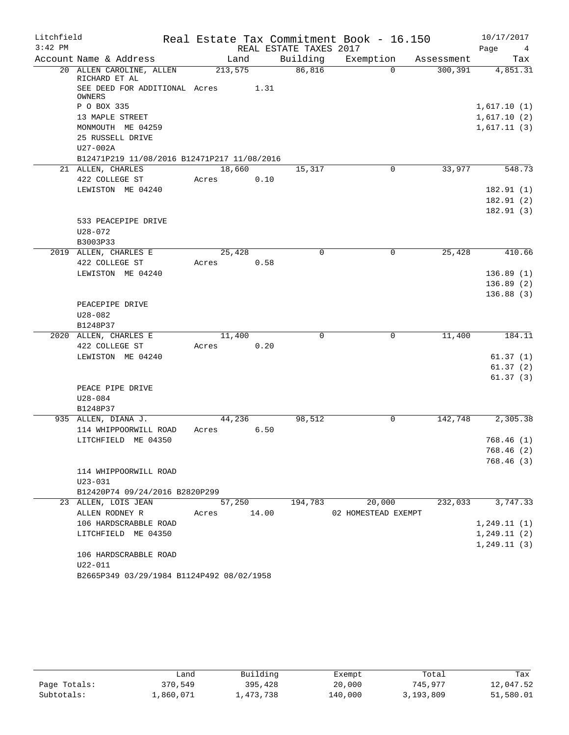| Litchfield |                                                |             |      |                        | Real Estate Tax Commitment Book - 16.150 |            | 10/17/2017             |
|------------|------------------------------------------------|-------------|------|------------------------|------------------------------------------|------------|------------------------|
| $3:42$ PM  |                                                |             |      | REAL ESTATE TAXES 2017 |                                          |            | Page<br>$\frac{4}{3}$  |
|            | Account Name & Address                         | Land        |      | Building               | Exemption                                | Assessment | Tax                    |
|            | 20 ALLEN CAROLINE, ALLEN<br>RICHARD ET AL      | 213,575     |      | 86,816                 | $\Omega$                                 | 300,391    | 4,851.31               |
|            | SEE DEED FOR ADDITIONAL Acres<br><b>OWNERS</b> | 1.31        |      |                        |                                          |            |                        |
|            | P O BOX 335                                    |             |      |                        |                                          |            | 1,617.10(1)            |
|            | 13 MAPLE STREET                                |             |      |                        |                                          |            | 1,617.10(2)            |
|            | MONMOUTH ME 04259                              |             |      |                        |                                          |            | 1,617.11(3)            |
|            | 25 RUSSELL DRIVE                               |             |      |                        |                                          |            |                        |
|            | $U27-002A$                                     |             |      |                        |                                          |            |                        |
|            | B12471P219 11/08/2016 B12471P217 11/08/2016    |             |      |                        |                                          |            |                        |
|            | 21 ALLEN, CHARLES                              | 18,660      |      | 15,317                 | 0                                        | 33,977     | 548.73                 |
|            | 422 COLLEGE ST                                 | Acres       | 0.10 |                        |                                          |            |                        |
|            | LEWISTON ME 04240                              |             |      |                        |                                          |            | 182.91(1)              |
|            |                                                |             |      |                        |                                          |            | 182.91(2)              |
|            |                                                |             |      |                        |                                          |            | 182.91(3)              |
|            | 533 PEACEPIPE DRIVE                            |             |      |                        |                                          |            |                        |
|            | $U28 - 072$                                    |             |      |                        |                                          |            |                        |
|            | B3003P33                                       |             |      |                        |                                          |            |                        |
|            | 2019 ALLEN, CHARLES E                          | 25,428      |      | 0                      | 0                                        | 25,428     | 410.66                 |
|            | 422 COLLEGE ST                                 | Acres       | 0.58 |                        |                                          |            |                        |
|            | LEWISTON ME 04240                              |             |      |                        |                                          |            | 136.89(1)              |
|            |                                                |             |      |                        |                                          |            | 136.89(2)<br>136.88(3) |
|            | PEACEPIPE DRIVE                                |             |      |                        |                                          |            |                        |
|            | $U28 - 082$                                    |             |      |                        |                                          |            |                        |
|            | B1248P37                                       |             |      |                        |                                          |            |                        |
|            | 2020 ALLEN, CHARLES E                          | 11,400      |      | 0                      | $\mathbf 0$                              | 11,400     | 184.11                 |
|            | 422 COLLEGE ST                                 | Acres       | 0.20 |                        |                                          |            |                        |
|            | LEWISTON ME 04240                              |             |      |                        |                                          |            | 61.37(1)               |
|            |                                                |             |      |                        |                                          |            | 61.37(2)               |
|            |                                                |             |      |                        |                                          |            | 61.37(3)               |
|            | PEACE PIPE DRIVE                               |             |      |                        |                                          |            |                        |
|            | U28-084                                        |             |      |                        |                                          |            |                        |
|            | B1248P37                                       |             |      |                        |                                          |            |                        |
|            | 935 ALLEN, DIANA J.                            | 44,236      |      | 98,512                 | 0                                        | 142,748    | 2,305.38               |
|            | 114 WHIPPOORWILL ROAD                          | Acres       | 6.50 |                        |                                          |            |                        |
|            | LITCHFIELD ME 04350                            |             |      |                        |                                          |            | 768.46 (1)             |
|            |                                                |             |      |                        |                                          |            | 768.46 (2)             |
|            |                                                |             |      |                        |                                          |            | 768.46 (3)             |
|            | 114 WHIPPOORWILL ROAD                          |             |      |                        |                                          |            |                        |
|            | $U23 - 031$                                    |             |      |                        |                                          |            |                        |
|            | B12420P74 09/24/2016 B2820P299                 |             |      |                        |                                          |            |                        |
|            | 23 ALLEN, LOIS JEAN                            | 57,250      |      | 194,783                | 20,000                                   | 232,033    | 3,747.33               |
|            | ALLEN RODNEY R                                 | Acres 14.00 |      |                        | 02 HOMESTEAD EXEMPT                      |            |                        |
|            | 106 HARDSCRABBLE ROAD                          |             |      |                        |                                          |            | 1, 249.11(1)           |
|            | LITCHFIELD ME 04350                            |             |      |                        |                                          |            | 1, 249.11(2)           |
|            |                                                |             |      |                        |                                          |            | 1, 249.11(3)           |
|            | 106 HARDSCRABBLE ROAD                          |             |      |                        |                                          |            |                        |
|            | U22-011                                        |             |      |                        |                                          |            |                        |
|            | B2665P349 03/29/1984 B1124P492 08/02/1958      |             |      |                        |                                          |            |                        |

|              | Land      | Building  | Exempt  | Total     | Tax       |
|--------------|-----------|-----------|---------|-----------|-----------|
| Page Totals: | 370,549   | 395,428   | 20,000  | 745,977   | 12,047.52 |
| Subtotals:   | 1,860,071 | 1,473,738 | 140,000 | 3,193,809 | 51,580.01 |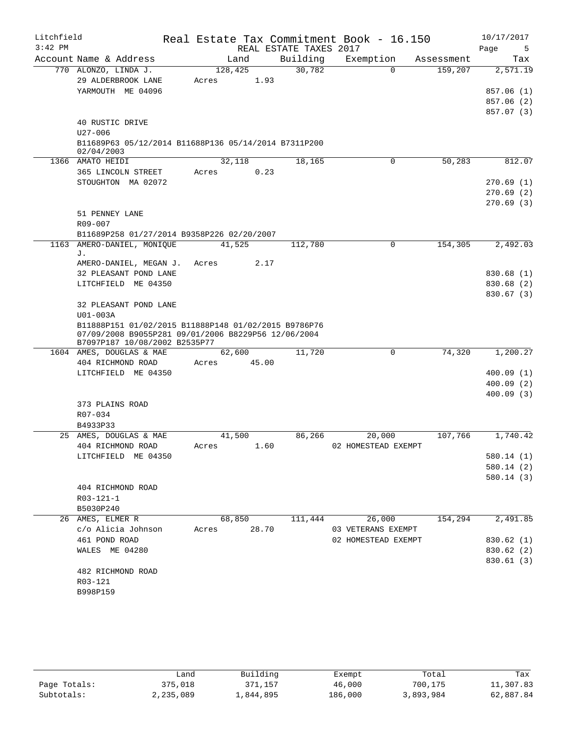| REAL ESTATE TAXES 2017<br>Page<br>5<br>Building<br>Account Name & Address<br>Exemption<br>Land<br>Tax<br>Assessment<br>770 ALONZO, LINDA J.<br>30,782<br>128,425<br>$\Omega$<br>159,207<br>2,571.19<br>29 ALDERBROOK LANE<br>1.93<br>Acres<br>YARMOUTH ME 04096<br>857.06 (1)<br>857.06 (2)<br>857.07 (3)<br>40 RUSTIC DRIVE<br>$U27 - 006$<br>B11689P63 05/12/2014 B11688P136 05/14/2014 B7311P200<br>02/04/2003<br>50,283<br>1366 AMATO HEIDI<br>32,118<br>18,165<br>0<br>812.07<br>365 LINCOLN STREET<br>0.23<br>Acres<br>STOUGHTON MA 02072<br>270.69(1)<br>270.69(2)<br>270.69(3)<br>51 PENNEY LANE<br>$R09 - 007$<br>B11689P258 01/27/2014 B9358P226 02/20/2007<br>AMERO-DANIEL, MONIQUE<br>$\mathbf 0$<br>154,305<br>2,492.03<br>1163<br>41,525<br>112,780<br>J.<br>2.17<br>AMERO-DANIEL, MEGAN J.<br>Acres<br>32 PLEASANT POND LANE<br>830.68(1)<br>LITCHFIELD ME 04350<br>830.68 (2)<br>830.67(3)<br>32 PLEASANT POND LANE<br>U01-003A<br>B11888P151 01/02/2015 B11888P148 01/02/2015 B9786P76<br>07/09/2008 B9055P281 09/01/2006 B8229P56 12/06/2004<br>B7097P187 10/08/2002 B2535P77<br>62,600<br>$\mathbf 0$<br>74,320<br>1,200.27<br>1604 AMES, DOUGLAS & MAE<br>11,720<br>404 RICHMOND ROAD<br>45.00<br>Acres<br>LITCHFIELD ME 04350<br>400.09(1)<br>400.09(2)<br>400.09(3)<br>373 PLAINS ROAD<br>R07-034<br>B4933P33<br>1,740.42<br>AMES, DOUGLAS & MAE<br>41,500<br>86,266<br>20,000<br>107,766<br>25<br>404 RICHMOND ROAD<br>02 HOMESTEAD EXEMPT<br>1.60<br>Acres<br>580.14(1)<br>LITCHFIELD ME 04350<br>580.14 (2)<br>580.14(3)<br>404 RICHMOND ROAD<br>$R03 - 121 - 1$<br>B5030P240<br>26,000<br>2,491.85<br>26 AMES, ELMER R<br>68,850<br>111,444<br>154,294<br>c/o Alicia Johnson<br>28.70<br>03 VETERANS EXEMPT<br>Acres<br>461 POND ROAD<br>02 HOMESTEAD EXEMPT<br>830.62 (1)<br>WALES ME 04280<br>830.62 (2)<br>830.61 (3)<br>482 RICHMOND ROAD<br>R03-121<br>B998P159 | Litchfield |  | Real Estate Tax Commitment Book - 16.150 | 10/17/2017 |
|------------------------------------------------------------------------------------------------------------------------------------------------------------------------------------------------------------------------------------------------------------------------------------------------------------------------------------------------------------------------------------------------------------------------------------------------------------------------------------------------------------------------------------------------------------------------------------------------------------------------------------------------------------------------------------------------------------------------------------------------------------------------------------------------------------------------------------------------------------------------------------------------------------------------------------------------------------------------------------------------------------------------------------------------------------------------------------------------------------------------------------------------------------------------------------------------------------------------------------------------------------------------------------------------------------------------------------------------------------------------------------------------------------------------------------------------------------------------------------------------------------------------------------------------------------------------------------------------------------------------------------------------------------------------------------------------------------------------------------------------------------------------------------------------------------------------------------------------------------------------------------------------|------------|--|------------------------------------------|------------|
|                                                                                                                                                                                                                                                                                                                                                                                                                                                                                                                                                                                                                                                                                                                                                                                                                                                                                                                                                                                                                                                                                                                                                                                                                                                                                                                                                                                                                                                                                                                                                                                                                                                                                                                                                                                                                                                                                                | $3:42$ PM  |  |                                          |            |
|                                                                                                                                                                                                                                                                                                                                                                                                                                                                                                                                                                                                                                                                                                                                                                                                                                                                                                                                                                                                                                                                                                                                                                                                                                                                                                                                                                                                                                                                                                                                                                                                                                                                                                                                                                                                                                                                                                |            |  |                                          |            |
|                                                                                                                                                                                                                                                                                                                                                                                                                                                                                                                                                                                                                                                                                                                                                                                                                                                                                                                                                                                                                                                                                                                                                                                                                                                                                                                                                                                                                                                                                                                                                                                                                                                                                                                                                                                                                                                                                                |            |  |                                          |            |
|                                                                                                                                                                                                                                                                                                                                                                                                                                                                                                                                                                                                                                                                                                                                                                                                                                                                                                                                                                                                                                                                                                                                                                                                                                                                                                                                                                                                                                                                                                                                                                                                                                                                                                                                                                                                                                                                                                |            |  |                                          |            |
|                                                                                                                                                                                                                                                                                                                                                                                                                                                                                                                                                                                                                                                                                                                                                                                                                                                                                                                                                                                                                                                                                                                                                                                                                                                                                                                                                                                                                                                                                                                                                                                                                                                                                                                                                                                                                                                                                                |            |  |                                          |            |
|                                                                                                                                                                                                                                                                                                                                                                                                                                                                                                                                                                                                                                                                                                                                                                                                                                                                                                                                                                                                                                                                                                                                                                                                                                                                                                                                                                                                                                                                                                                                                                                                                                                                                                                                                                                                                                                                                                |            |  |                                          |            |
|                                                                                                                                                                                                                                                                                                                                                                                                                                                                                                                                                                                                                                                                                                                                                                                                                                                                                                                                                                                                                                                                                                                                                                                                                                                                                                                                                                                                                                                                                                                                                                                                                                                                                                                                                                                                                                                                                                |            |  |                                          |            |
|                                                                                                                                                                                                                                                                                                                                                                                                                                                                                                                                                                                                                                                                                                                                                                                                                                                                                                                                                                                                                                                                                                                                                                                                                                                                                                                                                                                                                                                                                                                                                                                                                                                                                                                                                                                                                                                                                                |            |  |                                          |            |
|                                                                                                                                                                                                                                                                                                                                                                                                                                                                                                                                                                                                                                                                                                                                                                                                                                                                                                                                                                                                                                                                                                                                                                                                                                                                                                                                                                                                                                                                                                                                                                                                                                                                                                                                                                                                                                                                                                |            |  |                                          |            |
|                                                                                                                                                                                                                                                                                                                                                                                                                                                                                                                                                                                                                                                                                                                                                                                                                                                                                                                                                                                                                                                                                                                                                                                                                                                                                                                                                                                                                                                                                                                                                                                                                                                                                                                                                                                                                                                                                                |            |  |                                          |            |
|                                                                                                                                                                                                                                                                                                                                                                                                                                                                                                                                                                                                                                                                                                                                                                                                                                                                                                                                                                                                                                                                                                                                                                                                                                                                                                                                                                                                                                                                                                                                                                                                                                                                                                                                                                                                                                                                                                |            |  |                                          |            |
|                                                                                                                                                                                                                                                                                                                                                                                                                                                                                                                                                                                                                                                                                                                                                                                                                                                                                                                                                                                                                                                                                                                                                                                                                                                                                                                                                                                                                                                                                                                                                                                                                                                                                                                                                                                                                                                                                                |            |  |                                          |            |
|                                                                                                                                                                                                                                                                                                                                                                                                                                                                                                                                                                                                                                                                                                                                                                                                                                                                                                                                                                                                                                                                                                                                                                                                                                                                                                                                                                                                                                                                                                                                                                                                                                                                                                                                                                                                                                                                                                |            |  |                                          |            |
|                                                                                                                                                                                                                                                                                                                                                                                                                                                                                                                                                                                                                                                                                                                                                                                                                                                                                                                                                                                                                                                                                                                                                                                                                                                                                                                                                                                                                                                                                                                                                                                                                                                                                                                                                                                                                                                                                                |            |  |                                          |            |
|                                                                                                                                                                                                                                                                                                                                                                                                                                                                                                                                                                                                                                                                                                                                                                                                                                                                                                                                                                                                                                                                                                                                                                                                                                                                                                                                                                                                                                                                                                                                                                                                                                                                                                                                                                                                                                                                                                |            |  |                                          |            |
|                                                                                                                                                                                                                                                                                                                                                                                                                                                                                                                                                                                                                                                                                                                                                                                                                                                                                                                                                                                                                                                                                                                                                                                                                                                                                                                                                                                                                                                                                                                                                                                                                                                                                                                                                                                                                                                                                                |            |  |                                          |            |
|                                                                                                                                                                                                                                                                                                                                                                                                                                                                                                                                                                                                                                                                                                                                                                                                                                                                                                                                                                                                                                                                                                                                                                                                                                                                                                                                                                                                                                                                                                                                                                                                                                                                                                                                                                                                                                                                                                |            |  |                                          |            |
|                                                                                                                                                                                                                                                                                                                                                                                                                                                                                                                                                                                                                                                                                                                                                                                                                                                                                                                                                                                                                                                                                                                                                                                                                                                                                                                                                                                                                                                                                                                                                                                                                                                                                                                                                                                                                                                                                                |            |  |                                          |            |
|                                                                                                                                                                                                                                                                                                                                                                                                                                                                                                                                                                                                                                                                                                                                                                                                                                                                                                                                                                                                                                                                                                                                                                                                                                                                                                                                                                                                                                                                                                                                                                                                                                                                                                                                                                                                                                                                                                |            |  |                                          |            |
|                                                                                                                                                                                                                                                                                                                                                                                                                                                                                                                                                                                                                                                                                                                                                                                                                                                                                                                                                                                                                                                                                                                                                                                                                                                                                                                                                                                                                                                                                                                                                                                                                                                                                                                                                                                                                                                                                                |            |  |                                          |            |
|                                                                                                                                                                                                                                                                                                                                                                                                                                                                                                                                                                                                                                                                                                                                                                                                                                                                                                                                                                                                                                                                                                                                                                                                                                                                                                                                                                                                                                                                                                                                                                                                                                                                                                                                                                                                                                                                                                |            |  |                                          |            |
|                                                                                                                                                                                                                                                                                                                                                                                                                                                                                                                                                                                                                                                                                                                                                                                                                                                                                                                                                                                                                                                                                                                                                                                                                                                                                                                                                                                                                                                                                                                                                                                                                                                                                                                                                                                                                                                                                                |            |  |                                          |            |
|                                                                                                                                                                                                                                                                                                                                                                                                                                                                                                                                                                                                                                                                                                                                                                                                                                                                                                                                                                                                                                                                                                                                                                                                                                                                                                                                                                                                                                                                                                                                                                                                                                                                                                                                                                                                                                                                                                |            |  |                                          |            |
|                                                                                                                                                                                                                                                                                                                                                                                                                                                                                                                                                                                                                                                                                                                                                                                                                                                                                                                                                                                                                                                                                                                                                                                                                                                                                                                                                                                                                                                                                                                                                                                                                                                                                                                                                                                                                                                                                                |            |  |                                          |            |
|                                                                                                                                                                                                                                                                                                                                                                                                                                                                                                                                                                                                                                                                                                                                                                                                                                                                                                                                                                                                                                                                                                                                                                                                                                                                                                                                                                                                                                                                                                                                                                                                                                                                                                                                                                                                                                                                                                |            |  |                                          |            |
|                                                                                                                                                                                                                                                                                                                                                                                                                                                                                                                                                                                                                                                                                                                                                                                                                                                                                                                                                                                                                                                                                                                                                                                                                                                                                                                                                                                                                                                                                                                                                                                                                                                                                                                                                                                                                                                                                                |            |  |                                          |            |
|                                                                                                                                                                                                                                                                                                                                                                                                                                                                                                                                                                                                                                                                                                                                                                                                                                                                                                                                                                                                                                                                                                                                                                                                                                                                                                                                                                                                                                                                                                                                                                                                                                                                                                                                                                                                                                                                                                |            |  |                                          |            |
|                                                                                                                                                                                                                                                                                                                                                                                                                                                                                                                                                                                                                                                                                                                                                                                                                                                                                                                                                                                                                                                                                                                                                                                                                                                                                                                                                                                                                                                                                                                                                                                                                                                                                                                                                                                                                                                                                                |            |  |                                          |            |
|                                                                                                                                                                                                                                                                                                                                                                                                                                                                                                                                                                                                                                                                                                                                                                                                                                                                                                                                                                                                                                                                                                                                                                                                                                                                                                                                                                                                                                                                                                                                                                                                                                                                                                                                                                                                                                                                                                |            |  |                                          |            |
|                                                                                                                                                                                                                                                                                                                                                                                                                                                                                                                                                                                                                                                                                                                                                                                                                                                                                                                                                                                                                                                                                                                                                                                                                                                                                                                                                                                                                                                                                                                                                                                                                                                                                                                                                                                                                                                                                                |            |  |                                          |            |
|                                                                                                                                                                                                                                                                                                                                                                                                                                                                                                                                                                                                                                                                                                                                                                                                                                                                                                                                                                                                                                                                                                                                                                                                                                                                                                                                                                                                                                                                                                                                                                                                                                                                                                                                                                                                                                                                                                |            |  |                                          |            |
|                                                                                                                                                                                                                                                                                                                                                                                                                                                                                                                                                                                                                                                                                                                                                                                                                                                                                                                                                                                                                                                                                                                                                                                                                                                                                                                                                                                                                                                                                                                                                                                                                                                                                                                                                                                                                                                                                                |            |  |                                          |            |
|                                                                                                                                                                                                                                                                                                                                                                                                                                                                                                                                                                                                                                                                                                                                                                                                                                                                                                                                                                                                                                                                                                                                                                                                                                                                                                                                                                                                                                                                                                                                                                                                                                                                                                                                                                                                                                                                                                |            |  |                                          |            |
|                                                                                                                                                                                                                                                                                                                                                                                                                                                                                                                                                                                                                                                                                                                                                                                                                                                                                                                                                                                                                                                                                                                                                                                                                                                                                                                                                                                                                                                                                                                                                                                                                                                                                                                                                                                                                                                                                                |            |  |                                          |            |
|                                                                                                                                                                                                                                                                                                                                                                                                                                                                                                                                                                                                                                                                                                                                                                                                                                                                                                                                                                                                                                                                                                                                                                                                                                                                                                                                                                                                                                                                                                                                                                                                                                                                                                                                                                                                                                                                                                |            |  |                                          |            |
|                                                                                                                                                                                                                                                                                                                                                                                                                                                                                                                                                                                                                                                                                                                                                                                                                                                                                                                                                                                                                                                                                                                                                                                                                                                                                                                                                                                                                                                                                                                                                                                                                                                                                                                                                                                                                                                                                                |            |  |                                          |            |
|                                                                                                                                                                                                                                                                                                                                                                                                                                                                                                                                                                                                                                                                                                                                                                                                                                                                                                                                                                                                                                                                                                                                                                                                                                                                                                                                                                                                                                                                                                                                                                                                                                                                                                                                                                                                                                                                                                |            |  |                                          |            |
|                                                                                                                                                                                                                                                                                                                                                                                                                                                                                                                                                                                                                                                                                                                                                                                                                                                                                                                                                                                                                                                                                                                                                                                                                                                                                                                                                                                                                                                                                                                                                                                                                                                                                                                                                                                                                                                                                                |            |  |                                          |            |
|                                                                                                                                                                                                                                                                                                                                                                                                                                                                                                                                                                                                                                                                                                                                                                                                                                                                                                                                                                                                                                                                                                                                                                                                                                                                                                                                                                                                                                                                                                                                                                                                                                                                                                                                                                                                                                                                                                |            |  |                                          |            |
|                                                                                                                                                                                                                                                                                                                                                                                                                                                                                                                                                                                                                                                                                                                                                                                                                                                                                                                                                                                                                                                                                                                                                                                                                                                                                                                                                                                                                                                                                                                                                                                                                                                                                                                                                                                                                                                                                                |            |  |                                          |            |
|                                                                                                                                                                                                                                                                                                                                                                                                                                                                                                                                                                                                                                                                                                                                                                                                                                                                                                                                                                                                                                                                                                                                                                                                                                                                                                                                                                                                                                                                                                                                                                                                                                                                                                                                                                                                                                                                                                |            |  |                                          |            |
|                                                                                                                                                                                                                                                                                                                                                                                                                                                                                                                                                                                                                                                                                                                                                                                                                                                                                                                                                                                                                                                                                                                                                                                                                                                                                                                                                                                                                                                                                                                                                                                                                                                                                                                                                                                                                                                                                                |            |  |                                          |            |
|                                                                                                                                                                                                                                                                                                                                                                                                                                                                                                                                                                                                                                                                                                                                                                                                                                                                                                                                                                                                                                                                                                                                                                                                                                                                                                                                                                                                                                                                                                                                                                                                                                                                                                                                                                                                                                                                                                |            |  |                                          |            |
|                                                                                                                                                                                                                                                                                                                                                                                                                                                                                                                                                                                                                                                                                                                                                                                                                                                                                                                                                                                                                                                                                                                                                                                                                                                                                                                                                                                                                                                                                                                                                                                                                                                                                                                                                                                                                                                                                                |            |  |                                          |            |
|                                                                                                                                                                                                                                                                                                                                                                                                                                                                                                                                                                                                                                                                                                                                                                                                                                                                                                                                                                                                                                                                                                                                                                                                                                                                                                                                                                                                                                                                                                                                                                                                                                                                                                                                                                                                                                                                                                |            |  |                                          |            |
|                                                                                                                                                                                                                                                                                                                                                                                                                                                                                                                                                                                                                                                                                                                                                                                                                                                                                                                                                                                                                                                                                                                                                                                                                                                                                                                                                                                                                                                                                                                                                                                                                                                                                                                                                                                                                                                                                                |            |  |                                          |            |
|                                                                                                                                                                                                                                                                                                                                                                                                                                                                                                                                                                                                                                                                                                                                                                                                                                                                                                                                                                                                                                                                                                                                                                                                                                                                                                                                                                                                                                                                                                                                                                                                                                                                                                                                                                                                                                                                                                |            |  |                                          |            |
|                                                                                                                                                                                                                                                                                                                                                                                                                                                                                                                                                                                                                                                                                                                                                                                                                                                                                                                                                                                                                                                                                                                                                                                                                                                                                                                                                                                                                                                                                                                                                                                                                                                                                                                                                                                                                                                                                                |            |  |                                          |            |
|                                                                                                                                                                                                                                                                                                                                                                                                                                                                                                                                                                                                                                                                                                                                                                                                                                                                                                                                                                                                                                                                                                                                                                                                                                                                                                                                                                                                                                                                                                                                                                                                                                                                                                                                                                                                                                                                                                |            |  |                                          |            |
|                                                                                                                                                                                                                                                                                                                                                                                                                                                                                                                                                                                                                                                                                                                                                                                                                                                                                                                                                                                                                                                                                                                                                                                                                                                                                                                                                                                                                                                                                                                                                                                                                                                                                                                                                                                                                                                                                                |            |  |                                          |            |

|              | Land      | Building  | Exempt  | Total     | Tax       |
|--------------|-----------|-----------|---------|-----------|-----------|
| Page Totals: | 375,018   | 371,157   | 46,000  | 700,175   | 11,307.83 |
| Subtotals:   | 2,235,089 | ⊥,844,895 | 186,000 | 3,893,984 | 62,887.84 |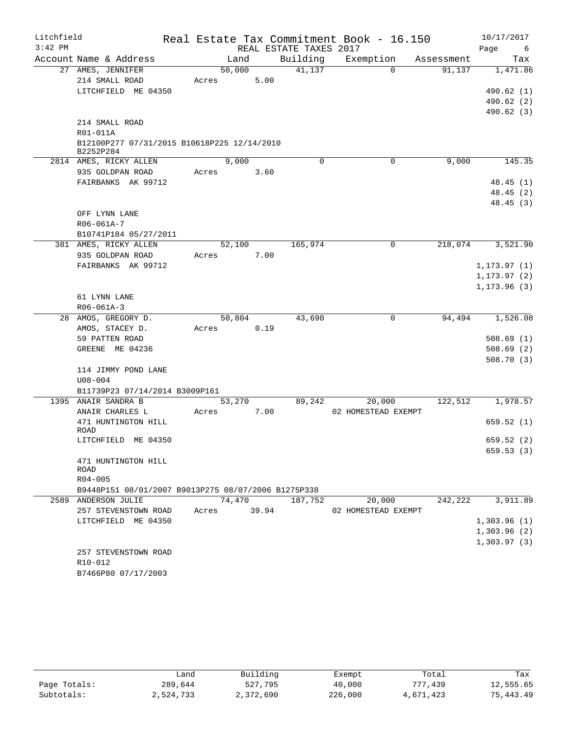| Litchfield |                                                          |             |      |                        | Real Estate Tax Commitment Book - 16.150 |            | 10/17/2017                 |
|------------|----------------------------------------------------------|-------------|------|------------------------|------------------------------------------|------------|----------------------------|
| $3:42$ PM  |                                                          |             |      | REAL ESTATE TAXES 2017 |                                          |            | Page<br>6                  |
|            | Account Name & Address                                   | Land        |      | Building               | Exemption                                | Assessment | Tax                        |
|            | 27 AMES, JENNIFER                                        | 50,000      |      | 41,137                 | $\Omega$                                 | 91,137     | 1,471.86                   |
|            | 214 SMALL ROAD                                           | Acres       | 5.00 |                        |                                          |            |                            |
|            | LITCHFIELD ME 04350                                      |             |      |                        |                                          |            | 490.62 (1)                 |
|            |                                                          |             |      |                        |                                          |            | 490.62 (2)                 |
|            |                                                          |             |      |                        |                                          |            | 490.62 (3)                 |
|            | 214 SMALL ROAD                                           |             |      |                        |                                          |            |                            |
|            | R01-011A                                                 |             |      |                        |                                          |            |                            |
|            | B12100P277 07/31/2015 B10618P225 12/14/2010<br>B2252P284 |             |      |                        |                                          |            |                            |
|            | 2814 AMES, RICKY ALLEN                                   | 9,000       |      | $\Omega$               | 0                                        | 9,000      | 145.35                     |
|            | 935 GOLDPAN ROAD                                         | Acres       | 3.60 |                        |                                          |            |                            |
|            | FAIRBANKS AK 99712                                       |             |      |                        |                                          |            | 48.45(1)                   |
|            |                                                          |             |      |                        |                                          |            | 48.45 (2)                  |
|            |                                                          |             |      |                        |                                          |            | 48.45 (3)                  |
|            | OFF LYNN LANE                                            |             |      |                        |                                          |            |                            |
|            | R06-061A-7                                               |             |      |                        |                                          |            |                            |
|            | B10741P184 05/27/2011                                    |             |      |                        |                                          |            |                            |
|            | 381 AMES, RICKY ALLEN                                    | 52,100      |      | 165,974                | 0                                        | 218,074    | 3,521.90                   |
|            | 935 GOLDPAN ROAD                                         | Acres       | 7.00 |                        |                                          |            |                            |
|            | FAIRBANKS AK 99712                                       |             |      |                        |                                          |            | 1, 173.97(1)               |
|            |                                                          |             |      |                        |                                          |            | 1,173.97 (2)               |
|            |                                                          |             |      |                        |                                          |            | 1, 173.96(3)               |
|            | 61 LYNN LANE<br>$R06 - 061A - 3$                         |             |      |                        |                                          |            |                            |
|            | 28 AMOS, GREGORY D.                                      | 50,804      |      | 43,690                 | 0                                        | 94,494     | 1,526.08                   |
|            | AMOS, STACEY D.                                          | Acres       | 0.19 |                        |                                          |            |                            |
|            | 59 PATTEN ROAD                                           |             |      |                        |                                          |            | 508.69(1)                  |
|            | GREENE ME 04236                                          |             |      |                        |                                          |            | 508.69(2)                  |
|            |                                                          |             |      |                        |                                          |            | 508.70(3)                  |
|            | 114 JIMMY POND LANE                                      |             |      |                        |                                          |            |                            |
|            | $U08 - 004$                                              |             |      |                        |                                          |            |                            |
|            | B11739P23 07/14/2014 B3009P161                           |             |      |                        |                                          |            |                            |
|            | 1395 ANAIR SANDRA B                                      | 53,270      |      | 89,242                 | 20,000                                   | 122,512    | 1,978.57                   |
|            | ANAIR CHARLES L                                          | Acres       | 7.00 |                        | 02 HOMESTEAD EXEMPT                      |            |                            |
|            | 471 HUNTINGTON HILL                                      |             |      |                        |                                          |            | 659.52(1)                  |
|            | ROAD                                                     |             |      |                        |                                          |            |                            |
|            | LITCHFIELD ME 04350                                      |             |      |                        |                                          |            | 659.52 (2)                 |
|            |                                                          |             |      |                        |                                          |            | 659.53 (3)                 |
|            | 471 HUNTINGTON HILL                                      |             |      |                        |                                          |            |                            |
|            | ROAD                                                     |             |      |                        |                                          |            |                            |
|            | R04-005                                                  |             |      |                        |                                          |            |                            |
|            | B9448P151 08/01/2007 B9013P275 08/07/2006 B1275P338      |             |      |                        |                                          |            |                            |
|            | 2589 ANDERSON JULIE                                      | 74,470      |      | 187,752                | 20,000                                   | 242,222    | 3,911.89                   |
|            | 257 STEVENSTOWN ROAD                                     | Acres 39.94 |      |                        | 02 HOMESTEAD EXEMPT                      |            | 1,303.96(1)                |
|            | LITCHFIELD ME 04350                                      |             |      |                        |                                          |            |                            |
|            |                                                          |             |      |                        |                                          |            | 1,303.96(2)<br>1,303.97(3) |
|            | 257 STEVENSTOWN ROAD                                     |             |      |                        |                                          |            |                            |
|            | R10-012                                                  |             |      |                        |                                          |            |                            |
|            | B7466P80 07/17/2003                                      |             |      |                        |                                          |            |                            |
|            |                                                          |             |      |                        |                                          |            |                            |

|              | andش      | Building  | Exempt  | Total     | Tax       |
|--------------|-----------|-----------|---------|-----------|-----------|
| Page Totals: | 289,644   | 527,795   | 40,000  | 777,439   | 12,555.65 |
| Subtotals:   | 2,524,733 | 2,372,690 | 226,000 | 4,671,423 | 75,443.49 |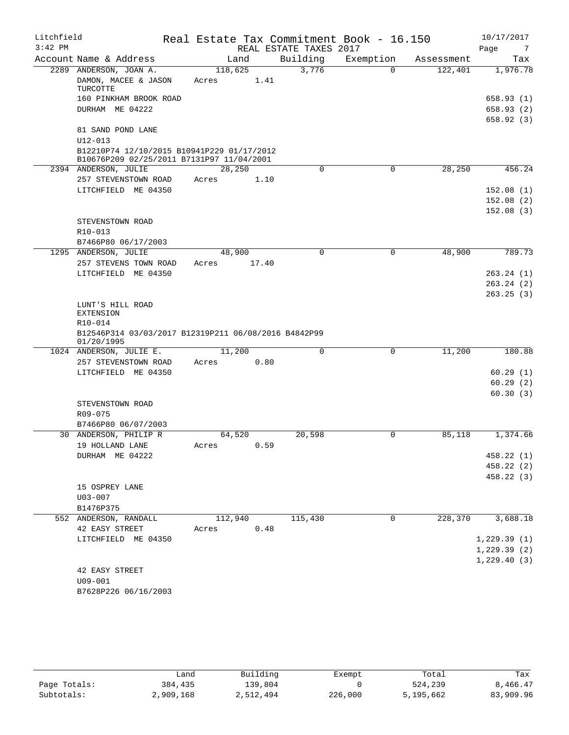| Litchfield<br>$3:42$ PM |                                                                                         | Real Estate Tax Commitment Book - 16.150 | REAL ESTATE TAXES 2017 |             |            | 10/17/2017<br>Page<br>$\overline{7}$ |
|-------------------------|-----------------------------------------------------------------------------------------|------------------------------------------|------------------------|-------------|------------|--------------------------------------|
|                         | Account Name & Address                                                                  | Land                                     | Building               | Exemption   | Assessment | Tax                                  |
|                         | 2289 ANDERSON, JOAN A.                                                                  | 118,625                                  | 3,776                  | $\Omega$    | 122,401    | 1,976.78                             |
|                         | DAMON, MACEE & JASON<br>TURCOTTE                                                        | 1.41<br>Acres                            |                        |             |            |                                      |
|                         | 160 PINKHAM BROOK ROAD                                                                  |                                          |                        |             |            | 658.93(1)                            |
|                         | DURHAM ME 04222                                                                         |                                          |                        |             |            | 658.93(2)                            |
|                         |                                                                                         |                                          |                        |             |            | 658.92(3)                            |
|                         | 81 SAND POND LANE<br>$U12 - 013$                                                        |                                          |                        |             |            |                                      |
|                         | B12210P74 12/10/2015 B10941P229 01/17/2012<br>B10676P209 02/25/2011 B7131P97 11/04/2001 |                                          |                        |             |            |                                      |
|                         | 2394 ANDERSON, JULIE                                                                    | 28,250                                   | $\mathbf 0$            | $\mathbf 0$ | 28, 250    | 456.24                               |
|                         | 257 STEVENSTOWN ROAD                                                                    | 1.10<br>Acres                            |                        |             |            |                                      |
|                         | LITCHFIELD ME 04350                                                                     |                                          |                        |             |            | 152.08(1)                            |
|                         |                                                                                         |                                          |                        |             |            | 152.08(2)                            |
|                         |                                                                                         |                                          |                        |             |            | 152.08(3)                            |
|                         | STEVENSTOWN ROAD                                                                        |                                          |                        |             |            |                                      |
|                         | R10-013                                                                                 |                                          |                        |             |            |                                      |
|                         | B7466P80 06/17/2003                                                                     |                                          |                        |             |            |                                      |
|                         | 1295 ANDERSON, JULIE                                                                    | 48,900                                   | $\mathbf 0$            | $\mathbf 0$ | 48,900     | 789.73                               |
|                         | 257 STEVENS TOWN ROAD                                                                   | 17.40<br>Acres                           |                        |             |            |                                      |
|                         | LITCHFIELD ME 04350                                                                     |                                          |                        |             |            | 263.24(1)                            |
|                         |                                                                                         |                                          |                        |             |            | 263.24(2)                            |
|                         |                                                                                         |                                          |                        |             |            | 263.25(3)                            |
|                         | LUNT'S HILL ROAD<br><b>EXTENSION</b>                                                    |                                          |                        |             |            |                                      |
|                         | R10-014                                                                                 |                                          |                        |             |            |                                      |
|                         | B12546P314 03/03/2017 B12319P211 06/08/2016 B4842P99<br>01/20/1995                      |                                          |                        |             |            |                                      |
|                         | 1024 ANDERSON, JULIE E.                                                                 | 11,200                                   | $\Omega$               | 0           | 11,200     | 180.88                               |
|                         | 257 STEVENSTOWN ROAD                                                                    | 0.80<br>Acres                            |                        |             |            |                                      |
|                         | LITCHFIELD ME 04350                                                                     |                                          |                        |             |            | 60.29(1)                             |
|                         |                                                                                         |                                          |                        |             |            | 60.29(2)                             |
|                         |                                                                                         |                                          |                        |             |            | 60.30(3)                             |
|                         | STEVENSTOWN ROAD                                                                        |                                          |                        |             |            |                                      |
|                         | $R09 - 075$                                                                             |                                          |                        |             |            |                                      |
|                         | B7466P80 06/07/2003                                                                     |                                          |                        |             |            |                                      |
|                         | 30 ANDERSON, PHILIP R                                                                   | 64,520                                   | 20,598                 | 0           | 85,118     | 1,374.66                             |
|                         | 19 HOLLAND LANE                                                                         | 0.59<br>Acres                            |                        |             |            |                                      |
|                         | DURHAM ME 04222                                                                         |                                          |                        |             |            | 458.22 (1)                           |
|                         |                                                                                         |                                          |                        |             |            | 458.22 (2)                           |
|                         | 15 OSPREY LANE                                                                          |                                          |                        |             |            | 458.22 (3)                           |
|                         | $U03 - 007$                                                                             |                                          |                        |             |            |                                      |
|                         | B1476P375                                                                               |                                          |                        |             |            |                                      |
|                         | 552 ANDERSON, RANDALL                                                                   | 112,940                                  | 115,430                | 0           | 228,370    | 3,688.18                             |
|                         | 42 EASY STREET                                                                          | 0.48<br>Acres                            |                        |             |            |                                      |
|                         | LITCHFIELD ME 04350                                                                     |                                          |                        |             |            | 1,229.39(1)                          |
|                         |                                                                                         |                                          |                        |             |            | 1,229.39(2)                          |
|                         |                                                                                         |                                          |                        |             |            | 1,229.40(3)                          |
|                         | 42 EASY STREET                                                                          |                                          |                        |             |            |                                      |
|                         | U09-001                                                                                 |                                          |                        |             |            |                                      |
|                         | B7628P226 06/16/2003                                                                    |                                          |                        |             |            |                                      |

|              | Land      | Building  | Exempt  | Total     | Tax       |
|--------------|-----------|-----------|---------|-----------|-----------|
| Page Totals: | 384,435   | 139,804   |         | 524,239   | 8,466.47  |
| Subtotals:   | 2,909,168 | 2,512,494 | 226,000 | 5,195,662 | 83,909.96 |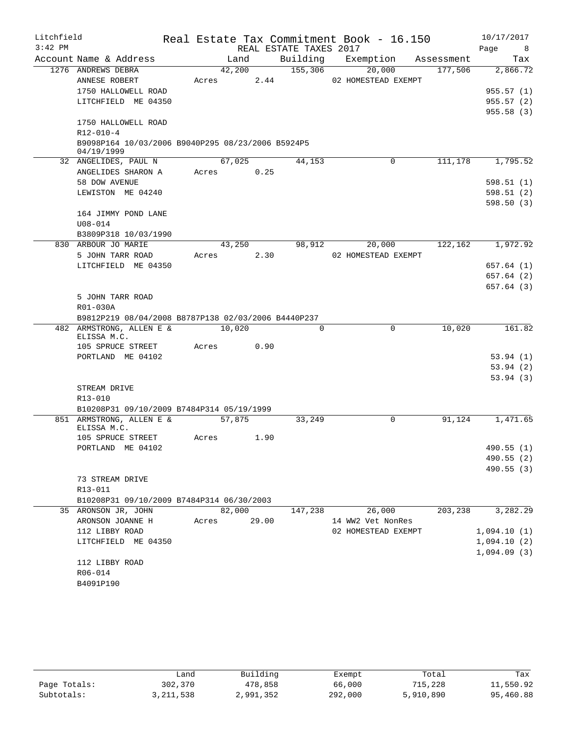| Litchfield |                                                                  |       |             |                        | Real Estate Tax Commitment Book - 16.150 |            | 10/17/2017             |
|------------|------------------------------------------------------------------|-------|-------------|------------------------|------------------------------------------|------------|------------------------|
| $3:42$ PM  |                                                                  |       |             | REAL ESTATE TAXES 2017 |                                          |            | Page<br>8 <sup>8</sup> |
|            | Account Name & Address                                           |       | Land        | Building               | Exemption                                | Assessment | Tax                    |
|            | 1276 ANDREWS DEBRA                                               |       | 42,200      | 155,306                | 20,000                                   | 177,506    | 2,866.72               |
|            | ANNESE ROBERT                                                    | Acres | 2.44        |                        | 02 HOMESTEAD EXEMPT                      |            |                        |
|            | 1750 HALLOWELL ROAD                                              |       |             |                        |                                          |            | 955.57(1)              |
|            | LITCHFIELD ME 04350                                              |       |             |                        |                                          |            | 955.57(2)              |
|            |                                                                  |       |             |                        |                                          |            | 955.58(3)              |
|            | 1750 HALLOWELL ROAD<br>$R12 - 010 - 4$                           |       |             |                        |                                          |            |                        |
|            | B9098P164 10/03/2006 B9040P295 08/23/2006 B5924P5                |       |             |                        |                                          |            |                        |
|            | 04/19/1999                                                       |       |             |                        |                                          |            |                        |
|            | 32 ANGELIDES, PAUL N                                             |       | 67,025      | 44,153                 | 0                                        | 111,178    | 1,795.52               |
|            | ANGELIDES SHARON A                                               | Acres | 0.25        |                        |                                          |            |                        |
|            | 58 DOW AVENUE                                                    |       |             |                        |                                          |            | 598.51(1)              |
|            | LEWISTON ME 04240                                                |       |             |                        |                                          |            | 598.51(2)              |
|            |                                                                  |       |             |                        |                                          |            | 598.50(3)              |
|            | 164 JIMMY POND LANE                                              |       |             |                        |                                          |            |                        |
|            | $U08 - 014$                                                      |       |             |                        |                                          |            |                        |
|            | B3809P318 10/03/1990                                             |       |             |                        |                                          |            |                        |
|            | 830 ARBOUR JO MARIE                                              |       | 43,250      | 98,912                 | 20,000                                   | 122,162    | 1,972.92               |
|            | 5 JOHN TARR ROAD                                                 | Acres | 2.30        |                        | 02 HOMESTEAD EXEMPT                      |            |                        |
|            | LITCHFIELD ME 04350                                              |       |             |                        |                                          |            | 657.64(1)<br>657.64(2) |
|            |                                                                  |       |             |                        |                                          |            | 657.64(3)              |
|            | 5 JOHN TARR ROAD                                                 |       |             |                        |                                          |            |                        |
|            | R01-030A                                                         |       |             |                        |                                          |            |                        |
|            | B9812P219 08/04/2008 B8787P138 02/03/2006 B4440P237              |       |             |                        |                                          |            |                        |
|            | 482 ARMSTRONG, ALLEN E &                                         |       | 10,020      | 0                      | 0                                        | 10,020     | 161.82                 |
|            | ELISSA M.C.                                                      |       |             |                        |                                          |            |                        |
|            | 105 SPRUCE STREET                                                | Acres | 0.90        |                        |                                          |            |                        |
|            | PORTLAND ME 04102                                                |       |             |                        |                                          |            | 53.94(1)               |
|            |                                                                  |       |             |                        |                                          |            | 53.94(2)               |
|            |                                                                  |       |             |                        |                                          |            | 53.94(3)               |
|            | STREAM DRIVE<br>R13-010                                          |       |             |                        |                                          |            |                        |
|            | B10208P31 09/10/2009 B7484P314 05/19/1999                        |       |             |                        |                                          |            |                        |
|            | 851 ARMSTRONG, ALLEN E &                                         |       | 57,875      | 33,249                 | 0                                        | 91,124     | 1,471.65               |
|            | ELISSA M.C.                                                      |       |             |                        |                                          |            |                        |
|            | 105 SPRUCE STREET                                                | Acres | 1.90        |                        |                                          |            |                        |
|            | PORTLAND ME 04102                                                |       |             |                        |                                          |            | 490.55 (1)             |
|            |                                                                  |       |             |                        |                                          |            | 490.55(2)              |
|            |                                                                  |       |             |                        |                                          |            | 490.55 (3)             |
|            | 73 STREAM DRIVE                                                  |       |             |                        |                                          |            |                        |
|            | R13-011                                                          |       |             |                        |                                          |            |                        |
|            | B10208P31 09/10/2009 B7484P314 06/30/2003<br>35 ARONSON JR, JOHN |       | 82,000      |                        |                                          | 203,238    | 3,282.29               |
|            | ARONSON JOANNE H                                                 |       | Acres 29.00 | 147,238                | 26,000<br>14 WW2 Vet NonRes              |            |                        |
|            | 112 LIBBY ROAD                                                   |       |             |                        | 02 HOMESTEAD EXEMPT                      |            | 1,094.10(1)            |
|            | LITCHFIELD ME 04350                                              |       |             |                        |                                          |            | 1,094.10(2)            |
|            |                                                                  |       |             |                        |                                          |            | 1,094.09(3)            |
|            | 112 LIBBY ROAD                                                   |       |             |                        |                                          |            |                        |
|            | R06-014                                                          |       |             |                        |                                          |            |                        |
|            | B4091P190                                                        |       |             |                        |                                          |            |                        |

|              | Land      | Building  | Exempt  | Total     | Tax       |
|--------------|-----------|-----------|---------|-----------|-----------|
| Page Totals: | 302,370   | 478,858   | 66,000  | 715,228   | 11,550.92 |
| Subtotals:   | 3,211,538 | 2,991,352 | 292,000 | 5,910,890 | 95,460.88 |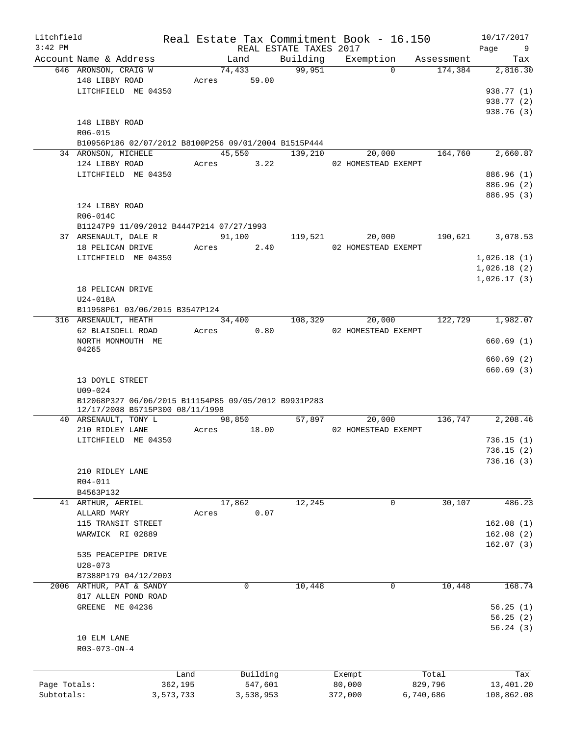| Litchfield   |                                                      |           |       |                 | Real Estate Tax Commitment Book - 16.150 |                  |                       |            | 10/17/2017             |
|--------------|------------------------------------------------------|-----------|-------|-----------------|------------------------------------------|------------------|-----------------------|------------|------------------------|
| $3:42$ PM    |                                                      |           |       |                 | REAL ESTATE TAXES 2017                   |                  |                       |            | Page<br>9              |
|              | Account Name & Address                               |           |       | Land            | Building                                 |                  | Exemption<br>$\Omega$ | Assessment | Tax                    |
|              | 646 ARONSON, CRAIG W<br>148 LIBBY ROAD               |           | Acres | 74,433<br>59.00 | 99,951                                   |                  |                       | 174,384    | 2,816.30               |
|              | LITCHFIELD ME 04350                                  |           |       |                 |                                          |                  |                       |            | 938.77 (1)             |
|              |                                                      |           |       |                 |                                          |                  |                       |            | 938.77 (2)             |
|              |                                                      |           |       |                 |                                          |                  |                       |            | 938.76 (3)             |
|              | 148 LIBBY ROAD                                       |           |       |                 |                                          |                  |                       |            |                        |
|              | R06-015                                              |           |       |                 |                                          |                  |                       |            |                        |
|              | B10956P186 02/07/2012 B8100P256 09/01/2004 B1515P444 |           |       |                 |                                          |                  |                       |            |                        |
|              | 34 ARONSON, MICHELE                                  |           |       | 45,550          | 139,210                                  |                  | 20,000                | 164,760    | 2,660.87               |
|              | 124 LIBBY ROAD                                       |           |       | Acres 3.22      |                                          |                  | 02 HOMESTEAD EXEMPT   |            |                        |
|              | LITCHFIELD ME 04350                                  |           |       |                 |                                          |                  |                       |            | 886.96 (1)             |
|              |                                                      |           |       |                 |                                          |                  |                       |            | 886.96 (2)             |
|              |                                                      |           |       |                 |                                          |                  |                       |            | 886.95 (3)             |
|              | 124 LIBBY ROAD                                       |           |       |                 |                                          |                  |                       |            |                        |
|              | R06-014C                                             |           |       |                 |                                          |                  |                       |            |                        |
|              | B11247P9 11/09/2012 B4447P214 07/27/1993             |           |       |                 |                                          |                  |                       |            |                        |
|              | 37 ARSENAULT, DALE R                                 |           |       | 91,100          | 119,521                                  |                  | 20,000                | 190,621    | 3,078.53               |
|              | 18 PELICAN DRIVE                                     |           | Acres | 2.40            |                                          |                  | 02 HOMESTEAD EXEMPT   |            |                        |
|              | LITCHFIELD ME 04350                                  |           |       |                 |                                          |                  |                       |            | 1,026.18(1)            |
|              |                                                      |           |       |                 |                                          |                  |                       |            | 1,026.18(2)            |
|              |                                                      |           |       |                 |                                          |                  |                       |            | 1,026.17(3)            |
|              | 18 PELICAN DRIVE                                     |           |       |                 |                                          |                  |                       |            |                        |
|              | U24-018A                                             |           |       |                 |                                          |                  |                       |            |                        |
|              | B11958P61 03/06/2015 B3547P124                       |           |       |                 |                                          |                  |                       |            |                        |
|              | 316 ARSENAULT, HEATH                                 |           |       | 34,400          | 108,329                                  |                  | 20,000                | 122,729    | 1,982.07               |
|              | 62 BLAISDELL ROAD                                    |           | Acres | 0.80            |                                          |                  | 02 HOMESTEAD EXEMPT   |            |                        |
|              | NORTH MONMOUTH ME<br>04265                           |           |       |                 |                                          |                  |                       |            | 660.69(1)              |
|              |                                                      |           |       |                 |                                          |                  |                       |            | 660.69(2)              |
|              |                                                      |           |       |                 |                                          |                  |                       |            | 660.69(3)              |
|              | 13 DOYLE STREET                                      |           |       |                 |                                          |                  |                       |            |                        |
|              | $U09 - 024$                                          |           |       |                 |                                          |                  |                       |            |                        |
|              | B12068P327 06/06/2015 B11154P85 09/05/2012 B9931P283 |           |       |                 |                                          |                  |                       |            |                        |
|              | 12/17/2008 B5715P300 08/11/1998                      |           |       |                 |                                          |                  |                       |            |                        |
|              | 40 ARSENAULT, TONY L                                 |           |       | 98,850          | 57,897                                   |                  | 20,000                | 136,747    | 2,208.46               |
|              | 210 RIDLEY LANE                                      |           | Acres | 18.00           |                                          |                  | 02 HOMESTEAD EXEMPT   |            |                        |
|              | LITCHFIELD ME 04350                                  |           |       |                 |                                          |                  |                       |            | 736.15(1)              |
|              |                                                      |           |       |                 |                                          |                  |                       |            | 736.15(2)              |
|              |                                                      |           |       |                 |                                          |                  |                       |            | 736.16(3)              |
|              | 210 RIDLEY LANE                                      |           |       |                 |                                          |                  |                       |            |                        |
|              | R04-011                                              |           |       |                 |                                          |                  |                       |            |                        |
|              | B4563P132                                            |           |       |                 |                                          |                  | $\mathbf 0$           |            |                        |
|              | 41 ARTHUR, AERIEL                                    |           |       | 17,862          | 12,245                                   |                  |                       | 30,107     | 486.23                 |
|              | ALLARD MARY<br>115 TRANSIT STREET                    |           | Acres | 0.07            |                                          |                  |                       |            | 162.08(1)              |
|              | WARWICK RI 02889                                     |           |       |                 |                                          |                  |                       |            |                        |
|              |                                                      |           |       |                 |                                          |                  |                       |            | 162.08(2)<br>162.07(3) |
|              | 535 PEACEPIPE DRIVE                                  |           |       |                 |                                          |                  |                       |            |                        |
|              | $U28 - 073$                                          |           |       |                 |                                          |                  |                       |            |                        |
|              | B7388P179 04/12/2003                                 |           |       |                 |                                          |                  |                       |            |                        |
|              | 2006 ARTHUR, PAT & SANDY                             |           |       | 0               | 10,448                                   |                  | 0                     | 10,448     | 168.74                 |
|              | 817 ALLEN POND ROAD                                  |           |       |                 |                                          |                  |                       |            |                        |
|              | GREENE ME 04236                                      |           |       |                 |                                          |                  |                       |            | 56.25(1)               |
|              |                                                      |           |       |                 |                                          |                  |                       |            | 56.25(2)               |
|              |                                                      |           |       |                 |                                          |                  |                       |            | 56.24(3)               |
|              | 10 ELM LANE                                          |           |       |                 |                                          |                  |                       |            |                        |
|              | $R03 - 073 - ON - 4$                                 |           |       |                 |                                          |                  |                       |            |                        |
|              |                                                      |           |       |                 |                                          |                  |                       |            |                        |
|              |                                                      | Land      |       | Building        |                                          |                  |                       | Total      | Tax                    |
| Page Totals: |                                                      | 362,195   |       | 547,601         |                                          | Exempt<br>80,000 |                       | 829,796    | 13,401.20              |
| Subtotals:   |                                                      | 3,573,733 |       | 3,538,953       |                                          | 372,000          |                       | 6,740,686  | 108,862.08             |
|              |                                                      |           |       |                 |                                          |                  |                       |            |                        |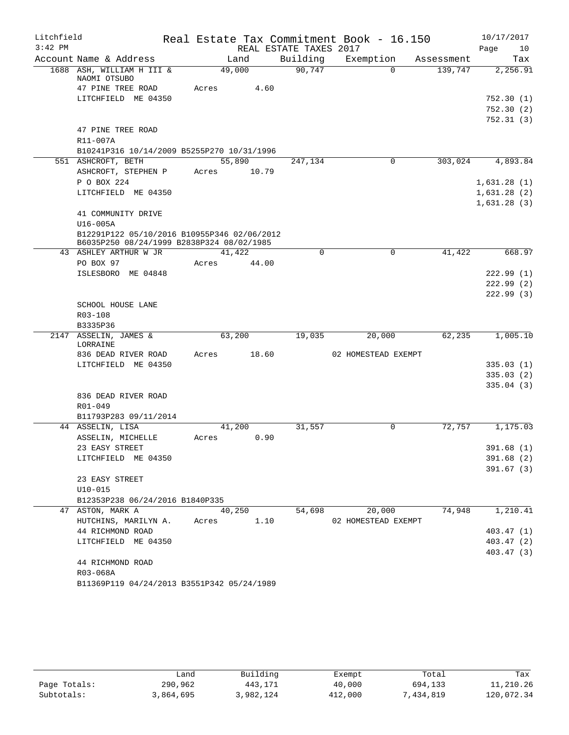| Litchfield |                                                                                          |                |                        | Real Estate Tax Commitment Book - 16.150 |            | 10/17/2017  |
|------------|------------------------------------------------------------------------------------------|----------------|------------------------|------------------------------------------|------------|-------------|
| $3:42$ PM  |                                                                                          |                | REAL ESTATE TAXES 2017 |                                          |            | Page<br>10  |
|            | Account Name & Address                                                                   | Land           | Building               | Exemption                                | Assessment | Tax         |
|            | 1688 ASH, WILLIAM H III &<br>NAOMI OTSUBO                                                | 49,000         | 90,747                 | $\Omega$                                 | 139,747    | 2,256.91    |
|            | 47 PINE TREE ROAD                                                                        | 4.60<br>Acres  |                        |                                          |            |             |
|            | LITCHFIELD ME 04350                                                                      |                |                        |                                          |            | 752.30(1)   |
|            |                                                                                          |                |                        |                                          |            | 752.30(2)   |
|            |                                                                                          |                |                        |                                          |            | 752.31 (3)  |
|            | 47 PINE TREE ROAD                                                                        |                |                        |                                          |            |             |
|            | R11-007A                                                                                 |                |                        |                                          |            |             |
|            | B10241P316 10/14/2009 B5255P270 10/31/1996                                               |                |                        |                                          |            |             |
|            | 551 ASHCROFT, BETH                                                                       | 55,890         | 247,134                | 0                                        | 303,024    | 4,893.84    |
|            | ASHCROFT, STEPHEN P                                                                      | 10.79<br>Acres |                        |                                          |            |             |
|            | P O BOX 224                                                                              |                |                        |                                          |            | 1,631.28(1) |
|            | LITCHFIELD ME 04350                                                                      |                |                        |                                          |            | 1,631.28(2) |
|            |                                                                                          |                |                        |                                          |            | 1,631.28(3) |
|            | 41 COMMUNITY DRIVE                                                                       |                |                        |                                          |            |             |
|            | $U16-005A$                                                                               |                |                        |                                          |            |             |
|            | B12291P122 05/10/2016 B10955P346 02/06/2012<br>B6035P250 08/24/1999 B2838P324 08/02/1985 |                |                        |                                          |            |             |
|            | 43 ASHLEY ARTHUR W JR                                                                    | 41,422         | $\Omega$               | $\mathbf 0$                              | 41,422     | 668.97      |
|            | PO BOX 97                                                                                | 44.00<br>Acres |                        |                                          |            |             |
|            | ISLESBORO ME 04848                                                                       |                |                        |                                          |            | 222.99(1)   |
|            |                                                                                          |                |                        |                                          |            | 222.99(2)   |
|            |                                                                                          |                |                        |                                          |            | 222.99(3)   |
|            | SCHOOL HOUSE LANE                                                                        |                |                        |                                          |            |             |
|            | R03-108                                                                                  |                |                        |                                          |            |             |
|            | B3335P36                                                                                 |                |                        |                                          |            |             |
| 2147       | ASSELIN, JAMES &<br>LORRAINE                                                             | 63,200         | 19,035                 | 20,000                                   | 62,235     | 1,005.10    |
|            | 836 DEAD RIVER ROAD                                                                      | 18.60<br>Acres |                        | 02 HOMESTEAD EXEMPT                      |            |             |
|            | LITCHFIELD ME 04350                                                                      |                |                        |                                          |            | 335.03(1)   |
|            |                                                                                          |                |                        |                                          |            | 335.03(2)   |
|            |                                                                                          |                |                        |                                          |            | 335.04(3)   |
|            | 836 DEAD RIVER ROAD                                                                      |                |                        |                                          |            |             |
|            | R01-049<br>B11793P283 09/11/2014                                                         |                |                        |                                          |            |             |
|            | 44 ASSELIN, LISA                                                                         | 41,200         | 31,557                 | 0                                        | 72,757     | 1,175.03    |
|            | ASSELIN, MICHELLE                                                                        | 0.90<br>Acres  |                        |                                          |            |             |
|            | 23 EASY STREET                                                                           |                |                        |                                          |            | 391.68 (1)  |
|            | LITCHFIELD ME 04350                                                                      |                |                        |                                          |            | 391.68 (2)  |
|            |                                                                                          |                |                        |                                          |            | 391.67(3)   |
|            | 23 EASY STREET                                                                           |                |                        |                                          |            |             |
|            | $U10 - 015$                                                                              |                |                        |                                          |            |             |
|            | B12353P238 06/24/2016 B1840P335                                                          |                |                        |                                          |            |             |
|            | 47 ASTON, MARK A                                                                         | 40,250         | 54,698                 | 20,000                                   | 74,948     | 1,210.41    |
|            | HUTCHINS, MARILYN A.                                                                     | 1.10<br>Acres  |                        | 02 HOMESTEAD EXEMPT                      |            |             |
|            | 44 RICHMOND ROAD                                                                         |                |                        |                                          |            | 403.47(1)   |
|            | LITCHFIELD ME 04350                                                                      |                |                        |                                          |            | 403.47 (2)  |
|            |                                                                                          |                |                        |                                          |            | 403.47 (3)  |
|            | 44 RICHMOND ROAD                                                                         |                |                        |                                          |            |             |
|            | R03-068A                                                                                 |                |                        |                                          |            |             |
|            | B11369P119 04/24/2013 B3551P342 05/24/1989                                               |                |                        |                                          |            |             |

|              | Land      | Building  | Exempt  | Total     | Tax        |
|--------------|-----------|-----------|---------|-----------|------------|
| Page Totals: | 290,962   | 443,171   | 40,000  | 694,133   | 11,210.26  |
| Subtotals:   | 3,864,695 | 3,982,124 | 412,000 | 1,434,819 | 120,072.34 |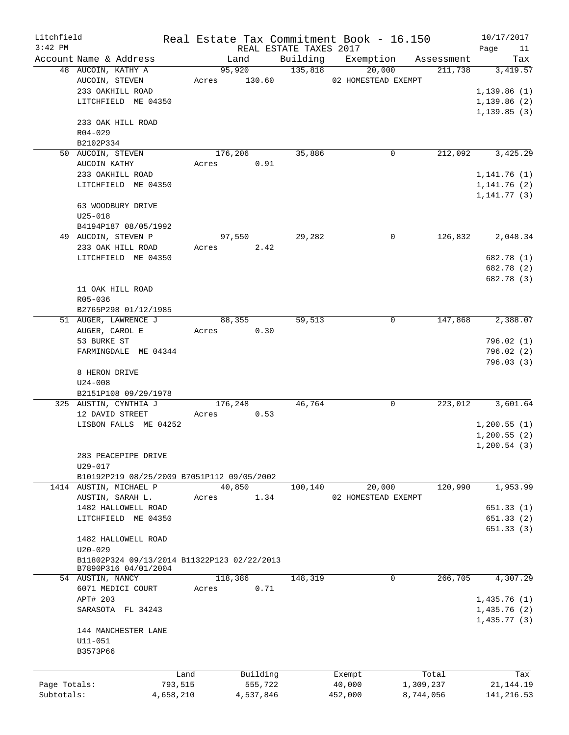| Litchfield<br>$3:42$ PM |                                             |           |       |              | REAL ESTATE TAXES 2017 | Real Estate Tax Commitment Book - 16.150 |                               | 10/17/2017<br>Page<br>11 |
|-------------------------|---------------------------------------------|-----------|-------|--------------|------------------------|------------------------------------------|-------------------------------|--------------------------|
|                         | Account Name & Address                      |           |       | Land         |                        |                                          | Building Exemption Assessment | Tax                      |
|                         | 48 AUCOIN, KATHY A                          |           |       | 95,920       | 135,818                | 20,000                                   | 211,738                       | 3,419.57                 |
|                         | AUCOIN, STEVEN                              |           |       | Acres 130.60 |                        | 02 HOMESTEAD EXEMPT                      |                               |                          |
|                         | 233 OAKHILL ROAD                            |           |       |              |                        |                                          |                               | 1,139.86(1)              |
|                         | LITCHFIELD ME 04350                         |           |       |              |                        |                                          |                               | 1,139.86(2)              |
|                         |                                             |           |       |              |                        |                                          |                               | 1, 139.85(3)             |
|                         | 233 OAK HILL ROAD                           |           |       |              |                        |                                          |                               |                          |
|                         | $R04 - 029$                                 |           |       |              |                        |                                          |                               |                          |
|                         | B2102P334                                   |           |       |              |                        |                                          |                               |                          |
|                         | 50 AUCOIN, STEVEN                           |           |       | 176,206      | 35,886                 | 0                                        | 212,092                       | 3,425.29                 |
|                         | AUCOIN KATHY                                |           | Acres | 0.91         |                        |                                          |                               |                          |
|                         | 233 OAKHILL ROAD                            |           |       |              |                        |                                          |                               | 1,141.76(1)              |
|                         | LITCHFIELD ME 04350                         |           |       |              |                        |                                          |                               | 1, 141. 76 (2)           |
|                         |                                             |           |       |              |                        |                                          |                               | 1, 141.77(3)             |
|                         | 63 WOODBURY DRIVE                           |           |       |              |                        |                                          |                               |                          |
|                         | $U25 - 018$                                 |           |       |              |                        |                                          |                               |                          |
|                         | B4194P187 08/05/1992                        |           |       |              |                        |                                          |                               |                          |
|                         | 49 AUCOIN, STEVEN P                         |           |       | 97,550       | 29,282                 | 0                                        | 126,832                       | 2,048.34                 |
|                         | 233 OAK HILL ROAD                           |           |       | Acres 2.42   |                        |                                          |                               |                          |
|                         | LITCHFIELD ME 04350                         |           |       |              |                        |                                          |                               | 682.78 (1)               |
|                         |                                             |           |       |              |                        |                                          |                               | 682.78 (2)               |
|                         |                                             |           |       |              |                        |                                          |                               | 682.78 (3)               |
|                         | 11 OAK HILL ROAD                            |           |       |              |                        |                                          |                               |                          |
|                         | R05-036                                     |           |       |              |                        |                                          |                               |                          |
|                         | B2765P298 01/12/1985                        |           |       |              |                        |                                          |                               |                          |
|                         | 51 AUGER, LAWRENCE J                        |           |       | 88,355       | 59,513                 | 0                                        | 147,868                       | 2,388.07                 |
|                         | AUGER, CAROL E                              |           |       | Acres 0.30   |                        |                                          |                               |                          |
|                         | 53 BURKE ST                                 |           |       |              |                        |                                          |                               | 796.02(1)                |
|                         | FARMINGDALE ME 04344                        |           |       |              |                        |                                          |                               | 796.02(2)                |
|                         |                                             |           |       |              |                        |                                          |                               | 796.03 (3)               |
|                         | 8 HERON DRIVE                               |           |       |              |                        |                                          |                               |                          |
|                         | $U24 - 008$                                 |           |       |              |                        |                                          |                               |                          |
|                         | B2151P108 09/29/1978                        |           |       |              |                        |                                          |                               |                          |
|                         | 325 AUSTIN, CYNTHIA J                       |           |       | 176,248      | 46,764                 | $\mathbf 0$                              | 223,012                       | 3,601.64                 |
|                         | 12 DAVID STREET                             |           | Acres | 0.53         |                        |                                          |                               |                          |
|                         | LISBON FALLS ME 04252                       |           |       |              |                        |                                          |                               | 1,200.55(1)              |
|                         |                                             |           |       |              |                        |                                          |                               | 1,200.55(2)              |
|                         |                                             |           |       |              |                        |                                          |                               | 1, 200.54(3)             |
|                         | 283 PEACEPIPE DRIVE<br>$U29 - 017$          |           |       |              |                        |                                          |                               |                          |
|                         | B10192P219 08/25/2009 B7051P112 09/05/2002  |           |       |              |                        |                                          |                               |                          |
|                         | 1414 AUSTIN, MICHAEL P                      |           |       | 40,850       | 100,140                | 20,000                                   | 120,990                       | 1,953.99                 |
|                         | AUSTIN, SARAH L.                            |           | Acres | 1.34         |                        | 02 HOMESTEAD EXEMPT                      |                               |                          |
|                         | 1482 HALLOWELL ROAD                         |           |       |              |                        |                                          |                               | 651.33(1)                |
|                         | LITCHFIELD ME 04350                         |           |       |              |                        |                                          |                               | 651.33(2)                |
|                         |                                             |           |       |              |                        |                                          |                               | 651.33(3)                |
|                         | 1482 HALLOWELL ROAD                         |           |       |              |                        |                                          |                               |                          |
|                         | $U20 - 029$                                 |           |       |              |                        |                                          |                               |                          |
|                         | B11802P324 09/13/2014 B11322P123 02/22/2013 |           |       |              |                        |                                          |                               |                          |
|                         | B7890P316 04/01/2004                        |           |       |              |                        |                                          |                               |                          |
|                         | 54 AUSTIN, NANCY                            |           |       | 118,386      | 148,319                | 0                                        | 266,705                       | 4,307.29                 |
|                         | 6071 MEDICI COURT                           |           | Acres | 0.71         |                        |                                          |                               |                          |
|                         | APT# 203                                    |           |       |              |                        |                                          |                               | 1,435.76(1)              |
|                         | SARASOTA FL 34243                           |           |       |              |                        |                                          |                               | 1,435.76(2)              |
|                         |                                             |           |       |              |                        |                                          |                               | 1,435.77(3)              |
|                         | 144 MANCHESTER LANE                         |           |       |              |                        |                                          |                               |                          |
|                         | $U11 - 051$                                 |           |       |              |                        |                                          |                               |                          |
|                         | B3573P66                                    |           |       |              |                        |                                          |                               |                          |
|                         |                                             |           |       |              |                        |                                          |                               |                          |
|                         |                                             | Land      |       | Building     |                        | Exempt                                   | Total                         | Tax                      |
| Page Totals:            |                                             | 793,515   |       | 555,722      |                        | 40,000                                   | 1,309,237                     | 21, 144. 19              |
| Subtotals:              |                                             | 4,658,210 |       | 4,537,846    |                        | 452,000                                  | 8,744,056                     | 141, 216.53              |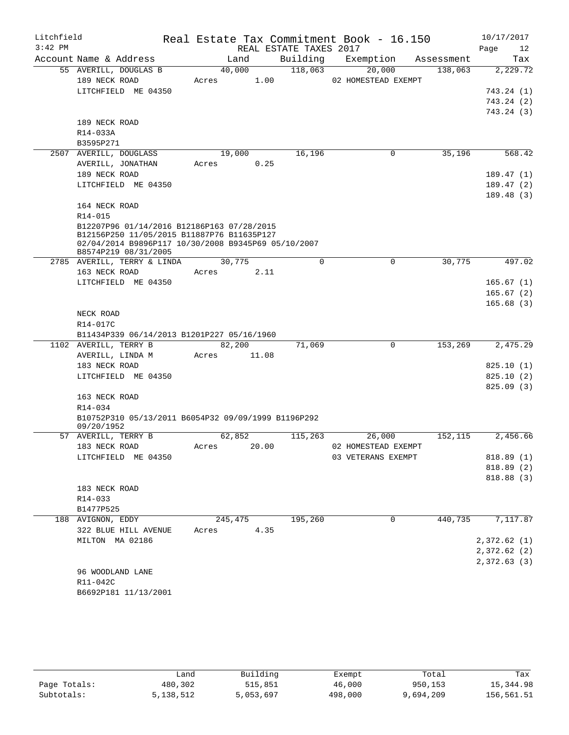| Litchfield<br>$3:42$ PM |                                                                             |                | REAL ESTATE TAXES 2017 | Real Estate Tax Commitment Book - 16.150 |            | 10/17/2017<br>Page<br>12 |
|-------------------------|-----------------------------------------------------------------------------|----------------|------------------------|------------------------------------------|------------|--------------------------|
|                         | Account Name & Address                                                      | Land           | Building               | Exemption                                | Assessment | Tax                      |
|                         | 55 AVERILL, DOUGLAS B                                                       | 40,000         | 118,063                | 20,000                                   | 138,063    | 2,229.72                 |
|                         | 189 NECK ROAD                                                               | Acres          | 1.00                   | 02 HOMESTEAD EXEMPT                      |            |                          |
|                         | LITCHFIELD ME 04350                                                         |                |                        |                                          |            | 743.24 (1)               |
|                         |                                                                             |                |                        |                                          |            | 743.24(2)                |
|                         |                                                                             |                |                        |                                          |            | 743.24(3)                |
|                         | 189 NECK ROAD                                                               |                |                        |                                          |            |                          |
|                         | R14-033A                                                                    |                |                        |                                          |            |                          |
|                         | B3595P271                                                                   |                |                        |                                          |            |                          |
|                         | 2507 AVERILL, DOUGLASS                                                      | 19,000         | 16,196                 | $\mathbf 0$                              | 35,196     | 568.42                   |
|                         | AVERILL, JONATHAN                                                           | Acres          | 0.25                   |                                          |            |                          |
|                         | 189 NECK ROAD                                                               |                |                        |                                          |            | 189.47(1)                |
|                         | LITCHFIELD ME 04350                                                         |                |                        |                                          |            | 189.47(2)                |
|                         |                                                                             |                |                        |                                          |            | 189.48(3)                |
|                         | 164 NECK ROAD                                                               |                |                        |                                          |            |                          |
|                         | R14-015                                                                     |                |                        |                                          |            |                          |
|                         | B12207P96 01/14/2016 B12186P163 07/28/2015                                  |                |                        |                                          |            |                          |
|                         | B12156P250 11/05/2015 B11887P76 B11635P127                                  |                |                        |                                          |            |                          |
|                         | 02/04/2014 B9896P117 10/30/2008 B9345P69 05/10/2007<br>B8574P219 08/31/2005 |                |                        |                                          |            |                          |
|                         | 2785 AVERILL, TERRY & LINDA                                                 | 30,775         | $\Omega$               | 0                                        | 30,775     | 497.02                   |
|                         | 163 NECK ROAD                                                               | Acres          | 2.11                   |                                          |            |                          |
|                         | LITCHFIELD ME 04350                                                         |                |                        |                                          |            | 165.67(1)                |
|                         |                                                                             |                |                        |                                          |            | 165.67(2)                |
|                         |                                                                             |                |                        |                                          |            | 165.68(3)                |
|                         | NECK ROAD                                                                   |                |                        |                                          |            |                          |
|                         | R14-017C                                                                    |                |                        |                                          |            |                          |
|                         | B11434P339 06/14/2013 B1201P227 05/16/1960                                  |                |                        |                                          |            |                          |
|                         | 1102 AVERILL, TERRY B                                                       | 82,200         | 71,069                 | 0                                        | 153,269    | 2,475.29                 |
|                         | AVERILL, LINDA M                                                            | Acres<br>11.08 |                        |                                          |            |                          |
|                         | 183 NECK ROAD                                                               |                |                        |                                          |            | 825.10(1)                |
|                         | LITCHFIELD ME 04350                                                         |                |                        |                                          |            | 825.10(2)                |
|                         |                                                                             |                |                        |                                          |            | 825.09(3)                |
|                         | 163 NECK ROAD                                                               |                |                        |                                          |            |                          |
|                         | $R14 - 034$                                                                 |                |                        |                                          |            |                          |
|                         | B10752P310 05/13/2011 B6054P32 09/09/1999 B1196P292                         |                |                        |                                          |            |                          |
|                         | 09/20/1952                                                                  |                |                        |                                          |            |                          |
|                         | 57 AVERILL, TERRY B                                                         | 62,852         | 115,263                | 26,000                                   | 152, 115   | 2,456.66                 |
|                         | 183 NECK ROAD                                                               | Acres 20.00    |                        | 02 HOMESTEAD EXEMPT                      |            |                          |
|                         | LITCHFIELD ME 04350                                                         |                |                        | 03 VETERANS EXEMPT                       |            | 818.89 (1)               |
|                         |                                                                             |                |                        |                                          |            | 818.89 (2)               |
|                         |                                                                             |                |                        |                                          |            | 818.88 (3)               |
|                         | 183 NECK ROAD                                                               |                |                        |                                          |            |                          |
|                         | R14-033                                                                     |                |                        |                                          |            |                          |
|                         | B1477P525                                                                   |                |                        |                                          |            |                          |
|                         | 188 AVIGNON, EDDY                                                           | 245,475        | 195,260                | $\mathbf 0$                              | 440,735    | 7,117.87                 |
|                         | 322 BLUE HILL AVENUE                                                        | Acres          | 4.35                   |                                          |            |                          |
|                         | MILTON MA 02186                                                             |                |                        |                                          |            | 2,372.62(1)              |
|                         |                                                                             |                |                        |                                          |            | 2,372.62(2)              |
|                         |                                                                             |                |                        |                                          |            | 2,372.63(3)              |
|                         | 96 WOODLAND LANE                                                            |                |                        |                                          |            |                          |
|                         | R11-042C                                                                    |                |                        |                                          |            |                          |
|                         | B6692P181 11/13/2001                                                        |                |                        |                                          |            |                          |

|              | Land      | Building  | Exempt  | Total     | Tax        |
|--------------|-----------|-----------|---------|-----------|------------|
| Page Totals: | 480,302   | 515,851   | 46,000  | 950,153   | 15,344.98  |
| Subtotals:   | 5,138,512 | 5,053,697 | 498,000 | 9,694,209 | 156,561.51 |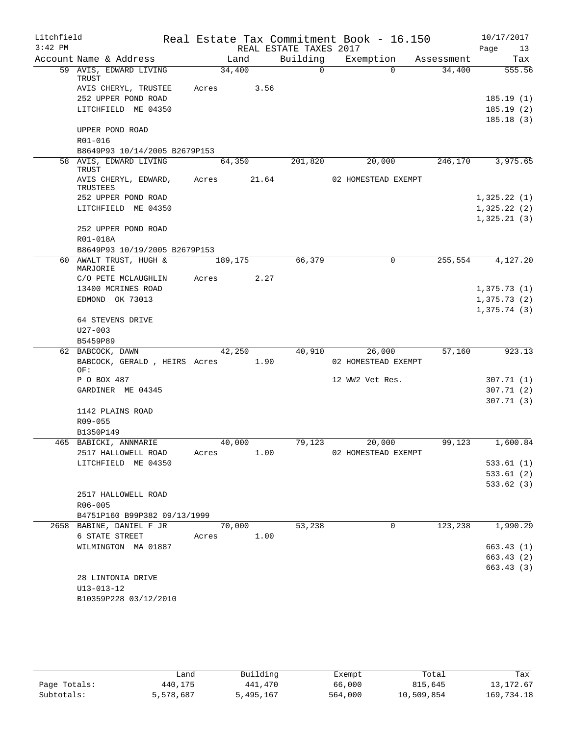| Litchfield |                                          |         |       |                        | Real Estate Tax Commitment Book - 16.150 |            | 10/17/2017             |
|------------|------------------------------------------|---------|-------|------------------------|------------------------------------------|------------|------------------------|
| $3:42$ PM  |                                          |         |       | REAL ESTATE TAXES 2017 |                                          |            | Page<br>13             |
|            | Account Name & Address                   | Land    |       | Building               | Exemption                                | Assessment | Tax                    |
|            | 59 AVIS, EDWARD LIVING<br>TRUST          | 34,400  |       | $\Omega$               | $\Omega$                                 | 34,400     | 555.56                 |
|            | AVIS CHERYL, TRUSTEE                     | Acres   | 3.56  |                        |                                          |            |                        |
|            | 252 UPPER POND ROAD                      |         |       |                        |                                          |            | 185.19(1)              |
|            | LITCHFIELD ME 04350                      |         |       |                        |                                          |            | 185.19(2)              |
|            |                                          |         |       |                        |                                          |            | 185.18(3)              |
|            | UPPER POND ROAD                          |         |       |                        |                                          |            |                        |
|            | R01-016<br>B8649P93 10/14/2005 B2679P153 |         |       |                        |                                          |            |                        |
|            | 58 AVIS, EDWARD LIVING                   | 64,350  |       | 201,820                | 20,000                                   | 246,170    | 3,975.65               |
|            | TRUST                                    |         |       |                        |                                          |            |                        |
|            | AVIS CHERYL, EDWARD,<br>TRUSTEES         | Acres   | 21.64 |                        | 02 HOMESTEAD EXEMPT                      |            |                        |
|            | 252 UPPER POND ROAD                      |         |       |                        |                                          |            | 1,325.22(1)            |
|            | LITCHFIELD ME 04350                      |         |       |                        |                                          |            | 1,325.22(2)            |
|            |                                          |         |       |                        |                                          |            | 1,325.21(3)            |
|            | 252 UPPER POND ROAD                      |         |       |                        |                                          |            |                        |
|            | R01-018A                                 |         |       |                        |                                          |            |                        |
|            | B8649P93 10/19/2005 B2679P153            |         |       |                        |                                          |            |                        |
|            | 60 AWALT TRUST, HUGH &<br>MARJORIE       | 189,175 |       | 66,379                 | $\Omega$                                 | 255,554    | 4,127.20               |
|            | C/O PETE MCLAUGHLIN                      | Acres   | 2.27  |                        |                                          |            |                        |
|            | 13400 MCRINES ROAD                       |         |       |                        |                                          |            | 1,375.73(1)            |
|            | EDMOND OK 73013                          |         |       |                        |                                          |            | 1,375.73(2)            |
|            |                                          |         |       |                        |                                          |            | 1,375.74(3)            |
|            | 64 STEVENS DRIVE<br>$U27 - 003$          |         |       |                        |                                          |            |                        |
|            | B5459P89                                 |         |       |                        |                                          |            |                        |
|            | 62 BABCOCK, DAWN                         | 42,250  |       | 40,910                 | 26,000                                   | 57,160     | 923.13                 |
|            | BABCOCK, GERALD, HEIRS Acres<br>OF:      |         | 1.90  |                        | 02 HOMESTEAD EXEMPT                      |            |                        |
|            | P O BOX 487                              |         |       |                        | 12 WW2 Vet Res.                          |            | 307.71 (1)             |
|            | GARDINER ME 04345                        |         |       |                        |                                          |            | 307.71(2)              |
|            |                                          |         |       |                        |                                          |            | 307.71(3)              |
|            | 1142 PLAINS ROAD                         |         |       |                        |                                          |            |                        |
|            | R09-055                                  |         |       |                        |                                          |            |                        |
|            | B1350P149                                |         |       |                        |                                          |            |                        |
|            | 465 BABICKI, ANNMARIE                    | 40,000  |       | 79,123                 | 20,000                                   | 99,123     | 1,600.84               |
|            | 2517 HALLOWELL ROAD                      | Acres   | 1.00  |                        | 02 HOMESTEAD EXEMPT                      |            |                        |
|            | LITCHFIELD ME 04350                      |         |       |                        |                                          |            | 533.61 (1)             |
|            |                                          |         |       |                        |                                          |            | 533.61(2)<br>533.62(3) |
|            | 2517 HALLOWELL ROAD                      |         |       |                        |                                          |            |                        |
|            | R06-005                                  |         |       |                        |                                          |            |                        |
|            | B4751P160 B99P382 09/13/1999             |         |       |                        |                                          |            |                        |
|            | 2658 BABINE, DANIEL F JR                 | 70,000  |       | 53,238                 | $\Omega$                                 | 123,238    | 1,990.29               |
|            | 6 STATE STREET                           | Acres   | 1.00  |                        |                                          |            |                        |
|            | WILMINGTON MA 01887                      |         |       |                        |                                          |            | 663.43(1)              |
|            |                                          |         |       |                        |                                          |            | 663.43 (2)             |
|            |                                          |         |       |                        |                                          |            | 663.43 (3)             |
|            | 28 LINTONIA DRIVE                        |         |       |                        |                                          |            |                        |
|            | $U13 - 013 - 12$                         |         |       |                        |                                          |            |                        |
|            | B10359P228 03/12/2010                    |         |       |                        |                                          |            |                        |

|              | شand      | Building  | Exempt  | Total      | Tax        |
|--------------|-----------|-----------|---------|------------|------------|
| Page Totals: | 440,175   | 441,470   | 66,000  | 815,645    | 13, 172.67 |
| Subtotals:   | 5,578,687 | 5,495,167 | 564,000 | 10,509,854 | 169,734.18 |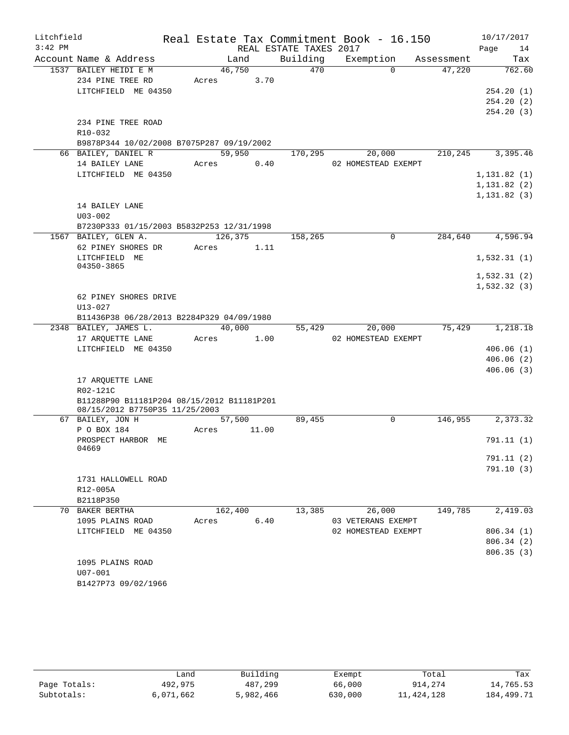| $3:42$ PM<br>REAL ESTATE TAXES 2017<br>Page<br>14<br>Building<br>Account Name & Address<br>Tax<br>Land<br>Exemption<br>Assessment<br>1537 BAILEY HEIDI E M<br>46,750<br>470<br>$\Omega$<br>47,220<br>234 PINE TREE RD<br>Acres<br>3.70<br>LITCHFIELD ME 04350<br>234 PINE TREE ROAD<br>R10-032<br>B9878P344 10/02/2008 B7075P287 09/19/2002<br>66 BAILEY, DANIEL R<br>59,950<br>20,000<br>210,245<br>3,395.46<br>170,295<br>14 BAILEY LANE<br>Acres 0.40<br>02 HOMESTEAD EXEMPT<br>LITCHFIELD ME 04350<br>14 BAILEY LANE<br>$U03 - 002$<br>B7230P333 01/15/2003 B5832P253 12/31/1998<br>1567 BAILEY, GLEN A.<br>126,375<br>284,640<br>158,265<br>$\Omega$<br>62 PINEY SHORES DR<br>1.11<br>Acres<br>LITCHFIELD ME<br>04350-3865<br>62 PINEY SHORES DRIVE<br>$U13 - 027$<br>B11436P38 06/28/2013 B2284P329 04/09/1980<br>40,000<br>75,429<br>1,218.18<br>2348 BAILEY, JAMES L.<br>55,429<br>20,000<br>17 ARQUETTE LANE<br>1.00<br>02 HOMESTEAD EXEMPT<br>Acres<br>LITCHFIELD ME 04350<br>17 ARQUETTE LANE<br>R02-121C<br>B11288P90 B11181P204 08/15/2012 B11181P201<br>08/15/2012 B7750P35 11/25/2003<br>89,455<br>2,373.32<br>57,500<br>$\mathbf 0$<br>146,955<br>67 BAILEY, JON H<br>P O BOX 184<br>Acres<br>11.00<br>PROSPECT HARBOR ME<br>04669<br>1731 HALLOWELL ROAD<br>R12-005A<br>B2118P350<br>2,419.03<br>70 BAKER BERTHA<br>162,400<br>13,385<br>26,000<br>149,785<br>1095 PLAINS ROAD<br>6.40<br>03 VETERANS EXEMPT<br>Acres<br>LITCHFIELD ME 04350<br>02 HOMESTEAD EXEMPT<br>1095 PLAINS ROAD<br>U07-001<br>B1427P73 09/02/1966 | Litchfield |  |  | Real Estate Tax Commitment Book - 16.150 | 10/17/2017 |
|--------------------------------------------------------------------------------------------------------------------------------------------------------------------------------------------------------------------------------------------------------------------------------------------------------------------------------------------------------------------------------------------------------------------------------------------------------------------------------------------------------------------------------------------------------------------------------------------------------------------------------------------------------------------------------------------------------------------------------------------------------------------------------------------------------------------------------------------------------------------------------------------------------------------------------------------------------------------------------------------------------------------------------------------------------------------------------------------------------------------------------------------------------------------------------------------------------------------------------------------------------------------------------------------------------------------------------------------------------------------------------------------------------------------------------------------------------------------------------------------------------------------------------------------|------------|--|--|------------------------------------------|------------|
| 762.60<br>254.20(1)<br>254.20(2)<br>254.20(3)<br>1, 131.82(1)<br>1, 131.82(2)<br>1, 131.82(3)<br>4,596.94<br>1,532.31(1)<br>1,532.31(2)<br>1,532.32(3)                                                                                                                                                                                                                                                                                                                                                                                                                                                                                                                                                                                                                                                                                                                                                                                                                                                                                                                                                                                                                                                                                                                                                                                                                                                                                                                                                                                     |            |  |  |                                          |            |
|                                                                                                                                                                                                                                                                                                                                                                                                                                                                                                                                                                                                                                                                                                                                                                                                                                                                                                                                                                                                                                                                                                                                                                                                                                                                                                                                                                                                                                                                                                                                            |            |  |  |                                          |            |
|                                                                                                                                                                                                                                                                                                                                                                                                                                                                                                                                                                                                                                                                                                                                                                                                                                                                                                                                                                                                                                                                                                                                                                                                                                                                                                                                                                                                                                                                                                                                            |            |  |  |                                          |            |
|                                                                                                                                                                                                                                                                                                                                                                                                                                                                                                                                                                                                                                                                                                                                                                                                                                                                                                                                                                                                                                                                                                                                                                                                                                                                                                                                                                                                                                                                                                                                            |            |  |  |                                          |            |
|                                                                                                                                                                                                                                                                                                                                                                                                                                                                                                                                                                                                                                                                                                                                                                                                                                                                                                                                                                                                                                                                                                                                                                                                                                                                                                                                                                                                                                                                                                                                            |            |  |  |                                          |            |
|                                                                                                                                                                                                                                                                                                                                                                                                                                                                                                                                                                                                                                                                                                                                                                                                                                                                                                                                                                                                                                                                                                                                                                                                                                                                                                                                                                                                                                                                                                                                            |            |  |  |                                          |            |
|                                                                                                                                                                                                                                                                                                                                                                                                                                                                                                                                                                                                                                                                                                                                                                                                                                                                                                                                                                                                                                                                                                                                                                                                                                                                                                                                                                                                                                                                                                                                            |            |  |  |                                          |            |
|                                                                                                                                                                                                                                                                                                                                                                                                                                                                                                                                                                                                                                                                                                                                                                                                                                                                                                                                                                                                                                                                                                                                                                                                                                                                                                                                                                                                                                                                                                                                            |            |  |  |                                          |            |
|                                                                                                                                                                                                                                                                                                                                                                                                                                                                                                                                                                                                                                                                                                                                                                                                                                                                                                                                                                                                                                                                                                                                                                                                                                                                                                                                                                                                                                                                                                                                            |            |  |  |                                          |            |
|                                                                                                                                                                                                                                                                                                                                                                                                                                                                                                                                                                                                                                                                                                                                                                                                                                                                                                                                                                                                                                                                                                                                                                                                                                                                                                                                                                                                                                                                                                                                            |            |  |  |                                          |            |
|                                                                                                                                                                                                                                                                                                                                                                                                                                                                                                                                                                                                                                                                                                                                                                                                                                                                                                                                                                                                                                                                                                                                                                                                                                                                                                                                                                                                                                                                                                                                            |            |  |  |                                          |            |
|                                                                                                                                                                                                                                                                                                                                                                                                                                                                                                                                                                                                                                                                                                                                                                                                                                                                                                                                                                                                                                                                                                                                                                                                                                                                                                                                                                                                                                                                                                                                            |            |  |  |                                          |            |
|                                                                                                                                                                                                                                                                                                                                                                                                                                                                                                                                                                                                                                                                                                                                                                                                                                                                                                                                                                                                                                                                                                                                                                                                                                                                                                                                                                                                                                                                                                                                            |            |  |  |                                          |            |
|                                                                                                                                                                                                                                                                                                                                                                                                                                                                                                                                                                                                                                                                                                                                                                                                                                                                                                                                                                                                                                                                                                                                                                                                                                                                                                                                                                                                                                                                                                                                            |            |  |  |                                          |            |
|                                                                                                                                                                                                                                                                                                                                                                                                                                                                                                                                                                                                                                                                                                                                                                                                                                                                                                                                                                                                                                                                                                                                                                                                                                                                                                                                                                                                                                                                                                                                            |            |  |  |                                          |            |
|                                                                                                                                                                                                                                                                                                                                                                                                                                                                                                                                                                                                                                                                                                                                                                                                                                                                                                                                                                                                                                                                                                                                                                                                                                                                                                                                                                                                                                                                                                                                            |            |  |  |                                          |            |
|                                                                                                                                                                                                                                                                                                                                                                                                                                                                                                                                                                                                                                                                                                                                                                                                                                                                                                                                                                                                                                                                                                                                                                                                                                                                                                                                                                                                                                                                                                                                            |            |  |  |                                          |            |
|                                                                                                                                                                                                                                                                                                                                                                                                                                                                                                                                                                                                                                                                                                                                                                                                                                                                                                                                                                                                                                                                                                                                                                                                                                                                                                                                                                                                                                                                                                                                            |            |  |  |                                          |            |
|                                                                                                                                                                                                                                                                                                                                                                                                                                                                                                                                                                                                                                                                                                                                                                                                                                                                                                                                                                                                                                                                                                                                                                                                                                                                                                                                                                                                                                                                                                                                            |            |  |  |                                          |            |
|                                                                                                                                                                                                                                                                                                                                                                                                                                                                                                                                                                                                                                                                                                                                                                                                                                                                                                                                                                                                                                                                                                                                                                                                                                                                                                                                                                                                                                                                                                                                            |            |  |  |                                          |            |
|                                                                                                                                                                                                                                                                                                                                                                                                                                                                                                                                                                                                                                                                                                                                                                                                                                                                                                                                                                                                                                                                                                                                                                                                                                                                                                                                                                                                                                                                                                                                            |            |  |  |                                          |            |
|                                                                                                                                                                                                                                                                                                                                                                                                                                                                                                                                                                                                                                                                                                                                                                                                                                                                                                                                                                                                                                                                                                                                                                                                                                                                                                                                                                                                                                                                                                                                            |            |  |  |                                          |            |
|                                                                                                                                                                                                                                                                                                                                                                                                                                                                                                                                                                                                                                                                                                                                                                                                                                                                                                                                                                                                                                                                                                                                                                                                                                                                                                                                                                                                                                                                                                                                            |            |  |  |                                          |            |
|                                                                                                                                                                                                                                                                                                                                                                                                                                                                                                                                                                                                                                                                                                                                                                                                                                                                                                                                                                                                                                                                                                                                                                                                                                                                                                                                                                                                                                                                                                                                            |            |  |  |                                          |            |
|                                                                                                                                                                                                                                                                                                                                                                                                                                                                                                                                                                                                                                                                                                                                                                                                                                                                                                                                                                                                                                                                                                                                                                                                                                                                                                                                                                                                                                                                                                                                            |            |  |  |                                          |            |
|                                                                                                                                                                                                                                                                                                                                                                                                                                                                                                                                                                                                                                                                                                                                                                                                                                                                                                                                                                                                                                                                                                                                                                                                                                                                                                                                                                                                                                                                                                                                            |            |  |  |                                          |            |
| 406.06(1)<br>406.06(2)<br>406.06(3)<br>791.11(1)<br>791.11(2)<br>791.10(3)<br>806.34(1)<br>806.34 (2)<br>806.35(3)                                                                                                                                                                                                                                                                                                                                                                                                                                                                                                                                                                                                                                                                                                                                                                                                                                                                                                                                                                                                                                                                                                                                                                                                                                                                                                                                                                                                                         |            |  |  |                                          |            |
|                                                                                                                                                                                                                                                                                                                                                                                                                                                                                                                                                                                                                                                                                                                                                                                                                                                                                                                                                                                                                                                                                                                                                                                                                                                                                                                                                                                                                                                                                                                                            |            |  |  |                                          |            |
|                                                                                                                                                                                                                                                                                                                                                                                                                                                                                                                                                                                                                                                                                                                                                                                                                                                                                                                                                                                                                                                                                                                                                                                                                                                                                                                                                                                                                                                                                                                                            |            |  |  |                                          |            |
|                                                                                                                                                                                                                                                                                                                                                                                                                                                                                                                                                                                                                                                                                                                                                                                                                                                                                                                                                                                                                                                                                                                                                                                                                                                                                                                                                                                                                                                                                                                                            |            |  |  |                                          |            |
|                                                                                                                                                                                                                                                                                                                                                                                                                                                                                                                                                                                                                                                                                                                                                                                                                                                                                                                                                                                                                                                                                                                                                                                                                                                                                                                                                                                                                                                                                                                                            |            |  |  |                                          |            |
|                                                                                                                                                                                                                                                                                                                                                                                                                                                                                                                                                                                                                                                                                                                                                                                                                                                                                                                                                                                                                                                                                                                                                                                                                                                                                                                                                                                                                                                                                                                                            |            |  |  |                                          |            |
|                                                                                                                                                                                                                                                                                                                                                                                                                                                                                                                                                                                                                                                                                                                                                                                                                                                                                                                                                                                                                                                                                                                                                                                                                                                                                                                                                                                                                                                                                                                                            |            |  |  |                                          |            |
|                                                                                                                                                                                                                                                                                                                                                                                                                                                                                                                                                                                                                                                                                                                                                                                                                                                                                                                                                                                                                                                                                                                                                                                                                                                                                                                                                                                                                                                                                                                                            |            |  |  |                                          |            |
|                                                                                                                                                                                                                                                                                                                                                                                                                                                                                                                                                                                                                                                                                                                                                                                                                                                                                                                                                                                                                                                                                                                                                                                                                                                                                                                                                                                                                                                                                                                                            |            |  |  |                                          |            |
|                                                                                                                                                                                                                                                                                                                                                                                                                                                                                                                                                                                                                                                                                                                                                                                                                                                                                                                                                                                                                                                                                                                                                                                                                                                                                                                                                                                                                                                                                                                                            |            |  |  |                                          |            |
|                                                                                                                                                                                                                                                                                                                                                                                                                                                                                                                                                                                                                                                                                                                                                                                                                                                                                                                                                                                                                                                                                                                                                                                                                                                                                                                                                                                                                                                                                                                                            |            |  |  |                                          |            |
|                                                                                                                                                                                                                                                                                                                                                                                                                                                                                                                                                                                                                                                                                                                                                                                                                                                                                                                                                                                                                                                                                                                                                                                                                                                                                                                                                                                                                                                                                                                                            |            |  |  |                                          |            |
|                                                                                                                                                                                                                                                                                                                                                                                                                                                                                                                                                                                                                                                                                                                                                                                                                                                                                                                                                                                                                                                                                                                                                                                                                                                                                                                                                                                                                                                                                                                                            |            |  |  |                                          |            |
|                                                                                                                                                                                                                                                                                                                                                                                                                                                                                                                                                                                                                                                                                                                                                                                                                                                                                                                                                                                                                                                                                                                                                                                                                                                                                                                                                                                                                                                                                                                                            |            |  |  |                                          |            |
|                                                                                                                                                                                                                                                                                                                                                                                                                                                                                                                                                                                                                                                                                                                                                                                                                                                                                                                                                                                                                                                                                                                                                                                                                                                                                                                                                                                                                                                                                                                                            |            |  |  |                                          |            |
|                                                                                                                                                                                                                                                                                                                                                                                                                                                                                                                                                                                                                                                                                                                                                                                                                                                                                                                                                                                                                                                                                                                                                                                                                                                                                                                                                                                                                                                                                                                                            |            |  |  |                                          |            |
|                                                                                                                                                                                                                                                                                                                                                                                                                                                                                                                                                                                                                                                                                                                                                                                                                                                                                                                                                                                                                                                                                                                                                                                                                                                                                                                                                                                                                                                                                                                                            |            |  |  |                                          |            |
|                                                                                                                                                                                                                                                                                                                                                                                                                                                                                                                                                                                                                                                                                                                                                                                                                                                                                                                                                                                                                                                                                                                                                                                                                                                                                                                                                                                                                                                                                                                                            |            |  |  |                                          |            |
|                                                                                                                                                                                                                                                                                                                                                                                                                                                                                                                                                                                                                                                                                                                                                                                                                                                                                                                                                                                                                                                                                                                                                                                                                                                                                                                                                                                                                                                                                                                                            |            |  |  |                                          |            |
|                                                                                                                                                                                                                                                                                                                                                                                                                                                                                                                                                                                                                                                                                                                                                                                                                                                                                                                                                                                                                                                                                                                                                                                                                                                                                                                                                                                                                                                                                                                                            |            |  |  |                                          |            |
|                                                                                                                                                                                                                                                                                                                                                                                                                                                                                                                                                                                                                                                                                                                                                                                                                                                                                                                                                                                                                                                                                                                                                                                                                                                                                                                                                                                                                                                                                                                                            |            |  |  |                                          |            |
|                                                                                                                                                                                                                                                                                                                                                                                                                                                                                                                                                                                                                                                                                                                                                                                                                                                                                                                                                                                                                                                                                                                                                                                                                                                                                                                                                                                                                                                                                                                                            |            |  |  |                                          |            |
|                                                                                                                                                                                                                                                                                                                                                                                                                                                                                                                                                                                                                                                                                                                                                                                                                                                                                                                                                                                                                                                                                                                                                                                                                                                                                                                                                                                                                                                                                                                                            |            |  |  |                                          |            |
|                                                                                                                                                                                                                                                                                                                                                                                                                                                                                                                                                                                                                                                                                                                                                                                                                                                                                                                                                                                                                                                                                                                                                                                                                                                                                                                                                                                                                                                                                                                                            |            |  |  |                                          |            |

|              | ∟and      | Building  | Exempt  | Total        | Tax          |
|--------------|-----------|-----------|---------|--------------|--------------|
| Page Totals: | 492,975   | 487,299   | 66,000  | 914,274      | 14,765.53    |
| Subtotals:   | 6,071,662 | 5,982,466 | 630,000 | 11, 424, 128 | 184, 499. 71 |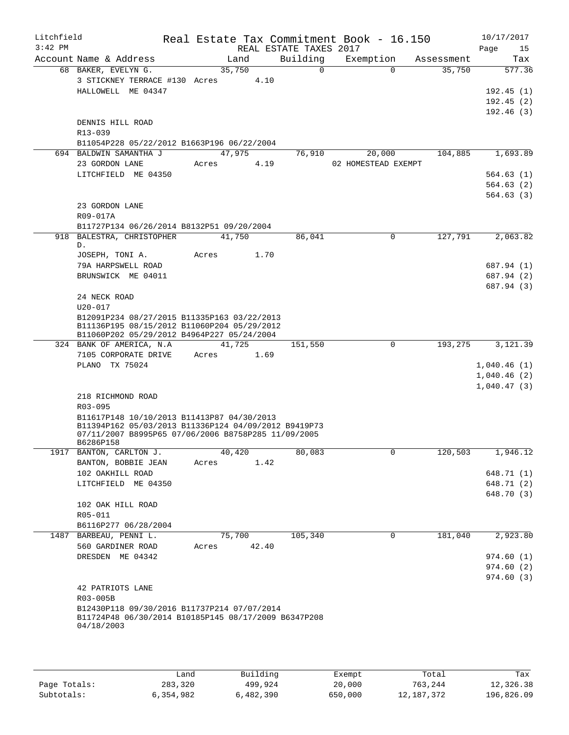| Litchfield<br>$3:42$ PM |                                                                                                    |        |       | REAL ESTATE TAXES 2017 | Real Estate Tax Commitment Book - 16.150 |            | 10/17/2017<br>Page<br>15 |
|-------------------------|----------------------------------------------------------------------------------------------------|--------|-------|------------------------|------------------------------------------|------------|--------------------------|
|                         | Account Name & Address                                                                             | Land   |       | Building               | Exemption                                | Assessment | Tax                      |
|                         | 68 BAKER, EVELYN G.                                                                                | 35,750 |       | $\Omega$               | $\Omega$                                 | 35,750     | 577.36                   |
|                         | 3 STICKNEY TERRACE #130 Acres                                                                      |        | 4.10  |                        |                                          |            |                          |
|                         | HALLOWELL ME 04347                                                                                 |        |       |                        |                                          |            | 192.45(1)                |
|                         |                                                                                                    |        |       |                        |                                          |            | 192.45(2)                |
|                         |                                                                                                    |        |       |                        |                                          |            | 192.46(3)                |
|                         | DENNIS HILL ROAD                                                                                   |        |       |                        |                                          |            |                          |
|                         | R13-039                                                                                            |        |       |                        |                                          |            |                          |
|                         | B11054P228 05/22/2012 B1663P196 06/22/2004                                                         |        |       |                        |                                          |            |                          |
|                         | 694 BALDWIN SAMANTHA J                                                                             | 47,975 |       | 76,910                 | 20,000                                   | 104,885    | 1,693.89                 |
|                         | 23 GORDON LANE                                                                                     | Acres  | 4.19  |                        | 02 HOMESTEAD EXEMPT                      |            |                          |
|                         | LITCHFIELD ME 04350                                                                                |        |       |                        |                                          |            | 564.63(1)                |
|                         |                                                                                                    |        |       |                        |                                          |            | 564.63(2)                |
|                         |                                                                                                    |        |       |                        |                                          |            | 564.63(3)                |
|                         | 23 GORDON LANE                                                                                     |        |       |                        |                                          |            |                          |
|                         | R09-017A                                                                                           |        |       |                        |                                          |            |                          |
|                         | B11727P134 06/26/2014 B8132P51 09/20/2004                                                          |        |       |                        |                                          |            |                          |
|                         | 918 BALESTRA, CHRISTOPHER                                                                          | 41,750 |       | 86,041                 | $\Omega$                                 | 127,791    | 2,063.82                 |
|                         | D.                                                                                                 |        |       |                        |                                          |            |                          |
|                         | JOSEPH, TONI A.<br>79A HARPSWELL ROAD                                                              | Acres  | 1.70  |                        |                                          |            | 687.94 (1)               |
|                         | BRUNSWICK ME 04011                                                                                 |        |       |                        |                                          |            | 687.94 (2)               |
|                         |                                                                                                    |        |       |                        |                                          |            | 687.94 (3)               |
|                         | 24 NECK ROAD                                                                                       |        |       |                        |                                          |            |                          |
|                         | $U20 - 017$                                                                                        |        |       |                        |                                          |            |                          |
|                         | B12091P234 08/27/2015 B11335P163 03/22/2013                                                        |        |       |                        |                                          |            |                          |
|                         | B11136P195 08/15/2012 B11060P204 05/29/2012                                                        |        |       |                        |                                          |            |                          |
|                         | B11060P202 05/29/2012 B4964P227 05/24/2004                                                         |        |       |                        |                                          |            |                          |
|                         | 324 BANK OF AMERICA, N.A.                                                                          | 41,725 |       | 151,550                | $\mathbf 0$                              | 193,275    | 3,121.39                 |
|                         | 7105 CORPORATE DRIVE                                                                               | Acres  | 1.69  |                        |                                          |            |                          |
|                         | PLANO TX 75024                                                                                     |        |       |                        |                                          |            | 1,040.46(1)              |
|                         |                                                                                                    |        |       |                        |                                          |            | 1,040.46(2)              |
|                         |                                                                                                    |        |       |                        |                                          |            | 1,040.47(3)              |
|                         | 218 RICHMOND ROAD                                                                                  |        |       |                        |                                          |            |                          |
|                         | R03-095                                                                                            |        |       |                        |                                          |            |                          |
|                         | B11617P148 10/10/2013 B11413P87 04/30/2013<br>B11394P162 05/03/2013 B11336P124 04/09/2012 B9419P73 |        |       |                        |                                          |            |                          |
|                         | 07/11/2007 B8995P65 07/06/2006 B8758P285 11/09/2005                                                |        |       |                        |                                          |            |                          |
|                         | B6286P158                                                                                          |        |       |                        |                                          |            |                          |
| 1917                    | BANTON, CARLTON J.                                                                                 | 40,420 |       | 80,083                 | 0                                        | 120,503    | 1,946.12                 |
|                         | BANTON, BOBBIE JEAN                                                                                | Acres  | 1.42  |                        |                                          |            |                          |
|                         | 102 OAKHILL ROAD                                                                                   |        |       |                        |                                          |            | 648.71 (1)               |
|                         | LITCHFIELD ME 04350                                                                                |        |       |                        |                                          |            | 648.71 (2)               |
|                         |                                                                                                    |        |       |                        |                                          |            | 648.70 (3)               |
|                         | 102 OAK HILL ROAD                                                                                  |        |       |                        |                                          |            |                          |
|                         | R05-011                                                                                            |        |       |                        |                                          |            |                          |
|                         | B6116P277 06/28/2004                                                                               |        |       |                        |                                          |            |                          |
| 1487                    | BARBEAU, PENNI L.                                                                                  | 75,700 |       | 105,340                | 0                                        | 181,040    | 2,923.80                 |
|                         | 560 GARDINER ROAD<br>DRESDEN ME 04342                                                              | Acres  | 42.40 |                        |                                          |            | 974.60 (1)               |
|                         |                                                                                                    |        |       |                        |                                          |            | 974.60(2)                |
|                         |                                                                                                    |        |       |                        |                                          |            | 974.60(3)                |
|                         | 42 PATRIOTS LANE                                                                                   |        |       |                        |                                          |            |                          |
|                         | R03-005B                                                                                           |        |       |                        |                                          |            |                          |
|                         | B12430P118 09/30/2016 B11737P214 07/07/2014                                                        |        |       |                        |                                          |            |                          |
|                         | B11724P48 06/30/2014 B10185P145 08/17/2009 B6347P208                                               |        |       |                        |                                          |            |                          |
|                         | 04/18/2003                                                                                         |        |       |                        |                                          |            |                          |
|                         |                                                                                                    |        |       |                        |                                          |            |                          |
|                         |                                                                                                    |        |       |                        |                                          |            |                          |

|              | Land      | Building  | Exempt  | Total        | Tax        |
|--------------|-----------|-----------|---------|--------------|------------|
| Page Totals: | 283,320   | 499,924   | 20,000  | 763,244      | 12,326.38  |
| Subtotals:   | 6,354,982 | 6,482,390 | 650,000 | 12, 187, 372 | 196,826.09 |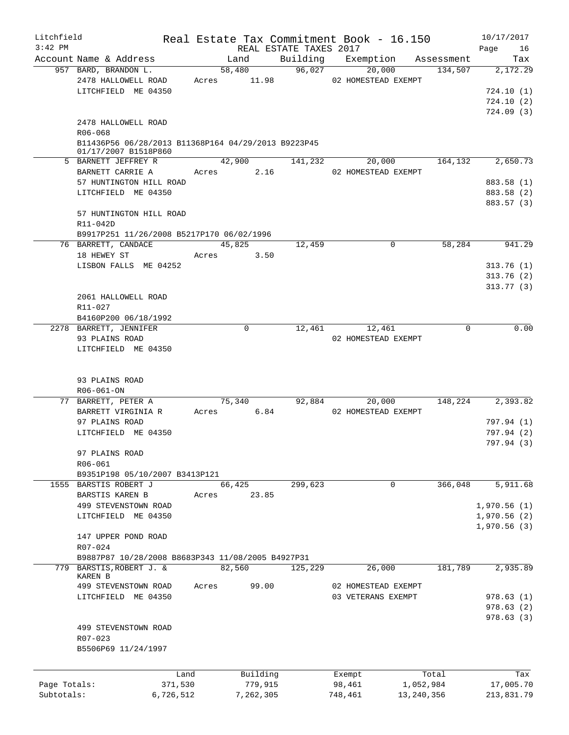| Litchfield<br>$3:42$ PM |                                                                             |       |             | REAL ESTATE TAXES 2017 | Real Estate Tax Commitment Book - 16.150 |              | 10/17/2017<br>Page<br>16 |
|-------------------------|-----------------------------------------------------------------------------|-------|-------------|------------------------|------------------------------------------|--------------|--------------------------|
|                         | Account Name & Address                                                      |       | Land        |                        | Building Exemption                       | Assessment   | Tax                      |
|                         | 957 BARD, BRANDON L.                                                        |       | 58,480      | 96,027                 | 20,000                                   | 134,507      | 2,172.29                 |
|                         | 2478 HALLOWELL ROAD                                                         |       | Acres 11.98 |                        | 02 HOMESTEAD EXEMPT                      |              |                          |
|                         | LITCHFIELD ME 04350                                                         |       |             |                        |                                          |              | 724.10(1)                |
|                         |                                                                             |       |             |                        |                                          |              | 724.10(2)                |
|                         |                                                                             |       |             |                        |                                          |              | 724.09(3)                |
|                         | 2478 HALLOWELL ROAD                                                         |       |             |                        |                                          |              |                          |
|                         |                                                                             |       |             |                        |                                          |              |                          |
|                         | R06-068                                                                     |       |             |                        |                                          |              |                          |
|                         | B11436P56 06/28/2013 B11368P164 04/29/2013 B9223P45<br>01/17/2007 B1518P860 |       |             |                        |                                          |              |                          |
|                         | 5 BARNETT JEFFREY R                                                         |       | 42,900      | 141,232                | 20,000                                   | 164,132      | 2,650.73                 |
|                         |                                                                             |       |             |                        |                                          |              |                          |
|                         | BARNETT CARRIE A                                                            | Acres | 2.16        |                        | 02 HOMESTEAD EXEMPT                      |              |                          |
|                         | 57 HUNTINGTON HILL ROAD                                                     |       |             |                        |                                          |              | 883.58 (1)               |
|                         | LITCHFIELD ME 04350                                                         |       |             |                        |                                          |              | 883.58 (2)               |
|                         |                                                                             |       |             |                        |                                          |              | 883.57 (3)               |
|                         | 57 HUNTINGTON HILL ROAD                                                     |       |             |                        |                                          |              |                          |
|                         | R11-042D                                                                    |       |             |                        |                                          |              |                          |
|                         | B9917P251 11/26/2008 B5217P170 06/02/1996                                   |       |             |                        |                                          |              |                          |
|                         | 76 BARRETT, CANDACE                                                         |       | 45,825      | 12,459                 | $\mathbf 0$                              | 58,284       | 941.29                   |
|                         | 18 HEWEY ST                                                                 | Acres | 3.50        |                        |                                          |              |                          |
|                         | LISBON FALLS ME 04252                                                       |       |             |                        |                                          |              | 313.76(1)                |
|                         |                                                                             |       |             |                        |                                          |              | 313.76(2)                |
|                         |                                                                             |       |             |                        |                                          |              |                          |
|                         |                                                                             |       |             |                        |                                          |              | 313.77(3)                |
|                         | 2061 HALLOWELL ROAD                                                         |       |             |                        |                                          |              |                          |
|                         | R11-027                                                                     |       |             |                        |                                          |              |                          |
|                         | B4160P200 06/18/1992                                                        |       |             |                        |                                          |              |                          |
|                         | 2278 BARRETT, JENNIFER                                                      |       | $\mathbf 0$ | 12,461                 | 12,461                                   | $\Omega$     | 0.00                     |
|                         | 93 PLAINS ROAD                                                              |       |             |                        | 02 HOMESTEAD EXEMPT                      |              |                          |
|                         | LITCHFIELD ME 04350                                                         |       |             |                        |                                          |              |                          |
|                         |                                                                             |       |             |                        |                                          |              |                          |
|                         |                                                                             |       |             |                        |                                          |              |                          |
|                         | 93 PLAINS ROAD                                                              |       |             |                        |                                          |              |                          |
|                         | R06-061-ON                                                                  |       |             |                        |                                          |              |                          |
|                         | 77 BARRETT, PETER A                                                         |       | 75,340      |                        | 92,884<br>20,000                         | 148,224      | 2,393.82                 |
|                         | BARRETT VIRGINIA R                                                          |       |             |                        |                                          |              |                          |
|                         |                                                                             |       | Acres 6.84  |                        | 02 HOMESTEAD EXEMPT                      |              |                          |
|                         | 97 PLAINS ROAD                                                              |       |             |                        |                                          |              | 797.94 (1)               |
|                         | LITCHFIELD ME 04350                                                         |       |             |                        |                                          |              | 797.94 (2)               |
|                         |                                                                             |       |             |                        |                                          |              | 797.94 (3)               |
|                         | 97 PLAINS ROAD                                                              |       |             |                        |                                          |              |                          |
|                         | R06-061                                                                     |       |             |                        |                                          |              |                          |
|                         | B9351P198 05/10/2007 B3413P121                                              |       |             |                        |                                          |              |                          |
|                         | 1555 BARSTIS ROBERT J                                                       |       | 66,425      | 299,623                | 0                                        | 366,048      | 5,911.68                 |
|                         | BARSTIS KAREN B                                                             | Acres | 23.85       |                        |                                          |              |                          |
|                         | 499 STEVENSTOWN ROAD                                                        |       |             |                        |                                          |              | 1,970.56(1)              |
|                         | LITCHFIELD ME 04350                                                         |       |             |                        |                                          |              | 1,970.56(2)              |
|                         |                                                                             |       |             |                        |                                          |              | 1,970.56(3)              |
|                         |                                                                             |       |             |                        |                                          |              |                          |
|                         | 147 UPPER POND ROAD                                                         |       |             |                        |                                          |              |                          |
|                         | R07-024                                                                     |       |             |                        |                                          |              |                          |
|                         | B9887P87 10/28/2008 B8683P343 11/08/2005 B4927P31                           |       |             |                        |                                          |              |                          |
| 779                     | BARSTIS, ROBERT J. &                                                        |       | 82,560      | 125,229                | 26,000                                   | 181,789      | 2,935.89                 |
|                         | <b>KAREN B</b>                                                              |       |             |                        |                                          |              |                          |
|                         | 499 STEVENSTOWN ROAD                                                        | Acres | 99.00       |                        | 02 HOMESTEAD EXEMPT                      |              |                          |
|                         | LITCHFIELD ME 04350                                                         |       |             |                        | 03 VETERANS EXEMPT                       |              | 978.63(1)                |
|                         |                                                                             |       |             |                        |                                          |              | 978.63(2)                |
|                         |                                                                             |       |             |                        |                                          |              | 978.63(3)                |
|                         | 499 STEVENSTOWN ROAD                                                        |       |             |                        |                                          |              |                          |
|                         | R07-023                                                                     |       |             |                        |                                          |              |                          |
|                         | B5506P69 11/24/1997                                                         |       |             |                        |                                          |              |                          |
|                         |                                                                             |       |             |                        |                                          |              |                          |
|                         |                                                                             |       |             |                        |                                          |              |                          |
|                         | Land                                                                        |       | Building    |                        | Exempt                                   | Total        | Tax                      |
| Page Totals:            | 371,530                                                                     |       | 779,915     |                        | 98,461                                   | 1,052,984    | 17,005.70                |
| Subtotals:              | 6,726,512                                                                   |       | 7,262,305   |                        | 748,461                                  | 13, 240, 356 | 213,831.79               |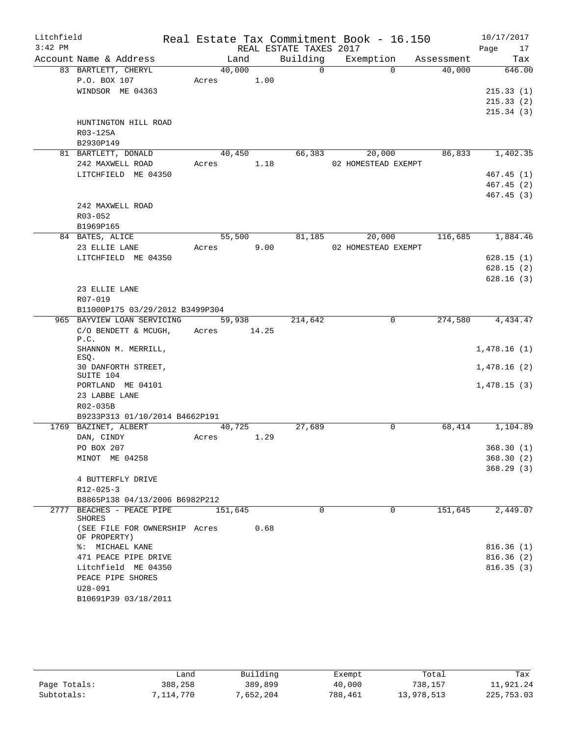| Litchfield<br>$3:42$ PM |                                               |            |         | REAL ESTATE TAXES 2017 | Real Estate Tax Commitment Book - 16.150 |            | 10/17/2017<br>Page<br>17 |
|-------------------------|-----------------------------------------------|------------|---------|------------------------|------------------------------------------|------------|--------------------------|
|                         | Account Name & Address                        |            | Land    | Building               | Exemption                                | Assessment | Tax                      |
|                         | 83 BARTLETT, CHERYL                           |            | 40,000  | $\Omega$               | $\Omega$                                 | 40,000     | 646.00                   |
|                         | P.O. BOX 107                                  | Acres 1.00 |         |                        |                                          |            |                          |
|                         | WINDSOR ME 04363                              |            |         |                        |                                          |            | 215.33(1)                |
|                         |                                               |            |         |                        |                                          |            | 215.33(2)                |
|                         |                                               |            |         |                        |                                          |            | 215.34(3)                |
|                         | HUNTINGTON HILL ROAD                          |            |         |                        |                                          |            |                          |
|                         | R03-125A                                      |            |         |                        |                                          |            |                          |
|                         | B2930P149                                     |            |         |                        |                                          |            |                          |
|                         | 81 BARTLETT, DONALD                           |            | 40,450  | 66,383                 | 20,000                                   | 86,833     | 1,402.35                 |
|                         | 242 MAXWELL ROAD                              | Acres 1.18 |         |                        | 02 HOMESTEAD EXEMPT                      |            |                          |
|                         | LITCHFIELD ME 04350                           |            |         |                        |                                          |            | 467.45(1)                |
|                         |                                               |            |         |                        |                                          |            | 467.45(2)                |
|                         |                                               |            |         |                        |                                          |            | 467.45 (3)               |
|                         | 242 MAXWELL ROAD                              |            |         |                        |                                          |            |                          |
|                         | $R03 - 052$                                   |            |         |                        |                                          |            |                          |
|                         | B1969P165                                     |            |         |                        |                                          |            |                          |
|                         | 84 BATES, ALICE                               |            | 55,500  |                        | 81,185<br>20,000                         | 116,685    | 1,884.46                 |
|                         | 23 ELLIE LANE                                 | Acres      | 9.00    |                        | 02 HOMESTEAD EXEMPT                      |            |                          |
|                         | LITCHFIELD ME 04350                           |            |         |                        |                                          |            | 628.15(1)                |
|                         |                                               |            |         |                        |                                          |            | 628.15(2)                |
|                         |                                               |            |         |                        |                                          |            | 628.16(3)                |
|                         | 23 ELLIE LANE                                 |            |         |                        |                                          |            |                          |
|                         | R07-019                                       |            |         |                        |                                          |            |                          |
|                         | B11000P175 03/29/2012 B3499P304               |            |         |                        |                                          |            |                          |
|                         | 965 BAYVIEW LOAN SERVICING                    |            | 59,938  | 214,642                | 0                                        | 274,580    | 4,434.47                 |
|                         | $C/O$ BENDETT & MCUGH, Acres 14.25<br>P.C.    |            |         |                        |                                          |            |                          |
|                         | SHANNON M. MERRILL,<br>ESQ.                   |            |         |                        |                                          |            | 1,478.16(1)              |
|                         | 30 DANFORTH STREET,<br>SUITE 104              |            |         |                        |                                          |            | 1,478.16(2)              |
|                         | PORTLAND ME 04101                             |            |         |                        |                                          |            | 1,478.15(3)              |
|                         | 23 LABBE LANE                                 |            |         |                        |                                          |            |                          |
|                         | R02-035B                                      |            |         |                        |                                          |            |                          |
|                         | B9233P313 01/10/2014 B4662P191                |            |         |                        |                                          |            |                          |
|                         | 1769 BAZINET, ALBERT                          |            | 40,725  | 27,689                 | 0                                        | 68,414     | 1,104.89                 |
|                         | DAN, CINDY                                    | Acres      | 1.29    |                        |                                          |            |                          |
|                         | PO BOX 207                                    |            |         |                        |                                          |            | 368.30(1)                |
|                         | MINOT ME 04258                                |            |         |                        |                                          |            | 368.30(2)                |
|                         |                                               |            |         |                        |                                          |            | 368.29(3)                |
|                         | 4 BUTTERFLY DRIVE                             |            |         |                        |                                          |            |                          |
|                         | $R12 - 025 - 3$                               |            |         |                        |                                          |            |                          |
|                         | B8865P138 04/13/2006 B6982P212                |            |         |                        |                                          |            |                          |
|                         | 2777 BEACHES - PEACE PIPE<br>SHORES           |            | 151,645 | $\Omega$               | $\Omega$                                 | 151,645    | 2,449.07                 |
|                         | (SEE FILE FOR OWNERSHIP Acres<br>OF PROPERTY) |            | 0.68    |                        |                                          |            |                          |
|                         | %: MICHAEL KANE                               |            |         |                        |                                          |            | 816.36(1)                |
|                         | 471 PEACE PIPE DRIVE                          |            |         |                        |                                          |            | 816.36(2)                |
|                         | Litchfield ME 04350                           |            |         |                        |                                          |            | 816.35(3)                |
|                         | PEACE PIPE SHORES                             |            |         |                        |                                          |            |                          |
|                         | $U28 - 091$                                   |            |         |                        |                                          |            |                          |
|                         | B10691P39 03/18/2011                          |            |         |                        |                                          |            |                          |

|              | Land      | Building  | Exempt  | Total      | Tax        |
|--------------|-----------|-----------|---------|------------|------------|
| Page Totals: | 388,258   | 389,899   | 40,000  | 738,157    | 11,921.24  |
| Subtotals:   | 7,114,770 | 7,652,204 | 788,461 | 13,978,513 | 225,753.03 |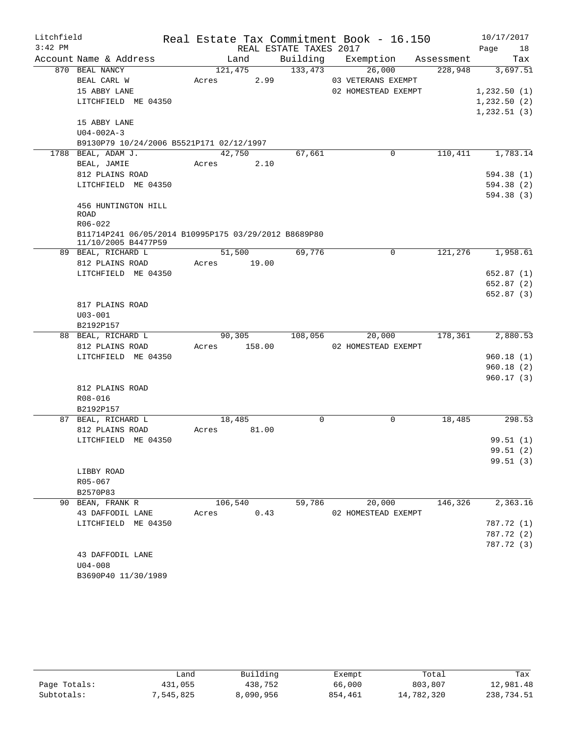| Litchfield |                                                                             |             |         |                        | Real Estate Tax Commitment Book - 16.150 |            | 10/17/2017  |          |
|------------|-----------------------------------------------------------------------------|-------------|---------|------------------------|------------------------------------------|------------|-------------|----------|
| $3:42$ PM  |                                                                             |             |         | REAL ESTATE TAXES 2017 |                                          |            | Page        | 18       |
|            | Account Name & Address                                                      |             | Land    | Building               | Exemption                                | Assessment |             | Tax      |
|            | 870 BEAL NANCY                                                              |             | 121,475 | 133,473                | 26,000                                   | 228,948    |             | 3,697.51 |
|            | BEAL CARL W                                                                 | Acres       |         | 2.99                   | 03 VETERANS EXEMPT                       |            |             |          |
|            | 15 ABBY LANE                                                                |             |         |                        | 02 HOMESTEAD EXEMPT                      |            | 1,232.50(1) |          |
|            | LITCHFIELD ME 04350                                                         |             |         |                        |                                          |            | 1,232.50(2) |          |
|            |                                                                             |             |         |                        |                                          |            | 1,232.51(3) |          |
|            | 15 ABBY LANE                                                                |             |         |                        |                                          |            |             |          |
|            | $U04 - 002A - 3$                                                            |             |         |                        |                                          |            |             |          |
|            | B9130P79 10/24/2006 B5521P171 02/12/1997                                    |             |         |                        |                                          |            |             |          |
|            | 1788 BEAL, ADAM J.                                                          |             | 42,750  | 67,661                 | 0                                        | 110,411    |             | 1,783.14 |
|            | BEAL, JAMIE                                                                 | Acres       |         | 2.10                   |                                          |            |             |          |
|            | 812 PLAINS ROAD                                                             |             |         |                        |                                          |            | 594.38 (1)  |          |
|            | LITCHFIELD ME 04350                                                         |             |         |                        |                                          |            | 594.38 (2)  |          |
|            |                                                                             |             |         |                        |                                          |            | 594.38 (3)  |          |
|            | 456 HUNTINGTON HILL                                                         |             |         |                        |                                          |            |             |          |
|            | <b>ROAD</b>                                                                 |             |         |                        |                                          |            |             |          |
|            | $R06 - 022$                                                                 |             |         |                        |                                          |            |             |          |
|            | B11714P241 06/05/2014 B10995P175 03/29/2012 B8689P80<br>11/10/2005 B4477P59 |             |         |                        |                                          |            |             |          |
|            | 89 BEAL, RICHARD L                                                          |             | 51,500  | 69,776                 | 0                                        | 121,276    |             | 1,958.61 |
|            | 812 PLAINS ROAD                                                             | Acres 19.00 |         |                        |                                          |            |             |          |
|            | LITCHFIELD ME 04350                                                         |             |         |                        |                                          |            | 652.87(1)   |          |
|            |                                                                             |             |         |                        |                                          |            | 652.87 (2)  |          |
|            |                                                                             |             |         |                        |                                          |            | 652.87 (3)  |          |
|            | 817 PLAINS ROAD                                                             |             |         |                        |                                          |            |             |          |
|            | $U03 - 001$                                                                 |             |         |                        |                                          |            |             |          |
|            | B2192P157                                                                   |             |         |                        |                                          |            |             |          |
|            | 88 BEAL, RICHARD L                                                          |             | 90,305  | 108,056                | 20,000                                   | 178,361    |             | 2,880.53 |
|            | 812 PLAINS ROAD                                                             | Acres       | 158.00  |                        | 02 HOMESTEAD EXEMPT                      |            |             |          |
|            | LITCHFIELD ME 04350                                                         |             |         |                        |                                          |            | 960.18(1)   |          |
|            |                                                                             |             |         |                        |                                          |            | 960.18(2)   |          |
|            |                                                                             |             |         |                        |                                          |            | 960.17(3)   |          |
|            | 812 PLAINS ROAD                                                             |             |         |                        |                                          |            |             |          |
|            | R08-016                                                                     |             |         |                        |                                          |            |             |          |
|            | B2192P157                                                                   |             |         |                        |                                          |            |             |          |
|            | 87 BEAL, RICHARD L                                                          |             | 18,485  |                        | 0<br>0                                   | 18,485     |             | 298.53   |
|            | 812 PLAINS ROAD                                                             | Acres       | 81.00   |                        |                                          |            |             |          |
|            | LITCHFIELD ME 04350                                                         |             |         |                        |                                          |            | 99.51(1)    |          |
|            |                                                                             |             |         |                        |                                          |            | 99.51 (2)   |          |
|            |                                                                             |             |         |                        |                                          |            | 99.51(3)    |          |
|            | LIBBY ROAD                                                                  |             |         |                        |                                          |            |             |          |
|            | R05-067                                                                     |             |         |                        |                                          |            |             |          |
|            | B2570P83                                                                    |             |         |                        |                                          |            |             |          |
|            | 90 BEAN, FRANK R                                                            |             | 106,540 | 59,786                 | 20,000                                   | 146,326    |             | 2,363.16 |
|            | 43 DAFFODIL LANE                                                            | Acres       |         | 0.43                   | 02 HOMESTEAD EXEMPT                      |            |             |          |
|            | LITCHFIELD ME 04350                                                         |             |         |                        |                                          |            | 787.72 (1)  |          |
|            |                                                                             |             |         |                        |                                          |            | 787.72 (2)  |          |
|            |                                                                             |             |         |                        |                                          |            | 787.72 (3)  |          |
|            | 43 DAFFODIL LANE                                                            |             |         |                        |                                          |            |             |          |
|            | $U04 - 008$                                                                 |             |         |                        |                                          |            |             |          |
|            | B3690P40 11/30/1989                                                         |             |         |                        |                                          |            |             |          |

|              | Land      | Building  | Exempt  | Total      | Tax        |
|--------------|-----------|-----------|---------|------------|------------|
| Page Totals: | 431,055   | 438,752   | 66,000  | 803,807    | 12,981.48  |
| Subtotals:   | 7,545,825 | 8,090,956 | 854,461 | 14,782,320 | 238,734.51 |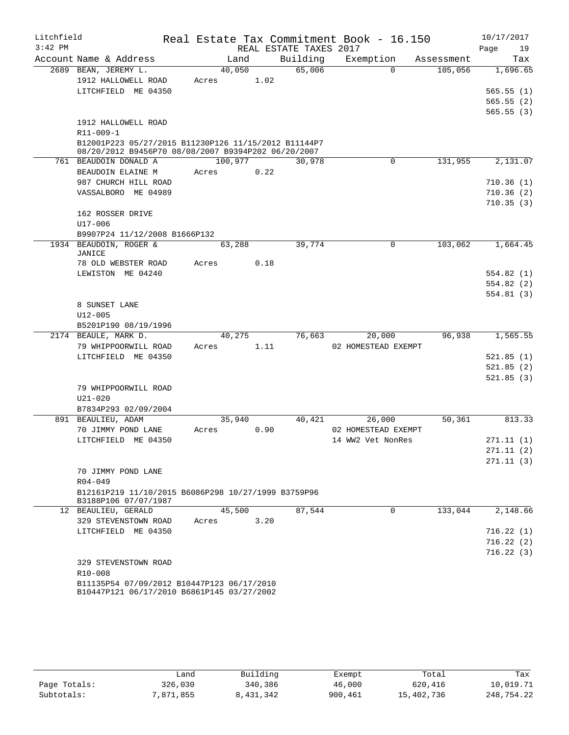| Litchfield |                                                                             |                 |      |                        | Real Estate Tax Commitment Book - 16.150 |            | 10/17/2017 |
|------------|-----------------------------------------------------------------------------|-----------------|------|------------------------|------------------------------------------|------------|------------|
| $3:42$ PM  |                                                                             |                 |      | REAL ESTATE TAXES 2017 |                                          |            | Page<br>19 |
|            | Account Name & Address                                                      | Land            |      | Building               | Exemption                                | Assessment | Tax        |
|            | 2689 BEAN, JEREMY L.                                                        | 40,050          |      | 65,006                 | $\Omega$                                 | 105,056    | 1,696.65   |
|            | 1912 HALLOWELL ROAD                                                         | Acres           | 1.02 |                        |                                          |            |            |
|            | LITCHFIELD ME 04350                                                         |                 |      |                        |                                          |            | 565.55(1)  |
|            |                                                                             |                 |      |                        |                                          |            | 565.55(2)  |
|            | 1912 HALLOWELL ROAD                                                         |                 |      |                        |                                          |            | 565.55 (3) |
|            | $R11 - 009 - 1$                                                             |                 |      |                        |                                          |            |            |
|            | B12001P223 05/27/2015 B11230P126 11/15/2012 B11144P7                        |                 |      |                        |                                          |            |            |
|            | 08/20/2012 B9456P70 08/08/2007 B9394P202 06/20/2007                         |                 |      |                        |                                          |            |            |
|            | 761 BEAUDOIN DONALD A                                                       | 100,977         |      | 30,978                 | 0                                        | 131,955    | 2,131.07   |
|            | BEAUDOIN ELAINE M                                                           | Acres           | 0.22 |                        |                                          |            |            |
|            | 987 CHURCH HILL ROAD                                                        |                 |      |                        |                                          |            | 710.36(1)  |
|            | VASSALBORO ME 04989                                                         |                 |      |                        |                                          |            | 710.36(2)  |
|            | 162 ROSSER DRIVE                                                            |                 |      |                        |                                          |            | 710.35(3)  |
|            | $U17 - 006$                                                                 |                 |      |                        |                                          |            |            |
|            | B9907P24 11/12/2008 B1666P132                                               |                 |      |                        |                                          |            |            |
|            | 1934 BEAUDOIN, ROGER &                                                      | 63,288          |      | 39,774                 | 0                                        | 103,062    | 1,664.45   |
|            | JANICE                                                                      |                 |      |                        |                                          |            |            |
|            | 78 OLD WEBSTER ROAD                                                         | Acres           | 0.18 |                        |                                          |            |            |
|            | LEWISTON ME 04240                                                           |                 |      |                        |                                          |            | 554.82(1)  |
|            |                                                                             |                 |      |                        |                                          |            | 554.82 (2) |
|            |                                                                             |                 |      |                        |                                          |            | 554.81(3)  |
|            | 8 SUNSET LANE<br>$U12 - 005$                                                |                 |      |                        |                                          |            |            |
|            | B5201P190 08/19/1996                                                        |                 |      |                        |                                          |            |            |
|            | 2174 BEAULE, MARK D.                                                        | 40,275          |      | 76,663                 | 20,000                                   | 96,938     | 1,565.55   |
|            | 79 WHIPPOORWILL ROAD                                                        | Acres           | 1.11 |                        | 02 HOMESTEAD EXEMPT                      |            |            |
|            | LITCHFIELD ME 04350                                                         |                 |      |                        |                                          |            | 521.85(1)  |
|            |                                                                             |                 |      |                        |                                          |            | 521.85(2)  |
|            |                                                                             |                 |      |                        |                                          |            | 521.85 (3) |
|            | 79 WHIPPOORWILL ROAD                                                        |                 |      |                        |                                          |            |            |
|            | $U21 - 020$                                                                 |                 |      |                        |                                          |            |            |
|            | B7834P293 02/09/2004                                                        |                 |      |                        |                                          |            |            |
|            | 891 BEAULIEU, ADAM<br>70 JIMMY POND LANE                                    | 35,940<br>Acres | 0.90 | 40,421                 | 26,000<br>02 HOMESTEAD EXEMPT            | 50,361     | 813.33     |
|            | LITCHFIELD ME 04350                                                         |                 |      |                        | 14 WW2 Vet NonRes                        |            | 271.11 (1) |
|            |                                                                             |                 |      |                        |                                          |            | 271.11(2)  |
|            |                                                                             |                 |      |                        |                                          |            | 271.11(3)  |
|            | 70 JIMMY POND LANE                                                          |                 |      |                        |                                          |            |            |
|            | $R04 - 049$                                                                 |                 |      |                        |                                          |            |            |
|            | B12161P219 11/10/2015 B6086P298 10/27/1999 B3759P96<br>B3188P106 07/07/1987 |                 |      |                        |                                          |            |            |
|            | 12 BEAULIEU, GERALD                                                         | 45,500          |      | 87,544                 | $\Omega$                                 | 133,044    | 2,148.66   |
|            | 329 STEVENSTOWN ROAD                                                        | Acres           | 3.20 |                        |                                          |            |            |
|            | LITCHFIELD ME 04350                                                         |                 |      |                        |                                          |            | 716.22(1)  |
|            |                                                                             |                 |      |                        |                                          |            | 716.22(2)  |
|            |                                                                             |                 |      |                        |                                          |            | 716.22(3)  |
|            | 329 STEVENSTOWN ROAD<br>R10-008                                             |                 |      |                        |                                          |            |            |
|            | B11135P54 07/09/2012 B10447P123 06/17/2010                                  |                 |      |                        |                                          |            |            |
|            | B10447P121 06/17/2010 B6861P145 03/27/2002                                  |                 |      |                        |                                          |            |            |

|              | شand      | Building  | Exempt  | Total      | Tax        |
|--------------|-----------|-----------|---------|------------|------------|
| Page Totals: | 326,030   | 340,386   | 46,000  | 620,416    | 10,019.71  |
| Subtotals:   | 7,871,855 | 8,431,342 | 900,461 | 15,402,736 | 248,754.22 |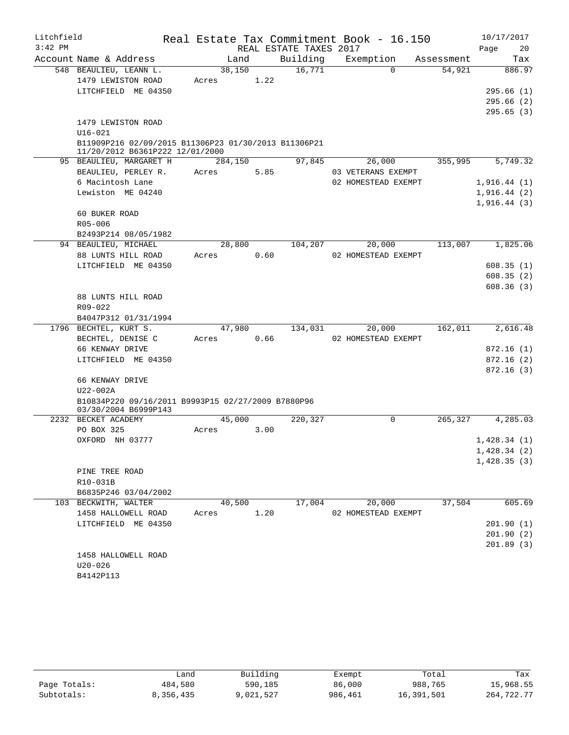| Litchfield |                                                                                         |         |      |                        | Real Estate Tax Commitment Book - 16.150 |            |      | 10/17/2017  |
|------------|-----------------------------------------------------------------------------------------|---------|------|------------------------|------------------------------------------|------------|------|-------------|
| $3:42$ PM  |                                                                                         |         |      | REAL ESTATE TAXES 2017 |                                          |            | Page | 20          |
|            | Account Name & Address                                                                  | Land    |      | Building               | Exemption                                | Assessment |      | Tax         |
|            | 548 BEAULIEU, LEANN L.                                                                  | 38,150  |      | 16,771                 | $\Omega$                                 | 54,921     |      | 886.97      |
|            | 1479 LEWISTON ROAD                                                                      | Acres   | 1.22 |                        |                                          |            |      |             |
|            | LITCHFIELD ME 04350                                                                     |         |      |                        |                                          |            |      | 295.66(1)   |
|            |                                                                                         |         |      |                        |                                          |            |      | 295.66(2)   |
|            |                                                                                         |         |      |                        |                                          |            |      | 295.65(3)   |
|            | 1479 LEWISTON ROAD                                                                      |         |      |                        |                                          |            |      |             |
|            | $U16 - 021$                                                                             |         |      |                        |                                          |            |      |             |
|            | B11909P216 02/09/2015 B11306P23 01/30/2013 B11306P21<br>11/20/2012 B6361P222 12/01/2000 |         |      |                        |                                          |            |      |             |
|            | 95 BEAULIEU, MARGARET H                                                                 | 284,150 |      | 97,845                 | 26,000                                   | 355,995    |      | 5,749.32    |
|            | BEAULIEU, PERLEY R.                                                                     | Acres   | 5.85 |                        | 03 VETERANS EXEMPT                       |            |      |             |
|            | 6 Macintosh Lane                                                                        |         |      |                        | 02 HOMESTEAD EXEMPT                      |            |      | 1,916.44(1) |
|            | Lewiston ME 04240                                                                       |         |      |                        |                                          |            |      | 1,916.44(2) |
|            |                                                                                         |         |      |                        |                                          |            |      | 1,916.44(3) |
|            | 60 BUKER ROAD                                                                           |         |      |                        |                                          |            |      |             |
|            | R05-006                                                                                 |         |      |                        |                                          |            |      |             |
|            | B2493P214 08/05/1982                                                                    |         |      |                        |                                          |            |      |             |
|            | 94 BEAULIEU, MICHAEL                                                                    | 28,800  |      | 104,207                | 20,000                                   | 113,007    |      | 1,825.06    |
|            | 88 LUNTS HILL ROAD                                                                      | Acres   | 0.60 |                        | 02 HOMESTEAD EXEMPT                      |            |      |             |
|            | LITCHFIELD ME 04350                                                                     |         |      |                        |                                          |            |      | 608.35(1)   |
|            |                                                                                         |         |      |                        |                                          |            |      | 608.35(2)   |
|            |                                                                                         |         |      |                        |                                          |            |      | 608.36(3)   |
|            | 88 LUNTS HILL ROAD<br>R09-022                                                           |         |      |                        |                                          |            |      |             |
|            | B4047P312 01/31/1994                                                                    |         |      |                        |                                          |            |      |             |
|            | 1796 BECHTEL, KURT S.                                                                   | 47,980  |      | 134,031                | 20,000                                   | 162,011    |      | 2,616.48    |
|            | BECHTEL, DENISE C                                                                       | Acres   | 0.66 |                        | 02 HOMESTEAD EXEMPT                      |            |      |             |
|            | 66 KENWAY DRIVE                                                                         |         |      |                        |                                          |            |      | 872.16(1)   |
|            | LITCHFIELD ME 04350                                                                     |         |      |                        |                                          |            |      | 872.16(2)   |
|            |                                                                                         |         |      |                        |                                          |            |      | 872.16(3)   |
|            | 66 KENWAY DRIVE                                                                         |         |      |                        |                                          |            |      |             |
|            | $U22-002A$                                                                              |         |      |                        |                                          |            |      |             |
|            | B10834P220 09/16/2011 B9993P15 02/27/2009 B7880P96                                      |         |      |                        |                                          |            |      |             |
|            | 03/30/2004 B6999P143                                                                    |         |      |                        |                                          |            |      |             |
|            | 2232 BECKET ACADEMY                                                                     | 45,000  |      | 220,327                | 0                                        | 265,327    |      | 4,285.03    |
|            | PO BOX 325                                                                              | Acres   | 3.00 |                        |                                          |            |      |             |
|            | OXFORD NH 03777                                                                         |         |      |                        |                                          |            |      | 1,428.34(1) |
|            |                                                                                         |         |      |                        |                                          |            |      | 1,428.34(2) |
|            |                                                                                         |         |      |                        |                                          |            |      | 1,428.35(3) |
|            | PINE TREE ROAD                                                                          |         |      |                        |                                          |            |      |             |
|            | R10-031B<br>B6835P246 03/04/2002                                                        |         |      |                        |                                          |            |      |             |
|            | 103 BECKWITH, WALTER                                                                    | 40,500  |      | 17,004                 | 20,000                                   | 37,504     |      | 605.69      |
|            | 1458 HALLOWELL ROAD                                                                     | Acres   | 1.20 |                        | 02 HOMESTEAD EXEMPT                      |            |      |             |
|            | LITCHFIELD ME 04350                                                                     |         |      |                        |                                          |            |      | 201.90(1)   |
|            |                                                                                         |         |      |                        |                                          |            |      | 201.90(2)   |
|            |                                                                                         |         |      |                        |                                          |            |      | 201.89(3)   |
|            | 1458 HALLOWELL ROAD                                                                     |         |      |                        |                                          |            |      |             |
|            | $U20 - 026$                                                                             |         |      |                        |                                          |            |      |             |
|            | B4142P113                                                                               |         |      |                        |                                          |            |      |             |

|              | úand      | Building  | Exempt  | Total      | Tax        |
|--------------|-----------|-----------|---------|------------|------------|
| Page Totals: | 484,580   | 590,185   | 86,000  | 988,765    | 15,968.55  |
| Subtotals:   | 8,356,435 | 9,021,527 | 986,461 | 16,391,501 | 264,722.77 |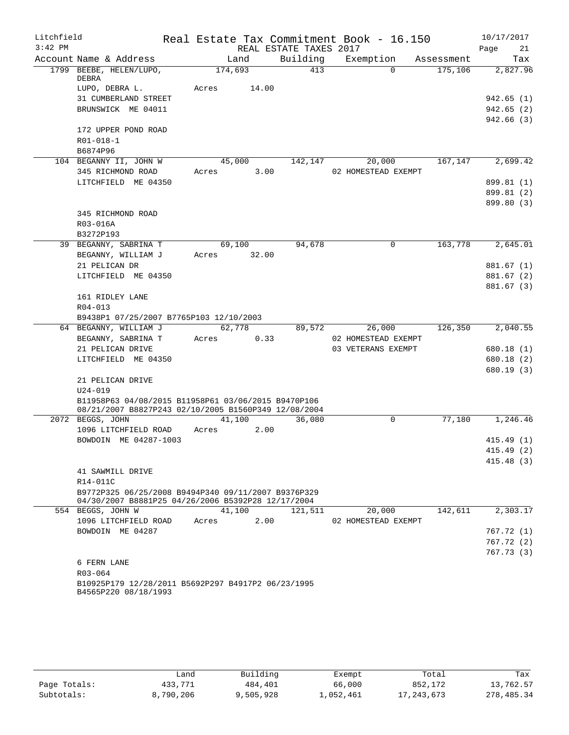| Litchfield |                                                                                                             |         |       |                        | Real Estate Tax Commitment Book - 16.150  |            | 10/17/2017 |                        |
|------------|-------------------------------------------------------------------------------------------------------------|---------|-------|------------------------|-------------------------------------------|------------|------------|------------------------|
| $3:42$ PM  |                                                                                                             |         |       | REAL ESTATE TAXES 2017 |                                           |            | Page       | 21                     |
|            | Account Name & Address                                                                                      | Land    |       | Building               | Exemption                                 | Assessment |            | Tax                    |
|            | 1799 BEEBE, HELEN/LUPO,<br>DEBRA                                                                            | 174,693 |       | 413                    | $\Omega$                                  | 175,106    |            | 2,827.96               |
|            | LUPO, DEBRA L.                                                                                              | Acres   | 14.00 |                        |                                           |            |            |                        |
|            | 31 CUMBERLAND STREET<br>BRUNSWICK ME 04011                                                                  |         |       |                        |                                           |            |            | 942.65 (1)             |
|            |                                                                                                             |         |       |                        |                                           |            |            | 942.65(2)<br>942.66(3) |
|            | 172 UPPER POND ROAD                                                                                         |         |       |                        |                                           |            |            |                        |
|            | R01-018-1                                                                                                   |         |       |                        |                                           |            |            |                        |
|            | B6874P96                                                                                                    |         |       |                        |                                           |            |            |                        |
|            | 104 BEGANNY II, JOHN W                                                                                      | 45,000  |       | 142,147                | 20,000                                    | 167,147    |            | 2,699.42               |
|            | 345 RICHMOND ROAD                                                                                           | Acres   | 3.00  |                        | 02 HOMESTEAD EXEMPT                       |            |            |                        |
|            | LITCHFIELD ME 04350                                                                                         |         |       |                        |                                           |            |            | 899.81 (1)             |
|            |                                                                                                             |         |       |                        |                                           |            |            | 899.81 (2)             |
|            |                                                                                                             |         |       |                        |                                           |            |            | 899.80 (3)             |
|            | 345 RICHMOND ROAD                                                                                           |         |       |                        |                                           |            |            |                        |
|            | R03-016A                                                                                                    |         |       |                        |                                           |            |            |                        |
|            | B3272P193                                                                                                   |         |       |                        |                                           |            |            |                        |
|            | 39 BEGANNY, SABRINA T                                                                                       | 69,100  |       | 94,678                 | 0                                         | 163,778    |            | 2,645.01               |
|            | BEGANNY, WILLIAM J                                                                                          | Acres   | 32.00 |                        |                                           |            |            |                        |
|            | 21 PELICAN DR                                                                                               |         |       |                        |                                           |            |            | 881.67 (1)             |
|            | LITCHFIELD ME 04350                                                                                         |         |       |                        |                                           |            |            | 881.67 (2)             |
|            |                                                                                                             |         |       |                        |                                           |            |            | 881.67 (3)             |
|            | 161 RIDLEY LANE                                                                                             |         |       |                        |                                           |            |            |                        |
|            | $R04 - 013$                                                                                                 |         |       |                        |                                           |            |            |                        |
|            | B9438P1 07/25/2007 B7765P103 12/10/2003                                                                     |         |       |                        |                                           |            |            |                        |
|            | 64 BEGANNY, WILLIAM J                                                                                       | 62,778  |       | 89,572                 | 26,000                                    | 126,350    |            | 2,040.55               |
|            | BEGANNY, SABRINA T<br>21 PELICAN DRIVE                                                                      | Acres   | 0.33  |                        | 02 HOMESTEAD EXEMPT<br>03 VETERANS EXEMPT |            |            | 680.18 (1)             |
|            | LITCHFIELD ME 04350                                                                                         |         |       |                        |                                           |            |            | 680.18 (2)             |
|            |                                                                                                             |         |       |                        |                                           |            |            | 680.19 (3)             |
|            | 21 PELICAN DRIVE                                                                                            |         |       |                        |                                           |            |            |                        |
|            | $U24 - 019$                                                                                                 |         |       |                        |                                           |            |            |                        |
|            | B11958P63 04/08/2015 B11958P61 03/06/2015 B9470P106<br>08/21/2007 B8827P243 02/10/2005 B1560P349 12/08/2004 |         |       |                        |                                           |            |            |                        |
|            | 2072 BEGGS, JOHN                                                                                            | 41,100  |       | 36,080                 | $\mathbf 0$                               | 77,180     |            | 1,246.46               |
|            | 1096 LITCHFIELD ROAD                                                                                        | Acres   | 2.00  |                        |                                           |            |            |                        |
|            | BOWDOIN ME 04287-1003                                                                                       |         |       |                        |                                           |            |            | 415.49(1)              |
|            |                                                                                                             |         |       |                        |                                           |            |            | 415.49 (2)             |
|            |                                                                                                             |         |       |                        |                                           |            |            | 415.48(3)              |
|            | 41 SAWMILL DRIVE                                                                                            |         |       |                        |                                           |            |            |                        |
|            | R14-011C<br>B9772P325 06/25/2008 B9494P340 09/11/2007 B9376P329                                             |         |       |                        |                                           |            |            |                        |
|            | 04/30/2007 B8881P25 04/26/2006 B5392P28 12/17/2004                                                          |         |       |                        |                                           |            |            |                        |
|            | 554 BEGGS, JOHN W                                                                                           | 41,100  |       | 121,511                | 20,000                                    | 142,611    |            | 2,303.17               |
|            | 1096 LITCHFIELD ROAD                                                                                        | Acres   | 2.00  |                        | 02 HOMESTEAD EXEMPT                       |            |            |                        |
|            | BOWDOIN ME 04287                                                                                            |         |       |                        |                                           |            |            | 767.72 (1)             |
|            |                                                                                                             |         |       |                        |                                           |            |            | 767.72(2)              |
|            |                                                                                                             |         |       |                        |                                           |            |            | 767.73(3)              |
|            | 6 FERN LANE                                                                                                 |         |       |                        |                                           |            |            |                        |
|            | R03-064                                                                                                     |         |       |                        |                                           |            |            |                        |
|            | B10925P179 12/28/2011 B5692P297 B4917P2 06/23/1995<br>B4565P220 08/18/1993                                  |         |       |                        |                                           |            |            |                        |
|            |                                                                                                             |         |       |                        |                                           |            |            |                        |

|              | Land      | Building  | Exempt    | Total        | Tax        |
|--------------|-----------|-----------|-----------|--------------|------------|
| Page Totals: | 433,771   | 484,401   | 66,000    | 852,172      | 13,762.57  |
| Subtotals:   | 8,790,206 | 9,505,928 | 1,052,461 | 17, 243, 673 | 278,485.34 |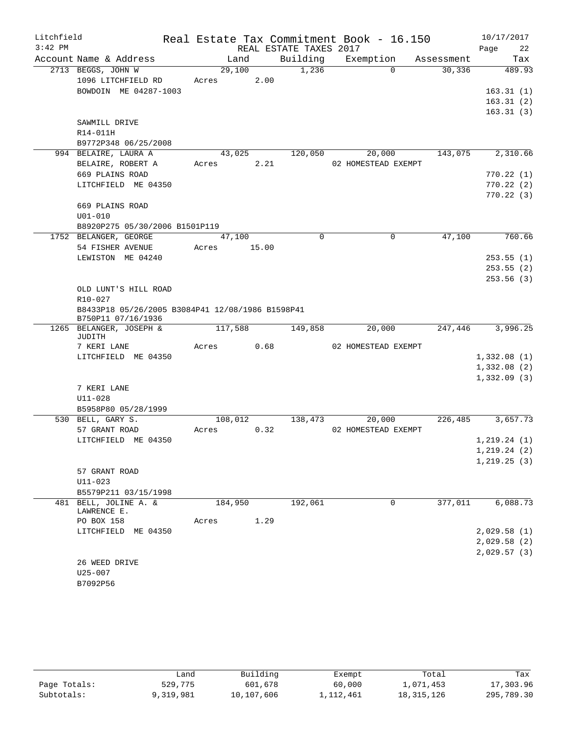| Litchfield |                                                                        |         |       |                        | Real Estate Tax Commitment Book - 16.150 |            | 10/17/2017   |
|------------|------------------------------------------------------------------------|---------|-------|------------------------|------------------------------------------|------------|--------------|
| $3:42$ PM  |                                                                        |         |       | REAL ESTATE TAXES 2017 |                                          |            | Page<br>22   |
|            | Account Name & Address                                                 | Land    |       | Building               | Exemption                                | Assessment | Tax          |
|            | 2713 BEGGS, JOHN W                                                     | 29,100  |       | 1,236                  | $\Omega$                                 | 30,336     | 489.93       |
|            | 1096 LITCHFIELD RD                                                     | Acres   | 2.00  |                        |                                          |            |              |
|            | BOWDOIN ME 04287-1003                                                  |         |       |                        |                                          |            | 163.31(1)    |
|            |                                                                        |         |       |                        |                                          |            | 163.31(2)    |
|            |                                                                        |         |       |                        |                                          |            | 163.31(3)    |
|            | SAWMILL DRIVE                                                          |         |       |                        |                                          |            |              |
|            | R14-011H                                                               |         |       |                        |                                          |            |              |
|            | B9772P348 06/25/2008<br>994 BELAIRE, LAURA A                           | 43,025  |       | 120,050                | 20,000                                   | 143,075    | 2,310.66     |
|            | BELAIRE, ROBERT A                                                      | Acres   | 2.21  |                        | 02 HOMESTEAD EXEMPT                      |            |              |
|            | 669 PLAINS ROAD                                                        |         |       |                        |                                          |            | 770.22(1)    |
|            | LITCHFIELD ME 04350                                                    |         |       |                        |                                          |            | 770.22(2)    |
|            |                                                                        |         |       |                        |                                          |            | 770.22(3)    |
|            | 669 PLAINS ROAD                                                        |         |       |                        |                                          |            |              |
|            | $U01 - 010$                                                            |         |       |                        |                                          |            |              |
|            | B8920P275 05/30/2006 B1501P119                                         |         |       |                        |                                          |            |              |
|            | 1752 BELANGER, GEORGE                                                  | 47,100  |       | $\Omega$               | $\Omega$                                 | 47,100     | 760.66       |
|            | 54 FISHER AVENUE                                                       | Acres   | 15.00 |                        |                                          |            |              |
|            | LEWISTON ME 04240                                                      |         |       |                        |                                          |            | 253.55(1)    |
|            |                                                                        |         |       |                        |                                          |            | 253.55(2)    |
|            |                                                                        |         |       |                        |                                          |            | 253.56(3)    |
|            | OLD LUNT'S HILL ROAD                                                   |         |       |                        |                                          |            |              |
|            | R10-027                                                                |         |       |                        |                                          |            |              |
|            | B8433P18 05/26/2005 B3084P41 12/08/1986 B1598P41<br>B750P11 07/16/1936 |         |       |                        |                                          |            |              |
|            | 1265 BELANGER, JOSEPH &                                                | 117,588 |       | 149,858                | 20,000                                   | 247,446    | 3,996.25     |
|            | JUDITH                                                                 |         |       |                        |                                          |            |              |
|            | 7 KERI LANE                                                            | Acres   | 0.68  |                        | 02 HOMESTEAD EXEMPT                      |            |              |
|            | LITCHFIELD ME 04350                                                    |         |       |                        |                                          |            | 1,332.08(1)  |
|            |                                                                        |         |       |                        |                                          |            | 1,332.08(2)  |
|            | 7 KERI LANE                                                            |         |       |                        |                                          |            | 1,332.09(3)  |
|            | $U11 - 028$                                                            |         |       |                        |                                          |            |              |
|            | B5958P80 05/28/1999                                                    |         |       |                        |                                          |            |              |
|            | 530 BELL, GARY S.                                                      | 108,012 |       | 138,473                | 20,000                                   | 226,485    | 3,657.73     |
|            | 57 GRANT ROAD                                                          | Acres   | 0.32  |                        | 02 HOMESTEAD EXEMPT                      |            |              |
|            | LITCHFIELD ME 04350                                                    |         |       |                        |                                          |            | 1, 219.24(1) |
|            |                                                                        |         |       |                        |                                          |            | 1, 219.24(2) |
|            |                                                                        |         |       |                        |                                          |            | 1, 219.25(3) |
|            | 57 GRANT ROAD                                                          |         |       |                        |                                          |            |              |
|            | $U11 - 023$                                                            |         |       |                        |                                          |            |              |
|            | B5579P211 03/15/1998                                                   |         |       |                        |                                          |            |              |
|            | 481 BELL, JOLINE A. &                                                  | 184,950 |       | 192,061                | 0                                        | 377,011    | 6,088.73     |
|            | LAWRENCE E.<br>PO BOX 158                                              | Acres   | 1.29  |                        |                                          |            |              |
|            | LITCHFIELD ME 04350                                                    |         |       |                        |                                          |            | 2,029.58(1)  |
|            |                                                                        |         |       |                        |                                          |            | 2,029.58(2)  |
|            |                                                                        |         |       |                        |                                          |            | 2,029.57(3)  |
|            | 26 WEED DRIVE                                                          |         |       |                        |                                          |            |              |
|            | U25-007                                                                |         |       |                        |                                          |            |              |
|            | B7092P56                                                               |         |       |                        |                                          |            |              |

|              | فûand     | Building   | Exempt    | Total        | Tax        |
|--------------|-----------|------------|-----------|--------------|------------|
| Page Totals: | 529,775   | 601,678    | 60,000    | 1,071,453    | 17,303.96  |
| Subtotals:   | 9,319,981 | 10,107,606 | 1,112,461 | 18, 315, 126 | 295,789.30 |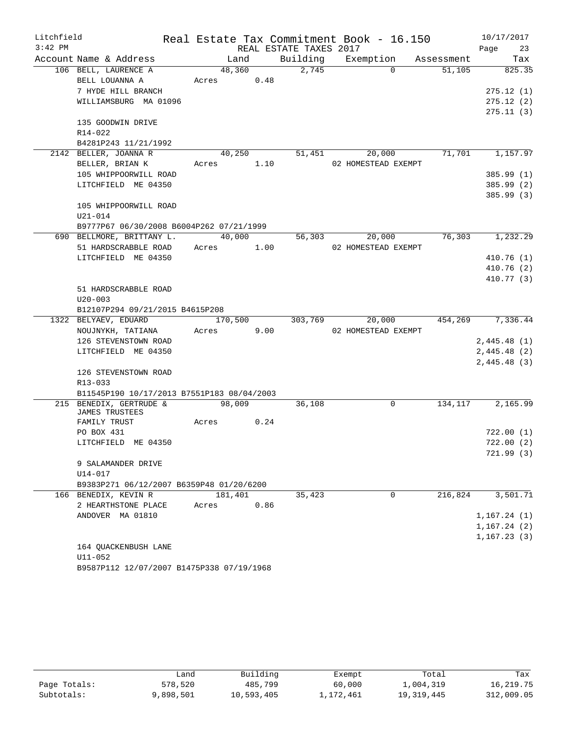| $3:42$ PM<br>REAL ESTATE TAXES 2017<br>23<br>Page<br>Building Exemption<br>Account Name & Address<br>Land<br>Tax<br>Assessment<br>106 BELL, LAURENCE A<br>2,745<br>48,360<br>$\Omega$<br>51,105<br>825.35<br>BELL LOUANNA A<br>Acres 0.48<br>7 HYDE HILL BRANCH<br>275.12(1)<br>WILLIAMSBURG MA 01096<br>275.12(2)<br>275.11(3)<br>135 GOODWIN DRIVE<br>R14-022<br>B4281P243 11/21/1992<br>2142 BELLER, JOANNA R<br>40,250<br>71,701<br>51,451<br>20,000<br>1,157.97<br>BELLER, BRIAN K<br>Acres 1.10<br>02 HOMESTEAD EXEMPT<br>105 WHIPPOORWILL ROAD<br>385.99(1)<br>LITCHFIELD ME 04350<br>385.99 (2)<br>105 WHIPPOORWILL ROAD<br>$U21 - 014$<br>B9777P67 06/30/2008 B6004P262 07/21/1999<br>690 BELLMORE, BRITTANY L.<br>40,000<br>76,303<br>1,232.29<br>56,303<br>20,000<br>51 HARDSCRABBLE ROAD<br>Acres<br>1.00<br>02 HOMESTEAD EXEMPT<br>LITCHFIELD ME 04350<br>410.76(1)<br>410.76(2)<br>410.77(3)<br>51 HARDSCRABBLE ROAD<br>$U20 - 003$<br>B12107P294 09/21/2015 B4615P208<br>1322 BELYAEV, EDUARD<br>20,000<br>454,269<br>170,500<br>303,769<br>9.00<br>NOUJNYKH, TATIANA<br>02 HOMESTEAD EXEMPT<br>Acres<br>126 STEVENSTOWN ROAD<br>2,445.48(1)<br>LITCHFIELD ME 04350<br>2,445.48(2)<br>2,445.48(3)<br>126 STEVENSTOWN ROAD<br>R13-033<br>B11545P190 10/17/2013 B7551P183 08/04/2003<br>215 BENEDIX, GERTRUDE &<br>98,009<br>$\Omega$<br>134,117<br>2,165.99<br>36,108<br>JAMES TRUSTEES<br>0.24<br>FAMILY TRUST<br>Acres<br>PO BOX 431<br>722.00(1)<br>LITCHFIELD ME 04350<br>722.00(2)<br>721.99(3)<br>9 SALAMANDER DRIVE<br>$U14 - 017$<br>B9383P271 06/12/2007 B6359P48 01/20/6200<br>216,824<br>181,401<br>35,423<br>0<br>3,501.71<br>166 BENEDIX, KEVIN R<br>0.86<br>2 HEARTHSTONE PLACE<br>Acres<br>ANDOVER MA 01810<br>1,167.24(1)<br>1,167.24(2)<br>1,167.23(3)<br>164 OUACKENBUSH LANE<br>$U11 - 052$ | Litchfield |  | Real Estate Tax Commitment Book - 16.150 |  |  | 10/17/2017 |
|------------------------------------------------------------------------------------------------------------------------------------------------------------------------------------------------------------------------------------------------------------------------------------------------------------------------------------------------------------------------------------------------------------------------------------------------------------------------------------------------------------------------------------------------------------------------------------------------------------------------------------------------------------------------------------------------------------------------------------------------------------------------------------------------------------------------------------------------------------------------------------------------------------------------------------------------------------------------------------------------------------------------------------------------------------------------------------------------------------------------------------------------------------------------------------------------------------------------------------------------------------------------------------------------------------------------------------------------------------------------------------------------------------------------------------------------------------------------------------------------------------------------------------------------------------------------------------------------------------------------------------------------------------------------------------------------------------------------------------------------------------------------------------------------------------------------------|------------|--|------------------------------------------|--|--|------------|
|                                                                                                                                                                                                                                                                                                                                                                                                                                                                                                                                                                                                                                                                                                                                                                                                                                                                                                                                                                                                                                                                                                                                                                                                                                                                                                                                                                                                                                                                                                                                                                                                                                                                                                                                                                                                                              |            |  |                                          |  |  |            |
|                                                                                                                                                                                                                                                                                                                                                                                                                                                                                                                                                                                                                                                                                                                                                                                                                                                                                                                                                                                                                                                                                                                                                                                                                                                                                                                                                                                                                                                                                                                                                                                                                                                                                                                                                                                                                              |            |  |                                          |  |  |            |
|                                                                                                                                                                                                                                                                                                                                                                                                                                                                                                                                                                                                                                                                                                                                                                                                                                                                                                                                                                                                                                                                                                                                                                                                                                                                                                                                                                                                                                                                                                                                                                                                                                                                                                                                                                                                                              |            |  |                                          |  |  |            |
| 385.99 (3)<br>7,336.44                                                                                                                                                                                                                                                                                                                                                                                                                                                                                                                                                                                                                                                                                                                                                                                                                                                                                                                                                                                                                                                                                                                                                                                                                                                                                                                                                                                                                                                                                                                                                                                                                                                                                                                                                                                                       |            |  |                                          |  |  |            |
|                                                                                                                                                                                                                                                                                                                                                                                                                                                                                                                                                                                                                                                                                                                                                                                                                                                                                                                                                                                                                                                                                                                                                                                                                                                                                                                                                                                                                                                                                                                                                                                                                                                                                                                                                                                                                              |            |  |                                          |  |  |            |
|                                                                                                                                                                                                                                                                                                                                                                                                                                                                                                                                                                                                                                                                                                                                                                                                                                                                                                                                                                                                                                                                                                                                                                                                                                                                                                                                                                                                                                                                                                                                                                                                                                                                                                                                                                                                                              |            |  |                                          |  |  |            |
|                                                                                                                                                                                                                                                                                                                                                                                                                                                                                                                                                                                                                                                                                                                                                                                                                                                                                                                                                                                                                                                                                                                                                                                                                                                                                                                                                                                                                                                                                                                                                                                                                                                                                                                                                                                                                              |            |  |                                          |  |  |            |
|                                                                                                                                                                                                                                                                                                                                                                                                                                                                                                                                                                                                                                                                                                                                                                                                                                                                                                                                                                                                                                                                                                                                                                                                                                                                                                                                                                                                                                                                                                                                                                                                                                                                                                                                                                                                                              |            |  |                                          |  |  |            |
|                                                                                                                                                                                                                                                                                                                                                                                                                                                                                                                                                                                                                                                                                                                                                                                                                                                                                                                                                                                                                                                                                                                                                                                                                                                                                                                                                                                                                                                                                                                                                                                                                                                                                                                                                                                                                              |            |  |                                          |  |  |            |
|                                                                                                                                                                                                                                                                                                                                                                                                                                                                                                                                                                                                                                                                                                                                                                                                                                                                                                                                                                                                                                                                                                                                                                                                                                                                                                                                                                                                                                                                                                                                                                                                                                                                                                                                                                                                                              |            |  |                                          |  |  |            |
|                                                                                                                                                                                                                                                                                                                                                                                                                                                                                                                                                                                                                                                                                                                                                                                                                                                                                                                                                                                                                                                                                                                                                                                                                                                                                                                                                                                                                                                                                                                                                                                                                                                                                                                                                                                                                              |            |  |                                          |  |  |            |
|                                                                                                                                                                                                                                                                                                                                                                                                                                                                                                                                                                                                                                                                                                                                                                                                                                                                                                                                                                                                                                                                                                                                                                                                                                                                                                                                                                                                                                                                                                                                                                                                                                                                                                                                                                                                                              |            |  |                                          |  |  |            |
|                                                                                                                                                                                                                                                                                                                                                                                                                                                                                                                                                                                                                                                                                                                                                                                                                                                                                                                                                                                                                                                                                                                                                                                                                                                                                                                                                                                                                                                                                                                                                                                                                                                                                                                                                                                                                              |            |  |                                          |  |  |            |
|                                                                                                                                                                                                                                                                                                                                                                                                                                                                                                                                                                                                                                                                                                                                                                                                                                                                                                                                                                                                                                                                                                                                                                                                                                                                                                                                                                                                                                                                                                                                                                                                                                                                                                                                                                                                                              |            |  |                                          |  |  |            |
|                                                                                                                                                                                                                                                                                                                                                                                                                                                                                                                                                                                                                                                                                                                                                                                                                                                                                                                                                                                                                                                                                                                                                                                                                                                                                                                                                                                                                                                                                                                                                                                                                                                                                                                                                                                                                              |            |  |                                          |  |  |            |
|                                                                                                                                                                                                                                                                                                                                                                                                                                                                                                                                                                                                                                                                                                                                                                                                                                                                                                                                                                                                                                                                                                                                                                                                                                                                                                                                                                                                                                                                                                                                                                                                                                                                                                                                                                                                                              |            |  |                                          |  |  |            |
|                                                                                                                                                                                                                                                                                                                                                                                                                                                                                                                                                                                                                                                                                                                                                                                                                                                                                                                                                                                                                                                                                                                                                                                                                                                                                                                                                                                                                                                                                                                                                                                                                                                                                                                                                                                                                              |            |  |                                          |  |  |            |
|                                                                                                                                                                                                                                                                                                                                                                                                                                                                                                                                                                                                                                                                                                                                                                                                                                                                                                                                                                                                                                                                                                                                                                                                                                                                                                                                                                                                                                                                                                                                                                                                                                                                                                                                                                                                                              |            |  |                                          |  |  |            |
|                                                                                                                                                                                                                                                                                                                                                                                                                                                                                                                                                                                                                                                                                                                                                                                                                                                                                                                                                                                                                                                                                                                                                                                                                                                                                                                                                                                                                                                                                                                                                                                                                                                                                                                                                                                                                              |            |  |                                          |  |  |            |
|                                                                                                                                                                                                                                                                                                                                                                                                                                                                                                                                                                                                                                                                                                                                                                                                                                                                                                                                                                                                                                                                                                                                                                                                                                                                                                                                                                                                                                                                                                                                                                                                                                                                                                                                                                                                                              |            |  |                                          |  |  |            |
|                                                                                                                                                                                                                                                                                                                                                                                                                                                                                                                                                                                                                                                                                                                                                                                                                                                                                                                                                                                                                                                                                                                                                                                                                                                                                                                                                                                                                                                                                                                                                                                                                                                                                                                                                                                                                              |            |  |                                          |  |  |            |
|                                                                                                                                                                                                                                                                                                                                                                                                                                                                                                                                                                                                                                                                                                                                                                                                                                                                                                                                                                                                                                                                                                                                                                                                                                                                                                                                                                                                                                                                                                                                                                                                                                                                                                                                                                                                                              |            |  |                                          |  |  |            |
|                                                                                                                                                                                                                                                                                                                                                                                                                                                                                                                                                                                                                                                                                                                                                                                                                                                                                                                                                                                                                                                                                                                                                                                                                                                                                                                                                                                                                                                                                                                                                                                                                                                                                                                                                                                                                              |            |  |                                          |  |  |            |
|                                                                                                                                                                                                                                                                                                                                                                                                                                                                                                                                                                                                                                                                                                                                                                                                                                                                                                                                                                                                                                                                                                                                                                                                                                                                                                                                                                                                                                                                                                                                                                                                                                                                                                                                                                                                                              |            |  |                                          |  |  |            |
|                                                                                                                                                                                                                                                                                                                                                                                                                                                                                                                                                                                                                                                                                                                                                                                                                                                                                                                                                                                                                                                                                                                                                                                                                                                                                                                                                                                                                                                                                                                                                                                                                                                                                                                                                                                                                              |            |  |                                          |  |  |            |
|                                                                                                                                                                                                                                                                                                                                                                                                                                                                                                                                                                                                                                                                                                                                                                                                                                                                                                                                                                                                                                                                                                                                                                                                                                                                                                                                                                                                                                                                                                                                                                                                                                                                                                                                                                                                                              |            |  |                                          |  |  |            |
|                                                                                                                                                                                                                                                                                                                                                                                                                                                                                                                                                                                                                                                                                                                                                                                                                                                                                                                                                                                                                                                                                                                                                                                                                                                                                                                                                                                                                                                                                                                                                                                                                                                                                                                                                                                                                              |            |  |                                          |  |  |            |
|                                                                                                                                                                                                                                                                                                                                                                                                                                                                                                                                                                                                                                                                                                                                                                                                                                                                                                                                                                                                                                                                                                                                                                                                                                                                                                                                                                                                                                                                                                                                                                                                                                                                                                                                                                                                                              |            |  |                                          |  |  |            |
|                                                                                                                                                                                                                                                                                                                                                                                                                                                                                                                                                                                                                                                                                                                                                                                                                                                                                                                                                                                                                                                                                                                                                                                                                                                                                                                                                                                                                                                                                                                                                                                                                                                                                                                                                                                                                              |            |  |                                          |  |  |            |
|                                                                                                                                                                                                                                                                                                                                                                                                                                                                                                                                                                                                                                                                                                                                                                                                                                                                                                                                                                                                                                                                                                                                                                                                                                                                                                                                                                                                                                                                                                                                                                                                                                                                                                                                                                                                                              |            |  |                                          |  |  |            |
|                                                                                                                                                                                                                                                                                                                                                                                                                                                                                                                                                                                                                                                                                                                                                                                                                                                                                                                                                                                                                                                                                                                                                                                                                                                                                                                                                                                                                                                                                                                                                                                                                                                                                                                                                                                                                              |            |  |                                          |  |  |            |
|                                                                                                                                                                                                                                                                                                                                                                                                                                                                                                                                                                                                                                                                                                                                                                                                                                                                                                                                                                                                                                                                                                                                                                                                                                                                                                                                                                                                                                                                                                                                                                                                                                                                                                                                                                                                                              |            |  |                                          |  |  |            |
|                                                                                                                                                                                                                                                                                                                                                                                                                                                                                                                                                                                                                                                                                                                                                                                                                                                                                                                                                                                                                                                                                                                                                                                                                                                                                                                                                                                                                                                                                                                                                                                                                                                                                                                                                                                                                              |            |  |                                          |  |  |            |
|                                                                                                                                                                                                                                                                                                                                                                                                                                                                                                                                                                                                                                                                                                                                                                                                                                                                                                                                                                                                                                                                                                                                                                                                                                                                                                                                                                                                                                                                                                                                                                                                                                                                                                                                                                                                                              |            |  |                                          |  |  |            |
|                                                                                                                                                                                                                                                                                                                                                                                                                                                                                                                                                                                                                                                                                                                                                                                                                                                                                                                                                                                                                                                                                                                                                                                                                                                                                                                                                                                                                                                                                                                                                                                                                                                                                                                                                                                                                              |            |  |                                          |  |  |            |
|                                                                                                                                                                                                                                                                                                                                                                                                                                                                                                                                                                                                                                                                                                                                                                                                                                                                                                                                                                                                                                                                                                                                                                                                                                                                                                                                                                                                                                                                                                                                                                                                                                                                                                                                                                                                                              |            |  |                                          |  |  |            |
|                                                                                                                                                                                                                                                                                                                                                                                                                                                                                                                                                                                                                                                                                                                                                                                                                                                                                                                                                                                                                                                                                                                                                                                                                                                                                                                                                                                                                                                                                                                                                                                                                                                                                                                                                                                                                              |            |  |                                          |  |  |            |
|                                                                                                                                                                                                                                                                                                                                                                                                                                                                                                                                                                                                                                                                                                                                                                                                                                                                                                                                                                                                                                                                                                                                                                                                                                                                                                                                                                                                                                                                                                                                                                                                                                                                                                                                                                                                                              |            |  |                                          |  |  |            |
|                                                                                                                                                                                                                                                                                                                                                                                                                                                                                                                                                                                                                                                                                                                                                                                                                                                                                                                                                                                                                                                                                                                                                                                                                                                                                                                                                                                                                                                                                                                                                                                                                                                                                                                                                                                                                              |            |  |                                          |  |  |            |
|                                                                                                                                                                                                                                                                                                                                                                                                                                                                                                                                                                                                                                                                                                                                                                                                                                                                                                                                                                                                                                                                                                                                                                                                                                                                                                                                                                                                                                                                                                                                                                                                                                                                                                                                                                                                                              |            |  |                                          |  |  |            |
|                                                                                                                                                                                                                                                                                                                                                                                                                                                                                                                                                                                                                                                                                                                                                                                                                                                                                                                                                                                                                                                                                                                                                                                                                                                                                                                                                                                                                                                                                                                                                                                                                                                                                                                                                                                                                              |            |  |                                          |  |  |            |
|                                                                                                                                                                                                                                                                                                                                                                                                                                                                                                                                                                                                                                                                                                                                                                                                                                                                                                                                                                                                                                                                                                                                                                                                                                                                                                                                                                                                                                                                                                                                                                                                                                                                                                                                                                                                                              |            |  |                                          |  |  |            |
|                                                                                                                                                                                                                                                                                                                                                                                                                                                                                                                                                                                                                                                                                                                                                                                                                                                                                                                                                                                                                                                                                                                                                                                                                                                                                                                                                                                                                                                                                                                                                                                                                                                                                                                                                                                                                              |            |  |                                          |  |  |            |
|                                                                                                                                                                                                                                                                                                                                                                                                                                                                                                                                                                                                                                                                                                                                                                                                                                                                                                                                                                                                                                                                                                                                                                                                                                                                                                                                                                                                                                                                                                                                                                                                                                                                                                                                                                                                                              |            |  |                                          |  |  |            |
|                                                                                                                                                                                                                                                                                                                                                                                                                                                                                                                                                                                                                                                                                                                                                                                                                                                                                                                                                                                                                                                                                                                                                                                                                                                                                                                                                                                                                                                                                                                                                                                                                                                                                                                                                                                                                              |            |  |                                          |  |  |            |
|                                                                                                                                                                                                                                                                                                                                                                                                                                                                                                                                                                                                                                                                                                                                                                                                                                                                                                                                                                                                                                                                                                                                                                                                                                                                                                                                                                                                                                                                                                                                                                                                                                                                                                                                                                                                                              |            |  |                                          |  |  |            |
|                                                                                                                                                                                                                                                                                                                                                                                                                                                                                                                                                                                                                                                                                                                                                                                                                                                                                                                                                                                                                                                                                                                                                                                                                                                                                                                                                                                                                                                                                                                                                                                                                                                                                                                                                                                                                              |            |  |                                          |  |  |            |
|                                                                                                                                                                                                                                                                                                                                                                                                                                                                                                                                                                                                                                                                                                                                                                                                                                                                                                                                                                                                                                                                                                                                                                                                                                                                                                                                                                                                                                                                                                                                                                                                                                                                                                                                                                                                                              |            |  |                                          |  |  |            |
|                                                                                                                                                                                                                                                                                                                                                                                                                                                                                                                                                                                                                                                                                                                                                                                                                                                                                                                                                                                                                                                                                                                                                                                                                                                                                                                                                                                                                                                                                                                                                                                                                                                                                                                                                                                                                              |            |  |                                          |  |  |            |
|                                                                                                                                                                                                                                                                                                                                                                                                                                                                                                                                                                                                                                                                                                                                                                                                                                                                                                                                                                                                                                                                                                                                                                                                                                                                                                                                                                                                                                                                                                                                                                                                                                                                                                                                                                                                                              |            |  |                                          |  |  |            |

B9587P112 12/07/2007 B1475P338 07/19/1968

|              | ∟and      | Building   | Exempt    | Total        | Tax        |
|--------------|-----------|------------|-----------|--------------|------------|
| Page Totals: | 578,520   | 485,799    | 60,000    | 1,004,319    | 16,219.75  |
| Subtotals:   | 9,898,501 | 10,593,405 | 1,172,461 | 19, 319, 445 | 312,009.05 |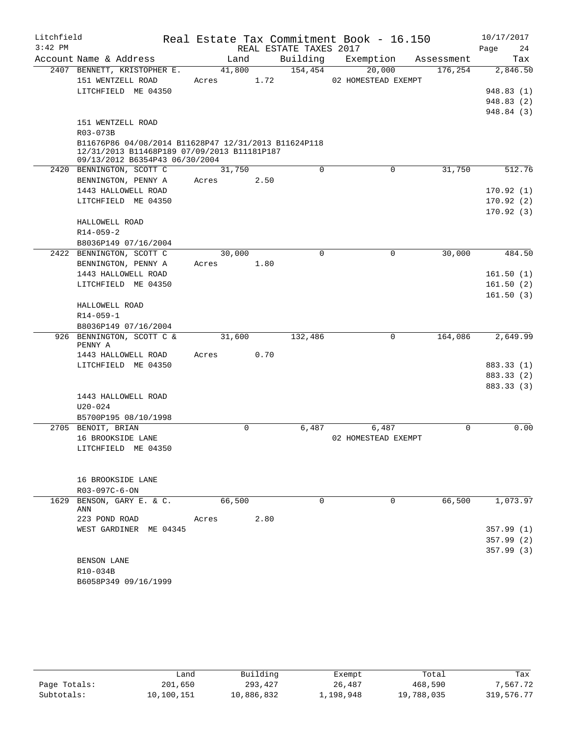| Litchfield |                                                                                                     |          |      |                        | Real Estate Tax Commitment Book - 16.150 |            |      | 10/17/2017 |
|------------|-----------------------------------------------------------------------------------------------------|----------|------|------------------------|------------------------------------------|------------|------|------------|
| $3:42$ PM  |                                                                                                     |          |      | REAL ESTATE TAXES 2017 |                                          |            | Page | 24         |
|            | Account Name & Address                                                                              | Land     |      | Building               | Exemption                                | Assessment |      | Tax        |
|            | 2407 BENNETT, KRISTOPHER E.                                                                         | 41,800   |      | 154,454                | 20,000                                   | 176,254    |      | 2,846.50   |
|            | 151 WENTZELL ROAD                                                                                   | Acres    | 1.72 |                        | 02 HOMESTEAD EXEMPT                      |            |      |            |
|            | LITCHFIELD ME 04350                                                                                 |          |      |                        |                                          |            |      | 948.83(1)  |
|            |                                                                                                     |          |      |                        |                                          |            |      | 948.83(2)  |
|            |                                                                                                     |          |      |                        |                                          |            |      | 948.84 (3) |
|            | 151 WENTZELL ROAD                                                                                   |          |      |                        |                                          |            |      |            |
|            | R03-073B                                                                                            |          |      |                        |                                          |            |      |            |
|            | B11676P86 04/08/2014 B11628P47 12/31/2013 B11624P118<br>12/31/2013 B11468P189 07/09/2013 B11181P187 |          |      |                        |                                          |            |      |            |
|            | 09/13/2012 B6354P43 06/30/2004                                                                      |          |      |                        |                                          |            |      |            |
|            | 2420 BENNINGTON, SCOTT C                                                                            | 31,750   |      | $\mathbf 0$            | $\mathbf 0$                              | 31,750     |      | 512.76     |
|            | BENNINGTON, PENNY A                                                                                 | Acres    | 2.50 |                        |                                          |            |      |            |
|            | 1443 HALLOWELL ROAD                                                                                 |          |      |                        |                                          |            |      | 170.92(1)  |
|            | LITCHFIELD ME 04350                                                                                 |          |      |                        |                                          |            |      | 170.92(2)  |
|            |                                                                                                     |          |      |                        |                                          |            |      | 170.92(3)  |
|            | HALLOWELL ROAD                                                                                      |          |      |                        |                                          |            |      |            |
|            | $R14 - 059 - 2$                                                                                     |          |      |                        |                                          |            |      |            |
|            | B8036P149 07/16/2004                                                                                |          |      |                        |                                          |            |      |            |
|            | 2422 BENNINGTON, SCOTT C                                                                            | 30,000   |      | 0                      | 0                                        | 30,000     |      | 484.50     |
|            | BENNINGTON, PENNY A                                                                                 | Acres    | 1.80 |                        |                                          |            |      |            |
|            | 1443 HALLOWELL ROAD                                                                                 |          |      |                        |                                          |            |      | 161.50(1)  |
|            | LITCHFIELD ME 04350                                                                                 |          |      |                        |                                          |            |      | 161.50(2)  |
|            |                                                                                                     |          |      |                        |                                          |            |      | 161.50(3)  |
|            | HALLOWELL ROAD                                                                                      |          |      |                        |                                          |            |      |            |
|            | $R14 - 059 - 1$                                                                                     |          |      |                        |                                          |            |      |            |
|            | B8036P149 07/16/2004                                                                                |          |      |                        |                                          |            |      |            |
|            | 926 BENNINGTON, SCOTT C &<br>PENNY A                                                                | 31,600   |      | 132,486                | 0                                        | 164,086    |      | 2,649.99   |
|            | 1443 HALLOWELL ROAD                                                                                 | Acres    | 0.70 |                        |                                          |            |      |            |
|            | LITCHFIELD ME 04350                                                                                 |          |      |                        |                                          |            |      | 883.33 (1) |
|            |                                                                                                     |          |      |                        |                                          |            |      | 883.33 (2) |
|            |                                                                                                     |          |      |                        |                                          |            |      | 883.33 (3) |
|            | 1443 HALLOWELL ROAD                                                                                 |          |      |                        |                                          |            |      |            |
|            | $U20 - 024$                                                                                         |          |      |                        |                                          |            |      |            |
|            | B5700P195 08/10/1998                                                                                |          |      |                        |                                          |            |      |            |
|            | 2705 BENOIT, BRIAN                                                                                  | $\Omega$ |      | 6,487                  | 6,487                                    | $\Omega$   |      | 0.00       |
|            | 16 BROOKSIDE LANE                                                                                   |          |      |                        | 02 HOMESTEAD EXEMPT                      |            |      |            |
|            | LITCHFIELD ME 04350                                                                                 |          |      |                        |                                          |            |      |            |
|            |                                                                                                     |          |      |                        |                                          |            |      |            |
|            |                                                                                                     |          |      |                        |                                          |            |      |            |
|            | 16 BROOKSIDE LANE                                                                                   |          |      |                        |                                          |            |      |            |
|            | R03-097C-6-ON                                                                                       |          |      |                        |                                          |            |      |            |
| 1629       | BENSON, GARY E. & C.<br>ANN                                                                         | 66,500   |      | $\Omega$               | 0                                        | 66,500     |      | 1,073.97   |
|            | 223 POND ROAD                                                                                       | Acres    | 2.80 |                        |                                          |            |      |            |
|            | WEST GARDINER ME 04345                                                                              |          |      |                        |                                          |            |      | 357.99(1)  |
|            |                                                                                                     |          |      |                        |                                          |            |      | 357.99(2)  |
|            |                                                                                                     |          |      |                        |                                          |            |      | 357.99(3)  |
|            | BENSON LANE                                                                                         |          |      |                        |                                          |            |      |            |
|            | R10-034B                                                                                            |          |      |                        |                                          |            |      |            |
|            | B6058P349 09/16/1999                                                                                |          |      |                        |                                          |            |      |            |

|              | Land       | Building   | Exempt    | Total      | Tax        |
|--------------|------------|------------|-----------|------------|------------|
| Page Totals: | 201,650    | 293,427    | 26,487    | 468,590    | 7,567.72   |
| Subtotals:   | 10,100,151 | 10,886,832 | 1,198,948 | 19,788,035 | 319,576.77 |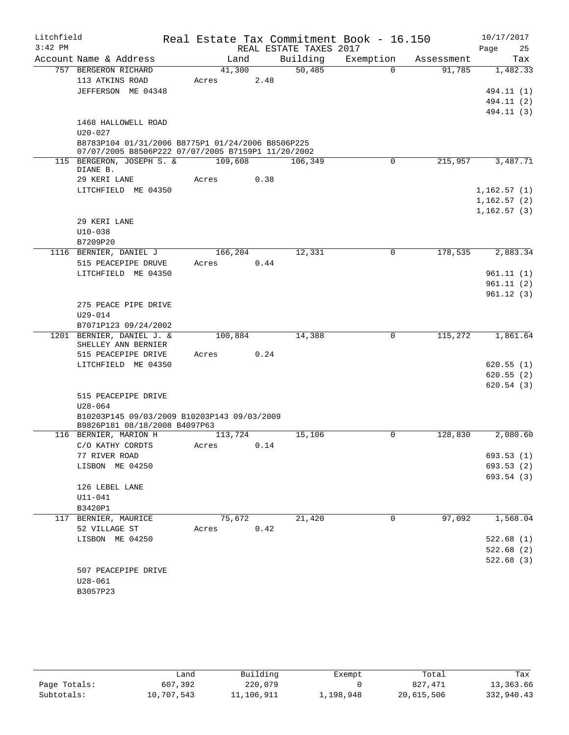| Litchfield |                                                                                                         |                  |      | Real Estate Tax Commitment Book - 16.150 |             |            | 10/17/2017  |                          |
|------------|---------------------------------------------------------------------------------------------------------|------------------|------|------------------------------------------|-------------|------------|-------------|--------------------------|
| $3:42$ PM  |                                                                                                         |                  |      | REAL ESTATE TAXES 2017                   |             |            | Page        | 25                       |
|            | Account Name & Address                                                                                  | Land             |      | Building                                 | Exemption   | Assessment |             | Tax                      |
|            | 757 BERGERON RICHARD                                                                                    | 41,300           |      | 50,485                                   | $\Omega$    | 91,785     |             | 1,482.33                 |
|            | 113 ATKINS ROAD                                                                                         | Acres            | 2.48 |                                          |             |            |             |                          |
|            | JEFFERSON ME 04348                                                                                      |                  |      |                                          |             |            |             | 494.11 (1)               |
|            |                                                                                                         |                  |      |                                          |             |            |             | 494.11 (2)<br>494.11 (3) |
|            | 1468 HALLOWELL ROAD                                                                                     |                  |      |                                          |             |            |             |                          |
|            | $U20 - 027$                                                                                             |                  |      |                                          |             |            |             |                          |
|            | B8783P104 01/31/2006 B8775P1 01/24/2006 B8506P225<br>07/07/2005 B8506P222 07/07/2005 B7159P1 11/20/2002 |                  |      |                                          |             |            |             |                          |
|            | 115 BERGERON, JOSEPH S. &<br>DIANE B.                                                                   | 109,608          |      | 106,349                                  | 0           | 215,957    |             | 3,487.71                 |
|            | 29 KERI LANE                                                                                            | Acres            | 0.38 |                                          |             |            |             |                          |
|            | LITCHFIELD ME 04350                                                                                     |                  |      |                                          |             |            | 1,162.57(1) |                          |
|            |                                                                                                         |                  |      |                                          |             |            | 1,162.57(2) |                          |
|            |                                                                                                         |                  |      |                                          |             |            | 1,162.57(3) |                          |
|            | 29 KERI LANE                                                                                            |                  |      |                                          |             |            |             |                          |
|            | $U10 - 038$                                                                                             |                  |      |                                          |             |            |             |                          |
|            | B7209P20                                                                                                |                  |      |                                          |             |            |             |                          |
|            | 1116 BERNIER, DANIEL J                                                                                  | 166,204<br>Acres |      | 12,331                                   | $\mathbf 0$ | 178,535    |             | 2,883.34                 |
|            | 515 PEACEPIPE DRUVE<br>LITCHFIELD ME 04350                                                              |                  | 0.44 |                                          |             |            |             | 961.11(1)                |
|            |                                                                                                         |                  |      |                                          |             |            |             | 961.11(2)                |
|            |                                                                                                         |                  |      |                                          |             |            |             | 961.12(3)                |
|            | 275 PEACE PIPE DRIVE                                                                                    |                  |      |                                          |             |            |             |                          |
|            | $U29 - 014$                                                                                             |                  |      |                                          |             |            |             |                          |
|            | B7071P123 09/24/2002                                                                                    |                  |      |                                          |             |            |             |                          |
|            | 1201 BERNIER, DANIEL J. &<br>SHELLEY ANN BERNIER                                                        | 100,884          |      | 14,388                                   | $\Omega$    | 115,272    |             | 1,861.64                 |
|            | 515 PEACEPIPE DRIVE                                                                                     | Acres            | 0.24 |                                          |             |            |             |                          |
|            | LITCHFIELD ME 04350                                                                                     |                  |      |                                          |             |            |             | 620.55(1)                |
|            |                                                                                                         |                  |      |                                          |             |            |             | 620.55(2)<br>620.54(3)   |
|            | 515 PEACEPIPE DRIVE                                                                                     |                  |      |                                          |             |            |             |                          |
|            | $U28 - 064$                                                                                             |                  |      |                                          |             |            |             |                          |
|            | B10203P145 09/03/2009 B10203P143 09/03/2009<br>B9826P181 08/18/2008 B4097P63                            |                  |      |                                          |             |            |             |                          |
|            | 116 BERNIER, MARION H                                                                                   | 113,724          |      | 15,106                                   | 0           | 128,830    |             | 2,080.60                 |
|            | C/O KATHY CORDTS                                                                                        | Acres<br>0.14    |      |                                          |             |            |             |                          |
|            | 77 RIVER ROAD                                                                                           |                  |      |                                          |             |            |             | 693.53 (1)               |
|            | LISBON ME 04250                                                                                         |                  |      |                                          |             |            |             | 693.53(2)                |
|            |                                                                                                         |                  |      |                                          |             |            |             | 693.54 (3)               |
|            | 126 LEBEL LANE<br>$U11 - 041$                                                                           |                  |      |                                          |             |            |             |                          |
|            | B3420P1                                                                                                 |                  |      |                                          |             |            |             |                          |
|            | 117 BERNIER, MAURICE                                                                                    | 75,672           |      | 21,420                                   | 0           | 97,092     |             | 1,568.04                 |
|            | 52 VILLAGE ST                                                                                           | Acres            | 0.42 |                                          |             |            |             |                          |
|            | LISBON ME 04250                                                                                         |                  |      |                                          |             |            |             | 522.68(1)                |
|            |                                                                                                         |                  |      |                                          |             |            |             | 522.68(2)                |
|            |                                                                                                         |                  |      |                                          |             |            |             | 522.68(3)                |
|            | 507 PEACEPIPE DRIVE                                                                                     |                  |      |                                          |             |            |             |                          |
|            | $U28 - 061$                                                                                             |                  |      |                                          |             |            |             |                          |
|            | B3057P23                                                                                                |                  |      |                                          |             |            |             |                          |

|              | Land       | Building   | Exempt    | Total      | Tax        |
|--------------|------------|------------|-----------|------------|------------|
| Page Totals: | 607,392    | 220,079    |           | 827, 471   | 13,363.66  |
| Subtotals:   | 10,707,543 | 11,106,911 | 1,198,948 | 20,615,506 | 332,940.43 |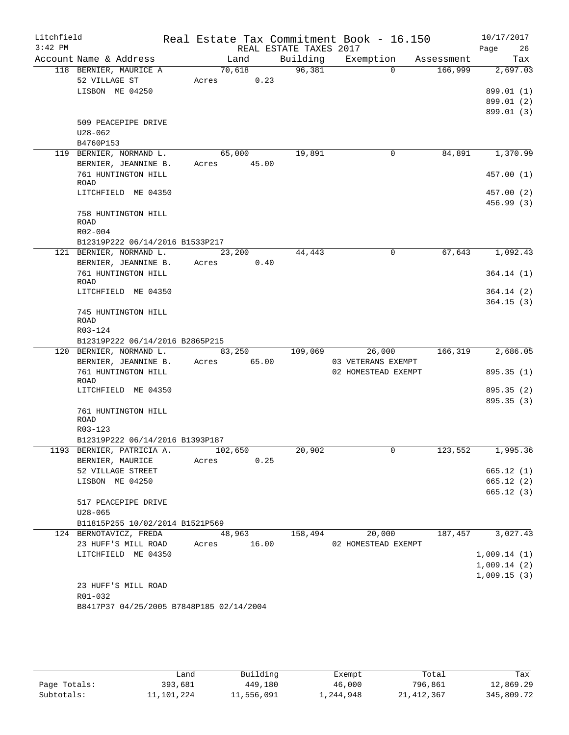| Litchfield |                                                           |         |             |                        | Real Estate Tax Commitment Book - 16.150 |         | 10/17/2017  |
|------------|-----------------------------------------------------------|---------|-------------|------------------------|------------------------------------------|---------|-------------|
| $3:42$ PM  |                                                           |         |             | REAL ESTATE TAXES 2017 |                                          |         | Page<br>26  |
|            | Account Name & Address                                    |         | Land        |                        | Building Exemption Assessment            |         | Tax         |
|            | 118 BERNIER, MAURICE A                                    |         | 70,618      | 96,381                 | $\Omega$                                 | 166,999 | 2,697.03    |
|            | 52 VILLAGE ST                                             |         | Acres 0.23  |                        |                                          |         |             |
|            | LISBON ME 04250                                           |         |             |                        |                                          |         | 899.01 (1)  |
|            |                                                           |         |             |                        |                                          |         | 899.01 (2)  |
|            |                                                           |         |             |                        |                                          |         | 899.01 (3)  |
|            | 509 PEACEPIPE DRIVE<br>$U28 - 062$                        |         |             |                        |                                          |         |             |
|            | B4760P153                                                 |         |             |                        |                                          |         |             |
|            | 119 BERNIER, NORMAND L.                                   |         | 65,000      | 19,891                 | $\mathbf 0$                              | 84,891  | 1,370.99    |
|            | BERNIER, JEANNINE B.                                      |         | Acres 45.00 |                        |                                          |         |             |
|            | 761 HUNTINGTON HILL                                       |         |             |                        |                                          |         | 457.00(1)   |
|            | ROAD                                                      |         |             |                        |                                          |         |             |
|            | LITCHFIELD ME 04350                                       |         |             |                        |                                          |         | 457.00 (2)  |
|            |                                                           |         |             |                        |                                          |         | 456.99 (3)  |
|            | 758 HUNTINGTON HILL                                       |         |             |                        |                                          |         |             |
|            | ROAD                                                      |         |             |                        |                                          |         |             |
|            | R02-004                                                   |         |             |                        |                                          |         |             |
|            | B12319P222 06/14/2016 B1533P217                           |         |             |                        |                                          |         |             |
|            | 121 BERNIER, NORMAND L.                                   |         | 23,200      | 44,443                 | $\mathbf 0$                              | 67,643  | 1,092.43    |
|            | BERNIER, JEANNINE B.<br>761 HUNTINGTON HILL               | Acres   | 0.40        |                        |                                          |         |             |
|            | <b>ROAD</b>                                               |         |             |                        |                                          |         | 364.14(1)   |
|            | LITCHFIELD ME 04350                                       |         |             |                        |                                          |         | 364.14(2)   |
|            |                                                           |         |             |                        |                                          |         | 364.15(3)   |
|            | 745 HUNTINGTON HILL                                       |         |             |                        |                                          |         |             |
|            | <b>ROAD</b>                                               |         |             |                        |                                          |         |             |
|            | R03-124                                                   |         |             |                        |                                          |         |             |
|            | B12319P222 06/14/2016 B2865P215                           |         |             |                        |                                          |         |             |
|            | 120 BERNIER, NORMAND L.                                   |         | 83,250      | 109,069                | 26,000                                   | 166,319 | 2,686.05    |
|            | BERNIER, JEANNINE B. Acres 65.00                          |         |             |                        | 03 VETERANS EXEMPT                       |         |             |
|            | 761 HUNTINGTON HILL<br><b>ROAD</b>                        |         |             |                        | 02 HOMESTEAD EXEMPT                      |         | 895.35 (1)  |
|            | LITCHFIELD ME 04350                                       |         |             |                        |                                          |         | 895.35 (2)  |
|            |                                                           |         |             |                        |                                          |         | 895.35(3)   |
|            | 761 HUNTINGTON HILL                                       |         |             |                        |                                          |         |             |
|            | <b>ROAD</b>                                               |         |             |                        |                                          |         |             |
|            | R03-123                                                   |         |             |                        |                                          |         |             |
|            | B12319P222 06/14/2016 B1393P187                           |         |             |                        |                                          |         |             |
|            | 1193 BERNIER, PATRICIA A.                                 | 102,650 |             | 20,902                 | $\cup$                                   | 123,552 | 1,995.36    |
|            | BERNIER, MAURICE                                          | Acres   | 0.25        |                        |                                          |         |             |
|            | 52 VILLAGE STREET                                         |         |             |                        |                                          |         | 665.12(1)   |
|            | LISBON ME 04250                                           |         |             |                        |                                          |         | 665.12(2)   |
|            |                                                           |         |             |                        |                                          |         | 665.12(3)   |
|            | 517 PEACEPIPE DRIVE<br>$U28 - 065$                        |         |             |                        |                                          |         |             |
|            |                                                           |         |             |                        |                                          |         |             |
|            | B11815P255 10/02/2014 B1521P569<br>124 BERNOTAVICZ, FREDA |         | 48,963      | 158,494                | 20,000                                   | 187,457 | 3,027.43    |
|            | 23 HUFF'S MILL ROAD                                       | Acres   | 16.00       |                        | 02 HOMESTEAD EXEMPT                      |         |             |
|            | LITCHFIELD ME 04350                                       |         |             |                        |                                          |         | 1,009.14(1) |
|            |                                                           |         |             |                        |                                          |         | 1,009.14(2) |
|            |                                                           |         |             |                        |                                          |         | 1,009.15(3) |
|            | 23 HUFF'S MILL ROAD                                       |         |             |                        |                                          |         |             |
|            | R01-032                                                   |         |             |                        |                                          |         |             |
|            | B8417P37 04/25/2005 B7848P185 02/14/2004                  |         |             |                        |                                          |         |             |
|            |                                                           |         |             |                        |                                          |         |             |
|            |                                                           |         |             |                        |                                          |         |             |

|              | ∟and       | Building   | Exempt    | Total      | Tax        |
|--------------|------------|------------|-----------|------------|------------|
| Page Totals: | 393,681    | 449,180    | 46,000    | 796,861    | 12,869.29  |
| Subtotals:   | 11,101,224 | 11,556,091 | 1,244,948 | 21,412,367 | 345,809.72 |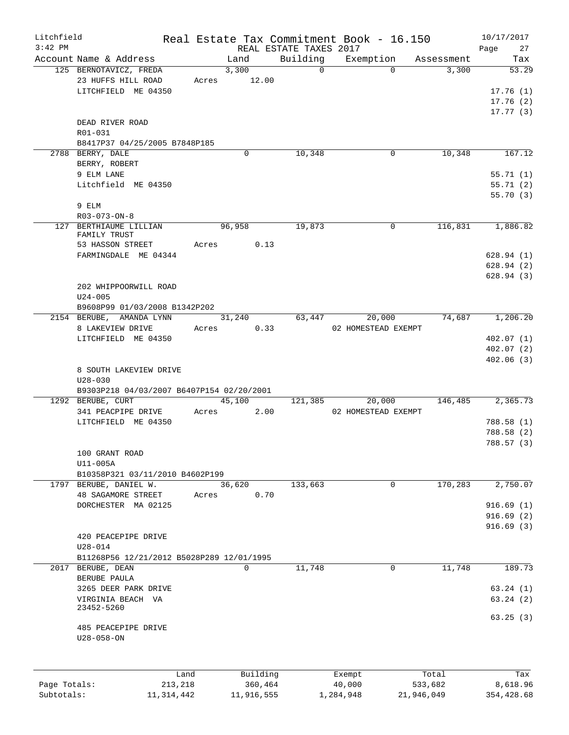| Litchfield   |                                           |              |             |                        | Real Estate Tax Commitment Book - 16.150 |            | 10/17/2017 |
|--------------|-------------------------------------------|--------------|-------------|------------------------|------------------------------------------|------------|------------|
| $3:42$ PM    |                                           |              |             | REAL ESTATE TAXES 2017 |                                          |            | Page<br>27 |
|              | Account Name & Address                    |              | Land        | Building               | Exemption                                | Assessment | Tax        |
|              | 125 BERNOTAVICZ, FREDA                    |              | 3,300       | $\Omega$               | $\Omega$                                 | 3,300      | 53.29      |
|              | 23 HUFFS HILL ROAD                        | Acres        | 12.00       |                        |                                          |            |            |
|              | LITCHFIELD ME 04350                       |              |             |                        |                                          |            | 17.76(1)   |
|              |                                           |              |             |                        |                                          |            | 17.76(2)   |
|              |                                           |              |             |                        |                                          |            | 17.77(3)   |
|              | DEAD RIVER ROAD                           |              |             |                        |                                          |            |            |
|              | R01-031                                   |              |             |                        |                                          |            |            |
|              | B8417P37 04/25/2005 B7848P185             |              |             |                        |                                          |            |            |
|              | 2788 BERRY, DALE                          |              | 0           | 10,348                 | 0                                        | 10,348     | 167.12     |
|              | BERRY, ROBERT                             |              |             |                        |                                          |            |            |
|              | 9 ELM LANE                                |              |             |                        |                                          |            | 55.71(1)   |
|              | Litchfield ME 04350                       |              |             |                        |                                          |            | 55.71(2)   |
|              |                                           |              |             |                        |                                          |            | 55.70(3)   |
|              | 9 ELM                                     |              |             |                        |                                          |            |            |
|              |                                           |              |             |                        |                                          |            |            |
|              | $R03 - 073 - ON - 8$                      |              |             |                        |                                          |            |            |
|              | 127 BERTHIAUME LILLIAN<br>FAMILY TRUST    |              | 96,958      | 19,873                 | $\Omega$                                 | 116,831    | 1,886.82   |
|              | 53 HASSON STREET                          | Acres        |             | 0.13                   |                                          |            |            |
|              |                                           |              |             |                        |                                          |            |            |
|              | FARMINGDALE ME 04344                      |              |             |                        |                                          |            | 628.94(1)  |
|              |                                           |              |             |                        |                                          |            | 628.94(2)  |
|              |                                           |              |             |                        |                                          |            | 628.94(3)  |
|              | 202 WHIPPOORWILL ROAD                     |              |             |                        |                                          |            |            |
|              | $U24 - 005$                               |              |             |                        |                                          |            |            |
|              | B9608P99 01/03/2008 B1342P202             |              |             |                        |                                          |            |            |
|              | 2154 BERUBE, AMANDA LYNN                  |              | 31,240      | 63,447                 | 20,000                                   | 74,687     | 1,206.20   |
|              | 8 LAKEVIEW DRIVE                          | Acres        |             | 0.33                   | 02 HOMESTEAD EXEMPT                      |            |            |
|              | LITCHFIELD ME 04350                       |              |             |                        |                                          |            | 402.07(1)  |
|              |                                           |              |             |                        |                                          |            | 402.07(2)  |
|              |                                           |              |             |                        |                                          |            | 402.06(3)  |
|              | 8 SOUTH LAKEVIEW DRIVE                    |              |             |                        |                                          |            |            |
|              | $U28 - 030$                               |              |             |                        |                                          |            |            |
|              | B9303P218 04/03/2007 B6407P154 02/20/2001 |              |             |                        |                                          |            |            |
|              | 1292 BERUBE, CURT                         |              | 45,100      | 121,385                | 20,000                                   | 146,485    | 2,365.73   |
|              | 341 PEACPIPE DRIVE                        | Acres        |             | 2.00                   | 02 HOMESTEAD EXEMPT                      |            |            |
|              | LITCHFIELD ME 04350                       |              |             |                        |                                          |            | 788.58 (1) |
|              |                                           |              |             |                        |                                          |            | 788.58 (2) |
|              |                                           |              |             |                        |                                          |            | 788.57 (3) |
|              | 100 GRANT ROAD                            |              |             |                        |                                          |            |            |
|              |                                           |              |             |                        |                                          |            |            |
|              | U11-005A                                  |              |             |                        |                                          |            |            |
|              | B10358P321 03/11/2010 B4602P199           |              |             |                        |                                          |            |            |
|              | 1797 BERUBE, DANIEL W.                    |              | 36,620      | 133,663                | 0                                        | 170,283    | 2,750.07   |
|              | <b>48 SAGAMORE STREET</b>                 | Acres        |             | 0.70                   |                                          |            |            |
|              | DORCHESTER MA 02125                       |              |             |                        |                                          |            | 916.69(1)  |
|              |                                           |              |             |                        |                                          |            | 916.69(2)  |
|              |                                           |              |             |                        |                                          |            | 916.69(3)  |
|              | 420 PEACEPIPE DRIVE                       |              |             |                        |                                          |            |            |
|              | $U28 - 014$                               |              |             |                        |                                          |            |            |
|              | B11268P56 12/21/2012 B5028P289 12/01/1995 |              |             |                        |                                          |            |            |
|              | 2017 BERUBE, DEAN                         |              | $\mathbf 0$ | 11,748                 | $\mathbf 0$                              | 11,748     | 189.73     |
|              | BERUBE PAULA                              |              |             |                        |                                          |            |            |
|              | 3265 DEER PARK DRIVE                      |              |             |                        |                                          |            | 63.24(1)   |
|              | VIRGINIA BEACH VA                         |              |             |                        |                                          |            | 63.24(2)   |
|              | 23452-5260                                |              |             |                        |                                          |            |            |
|              | 485 PEACEPIPE DRIVE                       |              |             |                        |                                          |            | 63.25(3)   |
|              | $U28 - 058 - ON$                          |              |             |                        |                                          |            |            |
|              |                                           |              |             |                        |                                          |            |            |
|              |                                           | Land         | Building    |                        | Exempt                                   | Total      | Tax        |
| Page Totals: |                                           | 213,218      | 360,464     |                        | 40,000                                   | 533,682    | 8,618.96   |
| Subtotals:   |                                           | 11, 314, 442 | 11,916,555  |                        | 1,284,948                                | 21,946,049 | 354,428.68 |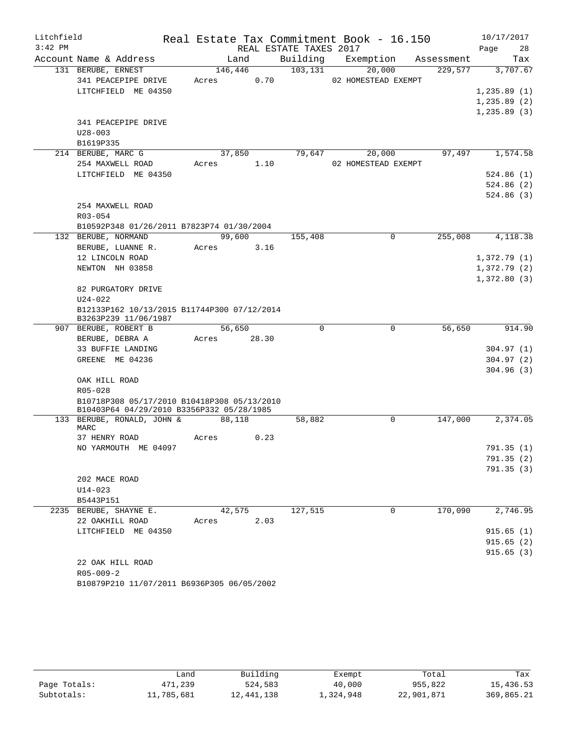| Litchfield<br>$3:42$ PM |                                                                                |             |      | REAL ESTATE TAXES 2017 | Real Estate Tax Commitment Book - 16.150 |            | 10/17/2017<br>Page | 28  |
|-------------------------|--------------------------------------------------------------------------------|-------------|------|------------------------|------------------------------------------|------------|--------------------|-----|
|                         | Account Name & Address                                                         | Land        |      | Building               | Exemption                                | Assessment |                    | Tax |
|                         | 131 BERUBE, ERNEST                                                             | 146,446     |      | 103, 131               | 20,000                                   | 229,577    | 3,707.67           |     |
|                         | 341 PEACEPIPE DRIVE                                                            | Acres       | 0.70 |                        | 02 HOMESTEAD EXEMPT                      |            |                    |     |
|                         | LITCHFIELD ME 04350                                                            |             |      |                        |                                          |            | 1, 235.89(1)       |     |
|                         |                                                                                |             |      |                        |                                          |            | 1,235.89(2)        |     |
|                         |                                                                                |             |      |                        |                                          |            | 1, 235.89(3)       |     |
|                         | 341 PEACEPIPE DRIVE                                                            |             |      |                        |                                          |            |                    |     |
|                         | $U28 - 003$                                                                    |             |      |                        |                                          |            |                    |     |
|                         | B1619P335                                                                      |             |      |                        |                                          |            |                    |     |
|                         | 214 BERUBE, MARC G                                                             | 37,850      |      | 79,647                 | 20,000                                   | 97,497     | 1,574.58           |     |
|                         | 254 MAXWELL ROAD                                                               | Acres       | 1.10 |                        | 02 HOMESTEAD EXEMPT                      |            |                    |     |
|                         | LITCHFIELD ME 04350                                                            |             |      |                        |                                          |            | 524.86(1)          |     |
|                         |                                                                                |             |      |                        |                                          |            | 524.86 (2)         |     |
|                         |                                                                                |             |      |                        |                                          |            | 524.86(3)          |     |
|                         | 254 MAXWELL ROAD                                                               |             |      |                        |                                          |            |                    |     |
|                         | $R03 - 054$                                                                    |             |      |                        |                                          |            |                    |     |
|                         | B10592P348 01/26/2011 B7823P74 01/30/2004                                      |             |      |                        |                                          |            |                    |     |
|                         | 132 BERUBE, NORMAND                                                            | 99,600      |      | 155,408                | 0                                        | 255,008    | 4,118.38           |     |
|                         | BERUBE, LUANNE R.                                                              | Acres       | 3.16 |                        |                                          |            |                    |     |
|                         | 12 LINCOLN ROAD                                                                |             |      |                        |                                          |            | 1,372.79(1)        |     |
|                         | NEWTON NH 03858                                                                |             |      |                        |                                          |            | 1,372.79(2)        |     |
|                         |                                                                                |             |      |                        |                                          |            | 1,372.80(3)        |     |
|                         | 82 PURGATORY DRIVE                                                             |             |      |                        |                                          |            |                    |     |
|                         | $U24 - 022$<br>B12133P162 10/13/2015 B11744P300 07/12/2014                     |             |      |                        |                                          |            |                    |     |
|                         | B3263P239 11/06/1987                                                           |             |      |                        |                                          |            |                    |     |
|                         | 907 BERUBE, ROBERT B                                                           | 56,650      |      | $\Omega$               | $\mathbf 0$                              | 56,650     | 914.90             |     |
|                         | BERUBE, DEBRA A                                                                | Acres 28.30 |      |                        |                                          |            |                    |     |
|                         | 33 BUFFIE LANDING                                                              |             |      |                        |                                          |            | 304.97(1)          |     |
|                         | GREENE ME 04236                                                                |             |      |                        |                                          |            | 304.97(2)          |     |
|                         |                                                                                |             |      |                        |                                          |            | 304.96(3)          |     |
|                         | OAK HILL ROAD                                                                  |             |      |                        |                                          |            |                    |     |
|                         | R05-028                                                                        |             |      |                        |                                          |            |                    |     |
|                         | B10718P308 05/17/2010 B10418P308 05/13/2010                                    |             |      |                        |                                          |            |                    |     |
|                         | B10403P64 04/29/2010 B3356P332 05/28/1985<br>133 BERUBE, RONALD, JOHN & 88,118 |             |      |                        | 0                                        | 147,000    | 2,374.05           |     |
|                         | MARC                                                                           |             |      | 58,882                 |                                          |            |                    |     |
|                         | 37 HENRY ROAD                                                                  | Acres       | 0.23 |                        |                                          |            |                    |     |
|                         | NO YARMOUTH ME 04097                                                           |             |      |                        |                                          |            | 791.35 (1)         |     |
|                         |                                                                                |             |      |                        |                                          |            | 791.35(2)          |     |
|                         |                                                                                |             |      |                        |                                          |            | 791.35(3)          |     |
|                         | 202 MACE ROAD                                                                  |             |      |                        |                                          |            |                    |     |
|                         | $U14 - 023$                                                                    |             |      |                        |                                          |            |                    |     |
|                         | B5443P151                                                                      |             |      |                        |                                          |            |                    |     |
|                         | 2235 BERUBE, SHAYNE E.                                                         | 42,575      |      | 127,515                | 0                                        | 170,090    | 2,746.95           |     |
|                         | 22 OAKHILL ROAD                                                                | Acres       | 2.03 |                        |                                          |            |                    |     |
|                         | LITCHFIELD ME 04350                                                            |             |      |                        |                                          |            | 915.65(1)          |     |
|                         |                                                                                |             |      |                        |                                          |            | 915.65(2)          |     |
|                         |                                                                                |             |      |                        |                                          |            | 915.65(3)          |     |
|                         | 22 OAK HILL ROAD                                                               |             |      |                        |                                          |            |                    |     |
|                         | $R05 - 009 - 2$                                                                |             |      |                        |                                          |            |                    |     |
|                         | B10879P210 11/07/2011 B6936P305 06/05/2002                                     |             |      |                        |                                          |            |                    |     |

|              | ف and      | Building   | Exempt    | Total      | Tax        |
|--------------|------------|------------|-----------|------------|------------|
| Page Totals: | 471,239    | 524,583    | 40,000    | 955,822    | 15,436.53  |
| Subtotals:   | 11,785,681 | 12,441,138 | 1,324,948 | 22,901,871 | 369,865.21 |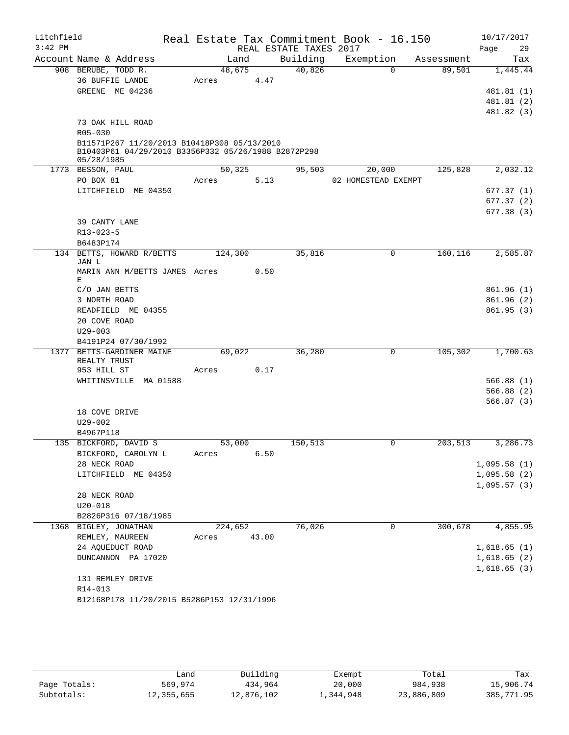| Litchfield |                                                     |         |       |                        | Real Estate Tax Commitment Book - 16.150 |            | 10/17/2017               |
|------------|-----------------------------------------------------|---------|-------|------------------------|------------------------------------------|------------|--------------------------|
| $3:42$ PM  |                                                     |         |       | REAL ESTATE TAXES 2017 |                                          |            | Page<br>29               |
|            | Account Name & Address                              | Land    |       | Building               | Exemption                                | Assessment | Tax                      |
|            | 908 BERUBE, TODD R.                                 | 48,675  |       | 40,826                 | $\Omega$                                 | 89,501     | 1,445.44                 |
|            | 36 BUFFIE LANDE                                     | Acres   | 4.47  |                        |                                          |            |                          |
|            | GREENE ME 04236                                     |         |       |                        |                                          |            | 481.81 (1)               |
|            |                                                     |         |       |                        |                                          |            | 481.81 (2)<br>481.82 (3) |
|            | 73 OAK HILL ROAD                                    |         |       |                        |                                          |            |                          |
|            | R05-030                                             |         |       |                        |                                          |            |                          |
|            | B11571P267 11/20/2013 B10418P308 05/13/2010         |         |       |                        |                                          |            |                          |
|            | B10403P61 04/29/2010 B3356P332 05/26/1988 B2872P298 |         |       |                        |                                          |            |                          |
|            | 05/28/1985                                          |         |       |                        |                                          |            |                          |
|            | 1773 BESSON, PAUL                                   | 50,325  |       | 95,503                 | 20,000                                   | 125,828    | 2,032.12                 |
|            | PO BOX 81<br>LITCHFIELD ME 04350                    | Acres   | 5.13  |                        | 02 HOMESTEAD EXEMPT                      |            |                          |
|            |                                                     |         |       |                        |                                          |            | 677.37 (1)<br>677.37 (2) |
|            |                                                     |         |       |                        |                                          |            | 677.38 (3)               |
|            | 39 CANTY LANE                                       |         |       |                        |                                          |            |                          |
|            | R13-023-5                                           |         |       |                        |                                          |            |                          |
|            | B6483P174                                           |         |       |                        |                                          |            |                          |
|            | 134 BETTS, HOWARD R/BETTS                           | 124,300 |       | 35,816                 | 0                                        | 160, 116   | 2,585.87                 |
|            | JAN L                                               |         |       |                        |                                          |            |                          |
|            | MARIN ANN M/BETTS JAMES Acres<br>Е                  |         | 0.50  |                        |                                          |            |                          |
|            | C/O JAN BETTS                                       |         |       |                        |                                          |            | 861.96(1)                |
|            | 3 NORTH ROAD                                        |         |       |                        |                                          |            | 861.96(2)                |
|            | READFIELD ME 04355                                  |         |       |                        |                                          |            | 861.95(3)                |
|            | 20 COVE ROAD                                        |         |       |                        |                                          |            |                          |
|            | $U29 - 003$                                         |         |       |                        |                                          |            |                          |
|            | B4191P24 07/30/1992                                 |         |       |                        |                                          |            |                          |
|            | 1377 BETTS-GARDINER MAINE                           | 69,022  |       | 36,280                 | 0                                        | 105,302    | 1,700.63                 |
|            | REALTY TRUST<br>953 HILL ST                         | Acres   | 0.17  |                        |                                          |            |                          |
|            | WHITINSVILLE MA 01588                               |         |       |                        |                                          |            | 566.88(1)                |
|            |                                                     |         |       |                        |                                          |            | 566.88(2)                |
|            |                                                     |         |       |                        |                                          |            | 566.87(3)                |
|            | 18 COVE DRIVE                                       |         |       |                        |                                          |            |                          |
|            | $U29 - 002$                                         |         |       |                        |                                          |            |                          |
|            | B4967P118                                           |         |       |                        |                                          |            |                          |
|            | 135 BICKFORD, DAVID S                               | 53,000  |       | 150,513                | 0                                        | 203,513    | 3,286.73                 |
|            | BICKFORD, CAROLYN L                                 | Acres   | 6.50  |                        |                                          |            |                          |
|            | 28 NECK ROAD                                        |         |       |                        |                                          |            | 1,095.58(1)              |
|            | LITCHFIELD ME 04350                                 |         |       |                        |                                          |            | 1,095.58(2)              |
|            |                                                     |         |       |                        |                                          |            | 1,095.57(3)              |
|            | 28 NECK ROAD<br>$U20 - 018$                         |         |       |                        |                                          |            |                          |
|            | B2826P316 07/18/1985                                |         |       |                        |                                          |            |                          |
|            | 1368 BIGLEY, JONATHAN                               | 224,652 |       | 76,026                 | 0                                        | 300,678    | 4,855.95                 |
|            | REMLEY, MAUREEN                                     | Acres   | 43.00 |                        |                                          |            |                          |
|            | 24 AQUEDUCT ROAD                                    |         |       |                        |                                          |            | 1,618.65(1)              |
|            | DUNCANNON PA 17020                                  |         |       |                        |                                          |            | 1,618.65(2)              |
|            |                                                     |         |       |                        |                                          |            | 1,618.65(3)              |
|            | 131 REMLEY DRIVE                                    |         |       |                        |                                          |            |                          |
|            | R14-013                                             |         |       |                        |                                          |            |                          |
|            | B12168P178 11/20/2015 B5286P153 12/31/1996          |         |       |                        |                                          |            |                          |

|              | Land       | Building   | Exempt    | Total      | Tax        |
|--------------|------------|------------|-----------|------------|------------|
| Page Totals: | 569,974    | 434,964    | 20,000    | 984,938    | 15,906.74  |
| Subtotals:   | 12,355,655 | 12,876,102 | 1,344,948 | 23,886,809 | 385,771.95 |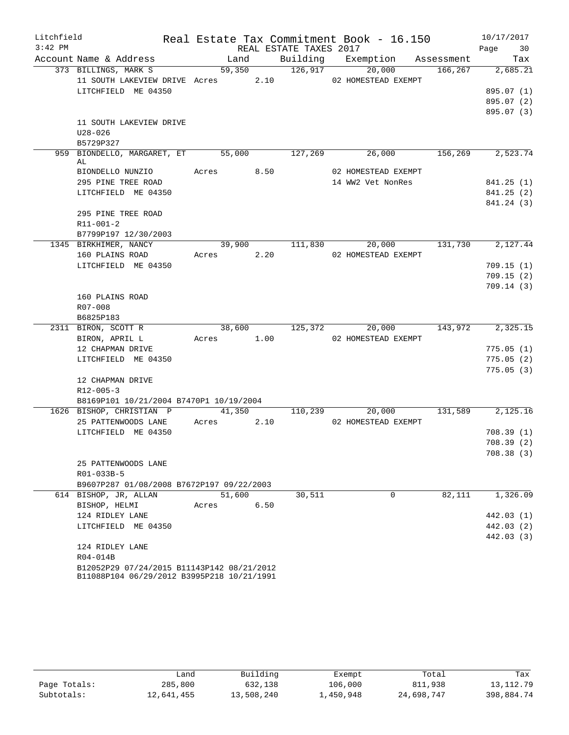| Litchfield |                                                                    |            |      |                        | Real Estate Tax Commitment Book - 16.150     |         | 10/17/2017       |
|------------|--------------------------------------------------------------------|------------|------|------------------------|----------------------------------------------|---------|------------------|
| $3:42$ PM  |                                                                    |            |      | REAL ESTATE TAXES 2017 |                                              |         | Page 30          |
|            | Account Name & Address                                             | Land       |      |                        | Building Exemption Assessment                |         | Tax              |
|            | 373 BILLINGS, MARK S                                               |            |      | $\frac{1}{126,917}$    | 20,000                                       | 166,267 | 2,685.21         |
|            | 11 SOUTH LAKEVIEW DRIVE Acres $2.10$ 02 HOMESTEAD EXEMPT           |            |      |                        |                                              |         |                  |
|            | LITCHFIELD ME 04350                                                |            |      |                        |                                              |         | 895.07 (1)       |
|            |                                                                    |            |      |                        |                                              |         | 895.07 (2)       |
|            |                                                                    |            |      |                        |                                              |         | 895.07 (3)       |
|            | 11 SOUTH LAKEVIEW DRIVE                                            |            |      |                        |                                              |         |                  |
|            | $U28 - 026$<br>B5729P327                                           |            |      |                        |                                              |         |                  |
|            | 959 BIONDELLO, MARGARET, ET 55,000 127,269 26,000 156,269 2,523.74 |            |      |                        |                                              |         |                  |
|            | AL                                                                 |            |      |                        |                                              |         |                  |
|            | BIONDELLO NUNZIO Acres 8.50                                        |            |      |                        | 02 HOMESTEAD EXEMPT                          |         |                  |
|            | 295 PINE TREE ROAD                                                 |            |      |                        | 14 WW2 Vet NonRes                            |         | 841.25(1)        |
|            | LITCHFIELD ME 04350                                                |            |      |                        |                                              |         | 841.25(2)        |
|            |                                                                    |            |      |                        |                                              |         | 841.24 (3)       |
|            | 295 PINE TREE ROAD                                                 |            |      |                        |                                              |         |                  |
|            | $R11 - 001 - 2$                                                    |            |      |                        |                                              |         |                  |
|            | B7799P197 12/30/2003                                               |            |      |                        |                                              | 131,730 |                  |
|            | 1345 BIRKHIMER, NANCY<br>160 PLAINS ROAD                           | Acres 2.20 |      |                        | 39,900 111,830 20,000<br>02 HOMESTEAD EXEMPT |         | 2,127.44         |
|            | LITCHFIELD ME 04350                                                |            |      |                        |                                              |         | 709.15(1)        |
|            |                                                                    |            |      |                        |                                              |         | 709.15(2)        |
|            |                                                                    |            |      |                        |                                              |         | 709.14(3)        |
|            | 160 PLAINS ROAD                                                    |            |      |                        |                                              |         |                  |
|            | R07-008                                                            |            |      |                        |                                              |         |                  |
|            | B6825P183                                                          |            |      |                        |                                              |         |                  |
|            | 2311 BIRON, SCOTT R                                                |            |      | 38,600 125,372         | 20,000                                       |         | 143,972 2,325.15 |
|            | BIRON, APRIL L                                                     | Acres 1.00 |      |                        | 02 HOMESTEAD EXEMPT                          |         |                  |
|            | 12 CHAPMAN DRIVE                                                   |            |      |                        |                                              |         | 775.05(1)        |
|            | LITCHFIELD ME 04350                                                |            |      |                        |                                              |         | 775.05(2)        |
|            |                                                                    |            |      |                        |                                              |         | 775.05(3)        |
|            | 12 CHAPMAN DRIVE                                                   |            |      |                        |                                              |         |                  |
|            | $R12 - 005 - 3$<br>B8169P101 10/21/2004 B7470P1 10/19/2004         |            |      |                        |                                              |         |                  |
|            | 1626 BISHOP, CHRISTIAN P                                           |            |      |                        | 41,350 110,239 20,000 131,589 2,125.16       |         |                  |
|            | 25 PATTENWOODS LANE                                                | Acres 2.10 |      |                        | 02 HOMESTEAD EXEMPT                          |         |                  |
|            | LITCHFIELD ME 04350                                                |            |      |                        |                                              |         | 708.39(1)        |
|            |                                                                    |            |      |                        |                                              |         | 708.39(2)        |
|            |                                                                    |            |      |                        |                                              |         | 708.38(3)        |
|            | 25 PATTENWOODS LANE                                                |            |      |                        |                                              |         |                  |
|            | R01-033B-5                                                         |            |      |                        |                                              |         |                  |
|            | B9607P287 01/08/2008 B7672P197 09/22/2003                          |            |      |                        |                                              |         |                  |
|            | 614 BISHOP, JR, ALLAN                                              | 51,600     |      | 30,511                 | $\mathbf 0$                                  | 82,111  | 1,326.09         |
|            | BISHOP, HELMI                                                      | Acres      | 6.50 |                        |                                              |         |                  |
|            | 124 RIDLEY LANE                                                    |            |      |                        |                                              |         | 442.03 (1)       |
|            | LITCHFIELD ME 04350                                                |            |      |                        |                                              |         | 442.03 (2)       |
|            | 124 RIDLEY LANE                                                    |            |      |                        |                                              |         | 442.03 (3)       |
|            | R04-014B                                                           |            |      |                        |                                              |         |                  |
|            | B12052P29 07/24/2015 B11143P142 08/21/2012                         |            |      |                        |                                              |         |                  |
|            | B11088P104 06/29/2012 B3995P218 10/21/1991                         |            |      |                        |                                              |         |                  |

|              | Land       | Building   | Exempt    | Total      | Tax         |
|--------------|------------|------------|-----------|------------|-------------|
| Page Totals: | 285,800    | 632,138    | 106,000   | 811,938    | 13, 112. 79 |
| Subtotals:   | 12,641,455 | 13,508,240 | 1,450,948 | 24,698,747 | 398,884.74  |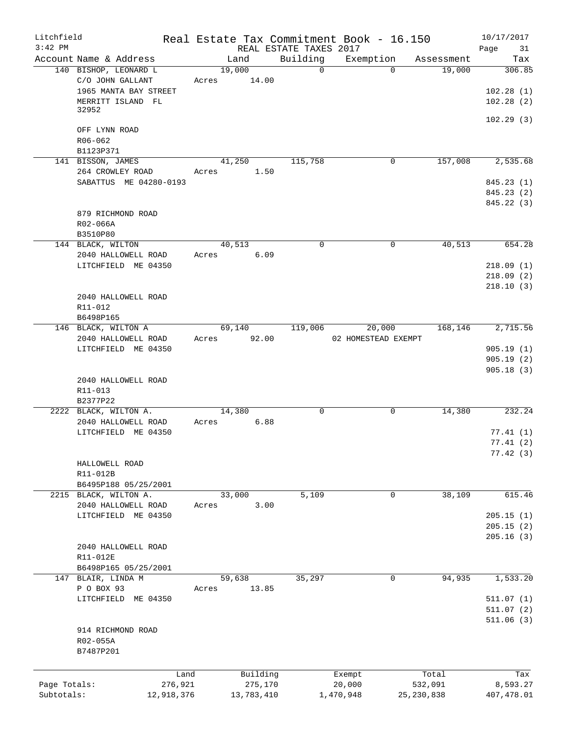| Litchfield<br>$3:42$ PM |                        |             |             | REAL ESTATE TAXES 2017 | Real Estate Tax Commitment Book - 16.150 |                      | 10/17/2017<br>Page<br>31 |
|-------------------------|------------------------|-------------|-------------|------------------------|------------------------------------------|----------------------|--------------------------|
|                         | Account Name & Address |             | Land        | Building               |                                          | Exemption Assessment | Tax                      |
|                         | 140 BISHOP, LEONARD L  |             | 19,000      | $\overline{0}$         | $\Omega$                                 | 19,000               | 306.85                   |
|                         | C/O JOHN GALLANT       | Acres 14.00 |             |                        |                                          |                      |                          |
|                         | 1965 MANTA BAY STREET  |             |             |                        |                                          |                      | 102.28(1)                |
|                         | MERRITT ISLAND FL      |             |             |                        |                                          |                      | 102.28(2)                |
|                         | 32952                  |             |             |                        |                                          |                      |                          |
|                         |                        |             |             |                        |                                          |                      | 102.29(3)                |
|                         | OFF LYNN ROAD          |             |             |                        |                                          |                      |                          |
|                         | R06-062                |             |             |                        |                                          |                      |                          |
|                         | B1123P371              |             |             |                        |                                          |                      |                          |
|                         | 141 BISSON, JAMES      |             | 41,250      | 115,758                | 0                                        | 157,008              | 2,535.68                 |
|                         | 264 CROWLEY ROAD       | Acres       | 1.50        |                        |                                          |                      |                          |
|                         | SABATTUS ME 04280-0193 |             |             |                        |                                          |                      | 845.23 (1)               |
|                         |                        |             |             |                        |                                          |                      | 845.23 (2)               |
|                         |                        |             |             |                        |                                          |                      | 845.22 (3)               |
|                         | 879 RICHMOND ROAD      |             |             |                        |                                          |                      |                          |
|                         |                        |             |             |                        |                                          |                      |                          |
|                         | R02-066A               |             |             |                        |                                          |                      |                          |
|                         | B3510P80               |             |             |                        |                                          |                      |                          |
|                         | 144 BLACK, WILTON      |             | 40,513      | 0                      | 0                                        | 40,513               | 654.28                   |
|                         | 2040 HALLOWELL ROAD    | Acres       | 6.09        |                        |                                          |                      |                          |
|                         | LITCHFIELD ME 04350    |             |             |                        |                                          |                      | 218.09(1)                |
|                         |                        |             |             |                        |                                          |                      | 218.09(2)                |
|                         |                        |             |             |                        |                                          |                      | 218.10(3)                |
|                         | 2040 HALLOWELL ROAD    |             |             |                        |                                          |                      |                          |
|                         | R11-012                |             |             |                        |                                          |                      |                          |
|                         | B6498P165              |             |             |                        |                                          |                      |                          |
|                         | 146 BLACK, WILTON A    |             | 69,140      | 119,006                | 20,000                                   | 168,146              | 2,715.56                 |
|                         | 2040 HALLOWELL ROAD    |             | Acres 92.00 |                        | 02 HOMESTEAD EXEMPT                      |                      |                          |
|                         | LITCHFIELD ME 04350    |             |             |                        |                                          |                      | 905.19(1)                |
|                         |                        |             |             |                        |                                          |                      | 905.19(2)                |
|                         |                        |             |             |                        |                                          |                      | 905.18(3)                |
|                         | 2040 HALLOWELL ROAD    |             |             |                        |                                          |                      |                          |
|                         | R11-013                |             |             |                        |                                          |                      |                          |
|                         | B2377P22               |             |             |                        |                                          |                      |                          |
|                         | 2222 BLACK, WILTON A.  |             | 14,380      | 0                      | $\mathsf{O}$                             | 14,380               | 232.24                   |
|                         | 2040 HALLOWELL ROAD    | Acres       | 6.88        |                        |                                          |                      |                          |
|                         | LITCHFIELD ME 04350    |             |             |                        |                                          |                      | 77.41(1)                 |
|                         |                        |             |             |                        |                                          |                      | 77.41(2)                 |
|                         |                        |             |             |                        |                                          |                      | 77.42(3)                 |
|                         | HALLOWELL ROAD         |             |             |                        |                                          |                      |                          |
|                         | R11-012B               |             |             |                        |                                          |                      |                          |
|                         | B6495P188 05/25/2001   |             |             |                        |                                          |                      |                          |
|                         | 2215 BLACK, WILTON A.  |             | 33,000      | 5,109                  |                                          | 38,109<br>0          | 615.46                   |
|                         | 2040 HALLOWELL ROAD    | Acres       | 3.00        |                        |                                          |                      |                          |
|                         | LITCHFIELD ME 04350    |             |             |                        |                                          |                      | 205.15(1)                |
|                         |                        |             |             |                        |                                          |                      | 205.15(2)                |
|                         |                        |             |             |                        |                                          |                      | 205.16(3)                |
|                         |                        |             |             |                        |                                          |                      |                          |
|                         | 2040 HALLOWELL ROAD    |             |             |                        |                                          |                      |                          |
|                         | R11-012E               |             |             |                        |                                          |                      |                          |
|                         | B6498P165 05/25/2001   |             |             |                        |                                          |                      |                          |
|                         | 147 BLAIR, LINDA M     |             | 59,638      | 35,297                 |                                          | 94,935<br>0          | 1,533.20                 |
|                         | P O BOX 93             | Acres       | 13.85       |                        |                                          |                      |                          |
|                         | LITCHFIELD ME 04350    |             |             |                        |                                          |                      | 511.07(1)                |
|                         |                        |             |             |                        |                                          |                      | 511.07(2)                |
|                         |                        |             |             |                        |                                          |                      | 511.06(3)                |
|                         | 914 RICHMOND ROAD      |             |             |                        |                                          |                      |                          |
|                         | R02-055A               |             |             |                        |                                          |                      |                          |
|                         | B7487P201              |             |             |                        |                                          |                      |                          |
|                         |                        |             |             |                        |                                          |                      |                          |
|                         | Land                   |             | Building    |                        | Exempt                                   | Total                | Tax                      |
| Page Totals:            | 276,921                |             | 275,170     |                        | 20,000                                   | 532,091              | 8,593.27                 |
| Subtotals:              | 12,918,376             |             | 13,783,410  |                        | 1,470,948                                | 25, 230, 838         | 407,478.01               |
|                         |                        |             |             |                        |                                          |                      |                          |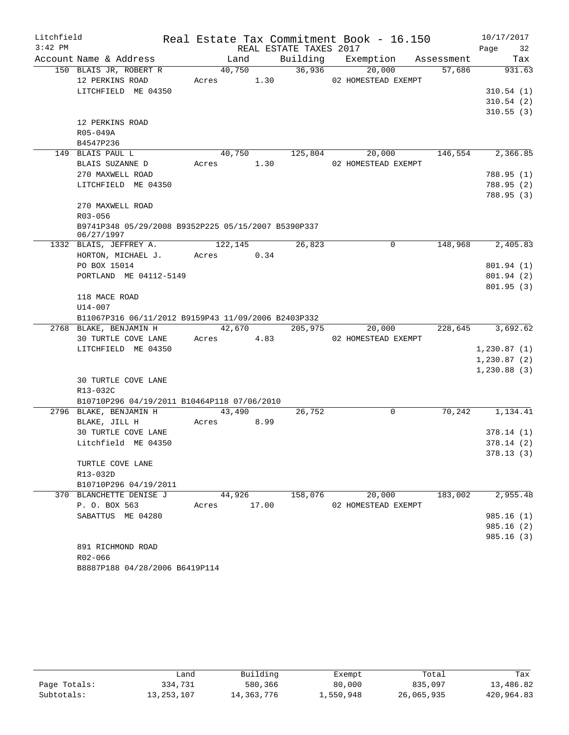| REAL ESTATE TAXES 2017<br>Page 32<br>Building Exemption Assessment<br>Account Name & Address<br>Tax<br>Land<br>40,750 36,936<br>150 BLAIS JR, ROBERT R<br>20,000<br>931.63<br>57,686<br>Acres 1.30 02 HOMESTEAD EXEMPT<br>12 PERKINS ROAD<br>LITCHFIELD ME 04350<br>310.54(1)<br>310.54(2)<br>310.55(3)<br>12 PERKINS ROAD<br>R05-049A<br>B4547P236<br>40,750 125,804 20,000<br>146,554 2,366.85<br>149 BLAIS PAUL L<br>BLAIS SUZANNE D<br>Acres 1.30<br>02 HOMESTEAD EXEMPT<br>270 MAXWELL ROAD<br>788.95 (1)<br>LITCHFIELD ME 04350<br>788.95(2)<br>788.95 (3)<br>270 MAXWELL ROAD<br>R03-056<br>B9741P348 05/29/2008 B9352P225 05/15/2007 B5390P337<br>06/27/1997<br>1332 BLAIS, JEFFREY A. 122,145<br>26,823<br>148,968 2,405.83<br>$\mathbf 0$<br>HORTON, MICHAEL J. Acres 0.34<br>PO BOX 15014<br>801.94(1)<br>PORTLAND ME 04112-5149<br>801.94 (2)<br>801.95(3)<br>118 MACE ROAD<br>U14-007<br>B11067P316 06/11/2012 B9159P43 11/09/2006 B2403P332<br>2768 BLAKE, BENJAMIN H 42,670 205,975<br>228,645 3,692.62<br>20,000<br>30 TURTLE COVE LANE Acres 4.83 02 HOMESTEAD EXEMPT | Litchfield |  |  | Real Estate Tax Commitment Book - 16.150 | 10/17/2017 |
|----------------------------------------------------------------------------------------------------------------------------------------------------------------------------------------------------------------------------------------------------------------------------------------------------------------------------------------------------------------------------------------------------------------------------------------------------------------------------------------------------------------------------------------------------------------------------------------------------------------------------------------------------------------------------------------------------------------------------------------------------------------------------------------------------------------------------------------------------------------------------------------------------------------------------------------------------------------------------------------------------------------------------------------------------------------------------------------|------------|--|--|------------------------------------------|------------|
|                                                                                                                                                                                                                                                                                                                                                                                                                                                                                                                                                                                                                                                                                                                                                                                                                                                                                                                                                                                                                                                                                        | $3:42$ PM  |  |  |                                          |            |
|                                                                                                                                                                                                                                                                                                                                                                                                                                                                                                                                                                                                                                                                                                                                                                                                                                                                                                                                                                                                                                                                                        |            |  |  |                                          |            |
|                                                                                                                                                                                                                                                                                                                                                                                                                                                                                                                                                                                                                                                                                                                                                                                                                                                                                                                                                                                                                                                                                        |            |  |  |                                          |            |
|                                                                                                                                                                                                                                                                                                                                                                                                                                                                                                                                                                                                                                                                                                                                                                                                                                                                                                                                                                                                                                                                                        |            |  |  |                                          |            |
|                                                                                                                                                                                                                                                                                                                                                                                                                                                                                                                                                                                                                                                                                                                                                                                                                                                                                                                                                                                                                                                                                        |            |  |  |                                          |            |
|                                                                                                                                                                                                                                                                                                                                                                                                                                                                                                                                                                                                                                                                                                                                                                                                                                                                                                                                                                                                                                                                                        |            |  |  |                                          |            |
|                                                                                                                                                                                                                                                                                                                                                                                                                                                                                                                                                                                                                                                                                                                                                                                                                                                                                                                                                                                                                                                                                        |            |  |  |                                          |            |
|                                                                                                                                                                                                                                                                                                                                                                                                                                                                                                                                                                                                                                                                                                                                                                                                                                                                                                                                                                                                                                                                                        |            |  |  |                                          |            |
|                                                                                                                                                                                                                                                                                                                                                                                                                                                                                                                                                                                                                                                                                                                                                                                                                                                                                                                                                                                                                                                                                        |            |  |  |                                          |            |
|                                                                                                                                                                                                                                                                                                                                                                                                                                                                                                                                                                                                                                                                                                                                                                                                                                                                                                                                                                                                                                                                                        |            |  |  |                                          |            |
|                                                                                                                                                                                                                                                                                                                                                                                                                                                                                                                                                                                                                                                                                                                                                                                                                                                                                                                                                                                                                                                                                        |            |  |  |                                          |            |
|                                                                                                                                                                                                                                                                                                                                                                                                                                                                                                                                                                                                                                                                                                                                                                                                                                                                                                                                                                                                                                                                                        |            |  |  |                                          |            |
|                                                                                                                                                                                                                                                                                                                                                                                                                                                                                                                                                                                                                                                                                                                                                                                                                                                                                                                                                                                                                                                                                        |            |  |  |                                          |            |
|                                                                                                                                                                                                                                                                                                                                                                                                                                                                                                                                                                                                                                                                                                                                                                                                                                                                                                                                                                                                                                                                                        |            |  |  |                                          |            |
|                                                                                                                                                                                                                                                                                                                                                                                                                                                                                                                                                                                                                                                                                                                                                                                                                                                                                                                                                                                                                                                                                        |            |  |  |                                          |            |
|                                                                                                                                                                                                                                                                                                                                                                                                                                                                                                                                                                                                                                                                                                                                                                                                                                                                                                                                                                                                                                                                                        |            |  |  |                                          |            |
|                                                                                                                                                                                                                                                                                                                                                                                                                                                                                                                                                                                                                                                                                                                                                                                                                                                                                                                                                                                                                                                                                        |            |  |  |                                          |            |
|                                                                                                                                                                                                                                                                                                                                                                                                                                                                                                                                                                                                                                                                                                                                                                                                                                                                                                                                                                                                                                                                                        |            |  |  |                                          |            |
|                                                                                                                                                                                                                                                                                                                                                                                                                                                                                                                                                                                                                                                                                                                                                                                                                                                                                                                                                                                                                                                                                        |            |  |  |                                          |            |
|                                                                                                                                                                                                                                                                                                                                                                                                                                                                                                                                                                                                                                                                                                                                                                                                                                                                                                                                                                                                                                                                                        |            |  |  |                                          |            |
|                                                                                                                                                                                                                                                                                                                                                                                                                                                                                                                                                                                                                                                                                                                                                                                                                                                                                                                                                                                                                                                                                        |            |  |  |                                          |            |
|                                                                                                                                                                                                                                                                                                                                                                                                                                                                                                                                                                                                                                                                                                                                                                                                                                                                                                                                                                                                                                                                                        |            |  |  |                                          |            |
|                                                                                                                                                                                                                                                                                                                                                                                                                                                                                                                                                                                                                                                                                                                                                                                                                                                                                                                                                                                                                                                                                        |            |  |  |                                          |            |
|                                                                                                                                                                                                                                                                                                                                                                                                                                                                                                                                                                                                                                                                                                                                                                                                                                                                                                                                                                                                                                                                                        |            |  |  |                                          |            |
|                                                                                                                                                                                                                                                                                                                                                                                                                                                                                                                                                                                                                                                                                                                                                                                                                                                                                                                                                                                                                                                                                        |            |  |  |                                          |            |
|                                                                                                                                                                                                                                                                                                                                                                                                                                                                                                                                                                                                                                                                                                                                                                                                                                                                                                                                                                                                                                                                                        |            |  |  |                                          |            |
|                                                                                                                                                                                                                                                                                                                                                                                                                                                                                                                                                                                                                                                                                                                                                                                                                                                                                                                                                                                                                                                                                        |            |  |  |                                          |            |
|                                                                                                                                                                                                                                                                                                                                                                                                                                                                                                                                                                                                                                                                                                                                                                                                                                                                                                                                                                                                                                                                                        |            |  |  |                                          |            |
| LITCHFIELD ME 04350<br>1,230.87(1)                                                                                                                                                                                                                                                                                                                                                                                                                                                                                                                                                                                                                                                                                                                                                                                                                                                                                                                                                                                                                                                     |            |  |  |                                          |            |
| 1,230.87(2)                                                                                                                                                                                                                                                                                                                                                                                                                                                                                                                                                                                                                                                                                                                                                                                                                                                                                                                                                                                                                                                                            |            |  |  |                                          |            |
| 1,230.88(3)                                                                                                                                                                                                                                                                                                                                                                                                                                                                                                                                                                                                                                                                                                                                                                                                                                                                                                                                                                                                                                                                            |            |  |  |                                          |            |
| <b>30 TURTLE COVE LANE</b>                                                                                                                                                                                                                                                                                                                                                                                                                                                                                                                                                                                                                                                                                                                                                                                                                                                                                                                                                                                                                                                             |            |  |  |                                          |            |
| R13-032C                                                                                                                                                                                                                                                                                                                                                                                                                                                                                                                                                                                                                                                                                                                                                                                                                                                                                                                                                                                                                                                                               |            |  |  |                                          |            |
| B10710P296 04/19/2011 B10464P118 07/06/2010<br>2796 BLAKE, BENJAMIN H<br>43,490<br>26,752<br>$\mathbf 0$<br>70,242<br>1,134.41                                                                                                                                                                                                                                                                                                                                                                                                                                                                                                                                                                                                                                                                                                                                                                                                                                                                                                                                                         |            |  |  |                                          |            |
| BLAKE, JILL H<br>8.99<br>Acres                                                                                                                                                                                                                                                                                                                                                                                                                                                                                                                                                                                                                                                                                                                                                                                                                                                                                                                                                                                                                                                         |            |  |  |                                          |            |
| 30 TURTLE COVE LANE<br>378.14(1)                                                                                                                                                                                                                                                                                                                                                                                                                                                                                                                                                                                                                                                                                                                                                                                                                                                                                                                                                                                                                                                       |            |  |  |                                          |            |
| Litchfield ME 04350<br>378.14(2)                                                                                                                                                                                                                                                                                                                                                                                                                                                                                                                                                                                                                                                                                                                                                                                                                                                                                                                                                                                                                                                       |            |  |  |                                          |            |
| 378.13(3)                                                                                                                                                                                                                                                                                                                                                                                                                                                                                                                                                                                                                                                                                                                                                                                                                                                                                                                                                                                                                                                                              |            |  |  |                                          |            |
| TURTLE COVE LANE                                                                                                                                                                                                                                                                                                                                                                                                                                                                                                                                                                                                                                                                                                                                                                                                                                                                                                                                                                                                                                                                       |            |  |  |                                          |            |
| R13-032D                                                                                                                                                                                                                                                                                                                                                                                                                                                                                                                                                                                                                                                                                                                                                                                                                                                                                                                                                                                                                                                                               |            |  |  |                                          |            |
| B10710P296 04/19/2011                                                                                                                                                                                                                                                                                                                                                                                                                                                                                                                                                                                                                                                                                                                                                                                                                                                                                                                                                                                                                                                                  |            |  |  |                                          |            |
| 370 BLANCHETTE DENISE J<br>44,926<br>158,076<br>20,000<br>183,002<br>2,955.48                                                                                                                                                                                                                                                                                                                                                                                                                                                                                                                                                                                                                                                                                                                                                                                                                                                                                                                                                                                                          |            |  |  |                                          |            |
| 17.00<br>P. O. BOX 563<br>02 HOMESTEAD EXEMPT<br>Acres                                                                                                                                                                                                                                                                                                                                                                                                                                                                                                                                                                                                                                                                                                                                                                                                                                                                                                                                                                                                                                 |            |  |  |                                          |            |
| SABATTUS ME 04280<br>985.16(1)                                                                                                                                                                                                                                                                                                                                                                                                                                                                                                                                                                                                                                                                                                                                                                                                                                                                                                                                                                                                                                                         |            |  |  |                                          |            |
| 985.16(2)                                                                                                                                                                                                                                                                                                                                                                                                                                                                                                                                                                                                                                                                                                                                                                                                                                                                                                                                                                                                                                                                              |            |  |  |                                          |            |
| 985.16 (3)                                                                                                                                                                                                                                                                                                                                                                                                                                                                                                                                                                                                                                                                                                                                                                                                                                                                                                                                                                                                                                                                             |            |  |  |                                          |            |
| 891 RICHMOND ROAD                                                                                                                                                                                                                                                                                                                                                                                                                                                                                                                                                                                                                                                                                                                                                                                                                                                                                                                                                                                                                                                                      |            |  |  |                                          |            |
| R02-066                                                                                                                                                                                                                                                                                                                                                                                                                                                                                                                                                                                                                                                                                                                                                                                                                                                                                                                                                                                                                                                                                |            |  |  |                                          |            |

B8887P188 04/28/2006 B6419P114

|               | Land         | Building   | Exempt    | Total      | Tax        |
|---------------|--------------|------------|-----------|------------|------------|
| Page Totals:  | 334,731      | 580,366    | 80,000    | 835,097    | 13,486.82  |
| $Subtotals$ : | 13, 253, 107 | 14,363,776 | 1,550,948 | 26,065,935 | 420,964.83 |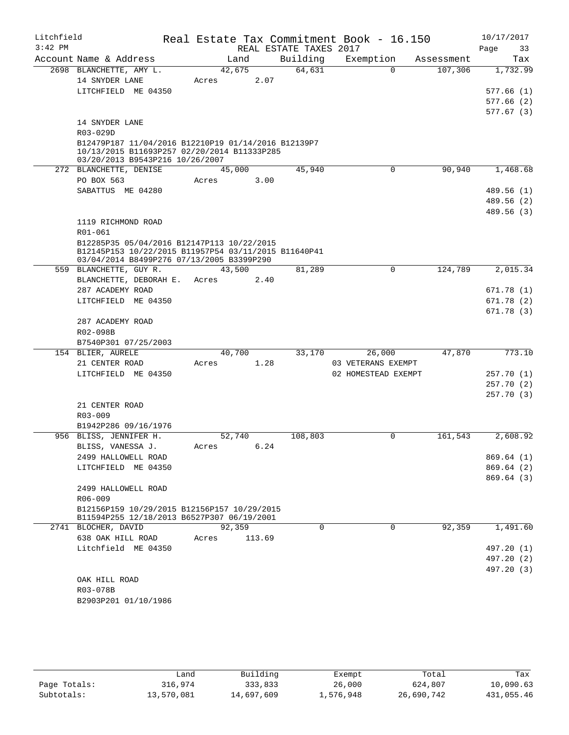| Litchfield |                                                                                           |            |        |                        | Real Estate Tax Commitment Book - 16.150 |            | 10/17/2017             |          |
|------------|-------------------------------------------------------------------------------------------|------------|--------|------------------------|------------------------------------------|------------|------------------------|----------|
| $3:42$ PM  |                                                                                           |            |        | REAL ESTATE TAXES 2017 |                                          |            | Page                   | 33       |
|            | Account Name & Address                                                                    | Land       |        | Building               | Exemption                                | Assessment |                        | Tax      |
|            | 2698 BLANCHETTE, AMY L.                                                                   | 42,675     |        | 64,631                 | $\Omega$                                 | 107,306    |                        | 1,732.99 |
|            | 14 SNYDER LANE                                                                            | Acres      | 2.07   |                        |                                          |            |                        |          |
|            | LITCHFIELD ME 04350                                                                       |            |        |                        |                                          |            | 577.66(1)<br>577.66(2) |          |
|            |                                                                                           |            |        |                        |                                          |            | 577.67(3)              |          |
|            | 14 SNYDER LANE                                                                            |            |        |                        |                                          |            |                        |          |
|            | R03-029D                                                                                  |            |        |                        |                                          |            |                        |          |
|            | B12479P187 11/04/2016 B12210P19 01/14/2016 B12139P7                                       |            |        |                        |                                          |            |                        |          |
|            | 10/13/2015 B11693P257 02/20/2014 B11333P285                                               |            |        |                        |                                          |            |                        |          |
|            | 03/20/2013 B9543P216 10/26/2007<br>272 BLANCHETTE, DENISE                                 | 45,000     |        | 45,940                 | $\mathbf 0$                              | 90,940     |                        | 1,468.68 |
|            | PO BOX 563                                                                                | Acres      | 3.00   |                        |                                          |            |                        |          |
|            | SABATTUS ME 04280                                                                         |            |        |                        |                                          |            | 489.56 (1)             |          |
|            |                                                                                           |            |        |                        |                                          |            | 489.56 (2)             |          |
|            |                                                                                           |            |        |                        |                                          |            | 489.56 (3)             |          |
|            | 1119 RICHMOND ROAD                                                                        |            |        |                        |                                          |            |                        |          |
|            | R01-061                                                                                   |            |        |                        |                                          |            |                        |          |
|            | B12285P35 05/04/2016 B12147P113 10/22/2015                                                |            |        |                        |                                          |            |                        |          |
|            | B12145P153 10/22/2015 B11957P54 03/11/2015 B11640P41                                      |            |        |                        |                                          |            |                        |          |
|            | 03/04/2014 B8499P276 07/13/2005 B3399P290<br>559 BLANCHETTE, GUY R.                       | 43,500     |        | 81,289                 | $\Omega$                                 | 124,789    |                        | 2,015.34 |
|            | BLANCHETTE, DEBORAH E.                                                                    | Acres      | 2.40   |                        |                                          |            |                        |          |
|            | 287 ACADEMY ROAD                                                                          |            |        |                        |                                          |            | 671.78(1)              |          |
|            | LITCHFIELD ME 04350                                                                       |            |        |                        |                                          |            | 671.78(2)              |          |
|            |                                                                                           |            |        |                        |                                          |            | 671.78(3)              |          |
|            | 287 ACADEMY ROAD                                                                          |            |        |                        |                                          |            |                        |          |
|            | R02-098B                                                                                  |            |        |                        |                                          |            |                        |          |
|            | B7540P301 07/25/2003                                                                      |            |        |                        |                                          |            |                        |          |
|            | 154 BLIER, AURELE                                                                         | 40,700     |        | 33,170                 | 26,000                                   | 47,870     |                        | 773.10   |
|            | 21 CENTER ROAD                                                                            | Acres      | 1.28   |                        | 03 VETERANS EXEMPT                       |            |                        |          |
|            | LITCHFIELD ME 04350                                                                       |            |        |                        | 02 HOMESTEAD EXEMPT                      |            | 257.70(1)<br>257.70(2) |          |
|            |                                                                                           |            |        |                        |                                          |            | 257.70(3)              |          |
|            | 21 CENTER ROAD                                                                            |            |        |                        |                                          |            |                        |          |
|            | $R03 - 009$                                                                               |            |        |                        |                                          |            |                        |          |
|            | B1942P286 09/16/1976                                                                      |            |        |                        |                                          |            |                        |          |
|            | 956 BLISS, JENNIFER H.                                                                    | 52,740     |        | 108,803                | 0                                        | 161,543    |                        | 2,608.92 |
|            | BLISS, VANESSA J.                                                                         | Acres 6.24 |        |                        |                                          |            |                        |          |
|            | 2499 HALLOWELL ROAD                                                                       |            |        |                        |                                          |            | 869.64 (1)             |          |
|            | LITCHFIELD ME 04350                                                                       |            |        |                        |                                          |            | 869.64 (2)             |          |
|            |                                                                                           |            |        |                        |                                          |            | 869.64(3)              |          |
|            | 2499 HALLOWELL ROAD                                                                       |            |        |                        |                                          |            |                        |          |
|            | R06-009                                                                                   |            |        |                        |                                          |            |                        |          |
|            | B12156P159 10/29/2015 B12156P157 10/29/2015<br>B11594P255 12/18/2013 B6527P307 06/19/2001 |            |        |                        |                                          |            |                        |          |
|            | 2741 BLOCHER, DAVID                                                                       | 92,359     |        | 0                      | $\mathbf 0$                              | 92,359     |                        | 1,491.60 |
|            | 638 OAK HILL ROAD                                                                         | Acres      | 113.69 |                        |                                          |            |                        |          |
|            | Litchfield ME 04350                                                                       |            |        |                        |                                          |            | 497.20 (1)             |          |
|            |                                                                                           |            |        |                        |                                          |            | 497.20 (2)             |          |
|            |                                                                                           |            |        |                        |                                          |            | 497.20 (3)             |          |
|            | OAK HILL ROAD                                                                             |            |        |                        |                                          |            |                        |          |
|            | R03-078B                                                                                  |            |        |                        |                                          |            |                        |          |
|            | B2903P201 01/10/1986                                                                      |            |        |                        |                                          |            |                        |          |

|              | Land       | Building   | Exempt    | Total      | Tax        |
|--------------|------------|------------|-----------|------------|------------|
| Page Totals: | 316,974    | 333,833    | 26,000    | 624,807    | 10,090.63  |
| Subtotals:   | 13,570,081 | 14,697,609 | 1,576,948 | 26,690,742 | 431,055.46 |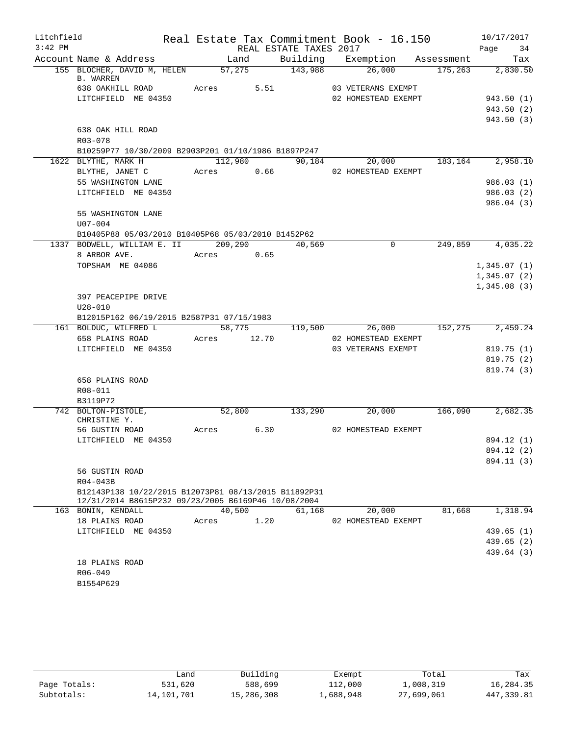| Litchfield |                                                                                                             |            |      |                        | Real Estate Tax Commitment Book - 16.150 |                      | 10/17/2017          |          |
|------------|-------------------------------------------------------------------------------------------------------------|------------|------|------------------------|------------------------------------------|----------------------|---------------------|----------|
| $3:42$ PM  |                                                                                                             |            |      | REAL ESTATE TAXES 2017 |                                          |                      | Page 34             |          |
|            | Account Name & Address                                                                                      | Land       |      |                        | Building Exemption Assessment            |                      |                     | Tax      |
|            | 155 BLOCHER, DAVID M, HELEN 57,275 143,988<br><b>B. WARREN</b>                                              |            |      |                        | 26,000                                   | $175,263$ $2,830.50$ |                     |          |
|            | 638 OAKHILL ROAD                                                                                            | Acres 5.51 |      |                        | 03 VETERANS EXEMPT                       |                      |                     |          |
|            | LITCHFIELD ME 04350                                                                                         |            |      |                        | 02 HOMESTEAD EXEMPT                      |                      | 943.50(1)           |          |
|            |                                                                                                             |            |      |                        |                                          |                      | 943.50 (2)          |          |
|            |                                                                                                             |            |      |                        |                                          |                      | 943.50 (3)          |          |
|            | 638 OAK HILL ROAD                                                                                           |            |      |                        |                                          |                      |                     |          |
|            | R03-078                                                                                                     |            |      |                        |                                          |                      |                     |          |
|            | B10259P77 10/30/2009 B2903P201 01/10/1986 B1897P247<br>1622 BLYTHE, MARK H                                  | 112,980    |      |                        | 90,184 20,000 183,164 2,958.10           |                      |                     |          |
|            | BLYTHE, JANET C Acres 0.66 02 HOMESTEAD EXEMPT                                                              |            |      |                        |                                          |                      |                     |          |
|            | 55 WASHINGTON LANE                                                                                          |            |      |                        |                                          |                      | 986.03(1)           |          |
|            | LITCHFIELD ME 04350                                                                                         |            |      |                        |                                          |                      | 986.03(2)           |          |
|            |                                                                                                             |            |      |                        |                                          |                      | 986.04(3)           |          |
|            | 55 WASHINGTON LANE                                                                                          |            |      |                        |                                          |                      |                     |          |
|            | $U07 - 004$                                                                                                 |            |      |                        |                                          |                      |                     |          |
|            | B10405P88 05/03/2010 B10405P68 05/03/2010 B1452P62                                                          |            |      |                        |                                          |                      |                     |          |
|            | 1337 BODWELL, WILLIAM E. II 209,290                                                                         |            |      | 40,569                 | $\mathbf 0$                              |                      | 249,859 4,035.22    |          |
|            | 8 ARBOR AVE.                                                                                                | Acres 0.65 |      |                        |                                          |                      |                     |          |
|            | TOPSHAM ME 04086                                                                                            |            |      |                        |                                          |                      | 1,345.07(1)         |          |
|            |                                                                                                             |            |      |                        |                                          |                      | 1,345.07(2)         |          |
|            |                                                                                                             |            |      |                        |                                          |                      | 1,345.08(3)         |          |
|            | 397 PEACEPIPE DRIVE                                                                                         |            |      |                        |                                          |                      |                     |          |
|            | $U28 - 010$                                                                                                 |            |      |                        |                                          |                      |                     |          |
|            | B12015P162 06/19/2015 B2587P31 07/15/1983                                                                   |            |      |                        |                                          |                      |                     |          |
|            | 161 BOLDUC, WILFRED L                                                                                       | 58,775     |      |                        | 119,500 26,000                           |                      | 152, 275 2, 459. 24 |          |
|            | 658 PLAINS ROAD Acres 12.70                                                                                 |            |      |                        | 02 HOMESTEAD EXEMPT                      |                      |                     |          |
|            | LITCHFIELD ME 04350                                                                                         |            |      |                        | 03 VETERANS EXEMPT                       |                      | 819.75(1)           |          |
|            |                                                                                                             |            |      |                        |                                          |                      | 819.75(2)           |          |
|            | 658 PLAINS ROAD                                                                                             |            |      |                        |                                          |                      | 819.74 (3)          |          |
|            | R08-011                                                                                                     |            |      |                        |                                          |                      |                     |          |
|            | B3119P72                                                                                                    |            |      |                        |                                          |                      |                     |          |
|            | 742 BOLTON-PISTOLE,                                                                                         | 52,800     |      | 133,290                | $\overline{20}$ ,000                     |                      | 166,090 2,682.35    |          |
|            | CHRISTINE Y.                                                                                                |            |      |                        |                                          |                      |                     |          |
|            | 56 GUSTIN ROAD                                                                                              | Acres 6.30 |      |                        | 02 HOMESTEAD EXEMPT                      |                      |                     |          |
|            | LITCHFIELD ME 04350                                                                                         |            |      |                        |                                          |                      | 894.12 (1)          |          |
|            |                                                                                                             |            |      |                        |                                          |                      | 894.12 (2)          |          |
|            |                                                                                                             |            |      |                        |                                          |                      | 894.11 (3)          |          |
|            | 56 GUSTIN ROAD                                                                                              |            |      |                        |                                          |                      |                     |          |
|            | R04-043B                                                                                                    |            |      |                        |                                          |                      |                     |          |
|            | B12143P138 10/22/2015 B12073P81 08/13/2015 B11892P31<br>12/31/2014 B8615P232 09/23/2005 B6169P46 10/08/2004 |            |      |                        |                                          |                      |                     |          |
|            | 163 BONIN, KENDALL                                                                                          | 40,500     |      | 61,168                 | 20,000                                   | 81,668               |                     | 1,318.94 |
|            | 18 PLAINS ROAD                                                                                              | Acres      | 1.20 |                        | 02 HOMESTEAD EXEMPT                      |                      |                     |          |
|            | LITCHFIELD ME 04350                                                                                         |            |      |                        |                                          |                      | 439.65 (1)          |          |
|            |                                                                                                             |            |      |                        |                                          |                      | 439.65(2)           |          |
|            |                                                                                                             |            |      |                        |                                          |                      | 439.64 (3)          |          |
|            | 18 PLAINS ROAD<br>R06-049                                                                                   |            |      |                        |                                          |                      |                     |          |
|            | B1554P629                                                                                                   |            |      |                        |                                          |                      |                     |          |
|            |                                                                                                             |            |      |                        |                                          |                      |                     |          |
|            |                                                                                                             |            |      |                        |                                          |                      |                     |          |

|              | ∟and       | Building   | Exempt    | Total      | Tax        |
|--------------|------------|------------|-----------|------------|------------|
| Page Totals: | 531,620    | 588,699    | 112,000   | 1,008,319  | 16,284.35  |
| Subtotals:   | 14,101,701 | 15,286,308 | 1,688,948 | 27,699,061 | 447,339.81 |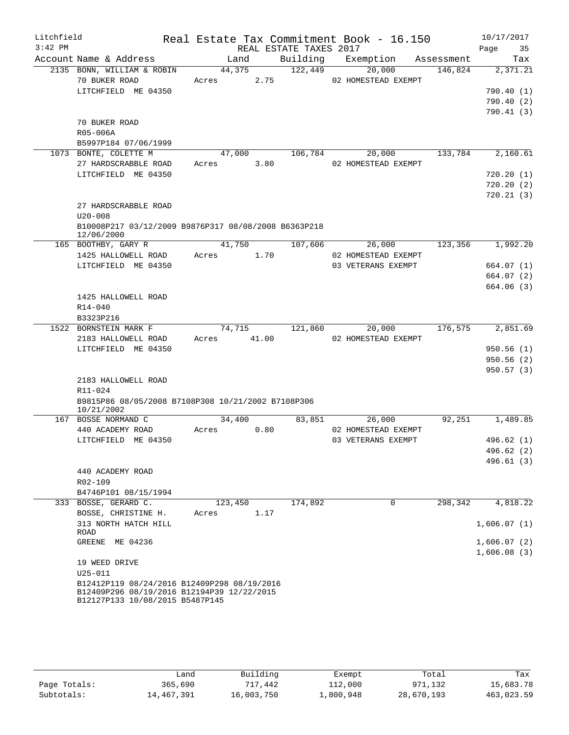| Litchfield<br>$3:42$ PM |                                                                    | REAL ESTATE TAXES 2017 |          | Real Estate Tax Commitment Book - 16.150 |         | 10/17/2017<br>Page<br>35 |
|-------------------------|--------------------------------------------------------------------|------------------------|----------|------------------------------------------|---------|--------------------------|
|                         | Account Name & Address                                             | Land                   | Building | Exemption Assessment                     |         | Tax                      |
|                         | 2135 BONN, WILLIAM & ROBIN                                         | 44,375                 | 122,449  | 20,000                                   | 146,824 | 2,371.21                 |
|                         | 70 BUKER ROAD                                                      | Acres<br>2.75          |          | 02 HOMESTEAD EXEMPT                      |         |                          |
|                         | LITCHFIELD ME 04350                                                |                        |          |                                          |         | 790.40(1)                |
|                         |                                                                    |                        |          |                                          |         | 790.40(2)                |
|                         |                                                                    |                        |          |                                          |         | 790.41(3)                |
|                         | 70 BUKER ROAD                                                      |                        |          |                                          |         |                          |
|                         | R05-006A                                                           |                        |          |                                          |         |                          |
|                         | B5997P184 07/06/1999                                               |                        |          |                                          |         |                          |
|                         | 1073 BONTE, COLETTE M                                              | 47,000                 | 106,784  | 20,000                                   | 133,784 | 2,160.61                 |
|                         | 27 HARDSCRABBLE ROAD                                               | Acres 3.80             |          | 02 HOMESTEAD EXEMPT                      |         |                          |
|                         | LITCHFIELD ME 04350                                                |                        |          |                                          |         | 720.20(1)                |
|                         |                                                                    |                        |          |                                          |         | 720.20(2)                |
|                         |                                                                    |                        |          |                                          |         | 720.21(3)                |
|                         | 27 HARDSCRABBLE ROAD                                               |                        |          |                                          |         |                          |
|                         | $U20 - 008$                                                        |                        |          |                                          |         |                          |
|                         | B10008P217 03/12/2009 B9876P317 08/08/2008 B6363P218<br>12/06/2000 |                        |          |                                          |         |                          |
|                         | 165 BOOTHBY, GARY R                                                | 41,750                 | 107,606  | 26,000                                   | 123,356 | 1,992.20                 |
|                         | 1425 HALLOWELL ROAD                                                | Acres<br>1.70          |          | 02 HOMESTEAD EXEMPT                      |         |                          |
|                         | LITCHFIELD ME 04350                                                |                        |          | 03 VETERANS EXEMPT                       |         | 664.07 (1)               |
|                         |                                                                    |                        |          |                                          |         | 664.07 (2)               |
|                         |                                                                    |                        |          |                                          |         | 664.06 (3)               |
|                         | 1425 HALLOWELL ROAD                                                |                        |          |                                          |         |                          |
|                         | $R14 - 040$                                                        |                        |          |                                          |         |                          |
|                         | B3323P216                                                          |                        |          |                                          |         |                          |
|                         | 1522 BORNSTEIN MARK F                                              | 74,715                 | 121,860  | 20,000                                   | 176,575 | 2,851.69                 |
|                         | 2183 HALLOWELL ROAD                                                | Acres 41.00            |          | 02 HOMESTEAD EXEMPT                      |         |                          |
|                         | LITCHFIELD ME 04350                                                |                        |          |                                          |         | 950.56(1)                |
|                         |                                                                    |                        |          |                                          |         | 950.56(2)                |
|                         |                                                                    |                        |          |                                          |         | 950.57(3)                |
|                         | 2183 HALLOWELL ROAD<br>R11-024                                     |                        |          |                                          |         |                          |
|                         | B9815P86 08/05/2008 B7108P308 10/21/2002 B7108P306                 |                        |          |                                          |         |                          |
|                         | 10/21/2002                                                         |                        |          |                                          |         |                          |
|                         | 167 BOSSE NORMAND C                                                | 34,400                 | 83,851   | 26,000                                   | 92,251  | 1,489.85                 |
|                         | 440 ACADEMY ROAD                                                   | 0.80<br>Acres          |          | 02 HOMESTEAD EXEMPT                      |         |                          |
|                         | LITCHFIELD ME 04350                                                |                        |          | 03 VETERANS EXEMPT                       |         | 496.62(1)                |
|                         |                                                                    |                        |          |                                          |         | 496.62 (2)               |
|                         |                                                                    |                        |          |                                          |         | 496.61(3)                |
|                         | 440 ACADEMY ROAD                                                   |                        |          |                                          |         |                          |
|                         | R02-109                                                            |                        |          |                                          |         |                          |
|                         | B4746P101 08/15/1994                                               |                        |          |                                          |         |                          |
|                         | 333 BOSSE, GERARD C.                                               | 123,450                | 174,892  | $\mathbf 0$                              | 298,342 | 4,818.22                 |
|                         | BOSSE, CHRISTINE H.                                                | 1.17<br>Acres          |          |                                          |         |                          |
|                         | 313 NORTH HATCH HILL<br>ROAD                                       |                        |          |                                          |         | 1,606.07(1)              |
|                         | GREENE ME 04236                                                    |                        |          |                                          |         | 1,606.07(2)              |
|                         |                                                                    |                        |          |                                          |         | 1,606.08(3)              |
|                         | 19 WEED DRIVE                                                      |                        |          |                                          |         |                          |
|                         | $U25 - 011$                                                        |                        |          |                                          |         |                          |
|                         | B12412P119 08/24/2016 B12409P298 08/19/2016                        |                        |          |                                          |         |                          |
|                         | B12409P296 08/19/2016 B12194P39 12/22/2015                         |                        |          |                                          |         |                          |
|                         | B12127P133 10/08/2015 B5487P145                                    |                        |          |                                          |         |                          |

|              | Land       | Building   | Exempt    | Total      | Tax        |
|--------------|------------|------------|-----------|------------|------------|
| Page Totals: | 365,690    | 717,442    | 112,000   | 971,132    | 15,683.78  |
| Subtotals:   | 14,467,391 | 16,003,750 | ⊥,800,948 | 28,670,193 | 463,023.59 |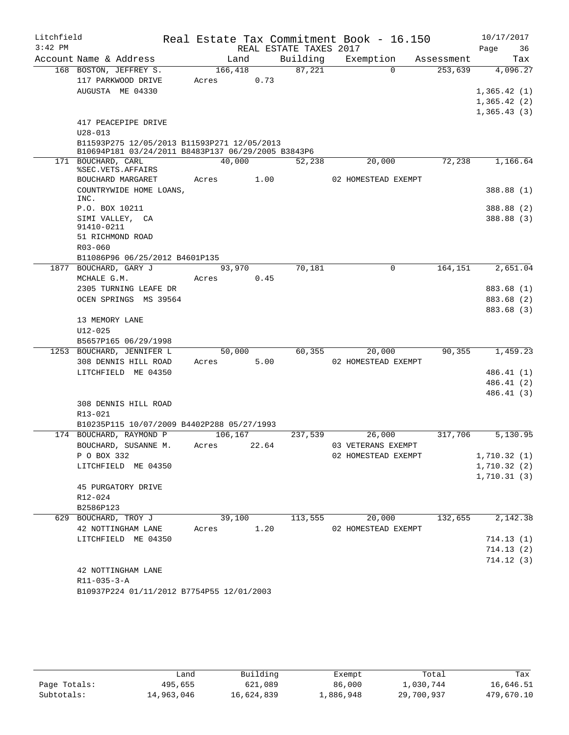| Litchfield |                                                            |         |       |                        | Real Estate Tax Commitment Book - 16.150 |            | 10/17/2017             |
|------------|------------------------------------------------------------|---------|-------|------------------------|------------------------------------------|------------|------------------------|
| $3:42$ PM  |                                                            |         |       | REAL ESTATE TAXES 2017 |                                          |            | Page<br>36             |
|            | Account Name & Address                                     | Land    |       | Building               | Exemption                                | Assessment | Tax                    |
|            | 168 BOSTON, JEFFREY S.                                     | 166,418 |       | 87,221                 | $\Omega$                                 | 253,639    | 4,096.27               |
|            | 117 PARKWOOD DRIVE                                         | Acres   | 0.73  |                        |                                          |            |                        |
|            | AUGUSTA ME 04330                                           |         |       |                        |                                          |            | 1,365.42(1)            |
|            |                                                            |         |       |                        |                                          |            | 1,365.42(2)            |
|            |                                                            |         |       |                        |                                          |            | 1,365.43(3)            |
|            | 417 PEACEPIPE DRIVE                                        |         |       |                        |                                          |            |                        |
|            | $U28 - 013$<br>B11593P275 12/05/2013 B11593P271 12/05/2013 |         |       |                        |                                          |            |                        |
|            | B10694P181 03/24/2011 B8483P137 06/29/2005 B3843P6         |         |       |                        |                                          |            |                        |
|            | 171 BOUCHARD, CARL<br>%SEC.VETS.AFFAIRS                    | 40,000  |       | 52,238                 | 20,000                                   | 72,238     | 1,166.64               |
|            | BOUCHARD MARGARET                                          | Acres   | 1.00  |                        | 02 HOMESTEAD EXEMPT                      |            |                        |
|            | COUNTRYWIDE HOME LOANS,<br>INC.                            |         |       |                        |                                          |            | 388.88 (1)             |
|            | P.O. BOX 10211                                             |         |       |                        |                                          |            | 388.88 (2)             |
|            | SIMI VALLEY, CA                                            |         |       |                        |                                          |            | 388.88 (3)             |
|            | 91410-0211<br>51 RICHMOND ROAD                             |         |       |                        |                                          |            |                        |
|            | $R03 - 060$                                                |         |       |                        |                                          |            |                        |
|            | B11086P96 06/25/2012 B4601P135                             |         |       |                        |                                          |            |                        |
| 1877       | BOUCHARD, GARY J                                           | 93,970  |       | 70,181                 | 0                                        | 164,151    | 2,651.04               |
|            | MCHALE G.M.                                                | Acres   | 0.45  |                        |                                          |            |                        |
|            | 2305 TURNING LEAFE DR                                      |         |       |                        |                                          |            | 883.68 (1)             |
|            | OCEN SPRINGS MS 39564                                      |         |       |                        |                                          |            | 883.68 (2)             |
|            |                                                            |         |       |                        |                                          |            | 883.68 (3)             |
|            | 13 MEMORY LANE                                             |         |       |                        |                                          |            |                        |
|            | $U12 - 025$                                                |         |       |                        |                                          |            |                        |
|            | B5657P165 06/29/1998                                       |         |       |                        |                                          |            |                        |
|            | 1253 BOUCHARD, JENNIFER L                                  | 50,000  |       | 60,355                 | 20,000                                   | 90, 355    | 1,459.23               |
|            | 308 DENNIS HILL ROAD                                       | Acres   | 5.00  |                        | 02 HOMESTEAD EXEMPT                      |            |                        |
|            | LITCHFIELD ME 04350                                        |         |       |                        |                                          |            | 486.41(1)              |
|            |                                                            |         |       |                        |                                          |            | 486.41 (2)             |
|            | 308 DENNIS HILL ROAD                                       |         |       |                        |                                          |            | 486.41 (3)             |
|            | R13-021                                                    |         |       |                        |                                          |            |                        |
|            | B10235P115 10/07/2009 B4402P288 05/27/1993                 |         |       |                        |                                          |            |                        |
|            | 174 BOUCHARD, RAYMOND P                                    | 106,167 |       | 237,539                | 26,000                                   | 317,706    | 5,130.95               |
|            | BOUCHARD, SUSANNE M.                                       | Acres   | 22.64 |                        | 03 VETERANS EXEMPT                       |            |                        |
|            | P O BOX 332                                                |         |       |                        | 02 HOMESTEAD EXEMPT                      |            | 1,710.32(1)            |
|            | LITCHFIELD ME 04350                                        |         |       |                        |                                          |            | 1,710.32(2)            |
|            |                                                            |         |       |                        |                                          |            | 1,710.31(3)            |
|            | 45 PURGATORY DRIVE                                         |         |       |                        |                                          |            |                        |
|            | R12-024                                                    |         |       |                        |                                          |            |                        |
|            | B2586P123                                                  |         |       |                        |                                          |            |                        |
|            | 629 BOUCHARD, TROY J                                       | 39,100  |       | 113,555                | 20,000                                   | 132,655    | 2,142.38               |
|            | 42 NOTTINGHAM LANE                                         | Acres   | 1.20  |                        | 02 HOMESTEAD EXEMPT                      |            |                        |
|            | LITCHFIELD ME 04350                                        |         |       |                        |                                          |            | 714.13(1)              |
|            |                                                            |         |       |                        |                                          |            | 714.13(2)<br>714.12(3) |
|            | 42 NOTTINGHAM LANE                                         |         |       |                        |                                          |            |                        |
|            | $R11 - 035 - 3 - A$                                        |         |       |                        |                                          |            |                        |
|            | B10937P224 01/11/2012 B7754P55 12/01/2003                  |         |       |                        |                                          |            |                        |
|            |                                                            |         |       |                        |                                          |            |                        |

|              | Land       | Building   | Exempt    | Total      | Tax        |
|--------------|------------|------------|-----------|------------|------------|
| Page Totals: | 495,655    | 621,089    | 86,000    | 1,030,744  | 16,646.51  |
| Subtotals:   | 14,963,046 | 16,624,839 | 1,886,948 | 29,700,937 | 479,670.10 |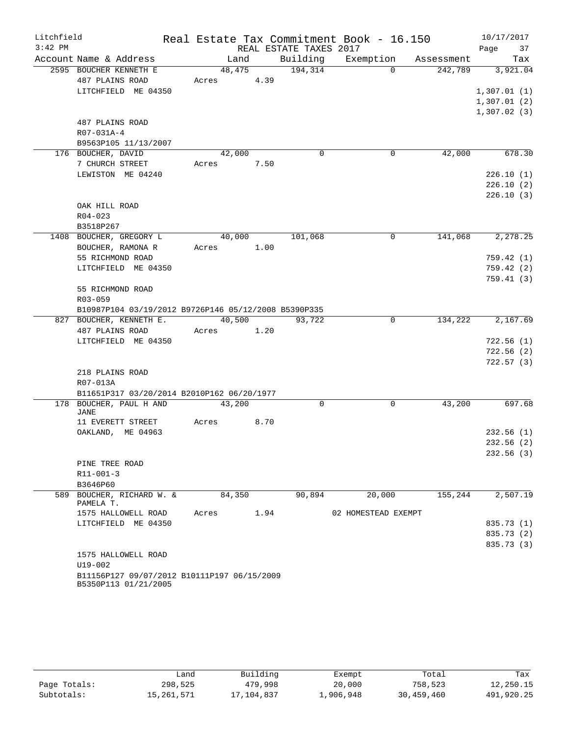| Litchfield<br>$3:42$ PM |                                                                     |       |            | REAL ESTATE TAXES 2017 | Real Estate Tax Commitment Book - 16.150 |         | 10/17/2017<br>Page<br>37 |
|-------------------------|---------------------------------------------------------------------|-------|------------|------------------------|------------------------------------------|---------|--------------------------|
|                         | Account Name & Address                                              |       | Land       | Building               | Exemption Assessment                     |         | Tax                      |
|                         | 2595 BOUCHER KENNETH E                                              |       |            | 48,475 194,314         | $\Omega$                                 |         | 242,789 3,921.04         |
|                         | 487 PLAINS ROAD                                                     |       | Acres 4.39 |                        |                                          |         |                          |
|                         | LITCHFIELD ME 04350                                                 |       |            |                        |                                          |         | 1,307.01(1)              |
|                         |                                                                     |       |            |                        |                                          |         | 1,307.01(2)              |
|                         |                                                                     |       |            |                        |                                          |         | 1,307.02(3)              |
|                         | 487 PLAINS ROAD                                                     |       |            |                        |                                          |         |                          |
|                         | R07-031A-4                                                          |       |            |                        |                                          |         |                          |
|                         | B9563P105 11/13/2007                                                |       |            |                        |                                          |         |                          |
|                         | 176 BOUCHER, DAVID                                                  |       | 42,000     | $\mathbf 0$            | 0                                        | 42,000  | 678.30                   |
|                         | 7 CHURCH STREET                                                     |       | Acres 7.50 |                        |                                          |         |                          |
|                         | LEWISTON ME 04240                                                   |       |            |                        |                                          |         | 226.10(1)                |
|                         |                                                                     |       |            |                        |                                          |         | 226.10(2)                |
|                         |                                                                     |       |            |                        |                                          |         | 226.10(3)                |
|                         | OAK HILL ROAD                                                       |       |            |                        |                                          |         |                          |
|                         | $R04 - 023$                                                         |       |            |                        |                                          |         |                          |
|                         | B3518P267<br>1408 BOUCHER, GREGORY L                                |       | 40,000     | 101,068                | 0                                        | 141,068 | 2,278.25                 |
|                         | BOUCHER, RAMONA R                                                   |       | Acres 1.00 |                        |                                          |         |                          |
|                         | 55 RICHMOND ROAD                                                    |       |            |                        |                                          |         | 759.42(1)                |
|                         | LITCHFIELD ME 04350                                                 |       |            |                        |                                          |         | 759.42(2)                |
|                         |                                                                     |       |            |                        |                                          |         | 759.41(3)                |
|                         | 55 RICHMOND ROAD                                                    |       |            |                        |                                          |         |                          |
|                         | R03-059                                                             |       |            |                        |                                          |         |                          |
|                         | B10987P104 03/19/2012 B9726P146 05/12/2008 B5390P335                |       |            |                        |                                          |         |                          |
|                         | 827 BOUCHER, KENNETH E.                                             |       | 40,500     | 93,722                 | $\overline{0}$                           | 134,222 | 2,167.69                 |
|                         | 487 PLAINS ROAD                                                     |       | Acres 1.20 |                        |                                          |         |                          |
|                         | LITCHFIELD ME 04350                                                 |       |            |                        |                                          |         | 722.56(1)                |
|                         |                                                                     |       |            |                        |                                          |         | 722.56(2)                |
|                         |                                                                     |       |            |                        |                                          |         | 722.57(3)                |
|                         | 218 PLAINS ROAD                                                     |       |            |                        |                                          |         |                          |
|                         | R07-013A                                                            |       |            |                        |                                          |         |                          |
|                         | B11651P317 03/20/2014 B2010P162 06/20/1977                          |       |            |                        |                                          |         |                          |
|                         | 178 BOUCHER, PAUL H AND<br>JANE                                     |       | 43,200     | $\Omega$               | $\Omega$                                 | 43,200  | 697.68                   |
|                         | 11 EVERETT STREET                                                   | Acres | 8.70       |                        |                                          |         |                          |
|                         | OAKLAND, ME 04963                                                   |       |            |                        |                                          |         | 232.56(1)                |
|                         |                                                                     |       |            |                        |                                          |         | 232.56(2)                |
|                         |                                                                     |       |            |                        |                                          |         | 232.56(3)                |
|                         | PINE TREE ROAD                                                      |       |            |                        |                                          |         |                          |
|                         | $R11 - 001 - 3$                                                     |       |            |                        |                                          |         |                          |
|                         | B3646P60                                                            |       |            |                        |                                          |         |                          |
|                         | 589 BOUCHER, RICHARD W. &<br>PAMELA T.                              |       | 84,350     | 90,894                 | 20,000                                   | 155,244 | 2,507.19                 |
|                         | 1575 HALLOWELL ROAD                                                 | Acres | 1.94       |                        | 02 HOMESTEAD EXEMPT                      |         |                          |
|                         | LITCHFIELD ME 04350                                                 |       |            |                        |                                          |         | 835.73 (1)               |
|                         |                                                                     |       |            |                        |                                          |         | 835.73 (2)               |
|                         |                                                                     |       |            |                        |                                          |         | 835.73 (3)               |
|                         | 1575 HALLOWELL ROAD                                                 |       |            |                        |                                          |         |                          |
|                         | $U19 - 002$                                                         |       |            |                        |                                          |         |                          |
|                         | B11156P127 09/07/2012 B10111P197 06/15/2009<br>B5350P113 01/21/2005 |       |            |                        |                                          |         |                          |

|              | Land       | Building   | Exempt    | Total      | Tax        |
|--------------|------------|------------|-----------|------------|------------|
| Page Totals: | 298,525    | 479,998    | 20,000    | 758,523    | 12,250.15  |
| Subtotals:   | 15,261,571 | 17,104,837 | 1,906,948 | 30,459,460 | 491,920.25 |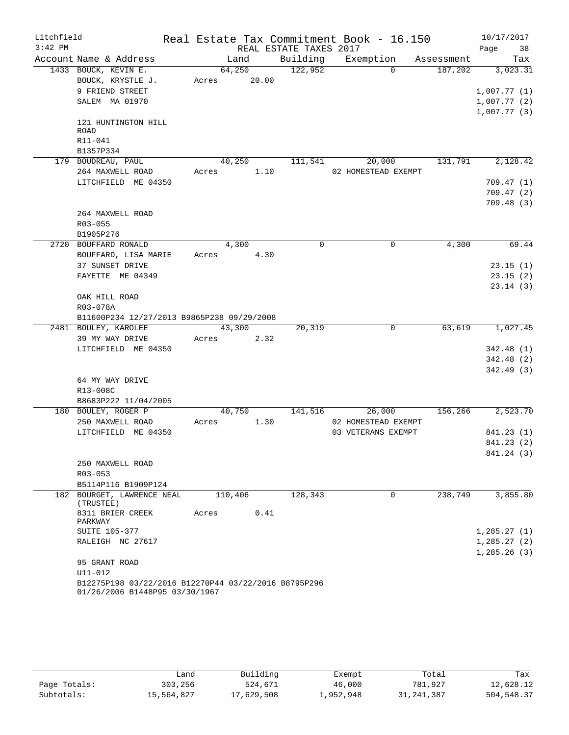| Litchfield |                                                                                        | Real Estate Tax Commitment Book - 16.150 |                        |                     |            | 10/17/2017  |
|------------|----------------------------------------------------------------------------------------|------------------------------------------|------------------------|---------------------|------------|-------------|
| $3:42$ PM  |                                                                                        |                                          | REAL ESTATE TAXES 2017 |                     |            | Page<br>38  |
|            | Account Name & Address                                                                 | Land                                     | Building               | Exemption           | Assessment | Tax         |
|            | 1433 BOUCK, KEVIN E.                                                                   | 64,250                                   | 122,952                | $\Omega$            | 187,202    | 3,023.31    |
|            | BOUCK, KRYSTLE J.                                                                      | Acres 20.00                              |                        |                     |            |             |
|            | 9 FRIEND STREET                                                                        |                                          |                        |                     |            | 1,007.77(1) |
|            | SALEM MA 01970                                                                         |                                          |                        |                     |            | 1,007.77(2) |
|            |                                                                                        |                                          |                        |                     |            | 1,007.77(3) |
|            | 121 HUNTINGTON HILL                                                                    |                                          |                        |                     |            |             |
|            | ROAD                                                                                   |                                          |                        |                     |            |             |
|            | R11-041<br>B1357P334                                                                   |                                          |                        |                     |            |             |
|            | 179 BOUDREAU, PAUL                                                                     | 40,250                                   | 111,541                | 20,000              | 131,791    | 2,128.42    |
|            | 264 MAXWELL ROAD                                                                       | Acres                                    | 1.10                   | 02 HOMESTEAD EXEMPT |            |             |
|            | LITCHFIELD ME 04350                                                                    |                                          |                        |                     |            | 709.47(1)   |
|            |                                                                                        |                                          |                        |                     |            | 709.47(2)   |
|            |                                                                                        |                                          |                        |                     |            | 709.48(3)   |
|            | 264 MAXWELL ROAD                                                                       |                                          |                        |                     |            |             |
|            | R03-055                                                                                |                                          |                        |                     |            |             |
|            | B1905P276                                                                              |                                          |                        |                     |            |             |
|            | 2720 BOUFFARD RONALD                                                                   | 4,300                                    | $\mathbf 0$            | $\mathbf 0$         | 4,300      | 69.44       |
|            | BOUFFARD, LISA MARIE                                                                   | Acres                                    | 4.30                   |                     |            |             |
|            | 37 SUNSET DRIVE                                                                        |                                          |                        |                     |            | 23.15(1)    |
|            | FAYETTE ME 04349                                                                       |                                          |                        |                     |            | 23.15(2)    |
|            |                                                                                        |                                          |                        |                     |            | 23.14(3)    |
|            | OAK HILL ROAD                                                                          |                                          |                        |                     |            |             |
|            | R03-078A                                                                               |                                          |                        |                     |            |             |
|            | B11600P234 12/27/2013 B9865P238 09/29/2008                                             |                                          |                        |                     |            |             |
|            | 2481 BOULEY, KAROLEE                                                                   | 43,300                                   | 20,319                 | 0                   | 63,619     | 1,027.45    |
|            | 39 MY WAY DRIVE                                                                        | Acres                                    | 2.32                   |                     |            |             |
|            | LITCHFIELD ME 04350                                                                    |                                          |                        |                     |            | 342.48(1)   |
|            |                                                                                        |                                          |                        |                     |            | 342.48 (2)  |
|            |                                                                                        |                                          |                        |                     |            | 342.49 (3)  |
|            | 64 MY WAY DRIVE                                                                        |                                          |                        |                     |            |             |
|            | R13-008C                                                                               |                                          |                        |                     |            |             |
|            | B8683P222 11/04/2005                                                                   |                                          |                        |                     |            |             |
|            | 180 BOULEY, ROGER P                                                                    | 40,750                                   | 141,516                | 26,000              | 156,266    | 2,523.70    |
|            | 250 MAXWELL ROAD                                                                       | Acres                                    | 1.30                   | 02 HOMESTEAD EXEMPT |            |             |
|            | LITCHFIELD ME 04350                                                                    |                                          |                        | 03 VETERANS EXEMPT  |            | 841.23 (1)  |
|            |                                                                                        |                                          |                        |                     |            | 841.23 (2)  |
|            |                                                                                        |                                          |                        |                     |            | 841.24 (3)  |
|            | 250 MAXWELL ROAD                                                                       |                                          |                        |                     |            |             |
|            | $R03 - 053$                                                                            |                                          |                        |                     |            |             |
|            | B5114P116 B1909P124<br>182 BOURGET, LAWRENCE NEAL                                      | 110,406                                  | 128,343                | 0                   | 238,749    | 3,855.80    |
|            | (TRUSTEE)                                                                              |                                          |                        |                     |            |             |
|            | 8311 BRIER CREEK<br>PARKWAY                                                            | Acres                                    | 0.41                   |                     |            |             |
|            | <b>SUITE 105-377</b>                                                                   |                                          |                        |                     |            | 1,285.27(1) |
|            | RALEIGH NC 27617                                                                       |                                          |                        |                     |            | 1,285.27(2) |
|            |                                                                                        |                                          |                        |                     |            | 1,285.26(3) |
|            | 95 GRANT ROAD                                                                          |                                          |                        |                     |            |             |
|            | U11-012                                                                                |                                          |                        |                     |            |             |
|            | B12275P198 03/22/2016 B12270P44 03/22/2016 B8795P296<br>01/26/2006 B1448P95 03/30/1967 |                                          |                        |                     |            |             |

|              | Land       | Building   | Exempt    | Total        | Tax        |
|--------------|------------|------------|-----------|--------------|------------|
| Page Totals: | 303,256    | 524,671    | 46,000    | 781,927      | 12,628.12  |
| Subtotals:   | 15,564,827 | 17,629,508 | 1,952,948 | 31, 241, 387 | 504,548.37 |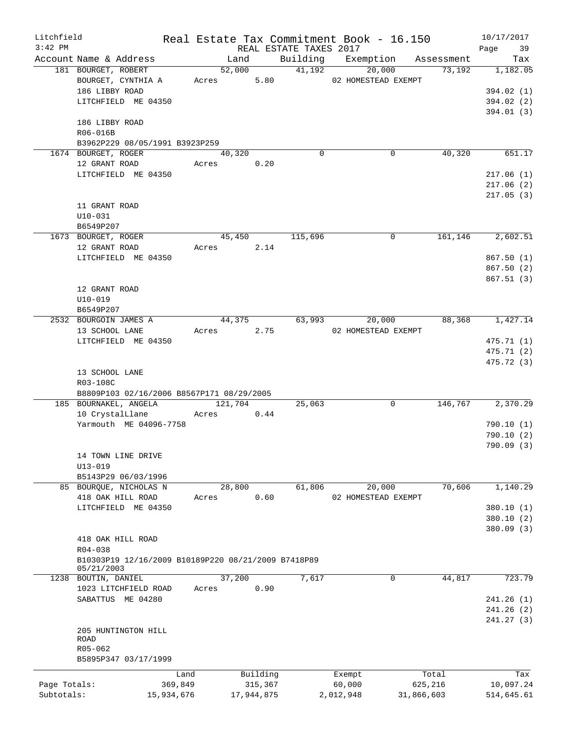| Litchfield   |                                                     |       |            |                        | Real Estate Tax Commitment Book - 16.150 |            | 10/17/2017 |
|--------------|-----------------------------------------------------|-------|------------|------------------------|------------------------------------------|------------|------------|
| $3:42$ PM    |                                                     |       |            | REAL ESTATE TAXES 2017 |                                          |            | Page<br>39 |
|              | Account Name & Address                              |       | Land       |                        | Building Exemption                       | Assessment | Tax        |
|              | 181 BOURGET, ROBERT                                 |       | 52,000     | 41,192                 | 20,000                                   | 73,192     | 1,182.05   |
|              | BOURGET, CYNTHIA A                                  |       | Acres 5.80 |                        | 02 HOMESTEAD EXEMPT                      |            |            |
|              | 186 LIBBY ROAD                                      |       |            |                        |                                          |            | 394.02 (1) |
|              | LITCHFIELD ME 04350                                 |       |            |                        |                                          |            | 394.02 (2) |
|              |                                                     |       |            |                        |                                          |            | 394.01(3)  |
|              | 186 LIBBY ROAD                                      |       |            |                        |                                          |            |            |
|              | R06-016B                                            |       |            |                        |                                          |            |            |
|              | B3962P229 08/05/1991 B3923P259                      |       |            |                        |                                          |            |            |
|              | 1674 BOURGET, ROGER                                 |       | 40,320     | $\Omega$               | 0                                        | 40,320     | 651.17     |
|              | 12 GRANT ROAD                                       |       | Acres 0.20 |                        |                                          |            |            |
|              | LITCHFIELD ME 04350                                 |       |            |                        |                                          |            | 217.06(1)  |
|              |                                                     |       |            |                        |                                          |            | 217.06(2)  |
|              |                                                     |       |            |                        |                                          |            | 217.05(3)  |
|              | 11 GRANT ROAD                                       |       |            |                        |                                          |            |            |
|              | $U10-031$                                           |       |            |                        |                                          |            |            |
|              | B6549P207                                           |       |            |                        |                                          |            |            |
|              | 1673 BOURGET, ROGER                                 |       | 45,450     | 115,696                | 0                                        | 161,146    | 2,602.51   |
|              | 12 GRANT ROAD                                       |       | Acres 2.14 |                        |                                          |            |            |
|              | LITCHFIELD ME 04350                                 |       |            |                        |                                          |            | 867.50(1)  |
|              |                                                     |       |            |                        |                                          |            | 867.50(2)  |
|              |                                                     |       |            |                        |                                          |            | 867.51(3)  |
|              | 12 GRANT ROAD                                       |       |            |                        |                                          |            |            |
|              | $U10 - 019$                                         |       |            |                        |                                          |            |            |
|              | B6549P207                                           |       |            |                        |                                          |            |            |
|              | 2532 BOURGOIN JAMES A                               |       | 44,375     |                        | 63,993<br>20,000                         | 88,368     | 1,427.14   |
|              | 13 SCHOOL LANE                                      |       | Acres 2.75 |                        | 02 HOMESTEAD EXEMPT                      |            |            |
|              | LITCHFIELD ME 04350                                 |       |            |                        |                                          |            | 475.71 (1) |
|              |                                                     |       |            |                        |                                          |            | 475.71 (2) |
|              |                                                     |       |            |                        |                                          |            | 475.72 (3) |
|              |                                                     |       |            |                        |                                          |            |            |
|              | 13 SCHOOL LANE                                      |       |            |                        |                                          |            |            |
|              | R03-108C                                            |       |            |                        |                                          |            |            |
|              | B8809P103 02/16/2006 B8567P171 08/29/2005           |       | 121,704    |                        | $\Omega$                                 | 146,767    |            |
|              | 185 BOURNAKEL, ANGELA                               |       |            | 25,063                 |                                          |            | 2,370.29   |
|              | 10 CrystalLlane                                     | Acres | 0.44       |                        |                                          |            |            |
|              | Yarmouth ME 04096-7758                              |       |            |                        |                                          |            | 790.10(1)  |
|              |                                                     |       |            |                        |                                          |            | 790.10(2)  |
|              |                                                     |       |            |                        |                                          |            | 790.09(3)  |
|              | 14 TOWN LINE DRIVE                                  |       |            |                        |                                          |            |            |
|              | $U13 - 019$                                         |       |            |                        |                                          |            |            |
|              | B5143P29 06/03/1996                                 |       |            |                        |                                          |            |            |
|              | 85 BOURQUE, NICHOLAS N                              |       | 28,800     | 61,806                 | 20,000                                   | 70,606     | 1,140.29   |
|              | 418 OAK HILL ROAD                                   | Acres | 0.60       |                        | 02 HOMESTEAD EXEMPT                      |            |            |
|              | LITCHFIELD ME 04350                                 |       |            |                        |                                          |            | 380.10(1)  |
|              |                                                     |       |            |                        |                                          |            | 380.10(2)  |
|              |                                                     |       |            |                        |                                          |            | 380.09 (3) |
|              | 418 OAK HILL ROAD                                   |       |            |                        |                                          |            |            |
|              | R04-038                                             |       |            |                        |                                          |            |            |
|              | B10303P19 12/16/2009 B10189P220 08/21/2009 B7418P89 |       |            |                        |                                          |            |            |
|              | 05/21/2003                                          |       |            |                        |                                          |            |            |
|              | 1238 BOUTIN, DANIEL                                 |       | 37,200     | 7,617                  | $\mathbf{0}$                             | 44,817     | 723.79     |
|              | 1023 LITCHFIELD ROAD                                | Acres | 0.90       |                        |                                          |            |            |
|              | SABATTUS ME 04280                                   |       |            |                        |                                          |            | 241.26(1)  |
|              |                                                     |       |            |                        |                                          |            | 241.26(2)  |
|              |                                                     |       |            |                        |                                          |            | 241.27(3)  |
|              | 205 HUNTINGTON HILL                                 |       |            |                        |                                          |            |            |
|              | ROAD                                                |       |            |                        |                                          |            |            |
|              | R05-062                                             |       |            |                        |                                          |            |            |
|              | B5895P347 03/17/1999                                |       |            |                        |                                          |            |            |
|              |                                                     | Land  | Building   |                        | Exempt                                   | Total      | Tax        |
| Page Totals: | 369,849                                             |       | 315,367    |                        | 60,000                                   | 625,216    | 10,097.24  |
| Subtotals:   | 15,934,676                                          |       | 17,944,875 |                        | 2,012,948                                | 31,866,603 | 514,645.61 |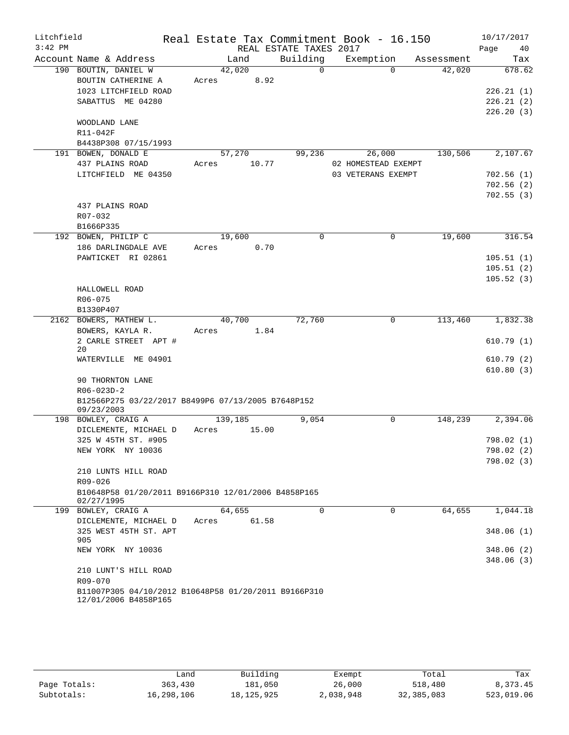| Litchfield |                                                                              |                |                        | Real Estate Tax Commitment Book - 16.150 |            | 10/17/2017             |
|------------|------------------------------------------------------------------------------|----------------|------------------------|------------------------------------------|------------|------------------------|
| $3:42$ PM  |                                                                              |                | REAL ESTATE TAXES 2017 |                                          |            | Page<br>40             |
|            | Account Name & Address                                                       | Land           | Building               | Exemption                                | Assessment | Tax                    |
|            | 190 BOUTIN, DANIEL W                                                         | 42,020         | $\Omega$               | $\Omega$                                 | 42,020     | 678.62                 |
|            | BOUTIN CATHERINE A                                                           | 8.92<br>Acres  |                        |                                          |            |                        |
|            | 1023 LITCHFIELD ROAD                                                         |                |                        |                                          |            | 226.21(1)              |
|            | SABATTUS ME 04280                                                            |                |                        |                                          |            | 226.21(2)              |
|            |                                                                              |                |                        |                                          |            | 226.20(3)              |
|            | WOODLAND LANE                                                                |                |                        |                                          |            |                        |
|            | R11-042F                                                                     |                |                        |                                          |            |                        |
|            | B4438P308 07/15/1993                                                         |                | 99,236                 |                                          |            |                        |
|            | 191 BOWEN, DONALD E                                                          | 57,270         |                        | 26,000<br>02 HOMESTEAD EXEMPT            | 130,506    | 2,107.67               |
|            | 437 PLAINS ROAD                                                              | Acres<br>10.77 |                        |                                          |            |                        |
|            | LITCHFIELD ME 04350                                                          |                |                        | 03 VETERANS EXEMPT                       |            | 702.56(1)              |
|            |                                                                              |                |                        |                                          |            | 702.56(2)<br>702.55(3) |
|            | 437 PLAINS ROAD                                                              |                |                        |                                          |            |                        |
|            | R07-032                                                                      |                |                        |                                          |            |                        |
|            | B1666P335                                                                    |                |                        |                                          |            |                        |
|            | 192 BOWEN, PHILIP C                                                          | 19,600         | $\Omega$               | $\Omega$                                 | 19,600     | 316.54                 |
|            | 186 DARLINGDALE AVE                                                          | 0.70<br>Acres  |                        |                                          |            |                        |
|            | PAWTICKET RI 02861                                                           |                |                        |                                          |            | 105.51(1)              |
|            |                                                                              |                |                        |                                          |            | 105.51(2)              |
|            |                                                                              |                |                        |                                          |            | 105.52(3)              |
|            | HALLOWELL ROAD                                                               |                |                        |                                          |            |                        |
|            | $R06 - 075$                                                                  |                |                        |                                          |            |                        |
|            | B1330P407                                                                    |                |                        |                                          |            |                        |
|            | 2162 BOWERS, MATHEW L.                                                       | 40,700         | 72,760                 | $\mathbf 0$                              | 113,460    | 1,832.38               |
|            | BOWERS, KAYLA R.                                                             | Acres<br>1.84  |                        |                                          |            |                        |
|            | 2 CARLE STREET APT #                                                         |                |                        |                                          |            | 610.79(1)              |
|            | 20<br>WATERVILLE ME 04901                                                    |                |                        |                                          |            | 610.79(2)              |
|            |                                                                              |                |                        |                                          |            | 610.80(3)              |
|            | 90 THORNTON LANE                                                             |                |                        |                                          |            |                        |
|            | $R06 - 023D - 2$                                                             |                |                        |                                          |            |                        |
|            | B12566P275 03/22/2017 B8499P6 07/13/2005 B7648P152                           |                |                        |                                          |            |                        |
|            | 09/23/2003                                                                   |                |                        |                                          |            |                        |
|            | 198 BOWLEY, CRAIG A                                                          | 139,185        | 9,054                  | $\mathbf 0$                              | 148,239    | 2,394.06               |
|            | DICLEMENTE, MICHAEL D                                                        | Acres<br>15.00 |                        |                                          |            |                        |
|            | 325 W 45TH ST. #905                                                          |                |                        |                                          |            | 798.02 (1)             |
|            | NEW YORK NY 10036                                                            |                |                        |                                          |            | 798.02 (2)             |
|            |                                                                              |                |                        |                                          |            | 798.02(3)              |
|            | 210 LUNTS HILL ROAD                                                          |                |                        |                                          |            |                        |
|            | R09-026                                                                      |                |                        |                                          |            |                        |
|            | B10648P58 01/20/2011 B9166P310 12/01/2006 B4858P165<br>02/27/1995            |                |                        |                                          |            |                        |
|            | 199 BOWLEY, CRAIG A                                                          | 64,655         | $\mathbf 0$            | $\Omega$                                 | 64,655     | 1,044.18               |
|            | DICLEMENTE, MICHAEL D                                                        | 61.58<br>Acres |                        |                                          |            |                        |
|            | 325 WEST 45TH ST. APT                                                        |                |                        |                                          |            | 348.06(1)              |
|            | 905                                                                          |                |                        |                                          |            |                        |
|            | NEW YORK NY 10036                                                            |                |                        |                                          |            | 348.06(2)              |
|            |                                                                              |                |                        |                                          |            | 348.06(3)              |
|            | 210 LUNT'S HILL ROAD                                                         |                |                        |                                          |            |                        |
|            | R09-070                                                                      |                |                        |                                          |            |                        |
|            | B11007P305 04/10/2012 B10648P58 01/20/2011 B9166P310<br>12/01/2006 B4858P165 |                |                        |                                          |            |                        |
|            |                                                                              |                |                        |                                          |            |                        |

|              | Land       | Building     | Exempt    | Total      | Tax        |
|--------------|------------|--------------|-----------|------------|------------|
| Page Totals: | 363,430    | 181,050      | 26,000    | 518,480    | 8,373.45   |
| Subtotals:   | 16,298,106 | 18, 125, 925 | 2,038,948 | 32,385,083 | 523,019.06 |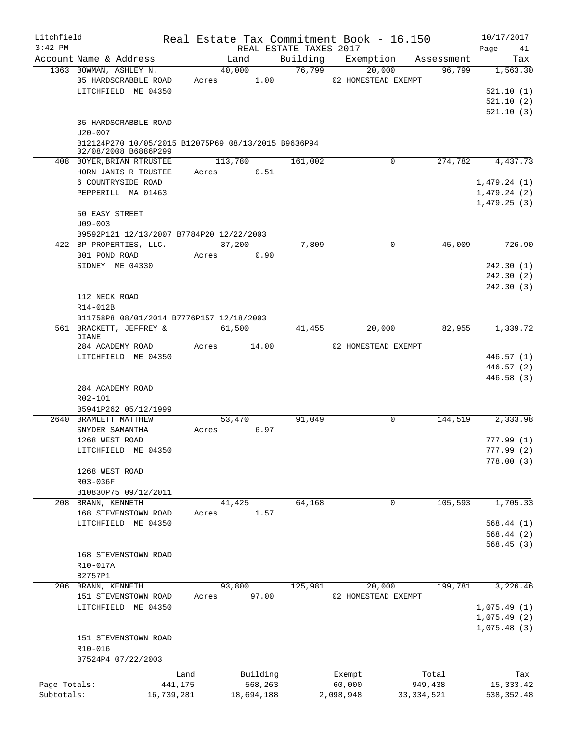| Litchfield   |                                                                             |         |                         |                        | Real Estate Tax Commitment Book - 16.150 |              | 10/17/2017  |
|--------------|-----------------------------------------------------------------------------|---------|-------------------------|------------------------|------------------------------------------|--------------|-------------|
| $3:42$ PM    |                                                                             |         |                         | REAL ESTATE TAXES 2017 |                                          |              | Page<br>41  |
|              | Account Name & Address                                                      |         | Land                    | Building               | Exemption Assessment                     |              | Tax         |
|              | 1363 BOWMAN, ASHLEY N.<br>35 HARDSCRABBLE ROAD                              |         | 40,000<br>1.00<br>Acres | 76,799                 | 20,000<br>02 HOMESTEAD EXEMPT            | 96,799       | 1,563.30    |
|              | LITCHFIELD ME 04350                                                         |         |                         |                        |                                          |              | 521.10(1)   |
|              |                                                                             |         |                         |                        |                                          |              | 521.10(2)   |
|              |                                                                             |         |                         |                        |                                          |              | 521.10(3)   |
|              | 35 HARDSCRABBLE ROAD<br>$U20 - 007$                                         |         |                         |                        |                                          |              |             |
|              | B12124P270 10/05/2015 B12075P69 08/13/2015 B9636P94<br>02/08/2008 B6886P299 |         |                         |                        |                                          |              |             |
|              | 408 BOYER, BRIAN RTRUSTEE                                                   |         | 113,780                 | 161,002                | 0                                        | 274,782      | 4,437.73    |
|              | HORN JANIS R TRUSTEE                                                        | Acres   | 0.51                    |                        |                                          |              |             |
|              | 6 COUNTRYSIDE ROAD                                                          |         |                         |                        |                                          |              | 1,479.24(1) |
|              | PEPPERILL MA 01463                                                          |         |                         |                        |                                          |              | 1,479.24(2) |
|              |                                                                             |         |                         |                        |                                          |              | 1,479.25(3) |
|              | 50 EASY STREET                                                              |         |                         |                        |                                          |              |             |
|              | $U09 - 003$                                                                 |         |                         |                        |                                          |              |             |
|              | B9592P121 12/13/2007 B7784P20 12/22/2003                                    |         |                         |                        |                                          |              |             |
|              | 422 BP PROPERTIES, LLC.                                                     |         | 37,200                  | 7,809                  | 0                                        | 45,009       | 726.90      |
|              | 301 POND ROAD                                                               | Acres   | 0.90                    |                        |                                          |              |             |
|              | SIDNEY ME 04330                                                             |         |                         |                        |                                          |              | 242.30(1)   |
|              |                                                                             |         |                         |                        |                                          |              | 242.30(2)   |
|              |                                                                             |         |                         |                        |                                          |              | 242.30(3)   |
|              | 112 NECK ROAD                                                               |         |                         |                        |                                          |              |             |
|              | R14-012B                                                                    |         |                         |                        |                                          |              |             |
|              | B11758P8 08/01/2014 B7776P157 12/18/2003                                    |         |                         |                        |                                          |              |             |
|              | 561 BRACKETT, JEFFREY &                                                     |         | 61,500                  | 41,455                 | 20,000                                   | 82,955       | 1,339.72    |
|              | <b>DIANE</b><br>284 ACADEMY ROAD                                            | Acres   | 14.00                   |                        | 02 HOMESTEAD EXEMPT                      |              |             |
|              | LITCHFIELD ME 04350                                                         |         |                         |                        |                                          |              | 446.57 (1)  |
|              |                                                                             |         |                         |                        |                                          |              | 446.57 (2)  |
|              |                                                                             |         |                         |                        |                                          |              | 446.58 (3)  |
|              | 284 ACADEMY ROAD                                                            |         |                         |                        |                                          |              |             |
|              | R02-101                                                                     |         |                         |                        |                                          |              |             |
|              | B5941P262 05/12/1999                                                        |         |                         |                        |                                          |              |             |
|              | 2640 BRAMLETT MATTHEW                                                       |         | 53,470                  | 91,049                 | $\mathbf 0$                              | 144,519      | 2,333.98    |
|              | SNYDER SAMANTHA                                                             | Acres   | 6.97                    |                        |                                          |              |             |
|              | 1268 WEST ROAD                                                              |         |                         |                        |                                          |              | 777.99(1)   |
|              | LITCHFIELD ME 04350                                                         |         |                         |                        |                                          |              | 777.99 (2)  |
|              |                                                                             |         |                         |                        |                                          |              | 778.00(3)   |
|              | 1268 WEST ROAD                                                              |         |                         |                        |                                          |              |             |
|              | R03-036F                                                                    |         |                         |                        |                                          |              |             |
|              | B10830P75 09/12/2011                                                        |         |                         |                        |                                          |              |             |
|              | 208 BRANN, KENNETH                                                          |         | 41,425                  | 64,168                 | 0                                        | 105,593      | 1,705.33    |
|              | 168 STEVENSTOWN ROAD                                                        | Acres   | 1.57                    |                        |                                          |              |             |
|              | LITCHFIELD ME 04350                                                         |         |                         |                        |                                          |              | 568.44(1)   |
|              |                                                                             |         |                         |                        |                                          |              | 568.44 (2)  |
|              |                                                                             |         |                         |                        |                                          |              | 568.45(3)   |
|              | 168 STEVENSTOWN ROAD                                                        |         |                         |                        |                                          |              |             |
|              | R10-017A                                                                    |         |                         |                        |                                          |              |             |
|              | B2757P1                                                                     |         |                         |                        |                                          |              |             |
|              | 206 BRANN, KENNETH                                                          |         | 93,800                  | 125,981                | 20,000                                   | 199,781      | 3,226.46    |
|              | 151 STEVENSTOWN ROAD                                                        | Acres   | 97.00                   |                        | 02 HOMESTEAD EXEMPT                      |              |             |
|              | LITCHFIELD ME 04350                                                         |         |                         |                        |                                          |              | 1,075.49(1) |
|              |                                                                             |         |                         |                        |                                          |              | 1,075.49(2) |
|              | 151 STEVENSTOWN ROAD                                                        |         |                         |                        |                                          |              | 1,075.48(3) |
|              | R10-016                                                                     |         |                         |                        |                                          |              |             |
|              | B7524P4 07/22/2003                                                          |         |                         |                        |                                          |              |             |
|              |                                                                             |         |                         |                        |                                          |              |             |
|              |                                                                             | Land    | Building                |                        | Exempt                                   | Total        | Tax         |
| Page Totals: |                                                                             | 441,175 | 568,263                 |                        | 60,000                                   | 949,438      | 15, 333.42  |
| Subtotals:   | 16,739,281                                                                  |         | 18,694,188              |                        | 2,098,948                                | 33, 334, 521 | 538, 352.48 |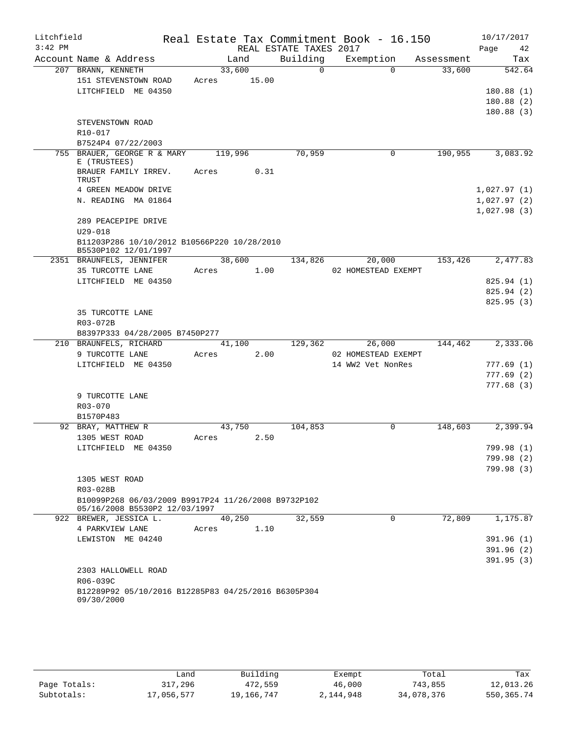| Litchfield |                                                                     |         |       |                        | Real Estate Tax Commitment Book - 16.150 |            | 10/17/2017  |
|------------|---------------------------------------------------------------------|---------|-------|------------------------|------------------------------------------|------------|-------------|
| $3:42$ PM  |                                                                     |         |       | REAL ESTATE TAXES 2017 |                                          |            | Page<br>42  |
|            | Account Name & Address                                              | Land    |       | Building               | Exemption                                | Assessment | Tax         |
|            | 207 BRANN, KENNETH                                                  | 33,600  |       | $\Omega$               | $\Omega$                                 | 33,600     | 542.64      |
|            | 151 STEVENSTOWN ROAD                                                | Acres   | 15.00 |                        |                                          |            |             |
|            | LITCHFIELD ME 04350                                                 |         |       |                        |                                          |            | 180.88(1)   |
|            |                                                                     |         |       |                        |                                          |            | 180.88(2)   |
|            |                                                                     |         |       |                        |                                          |            | 180.88(3)   |
|            | STEVENSTOWN ROAD                                                    |         |       |                        |                                          |            |             |
|            | R10-017                                                             |         |       |                        |                                          |            |             |
|            | B7524P4 07/22/2003                                                  |         |       |                        |                                          |            |             |
|            | 755 BRAUER, GEORGE R & MARY<br>E (TRUSTEES)                         | 119,996 |       | 70,959                 | $\mathbf 0$                              | 190,955    | 3,083.92    |
|            | BRAUER FAMILY IRREV.<br>TRUST                                       | Acres   | 0.31  |                        |                                          |            |             |
|            | 4 GREEN MEADOW DRIVE                                                |         |       |                        |                                          |            | 1,027.97(1) |
|            | N. READING MA 01864                                                 |         |       |                        |                                          |            | 1,027.97(2) |
|            |                                                                     |         |       |                        |                                          |            | 1,027.98(3) |
|            | 289 PEACEPIPE DRIVE                                                 |         |       |                        |                                          |            |             |
|            | $U29 - 018$                                                         |         |       |                        |                                          |            |             |
|            | B11203P286 10/10/2012 B10566P220 10/28/2010<br>B5530P102 12/01/1997 |         |       |                        |                                          |            |             |
|            | 2351 BRAUNFELS, JENNIFER                                            | 38,600  |       | 134,826                | 20,000                                   | 153,426    | 2,477.83    |
|            | 35 TURCOTTE LANE                                                    | Acres   | 1.00  |                        | 02 HOMESTEAD EXEMPT                      |            |             |
|            | LITCHFIELD ME 04350                                                 |         |       |                        |                                          |            | 825.94 (1)  |
|            |                                                                     |         |       |                        |                                          |            | 825.94 (2)  |
|            |                                                                     |         |       |                        |                                          |            | 825.95(3)   |
|            | 35 TURCOTTE LANE                                                    |         |       |                        |                                          |            |             |
|            | R03-072B                                                            |         |       |                        |                                          |            |             |
|            | B8397P333 04/28/2005 B7450P277<br>210 BRAUNFELS, RICHARD            | 41,100  |       | 129,362                | 26,000                                   | 144,462    | 2,333.06    |
|            | 9 TURCOTTE LANE                                                     | Acres   | 2.00  |                        | 02 HOMESTEAD EXEMPT                      |            |             |
|            | LITCHFIELD ME 04350                                                 |         |       |                        | 14 WW2 Vet NonRes                        |            | 777.69(1)   |
|            |                                                                     |         |       |                        |                                          |            | 777.69(2)   |
|            |                                                                     |         |       |                        |                                          |            | 777.68(3)   |
|            | 9 TURCOTTE LANE                                                     |         |       |                        |                                          |            |             |
|            | R03-070                                                             |         |       |                        |                                          |            |             |
|            | B1570P483                                                           |         |       |                        |                                          |            |             |
|            | 92 BRAY, MATTHEW R                                                  | 43,750  |       | 104,853                | $\mathbf 0$                              | 148,603    | 2,399.94    |
|            | 1305 WEST ROAD                                                      | Acres   | 2.50  |                        |                                          |            |             |
|            | LITCHFIELD ME 04350                                                 |         |       |                        |                                          |            | 799.98 (1)  |
|            |                                                                     |         |       |                        |                                          |            | 799.98 (2)  |
|            |                                                                     |         |       |                        |                                          |            | 799.98 (3)  |
|            | 1305 WEST ROAD                                                      |         |       |                        |                                          |            |             |
|            | R03-028B                                                            |         |       |                        |                                          |            |             |
|            | B10099P268 06/03/2009 B9917P24 11/26/2008 B9732P102                 |         |       |                        |                                          |            |             |
|            | 05/16/2008 B5530P2 12/03/1997                                       |         |       | 32,559                 | $\mathbf 0$                              | 72,809     |             |
|            | 922 BREWER, JESSICA L.<br>4 PARKVIEW LANE                           | 40,250  | 1.10  |                        |                                          |            | 1,175.87    |
|            | LEWISTON ME 04240                                                   | Acres   |       |                        |                                          |            | 391.96(1)   |
|            |                                                                     |         |       |                        |                                          |            | 391.96(2)   |
|            |                                                                     |         |       |                        |                                          |            | 391.95(3)   |
|            | 2303 HALLOWELL ROAD                                                 |         |       |                        |                                          |            |             |
|            | R06-039C                                                            |         |       |                        |                                          |            |             |
|            | B12289P92 05/10/2016 B12285P83 04/25/2016 B6305P304                 |         |       |                        |                                          |            |             |
|            | 09/30/2000                                                          |         |       |                        |                                          |            |             |
|            |                                                                     |         |       |                        |                                          |            |             |

|              | Land       | Building   | Exempt    | Total      | Tax        |
|--------------|------------|------------|-----------|------------|------------|
| Page Totals: | 317,296    | 472,559    | 46,000    | 743,855    | 12,013.26  |
| Subtotals:   | 17,056,577 | 19,166,747 | 2,144,948 | 34,078,376 | 550,365.74 |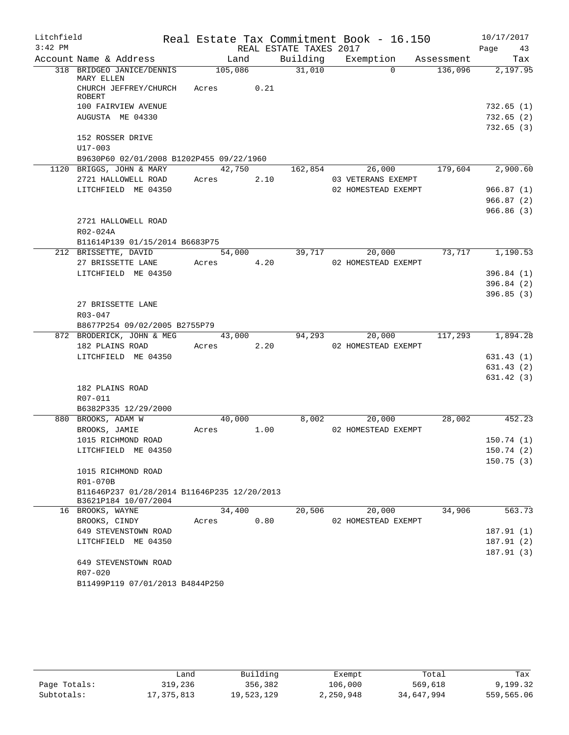| Litchfield |                                                            |            |      |                        | Real Estate Tax Commitment Book - 16.150  |            | 10/17/2017 |            |
|------------|------------------------------------------------------------|------------|------|------------------------|-------------------------------------------|------------|------------|------------|
| $3:42$ PM  |                                                            |            |      | REAL ESTATE TAXES 2017 |                                           |            | Page 43    |            |
|            | Account Name & Address                                     | Land       |      |                        | Building Exemption                        | Assessment |            | Tax        |
|            | 318 BRIDGEO JANICE/DENNIS                                  | 105,086    |      | 31,010                 | $\Omega$                                  | 136,096    |            | 2,197.95   |
|            | MARY ELLEN<br>CHURCH JEFFREY/CHURCH                        | Acres      | 0.21 |                        |                                           |            |            |            |
|            | <b>ROBERT</b>                                              |            |      |                        |                                           |            |            |            |
|            | 100 FAIRVIEW AVENUE                                        |            |      |                        |                                           |            |            | 732.65 (1) |
|            | AUGUSTA ME 04330                                           |            |      |                        |                                           |            |            | 732.65(2)  |
|            |                                                            |            |      |                        |                                           |            |            | 732.65(3)  |
|            | 152 ROSSER DRIVE                                           |            |      |                        |                                           |            |            |            |
|            | $U17 - 003$                                                |            |      |                        |                                           |            |            |            |
|            | B9630P60 02/01/2008 B1202P455 09/22/1960                   |            |      |                        |                                           |            |            |            |
|            | 1120 BRIGGS, JOHN & MARY                                   | 42,750     |      | 162,854                | 26,000                                    | 179,604    |            | 2,900.60   |
|            | 2721 HALLOWELL ROAD<br>LITCHFIELD ME 04350                 | Acres      | 2.10 |                        | 03 VETERANS EXEMPT<br>02 HOMESTEAD EXEMPT |            |            | 966.87(1)  |
|            |                                                            |            |      |                        |                                           |            |            | 966.87(2)  |
|            |                                                            |            |      |                        |                                           |            |            | 966.86(3)  |
|            | 2721 HALLOWELL ROAD                                        |            |      |                        |                                           |            |            |            |
|            | R02-024A                                                   |            |      |                        |                                           |            |            |            |
|            | B11614P139 01/15/2014 B6683P75                             |            |      |                        |                                           |            |            |            |
|            | 212 BRISSETTE, DAVID                                       | 54,000     |      | 39,717                 | 20,000                                    | 73,717     |            | 1,190.53   |
|            | 27 BRISSETTE LANE                                          | Acres      | 4.20 |                        | 02 HOMESTEAD EXEMPT                       |            |            |            |
|            | LITCHFIELD ME 04350                                        |            |      |                        |                                           |            |            | 396.84(1)  |
|            |                                                            |            |      |                        |                                           |            |            | 396.84(2)  |
|            |                                                            |            |      |                        |                                           |            |            | 396.85(3)  |
|            | 27 BRISSETTE LANE                                          |            |      |                        |                                           |            |            |            |
|            | $R03 - 047$                                                |            |      |                        |                                           |            |            |            |
|            | B8677P254 09/02/2005 B2755P79<br>872 BRODERICK, JOHN & MEG | 43,000     |      | 94,293                 | 20,000                                    | 117,293    |            | 1,894.28   |
|            | 182 PLAINS ROAD                                            | Acres 2.20 |      |                        | 02 HOMESTEAD EXEMPT                       |            |            |            |
|            | LITCHFIELD ME 04350                                        |            |      |                        |                                           |            |            | 631.43(1)  |
|            |                                                            |            |      |                        |                                           |            |            | 631.43(2)  |
|            |                                                            |            |      |                        |                                           |            |            | 631.42 (3) |
|            | 182 PLAINS ROAD                                            |            |      |                        |                                           |            |            |            |
|            | R07-011                                                    |            |      |                        |                                           |            |            |            |
|            | B6382P335 12/29/2000                                       |            |      |                        |                                           |            |            |            |
|            | 880 BROOKS, ADAM W                                         | 40,000     |      | 8,002                  | 20,000                                    | 28,002     |            | 452.23     |
|            | BROOKS, JAMIE                                              | Acres      | 1.00 |                        | 02 HOMESTEAD EXEMPT                       |            |            |            |
|            | 1015 RICHMOND ROAD                                         |            |      |                        |                                           |            |            | 150.74(1)  |
|            | LITCHFIELD ME 04350                                        |            |      |                        |                                           |            |            | 150.74(2)  |
|            | 1015 RICHMOND ROAD                                         |            |      |                        |                                           |            |            | 150.75(3)  |
|            | R01-070B                                                   |            |      |                        |                                           |            |            |            |
|            | B11646P237 01/28/2014 B11646P235 12/20/2013                |            |      |                        |                                           |            |            |            |
|            | B3621P184 10/07/2004                                       |            |      |                        |                                           |            |            |            |
|            | 16 BROOKS, WAYNE                                           | 34,400     |      | 20,506                 | 20,000                                    | 34,906     |            | 563.73     |
|            | BROOKS, CINDY                                              | Acres      | 0.80 |                        | 02 HOMESTEAD EXEMPT                       |            |            |            |
|            | 649 STEVENSTOWN ROAD                                       |            |      |                        |                                           |            |            | 187.91(1)  |
|            | LITCHFIELD ME 04350                                        |            |      |                        |                                           |            |            | 187.91(2)  |
|            | 649 STEVENSTOWN ROAD                                       |            |      |                        |                                           |            |            | 187.91(3)  |
|            | R07-020                                                    |            |      |                        |                                           |            |            |            |
|            | B11499P119 07/01/2013 B4844P250                            |            |      |                        |                                           |            |            |            |
|            |                                                            |            |      |                        |                                           |            |            |            |

|              | Land         | Building   |           | Total      | Tax        |
|--------------|--------------|------------|-----------|------------|------------|
|              |              |            | Exempt    |            |            |
| Page Totals: | 319,236      | 356,382    | 106,000   | 569,618    | 9,199.32   |
| Subtotals:   | 17, 375, 813 | 19,523,129 | 2,250,948 | 34,647,994 | 559,565.06 |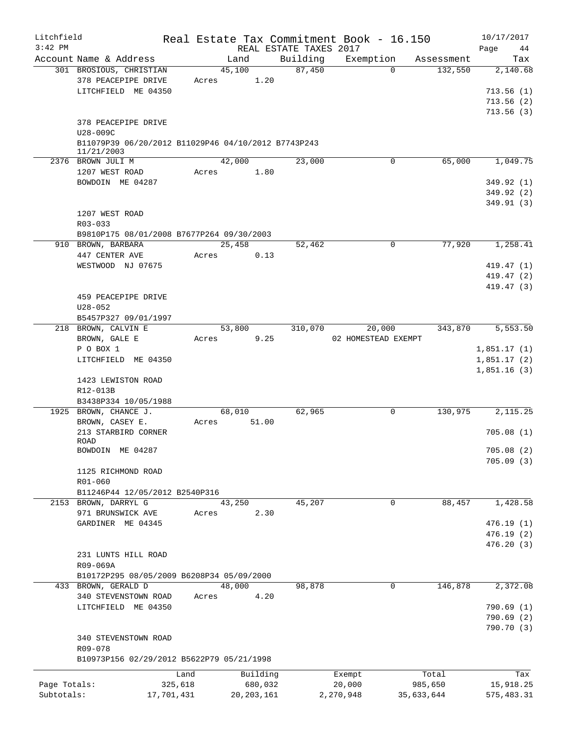| Litchfield<br>$3:42$ PM |                                                                   |            |              |          | REAL ESTATE TAXES 2017 | Real Estate Tax Commitment Book - 16.150 |            | 10/17/2017<br>Page<br>44 |
|-------------------------|-------------------------------------------------------------------|------------|--------------|----------|------------------------|------------------------------------------|------------|--------------------------|
|                         | Account Name & Address                                            |            | Land         |          | Building               | Exemption                                | Assessment | Tax                      |
|                         | 301 BROSIOUS, CHRISTIAN                                           |            | 45,100       |          | 87,450                 | $\Omega$                                 | 132,550    | 2,140.68                 |
|                         | 378 PEACEPIPE DRIVE                                               | Acres      |              | 1.20     |                        |                                          |            |                          |
|                         | LITCHFIELD ME 04350                                               |            |              |          |                        |                                          |            | 713.56(1)                |
|                         |                                                                   |            |              |          |                        |                                          |            | 713.56(2)                |
|                         |                                                                   |            |              |          |                        |                                          |            | 713.56(3)                |
|                         | 378 PEACEPIPE DRIVE<br>U28-009C                                   |            |              |          |                        |                                          |            |                          |
|                         | B11079P39 06/20/2012 B11029P46 04/10/2012 B7743P243<br>11/21/2003 |            |              |          |                        |                                          |            |                          |
|                         | 2376 BROWN JULI M                                                 |            | 42,000       |          | 23,000                 | 0                                        | 65,000     | 1,049.75                 |
|                         | 1207 WEST ROAD                                                    | Acres      |              | 1.80     |                        |                                          |            |                          |
|                         | BOWDOIN ME 04287                                                  |            |              |          |                        |                                          |            | 349.92 (1)               |
|                         |                                                                   |            |              |          |                        |                                          |            | 349.92 (2)               |
|                         |                                                                   |            |              |          |                        |                                          |            | 349.91 (3)               |
|                         | 1207 WEST ROAD                                                    |            |              |          |                        |                                          |            |                          |
|                         | $R03 - 033$                                                       |            |              |          |                        |                                          |            |                          |
|                         | B9810P175 08/01/2008 B7677P264 09/30/2003                         |            |              |          |                        |                                          |            |                          |
|                         | 910 BROWN, BARBARA                                                |            | 25,458       |          | 52,462                 | 0                                        | 77,920     | 1,258.41                 |
|                         | 447 CENTER AVE                                                    | Acres      |              | 0.13     |                        |                                          |            |                          |
|                         | WESTWOOD NJ 07675                                                 |            |              |          |                        |                                          |            | 419.47 (1)               |
|                         |                                                                   |            |              |          |                        |                                          |            | 419.47 (2)               |
|                         |                                                                   |            |              |          |                        |                                          |            | 419.47 (3)               |
|                         | 459 PEACEPIPE DRIVE                                               |            |              |          |                        |                                          |            |                          |
|                         | $U28 - 052$                                                       |            |              |          |                        |                                          |            |                          |
|                         | B5457P327 09/01/1997                                              |            |              |          |                        |                                          |            |                          |
|                         | 218 BROWN, CALVIN E                                               |            | 53,800       |          | 310,070                | 20,000                                   | 343,870    | 5,553.50                 |
|                         | BROWN, GALE E                                                     | Acres      |              | 9.25     |                        | 02 HOMESTEAD EXEMPT                      |            |                          |
|                         | P O BOX 1                                                         |            |              |          |                        |                                          |            | 1,851.17(1)              |
|                         | LITCHFIELD ME 04350                                               |            |              |          |                        |                                          |            | 1,851.17(2)              |
|                         |                                                                   |            |              |          |                        |                                          |            | 1,851.16(3)              |
|                         | 1423 LEWISTON ROAD                                                |            |              |          |                        |                                          |            |                          |
|                         | R12-013B                                                          |            |              |          |                        |                                          |            |                          |
|                         | B3438P334 10/05/1988<br>1925 BROWN, CHANCE J.                     |            | 68,010       |          | 62,965                 | 0                                        | 130,975    | 2,115.25                 |
|                         | BROWN, CASEY E.                                                   | Acres      |              | 51.00    |                        |                                          |            |                          |
|                         | 213 STARBIRD CORNER                                               |            |              |          |                        |                                          |            | 705.08(1)                |
|                         | <b>ROAD</b>                                                       |            |              |          |                        |                                          |            |                          |
|                         | BOWDOIN ME 04287                                                  |            |              |          |                        |                                          |            | 705.08(2)                |
|                         |                                                                   |            |              |          |                        |                                          |            | 705.09(3)                |
|                         | 1125 RICHMOND ROAD                                                |            |              |          |                        |                                          |            |                          |
|                         | R01-060                                                           |            |              |          |                        |                                          |            |                          |
|                         | B11246P44 12/05/2012 B2540P316                                    |            |              |          |                        |                                          |            |                          |
|                         | 2153 BROWN, DARRYL G                                              |            | 43,250       |          | 45,207                 | 0                                        | 88,457     | 1,428.58                 |
|                         | 971 BRUNSWICK AVE                                                 | Acres      |              | 2.30     |                        |                                          |            |                          |
|                         | GARDINER ME 04345                                                 |            |              |          |                        |                                          |            | 476.19(1)                |
|                         |                                                                   |            |              |          |                        |                                          |            | 476.19(2)                |
|                         |                                                                   |            |              |          |                        |                                          |            | 476.20 (3)               |
|                         | 231 LUNTS HILL ROAD                                               |            |              |          |                        |                                          |            |                          |
|                         | R09-069A                                                          |            |              |          |                        |                                          |            |                          |
|                         | B10172P295 08/05/2009 B6208P34 05/09/2000                         |            |              |          |                        |                                          |            |                          |
|                         | 433 BROWN, GERALD D                                               |            | 48,000       |          | 98,878                 | $\mathbf 0$                              | 146,878    | 2,372.08                 |
|                         | 340 STEVENSTOWN ROAD<br>LITCHFIELD ME 04350                       | Acres      |              | 4.20     |                        |                                          |            | 790.69(1)                |
|                         |                                                                   |            |              |          |                        |                                          |            |                          |
|                         |                                                                   |            |              |          |                        |                                          |            | 790.69(2)<br>790.70 (3)  |
|                         | 340 STEVENSTOWN ROAD                                              |            |              |          |                        |                                          |            |                          |
|                         | R09-078                                                           |            |              |          |                        |                                          |            |                          |
|                         | B10973P156 02/29/2012 B5622P79 05/21/1998                         |            |              |          |                        |                                          |            |                          |
|                         |                                                                   |            |              |          |                        |                                          |            |                          |
|                         |                                                                   | Land       |              | Building |                        | Exempt                                   | Total      | Tax                      |
| Page Totals:            |                                                                   | 325,618    |              | 680,032  |                        | 20,000                                   | 985,650    | 15,918.25                |
| Subtotals:              |                                                                   | 17,701,431 | 20, 203, 161 |          |                        | 2,270,948                                | 35,633,644 | 575, 483.31              |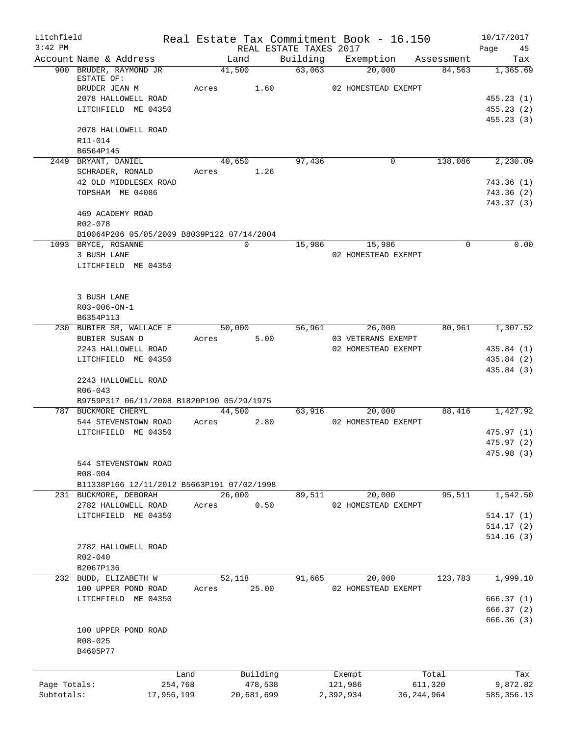| Litchfield   |                                                                                   |            |                         |                        | Real Estate Tax Commitment Book - 16.150 |              | 10/17/2017                             |
|--------------|-----------------------------------------------------------------------------------|------------|-------------------------|------------------------|------------------------------------------|--------------|----------------------------------------|
| $3:42$ PM    |                                                                                   |            |                         | REAL ESTATE TAXES 2017 |                                          |              | 45<br>Page                             |
|              | Account Name & Address                                                            |            | Land                    |                        | Building Exemption                       | Assessment   | Tax                                    |
|              | 900 BRUDER, RAYMOND JR<br>ESTATE OF:<br>BRUDER JEAN M<br>2078 HALLOWELL ROAD      | Acres      | 41,500<br>1.60          | 63,063                 | 20,000<br>02 HOMESTEAD EXEMPT            | 84,563       | 1,365.69<br>455.23(1)                  |
|              | LITCHFIELD ME 04350                                                               |            |                         |                        |                                          |              | 455.23(2)<br>455.23(3)                 |
|              | 2078 HALLOWELL ROAD<br>R11-014<br>B6564P145                                       |            |                         |                        |                                          |              |                                        |
|              | 2449 BRYANT, DANIEL<br>SCHRADER, RONALD                                           |            | 40,650<br>Acres 1.26    | 97,436                 | $\overline{0}$                           | 138,086      | 2,230.09                               |
|              | 42 OLD MIDDLESEX ROAD<br>TOPSHAM ME 04086                                         |            |                         |                        |                                          |              | 743.36(1)<br>743.36(2)<br>743.37(3)    |
|              | 469 ACADEMY ROAD<br>R02-078<br>B10064P206 05/05/2009 B8039P122 07/14/2004         |            |                         |                        |                                          |              |                                        |
|              | 1093 BRYCE, ROSANNE                                                               |            | $\mathbf 0$             | 15,986                 | 15,986                                   | 0            | 0.00                                   |
|              | 3 BUSH LANE<br>LITCHFIELD ME 04350                                                |            |                         |                        | 02 HOMESTEAD EXEMPT                      |              |                                        |
|              | 3 BUSH LANE<br>R03-006-ON-1<br>B6354P113                                          |            |                         |                        |                                          |              |                                        |
|              | 230 BUBIER SR, WALLACE E<br>BUBIER SUSAN D                                        |            | 50,000<br>5.00<br>Acres | 56,961                 | 26,000<br>03 VETERANS EXEMPT             | 80,961       | 1,307.52                               |
|              | 2243 HALLOWELL ROAD<br>LITCHFIELD ME 04350                                        |            |                         |                        | 02 HOMESTEAD EXEMPT                      |              | 435.84 (1)<br>435.84 (2)<br>435.84 (3) |
|              | 2243 HALLOWELL ROAD<br>$R06 - 043$<br>B9759P317 06/11/2008 B1820P190 05/29/1975   |            |                         |                        |                                          |              |                                        |
|              | 787 BUCKMORE CHERYL<br>544 STEVENSTOWN ROAD                                       | Acres      | 44,500<br>2.80          | 63,916                 | 20,000<br>02 HOMESTEAD EXEMPT            | 88,416       | 1,427.92                               |
|              | LITCHFIELD ME 04350                                                               |            |                         |                        |                                          |              | 475.97 (1)<br>475.97 (2)<br>475.98 (3) |
|              | 544 STEVENSTOWN ROAD<br>$R08 - 004$<br>B11338P166 12/11/2012 B5663P191 07/02/1998 |            |                         |                        |                                          |              |                                        |
|              | 231 BUCKMORE, DEBORAH<br>2782 HALLOWELL ROAD                                      | Acres      | 26,000<br>0.50          | 89,511                 | 20,000<br>02 HOMESTEAD EXEMPT            | 95,511       | 1,542.50                               |
|              | LITCHFIELD ME 04350                                                               |            |                         |                        |                                          |              | 514.17(1)                              |
|              |                                                                                   |            |                         |                        |                                          |              | 514.17(2)<br>514.16(3)                 |
|              | 2782 HALLOWELL ROAD<br>$R02 - 040$<br>B2067P136                                   |            |                         |                        |                                          |              |                                        |
|              | 232 BUDD, ELIZABETH W<br>100 UPPER POND ROAD                                      | Acres      | 52,118<br>25.00         | 91,665                 | 20,000<br>02 HOMESTEAD EXEMPT            | 123,783      | 1,999.10                               |
|              | LITCHFIELD ME 04350                                                               |            |                         |                        |                                          |              | 666.37(1)<br>666.37 (2)<br>666.36 (3)  |
|              | 100 UPPER POND ROAD<br>R08-025<br>B4605P77                                        |            |                         |                        |                                          |              |                                        |
|              |                                                                                   | Land       | Building                |                        | Exempt                                   | Total        | Tax                                    |
| Page Totals: |                                                                                   | 254,768    | 478,538                 |                        | 121,986                                  | 611,320      | 9,872.82                               |
| Subtotals:   |                                                                                   | 17,956,199 | 20,681,699              |                        | 2,392,934                                | 36, 244, 964 | 585, 356.13                            |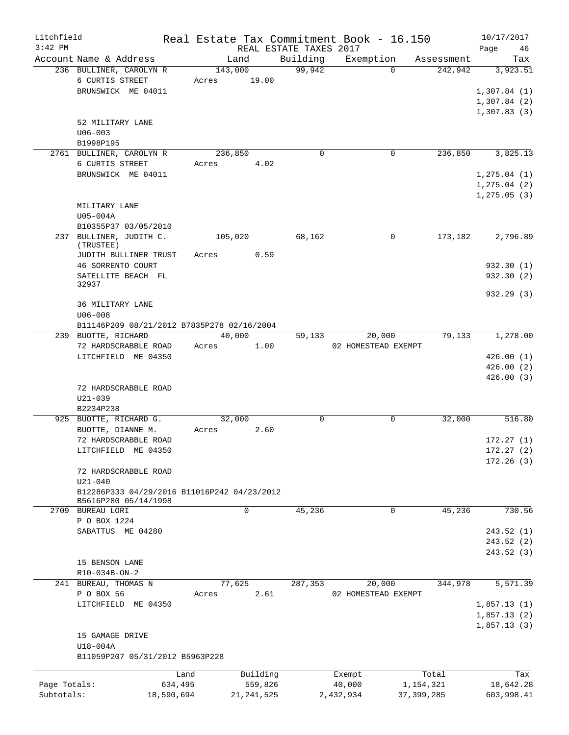| REAL ESTATE TAXES 2017<br>Building<br>Account Name & Address<br>Exemption<br>Land<br>Assessment<br>99,942<br>$\Omega$<br>236 BULLINER, CAROLYN R<br>143,000<br>242,942<br>6 CURTIS STREET<br>19.00<br>Acres<br>BRUNSWICK ME 04011<br>52 MILITARY LANE<br>$U06 - 003$<br>B1998P195<br>$\mathbf 0$<br>0<br>236,850<br>2761 BULLINER, CAROLYN R<br>236,850<br>6 CURTIS STREET<br>4.02<br>Acres<br>BRUNSWICK ME 04011<br>MILITARY LANE<br>U05-004A<br>B10355P37 03/05/2010<br>237 BULLINER, JUDITH C.<br>68,162<br>173,182<br>105,020<br>$\Omega$<br>(TRUSTEE)<br>Acres 0.59<br>JUDITH BULLINER TRUST<br>46 SORRENTO COURT<br>SATELLITE BEACH FL<br>32937<br>932.29 (3)<br>36 MILITARY LANE<br>$U06 - 008$<br>B11146P209 08/21/2012 B7835P278 02/16/2004<br>239 BUOTTE, RICHARD<br>40,000<br>20,000<br>79,133<br>59,133<br>72 HARDSCRABBLE ROAD<br>1.00<br>02 HOMESTEAD EXEMPT<br>Acres<br>LITCHFIELD ME 04350<br>72 HARDSCRABBLE ROAD<br>$U21 - 039$<br>B2234P238<br>925 BUOTTE, RICHARD G.<br>32,000<br>0<br>$\mathbf 0$<br>32,000<br>BUOTTE, DIANNE M.<br>2.60<br>Acres<br>72 HARDSCRABBLE ROAD<br>LITCHFIELD ME 04350<br>72 HARDSCRABBLE ROAD<br>$U21 - 040$<br>B12286P333 04/29/2016 B11016P242 04/23/2012<br>B5616P280 05/14/1998<br>$\mathbf 0$<br>45,236<br>$\mathbf{0}$<br>45,236<br>2709 BUREAU LORI<br>P O BOX 1224<br>SABATTUS ME 04280<br>15 BENSON LANE | Litchfield<br>$3:42$ PM |  |  | Real Estate Tax Commitment Book - 16.150 | 10/17/2017<br>Page<br>46 |
|-------------------------------------------------------------------------------------------------------------------------------------------------------------------------------------------------------------------------------------------------------------------------------------------------------------------------------------------------------------------------------------------------------------------------------------------------------------------------------------------------------------------------------------------------------------------------------------------------------------------------------------------------------------------------------------------------------------------------------------------------------------------------------------------------------------------------------------------------------------------------------------------------------------------------------------------------------------------------------------------------------------------------------------------------------------------------------------------------------------------------------------------------------------------------------------------------------------------------------------------------------------------------------------------------------------------------------------------------------------------|-------------------------|--|--|------------------------------------------|--------------------------|
|                                                                                                                                                                                                                                                                                                                                                                                                                                                                                                                                                                                                                                                                                                                                                                                                                                                                                                                                                                                                                                                                                                                                                                                                                                                                                                                                                                   |                         |  |  |                                          | Tax                      |
|                                                                                                                                                                                                                                                                                                                                                                                                                                                                                                                                                                                                                                                                                                                                                                                                                                                                                                                                                                                                                                                                                                                                                                                                                                                                                                                                                                   |                         |  |  |                                          | 3,923.51                 |
|                                                                                                                                                                                                                                                                                                                                                                                                                                                                                                                                                                                                                                                                                                                                                                                                                                                                                                                                                                                                                                                                                                                                                                                                                                                                                                                                                                   |                         |  |  |                                          |                          |
|                                                                                                                                                                                                                                                                                                                                                                                                                                                                                                                                                                                                                                                                                                                                                                                                                                                                                                                                                                                                                                                                                                                                                                                                                                                                                                                                                                   |                         |  |  |                                          | 1,307.84(1)              |
|                                                                                                                                                                                                                                                                                                                                                                                                                                                                                                                                                                                                                                                                                                                                                                                                                                                                                                                                                                                                                                                                                                                                                                                                                                                                                                                                                                   |                         |  |  |                                          | 1,307.84(2)              |
|                                                                                                                                                                                                                                                                                                                                                                                                                                                                                                                                                                                                                                                                                                                                                                                                                                                                                                                                                                                                                                                                                                                                                                                                                                                                                                                                                                   |                         |  |  |                                          | 1,307.83(3)              |
|                                                                                                                                                                                                                                                                                                                                                                                                                                                                                                                                                                                                                                                                                                                                                                                                                                                                                                                                                                                                                                                                                                                                                                                                                                                                                                                                                                   |                         |  |  |                                          |                          |
|                                                                                                                                                                                                                                                                                                                                                                                                                                                                                                                                                                                                                                                                                                                                                                                                                                                                                                                                                                                                                                                                                                                                                                                                                                                                                                                                                                   |                         |  |  |                                          |                          |
|                                                                                                                                                                                                                                                                                                                                                                                                                                                                                                                                                                                                                                                                                                                                                                                                                                                                                                                                                                                                                                                                                                                                                                                                                                                                                                                                                                   |                         |  |  |                                          |                          |
|                                                                                                                                                                                                                                                                                                                                                                                                                                                                                                                                                                                                                                                                                                                                                                                                                                                                                                                                                                                                                                                                                                                                                                                                                                                                                                                                                                   |                         |  |  |                                          | 3,825.13                 |
|                                                                                                                                                                                                                                                                                                                                                                                                                                                                                                                                                                                                                                                                                                                                                                                                                                                                                                                                                                                                                                                                                                                                                                                                                                                                                                                                                                   |                         |  |  |                                          |                          |
|                                                                                                                                                                                                                                                                                                                                                                                                                                                                                                                                                                                                                                                                                                                                                                                                                                                                                                                                                                                                                                                                                                                                                                                                                                                                                                                                                                   |                         |  |  |                                          | 1, 275.04(1)             |
|                                                                                                                                                                                                                                                                                                                                                                                                                                                                                                                                                                                                                                                                                                                                                                                                                                                                                                                                                                                                                                                                                                                                                                                                                                                                                                                                                                   |                         |  |  |                                          | 1, 275.04(2)             |
|                                                                                                                                                                                                                                                                                                                                                                                                                                                                                                                                                                                                                                                                                                                                                                                                                                                                                                                                                                                                                                                                                                                                                                                                                                                                                                                                                                   |                         |  |  |                                          | 1, 275.05(3)             |
|                                                                                                                                                                                                                                                                                                                                                                                                                                                                                                                                                                                                                                                                                                                                                                                                                                                                                                                                                                                                                                                                                                                                                                                                                                                                                                                                                                   |                         |  |  |                                          |                          |
|                                                                                                                                                                                                                                                                                                                                                                                                                                                                                                                                                                                                                                                                                                                                                                                                                                                                                                                                                                                                                                                                                                                                                                                                                                                                                                                                                                   |                         |  |  |                                          |                          |
|                                                                                                                                                                                                                                                                                                                                                                                                                                                                                                                                                                                                                                                                                                                                                                                                                                                                                                                                                                                                                                                                                                                                                                                                                                                                                                                                                                   |                         |  |  |                                          |                          |
|                                                                                                                                                                                                                                                                                                                                                                                                                                                                                                                                                                                                                                                                                                                                                                                                                                                                                                                                                                                                                                                                                                                                                                                                                                                                                                                                                                   |                         |  |  |                                          | 2,796.89                 |
|                                                                                                                                                                                                                                                                                                                                                                                                                                                                                                                                                                                                                                                                                                                                                                                                                                                                                                                                                                                                                                                                                                                                                                                                                                                                                                                                                                   |                         |  |  |                                          |                          |
|                                                                                                                                                                                                                                                                                                                                                                                                                                                                                                                                                                                                                                                                                                                                                                                                                                                                                                                                                                                                                                                                                                                                                                                                                                                                                                                                                                   |                         |  |  |                                          |                          |
|                                                                                                                                                                                                                                                                                                                                                                                                                                                                                                                                                                                                                                                                                                                                                                                                                                                                                                                                                                                                                                                                                                                                                                                                                                                                                                                                                                   |                         |  |  |                                          | 932.30 (1)               |
|                                                                                                                                                                                                                                                                                                                                                                                                                                                                                                                                                                                                                                                                                                                                                                                                                                                                                                                                                                                                                                                                                                                                                                                                                                                                                                                                                                   |                         |  |  |                                          | 932.30(2)                |
|                                                                                                                                                                                                                                                                                                                                                                                                                                                                                                                                                                                                                                                                                                                                                                                                                                                                                                                                                                                                                                                                                                                                                                                                                                                                                                                                                                   |                         |  |  |                                          |                          |
|                                                                                                                                                                                                                                                                                                                                                                                                                                                                                                                                                                                                                                                                                                                                                                                                                                                                                                                                                                                                                                                                                                                                                                                                                                                                                                                                                                   |                         |  |  |                                          |                          |
|                                                                                                                                                                                                                                                                                                                                                                                                                                                                                                                                                                                                                                                                                                                                                                                                                                                                                                                                                                                                                                                                                                                                                                                                                                                                                                                                                                   |                         |  |  |                                          |                          |
|                                                                                                                                                                                                                                                                                                                                                                                                                                                                                                                                                                                                                                                                                                                                                                                                                                                                                                                                                                                                                                                                                                                                                                                                                                                                                                                                                                   |                         |  |  |                                          |                          |
|                                                                                                                                                                                                                                                                                                                                                                                                                                                                                                                                                                                                                                                                                                                                                                                                                                                                                                                                                                                                                                                                                                                                                                                                                                                                                                                                                                   |                         |  |  |                                          | 1,278.00                 |
|                                                                                                                                                                                                                                                                                                                                                                                                                                                                                                                                                                                                                                                                                                                                                                                                                                                                                                                                                                                                                                                                                                                                                                                                                                                                                                                                                                   |                         |  |  |                                          |                          |
|                                                                                                                                                                                                                                                                                                                                                                                                                                                                                                                                                                                                                                                                                                                                                                                                                                                                                                                                                                                                                                                                                                                                                                                                                                                                                                                                                                   |                         |  |  |                                          | 426.00(1)                |
|                                                                                                                                                                                                                                                                                                                                                                                                                                                                                                                                                                                                                                                                                                                                                                                                                                                                                                                                                                                                                                                                                                                                                                                                                                                                                                                                                                   |                         |  |  |                                          | 426.00(2)                |
|                                                                                                                                                                                                                                                                                                                                                                                                                                                                                                                                                                                                                                                                                                                                                                                                                                                                                                                                                                                                                                                                                                                                                                                                                                                                                                                                                                   |                         |  |  |                                          | 426.00(3)                |
|                                                                                                                                                                                                                                                                                                                                                                                                                                                                                                                                                                                                                                                                                                                                                                                                                                                                                                                                                                                                                                                                                                                                                                                                                                                                                                                                                                   |                         |  |  |                                          |                          |
|                                                                                                                                                                                                                                                                                                                                                                                                                                                                                                                                                                                                                                                                                                                                                                                                                                                                                                                                                                                                                                                                                                                                                                                                                                                                                                                                                                   |                         |  |  |                                          |                          |
|                                                                                                                                                                                                                                                                                                                                                                                                                                                                                                                                                                                                                                                                                                                                                                                                                                                                                                                                                                                                                                                                                                                                                                                                                                                                                                                                                                   |                         |  |  |                                          |                          |
|                                                                                                                                                                                                                                                                                                                                                                                                                                                                                                                                                                                                                                                                                                                                                                                                                                                                                                                                                                                                                                                                                                                                                                                                                                                                                                                                                                   |                         |  |  |                                          | 516.80                   |
|                                                                                                                                                                                                                                                                                                                                                                                                                                                                                                                                                                                                                                                                                                                                                                                                                                                                                                                                                                                                                                                                                                                                                                                                                                                                                                                                                                   |                         |  |  |                                          |                          |
|                                                                                                                                                                                                                                                                                                                                                                                                                                                                                                                                                                                                                                                                                                                                                                                                                                                                                                                                                                                                                                                                                                                                                                                                                                                                                                                                                                   |                         |  |  |                                          | 172.27(1)                |
|                                                                                                                                                                                                                                                                                                                                                                                                                                                                                                                                                                                                                                                                                                                                                                                                                                                                                                                                                                                                                                                                                                                                                                                                                                                                                                                                                                   |                         |  |  |                                          | 172.27 (2)               |
|                                                                                                                                                                                                                                                                                                                                                                                                                                                                                                                                                                                                                                                                                                                                                                                                                                                                                                                                                                                                                                                                                                                                                                                                                                                                                                                                                                   |                         |  |  |                                          | 172.26(3)                |
|                                                                                                                                                                                                                                                                                                                                                                                                                                                                                                                                                                                                                                                                                                                                                                                                                                                                                                                                                                                                                                                                                                                                                                                                                                                                                                                                                                   |                         |  |  |                                          |                          |
|                                                                                                                                                                                                                                                                                                                                                                                                                                                                                                                                                                                                                                                                                                                                                                                                                                                                                                                                                                                                                                                                                                                                                                                                                                                                                                                                                                   |                         |  |  |                                          |                          |
|                                                                                                                                                                                                                                                                                                                                                                                                                                                                                                                                                                                                                                                                                                                                                                                                                                                                                                                                                                                                                                                                                                                                                                                                                                                                                                                                                                   |                         |  |  |                                          |                          |
|                                                                                                                                                                                                                                                                                                                                                                                                                                                                                                                                                                                                                                                                                                                                                                                                                                                                                                                                                                                                                                                                                                                                                                                                                                                                                                                                                                   |                         |  |  |                                          |                          |
|                                                                                                                                                                                                                                                                                                                                                                                                                                                                                                                                                                                                                                                                                                                                                                                                                                                                                                                                                                                                                                                                                                                                                                                                                                                                                                                                                                   |                         |  |  |                                          | 730.56                   |
|                                                                                                                                                                                                                                                                                                                                                                                                                                                                                                                                                                                                                                                                                                                                                                                                                                                                                                                                                                                                                                                                                                                                                                                                                                                                                                                                                                   |                         |  |  |                                          |                          |
|                                                                                                                                                                                                                                                                                                                                                                                                                                                                                                                                                                                                                                                                                                                                                                                                                                                                                                                                                                                                                                                                                                                                                                                                                                                                                                                                                                   |                         |  |  |                                          | 243.52 (1)               |
|                                                                                                                                                                                                                                                                                                                                                                                                                                                                                                                                                                                                                                                                                                                                                                                                                                                                                                                                                                                                                                                                                                                                                                                                                                                                                                                                                                   |                         |  |  |                                          | 243.52(2)                |
|                                                                                                                                                                                                                                                                                                                                                                                                                                                                                                                                                                                                                                                                                                                                                                                                                                                                                                                                                                                                                                                                                                                                                                                                                                                                                                                                                                   |                         |  |  |                                          | 243.52 (3)               |
|                                                                                                                                                                                                                                                                                                                                                                                                                                                                                                                                                                                                                                                                                                                                                                                                                                                                                                                                                                                                                                                                                                                                                                                                                                                                                                                                                                   |                         |  |  |                                          |                          |
| R10-034B-ON-2                                                                                                                                                                                                                                                                                                                                                                                                                                                                                                                                                                                                                                                                                                                                                                                                                                                                                                                                                                                                                                                                                                                                                                                                                                                                                                                                                     |                         |  |  |                                          |                          |
| 77,625<br>287,353<br>20,000<br>344,978<br>241 BUREAU, THOMAS N                                                                                                                                                                                                                                                                                                                                                                                                                                                                                                                                                                                                                                                                                                                                                                                                                                                                                                                                                                                                                                                                                                                                                                                                                                                                                                    |                         |  |  |                                          | 5,571.39                 |
| P O BOX 56<br>2.61<br>02 HOMESTEAD EXEMPT<br>Acres                                                                                                                                                                                                                                                                                                                                                                                                                                                                                                                                                                                                                                                                                                                                                                                                                                                                                                                                                                                                                                                                                                                                                                                                                                                                                                                |                         |  |  |                                          |                          |
| LITCHFIELD ME 04350                                                                                                                                                                                                                                                                                                                                                                                                                                                                                                                                                                                                                                                                                                                                                                                                                                                                                                                                                                                                                                                                                                                                                                                                                                                                                                                                               |                         |  |  |                                          | 1,857.13(1)              |
|                                                                                                                                                                                                                                                                                                                                                                                                                                                                                                                                                                                                                                                                                                                                                                                                                                                                                                                                                                                                                                                                                                                                                                                                                                                                                                                                                                   |                         |  |  |                                          | 1,857.13(2)              |
|                                                                                                                                                                                                                                                                                                                                                                                                                                                                                                                                                                                                                                                                                                                                                                                                                                                                                                                                                                                                                                                                                                                                                                                                                                                                                                                                                                   |                         |  |  |                                          | 1,857.13(3)              |
| 15 GAMAGE DRIVE                                                                                                                                                                                                                                                                                                                                                                                                                                                                                                                                                                                                                                                                                                                                                                                                                                                                                                                                                                                                                                                                                                                                                                                                                                                                                                                                                   |                         |  |  |                                          |                          |
| U18-004A                                                                                                                                                                                                                                                                                                                                                                                                                                                                                                                                                                                                                                                                                                                                                                                                                                                                                                                                                                                                                                                                                                                                                                                                                                                                                                                                                          |                         |  |  |                                          |                          |
| B11059P207 05/31/2012 B5963P228                                                                                                                                                                                                                                                                                                                                                                                                                                                                                                                                                                                                                                                                                                                                                                                                                                                                                                                                                                                                                                                                                                                                                                                                                                                                                                                                   |                         |  |  |                                          |                          |
| Building<br>Land<br>Exempt<br>Total                                                                                                                                                                                                                                                                                                                                                                                                                                                                                                                                                                                                                                                                                                                                                                                                                                                                                                                                                                                                                                                                                                                                                                                                                                                                                                                               |                         |  |  |                                          | Tax                      |
| Page Totals:<br>634,495<br>559,826<br>40,000<br>1,154,321                                                                                                                                                                                                                                                                                                                                                                                                                                                                                                                                                                                                                                                                                                                                                                                                                                                                                                                                                                                                                                                                                                                                                                                                                                                                                                         |                         |  |  |                                          | 18,642.28                |
| Subtotals:<br>18,590,694<br>21, 241, 525<br>2,432,934<br>37, 399, 285                                                                                                                                                                                                                                                                                                                                                                                                                                                                                                                                                                                                                                                                                                                                                                                                                                                                                                                                                                                                                                                                                                                                                                                                                                                                                             |                         |  |  |                                          | 603,998.41               |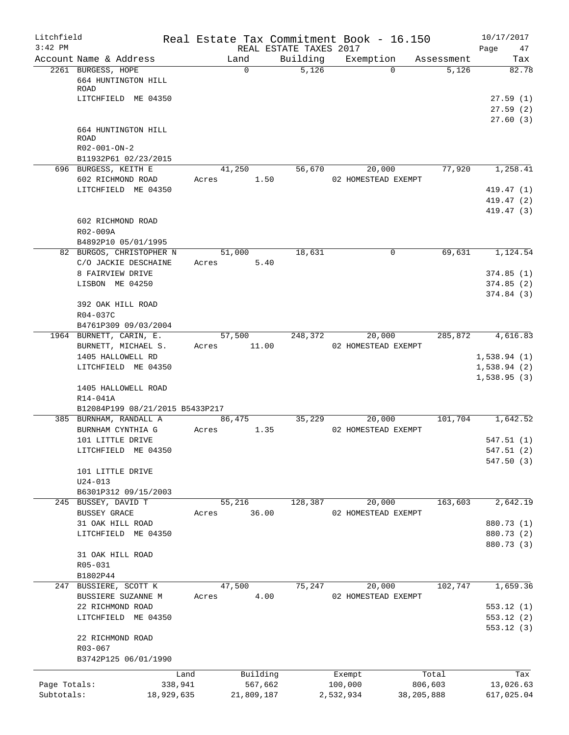| Litchfield<br>$3:42$ PM |                                                                            |       |            | REAL ESTATE TAXES 2017 | Real Estate Tax Commitment Book - 16.150 |              | 10/17/2017<br>Page<br>47   |
|-------------------------|----------------------------------------------------------------------------|-------|------------|------------------------|------------------------------------------|--------------|----------------------------|
|                         | Account Name & Address                                                     |       | Land       | Building               | Exemption                                | Assessment   | Tax                        |
|                         | 2261 BURGESS, HOPE<br>664 HUNTINGTON HILL<br>ROAD                          |       | $\Omega$   | 5,126                  | $\Omega$                                 | 5,126        | 82.78                      |
|                         | LITCHFIELD ME 04350                                                        |       |            |                        |                                          |              | 27.59(1)                   |
|                         |                                                                            |       |            |                        |                                          |              | 27.59(2)                   |
|                         | 664 HUNTINGTON HILL<br><b>ROAD</b><br>R02-001-ON-2<br>B11932P61 02/23/2015 |       |            |                        |                                          |              | 27.60(3)                   |
|                         | 696 BURGESS, KEITH E                                                       |       | 41,250     | 56,670                 | 20,000                                   | 77,920       | 1,258.41                   |
|                         | 602 RICHMOND ROAD                                                          | Acres | 1.50       |                        | 02 HOMESTEAD EXEMPT                      |              |                            |
|                         | LITCHFIELD ME 04350                                                        |       |            |                        |                                          |              | 419.47 (1)                 |
|                         |                                                                            |       |            |                        |                                          |              | 419.47 (2)                 |
|                         | 602 RICHMOND ROAD<br>R02-009A                                              |       |            |                        |                                          |              | 419.47 (3)                 |
|                         | B4892P10 05/01/1995<br>82 BURGOS, CHRISTOPHER N                            |       | 51,000     | 18,631                 | 0                                        | 69,631       | 1,124.54                   |
|                         | C/O JACKIE DESCHAINE                                                       | Acres | 5.40       |                        |                                          |              |                            |
|                         | 8 FAIRVIEW DRIVE                                                           |       |            |                        |                                          |              | 374.85(1)                  |
|                         | LISBON ME 04250                                                            |       |            |                        |                                          |              | 374.85(2)                  |
|                         | 392 OAK HILL ROAD<br>R04-037C                                              |       |            |                        |                                          |              | 374.84 (3)                 |
|                         | B4761P309 09/03/2004                                                       |       |            |                        |                                          |              |                            |
|                         | 1964 BURNETT, CARIN, E.                                                    |       | 57,500     | 248,372                | 20,000                                   | 285,872      | 4,616.83                   |
|                         | BURNETT, MICHAEL S.<br>1405 HALLOWELL RD                                   | Acres | 11.00      |                        | 02 HOMESTEAD EXEMPT                      |              |                            |
|                         | LITCHFIELD ME 04350                                                        |       |            |                        |                                          |              | 1,538.94(1)<br>1,538.94(2) |
|                         | 1405 HALLOWELL ROAD<br>R14-041A                                            |       |            |                        |                                          |              | 1,538.95(3)                |
|                         | B12084P199 08/21/2015 B5433P217                                            |       |            |                        |                                          |              |                            |
|                         | 385 BURNHAM, RANDALL A                                                     |       | 86,475     | 35,229                 | 20,000                                   | 101,704      | 1,642.52                   |
|                         | BURNHAM CYNTHIA G                                                          | Acres | 1.35       |                        | 02 HOMESTEAD EXEMPT                      |              |                            |
|                         | 101 LITTLE DRIVE                                                           |       |            |                        |                                          |              | 547.51(1)                  |
|                         | LITCHFIELD ME 04350                                                        |       |            |                        |                                          |              | 547.51 (2)                 |
|                         | 101 LITTLE DRIVE                                                           |       |            |                        |                                          |              | 547.50(3)                  |
|                         | $U24 - 013$                                                                |       |            |                        |                                          |              |                            |
|                         | B6301P312 09/15/2003                                                       |       |            |                        |                                          |              |                            |
|                         | 245 BUSSEY, DAVID T                                                        |       | 55,216     | 128,387                | 20,000                                   | 163,603      | 2,642.19                   |
|                         | BUSSEY GRACE                                                               | Acres | 36.00      |                        | 02 HOMESTEAD EXEMPT                      |              |                            |
|                         | 31 OAK HILL ROAD<br>LITCHFIELD ME 04350                                    |       |            |                        |                                          |              | 880.73 (1)<br>880.73 (2)   |
|                         |                                                                            |       |            |                        |                                          |              | 880.73 (3)                 |
|                         | 31 OAK HILL ROAD                                                           |       |            |                        |                                          |              |                            |
|                         | R05-031                                                                    |       |            |                        |                                          |              |                            |
|                         | B1802P44                                                                   |       |            |                        |                                          |              |                            |
|                         | 247 BUSSIERE, SCOTT K                                                      |       | 47,500     | 75,247                 | 20,000                                   | 102,747      | 1,659.36                   |
|                         | BUSSIERE SUZANNE M<br>22 RICHMOND ROAD                                     | Acres | 4.00       |                        | 02 HOMESTEAD EXEMPT                      |              | 553.12(1)                  |
|                         | LITCHFIELD ME 04350                                                        |       |            |                        |                                          |              | 553.12 (2)                 |
|                         | 22 RICHMOND ROAD                                                           |       |            |                        |                                          |              | 553.12(3)                  |
|                         | R03-067                                                                    |       |            |                        |                                          |              |                            |
|                         | B3742P125 06/01/1990                                                       |       |            |                        |                                          |              |                            |
|                         |                                                                            | Land  | Building   |                        | Exempt                                   | Total        | Tax                        |
| Page Totals:            | 338,941                                                                    |       | 567,662    |                        | 100,000                                  | 806,603      | 13,026.63                  |
| Subtotals:              | 18,929,635                                                                 |       | 21,809,187 |                        | 2,532,934                                | 38, 205, 888 | 617,025.04                 |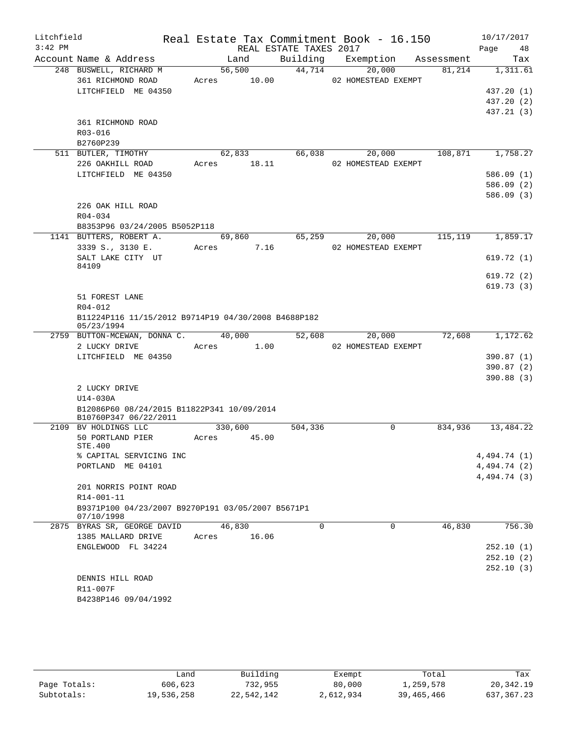| Litchfield<br>$3:42$ PM |                                                                   |                         | REAL ESTATE TAXES 2017 | Real Estate Tax Commitment Book - 16.150  |         | 10/17/2017<br>Page<br>48 |
|-------------------------|-------------------------------------------------------------------|-------------------------|------------------------|-------------------------------------------|---------|--------------------------|
|                         | Account Name & Address                                            | Land                    | Building               | Exemption Assessment                      |         | Tax                      |
|                         | 248 BUSWELL, RICHARD M<br>361 RICHMOND ROAD                       | 56,500                  | 44,714                 | 20,000<br>Acres 10.00 02 HOMESTEAD EXEMPT | 81,214  | 1,311.61                 |
|                         | LITCHFIELD ME 04350                                               |                         |                        |                                           |         | 437.20 (1)               |
|                         |                                                                   |                         |                        |                                           |         | 437.20 (2)               |
|                         |                                                                   |                         |                        |                                           |         | 437.21 (3)               |
|                         | 361 RICHMOND ROAD                                                 |                         |                        |                                           |         |                          |
|                         | R03-016                                                           |                         |                        |                                           |         |                          |
|                         | B2760P239                                                         |                         |                        |                                           |         |                          |
|                         | 511 BUTLER, TIMOTHY                                               | 62,833                  | 66,038                 | 20,000                                    | 108,871 | 1,758.27                 |
|                         | 226 OAKHILL ROAD                                                  | Acres 18.11             |                        | 02 HOMESTEAD EXEMPT                       |         |                          |
|                         | LITCHFIELD ME 04350                                               |                         |                        |                                           |         | 586.09(1)                |
|                         |                                                                   |                         |                        |                                           |         | 586.09(2)                |
|                         |                                                                   |                         |                        |                                           |         | 586.09(3)                |
|                         | 226 OAK HILL ROAD                                                 |                         |                        |                                           |         |                          |
|                         | $R04 - 034$                                                       |                         |                        |                                           |         |                          |
|                         | B8353P96 03/24/2005 B5052P118                                     |                         | 65,259                 | 20,000                                    | 115,119 | 1,859.17                 |
|                         | 1141 BUTTERS, ROBERT A.<br>3339 S., 3130 E.                       | 69,860<br>7.16<br>Acres |                        | 02 HOMESTEAD EXEMPT                       |         |                          |
|                         | SALT LAKE CITY UT                                                 |                         |                        |                                           |         | 619.72(1)                |
|                         | 84109                                                             |                         |                        |                                           |         |                          |
|                         |                                                                   |                         |                        |                                           |         | 619.72(2)                |
|                         |                                                                   |                         |                        |                                           |         | 619.73(3)                |
|                         | 51 FOREST LANE                                                    |                         |                        |                                           |         |                          |
|                         | R04-012                                                           |                         |                        |                                           |         |                          |
|                         | B11224P116 11/15/2012 B9714P19 04/30/2008 B4688P182<br>05/23/1994 |                         |                        |                                           |         |                          |
|                         | 2759 BUTTON-MCEWAN, DONNA C. 40,000                               |                         | 52,608                 | 20,000                                    | 72,608  | 1,172.62                 |
|                         | 2 LUCKY DRIVE                                                     | Acres 1.00              |                        | 02 HOMESTEAD EXEMPT                       |         |                          |
|                         | LITCHFIELD ME 04350                                               |                         |                        |                                           |         | 390.87 (1)               |
|                         |                                                                   |                         |                        |                                           |         | 390.87(2)                |
|                         |                                                                   |                         |                        |                                           |         | 390.88 (3)               |
|                         | 2 LUCKY DRIVE<br>U14-030A                                         |                         |                        |                                           |         |                          |
|                         | B12086P60 08/24/2015 B11822P341 10/09/2014                        |                         |                        |                                           |         |                          |
|                         | B10760P347 06/22/2011<br>2109 BV HOLDINGS LLC                     | 330,600                 | 504,336                | 0                                         | 834,936 | 13,484.22                |
|                         | 50 PORTLAND PIER                                                  | Acres 45.00             |                        |                                           |         |                          |
|                         | STE.400                                                           |                         |                        |                                           |         |                          |
|                         | % CAPITAL SERVICING INC                                           |                         |                        |                                           |         | 4,494.74 (1)             |
|                         | PORTLAND ME 04101                                                 |                         |                        |                                           |         | 4,494.74 (2)             |
|                         |                                                                   |                         |                        |                                           |         | 4,494.74 (3)             |
|                         | 201 NORRIS POINT ROAD                                             |                         |                        |                                           |         |                          |
|                         | R14-001-11                                                        |                         |                        |                                           |         |                          |
|                         | B9371P100 04/23/2007 B9270P191 03/05/2007 B5671P1<br>07/10/1998   |                         |                        |                                           |         |                          |
|                         | 2875 BYRAS SR, GEORGE DAVID                                       | 46,830                  | $\mathbf 0$            | $\mathbf 0$                               | 46,830  | 756.30                   |
|                         | 1385 MALLARD DRIVE                                                | 16.06<br>Acres          |                        |                                           |         |                          |
|                         | ENGLEWOOD FL 34224                                                |                         |                        |                                           |         | 252.10(1)                |
|                         |                                                                   |                         |                        |                                           |         | 252.10(2)                |
|                         |                                                                   |                         |                        |                                           |         | 252.10(3)                |
|                         | DENNIS HILL ROAD                                                  |                         |                        |                                           |         |                          |
|                         | R11-007F                                                          |                         |                        |                                           |         |                          |
|                         | B4238P146 09/04/1992                                              |                         |                        |                                           |         |                          |

|              | Land       | Building   | Exempt    | Total      | Tax        |
|--------------|------------|------------|-----------|------------|------------|
| Page Totals: | 606,623    | 732,955    | 80,000    | 1,259,578  | 20,342.19  |
| Subtotals:   | 19,536,258 | 22,542,142 | 2,612,934 | 39,465,466 | 637,367.23 |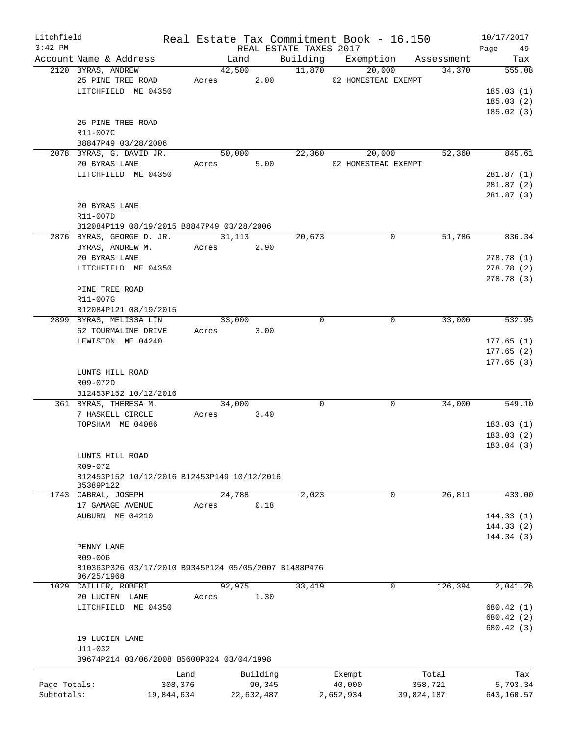| Litchfield<br>$3:42$ PM |                                                      |            |               | REAL ESTATE TAXES 2017 | Real Estate Tax Commitment Book - 16.150 |                               | 10/17/2017<br>Page 49 |
|-------------------------|------------------------------------------------------|------------|---------------|------------------------|------------------------------------------|-------------------------------|-----------------------|
|                         | Account Name & Address                               |            | Land          |                        |                                          | Building Exemption Assessment | Tax                   |
|                         | 2120 BYRAS, ANDREW                                   |            | 42,500        | 11,870                 | 20,000                                   | 34,370                        | 555.08                |
|                         | 25 PINE TREE ROAD                                    |            | Acres 2.00    |                        | 02 HOMESTEAD EXEMPT                      |                               |                       |
|                         | LITCHFIELD ME 04350                                  |            |               |                        |                                          |                               | 185.03(1)             |
|                         |                                                      |            |               |                        |                                          |                               | 185.03(2)             |
|                         |                                                      |            |               |                        |                                          |                               | 185.02(3)             |
|                         | 25 PINE TREE ROAD                                    |            |               |                        |                                          |                               |                       |
|                         | R11-007C                                             |            |               |                        |                                          |                               |                       |
|                         | B8847P49 03/28/2006                                  |            |               |                        |                                          |                               |                       |
|                         | 2078 BYRAS, G. DAVID JR.                             |            | 50,000        | 22,360                 | 20,000                                   | 52,360                        | 845.61                |
|                         | 20 BYRAS LANE                                        |            | 5.00<br>Acres |                        | 02 HOMESTEAD EXEMPT                      |                               |                       |
|                         | LITCHFIELD ME 04350                                  |            |               |                        |                                          |                               | 281.87(1)             |
|                         |                                                      |            |               |                        |                                          |                               | 281.87(2)             |
|                         |                                                      |            |               |                        |                                          |                               | 281.87(3)             |
|                         | 20 BYRAS LANE                                        |            |               |                        |                                          |                               |                       |
|                         | R11-007D                                             |            |               |                        |                                          |                               |                       |
|                         | B12084P119 08/19/2015 B8847P49 03/28/2006            |            |               |                        |                                          |                               |                       |
|                         | 2876 BYRAS, GEORGE D. JR.                            |            | 31, 113       | 20,673                 | 0                                        | 51,786                        | 836.34                |
|                         | BYRAS, ANDREW M.                                     |            | 2.90<br>Acres |                        |                                          |                               |                       |
|                         | 20 BYRAS LANE                                        |            |               |                        |                                          |                               | 278.78 (1)            |
|                         | LITCHFIELD ME 04350                                  |            |               |                        |                                          |                               | 278.78(2)             |
|                         |                                                      |            |               |                        |                                          |                               | 278.78 (3)            |
|                         | PINE TREE ROAD                                       |            |               |                        |                                          |                               |                       |
|                         | R11-007G                                             |            |               |                        |                                          |                               |                       |
|                         | B12084P121 08/19/2015                                |            |               |                        |                                          |                               |                       |
|                         | 2899 BYRAS, MELISSA LIN                              |            | 33,000        | $\Omega$               | 0                                        | 33,000                        | 532.95                |
|                         | 62 TOURMALINE DRIVE                                  |            | Acres 3.00    |                        |                                          |                               |                       |
|                         | LEWISTON ME 04240                                    |            |               |                        |                                          |                               | 177.65(1)             |
|                         |                                                      |            |               |                        |                                          |                               | 177.65(2)             |
|                         |                                                      |            |               |                        |                                          |                               | 177.65(3)             |
|                         | LUNTS HILL ROAD                                      |            |               |                        |                                          |                               |                       |
|                         | R09-072D                                             |            |               |                        |                                          |                               |                       |
|                         | B12453P152 10/12/2016                                |            |               |                        |                                          |                               |                       |
|                         | 361 BYRAS, THERESA M.                                |            | 34,000        | $\Omega$               | $\mathbf 0$                              | 34,000                        | 549.10                |
|                         | 7 HASKELL CIRCLE                                     |            | Acres 3.40    |                        |                                          |                               |                       |
|                         | TOPSHAM ME 04086                                     |            |               |                        |                                          |                               | 183.03(1)             |
|                         |                                                      |            |               |                        |                                          |                               | 183.03(2)             |
|                         |                                                      |            |               |                        |                                          |                               | 183.04 (3)            |
|                         | LUNTS HILL ROAD                                      |            |               |                        |                                          |                               |                       |
|                         | R09-072                                              |            |               |                        |                                          |                               |                       |
|                         | B12453P152 10/12/2016 B12453P149 10/12/2016          |            |               |                        |                                          |                               |                       |
|                         | B5389P122                                            |            |               |                        |                                          |                               |                       |
|                         | 1743 CABRAL, JOSEPH                                  |            | 24,788        | 2,023                  | 0                                        | 26,811                        | 433.00                |
|                         | 17 GAMAGE AVENUE                                     | Acres      | 0.18          |                        |                                          |                               |                       |
|                         | AUBURN ME 04210                                      |            |               |                        |                                          |                               | 144.33(1)             |
|                         |                                                      |            |               |                        |                                          |                               | 144.33(2)             |
|                         |                                                      |            |               |                        |                                          |                               | 144.34(3)             |
|                         | PENNY LANE                                           |            |               |                        |                                          |                               |                       |
|                         | R09-006                                              |            |               |                        |                                          |                               |                       |
|                         | B10363P326 03/17/2010 B9345P124 05/05/2007 B1488P476 |            |               |                        |                                          |                               |                       |
|                         | 06/25/1968                                           |            |               |                        |                                          |                               |                       |
|                         | 1029 CAILLER, ROBERT                                 |            | 92,975        | 33,419                 | $\mathbf 0$                              | 126,394                       | 2,041.26              |
|                         | 20 LUCIEN LANE                                       | Acres      | 1.30          |                        |                                          |                               |                       |
|                         | LITCHFIELD ME 04350                                  |            |               |                        |                                          |                               | 680.42 (1)            |
|                         |                                                      |            |               |                        |                                          |                               | 680.42 (2)            |
|                         |                                                      |            |               |                        |                                          |                               | 680.42 (3)            |
|                         | 19 LUCIEN LANE                                       |            |               |                        |                                          |                               |                       |
|                         | U11-032                                              |            |               |                        |                                          |                               |                       |
|                         | B9674P214 03/06/2008 B5600P324 03/04/1998            |            |               |                        |                                          |                               |                       |
|                         |                                                      | Land       | Building      |                        | Exempt                                   | Total                         | Tax                   |
| Page Totals:            |                                                      | 308,376    | 90,345        |                        | 40,000                                   | 358,721                       | 5,793.34              |
| Subtotals:              |                                                      | 19,844,634 | 22,632,487    |                        | 2,652,934                                | 39,824,187                    | 643,160.57            |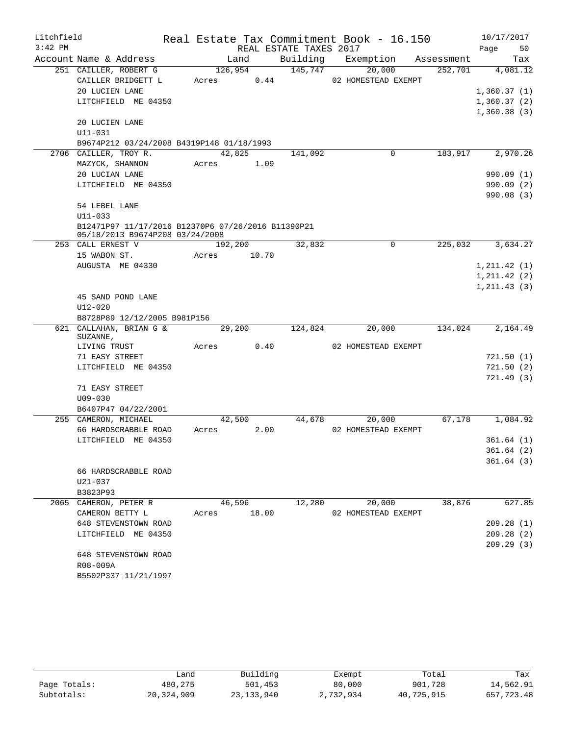| Litchfield |                                                                                       |       |            |                        | Real Estate Tax Commitment Book - 16.150 |         | 10/17/2017   |
|------------|---------------------------------------------------------------------------------------|-------|------------|------------------------|------------------------------------------|---------|--------------|
| $3:42$ PM  |                                                                                       |       |            | REAL ESTATE TAXES 2017 |                                          |         | Page<br>50   |
|            | Account Name & Address                                                                |       | Land       |                        | Building Exemption Assessment            |         | Tax          |
|            | 251 CAILLER, ROBERT G                                                                 |       | 126,954    | 145,747                | 20,000                                   | 252,701 | 4,081.12     |
|            | CAILLER BRIDGETT L                                                                    |       | Acres 0.44 |                        | 02 HOMESTEAD EXEMPT                      |         |              |
|            | 20 LUCIEN LANE                                                                        |       |            |                        |                                          |         | 1,360.37(1)  |
|            | LITCHFIELD ME 04350                                                                   |       |            |                        |                                          |         | 1,360.37(2)  |
|            |                                                                                       |       |            |                        |                                          |         | 1,360.38(3)  |
|            | 20 LUCIEN LANE                                                                        |       |            |                        |                                          |         |              |
|            | $U11 - 031$                                                                           |       |            |                        |                                          |         |              |
|            | B9674P212 03/24/2008 B4319P148 01/18/1993                                             |       |            |                        |                                          |         |              |
|            | 2706 CAILLER, TROY R.                                                                 |       | 42,825     | 141,092                | 0                                        | 183,917 | 2,970.26     |
|            | MAZYCK, SHANNON                                                                       |       | Acres 1.09 |                        |                                          |         |              |
|            | 20 LUCIAN LANE                                                                        |       |            |                        |                                          |         | 990.09(1)    |
|            | LITCHFIELD ME 04350                                                                   |       |            |                        |                                          |         | 990.09 (2)   |
|            |                                                                                       |       |            |                        |                                          |         | 990.08(3)    |
|            | 54 LEBEL LANE                                                                         |       |            |                        |                                          |         |              |
|            | $U11 - 033$                                                                           |       |            |                        |                                          |         |              |
|            | B12471P97 11/17/2016 B12370P6 07/26/2016 B11390P21<br>05/18/2013 B9674P208 03/24/2008 |       |            |                        |                                          |         |              |
|            | 253 CALL ERNEST V                                                                     |       | 192,200    | 32,832                 | $\mathsf{O}$                             | 225,032 | 3,634.27     |
|            | 15 WABON ST.                                                                          | Acres | 10.70      |                        |                                          |         |              |
|            | AUGUSTA ME 04330                                                                      |       |            |                        |                                          |         | 1, 211.42(1) |
|            |                                                                                       |       |            |                        |                                          |         | 1, 211.42(2) |
|            |                                                                                       |       |            |                        |                                          |         | 1, 211.43(3) |
|            | 45 SAND POND LANE                                                                     |       |            |                        |                                          |         |              |
|            | $U12 - 020$                                                                           |       |            |                        |                                          |         |              |
|            | B8728P89 12/12/2005 B981P156                                                          |       |            |                        |                                          |         |              |
|            | 621 CALLAHAN, BRIAN G &<br>SUZANNE,                                                   |       | 29,200     | 124,824                | 20,000                                   | 134,024 | 2,164.49     |
|            | LIVING TRUST                                                                          |       | Acres 0.40 |                        | 02 HOMESTEAD EXEMPT                      |         |              |
|            | 71 EASY STREET                                                                        |       |            |                        |                                          |         | 721.50(1)    |
|            | LITCHFIELD ME 04350                                                                   |       |            |                        |                                          |         | 721.50(2)    |
|            |                                                                                       |       |            |                        |                                          |         | 721.49 (3)   |
|            | 71 EASY STREET                                                                        |       |            |                        |                                          |         |              |
|            | $U09 - 030$                                                                           |       |            |                        |                                          |         |              |
|            | B6407P47 04/22/2001                                                                   |       |            |                        |                                          |         |              |
|            | 255 CAMERON, MICHAEL                                                                  |       | 42,500     |                        | 44,678<br>20,000                         | 67,178  | 1,084.92     |
|            | 66 HARDSCRABBLE ROAD                                                                  |       | Acres 2.00 |                        | 02 HOMESTEAD EXEMPT                      |         |              |
|            | LITCHFIELD ME 04350                                                                   |       |            |                        |                                          |         | 361.64(1)    |
|            |                                                                                       |       |            |                        |                                          |         |              |
|            |                                                                                       |       |            |                        |                                          |         | 361.64(2)    |
|            |                                                                                       |       |            |                        |                                          |         | 361.64(3)    |
|            | 66 HARDSCRABBLE ROAD                                                                  |       |            |                        |                                          |         |              |
|            | U21-037                                                                               |       |            |                        |                                          |         |              |
|            | B3823P93                                                                              |       |            |                        |                                          |         |              |
|            | 2065 CAMERON, PETER R                                                                 |       | 46,596     | 12,280                 | 20,000                                   | 38,876  | 627.85       |
|            | CAMERON BETTY L                                                                       | Acres | 18.00      |                        | 02 HOMESTEAD EXEMPT                      |         |              |
|            | 648 STEVENSTOWN ROAD                                                                  |       |            |                        |                                          |         | 209.28(1)    |
|            | LITCHFIELD ME 04350                                                                   |       |            |                        |                                          |         | 209.28(2)    |
|            |                                                                                       |       |            |                        |                                          |         | 209.29(3)    |
|            | 648 STEVENSTOWN ROAD                                                                  |       |            |                        |                                          |         |              |
|            | R08-009A<br>B5502P337 11/21/1997                                                      |       |            |                        |                                          |         |              |

|              | Land         | Building     | Exempt    | Total      | Tax        |
|--------------|--------------|--------------|-----------|------------|------------|
| Page Totals: | 480,275      | 501,453      | 80,000    | 901,728    | 14,562.91  |
| Subtotals:   | 20, 324, 909 | 23, 133, 940 | 2,732,934 | 40,725,915 | 657,723.48 |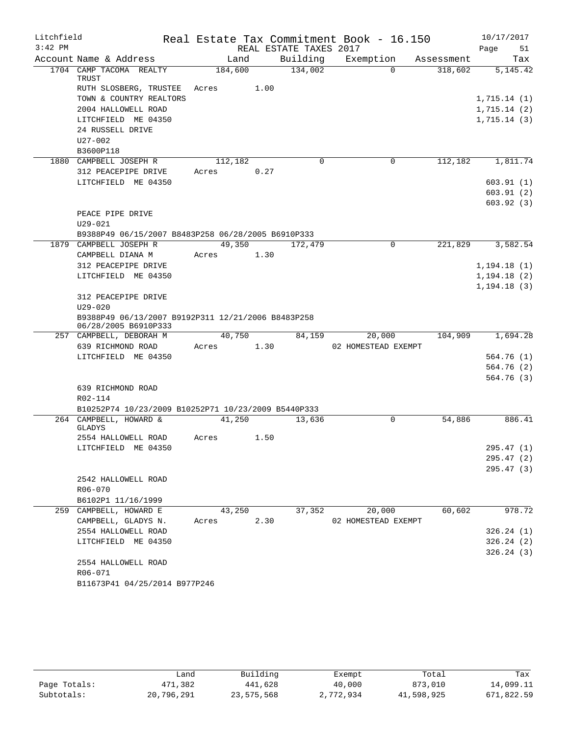| Litchfield |                                                                            |               |      |                        | Real Estate Tax Commitment Book - 16.150 |            | 10/17/2017   |
|------------|----------------------------------------------------------------------------|---------------|------|------------------------|------------------------------------------|------------|--------------|
| $3:42$ PM  |                                                                            |               |      | REAL ESTATE TAXES 2017 |                                          |            | Page<br>51   |
|            | Account Name & Address                                                     | Land          |      | Building               | Exemption                                | Assessment | Tax          |
|            | 1704 CAMP TACOMA REALTY<br>TRUST                                           | 184,600       |      | 134,002                | $\Omega$                                 | 318,602    | 5, 145. 42   |
|            | RUTH SLOSBERG, TRUSTEE                                                     | 1.00<br>Acres |      |                        |                                          |            |              |
|            | TOWN & COUNTRY REALTORS                                                    |               |      |                        |                                          |            | 1,715.14(1)  |
|            | 2004 HALLOWELL ROAD                                                        |               |      |                        |                                          |            | 1,715.14(2)  |
|            | LITCHFIELD ME 04350                                                        |               |      |                        |                                          |            | 1,715.14(3)  |
|            | 24 RUSSELL DRIVE                                                           |               |      |                        |                                          |            |              |
|            | U27-002                                                                    |               |      |                        |                                          |            |              |
|            | B3600P118                                                                  |               |      |                        |                                          |            |              |
|            | 1880 CAMPBELL JOSEPH R                                                     | 112,182       |      | $\Omega$               | 0                                        | 112,182    | 1,811.74     |
|            | 312 PEACEPIPE DRIVE                                                        | Acres         | 0.27 |                        |                                          |            |              |
|            | LITCHFIELD ME 04350                                                        |               |      |                        |                                          |            | 603.91(1)    |
|            |                                                                            |               |      |                        |                                          |            | 603.91(2)    |
|            |                                                                            |               |      |                        |                                          |            | 603.92(3)    |
|            | PEACE PIPE DRIVE                                                           |               |      |                        |                                          |            |              |
|            | $U29 - 021$                                                                |               |      |                        |                                          |            |              |
|            | B9388P49 06/15/2007 B8483P258 06/28/2005 B6910P333                         |               |      |                        |                                          |            |              |
|            | 1879 CAMPBELL JOSEPH R                                                     | 49,350        |      | 172,479                | $\mathbf 0$                              | 221,829    | 3,582.54     |
|            | CAMPBELL DIANA M                                                           | Acres         | 1.30 |                        |                                          |            |              |
|            | 312 PEACEPIPE DRIVE                                                        |               |      |                        |                                          |            | 1, 194.18(1) |
|            | LITCHFIELD ME 04350                                                        |               |      |                        |                                          |            | 1, 194.18(2) |
|            |                                                                            |               |      |                        |                                          |            | 1, 194.18(3) |
|            | 312 PEACEPIPE DRIVE                                                        |               |      |                        |                                          |            |              |
|            | $U29 - 020$                                                                |               |      |                        |                                          |            |              |
|            | B9388P49 06/13/2007 B9192P311 12/21/2006 B8483P258<br>06/28/2005 B6910P333 |               |      |                        |                                          |            |              |
|            | 257 CAMPBELL, DEBORAH M                                                    | 40,750        |      | 84,159                 | 20,000                                   | 104,909    | 1,694.28     |
|            | 639 RICHMOND ROAD                                                          | Acres         | 1.30 |                        | 02 HOMESTEAD EXEMPT                      |            |              |
|            | LITCHFIELD ME 04350                                                        |               |      |                        |                                          |            | 564.76(1)    |
|            |                                                                            |               |      |                        |                                          |            | 564.76(2)    |
|            |                                                                            |               |      |                        |                                          |            | 564.76 (3)   |
|            | 639 RICHMOND ROAD                                                          |               |      |                        |                                          |            |              |
|            | R02-114                                                                    |               |      |                        |                                          |            |              |
|            | B10252P74 10/23/2009 B10252P71 10/23/2009 B5440P333                        |               |      |                        |                                          |            |              |
|            | 264 CAMPBELL, HOWARD &                                                     | 41,250        |      | 13,636                 | 0                                        | 54,886     | 886.41       |
|            | GLADYS                                                                     |               |      |                        |                                          |            |              |
|            | 2554 HALLOWELL ROAD                                                        | Acres         | 1.50 |                        |                                          |            |              |
|            | LITCHFIELD ME 04350                                                        |               |      |                        |                                          |            | 295.47 (1)   |
|            |                                                                            |               |      |                        |                                          |            | 295.47(2)    |
|            | 2542 HALLOWELL ROAD                                                        |               |      |                        |                                          |            | 295.47(3)    |
|            | R06-070                                                                    |               |      |                        |                                          |            |              |
|            | B6102P1 11/16/1999                                                         |               |      |                        |                                          |            |              |
|            | 259 CAMPBELL, HOWARD E                                                     | 43,250        |      | 37,352                 | 20,000                                   | 60,602     | 978.72       |
|            | CAMPBELL, GLADYS N.                                                        | Acres         | 2.30 |                        | 02 HOMESTEAD EXEMPT                      |            |              |
|            | 2554 HALLOWELL ROAD                                                        |               |      |                        |                                          |            | 326.24(1)    |
|            | LITCHFIELD ME 04350                                                        |               |      |                        |                                          |            | 326.24(2)    |
|            |                                                                            |               |      |                        |                                          |            | 326.24(3)    |
|            | 2554 HALLOWELL ROAD                                                        |               |      |                        |                                          |            |              |
|            | R06-071                                                                    |               |      |                        |                                          |            |              |
|            | B11673P41 04/25/2014 B977P246                                              |               |      |                        |                                          |            |              |

|              | Land       | Building   | Exempt    | Total      | Tax        |
|--------------|------------|------------|-----------|------------|------------|
| Page Totals: | 471,382    | 441,628    | 40,000    | 873,010    | 14,099.11  |
| Subtotals:   | 20,796,291 | 23,575,568 | 2,772,934 | 41,598,925 | 671,822.59 |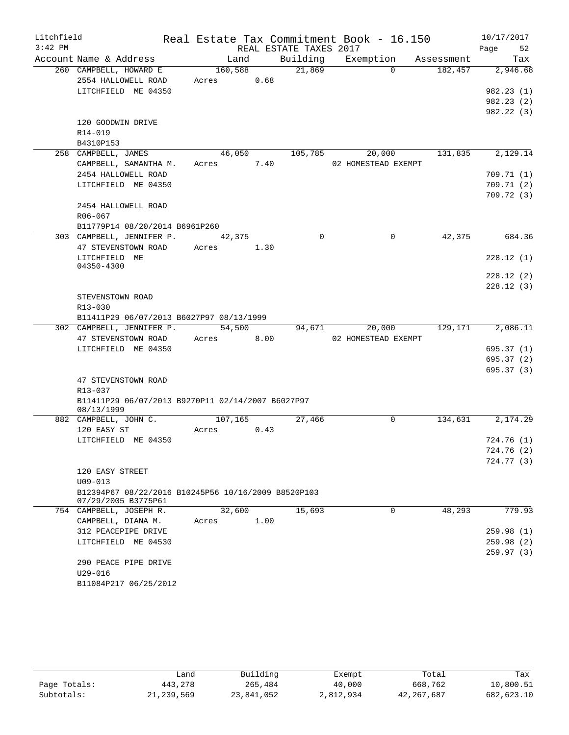| Litchfield |                                                     |            |      |                        | Real Estate Tax Commitment Book - 16.150 |            | 10/17/2017               |
|------------|-----------------------------------------------------|------------|------|------------------------|------------------------------------------|------------|--------------------------|
| $3:42$ PM  |                                                     |            |      | REAL ESTATE TAXES 2017 |                                          |            | Page<br>52               |
|            | Account Name & Address                              | Land       |      | Building               | Exemption                                | Assessment | Tax                      |
|            | 260 CAMPBELL, HOWARD E                              | 160,588    |      | 21,869                 | $\Omega$                                 | 182,457    | 2,946.68                 |
|            | 2554 HALLOWELL ROAD                                 | Acres      | 0.68 |                        |                                          |            |                          |
|            | LITCHFIELD ME 04350                                 |            |      |                        |                                          |            | 982.23(1)                |
|            |                                                     |            |      |                        |                                          |            | 982.23(2)                |
|            |                                                     |            |      |                        |                                          |            | 982.22 (3)               |
|            | 120 GOODWIN DRIVE                                   |            |      |                        |                                          |            |                          |
|            | R14-019                                             |            |      |                        |                                          |            |                          |
|            | B4310P153<br>258 CAMPBELL, JAMES                    | 46,050     |      | 105,785                | 20,000                                   | 131,835    | 2,129.14                 |
|            | CAMPBELL, SAMANTHA M.                               | Acres 7.40 |      |                        | 02 HOMESTEAD EXEMPT                      |            |                          |
|            | 2454 HALLOWELL ROAD                                 |            |      |                        |                                          |            | 709.71 (1)               |
|            | LITCHFIELD ME 04350                                 |            |      |                        |                                          |            | 709.71(2)                |
|            |                                                     |            |      |                        |                                          |            | 709.72 (3)               |
|            | 2454 HALLOWELL ROAD                                 |            |      |                        |                                          |            |                          |
|            | R06-067                                             |            |      |                        |                                          |            |                          |
|            | B11779P14 08/20/2014 B6961P260                      |            |      |                        |                                          |            |                          |
|            | 303 CAMPBELL, JENNIFER P.                           | 42,375     |      | $\Omega$               | $\Omega$                                 | 42,375     | 684.36                   |
|            | 47 STEVENSTOWN ROAD                                 | Acres      | 1.30 |                        |                                          |            |                          |
|            | LITCHFIELD ME                                       |            |      |                        |                                          |            | 228.12(1)                |
|            | 04350-4300                                          |            |      |                        |                                          |            |                          |
|            |                                                     |            |      |                        |                                          |            | 228.12(2)                |
|            |                                                     |            |      |                        |                                          |            | 228.12(3)                |
|            | STEVENSTOWN ROAD<br>R13-030                         |            |      |                        |                                          |            |                          |
|            | B11411P29 06/07/2013 B6027P97 08/13/1999            |            |      |                        |                                          |            |                          |
|            | 302 CAMPBELL, JENNIFER P.                           | 54,500     |      | 94,671                 | 20,000                                   | 129,171    | 2,086.11                 |
|            | 47 STEVENSTOWN ROAD                                 | Acres      | 8.00 |                        | 02 HOMESTEAD EXEMPT                      |            |                          |
|            | LITCHFIELD ME 04350                                 |            |      |                        |                                          |            | 695.37 (1)               |
|            |                                                     |            |      |                        |                                          |            | 695.37(2)                |
|            |                                                     |            |      |                        |                                          |            | 695.37 (3)               |
|            | 47 STEVENSTOWN ROAD                                 |            |      |                        |                                          |            |                          |
|            | R13-037                                             |            |      |                        |                                          |            |                          |
|            | B11411P29 06/07/2013 B9270P11 02/14/2007 B6027P97   |            |      |                        |                                          |            |                          |
|            | 08/13/1999                                          |            |      |                        |                                          |            |                          |
|            | 882 CAMPBELL, JOHN C.                               | 107, 165   |      | 27,466                 | $\mathbf 0$                              | 134,631    | 2,174.29                 |
|            | 120 EASY ST                                         | Acres      | 0.43 |                        |                                          |            |                          |
|            | LITCHFIELD ME 04350                                 |            |      |                        |                                          |            | 724.76 (1)               |
|            |                                                     |            |      |                        |                                          |            | 724.76 (2)<br>724.77 (3) |
|            | 120 EASY STREET                                     |            |      |                        |                                          |            |                          |
|            | $U09 - 013$                                         |            |      |                        |                                          |            |                          |
|            | B12394P67 08/22/2016 B10245P56 10/16/2009 B8520P103 |            |      |                        |                                          |            |                          |
|            | 07/29/2005 B3775P61                                 |            |      |                        |                                          |            |                          |
|            | 754 CAMPBELL, JOSEPH R.                             | 32,600     |      | 15,693                 | $\mathbf 0$                              | 48,293     | 779.93                   |
|            | CAMPBELL, DIANA M.                                  | Acres      | 1.00 |                        |                                          |            |                          |
|            | 312 PEACEPIPE DRIVE                                 |            |      |                        |                                          |            | 259.98(1)                |
|            | LITCHFIELD ME 04530                                 |            |      |                        |                                          |            | 259.98 (2)               |
|            |                                                     |            |      |                        |                                          |            | 259.97(3)                |
|            | 290 PEACE PIPE DRIVE                                |            |      |                        |                                          |            |                          |
|            | $U29 - 016$                                         |            |      |                        |                                          |            |                          |
|            | B11084P217 06/25/2012                               |            |      |                        |                                          |            |                          |

|              | Land         | Building   | Exempt    | Total        | Tax        |
|--------------|--------------|------------|-----------|--------------|------------|
| Page Totals: | 443,278      | 265,484    | 40,000    | 668,762      | 10,800.51  |
| Subtotals:   | 21, 239, 569 | 23,841,052 | 2,812,934 | 42, 267, 687 | 682,623.10 |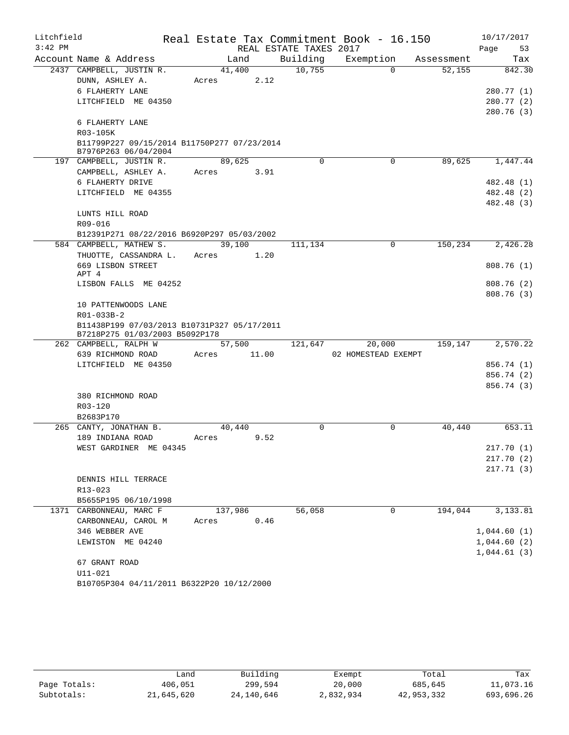| Litchfield |                                                                               | Real Estate Tax Commitment Book - 16.150 |                        |                     |            | 10/17/2017  |
|------------|-------------------------------------------------------------------------------|------------------------------------------|------------------------|---------------------|------------|-------------|
| $3:42$ PM  |                                                                               |                                          | REAL ESTATE TAXES 2017 |                     |            | Page<br>53  |
|            | Account Name & Address                                                        | Land                                     | Building               | Exemption           | Assessment | Tax         |
|            | 2437 CAMPBELL, JUSTIN R.                                                      | 41,400                                   | 10,755                 | $\Omega$            | 52,155     | 842.30      |
|            | DUNN, ASHLEY A.                                                               | 2.12<br>Acres                            |                        |                     |            |             |
|            | 6 FLAHERTY LANE                                                               |                                          |                        |                     |            | 280.77 (1)  |
|            | LITCHFIELD ME 04350                                                           |                                          |                        |                     |            | 280.77 (2)  |
|            | 6 FLAHERTY LANE                                                               |                                          |                        |                     |            | 280.76 (3)  |
|            | R03-105K                                                                      |                                          |                        |                     |            |             |
|            | B11799P227 09/15/2014 B11750P277 07/23/2014<br>B7976P263 06/04/2004           |                                          |                        |                     |            |             |
|            | 197 CAMPBELL, JUSTIN R.                                                       | 89,625                                   | $\Omega$               | 0                   | 89,625     | 1,447.44    |
|            | CAMPBELL, ASHLEY A.                                                           | Acres<br>3.91                            |                        |                     |            |             |
|            | 6 FLAHERTY DRIVE                                                              |                                          |                        |                     |            | 482.48 (1)  |
|            | LITCHFIELD ME 04355                                                           |                                          |                        |                     |            | 482.48 (2)  |
|            |                                                                               |                                          |                        |                     |            | 482.48 (3)  |
|            | LUNTS HILL ROAD                                                               |                                          |                        |                     |            |             |
|            | R09-016                                                                       |                                          |                        |                     |            |             |
|            | B12391P271 08/22/2016 B6920P297 05/03/2002                                    |                                          |                        |                     |            |             |
|            | 584 CAMPBELL, MATHEW S.                                                       | 39,100                                   | 111,134                | 0                   | 150,234    | 2,426.28    |
|            | THUOTTE, CASSANDRA L.                                                         | Acres<br>1.20                            |                        |                     |            |             |
|            | 669 LISBON STREET<br>APT 4                                                    |                                          |                        |                     |            | 808.76(1)   |
|            | LISBON FALLS ME 04252                                                         |                                          |                        |                     |            | 808.76 (2)  |
|            |                                                                               |                                          |                        |                     |            | 808.76 (3)  |
|            | 10 PATTENWOODS LANE                                                           |                                          |                        |                     |            |             |
|            | R01-033B-2                                                                    |                                          |                        |                     |            |             |
|            | B11438P199 07/03/2013 B10731P327 05/17/2011<br>B7218P275 01/03/2003 B5092P178 |                                          |                        |                     |            |             |
|            | 262 CAMPBELL, RALPH W                                                         | 57,500                                   | 121,647                | 20,000              | 159,147    | 2,570.22    |
|            | 639 RICHMOND ROAD                                                             | Acres<br>11.00                           |                        | 02 HOMESTEAD EXEMPT |            |             |
|            | LITCHFIELD ME 04350                                                           |                                          |                        |                     |            | 856.74 (1)  |
|            |                                                                               |                                          |                        |                     |            | 856.74 (2)  |
|            |                                                                               |                                          |                        |                     |            | 856.74 (3)  |
|            | 380 RICHMOND ROAD                                                             |                                          |                        |                     |            |             |
|            | R03-120                                                                       |                                          |                        |                     |            |             |
|            | B2683P170                                                                     |                                          |                        |                     |            |             |
|            | 265 CANTY, JONATHAN B.                                                        | 40,440                                   | $\Omega$               | $\Omega$            | 40,440     | 653.11      |
|            | 189 INDIANA ROAD                                                              | 9.52<br>Acres                            |                        |                     |            |             |
|            | WEST GARDINER ME 04345                                                        |                                          |                        |                     |            | 217.70 (1)  |
|            |                                                                               |                                          |                        |                     |            | 217.70 (2)  |
|            |                                                                               |                                          |                        |                     |            | 217.71(3)   |
|            | DENNIS HILL TERRACE<br>R13-023                                                |                                          |                        |                     |            |             |
|            | B5655P195 06/10/1998                                                          |                                          |                        |                     |            |             |
|            | 1371 CARBONNEAU, MARC F                                                       | 137,986                                  | 56,058                 | 0                   | 194,044    | 3,133.81    |
|            | CARBONNEAU, CAROL M                                                           | 0.46<br>Acres                            |                        |                     |            |             |
|            | 346 WEBBER AVE                                                                |                                          |                        |                     |            | 1,044.60(1) |
|            | LEWISTON ME 04240                                                             |                                          |                        |                     |            | 1,044.60(2) |
|            |                                                                               |                                          |                        |                     |            | 1,044.61(3) |
|            | 67 GRANT ROAD                                                                 |                                          |                        |                     |            |             |
|            | $U11 - 021$                                                                   |                                          |                        |                     |            |             |
|            | B10705P304 04/11/2011 B6322P20 10/12/2000                                     |                                          |                        |                     |            |             |

|              | andش       | Building   | Exempt    | Total      | Tax        |
|--------------|------------|------------|-----------|------------|------------|
| Page Totals: | 406,051    | 299,594    | 20,000    | 685,645    | 11,073.16  |
| Subtotals:   | 21,645,620 | 24,140,646 | 2,832,934 | 42,953,332 | 693,696.26 |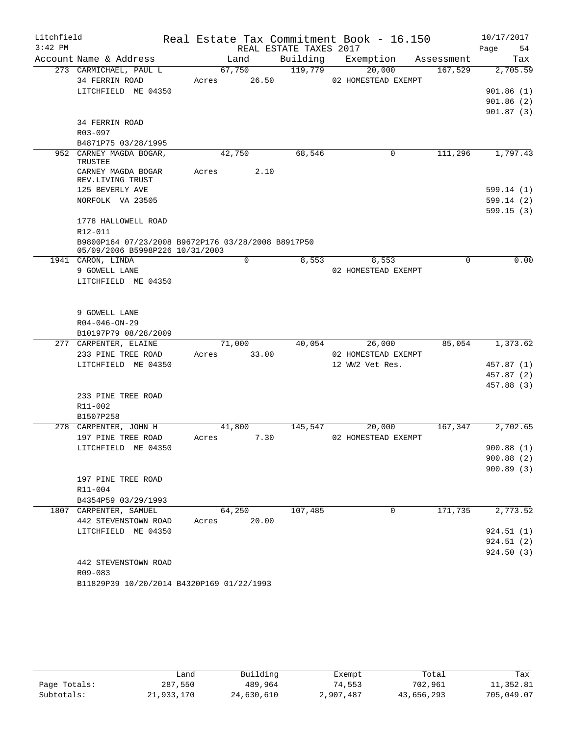| Litchfield |                                                                                       |       |             | Real Estate Tax Commitment Book - 16.150 |                 |                     |                      | 10/17/2017 |            |
|------------|---------------------------------------------------------------------------------------|-------|-------------|------------------------------------------|-----------------|---------------------|----------------------|------------|------------|
| $3:42$ PM  |                                                                                       |       |             | REAL ESTATE TAXES 2017                   |                 |                     |                      | Page       | 54         |
|            | Account Name & Address                                                                |       | Land        | Building                                 |                 |                     | Exemption Assessment |            | Tax        |
|            | 273 CARMICHAEL, PAUL L                                                                |       | 67,750      | 119,779                                  |                 | 20,000              | 167,529              |            | 2,705.59   |
|            | 34 FERRIN ROAD                                                                        |       | Acres 26.50 |                                          |                 | 02 HOMESTEAD EXEMPT |                      |            |            |
|            | LITCHFIELD ME 04350                                                                   |       |             |                                          |                 |                     |                      |            | 901.86(1)  |
|            |                                                                                       |       |             |                                          |                 |                     |                      |            | 901.86(2)  |
|            |                                                                                       |       |             |                                          |                 |                     |                      |            | 901.87(3)  |
|            | <b>34 FERRIN ROAD</b>                                                                 |       |             |                                          |                 |                     |                      |            |            |
|            | R03-097                                                                               |       |             |                                          |                 |                     |                      |            |            |
|            | B4871P75 03/28/1995                                                                   |       |             |                                          |                 |                     |                      |            |            |
|            | 952 CARNEY MAGDA BOGAR,<br>TRUSTEE                                                    |       | 42,750      | 68,546                                   |                 | $\mathbf 0$         | 111,296              |            | 1,797.43   |
|            | CARNEY MAGDA BOGAR                                                                    | Acres | 2.10        |                                          |                 |                     |                      |            |            |
|            | REV.LIVING TRUST                                                                      |       |             |                                          |                 |                     |                      |            |            |
|            | 125 BEVERLY AVE                                                                       |       |             |                                          |                 |                     |                      |            | 599.14 (1) |
|            | NORFOLK VA 23505                                                                      |       |             |                                          |                 |                     |                      |            | 599.14(2)  |
|            |                                                                                       |       |             |                                          |                 |                     |                      |            | 599.15(3)  |
|            | 1778 HALLOWELL ROAD                                                                   |       |             |                                          |                 |                     |                      |            |            |
|            | R12-011                                                                               |       |             |                                          |                 |                     |                      |            |            |
|            | B9800P164 07/23/2008 B9672P176 03/28/2008 B8917P50<br>05/09/2006 B5998P226 10/31/2003 |       |             |                                          |                 |                     |                      |            |            |
|            | 1941 CARON, LINDA                                                                     |       | 0           | 8,553                                    |                 | 8,553               | $\Omega$             |            | 0.00       |
|            | 9 GOWELL LANE                                                                         |       |             |                                          |                 | 02 HOMESTEAD EXEMPT |                      |            |            |
|            | LITCHFIELD ME 04350                                                                   |       |             |                                          |                 |                     |                      |            |            |
|            |                                                                                       |       |             |                                          |                 |                     |                      |            |            |
|            |                                                                                       |       |             |                                          |                 |                     |                      |            |            |
|            | 9 GOWELL LANE                                                                         |       |             |                                          |                 |                     |                      |            |            |
|            | $R04 - 046 - ON - 29$                                                                 |       |             |                                          |                 |                     |                      |            |            |
|            | B10197P79 08/28/2009                                                                  |       |             |                                          |                 |                     |                      |            |            |
|            | 277 CARPENTER, ELAINE                                                                 |       | 71,000      |                                          | 40,054          | 26,000              | 85,054               |            | 1,373.62   |
|            | 233 PINE TREE ROAD                                                                    | Acres | 33.00       |                                          |                 | 02 HOMESTEAD EXEMPT |                      |            |            |
|            | LITCHFIELD ME 04350                                                                   |       |             |                                          | 12 WW2 Vet Res. |                     |                      |            | 457.87 (1) |
|            |                                                                                       |       |             |                                          |                 |                     |                      |            | 457.87 (2) |
|            |                                                                                       |       |             |                                          |                 |                     |                      |            | 457.88 (3) |
|            | 233 PINE TREE ROAD                                                                    |       |             |                                          |                 |                     |                      |            |            |
|            | R11-002<br>B1507P258                                                                  |       |             |                                          |                 |                     |                      |            |            |
|            | 278 CARPENTER, JOHN H                                                                 |       | 41,800      | 145,547                                  |                 | 20,000              | 167, 347             |            | 2,702.65   |
|            | 197 PINE TREE ROAD                                                                    | Acres |             | 7.30                                     |                 | 02 HOMESTEAD EXEMPT |                      |            |            |
|            | LITCHFIELD ME 04350                                                                   |       |             |                                          |                 |                     |                      |            | 900.88 (1) |
|            |                                                                                       |       |             |                                          |                 |                     |                      |            | 900.88(2)  |
|            |                                                                                       |       |             |                                          |                 |                     |                      |            | 900.89(3)  |
|            | 197 PINE TREE ROAD                                                                    |       |             |                                          |                 |                     |                      |            |            |
|            | $R11 - 004$                                                                           |       |             |                                          |                 |                     |                      |            |            |
|            | B4354P59 03/29/1993                                                                   |       |             |                                          |                 |                     |                      |            |            |
|            | 1807 CARPENTER, SAMUEL                                                                |       | 64,250      | 107,485                                  |                 | $\mathbf 0$         | 171,735              |            | 2,773.52   |
|            | 442 STEVENSTOWN ROAD                                                                  | Acres | 20.00       |                                          |                 |                     |                      |            |            |
|            | LITCHFIELD ME 04350                                                                   |       |             |                                          |                 |                     |                      |            | 924.51(1)  |
|            |                                                                                       |       |             |                                          |                 |                     |                      |            | 924.51(2)  |
|            |                                                                                       |       |             |                                          |                 |                     |                      |            | 924.50(3)  |
|            | 442 STEVENSTOWN ROAD                                                                  |       |             |                                          |                 |                     |                      |            |            |
|            | R09-083                                                                               |       |             |                                          |                 |                     |                      |            |            |
|            | B11829P39 10/20/2014 B4320P169 01/22/1993                                             |       |             |                                          |                 |                     |                      |            |            |

|              | Land       | Building   | Exempt    | Total      | Tax        |
|--------------|------------|------------|-----------|------------|------------|
| Page Totals: | 287,550    | 489,964    | 74,553    | 702,961    | 11,352.81  |
| Subtotals:   | 21,933,170 | 24,630,610 | 2,907,487 | 43,656,293 | 705,049.07 |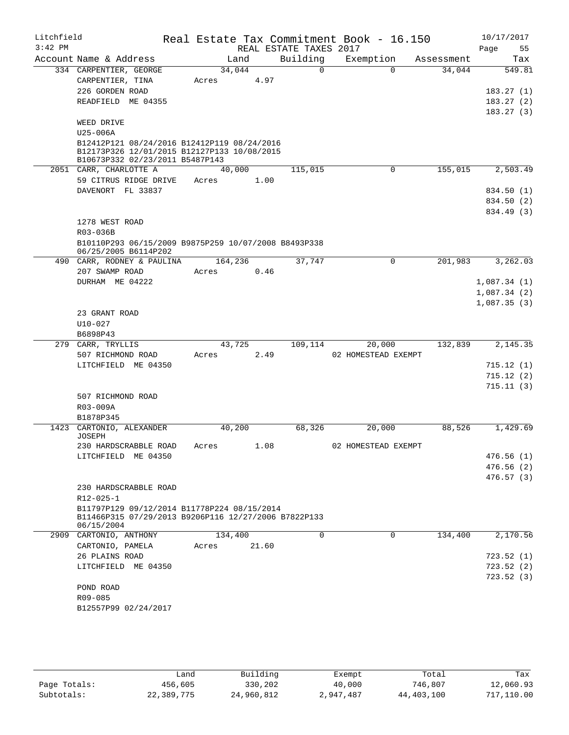| Litchfield<br>$3:42$ PM |                                                                    |         |       | REAL ESTATE TAXES 2017 | Real Estate Tax Commitment Book - 16.150 |                      | 10/17/2017        |
|-------------------------|--------------------------------------------------------------------|---------|-------|------------------------|------------------------------------------|----------------------|-------------------|
|                         | Account Name & Address                                             | Land    |       | Building               | Exemption                                |                      | Page<br>55<br>Tax |
|                         | 334 CARPENTIER, GEORGE                                             | 34,044  |       | $\overline{0}$         | $\Omega$                                 | Assessment<br>34,044 | 549.81            |
|                         | CARPENTIER, TINA                                                   | Acres   | 4.97  |                        |                                          |                      |                   |
|                         | 226 GORDEN ROAD                                                    |         |       |                        |                                          |                      | 183.27(1)         |
|                         | READFIELD ME 04355                                                 |         |       |                        |                                          |                      | 183.27(2)         |
|                         |                                                                    |         |       |                        |                                          |                      | 183.27(3)         |
|                         | WEED DRIVE                                                         |         |       |                        |                                          |                      |                   |
|                         | U25-006A                                                           |         |       |                        |                                          |                      |                   |
|                         | B12412P121 08/24/2016 B12412P119 08/24/2016                        |         |       |                        |                                          |                      |                   |
|                         | B12173P326 12/01/2015 B12127P133 10/08/2015                        |         |       |                        |                                          |                      |                   |
|                         | B10673P332 02/23/2011 B5487P143<br>2051 CARR, CHARLOTTE A          | 40,000  |       | 115,015                | $\Omega$                                 | 155,015              | 2,503.49          |
|                         | 59 CITRUS RIDGE DRIVE                                              | Acres   | 1.00  |                        |                                          |                      |                   |
|                         | DAVENORT FL 33837                                                  |         |       |                        |                                          |                      | 834.50 (1)        |
|                         |                                                                    |         |       |                        |                                          |                      | 834.50 (2)        |
|                         |                                                                    |         |       |                        |                                          |                      | 834.49 (3)        |
|                         | 1278 WEST ROAD                                                     |         |       |                        |                                          |                      |                   |
|                         | R03-036B                                                           |         |       |                        |                                          |                      |                   |
|                         | B10110P293 06/15/2009 B9875P259 10/07/2008 B8493P338               |         |       |                        |                                          |                      |                   |
|                         | 06/25/2005 B6114P202                                               |         |       |                        |                                          |                      |                   |
|                         | 490 CARR, RODNEY & PAULINA                                         | 164,236 |       | 37,747                 | 0                                        | 201,983              | 3,262.03          |
|                         | 207 SWAMP ROAD                                                     | Acres   | 0.46  |                        |                                          |                      |                   |
|                         | DURHAM ME 04222                                                    |         |       |                        |                                          |                      | 1,087.34(1)       |
|                         |                                                                    |         |       |                        |                                          |                      | 1,087.34(2)       |
|                         |                                                                    |         |       |                        |                                          |                      | 1,087.35(3)       |
|                         | 23 GRANT ROAD<br>$U10 - 027$                                       |         |       |                        |                                          |                      |                   |
|                         | B6898P43                                                           |         |       |                        |                                          |                      |                   |
|                         | 279 CARR, TRYLLIS                                                  | 43,725  |       | 109,114                | 20,000                                   | 132,839              | 2,145.35          |
|                         | 507 RICHMOND ROAD                                                  | Acres   | 2.49  |                        | 02 HOMESTEAD EXEMPT                      |                      |                   |
|                         | LITCHFIELD ME 04350                                                |         |       |                        |                                          |                      | 715.12(1)         |
|                         |                                                                    |         |       |                        |                                          |                      | 715.12(2)         |
|                         |                                                                    |         |       |                        |                                          |                      | 715.11(3)         |
|                         | 507 RICHMOND ROAD                                                  |         |       |                        |                                          |                      |                   |
|                         | R03-009A                                                           |         |       |                        |                                          |                      |                   |
|                         | B1878P345                                                          |         |       |                        |                                          |                      |                   |
|                         | 1423 CARTONIO, ALEXANDER<br><b>JOSEPH</b>                          | 40,200  |       | 68,326                 | 20,000                                   | 88,526               | 1,429.69          |
|                         | 230 HARDSCRABBLE ROAD                                              | Acres   | 1.08  |                        | 02 HOMESTEAD EXEMPT                      |                      |                   |
|                         | LITCHFIELD ME 04350                                                |         |       |                        |                                          |                      | 476.56(1)         |
|                         |                                                                    |         |       |                        |                                          |                      | 476.56(2)         |
|                         |                                                                    |         |       |                        |                                          |                      | 476.57(3)         |
|                         | 230 HARDSCRABBLE ROAD                                              |         |       |                        |                                          |                      |                   |
|                         | $R12 - 025 - 1$                                                    |         |       |                        |                                          |                      |                   |
|                         | B11797P129 09/12/2014 B11778P224 08/15/2014                        |         |       |                        |                                          |                      |                   |
|                         | B11466P315 07/29/2013 B9206P116 12/27/2006 B7822P133<br>06/15/2004 |         |       |                        |                                          |                      |                   |
| 2909                    | CARTONIO, ANTHONY                                                  | 134,400 |       | 0                      | 0                                        | 134,400              | 2,170.56          |
|                         | CARTONIO, PAMELA                                                   | Acres   | 21.60 |                        |                                          |                      |                   |
|                         | 26 PLAINS ROAD                                                     |         |       |                        |                                          |                      | 723.52(1)         |
|                         | LITCHFIELD ME 04350                                                |         |       |                        |                                          |                      | 723.52(2)         |
|                         |                                                                    |         |       |                        |                                          |                      | 723.52(3)         |
|                         | POND ROAD<br>R09-085                                               |         |       |                        |                                          |                      |                   |
|                         | B12557P99 02/24/2017                                               |         |       |                        |                                          |                      |                   |
|                         |                                                                    |         |       |                        |                                          |                      |                   |
|                         |                                                                    |         |       |                        |                                          |                      |                   |

|              | andد       | Building   | Exempt    | Total      | Tax        |
|--------------|------------|------------|-----------|------------|------------|
| Page Totals: | 456,605    | 330,202    | 40,000    | 746,807    | 12,060.93  |
| Subtotals:   | 22,389,775 | 24,960,812 | 2,947,487 | 44,403,100 | 717,110.00 |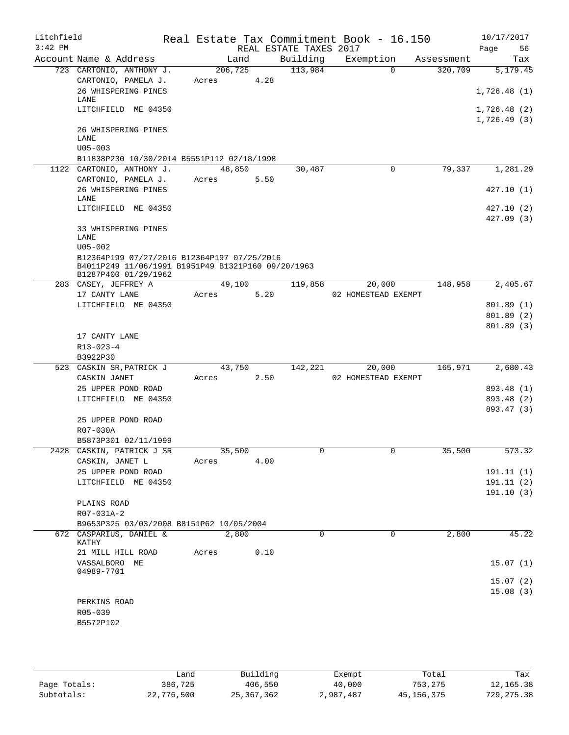| Litchfield<br>$3:42$ PM |                                                    |                 |      | REAL ESTATE TAXES 2017 | Real Estate Tax Commitment Book - 16.150 |            | Page | 10/17/2017<br>56 |
|-------------------------|----------------------------------------------------|-----------------|------|------------------------|------------------------------------------|------------|------|------------------|
|                         | Account Name & Address                             | Land            |      | Building               | Exemption                                | Assessment |      | Tax              |
|                         | 723 CARTONIO, ANTHONY J.                           | 206,725         |      | 113,984                | $\Omega$                                 | 320,709    |      | 5,179.45         |
|                         | CARTONIO, PAMELA J.                                | Acres           | 4.28 |                        |                                          |            |      |                  |
|                         | 26 WHISPERING PINES                                |                 |      |                        |                                          |            |      | 1,726.48(1)      |
|                         | LANE<br>LITCHFIELD ME 04350                        |                 |      |                        |                                          |            |      | 1,726.48(2)      |
|                         |                                                    |                 |      |                        |                                          |            |      | 1,726.49(3)      |
|                         | 26 WHISPERING PINES                                |                 |      |                        |                                          |            |      |                  |
|                         | LANE                                               |                 |      |                        |                                          |            |      |                  |
|                         | $U05 - 003$                                        |                 |      |                        |                                          |            |      |                  |
|                         | B11838P230 10/30/2014 B5551P112 02/18/1998         |                 |      |                        | $\mathbf 0$                              | 79,337     |      | 1,281.29         |
|                         | 1122 CARTONIO, ANTHONY J.<br>CARTONIO, PAMELA J.   | 48,850<br>Acres | 5.50 | 30,487                 |                                          |            |      |                  |
|                         | 26 WHISPERING PINES                                |                 |      |                        |                                          |            |      | 427.10(1)        |
|                         | LANE                                               |                 |      |                        |                                          |            |      |                  |
|                         | LITCHFIELD ME 04350                                |                 |      |                        |                                          |            |      | 427.10 (2)       |
|                         |                                                    |                 |      |                        |                                          |            |      | 427.09(3)        |
|                         | 33 WHISPERING PINES<br>LANE                        |                 |      |                        |                                          |            |      |                  |
|                         | $U05 - 002$                                        |                 |      |                        |                                          |            |      |                  |
|                         | B12364P199 07/27/2016 B12364P197 07/25/2016        |                 |      |                        |                                          |            |      |                  |
|                         | B4011P249 11/06/1991 B1951P49 B1321P160 09/20/1963 |                 |      |                        |                                          |            |      |                  |
|                         | B1287P400 01/29/1962<br>283 CASEY, JEFFREY A       | 49,100          |      | 119,858                | 20,000                                   | 148,958    |      | 2,405.67         |
|                         | 17 CANTY LANE                                      | Acres           | 5.20 |                        | 02 HOMESTEAD EXEMPT                      |            |      |                  |
|                         | LITCHFIELD ME 04350                                |                 |      |                        |                                          |            |      | 801.89 (1)       |
|                         |                                                    |                 |      |                        |                                          |            |      | 801.89 (2)       |
|                         |                                                    |                 |      |                        |                                          |            |      | 801.89(3)        |
|                         | 17 CANTY LANE                                      |                 |      |                        |                                          |            |      |                  |
|                         | $R13 - 023 - 4$                                    |                 |      |                        |                                          |            |      |                  |
|                         | B3922P30<br>523 CASKIN SR, PATRICK J               | 43,750          |      | 142,221                | 20,000                                   | 165,971    |      | 2,680.43         |
|                         | CASKIN JANET                                       | Acres           | 2.50 |                        | 02 HOMESTEAD EXEMPT                      |            |      |                  |
|                         | 25 UPPER POND ROAD                                 |                 |      |                        |                                          |            |      | 893.48 (1)       |
|                         | LITCHFIELD ME 04350                                |                 |      |                        |                                          |            |      | 893.48 (2)       |
|                         |                                                    |                 |      |                        |                                          |            |      | 893.47 (3)       |
|                         | 25 UPPER POND ROAD                                 |                 |      |                        |                                          |            |      |                  |
|                         | R07-030A                                           |                 |      |                        |                                          |            |      |                  |
|                         | B5873P301 02/11/1999                               |                 |      |                        |                                          |            |      |                  |
|                         | 2428 CASKIN, PATRICK J SR<br>CASKIN, JANET L       | 35,500<br>Acres | 4.00 | 0                      | $\mathbf{0}$                             | 35,500     |      | 573.32           |
|                         | 25 UPPER POND ROAD                                 |                 |      |                        |                                          |            |      | 191.11 (1)       |
|                         | LITCHFIELD ME 04350                                |                 |      |                        |                                          |            |      | 191.11(2)        |
|                         |                                                    |                 |      |                        |                                          |            |      | 191.10(3)        |
|                         | PLAINS ROAD                                        |                 |      |                        |                                          |            |      |                  |
|                         | R07-031A-2                                         |                 |      |                        |                                          |            |      |                  |
|                         | B9653P325 03/03/2008 B8151P62 10/05/2004           |                 |      |                        |                                          |            |      |                  |
|                         | 672 CASPARIUS, DANIEL &<br>KATHY                   | 2,800           |      | $\Omega$               | $\Omega$                                 | 2,800      |      | 45.22            |
|                         | 21 MILL HILL ROAD                                  | Acres           | 0.10 |                        |                                          |            |      |                  |
|                         | VASSALBORO ME                                      |                 |      |                        |                                          |            |      | 15.07(1)         |
|                         | 04989-7701                                         |                 |      |                        |                                          |            |      |                  |
|                         |                                                    |                 |      |                        |                                          |            |      | 15.07(2)         |
|                         | PERKINS ROAD                                       |                 |      |                        |                                          |            |      | 15.08(3)         |
|                         | R05-039                                            |                 |      |                        |                                          |            |      |                  |
|                         | B5572P102                                          |                 |      |                        |                                          |            |      |                  |
|                         |                                                    |                 |      |                        |                                          |            |      |                  |
|                         |                                                    |                 |      |                        |                                          |            |      |                  |

|              | and ا      | Building     | Exempt    | Total      | Tax         |
|--------------|------------|--------------|-----------|------------|-------------|
| Page Totals: | 386,725    | 406,550      | 40,000    | 753,275    | 12,165.38   |
| Subtotals:   | 22,776,500 | 25, 367, 362 | 2,987,487 | 45,156,375 | 729, 275.38 |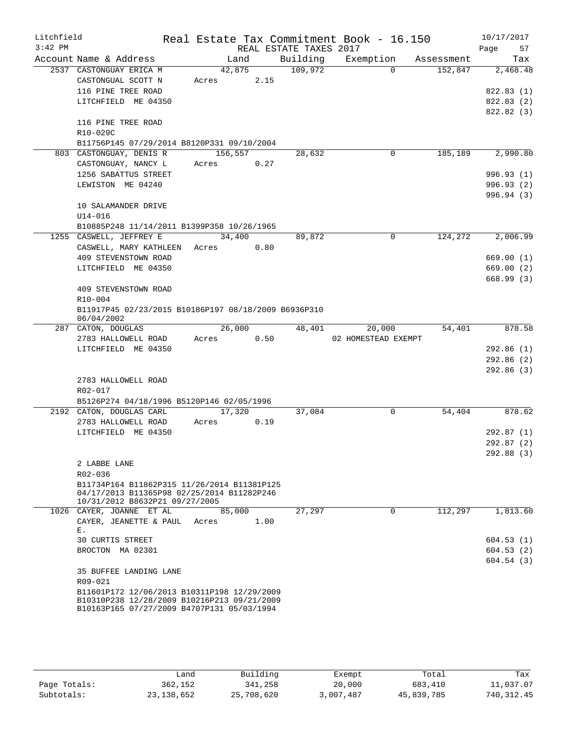| Litchfield |                                                                                            |         |      |                        | Real Estate Tax Commitment Book - 16.150 |            | 10/17/2017 |
|------------|--------------------------------------------------------------------------------------------|---------|------|------------------------|------------------------------------------|------------|------------|
| $3:42$ PM  |                                                                                            |         |      | REAL ESTATE TAXES 2017 |                                          |            | Page<br>57 |
|            | Account Name & Address                                                                     | Land    |      | Building               | Exemption                                | Assessment | Tax        |
|            | 2537 CASTONGUAY ERICA M                                                                    | 42,875  |      | 109,972                | $\Omega$                                 | 152,847    | 2,468.48   |
|            | CASTONGUAL SCOTT N                                                                         | Acres   | 2.15 |                        |                                          |            |            |
|            | 116 PINE TREE ROAD                                                                         |         |      |                        |                                          |            | 822.83 (1) |
|            | LITCHFIELD ME 04350                                                                        |         |      |                        |                                          |            | 822.83 (2) |
|            | 116 PINE TREE ROAD                                                                         |         |      |                        |                                          |            | 822.82 (3) |
|            | R10-029C                                                                                   |         |      |                        |                                          |            |            |
|            | B11756P145 07/29/2014 B8120P331 09/10/2004                                                 |         |      |                        |                                          |            |            |
|            | 803 CASTONGUAY, DENIS R                                                                    | 156,557 |      | 28,632                 | 0                                        | 185,189    | 2,990.80   |
|            | CASTONGUAY, NANCY L                                                                        | Acres   | 0.27 |                        |                                          |            |            |
|            | 1256 SABATTUS STREET                                                                       |         |      |                        |                                          |            | 996.93(1)  |
|            | LEWISTON ME 04240                                                                          |         |      |                        |                                          |            | 996.93(2)  |
|            |                                                                                            |         |      |                        |                                          |            | 996.94(3)  |
|            | 10 SALAMANDER DRIVE                                                                        |         |      |                        |                                          |            |            |
|            | $U14 - 016$                                                                                |         |      |                        |                                          |            |            |
|            | B10885P248 11/14/2011 B1399P358 10/26/1965                                                 |         |      |                        |                                          |            |            |
|            | 1255 CASWELL, JEFFREY E                                                                    | 34,400  |      | 89,872                 | 0                                        | 124,272    | 2,006.99   |
|            | CASWELL, MARY KATHLEEN                                                                     | Acres   | 0.80 |                        |                                          |            |            |
|            | 409 STEVENSTOWN ROAD                                                                       |         |      |                        |                                          |            | 669.00(1)  |
|            | LITCHFIELD ME 04350                                                                        |         |      |                        |                                          |            | 669.00(2)  |
|            | 409 STEVENSTOWN ROAD                                                                       |         |      |                        |                                          |            | 668.99(3)  |
|            | $R10 - 004$                                                                                |         |      |                        |                                          |            |            |
|            | B11917P45 02/23/2015 B10186P197 08/18/2009 B6936P310                                       |         |      |                        |                                          |            |            |
|            | 06/04/2002                                                                                 |         |      |                        |                                          |            |            |
|            | 287 CATON, DOUGLAS                                                                         | 26,000  |      | 48,401                 | 20,000                                   | 54,401     | 878.58     |
|            | 2783 HALLOWELL ROAD                                                                        | Acres   | 0.50 |                        | 02 HOMESTEAD EXEMPT                      |            |            |
|            | LITCHFIELD ME 04350                                                                        |         |      |                        |                                          |            | 292.86(1)  |
|            |                                                                                            |         |      |                        |                                          |            | 292.86 (2) |
|            |                                                                                            |         |      |                        |                                          |            | 292.86(3)  |
|            | 2783 HALLOWELL ROAD<br>R02-017                                                             |         |      |                        |                                          |            |            |
|            | B5126P274 04/18/1996 B5120P146 02/05/1996                                                  |         |      |                        |                                          |            |            |
|            | 2192 CATON, DOUGLAS CARL                                                                   | 17,320  |      | 37,084                 | 0                                        | 54,404     | 878.62     |
|            | 2783 HALLOWELL ROAD                                                                        | Acres   | 0.19 |                        |                                          |            |            |
|            | LITCHFIELD ME 04350                                                                        |         |      |                        |                                          |            | 292.87(1)  |
|            |                                                                                            |         |      |                        |                                          |            | 292.87(2)  |
|            |                                                                                            |         |      |                        |                                          |            | 292.88 (3) |
|            | 2 LABBE LANE                                                                               |         |      |                        |                                          |            |            |
|            | R02-036                                                                                    |         |      |                        |                                          |            |            |
|            | B11734P164 B11862P315 11/26/2014 B11381P125                                                |         |      |                        |                                          |            |            |
|            | 04/17/2013 B11365P98 02/25/2014 B11282P246<br>10/31/2012 B8632P21 09/27/2005               |         |      |                        |                                          |            |            |
|            | 1026 CAYER, JOANNE ET AL                                                                   | 85,000  |      | 27,297                 | 0                                        | 112,297    | 1,813.60   |
|            | CAYER, JEANETTE & PAUL Acres                                                               |         | 1.00 |                        |                                          |            |            |
|            | Ε.                                                                                         |         |      |                        |                                          |            |            |
|            | 30 CURTIS STREET                                                                           |         |      |                        |                                          |            | 604.53(1)  |
|            | BROCTON MA 02301                                                                           |         |      |                        |                                          |            | 604.53(2)  |
|            |                                                                                            |         |      |                        |                                          |            | 604.54(3)  |
|            | 35 BUFFEE LANDING LANE                                                                     |         |      |                        |                                          |            |            |
|            | R09-021                                                                                    |         |      |                        |                                          |            |            |
|            | B11601P172 12/06/2013 B10311P198 12/29/2009<br>B10310P238 12/28/2009 B10216P213 09/21/2009 |         |      |                        |                                          |            |            |
|            | B10163P165 07/27/2009 B4707P131 05/03/1994                                                 |         |      |                        |                                          |            |            |
|            |                                                                                            |         |      |                        |                                          |            |            |

|              | Land         | Building   | Exempt    | Total      | Tax         |
|--------------|--------------|------------|-----------|------------|-------------|
| Page Totals: | 362,152      | 341,258    | 20,000    | 683,410    | 11,037.07   |
| Subtotals:   | 23, 138, 652 | 25,708,620 | 3,007,487 | 45,839,785 | 740, 312.45 |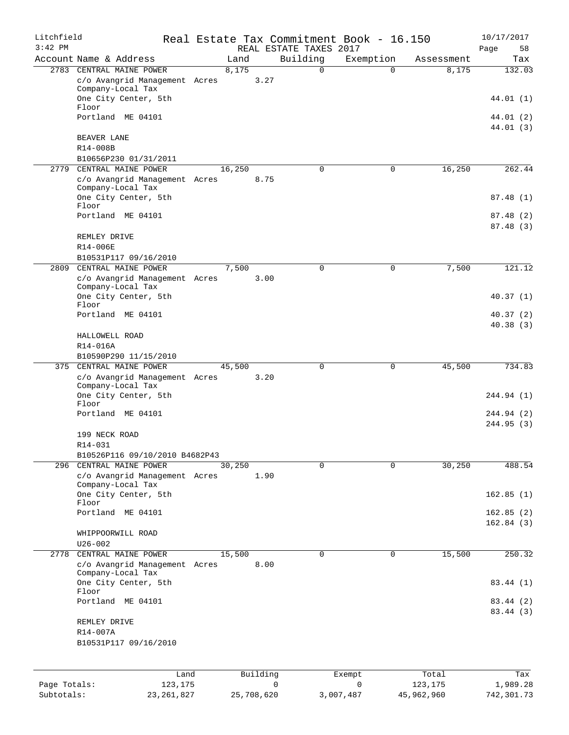| Litchfield   |                                                                                |                |                         | Real Estate Tax Commitment Book - 16.150 |                     | 10/17/2017              |
|--------------|--------------------------------------------------------------------------------|----------------|-------------------------|------------------------------------------|---------------------|-------------------------|
| $3:42$ PM    | Account Name & Address                                                         | Land           | REAL ESTATE TAXES 2017  |                                          |                     | Page<br>58              |
|              |                                                                                |                | Building<br>$\mathbf 0$ | Exemption<br>$\Omega$                    | Assessment<br>8,175 | Tax                     |
|              | 2783 CENTRAL MAINE POWER<br>c/o Avangrid Management Acres<br>Company-Local Tax | 8,175<br>3.27  |                         |                                          |                     | 132.03                  |
|              | One City Center, 5th<br>Floor                                                  |                |                         |                                          |                     | 44.01 (1)               |
|              | Portland ME 04101                                                              |                |                         |                                          |                     | 44.01 (2)<br>44.01 (3)  |
|              | BEAVER LANE<br>R14-008B                                                        |                |                         |                                          |                     |                         |
|              | B10656P230 01/31/2011                                                          |                |                         |                                          |                     |                         |
| 2779         | CENTRAL MAINE POWER                                                            | 16,250         | $\mathbf 0$             | 0                                        | 16,250              | 262.44                  |
|              | c/o Avangrid Management Acres<br>Company-Local Tax                             | 8.75           |                         |                                          |                     |                         |
|              | One City Center, 5th<br>Floor                                                  |                |                         |                                          |                     | 87.48(1)                |
|              | Portland ME 04101                                                              |                |                         |                                          |                     | 87.48 (2)<br>87.48(3)   |
|              | REMLEY DRIVE<br>R14-006E                                                       |                |                         |                                          |                     |                         |
|              | B10531P117 09/16/2010                                                          |                |                         |                                          |                     |                         |
| 2809         | CENTRAL MAINE POWER                                                            | 7,500          | $\mathbf 0$             | $\mathbf 0$                              | 7,500               | 121.12                  |
|              | c/o Avangrid Management Acres                                                  | 3.00           |                         |                                          |                     |                         |
|              | Company-Local Tax<br>One City Center, 5th                                      |                |                         |                                          |                     | 40.37 (1)               |
|              | Floor                                                                          |                |                         |                                          |                     |                         |
|              | Portland ME 04101                                                              |                |                         |                                          |                     | 40.37(2)<br>40.38(3)    |
|              | HALLOWELL ROAD                                                                 |                |                         |                                          |                     |                         |
|              | R14-016A                                                                       |                |                         |                                          |                     |                         |
|              | B10590P290 11/15/2010                                                          |                |                         |                                          |                     |                         |
|              | 375 CENTRAL MAINE POWER                                                        | 45,500         | 0                       | $\mathbf 0$                              | 45,500              | 734.83                  |
|              | c/o Avangrid Management Acres<br>Company-Local Tax                             | 3.20           |                         |                                          |                     |                         |
|              | One City Center, 5th<br>Floor                                                  |                |                         |                                          |                     | 244.94 (1)              |
|              | Portland ME 04101                                                              |                |                         |                                          |                     | 244.94 (2)<br>244.95(3) |
|              | 199 NECK ROAD<br>$R14 - 031$                                                   |                |                         |                                          |                     |                         |
|              | B10526P116 09/10/2010 B4682P43                                                 |                |                         |                                          |                     |                         |
| 296          | CENTRAL MAINE POWER                                                            | 30,250         | $\mathbf 0$             | $\Omega$                                 | 30,250              | 488.54                  |
|              | c/o Avangrid Management Acres<br>Company-Local Tax                             | 1.90           |                         |                                          |                     |                         |
|              | One City Center, 5th<br>Floor                                                  |                |                         |                                          |                     | 162.85(1)               |
|              | Portland ME 04101                                                              |                |                         |                                          |                     | 162.85(2)<br>162.84(3)  |
|              | WHIPPOORWILL ROAD                                                              |                |                         |                                          |                     |                         |
|              | $U26 - 002$                                                                    |                |                         |                                          |                     |                         |
| 2778         | CENTRAL MAINE POWER<br>c/o Avangrid Management Acres                           | 15,500<br>8.00 | $\mathbf 0$             | $\mathbf 0$                              | 15,500              | 250.32                  |
|              | Company-Local Tax<br>One City Center, 5th                                      |                |                         |                                          |                     | 83.44 (1)               |
|              | Floor<br>Portland ME 04101                                                     |                |                         |                                          |                     | 83.44 (2)               |
|              | REMLEY DRIVE                                                                   |                |                         |                                          |                     | 83.44 (3)               |
|              | R14-007A                                                                       |                |                         |                                          |                     |                         |
|              | B10531P117 09/16/2010                                                          |                |                         |                                          |                     |                         |
|              | Land                                                                           | Building       |                         | Exempt                                   | Total               | Tax                     |
| Page Totals: | 123,175                                                                        |                | $\mathbf 0$             | $\mathbf 0$                              | 123,175             | 1,989.28                |
| Subtotals:   | 23, 261, 827                                                                   | 25,708,620     |                         | 3,007,487                                | 45,962,960          | 742,301.73              |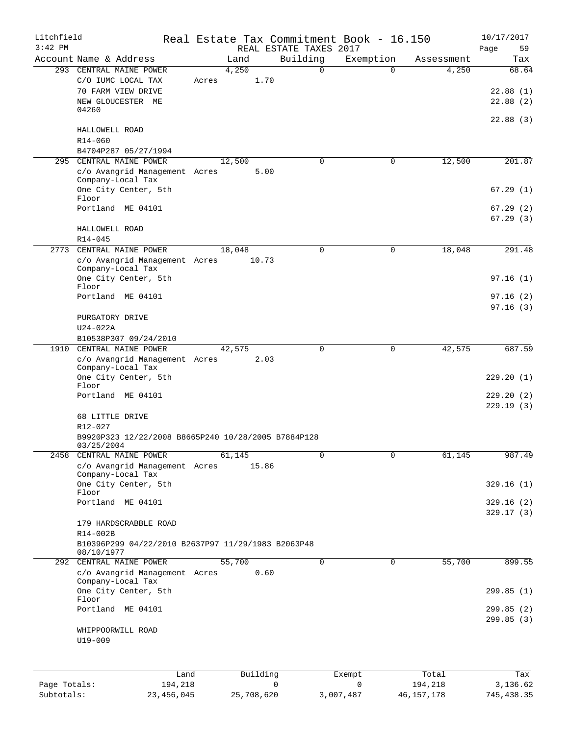| Litchfield<br>$3:42$ PM |                                                                  |       |        |            | REAL ESTATE TAXES 2017 |                | Real Estate Tax Commitment Book - 16.150 |              | 10/17/2017<br>Page<br>59 |
|-------------------------|------------------------------------------------------------------|-------|--------|------------|------------------------|----------------|------------------------------------------|--------------|--------------------------|
|                         | Account Name & Address                                           |       | Land   |            | Building               |                | Exemption                                | Assessment   | Tax                      |
|                         | 293 CENTRAL MAINE POWER                                          |       | 4,250  |            |                        | $\Omega$       | $\Omega$                                 | 4,250        | 68.64                    |
|                         | C/O IUMC LOCAL TAX                                               | Acres |        | 1.70       |                        |                |                                          |              |                          |
|                         | 70 FARM VIEW DRIVE                                               |       |        |            |                        |                |                                          |              | 22.88(1)                 |
|                         | NEW GLOUCESTER ME                                                |       |        |            |                        |                |                                          |              | 22.88(2)                 |
|                         | 04260                                                            |       |        |            |                        |                |                                          |              |                          |
|                         |                                                                  |       |        |            |                        |                |                                          |              | 22.88(3)                 |
|                         | HALLOWELL ROAD                                                   |       |        |            |                        |                |                                          |              |                          |
|                         | $R14 - 060$                                                      |       |        |            |                        |                |                                          |              |                          |
|                         | B4704P287 05/27/1994                                             |       |        |            |                        |                |                                          |              |                          |
| 295                     | CENTRAL MAINE POWER                                              |       | 12,500 |            |                        | $\mathbf 0$    | $\mathbf 0$                              | 12,500       | 201.87                   |
|                         | c/o Avangrid Management Acres                                    |       |        | 5.00       |                        |                |                                          |              |                          |
|                         | Company-Local Tax                                                |       |        |            |                        |                |                                          |              |                          |
|                         | One City Center, 5th                                             |       |        |            |                        |                |                                          |              | 67.29(1)                 |
|                         | Floor                                                            |       |        |            |                        |                |                                          |              |                          |
|                         | Portland ME 04101                                                |       |        |            |                        |                |                                          |              | 67.29(2)                 |
|                         |                                                                  |       |        |            |                        |                |                                          |              | 67.29(3)                 |
|                         | HALLOWELL ROAD                                                   |       |        |            |                        |                |                                          |              |                          |
|                         | $R14 - 045$                                                      |       |        |            |                        |                |                                          |              |                          |
|                         | 2773 CENTRAL MAINE POWER                                         |       | 18,048 |            |                        | $\mathbf 0$    | $\mathbf 0$                              | 18,048       | 291.48                   |
|                         | c/o Avangrid Management Acres                                    |       |        | 10.73      |                        |                |                                          |              |                          |
|                         | Company-Local Tax                                                |       |        |            |                        |                |                                          |              |                          |
|                         | One City Center, 5th                                             |       |        |            |                        |                |                                          |              | 97.16(1)                 |
|                         | Floor<br>Portland ME 04101                                       |       |        |            |                        |                |                                          |              |                          |
|                         |                                                                  |       |        |            |                        |                |                                          |              | 97.16(2)                 |
|                         |                                                                  |       |        |            |                        |                |                                          |              | 97.16(3)                 |
|                         | PURGATORY DRIVE                                                  |       |        |            |                        |                |                                          |              |                          |
|                         | $U24-022A$                                                       |       |        |            |                        |                |                                          |              |                          |
|                         | B10538P307 09/24/2010                                            |       |        |            |                        |                |                                          |              |                          |
|                         | 1910 CENTRAL MAINE POWER                                         |       | 42,575 |            |                        | $\Omega$       | $\mathbf 0$                              | 42,575       | 687.59                   |
|                         | c/o Avangrid Management Acres<br>Company-Local Tax               |       |        | 2.03       |                        |                |                                          |              |                          |
|                         | One City Center, 5th                                             |       |        |            |                        |                |                                          |              | 229.20(1)                |
|                         | Floor                                                            |       |        |            |                        |                |                                          |              |                          |
|                         | Portland ME 04101                                                |       |        |            |                        |                |                                          |              | 229.20(2)                |
|                         |                                                                  |       |        |            |                        |                |                                          |              | 229.19(3)                |
|                         | 68 LITTLE DRIVE                                                  |       |        |            |                        |                |                                          |              |                          |
|                         | R12-027                                                          |       |        |            |                        |                |                                          |              |                          |
|                         | B9920P323 12/22/2008 B8665P240 10/28/2005 B7884P128              |       |        |            |                        |                |                                          |              |                          |
|                         | 03/25/2004                                                       |       |        |            |                        |                |                                          |              |                          |
|                         | 2458 CENTRAL MAINE POWER                                         |       | 61,145 |            |                        | $\overline{0}$ | $\overline{0}$                           | 61,145       | 987.49                   |
|                         | c/o Avangrid Management Acres                                    |       |        | 15.86      |                        |                |                                          |              |                          |
|                         | Company-Local Tax                                                |       |        |            |                        |                |                                          |              |                          |
|                         | One City Center, 5th                                             |       |        |            |                        |                |                                          |              | 329.16(1)                |
|                         | Floor<br>Portland ME 04101                                       |       |        |            |                        |                |                                          |              |                          |
|                         |                                                                  |       |        |            |                        |                |                                          |              | 329.16(2)                |
|                         |                                                                  |       |        |            |                        |                |                                          |              | 329.17(3)                |
|                         | 179 HARDSCRABBLE ROAD                                            |       |        |            |                        |                |                                          |              |                          |
|                         | R14-002B                                                         |       |        |            |                        |                |                                          |              |                          |
|                         | B10396P299 04/22/2010 B2637P97 11/29/1983 B2063P48<br>08/10/1977 |       |        |            |                        |                |                                          |              |                          |
| 292                     | CENTRAL MAINE POWER                                              |       | 55,700 |            |                        | 0              | $\mathsf{O}$                             | 55,700       | 899.55                   |
|                         | c/o Avangrid Management Acres                                    |       |        | 0.60       |                        |                |                                          |              |                          |
|                         | Company-Local Tax                                                |       |        |            |                        |                |                                          |              |                          |
|                         | One City Center, 5th                                             |       |        |            |                        |                |                                          |              | 299.85(1)                |
|                         | Floor                                                            |       |        |            |                        |                |                                          |              |                          |
|                         | Portland ME 04101                                                |       |        |            |                        |                |                                          |              | 299.85(2)                |
|                         |                                                                  |       |        |            |                        |                |                                          |              | 299.85 (3)               |
|                         | WHIPPOORWILL ROAD                                                |       |        |            |                        |                |                                          |              |                          |
|                         | U19-009                                                          |       |        |            |                        |                |                                          |              |                          |
|                         |                                                                  |       |        |            |                        |                |                                          |              |                          |
|                         |                                                                  |       |        |            |                        |                |                                          |              |                          |
|                         | Land                                                             |       |        | Building   |                        |                | Exempt                                   | Total        | Tax                      |
| Page Totals:            | 194,218                                                          |       |        |            | 0                      |                | 0                                        | 194,218      | 3,136.62                 |
| Subtotals:              | 23, 456, 045                                                     |       |        | 25,708,620 |                        | 3,007,487      |                                          | 46, 157, 178 | 745, 438.35              |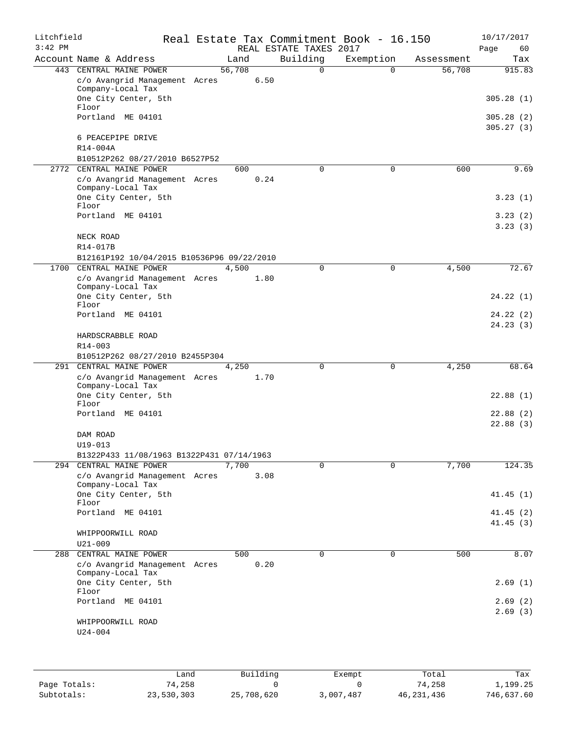| Litchfield |                                                            |        |      |                        | Real Estate Tax Commitment Book - 16.150 |            | 10/17/2017           |
|------------|------------------------------------------------------------|--------|------|------------------------|------------------------------------------|------------|----------------------|
| $3:42$ PM  |                                                            |        |      | REAL ESTATE TAXES 2017 |                                          |            | Page<br>60           |
|            | Account Name & Address                                     | Land   |      | Building               | Exemption                                | Assessment | Tax                  |
| 443        | CENTRAL MAINE POWER                                        | 56,708 |      | $\Omega$               | $\Omega$                                 | 56,708     | 915.83               |
|            | c/o Avangrid Management Acres<br>Company-Local Tax         |        | 6.50 |                        |                                          |            |                      |
|            | One City Center, 5th                                       |        |      |                        |                                          |            | 305.28(1)            |
|            | Floor<br>Portland ME 04101                                 |        |      |                        |                                          |            | 305.28(2)            |
|            |                                                            |        |      |                        |                                          |            | 305.27(3)            |
|            | 6 PEACEPIPE DRIVE                                          |        |      |                        |                                          |            |                      |
|            | R14-004A                                                   |        |      |                        |                                          |            |                      |
|            | B10512P262 08/27/2010 B6527P52                             |        |      |                        |                                          |            |                      |
| 2772       | CENTRAL MAINE POWER<br>c/o Avangrid Management Acres       | 600    | 0.24 | 0                      | 0                                        | 600        | 9.69                 |
|            | Company-Local Tax                                          |        |      |                        |                                          |            |                      |
|            | One City Center, 5th                                       |        |      |                        |                                          |            | 3.23(1)              |
|            | Floor<br>Portland ME 04101                                 |        |      |                        |                                          |            | 3.23(2)              |
|            |                                                            |        |      |                        |                                          |            | 3.23(3)              |
|            | NECK ROAD                                                  |        |      |                        |                                          |            |                      |
|            | R14-017B                                                   |        |      |                        |                                          |            |                      |
|            | B12161P192 10/04/2015 B10536P96 09/22/2010                 |        |      |                        |                                          |            |                      |
| 1700       | CENTRAL MAINE POWER                                        | 4,500  |      | 0                      | 0                                        | 4,500      | 72.67                |
|            | c/o Avangrid Management Acres                              |        | 1.80 |                        |                                          |            |                      |
|            | Company-Local Tax<br>One City Center, 5th                  |        |      |                        |                                          |            | 24.22(1)             |
|            | Floor                                                      |        |      |                        |                                          |            |                      |
|            | Portland ME 04101                                          |        |      |                        |                                          |            | 24.22 (2)            |
|            |                                                            |        |      |                        |                                          |            | 24.23(3)             |
|            | HARDSCRABBLE ROAD                                          |        |      |                        |                                          |            |                      |
|            | R14-003                                                    |        |      |                        |                                          |            |                      |
|            | B10512P262 08/27/2010 B2455P304<br>291 CENTRAL MAINE POWER | 4,250  |      | 0                      | 0                                        | 4,250      | 68.64                |
|            | c/o Avangrid Management Acres                              |        | 1.70 |                        |                                          |            |                      |
|            | Company-Local Tax                                          |        |      |                        |                                          |            |                      |
|            | One City Center, 5th                                       |        |      |                        |                                          |            | 22.88(1)             |
|            | Floor<br>Portland ME 04101                                 |        |      |                        |                                          |            |                      |
|            |                                                            |        |      |                        |                                          |            | 22.88(2)<br>22.88(3) |
|            | DAM ROAD                                                   |        |      |                        |                                          |            |                      |
|            | $U19 - 013$                                                |        |      |                        |                                          |            |                      |
|            | B1322P433 11/08/1963 B1322P431 07/14/1963                  |        |      |                        |                                          |            |                      |
|            | 294 CENTRAL MAINE POWER                                    | 7,700  |      | $\Omega$               | $\Omega$                                 | 7,700      | 124.35               |
|            | c/o Avangrid Management Acres                              |        | 3.08 |                        |                                          |            |                      |
|            | Company-Local Tax<br>One City Center, 5th                  |        |      |                        |                                          |            | 41.45(1)             |
|            | Floor                                                      |        |      |                        |                                          |            |                      |
|            | Portland ME 04101                                          |        |      |                        |                                          |            | 41.45 (2)            |
|            |                                                            |        |      |                        |                                          |            | 41.45(3)             |
|            | WHIPPOORWILL ROAD                                          |        |      |                        |                                          |            |                      |
|            | $U21 - 009$                                                |        |      |                        |                                          |            |                      |
| 288        | CENTRAL MAINE POWER                                        | 500    | 0.20 | $\Omega$               | $\mathbf 0$                              | 500        | 8.07                 |
|            | c/o Avangrid Management Acres<br>Company-Local Tax         |        |      |                        |                                          |            |                      |
|            | One City Center, 5th                                       |        |      |                        |                                          |            | 2.69(1)              |
|            | Floor                                                      |        |      |                        |                                          |            |                      |
|            | Portland ME 04101                                          |        |      |                        |                                          |            | 2.69(2)              |
|            | WHIPPOORWILL ROAD                                          |        |      |                        |                                          |            | 2.69(3)              |
|            | $U24 - 004$                                                |        |      |                        |                                          |            |                      |
|            |                                                            |        |      |                        |                                          |            |                      |
|            |                                                            |        |      |                        |                                          |            |                      |
|            |                                                            |        |      |                        |                                          |            |                      |

|              | Land       | Building   | Exempt    | Total        | Tax        |
|--------------|------------|------------|-----------|--------------|------------|
| Page Totals: | 74,258     |            |           | 74,258       | 1,199.25   |
| Subtotals:   | 23,530,303 | 25,708,620 | 3,007,487 | 46, 231, 436 | 746,637.60 |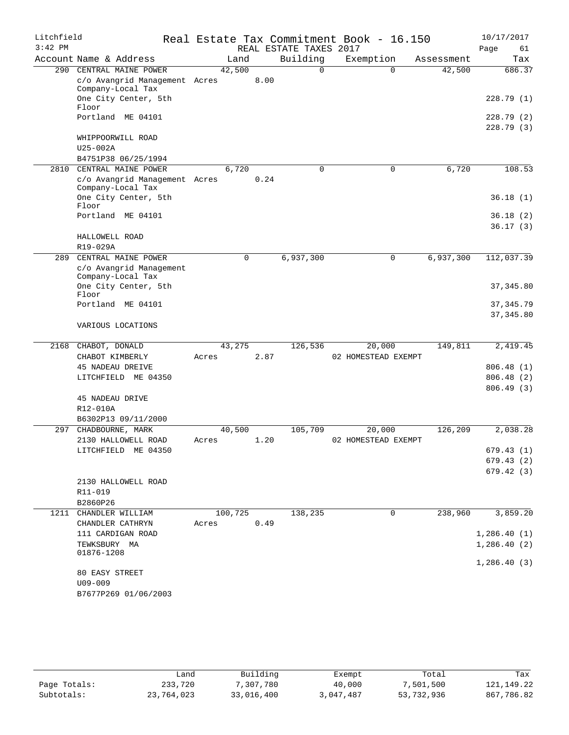| Litchfield |                                           |         |             |                        | Real Estate Tax Commitment Book - 16.150 |            | 10/17/2017  |
|------------|-------------------------------------------|---------|-------------|------------------------|------------------------------------------|------------|-------------|
| $3:42$ PM  |                                           |         |             | REAL ESTATE TAXES 2017 |                                          |            | Page<br>61  |
|            | Account Name & Address                    | Land    |             | Building               | Exemption                                | Assessment | Tax         |
| 290        | CENTRAL MAINE POWER                       | 42,500  |             | $\Omega$               | $\Omega$                                 | 42,500     | 686.37      |
|            | c/o Avangrid Management Acres             |         | 8.00        |                        |                                          |            |             |
|            | Company-Local Tax                         |         |             |                        |                                          |            |             |
|            | One City Center, 5th<br>Floor             |         |             |                        |                                          |            | 228.79(1)   |
|            | Portland ME 04101                         |         |             |                        |                                          |            | 228.79(2)   |
|            |                                           |         |             |                        |                                          |            | 228.79(3)   |
|            | WHIPPOORWILL ROAD                         |         |             |                        |                                          |            |             |
|            | $U25-002A$                                |         |             |                        |                                          |            |             |
|            | B4751P38 06/25/1994                       |         |             |                        |                                          |            |             |
| 2810       | CENTRAL MAINE POWER                       | 6,720   |             | 0                      | $\mathbf 0$                              | 6,720      | 108.53      |
|            | c/o Avangrid Management Acres             |         | 0.24        |                        |                                          |            |             |
|            | Company-Local Tax<br>One City Center, 5th |         |             |                        |                                          |            | 36.18(1)    |
|            | Floor                                     |         |             |                        |                                          |            |             |
|            | Portland ME 04101                         |         |             |                        |                                          |            | 36.18(2)    |
|            |                                           |         |             |                        |                                          |            | 36.17(3)    |
|            | HALLOWELL ROAD                            |         |             |                        |                                          |            |             |
|            | R19-029A                                  |         |             |                        |                                          |            |             |
| 289        | CENTRAL MAINE POWER                       |         | $\mathbf 0$ | 6,937,300              | 0                                        | 6,937,300  | 112,037.39  |
|            | c/o Avangrid Management                   |         |             |                        |                                          |            |             |
|            | Company-Local Tax                         |         |             |                        |                                          |            |             |
|            | One City Center, 5th<br>Floor             |         |             |                        |                                          |            | 37, 345.80  |
|            | Portland ME 04101                         |         |             |                        |                                          |            | 37,345.79   |
|            |                                           |         |             |                        |                                          |            | 37, 345.80  |
|            | VARIOUS LOCATIONS                         |         |             |                        |                                          |            |             |
|            |                                           |         |             |                        |                                          |            |             |
| 2168       | CHABOT, DONALD                            | 43,275  |             | 126,536                | 20,000                                   | 149,811    | 2,419.45    |
|            | CHABOT KIMBERLY                           | Acres   | 2.87        |                        | 02 HOMESTEAD EXEMPT                      |            |             |
|            | 45 NADEAU DREIVE                          |         |             |                        |                                          |            | 806.48(1)   |
|            | LITCHFIELD ME 04350                       |         |             |                        |                                          |            | 806.48(2)   |
|            |                                           |         |             |                        |                                          |            | 806.49(3)   |
|            | 45 NADEAU DRIVE                           |         |             |                        |                                          |            |             |
|            | R12-010A                                  |         |             |                        |                                          |            |             |
| 297        | B6302P13 09/11/2000<br>CHADBOURNE, MARK   | 40,500  |             | 105,709                | 20,000                                   | 126,209    | 2,038.28    |
|            | 2130 HALLOWELL ROAD                       | Acres   | 1.20        |                        | 02 HOMESTEAD EXEMPT                      |            |             |
|            | LITCHFIELD ME 04350                       |         |             |                        |                                          |            | 679.43(1)   |
|            |                                           |         |             |                        |                                          |            | 679.43(2)   |
|            |                                           |         |             |                        |                                          |            | 679.42 (3)  |
|            | 2130 HALLOWELL ROAD                       |         |             |                        |                                          |            |             |
|            | R11-019                                   |         |             |                        |                                          |            |             |
|            | B2860P26                                  |         |             |                        |                                          |            |             |
| 1211       | CHANDLER WILLIAM                          | 100,725 |             | 138,235                | 0                                        | 238,960    | 3,859.20    |
|            | CHANDLER CATHRYN                          | Acres   | 0.49        |                        |                                          |            |             |
|            | 111 CARDIGAN ROAD                         |         |             |                        |                                          |            | 1,286.40(1) |
|            | TEWKSBURY MA                              |         |             |                        |                                          |            | 1,286.40(2) |
|            | 01876-1208                                |         |             |                        |                                          |            |             |
|            | 80 EASY STREET                            |         |             |                        |                                          |            | 1,286.40(3) |
|            | $U09 - 009$                               |         |             |                        |                                          |            |             |
|            | B7677P269 01/06/2003                      |         |             |                        |                                          |            |             |
|            |                                           |         |             |                        |                                          |            |             |

|              | Land       | Building   | Exempt    | Total      | Tax        |
|--------------|------------|------------|-----------|------------|------------|
| Page Totals: | 233,720    | 7,307,780  | 40,000    | 7,501,500  | 121,149.22 |
| Subtotals:   | 23,764,023 | 33,016,400 | 3,047,487 | 53,732,936 | 867,786.82 |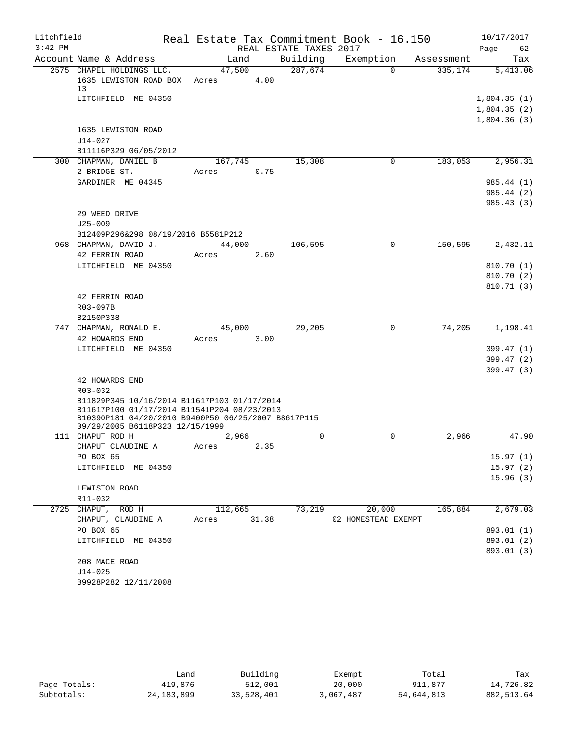| Litchfield |                                                                                            |                 |       |                        | Real Estate Tax Commitment Book - 16.150 |            | 10/17/2017           |
|------------|--------------------------------------------------------------------------------------------|-----------------|-------|------------------------|------------------------------------------|------------|----------------------|
| $3:42$ PM  |                                                                                            |                 |       | REAL ESTATE TAXES 2017 |                                          |            | Page<br>62           |
|            | Account Name & Address                                                                     | Land            |       | Building               | Exemption                                | Assessment | Tax                  |
|            | 2575 CHAPEL HOLDINGS LLC.<br>1635 LEWISTON ROAD BOX<br>13                                  | 47,500<br>Acres | 4.00  | 287,674                | $\Omega$                                 | 335,174    | 5,413.06             |
|            | LITCHFIELD ME 04350                                                                        |                 |       |                        |                                          |            | 1,804.35(1)          |
|            |                                                                                            |                 |       |                        |                                          |            | 1,804.35(2)          |
|            |                                                                                            |                 |       |                        |                                          |            | 1,804.36(3)          |
|            | 1635 LEWISTON ROAD                                                                         |                 |       |                        |                                          |            |                      |
|            | $U14 - 027$                                                                                |                 |       |                        |                                          |            |                      |
|            | B11116P329 06/05/2012                                                                      |                 |       |                        |                                          |            |                      |
|            | 300 CHAPMAN, DANIEL B                                                                      | 167,745         |       | 15,308                 | $\mathbf 0$                              | 183,053    | 2,956.31             |
|            | 2 BRIDGE ST.                                                                               | Acres           | 0.75  |                        |                                          |            |                      |
|            | GARDINER ME 04345                                                                          |                 |       |                        |                                          |            | 985.44 (1)           |
|            |                                                                                            |                 |       |                        |                                          |            | 985.44 (2)           |
|            |                                                                                            |                 |       |                        |                                          |            | 985.43(3)            |
|            | 29 WEED DRIVE<br>$U25 - 009$                                                               |                 |       |                        |                                          |            |                      |
|            | B12409P296&298 08/19/2016 B5581P212                                                        |                 |       |                        |                                          |            |                      |
|            | 968 CHAPMAN, DAVID J.                                                                      | 44,000          |       | 106,595                | $\mathbf 0$                              | 150,595    | 2,432.11             |
|            | 42 FERRIN ROAD                                                                             | Acres           | 2.60  |                        |                                          |            |                      |
|            | LITCHFIELD ME 04350                                                                        |                 |       |                        |                                          |            | 810.70(1)            |
|            |                                                                                            |                 |       |                        |                                          |            | 810.70 (2)           |
|            |                                                                                            |                 |       |                        |                                          |            | 810.71 (3)           |
|            | 42 FERRIN ROAD                                                                             |                 |       |                        |                                          |            |                      |
|            | R03-097B                                                                                   |                 |       |                        |                                          |            |                      |
|            | B2150P338                                                                                  |                 |       |                        |                                          |            |                      |
|            | 747 CHAPMAN, RONALD E.                                                                     | 45,000          |       | 29,205                 | $\mathbf 0$                              | 74,205     | 1,198.41             |
|            | 42 HOWARDS END                                                                             | Acres           | 3.00  |                        |                                          |            |                      |
|            | LITCHFIELD ME 04350                                                                        |                 |       |                        |                                          |            | 399.47 (1)           |
|            |                                                                                            |                 |       |                        |                                          |            | 399.47 (2)           |
|            |                                                                                            |                 |       |                        |                                          |            | 399.47 (3)           |
|            | 42 HOWARDS END                                                                             |                 |       |                        |                                          |            |                      |
|            | R03-032                                                                                    |                 |       |                        |                                          |            |                      |
|            | B11829P345 10/16/2014 B11617P103 01/17/2014<br>B11617P100 01/17/2014 B11541P204 08/23/2013 |                 |       |                        |                                          |            |                      |
|            | B10390P181 04/20/2010 B9400P50 06/25/2007 B8617P115                                        |                 |       |                        |                                          |            |                      |
|            | 09/29/2005 B6118P323 12/15/1999                                                            |                 |       |                        |                                          |            |                      |
|            | 111 CHAPUT ROD H                                                                           | 2,966           |       | $\mathbf 0$            | 0                                        | 2,966      | 47.90                |
|            | CHAPUT CLAUDINE A                                                                          | Acres 2.35      |       |                        |                                          |            |                      |
|            | PO BOX 65<br>LITCHFIELD ME 04350                                                           |                 |       |                        |                                          |            | 15.97(1)<br>15.97(2) |
|            |                                                                                            |                 |       |                        |                                          |            | 15.96(3)             |
|            | LEWISTON ROAD                                                                              |                 |       |                        |                                          |            |                      |
|            | R11-032                                                                                    |                 |       |                        |                                          |            |                      |
|            | 2725 CHAPUT, ROD H                                                                         | 112,665         |       | 73,219                 | 20,000                                   | 165,884    | 2,679.03             |
|            | CHAPUT, CLAUDINE A                                                                         | Acres           | 31.38 |                        | 02 HOMESTEAD EXEMPT                      |            |                      |
|            | PO BOX 65                                                                                  |                 |       |                        |                                          |            | 893.01 (1)           |
|            | LITCHFIELD ME 04350                                                                        |                 |       |                        |                                          |            | 893.01 (2)           |
|            |                                                                                            |                 |       |                        |                                          |            | 893.01 (3)           |
|            | 208 MACE ROAD                                                                              |                 |       |                        |                                          |            |                      |
|            | $U14 - 025$                                                                                |                 |       |                        |                                          |            |                      |
|            | B9928P282 12/11/2008                                                                       |                 |       |                        |                                          |            |                      |

|              | Land         | Building   | Exempt    | Total      | Tax        |
|--------------|--------------|------------|-----------|------------|------------|
| Page Totals: | 419,876      | 512,001    | 20,000    | 911,877    | 14,726.82  |
| Subtotals:   | 24, 183, 899 | 33,528,401 | 3,067,487 | 54,644,813 | 882,513.64 |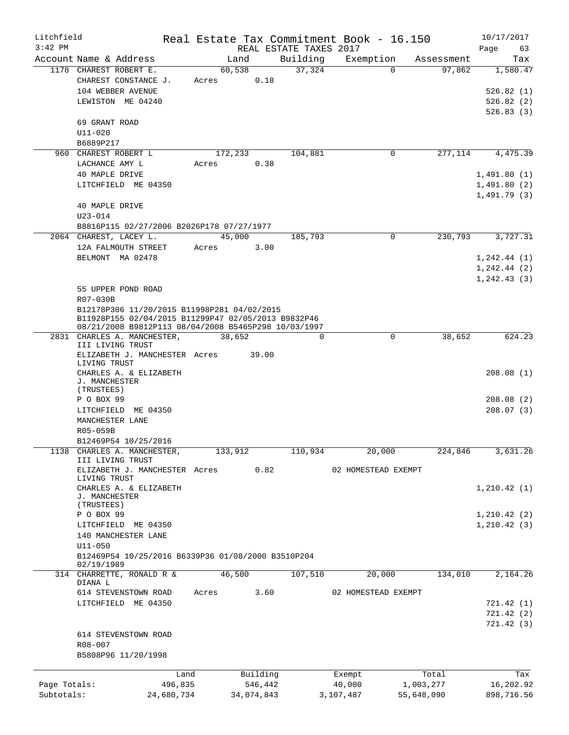| Litchfield   |                                                      |            |       |            |                        |          | Real Estate Tax Commitment Book - 16.150 |            |            | 10/17/2017   |
|--------------|------------------------------------------------------|------------|-------|------------|------------------------|----------|------------------------------------------|------------|------------|--------------|
| $3:42$ PM    |                                                      |            |       |            | REAL ESTATE TAXES 2017 |          |                                          |            |            | Page<br>63   |
|              | Account Name & Address                               |            |       | Land       | Building               |          | Exemption                                |            | Assessment | Tax          |
|              | 1178 CHAREST ROBERT E.                               |            |       | 60,538     |                        | 37,324   | $\Omega$                                 |            | 97,862     | 1,580.47     |
|              | CHAREST CONSTANCE J.                                 |            | Acres | 0.18       |                        |          |                                          |            |            |              |
|              | 104 WEBBER AVENUE                                    |            |       |            |                        |          |                                          |            |            | 526.82(1)    |
|              | LEWISTON ME 04240                                    |            |       |            |                        |          |                                          |            |            | 526.82(2)    |
|              |                                                      |            |       |            |                        |          |                                          |            |            | 526.83(3)    |
|              | 69 GRANT ROAD                                        |            |       |            |                        |          |                                          |            |            |              |
|              | $U11 - 020$                                          |            |       |            |                        |          |                                          |            |            |              |
|              | B6889P217                                            |            |       |            |                        |          |                                          |            |            |              |
|              | 960 CHAREST ROBERT L                                 |            |       | 172,233    | 104,881                |          | 0                                        |            | 277,114    | 4,475.39     |
|              | LACHANCE AMY L                                       |            | Acres | 0.38       |                        |          |                                          |            |            |              |
|              | 40 MAPLE DRIVE                                       |            |       |            |                        |          |                                          |            |            | 1,491.80(1)  |
|              | LITCHFIELD ME 04350                                  |            |       |            |                        |          |                                          |            |            | 1,491.80(2)  |
|              |                                                      |            |       |            |                        |          |                                          |            |            | 1,491.79(3)  |
|              | 40 MAPLE DRIVE                                       |            |       |            |                        |          |                                          |            |            |              |
|              | $U23 - 014$                                          |            |       |            |                        |          |                                          |            |            |              |
|              | B8816P115 02/27/2006 B2026P178 07/27/1977            |            |       |            |                        |          |                                          |            |            |              |
|              | 2064 CHAREST, LACEY L.                               |            |       | 45,000     |                        | 185,793  | $\Omega$                                 |            | 230,793    | 3,727.31     |
|              | 12A FALMOUTH STREET                                  |            | Acres | 3.00       |                        |          |                                          |            |            |              |
|              | BELMONT MA 02478                                     |            |       |            |                        |          |                                          |            |            | 1, 242.44(1) |
|              |                                                      |            |       |            |                        |          |                                          |            |            | 1, 242.44(2) |
|              |                                                      |            |       |            |                        |          |                                          |            |            | 1, 242.43(3) |
|              | 55 UPPER POND ROAD                                   |            |       |            |                        |          |                                          |            |            |              |
|              | R07-030B                                             |            |       |            |                        |          |                                          |            |            |              |
|              | B12178P306 11/20/2015 B11998P281 04/02/2015          |            |       |            |                        |          |                                          |            |            |              |
|              | B11928P155 02/04/2015 B11299P47 02/05/2013 B9832P46  |            |       |            |                        |          |                                          |            |            |              |
|              | 08/21/2008 B9812P113 08/04/2008 B5465P298 10/03/1997 |            |       |            |                        |          |                                          |            |            |              |
|              | 2831 CHARLES A. MANCHESTER,                          |            |       | 38,652     |                        | $\Omega$ | $\mathbf 0$                              |            | 38,652     | 624.23       |
|              | III LIVING TRUST                                     |            |       |            |                        |          |                                          |            |            |              |
|              | ELIZABETH J. MANCHESTER Acres                        |            |       | 39.00      |                        |          |                                          |            |            |              |
|              | LIVING TRUST<br>CHARLES A. & ELIZABETH               |            |       |            |                        |          |                                          |            |            | 208.08(1)    |
|              | J. MANCHESTER                                        |            |       |            |                        |          |                                          |            |            |              |
|              | (TRUSTEES)                                           |            |       |            |                        |          |                                          |            |            |              |
|              | P O BOX 99                                           |            |       |            |                        |          |                                          |            |            | 208.08(2)    |
|              | LITCHFIELD ME 04350                                  |            |       |            |                        |          |                                          |            |            | 208.07(3)    |
|              | MANCHESTER LANE                                      |            |       |            |                        |          |                                          |            |            |              |
|              | R05-059B                                             |            |       |            |                        |          |                                          |            |            |              |
|              | B12469P54 10/25/2016                                 |            |       |            |                        |          |                                          |            |            |              |
| 1138         | CHARLES A. MANCHESTER,                               |            |       | 133,912    |                        | 110,934  | 20,000                                   |            | 224,846    | 3,631.26     |
|              | III LIVING TRUST                                     |            |       |            |                        |          |                                          |            |            |              |
|              | ELIZABETH J. MANCHESTER Acres                        |            |       | 0.82       |                        |          | 02 HOMESTEAD EXEMPT                      |            |            |              |
|              | LIVING TRUST                                         |            |       |            |                        |          |                                          |            |            |              |
|              | CHARLES A. & ELIZABETH                               |            |       |            |                        |          |                                          |            |            | 1,210.42(1)  |
|              | J. MANCHESTER<br>(TRUSTEES)                          |            |       |            |                        |          |                                          |            |            |              |
|              | P O BOX 99                                           |            |       |            |                        |          |                                          |            |            | 1,210.42(2)  |
|              | LITCHFIELD ME 04350                                  |            |       |            |                        |          |                                          |            |            | 1, 210.42(3) |
|              | 140 MANCHESTER LANE                                  |            |       |            |                        |          |                                          |            |            |              |
|              | $U11 - 050$                                          |            |       |            |                        |          |                                          |            |            |              |
|              | B12469P54 10/25/2016 B6339P36 01/08/2000 B3510P204   |            |       |            |                        |          |                                          |            |            |              |
|              | 02/19/1989                                           |            |       |            |                        |          |                                          |            |            |              |
|              | 314 CHARRETTE, RONALD R &                            |            |       | 46,500     | 107,510                |          | 20,000                                   |            | 134,010    | 2,164.26     |
|              | DIANA L                                              |            |       |            |                        |          |                                          |            |            |              |
|              | 614 STEVENSTOWN ROAD                                 |            | Acres | 3.60       |                        |          | 02 HOMESTEAD EXEMPT                      |            |            |              |
|              | LITCHFIELD ME 04350                                  |            |       |            |                        |          |                                          |            |            | 721.42 (1)   |
|              |                                                      |            |       |            |                        |          |                                          |            |            | 721.42(2)    |
|              |                                                      |            |       |            |                        |          |                                          |            |            | 721.42(3)    |
|              | 614 STEVENSTOWN ROAD                                 |            |       |            |                        |          |                                          |            |            |              |
|              | R08-007                                              |            |       |            |                        |          |                                          |            |            |              |
|              | B5808P96 11/20/1998                                  |            |       |            |                        |          |                                          |            |            |              |
|              |                                                      |            |       |            |                        |          |                                          |            |            |              |
|              |                                                      | Land       |       | Building   |                        |          | Exempt                                   |            | Total      | Tax          |
| Page Totals: |                                                      | 496,835    |       | 546,442    |                        |          | 40,000                                   | 1,003,277  |            | 16,202.92    |
| Subtotals:   |                                                      | 24,680,734 |       | 34,074,843 |                        |          | 3,107,487                                | 55,648,090 |            | 898,716.56   |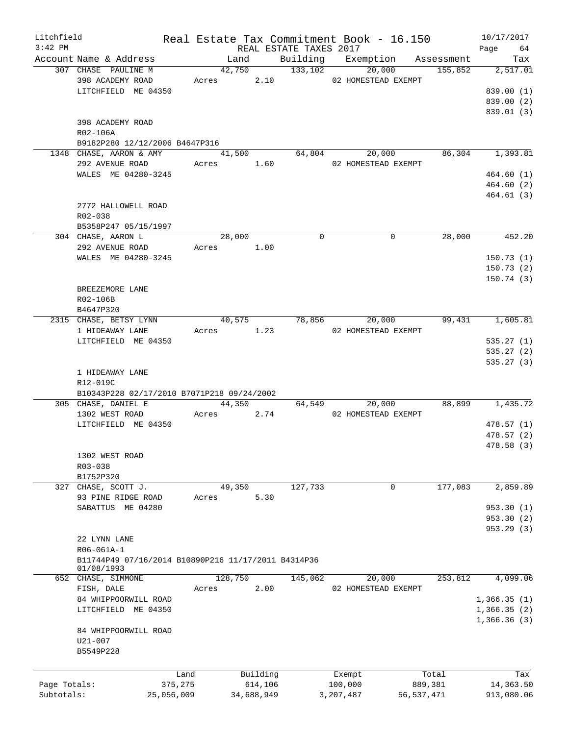| Litchfield   |                                                     |         |            |      |                        | Real Estate Tax Commitment Book - 16.150 |              |         | 10/17/2017      |
|--------------|-----------------------------------------------------|---------|------------|------|------------------------|------------------------------------------|--------------|---------|-----------------|
| $3:42$ PM    |                                                     |         |            |      | REAL ESTATE TAXES 2017 |                                          |              |         | Page 64         |
|              | Account Name & Address                              |         | Land       |      |                        | Building Exemption Assessment            |              |         | Tax             |
|              | 307 CHASE PAULINE M                                 |         | 42,750     |      | 133,102                | 20,000                                   |              | 155,852 | 2,517.01        |
|              | 398 ACADEMY ROAD                                    |         | Acres 2.10 |      |                        | 02 HOMESTEAD EXEMPT                      |              |         |                 |
|              | LITCHFIELD ME 04350                                 |         |            |      |                        |                                          |              |         | 839.00(1)       |
|              |                                                     |         |            |      |                        |                                          |              |         | 839.00 (2)      |
|              |                                                     |         |            |      |                        |                                          |              |         | 839.01(3)       |
|              | 398 ACADEMY ROAD                                    |         |            |      |                        |                                          |              |         |                 |
|              | R02-106A                                            |         |            |      |                        |                                          |              |         |                 |
|              | B9182P280 12/12/2006 B4647P316                      |         |            |      |                        |                                          |              |         |                 |
|              | 1348 CHASE, AARON & AMY                             |         | 41,500     |      | 64,804                 |                                          | 20,000       |         | 86,304 1,393.81 |
|              | 292 AVENUE ROAD                                     |         | Acres 1.60 |      |                        | 02 HOMESTEAD EXEMPT                      |              |         |                 |
|              | WALES ME 04280-3245                                 |         |            |      |                        |                                          |              |         | 464.60(1)       |
|              |                                                     |         |            |      |                        |                                          |              |         | 464.60(2)       |
|              |                                                     |         |            |      |                        |                                          |              |         | 464.61 (3)      |
|              | 2772 HALLOWELL ROAD                                 |         |            |      |                        |                                          |              |         |                 |
|              | $R02 - 038$                                         |         |            |      |                        |                                          |              |         |                 |
|              | B5358P247 05/15/1997                                |         |            |      |                        |                                          |              |         |                 |
|              | 304 CHASE, AARON L                                  |         | 28,000     |      | $\Omega$               |                                          | $\Omega$     | 28,000  | 452.20          |
|              |                                                     |         |            |      |                        |                                          |              |         |                 |
|              | 292 AVENUE ROAD                                     |         | Acres 1.00 |      |                        |                                          |              |         |                 |
|              | WALES ME 04280-3245                                 |         |            |      |                        |                                          |              |         | 150.73(1)       |
|              |                                                     |         |            |      |                        |                                          |              |         | 150.73(2)       |
|              |                                                     |         |            |      |                        |                                          |              |         | 150.74(3)       |
|              | BREEZEMORE LANE                                     |         |            |      |                        |                                          |              |         |                 |
|              | R02-106B                                            |         |            |      |                        |                                          |              |         |                 |
|              | B4647P320                                           |         |            |      |                        |                                          |              |         |                 |
|              | 2315 CHASE, BETSY LYNN                              |         | 40,575     |      | 78,856                 | 20,000                                   |              | 99,431  | 1,605.81        |
|              | 1 HIDEAWAY LANE                                     |         | Acres 1.23 |      |                        | 02 HOMESTEAD EXEMPT                      |              |         |                 |
|              | LITCHFIELD ME 04350                                 |         |            |      |                        |                                          |              |         | 535.27(1)       |
|              |                                                     |         |            |      |                        |                                          |              |         | 535.27(2)       |
|              |                                                     |         |            |      |                        |                                          |              |         | 535.27(3)       |
|              | 1 HIDEAWAY LANE                                     |         |            |      |                        |                                          |              |         |                 |
|              | R12-019C                                            |         |            |      |                        |                                          |              |         |                 |
|              | B10343P228 02/17/2010 B7071P218 09/24/2002          |         |            |      |                        |                                          |              |         |                 |
|              | 305 CHASE, DANIEL E                                 |         | 44,350     |      |                        | 64,549<br>20,000                         |              | 88,899  | 1,435.72        |
|              | 1302 WEST ROAD                                      |         | Acres      | 2.74 |                        | 02 HOMESTEAD EXEMPT                      |              |         |                 |
|              | LITCHFIELD ME 04350                                 |         |            |      |                        |                                          |              |         |                 |
|              |                                                     |         |            |      |                        |                                          |              |         | 478.57(1)       |
|              |                                                     |         |            |      |                        |                                          |              |         | 478.57(2)       |
|              |                                                     |         |            |      |                        |                                          |              |         | 478.58 (3)      |
|              | 1302 WEST ROAD                                      |         |            |      |                        |                                          |              |         |                 |
|              | R03-038                                             |         |            |      |                        |                                          |              |         |                 |
|              | B1752P320                                           |         |            |      |                        |                                          |              |         |                 |
| 327          | CHASE, SCOTT J.                                     |         | 49,350     |      | 127,733                |                                          | $\mathbf 0$  | 177,083 | 2,859.89        |
|              | 93 PINE RIDGE ROAD                                  | Acres   | 5.30       |      |                        |                                          |              |         |                 |
|              | SABATTUS ME 04280                                   |         |            |      |                        |                                          |              |         | 953.30(1)       |
|              |                                                     |         |            |      |                        |                                          |              |         | 953.30 (2)      |
|              |                                                     |         |            |      |                        |                                          |              |         | 953.29 (3)      |
|              | 22 LYNN LANE                                        |         |            |      |                        |                                          |              |         |                 |
|              | R06-061A-1                                          |         |            |      |                        |                                          |              |         |                 |
|              | B11744P49 07/16/2014 B10890P216 11/17/2011 B4314P36 |         |            |      |                        |                                          |              |         |                 |
|              | 01/08/1993                                          |         |            |      |                        |                                          |              |         |                 |
|              | 652 CHASE, SIMMONE                                  |         | 128,750    |      | 145,062                | 20,000                                   |              | 253,812 | 4,099.06        |
|              | FISH, DALE                                          | Acres   | 2.00       |      |                        | 02 HOMESTEAD EXEMPT                      |              |         |                 |
|              | 84 WHIPPOORWILL ROAD                                |         |            |      |                        |                                          |              |         | 1,366.35(1)     |
|              |                                                     |         |            |      |                        |                                          |              |         |                 |
|              | LITCHFIELD ME 04350                                 |         |            |      |                        |                                          |              |         | 1,366.35(2)     |
|              |                                                     |         |            |      |                        |                                          |              |         | 1,366.36(3)     |
|              | 84 WHIPPOORWILL ROAD                                |         |            |      |                        |                                          |              |         |                 |
|              | U21-007                                             |         |            |      |                        |                                          |              |         |                 |
|              | B5549P228                                           |         |            |      |                        |                                          |              |         |                 |
|              |                                                     |         |            |      |                        |                                          |              |         |                 |
|              |                                                     | Land    | Building   |      |                        | Exempt                                   |              | Total   | Tax             |
| Page Totals: |                                                     | 375,275 | 614,106    |      |                        | 100,000                                  |              | 889,381 | 14,363.50       |
| Subtotals:   | 25,056,009                                          |         | 34,688,949 |      |                        | 3,207,487                                | 56, 537, 471 |         | 913,080.06      |
|              |                                                     |         |            |      |                        |                                          |              |         |                 |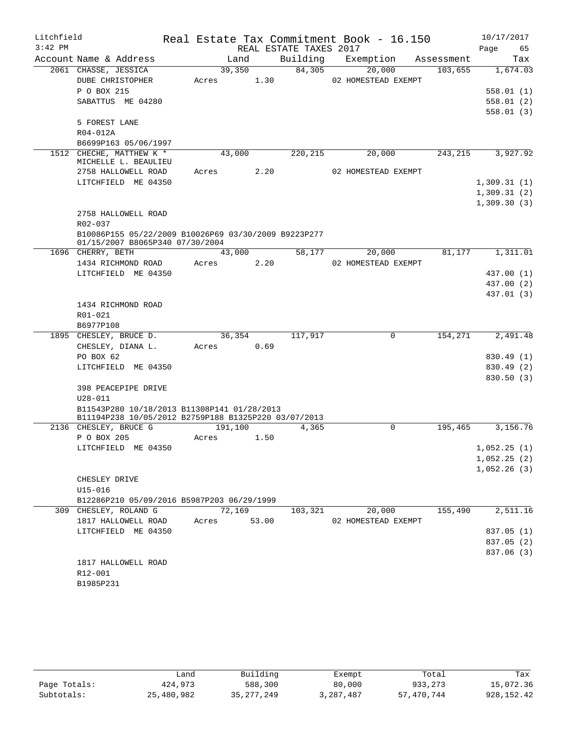| Litchfield |                                                                                         |         |       |                        | Real Estate Tax Commitment Book - 16.150 |            | 10/17/2017  |            |
|------------|-----------------------------------------------------------------------------------------|---------|-------|------------------------|------------------------------------------|------------|-------------|------------|
| $3:42$ PM  |                                                                                         |         |       | REAL ESTATE TAXES 2017 |                                          |            | Page        | 65         |
|            | Account Name & Address                                                                  | Land    |       | Building               | Exemption                                | Assessment |             | Tax        |
|            | 2061 CHASSE, JESSICA                                                                    | 39,350  |       | 84,305                 | 20,000                                   | 103,655    |             | 1,674.03   |
|            | DUBE CHRISTOPHER                                                                        | Acres   | 1.30  |                        | 02 HOMESTEAD EXEMPT                      |            |             |            |
|            | P O BOX 215                                                                             |         |       |                        |                                          |            |             | 558.01(1)  |
|            | SABATTUS ME 04280                                                                       |         |       |                        |                                          |            |             | 558.01(2)  |
|            |                                                                                         |         |       |                        |                                          |            |             | 558.01(3)  |
|            | 5 FOREST LANE                                                                           |         |       |                        |                                          |            |             |            |
|            | R04-012A                                                                                |         |       |                        |                                          |            |             |            |
|            | B6699P163 05/06/1997                                                                    |         |       |                        |                                          |            |             |            |
|            | 1512 CHECHE, MATTHEW K *                                                                | 43,000  |       | 220, 215               | 20,000                                   | 243,215    |             | 3,927.92   |
|            | MICHELLE L. BEAULIEU                                                                    |         |       |                        |                                          |            |             |            |
|            | 2758 HALLOWELL ROAD                                                                     | Acres   | 2.20  |                        | 02 HOMESTEAD EXEMPT                      |            |             |            |
|            | LITCHFIELD ME 04350                                                                     |         |       |                        |                                          |            | 1,309.31(1) |            |
|            |                                                                                         |         |       |                        |                                          |            | 1,309.31(2) |            |
|            |                                                                                         |         |       |                        |                                          |            | 1,309.30(3) |            |
|            | 2758 HALLOWELL ROAD                                                                     |         |       |                        |                                          |            |             |            |
|            | R02-037                                                                                 |         |       |                        |                                          |            |             |            |
|            | B10086P155 05/22/2009 B10026P69 03/30/2009 B9223P277<br>01/15/2007 B8065P340 07/30/2004 |         |       |                        |                                          |            |             |            |
|            | 1696 CHERRY, BETH                                                                       | 43,000  |       | 58,177                 | 20,000                                   | 81,177     |             | 1,311.01   |
|            | 1434 RICHMOND ROAD                                                                      | Acres   | 2.20  |                        | 02 HOMESTEAD EXEMPT                      |            |             |            |
|            | LITCHFIELD ME 04350                                                                     |         |       |                        |                                          |            |             | 437.00 (1) |
|            |                                                                                         |         |       |                        |                                          |            |             | 437.00 (2) |
|            |                                                                                         |         |       |                        |                                          |            |             | 437.01 (3) |
|            | 1434 RICHMOND ROAD                                                                      |         |       |                        |                                          |            |             |            |
|            | R01-021                                                                                 |         |       |                        |                                          |            |             |            |
|            | B6977P108                                                                               |         |       |                        |                                          |            |             |            |
|            | 1895 CHESLEY, BRUCE D.                                                                  | 36,354  |       | 117,917                | 0                                        | 154,271    |             | 2,491.48   |
|            | CHESLEY, DIANA L.                                                                       | Acres   | 0.69  |                        |                                          |            |             |            |
|            | PO BOX 62                                                                               |         |       |                        |                                          |            |             | 830.49 (1) |
|            | LITCHFIELD ME 04350                                                                     |         |       |                        |                                          |            |             | 830.49 (2) |
|            |                                                                                         |         |       |                        |                                          |            |             | 830.50(3)  |
|            | 398 PEACEPIPE DRIVE                                                                     |         |       |                        |                                          |            |             |            |
|            | $U28 - 011$                                                                             |         |       |                        |                                          |            |             |            |
|            | B11543P280 10/18/2013 B11308P141 01/28/2013                                             |         |       |                        |                                          |            |             |            |
|            | B11194P238 10/05/2012 B2759P188 B1325P220 03/07/2013                                    |         |       |                        |                                          |            |             |            |
|            | 2136 CHESLEY, BRUCE G                                                                   | 191,100 |       | 4,365                  | $\Omega$                                 | 195,465    |             | 3,156.76   |
|            | P O BOX 205                                                                             | Acres   | 1.50  |                        |                                          |            |             |            |
|            | LITCHFIELD ME 04350                                                                     |         |       |                        |                                          |            | 1,052.25(1) |            |
|            |                                                                                         |         |       |                        |                                          |            | 1,052.25(2) |            |
|            |                                                                                         |         |       |                        |                                          |            | 1,052.26(3) |            |
|            | CHESLEY DRIVE                                                                           |         |       |                        |                                          |            |             |            |
|            | $U15 - 016$                                                                             |         |       |                        |                                          |            |             |            |
|            | B12286P210 05/09/2016 B5987P203 06/29/1999                                              |         |       |                        |                                          |            |             |            |
|            | 309 CHESLEY, ROLAND G                                                                   | 72,169  |       | 103,321                | 20,000                                   | 155,490    |             | 2,511.16   |
|            | 1817 HALLOWELL ROAD                                                                     | Acres   | 53.00 |                        | 02 HOMESTEAD EXEMPT                      |            |             |            |
|            | LITCHFIELD ME 04350                                                                     |         |       |                        |                                          |            |             | 837.05 (1) |
|            |                                                                                         |         |       |                        |                                          |            |             | 837.05 (2) |
|            |                                                                                         |         |       |                        |                                          |            |             | 837.06 (3) |
|            | 1817 HALLOWELL ROAD                                                                     |         |       |                        |                                          |            |             |            |
|            | R12-001                                                                                 |         |       |                        |                                          |            |             |            |
|            | B1985P231                                                                               |         |       |                        |                                          |            |             |            |
|            |                                                                                         |         |       |                        |                                          |            |             |            |

|              | Land       | Building     | Exempt    | Total      | Tax         |
|--------------|------------|--------------|-----------|------------|-------------|
| Page Totals: | 424,973    | 588,300      | 80,000    | 933,273    | 15,072.36   |
| Subtotals:   | 25,480,982 | 35, 277, 249 | 3,287,487 | 57,470,744 | 928, 152.42 |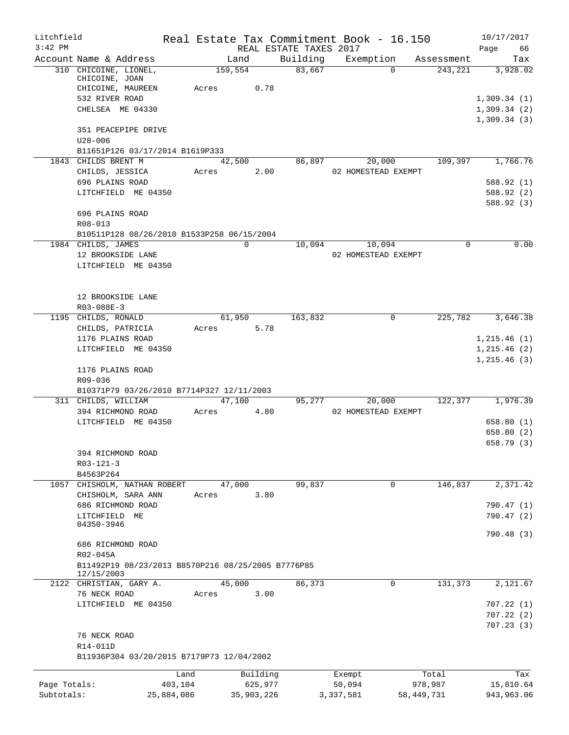| Litchfield   |                                                                                |       | Real Estate Tax Commitment Book - 16.150 |                        |                     |              |            | 10/17/2017                 |
|--------------|--------------------------------------------------------------------------------|-------|------------------------------------------|------------------------|---------------------|--------------|------------|----------------------------|
| $3:42$ PM    |                                                                                |       |                                          | REAL ESTATE TAXES 2017 |                     |              |            | 66<br>Page                 |
|              | Account Name & Address                                                         |       | Land                                     | Building               | Exemption           |              | Assessment | Tax                        |
|              | 310 CHICOINE, LIONEL,<br>CHICOINE, JOAN<br>CHICOINE, MAUREEN<br>532 RIVER ROAD | Acres | 159,554<br>0.78                          | 83,667                 |                     | $\Omega$     | 243,221    | 3,928.02<br>1,309.34(1)    |
|              | CHELSEA ME 04330<br>351 PEACEPIPE DRIVE                                        |       |                                          |                        |                     |              |            | 1,309.34(2)<br>1,309.34(3) |
|              | $U28 - 006$<br>B11651P126 03/17/2014 B1619P333                                 |       |                                          |                        |                     |              |            |                            |
|              | 1843 CHILDS BRENT M                                                            |       | 42,500                                   | 86,897                 |                     | 20,000       | 109,397    | 1,766.76                   |
|              | CHILDS, JESSICA<br>696 PLAINS ROAD                                             | Acres | 2.00                                     |                        | 02 HOMESTEAD EXEMPT |              |            | 588.92 (1)                 |
|              | LITCHFIELD ME 04350                                                            |       |                                          |                        |                     |              |            | 588.92 (2)<br>588.92 (3)   |
|              | 696 PLAINS ROAD<br>R08-013                                                     |       |                                          |                        |                     |              |            |                            |
|              | B10511P128 08/26/2010 B1533P258 06/15/2004                                     |       |                                          |                        |                     |              |            |                            |
|              | 1984 CHILDS, JAMES                                                             |       | $\mathbf 0$                              | 10,094                 |                     | 10,094       | 0          | 0.00                       |
|              | 12 BROOKSIDE LANE<br>LITCHFIELD ME 04350                                       |       |                                          |                        | 02 HOMESTEAD EXEMPT |              |            |                            |
|              | 12 BROOKSIDE LANE<br>R03-088E-3                                                |       |                                          |                        |                     |              |            |                            |
|              | 1195 CHILDS, RONALD                                                            |       | 61,950                                   | 163,832                |                     | 0            | 225,782    | 3,646.38                   |
|              | CHILDS, PATRICIA                                                               | Acres | 5.78                                     |                        |                     |              |            |                            |
|              | 1176 PLAINS ROAD                                                               |       |                                          |                        |                     |              |            | 1, 215.46(1)               |
|              | LITCHFIELD ME 04350                                                            |       |                                          |                        |                     |              |            | 1, 215.46(2)               |
|              | 1176 PLAINS ROAD<br>R09-036                                                    |       |                                          |                        |                     |              |            | 1,215.46(3)                |
|              | B10371P79 03/26/2010 B7714P327 12/11/2003                                      |       |                                          |                        |                     |              |            |                            |
|              | 311 CHILDS, WILLIAM                                                            |       | 47,100                                   | 95,277                 |                     | 20,000       | 122,377    | 1,976.39                   |
|              | 394 RICHMOND ROAD                                                              | Acres | 4.80                                     |                        | 02 HOMESTEAD EXEMPT |              |            |                            |
|              | LITCHFIELD ME 04350                                                            |       |                                          |                        |                     |              |            | 658.80 (1)                 |
|              |                                                                                |       |                                          |                        |                     |              |            | 658.80 (2)<br>658.79 (3)   |
|              | 394 RICHMOND ROAD                                                              |       |                                          |                        |                     |              |            |                            |
|              | $R03 - 121 - 3$                                                                |       |                                          |                        |                     |              |            |                            |
|              | B4563P264                                                                      |       |                                          |                        |                     |              |            |                            |
|              | 1057 CHISHOLM, NATHAN ROBERT                                                   |       | 47,000                                   | 99,837                 |                     | 0            | 146,837    | 2,371.42                   |
|              | CHISHOLM, SARA ANN                                                             | Acres | 3.80                                     |                        |                     |              |            |                            |
|              | 686 RICHMOND ROAD                                                              |       |                                          |                        |                     |              |            | 790.47 (1)                 |
|              | LITCHFIELD ME                                                                  |       |                                          |                        |                     |              |            | 790.47 (2)                 |
|              | 04350-3946<br>686 RICHMOND ROAD                                                |       |                                          |                        |                     |              |            | 790.48 (3)                 |
|              | R02-045A                                                                       |       |                                          |                        |                     |              |            |                            |
|              | B11492P19 08/23/2013 B8570P216 08/25/2005 B7776P85<br>12/15/2003               |       |                                          |                        |                     |              |            |                            |
|              | 2122 CHRISTIAN, GARY A.                                                        |       | 45,000                                   | 86,373                 |                     | 0            | 131,373    | 2,121.67                   |
|              | 76 NECK ROAD                                                                   | Acres | 3.00                                     |                        |                     |              |            |                            |
|              | LITCHFIELD ME 04350                                                            |       |                                          |                        |                     |              |            | 707.22(1)<br>707.22(2)     |
|              |                                                                                |       |                                          |                        |                     |              |            | 707.23(3)                  |
|              | 76 NECK ROAD<br>R14-011D                                                       |       |                                          |                        |                     |              |            |                            |
|              | B11936P304 03/20/2015 B7179P73 12/04/2002                                      |       |                                          |                        |                     |              |            |                            |
|              |                                                                                | Land  | Building                                 |                        | Exempt              |              | Total      | Tax                        |
| Page Totals: | 403,104                                                                        |       | 625,977                                  |                        | 50,094              |              | 978,987    | 15,810.64                  |
| Subtotals:   | 25,884,086                                                                     |       | 35,903,226                               |                        | 3,337,581           | 58, 449, 731 |            | 943,963.06                 |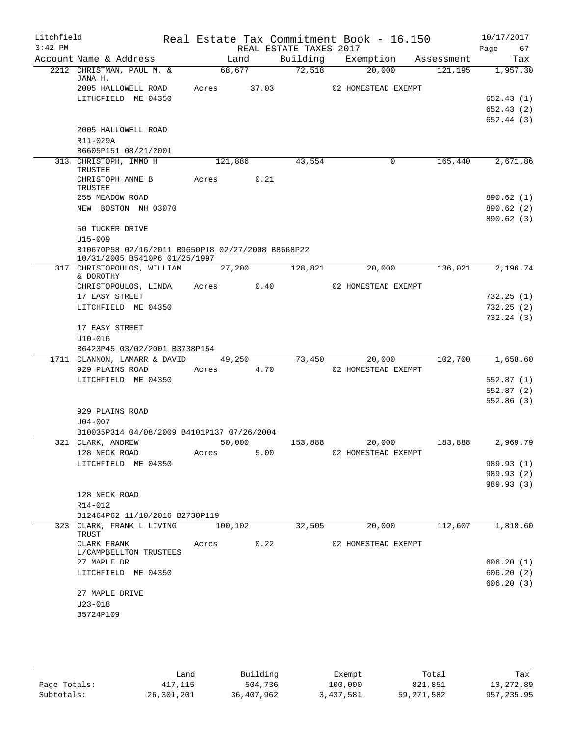| Litchfield |                                                   |         |         |                        | Real Estate Tax Commitment Book - 16.150 |         | 10/17/2017               |
|------------|---------------------------------------------------|---------|---------|------------------------|------------------------------------------|---------|--------------------------|
| $3:42$ PM  |                                                   |         |         | REAL ESTATE TAXES 2017 |                                          |         | Page<br>67               |
|            | Account Name & Address                            |         | Land    | Building               | Exemption Assessment                     |         | Tax                      |
|            | 2212 CHRISTMAN, PAUL M. &<br>JANA H.              |         | 68,677  | 72,518                 | 20,000                                   | 121,195 | 1,957.30                 |
|            | 2005 HALLOWELL ROAD                               | Acres   | 37.03   |                        | 02 HOMESTEAD EXEMPT                      |         |                          |
|            | LITHCFIELD ME 04350                               |         |         |                        |                                          |         | 652.43 (1)               |
|            |                                                   |         |         |                        |                                          |         | 652.43 (2)               |
|            |                                                   |         |         |                        |                                          |         | 652.44(3)                |
|            | 2005 HALLOWELL ROAD                               |         |         |                        |                                          |         |                          |
|            | R11-029A                                          |         |         |                        |                                          |         |                          |
|            | B6605P151 08/21/2001<br>313 CHRISTOPH, IMMO H     |         | 121,886 | 43,554                 | 0                                        | 165,440 | 2,671.86                 |
|            | TRUSTEE                                           |         |         |                        |                                          |         |                          |
|            | CHRISTOPH ANNE B                                  | Acres   | 0.21    |                        |                                          |         |                          |
|            | TRUSTEE                                           |         |         |                        |                                          |         |                          |
|            | 255 MEADOW ROAD                                   |         |         |                        |                                          |         | 890.62 (1)               |
|            | NEW BOSTON NH 03070                               |         |         |                        |                                          |         | 890.62 (2)<br>890.62(3)  |
|            | 50 TUCKER DRIVE                                   |         |         |                        |                                          |         |                          |
|            | $U15 - 009$                                       |         |         |                        |                                          |         |                          |
|            | B10670P58 02/16/2011 B9650P18 02/27/2008 B8668P22 |         |         |                        |                                          |         |                          |
|            | 10/31/2005 B5410P6 01/25/1997                     |         |         |                        |                                          |         |                          |
|            | 317 CHRISTOPOULOS, WILLIAM                        |         | 27,200  | 128,821                | 20,000                                   | 136,021 | 2,196.74                 |
|            | & DOROTHY<br>CHRISTOPOULOS, LINDA Acres 0.40      |         |         |                        | 02 HOMESTEAD EXEMPT                      |         |                          |
|            | 17 EASY STREET                                    |         |         |                        |                                          |         | 732.25(1)                |
|            | LITCHFIELD ME 04350                               |         |         |                        |                                          |         | 732.25(2)                |
|            |                                                   |         |         |                        |                                          |         | 732.24(3)                |
|            | 17 EASY STREET                                    |         |         |                        |                                          |         |                          |
|            | $U10 - 016$                                       |         |         |                        |                                          |         |                          |
|            | B6423P45 03/02/2001 B3738P154                     |         |         |                        |                                          |         |                          |
|            | 1711 CLANNON, LAMARR & DAVID                      |         | 49,250  | 73,450                 | 20,000                                   | 102,700 | 1,658.60                 |
|            | 929 PLAINS ROAD<br>LITCHFIELD ME 04350            | Acres   | 4.70    |                        | 02 HOMESTEAD EXEMPT                      |         | 552.87(1)                |
|            |                                                   |         |         |                        |                                          |         | 552.87 (2)               |
|            |                                                   |         |         |                        |                                          |         | 552.86(3)                |
|            | 929 PLAINS ROAD                                   |         |         |                        |                                          |         |                          |
|            | $U04 - 007$                                       |         |         |                        |                                          |         |                          |
|            | B10035P314 04/08/2009 B4101P137 07/26/2004        |         |         |                        |                                          |         |                          |
|            | 321 CLARK, ANDREW                                 |         | 50,000  | 153,888                | 20,000                                   | 183,888 | 2,969.79                 |
|            | 128 NECK ROAD                                     | Acres   | 5.00    |                        | 02 HOMESTEAD EXEMPT                      |         |                          |
|            | LITCHFIELD ME 04350                               |         |         |                        |                                          |         | 989.93 (1)<br>989.93 (2) |
|            |                                                   |         |         |                        |                                          |         | 989.93 (3)               |
|            | 128 NECK ROAD                                     |         |         |                        |                                          |         |                          |
|            | R14-012                                           |         |         |                        |                                          |         |                          |
|            | B12464P62 11/10/2016 B2730P119                    |         |         |                        |                                          |         |                          |
|            | 323 CLARK, FRANK L LIVING                         | 100,102 |         | 32,505                 | 20,000                                   | 112,607 | 1,818.60                 |
|            | TRUST<br>CLARK FRANK                              | Acres   | 0.22    |                        | 02 HOMESTEAD EXEMPT                      |         |                          |
|            | L/CAMPBELLTON TRUSTEES                            |         |         |                        |                                          |         |                          |
|            | 27 MAPLE DR                                       |         |         |                        |                                          |         | 606.20(1)                |
|            | LITCHFIELD ME 04350                               |         |         |                        |                                          |         | 606.20(2)                |
|            |                                                   |         |         |                        |                                          |         | 606.20(3)                |
|            | 27 MAPLE DRIVE                                    |         |         |                        |                                          |         |                          |
|            | $U23 - 018$                                       |         |         |                        |                                          |         |                          |
|            | B5724P109                                         |         |         |                        |                                          |         |                          |
|            |                                                   |         |         |                        |                                          |         |                          |

|              | Land       | Building   | Exempt    | Total      | Tax         |
|--------------|------------|------------|-----------|------------|-------------|
| Page Totals: | 417,115    | 504,736    | 100,000   | 821,851    | 13,272.89   |
| Subtotals:   | 26,301,201 | 36,407,962 | 3,437,581 | 59,271,582 | 957, 235.95 |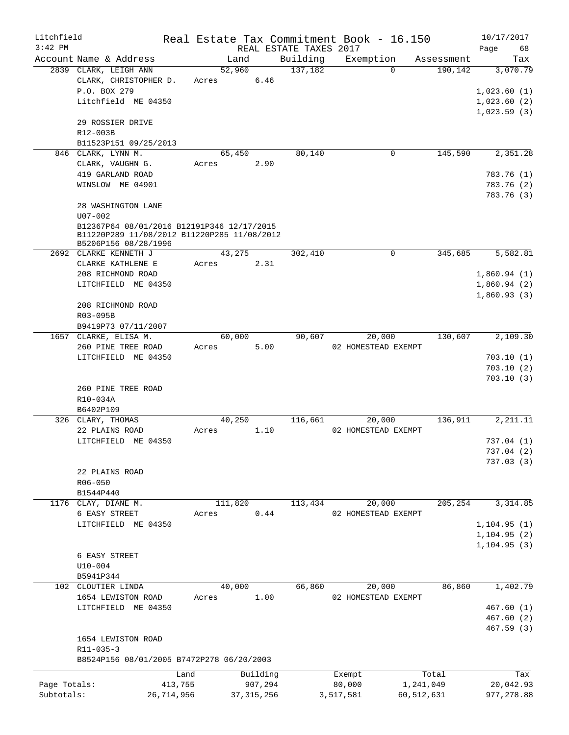| Litchfield   |                                                                                           |            |         |              |                        | Real Estate Tax Commitment Book - 16.150 |              | 10/17/2017   |
|--------------|-------------------------------------------------------------------------------------------|------------|---------|--------------|------------------------|------------------------------------------|--------------|--------------|
| $3:42$ PM    |                                                                                           |            |         |              | REAL ESTATE TAXES 2017 |                                          |              | Page<br>68   |
|              | Account Name & Address                                                                    |            |         | Land         | Building               | Exemption                                | Assessment   | Tax          |
|              | 2839 CLARK, LEIGH ANN                                                                     |            | 52,960  |              | 137,182                | $\Omega$                                 | 190,142      | 3,070.79     |
|              | CLARK, CHRISTOPHER D.                                                                     |            | Acres   | 6.46         |                        |                                          |              |              |
|              | P.O. BOX 279                                                                              |            |         |              |                        |                                          |              | 1,023.60(1)  |
|              | Litchfield ME 04350                                                                       |            |         |              |                        |                                          |              | 1,023.60(2)  |
|              |                                                                                           |            |         |              |                        |                                          |              | 1,023.59(3)  |
|              | 29 ROSSIER DRIVE                                                                          |            |         |              |                        |                                          |              |              |
|              | R12-003B                                                                                  |            |         |              |                        |                                          |              |              |
|              | B11523P151 09/25/2013                                                                     |            |         |              |                        |                                          |              |              |
|              | 846 CLARK, LYNN M.                                                                        |            | 65,450  |              | 80,140                 | 0                                        | 145,590      | 2,351.28     |
|              | CLARK, VAUGHN G.                                                                          |            | Acres   | 2.90         |                        |                                          |              |              |
|              | 419 GARLAND ROAD                                                                          |            |         |              |                        |                                          |              | 783.76 (1)   |
|              | WINSLOW ME 04901                                                                          |            |         |              |                        |                                          |              | 783.76 (2)   |
|              |                                                                                           |            |         |              |                        |                                          |              | 783.76 (3)   |
|              | 28 WASHINGTON LANE                                                                        |            |         |              |                        |                                          |              |              |
|              | $U07 - 002$                                                                               |            |         |              |                        |                                          |              |              |
|              | B12367P64 08/01/2016 B12191P346 12/17/2015<br>B11220P289 11/08/2012 B11220P285 11/08/2012 |            |         |              |                        |                                          |              |              |
|              | B5206P156 08/28/1996                                                                      |            |         |              |                        |                                          |              |              |
|              | 2692 CLARKE KENNETH J                                                                     |            | 43,275  |              | 302,410                | $\mathbf 0$                              | 345,685      | 5,582.81     |
|              | CLARKE KATHLENE E                                                                         |            | Acres   | 2.31         |                        |                                          |              |              |
|              | 208 RICHMOND ROAD                                                                         |            |         |              |                        |                                          |              | 1,860.94(1)  |
|              | LITCHFIELD ME 04350                                                                       |            |         |              |                        |                                          |              | 1,860.94(2)  |
|              |                                                                                           |            |         |              |                        |                                          |              | 1,860.93(3)  |
|              | 208 RICHMOND ROAD                                                                         |            |         |              |                        |                                          |              |              |
|              | R03-095B                                                                                  |            |         |              |                        |                                          |              |              |
|              | B9419P73 07/11/2007                                                                       |            |         |              |                        |                                          |              |              |
|              | 1657 CLARKE, ELISA M.                                                                     |            | 60,000  |              | 90,607                 | 20,000                                   | 130,607      | 2,109.30     |
|              | 260 PINE TREE ROAD                                                                        |            | Acres   | 5.00         |                        | 02 HOMESTEAD EXEMPT                      |              |              |
|              | LITCHFIELD ME 04350                                                                       |            |         |              |                        |                                          |              | 703.10(1)    |
|              |                                                                                           |            |         |              |                        |                                          |              | 703.10(2)    |
|              |                                                                                           |            |         |              |                        |                                          |              | 703.10(3)    |
|              | 260 PINE TREE ROAD                                                                        |            |         |              |                        |                                          |              |              |
|              | R10-034A                                                                                  |            |         |              |                        |                                          |              |              |
|              | B6402P109                                                                                 |            |         |              |                        |                                          |              |              |
|              | 326 CLARY, THOMAS                                                                         |            | 40,250  |              | 116,661                | 20,000                                   | 136,911      | 2, 211.11    |
|              | 22 PLAINS ROAD                                                                            |            | Acres   | 1.10         |                        | 02 HOMESTEAD EXEMPT                      |              |              |
|              | LITCHFIELD ME 04350                                                                       |            |         |              |                        |                                          |              | 737.04(1)    |
|              |                                                                                           |            |         |              |                        |                                          |              | 737.04(2)    |
|              |                                                                                           |            |         |              |                        |                                          |              | 737.03(3)    |
|              | 22 PLAINS ROAD                                                                            |            |         |              |                        |                                          |              |              |
|              | R06-050                                                                                   |            |         |              |                        |                                          |              |              |
|              | B1544P440                                                                                 |            |         |              |                        |                                          |              |              |
|              | 1176 CLAY, DIANE M.                                                                       |            | 111,820 |              | 113,434                | 20,000                                   | 205, 254     | 3, 314.85    |
|              | 6 EASY STREET                                                                             |            | Acres   | 0.44         |                        | 02 HOMESTEAD EXEMPT                      |              |              |
|              | LITCHFIELD ME 04350                                                                       |            |         |              |                        |                                          |              | 1, 104.95(1) |
|              |                                                                                           |            |         |              |                        |                                          |              | 1, 104.95(2) |
|              |                                                                                           |            |         |              |                        |                                          |              | 1, 104.95(3) |
|              | 6 EASY STREET                                                                             |            |         |              |                        |                                          |              |              |
|              | $U10 - 004$                                                                               |            |         |              |                        |                                          |              |              |
|              | B5941P344                                                                                 |            |         |              |                        |                                          |              |              |
|              | 102 CLOUTIER LINDA                                                                        |            | 40,000  |              | 66,860                 | 20,000                                   | 86,860       | 1,402.79     |
|              | 1654 LEWISTON ROAD                                                                        |            | Acres   | 1.00         |                        | 02 HOMESTEAD EXEMPT                      |              |              |
|              | LITCHFIELD ME 04350                                                                       |            |         |              |                        |                                          |              | 467.60(1)    |
|              |                                                                                           |            |         |              |                        |                                          |              | 467.60(2)    |
|              |                                                                                           |            |         |              |                        |                                          |              | 467.59(3)    |
|              | 1654 LEWISTON ROAD                                                                        |            |         |              |                        |                                          |              |              |
|              | $R11 - 035 - 3$                                                                           |            |         |              |                        |                                          |              |              |
|              | B8524P156 08/01/2005 B7472P278 06/20/2003                                                 |            |         |              |                        |                                          |              |              |
|              |                                                                                           | Land       |         | Building     |                        | Exempt                                   | Total        | Tax          |
| Page Totals: |                                                                                           | 413,755    |         | 907,294      |                        | 80,000                                   | 1,241,049    | 20,042.93    |
| Subtotals:   |                                                                                           | 26,714,956 |         | 37, 315, 256 |                        | 3,517,581                                | 60, 512, 631 | 977, 278.88  |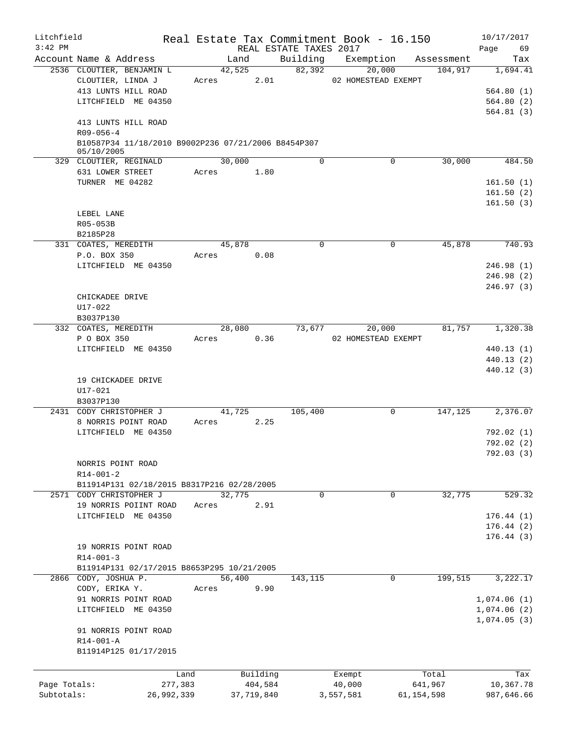| Litchfield<br>$3:42$ PM |                                                     |        |            | REAL ESTATE TAXES 2017 | Real Estate Tax Commitment Book - 16.150 |              |            | 10/17/2017<br>Page<br>69 |
|-------------------------|-----------------------------------------------------|--------|------------|------------------------|------------------------------------------|--------------|------------|--------------------------|
|                         | Account Name & Address                              | Land   |            |                        | Building Exemption                       |              | Assessment | Tax                      |
|                         | 2536 CLOUTIER, BENJAMIN L                           | 42,525 |            | 82,392                 | 20,000                                   |              | 104,917    | 1,694.41                 |
|                         | CLOUTIER, LINDA J                                   | Acres  | 2.01       |                        | 02 HOMESTEAD EXEMPT                      |              |            |                          |
|                         | 413 LUNTS HILL ROAD                                 |        |            |                        |                                          |              |            | 564.80(1)                |
|                         | LITCHFIELD ME 04350                                 |        |            |                        |                                          |              |            | 564.80(2)                |
|                         |                                                     |        |            |                        |                                          |              |            | 564.81(3)                |
|                         | 413 LUNTS HILL ROAD                                 |        |            |                        |                                          |              |            |                          |
|                         | $R09 - 056 - 4$                                     |        |            |                        |                                          |              |            |                          |
|                         | B10587P34 11/18/2010 B9002P236 07/21/2006 B8454P307 |        |            |                        |                                          |              |            |                          |
|                         | 05/10/2005                                          |        |            |                        |                                          |              |            |                          |
|                         | 329 CLOUTIER, REGINALD                              | 30,000 |            | $\Omega$               | $\Omega$                                 |              | 30,000     | 484.50                   |
|                         | 631 LOWER STREET                                    | Acres  | 1.80       |                        |                                          |              |            |                          |
|                         | TURNER ME 04282                                     |        |            |                        |                                          |              |            | 161.50(1)                |
|                         |                                                     |        |            |                        |                                          |              |            | 161.50(2)                |
|                         |                                                     |        |            |                        |                                          |              |            | 161.50(3)                |
|                         | LEBEL LANE                                          |        |            |                        |                                          |              |            |                          |
|                         | R05-053B                                            |        |            |                        |                                          |              |            |                          |
|                         | B2185P28                                            |        |            |                        |                                          |              |            |                          |
|                         | 331 COATES, MEREDITH                                | 45,878 |            | 0                      | $\mathbf 0$                              |              | 45,878     | 740.93                   |
|                         | P.O. BOX 350                                        | Acres  | 0.08       |                        |                                          |              |            |                          |
|                         | LITCHFIELD ME 04350                                 |        |            |                        |                                          |              |            | 246.98(1)                |
|                         |                                                     |        |            |                        |                                          |              |            | 246.98(2)                |
|                         |                                                     |        |            |                        |                                          |              |            | 246.97(3)                |
|                         | CHICKADEE DRIVE                                     |        |            |                        |                                          |              |            |                          |
|                         | U17-022                                             |        |            |                        |                                          |              |            |                          |
|                         | B3037P130                                           |        |            |                        |                                          |              |            |                          |
|                         | 332 COATES, MEREDITH                                | 28,080 |            | 73,677                 | 20,000                                   |              | 81,757     | 1,320.38                 |
|                         | P O BOX 350                                         | Acres  | 0.36       |                        | 02 HOMESTEAD EXEMPT                      |              |            |                          |
|                         | LITCHFIELD ME 04350                                 |        |            |                        |                                          |              |            | 440.13(1)                |
|                         |                                                     |        |            |                        |                                          |              |            | 440.13(2)                |
|                         |                                                     |        |            |                        |                                          |              |            | 440.12 (3)               |
|                         | 19 CHICKADEE DRIVE                                  |        |            |                        |                                          |              |            |                          |
|                         | $U17 - 021$                                         |        |            |                        |                                          |              |            |                          |
|                         | B3037P130                                           |        |            |                        |                                          |              |            |                          |
|                         | 2431 CODY CHRISTOPHER J                             | 41,725 |            | 105,400                | 0                                        |              | 147,125    | 2,376.07                 |
|                         | 8 NORRIS POINT ROAD                                 | Acres  | 2.25       |                        |                                          |              |            |                          |
|                         |                                                     |        |            |                        |                                          |              |            |                          |
|                         | LITCHFIELD ME 04350                                 |        |            |                        |                                          |              |            | 792.02(1)                |
|                         |                                                     |        |            |                        |                                          |              |            | 792.02(2)                |
|                         |                                                     |        |            |                        |                                          |              |            | 792.03(3)                |
|                         | NORRIS POINT ROAD                                   |        |            |                        |                                          |              |            |                          |
|                         | $R14 - 001 - 2$                                     |        |            |                        |                                          |              |            |                          |
|                         | B11914P131 02/18/2015 B8317P216 02/28/2005          |        |            |                        |                                          |              |            |                          |
|                         | 2571 CODY CHRISTOPHER J                             | 32,775 |            | 0                      | 0                                        |              | 32,775     | 529.32                   |
|                         | 19 NORRIS POIINT ROAD                               | Acres  | 2.91       |                        |                                          |              |            |                          |
|                         | LITCHFIELD ME 04350                                 |        |            |                        |                                          |              |            | 176.44(1)                |
|                         |                                                     |        |            |                        |                                          |              |            | 176.44(2)                |
|                         |                                                     |        |            |                        |                                          |              |            | 176.44(3)                |
|                         | 19 NORRIS POINT ROAD                                |        |            |                        |                                          |              |            |                          |
|                         | $R14 - 001 - 3$                                     |        |            |                        |                                          |              |            |                          |
|                         | B11914P131 02/17/2015 B8653P295 10/21/2005          |        |            |                        |                                          |              |            |                          |
|                         | 2866 CODY, JOSHUA P.                                | 56,400 |            | 143, 115               | $\mathbf 0$                              |              | 199,515    | 3,222.17                 |
|                         | CODY, ERIKA Y.                                      | Acres  | 9.90       |                        |                                          |              |            |                          |
|                         | 91 NORRIS POINT ROAD                                |        |            |                        |                                          |              |            | 1,074.06(1)              |
|                         | LITCHFIELD ME 04350                                 |        |            |                        |                                          |              |            | 1,074.06(2)              |
|                         |                                                     |        |            |                        |                                          |              |            | 1,074.05(3)              |
|                         | 91 NORRIS POINT ROAD                                |        |            |                        |                                          |              |            |                          |
|                         | R14-001-A                                           |        |            |                        |                                          |              |            |                          |
|                         | B11914P125 01/17/2015                               |        |            |                        |                                          |              |            |                          |
|                         |                                                     |        |            |                        |                                          |              |            |                          |
|                         |                                                     |        |            |                        |                                          |              |            |                          |
|                         | Land                                                |        | Building   |                        | Exempt                                   | Total        |            | Tax                      |
| Page Totals:            | 277,383                                             |        | 404,584    |                        | 40,000                                   | 641,967      |            | 10,367.78                |
| Subtotals:              | 26,992,339                                          |        | 37,719,840 |                        | 3,557,581                                | 61, 154, 598 |            | 987,646.66               |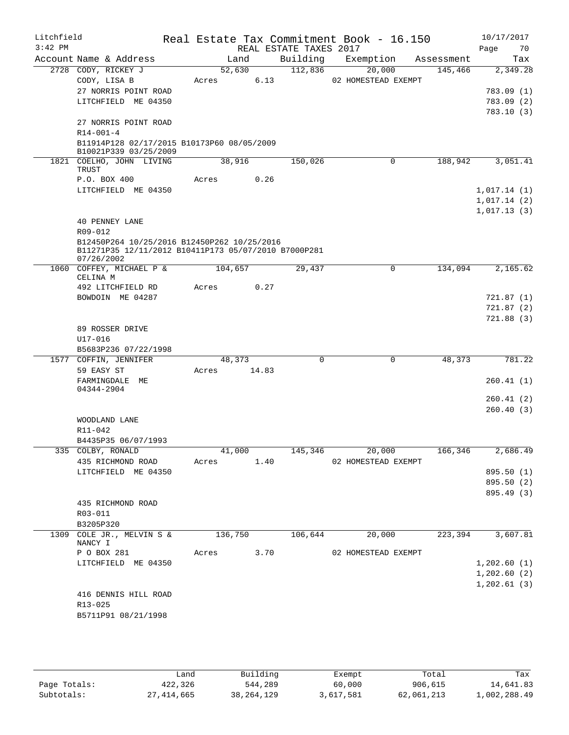| Litchfield<br>$3:42$ PM |                                                                                                     |         |        | REAL ESTATE TAXES 2017 | Real Estate Tax Commitment Book - 16.150 |            | 10/17/2017<br>70<br>Page |
|-------------------------|-----------------------------------------------------------------------------------------------------|---------|--------|------------------------|------------------------------------------|------------|--------------------------|
|                         | Account Name & Address                                                                              | Land    |        | Building               | Exemption                                | Assessment | Tax                      |
|                         | 2728 CODY, RICKEY J                                                                                 | 52,630  |        | 112,836                | 20,000                                   | 145,466    | 2,349.28                 |
|                         | CODY, LISA B                                                                                        | Acres   | 6.13   |                        | 02 HOMESTEAD EXEMPT                      |            |                          |
|                         | 27 NORRIS POINT ROAD                                                                                |         |        |                        |                                          |            | 783.09 (1)               |
|                         | LITCHFIELD ME 04350                                                                                 |         |        |                        |                                          |            | 783.09(2)<br>783.10(3)   |
|                         | 27 NORRIS POINT ROAD                                                                                |         |        |                        |                                          |            |                          |
|                         | $R14 - 001 - 4$                                                                                     |         |        |                        |                                          |            |                          |
|                         | B11914P128 02/17/2015 B10173P60 08/05/2009<br>B10021P339 03/25/2009                                 |         |        |                        |                                          |            |                          |
|                         | 1821 COELHO, JOHN LIVING<br>TRUST                                                                   | 38,916  |        | 150,026                | 0                                        | 188,942    | 3,051.41                 |
|                         | P.O. BOX 400                                                                                        | Acres   | 0.26   |                        |                                          |            |                          |
|                         | LITCHFIELD ME 04350                                                                                 |         |        |                        |                                          |            | 1,017.14(1)              |
|                         |                                                                                                     |         |        |                        |                                          |            | 1,017.14(2)              |
|                         |                                                                                                     |         |        |                        |                                          |            | 1,017.13(3)              |
|                         | <b>40 PENNEY LANE</b><br>R09-012                                                                    |         |        |                        |                                          |            |                          |
|                         | B12450P264 10/25/2016 B12450P262 10/25/2016<br>B11271P35 12/11/2012 B10411P173 05/07/2010 B7000P281 |         |        |                        |                                          |            |                          |
|                         | 07/26/2002                                                                                          |         |        |                        |                                          |            | 2,165.62                 |
|                         | 1060 COFFEY, MICHAEL P &<br>CELINA M                                                                | 104,657 |        | 29,437                 | $\mathbf 0$                              | 134,094    |                          |
|                         | 492 LITCHFIELD RD                                                                                   | Acres   | 0.27   |                        |                                          |            |                          |
|                         | BOWDOIN ME 04287                                                                                    |         |        |                        |                                          |            | 721.87(1)                |
|                         |                                                                                                     |         |        |                        |                                          |            | 721.87(2)                |
|                         | 89 ROSSER DRIVE                                                                                     |         |        |                        |                                          |            | 721.88(3)                |
|                         | $U17 - 016$                                                                                         |         |        |                        |                                          |            |                          |
|                         | B5683P236 07/22/1998                                                                                |         |        |                        |                                          |            |                          |
|                         | 1577 COFFIN, JENNIFER                                                                               | 48,373  |        | $\Omega$               | 0                                        | 48,373     | 781.22                   |
|                         | 59 EASY ST                                                                                          | Acres   | 14.83  |                        |                                          |            |                          |
|                         | FARMINGDALE ME                                                                                      |         |        |                        |                                          |            | 260.41(1)                |
|                         | 04344-2904                                                                                          |         |        |                        |                                          |            | 260.41 (2)               |
|                         |                                                                                                     |         |        |                        |                                          |            | 260.40(3)                |
|                         | WOODLAND LANE                                                                                       |         |        |                        |                                          |            |                          |
|                         | R11-042                                                                                             |         |        |                        |                                          |            |                          |
|                         | B4435P35 06/07/1993                                                                                 |         |        |                        |                                          |            |                          |
|                         | 335 COLBY, RONALD                                                                                   |         | 41,000 | 145,346                | 20,000                                   | 166,346    | 2,686.49                 |
|                         | 435 RICHMOND ROAD                                                                                   | Acres   | 1.40   |                        | 02 HOMESTEAD EXEMPT                      |            |                          |
|                         | LITCHFIELD ME 04350                                                                                 |         |        |                        |                                          |            | 895.50 (1)               |
|                         |                                                                                                     |         |        |                        |                                          |            | 895.50 (2)               |
|                         |                                                                                                     |         |        |                        |                                          |            | 895.49 (3)               |
|                         | 435 RICHMOND ROAD<br>R03-011                                                                        |         |        |                        |                                          |            |                          |
|                         | B3205P320                                                                                           |         |        |                        |                                          |            |                          |
|                         | 1309 COLE JR., MELVIN S &                                                                           | 136,750 |        | 106,644                | 20,000                                   | 223,394    | 3,607.81                 |
|                         | NANCY I                                                                                             |         |        |                        |                                          |            |                          |
|                         | P O BOX 281                                                                                         | Acres   | 3.70   |                        | 02 HOMESTEAD EXEMPT                      |            |                          |
|                         | LITCHFIELD ME 04350                                                                                 |         |        |                        |                                          |            | 1,202.60(1)              |
|                         |                                                                                                     |         |        |                        |                                          |            | 1,202.60(2)              |
|                         |                                                                                                     |         |        |                        |                                          |            | 1, 202.61(3)             |
|                         | 416 DENNIS HILL ROAD<br>R13-025                                                                     |         |        |                        |                                          |            |                          |
|                         | B5711P91 08/21/1998                                                                                 |         |        |                        |                                          |            |                          |
|                         |                                                                                                     |         |        |                        |                                          |            |                          |
|                         |                                                                                                     |         |        |                        |                                          |            |                          |
|                         |                                                                                                     |         |        |                        |                                          |            |                          |

|              | Land         | Building     | Exempt    | Total      | Tax          |
|--------------|--------------|--------------|-----------|------------|--------------|
| Page Totals: | 422,326      | 544,289      | 60,000    | 906,615    | 14,641.83    |
| Subtotals:   | 27, 414, 665 | 38, 264, 129 | 3,617,581 | 62,061,213 | 1,002,288.49 |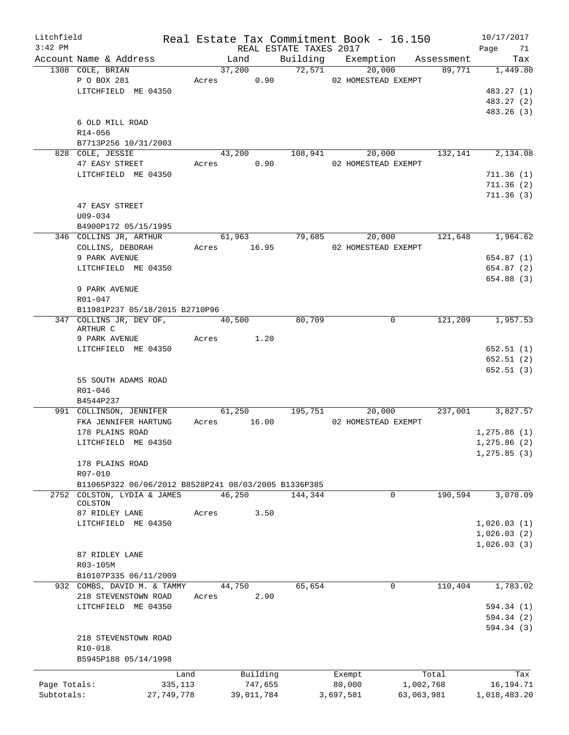| Litchfield<br>$3:42$ PM |                                                      |       |             | REAL ESTATE TAXES 2017 |           | Real Estate Tax Commitment Book - 16.150 |            | 10/17/2017<br>Page<br>71 |
|-------------------------|------------------------------------------------------|-------|-------------|------------------------|-----------|------------------------------------------|------------|--------------------------|
|                         | Account Name & Address                               |       | Land        |                        |           | Building Exemption Assessment            |            | Tax                      |
|                         | 1308 COLE, BRIAN                                     |       | 37,200      | 72,571                 |           | 20,000                                   | 89,771     | 1,449.80                 |
|                         | P O BOX 281                                          |       | Acres 0.90  |                        |           | 02 HOMESTEAD EXEMPT                      |            |                          |
|                         | LITCHFIELD ME 04350                                  |       |             |                        |           |                                          |            | 483.27 (1)               |
|                         |                                                      |       |             |                        |           |                                          |            | 483.27 (2)               |
|                         |                                                      |       |             |                        |           |                                          |            | 483.26 (3)               |
|                         | 6 OLD MILL ROAD                                      |       |             |                        |           |                                          |            |                          |
|                         | R14-056                                              |       |             |                        |           |                                          |            |                          |
|                         | B7713P256 10/31/2003                                 |       |             |                        |           |                                          |            |                          |
|                         | 828 COLE, JESSIE                                     |       |             | 43,200 108,941         |           | 20,000                                   | 132,141    | 2,134.08                 |
|                         | 47 EASY STREET                                       |       | Acres 0.90  |                        |           | 02 HOMESTEAD EXEMPT                      |            |                          |
|                         | LITCHFIELD ME 04350                                  |       |             |                        |           |                                          |            | 711.36(1)                |
|                         |                                                      |       |             |                        |           |                                          |            |                          |
|                         |                                                      |       |             |                        |           |                                          |            | 711.36(2)                |
|                         |                                                      |       |             |                        |           |                                          |            | 711.36(3)                |
|                         | 47 EASY STREET                                       |       |             |                        |           |                                          |            |                          |
|                         | $U09 - 034$                                          |       |             |                        |           |                                          |            |                          |
|                         | B4900P172 05/15/1995                                 |       |             |                        |           |                                          |            |                          |
|                         | 346 COLLINS JR, ARTHUR                               |       |             | 61,963 79,685          |           |                                          |            | 20,000 121,648 1,964.62  |
|                         | COLLINS, DEBORAH                                     |       | Acres 16.95 |                        |           | 02 HOMESTEAD EXEMPT                      |            |                          |
|                         | 9 PARK AVENUE                                        |       |             |                        |           |                                          |            | 654.87(1)                |
|                         | LITCHFIELD ME 04350                                  |       |             |                        |           |                                          |            | 654.87 (2)               |
|                         |                                                      |       |             |                        |           |                                          |            | 654.88 (3)               |
|                         | 9 PARK AVENUE                                        |       |             |                        |           |                                          |            |                          |
|                         | R01-047                                              |       |             |                        |           |                                          |            |                          |
|                         | B11981P237 05/18/2015 B2710P96                       |       |             |                        |           |                                          |            |                          |
|                         | 347 COLLINS JR, DEV OF, 40,500                       |       |             | 80,709                 |           | $\mathbf 0$                              | 121,209    | 1,957.53                 |
|                         | ARTHUR C                                             |       |             |                        |           |                                          |            |                          |
|                         | 9 PARK AVENUE Acres 1.20                             |       |             |                        |           |                                          |            |                          |
|                         | LITCHFIELD ME 04350                                  |       |             |                        |           |                                          |            | 652.51(1)                |
|                         |                                                      |       |             |                        |           |                                          |            | 652.51(2)                |
|                         |                                                      |       |             |                        |           |                                          |            | 652.51(3)                |
|                         | 55 SOUTH ADAMS ROAD                                  |       |             |                        |           |                                          |            |                          |
|                         | R01-046                                              |       |             |                        |           |                                          |            |                          |
|                         | B4544P237                                            |       |             |                        |           |                                          |            |                          |
|                         | 991 COLLINSON, JENNIFER                              |       |             | 61,250 195,751         |           | 20,000                                   |            | 237,001 3,827.57         |
|                         | FKA JENNIFER HARTUNG                                 |       | Acres 16.00 |                        |           | 02 HOMESTEAD EXEMPT                      |            |                          |
|                         | 178 PLAINS ROAD                                      |       |             |                        |           |                                          |            | 1, 275.86(1)             |
|                         | LITCHFIELD ME 04350                                  |       |             |                        |           |                                          |            | 1, 275.86(2)             |
|                         |                                                      |       |             |                        |           |                                          |            | 1, 275.85(3)             |
|                         | 178 PLAINS ROAD                                      |       |             |                        |           |                                          |            |                          |
|                         | R07-010                                              |       |             |                        |           |                                          |            |                          |
|                         | B11065P322 06/06/2012 B8528P241 08/03/2005 B1336P385 |       |             |                        |           |                                          |            |                          |
|                         | 2752 COLSTON, LYDIA & JAMES                          |       | 46,250      | 144,344                |           | 0                                        | 190,594    | 3,078.09                 |
|                         | COLSTON                                              |       |             |                        |           |                                          |            |                          |
|                         | 87 RIDLEY LANE                                       | Acres | 3.50        |                        |           |                                          |            |                          |
|                         | LITCHFIELD ME 04350                                  |       |             |                        |           |                                          |            | 1,026.03(1)              |
|                         |                                                      |       |             |                        |           |                                          |            | 1,026.03(2)              |
|                         |                                                      |       |             |                        |           |                                          |            | 1,026.03(3)              |
|                         | 87 RIDLEY LANE                                       |       |             |                        |           |                                          |            |                          |
|                         | R03-105M                                             |       |             |                        |           |                                          |            |                          |
|                         | B10107P335 06/11/2009                                |       |             |                        |           |                                          |            |                          |
|                         | 932 COMBS, DAVID M. & TAMMY                          |       | 44,750      | 65,654                 |           | 0                                        | 110,404    | 1,783.02                 |
|                         | 218 STEVENSTOWN ROAD                                 | Acres | 2.90        |                        |           |                                          |            |                          |
|                         | LITCHFIELD ME 04350                                  |       |             |                        |           |                                          |            | 594.34 (1)               |
|                         |                                                      |       |             |                        |           |                                          |            | 594.34 (2)               |
|                         |                                                      |       |             |                        |           |                                          |            | 594.34 (3)               |
|                         | 218 STEVENSTOWN ROAD                                 |       |             |                        |           |                                          |            |                          |
|                         | R10-018                                              |       |             |                        |           |                                          |            |                          |
|                         |                                                      |       |             |                        |           |                                          |            |                          |
|                         | B5945P188 05/14/1998                                 |       |             |                        |           |                                          |            |                          |
|                         |                                                      | Land  | Building    |                        | Exempt    |                                          | Total      | Tax                      |
| Page Totals:            | 335,113                                              |       | 747,655     |                        | 80,000    |                                          | 1,002,768  | 16, 194. 71              |
| Subtotals:              | 27,749,778                                           |       | 39,011,784  |                        | 3,697,581 |                                          | 63,063,981 | 1,018,483.20             |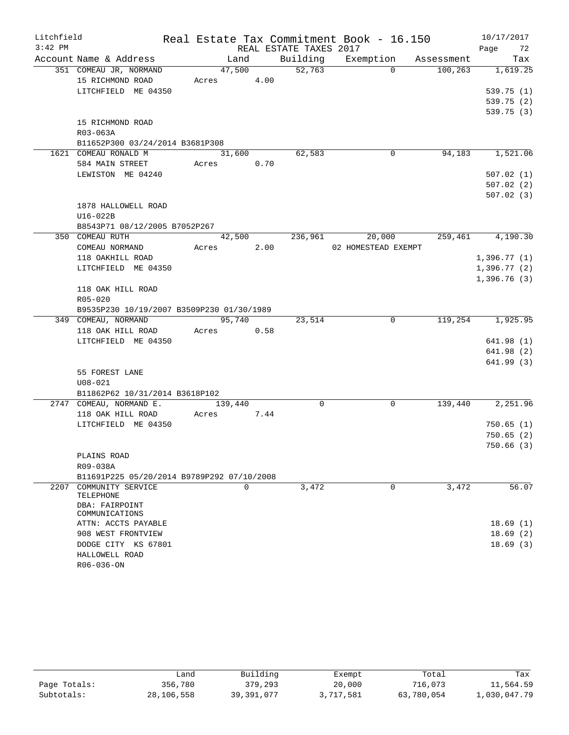| Litchfield |                                            |         |      |                        | Real Estate Tax Commitment Book - 16.150 |            | 10/17/2017  |
|------------|--------------------------------------------|---------|------|------------------------|------------------------------------------|------------|-------------|
| $3:42$ PM  |                                            |         |      | REAL ESTATE TAXES 2017 |                                          |            | Page<br>72  |
|            | Account Name & Address                     | Land    |      | Building               | Exemption                                | Assessment | Tax         |
|            | 351 COMEAU JR, NORMAND                     | 47,500  |      | 52,763                 | $\Omega$                                 | 100,263    | 1,619.25    |
|            | 15 RICHMOND ROAD                           | Acres   | 4.00 |                        |                                          |            |             |
|            | LITCHFIELD ME 04350                        |         |      |                        |                                          |            | 539.75(1)   |
|            |                                            |         |      |                        |                                          |            | 539.75 (2)  |
|            |                                            |         |      |                        |                                          |            | 539.75(3)   |
|            | 15 RICHMOND ROAD                           |         |      |                        |                                          |            |             |
|            | R03-063A                                   |         |      |                        |                                          |            |             |
|            | B11652P300 03/24/2014 B3681P308            |         |      |                        |                                          |            |             |
|            | 1621 COMEAU RONALD M                       | 31,600  |      | 62,583                 | 0                                        | 94,183     | 1,521.06    |
|            | 584 MAIN STREET                            | Acres   | 0.70 |                        |                                          |            |             |
|            | LEWISTON ME 04240                          |         |      |                        |                                          |            | 507.02(1)   |
|            |                                            |         |      |                        |                                          |            | 507.02(2)   |
|            |                                            |         |      |                        |                                          |            | 507.02(3)   |
|            | 1878 HALLOWELL ROAD                        |         |      |                        |                                          |            |             |
|            | U16-022B                                   |         |      |                        |                                          |            |             |
|            | B8543P71 08/12/2005 B7052P267              |         |      |                        |                                          |            |             |
|            | 350 COMEAU RUTH                            | 42,500  |      | 236,961                | 20,000                                   | 259,461    | 4,190.30    |
|            | COMEAU NORMAND                             | Acres   | 2.00 |                        | 02 HOMESTEAD EXEMPT                      |            |             |
|            | 118 OAKHILL ROAD                           |         |      |                        |                                          |            | 1,396.77(1) |
|            | LITCHFIELD ME 04350                        |         |      |                        |                                          |            | 1,396.77(2) |
|            |                                            |         |      |                        |                                          |            | 1,396.76(3) |
|            | 118 OAK HILL ROAD                          |         |      |                        |                                          |            |             |
|            | R05-020                                    |         |      |                        |                                          |            |             |
|            | B9535P230 10/19/2007 B3509P230 01/30/1989  |         |      |                        |                                          |            |             |
|            | 349 COMEAU, NORMAND                        | 95,740  |      | 23,514                 | 0                                        | 119,254    | 1,925.95    |
|            | 118 OAK HILL ROAD                          | Acres   | 0.58 |                        |                                          |            |             |
|            | LITCHFIELD ME 04350                        |         |      |                        |                                          |            | 641.98 (1)  |
|            |                                            |         |      |                        |                                          |            | 641.98(2)   |
|            |                                            |         |      |                        |                                          |            | 641.99(3)   |
|            | 55 FOREST LANE                             |         |      |                        |                                          |            |             |
|            | $U08 - 021$                                |         |      |                        |                                          |            |             |
|            | B11862P62 10/31/2014 B3618P102             |         |      |                        |                                          |            |             |
|            | 2747 COMEAU, NORMAND E.                    | 139,440 |      | $\Omega$               | $\Omega$                                 | 139,440    | 2,251.96    |
|            | 118 OAK HILL ROAD                          | Acres   | 7.44 |                        |                                          |            |             |
|            | LITCHFIELD ME 04350                        |         |      |                        |                                          |            | 750.65(1)   |
|            |                                            |         |      |                        |                                          |            | 750.65(2)   |
|            |                                            |         |      |                        |                                          |            | 750.66(3)   |
|            | PLAINS ROAD                                |         |      |                        |                                          |            |             |
|            | R09-038A                                   |         |      |                        |                                          |            |             |
|            | B11691P225 05/20/2014 B9789P292 07/10/2008 |         |      |                        |                                          |            |             |
| 2207       | COMMUNITY SERVICE<br>TELEPHONE             | 0       |      | 3,472                  | $\mathbf 0$                              | 3,472      | 56.07       |
|            | DBA: FAIRPOINT<br>COMMUNICATIONS           |         |      |                        |                                          |            |             |
|            | ATTN: ACCTS PAYABLE                        |         |      |                        |                                          |            | 18.69(1)    |
|            | 908 WEST FRONTVIEW                         |         |      |                        |                                          |            | 18.69(2)    |
|            | DODGE CITY KS 67801                        |         |      |                        |                                          |            | 18.69(3)    |
|            | HALLOWELL ROAD                             |         |      |                        |                                          |            |             |
|            | R06-036-ON                                 |         |      |                        |                                          |            |             |

|              | Land       | Building   | Exempt    | Total      | Tax          |
|--------------|------------|------------|-----------|------------|--------------|
| Page Totals: | 356,780    | 379,293    | 20,000    | 716,073    | 11,564.59    |
| Subtotals:   | 28,106,558 | 39,391,077 | 3,717,581 | 63,780,054 | 1,030,047.79 |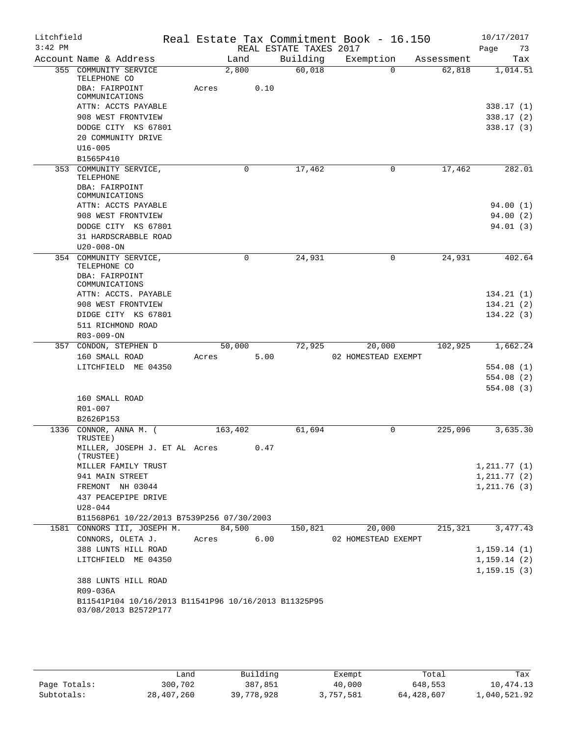| Litchfield<br>$3:42$ PM |                                                                              |         |          |      | REAL ESTATE TAXES 2017 | Real Estate Tax Commitment Book - 16.150 |            | 10/17/2017<br>Page<br>73 |
|-------------------------|------------------------------------------------------------------------------|---------|----------|------|------------------------|------------------------------------------|------------|--------------------------|
|                         | Account Name & Address                                                       |         | Land     |      | Building               | Exemption                                | Assessment | Tax                      |
|                         | 355 COMMUNITY SERVICE<br>TELEPHONE CO                                        |         | 2,800    |      | 60,018                 | $\Omega$                                 | 62,818     | 1,014.51                 |
|                         | DBA: FAIRPOINT<br>COMMUNICATIONS                                             | Acres   |          | 0.10 |                        |                                          |            |                          |
|                         | ATTN: ACCTS PAYABLE                                                          |         |          |      |                        |                                          |            | 338.17 (1)               |
|                         | 908 WEST FRONTVIEW                                                           |         |          |      |                        |                                          |            | 338.17(2)                |
|                         | DODGE CITY KS 67801                                                          |         |          |      |                        |                                          |            | 338.17(3)                |
|                         | 20 COMMUNITY DRIVE                                                           |         |          |      |                        |                                          |            |                          |
|                         | $U16 - 005$                                                                  |         |          |      |                        |                                          |            |                          |
|                         | B1565P410                                                                    |         |          |      |                        |                                          |            |                          |
|                         | 353 COMMUNITY SERVICE,<br>TELEPHONE                                          |         | $\Omega$ |      | 17,462                 | 0                                        | 17,462     | 282.01                   |
|                         | DBA: FAIRPOINT                                                               |         |          |      |                        |                                          |            |                          |
|                         | COMMUNICATIONS                                                               |         |          |      |                        |                                          |            |                          |
|                         | ATTN: ACCTS PAYABLE<br>908 WEST FRONTVIEW                                    |         |          |      |                        |                                          |            | 94.00(1)<br>94.00(2)     |
|                         | DODGE CITY KS 67801                                                          |         |          |      |                        |                                          |            | 94.01(3)                 |
|                         | 31 HARDSCRABBLE ROAD                                                         |         |          |      |                        |                                          |            |                          |
|                         | $U20 - 008 - ON$                                                             |         |          |      |                        |                                          |            |                          |
|                         | 354 COMMUNITY SERVICE,<br>TELEPHONE CO                                       |         | $\Omega$ |      | 24,931                 | 0                                        | 24,931     | 402.64                   |
|                         | DBA: FAIRPOINT<br>COMMUNICATIONS                                             |         |          |      |                        |                                          |            |                          |
|                         | ATTN: ACCTS. PAYABLE                                                         |         |          |      |                        |                                          |            | 134.21(1)                |
|                         | 908 WEST FRONTVIEW                                                           |         |          |      |                        |                                          |            | 134.21(2)                |
|                         | DIDGE CITY KS 67801                                                          |         |          |      |                        |                                          |            | 134.22(3)                |
|                         | 511 RICHMOND ROAD                                                            |         |          |      |                        |                                          |            |                          |
|                         | R03-009-ON                                                                   |         |          |      |                        |                                          |            |                          |
|                         | 357 CONDON, STEPHEN D                                                        |         | 50,000   |      | 72,925                 | 20,000                                   | 102,925    | 1,662.24                 |
|                         | 160 SMALL ROAD                                                               | Acres   |          | 5.00 |                        | 02 HOMESTEAD EXEMPT                      |            |                          |
|                         | LITCHFIELD ME 04350                                                          |         |          |      |                        |                                          |            | 554.08(1)                |
|                         |                                                                              |         |          |      |                        |                                          |            | 554.08(2)                |
|                         |                                                                              |         |          |      |                        |                                          |            | 554.08(3)                |
|                         | 160 SMALL ROAD                                                               |         |          |      |                        |                                          |            |                          |
|                         | R01-007                                                                      |         |          |      |                        |                                          |            |                          |
|                         | B2626P153                                                                    |         |          |      |                        |                                          |            |                          |
| 1336                    | CONNOR, ANNA M. (<br>TRUSTEE)                                                | 163,402 |          |      | 61,694                 | $\mathbf 0$                              | 225,096    | 3,635.30                 |
|                         | MILLER, JOSEPH J. ET AL Acres 0.47<br>(TRUSTEE)                              |         |          |      |                        |                                          |            |                          |
|                         | MILLER FAMILY TRUST                                                          |         |          |      |                        |                                          |            | 1, 211.77(1)             |
|                         | 941 MAIN STREET                                                              |         |          |      |                        |                                          |            | 1, 211.77(2)             |
|                         | FREMONT NH 03044                                                             |         |          |      |                        |                                          |            | 1, 211.76(3)             |
|                         | 437 PEACEPIPE DRIVE                                                          |         |          |      |                        |                                          |            |                          |
|                         | $U28 - 044$                                                                  |         |          |      |                        |                                          |            |                          |
|                         | B11568P61 10/22/2013 B7539P256 07/30/2003<br>1581 CONNORS III, JOSEPH M.     |         | 84,500   |      | 150,821                | 20,000                                   | 215,321    | 3, 477.43                |
|                         | CONNORS, OLETA J.                                                            |         |          |      |                        |                                          |            |                          |
|                         |                                                                              | Acres   |          | 6.00 |                        | 02 HOMESTEAD EXEMPT                      |            | 1,159.14(1)              |
|                         | 388 LUNTS HILL ROAD                                                          |         |          |      |                        |                                          |            |                          |
|                         | LITCHFIELD ME 04350                                                          |         |          |      |                        |                                          |            | 1,159.14(2)              |
|                         | 388 LUNTS HILL ROAD                                                          |         |          |      |                        |                                          |            | 1, 159.15(3)             |
|                         | R09-036A                                                                     |         |          |      |                        |                                          |            |                          |
|                         | B11541P104 10/16/2013 B11541P96 10/16/2013 B11325P95<br>03/08/2013 B2572P177 |         |          |      |                        |                                          |            |                          |
|                         |                                                                              |         |          |      |                        |                                          |            |                          |

|              | úand       | Building   | Exempt    | Total      | Tax          |
|--------------|------------|------------|-----------|------------|--------------|
| Page Totals: | 300,702    | 387,851    | 40,000    | 648,553    | 10,474.13    |
| Subtotals:   | 28,407,260 | 39,778,928 | 3,757,581 | 64,428,607 | 1,040,521.92 |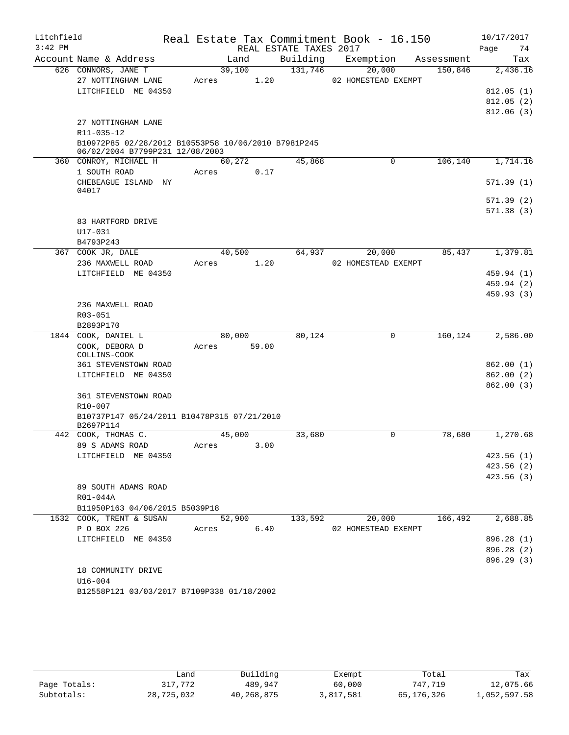| Litchfield |                                                     |                |                        | Real Estate Tax Commitment Book - 16.150 |            | 10/17/2017 |
|------------|-----------------------------------------------------|----------------|------------------------|------------------------------------------|------------|------------|
| $3:42$ PM  |                                                     |                | REAL ESTATE TAXES 2017 |                                          |            | Page<br>74 |
|            | Account Name & Address                              | Land           | Building               | Exemption                                | Assessment | Tax        |
|            | 626 CONNORS, JANE T                                 | 39,100         | 131,746                | 20,000                                   | 150,846    | 2,436.16   |
|            | 27 NOTTINGHAM LANE                                  | 1.20<br>Acres  |                        | 02 HOMESTEAD EXEMPT                      |            |            |
|            | LITCHFIELD ME 04350                                 |                |                        |                                          |            | 812.05(1)  |
|            |                                                     |                |                        |                                          |            | 812.05(2)  |
|            |                                                     |                |                        |                                          |            | 812.06(3)  |
|            | 27 NOTTINGHAM LANE<br>R11-035-12                    |                |                        |                                          |            |            |
|            | B10972P85 02/28/2012 B10553P58 10/06/2010 B7981P245 |                |                        |                                          |            |            |
|            | 06/02/2004 B7799P231 12/08/2003                     |                |                        |                                          |            |            |
|            | 360 CONROY, MICHAEL H                               | 60,272         | 45,868                 | 0                                        | 106,140    | 1,714.16   |
|            | 1 SOUTH ROAD                                        | 0.17<br>Acres  |                        |                                          |            |            |
|            | CHEBEAGUE ISLAND NY                                 |                |                        |                                          |            | 571.39(1)  |
|            | 04017                                               |                |                        |                                          |            |            |
|            |                                                     |                |                        |                                          |            | 571.39(2)  |
|            |                                                     |                |                        |                                          |            | 571.38(3)  |
|            | 83 HARTFORD DRIVE<br>$U17 - 031$                    |                |                        |                                          |            |            |
|            | B4793P243                                           |                |                        |                                          |            |            |
|            | 367 COOK JR, DALE                                   | 40,500         | 64,937                 | 20,000                                   | 85,437     | 1,379.81   |
|            | 236 MAXWELL ROAD                                    | 1.20<br>Acres  |                        | 02 HOMESTEAD EXEMPT                      |            |            |
|            | LITCHFIELD ME 04350                                 |                |                        |                                          |            | 459.94 (1) |
|            |                                                     |                |                        |                                          |            | 459.94 (2) |
|            |                                                     |                |                        |                                          |            | 459.93(3)  |
|            | 236 MAXWELL ROAD                                    |                |                        |                                          |            |            |
|            | R03-051                                             |                |                        |                                          |            |            |
|            | B2893P170                                           |                |                        |                                          |            |            |
|            | 1844 COOK, DANIEL L                                 | 80,000         | 80,124                 | 0                                        | 160,124    | 2,586.00   |
|            | COOK, DEBORA D                                      | 59.00<br>Acres |                        |                                          |            |            |
|            | COLLINS-COOK<br>361 STEVENSTOWN ROAD                |                |                        |                                          |            | 862.00(1)  |
|            | LITCHFIELD ME 04350                                 |                |                        |                                          |            | 862.00(2)  |
|            |                                                     |                |                        |                                          |            | 862.00(3)  |
|            | <b>361 STEVENSTOWN ROAD</b>                         |                |                        |                                          |            |            |
|            | R10-007                                             |                |                        |                                          |            |            |
|            | B10737P147 05/24/2011 B10478P315 07/21/2010         |                |                        |                                          |            |            |
|            | B2697P114                                           |                |                        |                                          |            |            |
|            | 442 COOK, THOMAS C.                                 | 45,000         | 33,680                 | 0                                        | 78,680     | 1,270.68   |
|            | 89 S ADAMS ROAD                                     | Acres<br>3.00  |                        |                                          |            |            |
|            | LITCHFIELD ME 04350                                 |                |                        |                                          |            | 423.56(1)  |
|            |                                                     |                |                        |                                          |            | 423.56(2)  |
|            |                                                     |                |                        |                                          |            | 423.56(3)  |
|            | 89 SOUTH ADAMS ROAD                                 |                |                        |                                          |            |            |
|            | R01-044A<br>B11950P163 04/06/2015 B5039P18          |                |                        |                                          |            |            |
|            | 1532 COOK, TRENT & SUSAN                            | 52,900         | 133,592                | 20,000                                   | 166,492    | 2,688.85   |
|            | P O BOX 226                                         | 6.40<br>Acres  |                        | 02 HOMESTEAD EXEMPT                      |            |            |
|            | LITCHFIELD ME 04350                                 |                |                        |                                          |            | 896.28 (1) |
|            |                                                     |                |                        |                                          |            | 896.28 (2) |
|            |                                                     |                |                        |                                          |            | 896.29 (3) |
|            | 18 COMMUNITY DRIVE                                  |                |                        |                                          |            |            |
|            | $U16 - 004$                                         |                |                        |                                          |            |            |
|            | B12558P121 03/03/2017 B7109P338 01/18/2002          |                |                        |                                          |            |            |

|              | úand       | Building   | Exempt    | Total      | Tax          |
|--------------|------------|------------|-----------|------------|--------------|
| Page Totals: | 317,772    | 489,947    | 60,000    | 747.719    | 12,075.66    |
| Subtotals:   | 28,725,032 | 40,268,875 | 3,817,581 | 65,176,326 | 1,052,597.58 |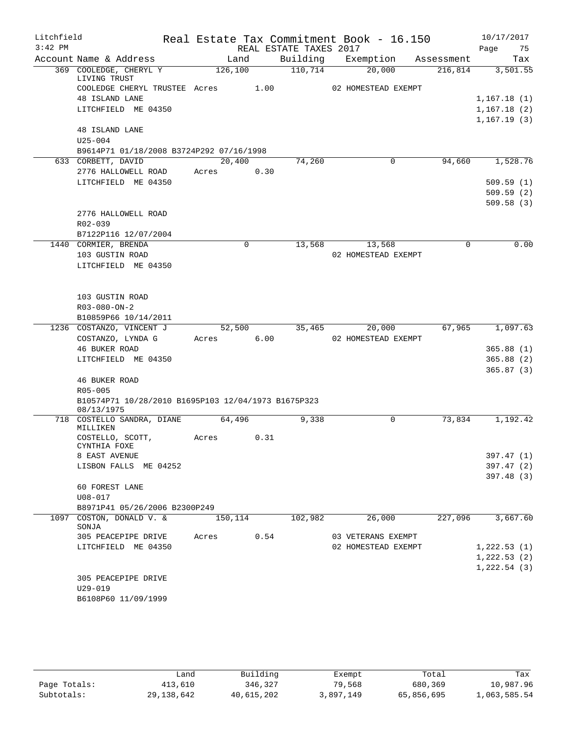| Litchfield |                                                     |         |             |                        | Real Estate Tax Commitment Book - 16.150 |             | 10/17/2017  |
|------------|-----------------------------------------------------|---------|-------------|------------------------|------------------------------------------|-------------|-------------|
| $3:42$ PM  |                                                     |         |             | REAL ESTATE TAXES 2017 |                                          |             | Page<br>75  |
|            | Account Name & Address                              |         | Land        | Building               | Exemption                                | Assessment  | Tax         |
|            | 369 COOLEDGE, CHERYL Y<br>LIVING TRUST              | 126,100 |             | 110,714                | 20,000                                   | 216,814     | 3,501.55    |
|            | COOLEDGE CHERYL TRUSTEE Acres                       |         | 1.00        |                        | 02 HOMESTEAD EXEMPT                      |             |             |
|            | 48 ISLAND LANE                                      |         |             |                        |                                          |             | 1,167.18(1) |
|            | LITCHFIELD ME 04350                                 |         |             |                        |                                          |             | 1,167.18(2) |
|            |                                                     |         |             |                        |                                          |             | 1,167.19(3) |
|            | <b>48 ISLAND LANE</b><br>$U25 - 004$                |         |             |                        |                                          |             |             |
|            | B9614P71 01/18/2008 B3724P292 07/16/1998            |         |             |                        |                                          |             |             |
|            | 633 CORBETT, DAVID                                  |         | 20,400      | 74,260                 | 0                                        | 94,660      | 1,528.76    |
|            | 2776 HALLOWELL ROAD                                 | Acres   | 0.30        |                        |                                          |             |             |
|            | LITCHFIELD ME 04350                                 |         |             |                        |                                          |             | 509.59(1)   |
|            |                                                     |         |             |                        |                                          |             | 509.59(2)   |
|            |                                                     |         |             |                        |                                          |             | 509.58(3)   |
|            | 2776 HALLOWELL ROAD                                 |         |             |                        |                                          |             |             |
|            | R02-039                                             |         |             |                        |                                          |             |             |
|            | B7122P116 12/07/2004                                |         |             |                        |                                          |             |             |
|            | 1440 CORMIER, BRENDA                                |         | $\mathbf 0$ | 13,568                 | 13,568                                   | $\mathbf 0$ | 0.00        |
|            | 103 GUSTIN ROAD                                     |         |             |                        | 02 HOMESTEAD EXEMPT                      |             |             |
|            | LITCHFIELD ME 04350                                 |         |             |                        |                                          |             |             |
|            |                                                     |         |             |                        |                                          |             |             |
|            | 103 GUSTIN ROAD                                     |         |             |                        |                                          |             |             |
|            | R03-080-ON-2                                        |         |             |                        |                                          |             |             |
|            | B10859P66 10/14/2011                                |         |             |                        |                                          |             |             |
|            | 1236 COSTANZO, VINCENT J                            |         | 52,500      | 35,465                 | 20,000                                   | 67,965      | 1,097.63    |
|            | COSTANZO, LYNDA G                                   | Acres   | 6.00        |                        | 02 HOMESTEAD EXEMPT                      |             |             |
|            | <b>46 BUKER ROAD</b>                                |         |             |                        |                                          |             | 365.88(1)   |
|            | LITCHFIELD ME 04350                                 |         |             |                        |                                          |             | 365.88(2)   |
|            | 46 BUKER ROAD                                       |         |             |                        |                                          |             | 365.87(3)   |
|            | $R05 - 005$                                         |         |             |                        |                                          |             |             |
|            | B10574P71 10/28/2010 B1695P103 12/04/1973 B1675P323 |         |             |                        |                                          |             |             |
|            | 08/13/1975                                          |         |             |                        |                                          |             |             |
|            | 718 COSTELLO SANDRA, DIANE                          |         | 64,496      | 9,338                  | 0                                        | 73,834      | 1,192.42    |
|            | MILLIKEN                                            |         |             |                        |                                          |             |             |
|            | COSTELLO, SCOTT,<br>CYNTHIA FOXE                    | Acres   | 0.31        |                        |                                          |             |             |
|            | 8 EAST AVENUE                                       |         |             |                        |                                          |             | 397.47 (1)  |
|            | LISBON FALLS ME 04252                               |         |             |                        |                                          |             | 397.47(2)   |
|            |                                                     |         |             |                        |                                          |             | 397.48 (3)  |
|            | 60 FOREST LANE                                      |         |             |                        |                                          |             |             |
|            | $U08 - 017$                                         |         |             |                        |                                          |             |             |
|            | B8971P41 05/26/2006 B2300P249                       |         |             |                        |                                          |             |             |
| 1097       | COSTON, DONALD V. &<br>SONJA                        | 150,114 |             | 102,982                | 26,000                                   | 227,096     | 3,667.60    |
|            | 305 PEACEPIPE DRIVE                                 | Acres   | 0.54        |                        | 03 VETERANS EXEMPT                       |             |             |
|            | LITCHFIELD ME 04350                                 |         |             |                        | 02 HOMESTEAD EXEMPT                      |             | 1,222.53(1) |
|            |                                                     |         |             |                        |                                          |             | 1,222.53(2) |
|            |                                                     |         |             |                        |                                          |             | 1,222.54(3) |
|            | 305 PEACEPIPE DRIVE                                 |         |             |                        |                                          |             |             |
|            | $U29 - 019$                                         |         |             |                        |                                          |             |             |
|            | B6108P60 11/09/1999                                 |         |             |                        |                                          |             |             |
|            |                                                     |         |             |                        |                                          |             |             |

|              | Land         | Building   | Exempt    | Total      | Tax          |
|--------------|--------------|------------|-----------|------------|--------------|
| Page Totals: | 413,610      | 346,327    | 79,568    | 680,369    | 10,987.96    |
| Subtotals:   | 29, 138, 642 | 40,615,202 | 3,897,149 | 65,856,695 | 1,063,585.54 |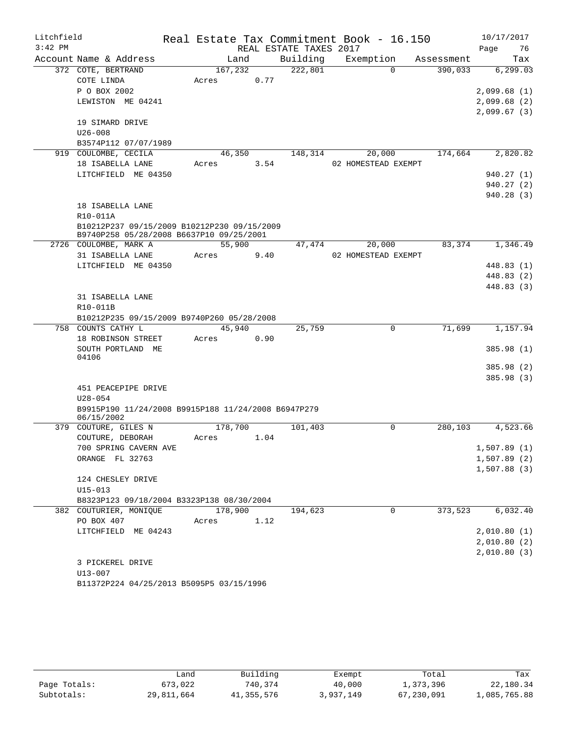| Litchfield |                                                                   |       |         |      |                        | Real Estate Tax Commitment Book - 16.150 |             |            |      | 10/17/2017  |
|------------|-------------------------------------------------------------------|-------|---------|------|------------------------|------------------------------------------|-------------|------------|------|-------------|
| $3:42$ PM  |                                                                   |       |         |      | REAL ESTATE TAXES 2017 |                                          |             |            | Page | 76          |
|            | Account Name & Address                                            |       | Land    |      | Building               | Exemption                                |             | Assessment |      | Tax         |
|            | 372 COTE, BERTRAND                                                |       | 167,232 |      | 222,801                |                                          | $\Omega$    | 390,033    |      | 6, 299.03   |
|            | COTE LINDA                                                        | Acres |         | 0.77 |                        |                                          |             |            |      |             |
|            | P O BOX 2002                                                      |       |         |      |                        |                                          |             |            |      | 2,099.68(1) |
|            | LEWISTON ME 04241                                                 |       |         |      |                        |                                          |             |            |      | 2,099.68(2) |
|            |                                                                   |       |         |      |                        |                                          |             |            |      | 2,099.67(3) |
|            | 19 SIMARD DRIVE                                                   |       |         |      |                        |                                          |             |            |      |             |
|            | $U26 - 008$                                                       |       |         |      |                        |                                          |             |            |      |             |
|            | B3574P112 07/07/1989                                              |       |         |      |                        |                                          |             |            |      |             |
|            | 919 COULOMBE, CECILA                                              |       | 46,350  |      | 148,314                | 20,000                                   |             | 174,664    |      | 2,820.82    |
|            | 18 ISABELLA LANE                                                  | Acres |         | 3.54 |                        | 02 HOMESTEAD EXEMPT                      |             |            |      |             |
|            | LITCHFIELD ME 04350                                               |       |         |      |                        |                                          |             |            |      | 940.27(1)   |
|            |                                                                   |       |         |      |                        |                                          |             |            |      | 940.27(2)   |
|            |                                                                   |       |         |      |                        |                                          |             |            |      | 940.28(3)   |
|            | 18 ISABELLA LANE                                                  |       |         |      |                        |                                          |             |            |      |             |
|            | R10-011A                                                          |       |         |      |                        |                                          |             |            |      |             |
|            | B10212P237 09/15/2009 B10212P230 09/15/2009                       |       |         |      |                        |                                          |             |            |      |             |
|            | B9740P258 05/28/2008 B6637P10 09/25/2001<br>2726 COULOMBE, MARK A |       | 55,900  |      | 47,474                 | 20,000                                   |             | 83,374     |      | 1,346.49    |
|            | 31 ISABELLA LANE                                                  | Acres |         |      |                        | 02 HOMESTEAD EXEMPT                      |             |            |      |             |
|            | LITCHFIELD ME 04350                                               |       |         | 9.40 |                        |                                          |             |            |      | 448.83 (1)  |
|            |                                                                   |       |         |      |                        |                                          |             |            |      | 448.83 (2)  |
|            |                                                                   |       |         |      |                        |                                          |             |            |      | 448.83 (3)  |
|            | 31 ISABELLA LANE                                                  |       |         |      |                        |                                          |             |            |      |             |
|            | R10-011B                                                          |       |         |      |                        |                                          |             |            |      |             |
|            | B10212P235 09/15/2009 B9740P260 05/28/2008                        |       |         |      |                        |                                          |             |            |      |             |
|            | 758 COUNTS CATHY L                                                |       | 45,940  |      | 25,759                 |                                          | $\mathbf 0$ | 71,699     |      | 1,157.94    |
|            | 18 ROBINSON STREET                                                | Acres |         | 0.90 |                        |                                          |             |            |      |             |
|            | SOUTH PORTLAND ME                                                 |       |         |      |                        |                                          |             |            |      | 385.98 (1)  |
|            | 04106                                                             |       |         |      |                        |                                          |             |            |      |             |
|            |                                                                   |       |         |      |                        |                                          |             |            |      | 385.98 (2)  |
|            |                                                                   |       |         |      |                        |                                          |             |            |      | 385.98(3)   |
|            | 451 PEACEPIPE DRIVE                                               |       |         |      |                        |                                          |             |            |      |             |
|            | $U28 - 054$                                                       |       |         |      |                        |                                          |             |            |      |             |
|            | B9915P190 11/24/2008 B9915P188 11/24/2008 B6947P279               |       |         |      |                        |                                          |             |            |      |             |
|            | 06/15/2002                                                        |       |         |      |                        |                                          |             |            |      |             |
|            | 379 COUTURE, GILES N                                              |       | 178,700 |      | 101,403                |                                          | $\Omega$    | 280,103    |      | 4,523.66    |
|            | COUTURE, DEBORAH                                                  | Acres |         | 1.04 |                        |                                          |             |            |      |             |
|            | 700 SPRING CAVERN AVE                                             |       |         |      |                        |                                          |             |            |      | 1,507.89(1) |
|            | ORANGE FL 32763                                                   |       |         |      |                        |                                          |             |            |      | 1,507.89(2) |
|            |                                                                   |       |         |      |                        |                                          |             |            |      | 1,507.88(3) |
|            | 124 CHESLEY DRIVE<br>$U15 - 013$                                  |       |         |      |                        |                                          |             |            |      |             |
|            | B8323P123 09/18/2004 B3323P138 08/30/2004                         |       |         |      |                        |                                          |             |            |      |             |
|            | 382 COUTURIER, MONIQUE                                            |       | 178,900 |      | 194,623                |                                          | $\mathbf 0$ | 373,523    |      | 6,032.40    |
|            | PO BOX 407                                                        | Acres |         | 1.12 |                        |                                          |             |            |      |             |
|            | LITCHFIELD ME 04243                                               |       |         |      |                        |                                          |             |            |      | 2,010.80(1) |
|            |                                                                   |       |         |      |                        |                                          |             |            |      | 2,010.80(2) |
|            |                                                                   |       |         |      |                        |                                          |             |            |      | 2,010.80(3) |
|            | 3 PICKEREL DRIVE                                                  |       |         |      |                        |                                          |             |            |      |             |
|            | U13-007                                                           |       |         |      |                        |                                          |             |            |      |             |
|            | B11372P224 04/25/2013 B5095P5 03/15/1996                          |       |         |      |                        |                                          |             |            |      |             |
|            |                                                                   |       |         |      |                        |                                          |             |            |      |             |

|              | Land       | Building   | Exempt    | Total      | Tax          |
|--------------|------------|------------|-----------|------------|--------------|
| Page Totals: | 673,022    | 740,374    | 40,000    | 1,373,396  | 22,180.34    |
| Subtotals:   | 29,811,664 | 41,355,576 | 3,937,149 | 67,230,091 | 1,085,765.88 |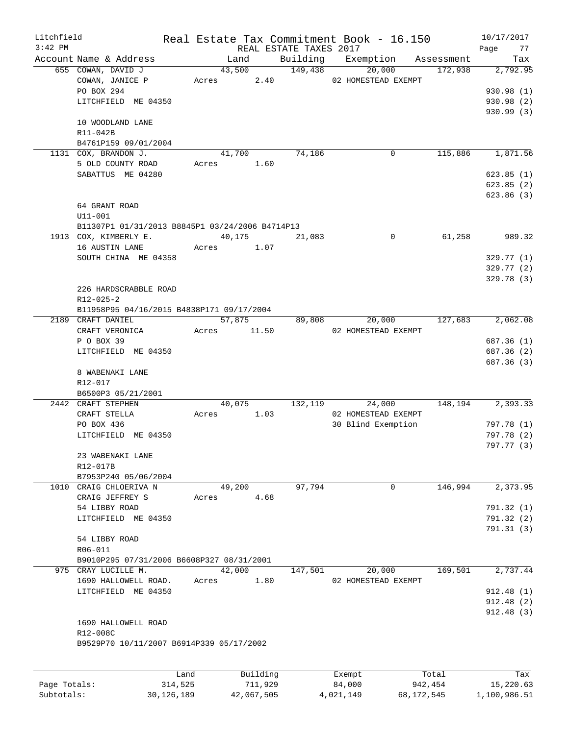| Litchfield |                                                 |       |             |                        | Real Estate Tax Commitment Book - 16.150 |         | 10/17/2017 |
|------------|-------------------------------------------------|-------|-------------|------------------------|------------------------------------------|---------|------------|
| $3:42$ PM  |                                                 |       |             | REAL ESTATE TAXES 2017 |                                          |         | Page<br>77 |
|            | Account Name & Address                          |       | Land        |                        | Building Exemption Assessment            |         | Tax        |
|            | 655 COWAN, DAVID J                              |       | 43,500      | 149,438                | 20,000                                   | 172,938 | 2,792.95   |
|            | COWAN, JANICE P                                 |       |             |                        | Acres 2.40 02 HOMESTEAD EXEMPT           |         |            |
|            | PO BOX 294                                      |       |             |                        |                                          |         | 930.98(1)  |
|            | LITCHFIELD ME 04350                             |       |             |                        |                                          |         | 930.98 (2) |
|            |                                                 |       |             |                        |                                          |         | 930.99(3)  |
|            | 10 WOODLAND LANE                                |       |             |                        |                                          |         |            |
|            | R11-042B                                        |       |             |                        |                                          |         |            |
|            | B4761P159 09/01/2004                            |       |             |                        |                                          |         |            |
|            | 1131 COX, BRANDON J.                            |       | 41,700      | 74,186                 | 0                                        | 115,886 | 1,871.56   |
|            | 5 OLD COUNTY ROAD                               |       | Acres 1.60  |                        |                                          |         |            |
|            | SABATTUS ME 04280                               |       |             |                        |                                          |         | 623.85(1)  |
|            |                                                 |       |             |                        |                                          |         | 623.85(2)  |
|            |                                                 |       |             |                        |                                          |         | 623.86(3)  |
|            | 64 GRANT ROAD                                   |       |             |                        |                                          |         |            |
|            | $U11 - 001$                                     |       |             |                        |                                          |         |            |
|            | B11307P1 01/31/2013 B8845P1 03/24/2006 B4714P13 |       |             |                        |                                          |         |            |
|            | 1913 COX, KIMBERLY E.                           |       | 40,175      | 21,083                 | $\Omega$                                 | 61,258  | 989.32     |
|            | 16 AUSTIN LANE                                  |       | Acres 1.07  |                        |                                          |         |            |
|            | SOUTH CHINA ME 04358                            |       |             |                        |                                          |         | 329.77 (1) |
|            |                                                 |       |             |                        |                                          |         | 329.77(2)  |
|            |                                                 |       |             |                        |                                          |         | 329.78 (3) |
|            | 226 HARDSCRABBLE ROAD                           |       |             |                        |                                          |         |            |
|            | $R12 - 025 - 2$                                 |       |             |                        |                                          |         |            |
|            | B11958P95 04/16/2015 B4838P171 09/17/2004       |       |             |                        |                                          |         |            |
|            | 2189 CRAFT DANIEL                               |       |             | 57,875 89,808          | 20,000                                   | 127,683 | 2,062.08   |
|            | CRAFT VERONICA                                  |       | Acres 11.50 |                        | 02 HOMESTEAD EXEMPT                      |         |            |
|            | P O BOX 39                                      |       |             |                        |                                          |         | 687.36 (1) |
|            | LITCHFIELD ME 04350                             |       |             |                        |                                          |         | 687.36 (2) |
|            |                                                 |       |             |                        |                                          |         | 687.36 (3) |
|            | 8 WABENAKI LANE                                 |       |             |                        |                                          |         |            |
|            | R12-017                                         |       |             |                        |                                          |         |            |
|            | B6500P3 05/21/2001                              |       |             |                        |                                          |         |            |
|            | 2442 CRAFT STEPHEN                              |       | 40,075      | 132, 119               | 24,000                                   | 148,194 | 2,393.33   |
|            | CRAFT STELLA                                    |       | Acres 1.03  |                        | 02 HOMESTEAD EXEMPT                      |         |            |
|            | PO BOX 436                                      |       |             |                        | 30 Blind Exemption                       |         | 797.78 (1) |
|            | LITCHFIELD ME 04350                             |       |             |                        |                                          |         | 797.78 (2) |
|            |                                                 |       |             |                        |                                          |         | 797.77 (3) |
|            | 23 WABENAKI LANE                                |       |             |                        |                                          |         |            |
|            | R12-017B                                        |       |             |                        |                                          |         |            |
|            | B7953P240 05/06/2004                            |       |             |                        |                                          |         |            |
|            | 1010 CRAIG CHLOERIVA N                          |       | 49,200      | 97,794                 | $\overline{0}$                           | 146,994 | 2,373.95   |
|            | CRAIG JEFFREY S                                 | Acres | 4.68        |                        |                                          |         |            |
|            | 54 LIBBY ROAD                                   |       |             |                        |                                          |         | 791.32 (1) |
|            | LITCHFIELD ME 04350                             |       |             |                        |                                          |         | 791.32(2)  |
|            |                                                 |       |             |                        |                                          |         | 791.31 (3) |
|            | 54 LIBBY ROAD                                   |       |             |                        |                                          |         |            |
|            | R06-011                                         |       |             |                        |                                          |         |            |
|            | B9010P295 07/31/2006 B6608P327 08/31/2001       |       |             |                        |                                          |         |            |
|            | 975 CRAY LUCILLE M.                             |       | 42,000      | 147,501                | 20,000                                   | 169,501 | 2,737.44   |
|            | 1690 HALLOWELL ROAD.                            | Acres | 1.80        |                        | 02 HOMESTEAD EXEMPT                      |         |            |
|            | LITCHFIELD ME 04350                             |       |             |                        |                                          |         | 912.48(1)  |
|            |                                                 |       |             |                        |                                          |         | 912.48 (2) |
|            |                                                 |       |             |                        |                                          |         | 912.48(3)  |
|            | 1690 HALLOWELL ROAD                             |       |             |                        |                                          |         |            |
|            | R12-008C                                        |       |             |                        |                                          |         |            |
|            | B9529P70 10/11/2007 B6914P339 05/17/2002        |       |             |                        |                                          |         |            |
|            |                                                 |       |             |                        |                                          |         |            |
|            |                                                 |       |             |                        |                                          |         |            |
|            |                                                 | Land  | Building    |                        | Exempt                                   | Total   | Tax        |

|              | -----      | but tuting | <b>Allenge</b> | ----         | ----         |
|--------------|------------|------------|----------------|--------------|--------------|
| Page Totals: | 314,525    | 711,929    | 84,000         | 942.454      | 15,220.63    |
| Subtotals:   | 30,126,189 | 42,067,505 | 4,021,149      | 68, 172, 545 | 1,100,986.51 |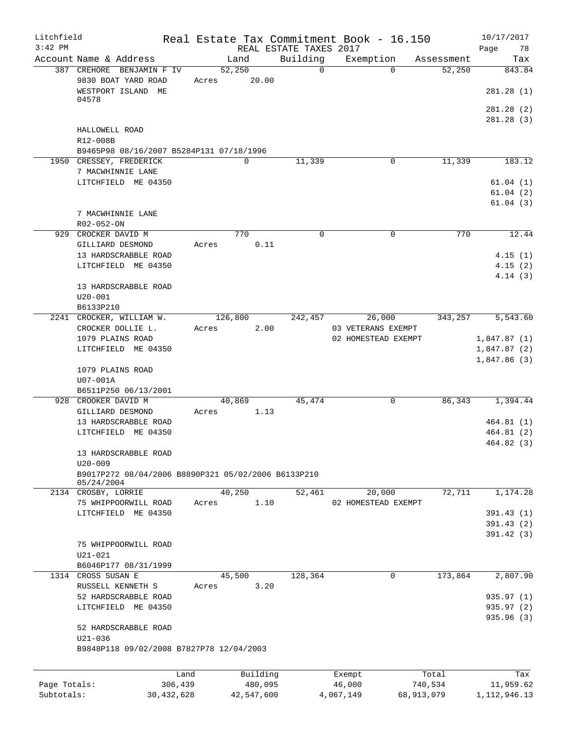| Litchfield<br>$3:42$ PM |                                                     |              |       |          |            | Real Estate Tax Commitment Book - 16.150<br>REAL ESTATE TAXES 2017 |                     |             |            | 10/17/2017        |
|-------------------------|-----------------------------------------------------|--------------|-------|----------|------------|--------------------------------------------------------------------|---------------------|-------------|------------|-------------------|
|                         | Account Name & Address                              |              |       | Land     |            | Building                                                           | Exemption           |             | Assessment | Page<br>78<br>Tax |
|                         | 387 CREHORE BENJAMIN F IV                           |              |       | 52,250   |            | $\overline{0}$                                                     |                     | $\Omega$    | 52,250     | 843.84            |
|                         | 9830 BOAT YARD ROAD<br>WESTPORT ISLAND              | ME           | Acres |          | 20.00      |                                                                    |                     |             |            | 281.28 (1)        |
|                         | 04578                                               |              |       |          |            |                                                                    |                     |             |            | 281.28(2)         |
|                         |                                                     |              |       |          |            |                                                                    |                     |             |            | 281.28 (3)        |
|                         | HALLOWELL ROAD<br>R12-008B                          |              |       |          |            |                                                                    |                     |             |            |                   |
|                         | B9465P98 08/16/2007 B5284P131 07/18/1996            |              |       |          |            |                                                                    |                     |             |            |                   |
|                         | 1950 CRESSEY, FREDERICK                             |              |       | $\Omega$ |            | 11,339                                                             |                     | 0           | 11,339     | 183.12            |
|                         | 7 MACWHINNIE LANE                                   |              |       |          |            |                                                                    |                     |             |            |                   |
|                         | LITCHFIELD ME 04350                                 |              |       |          |            |                                                                    |                     |             |            | 61.04(1)          |
|                         |                                                     |              |       |          |            |                                                                    |                     |             |            | 61.04(2)          |
|                         |                                                     |              |       |          |            |                                                                    |                     |             |            | 61.04(3)          |
|                         | 7 MACWHINNIE LANE                                   |              |       |          |            |                                                                    |                     |             |            |                   |
|                         | R02-052-ON                                          |              |       |          |            |                                                                    |                     |             |            |                   |
|                         | 929 CROCKER DAVID M                                 |              |       | 770      |            | 0                                                                  |                     | 0           | 770        | 12.44             |
|                         | GILLIARD DESMOND                                    |              | Acres |          | 0.11       |                                                                    |                     |             |            |                   |
|                         | 13 HARDSCRABBLE ROAD                                |              |       |          |            |                                                                    |                     |             |            | 4.15(1)           |
|                         | LITCHFIELD ME 04350                                 |              |       |          |            |                                                                    |                     |             |            | 4.15(2)           |
|                         |                                                     |              |       |          |            |                                                                    |                     |             |            | 4.14(3)           |
|                         | 13 HARDSCRABBLE ROAD                                |              |       |          |            |                                                                    |                     |             |            |                   |
|                         | $U20 - 001$                                         |              |       |          |            |                                                                    |                     |             |            |                   |
|                         | B6133P210                                           |              |       |          |            |                                                                    |                     |             |            |                   |
|                         | 2241 CROCKER, WILLIAM W.                            |              |       | 126,800  |            | 242,457                                                            |                     | 26,000      | 343,257    | 5,543.60          |
|                         | CROCKER DOLLIE L.                                   |              | Acres |          | 2.00       |                                                                    | 03 VETERANS EXEMPT  |             |            |                   |
|                         | 1079 PLAINS ROAD                                    |              |       |          |            |                                                                    | 02 HOMESTEAD EXEMPT |             |            | 1,847.87(1)       |
|                         | LITCHFIELD ME 04350                                 |              |       |          |            |                                                                    |                     |             |            | 1,847.87 (2)      |
|                         |                                                     |              |       |          |            |                                                                    |                     |             |            | 1,847.86(3)       |
|                         | 1079 PLAINS ROAD                                    |              |       |          |            |                                                                    |                     |             |            |                   |
|                         | U07-001A                                            |              |       |          |            |                                                                    |                     |             |            |                   |
|                         | B6511P250 06/13/2001                                |              |       |          |            |                                                                    |                     |             |            |                   |
|                         | 928 CROOKER DAVID M                                 |              |       | 40,869   |            | 45,474                                                             |                     | 0           | 86,343     | 1,394.44          |
|                         | GILLIARD DESMOND                                    |              | Acres |          | 1.13       |                                                                    |                     |             |            |                   |
|                         | 13 HARDSCRABBLE ROAD                                |              |       |          |            |                                                                    |                     |             |            | 464.81(1)         |
|                         | LITCHFIELD ME 04350                                 |              |       |          |            |                                                                    |                     |             |            | 464.81 (2)        |
|                         |                                                     |              |       |          |            |                                                                    |                     |             |            | 464.82 (3)        |
|                         | 13 HARDSCRABBLE ROAD                                |              |       |          |            |                                                                    |                     |             |            |                   |
|                         | $U20 - 009$                                         |              |       |          |            |                                                                    |                     |             |            |                   |
|                         | B9017P272 08/04/2006 B8890P321 05/02/2006 B6133P210 |              |       |          |            |                                                                    |                     |             |            |                   |
|                         | 05/24/2004                                          |              |       |          |            |                                                                    |                     |             |            |                   |
|                         | 2134 CROSBY, LORRIE                                 |              |       | 40,250   |            | 52,461                                                             |                     | 20,000      | 72,711     | 1,174.28          |
|                         | 75 WHIPPOORWILL ROAD                                |              | Acres |          | 1.10       |                                                                    | 02 HOMESTEAD EXEMPT |             |            |                   |
|                         | LITCHFIELD ME 04350                                 |              |       |          |            |                                                                    |                     |             |            | 391.43(1)         |
|                         |                                                     |              |       |          |            |                                                                    |                     |             |            | 391.43(2)         |
|                         |                                                     |              |       |          |            |                                                                    |                     |             |            | 391.42 (3)        |
|                         | 75 WHIPPOORWILL ROAD                                |              |       |          |            |                                                                    |                     |             |            |                   |
|                         | $U21 - 021$                                         |              |       |          |            |                                                                    |                     |             |            |                   |
|                         | B6046P177 08/31/1999                                |              |       |          |            |                                                                    |                     |             |            |                   |
|                         | 1314 CROSS SUSAN E                                  |              |       | 45,500   |            | 128,364                                                            |                     | $\mathbf 0$ | 173,864    | 2,807.90          |
|                         | RUSSELL KENNETH S                                   |              | Acres |          | 3.20       |                                                                    |                     |             |            |                   |
|                         | 52 HARDSCRABBLE ROAD                                |              |       |          |            |                                                                    |                     |             |            | 935.97 (1)        |
|                         | LITCHFIELD ME 04350                                 |              |       |          |            |                                                                    |                     |             |            | 935.97 (2)        |
|                         |                                                     |              |       |          |            |                                                                    |                     |             |            | 935.96 (3)        |
|                         | 52 HARDSCRABBLE ROAD                                |              |       |          |            |                                                                    |                     |             |            |                   |
|                         | $U21 - 036$                                         |              |       |          |            |                                                                    |                     |             |            |                   |
|                         | B9848P118 09/02/2008 B7827P78 12/04/2003            |              |       |          |            |                                                                    |                     |             |            |                   |
|                         |                                                     |              |       |          |            |                                                                    |                     |             |            |                   |
|                         |                                                     | Land         |       |          | Building   |                                                                    | Exempt              |             | Total      | Tax               |
| Page Totals:            |                                                     | 306,439      |       |          | 480,095    |                                                                    | 46,000              |             | 740,534    | 11,959.62         |
| Subtotals:              |                                                     | 30, 432, 628 |       |          | 42,547,600 |                                                                    | 4,067,149           |             | 68,913,079 | 1, 112, 946. 13   |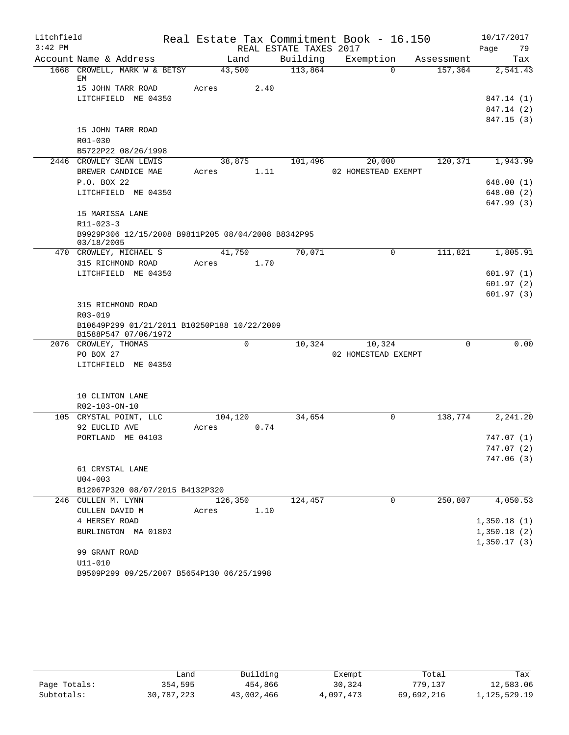| REAL ESTATE TAXES 2017<br>79<br>Page<br>Account Name & Address<br>Building<br>Exemption<br>Land<br>Tax<br>Assessment<br>113,864<br>1668 CROWELL, MARK W & BETSY<br>43,500<br>157,364<br>$\Omega$<br>2,541.43<br>ЕM<br>15 JOHN TARR ROAD<br>2.40<br>Acres<br>LITCHFIELD ME 04350<br>847.14 (1)<br>847.14 (2)<br>847.15(3)<br>15 JOHN TARR ROAD<br>R01-030<br>B5722P22 08/26/1998<br>2446 CROWLEY SEAN LEWIS<br>120,371<br>38,875<br>101,496<br>20,000<br>1,943.99<br>1.11<br>BREWER CANDICE MAE<br>02 HOMESTEAD EXEMPT<br>Acres<br>P.O. BOX 22<br>648.00 (1)<br>LITCHFIELD ME 04350<br>648.00 (2)<br>647.99 (3)<br>15 MARISSA LANE<br>$R11 - 023 - 3$<br>B9929P306 12/15/2008 B9811P205 08/04/2008 B8342P95<br>03/18/2005<br>41,750<br>70,071<br>111,821<br>1,805.91<br>470 CROWLEY, MICHAEL S<br>$\mathbf 0$<br>315 RICHMOND ROAD<br>1.70<br>Acres<br>LITCHFIELD ME 04350<br>601.97(1)<br>601.97(2)<br>601.97(3)<br>315 RICHMOND ROAD<br>R03-019<br>B10649P299 01/21/2011 B10250P188 10/22/2009<br>B1588P547 07/06/1972<br>0.00<br>2076 CROWLEY, THOMAS<br>0<br>10,324<br>10,324<br>0<br>PO BOX 27<br>02 HOMESTEAD EXEMPT<br>LITCHFIELD ME 04350<br>10 CLINTON LANE<br>R02-103-ON-10<br>105 CRYSTAL POINT, LLC<br>$\mathbf 0$<br>138,774<br>104,120<br>34,654<br>2,241.20<br>0.74<br>92 EUCLID AVE<br>Acres<br>PORTLAND ME 04103<br>747.07 (1)<br>747.07 (2)<br>747.06 (3)<br>61 CRYSTAL LANE<br>$U04 - 003$<br>B12067P320 08/07/2015 B4132P320<br>$\mathbf 0$<br>250,807<br>4,050.53<br>246 CULLEN M. LYNN<br>126,350<br>124,457<br>CULLEN DAVID M<br>1.10<br>Acres<br>4 HERSEY ROAD<br>1,350.18(1)<br>BURLINGTON MA 01803<br>1,350.18(2)<br>1,350.17(3)<br>99 GRANT ROAD | Litchfield |             |  | Real Estate Tax Commitment Book - 16.150 | 10/17/2017 |  |
|----------------------------------------------------------------------------------------------------------------------------------------------------------------------------------------------------------------------------------------------------------------------------------------------------------------------------------------------------------------------------------------------------------------------------------------------------------------------------------------------------------------------------------------------------------------------------------------------------------------------------------------------------------------------------------------------------------------------------------------------------------------------------------------------------------------------------------------------------------------------------------------------------------------------------------------------------------------------------------------------------------------------------------------------------------------------------------------------------------------------------------------------------------------------------------------------------------------------------------------------------------------------------------------------------------------------------------------------------------------------------------------------------------------------------------------------------------------------------------------------------------------------------------------------------------------------------------------------------------------------------------------------------------------------------|------------|-------------|--|------------------------------------------|------------|--|
|                                                                                                                                                                                                                                                                                                                                                                                                                                                                                                                                                                                                                                                                                                                                                                                                                                                                                                                                                                                                                                                                                                                                                                                                                                                                                                                                                                                                                                                                                                                                                                                                                                                                            | $3:42$ PM  |             |  |                                          |            |  |
|                                                                                                                                                                                                                                                                                                                                                                                                                                                                                                                                                                                                                                                                                                                                                                                                                                                                                                                                                                                                                                                                                                                                                                                                                                                                                                                                                                                                                                                                                                                                                                                                                                                                            |            |             |  |                                          |            |  |
|                                                                                                                                                                                                                                                                                                                                                                                                                                                                                                                                                                                                                                                                                                                                                                                                                                                                                                                                                                                                                                                                                                                                                                                                                                                                                                                                                                                                                                                                                                                                                                                                                                                                            |            |             |  |                                          |            |  |
|                                                                                                                                                                                                                                                                                                                                                                                                                                                                                                                                                                                                                                                                                                                                                                                                                                                                                                                                                                                                                                                                                                                                                                                                                                                                                                                                                                                                                                                                                                                                                                                                                                                                            |            |             |  |                                          |            |  |
|                                                                                                                                                                                                                                                                                                                                                                                                                                                                                                                                                                                                                                                                                                                                                                                                                                                                                                                                                                                                                                                                                                                                                                                                                                                                                                                                                                                                                                                                                                                                                                                                                                                                            |            |             |  |                                          |            |  |
|                                                                                                                                                                                                                                                                                                                                                                                                                                                                                                                                                                                                                                                                                                                                                                                                                                                                                                                                                                                                                                                                                                                                                                                                                                                                                                                                                                                                                                                                                                                                                                                                                                                                            |            |             |  |                                          |            |  |
|                                                                                                                                                                                                                                                                                                                                                                                                                                                                                                                                                                                                                                                                                                                                                                                                                                                                                                                                                                                                                                                                                                                                                                                                                                                                                                                                                                                                                                                                                                                                                                                                                                                                            |            |             |  |                                          |            |  |
|                                                                                                                                                                                                                                                                                                                                                                                                                                                                                                                                                                                                                                                                                                                                                                                                                                                                                                                                                                                                                                                                                                                                                                                                                                                                                                                                                                                                                                                                                                                                                                                                                                                                            |            |             |  |                                          |            |  |
|                                                                                                                                                                                                                                                                                                                                                                                                                                                                                                                                                                                                                                                                                                                                                                                                                                                                                                                                                                                                                                                                                                                                                                                                                                                                                                                                                                                                                                                                                                                                                                                                                                                                            |            |             |  |                                          |            |  |
|                                                                                                                                                                                                                                                                                                                                                                                                                                                                                                                                                                                                                                                                                                                                                                                                                                                                                                                                                                                                                                                                                                                                                                                                                                                                                                                                                                                                                                                                                                                                                                                                                                                                            |            |             |  |                                          |            |  |
|                                                                                                                                                                                                                                                                                                                                                                                                                                                                                                                                                                                                                                                                                                                                                                                                                                                                                                                                                                                                                                                                                                                                                                                                                                                                                                                                                                                                                                                                                                                                                                                                                                                                            |            |             |  |                                          |            |  |
|                                                                                                                                                                                                                                                                                                                                                                                                                                                                                                                                                                                                                                                                                                                                                                                                                                                                                                                                                                                                                                                                                                                                                                                                                                                                                                                                                                                                                                                                                                                                                                                                                                                                            |            |             |  |                                          |            |  |
|                                                                                                                                                                                                                                                                                                                                                                                                                                                                                                                                                                                                                                                                                                                                                                                                                                                                                                                                                                                                                                                                                                                                                                                                                                                                                                                                                                                                                                                                                                                                                                                                                                                                            |            |             |  |                                          |            |  |
|                                                                                                                                                                                                                                                                                                                                                                                                                                                                                                                                                                                                                                                                                                                                                                                                                                                                                                                                                                                                                                                                                                                                                                                                                                                                                                                                                                                                                                                                                                                                                                                                                                                                            |            |             |  |                                          |            |  |
|                                                                                                                                                                                                                                                                                                                                                                                                                                                                                                                                                                                                                                                                                                                                                                                                                                                                                                                                                                                                                                                                                                                                                                                                                                                                                                                                                                                                                                                                                                                                                                                                                                                                            |            |             |  |                                          |            |  |
|                                                                                                                                                                                                                                                                                                                                                                                                                                                                                                                                                                                                                                                                                                                                                                                                                                                                                                                                                                                                                                                                                                                                                                                                                                                                                                                                                                                                                                                                                                                                                                                                                                                                            |            |             |  |                                          |            |  |
|                                                                                                                                                                                                                                                                                                                                                                                                                                                                                                                                                                                                                                                                                                                                                                                                                                                                                                                                                                                                                                                                                                                                                                                                                                                                                                                                                                                                                                                                                                                                                                                                                                                                            |            |             |  |                                          |            |  |
|                                                                                                                                                                                                                                                                                                                                                                                                                                                                                                                                                                                                                                                                                                                                                                                                                                                                                                                                                                                                                                                                                                                                                                                                                                                                                                                                                                                                                                                                                                                                                                                                                                                                            |            |             |  |                                          |            |  |
|                                                                                                                                                                                                                                                                                                                                                                                                                                                                                                                                                                                                                                                                                                                                                                                                                                                                                                                                                                                                                                                                                                                                                                                                                                                                                                                                                                                                                                                                                                                                                                                                                                                                            |            |             |  |                                          |            |  |
|                                                                                                                                                                                                                                                                                                                                                                                                                                                                                                                                                                                                                                                                                                                                                                                                                                                                                                                                                                                                                                                                                                                                                                                                                                                                                                                                                                                                                                                                                                                                                                                                                                                                            |            |             |  |                                          |            |  |
|                                                                                                                                                                                                                                                                                                                                                                                                                                                                                                                                                                                                                                                                                                                                                                                                                                                                                                                                                                                                                                                                                                                                                                                                                                                                                                                                                                                                                                                                                                                                                                                                                                                                            |            |             |  |                                          |            |  |
|                                                                                                                                                                                                                                                                                                                                                                                                                                                                                                                                                                                                                                                                                                                                                                                                                                                                                                                                                                                                                                                                                                                                                                                                                                                                                                                                                                                                                                                                                                                                                                                                                                                                            |            |             |  |                                          |            |  |
|                                                                                                                                                                                                                                                                                                                                                                                                                                                                                                                                                                                                                                                                                                                                                                                                                                                                                                                                                                                                                                                                                                                                                                                                                                                                                                                                                                                                                                                                                                                                                                                                                                                                            |            |             |  |                                          |            |  |
|                                                                                                                                                                                                                                                                                                                                                                                                                                                                                                                                                                                                                                                                                                                                                                                                                                                                                                                                                                                                                                                                                                                                                                                                                                                                                                                                                                                                                                                                                                                                                                                                                                                                            |            |             |  |                                          |            |  |
|                                                                                                                                                                                                                                                                                                                                                                                                                                                                                                                                                                                                                                                                                                                                                                                                                                                                                                                                                                                                                                                                                                                                                                                                                                                                                                                                                                                                                                                                                                                                                                                                                                                                            |            |             |  |                                          |            |  |
|                                                                                                                                                                                                                                                                                                                                                                                                                                                                                                                                                                                                                                                                                                                                                                                                                                                                                                                                                                                                                                                                                                                                                                                                                                                                                                                                                                                                                                                                                                                                                                                                                                                                            |            |             |  |                                          |            |  |
|                                                                                                                                                                                                                                                                                                                                                                                                                                                                                                                                                                                                                                                                                                                                                                                                                                                                                                                                                                                                                                                                                                                                                                                                                                                                                                                                                                                                                                                                                                                                                                                                                                                                            |            |             |  |                                          |            |  |
|                                                                                                                                                                                                                                                                                                                                                                                                                                                                                                                                                                                                                                                                                                                                                                                                                                                                                                                                                                                                                                                                                                                                                                                                                                                                                                                                                                                                                                                                                                                                                                                                                                                                            |            |             |  |                                          |            |  |
|                                                                                                                                                                                                                                                                                                                                                                                                                                                                                                                                                                                                                                                                                                                                                                                                                                                                                                                                                                                                                                                                                                                                                                                                                                                                                                                                                                                                                                                                                                                                                                                                                                                                            |            |             |  |                                          |            |  |
|                                                                                                                                                                                                                                                                                                                                                                                                                                                                                                                                                                                                                                                                                                                                                                                                                                                                                                                                                                                                                                                                                                                                                                                                                                                                                                                                                                                                                                                                                                                                                                                                                                                                            |            |             |  |                                          |            |  |
|                                                                                                                                                                                                                                                                                                                                                                                                                                                                                                                                                                                                                                                                                                                                                                                                                                                                                                                                                                                                                                                                                                                                                                                                                                                                                                                                                                                                                                                                                                                                                                                                                                                                            |            |             |  |                                          |            |  |
|                                                                                                                                                                                                                                                                                                                                                                                                                                                                                                                                                                                                                                                                                                                                                                                                                                                                                                                                                                                                                                                                                                                                                                                                                                                                                                                                                                                                                                                                                                                                                                                                                                                                            |            |             |  |                                          |            |  |
|                                                                                                                                                                                                                                                                                                                                                                                                                                                                                                                                                                                                                                                                                                                                                                                                                                                                                                                                                                                                                                                                                                                                                                                                                                                                                                                                                                                                                                                                                                                                                                                                                                                                            |            |             |  |                                          |            |  |
|                                                                                                                                                                                                                                                                                                                                                                                                                                                                                                                                                                                                                                                                                                                                                                                                                                                                                                                                                                                                                                                                                                                                                                                                                                                                                                                                                                                                                                                                                                                                                                                                                                                                            |            |             |  |                                          |            |  |
|                                                                                                                                                                                                                                                                                                                                                                                                                                                                                                                                                                                                                                                                                                                                                                                                                                                                                                                                                                                                                                                                                                                                                                                                                                                                                                                                                                                                                                                                                                                                                                                                                                                                            |            |             |  |                                          |            |  |
|                                                                                                                                                                                                                                                                                                                                                                                                                                                                                                                                                                                                                                                                                                                                                                                                                                                                                                                                                                                                                                                                                                                                                                                                                                                                                                                                                                                                                                                                                                                                                                                                                                                                            |            |             |  |                                          |            |  |
|                                                                                                                                                                                                                                                                                                                                                                                                                                                                                                                                                                                                                                                                                                                                                                                                                                                                                                                                                                                                                                                                                                                                                                                                                                                                                                                                                                                                                                                                                                                                                                                                                                                                            |            |             |  |                                          |            |  |
|                                                                                                                                                                                                                                                                                                                                                                                                                                                                                                                                                                                                                                                                                                                                                                                                                                                                                                                                                                                                                                                                                                                                                                                                                                                                                                                                                                                                                                                                                                                                                                                                                                                                            |            |             |  |                                          |            |  |
|                                                                                                                                                                                                                                                                                                                                                                                                                                                                                                                                                                                                                                                                                                                                                                                                                                                                                                                                                                                                                                                                                                                                                                                                                                                                                                                                                                                                                                                                                                                                                                                                                                                                            |            |             |  |                                          |            |  |
|                                                                                                                                                                                                                                                                                                                                                                                                                                                                                                                                                                                                                                                                                                                                                                                                                                                                                                                                                                                                                                                                                                                                                                                                                                                                                                                                                                                                                                                                                                                                                                                                                                                                            |            |             |  |                                          |            |  |
|                                                                                                                                                                                                                                                                                                                                                                                                                                                                                                                                                                                                                                                                                                                                                                                                                                                                                                                                                                                                                                                                                                                                                                                                                                                                                                                                                                                                                                                                                                                                                                                                                                                                            |            |             |  |                                          |            |  |
|                                                                                                                                                                                                                                                                                                                                                                                                                                                                                                                                                                                                                                                                                                                                                                                                                                                                                                                                                                                                                                                                                                                                                                                                                                                                                                                                                                                                                                                                                                                                                                                                                                                                            |            |             |  |                                          |            |  |
|                                                                                                                                                                                                                                                                                                                                                                                                                                                                                                                                                                                                                                                                                                                                                                                                                                                                                                                                                                                                                                                                                                                                                                                                                                                                                                                                                                                                                                                                                                                                                                                                                                                                            |            |             |  |                                          |            |  |
|                                                                                                                                                                                                                                                                                                                                                                                                                                                                                                                                                                                                                                                                                                                                                                                                                                                                                                                                                                                                                                                                                                                                                                                                                                                                                                                                                                                                                                                                                                                                                                                                                                                                            |            | $U11 - 010$ |  |                                          |            |  |
| B9509P299 09/25/2007 B5654P130 06/25/1998                                                                                                                                                                                                                                                                                                                                                                                                                                                                                                                                                                                                                                                                                                                                                                                                                                                                                                                                                                                                                                                                                                                                                                                                                                                                                                                                                                                                                                                                                                                                                                                                                                  |            |             |  |                                          |            |  |

|              | ف and      | Building   | Exempt    | Total      | Tax          |
|--------------|------------|------------|-----------|------------|--------------|
| Page Totals: | 354,595    | 454,866    | 30,324    | 779,137    | 12,583.06    |
| Subtotals:   | 30,787,223 | 43,002,466 | 4,097,473 | 69,692,216 | 1,125,529.19 |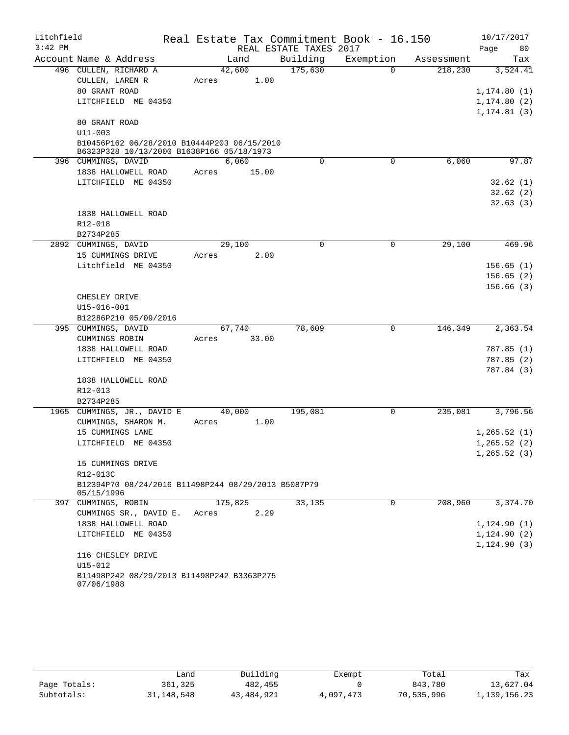| Litchfield |                                                                                          |       |         |                        | Real Estate Tax Commitment Book - 16.150 |            | 10/17/2017   |
|------------|------------------------------------------------------------------------------------------|-------|---------|------------------------|------------------------------------------|------------|--------------|
| $3:42$ PM  |                                                                                          |       |         | REAL ESTATE TAXES 2017 |                                          |            | 80<br>Page   |
|            | Account Name & Address                                                                   |       | Land    | Building               | Exemption                                | Assessment | Tax          |
|            | 496 CULLEN, RICHARD A                                                                    |       | 42,600  | 175,630                | $\Omega$                                 | 218,230    | 3,524.41     |
|            | CULLEN, LAREN R                                                                          | Acres | 1.00    |                        |                                          |            |              |
|            | 80 GRANT ROAD                                                                            |       |         |                        |                                          |            | 1, 174.80(1) |
|            | LITCHFIELD ME 04350                                                                      |       |         |                        |                                          |            | 1, 174.80(2) |
|            |                                                                                          |       |         |                        |                                          |            | 1, 174.81(3) |
|            | 80 GRANT ROAD                                                                            |       |         |                        |                                          |            |              |
|            | $U11 - 003$                                                                              |       |         |                        |                                          |            |              |
|            | B10456P162 06/28/2010 B10444P203 06/15/2010<br>B6323P328 10/13/2000 B1638P166 05/18/1973 |       |         |                        |                                          |            |              |
|            | 396 CUMMINGS, DAVID                                                                      |       | 6,060   | 0                      | 0                                        | 6,060      | 97.87        |
|            | 1838 HALLOWELL ROAD                                                                      | Acres | 15.00   |                        |                                          |            |              |
|            | LITCHFIELD ME 04350                                                                      |       |         |                        |                                          |            | 32.62(1)     |
|            |                                                                                          |       |         |                        |                                          |            | 32.62(2)     |
|            |                                                                                          |       |         |                        |                                          |            | 32.63(3)     |
|            | 1838 HALLOWELL ROAD                                                                      |       |         |                        |                                          |            |              |
|            | R12-018                                                                                  |       |         |                        |                                          |            |              |
|            | B2734P285                                                                                |       |         |                        |                                          |            |              |
|            | 2892 CUMMINGS, DAVID                                                                     |       | 29,100  | $\mathbf 0$            | 0                                        | 29,100     | 469.96       |
|            | 15 CUMMINGS DRIVE                                                                        | Acres | 2.00    |                        |                                          |            |              |
|            | Litchfield ME 04350                                                                      |       |         |                        |                                          |            | 156.65(1)    |
|            |                                                                                          |       |         |                        |                                          |            | 156.65(2)    |
|            |                                                                                          |       |         |                        |                                          |            | 156.66(3)    |
|            | CHESLEY DRIVE                                                                            |       |         |                        |                                          |            |              |
|            | U15-016-001                                                                              |       |         |                        |                                          |            |              |
|            | B12286P210 05/09/2016<br>395 CUMMINGS, DAVID                                             |       | 67,740  | 78,609                 | 0                                        | 146,349    | 2,363.54     |
|            | CUMMINGS ROBIN                                                                           | Acres | 33.00   |                        |                                          |            |              |
|            | 1838 HALLOWELL ROAD                                                                      |       |         |                        |                                          |            | 787.85(1)    |
|            | LITCHFIELD ME 04350                                                                      |       |         |                        |                                          |            | 787.85(2)    |
|            |                                                                                          |       |         |                        |                                          |            | 787.84 (3)   |
|            | 1838 HALLOWELL ROAD                                                                      |       |         |                        |                                          |            |              |
|            | R12-013                                                                                  |       |         |                        |                                          |            |              |
|            | B2734P285                                                                                |       |         |                        |                                          |            |              |
|            | 1965 CUMMINGS, JR., DAVID E                                                              |       | 40,000  | 195,081                | 0                                        | 235,081    | 3,796.56     |
|            | CUMMINGS, SHARON M.                                                                      | Acres | 1.00    |                        |                                          |            |              |
|            | 15 CUMMINGS LANE                                                                         |       |         |                        |                                          |            | 1,265.52(1)  |
|            | LITCHFIELD ME 04350                                                                      |       |         |                        |                                          |            | 1, 265.52(2) |
|            |                                                                                          |       |         |                        |                                          |            | 1,265.52(3)  |
|            | 15 CUMMINGS DRIVE                                                                        |       |         |                        |                                          |            |              |
|            | R12-013C                                                                                 |       |         |                        |                                          |            |              |
|            | B12394P70 08/24/2016 B11498P244 08/29/2013 B5087P79                                      |       |         |                        |                                          |            |              |
|            | 05/15/1996                                                                               |       |         |                        |                                          |            |              |
|            | 397 CUMMINGS, ROBIN                                                                      |       | 175,825 | 33,135                 | 0                                        | 208,960    | 3,374.70     |
|            | CUMMINGS SR., DAVID E.                                                                   | Acres | 2.29    |                        |                                          |            |              |
|            | 1838 HALLOWELL ROAD                                                                      |       |         |                        |                                          |            | 1,124.90(1)  |
|            | LITCHFIELD ME 04350                                                                      |       |         |                        |                                          |            | 1,124.90(2)  |
|            |                                                                                          |       |         |                        |                                          |            | 1, 124.90(3) |
|            | 116 CHESLEY DRIVE<br>$U15 - 012$                                                         |       |         |                        |                                          |            |              |
|            | B11498P242 08/29/2013 B11498P242 B3363P275                                               |       |         |                        |                                          |            |              |
|            | 07/06/1988                                                                               |       |         |                        |                                          |            |              |

|              | Land         | Building   | Exempt    | Total      | Tax          |
|--------------|--------------|------------|-----------|------------|--------------|
| Page Totals: | 361,325      | 482,455    |           | 843,780    | 13,627.04    |
| Subtotals:   | 31, 148, 548 | 43,484,921 | 4,097,473 | 70,535,996 | 1,139,156.23 |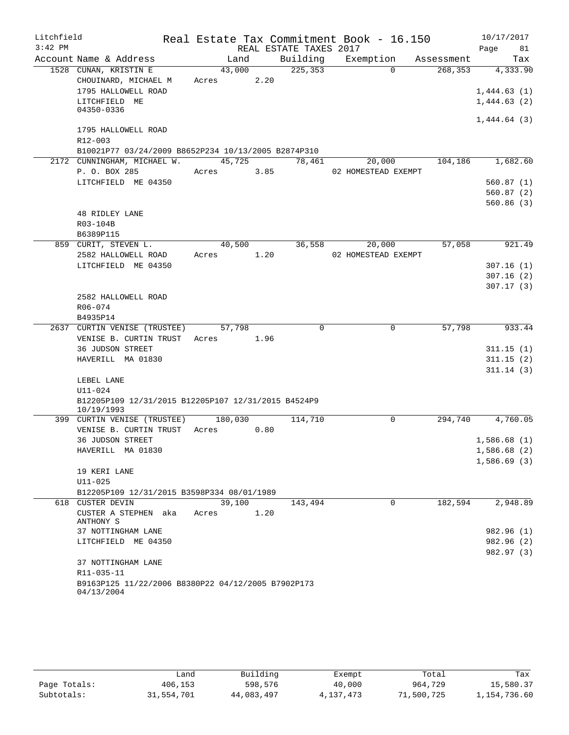| Litchfield |                                                                   |         |      |                        | Real Estate Tax Commitment Book - 16.150 |              |            | 10/17/2017  |            |
|------------|-------------------------------------------------------------------|---------|------|------------------------|------------------------------------------|--------------|------------|-------------|------------|
| $3:42$ PM  |                                                                   |         |      | REAL ESTATE TAXES 2017 |                                          |              |            | Page        | 81         |
|            | Account Name & Address                                            | Land    |      | Building               | Exemption                                |              | Assessment |             | Tax        |
|            | 1528 CUNAN, KRISTIN E                                             | 43,000  |      | 225, 353               |                                          | $\Omega$     | 268,353    |             | 4,333.90   |
|            | CHOUINARD, MICHAEL M                                              | Acres   | 2.20 |                        |                                          |              |            |             |            |
|            | 1795 HALLOWELL ROAD                                               |         |      |                        |                                          |              |            | 1,444.63(1) |            |
|            | LITCHFIELD ME                                                     |         |      |                        |                                          |              |            | 1,444.63(2) |            |
|            | 04350-0336                                                        |         |      |                        |                                          |              |            |             |            |
|            | 1795 HALLOWELL ROAD                                               |         |      |                        |                                          |              |            | 1,444.64(3) |            |
|            | R12-003                                                           |         |      |                        |                                          |              |            |             |            |
|            | B10021P77 03/24/2009 B8652P234 10/13/2005 B2874P310               |         |      |                        |                                          |              |            |             |            |
|            | 2172 CUNNINGHAM, MICHAEL W.                                       | 45,725  |      | 78,461                 | 20,000                                   |              | 104,186    |             | 1,682.60   |
|            | P. O. BOX 285                                                     | Acres   | 3.85 |                        | 02 HOMESTEAD EXEMPT                      |              |            |             |            |
|            | LITCHFIELD ME 04350                                               |         |      |                        |                                          |              |            | 560.87(1)   |            |
|            |                                                                   |         |      |                        |                                          |              |            |             | 560.87 (2) |
|            |                                                                   |         |      |                        |                                          |              |            |             | 560.86(3)  |
|            | <b>48 RIDLEY LANE</b>                                             |         |      |                        |                                          |              |            |             |            |
|            | R03-104B                                                          |         |      |                        |                                          |              |            |             |            |
|            | B6389P115                                                         |         |      |                        |                                          |              |            |             |            |
|            | 859 CURIT, STEVEN L.                                              | 40,500  |      | 36,558                 | 20,000                                   |              | 57,058     |             | 921.49     |
|            | 2582 HALLOWELL ROAD                                               | Acres   | 1.20 |                        | 02 HOMESTEAD EXEMPT                      |              |            |             |            |
|            | LITCHFIELD ME 04350                                               |         |      |                        |                                          |              |            | 307.16(1)   |            |
|            |                                                                   |         |      |                        |                                          |              |            |             | 307.16(2)  |
|            |                                                                   |         |      |                        |                                          |              |            |             | 307.17(3)  |
|            | 2582 HALLOWELL ROAD                                               |         |      |                        |                                          |              |            |             |            |
|            | R06-074                                                           |         |      |                        |                                          |              |            |             |            |
|            | B4935P14                                                          |         |      |                        |                                          |              |            |             |            |
|            | 2637 CURTIN VENISE (TRUSTEE)                                      | 57,798  |      | $\Omega$               |                                          | 0            | 57,798     |             | 933.44     |
|            | VENISE B. CURTIN TRUST                                            | Acres   | 1.96 |                        |                                          |              |            |             |            |
|            | <b>36 JUDSON STREET</b>                                           |         |      |                        |                                          |              |            |             | 311.15(1)  |
|            | HAVERILL MA 01830                                                 |         |      |                        |                                          |              |            |             | 311.15(2)  |
|            |                                                                   |         |      |                        |                                          |              |            |             | 311.14(3)  |
|            | LEBEL LANE                                                        |         |      |                        |                                          |              |            |             |            |
|            | $U11 - 024$                                                       |         |      |                        |                                          |              |            |             |            |
|            | B12205P109 12/31/2015 B12205P107 12/31/2015 B4524P9<br>10/19/1993 |         |      |                        |                                          |              |            |             |            |
|            | 399 CURTIN VENISE (TRUSTEE)                                       | 180,030 |      | 114,710                |                                          | $\mathsf{O}$ | 294,740    |             | 4,760.05   |
|            | VENISE B. CURTIN TRUST                                            | Acres   | 0.80 |                        |                                          |              |            |             |            |
|            | <b>36 JUDSON STREET</b>                                           |         |      |                        |                                          |              |            | 1,586.68(1) |            |
|            | HAVERILL MA 01830                                                 |         |      |                        |                                          |              |            | 1,586.68(2) |            |
|            |                                                                   |         |      |                        |                                          |              |            | 1,586.69(3) |            |
|            | 19 KERI LANE                                                      |         |      |                        |                                          |              |            |             |            |
|            | $U11 - 025$                                                       |         |      |                        |                                          |              |            |             |            |
|            | B12205P109 12/31/2015 B3598P334 08/01/1989                        |         |      |                        |                                          |              |            |             |            |
|            | 618 CUSTER DEVIN                                                  | 39,100  |      | 143,494                |                                          | $\Omega$     | 182,594    |             | 2,948.89   |
|            | CUSTER A STEPHEN aka<br>ANTHONY S                                 | Acres   | 1.20 |                        |                                          |              |            |             |            |
|            | 37 NOTTINGHAM LANE                                                |         |      |                        |                                          |              |            |             | 982.96 (1) |
|            | LITCHFIELD ME 04350                                               |         |      |                        |                                          |              |            |             | 982.96 (2) |
|            |                                                                   |         |      |                        |                                          |              |            |             | 982.97 (3) |
|            | 37 NOTTINGHAM LANE                                                |         |      |                        |                                          |              |            |             |            |
|            | R11-035-11                                                        |         |      |                        |                                          |              |            |             |            |
|            | B9163P125 11/22/2006 B8380P22 04/12/2005 B7902P173<br>04/13/2004  |         |      |                        |                                          |              |            |             |            |

|              |            | Building   |           |            | Tax          |
|--------------|------------|------------|-----------|------------|--------------|
|              | Land       |            | Exempt    | Total      |              |
| Page Totals: | 406,153    | 598,576    | 40,000    | 964,729    | 15,580.37    |
| Subtotals:   | 31,554,701 | 44,083,497 | 4,137,473 | 71,500,725 | 1,154,736.60 |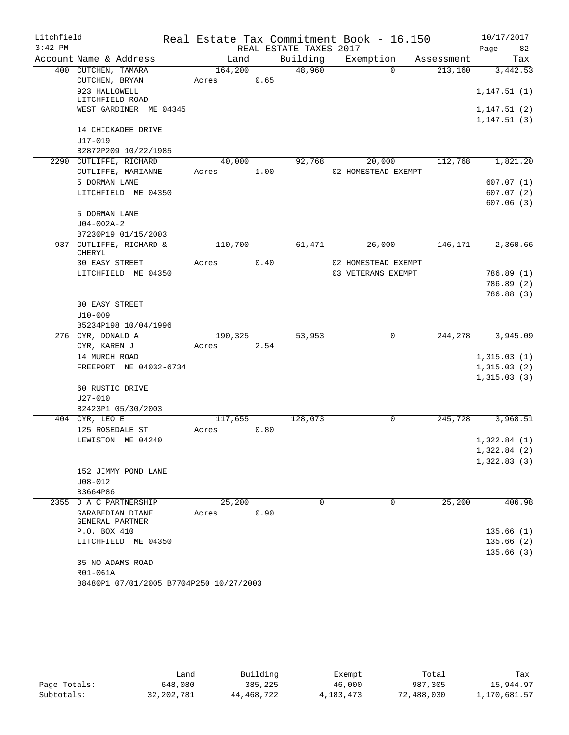| Litchfield |                                         |         |      |                        | Real Estate Tax Commitment Book - 16.150 |            | 10/17/2017                  |
|------------|-----------------------------------------|---------|------|------------------------|------------------------------------------|------------|-----------------------------|
| $3:42$ PM  |                                         |         |      | REAL ESTATE TAXES 2017 |                                          |            | 82<br>Page                  |
|            | Account Name & Address                  | Land    |      | Building               | Exemption                                | Assessment | Tax                         |
|            | 400 CUTCHEN, TAMARA                     | 164,200 |      | 48,960                 | $\Omega$                                 | 213,160    | 3,442.53                    |
|            | CUTCHEN, BRYAN                          | Acres   | 0.65 |                        |                                          |            |                             |
|            | 923 HALLOWELL<br>LITCHFIELD ROAD        |         |      |                        |                                          |            | 1,147.51(1)                 |
|            | WEST GARDINER ME 04345                  |         |      |                        |                                          |            | 1,147.51(2)<br>1, 147.51(3) |
|            | 14 CHICKADEE DRIVE                      |         |      |                        |                                          |            |                             |
|            | U17-019                                 |         |      |                        |                                          |            |                             |
|            | B2872P209 10/22/1985                    |         |      |                        |                                          |            |                             |
|            | 2290 CUTLIFFE, RICHARD                  | 40,000  |      | 92,768                 | 20,000                                   | 112,768    | 1,821.20                    |
|            | CUTLIFFE, MARIANNE                      | Acres   | 1.00 |                        | 02 HOMESTEAD EXEMPT                      |            |                             |
|            | 5 DORMAN LANE                           |         |      |                        |                                          |            | 607.07(1)                   |
|            | LITCHFIELD ME 04350                     |         |      |                        |                                          |            | 607.07(2)                   |
|            |                                         |         |      |                        |                                          |            | 607.06(3)                   |
|            | 5 DORMAN LANE                           |         |      |                        |                                          |            |                             |
|            | $U04 - 002A - 2$                        |         |      |                        |                                          |            |                             |
|            | B7230P19 01/15/2003                     |         |      |                        |                                          |            |                             |
|            | 937 CUTLIFFE, RICHARD &                 | 110,700 |      | 61,471                 | 26,000                                   | 146,171    | 2,360.66                    |
|            | CHERYL                                  |         |      |                        |                                          |            |                             |
|            | 30 EASY STREET                          | Acres   | 0.40 |                        | 02 HOMESTEAD EXEMPT                      |            |                             |
|            | LITCHFIELD ME 04350                     |         |      |                        | 03 VETERANS EXEMPT                       |            | 786.89(1)                   |
|            |                                         |         |      |                        |                                          |            | 786.89 (2)                  |
|            |                                         |         |      |                        |                                          |            | 786.88 (3)                  |
|            | <b>30 EASY STREET</b>                   |         |      |                        |                                          |            |                             |
|            | $U10 - 009$                             |         |      |                        |                                          |            |                             |
|            | B5234P198 10/04/1996                    |         |      |                        |                                          |            |                             |
|            | 276 CYR, DONALD A                       | 190,325 | 2.54 | 53,953                 | $\mathbf 0$                              | 244,278    | 3,945.09                    |
|            | CYR, KAREN J<br>14 MURCH ROAD           | Acres   |      |                        |                                          |            | 1,315.03(1)                 |
|            | FREEPORT NE 04032-6734                  |         |      |                        |                                          |            | 1,315.03(2)                 |
|            |                                         |         |      |                        |                                          |            | 1,315.03(3)                 |
|            | 60 RUSTIC DRIVE                         |         |      |                        |                                          |            |                             |
|            | $U27 - 010$                             |         |      |                        |                                          |            |                             |
|            | B2423P1 05/30/2003                      |         |      |                        |                                          |            |                             |
|            | 404 CYR, LEO E                          | 117,655 |      | 128,073                | 0                                        | 245,728    | 3,968.51                    |
|            | 125 ROSEDALE ST                         | Acres   | 0.80 |                        |                                          |            |                             |
|            | LEWISTON ME 04240                       |         |      |                        |                                          |            | 1,322.84(1)                 |
|            |                                         |         |      |                        |                                          |            | 1,322.84(2)                 |
|            |                                         |         |      |                        |                                          |            | 1,322.83(3)                 |
|            | 152 JIMMY POND LANE                     |         |      |                        |                                          |            |                             |
|            | $U08 - 012$                             |         |      |                        |                                          |            |                             |
|            | B3664P86                                |         |      |                        |                                          |            |                             |
|            | 2355 D A C PARTNERSHIP                  | 25,200  |      | $\Omega$               | $\Omega$                                 | 25,200     | 406.98                      |
|            | GARABEDIAN DIANE<br>GENERAL PARTNER     | Acres   | 0.90 |                        |                                          |            |                             |
|            | P.O. BOX 410                            |         |      |                        |                                          |            | 135.66(1)                   |
|            | LITCHFIELD ME 04350                     |         |      |                        |                                          |            | 135.66(2)                   |
|            |                                         |         |      |                        |                                          |            | 135.66(3)                   |
|            | 35 NO.ADAMS ROAD                        |         |      |                        |                                          |            |                             |
|            | R01-061A                                |         |      |                        |                                          |            |                             |
|            | B8480P1 07/01/2005 B7704P250 10/27/2003 |         |      |                        |                                          |            |                             |

|              |              | Building   |           | Total      | Tax          |
|--------------|--------------|------------|-----------|------------|--------------|
|              | Land         |            | Exempt    |            |              |
| Page Totals: | 648,080      | 385,225    | 46,000    | 987,305    | 15,944.97    |
| Subtotals:   | 32, 202, 781 | 44,468,722 | 4,183,473 | 72,488,030 | 1,170,681.57 |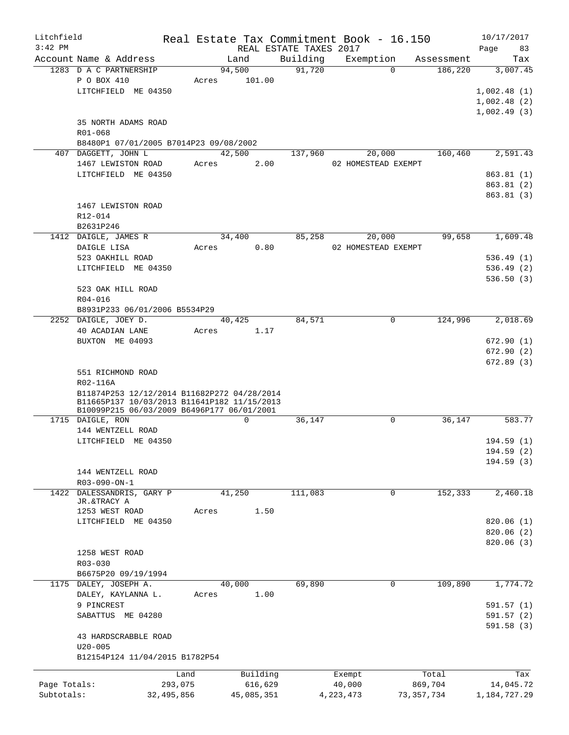| Litchfield   |                                                                                            | Real Estate Tax Commitment Book - 16.150 |            |                        |          |             |                     |              |            | 10/17/2017      |        |
|--------------|--------------------------------------------------------------------------------------------|------------------------------------------|------------|------------------------|----------|-------------|---------------------|--------------|------------|-----------------|--------|
| $3:42$ PM    |                                                                                            |                                          |            | REAL ESTATE TAXES 2017 |          |             |                     |              |            | Page            | 83     |
|              | Account Name & Address                                                                     |                                          | Land       |                        | Building |             | Exemption           |              | Assessment |                 | Tax    |
|              | 1283 D A C PARTNERSHIP                                                                     |                                          | 94,500     |                        | 91,720   |             | $\Omega$            |              | 186,220    | 3,007.45        |        |
|              | P O BOX 410                                                                                | Acres                                    | 101.00     |                        |          |             |                     |              |            |                 |        |
|              | LITCHFIELD ME 04350                                                                        |                                          |            |                        |          |             |                     |              |            | 1,002.48(1)     |        |
|              |                                                                                            |                                          |            |                        |          |             |                     |              |            | 1,002.48(2)     |        |
|              |                                                                                            |                                          |            |                        |          |             |                     |              |            | 1,002.49(3)     |        |
|              | 35 NORTH ADAMS ROAD                                                                        |                                          |            |                        |          |             |                     |              |            |                 |        |
|              | R01-068                                                                                    |                                          |            |                        |          |             |                     |              |            |                 |        |
|              | B8480P1 07/01/2005 B7014P23 09/08/2002                                                     |                                          |            |                        |          |             |                     |              |            |                 |        |
|              | 407 DAGGETT, JOHN L                                                                        |                                          | 42,500     |                        | 137,960  |             | 20,000              |              | 160,460    | 2,591.43        |        |
|              | 1467 LEWISTON ROAD                                                                         | Acres                                    |            | 2.00                   |          |             | 02 HOMESTEAD EXEMPT |              |            |                 |        |
|              | LITCHFIELD ME 04350                                                                        |                                          |            |                        |          |             |                     |              |            | 863.81(1)       |        |
|              |                                                                                            |                                          |            |                        |          |             |                     |              |            | 863.81 (2)      |        |
|              |                                                                                            |                                          |            |                        |          |             |                     |              |            | 863.81 (3)      |        |
|              | 1467 LEWISTON ROAD                                                                         |                                          |            |                        |          |             |                     |              |            |                 |        |
|              | R12-014                                                                                    |                                          |            |                        |          |             |                     |              |            |                 |        |
|              | B2631P246                                                                                  |                                          |            |                        |          |             |                     |              |            |                 |        |
|              | 1412 DAIGLE, JAMES R                                                                       |                                          | 34,400     |                        | 85,258   |             | 20,000              |              | 99,658     | 1,609.48        |        |
|              | DAIGLE LISA                                                                                | Acres                                    |            | 0.80                   |          |             | 02 HOMESTEAD EXEMPT |              |            |                 |        |
|              | 523 OAKHILL ROAD                                                                           |                                          |            |                        |          |             |                     |              |            | 536.49(1)       |        |
|              | LITCHFIELD ME 04350                                                                        |                                          |            |                        |          |             |                     |              |            | 536.49(2)       |        |
|              |                                                                                            |                                          |            |                        |          |             |                     |              |            | 536.50(3)       |        |
|              | 523 OAK HILL ROAD                                                                          |                                          |            |                        |          |             |                     |              |            |                 |        |
|              |                                                                                            |                                          |            |                        |          |             |                     |              |            |                 |        |
|              | R04-016                                                                                    |                                          |            |                        |          |             |                     |              |            |                 |        |
|              | B8931P233 06/01/2006 B5534P29                                                              |                                          |            |                        |          |             |                     |              |            |                 |        |
|              | 2252 DAIGLE, JOEY D.                                                                       |                                          | 40,425     |                        | 84,571   |             | 0                   |              | 124,996    | 2,018.69        |        |
|              | 40 ACADIAN LANE                                                                            | Acres                                    |            | 1.17                   |          |             |                     |              |            |                 |        |
|              | BUXTON ME 04093                                                                            |                                          |            |                        |          |             |                     |              |            | 672.90 (1)      |        |
|              |                                                                                            |                                          |            |                        |          |             |                     |              |            | 672.90(2)       |        |
|              |                                                                                            |                                          |            |                        |          |             |                     |              |            | 672.89(3)       |        |
|              | 551 RICHMOND ROAD                                                                          |                                          |            |                        |          |             |                     |              |            |                 |        |
|              | R02-116A                                                                                   |                                          |            |                        |          |             |                     |              |            |                 |        |
|              | B11874P253 12/12/2014 B11682P272 04/28/2014<br>B11665P137 10/03/2013 B11641P182 11/15/2013 |                                          |            |                        |          |             |                     |              |            |                 |        |
|              | B10099P215 06/03/2009 B6496P177 06/01/2001                                                 |                                          |            |                        |          |             |                     |              |            |                 |        |
|              | 1715 DAIGLE, RON                                                                           |                                          | 0          |                        | 36,147   |             | $\mathbf 0$         |              | 36,147     |                 | 583.77 |
|              | 144 WENTZELL ROAD                                                                          |                                          |            |                        |          |             |                     |              |            |                 |        |
|              | LITCHFIELD ME 04350                                                                        |                                          |            |                        |          |             |                     |              |            | 194.59(1)       |        |
|              |                                                                                            |                                          |            |                        |          |             |                     |              |            | 194.59 (2)      |        |
|              |                                                                                            |                                          |            |                        |          |             |                     |              |            | 194.59(3)       |        |
|              | 144 WENTZELL ROAD                                                                          |                                          |            |                        |          |             |                     |              |            |                 |        |
|              | R03-090-ON-1                                                                               |                                          |            |                        |          |             |                     |              |            |                 |        |
|              | 1422 DALESSANDRIS, GARY P                                                                  |                                          | 41,250     |                        | 111,083  |             | $\mathbf 0$         |              | 152,333    | 2,460.18        |        |
|              | JR.&TRACY A                                                                                |                                          |            |                        |          |             |                     |              |            |                 |        |
|              | 1253 WEST ROAD                                                                             | Acres                                    |            | 1.50                   |          |             |                     |              |            |                 |        |
|              | LITCHFIELD ME 04350                                                                        |                                          |            |                        |          |             |                     |              |            | 820.06(1)       |        |
|              |                                                                                            |                                          |            |                        |          |             |                     |              |            | 820.06(2)       |        |
|              |                                                                                            |                                          |            |                        |          |             |                     |              |            | 820.06 (3)      |        |
|              | 1258 WEST ROAD                                                                             |                                          |            |                        |          |             |                     |              |            |                 |        |
|              | R03-030                                                                                    |                                          |            |                        |          |             |                     |              |            |                 |        |
|              | B6675P20 09/19/1994                                                                        |                                          |            |                        |          |             |                     |              |            |                 |        |
|              | 1175 DALEY, JOSEPH A.                                                                      |                                          | 40,000     |                        | 69,890   |             | 0                   |              | 109,890    | 1,774.72        |        |
|              | DALEY, KAYLANNA L.                                                                         | Acres                                    |            | 1.00                   |          |             |                     |              |            |                 |        |
|              | 9 PINCREST                                                                                 |                                          |            |                        |          |             |                     |              |            | 591.57(1)       |        |
|              | SABATTUS ME 04280                                                                          |                                          |            |                        |          |             |                     |              |            | 591.57(2)       |        |
|              |                                                                                            |                                          |            |                        |          |             |                     |              |            | 591.58(3)       |        |
|              | 43 HARDSCRABBLE ROAD                                                                       |                                          |            |                        |          |             |                     |              |            |                 |        |
|              | $U20 - 005$                                                                                |                                          |            |                        |          |             |                     |              |            |                 |        |
|              | B12154P124 11/04/2015 B1782P54                                                             |                                          |            |                        |          |             |                     |              |            |                 |        |
|              |                                                                                            |                                          |            |                        |          |             |                     |              |            |                 |        |
|              |                                                                                            | Land                                     | Building   |                        |          | Exempt      |                     |              | Total      |                 | Tax    |
| Page Totals: |                                                                                            | 293,075                                  | 616,629    |                        |          | 40,000      |                     |              | 869,704    | 14,045.72       |        |
| Subtotals:   |                                                                                            | 32,495,856                               | 45,085,351 |                        |          | 4, 223, 473 |                     | 73, 357, 734 |            | 1, 184, 727. 29 |        |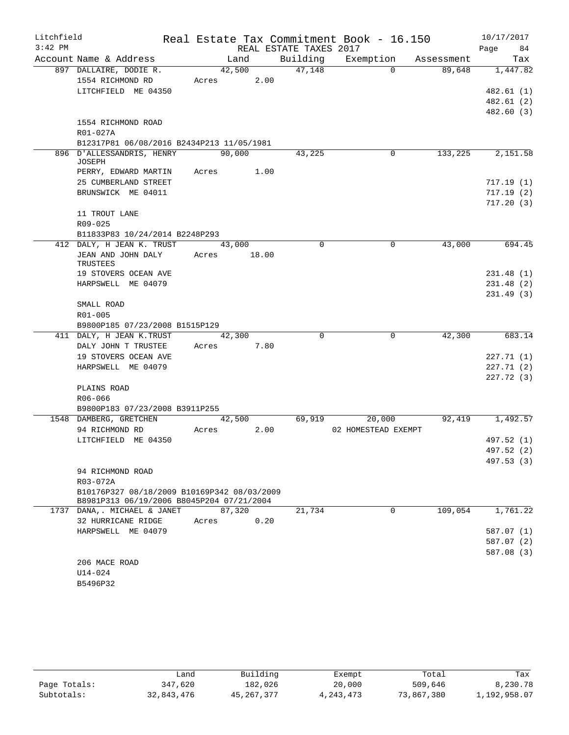| Litchfield |                                                                                          |                      |                        | Real Estate Tax Commitment Book - 16.150 |            | 10/17/2017 |
|------------|------------------------------------------------------------------------------------------|----------------------|------------------------|------------------------------------------|------------|------------|
| $3:42$ PM  |                                                                                          |                      | REAL ESTATE TAXES 2017 |                                          |            | 84<br>Page |
|            | Account Name & Address                                                                   | Land                 |                        | Building Exemption                       | Assessment | Tax        |
|            | 897 DALLAIRE, DODIE R.                                                                   | 42,500               | 47,148                 | $\Omega$                                 | 89,648     | 1,447.82   |
|            | 1554 RICHMOND RD                                                                         | Acres 2.00           |                        |                                          |            |            |
|            | LITCHFIELD ME 04350                                                                      |                      |                        |                                          |            | 482.61(1)  |
|            |                                                                                          |                      |                        |                                          |            | 482.61 (2) |
|            |                                                                                          |                      |                        |                                          |            | 482.60 (3) |
|            | 1554 RICHMOND ROAD                                                                       |                      |                        |                                          |            |            |
|            | R01-027A                                                                                 |                      |                        |                                          |            |            |
|            | B12317P81 06/08/2016 B2434P213 11/05/1981                                                |                      |                        |                                          |            |            |
|            | 896 D'ALLESSANDRIS, HENRY<br><b>JOSEPH</b>                                               | 90,000               | 43,225                 | 0                                        | 133,225    | 2,151.58   |
|            | PERRY, EDWARD MARTIN                                                                     | Acres 1.00           |                        |                                          |            |            |
|            | 25 CUMBERLAND STREET                                                                     |                      |                        |                                          |            | 717.19(1)  |
|            | BRUNSWICK ME 04011                                                                       |                      |                        |                                          |            | 717.19 (2) |
|            |                                                                                          |                      |                        |                                          |            | 717.20(3)  |
|            | 11 TROUT LANE                                                                            |                      |                        |                                          |            |            |
|            | R09-025                                                                                  |                      |                        |                                          |            |            |
|            | B11833P83 10/24/2014 B2248P293                                                           |                      |                        |                                          |            |            |
|            | 412 DALY, H JEAN K. TRUST                                                                | 43,000               | $\Omega$               | $\mathbf 0$                              | 43,000     | 694.45     |
|            | JEAN AND JOHN DALY<br>TRUSTEES                                                           | 18.00<br>Acres       |                        |                                          |            |            |
|            | 19 STOVERS OCEAN AVE                                                                     |                      |                        |                                          |            | 231.48(1)  |
|            | HARPSWELL ME 04079                                                                       |                      |                        |                                          |            | 231.48(2)  |
|            |                                                                                          |                      |                        |                                          |            | 231.49(3)  |
|            | SMALL ROAD                                                                               |                      |                        |                                          |            |            |
|            | R01-005                                                                                  |                      |                        |                                          |            |            |
|            | B9800P185 07/23/2008 B1515P129                                                           |                      |                        |                                          |            |            |
|            | 411 DALY, H JEAN K. TRUST                                                                | 42,300<br>Acres 7.80 | $\Omega$               | $\mathbf 0$                              | 42,300     | 683.14     |
|            | DALY JOHN T TRUSTEE<br>19 STOVERS OCEAN AVE                                              |                      |                        |                                          |            | 227.71(1)  |
|            | HARPSWELL ME 04079                                                                       |                      |                        |                                          |            | 227.71(2)  |
|            |                                                                                          |                      |                        |                                          |            | 227.72 (3) |
|            | PLAINS ROAD                                                                              |                      |                        |                                          |            |            |
|            | R06-066                                                                                  |                      |                        |                                          |            |            |
|            | B9800P183 07/23/2008 B3911P255                                                           |                      |                        |                                          |            |            |
|            | 1548 DAMBERG, GRETCHEN                                                                   | 42,500               | 69,919                 | 20,000                                   | 92,419     | 1,492.57   |
|            | 94 RICHMOND RD                                                                           | 2.00<br>Acres        |                        | 02 HOMESTEAD EXEMPT                      |            |            |
|            | LITCHFIELD ME 04350                                                                      |                      |                        |                                          |            | 497.52 (1) |
|            |                                                                                          |                      |                        |                                          |            | 497.52 (2) |
|            |                                                                                          |                      |                        |                                          |            | 497.53 (3) |
|            | 94 RICHMOND ROAD                                                                         |                      |                        |                                          |            |            |
|            | R03-072A                                                                                 |                      |                        |                                          |            |            |
|            | B10176P327 08/18/2009 B10169P342 08/03/2009<br>B8981P313 06/19/2006 B8045P204 07/21/2004 |                      |                        |                                          |            |            |
|            | 1737 DANA,. MICHAEL & JANET                                                              | 87,320               | 21,734                 | $\Omega$                                 | 109,054    | 1,761.22   |
|            | 32 HURRICANE RIDGE                                                                       | 0.20<br>Acres        |                        |                                          |            |            |
|            | HARPSWELL ME 04079                                                                       |                      |                        |                                          |            | 587.07(1)  |
|            |                                                                                          |                      |                        |                                          |            | 587.07 (2) |
|            |                                                                                          |                      |                        |                                          |            | 587.08 (3) |
|            | 206 MACE ROAD<br>U14-024                                                                 |                      |                        |                                          |            |            |
|            | B5496P32                                                                                 |                      |                        |                                          |            |            |
|            |                                                                                          |                      |                        |                                          |            |            |

|              | Land       | Building     | Exempt    | Total      | Tax          |
|--------------|------------|--------------|-----------|------------|--------------|
| Page Totals: | 347,620    | 182,026      | 20,000    | 509,646    | 8,230.78     |
| Subtotals:   | 32,843,476 | 45, 267, 377 | 4,243,473 | 73,867,380 | 1,192,958.07 |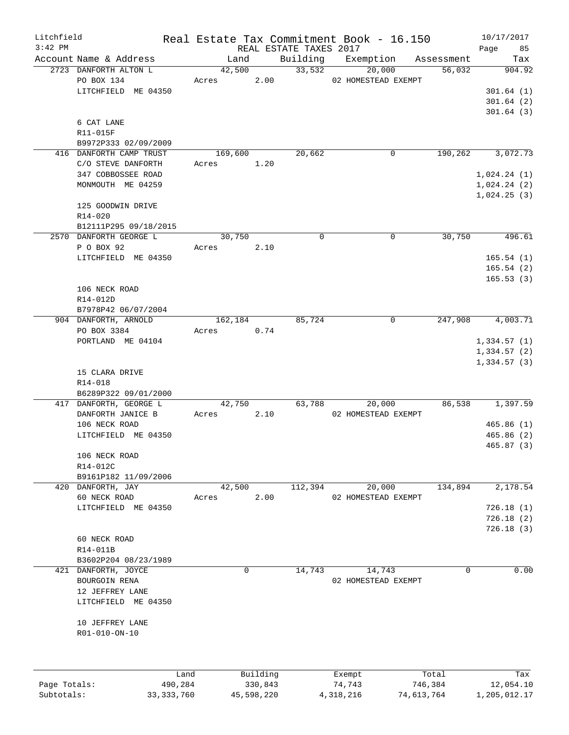| Litchfield   |                         |              |         |             |                        | Real Estate Tax Commitment Book - 16.150 |            | 10/17/2017   |
|--------------|-------------------------|--------------|---------|-------------|------------------------|------------------------------------------|------------|--------------|
| $3:42$ PM    |                         |              |         |             | REAL ESTATE TAXES 2017 |                                          |            | Page<br>85   |
|              | Account Name & Address  |              | Land    |             | Building               | Exemption                                | Assessment | Tax          |
|              | 2723 DANFORTH ALTON L   |              | 42,500  |             | 33,532                 | 20,000                                   | 56,032     | 904.92       |
|              | PO BOX 134              |              | Acres   | 2.00        |                        | 02 HOMESTEAD EXEMPT                      |            |              |
|              | LITCHFIELD ME 04350     |              |         |             |                        |                                          |            | 301.64(1)    |
|              |                         |              |         |             |                        |                                          |            | 301.64(2)    |
|              |                         |              |         |             |                        |                                          |            | 301.64(3)    |
|              | 6 CAT LANE              |              |         |             |                        |                                          |            |              |
|              | R11-015F                |              |         |             |                        |                                          |            |              |
|              | B9972P333 02/09/2009    |              |         |             |                        |                                          |            |              |
|              | 416 DANFORTH CAMP TRUST |              | 169,600 |             | 20,662                 | 0                                        | 190,262    | 3,072.73     |
|              | C/O STEVE DANFORTH      |              | Acres   | 1.20        |                        |                                          |            |              |
|              | 347 COBBOSSEE ROAD      |              |         |             |                        |                                          |            | 1,024.24(1)  |
|              |                         |              |         |             |                        |                                          |            |              |
|              | MONMOUTH ME 04259       |              |         |             |                        |                                          |            | 1,024.24(2)  |
|              |                         |              |         |             |                        |                                          |            | 1,024.25(3)  |
|              | 125 GOODWIN DRIVE       |              |         |             |                        |                                          |            |              |
|              | R14-020                 |              |         |             |                        |                                          |            |              |
|              | B12111P295 09/18/2015   |              |         |             |                        |                                          |            |              |
|              | 2570 DANFORTH GEORGE L  |              | 30,750  |             | $\mathbf 0$            | 0                                        | 30,750     | 496.61       |
|              | P O BOX 92              |              | Acres   | 2.10        |                        |                                          |            |              |
|              | LITCHFIELD ME 04350     |              |         |             |                        |                                          |            | 165.54(1)    |
|              |                         |              |         |             |                        |                                          |            | 165.54(2)    |
|              |                         |              |         |             |                        |                                          |            | 165.53(3)    |
|              | 106 NECK ROAD           |              |         |             |                        |                                          |            |              |
|              | R14-012D                |              |         |             |                        |                                          |            |              |
|              | B7978P42 06/07/2004     |              |         |             |                        |                                          |            |              |
|              | 904 DANFORTH, ARNOLD    |              | 162,184 |             | 85,724                 | 0                                        | 247,908    | 4,003.71     |
|              |                         |              |         | 0.74        |                        |                                          |            |              |
|              | PO BOX 3384             |              | Acres   |             |                        |                                          |            |              |
|              | PORTLAND ME 04104       |              |         |             |                        |                                          |            | 1,334.57(1)  |
|              |                         |              |         |             |                        |                                          |            | 1,334.57(2)  |
|              |                         |              |         |             |                        |                                          |            | 1,334.57(3)  |
|              | 15 CLARA DRIVE          |              |         |             |                        |                                          |            |              |
|              | R14-018                 |              |         |             |                        |                                          |            |              |
|              | B6289P322 09/01/2000    |              |         |             |                        |                                          |            |              |
|              | 417 DANFORTH, GEORGE L  |              | 42,750  |             | 63,788                 | 20,000                                   | 86,538     | 1,397.59     |
|              | DANFORTH JANICE B       |              | Acres   | 2.10        |                        | 02 HOMESTEAD EXEMPT                      |            |              |
|              | 106 NECK ROAD           |              |         |             |                        |                                          |            | 465.86(1)    |
|              | LITCHFIELD ME 04350     |              |         |             |                        |                                          |            | 465.86(2)    |
|              |                         |              |         |             |                        |                                          |            | 465.87 (3)   |
|              | 106 NECK ROAD           |              |         |             |                        |                                          |            |              |
|              | R14-012C                |              |         |             |                        |                                          |            |              |
|              | B9161P182 11/09/2006    |              |         |             |                        |                                          |            |              |
|              | 420 DANFORTH, JAY       |              | 42,500  |             | 112,394                | 20,000                                   | 134,894    | 2,178.54     |
|              | 60 NECK ROAD            |              | Acres   | 2.00        |                        | 02 HOMESTEAD EXEMPT                      |            |              |
|              |                         |              |         |             |                        |                                          |            |              |
|              | LITCHFIELD ME 04350     |              |         |             |                        |                                          |            | 726.18(1)    |
|              |                         |              |         |             |                        |                                          |            | 726.18(2)    |
|              |                         |              |         |             |                        |                                          |            | 726.18(3)    |
|              | 60 NECK ROAD            |              |         |             |                        |                                          |            |              |
|              | R14-011B                |              |         |             |                        |                                          |            |              |
|              | B3602P204 08/23/1989    |              |         |             |                        |                                          |            |              |
|              | 421 DANFORTH, JOYCE     |              |         | $\mathbf 0$ | 14,743                 | 14,743                                   |            | 0.00<br>0    |
|              | BOURGOIN RENA           |              |         |             |                        | 02 HOMESTEAD EXEMPT                      |            |              |
|              | 12 JEFFREY LANE         |              |         |             |                        |                                          |            |              |
|              | LITCHFIELD ME 04350     |              |         |             |                        |                                          |            |              |
|              |                         |              |         |             |                        |                                          |            |              |
|              | 10 JEFFREY LANE         |              |         |             |                        |                                          |            |              |
|              | R01-010-ON-10           |              |         |             |                        |                                          |            |              |
|              |                         |              |         |             |                        |                                          |            |              |
|              |                         |              |         |             |                        |                                          |            |              |
|              |                         | Land         |         | Building    |                        | Exempt                                   | Total      | Tax          |
| Page Totals: |                         | 490,284      |         | 330,843     |                        | 74,743                                   | 746,384    | 12,054.10    |
| Subtotals:   |                         | 33, 333, 760 |         | 45,598,220  |                        | 4, 318, 216                              | 74,613,764 | 1,205,012.17 |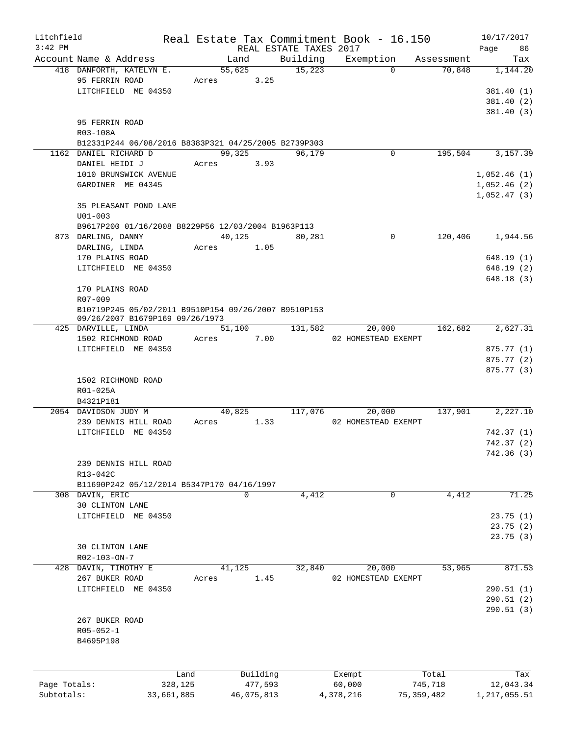| Litchfield   |                                                      |            |             |          |                        | Real Estate Tax Commitment Book - 16.150 |              |            | 10/17/2017   |
|--------------|------------------------------------------------------|------------|-------------|----------|------------------------|------------------------------------------|--------------|------------|--------------|
| $3:42$ PM    |                                                      |            |             |          | REAL ESTATE TAXES 2017 |                                          |              |            | 86<br>Page   |
|              | Account Name & Address                               |            | Land        |          | Building               | Exemption                                |              | Assessment | Tax          |
|              | 418 DANFORTH, KATELYN E.                             |            | 55,625      |          | 15,223                 |                                          | $\Omega$     | 70,848     | 1,144.20     |
|              | 95 FERRIN ROAD                                       | Acres      |             | 3.25     |                        |                                          |              |            |              |
|              | LITCHFIELD ME 04350                                  |            |             |          |                        |                                          |              |            | 381.40(1)    |
|              |                                                      |            |             |          |                        |                                          |              |            | 381.40(2)    |
|              |                                                      |            |             |          |                        |                                          |              |            | 381.40(3)    |
|              | 95 FERRIN ROAD                                       |            |             |          |                        |                                          |              |            |              |
|              | R03-108A                                             |            |             |          |                        |                                          |              |            |              |
|              | B12331P244 06/08/2016 B8383P321 04/25/2005 B2739P303 |            |             |          |                        |                                          |              |            |              |
|              | 1162 DANIEL RICHARD D                                |            | 99,325      |          | 96,179                 |                                          | $\Omega$     | 195,504    | 3,157.39     |
|              | DANIEL HEIDI J                                       | Acres      |             | 3.93     |                        |                                          |              |            |              |
|              | 1010 BRUNSWICK AVENUE                                |            |             |          |                        |                                          |              |            | 1,052.46(1)  |
|              | GARDINER ME 04345                                    |            |             |          |                        |                                          |              |            | 1,052.46(2)  |
|              |                                                      |            |             |          |                        |                                          |              |            | 1,052.47(3)  |
|              | 35 PLEASANT POND LANE                                |            |             |          |                        |                                          |              |            |              |
|              | $U01 - 003$                                          |            |             |          |                        |                                          |              |            |              |
|              | B9617P200 01/16/2008 B8229P56 12/03/2004 B1963P113   |            |             |          |                        |                                          |              |            |              |
|              | 873 DARLING, DANNY                                   |            | 40,125      |          | 80,281                 |                                          | 0            | 120,406    | 1,944.56     |
|              | DARLING, LINDA                                       | Acres      |             | 1.05     |                        |                                          |              |            |              |
|              | 170 PLAINS ROAD                                      |            |             |          |                        |                                          |              |            | 648.19(1)    |
|              | LITCHFIELD ME 04350                                  |            |             |          |                        |                                          |              |            | 648.19(2)    |
|              |                                                      |            |             |          |                        |                                          |              |            | 648.18(3)    |
|              | 170 PLAINS ROAD                                      |            |             |          |                        |                                          |              |            |              |
|              | R07-009                                              |            |             |          |                        |                                          |              |            |              |
|              | B10719P245 05/02/2011 B9510P154 09/26/2007 B9510P153 |            |             |          |                        |                                          |              |            |              |
|              | 09/26/2007 B1679P169 09/26/1973                      |            |             |          |                        |                                          |              |            |              |
|              | 425 DARVILLE, LINDA                                  |            | 51,100      |          | 131,582                | 20,000                                   |              | 162,682    | 2,627.31     |
|              | 1502 RICHMOND ROAD                                   | Acres      |             | 7.00     |                        | 02 HOMESTEAD EXEMPT                      |              |            |              |
|              | LITCHFIELD ME 04350                                  |            |             |          |                        |                                          |              |            | 875.77 (1)   |
|              |                                                      |            |             |          |                        |                                          |              |            | 875.77 (2)   |
|              |                                                      |            |             |          |                        |                                          |              |            | 875.77 (3)   |
|              | 1502 RICHMOND ROAD                                   |            |             |          |                        |                                          |              |            |              |
|              | R01-025A                                             |            |             |          |                        |                                          |              |            |              |
|              | B4321P181                                            |            |             |          |                        |                                          |              |            |              |
|              | 2054 DAVIDSON JUDY M                                 |            | 40,825      |          | 117,076                | 20,000                                   |              | 137,901    | 2,227.10     |
|              | 239 DENNIS HILL ROAD                                 | Acres      |             | 1.33     |                        | 02 HOMESTEAD EXEMPT                      |              |            |              |
|              | LITCHFIELD ME 04350                                  |            |             |          |                        |                                          |              |            | 742.37(1)    |
|              |                                                      |            |             |          |                        |                                          |              |            | 742.37(2)    |
|              |                                                      |            |             |          |                        |                                          |              |            | 742.36 (3)   |
|              | 239 DENNIS HILL ROAD                                 |            |             |          |                        |                                          |              |            |              |
|              | R13-042C                                             |            |             |          |                        |                                          |              |            |              |
|              |                                                      |            |             |          |                        |                                          |              |            |              |
|              | B11690P242 05/12/2014 B5347P170 04/16/1997           |            |             |          |                        |                                          |              |            |              |
|              | 308 DAVIN, ERIC                                      |            | $\mathbf 0$ |          | 4,412                  |                                          | 0            | 4,412      | 71.25        |
|              | 30 CLINTON LANE                                      |            |             |          |                        |                                          |              |            |              |
|              | LITCHFIELD ME 04350                                  |            |             |          |                        |                                          |              |            | 23.75(1)     |
|              |                                                      |            |             |          |                        |                                          |              |            | 23.75(2)     |
|              |                                                      |            |             |          |                        |                                          |              |            | 23.75(3)     |
|              | <b>30 CLINTON LANE</b>                               |            |             |          |                        |                                          |              |            |              |
|              | R02-103-ON-7                                         |            |             |          |                        |                                          |              |            |              |
|              | 428 DAVIN, TIMOTHY E                                 |            | 41,125      |          | 32,840                 | 20,000                                   |              | 53,965     | 871.53       |
|              | 267 BUKER ROAD                                       | Acres      |             | 1.45     |                        | 02 HOMESTEAD EXEMPT                      |              |            |              |
|              | LITCHFIELD ME 04350                                  |            |             |          |                        |                                          |              |            | 290.51(1)    |
|              |                                                      |            |             |          |                        |                                          |              |            | 290.51(2)    |
|              |                                                      |            |             |          |                        |                                          |              |            | 290.51(3)    |
|              | 267 BUKER ROAD                                       |            |             |          |                        |                                          |              |            |              |
|              | $R05 - 052 - 1$                                      |            |             |          |                        |                                          |              |            |              |
|              | B4695P198                                            |            |             |          |                        |                                          |              |            |              |
|              |                                                      |            |             |          |                        |                                          |              |            |              |
|              |                                                      |            |             |          |                        |                                          |              |            |              |
|              |                                                      | Land       |             | Building |                        | Exempt                                   |              | Total      | Tax          |
| Page Totals: |                                                      | 328,125    |             | 477,593  |                        | 60,000                                   |              | 745,718    | 12,043.34    |
| Subtotals:   |                                                      | 33,661,885 | 46,075,813  |          |                        | 4,378,216                                | 75, 359, 482 |            | 1,217,055.51 |
|              |                                                      |            |             |          |                        |                                          |              |            |              |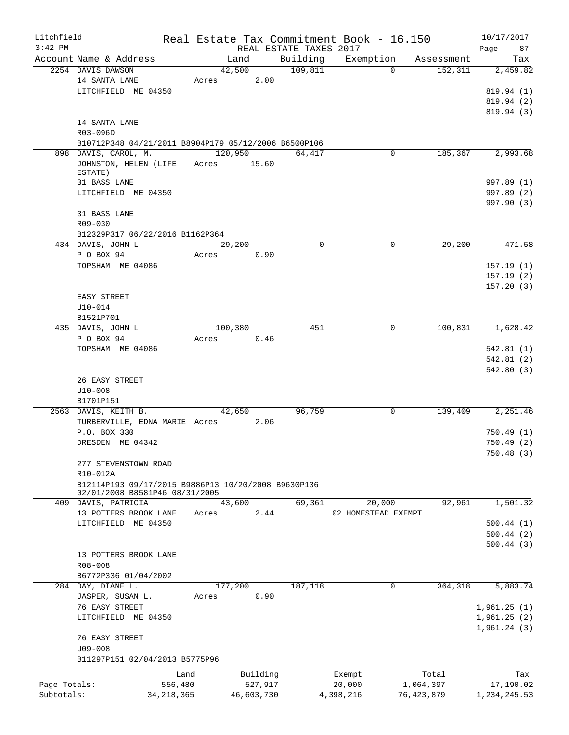| Litchfield   |                                                                                       |              |             |                | Real Estate Tax Commitment Book - 16.150 |           |                     |                       | 10/17/2017             |
|--------------|---------------------------------------------------------------------------------------|--------------|-------------|----------------|------------------------------------------|-----------|---------------------|-----------------------|------------------------|
| $3:42$ PM    |                                                                                       |              |             |                | REAL ESTATE TAXES 2017                   |           |                     |                       | Page<br>87             |
|              | Account Name & Address<br>2254 DAVIS DAWSON                                           |              |             | Land<br>42,500 | Building<br>109,811                      | Exemption | $\Omega$            | Assessment<br>152,311 | Tax<br>2,459.82        |
|              | 14 SANTA LANE                                                                         |              | Acres       | 2.00           |                                          |           |                     |                       |                        |
|              | LITCHFIELD ME 04350                                                                   |              |             |                |                                          |           |                     |                       | 819.94 (1)             |
|              |                                                                                       |              |             |                |                                          |           |                     |                       | 819.94(2)              |
|              |                                                                                       |              |             |                |                                          |           |                     |                       | 819.94 (3)             |
|              | 14 SANTA LANE                                                                         |              |             |                |                                          |           |                     |                       |                        |
|              | R03-096D                                                                              |              |             |                |                                          |           |                     |                       |                        |
|              | B10712P348 04/21/2011 B8904P179 05/12/2006 B6500P106                                  |              |             |                |                                          |           |                     |                       |                        |
|              | 898 DAVIS, CAROL, M.                                                                  |              | 120,950     |                | 64,417                                   |           | $\mathbf 0$         | 185,367               | 2,993.68               |
|              | JOHNSTON, HELEN (LIFE<br>ESTATE)                                                      |              | Acres 15.60 |                |                                          |           |                     |                       |                        |
|              | 31 BASS LANE                                                                          |              |             |                |                                          |           |                     |                       | 997.89 (1)             |
|              | LITCHFIELD ME 04350                                                                   |              |             |                |                                          |           |                     |                       | 997.89 (2)             |
|              |                                                                                       |              |             |                |                                          |           |                     |                       | 997.90 (3)             |
|              | 31 BASS LANE                                                                          |              |             |                |                                          |           |                     |                       |                        |
|              | R09-030                                                                               |              |             |                |                                          |           |                     |                       |                        |
|              | B12329P317 06/22/2016 B1162P364                                                       |              |             |                |                                          |           |                     |                       |                        |
|              | 434 DAVIS, JOHN L                                                                     |              |             | 29,200         |                                          | 0         | 0                   | 29,200                | 471.58                 |
|              | P O BOX 94                                                                            |              | Acres       | 0.90           |                                          |           |                     |                       |                        |
|              | TOPSHAM ME 04086                                                                      |              |             |                |                                          |           |                     |                       | 157.19(1)<br>157.19(2) |
|              |                                                                                       |              |             |                |                                          |           |                     |                       | 157.20(3)              |
|              | EASY STREET                                                                           |              |             |                |                                          |           |                     |                       |                        |
|              | $U10 - 014$                                                                           |              |             |                |                                          |           |                     |                       |                        |
|              | B1521P701                                                                             |              |             |                |                                          |           |                     |                       |                        |
|              | 435 DAVIS, JOHN L                                                                     |              | 100,380     |                | 451                                      |           | 0                   | 100,831               | 1,628.42               |
|              | P O BOX 94                                                                            |              | Acres       | 0.46           |                                          |           |                     |                       |                        |
|              | TOPSHAM ME 04086                                                                      |              |             |                |                                          |           |                     |                       | 542.81(1)              |
|              |                                                                                       |              |             |                |                                          |           |                     |                       | 542.81(2)              |
|              |                                                                                       |              |             |                |                                          |           |                     |                       | 542.80(3)              |
|              | 26 EASY STREET                                                                        |              |             |                |                                          |           |                     |                       |                        |
|              | $U10 - 008$<br>B1701P151                                                              |              |             |                |                                          |           |                     |                       |                        |
|              | 2563 DAVIS, KEITH B.                                                                  |              |             | 42,650         | 96,759                                   |           | $\mathsf{O}$        | 139,409               | 2,251.46               |
|              | TURBERVILLE, EDNA MARIE Acres                                                         |              |             | 2.06           |                                          |           |                     |                       |                        |
|              | P.O. BOX 330                                                                          |              |             |                |                                          |           |                     |                       | 750.49 (1)             |
|              | DRESDEN ME 04342                                                                      |              |             |                |                                          |           |                     |                       | 750.49(2)              |
|              |                                                                                       |              |             |                |                                          |           |                     |                       | 750.48(3)              |
|              | 277 STEVENSTOWN ROAD                                                                  |              |             |                |                                          |           |                     |                       |                        |
|              | R10-012A                                                                              |              |             |                |                                          |           |                     |                       |                        |
|              | B12114P193 09/17/2015 B9886P13 10/20/2008 B9630P136<br>02/01/2008 B8581P46 08/31/2005 |              |             |                |                                          |           |                     |                       |                        |
|              | 409 DAVIS, PATRICIA                                                                   |              |             | 43,600         | 69,361                                   |           | 20,000              | 92,961                | 1,501.32               |
|              | 13 POTTERS BROOK LANE                                                                 |              | Acres       | 2.44           |                                          |           | 02 HOMESTEAD EXEMPT |                       |                        |
|              | LITCHFIELD ME 04350                                                                   |              |             |                |                                          |           |                     |                       | 500.44(1)              |
|              |                                                                                       |              |             |                |                                          |           |                     |                       | 500.44(2)              |
|              |                                                                                       |              |             |                |                                          |           |                     |                       | 500.44(3)              |
|              | 13 POTTERS BROOK LANE                                                                 |              |             |                |                                          |           |                     |                       |                        |
|              | R08-008                                                                               |              |             |                |                                          |           |                     |                       |                        |
|              | B6772P336 01/04/2002                                                                  |              |             |                |                                          |           |                     |                       |                        |
|              | 284 DAY, DIANE L.                                                                     |              | 177,200     |                | 187,118                                  |           | 0                   | 364,318               | 5,883.74               |
|              | JASPER, SUSAN L.<br>76 EASY STREET                                                    |              | Acres       | 0.90           |                                          |           |                     |                       | 1,961.25(1)            |
|              | LITCHFIELD ME 04350                                                                   |              |             |                |                                          |           |                     |                       | 1,961.25(2)            |
|              |                                                                                       |              |             |                |                                          |           |                     |                       | 1,961.24(3)            |
|              | 76 EASY STREET                                                                        |              |             |                |                                          |           |                     |                       |                        |
|              | $U09 - 008$                                                                           |              |             |                |                                          |           |                     |                       |                        |
|              | B11297P151 02/04/2013 B5775P96                                                        |              |             |                |                                          |           |                     |                       |                        |
|              |                                                                                       | Land         |             | Building       |                                          | Exempt    |                     | Total                 | Tax                    |
| Page Totals: |                                                                                       | 556,480      |             | 527,917        |                                          | 20,000    |                     | 1,064,397             | 17,190.02              |
| Subtotals:   |                                                                                       | 34, 218, 365 |             | 46,603,730     |                                          | 4,398,216 |                     | 76, 423, 879          | 1,234,245.53           |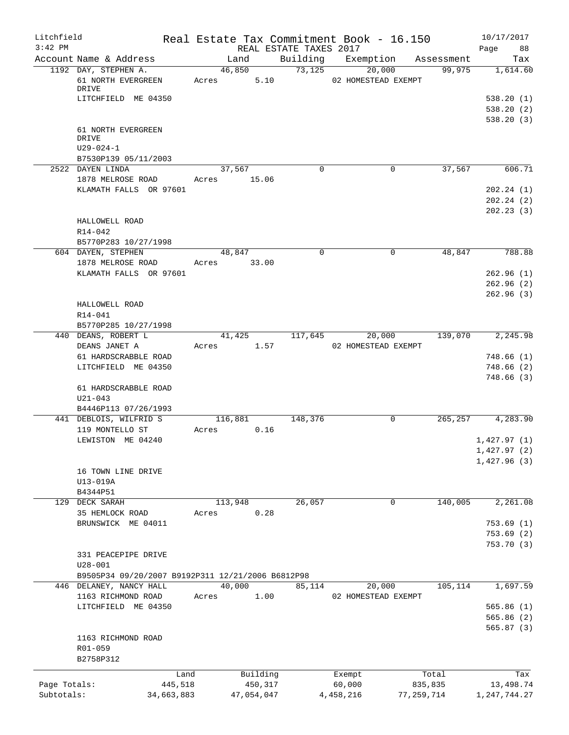| Litchfield                 |                                                     |                 |                       |                        | Real Estate Tax Commitment Book - 16.150 |                         | 10/17/2017                   |
|----------------------------|-----------------------------------------------------|-----------------|-----------------------|------------------------|------------------------------------------|-------------------------|------------------------------|
| $3:42$ PM                  |                                                     |                 |                       | REAL ESTATE TAXES 2017 |                                          |                         | Page<br>88                   |
|                            | Account Name & Address                              | Land            |                       | Building               | Exemption                                | Assessment              | Tax                          |
|                            | 1192 DAY, STEPHEN A.<br>61 NORTH EVERGREEN<br>DRIVE | 46,850<br>Acres | 5.10                  | 73,125                 | 20,000<br>02 HOMESTEAD EXEMPT            | 99,975                  | 1,614.60                     |
|                            | LITCHFIELD ME 04350                                 |                 |                       |                        |                                          |                         | 538.20(1)                    |
|                            |                                                     |                 |                       |                        |                                          |                         | 538.20(2)                    |
|                            | 61 NORTH EVERGREEN<br>DRIVE<br>$U29 - 024 - 1$      |                 |                       |                        |                                          |                         | 538.20(3)                    |
|                            | B7530P139 05/11/2003                                |                 |                       |                        |                                          |                         |                              |
|                            | 2522 DAYEN LINDA                                    | 37,567          |                       | $\mathbf 0$            | $\mathbf 0$                              | 37,567                  | 606.71                       |
|                            | 1878 MELROSE ROAD                                   | Acres 15.06     |                       |                        |                                          |                         |                              |
|                            | KLAMATH FALLS OR 97601                              |                 |                       |                        |                                          |                         | 202.24(1)                    |
|                            |                                                     |                 |                       |                        |                                          |                         | 202.24(2)                    |
|                            | HALLOWELL ROAD<br>R14-042                           |                 |                       |                        |                                          |                         | 202.23(3)                    |
|                            | B5770P283 10/27/1998                                |                 |                       |                        |                                          |                         |                              |
|                            | 604 DAYEN, STEPHEN                                  | 48,847          |                       | $\Omega$               | $\mathbf 0$                              | 48,847                  | 788.88                       |
|                            | 1878 MELROSE ROAD                                   | Acres 33.00     |                       |                        |                                          |                         |                              |
|                            | KLAMATH FALLS OR 97601                              |                 |                       |                        |                                          |                         | 262.96(1)                    |
|                            |                                                     |                 |                       |                        |                                          |                         | 262.96(2)                    |
|                            | HALLOWELL ROAD<br>R14-041<br>B5770P285 10/27/1998   |                 |                       |                        |                                          |                         | 262.96(3)                    |
|                            | 440 DEANS, ROBERT L                                 | 41,425          |                       | 117,645                | 20,000                                   | 139,070                 | 2,245.98                     |
|                            | DEANS JANET A                                       | Acres           | 1.57                  |                        | 02 HOMESTEAD EXEMPT                      |                         |                              |
|                            | 61 HARDSCRABBLE ROAD                                |                 |                       |                        |                                          |                         | 748.66(1)                    |
|                            | LITCHFIELD ME 04350                                 |                 |                       |                        |                                          |                         | 748.66(2)                    |
|                            | 61 HARDSCRABBLE ROAD<br>$U21 - 043$                 |                 |                       |                        |                                          |                         | 748.66(3)                    |
|                            | B4446P113 07/26/1993                                |                 |                       |                        |                                          |                         |                              |
|                            | 441 DEBLOIS, WILFRID S                              | 116,881         |                       | 148,376                | 0                                        | 265,257                 | 4,283.90                     |
|                            | 119 MONTELLO ST                                     | Acres           | 0.16                  |                        |                                          |                         |                              |
|                            | LEWISTON ME 04240                                   |                 |                       |                        |                                          |                         | 1,427.97(1)                  |
|                            |                                                     |                 |                       |                        |                                          |                         | 1,427.97(2)                  |
|                            | 16 TOWN LINE DRIVE<br>U13-019A<br>B4344P51          |                 |                       |                        |                                          |                         | 1,427.96(3)                  |
|                            | 129 DECK SARAH                                      | 113,948         |                       | 26,057                 | 0                                        | 140,005                 | 2,261.08                     |
|                            | 35 HEMLOCK ROAD                                     | Acres           | 0.28                  |                        |                                          |                         |                              |
|                            | BRUNSWICK ME 04011                                  |                 |                       |                        |                                          |                         | 753.69(1)                    |
|                            |                                                     |                 |                       |                        |                                          |                         | 753.69(2)                    |
|                            | 331 PEACEPIPE DRIVE<br>$U28 - 001$                  |                 |                       |                        |                                          |                         | 753.70(3)                    |
|                            | B9505P34 09/20/2007 B9192P311 12/21/2006 B6812P98   |                 |                       |                        |                                          |                         |                              |
|                            | 446 DELANEY, NANCY HALL                             | 40,000          |                       | 85,114                 | 20,000                                   | 105,114                 | 1,697.59                     |
|                            | 1163 RICHMOND ROAD                                  | Acres           | 1.00                  |                        | 02 HOMESTEAD EXEMPT                      |                         |                              |
|                            | LITCHFIELD ME 04350                                 |                 |                       |                        |                                          |                         | 565.86(1)                    |
|                            |                                                     |                 |                       |                        |                                          |                         | 565.86 (2)                   |
|                            | 1163 RICHMOND ROAD<br>R01-059<br>B2758P312          |                 |                       |                        |                                          |                         | 565.87(3)                    |
|                            |                                                     |                 |                       |                        |                                          |                         |                              |
|                            | Land                                                |                 | Building              |                        | Exempt                                   | Total                   | Tax                          |
| Page Totals:<br>Subtotals: | 445,518<br>34,663,883                               |                 | 450,317<br>47,054,047 |                        | 60,000<br>4,458,216                      | 835,835<br>77, 259, 714 | 13,498.74<br>1, 247, 744. 27 |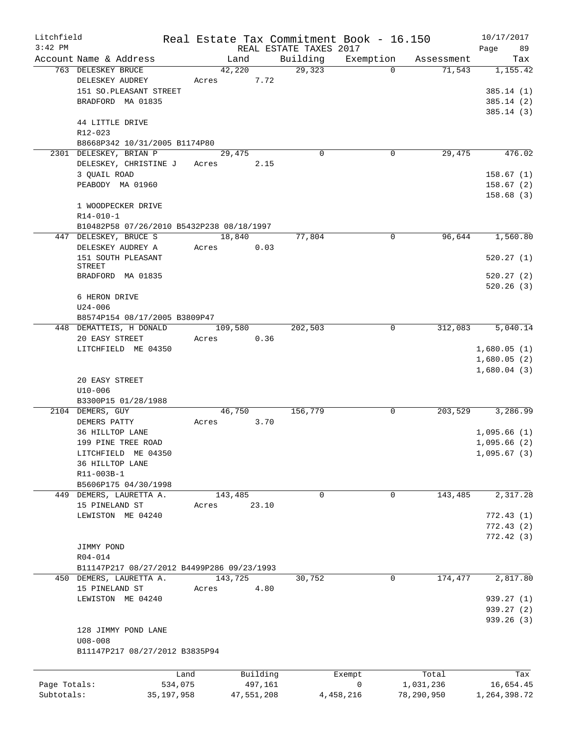| Litchfield   |                                            |         |            |         |                        | Real Estate Tax Commitment Book - 16.150 |            | 10/17/2017   |
|--------------|--------------------------------------------|---------|------------|---------|------------------------|------------------------------------------|------------|--------------|
| $3:42$ PM    |                                            |         |            |         | REAL ESTATE TAXES 2017 |                                          |            | 89<br>Page   |
|              | Account Name & Address                     |         | Land       |         | Building               | Exemption                                | Assessment | Tax          |
|              | 763 DELESKEY BRUCE                         |         | 42,220     |         | 29,323                 | $\Omega$                                 | 71,543     | 1,155.42     |
|              | DELESKEY AUDREY                            | Acres   |            | 7.72    |                        |                                          |            |              |
|              | 151 SO. PLEASANT STREET                    |         |            |         |                        |                                          |            | 385.14(1)    |
|              | BRADFORD MA 01835                          |         |            |         |                        |                                          |            | 385.14(2)    |
|              |                                            |         |            |         |                        |                                          |            | 385.14(3)    |
|              | 44 LITTLE DRIVE                            |         |            |         |                        |                                          |            |              |
|              | R12-023                                    |         |            |         |                        |                                          |            |              |
|              | B8668P342 10/31/2005 B1174P80              |         |            |         |                        |                                          |            |              |
|              | 2301 DELESKEY, BRIAN P                     |         | 29,475     |         | $\mathbf 0$            | $\mathbf 0$                              | 29,475     | 476.02       |
|              | DELESKEY, CHRISTINE J                      | Acres   |            | 2.15    |                        |                                          |            |              |
|              | 3 QUAIL ROAD                               |         |            |         |                        |                                          |            | 158.67(1)    |
|              | PEABODY MA 01960                           |         |            |         |                        |                                          |            | 158.67(2)    |
|              |                                            |         |            |         |                        |                                          |            | 158.68(3)    |
|              | 1 WOODPECKER DRIVE                         |         |            |         |                        |                                          |            |              |
|              | R14-010-1                                  |         |            |         |                        |                                          |            |              |
|              | B10482P58 07/26/2010 B5432P238 08/18/1997  |         |            |         |                        |                                          |            |              |
|              | 447 DELESKEY, BRUCE S                      |         | 18,840     |         | 77,804                 | $\mathbf 0$                              | 96,644     | 1,560.80     |
|              | DELESKEY AUDREY A                          | Acres   |            | 0.03    |                        |                                          |            |              |
|              |                                            |         |            |         |                        |                                          |            |              |
|              | 151 SOUTH PLEASANT<br>STREET               |         |            |         |                        |                                          |            | 520.27(1)    |
|              | BRADFORD MA 01835                          |         |            |         |                        |                                          |            | 520.27(2)    |
|              |                                            |         |            |         |                        |                                          |            | 520.26(3)    |
|              | 6 HERON DRIVE                              |         |            |         |                        |                                          |            |              |
|              |                                            |         |            |         |                        |                                          |            |              |
|              | $U24 - 006$                                |         |            |         |                        |                                          |            |              |
|              | B8574P154 08/17/2005 B3809P47              |         |            |         |                        |                                          |            |              |
|              | 448 DEMATTEIS, H DONALD                    |         | 109,580    |         | 202,503                | 0                                        | 312,083    | 5,040.14     |
|              | 20 EASY STREET                             | Acres   |            | 0.36    |                        |                                          |            |              |
|              | LITCHFIELD ME 04350                        |         |            |         |                        |                                          |            | 1,680.05(1)  |
|              |                                            |         |            |         |                        |                                          |            | 1,680.05(2)  |
|              |                                            |         |            |         |                        |                                          |            | 1,680.04(3)  |
|              | 20 EASY STREET                             |         |            |         |                        |                                          |            |              |
|              | $U10-006$                                  |         |            |         |                        |                                          |            |              |
|              | B3300P15 01/28/1988                        |         |            |         |                        |                                          |            |              |
|              | 2104 DEMERS, GUY                           |         | 46,750     |         | 156,779                | 0                                        | 203,529    | 3,286.99     |
|              | DEMERS PATTY                               | Acres   |            | 3.70    |                        |                                          |            |              |
|              | 36 HILLTOP LANE                            |         |            |         |                        |                                          |            | 1,095.66(1)  |
|              | 199 PINE TREE ROAD                         |         |            |         |                        |                                          |            | 1,095.66(2)  |
|              | LITCHFIELD ME 04350                        |         |            |         |                        |                                          |            | 1,095.67(3)  |
|              | 36 HILLTOP LANE                            |         |            |         |                        |                                          |            |              |
|              | R11-003B-1                                 |         |            |         |                        |                                          |            |              |
|              | B5606P175 04/30/1998                       |         |            |         |                        |                                          |            |              |
|              | 449 DEMERS, LAURETTA A.                    |         | 143,485    |         | 0                      | $\mathbf 0$                              | 143,485    | 2,317.28     |
|              | 15 PINELAND ST                             | Acres   |            | 23.10   |                        |                                          |            |              |
|              | LEWISTON ME 04240                          |         |            |         |                        |                                          |            | 772.43(1)    |
|              |                                            |         |            |         |                        |                                          |            | 772.43(2)    |
|              |                                            |         |            |         |                        |                                          |            | 772.42(3)    |
|              | JIMMY POND                                 |         |            |         |                        |                                          |            |              |
|              | R04-014                                    |         |            |         |                        |                                          |            |              |
|              |                                            |         |            |         |                        |                                          |            |              |
|              | B11147P217 08/27/2012 B4499P286 09/23/1993 |         |            |         |                        | $\mathbf 0$                              | 174,477    |              |
|              | 450 DEMERS, LAURETTA A.                    |         | 143,725    |         | 30,752                 |                                          |            | 2,817.80     |
|              | 15 PINELAND ST                             | Acres   |            | 4.80    |                        |                                          |            |              |
|              | LEWISTON ME 04240                          |         |            |         |                        |                                          |            | 939.27 (1)   |
|              |                                            |         |            |         |                        |                                          |            | 939.27 (2)   |
|              |                                            |         |            |         |                        |                                          |            | 939.26 (3)   |
|              | 128 JIMMY POND LANE                        |         |            |         |                        |                                          |            |              |
|              | $U08 - 008$                                |         |            |         |                        |                                          |            |              |
|              | B11147P217 08/27/2012 B3835P94             |         |            |         |                        |                                          |            |              |
|              |                                            |         |            |         |                        |                                          |            |              |
|              |                                            | Land    | Building   |         |                        | Exempt                                   | Total      | Tax          |
| Page Totals: |                                            | 534,075 |            | 497,161 |                        | 0                                        | 1,031,236  | 16,654.45    |
| Subtotals:   | 35, 197, 958                               |         | 47,551,208 |         |                        | 4,458,216                                | 78,290,950 | 1,264,398.72 |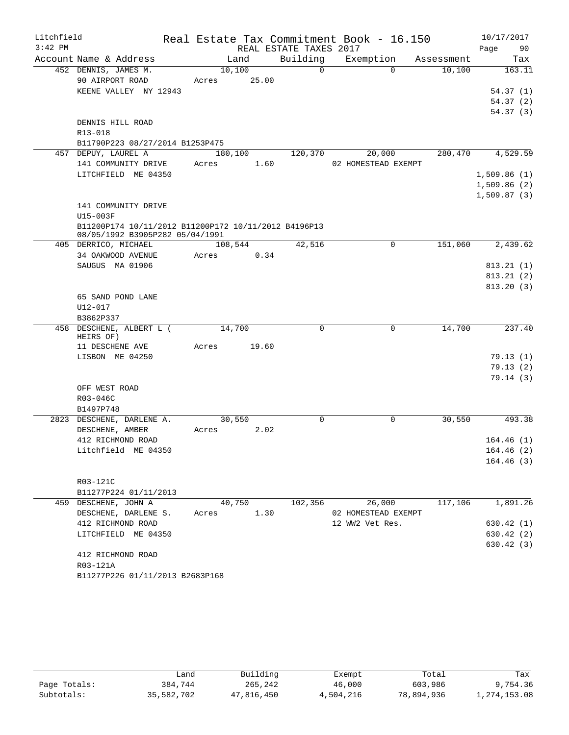| Litchfield |                                                                                         |             |        |                        | Real Estate Tax Commitment Book - 16.150 |            | 10/17/2017             |
|------------|-----------------------------------------------------------------------------------------|-------------|--------|------------------------|------------------------------------------|------------|------------------------|
| $3:42$ PM  |                                                                                         |             |        | REAL ESTATE TAXES 2017 |                                          |            | Page<br>90             |
|            | Account Name & Address                                                                  |             | Land   | Building               | Exemption                                | Assessment | Tax                    |
|            | 452 DENNIS, JAMES M.                                                                    | 10,100      |        | $\overline{0}$         | $\Omega$                                 | 10,100     | 163.11                 |
|            | 90 AIRPORT ROAD                                                                         | Acres 25.00 |        |                        |                                          |            |                        |
|            | KEENE VALLEY NY 12943                                                                   |             |        |                        |                                          |            | 54.37(1)               |
|            |                                                                                         |             |        |                        |                                          |            | 54.37(2)               |
|            |                                                                                         |             |        |                        |                                          |            | 54.37(3)               |
|            | DENNIS HILL ROAD                                                                        |             |        |                        |                                          |            |                        |
|            | R13-018                                                                                 |             |        |                        |                                          |            |                        |
|            | B11790P223 08/27/2014 B1253P475                                                         |             |        |                        |                                          |            |                        |
|            | 457 DEPUY, LAUREL A                                                                     | 180,100     |        | 120,370                | 20,000                                   | 280,470    | 4,529.59               |
|            | 141 COMMUNITY DRIVE                                                                     | Acres       | 1.60   |                        | 02 HOMESTEAD EXEMPT                      |            |                        |
|            | LITCHFIELD ME 04350                                                                     |             |        |                        |                                          |            | 1,509.86(1)            |
|            |                                                                                         |             |        |                        |                                          |            | 1,509.86(2)            |
|            |                                                                                         |             |        |                        |                                          |            | 1,509.87(3)            |
|            | 141 COMMUNITY DRIVE                                                                     |             |        |                        |                                          |            |                        |
|            | U15-003F                                                                                |             |        |                        |                                          |            |                        |
|            | B11200P174 10/11/2012 B11200P172 10/11/2012 B4196P13<br>08/05/1992 B3905P282 05/04/1991 |             |        |                        |                                          |            |                        |
|            | 405 DERRICO, MICHAEL                                                                    | 108,544     |        | 42,516                 | 0                                        | 151,060    | 2,439.62               |
|            | 34 OAKWOOD AVENUE                                                                       | Acres       | 0.34   |                        |                                          |            |                        |
|            | SAUGUS MA 01906                                                                         |             |        |                        |                                          |            | 813.21(1)              |
|            |                                                                                         |             |        |                        |                                          |            | 813.21(2)              |
|            |                                                                                         |             |        |                        |                                          |            | 813.20(3)              |
|            | 65 SAND POND LANE                                                                       |             |        |                        |                                          |            |                        |
|            | U12-017                                                                                 |             |        |                        |                                          |            |                        |
|            | B3862P337                                                                               |             |        |                        |                                          |            |                        |
|            | 458 DESCHENE, ALBERT L (<br>HEIRS OF)                                                   | 14,700      |        | $\Omega$               | 0                                        | 14,700     | 237.40                 |
|            | 11 DESCHENE AVE                                                                         | Acres       | 19.60  |                        |                                          |            |                        |
|            | LISBON ME 04250                                                                         |             |        |                        |                                          |            | 79.13(1)               |
|            |                                                                                         |             |        |                        |                                          |            | 79.13(2)               |
|            |                                                                                         |             |        |                        |                                          |            | 79.14(3)               |
|            | OFF WEST ROAD                                                                           |             |        |                        |                                          |            |                        |
|            | R03-046C                                                                                |             |        |                        |                                          |            |                        |
|            | B1497P748                                                                               |             |        |                        |                                          |            |                        |
|            | 2823 DESCHENE, DARLENE A.                                                               | 30,550      |        | $\mathbf 0$            | $\mathsf{O}$                             | 30,550     | 493.38                 |
|            | DESCHENE, AMBER                                                                         | Acres       | 2.02   |                        |                                          |            |                        |
|            | 412 RICHMOND ROAD<br>Litchfield ME 04350                                                |             |        |                        |                                          |            | 164.46(1)<br>164.46(2) |
|            |                                                                                         |             |        |                        |                                          |            | 164.46(3)              |
|            |                                                                                         |             |        |                        |                                          |            |                        |
|            | R03-121C                                                                                |             |        |                        |                                          |            |                        |
|            | B11277P224 01/11/2013                                                                   |             |        |                        |                                          |            |                        |
|            | 459 DESCHENE, JOHN A                                                                    |             | 40,750 | 102,356                | 26,000                                   | 117,106    | 1,891.26               |
|            | DESCHENE, DARLENE S.                                                                    | Acres       | 1.30   |                        | 02 HOMESTEAD EXEMPT                      |            |                        |
|            | 412 RICHMOND ROAD                                                                       |             |        |                        | 12 WW2 Vet Res.                          |            | 630.42(1)              |
|            | LITCHFIELD ME 04350                                                                     |             |        |                        |                                          |            | 630.42 (2)             |
|            |                                                                                         |             |        |                        |                                          |            | 630.42 (3)             |
|            | 412 RICHMOND ROAD                                                                       |             |        |                        |                                          |            |                        |
|            | R03-121A                                                                                |             |        |                        |                                          |            |                        |
|            | B11277P226 01/11/2013 B2683P168                                                         |             |        |                        |                                          |            |                        |
|            |                                                                                         |             |        |                        |                                          |            |                        |

|              | Land       | Building   | Exempt    | Total      | Tax          |
|--------------|------------|------------|-----------|------------|--------------|
| Page Totals: | 384,744    | 265,242    | 46,000    | 603,986    | 9,754.36     |
| Subtotals:   | 35,582,702 | 47,816,450 | 4,504,216 | 78,894,936 | 1,274,153.08 |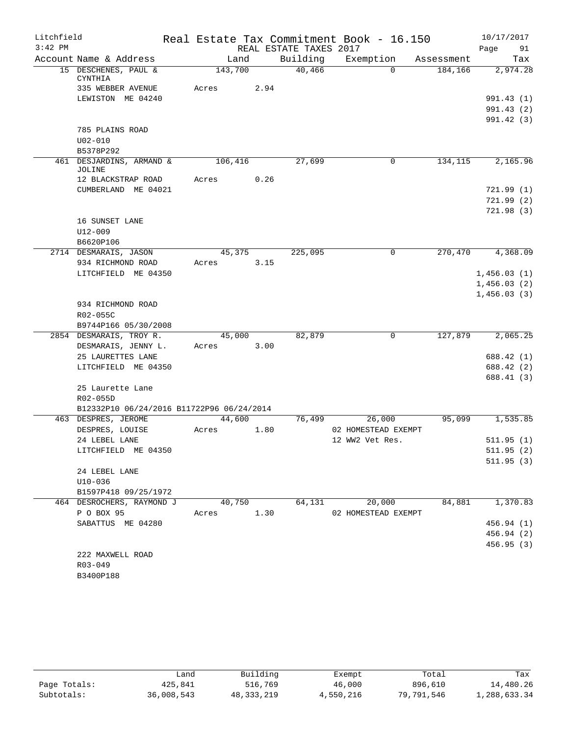| Litchfield |                                           |         |      |                        | Real Estate Tax Commitment Book - 16.150 |            | 10/17/2017               |          |
|------------|-------------------------------------------|---------|------|------------------------|------------------------------------------|------------|--------------------------|----------|
| $3:42$ PM  |                                           |         |      | REAL ESTATE TAXES 2017 |                                          |            | Page                     | 91       |
|            | Account Name & Address                    | Land    |      | Building               | Exemption                                | Assessment |                          | Tax      |
|            | 15 DESCHENES, PAUL &<br>CYNTHIA           | 143,700 |      | 40,466                 | $\Omega$                                 | 184,166    |                          | 2,974.28 |
|            | 335 WEBBER AVENUE                         | Acres   | 2.94 |                        |                                          |            |                          |          |
|            | LEWISTON ME 04240                         |         |      |                        |                                          |            | 991.43 (1)               |          |
|            |                                           |         |      |                        |                                          |            | 991.43 (2)               |          |
|            |                                           |         |      |                        |                                          |            | 991.42 (3)               |          |
|            | 785 PLAINS ROAD                           |         |      |                        |                                          |            |                          |          |
|            | $U02 - 010$                               |         |      |                        |                                          |            |                          |          |
|            | B5378P292                                 |         |      |                        |                                          |            |                          |          |
|            | 461 DESJARDINS, ARMAND &<br>JOLINE        | 106,416 |      | 27,699                 | 0                                        | 134, 115   |                          | 2,165.96 |
|            | 12 BLACKSTRAP ROAD                        | Acres   | 0.26 |                        |                                          |            |                          |          |
|            | CUMBERLAND ME 04021                       |         |      |                        |                                          |            | 721.99(1)                |          |
|            |                                           |         |      |                        |                                          |            | 721.99(2)                |          |
|            |                                           |         |      |                        |                                          |            | 721.98(3)                |          |
|            | 16 SUNSET LANE                            |         |      |                        |                                          |            |                          |          |
|            | U12-009                                   |         |      |                        |                                          |            |                          |          |
|            | B6620P106                                 |         |      |                        |                                          |            |                          |          |
|            | 2714 DESMARAIS, JASON                     | 45,375  |      | 225,095                | 0                                        | 270,470    |                          | 4,368.09 |
|            | 934 RICHMOND ROAD                         | Acres   | 3.15 |                        |                                          |            |                          |          |
|            | LITCHFIELD ME 04350                       |         |      |                        |                                          |            | 1,456.03(1)              |          |
|            |                                           |         |      |                        |                                          |            | 1,456.03(2)              |          |
|            |                                           |         |      |                        |                                          |            | 1,456.03(3)              |          |
|            | 934 RICHMOND ROAD                         |         |      |                        |                                          |            |                          |          |
|            | R02-055C                                  |         |      |                        |                                          |            |                          |          |
|            | B9744P166 05/30/2008                      |         |      |                        |                                          |            |                          |          |
|            | 2854 DESMARAIS, TROY R.                   | 45,000  | 3.00 | 82,879                 | $\mathbf 0$                              | 127,879    |                          | 2,065.25 |
|            | DESMARAIS, JENNY L.<br>25 LAURETTES LANE  | Acres   |      |                        |                                          |            | 688.42 (1)               |          |
|            | LITCHFIELD ME 04350                       |         |      |                        |                                          |            | 688.42 (2)               |          |
|            |                                           |         |      |                        |                                          |            | 688.41 (3)               |          |
|            | 25 Laurette Lane                          |         |      |                        |                                          |            |                          |          |
|            | R02-055D                                  |         |      |                        |                                          |            |                          |          |
|            | B12332P10 06/24/2016 B11722P96 06/24/2014 |         |      |                        |                                          |            |                          |          |
|            | 463 DESPRES, JEROME                       | 44,600  |      | 76,499                 | 26,000                                   | 95,099     |                          | 1,535.85 |
|            | DESPRES, LOUISE                           | Acres   | 1.80 |                        | 02 HOMESTEAD EXEMPT                      |            |                          |          |
|            | 24 LEBEL LANE                             |         |      |                        | 12 WW2 Vet Res.                          |            | 511.95(1)                |          |
|            | LITCHFIELD ME 04350                       |         |      |                        |                                          |            | 511.95(2)                |          |
|            |                                           |         |      |                        |                                          |            | 511.95(3)                |          |
|            | 24 LEBEL LANE                             |         |      |                        |                                          |            |                          |          |
|            | $U10 - 036$                               |         |      |                        |                                          |            |                          |          |
|            | B1597P418 09/25/1972                      |         |      |                        |                                          |            |                          |          |
|            | 464 DESROCHERS, RAYMOND J                 | 40,750  |      | 64,131                 | 20,000                                   | 84,881     |                          | 1,370.83 |
|            | P O BOX 95                                | Acres   | 1.30 |                        | 02 HOMESTEAD EXEMPT                      |            |                          |          |
|            | SABATTUS ME 04280                         |         |      |                        |                                          |            | 456.94 (1)               |          |
|            |                                           |         |      |                        |                                          |            | 456.94 (2)<br>456.95 (3) |          |
|            | 222 MAXWELL ROAD                          |         |      |                        |                                          |            |                          |          |
|            | $R03 - 049$                               |         |      |                        |                                          |            |                          |          |
|            | B3400P188                                 |         |      |                        |                                          |            |                          |          |

|              | Land       | Building     | Exempt    | Total      | Tax          |
|--------------|------------|--------------|-----------|------------|--------------|
| Page Totals: | 425,841    | 516,769      | 46,000    | 896,610    | 14,480.26    |
| Subtotals:   | 36,008,543 | 48, 333, 219 | 4,550,216 | 79,791,546 | 1,288,633.34 |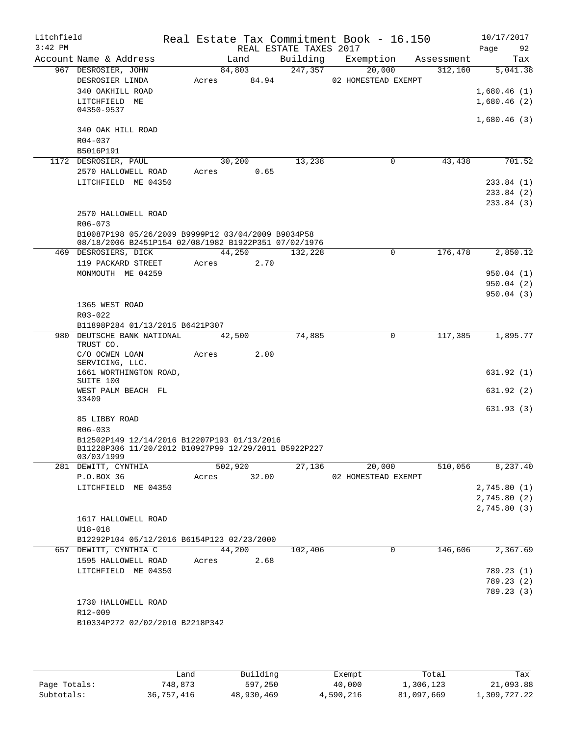| Litchfield<br>$3:42$ PM |                                                                              |                |       |                                    | Real Estate Tax Commitment Book - 16.150 |            | 10/17/2017  |           |
|-------------------------|------------------------------------------------------------------------------|----------------|-------|------------------------------------|------------------------------------------|------------|-------------|-----------|
|                         | Account Name & Address                                                       | Land           |       | REAL ESTATE TAXES 2017<br>Building | Exemption                                | Assessment | Page        | 92<br>Tax |
|                         | 967 DESROSIER, JOHN                                                          | 84,803         |       | 247,357                            | 20,000                                   | 312,160    |             | 5,041.38  |
|                         | DESROSIER LINDA                                                              | 84.94<br>Acres |       |                                    | 02 HOMESTEAD EXEMPT                      |            |             |           |
|                         | 340 OAKHILL ROAD                                                             |                |       |                                    |                                          |            | 1,680.46(1) |           |
|                         | LITCHFIELD ME                                                                |                |       |                                    |                                          |            | 1,680.46(2) |           |
|                         | 04350-9537                                                                   |                |       |                                    |                                          |            |             |           |
|                         | 340 OAK HILL ROAD                                                            |                |       |                                    |                                          |            | 1,680.46(3) |           |
|                         | R04-037                                                                      |                |       |                                    |                                          |            |             |           |
|                         | B5016P191                                                                    |                |       |                                    |                                          |            |             |           |
|                         | 1172 DESROSIER, PAUL                                                         | 30,200         |       | 13,238                             | 0                                        | 43, 438    |             | 701.52    |
|                         | 2570 HALLOWELL ROAD                                                          | Acres          | 0.65  |                                    |                                          |            |             |           |
|                         | LITCHFIELD ME 04350                                                          |                |       |                                    |                                          |            | 233.84(1)   |           |
|                         |                                                                              |                |       |                                    |                                          |            | 233.84 (2)  |           |
|                         |                                                                              |                |       |                                    |                                          |            | 233.84(3)   |           |
|                         | 2570 HALLOWELL ROAD                                                          |                |       |                                    |                                          |            |             |           |
|                         | $R06 - 073$                                                                  |                |       |                                    |                                          |            |             |           |
|                         | B10087P198 05/26/2009 B9999P12 03/04/2009 B9034P58                           |                |       |                                    |                                          |            |             |           |
|                         | 08/18/2006 B2451P154 02/08/1982 B1922P351 07/02/1976<br>469 DESROSIERS, DICK | 44,250         |       | 132,228                            | $\mathbf 0$                              | 176,478    |             | 2,850.12  |
|                         | 119 PACKARD STREET                                                           | Acres          | 2.70  |                                    |                                          |            |             |           |
|                         | MONMOUTH ME 04259                                                            |                |       |                                    |                                          |            | 950.04(1)   |           |
|                         |                                                                              |                |       |                                    |                                          |            | 950.04 (2)  |           |
|                         |                                                                              |                |       |                                    |                                          |            | 950.04(3)   |           |
|                         | 1365 WEST ROAD                                                               |                |       |                                    |                                          |            |             |           |
|                         | R03-022                                                                      |                |       |                                    |                                          |            |             |           |
|                         | B11898P284 01/13/2015 B6421P307                                              |                |       |                                    |                                          |            |             |           |
|                         | 980 DEUTSCHE BANK NATIONAL                                                   | 42,500         |       | 74,885                             | 0                                        | 117,385    |             | 1,895.77  |
|                         | TRUST CO.<br>C/O OCWEN LOAN                                                  | Acres          | 2.00  |                                    |                                          |            |             |           |
|                         | SERVICING, LLC.                                                              |                |       |                                    |                                          |            |             |           |
|                         | 1661 WORTHINGTON ROAD,                                                       |                |       |                                    |                                          |            | 631.92(1)   |           |
|                         | SUITE 100                                                                    |                |       |                                    |                                          |            |             |           |
|                         | WEST PALM BEACH FL<br>33409                                                  |                |       |                                    |                                          |            | 631.92(2)   |           |
|                         |                                                                              |                |       |                                    |                                          |            | 631.93(3)   |           |
|                         | 85 LIBBY ROAD                                                                |                |       |                                    |                                          |            |             |           |
|                         | R06-033                                                                      |                |       |                                    |                                          |            |             |           |
|                         | B12502P149 12/14/2016 B12207P193 01/13/2016                                  |                |       |                                    |                                          |            |             |           |
|                         | B11228P306 11/20/2012 B10927P99 12/29/2011 B5922P227<br>03/03/1999           |                |       |                                    |                                          |            |             |           |
|                         | 281 DEWITT, CYNTHIA                                                          | 502,920        |       | 27,136                             | 20,000                                   | 510,056    |             | 8,237.40  |
|                         | P.O.BOX 36                                                                   | Acres          | 32.00 |                                    | 02 HOMESTEAD EXEMPT                      |            |             |           |
|                         | LITCHFIELD ME 04350                                                          |                |       |                                    |                                          |            | 2,745.80(1) |           |
|                         |                                                                              |                |       |                                    |                                          |            | 2,745.80(2) |           |
|                         |                                                                              |                |       |                                    |                                          |            | 2,745.80(3) |           |
|                         | 1617 HALLOWELL ROAD                                                          |                |       |                                    |                                          |            |             |           |
|                         | $U18 - 018$                                                                  |                |       |                                    |                                          |            |             |           |
|                         | B12292P104 05/12/2016 B6154P123 02/23/2000                                   |                |       |                                    |                                          |            |             |           |
|                         | 657 DEWITT, CYNTHIA C                                                        | 44,200         |       | 102,406                            | 0                                        | 146,606    |             | 2,367.69  |
|                         | 1595 HALLOWELL ROAD<br>LITCHFIELD ME 04350                                   | Acres          | 2.68  |                                    |                                          |            | 789.23(1)   |           |
|                         |                                                                              |                |       |                                    |                                          |            | 789.23 (2)  |           |
|                         |                                                                              |                |       |                                    |                                          |            | 789.23 (3)  |           |
|                         | 1730 HALLOWELL ROAD                                                          |                |       |                                    |                                          |            |             |           |
|                         | R12-009                                                                      |                |       |                                    |                                          |            |             |           |
|                         | B10334P272 02/02/2010 B2218P342                                              |                |       |                                    |                                          |            |             |           |
|                         |                                                                              |                |       |                                    |                                          |            |             |           |
|                         |                                                                              |                |       |                                    |                                          |            |             |           |

|              | Land       | Building   | Exempt    | Total      | Tax          |
|--------------|------------|------------|-----------|------------|--------------|
| Page Totals: | 748,873    | 597,250    | 40,000    | 1,306,123  | 21,093.88    |
| Subtotals:   | 36,757,416 | 48,930,469 | 4,590,216 | 81,097,669 | 1,309,727.22 |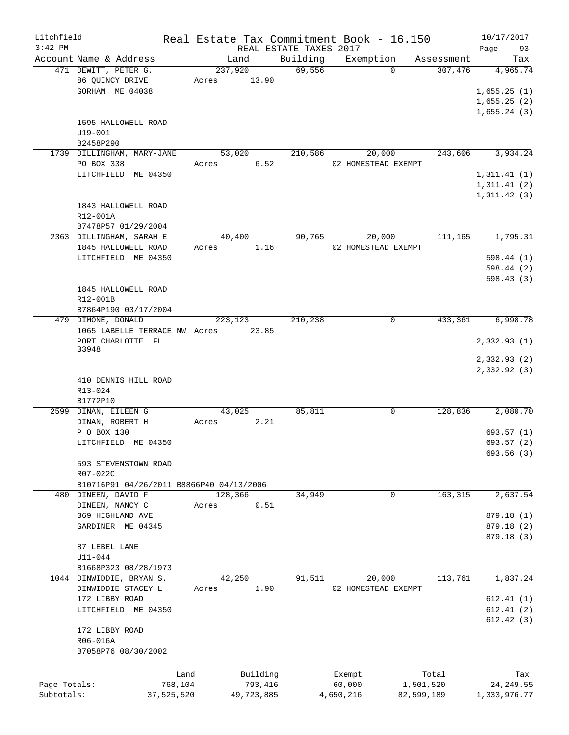| Litchfield   |                                                                 |            |            |                        | Real Estate Tax Commitment Book - 16.150 |            | 10/17/2017                 |
|--------------|-----------------------------------------------------------------|------------|------------|------------------------|------------------------------------------|------------|----------------------------|
| $3:42$ PM    |                                                                 |            |            | REAL ESTATE TAXES 2017 |                                          |            | Page<br>93                 |
|              | Account Name & Address                                          | Land       |            | Building               | Exemption                                | Assessment | Tax                        |
|              | 471 DEWITT, PETER G.                                            | 237,920    |            | 69,556                 | $\Omega$                                 | 307,476    | 4,965.74                   |
|              | 86 QUINCY DRIVE                                                 | Acres      | 13.90      |                        |                                          |            |                            |
|              | GORHAM ME 04038                                                 |            |            |                        |                                          |            | 1,655.25(1)                |
|              |                                                                 |            |            |                        |                                          |            | 1,655.25(2)                |
|              |                                                                 |            |            |                        |                                          |            | 1,655.24(3)                |
|              | 1595 HALLOWELL ROAD                                             |            |            |                        |                                          |            |                            |
|              | U19-001                                                         |            |            |                        |                                          |            |                            |
|              | B2458P290                                                       |            |            |                        |                                          |            |                            |
|              | 1739 DILLINGHAM, MARY-JANE                                      | 53,020     |            | 210,586                | 20,000                                   | 243,606    | 3,934.24                   |
|              | PO BOX 338                                                      | Acres 6.52 |            |                        | 02 HOMESTEAD EXEMPT                      |            |                            |
|              | LITCHFIELD ME 04350                                             |            |            |                        |                                          |            | 1,311.41(1)                |
|              |                                                                 |            |            |                        |                                          |            | 1,311.41(2)                |
|              |                                                                 |            |            |                        |                                          |            | 1, 311.42(3)               |
|              | 1843 HALLOWELL ROAD                                             |            |            |                        |                                          |            |                            |
|              | R12-001A                                                        |            |            |                        |                                          |            |                            |
|              | B7478P57 01/29/2004                                             |            |            |                        |                                          |            |                            |
|              | 2363 DILLINGHAM, SARAH E                                        | 40,400     |            | 90,765                 | 20,000                                   | 111,165    | 1,795.31                   |
|              | 1845 HALLOWELL ROAD                                             | Acres      | 1.16       |                        | 02 HOMESTEAD EXEMPT                      |            |                            |
|              | LITCHFIELD ME 04350                                             |            |            |                        |                                          |            | 598.44(1)                  |
|              |                                                                 |            |            |                        |                                          |            | 598.44 (2)                 |
|              |                                                                 |            |            |                        |                                          |            | 598.43(3)                  |
|              | 1845 HALLOWELL ROAD                                             |            |            |                        |                                          |            |                            |
|              | R12-001B                                                        |            |            |                        |                                          |            |                            |
|              | B7864P190 03/17/2004                                            |            |            |                        |                                          |            |                            |
|              | 479 DIMONE, DONALD                                              | 223,123    |            | 210,238                | 0                                        | 433,361    | 6,998.78                   |
|              | 1065 LABELLE TERRACE NW Acres 23.85                             |            |            |                        |                                          |            |                            |
|              | PORT CHARLOTTE FL                                               |            |            |                        |                                          |            | 2,332.93(1)                |
|              | 33948                                                           |            |            |                        |                                          |            |                            |
|              |                                                                 |            |            |                        |                                          |            | 2,332.93(2)<br>2,332.92(3) |
|              | 410 DENNIS HILL ROAD                                            |            |            |                        |                                          |            |                            |
|              |                                                                 |            |            |                        |                                          |            |                            |
|              | R13-024<br>B1772P10                                             |            |            |                        |                                          |            |                            |
|              | 2599 DINAN, EILEEN G                                            | 43,025     |            |                        | 0                                        |            | 2,080.70                   |
|              |                                                                 |            |            | 85,811                 |                                          | 128,836    |                            |
|              | DINAN, ROBERT H                                                 | Acres      | 2.21       |                        |                                          |            |                            |
|              | P O BOX 130<br>LITCHFIELD ME 04350                              |            |            |                        |                                          |            | 693.57(1)<br>693.57 (2)    |
|              |                                                                 |            |            |                        |                                          |            |                            |
|              | 593 STEVENSTOWN ROAD                                            |            |            |                        |                                          |            | 693.56 (3)                 |
|              |                                                                 |            |            |                        |                                          |            |                            |
|              | R07-022C                                                        |            |            |                        |                                          |            |                            |
|              | B10716P91 04/26/2011 B8866P40 04/13/2006<br>480 DINEEN, DAVID F | 128,366    |            | 34,949                 | 0                                        | 163, 315   | 2,637.54                   |
|              | DINEEN, NANCY C                                                 | Acres      | 0.51       |                        |                                          |            |                            |
|              | 369 HIGHLAND AVE                                                |            |            |                        |                                          |            | 879.18 (1)                 |
|              | GARDINER ME 04345                                               |            |            |                        |                                          |            | 879.18 (2)                 |
|              |                                                                 |            |            |                        |                                          |            |                            |
|              | 87 LEBEL LANE                                                   |            |            |                        |                                          |            | 879.18 (3)                 |
|              | $U11 - 044$                                                     |            |            |                        |                                          |            |                            |
|              |                                                                 |            |            |                        |                                          |            |                            |
|              | B1668P323 08/28/1973                                            |            |            |                        |                                          | 113,761    | 1,837.24                   |
|              | 1044 DINWIDDIE, BRYAN S.                                        | 42,250     |            | 91,511                 | 20,000                                   |            |                            |
|              | DINWIDDIE STACEY L                                              | Acres      | 1.90       |                        | 02 HOMESTEAD EXEMPT                      |            |                            |
|              | 172 LIBBY ROAD                                                  |            |            |                        |                                          |            | 612.41(1)                  |
|              | LITCHFIELD ME 04350                                             |            |            |                        |                                          |            | 612.41(2)                  |
|              |                                                                 |            |            |                        |                                          |            | 612.42(3)                  |
|              | 172 LIBBY ROAD                                                  |            |            |                        |                                          |            |                            |
|              | R06-016A                                                        |            |            |                        |                                          |            |                            |
|              | B7058P76 08/30/2002                                             |            |            |                        |                                          |            |                            |
|              |                                                                 |            |            |                        |                                          |            |                            |
|              | Land                                                            |            | Building   |                        | Exempt                                   | Total      | Tax                        |
| Page Totals: | 768,104                                                         |            | 793,416    |                        | 60,000                                   | 1,501,520  | 24, 249.55                 |
| Subtotals:   | 37,525,520                                                      |            | 49,723,885 |                        | 4,650,216                                | 82,599,189 | 1,333,976.77               |
|              |                                                                 |            |            |                        |                                          |            |                            |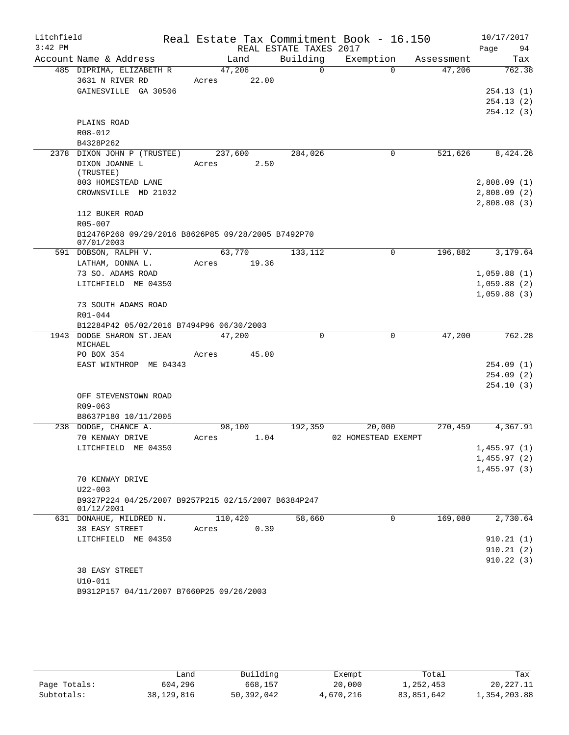| Litchfield |                                                                  |       |                 |                        | Real Estate Tax Commitment Book - 16.150 |            | 10/17/2017  |
|------------|------------------------------------------------------------------|-------|-----------------|------------------------|------------------------------------------|------------|-------------|
| $3:42$ PM  |                                                                  |       |                 | REAL ESTATE TAXES 2017 |                                          |            | Page<br>94  |
|            | Account Name & Address                                           |       | Land            | Building               | Exemption                                | Assessment | Tax         |
|            | 485 DIPRIMA, ELIZABETH R                                         |       | 47,206          | $\Omega$               | $\Omega$                                 | 47,206     | 762.38      |
|            | 3631 N RIVER RD                                                  |       | Acres 22.00     |                        |                                          |            |             |
|            | GAINESVILLE GA 30506                                             |       |                 |                        |                                          |            | 254.13(1)   |
|            |                                                                  |       |                 |                        |                                          |            | 254.13(2)   |
|            |                                                                  |       |                 |                        |                                          |            | 254.12(3)   |
|            | PLAINS ROAD                                                      |       |                 |                        |                                          |            |             |
|            | R08-012                                                          |       |                 |                        |                                          |            |             |
|            | B4328P262                                                        |       |                 | 284,026                | 0                                        | 521,626    | 8,424.26    |
|            | 2378 DIXON JOHN P (TRUSTEE)<br>DIXON JOANNE L                    | Acres | 237,600<br>2.50 |                        |                                          |            |             |
|            | (TRUSTEE)                                                        |       |                 |                        |                                          |            |             |
|            | 803 HOMESTEAD LANE                                               |       |                 |                        |                                          |            | 2,808.09(1) |
|            | CROWNSVILLE MD 21032                                             |       |                 |                        |                                          |            | 2,808.09(2) |
|            |                                                                  |       |                 |                        |                                          |            | 2,808.08(3) |
|            | 112 BUKER ROAD                                                   |       |                 |                        |                                          |            |             |
|            | R05-007                                                          |       |                 |                        |                                          |            |             |
|            | B12476P268 09/29/2016 B8626P85 09/28/2005 B7492P70<br>07/01/2003 |       |                 |                        |                                          |            |             |
|            | 591 DOBSON, RALPH V.                                             |       | 63,770          | 133,112                | $\mathbf 0$                              | 196,882    | 3,179.64    |
|            | LATHAM, DONNA L.                                                 | Acres | 19.36           |                        |                                          |            |             |
|            | 73 SO. ADAMS ROAD                                                |       |                 |                        |                                          |            | 1,059.88(1) |
|            | LITCHFIELD ME 04350                                              |       |                 |                        |                                          |            | 1,059.88(2) |
|            |                                                                  |       |                 |                        |                                          |            | 1,059.88(3) |
|            | 73 SOUTH ADAMS ROAD                                              |       |                 |                        |                                          |            |             |
|            | R01-044<br>B12284P42 05/02/2016 B7494P96 06/30/2003              |       |                 |                        |                                          |            |             |
|            | 1943 DODGE SHARON ST.JEAN                                        |       | 47,200          | 0                      | $\mathbf 0$                              | 47,200     | 762.28      |
|            | MICHAEL                                                          |       |                 |                        |                                          |            |             |
|            | PO BOX 354                                                       | Acres | 45.00           |                        |                                          |            |             |
|            | EAST WINTHROP ME 04343                                           |       |                 |                        |                                          |            | 254.09(1)   |
|            |                                                                  |       |                 |                        |                                          |            | 254.09(2)   |
|            |                                                                  |       |                 |                        |                                          |            | 254.10(3)   |
|            | OFF STEVENSTOWN ROAD                                             |       |                 |                        |                                          |            |             |
|            | R09-063                                                          |       |                 |                        |                                          |            |             |
|            | B8637P180 10/11/2005                                             |       |                 |                        |                                          |            |             |
|            | 238 DODGE, CHANCE A.<br>70 KENWAY DRIVE                          | Acres | 98,100<br>1.04  | 192,359                | 20,000<br>02 HOMESTEAD EXEMPT            | 270,459    | 4,367.91    |
|            | LITCHFIELD ME 04350                                              |       |                 |                        |                                          |            | 1,455.97(1) |
|            |                                                                  |       |                 |                        |                                          |            | 1,455.97(2) |
|            |                                                                  |       |                 |                        |                                          |            | 1,455.97(3) |
|            | 70 KENWAY DRIVE                                                  |       |                 |                        |                                          |            |             |
|            | $U22 - 003$                                                      |       |                 |                        |                                          |            |             |
|            | B9327P224 04/25/2007 B9257P215 02/15/2007 B6384P247              |       |                 |                        |                                          |            |             |
|            | 01/12/2001                                                       |       |                 |                        |                                          |            |             |
|            | 631 DONAHUE, MILDRED N.                                          |       | 110,420         | 58,660                 | 0                                        | 169,080    | 2,730.64    |
|            | 38 EASY STREET<br>LITCHFIELD ME 04350                            | Acres | 0.39            |                        |                                          |            | 910.21(1)   |
|            |                                                                  |       |                 |                        |                                          |            | 910.21(2)   |
|            |                                                                  |       |                 |                        |                                          |            | 910.22(3)   |
|            | 38 EASY STREET                                                   |       |                 |                        |                                          |            |             |
|            | $U10-011$                                                        |       |                 |                        |                                          |            |             |
|            | B9312P157 04/11/2007 B7660P25 09/26/2003                         |       |                 |                        |                                          |            |             |
|            |                                                                  |       |                 |                        |                                          |            |             |

|              | Land       | Building   | Exempt    | Total      | Tax          |
|--------------|------------|------------|-----------|------------|--------------|
| Page Totals: | 604,296    | 668,157    | 20,000    | 1,252,453  | 20,227.11    |
| Subtotals:   | 38,129,816 | 50,392,042 | 4,670,216 | 83,851,642 | 1,354,203.88 |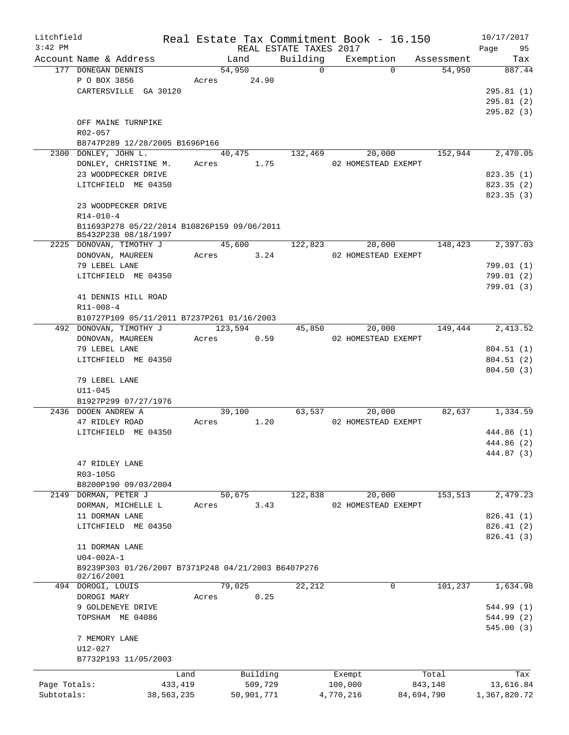| Litchfield   |                                                                     |                 |       |                     |                        |                | Real Estate Tax Commitment Book - 16.150 |                  | 10/17/2017       |
|--------------|---------------------------------------------------------------------|-----------------|-------|---------------------|------------------------|----------------|------------------------------------------|------------------|------------------|
| $3:42$ PM    |                                                                     |                 |       |                     | REAL ESTATE TAXES 2017 |                |                                          |                  | 95<br>Page       |
|              | Account Name & Address<br>177 DONEGAN DENNIS                        |                 |       | Land<br>54,950      | Building               | $\overline{0}$ | Exemption Assessment<br>$\Omega$         | 54,950           | Tax<br>887.44    |
|              | P O BOX 3856                                                        |                 |       | Acres 24.90         |                        |                |                                          |                  |                  |
|              | CARTERSVILLE GA 30120                                               |                 |       |                     |                        |                |                                          |                  | 295.81(1)        |
|              |                                                                     |                 |       |                     |                        |                |                                          |                  | 295.81(2)        |
|              |                                                                     |                 |       |                     |                        |                |                                          |                  | 295.82(3)        |
|              | OFF MAINE TURNPIKE                                                  |                 |       |                     |                        |                |                                          |                  |                  |
|              | R02-057                                                             |                 |       |                     |                        |                |                                          |                  |                  |
|              | B8747P289 12/28/2005 B1696P166                                      |                 |       |                     |                        |                |                                          |                  |                  |
|              | 2300 DONLEY, JOHN L.                                                |                 |       |                     | 40,475 132,469         |                | 20,000                                   | 152,944          | 2,470.05         |
|              | DONLEY, CHRISTINE M.                                                |                 |       | Acres 1.75          |                        |                | 02 HOMESTEAD EXEMPT                      |                  |                  |
|              | 23 WOODPECKER DRIVE                                                 |                 |       |                     |                        |                |                                          |                  | 823.35(1)        |
|              | LITCHFIELD ME 04350                                                 |                 |       |                     |                        |                |                                          |                  | 823.35 (2)       |
|              |                                                                     |                 |       |                     |                        |                |                                          |                  | 823.35(3)        |
|              | 23 WOODPECKER DRIVE                                                 |                 |       |                     |                        |                |                                          |                  |                  |
|              | $R14 - 010 - 4$                                                     |                 |       |                     |                        |                |                                          |                  |                  |
|              | B11693P278 05/22/2014 B10826P159 09/06/2011<br>B5432P238 08/18/1997 |                 |       |                     |                        |                |                                          |                  |                  |
|              | 2225 DONOVAN, TIMOTHY J                                             |                 |       | 45,600              |                        | 122,823        | 20,000                                   | 148,423          | 2,397.03         |
|              | DONOVAN, MAUREEN                                                    |                 |       | Acres 3.24          |                        |                | 02 HOMESTEAD EXEMPT                      |                  |                  |
|              | 79 LEBEL LANE                                                       |                 |       |                     |                        |                |                                          |                  | 799.01(1)        |
|              | LITCHFIELD ME 04350                                                 |                 |       |                     |                        |                |                                          |                  | 799.01(2)        |
|              |                                                                     |                 |       |                     |                        |                |                                          |                  | 799.01(3)        |
|              | 41 DENNIS HILL ROAD                                                 |                 |       |                     |                        |                |                                          |                  |                  |
|              | $R11 - 008 - 4$                                                     |                 |       |                     |                        |                |                                          |                  |                  |
|              | B10727P109 05/11/2011 B7237P261 01/16/2003                          |                 |       |                     |                        |                |                                          |                  |                  |
|              | 492 DONOVAN, TIMOTHY J                                              |                 |       | 123,594             |                        | 45,850         | 20,000                                   |                  | 149,444 2,413.52 |
|              | DONOVAN, MAUREEN                                                    |                 | Acres | 0.59                |                        |                | 02 HOMESTEAD EXEMPT                      |                  |                  |
|              | 79 LEBEL LANE                                                       |                 |       |                     |                        |                |                                          |                  | 804.51(1)        |
|              | LITCHFIELD ME 04350                                                 |                 |       |                     |                        |                |                                          |                  | 804.51(2)        |
|              |                                                                     |                 |       |                     |                        |                |                                          |                  | 804.50(3)        |
|              | 79 LEBEL LANE                                                       |                 |       |                     |                        |                |                                          |                  |                  |
|              | $U11 - 045$                                                         |                 |       |                     |                        |                |                                          |                  |                  |
|              | B1927P299 07/27/1976                                                |                 |       |                     |                        |                |                                          |                  |                  |
|              | 2436 DOOEN ANDREW A                                                 |                 |       | 39,100              |                        | 63,537         | 20,000                                   | 82,637           | 1,334.59         |
|              | 47 RIDLEY ROAD<br>LITCHFIELD ME 04350                               |                 | Acres | 1.20                |                        |                | 02 HOMESTEAD EXEMPT                      |                  | 444.86 (1)       |
|              |                                                                     |                 |       |                     |                        |                |                                          |                  | 444.86 (2)       |
|              |                                                                     |                 |       |                     |                        |                |                                          |                  | 444.87 (3)       |
|              | 47 RIDLEY LANE                                                      |                 |       |                     |                        |                |                                          |                  |                  |
|              | R03-105G                                                            |                 |       |                     |                        |                |                                          |                  |                  |
|              | B8200P190 09/03/2004                                                |                 |       |                     |                        |                |                                          |                  |                  |
|              | 2149 DORMAN, PETER J                                                |                 |       | 50,675              | 122,838                |                | 20,000                                   | 153,513          | 2,479.23         |
|              | DORMAN, MICHELLE L                                                  |                 | Acres | 3.43                |                        |                | 02 HOMESTEAD EXEMPT                      |                  |                  |
|              | 11 DORMAN LANE                                                      |                 |       |                     |                        |                |                                          |                  | 826.41 (1)       |
|              | LITCHFIELD ME 04350                                                 |                 |       |                     |                        |                |                                          |                  | 826.41(2)        |
|              |                                                                     |                 |       |                     |                        |                |                                          |                  | 826.41(3)        |
|              | 11 DORMAN LANE                                                      |                 |       |                     |                        |                |                                          |                  |                  |
|              | $U04 - 002A - 1$                                                    |                 |       |                     |                        |                |                                          |                  |                  |
|              | B9239P303 01/26/2007 B7371P248 04/21/2003 B6407P276                 |                 |       |                     |                        |                |                                          |                  |                  |
|              | 02/16/2001                                                          |                 |       | 79,025              | 22,212                 |                | $\mathbf 0$                              | 101,237          | 1,634.98         |
|              | 494 DOROGI, LOUIS<br>DOROGI MARY                                    |                 | Acres | 0.25                |                        |                |                                          |                  |                  |
|              | 9 GOLDENEYE DRIVE                                                   |                 |       |                     |                        |                |                                          |                  | 544.99 (1)       |
|              | TOPSHAM ME 04086                                                    |                 |       |                     |                        |                |                                          |                  | 544.99 (2)       |
|              |                                                                     |                 |       |                     |                        |                |                                          |                  | 545.00(3)        |
|              | 7 MEMORY LANE                                                       |                 |       |                     |                        |                |                                          |                  |                  |
|              | U12-027                                                             |                 |       |                     |                        |                |                                          |                  |                  |
|              | B7732P193 11/05/2003                                                |                 |       |                     |                        |                |                                          |                  |                  |
|              |                                                                     |                 |       |                     |                        |                |                                          |                  |                  |
| Page Totals: |                                                                     | Land<br>433,419 |       | Building<br>509,729 |                        |                | Exempt<br>100,000                        | Total<br>843,148 | Tax<br>13,616.84 |
| Subtotals:   |                                                                     | 38,563,235      |       | 50,901,771          |                        |                | 4,770,216                                | 84,694,790       | 1,367,820.72     |
|              |                                                                     |                 |       |                     |                        |                |                                          |                  |                  |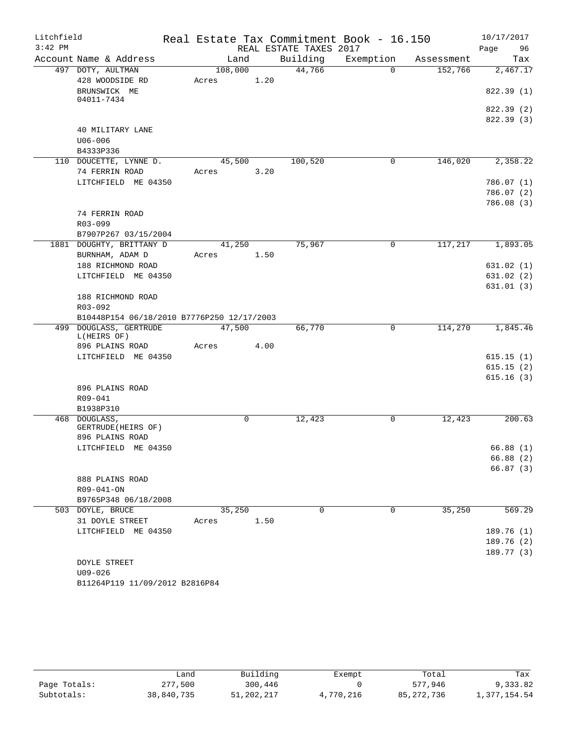| REAL ESTATE TAXES 2017<br>96<br>Page<br>Building<br>Account Name & Address<br>Land<br>Exemption<br>Tax<br>Assessment<br>497 DOTY, AULTMAN<br>108,000<br>44,766<br>$\Omega$<br>152,766<br>2,467.17<br>428 WOODSIDE RD<br>1.20<br>Acres<br>822.39 (1)<br>BRUNSWICK ME<br>04011-7434<br>822.39 (2)<br>822.39 (3)<br>40 MILITARY LANE<br>$U06 - 006$<br>B4333P336<br>100,520<br>146,020<br>2,358.22<br>110 DOUCETTE, LYNNE D.<br>45,500<br>$\mathbf 0$<br>74 FERRIN ROAD<br>3.20<br>Acres<br>LITCHFIELD ME 04350<br>786.07(1)<br>786.07(2)<br>786.08(3)<br>74 FERRIN ROAD<br>$R03 - 099$<br>B7907P267 03/15/2004<br>1881 DOUGHTY, BRITTANY D<br>75,967<br>$\mathsf{O}$<br>117,217<br>1,893.05<br>41,250<br>BURNHAM, ADAM D<br>1.50<br>Acres<br>188 RICHMOND ROAD<br>631.02(1)<br>LITCHFIELD ME 04350<br>631.02(2)<br>631.01(3)<br>188 RICHMOND ROAD<br>R03-092<br>B10448P154 06/18/2010 B7776P250 12/17/2003<br>114,270<br>499 DOUGLASS, GERTRUDE<br>47,500<br>66,770<br>1,845.46<br>0<br>L(HEIRS OF)<br>896 PLAINS ROAD<br>4.00<br>Acres<br>LITCHFIELD ME 04350<br>615.15(1)<br>615.15(2)<br>615.16(3)<br>896 PLAINS ROAD<br>R09-041<br>B1938P310<br>12,423<br>468 DOUGLASS,<br>$\mathbf 0$<br>12,423<br>0<br>GERTRUDE (HEIRS OF)<br>896 PLAINS ROAD<br>LITCHFIELD ME 04350<br>66.88(1)<br>66.88 (2)<br>888 PLAINS ROAD<br>R09-041-ON<br>B9765P348 06/18/2008<br>$\Omega$<br>$\mathbf 0$<br>35,250<br>569.29<br>503 DOYLE, BRUCE<br>35,250<br>31 DOYLE STREET<br>1.50<br>Acres<br>189.76 (1)<br>LITCHFIELD ME 04350<br>189.76 (2) | Litchfield |         |  |  | Real Estate Tax Commitment Book - 16.150 | 10/17/2017 |
|--------------------------------------------------------------------------------------------------------------------------------------------------------------------------------------------------------------------------------------------------------------------------------------------------------------------------------------------------------------------------------------------------------------------------------------------------------------------------------------------------------------------------------------------------------------------------------------------------------------------------------------------------------------------------------------------------------------------------------------------------------------------------------------------------------------------------------------------------------------------------------------------------------------------------------------------------------------------------------------------------------------------------------------------------------------------------------------------------------------------------------------------------------------------------------------------------------------------------------------------------------------------------------------------------------------------------------------------------------------------------------------------------------------------------------------------------------------------------------------------------------------------------------|------------|---------|--|--|------------------------------------------|------------|
|                                                                                                                                                                                                                                                                                                                                                                                                                                                                                                                                                                                                                                                                                                                                                                                                                                                                                                                                                                                                                                                                                                                                                                                                                                                                                                                                                                                                                                                                                                                                | $3:42$ PM  |         |  |  |                                          |            |
|                                                                                                                                                                                                                                                                                                                                                                                                                                                                                                                                                                                                                                                                                                                                                                                                                                                                                                                                                                                                                                                                                                                                                                                                                                                                                                                                                                                                                                                                                                                                |            |         |  |  |                                          |            |
|                                                                                                                                                                                                                                                                                                                                                                                                                                                                                                                                                                                                                                                                                                                                                                                                                                                                                                                                                                                                                                                                                                                                                                                                                                                                                                                                                                                                                                                                                                                                |            |         |  |  |                                          |            |
|                                                                                                                                                                                                                                                                                                                                                                                                                                                                                                                                                                                                                                                                                                                                                                                                                                                                                                                                                                                                                                                                                                                                                                                                                                                                                                                                                                                                                                                                                                                                |            |         |  |  |                                          |            |
|                                                                                                                                                                                                                                                                                                                                                                                                                                                                                                                                                                                                                                                                                                                                                                                                                                                                                                                                                                                                                                                                                                                                                                                                                                                                                                                                                                                                                                                                                                                                |            |         |  |  |                                          |            |
|                                                                                                                                                                                                                                                                                                                                                                                                                                                                                                                                                                                                                                                                                                                                                                                                                                                                                                                                                                                                                                                                                                                                                                                                                                                                                                                                                                                                                                                                                                                                |            |         |  |  |                                          |            |
| 200.63<br>66.87(3)                                                                                                                                                                                                                                                                                                                                                                                                                                                                                                                                                                                                                                                                                                                                                                                                                                                                                                                                                                                                                                                                                                                                                                                                                                                                                                                                                                                                                                                                                                             |            |         |  |  |                                          |            |
|                                                                                                                                                                                                                                                                                                                                                                                                                                                                                                                                                                                                                                                                                                                                                                                                                                                                                                                                                                                                                                                                                                                                                                                                                                                                                                                                                                                                                                                                                                                                |            |         |  |  |                                          |            |
|                                                                                                                                                                                                                                                                                                                                                                                                                                                                                                                                                                                                                                                                                                                                                                                                                                                                                                                                                                                                                                                                                                                                                                                                                                                                                                                                                                                                                                                                                                                                |            |         |  |  |                                          |            |
|                                                                                                                                                                                                                                                                                                                                                                                                                                                                                                                                                                                                                                                                                                                                                                                                                                                                                                                                                                                                                                                                                                                                                                                                                                                                                                                                                                                                                                                                                                                                |            |         |  |  |                                          |            |
|                                                                                                                                                                                                                                                                                                                                                                                                                                                                                                                                                                                                                                                                                                                                                                                                                                                                                                                                                                                                                                                                                                                                                                                                                                                                                                                                                                                                                                                                                                                                |            |         |  |  |                                          |            |
|                                                                                                                                                                                                                                                                                                                                                                                                                                                                                                                                                                                                                                                                                                                                                                                                                                                                                                                                                                                                                                                                                                                                                                                                                                                                                                                                                                                                                                                                                                                                |            |         |  |  |                                          |            |
|                                                                                                                                                                                                                                                                                                                                                                                                                                                                                                                                                                                                                                                                                                                                                                                                                                                                                                                                                                                                                                                                                                                                                                                                                                                                                                                                                                                                                                                                                                                                |            |         |  |  |                                          |            |
|                                                                                                                                                                                                                                                                                                                                                                                                                                                                                                                                                                                                                                                                                                                                                                                                                                                                                                                                                                                                                                                                                                                                                                                                                                                                                                                                                                                                                                                                                                                                |            |         |  |  |                                          |            |
|                                                                                                                                                                                                                                                                                                                                                                                                                                                                                                                                                                                                                                                                                                                                                                                                                                                                                                                                                                                                                                                                                                                                                                                                                                                                                                                                                                                                                                                                                                                                |            |         |  |  |                                          |            |
|                                                                                                                                                                                                                                                                                                                                                                                                                                                                                                                                                                                                                                                                                                                                                                                                                                                                                                                                                                                                                                                                                                                                                                                                                                                                                                                                                                                                                                                                                                                                |            |         |  |  |                                          |            |
|                                                                                                                                                                                                                                                                                                                                                                                                                                                                                                                                                                                                                                                                                                                                                                                                                                                                                                                                                                                                                                                                                                                                                                                                                                                                                                                                                                                                                                                                                                                                |            |         |  |  |                                          |            |
|                                                                                                                                                                                                                                                                                                                                                                                                                                                                                                                                                                                                                                                                                                                                                                                                                                                                                                                                                                                                                                                                                                                                                                                                                                                                                                                                                                                                                                                                                                                                |            |         |  |  |                                          |            |
|                                                                                                                                                                                                                                                                                                                                                                                                                                                                                                                                                                                                                                                                                                                                                                                                                                                                                                                                                                                                                                                                                                                                                                                                                                                                                                                                                                                                                                                                                                                                |            |         |  |  |                                          |            |
|                                                                                                                                                                                                                                                                                                                                                                                                                                                                                                                                                                                                                                                                                                                                                                                                                                                                                                                                                                                                                                                                                                                                                                                                                                                                                                                                                                                                                                                                                                                                |            |         |  |  |                                          |            |
|                                                                                                                                                                                                                                                                                                                                                                                                                                                                                                                                                                                                                                                                                                                                                                                                                                                                                                                                                                                                                                                                                                                                                                                                                                                                                                                                                                                                                                                                                                                                |            |         |  |  |                                          |            |
|                                                                                                                                                                                                                                                                                                                                                                                                                                                                                                                                                                                                                                                                                                                                                                                                                                                                                                                                                                                                                                                                                                                                                                                                                                                                                                                                                                                                                                                                                                                                |            |         |  |  |                                          |            |
|                                                                                                                                                                                                                                                                                                                                                                                                                                                                                                                                                                                                                                                                                                                                                                                                                                                                                                                                                                                                                                                                                                                                                                                                                                                                                                                                                                                                                                                                                                                                |            |         |  |  |                                          |            |
|                                                                                                                                                                                                                                                                                                                                                                                                                                                                                                                                                                                                                                                                                                                                                                                                                                                                                                                                                                                                                                                                                                                                                                                                                                                                                                                                                                                                                                                                                                                                |            |         |  |  |                                          |            |
|                                                                                                                                                                                                                                                                                                                                                                                                                                                                                                                                                                                                                                                                                                                                                                                                                                                                                                                                                                                                                                                                                                                                                                                                                                                                                                                                                                                                                                                                                                                                |            |         |  |  |                                          |            |
|                                                                                                                                                                                                                                                                                                                                                                                                                                                                                                                                                                                                                                                                                                                                                                                                                                                                                                                                                                                                                                                                                                                                                                                                                                                                                                                                                                                                                                                                                                                                |            |         |  |  |                                          |            |
|                                                                                                                                                                                                                                                                                                                                                                                                                                                                                                                                                                                                                                                                                                                                                                                                                                                                                                                                                                                                                                                                                                                                                                                                                                                                                                                                                                                                                                                                                                                                |            |         |  |  |                                          |            |
|                                                                                                                                                                                                                                                                                                                                                                                                                                                                                                                                                                                                                                                                                                                                                                                                                                                                                                                                                                                                                                                                                                                                                                                                                                                                                                                                                                                                                                                                                                                                |            |         |  |  |                                          |            |
|                                                                                                                                                                                                                                                                                                                                                                                                                                                                                                                                                                                                                                                                                                                                                                                                                                                                                                                                                                                                                                                                                                                                                                                                                                                                                                                                                                                                                                                                                                                                |            |         |  |  |                                          |            |
|                                                                                                                                                                                                                                                                                                                                                                                                                                                                                                                                                                                                                                                                                                                                                                                                                                                                                                                                                                                                                                                                                                                                                                                                                                                                                                                                                                                                                                                                                                                                |            |         |  |  |                                          |            |
|                                                                                                                                                                                                                                                                                                                                                                                                                                                                                                                                                                                                                                                                                                                                                                                                                                                                                                                                                                                                                                                                                                                                                                                                                                                                                                                                                                                                                                                                                                                                |            |         |  |  |                                          |            |
|                                                                                                                                                                                                                                                                                                                                                                                                                                                                                                                                                                                                                                                                                                                                                                                                                                                                                                                                                                                                                                                                                                                                                                                                                                                                                                                                                                                                                                                                                                                                |            |         |  |  |                                          |            |
|                                                                                                                                                                                                                                                                                                                                                                                                                                                                                                                                                                                                                                                                                                                                                                                                                                                                                                                                                                                                                                                                                                                                                                                                                                                                                                                                                                                                                                                                                                                                |            |         |  |  |                                          |            |
|                                                                                                                                                                                                                                                                                                                                                                                                                                                                                                                                                                                                                                                                                                                                                                                                                                                                                                                                                                                                                                                                                                                                                                                                                                                                                                                                                                                                                                                                                                                                |            |         |  |  |                                          |            |
|                                                                                                                                                                                                                                                                                                                                                                                                                                                                                                                                                                                                                                                                                                                                                                                                                                                                                                                                                                                                                                                                                                                                                                                                                                                                                                                                                                                                                                                                                                                                |            |         |  |  |                                          |            |
|                                                                                                                                                                                                                                                                                                                                                                                                                                                                                                                                                                                                                                                                                                                                                                                                                                                                                                                                                                                                                                                                                                                                                                                                                                                                                                                                                                                                                                                                                                                                |            |         |  |  |                                          |            |
|                                                                                                                                                                                                                                                                                                                                                                                                                                                                                                                                                                                                                                                                                                                                                                                                                                                                                                                                                                                                                                                                                                                                                                                                                                                                                                                                                                                                                                                                                                                                |            |         |  |  |                                          |            |
|                                                                                                                                                                                                                                                                                                                                                                                                                                                                                                                                                                                                                                                                                                                                                                                                                                                                                                                                                                                                                                                                                                                                                                                                                                                                                                                                                                                                                                                                                                                                |            |         |  |  |                                          |            |
|                                                                                                                                                                                                                                                                                                                                                                                                                                                                                                                                                                                                                                                                                                                                                                                                                                                                                                                                                                                                                                                                                                                                                                                                                                                                                                                                                                                                                                                                                                                                |            |         |  |  |                                          |            |
|                                                                                                                                                                                                                                                                                                                                                                                                                                                                                                                                                                                                                                                                                                                                                                                                                                                                                                                                                                                                                                                                                                                                                                                                                                                                                                                                                                                                                                                                                                                                |            |         |  |  |                                          |            |
|                                                                                                                                                                                                                                                                                                                                                                                                                                                                                                                                                                                                                                                                                                                                                                                                                                                                                                                                                                                                                                                                                                                                                                                                                                                                                                                                                                                                                                                                                                                                |            |         |  |  |                                          |            |
|                                                                                                                                                                                                                                                                                                                                                                                                                                                                                                                                                                                                                                                                                                                                                                                                                                                                                                                                                                                                                                                                                                                                                                                                                                                                                                                                                                                                                                                                                                                                |            |         |  |  |                                          |            |
|                                                                                                                                                                                                                                                                                                                                                                                                                                                                                                                                                                                                                                                                                                                                                                                                                                                                                                                                                                                                                                                                                                                                                                                                                                                                                                                                                                                                                                                                                                                                |            |         |  |  |                                          |            |
|                                                                                                                                                                                                                                                                                                                                                                                                                                                                                                                                                                                                                                                                                                                                                                                                                                                                                                                                                                                                                                                                                                                                                                                                                                                                                                                                                                                                                                                                                                                                |            |         |  |  |                                          |            |
| 189.77 (3)                                                                                                                                                                                                                                                                                                                                                                                                                                                                                                                                                                                                                                                                                                                                                                                                                                                                                                                                                                                                                                                                                                                                                                                                                                                                                                                                                                                                                                                                                                                     |            |         |  |  |                                          |            |
| DOYLE STREET                                                                                                                                                                                                                                                                                                                                                                                                                                                                                                                                                                                                                                                                                                                                                                                                                                                                                                                                                                                                                                                                                                                                                                                                                                                                                                                                                                                                                                                                                                                   |            |         |  |  |                                          |            |
|                                                                                                                                                                                                                                                                                                                                                                                                                                                                                                                                                                                                                                                                                                                                                                                                                                                                                                                                                                                                                                                                                                                                                                                                                                                                                                                                                                                                                                                                                                                                |            | U09-026 |  |  |                                          |            |

```
B11264P119 11/09/2012 B2816P84
```

|              | Land       | Building   | Exempt    | Total        | Tax          |
|--------------|------------|------------|-----------|--------------|--------------|
| Page Totals: | 277,500    | 300,446    |           | 577.946      | 9,333.82     |
| Subtotals:   | 38,840,735 | 51,202,217 | 4,770,216 | 85, 272, 736 | .,377,154.54 |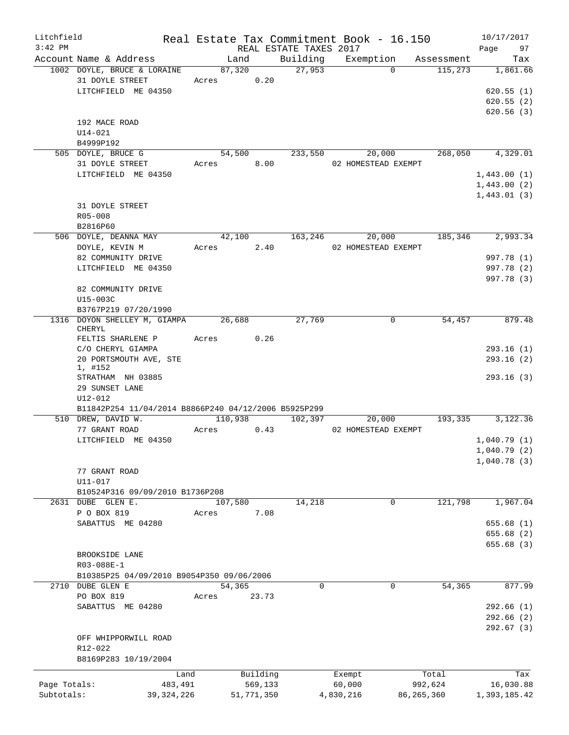| Litchfield<br>$3:42$ PM |                                                                       |            |            |         | REAL ESTATE TAXES 2017 |           |                     | Real Estate Tax Commitment Book - 16.150 | 10/17/2017<br>Page<br>97                   |
|-------------------------|-----------------------------------------------------------------------|------------|------------|---------|------------------------|-----------|---------------------|------------------------------------------|--------------------------------------------|
|                         | Account Name & Address                                                |            | Land       |         |                        |           |                     | Building Exemption Assessment            | Tax                                        |
|                         | 1002 DOYLE, BRUCE & LORAINE<br>31 DOYLE STREET<br>LITCHFIELD ME 04350 | Acres 0.20 | 87,320     |         | 27,953                 |           | $\Omega$            |                                          | 115,273 1,861.66<br>620.55(1)<br>620.55(2) |
|                         | 192 MACE ROAD<br>$U14 - 021$<br>B4999P192                             |            |            |         |                        |           |                     |                                          | 620.56(3)                                  |
|                         | 505 DOYLE, BRUCE G                                                    |            |            |         | 54,500 233,550 20,000  |           |                     |                                          | 268,050 4,329.01                           |
|                         | 31 DOYLE STREET                                                       | Acres 8.00 |            |         |                        |           | 02 HOMESTEAD EXEMPT |                                          |                                            |
|                         | LITCHFIELD ME 04350                                                   |            |            |         |                        |           |                     |                                          | 1,443.00(1)                                |
|                         |                                                                       |            |            |         |                        |           |                     |                                          | 1,443.00(2)                                |
|                         |                                                                       |            |            |         |                        |           |                     |                                          | 1,443.01(3)                                |
|                         | 31 DOYLE STREET<br>R05-008                                            |            |            |         |                        |           |                     |                                          |                                            |
|                         | B2816P60                                                              |            |            |         |                        |           |                     |                                          |                                            |
|                         | 506 DOYLE, DEANNA MAY                                                 |            |            |         | 42,100 163,246 20,000  |           |                     |                                          | 185,346 2,993.34                           |
|                         | DOYLE, KEVIN M                                                        | Acres 2.40 |            |         |                        |           | 02 HOMESTEAD EXEMPT |                                          |                                            |
|                         | 82 COMMUNITY DRIVE                                                    |            |            |         |                        |           |                     |                                          | 997.78 (1)                                 |
|                         | LITCHFIELD ME 04350                                                   |            |            |         |                        |           |                     |                                          | 997.78 (2)                                 |
|                         |                                                                       |            |            |         |                        |           |                     |                                          | 997.78 (3)                                 |
|                         | 82 COMMUNITY DRIVE                                                    |            |            |         |                        |           |                     |                                          |                                            |
|                         | U15-003C                                                              |            |            |         |                        |           |                     |                                          |                                            |
|                         | B3767P219 07/20/1990                                                  |            |            |         |                        |           |                     |                                          |                                            |
|                         | 1316 DOYON SHELLEY M, GIAMPA 26,688<br>CHERYL                         |            |            |         | 27,769                 |           | $\mathbf 0$         | 54,457                                   | 879.48                                     |
|                         | FELTIS SHARLENE P                                                     | Acres 0.26 |            |         |                        |           |                     |                                          |                                            |
|                         | C/O CHERYL GIAMPA                                                     |            |            |         |                        |           |                     |                                          | 293.16(1)                                  |
|                         | 20 PORTSMOUTH AVE, STE                                                |            |            |         |                        |           |                     |                                          | 293.16(2)                                  |
|                         | 1, #152                                                               |            |            |         |                        |           |                     |                                          |                                            |
|                         | STRATHAM NH 03885<br>29 SUNSET LANE                                   |            |            |         |                        |           |                     |                                          | 293.16(3)                                  |
|                         | U12-012                                                               |            |            |         |                        |           |                     |                                          |                                            |
|                         | B11842P254 11/04/2014 B8866P240 04/12/2006 B5925P299                  |            |            |         |                        |           |                     |                                          |                                            |
|                         | 510 DREW, DAVID W.                                                    |            |            |         | 110,938 102,397        |           | 20,000              | 193, 335                                 | 3,122.36                                   |
|                         | 77 GRANT ROAD                                                         | Acres 0.43 |            |         |                        |           | 02 HOMESTEAD EXEMPT |                                          |                                            |
|                         | LITCHFIELD ME 04350                                                   |            |            |         |                        |           |                     |                                          | 1,040.79(1)                                |
|                         |                                                                       |            |            |         |                        |           |                     |                                          | 1,040.79(2)                                |
|                         |                                                                       |            |            |         |                        |           |                     |                                          | 1,040.78(3)                                |
|                         | 77 GRANT ROAD                                                         |            |            |         |                        |           |                     |                                          |                                            |
|                         | U11-017<br>B10524P316 09/09/2010 B1736P208                            |            |            |         |                        |           |                     |                                          |                                            |
|                         | 2631 DUBE GLEN E.                                                     |            | 107,580    |         | 14,218                 |           | 0                   | 121,798                                  | 1,967.04                                   |
|                         | P O BOX 819                                                           | Acres      |            | 7.08    |                        |           |                     |                                          |                                            |
|                         | SABATTUS ME 04280                                                     |            |            |         |                        |           |                     |                                          | 655.68(1)                                  |
|                         |                                                                       |            |            |         |                        |           |                     |                                          | 655.68 (2)                                 |
|                         |                                                                       |            |            |         |                        |           |                     |                                          | 655.68(3)                                  |
|                         | BROOKSIDE LANE                                                        |            |            |         |                        |           |                     |                                          |                                            |
|                         | R03-088E-1                                                            |            |            |         |                        |           |                     |                                          |                                            |
|                         | B10385P25 04/09/2010 B9054P350 09/06/2006                             |            |            |         |                        |           |                     |                                          |                                            |
|                         | 2710 DUBE GLEN E<br>PO BOX 819                                        |            | 54,365     | 23.73   | 0                      |           | $\mathbf 0$         | 54,365                                   | 877.99                                     |
|                         | SABATTUS ME 04280                                                     | Acres      |            |         |                        |           |                     |                                          | 292.66(1)                                  |
|                         |                                                                       |            |            |         |                        |           |                     |                                          | 292.66(2)                                  |
|                         |                                                                       |            |            |         |                        |           |                     |                                          | 292.67(3)                                  |
|                         | OFF WHIPPORWILL ROAD                                                  |            |            |         |                        |           |                     |                                          |                                            |
|                         | R12-022                                                               |            |            |         |                        |           |                     |                                          |                                            |
|                         | B8169P283 10/19/2004                                                  |            |            |         |                        |           |                     |                                          |                                            |
|                         | Land                                                                  |            | Building   |         |                        | Exempt    |                     | Total                                    | Tax                                        |
| Page Totals:            | 483,491                                                               |            |            | 569,133 |                        | 60,000    |                     | 992,624                                  | 16,030.88                                  |
| Subtotals:              | 39, 324, 226                                                          |            | 51,771,350 |         |                        | 4,830,216 |                     | 86, 265, 360                             | 1,393,185.42                               |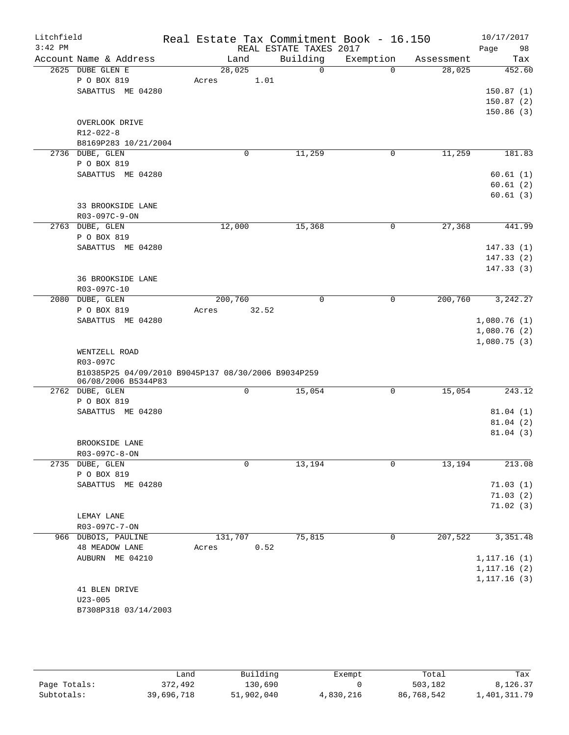| Litchfield<br>$3:42$ PM |                                                                 | Real Estate Tax Commitment Book - 16.150 | REAL ESTATE TAXES 2017 |              |            | 10/17/2017<br>Page<br>98 |
|-------------------------|-----------------------------------------------------------------|------------------------------------------|------------------------|--------------|------------|--------------------------|
|                         | Account Name & Address                                          | Land                                     | Building               | Exemption    | Assessment | Tax                      |
|                         | 2625 DUBE GLEN E                                                | 28,025                                   | $\overline{0}$         | $\Omega$     | 28,025     | 452.60                   |
|                         | P O BOX 819                                                     | 1.01<br>Acres                            |                        |              |            |                          |
|                         | SABATTUS ME 04280                                               |                                          |                        |              |            | 150.87(1)                |
|                         |                                                                 |                                          |                        |              |            | 150.87(2)                |
|                         |                                                                 |                                          |                        |              |            | 150.86(3)                |
|                         | OVERLOOK DRIVE                                                  |                                          |                        |              |            |                          |
|                         | $R12 - 022 - 8$                                                 |                                          |                        |              |            |                          |
|                         | B8169P283 10/21/2004                                            |                                          |                        |              |            |                          |
|                         | 2736 DUBE, GLEN                                                 | 0                                        | 11,259                 | $\mathsf{O}$ | 11,259     | 181.83                   |
|                         | P O BOX 819                                                     |                                          |                        |              |            |                          |
|                         | SABATTUS ME 04280                                               |                                          |                        |              |            | 60.61(1)                 |
|                         |                                                                 |                                          |                        |              |            | 60.61(2)                 |
|                         | 33 BROOKSIDE LANE                                               |                                          |                        |              |            | 60.61(3)                 |
|                         | R03-097C-9-ON                                                   |                                          |                        |              |            |                          |
|                         | 2763 DUBE, GLEN                                                 | 12,000                                   | 15,368                 | $\mathsf{O}$ | 27,368     | 441.99                   |
|                         | P O BOX 819                                                     |                                          |                        |              |            |                          |
|                         | SABATTUS ME 04280                                               |                                          |                        |              |            | 147.33(1)                |
|                         |                                                                 |                                          |                        |              |            | 147.33(2)                |
|                         |                                                                 |                                          |                        |              |            | 147.33(3)                |
|                         | <b>36 BROOKSIDE LANE</b>                                        |                                          |                        |              |            |                          |
|                         | R03-097C-10                                                     |                                          |                        |              |            |                          |
|                         | 2080 DUBE, GLEN                                                 | 200,760                                  | $\mathbf 0$            | $\mathsf{O}$ | 200,760    | 3, 242.27                |
|                         | P O BOX 819                                                     | 32.52<br>Acres                           |                        |              |            |                          |
|                         | SABATTUS ME 04280                                               |                                          |                        |              |            | 1,080.76(1)              |
|                         |                                                                 |                                          |                        |              |            | 1,080.76(2)              |
|                         |                                                                 |                                          |                        |              |            | 1,080.75(3)              |
|                         | WENTZELL ROAD                                                   |                                          |                        |              |            |                          |
|                         | R03-097C<br>B10385P25 04/09/2010 B9045P137 08/30/2006 B9034P259 |                                          |                        |              |            |                          |
|                         | 06/08/2006 B5344P83                                             |                                          |                        |              |            |                          |
|                         | 2762 DUBE, GLEN                                                 | 0                                        | 15,054                 | 0            | 15,054     | 243.12                   |
|                         | P O BOX 819                                                     |                                          |                        |              |            |                          |
|                         | SABATTUS ME 04280                                               |                                          |                        |              |            | 81.04(1)                 |
|                         |                                                                 |                                          |                        |              |            | 81.04(2)                 |
|                         |                                                                 |                                          |                        |              |            | 81.04(3)                 |
|                         | BROOKSIDE LANE                                                  |                                          |                        |              |            |                          |
|                         | R03-097C-8-ON                                                   |                                          |                        |              |            |                          |
|                         | 2735 DUBE, GLEN                                                 | 0                                        | 13,194                 | $\mathbf 0$  | 13,194     | 213.08                   |
|                         | P O BOX 819<br>SABATTUS ME 04280                                |                                          |                        |              |            | 71.03(1)                 |
|                         |                                                                 |                                          |                        |              |            | 71.03(2)                 |
|                         |                                                                 |                                          |                        |              |            | 71.02(3)                 |
|                         | LEMAY LANE                                                      |                                          |                        |              |            |                          |
|                         | R03-097C-7-ON                                                   |                                          |                        |              |            |                          |
|                         | 966 DUBOIS, PAULINE                                             | 131,707                                  | 75,815                 | 0            | 207,522    | 3,351.48                 |
|                         | <b>48 MEADOW LANE</b>                                           | 0.52<br>Acres                            |                        |              |            |                          |
|                         | AUBURN ME 04210                                                 |                                          |                        |              |            | 1, 117.16(1)             |
|                         |                                                                 |                                          |                        |              |            | 1, 117.16(2)             |
|                         |                                                                 |                                          |                        |              |            | 1, 117.16(3)             |
|                         | 41 BLEN DRIVE                                                   |                                          |                        |              |            |                          |
|                         | $U23 - 005$                                                     |                                          |                        |              |            |                          |
|                         | B7308P318 03/14/2003                                            |                                          |                        |              |            |                          |

|              | Land       | Building   | Exempt    | Total      | Tax          |
|--------------|------------|------------|-----------|------------|--------------|
| Page Totals: | 372,492    | 130,690    |           | 503,182    | 8,126.37     |
| Subtotals:   | 39,696,718 | 51,902,040 | 4,830,216 | 86,768,542 | 1,401,311.79 |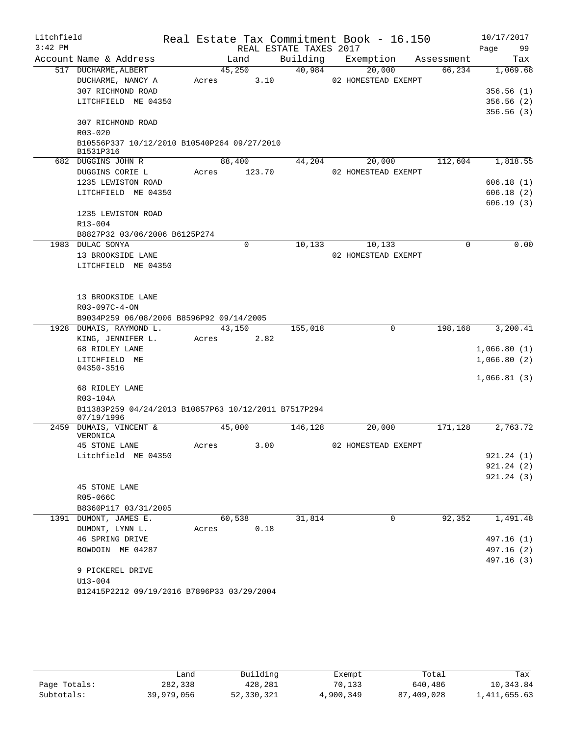| Litchfield |                                                          |       |        |                        | Real Estate Tax Commitment Book - 16.150 |            | 10/17/2017  |
|------------|----------------------------------------------------------|-------|--------|------------------------|------------------------------------------|------------|-------------|
| $3:42$ PM  |                                                          |       |        | REAL ESTATE TAXES 2017 |                                          |            | Page<br>99  |
|            | Account Name & Address                                   |       | Land   | Building               | Exemption                                | Assessment | Tax         |
|            | 517 DUCHARME, ALBERT                                     |       | 45,250 | 40,984                 | 20,000                                   | 66,234     | 1,069.68    |
|            | DUCHARME, NANCY A                                        | Acres | 3.10   |                        | 02 HOMESTEAD EXEMPT                      |            |             |
|            | 307 RICHMOND ROAD                                        |       |        |                        |                                          |            | 356.56(1)   |
|            | LITCHFIELD ME 04350                                      |       |        |                        |                                          |            | 356.56(2)   |
|            |                                                          |       |        |                        |                                          |            | 356.56(3)   |
|            | 307 RICHMOND ROAD                                        |       |        |                        |                                          |            |             |
|            | R03-020                                                  |       |        |                        |                                          |            |             |
|            | B10556P337 10/12/2010 B10540P264 09/27/2010<br>B1531P316 |       |        |                        |                                          |            |             |
|            | 682 DUGGINS JOHN R                                       |       | 88,400 | 44,204                 | 20,000                                   | 112,604    | 1,818.55    |
|            | DUGGINS CORIE L                                          | Acres | 123.70 |                        | 02 HOMESTEAD EXEMPT                      |            |             |
|            | 1235 LEWISTON ROAD                                       |       |        |                        |                                          |            | 606.18(1)   |
|            | LITCHFIELD ME 04350                                      |       |        |                        |                                          |            | 606.18(2)   |
|            |                                                          |       |        |                        |                                          |            | 606.19(3)   |
|            | 1235 LEWISTON ROAD                                       |       |        |                        |                                          |            |             |
|            | $R13 - 004$                                              |       |        |                        |                                          |            |             |
|            | B8827P32 03/06/2006 B6125P274                            |       |        |                        |                                          |            |             |
|            | 1983 DULAC SONYA                                         |       | 0      | 10,133                 | 10,133                                   | 0          | 0.00        |
|            | 13 BROOKSIDE LANE                                        |       |        |                        | 02 HOMESTEAD EXEMPT                      |            |             |
|            | LITCHFIELD ME 04350                                      |       |        |                        |                                          |            |             |
|            |                                                          |       |        |                        |                                          |            |             |
|            |                                                          |       |        |                        |                                          |            |             |
|            | 13 BROOKSIDE LANE                                        |       |        |                        |                                          |            |             |
|            | R03-097C-4-ON                                            |       |        |                        |                                          |            |             |
|            | B9034P259 06/08/2006 B8596P92 09/14/2005                 |       |        |                        |                                          |            |             |
|            | 1928 DUMAIS, RAYMOND L.                                  |       | 43,150 | 155,018                | 0                                        | 198,168    | 3,200.41    |
|            | KING, JENNIFER L.                                        | Acres | 2.82   |                        |                                          |            |             |
|            | 68 RIDLEY LANE                                           |       |        |                        |                                          |            | 1,066.80(1) |
|            | LITCHFIELD ME                                            |       |        |                        |                                          |            | 1,066.80(2) |
|            | 04350-3516                                               |       |        |                        |                                          |            |             |
|            |                                                          |       |        |                        |                                          |            | 1,066.81(3) |
|            | 68 RIDLEY LANE<br>R03-104A                               |       |        |                        |                                          |            |             |
|            | B11383P259 04/24/2013 B10857P63 10/12/2011 B7517P294     |       |        |                        |                                          |            |             |
|            | 07/19/1996                                               |       |        |                        |                                          |            |             |
|            | 2459 DUMAIS, VINCENT &                                   |       | 45,000 | 146,128                | 20,000                                   | 171,128    | 2,763.72    |
|            | VERONICA                                                 |       |        |                        |                                          |            |             |
|            | 45 STONE LANE                                            | Acres | 3.00   |                        | 02 HOMESTEAD EXEMPT                      |            |             |
|            | Litchfield ME 04350                                      |       |        |                        |                                          |            | 921.24(1)   |
|            |                                                          |       |        |                        |                                          |            | 921.24(2)   |
|            |                                                          |       |        |                        |                                          |            | 921.24(3)   |
|            | 45 STONE LANE                                            |       |        |                        |                                          |            |             |
|            | R05-066C                                                 |       |        |                        |                                          |            |             |
|            | B8360P117 03/31/2005                                     |       |        |                        |                                          |            |             |
|            | 1391 DUMONT, JAMES E.                                    |       | 60,538 | 31,814                 | 0                                        | 92,352     | 1,491.48    |
|            | DUMONT, LYNN L.                                          | Acres | 0.18   |                        |                                          |            |             |
|            | 46 SPRING DRIVE                                          |       |        |                        |                                          |            | 497.16 (1)  |
|            | BOWDOIN ME 04287                                         |       |        |                        |                                          |            | 497.16(2)   |
|            |                                                          |       |        |                        |                                          |            | 497.16 (3)  |
|            | 9 PICKEREL DRIVE                                         |       |        |                        |                                          |            |             |
|            | $U13 - 004$                                              |       |        |                        |                                          |            |             |
|            | B12415P2212 09/19/2016 B7896P33 03/29/2004               |       |        |                        |                                          |            |             |

|              | Land       | Building   | Exempt    | Total      | Tax          |
|--------------|------------|------------|-----------|------------|--------------|
| Page Totals: | 282,338    | 428,281    | 70,133    | 640,486    | 10,343.84    |
| Subtotals:   | 39,979,056 | 52,330,321 | 4,900,349 | 87,409,028 | 1,411,655.63 |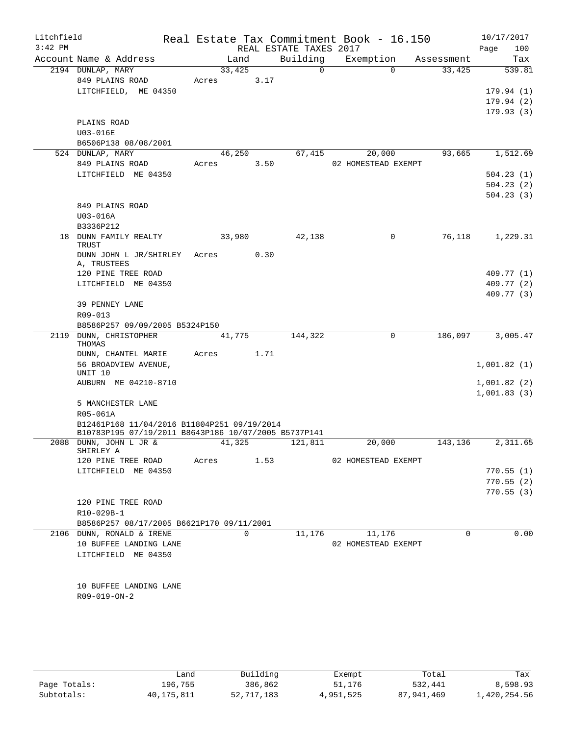| Litchfield<br>$3:42$ PM |                                                                                                     |       |          |      |                                    | Real Estate Tax Commitment Book - 16.150 |          |            |      | 10/17/2017             |
|-------------------------|-----------------------------------------------------------------------------------------------------|-------|----------|------|------------------------------------|------------------------------------------|----------|------------|------|------------------------|
|                         | Account Name & Address                                                                              |       | Land     |      | REAL ESTATE TAXES 2017<br>Building | Exemption                                |          | Assessment | Page | 100<br>Tax             |
|                         | 2194 DUNLAP, MARY                                                                                   |       | 33,425   |      | $\Omega$                           |                                          | $\Omega$ | 33,425     |      | 539.81                 |
|                         | 849 PLAINS ROAD                                                                                     | Acres |          | 3.17 |                                    |                                          |          |            |      |                        |
|                         | LITCHFIELD, ME 04350                                                                                |       |          |      |                                    |                                          |          |            |      | 179.94(1)              |
|                         |                                                                                                     |       |          |      |                                    |                                          |          |            |      | 179.94(2)              |
|                         |                                                                                                     |       |          |      |                                    |                                          |          |            |      | 179.93(3)              |
|                         | PLAINS ROAD                                                                                         |       |          |      |                                    |                                          |          |            |      |                        |
|                         | U03-016E                                                                                            |       |          |      |                                    |                                          |          |            |      |                        |
|                         | B6506P138 08/08/2001                                                                                |       |          |      |                                    |                                          |          |            |      |                        |
|                         | 524 DUNLAP, MARY                                                                                    |       | 46,250   |      | 67,415                             | 20,000                                   |          | 93,665     |      | 1,512.69               |
|                         | 849 PLAINS ROAD                                                                                     | Acres |          | 3.50 |                                    | 02 HOMESTEAD EXEMPT                      |          |            |      |                        |
|                         | LITCHFIELD ME 04350                                                                                 |       |          |      |                                    |                                          |          |            |      | 504.23(1)<br>504.23(2) |
|                         |                                                                                                     |       |          |      |                                    |                                          |          |            |      | 504.23(3)              |
|                         | 849 PLAINS ROAD                                                                                     |       |          |      |                                    |                                          |          |            |      |                        |
|                         | $U03-016A$                                                                                          |       |          |      |                                    |                                          |          |            |      |                        |
|                         | B3336P212                                                                                           |       |          |      |                                    |                                          |          |            |      |                        |
|                         | 18 DUNN FAMILY REALTY<br>TRUST                                                                      |       | 33,980   |      | 42,138                             |                                          | 0        | 76,118     |      | 1,229.31               |
|                         | DUNN JOHN L JR/SHIRLEY<br>A, TRUSTEES                                                               | Acres |          | 0.30 |                                    |                                          |          |            |      |                        |
|                         | 120 PINE TREE ROAD                                                                                  |       |          |      |                                    |                                          |          |            |      | 409.77 (1)             |
|                         | LITCHFIELD ME 04350                                                                                 |       |          |      |                                    |                                          |          |            |      | 409.77 (2)             |
|                         |                                                                                                     |       |          |      |                                    |                                          |          |            |      | 409.77 (3)             |
|                         | 39 PENNEY LANE<br>R09-013                                                                           |       |          |      |                                    |                                          |          |            |      |                        |
|                         | B8586P257 09/09/2005 B5324P150                                                                      |       |          |      |                                    |                                          |          |            |      |                        |
|                         | 2119 DUNN, CHRISTOPHER                                                                              |       | 41,775   |      | 144,322                            |                                          | $\Omega$ | 186,097    |      | 3,005.47               |
|                         | THOMAS                                                                                              |       |          |      |                                    |                                          |          |            |      |                        |
|                         | DUNN, CHANTEL MARIE                                                                                 | Acres |          | 1.71 |                                    |                                          |          |            |      |                        |
|                         | 56 BROADVIEW AVENUE,<br>UNIT 10                                                                     |       |          |      |                                    |                                          |          |            |      | 1,001.82(1)            |
|                         | AUBURN ME 04210-8710                                                                                |       |          |      |                                    |                                          |          |            |      | 1,001.82(2)            |
|                         |                                                                                                     |       |          |      |                                    |                                          |          |            |      | 1,001.83(3)            |
|                         | 5 MANCHESTER LANE                                                                                   |       |          |      |                                    |                                          |          |            |      |                        |
|                         | R05-061A                                                                                            |       |          |      |                                    |                                          |          |            |      |                        |
|                         | B12461P168 11/04/2016 B11804P251 09/19/2014<br>B10783P195 07/19/2011 B8643P186 10/07/2005 B5737P141 |       |          |      |                                    |                                          |          |            |      |                        |
|                         | 2088 DUNN, JOHN L JR &                                                                              |       | 41,325   |      | 121,811                            | 20,000                                   |          | 143,136    |      | 2,311.65               |
|                         | SHIRLEY A                                                                                           |       |          |      |                                    |                                          |          |            |      |                        |
|                         | 120 PINE TREE ROAD                                                                                  | Acres |          | 1.53 |                                    | 02 HOMESTEAD EXEMPT                      |          |            |      |                        |
|                         | LITCHFIELD ME 04350                                                                                 |       |          |      |                                    |                                          |          |            |      | 770.55(1)<br>770.55(2) |
|                         |                                                                                                     |       |          |      |                                    |                                          |          |            |      | 770.55(3)              |
|                         | 120 PINE TREE ROAD                                                                                  |       |          |      |                                    |                                          |          |            |      |                        |
|                         | R10-029B-1                                                                                          |       |          |      |                                    |                                          |          |            |      |                        |
|                         | B8586P257 08/17/2005 B6621P170 09/11/2001                                                           |       |          |      |                                    |                                          |          |            |      |                        |
|                         | 2106 DUNN, RONALD & IRENE                                                                           |       | $\Omega$ |      | 11,176                             | 11,176                                   |          | $\Omega$   |      | 0.00                   |
|                         | 10 BUFFEE LANDING LANE                                                                              |       |          |      |                                    | 02 HOMESTEAD EXEMPT                      |          |            |      |                        |
|                         | LITCHFIELD ME 04350                                                                                 |       |          |      |                                    |                                          |          |            |      |                        |
|                         |                                                                                                     |       |          |      |                                    |                                          |          |            |      |                        |
|                         | 10 BUFFEE LANDING LANE                                                                              |       |          |      |                                    |                                          |          |            |      |                        |
|                         | R09-019-ON-2                                                                                        |       |          |      |                                    |                                          |          |            |      |                        |
|                         |                                                                                                     |       |          |      |                                    |                                          |          |            |      |                        |
|                         |                                                                                                     |       |          |      |                                    |                                          |          |            |      |                        |
|                         |                                                                                                     |       |          |      |                                    |                                          |          |            |      |                        |
|                         |                                                                                                     |       |          |      |                                    |                                          |          |            |      |                        |

|              | Land       | Building   | Exempt    | Total      | Tax          |
|--------------|------------|------------|-----------|------------|--------------|
| Page Totals: | 196,755    | 386,862    | 51,176    | 532,441    | 8,598.93     |
| Subtotals:   | 40,175,811 | 52,717,183 | 4,951,525 | 87,941,469 | 1,420,254.56 |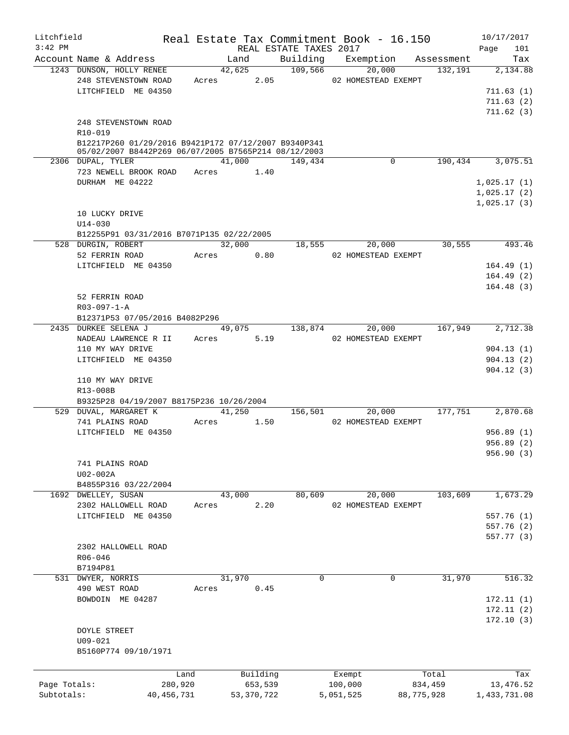| Litchfield   |                                                                                                                             |                 |       |            |                     |                        | Real Estate Tax Commitment Book - 16.150 |                  | 10/17/2017                                |
|--------------|-----------------------------------------------------------------------------------------------------------------------------|-----------------|-------|------------|---------------------|------------------------|------------------------------------------|------------------|-------------------------------------------|
| $3:42$ PM    |                                                                                                                             |                 |       |            |                     | REAL ESTATE TAXES 2017 |                                          |                  | 101<br>Page                               |
|              | Account Name & Address<br>1243 DUNSON, HOLLY RENEE                                                                          |                 |       | Land       |                     | 42,625 109,566         | Building Exemption Assessment<br>20,000  | 132,191          | Tax<br>2,134.88                           |
|              | 248 STEVENSTOWN ROAD<br>LITCHFIELD ME 04350<br>248 STEVENSTOWN ROAD                                                         |                 |       | Acres 2.05 |                     |                        | 02 HOMESTEAD EXEMPT                      |                  | 711.63(1)<br>711.63(2)<br>711.62(3)       |
|              | $R10 - 019$<br>B12217P260 01/29/2016 B9421P172 07/12/2007 B9340P341<br>05/02/2007 B8442P269 06/07/2005 B7565P214 08/12/2003 |                 |       |            |                     |                        |                                          |                  |                                           |
|              | 2306 DUPAL, TYLER                                                                                                           |                 |       | 41,000     |                     | 149,434                | $\Omega$                                 | 190,434          | 3,075.51                                  |
|              | 723 NEWELL BROOK ROAD Acres 1.40                                                                                            |                 |       |            |                     |                        |                                          |                  |                                           |
|              | DURHAM ME 04222                                                                                                             |                 |       |            |                     |                        |                                          |                  | 1,025.17(1)<br>1,025.17(2)<br>1,025.17(3) |
|              | 10 LUCKY DRIVE                                                                                                              |                 |       |            |                     |                        |                                          |                  |                                           |
|              | $U14 - 030$<br>B12255P91 03/31/2016 B7071P135 02/22/2005                                                                    |                 |       |            |                     |                        |                                          |                  |                                           |
|              | 528 DURGIN, ROBERT                                                                                                          |                 |       | 32,000     |                     | 18,555                 | 20,000                                   | 30,555           | 493.46                                    |
|              | 52 FERRIN ROAD                                                                                                              |                 | Acres |            | 0.80                |                        | 02 HOMESTEAD EXEMPT                      |                  |                                           |
|              | LITCHFIELD ME 04350                                                                                                         |                 |       |            |                     |                        |                                          |                  | 164.49(1)<br>164.49(2)<br>164.48(3)       |
|              | 52 FERRIN ROAD                                                                                                              |                 |       |            |                     |                        |                                          |                  |                                           |
|              | $R03 - 097 - 1 - A$                                                                                                         |                 |       |            |                     |                        |                                          |                  |                                           |
|              | B12371P53 07/05/2016 B4082P296<br>2435 DURKEE SELENA J                                                                      |                 |       | 49,075     |                     | 138,874                | 20,000                                   | 167,949          | 2,712.38                                  |
|              | NADEAU LAWRENCE R II Acres                                                                                                  |                 |       |            | 5.19                |                        | 02 HOMESTEAD EXEMPT                      |                  |                                           |
|              | 110 MY WAY DRIVE                                                                                                            |                 |       |            |                     |                        |                                          |                  | 904.13(1)                                 |
|              | LITCHFIELD ME 04350                                                                                                         |                 |       |            |                     |                        |                                          |                  | 904.13(2)<br>904.12(3)                    |
|              | 110 MY WAY DRIVE<br>R13-008B<br>B9325P28 04/19/2007 B8175P236 10/26/2004                                                    |                 |       |            |                     |                        |                                          |                  |                                           |
|              | 529 DUVAL, MARGARET K                                                                                                       |                 |       | 41,250     |                     | 156,501                | 20,000                                   | 177,751          | 2,870.68                                  |
|              | 741 PLAINS ROAD                                                                                                             |                 | Acres |            | 1.50                |                        | 02 HOMESTEAD EXEMPT                      |                  |                                           |
|              | LITCHFIELD ME 04350                                                                                                         |                 |       |            |                     |                        |                                          |                  | 956.89(1)<br>956.89(2)<br>956.90(3)       |
|              | 741 PLAINS ROAD                                                                                                             |                 |       |            |                     |                        |                                          |                  |                                           |
|              | U02-002A                                                                                                                    |                 |       |            |                     |                        |                                          |                  |                                           |
|              | B4855P316 03/22/2004                                                                                                        |                 |       |            |                     |                        |                                          |                  |                                           |
|              | 1692 DWELLEY, SUSAN                                                                                                         |                 |       | 43,000     |                     | 80,609                 | 20,000                                   | 103,609          | 1,673.29                                  |
|              | 2302 HALLOWELL ROAD                                                                                                         |                 | Acres |            | 2.20                |                        | 02 HOMESTEAD EXEMPT                      |                  |                                           |
|              | LITCHFIELD ME 04350                                                                                                         |                 |       |            |                     |                        |                                          |                  | 557.76 (1)<br>557.76 (2)                  |
|              |                                                                                                                             |                 |       |            |                     |                        |                                          |                  | 557.77 (3)                                |
|              | 2302 HALLOWELL ROAD<br>R06-046<br>B7194P81                                                                                  |                 |       |            |                     |                        |                                          |                  |                                           |
|              | 531 DWYER, NORRIS                                                                                                           |                 |       | 31,970     |                     | $\mathbf 0$            | $\mathbf 0$                              | 31,970           | 516.32                                    |
|              | 490 WEST ROAD                                                                                                               |                 | Acres |            | 0.45                |                        |                                          |                  |                                           |
|              | BOWDOIN ME 04287                                                                                                            |                 |       |            |                     |                        |                                          |                  | 172.11(1)<br>172.11(2)<br>172.10(3)       |
|              | <b>DOYLE STREET</b><br>$U09 - 021$<br>B5160P774 09/10/1971                                                                  |                 |       |            |                     |                        |                                          |                  |                                           |
|              |                                                                                                                             |                 |       |            |                     |                        |                                          |                  |                                           |
| Page Totals: |                                                                                                                             | Land<br>280,920 |       |            | Building<br>653,539 |                        | Exempt<br>100,000                        | Total<br>834,459 | Tax<br>13,476.52                          |
| Subtotals:   |                                                                                                                             | 40,456,731      |       |            | 53, 370, 722        |                        | 5,051,525                                | 88,775,928       | 1,433,731.08                              |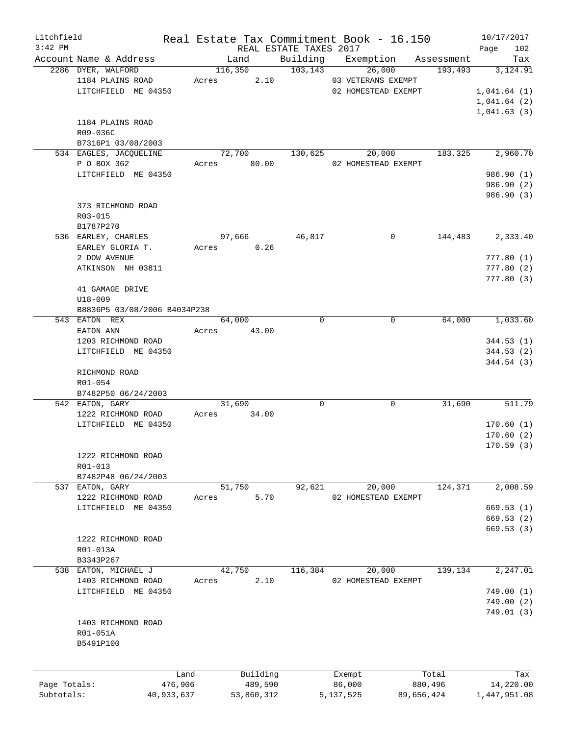| Litchfield   |                              |            |            |                        | Real Estate Tax Commitment Book - 16.150 |             | 10/17/2017           |
|--------------|------------------------------|------------|------------|------------------------|------------------------------------------|-------------|----------------------|
| $3:42$ PM    |                              |            |            | REAL ESTATE TAXES 2017 |                                          |             | 102<br>Page          |
|              | Account Name & Address       |            | Land       | Building               | Exemption                                | Assessment  | Tax                  |
|              | 2286 DYER, WALFORD           |            | 116,350    | 103, 143               | 26,000                                   |             | 193,493<br>3,124.91  |
|              | 1184 PLAINS ROAD             | Acres      |            | 2.10                   | 03 VETERANS EXEMPT                       |             |                      |
|              | LITCHFIELD ME 04350          |            |            |                        | 02 HOMESTEAD EXEMPT                      |             | 1,041.64(1)          |
|              |                              |            |            |                        |                                          |             | 1,041.64(2)          |
|              |                              |            |            |                        |                                          |             | 1,041.63(3)          |
|              | 1184 PLAINS ROAD             |            |            |                        |                                          |             |                      |
|              | R09-036C                     |            |            |                        |                                          |             |                      |
|              | B7316P1 03/08/2003           |            |            |                        |                                          |             |                      |
|              | 534 EAGLES, JACQUELINE       |            | 72,700     | 130,625                | 20,000                                   |             | 2,960.70<br>183,325  |
|              | P O BOX 362                  | Acres      | 80.00      |                        | 02 HOMESTEAD EXEMPT                      |             |                      |
|              | LITCHFIELD ME 04350          |            |            |                        |                                          |             | 986.90 (1)           |
|              |                              |            |            |                        |                                          |             | 986.90 (2)           |
|              |                              |            |            |                        |                                          |             | 986.90 (3)           |
|              | 373 RICHMOND ROAD            |            |            |                        |                                          |             |                      |
|              | R03-015                      |            |            |                        |                                          |             |                      |
|              | B1787P270                    |            |            |                        |                                          |             |                      |
|              | 536 EARLEY, CHARLES          |            | 97,666     | 46,817                 |                                          | 0           | 2,333.40<br>144,483  |
|              | EARLEY GLORIA T.             | Acres      |            | 0.26                   |                                          |             |                      |
|              | 2 DOW AVENUE                 |            |            |                        |                                          |             | 777.80(1)            |
|              | ATKINSON NH 03811            |            |            |                        |                                          |             | 777.80(2)            |
|              |                              |            |            |                        |                                          |             | 777.80(3)            |
|              | 41 GAMAGE DRIVE              |            |            |                        |                                          |             |                      |
|              |                              |            |            |                        |                                          |             |                      |
|              | U18-009                      |            |            |                        |                                          |             |                      |
|              | B8836P5 03/08/2006 B4034P238 |            |            |                        |                                          |             |                      |
|              | 543 EATON REX                |            | 64,000     |                        | $\mathbf 0$                              | $\mathbf 0$ | 1,033.60<br>64,000   |
|              | EATON ANN                    | Acres      | 43.00      |                        |                                          |             |                      |
|              | 1203 RICHMOND ROAD           |            |            |                        |                                          |             | 344.53(1)            |
|              | LITCHFIELD ME 04350          |            |            |                        |                                          |             | 344.53(2)            |
|              |                              |            |            |                        |                                          |             | 344.54(3)            |
|              | RICHMOND ROAD                |            |            |                        |                                          |             |                      |
|              | R01-054                      |            |            |                        |                                          |             |                      |
|              | B7482P50 06/24/2003          |            |            |                        |                                          |             |                      |
|              | 542 EATON, GARY              |            | 31,690     |                        | $\mathbf 0$                              | 0           | 31,690<br>511.79     |
|              | 1222 RICHMOND ROAD           | Acres      | 34.00      |                        |                                          |             |                      |
|              | LITCHFIELD ME 04350          |            |            |                        |                                          |             | 170.60(1)            |
|              |                              |            |            |                        |                                          |             | 170.60(2)            |
|              |                              |            |            |                        |                                          |             | 170.59(3)            |
|              | 1222 RICHMOND ROAD           |            |            |                        |                                          |             |                      |
|              | R01-013                      |            |            |                        |                                          |             |                      |
|              | B7482P48 06/24/2003          |            |            |                        |                                          |             |                      |
|              | 537 EATON, GARY              |            | 51,750     | 92,621                 | 20,000                                   |             | 124,371<br>2,008.59  |
|              | 1222 RICHMOND ROAD           | Acres      |            | 5.70                   | 02 HOMESTEAD EXEMPT                      |             |                      |
|              | LITCHFIELD ME 04350          |            |            |                        |                                          |             | 669.53(1)            |
|              |                              |            |            |                        |                                          |             | 669.53(2)            |
|              |                              |            |            |                        |                                          |             | 669.53(3)            |
|              | 1222 RICHMOND ROAD           |            |            |                        |                                          |             |                      |
|              | R01-013A                     |            |            |                        |                                          |             |                      |
|              | B3343P267                    |            |            |                        |                                          |             |                      |
| 538          | EATON, MICHAEL J             |            | 42,750     | 116,384                | 20,000                                   |             | 2, 247.01<br>139,134 |
|              | 1403 RICHMOND ROAD           |            |            | 2.10                   | 02 HOMESTEAD EXEMPT                      |             |                      |
|              |                              | Acres      |            |                        |                                          |             |                      |
|              | LITCHFIELD ME 04350          |            |            |                        |                                          |             | 749.00(1)            |
|              |                              |            |            |                        |                                          |             | 749.00(2)            |
|              |                              |            |            |                        |                                          |             | 749.01(3)            |
|              | 1403 RICHMOND ROAD           |            |            |                        |                                          |             |                      |
|              | R01-051A                     |            |            |                        |                                          |             |                      |
|              | B5491P100                    |            |            |                        |                                          |             |                      |
|              |                              |            |            |                        |                                          |             |                      |
|              |                              |            |            |                        |                                          |             |                      |
|              |                              | Land       | Building   |                        | Exempt                                   | Total       | Tax                  |
| Page Totals: |                              | 476,906    | 489,590    |                        | 86,000                                   | 880,496     | 14,220.00            |
| Subtotals:   |                              | 40,933,637 | 53,860,312 |                        | 5, 137, 525                              | 89,656,424  | 1,447,951.08         |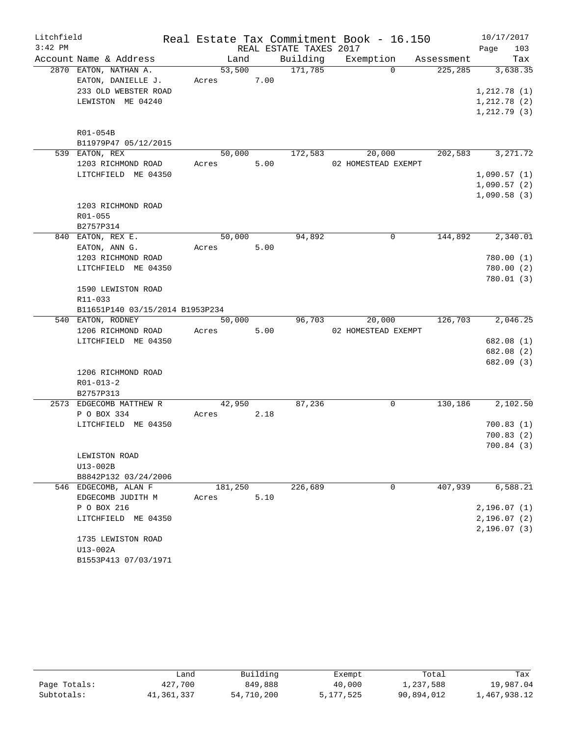| Litchfield |                                  |            |      |                        | Real Estate Tax Commitment Book - 16.150 |         | 10/17/2017   |
|------------|----------------------------------|------------|------|------------------------|------------------------------------------|---------|--------------|
| $3:42$ PM  |                                  |            |      | REAL ESTATE TAXES 2017 |                                          |         | 103<br>Page  |
|            | Account Name & Address           | Land       |      |                        | Building Exemption Assessment            |         | Tax          |
|            | 2870 EATON, NATHAN A.            | 53,500     |      | 171,785                | $\Omega$                                 | 225,285 | 3,638.35     |
|            | EATON, DANIELLE J.               | Acres 7.00 |      |                        |                                          |         |              |
|            | 233 OLD WEBSTER ROAD             |            |      |                        |                                          |         | 1,212.78(1)  |
|            | LEWISTON ME 04240                |            |      |                        |                                          |         | 1,212.78(2)  |
|            |                                  |            |      |                        |                                          |         | 1, 212.79(3) |
|            | R01-054B                         |            |      |                        |                                          |         |              |
|            | B11979P47 05/12/2015             |            |      |                        |                                          |         |              |
|            | 539 EATON, REX                   | 50,000     |      | 172,583                | 20,000                                   | 202,583 | 3,271.72     |
|            | 1203 RICHMOND ROAD               | Acres      | 5.00 |                        | 02 HOMESTEAD EXEMPT                      |         |              |
|            | LITCHFIELD ME 04350              |            |      |                        |                                          |         | 1,090.57(1)  |
|            |                                  |            |      |                        |                                          |         | 1,090.57(2)  |
|            |                                  |            |      |                        |                                          |         | 1,090.58(3)  |
|            | 1203 RICHMOND ROAD               |            |      |                        |                                          |         |              |
|            | R01-055                          |            |      |                        |                                          |         |              |
|            | B2757P314                        |            |      |                        |                                          |         |              |
|            | 840 EATON, REX E.                | 50,000     |      | 94,892                 | 0                                        | 144,892 | 2,340.01     |
|            | EATON, ANN G.                    | Acres      | 5.00 |                        |                                          |         |              |
|            | 1203 RICHMOND ROAD               |            |      |                        |                                          |         | 780.00(1)    |
|            | LITCHFIELD ME 04350              |            |      |                        |                                          |         | 780.00(2)    |
|            |                                  |            |      |                        |                                          |         | 780.01(3)    |
|            | 1590 LEWISTON ROAD               |            |      |                        |                                          |         |              |
|            | R11-033                          |            |      |                        |                                          |         |              |
|            | B11651P140 03/15/2014 B1953P234  |            |      |                        |                                          |         |              |
|            | 540 EATON, RODNEY                | 50,000     |      | 96,703                 | 20,000                                   | 126,703 | 2,046.25     |
|            | 1206 RICHMOND ROAD               | Acres      | 5.00 |                        | 02 HOMESTEAD EXEMPT                      |         |              |
|            | LITCHFIELD ME 04350              |            |      |                        |                                          |         | 682.08 (1)   |
|            |                                  |            |      |                        |                                          |         | 682.08 (2)   |
|            |                                  |            |      |                        |                                          |         | 682.09 (3)   |
|            | 1206 RICHMOND ROAD               |            |      |                        |                                          |         |              |
|            | $R01 - 013 - 2$                  |            |      |                        |                                          |         |              |
|            | B2757P313                        |            |      |                        |                                          |         |              |
|            | 2573 EDGECOMB MATTHEW R          | 42,950     |      | 87,236                 | 0                                        | 130,186 | 2,102.50     |
|            | P O BOX 334                      | Acres      | 2.18 |                        |                                          |         |              |
|            | LITCHFIELD ME 04350              |            |      |                        |                                          |         | 700.83(1)    |
|            |                                  |            |      |                        |                                          |         | 700.83(2)    |
|            |                                  |            |      |                        |                                          |         | 700.84 (3)   |
|            | LEWISTON ROAD                    |            |      |                        |                                          |         |              |
|            | $U13-002B$                       |            |      |                        |                                          |         |              |
|            | B8842P132 03/24/2006             |            |      |                        |                                          |         |              |
|            | 546 EDGECOMB, ALAN F             | 181,250    |      | 226,689                | 0                                        | 407,939 | 6,588.21     |
|            |                                  |            | 5.10 |                        |                                          |         |              |
|            | EDGECOMB JUDITH M                | Acres      |      |                        |                                          |         |              |
|            | P O BOX 216                      |            |      |                        |                                          |         | 2,196.07(1)  |
|            | LITCHFIELD ME 04350              |            |      |                        |                                          |         | 2,196.07(2)  |
|            | 1735 LEWISTON ROAD               |            |      |                        |                                          |         | 2, 196.07(3) |
|            |                                  |            |      |                        |                                          |         |              |
|            | U13-002A<br>B1553P413 07/03/1971 |            |      |                        |                                          |         |              |
|            |                                  |            |      |                        |                                          |         |              |

|              | Land       | Building   | Exempt      | Total      | Tax          |
|--------------|------------|------------|-------------|------------|--------------|
| Page Totals: | 427,700    | 849,888    | 40,000      | 1,237,588  | 19,987.04    |
| Subtotals:   | 41,361,337 | 54,710,200 | 5, 177, 525 | 90,894,012 | l,467,938.12 |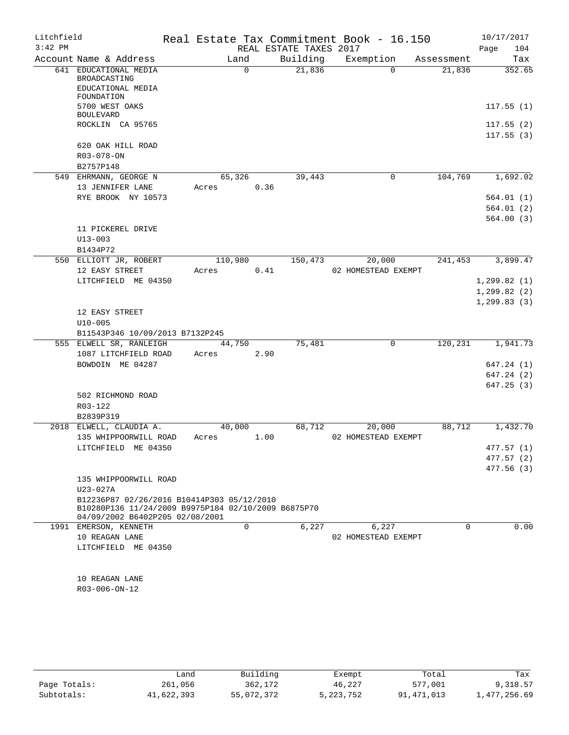| Litchfield<br>$3:42$ PM |                                                                                                   |       |                | REAL ESTATE TAXES 2017 | Real Estate Tax Commitment Book - 16.150 |            | 10/17/2017<br>104<br>Page    |
|-------------------------|---------------------------------------------------------------------------------------------------|-------|----------------|------------------------|------------------------------------------|------------|------------------------------|
|                         | Account Name & Address                                                                            |       | Land           | Building               | Exemption                                | Assessment | Tax                          |
|                         | 641 EDUCATIONAL MEDIA<br>BROADCASTING                                                             |       | $\Omega$       | 21,836                 | $\Omega$                                 | 21,836     | 352.65                       |
|                         | EDUCATIONAL MEDIA<br>FOUNDATION<br>5700 WEST OAKS                                                 |       |                |                        |                                          |            | 117.55(1)                    |
|                         | <b>BOULEVARD</b>                                                                                  |       |                |                        |                                          |            |                              |
|                         | ROCKLIN CA 95765                                                                                  |       |                |                        |                                          |            | 117.55(2)<br>117.55(3)       |
|                         | 620 OAK HILL ROAD<br>R03-078-ON                                                                   |       |                |                        |                                          |            |                              |
|                         | B2757P148                                                                                         |       |                |                        |                                          |            |                              |
|                         | 549 EHRMANN, GEORGE N                                                                             |       | 65,326<br>0.36 | 39,443                 | 0                                        | 104,769    | 1,692.02                     |
|                         | 13 JENNIFER LANE<br>RYE BROOK NY 10573                                                            | Acres |                |                        |                                          |            | 564.01(1)                    |
|                         |                                                                                                   |       |                |                        |                                          |            | 564.01 (2)                   |
|                         |                                                                                                   |       |                |                        |                                          |            | 564.00(3)                    |
|                         | 11 PICKEREL DRIVE                                                                                 |       |                |                        |                                          |            |                              |
|                         | $U13 - 003$                                                                                       |       |                |                        |                                          |            |                              |
|                         | B1434P72                                                                                          |       |                |                        |                                          |            |                              |
|                         | 550 ELLIOTT JR, ROBERT                                                                            |       | 110,980        | 150,473                | 20,000                                   | 241,453    | 3,899.47                     |
|                         | 12 EASY STREET                                                                                    | Acres | 0.41           |                        | 02 HOMESTEAD EXEMPT                      |            |                              |
|                         | LITCHFIELD ME 04350                                                                               |       |                |                        |                                          |            | 1, 299.82(1)<br>1, 299.82(2) |
|                         |                                                                                                   |       |                |                        |                                          |            | 1, 299.83(3)                 |
|                         | 12 EASY STREET                                                                                    |       |                |                        |                                          |            |                              |
|                         | $U10 - 005$                                                                                       |       |                |                        |                                          |            |                              |
|                         | B11543P346 10/09/2013 B7132P245                                                                   |       |                |                        |                                          |            |                              |
|                         | 555 ELWELL SR, RANLEIGH                                                                           |       | 44,750         | 75,481                 | $\mathsf{O}$                             | 120,231    | 1,941.73                     |
|                         | 1087 LITCHFIELD ROAD                                                                              | Acres | 2.90           |                        |                                          |            |                              |
|                         | BOWDOIN ME 04287                                                                                  |       |                |                        |                                          |            | 647.24 (1)                   |
|                         |                                                                                                   |       |                |                        |                                          |            | 647.24 (2)                   |
|                         | 502 RICHMOND ROAD                                                                                 |       |                |                        |                                          |            | 647.25(3)                    |
|                         | R03-122                                                                                           |       |                |                        |                                          |            |                              |
|                         | B2839P319                                                                                         |       |                |                        |                                          |            |                              |
|                         | 2018 ELWELL, CLAUDIA A.                                                                           |       | 40,000         | 68,712                 | 20,000                                   | 88,712     | 1,432.70                     |
|                         | 135 WHIPPOORWILL ROAD                                                                             | Acres | 1.00           |                        | 02 HOMESTEAD EXEMPT                      |            |                              |
|                         | LITCHFIELD ME 04350                                                                               |       |                |                        |                                          |            | 477.57(1)                    |
|                         |                                                                                                   |       |                |                        |                                          |            | 477.57 (2)                   |
|                         | 135 WHIPPOORWILL ROAD                                                                             |       |                |                        |                                          |            | 477.56(3)                    |
|                         | U23-027A                                                                                          |       |                |                        |                                          |            |                              |
|                         | B12236P87 02/26/2016 B10414P303 05/12/2010<br>B10280P136 11/24/2009 B9975P184 02/10/2009 B6875P70 |       |                |                        |                                          |            |                              |
|                         | 04/09/2002 B6402P205 02/08/2001                                                                   |       |                |                        |                                          |            |                              |
|                         | 1991 EMERSON, KENNETH<br>10 REAGAN LANE                                                           |       | 0              | 6,227                  | 6,227<br>02 HOMESTEAD EXEMPT             | 0          | 0.00                         |
|                         | LITCHFIELD ME 04350                                                                               |       |                |                        |                                          |            |                              |
|                         |                                                                                                   |       |                |                        |                                          |            |                              |
|                         | 10 REAGAN LANE                                                                                    |       |                |                        |                                          |            |                              |
|                         | R03-006-ON-12                                                                                     |       |                |                        |                                          |            |                              |
|                         |                                                                                                   |       |                |                        |                                          |            |                              |
|                         |                                                                                                   |       |                |                        |                                          |            |                              |
|                         |                                                                                                   |       |                |                        |                                          |            |                              |

|              | Land       | Building   | Exempt    | Total      | Tax          |
|--------------|------------|------------|-----------|------------|--------------|
| Page Totals: | 261,056    | 362,172    | 46,227    | 577,001    | 9,318.57     |
| Subtotals:   | 41,622,393 | 55,072,372 | 5,223,752 | 91,471,013 | 1,477,256.69 |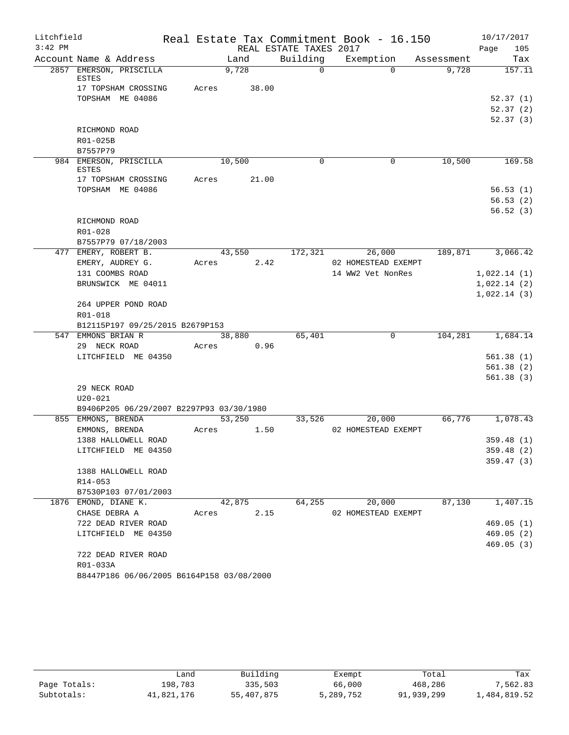| Litchfield |                                           |       |        |                        | Real Estate Tax Commitment Book - 16.150 |            | 10/17/2017  |
|------------|-------------------------------------------|-------|--------|------------------------|------------------------------------------|------------|-------------|
| $3:42$ PM  |                                           |       |        | REAL ESTATE TAXES 2017 |                                          |            | 105<br>Page |
|            | Account Name & Address                    |       | Land   | Building               | Exemption                                | Assessment | Tax         |
|            | 2857 EMERSON, PRISCILLA<br><b>ESTES</b>   |       | 9,728  | $\Omega$               | $\Omega$                                 | 9,728      | 157.11      |
|            | 17 TOPSHAM CROSSING                       | Acres | 38.00  |                        |                                          |            |             |
|            | TOPSHAM ME 04086                          |       |        |                        |                                          |            | 52.37(1)    |
|            |                                           |       |        |                        |                                          |            | 52.37(2)    |
|            |                                           |       |        |                        |                                          |            | 52.37(3)    |
|            | RICHMOND ROAD                             |       |        |                        |                                          |            |             |
|            | R01-025B                                  |       |        |                        |                                          |            |             |
|            | B7557P79                                  |       |        |                        |                                          |            |             |
|            | 984 EMERSON, PRISCILLA<br><b>ESTES</b>    |       | 10,500 | $\Omega$               | 0                                        | 10,500     | 169.58      |
|            | 17 TOPSHAM CROSSING                       | Acres | 21.00  |                        |                                          |            |             |
|            | TOPSHAM ME 04086                          |       |        |                        |                                          |            | 56.53(1)    |
|            |                                           |       |        |                        |                                          |            | 56.53(2)    |
|            |                                           |       |        |                        |                                          |            | 56.52(3)    |
|            | RICHMOND ROAD                             |       |        |                        |                                          |            |             |
|            | R01-028                                   |       |        |                        |                                          |            |             |
|            | B7557P79 07/18/2003                       |       |        |                        |                                          |            |             |
|            | 477 EMERY, ROBERT B.                      |       | 43,550 | 172,321                | 26,000                                   | 189,871    | 3,066.42    |
|            | EMERY, AUDREY G.                          | Acres | 2.42   |                        | 02 HOMESTEAD EXEMPT                      |            |             |
|            | 131 COOMBS ROAD                           |       |        |                        | 14 WW2 Vet NonRes                        |            | 1,022.14(1) |
|            | BRUNSWICK ME 04011                        |       |        |                        |                                          |            | 1,022.14(2) |
|            | 264 UPPER POND ROAD                       |       |        |                        |                                          |            | 1,022.14(3) |
|            | R01-018                                   |       |        |                        |                                          |            |             |
|            | B12115P197 09/25/2015 B2679P153           |       |        |                        |                                          |            |             |
| 547        | EMMONS BRIAN R                            |       | 38,880 | 65,401                 | $\mathbf 0$                              | 104,281    | 1,684.14    |
|            | 29 NECK ROAD                              | Acres | 0.96   |                        |                                          |            |             |
|            | LITCHFIELD ME 04350                       |       |        |                        |                                          |            | 561.38(1)   |
|            |                                           |       |        |                        |                                          |            | 561.38(2)   |
|            |                                           |       |        |                        |                                          |            | 561.38(3)   |
|            | 29 NECK ROAD                              |       |        |                        |                                          |            |             |
|            | $U20 - 021$                               |       |        |                        |                                          |            |             |
|            | B9406P205 06/29/2007 B2297P93 03/30/1980  |       |        |                        |                                          |            |             |
|            | 855 EMMONS, BRENDA                        |       | 53,250 | 33,526                 | 20,000                                   | 66,776     | 1,078.43    |
|            | EMMONS, BRENDA                            | Acres | 1.50   |                        | 02 HOMESTEAD EXEMPT                      |            |             |
|            | 1388 HALLOWELL ROAD                       |       |        |                        |                                          |            | 359.48(1)   |
|            | LITCHFIELD ME 04350                       |       |        |                        |                                          |            | 359.48 (2)  |
|            |                                           |       |        |                        |                                          |            | 359.47(3)   |
|            | 1388 HALLOWELL ROAD                       |       |        |                        |                                          |            |             |
|            | R14-053                                   |       |        |                        |                                          |            |             |
|            | B7530P103 07/01/2003                      |       |        |                        |                                          |            |             |
|            | 1876 EMOND, DIANE K.                      |       | 42,875 | 64,255                 | 20,000                                   | 87,130     | 1,407.15    |
|            | CHASE DEBRA A                             | Acres | 2.15   |                        | 02 HOMESTEAD EXEMPT                      |            |             |
|            | 722 DEAD RIVER ROAD                       |       |        |                        |                                          |            | 469.05(1)   |
|            | LITCHFIELD ME 04350                       |       |        |                        |                                          |            | 469.05(2)   |
|            |                                           |       |        |                        |                                          |            | 469.05(3)   |
|            | 722 DEAD RIVER ROAD                       |       |        |                        |                                          |            |             |
|            | R01-033A                                  |       |        |                        |                                          |            |             |
|            | B8447P186 06/06/2005 B6164P158 03/08/2000 |       |        |                        |                                          |            |             |

|              | ∟and       | Building   | Exempt    | Total      | Tax          |
|--------------|------------|------------|-----------|------------|--------------|
| Page Totals: | 198,783    | 335,503    | 66,000    | 468,286    | 7,562.83     |
| Subtotals:   | 41,821,176 | 55,407,875 | 5,289,752 | 91,939,299 | 1,484,819.52 |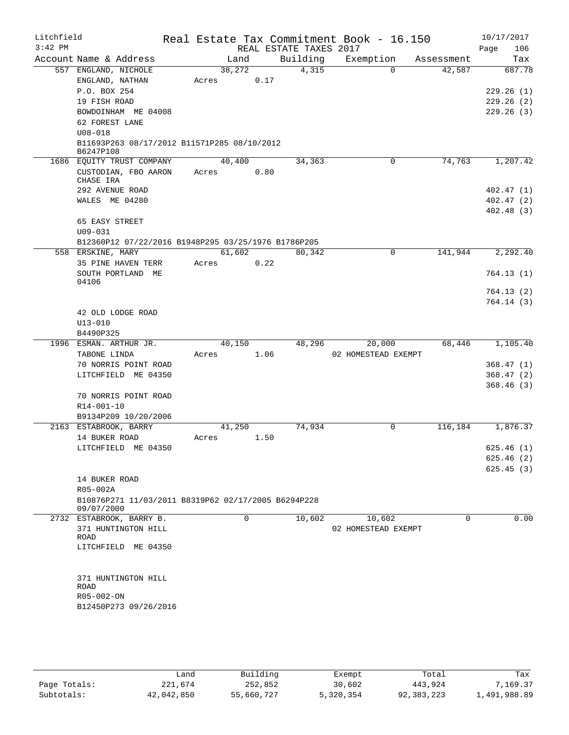| Litchfield |                                                                          |       |             |          |                                    | Real Estate Tax Commitment Book - 16.150 |            | 10/17/2017             |
|------------|--------------------------------------------------------------------------|-------|-------------|----------|------------------------------------|------------------------------------------|------------|------------------------|
| $3:42$ PM  | Account Name & Address                                                   |       | Land        |          | REAL ESTATE TAXES 2017<br>Building |                                          | Assessment | 106<br>Page<br>Tax     |
|            | 557 ENGLAND, NICHOLE                                                     |       | 38,272      |          | 4,315                              | Exemption<br>$\Omega$                    | 42,587     | 687.78                 |
|            | ENGLAND, NATHAN                                                          | Acres |             | 0.17     |                                    |                                          |            |                        |
|            | P.O. BOX 254                                                             |       |             |          |                                    |                                          |            | 229.26(1)              |
|            | 19 FISH ROAD                                                             |       |             |          |                                    |                                          |            | 229.26(2)              |
|            | BOWDOINHAM ME 04008                                                      |       |             |          |                                    |                                          |            | 229.26(3)              |
|            | 62 FOREST LANE                                                           |       |             |          |                                    |                                          |            |                        |
|            | $U08 - 018$                                                              |       |             |          |                                    |                                          |            |                        |
|            | B11693P263 08/17/2012 B11571P285 08/10/2012<br>B6247P108                 |       |             |          |                                    |                                          |            |                        |
|            | 1686 EQUITY TRUST COMPANY                                                |       | 40,400      |          | 34,363                             | 0                                        | 74,763     | 1,207.42               |
|            | CUSTODIAN, FBO AARON<br>CHASE IRA                                        | Acres |             | 0.80     |                                    |                                          |            |                        |
|            | 292 AVENUE ROAD                                                          |       |             |          |                                    |                                          |            | 402.47(1)              |
|            | WALES ME 04280                                                           |       |             |          |                                    |                                          |            | 402.47(2)              |
|            |                                                                          |       |             |          |                                    |                                          |            | 402.48(3)              |
|            | 65 EASY STREET                                                           |       |             |          |                                    |                                          |            |                        |
|            | $U09 - 031$                                                              |       |             |          |                                    |                                          |            |                        |
|            | B12360P12 07/22/2016 B1948P295 03/25/1976 B1786P205<br>558 ERSKINE, MARY |       | 61,602      |          | 80,342                             | $\mathbf 0$                              | 141,944    | 2, 292.40              |
|            | 35 PINE HAVEN TERR                                                       | Acres |             | 0.22     |                                    |                                          |            |                        |
|            | SOUTH PORTLAND ME                                                        |       |             |          |                                    |                                          |            | 764.13(1)              |
|            | 04106                                                                    |       |             |          |                                    |                                          |            | 764.13(2)              |
|            |                                                                          |       |             |          |                                    |                                          |            | 764.14(3)              |
|            | 42 OLD LODGE ROAD                                                        |       |             |          |                                    |                                          |            |                        |
|            | $U13 - 010$                                                              |       |             |          |                                    |                                          |            |                        |
|            | B4490P325                                                                |       |             |          |                                    |                                          |            |                        |
|            | 1996 ESMAN. ARTHUR JR.                                                   |       | 40,150      |          | 48,296                             | 20,000                                   | 68,446     | 1,105.40               |
|            | TABONE LINDA                                                             | Acres |             | 1.06     |                                    | 02 HOMESTEAD EXEMPT                      |            |                        |
|            | 70 NORRIS POINT ROAD                                                     |       |             |          |                                    |                                          |            | 368.47(1)              |
|            | LITCHFIELD ME 04350                                                      |       |             |          |                                    |                                          |            | 368.47(2)<br>368.46(3) |
|            | 70 NORRIS POINT ROAD                                                     |       |             |          |                                    |                                          |            |                        |
|            | R14-001-10                                                               |       |             |          |                                    |                                          |            |                        |
|            | B9134P209 10/20/2006                                                     |       |             |          |                                    |                                          |            |                        |
|            | 2163 ESTABROOK, BARRY                                                    |       | 41,250      |          | 74,934                             | 0                                        | 116,184    | 1,876.37               |
|            | 14 BUKER ROAD                                                            | Acres |             | 1.50     |                                    |                                          |            |                        |
|            | LITCHFIELD ME 04350                                                      |       |             |          |                                    |                                          |            | 625.46(1)              |
|            |                                                                          |       |             |          |                                    |                                          |            | 625.46 (2)             |
|            |                                                                          |       |             |          |                                    |                                          |            | 625.45(3)              |
|            | 14 BUKER ROAD<br>R05-002A                                                |       |             |          |                                    |                                          |            |                        |
|            | B10876P271 11/03/2011 B8319P62 02/17/2005 B6294P228                      |       |             |          |                                    |                                          |            |                        |
|            | 09/07/2000                                                               |       |             |          |                                    |                                          |            |                        |
|            | 2732 ESTABROOK, BARRY B.                                                 |       | $\mathbf 0$ |          | 10,602                             | 10,602                                   | 0          | 0.00                   |
|            | 371 HUNTINGTON HILL                                                      |       |             |          |                                    | 02 HOMESTEAD EXEMPT                      |            |                        |
|            | ROAD<br>LITCHFIELD ME 04350                                              |       |             |          |                                    |                                          |            |                        |
|            |                                                                          |       |             |          |                                    |                                          |            |                        |
|            |                                                                          |       |             |          |                                    |                                          |            |                        |
|            | 371 HUNTINGTON HILL<br>ROAD                                              |       |             |          |                                    |                                          |            |                        |
|            | R05-002-ON                                                               |       |             |          |                                    |                                          |            |                        |
|            | B12450P273 09/26/2016                                                    |       |             |          |                                    |                                          |            |                        |
|            |                                                                          |       |             |          |                                    |                                          |            |                        |
|            |                                                                          |       |             |          |                                    |                                          |            |                        |
|            |                                                                          |       |             |          |                                    |                                          |            |                        |
|            |                                                                          | Land  |             | Building |                                    | Exempt                                   | Total      | Tax                    |

|              | Land       | Building   | Exempt    | Total      | Tax          |
|--------------|------------|------------|-----------|------------|--------------|
| Page Totals: | 221,674    | 252,852    | 30,602    | 443,924    | 7.169.37     |
| Subtotals:   | 42,042,850 | 55,660,727 | 5,320,354 | 92,383,223 | 1,491,988.89 |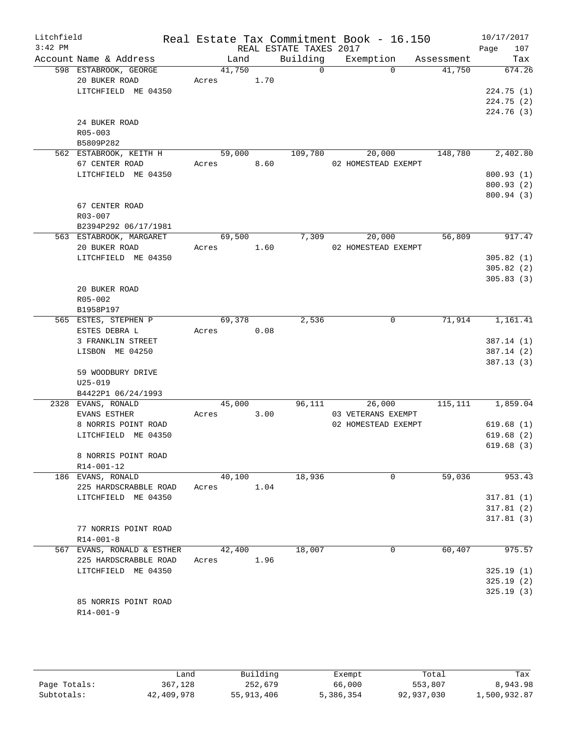| Litchfield<br>$3:42$ PM |                                   |        |      | REAL ESTATE TAXES 2017 | Real Estate Tax Commitment Book - 16.150 |            | 10/17/2017<br>107<br>Page |
|-------------------------|-----------------------------------|--------|------|------------------------|------------------------------------------|------------|---------------------------|
|                         | Account Name & Address            | Land   |      | Building               | Exemption                                | Assessment | Tax                       |
|                         | 598 ESTABROOK, GEORGE             | 41,750 |      | $\overline{0}$         | $\Omega$                                 | 41,750     | 674.26                    |
|                         | 20 BUKER ROAD                     | Acres  | 1.70 |                        |                                          |            |                           |
|                         | LITCHFIELD ME 04350               |        |      |                        |                                          |            | 224.75(1)                 |
|                         |                                   |        |      |                        |                                          |            | 224.75(2)                 |
|                         |                                   |        |      |                        |                                          |            | 224.76(3)                 |
|                         | 24 BUKER ROAD                     |        |      |                        |                                          |            |                           |
|                         | R05-003                           |        |      |                        |                                          |            |                           |
|                         | B5809P282                         |        |      |                        |                                          |            |                           |
|                         | 562 ESTABROOK, KEITH H            | 59,000 |      | 109,780                | 20,000                                   | 148,780    | 2,402.80                  |
|                         | 67 CENTER ROAD                    | Acres  | 8.60 |                        | 02 HOMESTEAD EXEMPT                      |            |                           |
|                         | LITCHFIELD ME 04350               |        |      |                        |                                          |            | 800.93(1)                 |
|                         |                                   |        |      |                        |                                          |            | 800.93 (2)                |
|                         |                                   |        |      |                        |                                          |            | 800.94 (3)                |
|                         | 67 CENTER ROAD                    |        |      |                        |                                          |            |                           |
|                         | $R03 - 007$                       |        |      |                        |                                          |            |                           |
|                         | B2394P292 06/17/1981              |        |      |                        |                                          |            |                           |
|                         | 563 ESTABROOK, MARGARET           | 69,500 |      |                        | 7,309<br>20,000                          | 56,809     | 917.47                    |
|                         | 20 BUKER ROAD                     | Acres  | 1.60 |                        | 02 HOMESTEAD EXEMPT                      |            |                           |
|                         | LITCHFIELD ME 04350               |        |      |                        |                                          |            | 305.82(1)                 |
|                         |                                   |        |      |                        |                                          |            | 305.82(2)                 |
|                         |                                   |        |      |                        |                                          |            | 305.83(3)                 |
|                         | 20 BUKER ROAD                     |        |      |                        |                                          |            |                           |
|                         | R05-002                           |        |      |                        |                                          |            |                           |
|                         | B1958P197                         |        |      |                        |                                          |            |                           |
|                         | 565 ESTES, STEPHEN P              | 69,378 |      | 2,536                  | 0                                        | 71,914     | 1,161.41                  |
|                         | ESTES DEBRA L                     | Acres  | 0.08 |                        |                                          |            |                           |
|                         | 3 FRANKLIN STREET                 |        |      |                        |                                          |            | 387.14(1)                 |
|                         | LISBON ME 04250                   |        |      |                        |                                          |            | 387.14(2)                 |
|                         |                                   |        |      |                        |                                          |            | 387.13(3)                 |
|                         | 59 WOODBURY DRIVE                 |        |      |                        |                                          |            |                           |
|                         | $U25 - 019$<br>B4422P1 06/24/1993 |        |      |                        |                                          |            |                           |
|                         | 2328 EVANS, RONALD                | 45,000 |      |                        | 96,111<br>26,000                         |            | 115, 111 1, 859.04        |
|                         | EVANS ESTHER                      | Acres  | 3.00 |                        | 03 VETERANS EXEMPT                       |            |                           |
|                         | 8 NORRIS POINT ROAD               |        |      |                        | 02 HOMESTEAD EXEMPT                      |            | 619.68(1)                 |
|                         | LITCHFIELD ME 04350               |        |      |                        |                                          |            | 619.68(2)                 |
|                         |                                   |        |      |                        |                                          |            | 619.68(3)                 |
|                         | 8 NORRIS POINT ROAD               |        |      |                        |                                          |            |                           |
|                         | R14-001-12                        |        |      |                        |                                          |            |                           |
|                         | 186 EVANS, RONALD                 | 40,100 |      | 18,936                 | 0                                        | 59,036     | 953.43                    |
|                         | 225 HARDSCRABBLE ROAD             | Acres  | 1.04 |                        |                                          |            |                           |
|                         | LITCHFIELD ME 04350               |        |      |                        |                                          |            | 317.81(1)                 |
|                         |                                   |        |      |                        |                                          |            | 317.81(2)                 |
|                         |                                   |        |      |                        |                                          |            | 317.81(3)                 |
|                         | 77 NORRIS POINT ROAD              |        |      |                        |                                          |            |                           |
|                         | $R14 - 001 - 8$                   |        |      |                        |                                          |            |                           |
|                         | 567 EVANS, RONALD & ESTHER        | 42,400 |      | 18,007                 | 0                                        | 60,407     | 975.57                    |
|                         | 225 HARDSCRABBLE ROAD             | Acres  | 1.96 |                        |                                          |            |                           |
|                         | LITCHFIELD ME 04350               |        |      |                        |                                          |            | 325.19(1)                 |
|                         |                                   |        |      |                        |                                          |            | 325.19(2)                 |
|                         |                                   |        |      |                        |                                          |            | 325.19(3)                 |
|                         | 85 NORRIS POINT ROAD              |        |      |                        |                                          |            |                           |
|                         | $R14 - 001 - 9$                   |        |      |                        |                                          |            |                           |
|                         |                                   |        |      |                        |                                          |            |                           |

|              | Land       | Building   | Exempt    | Total      | Tax          |
|--------------|------------|------------|-----------|------------|--------------|
| Page Totals: | 367,128    | 252,679    | 66,000    | 553,807    | 8,943.98     |
| Subtotals:   | 42,409,978 | 55,913,406 | 5,386,354 | 92,937,030 | 1,500,932.87 |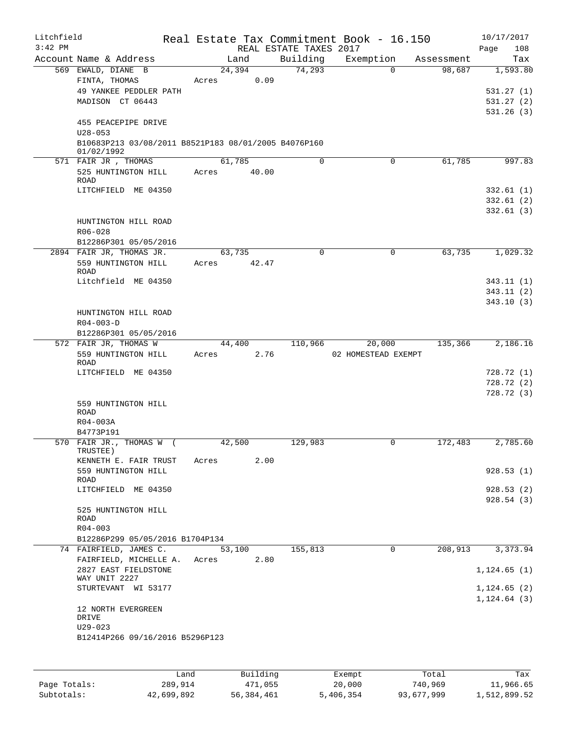| Litchfield |                                                                                                          |      |       |        |          |                        | Real Estate Tax Commitment Book - 16.150 |             |            | 10/17/2017                                      |
|------------|----------------------------------------------------------------------------------------------------------|------|-------|--------|----------|------------------------|------------------------------------------|-------------|------------|-------------------------------------------------|
| $3:42$ PM  |                                                                                                          |      |       |        |          | REAL ESTATE TAXES 2017 |                                          |             |            | 108<br>Page                                     |
|            | Account Name & Address                                                                                   |      |       | Land   |          | Building               | Exemption                                |             | Assessment | Tax                                             |
|            | 569 EWALD, DIANE B<br>FINTA, THOMAS<br>49 YANKEE PEDDLER PATH<br>MADISON CT 06443<br>455 PEACEPIPE DRIVE |      | Acres | 24,394 | 0.09     | 74,293                 |                                          | $\Omega$    | 98,687     | 1,593.80<br>531.27(1)<br>531.27(2)<br>531.26(3) |
|            | $U28 - 053$<br>B10683P213 03/08/2011 B8521P183 08/01/2005 B4076P160<br>01/02/1992                        |      |       |        |          |                        |                                          |             |            |                                                 |
|            | 571 FAIR JR , THOMAS                                                                                     |      |       | 61,785 |          | $\Omega$               |                                          | 0           | 61,785     | 997.83                                          |
|            | 525 HUNTINGTON HILL<br>ROAD                                                                              |      | Acres |        | 40.00    |                        |                                          |             |            |                                                 |
|            | LITCHFIELD ME 04350                                                                                      |      |       |        |          |                        |                                          |             |            | 332.61(1)<br>332.61(2)<br>332.61(3)             |
|            | HUNTINGTON HILL ROAD<br>R06-028                                                                          |      |       |        |          |                        |                                          |             |            |                                                 |
|            | B12286P301 05/05/2016                                                                                    |      |       |        |          | 0                      |                                          | $\mathbf 0$ | 63,735     |                                                 |
|            | 2894 FAIR JR, THOMAS JR.<br>559 HUNTINGTON HILL<br><b>ROAD</b>                                           |      | Acres | 63,735 | 42.47    |                        |                                          |             |            | 1,029.32                                        |
|            | Litchfield ME 04350                                                                                      |      |       |        |          |                        |                                          |             |            | 343.11(1)                                       |
|            |                                                                                                          |      |       |        |          |                        |                                          |             |            | 343.11(2)                                       |
|            | HUNTINGTON HILL ROAD<br>$R04 - 003 - D$                                                                  |      |       |        |          |                        |                                          |             |            | 343.10(3)                                       |
|            | B12286P301 05/05/2016                                                                                    |      |       |        |          |                        |                                          |             |            |                                                 |
|            | 572 FAIR JR, THOMAS W<br>559 HUNTINGTON HILL<br>ROAD                                                     |      | Acres | 44,400 | 2.76     | 110,966                | 20,000<br>02 HOMESTEAD EXEMPT            |             | 135,366    | 2,186.16                                        |
|            | LITCHFIELD ME 04350                                                                                      |      |       |        |          |                        |                                          |             |            | 728.72 (1)                                      |
|            |                                                                                                          |      |       |        |          |                        |                                          |             |            | 728.72 (2)                                      |
|            | 559 HUNTINGTON HILL<br>ROAD<br>R04-003A<br>B4773P191                                                     |      |       |        |          |                        |                                          |             |            | 728.72 (3)                                      |
|            | 570 FAIR JR., THOMAS W (                                                                                 |      |       | 42,500 |          | 129,983                |                                          | 0           | 172,483    | 2,785.60                                        |
|            | TRUSTEE )<br>KENNETH E. FAIR TRUST                                                                       |      | Acres |        | 2.00     |                        |                                          |             |            |                                                 |
|            | 559 HUNTINGTON HILL<br>ROAD<br>LITCHFIELD ME 04350                                                       |      |       |        |          |                        |                                          |             |            | 928.53(1)<br>928.53(2)                          |
|            | 525 HUNTINGTON HILL                                                                                      |      |       |        |          |                        |                                          |             |            | 928.54 (3)                                      |
|            | ROAD<br>$R04 - 003$                                                                                      |      |       |        |          |                        |                                          |             |            |                                                 |
|            | B12286P299 05/05/2016 B1704P134                                                                          |      |       |        |          |                        |                                          |             |            |                                                 |
|            | 74 FAIRFIELD, JAMES C.<br>FAIRFIELD, MICHELLE A.                                                         |      | Acres | 53,100 | 2.80     | 155,813                |                                          | 0           | 208,913    | 3,373.94                                        |
|            | 2827 EAST FIELDSTONE<br>WAY UNIT 2227<br>STURTEVANT WI 53177                                             |      |       |        |          |                        |                                          |             |            | 1, 124.65(1)                                    |
|            | 12 NORTH EVERGREEN                                                                                       |      |       |        |          |                        |                                          |             |            | 1, 124.65(2)<br>$1, 124.64$ (3)                 |
|            | DRIVE<br>$U29 - 023$                                                                                     |      |       |        |          |                        |                                          |             |            |                                                 |
|            | B12414P266 09/16/2016 B5296P123                                                                          |      |       |        |          |                        |                                          |             |            |                                                 |
|            |                                                                                                          | Land |       |        | Building |                        | Exempt                                   |             | Total      | Tax                                             |

|              | nana       | <b>BUTTOTIIG</b> | <b>EXEMPL</b> | IOLAI      | ldX -        |
|--------------|------------|------------------|---------------|------------|--------------|
| Page Totals: | 289,914    | 471,055          | 20,000        | 740,969    | 11,966.65    |
| Subtotals:   | 42,699,892 | 56,384,461       | 5,406,354     | 93,677,999 | 1,512,899.52 |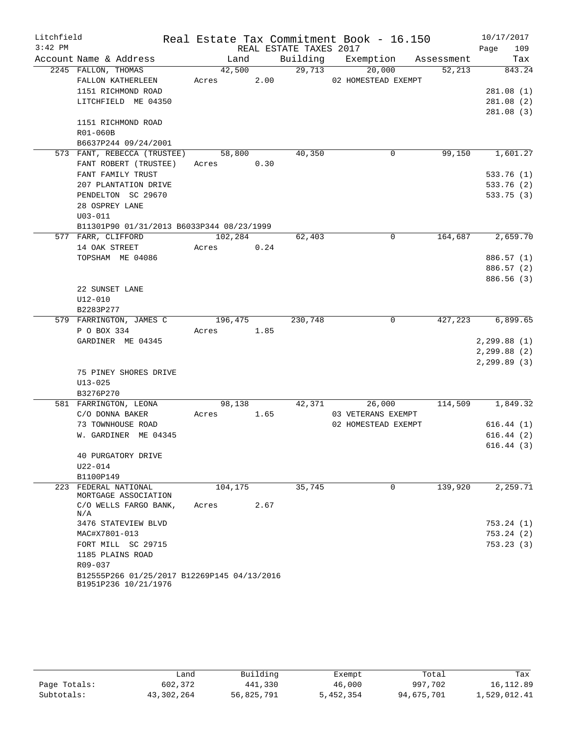| Litchfield |                                             |            |      |                        | Real Estate Tax Commitment Book - 16.150 |            | 10/17/2017             |
|------------|---------------------------------------------|------------|------|------------------------|------------------------------------------|------------|------------------------|
| $3:42$ PM  |                                             |            |      | REAL ESTATE TAXES 2017 |                                          |            | 109<br>Page            |
|            | Account Name & Address                      | Land       |      |                        | Building Exemption                       | Assessment | Tax                    |
|            | 2245 FALLON, THOMAS                         | 42,500     |      | 29,713                 | 20,000                                   | 52,213     | 843.24                 |
|            | FALLON KATHERLEEN                           | Acres 2.00 |      |                        | 02 HOMESTEAD EXEMPT                      |            |                        |
|            | 1151 RICHMOND ROAD                          |            |      |                        |                                          |            | 281.08(1)              |
|            | LITCHFIELD ME 04350                         |            |      |                        |                                          |            | 281.08(2)              |
|            |                                             |            |      |                        |                                          |            | 281.08(3)              |
|            | 1151 RICHMOND ROAD                          |            |      |                        |                                          |            |                        |
|            | R01-060B                                    |            |      |                        |                                          |            |                        |
|            | B6637P244 09/24/2001                        |            |      |                        |                                          |            |                        |
|            | 573 FANT, REBECCA (TRUSTEE)                 | 58,800     |      | 40,350                 | 0                                        | 99,150     | 1,601.27               |
|            | FANT ROBERT (TRUSTEE)                       | Acres 0.30 |      |                        |                                          |            |                        |
|            | FANT FAMILY TRUST                           |            |      |                        |                                          |            | 533.76(1)              |
|            | 207 PLANTATION DRIVE                        |            |      |                        |                                          |            | 533.76 (2)             |
|            | PENDELTON SC 29670                          |            |      |                        |                                          |            | 533.75(3)              |
|            | 28 OSPREY LANE                              |            |      |                        |                                          |            |                        |
|            | $U03 - 011$                                 |            |      |                        |                                          |            |                        |
|            | B11301P90 01/31/2013 B6033P344 08/23/1999   |            |      |                        |                                          |            |                        |
|            | 577 FARR, CLIFFORD                          | 102,284    |      | 62,403                 | 0                                        | 164,687    | 2,659.70               |
|            | 14 OAK STREET                               | Acres      | 0.24 |                        |                                          |            |                        |
|            | TOPSHAM ME 04086                            |            |      |                        |                                          |            | 886.57 (1)             |
|            |                                             |            |      |                        |                                          |            | 886.57 (2)             |
|            |                                             |            |      |                        |                                          |            | 886.56 (3)             |
|            | 22 SUNSET LANE                              |            |      |                        |                                          |            |                        |
|            | U12-010                                     |            |      |                        |                                          |            |                        |
|            | B2283P277                                   |            |      |                        |                                          |            |                        |
|            | 579 FARRINGTON, JAMES C                     | 196,475    |      | 230,748                | 0                                        | 427,223    | 6,899.65               |
|            | P O BOX 334                                 | Acres      | 1.85 |                        |                                          |            |                        |
|            | GARDINER ME 04345                           |            |      |                        |                                          |            | 2, 299.88(1)           |
|            |                                             |            |      |                        |                                          |            | 2, 299.88 (2)          |
|            |                                             |            |      |                        |                                          |            | $2, 299.89$ (3)        |
|            | 75 PINEY SHORES DRIVE                       |            |      |                        |                                          |            |                        |
|            | $U13 - 025$                                 |            |      |                        |                                          |            |                        |
|            | B3276P270                                   |            |      |                        |                                          |            |                        |
|            | 581 FARRINGTON, LEONA                       | 98,138     | 1.65 | 42,371                 | 26,000<br>03 VETERANS EXEMPT             | 114,509    | 1,849.32               |
|            | C/O DONNA BAKER                             | Acres      |      |                        |                                          |            |                        |
|            | 73 TOWNHOUSE ROAD<br>W. GARDINER ME 04345   |            |      |                        | 02 HOMESTEAD EXEMPT                      |            | 616.44(1)              |
|            |                                             |            |      |                        |                                          |            | 616.44(2)<br>616.44(3) |
|            | 40 PURGATORY DRIVE                          |            |      |                        |                                          |            |                        |
|            | U22-014                                     |            |      |                        |                                          |            |                        |
|            | B1100P149                                   |            |      |                        |                                          |            |                        |
| 223        | FEDERAL NATIONAL                            | 104,175    |      | 35,745                 | $\mathbf 0$                              | 139,920    | 2,259.71               |
|            | MORTGAGE ASSOCIATION                        |            |      |                        |                                          |            |                        |
|            | C/O WELLS FARGO BANK,                       | Acres      | 2.67 |                        |                                          |            |                        |
|            | N/A                                         |            |      |                        |                                          |            |                        |
|            | 3476 STATEVIEW BLVD                         |            |      |                        |                                          |            | 753.24(1)              |
|            | MAC#X7801-013                               |            |      |                        |                                          |            | 753.24(2)              |
|            | FORT MILL SC 29715                          |            |      |                        |                                          |            | 753.23(3)              |
|            | 1185 PLAINS ROAD                            |            |      |                        |                                          |            |                        |
|            | R09-037                                     |            |      |                        |                                          |            |                        |
|            | B12555P266 01/25/2017 B12269P145 04/13/2016 |            |      |                        |                                          |            |                        |
|            | B1951P236 10/21/1976                        |            |      |                        |                                          |            |                        |

|              | Land       | Building   | Exempt    | Total      | Tax          |
|--------------|------------|------------|-----------|------------|--------------|
| Page Totals: | 602,372    | 441,330    | 46,000    | 997,702    | 16, 112.89   |
| Subtotals:   | 43,302,264 | 56,825,791 | 5,452,354 | 94,675,701 | 1,529,012.41 |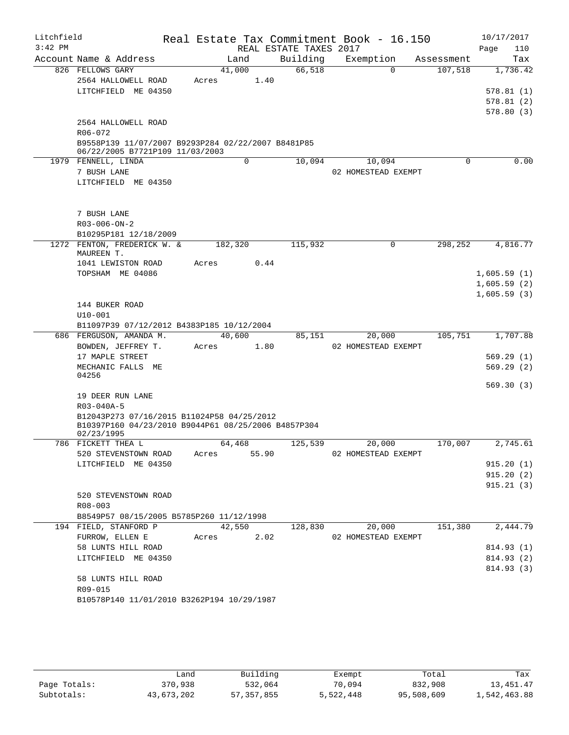| Litchfield |                                                      |         |       |                        | Real Estate Tax Commitment Book - 16.150 |            | 10/17/2017             |
|------------|------------------------------------------------------|---------|-------|------------------------|------------------------------------------|------------|------------------------|
| $3:42$ PM  |                                                      |         |       | REAL ESTATE TAXES 2017 |                                          |            | Page<br>110            |
|            | Account Name & Address                               | Land    |       | Building               | Exemption                                | Assessment | Tax                    |
|            | 826 FELLOWS GARY                                     | 41,000  |       | 66,518                 | $\Omega$                                 | 107,518    | 1,736.42               |
|            | 2564 HALLOWELL ROAD<br>LITCHFIELD ME 04350           | Acres   | 1.40  |                        |                                          |            |                        |
|            |                                                      |         |       |                        |                                          |            | 578.81(1)<br>578.81(2) |
|            |                                                      |         |       |                        |                                          |            | 578.80(3)              |
|            | 2564 HALLOWELL ROAD                                  |         |       |                        |                                          |            |                        |
|            | R06-072                                              |         |       |                        |                                          |            |                        |
|            | B9558P139 11/07/2007 B9293P284 02/22/2007 B8481P85   |         |       |                        |                                          |            |                        |
|            | 06/22/2005 B7721P109 11/03/2003                      |         |       |                        |                                          |            |                        |
|            | 1979 FENNELL, LINDA                                  |         | 0     | 10,094                 | 10,094                                   | 0          | 0.00                   |
|            | 7 BUSH LANE                                          |         |       |                        | 02 HOMESTEAD EXEMPT                      |            |                        |
|            | LITCHFIELD ME 04350                                  |         |       |                        |                                          |            |                        |
|            |                                                      |         |       |                        |                                          |            |                        |
|            |                                                      |         |       |                        |                                          |            |                        |
|            | 7 BUSH LANE                                          |         |       |                        |                                          |            |                        |
|            | $R03 - 006 - ON - 2$                                 |         |       |                        |                                          |            |                        |
|            | B10295P181 12/18/2009<br>1272 FENTON, FREDERICK W. & |         |       | 115,932                | 0                                        | 298,252    | 4,816.77               |
|            | MAUREEN T.                                           | 182,320 |       |                        |                                          |            |                        |
|            | 1041 LEWISTON ROAD                                   | Acres   | 0.44  |                        |                                          |            |                        |
|            | TOPSHAM ME 04086                                     |         |       |                        |                                          |            | 1,605.59(1)            |
|            |                                                      |         |       |                        |                                          |            | 1,605.59(2)            |
|            |                                                      |         |       |                        |                                          |            | 1,605.59(3)            |
|            | 144 BUKER ROAD                                       |         |       |                        |                                          |            |                        |
|            | $U10 - 001$                                          |         |       |                        |                                          |            |                        |
|            | B11097P39 07/12/2012 B4383P185 10/12/2004            |         |       |                        |                                          |            |                        |
|            | 686 FERGUSON, AMANDA M.                              | 40,600  |       | 85,151                 | 20,000                                   | 105,751    | 1,707.88               |
|            | BOWDEN, JEFFREY T.                                   | Acres   | 1.80  |                        | 02 HOMESTEAD EXEMPT                      |            |                        |
|            | 17 MAPLE STREET                                      |         |       |                        |                                          |            | 569.29(1)              |
|            | MECHANIC FALLS ME<br>04256                           |         |       |                        |                                          |            | 569.29(2)              |
|            |                                                      |         |       |                        |                                          |            | 569.30(3)              |
|            | 19 DEER RUN LANE                                     |         |       |                        |                                          |            |                        |
|            | R03-040A-5                                           |         |       |                        |                                          |            |                        |
|            | B12043P273 07/16/2015 B11024P58 04/25/2012           |         |       |                        |                                          |            |                        |
|            | B10397P160 04/23/2010 B9044P61 08/25/2006 B4857P304  |         |       |                        |                                          |            |                        |
|            | 02/23/1995<br>786 FICKETT THEA L                     | 64,468  |       | 125,539                | 20,000                                   | 170,007    | 2,745.61               |
|            | 520 STEVENSTOWN ROAD                                 | Acres   | 55.90 |                        | 02 HOMESTEAD EXEMPT                      |            |                        |
|            | LITCHFIELD ME 04350                                  |         |       |                        |                                          |            | 915.20(1)              |
|            |                                                      |         |       |                        |                                          |            | 915.20(2)              |
|            |                                                      |         |       |                        |                                          |            | 915.21(3)              |
|            | 520 STEVENSTOWN ROAD                                 |         |       |                        |                                          |            |                        |
|            | $R08 - 003$                                          |         |       |                        |                                          |            |                        |
|            | B8549P57 08/15/2005 B5785P260 11/12/1998             |         |       |                        |                                          |            |                        |
|            | 194 FIELD, STANFORD P                                | 42,550  |       | 128,830                | 20,000                                   | 151,380    | 2,444.79               |
|            | FURROW, ELLEN E                                      | Acres   | 2.02  |                        | 02 HOMESTEAD EXEMPT                      |            |                        |
|            | 58 LUNTS HILL ROAD                                   |         |       |                        |                                          |            | 814.93 (1)             |
|            | LITCHFIELD ME 04350                                  |         |       |                        |                                          |            | 814.93 (2)             |
|            |                                                      |         |       |                        |                                          |            | 814.93(3)              |
|            | 58 LUNTS HILL ROAD                                   |         |       |                        |                                          |            |                        |
|            | R09-015                                              |         |       |                        |                                          |            |                        |
|            | B10578P140 11/01/2010 B3262P194 10/29/1987           |         |       |                        |                                          |            |                        |
|            |                                                      |         |       |                        |                                          |            |                        |

|              | Land       | Building   | Exempt    | Total      | Tax          |
|--------------|------------|------------|-----------|------------|--------------|
| Page Totals: | 370,938    | 532,064    | 70,094    | 832,908    | 13,451.47    |
| Subtotals:   | 43,673,202 | 57,357,855 | 5,522,448 | 95,508,609 | 1,542,463.88 |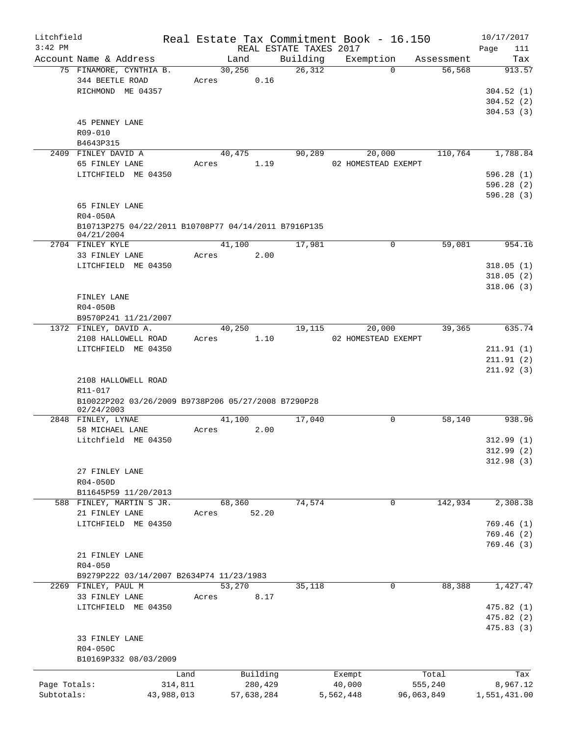| Litchfield<br>$3:42$ PM |                                                                    |                 |                  |                     | REAL ESTATE TAXES 2017 | Real Estate Tax Commitment Book - 16.150 |                  | 10/17/2017<br>Page<br>111           |
|-------------------------|--------------------------------------------------------------------|-----------------|------------------|---------------------|------------------------|------------------------------------------|------------------|-------------------------------------|
|                         | Account Name & Address                                             |                 | Land             |                     | Building               | Exemption                                | Assessment       | Tax                                 |
|                         | 75 FINAMORE, CYNTHIA B.<br>344 BEETLE ROAD<br>RICHMOND ME 04357    |                 | 30, 256<br>Acres | 0.16                | 26,312                 | $\Omega$                                 | 56,568           | 913.57<br>304.52(1)<br>304.52(2)    |
|                         | 45 PENNEY LANE<br>R09-010<br>B4643P315                             |                 |                  |                     |                        |                                          |                  | 304.53(3)                           |
|                         | 2409 FINLEY DAVID A                                                |                 | 40,475           |                     | 90,289                 | 20,000                                   | 110,764          | 1,788.84                            |
|                         | 65 FINLEY LANE                                                     |                 | Acres            | 1.19                |                        | 02 HOMESTEAD EXEMPT                      |                  |                                     |
|                         | LITCHFIELD ME 04350                                                |                 |                  |                     |                        |                                          |                  | 596.28(1)                           |
|                         |                                                                    |                 |                  |                     |                        |                                          |                  | 596.28(2)<br>596.28(3)              |
|                         | 65 FINLEY LANE<br>R04-050A                                         |                 |                  |                     |                        |                                          |                  |                                     |
|                         | B10713P275 04/22/2011 B10708P77 04/14/2011 B7916P135<br>04/21/2004 |                 |                  |                     |                        |                                          |                  |                                     |
|                         | 2704 FINLEY KYLE                                                   |                 | 41,100           |                     | 17,981                 | $\mathbf 0$                              | 59,081           | 954.16                              |
|                         | 33 FINLEY LANE                                                     |                 | Acres            | 2.00                |                        |                                          |                  |                                     |
|                         | LITCHFIELD ME 04350                                                |                 |                  |                     |                        |                                          |                  | 318.05(1)<br>318.05(2)<br>318.06(3) |
|                         | FINLEY LANE                                                        |                 |                  |                     |                        |                                          |                  |                                     |
|                         | R04-050B<br>B9570P241 11/21/2007                                   |                 |                  |                     |                        |                                          |                  |                                     |
|                         | 1372 FINLEY, DAVID A.                                              |                 | 40,250           |                     | 19,115                 | 20,000                                   | 39,365           | 635.74                              |
|                         | 2108 HALLOWELL ROAD                                                |                 | Acres            | 1.10                |                        | 02 HOMESTEAD EXEMPT                      |                  |                                     |
|                         | LITCHFIELD ME 04350                                                |                 |                  |                     |                        |                                          |                  | 211.91(1)                           |
|                         |                                                                    |                 |                  |                     |                        |                                          |                  | 211.91(2)                           |
|                         |                                                                    |                 |                  |                     |                        |                                          |                  | 211.92(3)                           |
|                         | 2108 HALLOWELL ROAD                                                |                 |                  |                     |                        |                                          |                  |                                     |
|                         | R11-017<br>B10022P202 03/26/2009 B9738P206 05/27/2008 B7290P28     |                 |                  |                     |                        |                                          |                  |                                     |
|                         | 02/24/2003                                                         |                 |                  |                     |                        |                                          |                  |                                     |
|                         | 2848 FINLEY, LYNAE                                                 |                 | 41,100           |                     | 17,040                 | 0                                        | 58,140           | 938.96                              |
|                         | 58 MICHAEL LANE                                                    |                 | Acres            | 2.00                |                        |                                          |                  |                                     |
|                         | Litchfield ME 04350                                                |                 |                  |                     |                        |                                          |                  | 312.99(1)                           |
|                         |                                                                    |                 |                  |                     |                        |                                          |                  | 312.99 (2)                          |
|                         | 27 FINLEY LANE                                                     |                 |                  |                     |                        |                                          |                  | 312.98(3)                           |
|                         | R04-050D                                                           |                 |                  |                     |                        |                                          |                  |                                     |
|                         | B11645P59 11/20/2013                                               |                 |                  |                     |                        |                                          |                  |                                     |
|                         | 588 FINLEY, MARTIN S JR.                                           |                 | 68,360           |                     | 74,574                 | 0                                        | 142,934          | 2,308.38                            |
|                         | 21 FINLEY LANE                                                     |                 | Acres            | 52.20               |                        |                                          |                  |                                     |
|                         | LITCHFIELD ME 04350                                                |                 |                  |                     |                        |                                          |                  | 769.46(1)                           |
|                         |                                                                    |                 |                  |                     |                        |                                          |                  | 769.46(2)                           |
|                         | 21 FINLEY LANE                                                     |                 |                  |                     |                        |                                          |                  | 769.46(3)                           |
|                         | $R04 - 050$                                                        |                 |                  |                     |                        |                                          |                  |                                     |
|                         | B9279P222 03/14/2007 B2634P74 11/23/1983                           |                 |                  |                     |                        |                                          |                  |                                     |
|                         | 2269 FINLEY, PAUL M                                                |                 | 53,270           |                     | 35,118                 | 0                                        | 88,388           | 1,427.47                            |
|                         | 33 FINLEY LANE                                                     |                 | Acres            | 8.17                |                        |                                          |                  |                                     |
|                         | LITCHFIELD ME 04350                                                |                 |                  |                     |                        |                                          |                  | 475.82(1)                           |
|                         |                                                                    |                 |                  |                     |                        |                                          |                  | 475.82 (2)                          |
|                         |                                                                    |                 |                  |                     |                        |                                          |                  | 475.83 (3)                          |
|                         | 33 FINLEY LANE<br>R04-050C                                         |                 |                  |                     |                        |                                          |                  |                                     |
|                         | B10169P332 08/03/2009                                              |                 |                  |                     |                        |                                          |                  |                                     |
|                         |                                                                    |                 |                  |                     |                        |                                          |                  |                                     |
| Page Totals:            |                                                                    | Land<br>314,811 |                  | Building<br>280,429 |                        | Exempt<br>40,000                         | Total<br>555,240 | Tax<br>8,967.12                     |
| Subtotals:              |                                                                    | 43,988,013      |                  | 57,638,284          |                        | 5,562,448                                | 96,063,849       | 1,551,431.00                        |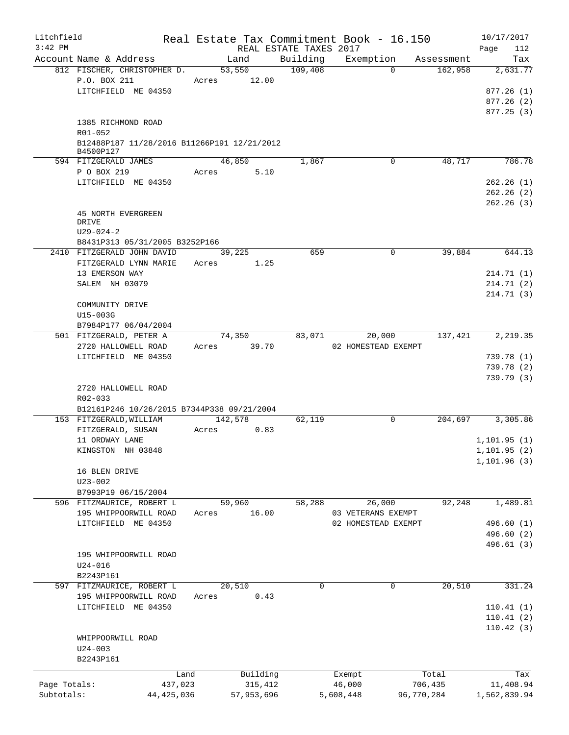| Litchfield   |                                                                       | Real Estate Tax Commitment Book - 16.150 |                                    |                     |            | 10/17/2017         |
|--------------|-----------------------------------------------------------------------|------------------------------------------|------------------------------------|---------------------|------------|--------------------|
| $3:42$ PM    | Account Name & Address                                                | Land                                     | REAL ESTATE TAXES 2017<br>Building | Exemption           | Assessment | Page<br>112<br>Tax |
|              | 812 FISCHER, CHRISTOPHER D.                                           | 53,550                                   | 109,408                            | $\Omega$            | 162,958    | 2,631.77           |
|              | P.O. BOX 211                                                          | Acres 12.00                              |                                    |                     |            |                    |
|              | LITCHFIELD ME 04350                                                   |                                          |                                    |                     |            | 877.26(1)          |
|              |                                                                       |                                          |                                    |                     |            | 877.26(2)          |
|              |                                                                       |                                          |                                    |                     |            | 877.25(3)          |
|              | 1385 RICHMOND ROAD                                                    |                                          |                                    |                     |            |                    |
|              | R01-052                                                               |                                          |                                    |                     |            |                    |
|              | B12488P187 11/28/2016 B11266P191 12/21/2012                           |                                          |                                    |                     |            |                    |
|              | B4500P127<br>594 FITZGERALD JAMES                                     | 46,850                                   | 1,867                              | $\mathbf 0$         | 48,717     | 786.78             |
|              | P O BOX 219                                                           | 5.10<br>Acres                            |                                    |                     |            |                    |
|              | LITCHFIELD ME 04350                                                   |                                          |                                    |                     |            | 262.26(1)          |
|              |                                                                       |                                          |                                    |                     |            | 262.26(2)          |
|              |                                                                       |                                          |                                    |                     |            | 262.26(3)          |
|              | <b>45 NORTH EVERGREEN</b>                                             |                                          |                                    |                     |            |                    |
|              | DRIVE                                                                 |                                          |                                    |                     |            |                    |
|              | $U29 - 024 - 2$                                                       |                                          |                                    |                     |            |                    |
|              | B8431P313 05/31/2005 B3252P166                                        |                                          |                                    |                     |            | 644.13             |
|              | 2410 FITZGERALD JOHN DAVID<br>FITZGERALD LYNN MARIE                   | 39,225<br>Acres<br>1.25                  | 659                                | 0                   | 39,884     |                    |
|              | 13 EMERSON WAY                                                        |                                          |                                    |                     |            | 214.71(1)          |
|              | SALEM NH 03079                                                        |                                          |                                    |                     |            | 214.71 (2)         |
|              |                                                                       |                                          |                                    |                     |            | 214.71 (3)         |
|              | COMMUNITY DRIVE                                                       |                                          |                                    |                     |            |                    |
|              | U15-003G                                                              |                                          |                                    |                     |            |                    |
|              | B7984P177 06/04/2004                                                  |                                          |                                    |                     |            |                    |
|              | 501 FITZGERALD, PETER A                                               | 74,350                                   | 83,071                             | 20,000              | 137,421    | 2,219.35           |
|              | 2720 HALLOWELL ROAD                                                   | 39.70<br>Acres                           |                                    | 02 HOMESTEAD EXEMPT |            |                    |
|              | LITCHFIELD ME 04350                                                   |                                          |                                    |                     |            | 739.78(1)          |
|              |                                                                       |                                          |                                    |                     |            | 739.78(2)          |
|              |                                                                       |                                          |                                    |                     |            | 739.79 (3)         |
|              | 2720 HALLOWELL ROAD                                                   |                                          |                                    |                     |            |                    |
|              | R02-033                                                               |                                          |                                    |                     |            |                    |
|              | B12161P246 10/26/2015 B7344P338 09/21/2004<br>153 FITZGERALD, WILLIAM | 142,578                                  | 62,119                             | $\mathbf 0$         | 204,697    | 3,305.86           |
|              | FITZGERALD, SUSAN                                                     | 0.83<br>Acres                            |                                    |                     |            |                    |
|              | 11 ORDWAY LANE                                                        |                                          |                                    |                     |            | 1, 101.95(1)       |
|              | KINGSTON NH 03848                                                     |                                          |                                    |                     |            | 1,101.95 (2)       |
|              |                                                                       |                                          |                                    |                     |            | 1, 101.96(3)       |
|              | 16 BLEN DRIVE                                                         |                                          |                                    |                     |            |                    |
|              | $U23 - 002$                                                           |                                          |                                    |                     |            |                    |
|              | B7993P19 06/15/2004                                                   |                                          |                                    |                     |            |                    |
|              | 596 FITZMAURICE, ROBERT L                                             | 59,960                                   | 58,288                             | 26,000              | 92,248     | 1,489.81           |
|              | 195 WHIPPOORWILL ROAD                                                 | 16.00<br>Acres                           |                                    | 03 VETERANS EXEMPT  |            |                    |
|              | LITCHFIELD ME 04350                                                   |                                          |                                    | 02 HOMESTEAD EXEMPT |            | 496.60 (1)         |
|              |                                                                       |                                          |                                    |                     |            | 496.60 (2)         |
|              |                                                                       |                                          |                                    |                     |            | 496.61 (3)         |
|              | 195 WHIPPOORWILL ROAD                                                 |                                          |                                    |                     |            |                    |
|              | $U24 - 016$<br>B2243P161                                              |                                          |                                    |                     |            |                    |
|              | 597 FITZMAURICE, ROBERT L                                             | 20,510                                   | 0                                  | $\mathbf 0$         | 20,510     | 331.24             |
|              | 195 WHIPPOORWILL ROAD                                                 | 0.43<br>Acres                            |                                    |                     |            |                    |
|              | LITCHFIELD ME 04350                                                   |                                          |                                    |                     |            | 110.41(1)          |
|              |                                                                       |                                          |                                    |                     |            | 110.41(2)          |
|              |                                                                       |                                          |                                    |                     |            | 110.42(3)          |
|              | WHIPPOORWILL ROAD                                                     |                                          |                                    |                     |            |                    |
|              | $U24 - 003$                                                           |                                          |                                    |                     |            |                    |
|              | B2243P161                                                             |                                          |                                    |                     |            |                    |
|              | Land                                                                  | Building                                 |                                    | Exempt              | Total      | Tax                |
| Page Totals: | 437,023                                                               | 315,412                                  |                                    | 46,000              | 706,435    | 11,408.94          |
| Subtotals:   | 44, 425, 036                                                          | 57,953,696                               |                                    | 5,608,448           | 96,770,284 | 1,562,839.94       |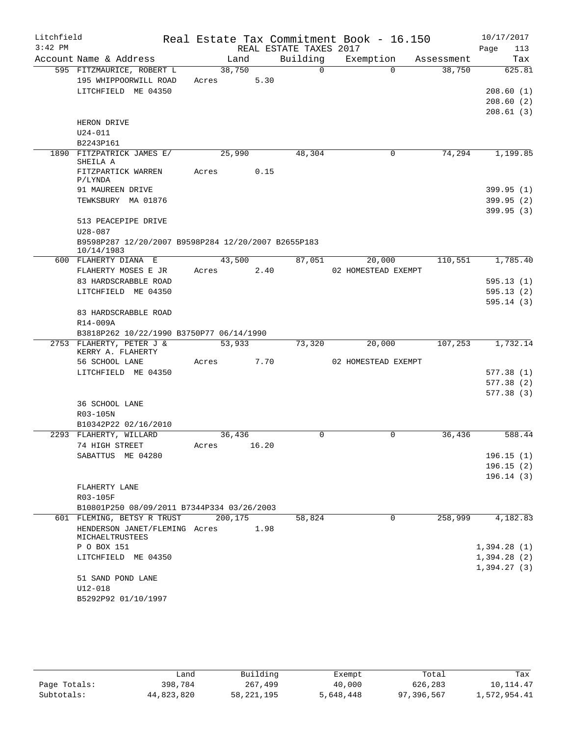| Litchfield |                                                                |       |         |       |                        | Real Estate Tax Commitment Book - 16.150 |            | 10/17/2017  |
|------------|----------------------------------------------------------------|-------|---------|-------|------------------------|------------------------------------------|------------|-------------|
| $3:42$ PM  |                                                                |       |         |       | REAL ESTATE TAXES 2017 |                                          |            | 113<br>Page |
|            | Account Name & Address                                         |       | Land    |       | Building               | Exemption                                | Assessment | Tax         |
|            | 595 FITZMAURICE, ROBERT L                                      |       | 38,750  |       | $\overline{0}$         | $\Omega$                                 | 38,750     | 625.81      |
|            | 195 WHIPPOORWILL ROAD                                          |       | Acres   | 5.30  |                        |                                          |            |             |
|            | LITCHFIELD ME 04350                                            |       |         |       |                        |                                          |            | 208.60(1)   |
|            |                                                                |       |         |       |                        |                                          |            | 208.60(2)   |
|            |                                                                |       |         |       |                        |                                          |            | 208.61(3)   |
|            | HERON DRIVE<br>$U24 - 011$                                     |       |         |       |                        |                                          |            |             |
|            | B2243P161                                                      |       |         |       |                        |                                          |            |             |
|            | 1890 FITZPATRICK JAMES E/                                      |       | 25,990  |       | 48,304                 | $\mathbf 0$                              | 74,294     | 1,199.85    |
|            | SHEILA A                                                       |       |         |       |                        |                                          |            |             |
|            | FITZPARTICK WARREN                                             | Acres |         | 0.15  |                        |                                          |            |             |
|            | P/LYNDA                                                        |       |         |       |                        |                                          |            |             |
|            | 91 MAUREEN DRIVE                                               |       |         |       |                        |                                          |            | 399.95(1)   |
|            | TEWKSBURY MA 01876                                             |       |         |       |                        |                                          |            | 399.95(2)   |
|            |                                                                |       |         |       |                        |                                          |            | 399.95(3)   |
|            | 513 PEACEPIPE DRIVE                                            |       |         |       |                        |                                          |            |             |
|            | U28-087<br>B9598P287 12/20/2007 B9598P284 12/20/2007 B2655P183 |       |         |       |                        |                                          |            |             |
|            | 10/14/1983                                                     |       |         |       |                        |                                          |            |             |
|            | 600 FLAHERTY DIANA E                                           |       | 43,500  |       | 87,051                 | 20,000                                   | 110,551    | 1,785.40    |
|            | FLAHERTY MOSES E JR                                            | Acres |         | 2.40  |                        | 02 HOMESTEAD EXEMPT                      |            |             |
|            | 83 HARDSCRABBLE ROAD                                           |       |         |       |                        |                                          |            | 595.13(1)   |
|            | LITCHFIELD ME 04350                                            |       |         |       |                        |                                          |            | 595.13(2)   |
|            |                                                                |       |         |       |                        |                                          |            | 595.14(3)   |
|            | 83 HARDSCRABBLE ROAD                                           |       |         |       |                        |                                          |            |             |
|            | R14-009A                                                       |       |         |       |                        |                                          |            |             |
|            | B3818P262 10/22/1990 B3750P77 06/14/1990                       |       |         |       |                        |                                          |            |             |
|            | 2753 FLAHERTY, PETER J &<br>KERRY A. FLAHERTY                  |       | 53,933  |       | 73,320                 | 20,000                                   | 107,253    | 1,732.14    |
|            | 56 SCHOOL LANE                                                 | Acres |         | 7.70  |                        | 02 HOMESTEAD EXEMPT                      |            |             |
|            | LITCHFIELD ME 04350                                            |       |         |       |                        |                                          |            | 577.38(1)   |
|            |                                                                |       |         |       |                        |                                          |            | 577.38(2)   |
|            |                                                                |       |         |       |                        |                                          |            | 577.38(3)   |
|            | 36 SCHOOL LANE                                                 |       |         |       |                        |                                          |            |             |
|            | R03-105N                                                       |       |         |       |                        |                                          |            |             |
|            | B10342P22 02/16/2010<br>2293 FLAHERTY, WILLARD                 |       | 36,436  |       | $\Omega$               | $\Omega$                                 | 36,436     | 588.44      |
|            | 74 HIGH STREET                                                 | Acres |         | 16.20 |                        |                                          |            |             |
|            | SABATTUS ME 04280                                              |       |         |       |                        |                                          |            | 196.15(1)   |
|            |                                                                |       |         |       |                        |                                          |            | 196.15(2)   |
|            |                                                                |       |         |       |                        |                                          |            | 196.14(3)   |
|            | FLAHERTY LANE                                                  |       |         |       |                        |                                          |            |             |
|            | R03-105F                                                       |       |         |       |                        |                                          |            |             |
|            | B10801P250 08/09/2011 B7344P334 03/26/2003                     |       |         |       |                        |                                          |            |             |
|            | 601 FLEMING, BETSY R TRUST                                     |       | 200,175 |       | 58,824                 | $\mathbf 0$                              | 258,999    | 4,182.83    |
|            | HENDERSON JANET/FLEMING Acres<br>MICHAELTRUSTEES               |       |         | 1.98  |                        |                                          |            |             |
|            | P O BOX 151                                                    |       |         |       |                        |                                          |            | 1,394.28(1) |
|            | LITCHFIELD ME 04350                                            |       |         |       |                        |                                          |            | 1,394.28(2) |
|            |                                                                |       |         |       |                        |                                          |            | 1,394.27(3) |
|            | 51 SAND POND LANE                                              |       |         |       |                        |                                          |            |             |
|            | U12-018                                                        |       |         |       |                        |                                          |            |             |
|            | B5292P92 01/10/1997                                            |       |         |       |                        |                                          |            |             |

|              | ≒and       | Building     | Exempt    | Total      | Tax          |
|--------------|------------|--------------|-----------|------------|--------------|
| Page Totals: | 398,784    | 267,499      | 40,000    | 626,283    | 10,114.47    |
| Subtotals:   | 44,823,820 | 58, 221, 195 | 5,648,448 | 97,396,567 | 1,572,954.41 |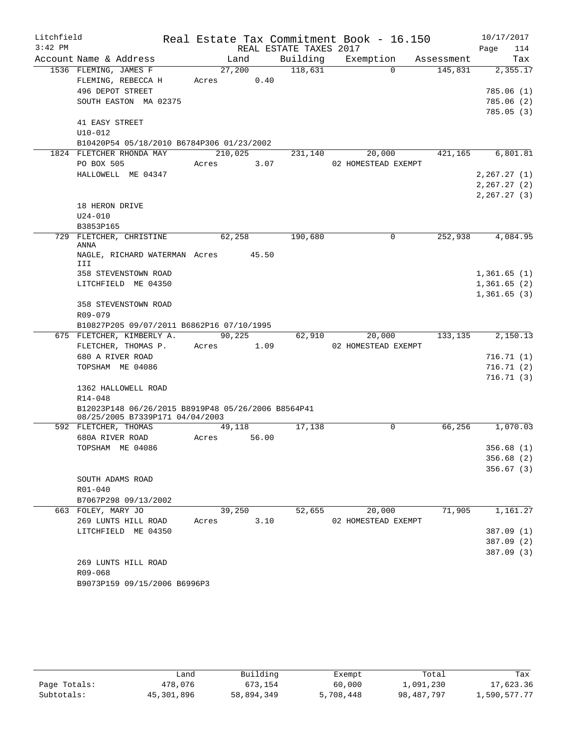| Litchfield |                                                                        |            |       |                        | Real Estate Tax Commitment Book - 16.150 |            | 10/17/2017              |
|------------|------------------------------------------------------------------------|------------|-------|------------------------|------------------------------------------|------------|-------------------------|
| $3:42$ PM  |                                                                        |            |       | REAL ESTATE TAXES 2017 |                                          |            | 114<br>Page             |
|            | Account Name & Address                                                 | Land       |       | Building               | Exemption                                | Assessment | Tax                     |
|            | 1536 FLEMING, JAMES F                                                  | 27,200     |       | 118,631                | $\Omega$                                 | 145,831    | 2,355.17                |
|            | FLEMING, REBECCA H                                                     | Acres 0.40 |       |                        |                                          |            |                         |
|            | 496 DEPOT STREET                                                       |            |       |                        |                                          |            | 785.06(1)               |
|            | SOUTH EASTON MA 02375                                                  |            |       |                        |                                          |            | 785.06(2)               |
|            |                                                                        |            |       |                        |                                          |            | 785.05(3)               |
|            | 41 EASY STREET<br>$U10 - 012$                                          |            |       |                        |                                          |            |                         |
|            | B10420P54 05/18/2010 B6784P306 01/23/2002                              |            |       |                        |                                          |            |                         |
|            | 1824 FLETCHER RHONDA MAY                                               | 210,025    |       | 231,140                | 20,000                                   | 421,165    | 6,801.81                |
|            | PO BOX 505                                                             | Acres      | 3.07  |                        | 02 HOMESTEAD EXEMPT                      |            |                         |
|            | HALLOWELL ME 04347                                                     |            |       |                        |                                          |            | 2, 267.27(1)            |
|            |                                                                        |            |       |                        |                                          |            | 2, 267.27 (2)           |
|            |                                                                        |            |       |                        |                                          |            | 2, 267.27(3)            |
|            | 18 HERON DRIVE                                                         |            |       |                        |                                          |            |                         |
|            | $U24 - 010$                                                            |            |       |                        |                                          |            |                         |
|            | B3853P165                                                              |            |       |                        |                                          |            |                         |
|            | 729 FLETCHER, CHRISTINE<br><b>ANNA</b>                                 | 62,258     |       | 190,680                | $\Omega$                                 | 252,938    | 4,084.95                |
|            | NAGLE, RICHARD WATERMAN Acres 45.50<br>III                             |            |       |                        |                                          |            |                         |
|            | 358 STEVENSTOWN ROAD                                                   |            |       |                        |                                          |            | 1,361.65(1)             |
|            | LITCHFIELD ME 04350                                                    |            |       |                        |                                          |            | 1,361.65(2)             |
|            |                                                                        |            |       |                        |                                          |            | 1,361.65(3)             |
|            | 358 STEVENSTOWN ROAD                                                   |            |       |                        |                                          |            |                         |
|            | R09-079                                                                |            |       |                        |                                          |            |                         |
|            | B10827P205 09/07/2011 B6862P16 07/10/1995<br>675 FLETCHER, KIMBERLY A. | 90,225     |       | 62,910                 | 20,000                                   | 133,135    | 2,150.13                |
|            | FLETCHER, THOMAS P.                                                    | Acres      | 1.09  |                        | 02 HOMESTEAD EXEMPT                      |            |                         |
|            | 680 A RIVER ROAD                                                       |            |       |                        |                                          |            | 716.71(1)               |
|            | TOPSHAM ME 04086                                                       |            |       |                        |                                          |            | 716.71(2)               |
|            |                                                                        |            |       |                        |                                          |            | 716.71(3)               |
|            | 1362 HALLOWELL ROAD                                                    |            |       |                        |                                          |            |                         |
|            | $R14 - 048$                                                            |            |       |                        |                                          |            |                         |
|            | B12023P148 06/26/2015 B8919P48 05/26/2006 B8564P41                     |            |       |                        |                                          |            |                         |
|            | 08/25/2005 B7339P171 04/04/2003                                        |            |       |                        |                                          |            |                         |
|            | 592 FLETCHER, THOMAS                                                   | 49,118     |       | 17,138                 | 0                                        | 66,256     | 1,070.03                |
|            | 680A RIVER ROAD                                                        | Acres      | 56.00 |                        |                                          |            |                         |
|            | TOPSHAM ME 04086                                                       |            |       |                        |                                          |            | 356.68 (1)<br>356.68(2) |
|            |                                                                        |            |       |                        |                                          |            | 356.67(3)               |
|            | SOUTH ADAMS ROAD                                                       |            |       |                        |                                          |            |                         |
|            | R01-040                                                                |            |       |                        |                                          |            |                         |
|            | B7067P298 09/13/2002                                                   |            |       |                        |                                          |            |                         |
|            | 663 FOLEY, MARY JO                                                     | 39,250     |       | 52,655                 | 20,000                                   | 71,905     | 1,161.27                |
|            | 269 LUNTS HILL ROAD                                                    | Acres      | 3.10  |                        | 02 HOMESTEAD EXEMPT                      |            |                         |
|            | LITCHFIELD ME 04350                                                    |            |       |                        |                                          |            | 387.09 (1)              |
|            |                                                                        |            |       |                        |                                          |            | 387.09 (2)              |
|            |                                                                        |            |       |                        |                                          |            | 387.09(3)               |
|            | 269 LUNTS HILL ROAD                                                    |            |       |                        |                                          |            |                         |
|            | R09-068                                                                |            |       |                        |                                          |            |                         |
|            | B9073P159 09/15/2006 B6996P3                                           |            |       |                        |                                          |            |                         |

|              | Land       | Building   | Exempt    | Total        | Tax          |
|--------------|------------|------------|-----------|--------------|--------------|
| Page Totals: | 478,076    | 673,154    | 60,000    | 1,091,230    | 17,623.36    |
| Subtotals:   | 45,301,896 | 58,894,349 | 5,708,448 | 98, 487, 797 | 1,590,577.77 |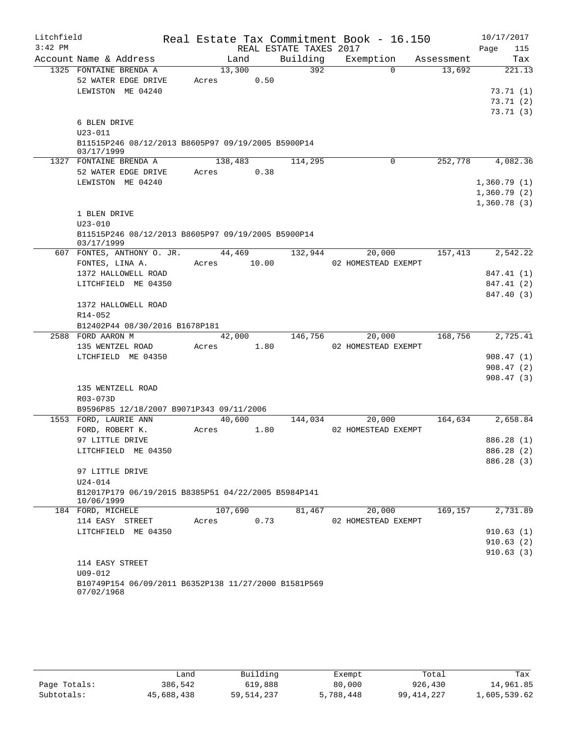| Litchfield |                                                                    |         |       |                        | Real Estate Tax Commitment Book - 16.150 |            | 10/17/2017  |
|------------|--------------------------------------------------------------------|---------|-------|------------------------|------------------------------------------|------------|-------------|
| $3:42$ PM  |                                                                    |         |       | REAL ESTATE TAXES 2017 |                                          |            | Page<br>115 |
|            | Account Name & Address                                             | Land    |       | Building               | Exemption                                | Assessment | Tax         |
|            | 1325 FONTAINE BRENDA A                                             | 13,300  |       | 392                    | $\Omega$                                 | 13,692     | 221.13      |
|            | 52 WATER EDGE DRIVE                                                | Acres   | 0.50  |                        |                                          |            |             |
|            | LEWISTON ME 04240                                                  |         |       |                        |                                          |            | 73.71(1)    |
|            |                                                                    |         |       |                        |                                          |            | 73.71(2)    |
|            | 6 BLEN DRIVE                                                       |         |       |                        |                                          |            | 73.71(3)    |
|            | $U23 - 011$                                                        |         |       |                        |                                          |            |             |
|            | B11515P246 08/12/2013 B8605P97 09/19/2005 B5900P14                 |         |       |                        |                                          |            |             |
|            | 03/17/1999                                                         |         |       |                        |                                          |            |             |
| 1327       | FONTAINE BRENDA A                                                  | 138,483 |       | 114,295                | 0                                        | 252,778    | 4,082.36    |
|            | 52 WATER EDGE DRIVE                                                | Acres   | 0.38  |                        |                                          |            |             |
|            | LEWISTON ME 04240                                                  |         |       |                        |                                          |            | 1,360.79(1) |
|            |                                                                    |         |       |                        |                                          |            | 1,360.79(2) |
|            |                                                                    |         |       |                        |                                          |            | 1,360.78(3) |
|            | 1 BLEN DRIVE                                                       |         |       |                        |                                          |            |             |
|            | $U23 - 010$                                                        |         |       |                        |                                          |            |             |
|            | B11515P246 08/12/2013 B8605P97 09/19/2005 B5900P14<br>03/17/1999   |         |       |                        |                                          |            |             |
|            | 607 FONTES, ANTHONY O. JR.                                         | 44,469  |       | 132,944                | 20,000                                   | 157,413    | 2,542.22    |
|            | FONTES, LINA A.                                                    | Acres   | 10.00 |                        | 02 HOMESTEAD EXEMPT                      |            |             |
|            | 1372 HALLOWELL ROAD                                                |         |       |                        |                                          |            | 847.41 (1)  |
|            | LITCHFIELD ME 04350                                                |         |       |                        |                                          |            | 847.41 (2)  |
|            |                                                                    |         |       |                        |                                          |            | 847.40 (3)  |
|            | 1372 HALLOWELL ROAD                                                |         |       |                        |                                          |            |             |
|            | R14-052                                                            |         |       |                        |                                          |            |             |
|            | B12402P44 08/30/2016 B1678P181                                     |         |       |                        |                                          |            |             |
|            | 2588 FORD AARON M                                                  | 42,000  |       | 146,756                | 20,000                                   | 168,756    | 2,725.41    |
|            | 135 WENTZEL ROAD                                                   | Acres   | 1.80  |                        | 02 HOMESTEAD EXEMPT                      |            |             |
|            | LTCHFIELD ME 04350                                                 |         |       |                        |                                          |            | 908.47(1)   |
|            |                                                                    |         |       |                        |                                          |            | 908.47(2)   |
|            |                                                                    |         |       |                        |                                          |            | 908.47(3)   |
|            | 135 WENTZELL ROAD                                                  |         |       |                        |                                          |            |             |
|            | R03-073D                                                           |         |       |                        |                                          |            |             |
|            | B9596P85 12/18/2007 B9071P343 09/11/2006                           |         |       |                        |                                          |            |             |
|            | 1553 FORD, LAURIE ANN                                              | 40,600  |       | 144,034                | 20,000                                   | 164,634    | 2,658.84    |
|            | FORD, ROBERT K.                                                    | Acres   | 1.80  |                        | 02 HOMESTEAD EXEMPT                      |            |             |
|            | 97 LITTLE DRIVE                                                    |         |       |                        |                                          |            | 886.28 (1)  |
|            | LITCHFIELD ME 04350                                                |         |       |                        |                                          |            | 886.28 (2)  |
|            |                                                                    |         |       |                        |                                          |            | 886.28 (3)  |
|            | 97 LITTLE DRIVE                                                    |         |       |                        |                                          |            |             |
|            | $U24 - 014$                                                        |         |       |                        |                                          |            |             |
|            | B12017P179 06/19/2015 B8385P51 04/22/2005 B5984P141                |         |       |                        |                                          |            |             |
|            | 10/06/1999                                                         |         |       |                        |                                          |            |             |
|            | 184 FORD, MICHELE                                                  | 107,690 |       | 81,467                 | 20,000                                   | 169,157    | 2,731.89    |
|            | 114 EASY STREET                                                    | Acres   | 0.73  |                        | 02 HOMESTEAD EXEMPT                      |            |             |
|            | LITCHFIELD ME 04350                                                |         |       |                        |                                          |            | 910.63(1)   |
|            |                                                                    |         |       |                        |                                          |            | 910.63(2)   |
|            |                                                                    |         |       |                        |                                          |            | 910.63(3)   |
|            | 114 EASY STREET                                                    |         |       |                        |                                          |            |             |
|            | $U09 - 012$                                                        |         |       |                        |                                          |            |             |
|            | B10749P154 06/09/2011 B6352P138 11/27/2000 B1581P569<br>07/02/1968 |         |       |                        |                                          |            |             |
|            |                                                                    |         |       |                        |                                          |            |             |

|              | Land       | Building     | Exempt    | Total        | Tax          |
|--------------|------------|--------------|-----------|--------------|--------------|
| Page Totals: | 386,542    | 619,888      | 80,000    | 926,430      | 14,961.85    |
| Subtotals:   | 45,688,438 | 59, 514, 237 | 5,788,448 | 99, 414, 227 | 1,605,539.62 |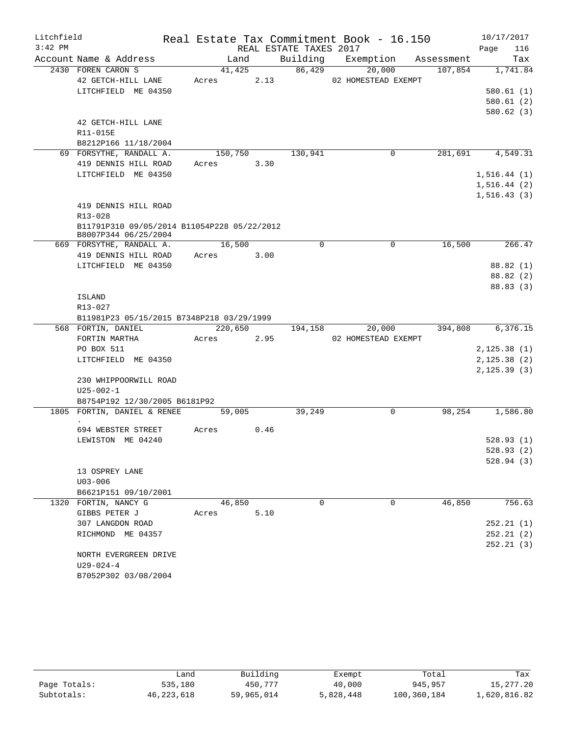| Litchfield |                                                                     |               |      |                        | Real Estate Tax Commitment Book - 16.150 |            | 10/17/2017       |
|------------|---------------------------------------------------------------------|---------------|------|------------------------|------------------------------------------|------------|------------------|
| $3:42$ PM  |                                                                     |               |      | REAL ESTATE TAXES 2017 |                                          |            | Page<br>116      |
|            | Account Name & Address                                              | Land          |      |                        | Building Exemption                       | Assessment | Tax              |
|            | 2430 FOREN CARON S                                                  | 41,425        |      | 86,429                 | 20,000                                   | 107,854    | 1,741.84         |
|            | 42 GETCH-HILL LANE                                                  | Acres         | 2.13 |                        | 02 HOMESTEAD EXEMPT                      |            |                  |
|            | LITCHFIELD ME 04350                                                 |               |      |                        |                                          |            | 580.61(1)        |
|            |                                                                     |               |      |                        |                                          |            | 580.61(2)        |
|            |                                                                     |               |      |                        |                                          |            | 580.62(3)        |
|            | 42 GETCH-HILL LANE                                                  |               |      |                        |                                          |            |                  |
|            | R11-015E                                                            |               |      |                        |                                          |            |                  |
|            | B8212P166 11/18/2004                                                |               |      |                        |                                          |            |                  |
|            | 69 FORSYTHE, RANDALL A.                                             | 150,750       |      | 130,941                | 0                                        | 281,691    | 4,549.31         |
|            | 419 DENNIS HILL ROAD                                                | Acres<br>3.30 |      |                        |                                          |            |                  |
|            | LITCHFIELD ME 04350                                                 |               |      |                        |                                          |            | 1, 516.44(1)     |
|            |                                                                     |               |      |                        |                                          |            | 1,516.44(2)      |
|            |                                                                     |               |      |                        |                                          |            | 1, 516.43(3)     |
|            | 419 DENNIS HILL ROAD                                                |               |      |                        |                                          |            |                  |
|            | R13-028                                                             |               |      |                        |                                          |            |                  |
|            | B11791P310 09/05/2014 B11054P228 05/22/2012<br>B8007P344 06/25/2004 |               |      |                        |                                          |            |                  |
|            | 669 FORSYTHE, RANDALL A.                                            | 16,500        |      | 0                      | $\mathbf 0$                              | 16,500     | 266.47           |
|            | 419 DENNIS HILL ROAD                                                | Acres         | 3.00 |                        |                                          |            |                  |
|            | LITCHFIELD ME 04350                                                 |               |      |                        |                                          |            | 88.82 (1)        |
|            |                                                                     |               |      |                        |                                          |            | 88.82 (2)        |
|            |                                                                     |               |      |                        |                                          |            | 88.83 (3)        |
|            | ISLAND                                                              |               |      |                        |                                          |            |                  |
|            | R13-027                                                             |               |      |                        |                                          |            |                  |
|            | B11981P23 05/15/2015 B7348P218 03/29/1999                           |               |      |                        |                                          |            |                  |
|            | 568 FORTIN, DANIEL                                                  | 220,650       |      | 194,158                | 20,000                                   |            | 394,808 6,376.15 |
|            | FORTIN MARTHA                                                       | Acres         | 2.95 |                        | 02 HOMESTEAD EXEMPT                      |            |                  |
|            | PO BOX 511                                                          |               |      |                        |                                          |            | 2,125.38(1)      |
|            | LITCHFIELD ME 04350                                                 |               |      |                        |                                          |            | 2, 125.38(2)     |
|            |                                                                     |               |      |                        |                                          |            | 2, 125.39(3)     |
|            | 230 WHIPPOORWILL ROAD                                               |               |      |                        |                                          |            |                  |
|            | $U25 - 002 - 1$                                                     |               |      |                        |                                          |            |                  |
|            | B8754P192 12/30/2005 B6181P92                                       |               |      |                        |                                          |            |                  |
|            | 1805 FORTIN, DANIEL & RENEE                                         | 59,005        |      | 39,249                 | 0                                        | 98,254     | 1,586.80         |
|            | 694 WEBSTER STREET                                                  | 0.46<br>Acres |      |                        |                                          |            |                  |
|            | LEWISTON ME 04240                                                   |               |      |                        |                                          |            | 528.93(1)        |
|            |                                                                     |               |      |                        |                                          |            | 528.93 (2)       |
|            |                                                                     |               |      |                        |                                          |            | 528.94(3)        |
|            | 13 OSPREY LANE                                                      |               |      |                        |                                          |            |                  |
|            | $U03 - 006$                                                         |               |      |                        |                                          |            |                  |
|            | B6621P151 09/10/2001                                                |               |      |                        |                                          |            |                  |
|            | 1320 FORTIN, NANCY G                                                | 46,850        |      | $\Omega$               | $\Omega$                                 | 46,850     | 756.63           |
|            | GIBBS PETER J                                                       | Acres         | 5.10 |                        |                                          |            |                  |
|            | 307 LANGDON ROAD                                                    |               |      |                        |                                          |            | 252.21(1)        |
|            | RICHMOND ME 04357                                                   |               |      |                        |                                          |            | 252.21(2)        |
|            |                                                                     |               |      |                        |                                          |            | 252.21(3)        |
|            | NORTH EVERGREEN DRIVE                                               |               |      |                        |                                          |            |                  |
|            | $U29 - 024 - 4$                                                     |               |      |                        |                                          |            |                  |
|            | B7052P302 03/08/2004                                                |               |      |                        |                                          |            |                  |

|              | Land         | Building   | Exempt    | Total       | Tax          |
|--------------|--------------|------------|-----------|-------------|--------------|
| Page Totals: | 535,180      | 450.777    | 40,000    | 945, 957    | 15,277.20    |
| Subtotals:   | 46, 223, 618 | 59,965,014 | 5,828,448 | 100,360,184 | 1,620,816.82 |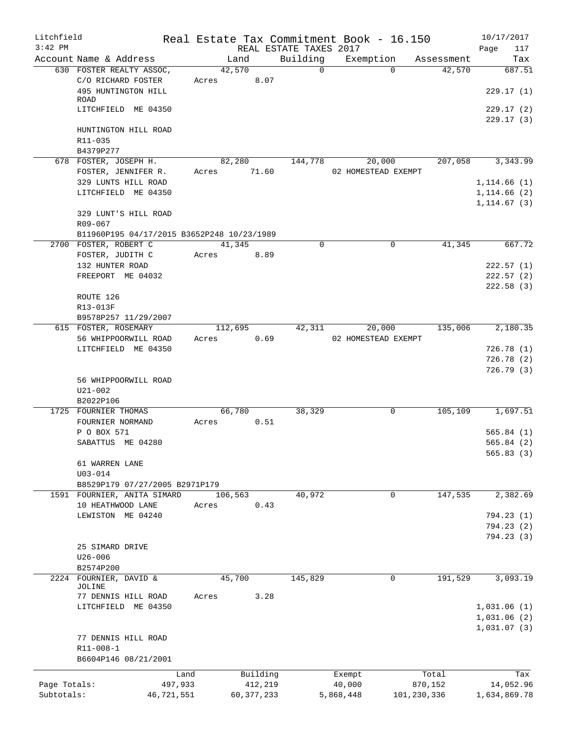| Litchfield<br>$3:42$ PM |                                                   |                 |              | REAL ESTATE TAXES 2017 | Real Estate Tax Commitment Book - 16.150 |             |            | 10/17/2017<br>Page<br>117    |
|-------------------------|---------------------------------------------------|-----------------|--------------|------------------------|------------------------------------------|-------------|------------|------------------------------|
|                         | Account Name & Address                            | Land            |              | Building               | Exemption                                |             | Assessment | Tax                          |
|                         | 630 FOSTER REALTY ASSOC,                          | 42,570          |              | $\Omega$               |                                          | $\Omega$    | 42,570     | 687.51                       |
|                         | C/O RICHARD FOSTER<br>495 HUNTINGTON HILL<br>ROAD | Acres           | 8.07         |                        |                                          |             |            | 229.17(1)                    |
|                         | LITCHFIELD ME 04350                               |                 |              |                        |                                          |             |            | 229.17(2)                    |
|                         | HUNTINGTON HILL ROAD<br>R11-035                   |                 |              |                        |                                          |             |            | 229.17(3)                    |
|                         | B4379P277                                         |                 |              |                        |                                          |             |            |                              |
|                         | 678 FOSTER, JOSEPH H.<br>FOSTER, JENNIFER R.      | 82,280<br>Acres | 71.60        | 144,778                | 20,000<br>02 HOMESTEAD EXEMPT            |             | 207,058    | 3,343.99                     |
|                         | 329 LUNTS HILL ROAD                               |                 |              |                        |                                          |             |            | 1, 114.66(1)                 |
|                         | LITCHFIELD ME 04350                               |                 |              |                        |                                          |             |            | 1, 114.66(2)<br>1, 114.67(3) |
|                         | 329 LUNT'S HILL ROAD<br>R09-067                   |                 |              |                        |                                          |             |            |                              |
|                         | B11960P195 04/17/2015 B3652P248 10/23/1989        |                 |              |                        |                                          |             |            |                              |
|                         | 2700 FOSTER, ROBERT C                             | 41,345          |              | 0                      |                                          | $\mathbf 0$ | 41,345     | 667.72                       |
|                         | FOSTER, JUDITH C                                  | Acres           | 8.89         |                        |                                          |             |            |                              |
|                         | 132 HUNTER ROAD                                   |                 |              |                        |                                          |             |            | 222.57(1)                    |
|                         | FREEPORT ME 04032                                 |                 |              |                        |                                          |             |            | 222.57(2)<br>222.58(3)       |
|                         | ROUTE 126                                         |                 |              |                        |                                          |             |            |                              |
|                         | R13-013F                                          |                 |              |                        |                                          |             |            |                              |
|                         | B9578P257 11/29/2007                              |                 |              |                        |                                          |             |            |                              |
|                         | 615 FOSTER, ROSEMARY                              | 112,695         |              | 42,311                 | 20,000                                   |             | 135,006    | 2,180.35                     |
|                         | 56 WHIPPOORWILL ROAD                              | Acres           | 0.69         |                        | 02 HOMESTEAD EXEMPT                      |             |            |                              |
|                         | LITCHFIELD ME 04350                               |                 |              |                        |                                          |             |            | 726.78(1)<br>726.78(2)       |
|                         | 56 WHIPPOORWILL ROAD<br>$U21 - 002$<br>B2022P106  |                 |              |                        |                                          |             |            | 726.79(3)                    |
|                         | 1725 FOURNIER THOMAS                              | 66,780          |              | 38,329                 |                                          | 0           | 105,109    | 1,697.51                     |
|                         | FOURNIER NORMAND                                  | Acres           | 0.51         |                        |                                          |             |            |                              |
|                         | P O BOX 571                                       |                 |              |                        |                                          |             |            | 565.84(1)                    |
|                         | SABATTUS ME 04280                                 |                 |              |                        |                                          |             |            | 565.84(2)<br>565.83(3)       |
|                         | 61 WARREN LANE<br>$U03 - 014$                     |                 |              |                        |                                          |             |            |                              |
|                         | B8529P179 07/27/2005 B2971P179                    |                 |              |                        |                                          |             |            |                              |
|                         | 1591 FOURNIER, ANITA SIMARD                       | 106,563         |              | 40,972                 |                                          | 0           | 147,535    | 2,382.69                     |
|                         | 10 HEATHWOOD LANE                                 | Acres           | 0.43         |                        |                                          |             |            |                              |
|                         | LEWISTON ME 04240                                 |                 |              |                        |                                          |             |            | 794.23(1)                    |
|                         |                                                   |                 |              |                        |                                          |             |            | 794.23 (2)                   |
|                         |                                                   |                 |              |                        |                                          |             |            | 794.23(3)                    |
|                         | 25 SIMARD DRIVE                                   |                 |              |                        |                                          |             |            |                              |
|                         | $U26 - 006$<br>B2574P200                          |                 |              |                        |                                          |             |            |                              |
|                         | 2224 FOURNIER, DAVID &                            | 45,700          |              | 145,829                |                                          | 0           | 191,529    | 3,093.19                     |
|                         | JOLINE                                            |                 |              |                        |                                          |             |            |                              |
|                         | 77 DENNIS HILL ROAD                               | Acres           | 3.28         |                        |                                          |             |            |                              |
|                         | LITCHFIELD ME 04350                               |                 |              |                        |                                          |             |            | 1,031.06(1)                  |
|                         |                                                   |                 |              |                        |                                          |             |            | 1,031.06(2)                  |
|                         | 77 DENNIS HILL ROAD                               |                 |              |                        |                                          |             |            | 1,031.07(3)                  |
|                         | R11-008-1                                         |                 |              |                        |                                          |             |            |                              |
|                         | B6604P146 08/21/2001                              |                 |              |                        |                                          |             |            |                              |
|                         | Land                                              |                 | Building     |                        | Exempt                                   |             | Total      | Tax                          |
| Page Totals:            | 497,933                                           |                 | 412,219      |                        | 40,000                                   |             | 870,152    | 14,052.96                    |
| Subtotals:              | 46,721,551                                        |                 | 60, 377, 233 |                        | 5,868,448                                | 101,230,336 |            | 1,634,869.78                 |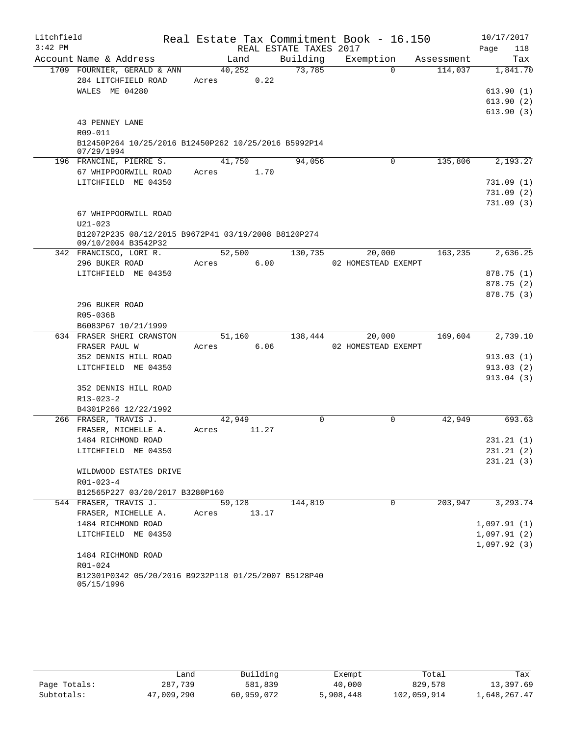| Litchfield |                                                                            |                 |       |                        | Real Estate Tax Commitment Book - 16.150 |            | 10/17/2017  |
|------------|----------------------------------------------------------------------------|-----------------|-------|------------------------|------------------------------------------|------------|-------------|
| $3:42$ PM  |                                                                            |                 |       | REAL ESTATE TAXES 2017 |                                          |            | Page<br>118 |
|            | Account Name & Address                                                     |                 | Land  | Building               | Exemption                                | Assessment | Tax         |
|            | 1709 FOURNIER, GERALD & ANN                                                | 40,252          |       | 73,785                 | $\Omega$                                 | 114,037    | 1,841.70    |
|            | 284 LITCHFIELD ROAD                                                        | Acres           | 0.22  |                        |                                          |            |             |
|            | WALES ME 04280                                                             |                 |       |                        |                                          |            | 613.90(1)   |
|            |                                                                            |                 |       |                        |                                          |            | 613.90(2)   |
|            |                                                                            |                 |       |                        |                                          |            | 613.90(3)   |
|            | 43 PENNEY LANE<br>R09-011                                                  |                 |       |                        |                                          |            |             |
|            | B12450P264 10/25/2016 B12450P262 10/25/2016 B5992P14                       |                 |       |                        |                                          |            |             |
|            | 07/29/1994                                                                 |                 |       |                        |                                          |            |             |
|            | 196 FRANCINE, PIERRE S.                                                    | 41,750          |       | 94,056                 | 0                                        | 135,806    | 2,193.27    |
|            | 67 WHIPPOORWILL ROAD                                                       | Acres           | 1.70  |                        |                                          |            |             |
|            | LITCHFIELD ME 04350                                                        |                 |       |                        |                                          |            | 731.09(1)   |
|            |                                                                            |                 |       |                        |                                          |            | 731.09(2)   |
|            |                                                                            |                 |       |                        |                                          |            | 731.09(3)   |
|            | 67 WHIPPOORWILL ROAD                                                       |                 |       |                        |                                          |            |             |
|            | $U21 - 023$                                                                |                 |       |                        |                                          |            |             |
|            | B12072P235 08/12/2015 B9672P41 03/19/2008 B8120P274<br>09/10/2004 B3542P32 |                 |       |                        |                                          |            |             |
|            | 342 FRANCISCO, LORI R.                                                     | 52,500          |       | 130,735                | 20,000                                   | 163,235    | 2,636.25    |
|            | 296 BUKER ROAD                                                             | Acres           | 6.00  |                        | 02 HOMESTEAD EXEMPT                      |            |             |
|            | LITCHFIELD ME 04350                                                        |                 |       |                        |                                          |            | 878.75(1)   |
|            |                                                                            |                 |       |                        |                                          |            | 878.75 (2)  |
|            |                                                                            |                 |       |                        |                                          |            | 878.75(3)   |
|            | 296 BUKER ROAD                                                             |                 |       |                        |                                          |            |             |
|            | R05-036B                                                                   |                 |       |                        |                                          |            |             |
|            | B6083P67 10/21/1999                                                        |                 |       |                        |                                          |            |             |
|            | 634 FRASER SHERI CRANSTON                                                  | 51,160          |       | 138,444                | 20,000                                   | 169,604    | 2,739.10    |
|            | FRASER PAUL W<br>352 DENNIS HILL ROAD                                      | Acres           | 6.06  |                        | 02 HOMESTEAD EXEMPT                      |            | 913.03(1)   |
|            | LITCHFIELD ME 04350                                                        |                 |       |                        |                                          |            | 913.03(2)   |
|            |                                                                            |                 |       |                        |                                          |            | 913.04(3)   |
|            | 352 DENNIS HILL ROAD                                                       |                 |       |                        |                                          |            |             |
|            | R13-023-2                                                                  |                 |       |                        |                                          |            |             |
|            | B4301P266 12/22/1992                                                       |                 |       |                        |                                          |            |             |
|            | 266 FRASER, TRAVIS J.                                                      | 42,949          |       | 0                      | $\mathbf 0$                              | 42,949     | 693.63      |
|            | FRASER, MICHELLE A.                                                        | Acres           | 11.27 |                        |                                          |            |             |
|            | 1484 RICHMOND ROAD                                                         |                 |       |                        |                                          |            | 231.21(1)   |
|            | LITCHFIELD ME 04350                                                        |                 |       |                        |                                          |            | 231.21(2)   |
|            |                                                                            |                 |       |                        |                                          |            | 231.21(3)   |
|            | WILDWOOD ESTATES DRIVE                                                     |                 |       |                        |                                          |            |             |
|            | $R01 - 023 - 4$                                                            |                 |       |                        |                                          |            |             |
|            | B12565P227 03/20/2017 B3280P160<br>544 FRASER, TRAVIS J.                   |                 |       | 144,819                | $\Omega$                                 | 203,947    | 3,293.74    |
|            | FRASER, MICHELLE A.                                                        | 59,128<br>Acres | 13.17 |                        |                                          |            |             |
|            | 1484 RICHMOND ROAD                                                         |                 |       |                        |                                          |            | 1,097.91(1) |
|            | LITCHFIELD ME 04350                                                        |                 |       |                        |                                          |            | 1,097.91(2) |
|            |                                                                            |                 |       |                        |                                          |            | 1,097.92(3) |
|            | 1484 RICHMOND ROAD                                                         |                 |       |                        |                                          |            |             |
|            | R01-024                                                                    |                 |       |                        |                                          |            |             |
|            | B12301P0342 05/20/2016 B9232P118 01/25/2007 B5128P40<br>05/15/1996         |                 |       |                        |                                          |            |             |

|              | Land       | Building   | Exempt    | Total       | Tax          |
|--------------|------------|------------|-----------|-------------|--------------|
| Page Totals: | 287,739    | 581,839    | 40,000    | 829,578     | 13,397.69    |
| Subtotals:   | 47,009,290 | 60,959,072 | 5,908,448 | 102,059,914 | 1,648,267.47 |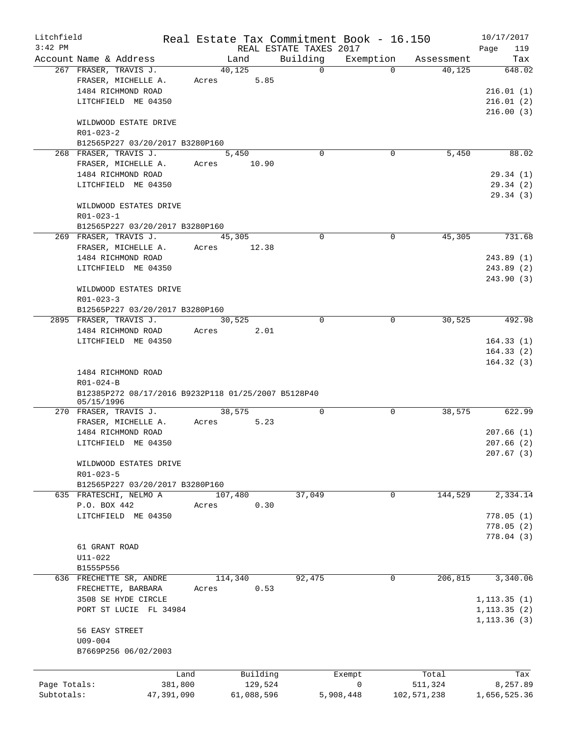| Litchfield   |                                                     |                 |         |            | Real Estate Tax Commitment Book - 16.150 |             |             |                      | 10/17/2017            |
|--------------|-----------------------------------------------------|-----------------|---------|------------|------------------------------------------|-------------|-------------|----------------------|-----------------------|
| $3:42$ PM    | Account Name & Address                              |                 | Land    |            | REAL ESTATE TAXES 2017<br>Building       |             | Exemption   |                      | 119<br>Page           |
|              | 267 FRASER, TRAVIS J.                               |                 | 40,125  |            |                                          | $\Omega$    | $\Omega$    | Assessment<br>40,125 | Tax<br>648.02         |
|              | FRASER, MICHELLE A.                                 |                 | Acres   | 5.85       |                                          |             |             |                      |                       |
|              | 1484 RICHMOND ROAD                                  |                 |         |            |                                          |             |             |                      | 216.01(1)             |
|              | LITCHFIELD ME 04350                                 |                 |         |            |                                          |             |             |                      | 216.01(2)             |
|              |                                                     |                 |         |            |                                          |             |             |                      | 216.00(3)             |
|              | WILDWOOD ESTATE DRIVE                               |                 |         |            |                                          |             |             |                      |                       |
|              | $R01 - 023 - 2$                                     |                 |         |            |                                          |             |             |                      |                       |
|              | B12565P227 03/20/2017 B3280P160                     |                 |         |            |                                          |             |             |                      |                       |
|              | 268 FRASER, TRAVIS J.                               |                 | 5,450   |            |                                          | $\Omega$    | $\mathbf 0$ | 5,450                | 88.02                 |
|              | FRASER, MICHELLE A.                                 |                 | Acres   | 10.90      |                                          |             |             |                      |                       |
|              | 1484 RICHMOND ROAD                                  |                 |         |            |                                          |             |             |                      | 29.34(1)              |
|              | LITCHFIELD ME 04350                                 |                 |         |            |                                          |             |             |                      | 29.34 (2)             |
|              |                                                     |                 |         |            |                                          |             |             |                      | 29.34(3)              |
|              | WILDWOOD ESTATES DRIVE                              |                 |         |            |                                          |             |             |                      |                       |
|              | $R01 - 023 - 1$                                     |                 |         |            |                                          |             |             |                      |                       |
|              | B12565P227 03/20/2017 B3280P160                     |                 |         |            |                                          |             |             |                      |                       |
|              | 269 FRASER, TRAVIS J.                               |                 | 45,305  |            |                                          | $\Omega$    | $\Omega$    | 45,305               | 731.68                |
|              | FRASER, MICHELLE A.                                 |                 | Acres   | 12.38      |                                          |             |             |                      |                       |
|              | 1484 RICHMOND ROAD                                  |                 |         |            |                                          |             |             |                      | 243.89(1)             |
|              | LITCHFIELD ME 04350                                 |                 |         |            |                                          |             |             |                      | 243.89(2)             |
|              | WILDWOOD ESTATES DRIVE                              |                 |         |            |                                          |             |             |                      | 243.90(3)             |
|              | $R01 - 023 - 3$                                     |                 |         |            |                                          |             |             |                      |                       |
|              | B12565P227 03/20/2017 B3280P160                     |                 |         |            |                                          |             |             |                      |                       |
|              | 2895 FRASER, TRAVIS J.                              |                 | 30,525  |            |                                          | 0           | $\mathbf 0$ | 30,525               | 492.98                |
|              | 1484 RICHMOND ROAD                                  |                 | Acres   | 2.01       |                                          |             |             |                      |                       |
|              | LITCHFIELD ME 04350                                 |                 |         |            |                                          |             |             |                      | 164.33(1)             |
|              |                                                     |                 |         |            |                                          |             |             |                      | 164.33(2)             |
|              |                                                     |                 |         |            |                                          |             |             |                      | 164.32(3)             |
|              | 1484 RICHMOND ROAD                                  |                 |         |            |                                          |             |             |                      |                       |
|              | $R01 - 024 - B$                                     |                 |         |            |                                          |             |             |                      |                       |
|              | B12385P272 08/17/2016 B9232P118 01/25/2007 B5128P40 |                 |         |            |                                          |             |             |                      |                       |
|              | 05/15/1996                                          |                 |         |            |                                          |             |             |                      |                       |
|              | 270 FRASER, TRAVIS J.                               |                 | 38,575  |            |                                          | 0           | $\mathbf 0$ | 38,575               | 622.99                |
|              | FRASER, MICHELLE A.<br>1484 RICHMOND ROAD           |                 | Acres   | 5.23       |                                          |             |             |                      | 207.66(1)             |
|              | LITCHFIELD ME 04350                                 |                 |         |            |                                          |             |             |                      | 207.66(2)             |
|              |                                                     |                 |         |            |                                          |             |             |                      | 207.67 (3)            |
|              | WILDWOOD ESTATES DRIVE                              |                 |         |            |                                          |             |             |                      |                       |
|              | $R01 - 023 - 5$                                     |                 |         |            |                                          |             |             |                      |                       |
|              | B12565P227 03/20/2017 B3280P160                     |                 |         |            |                                          |             |             |                      |                       |
|              | 635 FRATESCHI, NELMO A                              |                 | 107,480 |            | 37,049                                   |             | 0           | 144,529              | $\overline{2,334.14}$ |
|              | P.O. BOX 442                                        |                 | Acres   | 0.30       |                                          |             |             |                      |                       |
|              | LITCHFIELD ME 04350                                 |                 |         |            |                                          |             |             |                      | 778.05(1)             |
|              |                                                     |                 |         |            |                                          |             |             |                      | 778.05(2)             |
|              |                                                     |                 |         |            |                                          |             |             |                      | 778.04 (3)            |
|              | 61 GRANT ROAD                                       |                 |         |            |                                          |             |             |                      |                       |
|              | $U11 - 022$                                         |                 |         |            |                                          |             |             |                      |                       |
|              | B1555P556                                           |                 |         |            |                                          |             |             |                      |                       |
|              | 636 FRECHETTE SR, ANDRE                             |                 | 114,340 |            | 92,475                                   |             | 0           | 206,815              | 3,340.06              |
|              | FRECHETTE, BARBARA                                  |                 | Acres   | 0.53       |                                          |             |             |                      |                       |
|              | 3508 SE HYDE CIRCLE                                 |                 |         |            |                                          |             |             |                      | 1, 113.35(1)          |
|              | PORT ST LUCIE FL 34984                              |                 |         |            |                                          |             |             |                      | 1, 113.35(2)          |
|              |                                                     |                 |         |            |                                          |             |             |                      | 1, 113.36(3)          |
|              | 56 EASY STREET                                      |                 |         |            |                                          |             |             |                      |                       |
|              | U09-004<br>B7669P256 06/02/2003                     |                 |         |            |                                          |             |             |                      |                       |
|              |                                                     |                 |         |            |                                          |             |             |                      |                       |
|              |                                                     |                 |         | Building   |                                          |             |             | Total                |                       |
| Page Totals: |                                                     | Land<br>381,800 |         | 129,524    |                                          | Exempt<br>0 |             | 511,324              | Tax<br>8,257.89       |
| Subtotals:   |                                                     | 47,391,090      |         | 61,088,596 |                                          | 5,908,448   |             | 102,571,238          | 1,656,525.36          |
|              |                                                     |                 |         |            |                                          |             |             |                      |                       |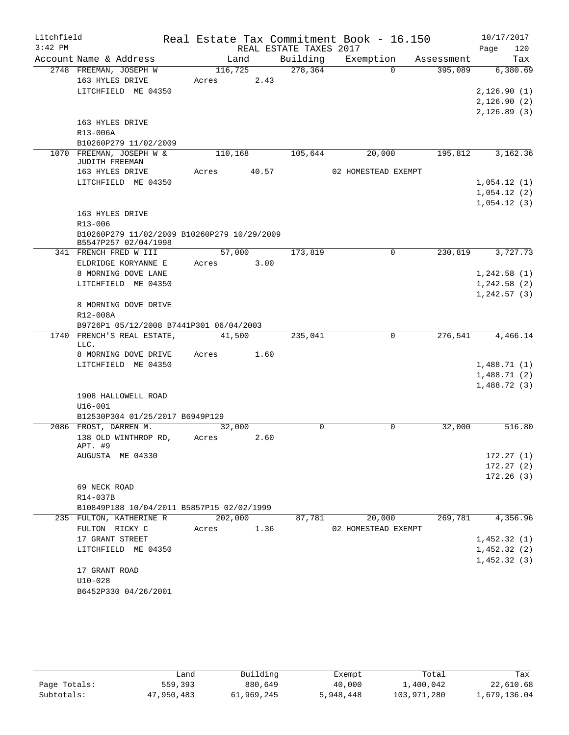| Litchfield |                                                                     |         |       |                        | Real Estate Tax Commitment Book - 16.150 |            | 10/17/2017   |
|------------|---------------------------------------------------------------------|---------|-------|------------------------|------------------------------------------|------------|--------------|
| $3:42$ PM  |                                                                     |         |       | REAL ESTATE TAXES 2017 |                                          |            | Page<br>120  |
|            | Account Name & Address                                              |         | Land  | Building               | Exemption                                | Assessment | Tax          |
|            | 2748 FREEMAN, JOSEPH W                                              | 116,725 |       | 278,364                | $\Omega$                                 | 395,089    | 6,380.69     |
|            | 163 HYLES DRIVE                                                     | Acres   | 2.43  |                        |                                          |            |              |
|            | LITCHFIELD ME 04350                                                 |         |       |                        |                                          |            | 2,126.90(1)  |
|            |                                                                     |         |       |                        |                                          |            | 2,126.90(2)  |
|            |                                                                     |         |       |                        |                                          |            | 2, 126.89(3) |
|            | 163 HYLES DRIVE                                                     |         |       |                        |                                          |            |              |
|            | R13-006A                                                            |         |       |                        |                                          |            |              |
|            | B10260P279 11/02/2009<br>1070 FREEMAN, JOSEPH W &                   | 110,168 |       | 105,644                | 20,000                                   | 195,812    | 3,162.36     |
|            | JUDITH FREEMAN                                                      |         |       |                        |                                          |            |              |
|            | 163 HYLES DRIVE                                                     | Acres   | 40.57 |                        | 02 HOMESTEAD EXEMPT                      |            |              |
|            | LITCHFIELD ME 04350                                                 |         |       |                        |                                          |            | 1,054.12(1)  |
|            |                                                                     |         |       |                        |                                          |            | 1,054.12(2)  |
|            |                                                                     |         |       |                        |                                          |            | 1,054.12(3)  |
|            | 163 HYLES DRIVE                                                     |         |       |                        |                                          |            |              |
|            | $R13 - 006$                                                         |         |       |                        |                                          |            |              |
|            | B10260P279 11/02/2009 B10260P279 10/29/2009<br>B5547P257 02/04/1998 |         |       |                        |                                          |            |              |
|            | 341 FRENCH FRED W III                                               | 57,000  |       | 173,819                | 0                                        | 230,819    | 3,727.73     |
|            | ELDRIDGE KORYANNE E                                                 | Acres   | 3.00  |                        |                                          |            |              |
|            | 8 MORNING DOVE LANE                                                 |         |       |                        |                                          |            | 1,242.58(1)  |
|            | LITCHFIELD ME 04350                                                 |         |       |                        |                                          |            | 1,242.58(2)  |
|            |                                                                     |         |       |                        |                                          |            | 1, 242.57(3) |
|            | 8 MORNING DOVE DRIVE                                                |         |       |                        |                                          |            |              |
|            | R12-008A<br>B9726P1 05/12/2008 B7441P301 06/04/2003                 |         |       |                        |                                          |            |              |
|            | 1740 FRENCH'S REAL ESTATE,                                          | 41,500  |       | 235,041                | $\Omega$                                 | 276,541    | 4,466.14     |
|            | LLC.                                                                |         |       |                        |                                          |            |              |
|            | 8 MORNING DOVE DRIVE                                                | Acres   | 1.60  |                        |                                          |            |              |
|            | LITCHFIELD ME 04350                                                 |         |       |                        |                                          |            | 1,488.71(1)  |
|            |                                                                     |         |       |                        |                                          |            | 1,488.71(2)  |
|            |                                                                     |         |       |                        |                                          |            | 1,488.72(3)  |
|            | 1908 HALLOWELL ROAD                                                 |         |       |                        |                                          |            |              |
|            | $U16 - 001$                                                         |         |       |                        |                                          |            |              |
|            | B12530P304 01/25/2017 B6949P129                                     |         |       |                        |                                          |            |              |
|            | 2086 FROST, DARREN M.                                               | 32,000  |       | 0                      | 0                                        | 32,000     | 516.80       |
|            | 138 OLD WINTHROP RD,<br>APT. #9                                     | Acres   | 2.60  |                        |                                          |            |              |
|            | AUGUSTA ME 04330                                                    |         |       |                        |                                          |            | 172.27(1)    |
|            |                                                                     |         |       |                        |                                          |            | 172.27(2)    |
|            |                                                                     |         |       |                        |                                          |            | 172.26(3)    |
|            | 69 NECK ROAD                                                        |         |       |                        |                                          |            |              |
|            | R14-037B                                                            |         |       |                        |                                          |            |              |
|            | B10849P188 10/04/2011 B5857P15 02/02/1999                           |         |       |                        |                                          |            |              |
|            | 235 FULTON, KATHERINE R                                             | 202,000 |       | 87,781                 | 20,000                                   | 269,781    | 4,356.96     |
|            | FULTON RICKY C                                                      | Acres   | 1.36  |                        | 02 HOMESTEAD EXEMPT                      |            |              |
|            | 17 GRANT STREET                                                     |         |       |                        |                                          |            | 1,452.32(1)  |
|            | LITCHFIELD ME 04350                                                 |         |       |                        |                                          |            | 1,452.32(2)  |
|            |                                                                     |         |       |                        |                                          |            | 1,452.32(3)  |
|            | 17 GRANT ROAD                                                       |         |       |                        |                                          |            |              |
|            | $U10-028$                                                           |         |       |                        |                                          |            |              |
|            | B6452P330 04/26/2001                                                |         |       |                        |                                          |            |              |

|              | úand       | Building   | Exempt    | Total       | Tax          |
|--------------|------------|------------|-----------|-------------|--------------|
| Page Totals: | 559,393    | 880,649    | 40,000    | 1,400,042   | 22,610.68    |
| Subtotals:   | 47,950,483 | 61,969,245 | 5,948,448 | 103,971,280 | 1,679,136.04 |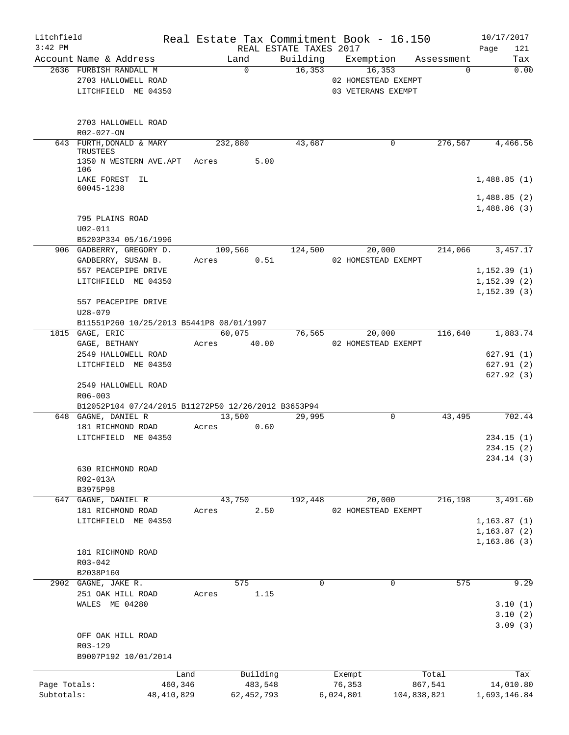| Litchfield<br>$3:42$ PM |                                                                            |              |       |              | REAL ESTATE TAXES 2017 | Real Estate Tax Commitment Book - 16.150            |             | 10/17/2017<br>Page<br>121                    |
|-------------------------|----------------------------------------------------------------------------|--------------|-------|--------------|------------------------|-----------------------------------------------------|-------------|----------------------------------------------|
|                         | Account Name & Address                                                     |              |       | Land         | Building               | Exemption                                           | Assessment  | Tax                                          |
|                         | 2636 FURBISH RANDALL M<br>2703 HALLOWELL ROAD<br>LITCHFIELD ME 04350       |              |       | $\Omega$     | 16, 353                | 16,353<br>02 HOMESTEAD EXEMPT<br>03 VETERANS EXEMPT | $\Omega$    | 0.00                                         |
|                         | 2703 HALLOWELL ROAD<br>R02-027-ON                                          |              |       |              |                        |                                                     |             |                                              |
|                         | 643 FURTH, DONALD & MARY<br>TRUSTEES                                       |              |       | 232,880      | 43,687                 | 0                                                   | 276,567     | $4,466.\overline{56}$                        |
|                         | 1350 N WESTERN AVE.APT Acres<br>106                                        |              |       | 5.00         |                        |                                                     |             |                                              |
|                         | LAKE FOREST IL<br>60045-1238                                               |              |       |              |                        |                                                     |             | 1,488.85(1)<br>1,488.85(2)<br>1,488.86(3)    |
|                         | 795 PLAINS ROAD<br>$U02 - 011$<br>B5203P334 05/16/1996                     |              |       |              |                        |                                                     |             |                                              |
|                         | 906 GADBERRY, GREGORY D.                                                   |              |       | 109,566      | 124,500                | 20,000                                              | 214,066     | 3,457.17                                     |
|                         | GADBERRY, SUSAN B.                                                         |              | Acres | 0.51         |                        | 02 HOMESTEAD EXEMPT                                 |             |                                              |
|                         | 557 PEACEPIPE DRIVE<br>LITCHFIELD ME 04350                                 |              |       |              |                        |                                                     |             | 1, 152.39(1)<br>1, 152.39(2)                 |
|                         |                                                                            |              |       |              |                        |                                                     |             | 1, 152.39(3)                                 |
|                         | 557 PEACEPIPE DRIVE<br>$U28 - 079$                                         |              |       |              |                        |                                                     |             |                                              |
|                         | B11551P260 10/25/2013 B5441P8 08/01/1997                                   |              |       |              |                        |                                                     |             |                                              |
|                         | 1815 GAGE, ERIC                                                            |              |       | 60,075       | 76,565                 | 20,000                                              | 116,640     | 1,883.74                                     |
|                         | GAGE, BETHANY<br>2549 HALLOWELL ROAD                                       |              | Acres | 40.00        |                        | 02 HOMESTEAD EXEMPT                                 |             | 627.91(1)                                    |
|                         | LITCHFIELD ME 04350                                                        |              |       |              |                        |                                                     |             | 627.91(2)                                    |
|                         | 2549 HALLOWELL ROAD<br>$R06 - 003$                                         |              |       |              |                        |                                                     |             | 627.92(3)                                    |
|                         | B12052P104 07/24/2015 B11272P50 12/26/2012 B3653P94<br>648 GAGNE, DANIEL R |              |       | 13,500       | 29,995                 | 0                                                   | 43,495      | 702.44                                       |
|                         | 181 RICHMOND ROAD                                                          |              | Acres | 0.60         |                        |                                                     |             |                                              |
|                         | LITCHFIELD ME 04350                                                        |              |       |              |                        |                                                     |             | 234.15(1)<br>234.15 (2)<br>234.14 (3)        |
|                         | 630 RICHMOND ROAD<br>R02-013A<br>B3975P98                                  |              |       |              |                        |                                                     |             |                                              |
|                         | 647 GAGNE, DANIEL R                                                        |              |       | 43,750       | 192,448                | 20,000                                              | 216,198     | 3,491.60                                     |
|                         | 181 RICHMOND ROAD                                                          |              | Acres | 2.50         |                        | 02 HOMESTEAD EXEMPT                                 |             |                                              |
|                         | LITCHFIELD ME 04350                                                        |              |       |              |                        |                                                     |             | 1, 163.87(1)<br>1, 163.87 (2)<br>1,163.86(3) |
|                         | 181 RICHMOND ROAD<br>R03-042<br>B2038P160                                  |              |       |              |                        |                                                     |             |                                              |
|                         | 2902 GAGNE, JAKE R.                                                        |              |       | 575          | 0                      | 0                                                   | 575         | 9.29                                         |
|                         | 251 OAK HILL ROAD<br>WALES ME 04280                                        |              | Acres | 1.15         |                        |                                                     |             | 3.10(1)<br>3.10(2)<br>3.09(3)                |
|                         | OFF OAK HILL ROAD<br>R03-129<br>B9007P192 10/01/2014                       |              |       |              |                        |                                                     |             |                                              |
|                         |                                                                            | Land         |       | Building     |                        | Exempt                                              | Total       | Tax                                          |
| Page Totals:            |                                                                            | 460,346      |       | 483,548      |                        | 76,353                                              | 867,541     | 14,010.80                                    |
| Subtotals:              |                                                                            | 48, 410, 829 |       | 62, 452, 793 |                        | 6,024,801                                           | 104,838,821 | 1,693,146.84                                 |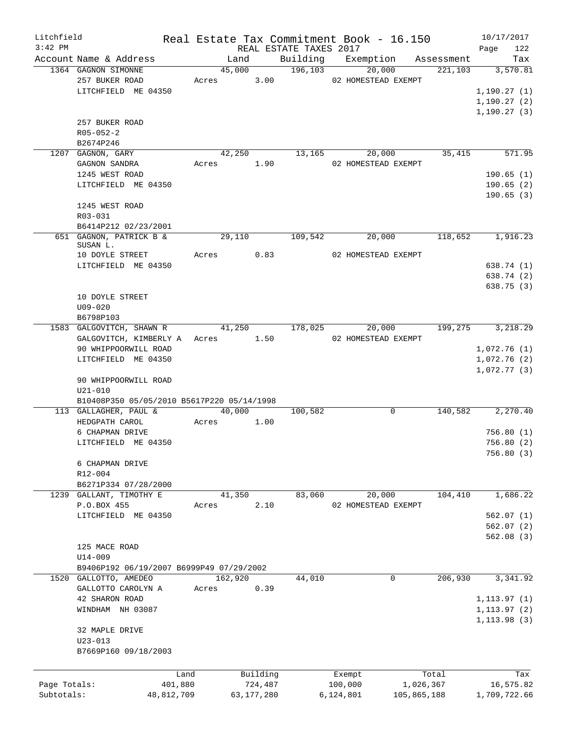| Litchfield   |                                            |       |              |                        | Real Estate Tax Commitment Book - 16.150 |                               | 10/17/2017          |
|--------------|--------------------------------------------|-------|--------------|------------------------|------------------------------------------|-------------------------------|---------------------|
| $3:42$ PM    |                                            |       |              | REAL ESTATE TAXES 2017 |                                          |                               | Page<br>122         |
|              | Account Name & Address                     |       | Land         |                        |                                          | Building Exemption Assessment | Tax                 |
|              | 1364 GAGNON SIMONNE                        |       | 45,000       | 196, 103               | 20,000                                   | 221, 103                      | 3,570.81            |
|              | 257 BUKER ROAD                             |       |              |                        | Acres 3.00 02 HOMESTEAD EXEMPT           |                               |                     |
|              | LITCHFIELD ME 04350                        |       |              |                        |                                          |                               | 1, 190.27(1)        |
|              |                                            |       |              |                        |                                          |                               | 1, 190.27(2)        |
|              |                                            |       |              |                        |                                          |                               | 1, 190.27(3)        |
|              | 257 BUKER ROAD                             |       |              |                        |                                          |                               |                     |
|              | $R05 - 052 - 2$                            |       |              |                        |                                          |                               |                     |
|              | B2674P246                                  |       |              |                        |                                          |                               |                     |
|              | 1207 GAGNON, GARY                          |       | 42,250       |                        | 13,165<br>20,000                         | 35,415                        | 571.95              |
|              | GAGNON SANDRA                              |       | Acres 1.90   |                        | 02 HOMESTEAD EXEMPT                      |                               |                     |
|              | 1245 WEST ROAD                             |       |              |                        |                                          |                               | 190.65(1)           |
|              | LITCHFIELD ME 04350                        |       |              |                        |                                          |                               | 190.65(2)           |
|              |                                            |       |              |                        |                                          |                               | 190.65(3)           |
|              | 1245 WEST ROAD                             |       |              |                        |                                          |                               |                     |
|              | R03-031                                    |       |              |                        |                                          |                               |                     |
|              | B6414P212 02/23/2001                       |       |              |                        |                                          |                               |                     |
|              | 651 GAGNON, PATRICK B &                    |       |              | 29,110 109,542         | 20,000                                   | 118,652 1,916.23              |                     |
|              | SUSAN L.                                   |       |              |                        |                                          |                               |                     |
|              | 10 DOYLE STREET                            |       | Acres 0.83   |                        | 02 HOMESTEAD EXEMPT                      |                               |                     |
|              | LITCHFIELD ME 04350                        |       |              |                        |                                          |                               | 638.74 (1)          |
|              |                                            |       |              |                        |                                          |                               | 638.74 (2)          |
|              |                                            |       |              |                        |                                          |                               | 638.75(3)           |
|              | 10 DOYLE STREET                            |       |              |                        |                                          |                               |                     |
|              | $U09 - 020$                                |       |              |                        |                                          |                               |                     |
|              | B6798P103                                  |       |              |                        |                                          |                               |                     |
|              | 1583 GALGOVITCH, SHAWN R                   |       |              | 41,250 178,025         | 20,000                                   |                               | 199, 275 3, 218. 29 |
|              | GALGOVITCH, KIMBERLY A Acres 1.50          |       |              |                        | 02 HOMESTEAD EXEMPT                      |                               |                     |
|              | 90 WHIPPOORWILL ROAD                       |       |              |                        |                                          |                               | 1,072.76(1)         |
|              | LITCHFIELD ME 04350                        |       |              |                        |                                          |                               | 1,072.76(2)         |
|              |                                            |       |              |                        |                                          |                               | 1,072.77(3)         |
|              | 90 WHIPPOORWILL ROAD                       |       |              |                        |                                          |                               |                     |
|              | $U21 - 010$                                |       |              |                        |                                          |                               |                     |
|              | B10408P350 05/05/2010 B5617P220 05/14/1998 |       |              |                        |                                          |                               |                     |
|              | 113 GALLAGHER, PAUL &                      |       | 40,000       | 100,582                | $\mathbf 0$                              | 140,582                       | 2,270.40            |
|              | HEDGPATH CAROL                             | Acres | 1.00         |                        |                                          |                               |                     |
|              | 6 CHAPMAN DRIVE                            |       |              |                        |                                          |                               | 756.80(1)           |
|              | LITCHFIELD ME 04350                        |       |              |                        |                                          |                               | 756.80(2)           |
|              |                                            |       |              |                        |                                          |                               |                     |
|              |                                            |       |              |                        |                                          |                               | 756.80(3)           |
|              | 6 CHAPMAN DRIVE                            |       |              |                        |                                          |                               |                     |
|              | R12-004                                    |       |              |                        |                                          |                               |                     |
|              | B6271P334 07/28/2000                       |       |              |                        |                                          |                               |                     |
|              | 1239 GALLANT, TIMOTHY E                    |       | 41,350       | 83,060                 | 20,000                                   | 104,410                       | 1,686.22            |
|              | P.O.BOX 455                                | Acres | 2.10         |                        | 02 HOMESTEAD EXEMPT                      |                               |                     |
|              | LITCHFIELD ME 04350                        |       |              |                        |                                          |                               | 562.07(1)           |
|              |                                            |       |              |                        |                                          |                               | 562.07(2)           |
|              |                                            |       |              |                        |                                          |                               | 562.08(3)           |
|              | 125 MACE ROAD                              |       |              |                        |                                          |                               |                     |
|              | U14-009                                    |       |              |                        |                                          |                               |                     |
|              | B9406P192 06/19/2007 B6999P49 07/29/2002   |       |              |                        |                                          |                               |                     |
|              | 1520 GALLOTTO, AMEDEO                      |       | 162,920      | 44,010                 | 0                                        | 206,930                       | 3,341.92            |
|              | GALLOTTO CAROLYN A                         | Acres | 0.39         |                        |                                          |                               |                     |
|              | 42 SHARON ROAD                             |       |              |                        |                                          |                               | 1, 113.97(1)        |
|              | WINDHAM NH 03087                           |       |              |                        |                                          |                               | 1, 113.97(2)        |
|              |                                            |       |              |                        |                                          |                               | 1, 113.98(3)        |
|              | 32 MAPLE DRIVE                             |       |              |                        |                                          |                               |                     |
|              | $U23 - 013$                                |       |              |                        |                                          |                               |                     |
|              | B7669P160 09/18/2003                       |       |              |                        |                                          |                               |                     |
|              |                                            |       |              |                        |                                          |                               |                     |
|              |                                            | Land  | Building     |                        | Exempt                                   | Total                         | Tax                 |
| Page Totals: | 401,880                                    |       | 724,487      |                        | 100,000                                  | 1,026,367                     | 16,575.82           |
| Subtotals:   | 48,812,709                                 |       | 63, 177, 280 |                        | 6,124,801                                | 105,865,188                   | 1,709,722.66        |
|              |                                            |       |              |                        |                                          |                               |                     |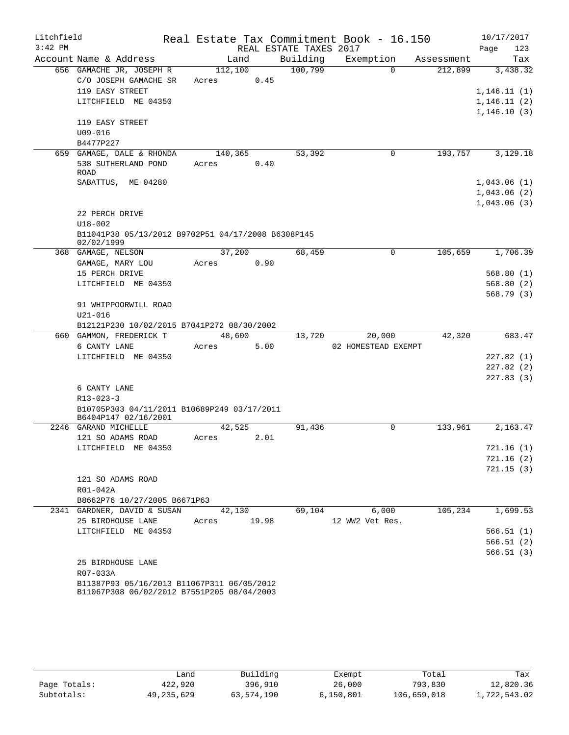| Litchfield |                                                                                          |         |       |      |                        | Real Estate Tax Commitment Book - 16.150 |            |             | 10/17/2017                 |
|------------|------------------------------------------------------------------------------------------|---------|-------|------|------------------------|------------------------------------------|------------|-------------|----------------------------|
| $3:42$ PM  |                                                                                          |         |       |      | REAL ESTATE TAXES 2017 |                                          |            | Page        | 123                        |
|            | Account Name & Address                                                                   | Land    |       |      | Building               | Exemption                                | Assessment |             | Tax                        |
|            | 656 GAMACHE JR, JOSEPH R                                                                 | 112,100 |       |      | 100,799                | $\Omega$                                 | 212,899    |             | 3,438.32                   |
|            | C/O JOSEPH GAMACHE SR                                                                    | Acres   |       | 0.45 |                        |                                          |            |             |                            |
|            | 119 EASY STREET                                                                          |         |       |      |                        |                                          |            |             | 1, 146.11(1)               |
|            | LITCHFIELD ME 04350                                                                      |         |       |      |                        |                                          |            |             | 1, 146.11(2)               |
|            |                                                                                          |         |       |      |                        |                                          |            |             | 1, 146.10(3)               |
|            | 119 EASY STREET                                                                          |         |       |      |                        |                                          |            |             |                            |
|            | $U09 - 016$                                                                              |         |       |      |                        |                                          |            |             |                            |
|            | B4477P227                                                                                |         |       |      |                        |                                          |            |             |                            |
|            | 659 GAMAGE, DALE & RHONDA                                                                | 140,365 |       |      | 53,392                 | 0                                        | 193,757    |             | 3,129.18                   |
|            | 538 SUTHERLAND POND                                                                      | Acres   |       | 0.40 |                        |                                          |            |             |                            |
|            | <b>ROAD</b><br>SABATTUS, ME 04280                                                        |         |       |      |                        |                                          |            |             |                            |
|            |                                                                                          |         |       |      |                        |                                          |            | 1,043.06(1) |                            |
|            |                                                                                          |         |       |      |                        |                                          |            |             | 1,043.06(2)<br>1,043.06(3) |
|            | 22 PERCH DRIVE                                                                           |         |       |      |                        |                                          |            |             |                            |
|            | $U18 - 002$                                                                              |         |       |      |                        |                                          |            |             |                            |
|            | B11041P38 05/13/2012 B9702P51 04/17/2008 B6308P145                                       |         |       |      |                        |                                          |            |             |                            |
|            | 02/02/1999                                                                               |         |       |      |                        |                                          |            |             |                            |
|            | 368 GAMAGE, NELSON                                                                       | 37,200  |       |      | 68,459                 | 0                                        | 105,659    |             | 1,706.39                   |
|            | GAMAGE, MARY LOU                                                                         | Acres   |       | 0.90 |                        |                                          |            |             |                            |
|            | 15 PERCH DRIVE                                                                           |         |       |      |                        |                                          |            |             | 568.80(1)                  |
|            | LITCHFIELD ME 04350                                                                      |         |       |      |                        |                                          |            |             | 568.80(2)                  |
|            |                                                                                          |         |       |      |                        |                                          |            |             | 568.79(3)                  |
|            | 91 WHIPPOORWILL ROAD                                                                     |         |       |      |                        |                                          |            |             |                            |
|            | $U21 - 016$                                                                              |         |       |      |                        |                                          |            |             |                            |
|            | B12121P230 10/02/2015 B7041P272 08/30/2002                                               |         |       |      |                        |                                          |            |             |                            |
|            | 660 GAMMON, FREDERICK T                                                                  | 48,600  |       |      | 13,720                 | 20,000                                   | 42,320     |             | 683.47                     |
|            | 6 CANTY LANE                                                                             | Acres   |       | 5.00 |                        | 02 HOMESTEAD EXEMPT                      |            |             |                            |
|            | LITCHFIELD ME 04350                                                                      |         |       |      |                        |                                          |            |             | 227.82(1)                  |
|            |                                                                                          |         |       |      |                        |                                          |            |             | 227.82(2)                  |
|            |                                                                                          |         |       |      |                        |                                          |            |             | 227.83(3)                  |
|            | 6 CANTY LANE                                                                             |         |       |      |                        |                                          |            |             |                            |
|            | $R13 - 023 - 3$                                                                          |         |       |      |                        |                                          |            |             |                            |
|            | B10705P303 04/11/2011 B10689P249 03/17/2011<br>B6404P147 02/16/2001                      |         |       |      |                        |                                          |            |             |                            |
|            | 2246 GARAND MICHELLE                                                                     | 42,525  |       |      | 91,436                 | 0                                        | 133,961    |             | 2,163.47                   |
|            | 121 SO ADAMS ROAD                                                                        | Acres   |       | 2.01 |                        |                                          |            |             |                            |
|            | LITCHFIELD ME 04350                                                                      |         |       |      |                        |                                          |            |             | 721.16(1)                  |
|            |                                                                                          |         |       |      |                        |                                          |            |             | 721.16(2)                  |
|            |                                                                                          |         |       |      |                        |                                          |            |             | 721.15(3)                  |
|            | 121 SO ADAMS ROAD                                                                        |         |       |      |                        |                                          |            |             |                            |
|            | R01-042A                                                                                 |         |       |      |                        |                                          |            |             |                            |
|            | B8662P76 10/27/2005 B6671P63                                                             |         |       |      |                        |                                          |            |             |                            |
|            | 2341 GARDNER, DAVID & SUSAN                                                              | 42,130  |       |      | 69,104                 | 6,000                                    | 105,234    |             | 1,699.53                   |
|            | 25 BIRDHOUSE LANE                                                                        | Acres   | 19.98 |      |                        | 12 WW2 Vet Res.                          |            |             |                            |
|            | LITCHFIELD ME 04350                                                                      |         |       |      |                        |                                          |            |             | 566.51(1)                  |
|            |                                                                                          |         |       |      |                        |                                          |            |             | 566.51(2)                  |
|            |                                                                                          |         |       |      |                        |                                          |            |             | 566.51(3)                  |
|            | 25 BIRDHOUSE LANE                                                                        |         |       |      |                        |                                          |            |             |                            |
|            | R07-033A                                                                                 |         |       |      |                        |                                          |            |             |                            |
|            | B11387P93 05/16/2013 B11067P311 06/05/2012<br>B11067P308 06/02/2012 B7551P205 08/04/2003 |         |       |      |                        |                                          |            |             |                            |

|              | Land         | Building   | Exempt    | Total       | Tax          |
|--------------|--------------|------------|-----------|-------------|--------------|
| Page Totals: | 422,920      | 396,910    | 26,000    | 793,830     | 12,820.36    |
| Subtotals:   | 49, 235, 629 | 63,574,190 | 6,150,801 | 106,659,018 | 1,722,543.02 |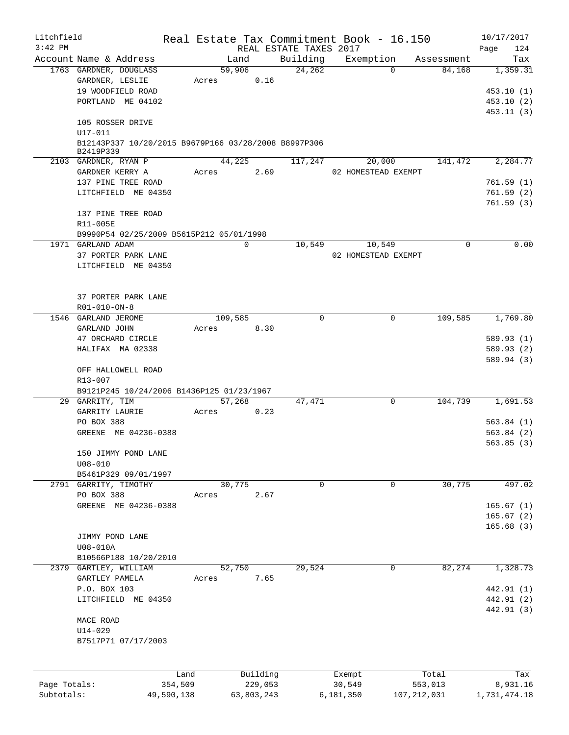| Litchfield   |                                                                   |                       |             |                     |                        | Real Estate Tax Commitment Book - 16.150 |               |            | 10/17/2017      |
|--------------|-------------------------------------------------------------------|-----------------------|-------------|---------------------|------------------------|------------------------------------------|---------------|------------|-----------------|
| $3:42$ PM    |                                                                   |                       |             |                     | REAL ESTATE TAXES 2017 |                                          |               |            | 124<br>Page     |
|              | Account Name & Address                                            |                       | Land        |                     | Building               | Exemption                                |               | Assessment | Tax             |
|              | 1763 GARDNER, DOUGLASS                                            |                       | 59,906      |                     | 24,262                 |                                          | $\Omega$      | 84,168     | 1,359.31        |
|              | GARDNER, LESLIE                                                   | Acres                 |             | 0.16                |                        |                                          |               |            |                 |
|              | 19 WOODFIELD ROAD                                                 |                       |             |                     |                        |                                          |               |            | 453.10(1)       |
|              | PORTLAND ME 04102                                                 |                       |             |                     |                        |                                          |               |            | 453.10(2)       |
|              |                                                                   |                       |             |                     |                        |                                          |               |            | 453.11(3)       |
|              | 105 ROSSER DRIVE                                                  |                       |             |                     |                        |                                          |               |            |                 |
|              | U17-011                                                           |                       |             |                     |                        |                                          |               |            |                 |
|              | B12143P337 10/20/2015 B9679P166 03/28/2008 B8997P306<br>B2419P339 |                       |             |                     |                        |                                          |               |            |                 |
|              | 2103 GARDNER, RYAN P                                              |                       | 44,225      |                     | 117,247                | 20,000                                   |               | 141,472    | 2,284.77        |
|              | GARDNER KERRY A                                                   | Acres                 |             | 2.69                |                        | 02 HOMESTEAD EXEMPT                      |               |            |                 |
|              | 137 PINE TREE ROAD                                                |                       |             |                     |                        |                                          |               |            | 761.59(1)       |
|              | LITCHFIELD ME 04350                                               |                       |             |                     |                        |                                          |               |            | 761.59(2)       |
|              |                                                                   |                       |             |                     |                        |                                          |               |            | 761.59(3)       |
|              | 137 PINE TREE ROAD                                                |                       |             |                     |                        |                                          |               |            |                 |
|              | R11-005E                                                          |                       |             |                     |                        |                                          |               |            |                 |
|              | B9990P54 02/25/2009 B5615P212 05/01/1998                          |                       |             |                     |                        |                                          |               |            |                 |
|              | 1971 GARLAND ADAM                                                 |                       | $\mathbf 0$ |                     | 10,549                 | 10,549                                   |               | 0          | 0.00            |
|              | 37 PORTER PARK LANE                                               |                       |             |                     |                        | 02 HOMESTEAD EXEMPT                      |               |            |                 |
|              | LITCHFIELD ME 04350                                               |                       |             |                     |                        |                                          |               |            |                 |
|              |                                                                   |                       |             |                     |                        |                                          |               |            |                 |
|              |                                                                   |                       |             |                     |                        |                                          |               |            |                 |
|              | 37 PORTER PARK LANE                                               |                       |             |                     |                        |                                          |               |            |                 |
|              | $R01 - 010 - ON - 8$                                              |                       |             |                     |                        |                                          |               |            |                 |
|              | 1546 GARLAND JEROME                                               |                       | 109,585     |                     | $\Omega$               |                                          | 0             | 109,585    | 1,769.80        |
|              | GARLAND JOHN                                                      | Acres                 |             | 8.30                |                        |                                          |               |            |                 |
|              | 47 ORCHARD CIRCLE                                                 |                       |             |                     |                        |                                          |               |            | 589.93 (1)      |
|              | HALIFAX MA 02338                                                  |                       |             |                     |                        |                                          |               |            | 589.93 (2)      |
|              |                                                                   |                       |             |                     |                        |                                          |               |            | 589.94 (3)      |
|              | OFF HALLOWELL ROAD                                                |                       |             |                     |                        |                                          |               |            |                 |
|              | R13-007                                                           |                       |             |                     |                        |                                          |               |            |                 |
|              | B9121P245 10/24/2006 B1436P125 01/23/1967                         |                       |             |                     |                        |                                          |               |            |                 |
|              | 29 GARRITY, TIM                                                   |                       | 57,268      |                     | 47,471                 |                                          | 0             | 104,739    | 1,691.53        |
|              | GARRITY LAURIE                                                    | Acres                 |             | 0.23                |                        |                                          |               |            |                 |
|              | PO BOX 388                                                        |                       |             |                     |                        |                                          |               |            | 563.84(1)       |
|              | GREENE ME 04236-0388                                              |                       |             |                     |                        |                                          |               |            | 563.84(2)       |
|              |                                                                   |                       |             |                     |                        |                                          |               |            | 563.85(3)       |
|              | 150 JIMMY POND LANE                                               |                       |             |                     |                        |                                          |               |            |                 |
|              | $U08 - 010$                                                       |                       |             |                     |                        |                                          |               |            |                 |
|              | B5461P329 09/01/1997                                              |                       |             |                     |                        |                                          |               |            |                 |
|              | 2791 GARRITY, TIMOTHY                                             |                       | 30,775      |                     | 0                      |                                          | 0             | 30,775     | 497.02          |
|              | PO BOX 388                                                        | Acres                 |             | 2.67                |                        |                                          |               |            |                 |
|              | GREENE ME 04236-0388                                              |                       |             |                     |                        |                                          |               |            | 165.67(1)       |
|              |                                                                   |                       |             |                     |                        |                                          |               |            | 165.67(2)       |
|              |                                                                   |                       |             |                     |                        |                                          |               |            | 165.68(3)       |
|              | JIMMY POND LANE                                                   |                       |             |                     |                        |                                          |               |            |                 |
|              | U08-010A                                                          |                       |             |                     |                        |                                          |               |            |                 |
|              | B10566P188 10/20/2010                                             |                       |             |                     |                        |                                          |               |            |                 |
|              | 2379 GARTLEY, WILLIAM                                             |                       | 52,750      |                     | 29,524                 |                                          | 0             | 82,274     | 1,328.73        |
|              | GARTLEY PAMELA                                                    | Acres                 |             | 7.65                |                        |                                          |               |            |                 |
|              | P.O. BOX 103                                                      |                       |             |                     |                        |                                          |               |            | 442.91 (1)      |
|              | LITCHFIELD ME 04350                                               |                       |             |                     |                        |                                          |               |            | 442.91 (2)      |
|              |                                                                   |                       |             |                     |                        |                                          |               |            | 442.91 (3)      |
|              | MACE ROAD                                                         |                       |             |                     |                        |                                          |               |            |                 |
|              | U14-029                                                           |                       |             |                     |                        |                                          |               |            |                 |
|              | B7517P71 07/17/2003                                               |                       |             |                     |                        |                                          |               |            |                 |
|              |                                                                   |                       |             |                     |                        |                                          |               |            |                 |
|              |                                                                   |                       |             |                     |                        |                                          |               |            |                 |
| Page Totals: |                                                                   | Land                  |             | Building<br>229,053 |                        | Exempt                                   |               | Total      | Tax<br>8,931.16 |
| Subtotals:   |                                                                   | 354,509<br>49,590,138 |             | 63,803,243          |                        | 30,549<br>6,181,350                      | 107, 212, 031 | 553,013    | 1,731,474.18    |
|              |                                                                   |                       |             |                     |                        |                                          |               |            |                 |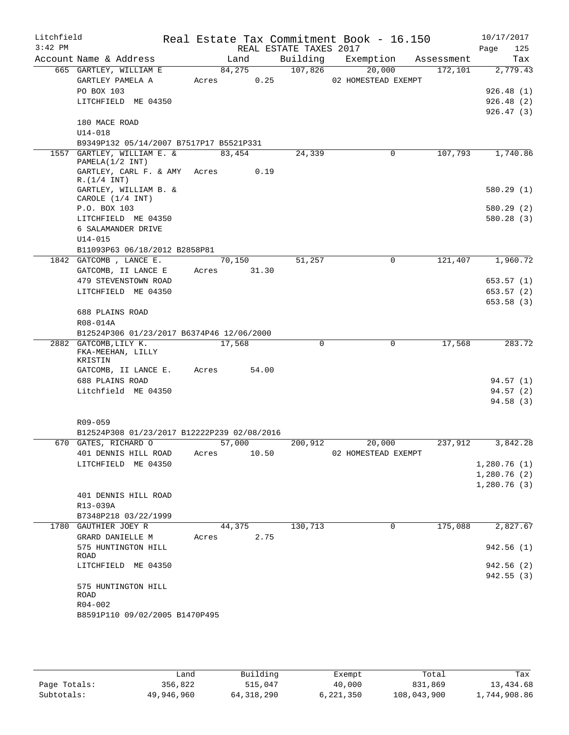| Litchfield<br>$3:42$ PM |                                                           |       |                | REAL ESTATE TAXES 2017 | Real Estate Tax Commitment Book - 16.150 |            | 10/17/2017<br>Page<br>125 |
|-------------------------|-----------------------------------------------------------|-------|----------------|------------------------|------------------------------------------|------------|---------------------------|
|                         | Account Name & Address                                    |       | Land           | Building               | Exemption                                | Assessment | Tax                       |
|                         | 665 GARTLEY, WILLIAM E<br>GARTLEY PAMELA A                | Acres | 84,275<br>0.25 | 107,826                | 20,000<br>02 HOMESTEAD EXEMPT            | 172,101    | 2,779.43                  |
|                         | PO BOX 103                                                |       |                |                        |                                          |            | 926.48(1)                 |
|                         | LITCHFIELD ME 04350                                       |       |                |                        |                                          |            | 926.48(2)                 |
|                         | 180 MACE ROAD<br>U14-018                                  |       |                |                        |                                          |            | 926.47(3)                 |
|                         | B9349P132 05/14/2007 B7517P17 B5521P331                   |       |                |                        |                                          |            |                           |
|                         | 1557 GARTLEY, WILLIAM E. &                                |       | 83,454         | 24,339                 | $\mathbf 0$                              | 107,793    | 1,740.86                  |
|                         | PAMELA(1/2 INT)                                           |       |                |                        |                                          |            |                           |
|                         | GARTLEY, CARL F. & AMY                                    | Acres | 0.19           |                        |                                          |            |                           |
|                         | R. (1/4 INT)<br>GARTLEY, WILLIAM B. &<br>CAROLE (1/4 INT) |       |                |                        |                                          |            | 580.29(1)                 |
|                         | P.O. BOX 103                                              |       |                |                        |                                          |            | 580.29 (2)                |
|                         | LITCHFIELD ME 04350                                       |       |                |                        |                                          |            | 580.28(3)                 |
|                         | 6 SALAMANDER DRIVE                                        |       |                |                        |                                          |            |                           |
|                         | $U14 - 015$                                               |       |                |                        |                                          |            |                           |
|                         | B11093P63 06/18/2012 B2858P81                             |       |                |                        |                                          |            |                           |
|                         | 1842 GATCOMB, LANCE E.                                    |       | 70,150         | 51,257                 | 0                                        | 121,407    | 1,960.72                  |
|                         | GATCOMB, II LANCE E                                       | Acres | 31.30          |                        |                                          |            |                           |
|                         | 479 STEVENSTOWN ROAD                                      |       |                |                        |                                          |            | 653.57(1)                 |
|                         | LITCHFIELD ME 04350                                       |       |                |                        |                                          |            | 653.57 (2)                |
|                         | 688 PLAINS ROAD                                           |       |                |                        |                                          |            | 653.58(3)                 |
|                         | R08-014A                                                  |       |                |                        |                                          |            |                           |
|                         | B12524P306 01/23/2017 B6374P46 12/06/2000                 |       |                |                        |                                          |            |                           |
|                         | 2882 GATCOMB, LILY K.                                     |       | 17,568         | $\mathbf 0$            | $\mathsf{O}$                             | 17,568     | 283.72                    |
|                         | FKA-MEEHAN, LILLY<br>KRISTIN                              |       |                |                        |                                          |            |                           |
|                         | GATCOMB, II LANCE E.                                      | Acres | 54.00          |                        |                                          |            |                           |
|                         | 688 PLAINS ROAD                                           |       |                |                        |                                          |            | 94.57(1)                  |
|                         | Litchfield ME 04350                                       |       |                |                        |                                          |            | 94.57(2)<br>94.58(3)      |
|                         |                                                           |       |                |                        |                                          |            |                           |
|                         | R09-059                                                   |       |                |                        |                                          |            |                           |
|                         | B12524P308 01/23/2017 B12222P239 02/08/2016               |       |                |                        |                                          |            |                           |
|                         | 670 GATES, RICHARD O                                      |       | 57,000         | 200,912                | 20,000                                   | 237,912    | 3,842.28                  |
|                         | 401 DENNIS HILL ROAD                                      | Acres | 10.50          |                        | 02 HOMESTEAD EXEMPT                      |            |                           |
|                         | LITCHFIELD ME 04350                                       |       |                |                        |                                          |            | 1,280.76(1)               |
|                         |                                                           |       |                |                        |                                          |            | 1,280.76(2)               |
|                         |                                                           |       |                |                        |                                          |            | 1,280.76(3)               |
|                         | 401 DENNIS HILL ROAD                                      |       |                |                        |                                          |            |                           |
|                         | R13-039A                                                  |       |                |                        |                                          |            |                           |
|                         | B7348P218 03/22/1999<br>1780 GAUTHIER JOEY R              |       | 44,375         | 130,713                | 0                                        | 175,088    | 2,827.67                  |
|                         | GRARD DANIELLE M                                          | Acres | 2.75           |                        |                                          |            |                           |
|                         | 575 HUNTINGTON HILL                                       |       |                |                        |                                          |            | 942.56(1)                 |
|                         | ROAD                                                      |       |                |                        |                                          |            | 942.56 (2)                |
|                         | LITCHFIELD ME 04350                                       |       |                |                        |                                          |            | 942.55 (3)                |
|                         | 575 HUNTINGTON HILL                                       |       |                |                        |                                          |            |                           |
|                         | ROAD                                                      |       |                |                        |                                          |            |                           |
|                         | R04-002                                                   |       |                |                        |                                          |            |                           |
|                         | B8591P110 09/02/2005 B1470P495                            |       |                |                        |                                          |            |                           |
|                         |                                                           |       |                |                        |                                          |            |                           |
|                         |                                                           |       |                |                        |                                          |            |                           |

|              | Land       | Building   | Exempt    | Total       | Tax          |
|--------------|------------|------------|-----------|-------------|--------------|
| Page Totals: | 356,822    | 515,047    | 40,000    | 831,869     | 13,434.68    |
| Subtotals:   | 49,946,960 | 64,318,290 | 6,221,350 | 108,043,900 | 1,744,908.86 |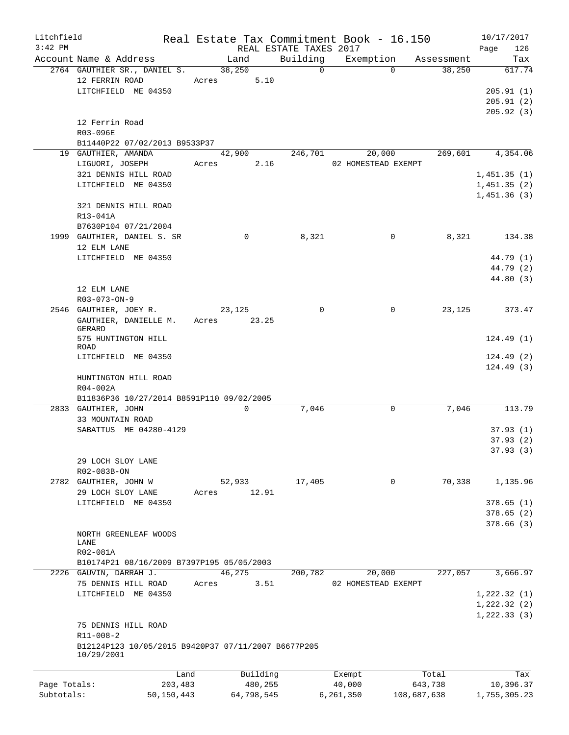| Litchfield   |                                                     |       |             |                        | Real Estate Tax Commitment Book - 16.150 |            | 10/17/2017   |
|--------------|-----------------------------------------------------|-------|-------------|------------------------|------------------------------------------|------------|--------------|
| $3:42$ PM    |                                                     |       |             | REAL ESTATE TAXES 2017 |                                          |            | 126<br>Page  |
|              | Account Name & Address                              |       | Land        | Building               | Exemption                                | Assessment | Tax          |
|              | 2764 GAUTHIER SR., DANIEL S.                        |       | 38,250      | $\Omega$               | $\Omega$                                 | 38,250     | 617.74       |
|              | 12 FERRIN ROAD                                      | Acres | 5.10        |                        |                                          |            |              |
|              | LITCHFIELD ME 04350                                 |       |             |                        |                                          |            | 205.91(1)    |
|              |                                                     |       |             |                        |                                          |            | 205.91(2)    |
|              |                                                     |       |             |                        |                                          |            | 205.92(3)    |
|              | 12 Ferrin Road                                      |       |             |                        |                                          |            |              |
|              | R03-096E                                            |       |             |                        |                                          |            |              |
|              | B11440P22 07/02/2013 B9533P37                       |       |             |                        |                                          |            |              |
|              | 19 GAUTHIER, AMANDA                                 |       | 42,900      | 246,701                | 20,000                                   | 269,601    | 4,354.06     |
|              | LIGUORI, JOSEPH                                     | Acres | 2.16        |                        | 02 HOMESTEAD EXEMPT                      |            |              |
|              | 321 DENNIS HILL ROAD                                |       |             |                        |                                          |            | 1,451.35(1)  |
|              | LITCHFIELD ME 04350                                 |       |             |                        |                                          |            | 1,451.35(2)  |
|              |                                                     |       |             |                        |                                          |            | 1,451.36(3)  |
|              |                                                     |       |             |                        |                                          |            |              |
|              | 321 DENNIS HILL ROAD                                |       |             |                        |                                          |            |              |
|              | R13-041A                                            |       |             |                        |                                          |            |              |
|              | B7630P104 07/21/2004                                |       |             |                        |                                          |            |              |
|              | 1999 GAUTHIER, DANIEL S. SR                         |       | 0           | 8,321                  | 0                                        | 8,321      | 134.38       |
|              | 12 ELM LANE                                         |       |             |                        |                                          |            |              |
|              | LITCHFIELD ME 04350                                 |       |             |                        |                                          |            | 44.79 (1)    |
|              |                                                     |       |             |                        |                                          |            | 44.79 (2)    |
|              |                                                     |       |             |                        |                                          |            | 44.80 (3)    |
|              | 12 ELM LANE                                         |       |             |                        |                                          |            |              |
|              | R03-073-ON-9                                        |       |             |                        |                                          |            |              |
|              | 2546 GAUTHIER, JOEY R.                              |       | 23,125      | 0                      | 0                                        | 23,125     | 373.47       |
|              | GAUTHIER, DANIELLE M.                               | Acres | 23.25       |                        |                                          |            |              |
|              | GERARD                                              |       |             |                        |                                          |            |              |
|              | 575 HUNTINGTON HILL                                 |       |             |                        |                                          |            | 124.49(1)    |
|              | ROAD                                                |       |             |                        |                                          |            |              |
|              | LITCHFIELD ME 04350                                 |       |             |                        |                                          |            | 124.49(2)    |
|              |                                                     |       |             |                        |                                          |            | 124.49(3)    |
|              | HUNTINGTON HILL ROAD                                |       |             |                        |                                          |            |              |
|              | R04-002A                                            |       |             |                        |                                          |            |              |
|              | B11836P36 10/27/2014 B8591P110 09/02/2005           |       |             |                        |                                          |            |              |
|              | 2833 GAUTHIER, JOHN                                 |       | $\mathbf 0$ | 7,046                  | 0                                        | 7,046      | 113.79       |
|              | 33 MOUNTAIN ROAD                                    |       |             |                        |                                          |            |              |
|              | SABATTUS ME 04280-4129                              |       |             |                        |                                          |            | 37.93(1)     |
|              |                                                     |       |             |                        |                                          |            | 37.93(2)     |
|              |                                                     |       |             |                        |                                          |            | 37.93 (3)    |
|              | 29 LOCH SLOY LANE                                   |       |             |                        |                                          |            |              |
|              | R02-083B-ON                                         |       |             |                        |                                          |            |              |
|              | 2782 GAUTHIER, JOHN W                               |       | 52,933      | 17,405                 | 0                                        | 70,338     | 1,135.96     |
|              | 29 LOCH SLOY LANE                                   | Acres | 12.91       |                        |                                          |            |              |
|              | LITCHFIELD ME 04350                                 |       |             |                        |                                          |            | 378.65(1)    |
|              |                                                     |       |             |                        |                                          |            |              |
|              |                                                     |       |             |                        |                                          |            | 378.65(2)    |
|              |                                                     |       |             |                        |                                          |            | 378.66(3)    |
|              | NORTH GREENLEAF WOODS<br>LANE                       |       |             |                        |                                          |            |              |
|              | R02-081A                                            |       |             |                        |                                          |            |              |
|              |                                                     |       |             |                        |                                          |            |              |
|              | B10174P21 08/16/2009 B7397P195 05/05/2003           |       |             |                        |                                          |            |              |
|              | 2226 GAUVIN, DARRAH J.                              |       | 46,275      | 200,782                | 20,000                                   | 227,057    | 3,666.97     |
|              | 75 DENNIS HILL ROAD                                 | Acres | 3.51        |                        | 02 HOMESTEAD EXEMPT                      |            |              |
|              | LITCHFIELD ME 04350                                 |       |             |                        |                                          |            | 1,222.32(1)  |
|              |                                                     |       |             |                        |                                          |            | 1,222.32(2)  |
|              |                                                     |       |             |                        |                                          |            | 1, 222.33(3) |
|              | 75 DENNIS HILL ROAD                                 |       |             |                        |                                          |            |              |
|              | $R11 - 008 - 2$                                     |       |             |                        |                                          |            |              |
|              | B12124P123 10/05/2015 B9420P37 07/11/2007 B6677P205 |       |             |                        |                                          |            |              |
|              | 10/29/2001                                          |       |             |                        |                                          |            |              |
|              |                                                     |       |             |                        |                                          |            |              |
|              |                                                     | Land  | Building    |                        | Exempt                                   | Total      | Tax          |
| Page Totals: | 203,483                                             |       | 480,255     |                        | 40,000                                   | 643,738    | 10,396.37    |

Subtotals: 50,150,443 64,798,545 6,261,350 108,687,638 1,755,305.23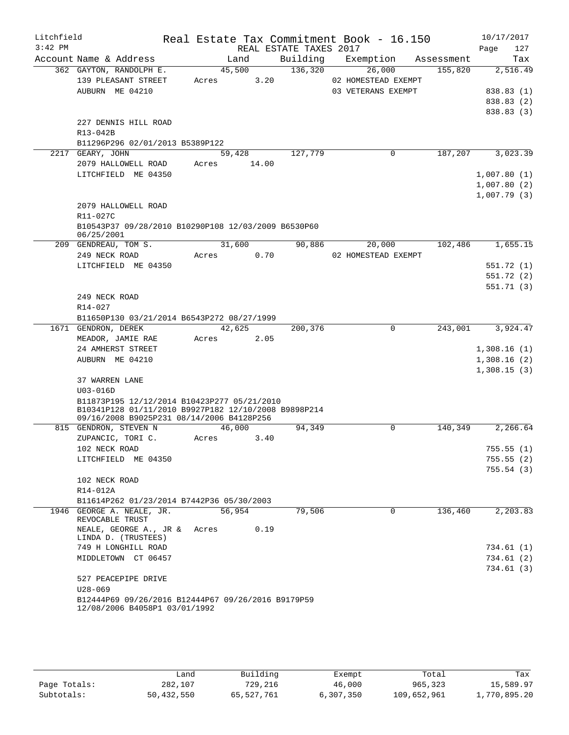| Litchfield |                                                                                     |               |                        | Real Estate Tax Commitment Book - 16.150 |         | 10/17/2017       |
|------------|-------------------------------------------------------------------------------------|---------------|------------------------|------------------------------------------|---------|------------------|
| $3:42$ PM  |                                                                                     |               | REAL ESTATE TAXES 2017 |                                          |         | Page<br>127      |
|            | Account Name & Address                                                              | Land          |                        | Building Exemption Assessment            |         | Tax              |
|            | 362 GAYTON, RANDOLPH E.                                                             | 45,500        | 136, 320               | 26,000                                   | 155,820 | 2,516.49         |
|            | 139 PLEASANT STREET                                                                 | Acres 3.20    |                        | 02 HOMESTEAD EXEMPT                      |         |                  |
|            | AUBURN ME 04210                                                                     |               |                        | 03 VETERANS EXEMPT                       |         | 838.83 (1)       |
|            |                                                                                     |               |                        |                                          |         | 838.83 (2)       |
|            |                                                                                     |               |                        |                                          |         | 838.83 (3)       |
|            | 227 DENNIS HILL ROAD                                                                |               |                        |                                          |         |                  |
|            | R13-042B                                                                            |               |                        |                                          |         |                  |
|            | B11296P296 02/01/2013 B5389P122                                                     |               |                        |                                          |         |                  |
|            | 2217 GEARY, JOHN                                                                    | 59,428        | 127,779                | $\Omega$                                 | 187,207 | 3,023.39         |
|            | 2079 HALLOWELL ROAD                                                                 | Acres 14.00   |                        |                                          |         |                  |
|            | LITCHFIELD ME 04350                                                                 |               |                        |                                          |         | 1,007.80(1)      |
|            |                                                                                     |               |                        |                                          |         | 1,007.80(2)      |
|            |                                                                                     |               |                        |                                          |         | 1,007.79(3)      |
|            | 2079 HALLOWELL ROAD                                                                 |               |                        |                                          |         |                  |
|            | R11-027C                                                                            |               |                        |                                          |         |                  |
|            | B10543P37 09/28/2010 B10290P108 12/03/2009 B6530P60<br>06/25/2001                   |               |                        |                                          |         |                  |
|            | 209 GENDREAU, TOM S.                                                                | 31,600        |                        | 90,886<br>20,000                         | 102,486 | 1,655.15         |
|            | 249 NECK ROAD                                                                       | Acres 0.70    |                        | 02 HOMESTEAD EXEMPT                      |         |                  |
|            | LITCHFIELD ME 04350                                                                 |               |                        |                                          |         | 551.72(1)        |
|            |                                                                                     |               |                        |                                          |         | 551.72(2)        |
|            |                                                                                     |               |                        |                                          |         | 551.71(3)        |
|            | 249 NECK ROAD                                                                       |               |                        |                                          |         |                  |
|            | R14-027                                                                             |               |                        |                                          |         |                  |
|            | B11650P130 03/21/2014 B6543P272 08/27/1999                                          |               |                        |                                          |         |                  |
|            | 1671 GENDRON, DEREK                                                                 | 42,625        | 200,376                | $\mathbf 0$                              |         | 243,001 3,924.47 |
|            | MEADOR, JAMIE RAE                                                                   | Acres<br>2.05 |                        |                                          |         |                  |
|            | 24 AMHERST STREET                                                                   |               |                        |                                          |         | 1,308.16(1)      |
|            | AUBURN ME 04210                                                                     |               |                        |                                          |         | 1,308.16(2)      |
|            |                                                                                     |               |                        |                                          |         | 1,308.15(3)      |
|            | 37 WARREN LANE                                                                      |               |                        |                                          |         |                  |
|            | $U03 - 016D$                                                                        |               |                        |                                          |         |                  |
|            | B11873P195 12/12/2014 B10423P277 05/21/2010                                         |               |                        |                                          |         |                  |
|            | B10341P128 01/11/2010 B9927P182 12/10/2008 B9898P214                                |               |                        |                                          |         |                  |
|            | 09/16/2008 B9025P231 08/14/2006 B4128P256<br>815 GENDRON, STEVEN N                  | 46,000        | 94,349                 | $\mathbf 0$                              | 140,349 | 2,266.64         |
|            | ZUPANCIC, TORI C.                                                                   | Acres<br>3.40 |                        |                                          |         |                  |
|            | 102 NECK ROAD                                                                       |               |                        |                                          |         | 755.55(1)        |
|            | LITCHFIELD ME 04350                                                                 |               |                        |                                          |         | 755.55(2)        |
|            |                                                                                     |               |                        |                                          |         | 755.54(3)        |
|            | 102 NECK ROAD                                                                       |               |                        |                                          |         |                  |
|            | R14-012A                                                                            |               |                        |                                          |         |                  |
|            | B11614P262 01/23/2014 B7442P36 05/30/2003                                           |               |                        |                                          |         |                  |
|            | 1946 GEORGE A. NEALE, JR.                                                           | 56,954        | 79,506                 | $\Omega$                                 | 136,460 | 2,203.83         |
|            | REVOCABLE TRUST                                                                     |               |                        |                                          |         |                  |
|            | NEALE, GEORGE A., JR &                                                              | 0.19<br>Acres |                        |                                          |         |                  |
|            | LINDA D. (TRUSTEES)                                                                 |               |                        |                                          |         |                  |
|            | 749 H LONGHILL ROAD                                                                 |               |                        |                                          |         | 734.61(1)        |
|            | MIDDLETOWN CT 06457                                                                 |               |                        |                                          |         | 734.61(2)        |
|            |                                                                                     |               |                        |                                          |         | 734.61(3)        |
|            | 527 PEACEPIPE DRIVE                                                                 |               |                        |                                          |         |                  |
|            | $U28 - 069$                                                                         |               |                        |                                          |         |                  |
|            | B12444P69 09/26/2016 B12444P67 09/26/2016 B9179P59<br>12/08/2006 B4058P1 03/01/1992 |               |                        |                                          |         |                  |
|            |                                                                                     |               |                        |                                          |         |                  |

|              | úand       | Building   | Exempt      | Total       | Tax          |
|--------------|------------|------------|-------------|-------------|--------------|
| Page Totals: | 282,107    | 729,216    | 46,000      | 965,323     | 15,589.97    |
| Subtotals:   | 50,432,550 | 65,527,761 | 6, 307, 350 | 109,652,961 | 1,770,895.20 |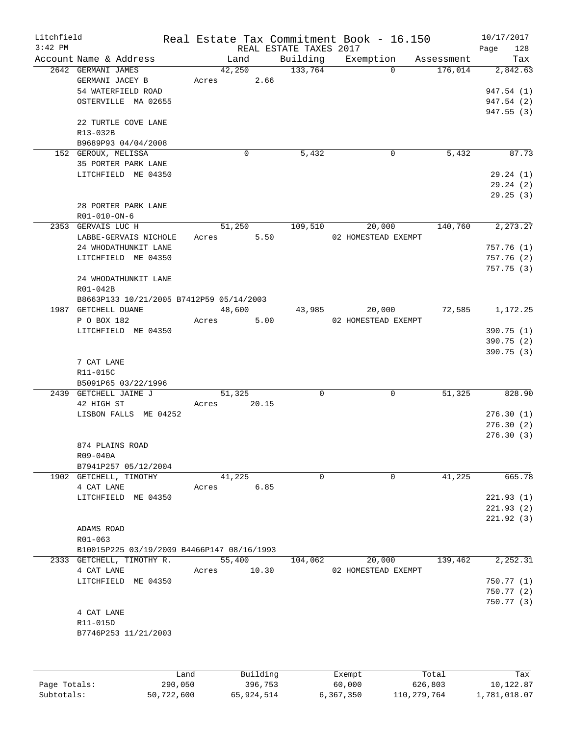| Litchfield |                                            |       |          |                        | Real Estate Tax Commitment Book - 16.150 |            | 10/17/2017  |
|------------|--------------------------------------------|-------|----------|------------------------|------------------------------------------|------------|-------------|
| $3:42$ PM  |                                            |       |          | REAL ESTATE TAXES 2017 |                                          |            | Page<br>128 |
|            | Account Name & Address                     |       | Land     | Building               | Exemption                                | Assessment | Tax         |
|            | 2642 GERMANI JAMES                         |       | 42,250   | 133,764                | $\Omega$                                 | 176,014    | 2,842.63    |
|            | GERMANI JACEY B                            | Acres | 2.66     |                        |                                          |            |             |
|            | 54 WATERFIELD ROAD                         |       |          |                        |                                          |            | 947.54 (1)  |
|            | OSTERVILLE MA 02655                        |       |          |                        |                                          |            | 947.54 (2)  |
|            |                                            |       |          |                        |                                          |            | 947.55 (3)  |
|            | 22 TURTLE COVE LANE                        |       |          |                        |                                          |            |             |
|            | R13-032B                                   |       |          |                        |                                          |            |             |
|            | B9689P93 04/04/2008                        |       |          |                        |                                          |            |             |
|            | 152 GEROUX, MELISSA                        |       | 0        | 5,432                  | 0                                        | 5,432      | 87.73       |
|            | 35 PORTER PARK LANE                        |       |          |                        |                                          |            |             |
|            | LITCHFIELD ME 04350                        |       |          |                        |                                          |            | 29.24(1)    |
|            |                                            |       |          |                        |                                          |            | 29.24(2)    |
|            |                                            |       |          |                        |                                          |            | 29.25(3)    |
|            | 28 PORTER PARK LANE                        |       |          |                        |                                          |            |             |
|            | $R01 - 010 - ON - 6$                       |       |          |                        |                                          |            |             |
|            | 2353 GERVAIS LUC H                         |       | 51,250   | 109,510                | 20,000                                   | 140,760    | 2,273.27    |
|            | LABBE-GERVAIS NICHOLE                      | Acres | 5.50     |                        | 02 HOMESTEAD EXEMPT                      |            |             |
|            | 24 WHODATHUNKIT LANE                       |       |          |                        |                                          |            | 757.76(1)   |
|            | LITCHFIELD ME 04350                        |       |          |                        |                                          |            | 757.76(2)   |
|            |                                            |       |          |                        |                                          |            | 757.75(3)   |
|            | 24 WHODATHUNKIT LANE                       |       |          |                        |                                          |            |             |
|            | R01-042B                                   |       |          |                        |                                          |            |             |
|            | B8663P133 10/21/2005 B7412P59 05/14/2003   |       |          |                        |                                          |            |             |
|            | 1987 GETCHELL DUANE                        |       | 48,600   | 43,985                 | 20,000                                   | 72,585     | 1,172.25    |
|            | P O BOX 182                                | Acres | 5.00     |                        | 02 HOMESTEAD EXEMPT                      |            |             |
|            | LITCHFIELD ME 04350                        |       |          |                        |                                          |            | 390.75 (1)  |
|            |                                            |       |          |                        |                                          |            |             |
|            |                                            |       |          |                        |                                          |            | 390.75(2)   |
|            |                                            |       |          |                        |                                          |            | 390.75 (3)  |
|            | 7 CAT LANE                                 |       |          |                        |                                          |            |             |
|            | R11-015C                                   |       |          |                        |                                          |            |             |
|            | B5091P65 03/22/1996                        |       |          |                        |                                          |            |             |
|            | 2439 GETCHELL JAIME J                      |       | 51,325   | 0                      | 0                                        | 51,325     | 828.90      |
|            | 42 HIGH ST                                 | Acres | 20.15    |                        |                                          |            |             |
|            | LISBON FALLS ME 04252                      |       |          |                        |                                          |            | 276.30(1)   |
|            |                                            |       |          |                        |                                          |            | 276.30(2)   |
|            |                                            |       |          |                        |                                          |            | 276.30 (3)  |
|            | 874 PLAINS ROAD                            |       |          |                        |                                          |            |             |
|            | R09-040A                                   |       |          |                        |                                          |            |             |
|            | B7941P257 05/12/2004                       |       |          |                        |                                          |            |             |
|            | 1902 GETCHELL, TIMOTHY                     |       | 41,225   | 0                      | $\mathbf 0$                              | 41,225     | 665.78      |
|            | 4 CAT LANE                                 | Acres | 6.85     |                        |                                          |            |             |
|            | LITCHFIELD ME 04350                        |       |          |                        |                                          |            | 221.93(1)   |
|            |                                            |       |          |                        |                                          |            | 221.93(2)   |
|            |                                            |       |          |                        |                                          |            | 221.92(3)   |
|            | ADAMS ROAD                                 |       |          |                        |                                          |            |             |
|            | R01-063                                    |       |          |                        |                                          |            |             |
|            | B10015P225 03/19/2009 B4466P147 08/16/1993 |       |          |                        |                                          |            |             |
|            | 2333 GETCHELL, TIMOTHY R.                  |       | 55,400   | 104,062                | 20,000                                   | 139,462    | 2, 252.31   |
|            | 4 CAT LANE                                 | Acres | 10.30    |                        | 02 HOMESTEAD EXEMPT                      |            |             |
|            | LITCHFIELD ME 04350                        |       |          |                        |                                          |            | 750.77(1)   |
|            |                                            |       |          |                        |                                          |            | 750.77 (2)  |
|            |                                            |       |          |                        |                                          |            | 750.77(3)   |
|            | 4 CAT LANE                                 |       |          |                        |                                          |            |             |
|            | R11-015D                                   |       |          |                        |                                          |            |             |
|            | B7746P253 11/21/2003                       |       |          |                        |                                          |            |             |
|            |                                            |       |          |                        |                                          |            |             |
|            |                                            |       |          |                        |                                          |            |             |
|            |                                            |       |          |                        |                                          |            |             |
|            |                                            | Land  | Building |                        | Exempt                                   | Total      | Tax         |

|              | ------     | partating  | <b>HYZCHIP C</b> | 100ar       | ∸⊶⊶          |
|--------------|------------|------------|------------------|-------------|--------------|
| Page Totals: | 290,050    | 396,753    | 60,000           | 626,803     | 10,122.87    |
| Subtotals:   | 50,722,600 | 65,924,514 | 6,367,350        | 110,279,764 | 1,781,018.07 |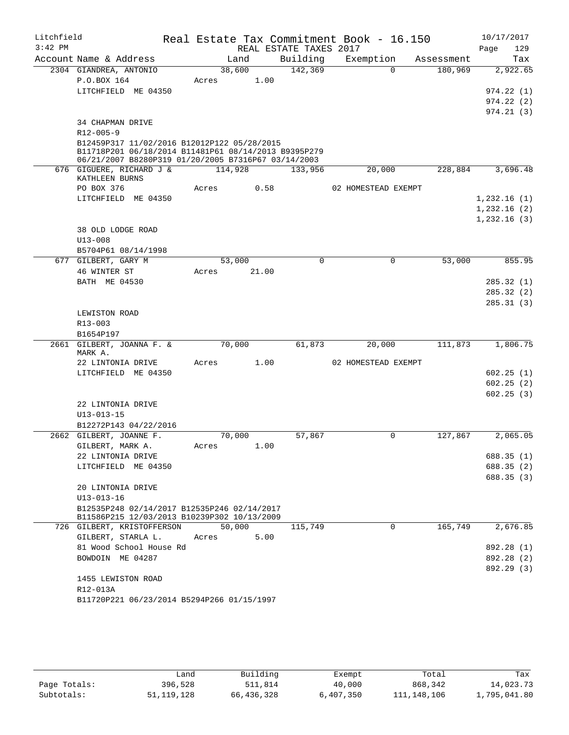| Litchfield |                                                                                            |            |       |                        | Real Estate Tax Commitment Book - 16.150 |            |             | 10/17/2017             |
|------------|--------------------------------------------------------------------------------------------|------------|-------|------------------------|------------------------------------------|------------|-------------|------------------------|
| $3:42$ PM  |                                                                                            |            |       | REAL ESTATE TAXES 2017 |                                          |            | Page        | 129                    |
|            | Account Name & Address                                                                     | Land       |       | Building               | Exemption                                | Assessment |             | Tax                    |
|            | 2304 GIANDREA, ANTONIO                                                                     | 38,600     |       | 142,369                | $\Omega$                                 | 180,969    |             | 2,922.65               |
|            | P.O.BOX 164                                                                                | Acres      | 1.00  |                        |                                          |            |             |                        |
|            | LITCHFIELD ME 04350                                                                        |            |       |                        |                                          |            |             | 974.22(1)<br>974.22(2) |
|            |                                                                                            |            |       |                        |                                          |            |             | 974.21(3)              |
|            | 34 CHAPMAN DRIVE                                                                           |            |       |                        |                                          |            |             |                        |
|            | $R12 - 005 - 9$                                                                            |            |       |                        |                                          |            |             |                        |
|            | B12459P317 11/02/2016 B12012P122 05/28/2015                                                |            |       |                        |                                          |            |             |                        |
|            | B11718P201 06/18/2014 B11481P61 08/14/2013 B9395P279                                       |            |       |                        |                                          |            |             |                        |
|            | 06/21/2007 B8280P319 01/20/2005 B7316P67 03/14/2003<br>676 GIGUERE, RICHARD J &            | 114,928    |       |                        | 20,000                                   | 228,884    |             |                        |
|            | KATHLEEN BURNS                                                                             |            |       | 133,956                |                                          |            |             | 3,696.48               |
|            | PO BOX 376                                                                                 | Acres      | 0.58  |                        | 02 HOMESTEAD EXEMPT                      |            |             |                        |
|            | LITCHFIELD ME 04350                                                                        |            |       |                        |                                          |            | 1,232.16(1) |                        |
|            |                                                                                            |            |       |                        |                                          |            | 1,232.16(2) |                        |
|            |                                                                                            |            |       |                        |                                          |            | 1,232.16(3) |                        |
|            | 38 OLD LODGE ROAD                                                                          |            |       |                        |                                          |            |             |                        |
|            | $U13 - 008$                                                                                |            |       |                        |                                          |            |             |                        |
|            | B5704P61 08/14/1998                                                                        |            |       |                        |                                          |            |             |                        |
|            | 677 GILBERT, GARY M                                                                        | 53,000     |       | $\Omega$               | $\mathbf 0$                              | 53,000     |             | 855.95                 |
|            | 46 WINTER ST                                                                               | Acres      | 21.00 |                        |                                          |            |             |                        |
|            | BATH ME 04530                                                                              |            |       |                        |                                          |            |             | 285.32(1)              |
|            |                                                                                            |            |       |                        |                                          |            |             | 285.32(2)              |
|            | LEWISTON ROAD                                                                              |            |       |                        |                                          |            |             | 285.31(3)              |
|            | R13-003                                                                                    |            |       |                        |                                          |            |             |                        |
|            | B1654P197                                                                                  |            |       |                        |                                          |            |             |                        |
|            | 2661 GILBERT, JOANNA F. &                                                                  | 70,000     |       | 61,873                 | 20,000                                   | 111,873    |             | 1,806.75               |
|            | MARK A.                                                                                    |            |       |                        |                                          |            |             |                        |
|            | 22 LINTONIA DRIVE                                                                          | Acres      | 1.00  |                        | 02 HOMESTEAD EXEMPT                      |            |             |                        |
|            | LITCHFIELD ME 04350                                                                        |            |       |                        |                                          |            |             | 602.25(1)              |
|            |                                                                                            |            |       |                        |                                          |            |             | 602.25(2)<br>602.25(3) |
|            | 22 LINTONIA DRIVE                                                                          |            |       |                        |                                          |            |             |                        |
|            | $U13 - 013 - 15$                                                                           |            |       |                        |                                          |            |             |                        |
|            | B12272P143 04/22/2016                                                                      |            |       |                        |                                          |            |             |                        |
|            | 2662 GILBERT, JOANNE F.                                                                    | 70,000     |       | 57,867                 | 0                                        | 127,867    |             | 2,065.05               |
|            | GILBERT, MARK A.                                                                           | Acres 1.00 |       |                        |                                          |            |             |                        |
|            | 22 LINTONIA DRIVE                                                                          |            |       |                        |                                          |            |             | 688.35 (1)             |
|            | LITCHFIELD ME 04350                                                                        |            |       |                        |                                          |            |             | 688.35 (2)             |
|            |                                                                                            |            |       |                        |                                          |            |             | 688.35(3)              |
|            | 20 LINTONIA DRIVE                                                                          |            |       |                        |                                          |            |             |                        |
|            | $U13 - 013 - 16$                                                                           |            |       |                        |                                          |            |             |                        |
|            | B12535P248 02/14/2017 B12535P246 02/14/2017<br>B11586P215 12/03/2013 B10239P302 10/13/2009 |            |       |                        |                                          |            |             |                        |
|            | 726 GILBERT, KRISTOFFERSON                                                                 | 50,000     |       | 115,749                | $\Omega$                                 | 165,749    |             | 2,676.85               |
|            | GILBERT, STARLA L.                                                                         | Acres      | 5.00  |                        |                                          |            |             |                        |
|            | 81 Wood School House Rd                                                                    |            |       |                        |                                          |            |             | 892.28 (1)             |
|            | BOWDOIN ME 04287                                                                           |            |       |                        |                                          |            |             | 892.28 (2)             |
|            |                                                                                            |            |       |                        |                                          |            |             | 892.29 (3)             |
|            | 1455 LEWISTON ROAD                                                                         |            |       |                        |                                          |            |             |                        |
|            | R12-013A                                                                                   |            |       |                        |                                          |            |             |                        |
|            | B11720P221 06/23/2014 B5294P266 01/15/1997                                                 |            |       |                        |                                          |            |             |                        |

|              | Land         | Building   | Exempt    | Total       | Tax          |
|--------------|--------------|------------|-----------|-------------|--------------|
| Page Totals: | 396,528      | 511,814    | 40,000    | 868,342     | 14,023.73    |
| Subtotals:   | 51, 119, 128 | 66,436,328 | 6,407,350 | 111,148,106 | 1,795,041.80 |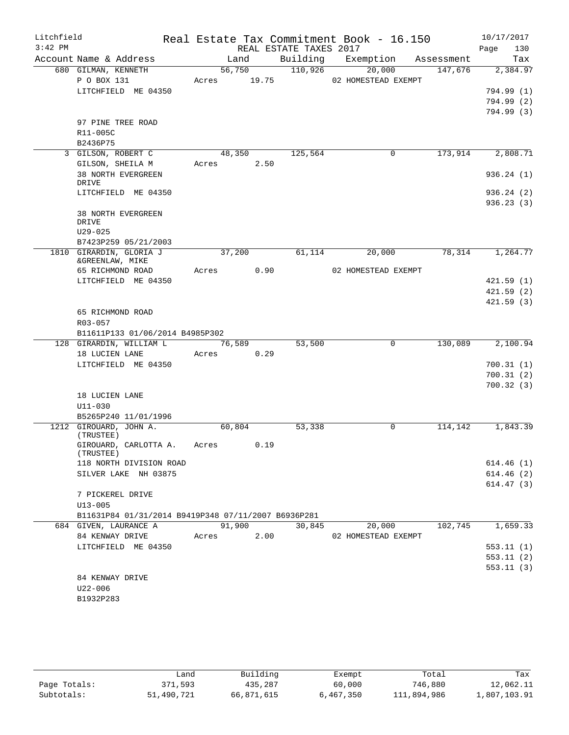| Litchfield<br>$3:42$ PM |                                                     |       |            | REAL ESTATE TAXES 2017 | Real Estate Tax Commitment Book - 16.150 |                      | 10/17/2017<br>Page<br>130 |
|-------------------------|-----------------------------------------------------|-------|------------|------------------------|------------------------------------------|----------------------|---------------------------|
|                         | Account Name & Address                              |       | Land       |                        | Building Exemption Assessment            |                      | Tax                       |
|                         | 680 GILMAN, KENNETH                                 |       |            | 56,750 110,926         | 20,000                                   | $\overline{147,676}$ | 2,384.97                  |
|                         | P O BOX 131                                         |       |            |                        | Acres 19.75 02 HOMESTEAD EXEMPT          |                      |                           |
|                         | LITCHFIELD ME 04350                                 |       |            |                        |                                          |                      | 794.99 (1)                |
|                         |                                                     |       |            |                        |                                          |                      | 794.99 (2)                |
|                         |                                                     |       |            |                        |                                          |                      | 794.99 (3)                |
|                         | 97 PINE TREE ROAD                                   |       |            |                        |                                          |                      |                           |
|                         | R11-005C                                            |       |            |                        |                                          |                      |                           |
|                         | B2436P75                                            |       |            |                        |                                          |                      |                           |
|                         | 3 GILSON, ROBERT C                                  |       |            | 48,350 125,564         | $\mathsf{O}$                             | 173,914              | 2,808.71                  |
|                         | GILSON, SHEILA M                                    |       | Acres 2.50 |                        |                                          |                      |                           |
|                         | 38 NORTH EVERGREEN<br>DRIVE                         |       |            |                        |                                          |                      | 936.24(1)                 |
|                         | LITCHFIELD ME 04350                                 |       |            |                        |                                          |                      | 936.24(2)                 |
|                         |                                                     |       |            |                        |                                          |                      | 936.23(3)                 |
|                         | 38 NORTH EVERGREEN                                  |       |            |                        |                                          |                      |                           |
|                         | DRIVE                                               |       |            |                        |                                          |                      |                           |
|                         | $U29 - 025$                                         |       |            |                        |                                          |                      |                           |
|                         | B7423P259 05/21/2003                                |       |            |                        |                                          |                      |                           |
|                         | 1810 GIRARDIN, GLORIA J                             |       | 37,200     | 61,114                 | 20,000                                   |                      | 78, 314 1, 264. 77        |
|                         | &GREENLAW, MIKE                                     |       | Acres 0.90 |                        |                                          |                      |                           |
|                         | 65 RICHMOND ROAD<br>LITCHFIELD ME 04350             |       |            |                        | 02 HOMESTEAD EXEMPT                      |                      | 421.59(1)                 |
|                         |                                                     |       |            |                        |                                          |                      | 421.59(2)                 |
|                         |                                                     |       |            |                        |                                          |                      | 421.59(3)                 |
|                         | 65 RICHMOND ROAD                                    |       |            |                        |                                          |                      |                           |
|                         | R03-057                                             |       |            |                        |                                          |                      |                           |
|                         | B11611P133 01/06/2014 B4985P302                     |       |            |                        |                                          |                      |                           |
|                         | 128 GIRARDIN, WILLIAM L                             |       | 76,589     | 53,500                 | $\mathbf 0$                              | 130,089              | 2,100.94                  |
|                         | 18 LUCIEN LANE                                      |       | Acres 0.29 |                        |                                          |                      |                           |
|                         | LITCHFIELD ME 04350                                 |       |            |                        |                                          |                      | 700.31(1)                 |
|                         |                                                     |       |            |                        |                                          |                      | 700.31(2)                 |
|                         |                                                     |       |            |                        |                                          |                      | 700.32(3)                 |
|                         | 18 LUCIEN LANE                                      |       |            |                        |                                          |                      |                           |
|                         | U11-030                                             |       |            |                        |                                          |                      |                           |
|                         | B5265P240 11/01/1996                                |       |            |                        |                                          |                      |                           |
|                         | 1212 GIROUARD, JOHN A.<br>(TRUSTEE)                 |       | 60,804     | 53,338                 | $\overline{0}$                           | 114,142              | 1,843.39                  |
|                         | GIROUARD, CARLOTTA A.<br>(TRUSTEE)                  |       | Acres 0.19 |                        |                                          |                      |                           |
|                         | 118 NORTH DIVISION ROAD                             |       |            |                        |                                          |                      | 614.46(1)                 |
|                         | SILVER LAKE NH 03875                                |       |            |                        |                                          |                      | 614.46(2)                 |
|                         |                                                     |       |            |                        |                                          |                      | 614.47(3)                 |
|                         | 7 PICKEREL DRIVE                                    |       |            |                        |                                          |                      |                           |
|                         | $U13 - 005$                                         |       |            |                        |                                          |                      |                           |
|                         | B11631P84 01/31/2014 B9419P348 07/11/2007 B6936P281 |       |            |                        |                                          |                      |                           |
|                         | 684 GIVEN, LAURANCE A                               |       | 91,900     | 30,845                 | 20,000                                   | 102,745              | 1,659.33                  |
|                         | 84 KENWAY DRIVE                                     | Acres | 2.00       |                        | 02 HOMESTEAD EXEMPT                      |                      |                           |
|                         | LITCHFIELD ME 04350                                 |       |            |                        |                                          |                      | 553.11(1)                 |
|                         |                                                     |       |            |                        |                                          |                      | 553.11(2)                 |
|                         |                                                     |       |            |                        |                                          |                      | 553.11(3)                 |
|                         | 84 KENWAY DRIVE                                     |       |            |                        |                                          |                      |                           |
|                         | U22-006                                             |       |            |                        |                                          |                      |                           |
|                         | B1932P283                                           |       |            |                        |                                          |                      |                           |

|              | Land       | Building   | Exempt    | Total       | Tax          |
|--------------|------------|------------|-----------|-------------|--------------|
| Page Totals: | 371,593    | 435,287    | 60,000    | 746,880     | 12,062.11    |
| Subtotals:   | 51,490,721 | 66,871,615 | 6,467,350 | 111,894,986 | 1,807,103.91 |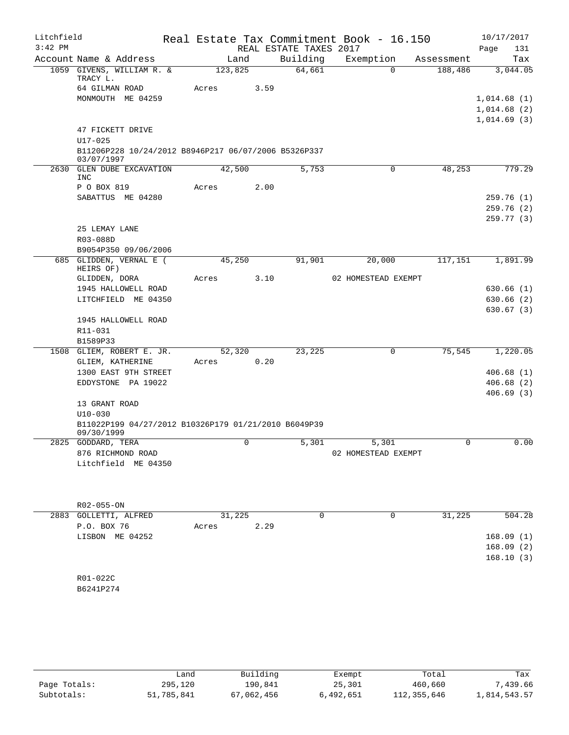| Litchfield<br>$3:42$ PM |                                                                                   |                  |      |      | REAL ESTATE TAXES 2017 | Real Estate Tax Commitment Book - 16.150 |            | 10/17/2017<br>Page<br>131                 |
|-------------------------|-----------------------------------------------------------------------------------|------------------|------|------|------------------------|------------------------------------------|------------|-------------------------------------------|
|                         | Account Name & Address                                                            |                  | Land |      | Building               | Exemption                                | Assessment | Tax                                       |
|                         | 1059 GIVENS, WILLIAM R. &<br>TRACY L.<br>64 GILMAN ROAD                           | 123,825<br>Acres |      | 3.59 | 64,661                 | $\Omega$                                 | 188,486    | 3,044.05                                  |
|                         | MONMOUTH ME 04259                                                                 |                  |      |      |                        |                                          |            | 1,014.68(1)<br>1,014.68(2)<br>1,014.69(3) |
|                         | 47 FICKETT DRIVE<br>$U17 - 025$                                                   |                  |      |      |                        |                                          |            |                                           |
|                         | B11206P228 10/24/2012 B8946P217 06/07/2006 B5326P337<br>03/07/1997                |                  |      |      |                        |                                          |            |                                           |
| 2630                    | GLEN DUBE EXCAVATION<br>INC                                                       | 42,500           |      |      | 5,753                  | 0                                        | 48,253     | 779.29                                    |
|                         | P O BOX 819<br>SABATTUS ME 04280                                                  | Acres            |      | 2.00 |                        |                                          |            | 259.76(1)<br>259.76(2)                    |
|                         | 25 LEMAY LANE<br>R03-088D                                                         |                  |      |      |                        |                                          |            | 259.77 (3)                                |
|                         | B9054P350 09/06/2006<br>685 GLIDDEN, VERNAL E (                                   | 45,250           |      |      | 91,901                 | 20,000                                   | 117,151    | 1,891.99                                  |
|                         | HEIRS OF)<br>GLIDDEN, DORA                                                        | Acres            |      | 3.10 |                        | 02 HOMESTEAD EXEMPT                      |            |                                           |
|                         | 1945 HALLOWELL ROAD                                                               |                  |      |      |                        |                                          |            | 630.66(1)                                 |
|                         | LITCHFIELD ME 04350                                                               |                  |      |      |                        |                                          |            | 630.66 (2)                                |
|                         | 1945 HALLOWELL ROAD                                                               |                  |      |      |                        |                                          |            | 630.67(3)                                 |
|                         | R11-031                                                                           |                  |      |      |                        |                                          |            |                                           |
|                         | B1589P33                                                                          |                  |      |      |                        |                                          |            |                                           |
|                         | 1508 GLIEM, ROBERT E. JR.<br>GLIEM, KATHERINE                                     | 52,320<br>Acres  |      | 0.20 | 23,225                 | $\mathsf{O}$                             | 75,545     | 1,220.05                                  |
|                         | 1300 EAST 9TH STREET                                                              |                  |      |      |                        |                                          |            | 406.68(1)                                 |
|                         | EDDYSTONE PA 19022                                                                |                  |      |      |                        |                                          |            | 406.68(2)                                 |
|                         | 13 GRANT ROAD                                                                     |                  |      |      |                        |                                          |            | 406.69(3)                                 |
|                         | $U10 - 030$<br>B11022P199 04/27/2012 B10326P179 01/21/2010 B6049P39<br>09/30/1999 |                  |      |      |                        |                                          |            |                                           |
|                         | 2825 GODDARD, TERA                                                                |                  | 0    |      | 5,301                  | 5,301                                    | 0          | 0.00                                      |
|                         | 876 RICHMOND ROAD<br>Litchfield ME 04350                                          |                  |      |      |                        | 02 HOMESTEAD EXEMPT                      |            |                                           |
|                         |                                                                                   |                  |      |      |                        |                                          |            |                                           |
|                         | R02-055-ON                                                                        |                  |      |      |                        |                                          |            |                                           |
|                         | 2883 GOLLETTI, ALFRED                                                             | 31,225           |      |      | 0                      | 0                                        | 31,225     | 504.28                                    |
|                         | P.O. BOX 76                                                                       | Acres            |      | 2.29 |                        |                                          |            |                                           |
|                         | LISBON ME 04252                                                                   |                  |      |      |                        |                                          |            | 168.09(1)<br>168.09(2)<br>168.10(3)       |
|                         | R01-022C                                                                          |                  |      |      |                        |                                          |            |                                           |
|                         | B6241P274                                                                         |                  |      |      |                        |                                          |            |                                           |
|                         |                                                                                   |                  |      |      |                        |                                          |            |                                           |

|              | Land       | Building   | Exempt    | Total       | Tax          |
|--------------|------------|------------|-----------|-------------|--------------|
| Page Totals: | 295,120    | 190.841    | 25,301    | 460,660     | 7,439.66     |
| Subtotals:   | 51,785,841 | 67,062,456 | 6,492,651 | 112,355,646 | 1,814,543.57 |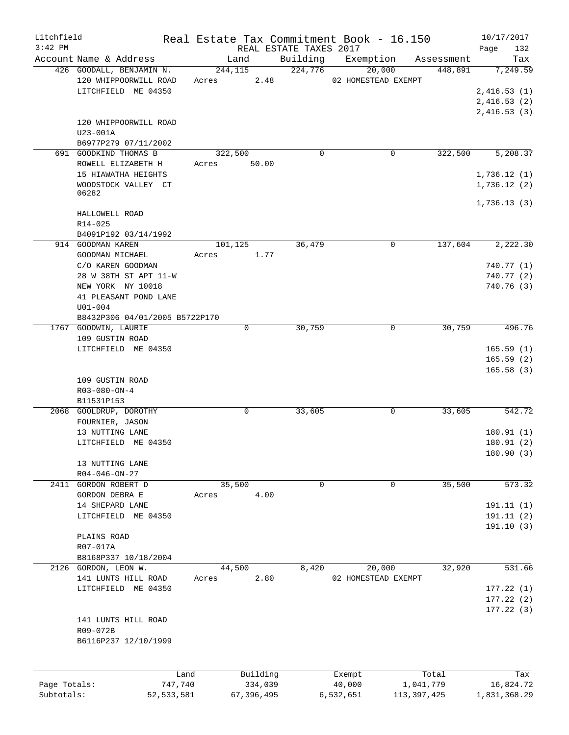| Litchfield   |                                |       |              |                        | Real Estate Tax Commitment Book - 16.150 |               | 10/17/2017   |
|--------------|--------------------------------|-------|--------------|------------------------|------------------------------------------|---------------|--------------|
| $3:42$ PM    |                                |       |              | REAL ESTATE TAXES 2017 |                                          |               | 132<br>Page  |
|              | Account Name & Address         |       | Land         | Building               | Exemption                                | Assessment    | Tax          |
|              | 426 GOODALL, BENJAMIN N.       |       | 244,115      | 224,776                | 20,000                                   | 448,891       | 7,249.59     |
|              | 120 WHIPPOORWILL ROAD          | Acres | 2.48         |                        | 02 HOMESTEAD EXEMPT                      |               |              |
|              | LITCHFIELD ME 04350            |       |              |                        |                                          |               | 2,416.53(1)  |
|              |                                |       |              |                        |                                          |               | 2,416.53(2)  |
|              |                                |       |              |                        |                                          |               | 2,416.53(3)  |
|              | 120 WHIPPOORWILL ROAD          |       |              |                        |                                          |               |              |
|              | U23-001A                       |       |              |                        |                                          |               |              |
|              | B6977P279 07/11/2002           |       |              |                        |                                          |               |              |
|              | 691 GOODKIND THOMAS B          |       | 322,500      | $\mathbf 0$            |                                          | 0<br>322,500  | 5,208.37     |
|              | ROWELL ELIZABETH H             | Acres | 50.00        |                        |                                          |               |              |
|              | 15 HIAWATHA HEIGHTS            |       |              |                        |                                          |               | 1,736.12(1)  |
|              | WOODSTOCK VALLEY CT            |       |              |                        |                                          |               | 1,736.12(2)  |
|              | 06282                          |       |              |                        |                                          |               |              |
|              |                                |       |              |                        |                                          |               | 1,736.13(3)  |
|              | HALLOWELL ROAD                 |       |              |                        |                                          |               |              |
|              | R14-025                        |       |              |                        |                                          |               |              |
|              | B4091P192 03/14/1992           |       |              |                        |                                          |               |              |
|              | 914 GOODMAN KAREN              |       | 101,125      | 36,479                 |                                          | 0<br>137,604  | 2,222.30     |
|              | GOODMAN MICHAEL                | Acres | 1.77         |                        |                                          |               |              |
|              | C/O KAREN GOODMAN              |       |              |                        |                                          |               | 740.77(1)    |
|              | 28 W 38TH ST APT 11-W          |       |              |                        |                                          |               | 740.77 (2)   |
|              | NEW YORK NY 10018              |       |              |                        |                                          |               | 740.76(3)    |
|              | 41 PLEASANT POND LANE          |       |              |                        |                                          |               |              |
|              | $U01 - 004$                    |       |              |                        |                                          |               |              |
|              | B8432P306 04/01/2005 B5722P170 |       |              |                        |                                          |               |              |
|              | 1767 GOODWIN, LAURIE           |       | $\mathbf 0$  | 30,759                 |                                          | 30,759<br>0   | 496.76       |
|              | 109 GUSTIN ROAD                |       |              |                        |                                          |               |              |
|              | LITCHFIELD ME 04350            |       |              |                        |                                          |               | 165.59(1)    |
|              |                                |       |              |                        |                                          |               | 165.59(2)    |
|              |                                |       |              |                        |                                          |               |              |
|              |                                |       |              |                        |                                          |               | 165.58(3)    |
|              | 109 GUSTIN ROAD                |       |              |                        |                                          |               |              |
|              | $R03 - 080 - ON - 4$           |       |              |                        |                                          |               |              |
|              | B11531P153                     |       |              |                        |                                          |               |              |
|              | 2068 GOOLDRUP, DOROTHY         |       | 0            | 33,605                 |                                          | 0<br>33,605   | 542.72       |
|              | FOURNIER, JASON                |       |              |                        |                                          |               |              |
|              | 13 NUTTING LANE                |       |              |                        |                                          |               | 180.91(1)    |
|              | LITCHFIELD ME 04350            |       |              |                        |                                          |               | 180.91(2)    |
|              |                                |       |              |                        |                                          |               | 180.90 (3)   |
|              | 13 NUTTING LANE                |       |              |                        |                                          |               |              |
|              | $R04 - 046 - ON - 27$          |       |              |                        |                                          |               |              |
|              | 2411 GORDON ROBERT D           |       | 35,500       | 0                      |                                          | 35,500<br>0   | 573.32       |
|              | GORDON DEBRA E                 | Acres | 4.00         |                        |                                          |               |              |
|              | 14 SHEPARD LANE                |       |              |                        |                                          |               | 191.11(1)    |
|              | LITCHFIELD ME 04350            |       |              |                        |                                          |               | 191.11 (2)   |
|              |                                |       |              |                        |                                          |               | 191.10(3)    |
|              | PLAINS ROAD                    |       |              |                        |                                          |               |              |
|              | R07-017A                       |       |              |                        |                                          |               |              |
|              | B8168P337 10/18/2004           |       |              |                        |                                          |               |              |
|              | 2126 GORDON, LEON W.           |       | 44,500       | 8,420                  | 20,000                                   | 32,920        | 531.66       |
|              | 141 LUNTS HILL ROAD            | Acres | 2.80         |                        | 02 HOMESTEAD EXEMPT                      |               |              |
|              | LITCHFIELD ME 04350            |       |              |                        |                                          |               | 177.22(1)    |
|              |                                |       |              |                        |                                          |               | 177.22(2)    |
|              |                                |       |              |                        |                                          |               | 177.22(3)    |
|              | 141 LUNTS HILL ROAD            |       |              |                        |                                          |               |              |
|              | R09-072B                       |       |              |                        |                                          |               |              |
|              | B6116P237 12/10/1999           |       |              |                        |                                          |               |              |
|              |                                |       |              |                        |                                          |               |              |
|              |                                |       |              |                        |                                          |               |              |
|              |                                |       |              |                        |                                          |               |              |
|              |                                | Land  | Building     |                        | Exempt                                   | Total         | Tax          |
| Page Totals: | 747,740                        |       | 334,039      |                        | 40,000                                   | 1,041,779     | 16,824.72    |
| Subtotals:   | 52, 533, 581                   |       | 67, 396, 495 |                        | 6,532,651                                | 113, 397, 425 | 1,831,368.29 |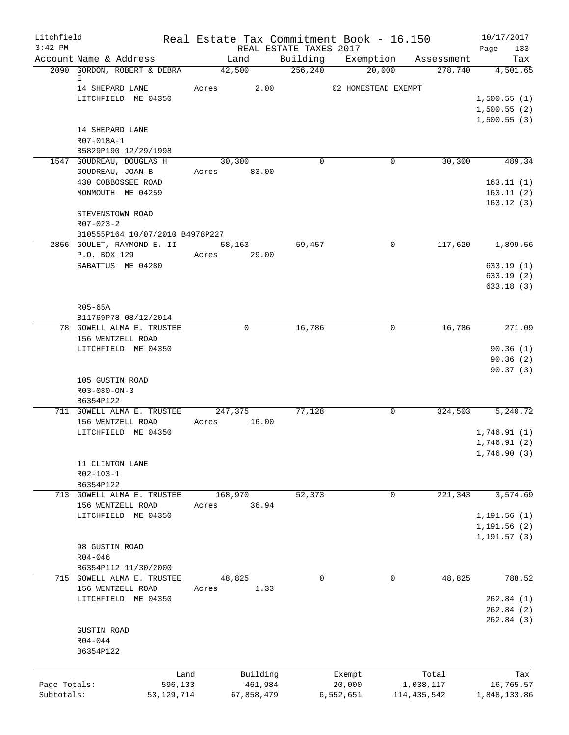| Litchfield   |                                                       | Real Estate Tax Commitment Book - 16.150 |                        |                              |                       | 10/17/2017                   |
|--------------|-------------------------------------------------------|------------------------------------------|------------------------|------------------------------|-----------------------|------------------------------|
| $3:42$ PM    |                                                       |                                          | REAL ESTATE TAXES 2017 |                              |                       | 133<br>Page                  |
|              | Account Name & Address<br>2090 GORDON, ROBERT & DEBRA | Land<br>42,500                           | 256, 240               | Building Exemption<br>20,000 | Assessment<br>278,740 | Tax<br>4,501.65              |
|              | Е                                                     |                                          |                        |                              |                       |                              |
|              | 14 SHEPARD LANE                                       | Acres 2.00                               |                        | 02 HOMESTEAD EXEMPT          |                       |                              |
|              | LITCHFIELD ME 04350                                   |                                          |                        |                              |                       | 1,500.55(1)                  |
|              |                                                       |                                          |                        |                              |                       | 1,500.55(2)                  |
|              | 14 SHEPARD LANE                                       |                                          |                        |                              |                       | 1,500.55(3)                  |
|              | R07-018A-1                                            |                                          |                        |                              |                       |                              |
|              | B5829P190 12/29/1998                                  |                                          |                        |                              |                       |                              |
|              | 1547 GOUDREAU, DOUGLAS H                              | 30,300                                   | $\Omega$               | 0                            | 30,300                | 489.34                       |
|              | GOUDREAU, JOAN B                                      | Acres 83.00                              |                        |                              |                       |                              |
|              | 430 COBBOSSEE ROAD                                    |                                          |                        |                              |                       | 163.11(1)                    |
|              | MONMOUTH ME 04259                                     |                                          |                        |                              |                       | 163.11(2)                    |
|              | STEVENSTOWN ROAD                                      |                                          |                        |                              |                       | 163.12(3)                    |
|              | R07-023-2                                             |                                          |                        |                              |                       |                              |
|              | B10555P164 10/07/2010 B4978P227                       |                                          |                        |                              |                       |                              |
|              | 2856 GOULET, RAYMOND E. II                            | 58,163                                   | 59,457                 | 0                            | 117,620               | 1,899.56                     |
|              | P.O. BOX 129                                          | Acres 29.00                              |                        |                              |                       |                              |
|              | SABATTUS ME 04280                                     |                                          |                        |                              |                       | 633.19(1)                    |
|              |                                                       |                                          |                        |                              |                       | 633.19(2)                    |
|              |                                                       |                                          |                        |                              |                       | 633.18(3)                    |
|              | R05-65A                                               |                                          |                        |                              |                       |                              |
|              | B11769P78 08/12/2014                                  |                                          |                        |                              |                       |                              |
|              | 78 GOWELL ALMA E. TRUSTEE                             | $\Omega$                                 | 16,786                 | $\mathbf 0$                  | 16,786                | 271.09                       |
|              | 156 WENTZELL ROAD                                     |                                          |                        |                              |                       |                              |
|              | LITCHFIELD ME 04350                                   |                                          |                        |                              |                       | 90.36(1)                     |
|              |                                                       |                                          |                        |                              |                       | 90.36(2)                     |
|              | 105 GUSTIN ROAD                                       |                                          |                        |                              |                       | 90.37(3)                     |
|              | $R03 - 080 - ON - 3$                                  |                                          |                        |                              |                       |                              |
|              | B6354P122                                             |                                          |                        |                              |                       |                              |
|              | 711 GOWELL ALMA E. TRUSTEE                            | 247,375                                  | 77,128                 | 0                            | 324,503               | 5,240.72                     |
|              | 156 WENTZELL ROAD                                     | 16.00<br>Acres                           |                        |                              |                       |                              |
|              | LITCHFIELD ME 04350                                   |                                          |                        |                              |                       | 1,746.91(1)                  |
|              |                                                       |                                          |                        |                              |                       | 1,746.91(2)<br>1,746.90 (3)  |
|              | 11 CLINTON LANE                                       |                                          |                        |                              |                       |                              |
|              | R02-103-1                                             |                                          |                        |                              |                       |                              |
|              | B6354P122                                             |                                          |                        |                              |                       |                              |
|              | 713 GOWELL ALMA E. TRUSTEE                            | 168,970                                  | 52,373                 | 0                            | 221,343               | 3,574.69                     |
|              | 156 WENTZELL ROAD                                     | 36.94<br>Acres                           |                        |                              |                       |                              |
|              | LITCHFIELD ME 04350                                   |                                          |                        |                              |                       | 1, 191.56(1)                 |
|              |                                                       |                                          |                        |                              |                       | 1,191.56 (2)<br>1, 191.57(3) |
|              | 98 GUSTIN ROAD                                        |                                          |                        |                              |                       |                              |
|              | $R04 - 046$                                           |                                          |                        |                              |                       |                              |
|              | B6354P112 11/30/2000                                  |                                          |                        |                              |                       |                              |
|              | 715 GOWELL ALMA E. TRUSTEE                            | 48,825                                   | $\Omega$               | $\mathbf 0$                  | 48,825                | 788.52                       |
|              | 156 WENTZELL ROAD                                     | 1.33<br>Acres                            |                        |                              |                       |                              |
|              | LITCHFIELD ME 04350                                   |                                          |                        |                              |                       | 262.84(1)                    |
|              |                                                       |                                          |                        |                              |                       | 262.84(2)<br>262.84(3)       |
|              | <b>GUSTIN ROAD</b>                                    |                                          |                        |                              |                       |                              |
|              | R04-044                                               |                                          |                        |                              |                       |                              |
|              | B6354P122                                             |                                          |                        |                              |                       |                              |
|              |                                                       |                                          |                        |                              |                       |                              |
|              |                                                       | Building<br>Land                         |                        | Exempt                       | Total                 | Tax                          |
| Page Totals: | 596,133                                               | 461,984                                  |                        | 20,000                       | 1,038,117             | 16,765.57                    |
| Subtotals:   | 53, 129, 714                                          | 67,858,479                               |                        | 6,552,651                    | 114, 435, 542         | 1,848,133.86                 |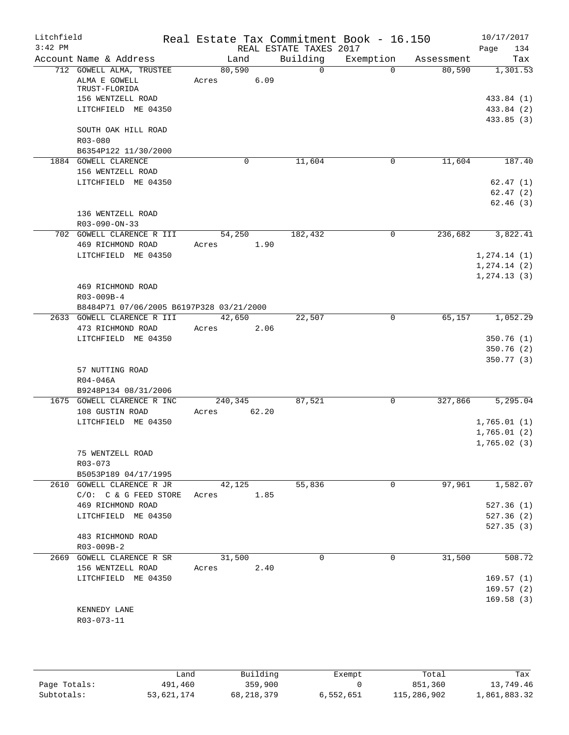| Litchfield<br>$3:42$ PM |                                          |         |       |                                    | Real Estate Tax Commitment Book - 16.150 |            | 10/17/2017                 |
|-------------------------|------------------------------------------|---------|-------|------------------------------------|------------------------------------------|------------|----------------------------|
|                         | Account Name & Address                   | Land    |       | REAL ESTATE TAXES 2017<br>Building | Exemption                                | Assessment | 134<br>Page<br>Tax         |
|                         | 712 GOWELL ALMA, TRUSTEE                 | 80,590  |       | $\overline{0}$                     | $\Omega$                                 | 80,590     | 1,301.53                   |
|                         | ALMA E GOWELL<br>TRUST-FLORIDA           | Acres   | 6.09  |                                    |                                          |            |                            |
|                         | 156 WENTZELL ROAD                        |         |       |                                    |                                          |            | 433.84 (1)                 |
|                         | LITCHFIELD ME 04350                      |         |       |                                    |                                          |            | 433.84 (2)                 |
|                         | SOUTH OAK HILL ROAD                      |         |       |                                    |                                          |            | 433.85 (3)                 |
|                         | R03-080                                  |         |       |                                    |                                          |            |                            |
|                         | B6354P122 11/30/2000                     |         |       |                                    |                                          |            |                            |
|                         | 1884 GOWELL CLARENCE                     |         | 0     | 11,604                             | 0                                        | 11,604     | 187.40                     |
|                         | 156 WENTZELL ROAD                        |         |       |                                    |                                          |            |                            |
|                         | LITCHFIELD ME 04350                      |         |       |                                    |                                          |            | 62.47(1)                   |
|                         |                                          |         |       |                                    |                                          |            | 62.47(2)                   |
|                         |                                          |         |       |                                    |                                          |            | 62.46(3)                   |
|                         | 136 WENTZELL ROAD<br>R03-090-ON-33       |         |       |                                    |                                          |            |                            |
|                         | 702 GOWELL CLARENCE R III                | 54,250  |       | 182,432                            | $\mathbf 0$                              | 236,682    | 3,822.41                   |
|                         | 469 RICHMOND ROAD                        | Acres   | 1.90  |                                    |                                          |            |                            |
|                         | LITCHFIELD ME 04350                      |         |       |                                    |                                          |            | 1, 274.14 (1)              |
|                         |                                          |         |       |                                    |                                          |            | 1, 274.14 (2)              |
|                         |                                          |         |       |                                    |                                          |            | 1, 274.13(3)               |
|                         | 469 RICHMOND ROAD<br>R03-009B-4          |         |       |                                    |                                          |            |                            |
|                         | B8484P71 07/06/2005 B6197P328 03/21/2000 |         |       |                                    |                                          |            |                            |
|                         | 2633 GOWELL CLARENCE R III               | 42,650  |       | 22,507                             | 0                                        | 65,157     | 1,052.29                   |
|                         | 473 RICHMOND ROAD                        | Acres   | 2.06  |                                    |                                          |            |                            |
|                         | LITCHFIELD ME 04350                      |         |       |                                    |                                          |            | 350.76(1)                  |
|                         |                                          |         |       |                                    |                                          |            | 350.76(2)                  |
|                         |                                          |         |       |                                    |                                          |            | 350.77 (3)                 |
|                         | 57 NUTTING ROAD                          |         |       |                                    |                                          |            |                            |
|                         | $R04 - 046A$                             |         |       |                                    |                                          |            |                            |
|                         | B9248P134 08/31/2006                     |         |       |                                    |                                          |            |                            |
|                         | 1675 GOWELL CLARENCE R INC               | 240,345 |       | 87,521                             | 0                                        | 327,866    | 5,295.04                   |
|                         | 108 GUSTIN ROAD                          | Acres   | 62.20 |                                    |                                          |            |                            |
|                         | LITCHFIELD ME 04350                      |         |       |                                    |                                          |            | 1,765.01(1)<br>1,765.01(2) |
|                         |                                          |         |       |                                    |                                          |            | 1,765.02(3)                |
|                         | 75 WENTZELL ROAD                         |         |       |                                    |                                          |            |                            |
|                         | $R03 - 073$                              |         |       |                                    |                                          |            |                            |
|                         | B5053P189 04/17/1995                     |         |       |                                    |                                          |            |                            |
|                         | 2610 GOWELL CLARENCE R JR                | 42,125  |       | 55,836                             | 0                                        | 97,961     | 1,582.07                   |
|                         | $C/O:$ $C & G$ FEED STORE                | Acres   | 1.85  |                                    |                                          |            |                            |
|                         | 469 RICHMOND ROAD                        |         |       |                                    |                                          |            | 527.36(1)                  |
|                         | LITCHFIELD ME 04350                      |         |       |                                    |                                          |            | 527.36(2)                  |
|                         |                                          |         |       |                                    |                                          |            | 527.35(3)                  |
|                         | 483 RICHMOND ROAD                        |         |       |                                    |                                          |            |                            |
|                         | R03-009B-2                               |         |       |                                    |                                          |            |                            |
|                         | 2669 GOWELL CLARENCE R SR                | 31,500  |       | 0                                  | 0                                        | 31,500     | 508.72                     |
|                         | 156 WENTZELL ROAD                        | Acres   | 2.40  |                                    |                                          |            |                            |
|                         | LITCHFIELD ME 04350                      |         |       |                                    |                                          |            | 169.57(1)                  |
|                         |                                          |         |       |                                    |                                          |            | 169.57(2)                  |
|                         |                                          |         |       |                                    |                                          |            | 169.58(3)                  |
|                         | KENNEDY LANE                             |         |       |                                    |                                          |            |                            |
|                         | R03-073-11                               |         |       |                                    |                                          |            |                            |
|                         |                                          |         |       |                                    |                                          |            |                            |

|              | úand       | Building   | Exempt    | Total       | Tax          |
|--------------|------------|------------|-----------|-------------|--------------|
| Page Totals: | 491,460    | 359,900    |           | 851,360     | 13,749.46    |
| Subtotals:   | 53,621,174 | 68,218,379 | 6,552,651 | 115,286,902 | 1,861,883.32 |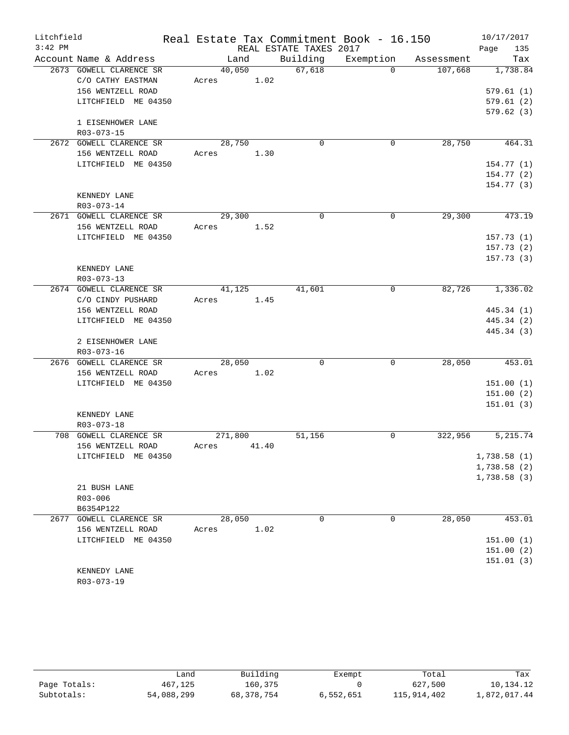| Litchfield |                                       |               |       |                        | Real Estate Tax Commitment Book - 16.150 |            | 10/17/2017                 |
|------------|---------------------------------------|---------------|-------|------------------------|------------------------------------------|------------|----------------------------|
| $3:42$ PM  |                                       |               |       | REAL ESTATE TAXES 2017 |                                          |            | 135<br>Page                |
|            | Account Name & Address                | Land          |       | Building               | Exemption                                | Assessment | Tax                        |
|            | 2673 GOWELL CLARENCE SR               | 40,050        |       | 67,618                 | $\Omega$                                 | 107,668    | 1,738.84                   |
|            | C/O CATHY EASTMAN                     | 1.02<br>Acres |       |                        |                                          |            |                            |
|            | 156 WENTZELL ROAD                     |               |       |                        |                                          |            | 579.61(1)                  |
|            | LITCHFIELD ME 04350                   |               |       |                        |                                          |            | 579.61(2)                  |
|            |                                       |               |       |                        |                                          |            | 579.62(3)                  |
|            | 1 EISENHOWER LANE                     |               |       |                        |                                          |            |                            |
|            | R03-073-15<br>2672 GOWELL CLARENCE SR | 28,750        |       | $\Omega$               | 0                                        | 28,750     | 464.31                     |
|            | 156 WENTZELL ROAD                     | Acres         | 1.30  |                        |                                          |            |                            |
|            | LITCHFIELD ME 04350                   |               |       |                        |                                          |            | 154.77(1)                  |
|            |                                       |               |       |                        |                                          |            | 154.77(2)                  |
|            |                                       |               |       |                        |                                          |            | 154.77(3)                  |
|            | KENNEDY LANE                          |               |       |                        |                                          |            |                            |
|            | R03-073-14                            |               |       |                        |                                          |            |                            |
|            | 2671 GOWELL CLARENCE SR               | 29,300        |       | $\Omega$               | 0                                        | 29,300     | 473.19                     |
|            | 156 WENTZELL ROAD                     | Acres         | 1.52  |                        |                                          |            |                            |
|            | LITCHFIELD ME 04350                   |               |       |                        |                                          |            | 157.73(1)                  |
|            |                                       |               |       |                        |                                          |            | 157.73 (2)                 |
|            |                                       |               |       |                        |                                          |            | 157.73(3)                  |
|            | KENNEDY LANE                          |               |       |                        |                                          |            |                            |
|            | R03-073-13                            |               |       |                        |                                          |            |                            |
|            | 2674 GOWELL CLARENCE SR               | 41,125        |       | 41,601                 | 0                                        | 82,726     | 1,336.02                   |
|            | C/O CINDY PUSHARD                     | Acres<br>1.45 |       |                        |                                          |            |                            |
|            | 156 WENTZELL ROAD                     |               |       |                        |                                          |            | 445.34 (1)                 |
|            | LITCHFIELD ME 04350                   |               |       |                        |                                          |            | 445.34 (2)                 |
|            |                                       |               |       |                        |                                          |            | 445.34 (3)                 |
|            | 2 EISENHOWER LANE                     |               |       |                        |                                          |            |                            |
|            | R03-073-16                            |               |       |                        |                                          |            |                            |
|            | 2676 GOWELL CLARENCE SR               | 28,050        |       | $\Omega$               | 0                                        | 28,050     | 453.01                     |
|            | 156 WENTZELL ROAD                     | Acres         | 1.02  |                        |                                          |            |                            |
|            | LITCHFIELD ME 04350                   |               |       |                        |                                          |            | 151.00(1)                  |
|            |                                       |               |       |                        |                                          |            | 151.00(2)                  |
|            |                                       |               |       |                        |                                          |            | 151.01(3)                  |
|            | KENNEDY LANE                          |               |       |                        |                                          |            |                            |
|            | R03-073-18                            |               |       |                        |                                          |            |                            |
|            | 708 GOWELL CLARENCE SR                | 271,800       |       | 51,156                 | 0                                        | 322,956    | 5,215.74                   |
|            | 156 WENTZELL ROAD                     | Acres         | 41.40 |                        |                                          |            |                            |
|            | LITCHFIELD ME 04350                   |               |       |                        |                                          |            | 1,738.58(1)<br>1,738.58(2) |
|            |                                       |               |       |                        |                                          |            | 1,738.58(3)                |
|            | 21 BUSH LANE                          |               |       |                        |                                          |            |                            |
|            | $R03 - 006$                           |               |       |                        |                                          |            |                            |
|            | B6354P122                             |               |       |                        |                                          |            |                            |
|            | 2677 GOWELL CLARENCE SR               | 28,050        |       | 0                      | 0                                        | 28,050     | 453.01                     |
|            | 156 WENTZELL ROAD                     | Acres         | 1.02  |                        |                                          |            |                            |
|            | LITCHFIELD ME 04350                   |               |       |                        |                                          |            | 151.00(1)                  |
|            |                                       |               |       |                        |                                          |            | 151.00(2)                  |
|            |                                       |               |       |                        |                                          |            | 151.01(3)                  |
|            | KENNEDY LANE                          |               |       |                        |                                          |            |                            |
|            | R03-073-19                            |               |       |                        |                                          |            |                            |

|              | Land       | Building   | Exempt    | Total       | Tax          |
|--------------|------------|------------|-----------|-------------|--------------|
| Page Totals: | 467,125    | 160,375    |           | 627,500     | 10,134.12    |
| Subtotals:   | 54,088,299 | 68,378,754 | 6,552,651 | 115,914,402 | 1,872,017.44 |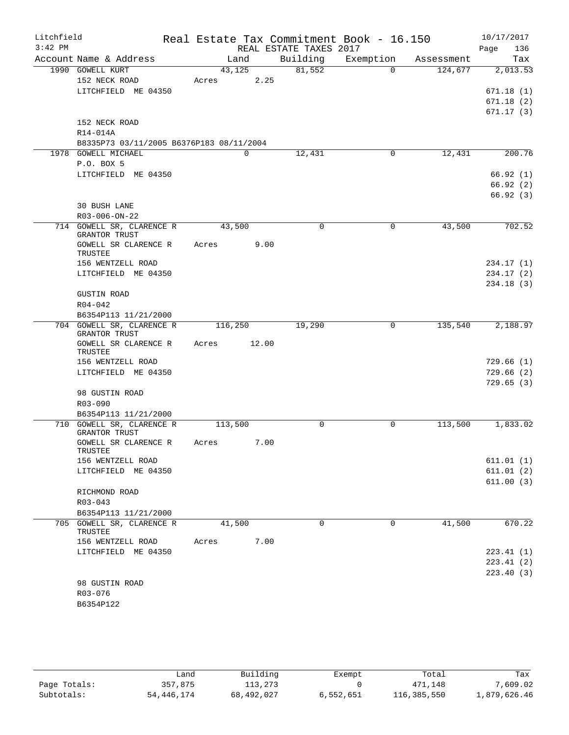| Litchfield<br>$3:42$ PM |                                            |         |       | REAL ESTATE TAXES 2017 | Real Estate Tax Commitment Book - 16.150 |            | 10/17/2017<br>136<br>Page |
|-------------------------|--------------------------------------------|---------|-------|------------------------|------------------------------------------|------------|---------------------------|
|                         | Account Name & Address                     | Land    |       | Building               | Exemption                                | Assessment | Tax                       |
|                         | 1990 GOWELL KURT                           | 43,125  |       | 81,552                 | $\Omega$                                 | 124,677    | 2,013.53                  |
|                         | 152 NECK ROAD                              | Acres   | 2.25  |                        |                                          |            |                           |
|                         | LITCHFIELD ME 04350                        |         |       |                        |                                          |            | 671.18(1)                 |
|                         |                                            |         |       |                        |                                          |            | 671.18(2)                 |
|                         |                                            |         |       |                        |                                          |            | 671.17(3)                 |
|                         | 152 NECK ROAD                              |         |       |                        |                                          |            |                           |
|                         | R14-014A                                   |         |       |                        |                                          |            |                           |
|                         | B8335P73 03/11/2005 B6376P183 08/11/2004   |         |       |                        |                                          |            |                           |
|                         | 1978 GOWELL MICHAEL                        | 0       |       | 12,431                 | $\mathbf 0$                              | 12,431     | 200.76                    |
|                         | P.O. BOX 5                                 |         |       |                        |                                          |            | 66.92(1)                  |
|                         | LITCHFIELD ME 04350                        |         |       |                        |                                          |            | 66.92(2)                  |
|                         |                                            |         |       |                        |                                          |            | 66.92(3)                  |
|                         | <b>30 BUSH LANE</b>                        |         |       |                        |                                          |            |                           |
|                         | R03-006-ON-22                              |         |       |                        |                                          |            |                           |
|                         | 714 GOWELL SR, CLARENCE R                  | 43,500  |       | $\Omega$               | 0                                        | 43,500     | 702.52                    |
|                         | <b>GRANTOR TRUST</b>                       |         |       |                        |                                          |            |                           |
|                         | GOWELL SR CLARENCE R<br>TRUSTEE            | Acres   | 9.00  |                        |                                          |            |                           |
|                         | 156 WENTZELL ROAD                          |         |       |                        |                                          |            | 234.17 (1)                |
|                         | LITCHFIELD ME 04350                        |         |       |                        |                                          |            | 234.17(2)                 |
|                         |                                            |         |       |                        |                                          |            | 234.18(3)                 |
|                         | <b>GUSTIN ROAD</b>                         |         |       |                        |                                          |            |                           |
|                         | $R04 - 042$                                |         |       |                        |                                          |            |                           |
|                         | B6354P113 11/21/2000                       |         |       |                        |                                          |            |                           |
|                         | 704 GOWELL SR, CLARENCE R<br>GRANTOR TRUST | 116,250 |       | 19,290                 | 0                                        | 135,540    | 2,188.97                  |
|                         | GOWELL SR CLARENCE R<br>TRUSTEE            | Acres   | 12.00 |                        |                                          |            |                           |
|                         | 156 WENTZELL ROAD                          |         |       |                        |                                          |            | 729.66 (1)                |
|                         | LITCHFIELD ME 04350                        |         |       |                        |                                          |            | 729.66(2)                 |
|                         |                                            |         |       |                        |                                          |            | 729.65(3)                 |
|                         | 98 GUSTIN ROAD                             |         |       |                        |                                          |            |                           |
|                         | R03-090                                    |         |       |                        |                                          |            |                           |
|                         | B6354P113 11/21/2000                       |         |       |                        |                                          |            |                           |
|                         | 710 GOWELL SR, CLARENCE R                  | 113,500 |       | 0                      | 0                                        | 113,500    | 1,833.02                  |
|                         | GRANTOR TRUST<br>GOWELL SR CLARENCE R      | Acres   | 7.00  |                        |                                          |            |                           |
|                         | TRUSTEE                                    |         |       |                        |                                          |            |                           |
|                         | 156 WENTZELL ROAD                          |         |       |                        |                                          |            | 611.01(1)                 |
|                         | LITCHFIELD ME 04350                        |         |       |                        |                                          |            | 611.01(2)                 |
|                         |                                            |         |       |                        |                                          |            | 611.00(3)                 |
|                         | RICHMOND ROAD                              |         |       |                        |                                          |            |                           |
|                         | $R03 - 043$                                |         |       |                        |                                          |            |                           |
|                         | B6354P113 11/21/2000                       |         |       |                        |                                          |            |                           |
|                         | 705 GOWELL SR, CLARENCE R<br>TRUSTEE       | 41,500  |       | $\Omega$               | 0                                        | 41,500     | 670.22                    |
|                         | 156 WENTZELL ROAD                          | Acres   | 7.00  |                        |                                          |            |                           |
|                         | LITCHFIELD ME 04350                        |         |       |                        |                                          |            | 223.41(1)                 |
|                         |                                            |         |       |                        |                                          |            | 223.41 (2)                |
|                         |                                            |         |       |                        |                                          |            | 223.40 (3)                |
|                         | 98 GUSTIN ROAD                             |         |       |                        |                                          |            |                           |
|                         | R03-076                                    |         |       |                        |                                          |            |                           |
|                         | B6354P122                                  |         |       |                        |                                          |            |                           |

|              | Land       | Building   | Exempt    | Total       | Tax          |
|--------------|------------|------------|-----------|-------------|--------------|
| Page Totals: | 357,875    | 113,273    |           | 471,148     | 7,609.02     |
| Subtotals:   | 54,446,174 | 68,492,027 | 6,552,651 | 116,385,550 | 1,879,626.46 |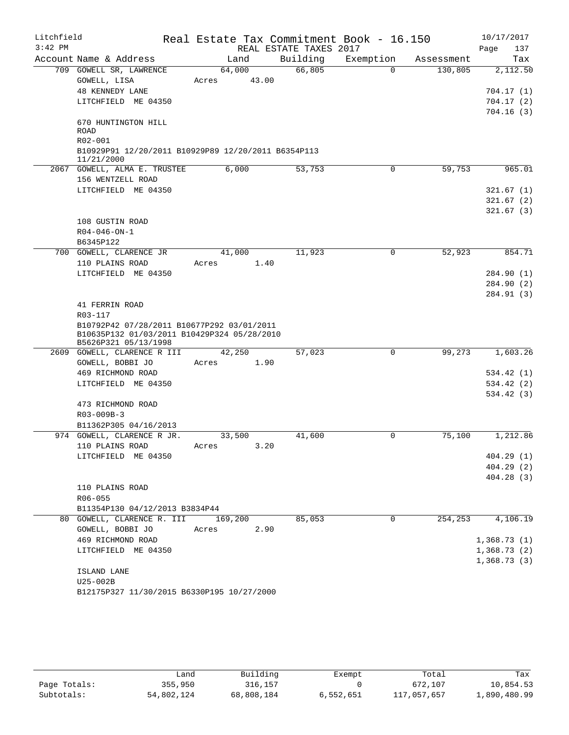| Litchfield<br>$3:42$ PM |                                                                     |            | Real Estate Tax Commitment Book - 16.150<br>REAL ESTATE TAXES 2017 |             |            | 10/17/2017<br>Page<br>137 |
|-------------------------|---------------------------------------------------------------------|------------|--------------------------------------------------------------------|-------------|------------|---------------------------|
|                         | Account Name & Address                                              | Land       | Building                                                           | Exemption   | Assessment | Tax                       |
|                         | 709 GOWELL SR, LAWRENCE                                             | 64,000     | 66,805                                                             | $\Omega$    | 130,805    | 2,112.50                  |
|                         | GOWELL, LISA                                                        | Acres      | 43.00                                                              |             |            |                           |
|                         | <b>48 KENNEDY LANE</b>                                              |            |                                                                    |             |            | 704.17(1)                 |
|                         | LITCHFIELD ME 04350                                                 |            |                                                                    |             |            | 704.17(2)                 |
|                         |                                                                     |            |                                                                    |             |            | 704.16(3)                 |
|                         | 670 HUNTINGTON HILL<br>ROAD                                         |            |                                                                    |             |            |                           |
|                         | $R02 - 001$                                                         |            |                                                                    |             |            |                           |
|                         | B10929P91 12/20/2011 B10929P89 12/20/2011 B6354P113<br>11/21/2000   |            |                                                                    |             |            |                           |
|                         | 2067 GOWELL, ALMA E. TRUSTEE                                        | 6,000      | 53,753                                                             | $\Omega$    | 59,753     | 965.01                    |
|                         | 156 WENTZELL ROAD                                                   |            |                                                                    |             |            |                           |
|                         | LITCHFIELD ME 04350                                                 |            |                                                                    |             |            | 321.67(1)                 |
|                         |                                                                     |            |                                                                    |             |            | 321.67(2)                 |
|                         |                                                                     |            |                                                                    |             |            | 321.67(3)                 |
|                         | 108 GUSTIN ROAD                                                     |            |                                                                    |             |            |                           |
|                         | $R04 - 046 - ON - 1$                                                |            |                                                                    |             |            |                           |
|                         | B6345P122                                                           |            |                                                                    |             |            |                           |
| 700                     | GOWELL, CLARENCE JR                                                 | 41,000     | 11,923                                                             | $\mathbf 0$ | 52,923     | 854.71                    |
|                         | 110 PLAINS ROAD                                                     | Acres      | 1.40                                                               |             |            |                           |
|                         | LITCHFIELD ME 04350                                                 |            |                                                                    |             |            | 284.90 (1)                |
|                         |                                                                     |            |                                                                    |             |            | 284.90 (2)                |
|                         |                                                                     |            |                                                                    |             |            | 284.91 (3)                |
|                         | 41 FERRIN ROAD                                                      |            |                                                                    |             |            |                           |
|                         | R03-117                                                             |            |                                                                    |             |            |                           |
|                         | B10792P42 07/28/2011 B10677P292 03/01/2011                          |            |                                                                    |             |            |                           |
|                         | B10635P132 01/03/2011 B10429P324 05/28/2010<br>B5626P321 05/13/1998 |            |                                                                    |             |            |                           |
| 2609                    | GOWELL, CLARENCE R III                                              | 42,250     | 57,023                                                             | 0           | 99,273     | 1,603.26                  |
|                         | GOWELL, BOBBI JO                                                    | Acres      | 1.90                                                               |             |            |                           |
|                         | 469 RICHMOND ROAD                                                   |            |                                                                    |             |            | 534.42 (1)                |
|                         | LITCHFIELD ME 04350                                                 |            |                                                                    |             |            | 534.42 (2)                |
|                         |                                                                     |            |                                                                    |             |            | 534.42(3)                 |
|                         | 473 RICHMOND ROAD                                                   |            |                                                                    |             |            |                           |
|                         | R03-009B-3                                                          |            |                                                                    |             |            |                           |
|                         | B11362P305 04/16/2013                                               |            |                                                                    |             |            |                           |
|                         | 974 GOWELL, CLARENCE R JR.                                          | 33,500     | 41,600                                                             | 0           | 75,100     | 1,212.86                  |
|                         | 110 PLAINS ROAD                                                     | Acres 3.20 |                                                                    |             |            |                           |
|                         | LITCHFIELD ME 04350                                                 |            |                                                                    |             |            | 404.29(1)                 |
|                         |                                                                     |            |                                                                    |             |            | 404.29(2)                 |
|                         |                                                                     |            |                                                                    |             |            | 404.28(3)                 |
|                         | 110 PLAINS ROAD                                                     |            |                                                                    |             |            |                           |
|                         | R06-055                                                             |            |                                                                    |             |            |                           |
|                         | B11354P130 04/12/2013 B3834P44                                      |            |                                                                    |             |            |                           |
|                         | 80 GOWELL, CLARENCE R. III                                          | 169,200    | 85,053                                                             | $\mathbf 0$ | 254,253    | 4,106.19                  |
|                         | GOWELL, BOBBI JO                                                    | Acres      | 2.90                                                               |             |            |                           |
|                         | 469 RICHMOND ROAD                                                   |            |                                                                    |             |            | 1,368.73(1)               |
|                         | LITCHFIELD ME 04350                                                 |            |                                                                    |             |            | 1,368.73(2)               |
|                         |                                                                     |            |                                                                    |             |            | 1,368.73(3)               |
|                         | ISLAND LANE                                                         |            |                                                                    |             |            |                           |
|                         | U25-002B                                                            |            |                                                                    |             |            |                           |
|                         | B12175P327 11/30/2015 B6330P195 10/27/2000                          |            |                                                                    |             |            |                           |

|              | ∟and       | Building   | Exempt    | Total       | Tax          |
|--------------|------------|------------|-----------|-------------|--------------|
| Page Totals: | 355,950    | 316,157    |           | 672,107     | 10,854.53    |
| Subtotals:   | 54,802,124 | 68,808,184 | 6,552,651 | 117,057,657 | 1,890,480.99 |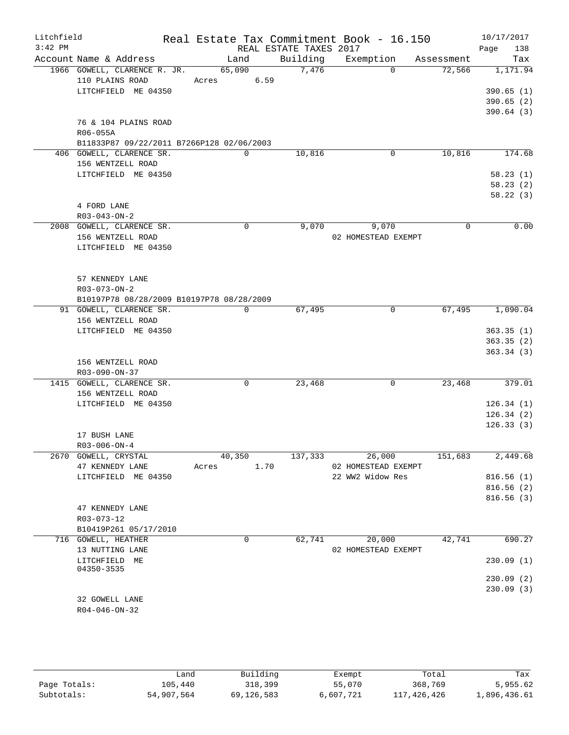| Litchfield<br>$3:42$ PM | Account Name & Address                    | Real Estate Tax Commitment Book - 16.150<br>Land | REAL ESTATE TAXES 2017<br>Building | Exemption           | Assessment | 10/17/2017<br>Page<br>138<br>Tax |
|-------------------------|-------------------------------------------|--------------------------------------------------|------------------------------------|---------------------|------------|----------------------------------|
|                         |                                           |                                                  |                                    | $\Omega$            |            |                                  |
|                         | 1966 GOWELL, CLARENCE R. JR.              | 65,090                                           | 7,476                              |                     | 72,566     | 1,171.94                         |
|                         | 110 PLAINS ROAD                           | 6.59<br>Acres                                    |                                    |                     |            |                                  |
|                         | LITCHFIELD ME 04350                       |                                                  |                                    |                     |            | 390.65(1)                        |
|                         |                                           |                                                  |                                    |                     |            | 390.65(2)                        |
|                         |                                           |                                                  |                                    |                     |            | 390.64(3)                        |
|                         | 76 & 104 PLAINS ROAD                      |                                                  |                                    |                     |            |                                  |
|                         | R06-055A                                  |                                                  |                                    |                     |            |                                  |
|                         | B11833P87 09/22/2011 B7266P128 02/06/2003 |                                                  |                                    |                     |            |                                  |
|                         | 406 GOWELL, CLARENCE SR.                  | $\Omega$                                         | 10,816                             | 0                   | 10,816     | 174.68                           |
|                         | 156 WENTZELL ROAD                         |                                                  |                                    |                     |            |                                  |
|                         | LITCHFIELD ME 04350                       |                                                  |                                    |                     |            | 58.23(1)                         |
|                         |                                           |                                                  |                                    |                     |            | 58.23(2)                         |
|                         |                                           |                                                  |                                    |                     |            | 58.22(3)                         |
|                         | 4 FORD LANE                               |                                                  |                                    |                     |            |                                  |
|                         | $R03 - 043 - ON - 2$                      |                                                  |                                    |                     |            |                                  |
|                         | 2008 GOWELL, CLARENCE SR.                 | $\Omega$                                         | 9,070                              | 9,070               | $\Omega$   | 0.00                             |
|                         | 156 WENTZELL ROAD                         |                                                  |                                    | 02 HOMESTEAD EXEMPT |            |                                  |
|                         | LITCHFIELD ME 04350                       |                                                  |                                    |                     |            |                                  |
|                         |                                           |                                                  |                                    |                     |            |                                  |
|                         |                                           |                                                  |                                    |                     |            |                                  |
|                         | 57 KENNEDY LANE                           |                                                  |                                    |                     |            |                                  |
|                         | R03-073-ON-2                              |                                                  |                                    |                     |            |                                  |
|                         | B10197P78 08/28/2009 B10197P78 08/28/2009 |                                                  |                                    |                     |            |                                  |
|                         | 91 GOWELL, CLARENCE SR.                   | $\overline{0}$                                   | 67,495                             | 0                   | 67,495     | 1,090.04                         |
|                         | 156 WENTZELL ROAD                         |                                                  |                                    |                     |            |                                  |
|                         | LITCHFIELD ME 04350                       |                                                  |                                    |                     |            | 363.35(1)                        |
|                         |                                           |                                                  |                                    |                     |            | 363.35(2)                        |
|                         |                                           |                                                  |                                    |                     |            | 363.34(3)                        |
|                         | 156 WENTZELL ROAD                         |                                                  |                                    |                     |            |                                  |
|                         | R03-090-ON-37                             |                                                  |                                    |                     |            |                                  |
|                         | 1415 GOWELL, CLARENCE SR.                 | $\mathbf 0$                                      | 23,468                             | 0                   | 23,468     | 379.01                           |
|                         | 156 WENTZELL ROAD                         |                                                  |                                    |                     |            |                                  |
|                         | LITCHFIELD ME 04350                       |                                                  |                                    |                     |            | 126.34(1)                        |
|                         |                                           |                                                  |                                    |                     |            | 126.34(2)                        |
|                         |                                           |                                                  |                                    |                     |            | 126.33(3)                        |
|                         | 17 BUSH LANE                              |                                                  |                                    |                     |            |                                  |
|                         | $R03 - 006 - ON - 4$                      |                                                  |                                    |                     |            |                                  |
|                         | 2670 GOWELL, CRYSTAL                      | 40,350                                           | 137,333                            | 26,000              | 151,683    | 2,449.68                         |
|                         | 47 KENNEDY LANE                           | 1.70<br>Acres                                    |                                    | 02 HOMESTEAD EXEMPT |            |                                  |
|                         | LITCHFIELD ME 04350                       |                                                  |                                    | 22 WW2 Widow Res    |            | 816.56(1)                        |
|                         |                                           |                                                  |                                    |                     |            | 816.56(2)                        |
|                         |                                           |                                                  |                                    |                     |            | 816.56(3)                        |
|                         | 47 KENNEDY LANE                           |                                                  |                                    |                     |            |                                  |
|                         | R03-073-12                                |                                                  |                                    |                     |            |                                  |
|                         | B10419P261 05/17/2010                     |                                                  |                                    |                     |            |                                  |
|                         | 716 GOWELL, HEATHER                       | 0                                                | 62,741                             | 20,000              | 42,741     | 690.27                           |
|                         | 13 NUTTING LANE                           |                                                  |                                    | 02 HOMESTEAD EXEMPT |            |                                  |
|                         | LITCHFIELD ME                             |                                                  |                                    |                     |            | 230.09(1)                        |
|                         | 04350-3535                                |                                                  |                                    |                     |            |                                  |
|                         |                                           |                                                  |                                    |                     |            | 230.09(2)                        |
|                         |                                           |                                                  |                                    |                     |            | 230.09(3)                        |
|                         | 32 GOWELL LANE                            |                                                  |                                    |                     |            |                                  |
|                         | $R04 - 046 - ON - 32$                     |                                                  |                                    |                     |            |                                  |
|                         |                                           |                                                  |                                    |                     |            |                                  |
|                         |                                           |                                                  |                                    |                     |            |                                  |
|                         |                                           |                                                  |                                    |                     |            |                                  |

|              | Land       | Building   | Exempt    | Total       | Tax          |
|--------------|------------|------------|-----------|-------------|--------------|
| Page Totals: | 105,440    | 318,399    | 55,070    | 368,769     | 5,955.62     |
| Subtotals:   | 54,907,564 | 69,126,583 | 6,607,721 | 117,426,426 | 1,896,436.61 |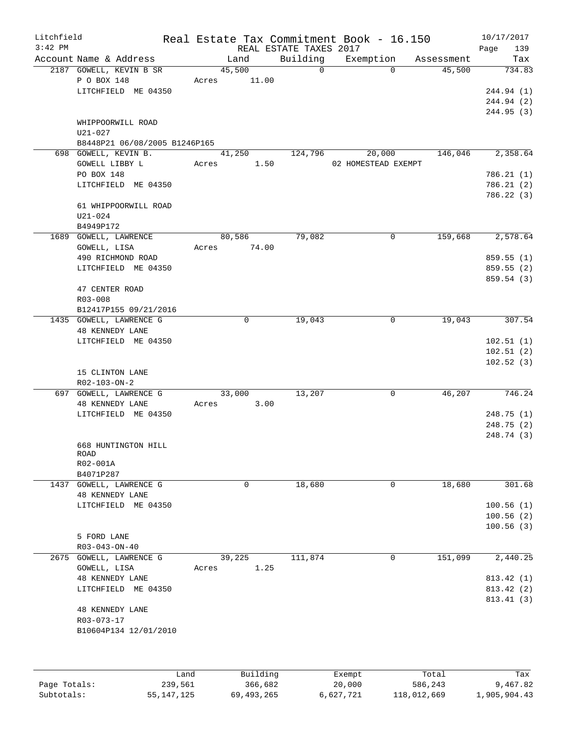| Litchfield   |                               |         |                |                        | Real Estate Tax Commitment Book - 16.150 |            | 10/17/2017  |
|--------------|-------------------------------|---------|----------------|------------------------|------------------------------------------|------------|-------------|
| $3:42$ PM    |                               |         |                | REAL ESTATE TAXES 2017 |                                          |            | 139<br>Page |
|              | Account Name & Address        |         | Land           | Building               | Exemption                                | Assessment | Tax         |
|              | 2187 GOWELL, KEVIN B SR       |         | 45,500         | $\Omega$               | $\Omega$                                 | 45,500     | 734.83      |
|              | P O BOX 148                   |         | 11.00<br>Acres |                        |                                          |            |             |
|              | LITCHFIELD ME 04350           |         |                |                        |                                          |            | 244.94 (1)  |
|              |                               |         |                |                        |                                          |            | 244.94 (2)  |
|              |                               |         |                |                        |                                          |            | 244.95 (3)  |
|              | WHIPPOORWILL ROAD             |         |                |                        |                                          |            |             |
|              | U21-027                       |         |                |                        |                                          |            |             |
|              | B8448P21 06/08/2005 B1246P165 |         |                |                        |                                          |            |             |
|              | 698 GOWELL, KEVIN B.          |         | 41,250         | 124,796                | 20,000                                   | 146,046    | 2,358.64    |
|              | GOWELL LIBBY L                |         | 1.50<br>Acres  |                        | 02 HOMESTEAD EXEMPT                      |            |             |
|              | PO BOX 148                    |         |                |                        |                                          |            | 786.21 (1)  |
|              | LITCHFIELD ME 04350           |         |                |                        |                                          |            | 786.21(2)   |
|              |                               |         |                |                        |                                          |            | 786.22 (3)  |
|              | 61 WHIPPOORWILL ROAD          |         |                |                        |                                          |            |             |
|              | $U21 - 024$                   |         |                |                        |                                          |            |             |
|              | B4949P172                     |         |                |                        |                                          |            |             |
|              | 1689 GOWELL, LAWRENCE         |         | 80,586         | 79,082                 | $\mathbf 0$                              | 159,668    | 2,578.64    |
|              | GOWELL, LISA                  |         | 74.00<br>Acres |                        |                                          |            |             |
|              | 490 RICHMOND ROAD             |         |                |                        |                                          |            | 859.55(1)   |
|              | LITCHFIELD ME 04350           |         |                |                        |                                          |            | 859.55 (2)  |
|              |                               |         |                |                        |                                          |            | 859.54 (3)  |
|              | 47 CENTER ROAD                |         |                |                        |                                          |            |             |
|              | R03-008                       |         |                |                        |                                          |            |             |
|              | B12417P155 09/21/2016         |         |                |                        |                                          |            |             |
|              | 1435 GOWELL, LAWRENCE G       |         | $\mathbf 0$    | 19,043                 | $\mathsf{O}$                             | 19,043     | 307.54      |
|              | <b>48 KENNEDY LANE</b>        |         |                |                        |                                          |            |             |
|              | LITCHFIELD ME 04350           |         |                |                        |                                          |            | 102.51(1)   |
|              |                               |         |                |                        |                                          |            | 102.51(2)   |
|              |                               |         |                |                        |                                          |            | 102.52(3)   |
|              | 15 CLINTON LANE               |         |                |                        |                                          |            |             |
|              | R02-103-ON-2                  |         |                |                        |                                          |            |             |
|              | 697 GOWELL, LAWRENCE G        |         | 33,000         | 13,207                 | $\mathbf 0$                              | 46,207     | 746.24      |
|              | <b>48 KENNEDY LANE</b>        |         | 3.00<br>Acres  |                        |                                          |            |             |
|              | LITCHFIELD ME 04350           |         |                |                        |                                          |            | 248.75 (1)  |
|              |                               |         |                |                        |                                          |            | 248.75 (2)  |
|              |                               |         |                |                        |                                          |            | 248.74 (3)  |
|              | 668 HUNTINGTON HILL           |         |                |                        |                                          |            |             |
|              | <b>ROAD</b>                   |         |                |                        |                                          |            |             |
|              | R02-001A                      |         |                |                        |                                          |            |             |
|              | B4071P287                     |         |                |                        |                                          |            |             |
| 1437         | GOWELL, LAWRENCE G            |         | 0              | 18,680                 | 0                                        | 18,680     | 301.68      |
|              | 48 KENNEDY LANE               |         |                |                        |                                          |            |             |
|              | LITCHFIELD ME 04350           |         |                |                        |                                          |            | 100.56(1)   |
|              |                               |         |                |                        |                                          |            | 100.56(2)   |
|              |                               |         |                |                        |                                          |            | 100.56(3)   |
|              | 5 FORD LANE                   |         |                |                        |                                          |            |             |
|              | R03-043-ON-40                 |         |                |                        |                                          |            |             |
| 2675         | GOWELL, LAWRENCE G            |         | 39,225         | 111,874                | 0                                        | 151,099    | 2,440.25    |
|              | GOWELL, LISA                  |         | 1.25<br>Acres  |                        |                                          |            |             |
|              | 48 KENNEDY LANE               |         |                |                        |                                          |            | 813.42 (1)  |
|              | LITCHFIELD ME 04350           |         |                |                        |                                          |            | 813.42 (2)  |
|              |                               |         |                |                        |                                          |            | 813.41 (3)  |
|              | <b>48 KENNEDY LANE</b>        |         |                |                        |                                          |            |             |
|              | R03-073-17                    |         |                |                        |                                          |            |             |
|              |                               |         |                |                        |                                          |            |             |
|              | B10604P134 12/01/2010         |         |                |                        |                                          |            |             |
|              |                               |         |                |                        |                                          |            |             |
|              |                               |         |                |                        |                                          |            |             |
|              |                               | Land    | Building       |                        | Exempt                                   | Total      | Tax         |
| Page Totals: |                               | 239,561 | 366,682        |                        | 20,000                                   | 586,243    | 9,467.82    |

Subtotals: 55,147,125 69,493,265 6,627,721 118,012,669 1,905,904.43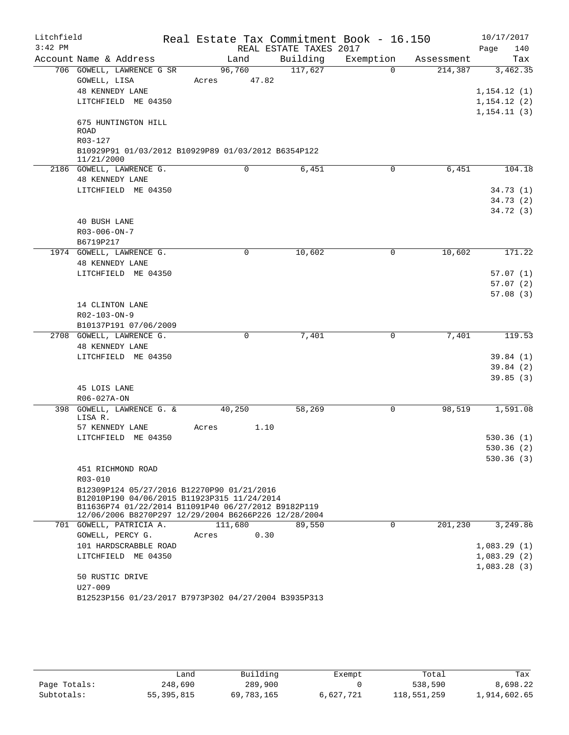| Litchfield |                                                                                                    |       |             |                        | Real Estate Tax Commitment Book - 16.150 |            | 10/17/2017   |
|------------|----------------------------------------------------------------------------------------------------|-------|-------------|------------------------|------------------------------------------|------------|--------------|
| $3:42$ PM  |                                                                                                    |       |             | REAL ESTATE TAXES 2017 |                                          |            | Page<br>140  |
|            | Account Name & Address                                                                             |       | Land        | Building               | Exemption                                | Assessment | Tax          |
|            | 706 GOWELL, LAWRENCE G SR                                                                          |       | 96,760      | 117,627                | $\Omega$                                 | 214,387    | 3,462.35     |
|            | GOWELL, LISA                                                                                       | Acres | 47.82       |                        |                                          |            |              |
|            | <b>48 KENNEDY LANE</b>                                                                             |       |             |                        |                                          |            | 1,154.12(1)  |
|            | LITCHFIELD ME 04350                                                                                |       |             |                        |                                          |            | 1, 154.12(2) |
|            |                                                                                                    |       |             |                        |                                          |            | 1, 154.11(3) |
|            | 675 HUNTINGTON HILL                                                                                |       |             |                        |                                          |            |              |
|            | ROAD                                                                                               |       |             |                        |                                          |            |              |
|            | R03-127                                                                                            |       |             |                        |                                          |            |              |
|            | B10929P91 01/03/2012 B10929P89 01/03/2012 B6354P122<br>11/21/2000                                  |       |             |                        |                                          |            |              |
|            | 2186 GOWELL, LAWRENCE G.                                                                           |       | $\mathbf 0$ | 6,451                  | $\mathbf 0$                              | 6,451      | 104.18       |
|            | <b>48 KENNEDY LANE</b>                                                                             |       |             |                        |                                          |            |              |
|            | LITCHFIELD ME 04350                                                                                |       |             |                        |                                          |            | 34.73(1)     |
|            |                                                                                                    |       |             |                        |                                          |            | 34.73(2)     |
|            |                                                                                                    |       |             |                        |                                          |            | 34.72(3)     |
|            | 40 BUSH LANE                                                                                       |       |             |                        |                                          |            |              |
|            | R03-006-ON-7                                                                                       |       |             |                        |                                          |            |              |
|            | B6719P217                                                                                          |       |             |                        |                                          |            |              |
|            | 1974 GOWELL, LAWRENCE G.                                                                           |       | 0           | 10,602                 | 0                                        | 10,602     | 171.22       |
|            | <b>48 KENNEDY LANE</b>                                                                             |       |             |                        |                                          |            |              |
|            | LITCHFIELD ME 04350                                                                                |       |             |                        |                                          |            | 57.07(1)     |
|            |                                                                                                    |       |             |                        |                                          |            | 57.07(2)     |
|            |                                                                                                    |       |             |                        |                                          |            | 57.08(3)     |
|            | 14 CLINTON LANE                                                                                    |       |             |                        |                                          |            |              |
|            | R02-103-ON-9                                                                                       |       |             |                        |                                          |            |              |
|            | B10137P191 07/06/2009                                                                              |       |             |                        |                                          |            |              |
|            | 2708 GOWELL, LAWRENCE G.                                                                           |       | 0           | 7,401                  | 0                                        | 7,401      | 119.53       |
|            | <b>48 KENNEDY LANE</b>                                                                             |       |             |                        |                                          |            |              |
|            | LITCHFIELD ME 04350                                                                                |       |             |                        |                                          |            | 39.84(1)     |
|            |                                                                                                    |       |             |                        |                                          |            | 39.84 (2)    |
|            |                                                                                                    |       |             |                        |                                          |            | 39.85(3)     |
|            | 45 LOIS LANE                                                                                       |       |             |                        |                                          |            |              |
|            | R06-027A-ON                                                                                        |       |             |                        |                                          |            |              |
| 398        | GOWELL, LAWRENCE G. &                                                                              |       | 40,250      | 58,269                 | 0                                        | 98,519     | 1,591.08     |
|            | LISA R.                                                                                            |       |             |                        |                                          |            |              |
|            | 57 KENNEDY LANE                                                                                    | Acres | 1.10        |                        |                                          |            |              |
|            | LITCHFIELD ME 04350                                                                                |       |             |                        |                                          |            | 530.36(1)    |
|            |                                                                                                    |       |             |                        |                                          |            | 530.36 (2)   |
|            |                                                                                                    |       |             |                        |                                          |            | 530.36(3)    |
|            | 451 RICHMOND ROAD                                                                                  |       |             |                        |                                          |            |              |
|            | $R03 - 010$                                                                                        |       |             |                        |                                          |            |              |
|            | B12309P124 05/27/2016 B12270P90 01/21/2016                                                         |       |             |                        |                                          |            |              |
|            | B12010P190 04/06/2015 B11923P315 11/24/2014<br>B11636P74 01/22/2014 B11091P40 06/27/2012 B9182P119 |       |             |                        |                                          |            |              |
|            | 12/06/2006 B8270P297 12/29/2004 B6266P226 12/28/2004                                               |       |             |                        |                                          |            |              |
|            | 701 GOWELL, PATRICIA A.                                                                            |       | 111,680     | 89,550                 | $\mathbf 0$                              | 201,230    | 3,249.86     |
|            | GOWELL, PERCY G.                                                                                   | Acres | 0.30        |                        |                                          |            |              |
|            | 101 HARDSCRABBLE ROAD                                                                              |       |             |                        |                                          |            | 1,083.29(1)  |
|            | LITCHFIELD ME 04350                                                                                |       |             |                        |                                          |            | 1,083.29(2)  |
|            |                                                                                                    |       |             |                        |                                          |            | 1,083.28(3)  |
|            | 50 RUSTIC DRIVE                                                                                    |       |             |                        |                                          |            |              |
|            | $U27 - 009$                                                                                        |       |             |                        |                                          |            |              |
|            | B12523P156 01/23/2017 B7973P302 04/27/2004 B3935P313                                               |       |             |                        |                                          |            |              |

|              | Land       | Building   | Exempt    | Total       | Tax          |
|--------------|------------|------------|-----------|-------------|--------------|
| Page Totals: | 248,690    | 289,900    |           | 538,590     | 8,698.22     |
| Subtotals:   | 55,395,815 | 69,783,165 | 6,627,721 | 118,551,259 | 1,914,602.65 |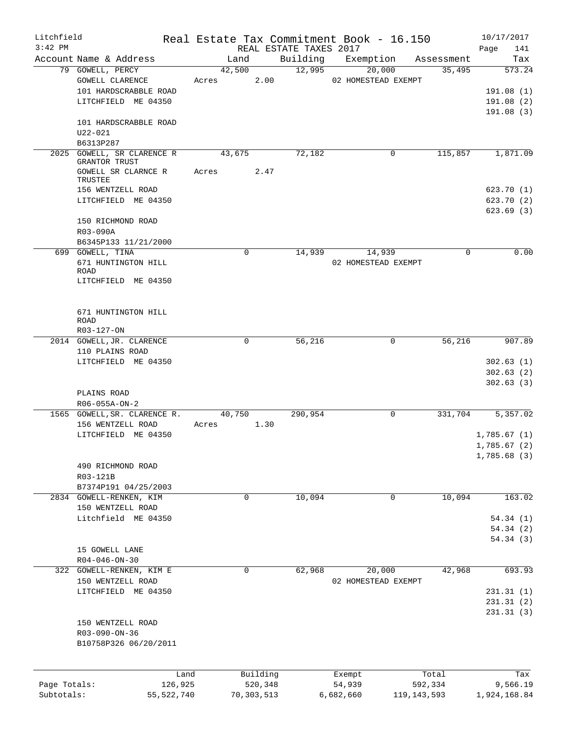| Litchfield   |                                                                                     |              |       |             |      |                        | Real Estate Tax Commitment Book - 16.150 |               |            |      | 10/17/2017                                |
|--------------|-------------------------------------------------------------------------------------|--------------|-------|-------------|------|------------------------|------------------------------------------|---------------|------------|------|-------------------------------------------|
| $3:42$ PM    |                                                                                     |              |       |             |      | REAL ESTATE TAXES 2017 |                                          |               |            | Page | 141                                       |
|              | Account Name & Address                                                              |              |       | Land        |      | Building               | Exemption                                |               | Assessment |      | Tax                                       |
|              | 79 GOWELL, PERCY<br>GOWELL CLARENCE<br>101 HARDSCRABBLE ROAD<br>LITCHFIELD ME 04350 |              | Acres | 42,500      | 2.00 | 12,995                 | 20,000<br>02 HOMESTEAD EXEMPT            |               | 35,495     |      | 573.24<br>191.08(1)<br>191.08(2)          |
|              | 101 HARDSCRABBLE ROAD                                                               |              |       |             |      |                        |                                          |               |            |      | 191.08(3)                                 |
|              | $U22 - 021$<br>B6313P287                                                            |              |       |             |      |                        |                                          |               |            |      |                                           |
|              | 2025 GOWELL, SR CLARENCE R                                                          |              |       | 43,675      |      | 72,182                 |                                          | 0             | 115,857    |      | 1,871.09                                  |
|              | GRANTOR TRUST<br>GOWELL SR CLARNCE R<br>TRUSTEE                                     |              | Acres |             | 2.47 |                        |                                          |               |            |      |                                           |
|              | 156 WENTZELL ROAD<br>LITCHFIELD ME 04350                                            |              |       |             |      |                        |                                          |               |            |      | 623.70(1)<br>623.70(2)<br>623.69(3)       |
|              | 150 RICHMOND ROAD<br>R03-090A<br>B6345P133 11/21/2000                               |              |       |             |      |                        |                                          |               |            |      |                                           |
|              | 699 GOWELL, TINA                                                                    |              |       | 0           |      | 14,939                 | 14,939                                   |               | 0          |      | 0.00                                      |
|              | 671 HUNTINGTON HILL<br><b>ROAD</b><br>LITCHFIELD ME 04350                           |              |       |             |      |                        | 02 HOMESTEAD EXEMPT                      |               |            |      |                                           |
|              |                                                                                     |              |       |             |      |                        |                                          |               |            |      |                                           |
|              | 671 HUNTINGTON HILL<br><b>ROAD</b><br>R03-127-ON                                    |              |       |             |      |                        |                                          |               |            |      |                                           |
|              | 2014 GOWELL, JR. CLARENCE                                                           |              |       | 0           |      | 56,216                 |                                          | $\mathbf 0$   | 56,216     |      | 907.89                                    |
|              | 110 PLAINS ROAD                                                                     |              |       |             |      |                        |                                          |               |            |      |                                           |
|              | LITCHFIELD ME 04350                                                                 |              |       |             |      |                        |                                          |               |            |      | 302.63(1)<br>302.63(2)<br>302.63(3)       |
|              | PLAINS ROAD<br>R06-055A-ON-2                                                        |              |       |             |      |                        |                                          |               |            |      |                                           |
|              | 1565 GOWELL, SR. CLARENCE R.                                                        |              |       | 40,750      |      | 290,954                |                                          | 0             | 331,704    |      | 5,357.02                                  |
|              | 156 WENTZELL ROAD                                                                   |              | Acres |             | 1.30 |                        |                                          |               |            |      |                                           |
|              | LITCHFIELD ME 04350                                                                 |              |       |             |      |                        |                                          |               |            |      | 1,785.67(1)<br>1,785.67(2)<br>1,785.68(3) |
|              | 490 RICHMOND ROAD<br>R03-121B<br>B7374P191 04/25/2003                               |              |       |             |      |                        |                                          |               |            |      |                                           |
|              | 2834 GOWELL-RENKEN, KIM                                                             |              |       | $\mathbf 0$ |      | 10,094                 |                                          | 0             | 10,094     |      | 163.02                                    |
|              | 150 WENTZELL ROAD                                                                   |              |       |             |      |                        |                                          |               |            |      |                                           |
|              | Litchfield ME 04350                                                                 |              |       |             |      |                        |                                          |               |            |      | 54.34(1)                                  |
|              |                                                                                     |              |       |             |      |                        |                                          |               |            |      | 54.34(2)                                  |
|              | 15 GOWELL LANE                                                                      |              |       |             |      |                        |                                          |               |            |      | 54.34(3)                                  |
|              | $R04 - 046 - ON - 30$                                                               |              |       |             |      |                        |                                          |               |            |      |                                           |
|              | 322 GOWELL-RENKEN, KIM E                                                            |              |       | 0           |      | 62,968                 | 20,000                                   |               | 42,968     |      | 693.93                                    |
|              | 150 WENTZELL ROAD                                                                   |              |       |             |      |                        | 02 HOMESTEAD EXEMPT                      |               |            |      |                                           |
|              | LITCHFIELD ME 04350                                                                 |              |       |             |      |                        |                                          |               |            |      | 231.31(1)                                 |
|              |                                                                                     |              |       |             |      |                        |                                          |               |            |      | 231.31(2)                                 |
|              | 150 WENTZELL ROAD<br>R03-090-ON-36<br>B10758P326 06/20/2011                         |              |       |             |      |                        |                                          |               |            |      | 231.31(3)                                 |
|              |                                                                                     |              |       |             |      |                        |                                          |               |            |      |                                           |
|              |                                                                                     | Land         |       | Building    |      |                        |                                          |               | Total      |      | Tax                                       |
| Page Totals: |                                                                                     | 126,925      |       | 520,348     |      |                        | Exempt<br>54,939                         |               | 592,334    |      | 9,566.19                                  |
| Subtotals:   |                                                                                     | 55, 522, 740 |       | 70,303,513  |      |                        | 6,682,660                                | 119, 143, 593 |            |      | 1,924,168.84                              |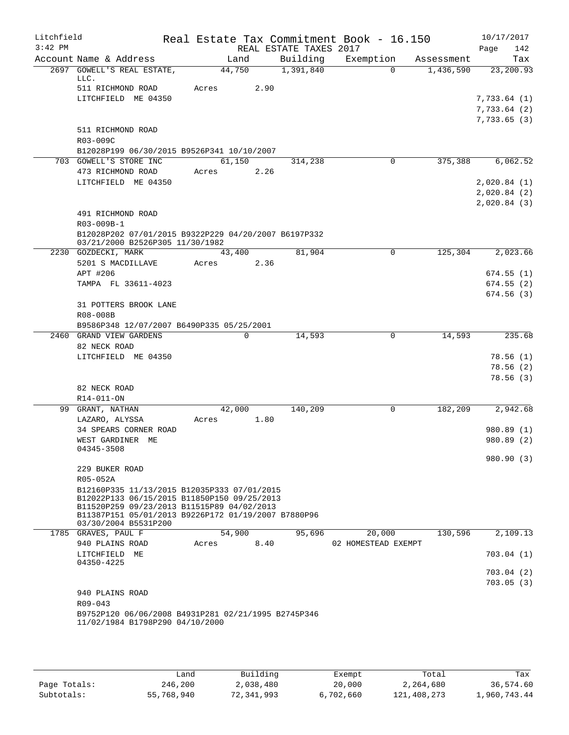| Litchfield |                                                                                           |        |      |                        | Real Estate Tax Commitment Book - 16.150 |            | 10/17/2017  |
|------------|-------------------------------------------------------------------------------------------|--------|------|------------------------|------------------------------------------|------------|-------------|
| $3:42$ PM  |                                                                                           |        |      | REAL ESTATE TAXES 2017 |                                          |            | 142<br>Page |
|            | Account Name & Address                                                                    | Land   |      | Building               | Exemption                                | Assessment | Tax         |
|            | 2697 GOWELL'S REAL ESTATE,<br>LLC.                                                        | 44,750 |      | 1,391,840              | $\Omega$                                 | 1,436,590  | 23, 200.93  |
|            | 511 RICHMOND ROAD                                                                         | Acres  | 2.90 |                        |                                          |            |             |
|            | LITCHFIELD ME 04350                                                                       |        |      |                        |                                          |            | 7,733.64(1) |
|            |                                                                                           |        |      |                        |                                          |            | 7,733.64(2) |
|            |                                                                                           |        |      |                        |                                          |            | 7,733.65(3) |
|            | 511 RICHMOND ROAD                                                                         |        |      |                        |                                          |            |             |
|            | R03-009C<br>B12028P199 06/30/2015 B9526P341 10/10/2007                                    |        |      |                        |                                          |            |             |
|            | 703 GOWELL'S STORE INC                                                                    | 61,150 |      | 314,238                | 0                                        | 375,388    | 6,062.52    |
|            | 473 RICHMOND ROAD                                                                         | Acres  | 2.26 |                        |                                          |            |             |
|            | LITCHFIELD ME 04350                                                                       |        |      |                        |                                          |            | 2,020.84(1) |
|            |                                                                                           |        |      |                        |                                          |            | 2,020.84(2) |
|            |                                                                                           |        |      |                        |                                          |            | 2,020.84(3) |
|            | 491 RICHMOND ROAD                                                                         |        |      |                        |                                          |            |             |
|            | R03-009B-1                                                                                |        |      |                        |                                          |            |             |
|            | B12028P202 07/01/2015 B9322P229 04/20/2007 B6197P332<br>03/21/2000 B2526P305 11/30/1982   |        |      |                        |                                          |            |             |
|            | 2230 GOZDECKI, MARK                                                                       | 43,400 |      | 81,904                 | 0                                        | 125,304    | 2,023.66    |
|            | 5201 S MACDILLAVE                                                                         | Acres  | 2.36 |                        |                                          |            |             |
|            | APT #206                                                                                  |        |      |                        |                                          |            | 674.55(1)   |
|            | TAMPA FL 33611-4023                                                                       |        |      |                        |                                          |            | 674.55(2)   |
|            | 31 POTTERS BROOK LANE                                                                     |        |      |                        |                                          |            | 674.56(3)   |
|            | R08-008B                                                                                  |        |      |                        |                                          |            |             |
|            | B9586P348 12/07/2007 B6490P335 05/25/2001                                                 |        |      |                        |                                          |            |             |
|            | 2460 GRAND VIEW GARDENS                                                                   |        | 0    | 14,593                 | 0                                        | 14,593     | 235.68      |
|            | 82 NECK ROAD                                                                              |        |      |                        |                                          |            |             |
|            | LITCHFIELD ME 04350                                                                       |        |      |                        |                                          |            | 78.56(1)    |
|            |                                                                                           |        |      |                        |                                          |            | 78.56(2)    |
|            |                                                                                           |        |      |                        |                                          |            | 78.56(3)    |
|            | 82 NECK ROAD                                                                              |        |      |                        |                                          |            |             |
|            | R14-011-ON                                                                                |        |      |                        |                                          |            |             |
| 99         | GRANT, NATHAN                                                                             | 42,000 |      | 140,209                | 0                                        | 182,209    | 2,942.68    |
|            | LAZARO, ALYSSA                                                                            | Acres  | 1.80 |                        |                                          |            |             |
|            | 34 SPEARS CORNER ROAD                                                                     |        |      |                        |                                          |            | 980.89 (1)  |
|            | WEST GARDINER ME<br>04345-3508                                                            |        |      |                        |                                          |            | 980.89(2)   |
|            |                                                                                           |        |      |                        |                                          |            | 980.90 (3)  |
|            | 229 BUKER ROAD                                                                            |        |      |                        |                                          |            |             |
|            | R05-052A                                                                                  |        |      |                        |                                          |            |             |
|            | B12160P335 11/13/2015 B12035P333 07/01/2015                                               |        |      |                        |                                          |            |             |
|            | B12022P133 06/15/2015 B11850P150 09/25/2013<br>B11520P259 09/23/2013 B11515P89 04/02/2013 |        |      |                        |                                          |            |             |
|            | B11387P151 05/01/2013 B9226P172 01/19/2007 B7880P96                                       |        |      |                        |                                          |            |             |
|            | 03/30/2004 B5531P200                                                                      |        |      |                        |                                          |            |             |
|            | 1785 GRAVES, PAUL F                                                                       | 54,900 |      | 95,696                 | 20,000                                   | 130,596    | 2,109.13    |
|            | 940 PLAINS ROAD                                                                           | Acres  | 8.40 |                        | 02 HOMESTEAD EXEMPT                      |            |             |
|            | LITCHFIELD ME<br>04350-4225                                                               |        |      |                        |                                          |            | 703.04(1)   |
|            |                                                                                           |        |      |                        |                                          |            | 703.04 (2)  |
|            |                                                                                           |        |      |                        |                                          |            | 703.05(3)   |
|            | 940 PLAINS ROAD                                                                           |        |      |                        |                                          |            |             |
|            | R09-043                                                                                   |        |      |                        |                                          |            |             |
|            | B9752P120 06/06/2008 B4931P281 02/21/1995 B2745P346                                       |        |      |                        |                                          |            |             |
|            | 11/02/1984 B1798P290 04/10/2000                                                           |        |      |                        |                                          |            |             |
|            |                                                                                           |        |      |                        |                                          |            |             |
|            |                                                                                           |        |      |                        |                                          |            |             |

|              | Land       | Building   | Exempt    | Total       | Tax          |
|--------------|------------|------------|-----------|-------------|--------------|
| Page Totals: | 246,200    | 2,038,480  | 20,000    | 2,264,680   | 36,574.60    |
| Subtotals:   | 55,768,940 | 72,341,993 | 6,702,660 | 121,408,273 | 1,960,743.44 |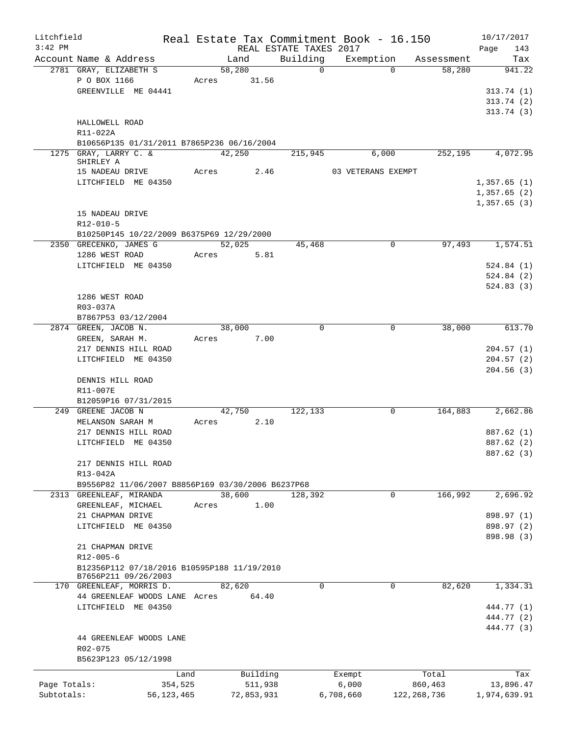| Litchfield<br>$3:42$ PM |                                                   |              |        |             | Real Estate Tax Commitment Book - 16.150<br>REAL ESTATE TAXES 2017 |                    |             |                      | 10/17/2017<br>Page<br>143 |
|-------------------------|---------------------------------------------------|--------------|--------|-------------|--------------------------------------------------------------------|--------------------|-------------|----------------------|---------------------------|
|                         | Account Name & Address                            |              |        | Land        | Building                                                           |                    |             | Exemption Assessment | Tax                       |
|                         | 2781 GRAY, ELIZABETH S                            |              | 58,280 |             | $\Omega$                                                           |                    | $\Omega$    | 58,280               | 941.22                    |
|                         | P O BOX 1166                                      |              |        | Acres 31.56 |                                                                    |                    |             |                      |                           |
|                         | GREENVILLE ME 04441                               |              |        |             |                                                                    |                    |             |                      | 313.74(1)                 |
|                         |                                                   |              |        |             |                                                                    |                    |             |                      | 313.74(2)                 |
|                         |                                                   |              |        |             |                                                                    |                    |             |                      | 313.74(3)                 |
|                         | HALLOWELL ROAD                                    |              |        |             |                                                                    |                    |             |                      |                           |
|                         | R11-022A                                          |              |        |             |                                                                    |                    |             |                      |                           |
|                         |                                                   |              |        |             |                                                                    |                    |             |                      |                           |
|                         | B10656P135 01/31/2011 B7865P236 06/16/2004        |              |        |             |                                                                    |                    |             |                      |                           |
|                         | 1275 GRAY, LARRY C. &<br>SHIRLEY A                |              | 42,250 |             | 215,945                                                            |                    | 6,000       | 252,195              | 4,072.95                  |
|                         | 15 NADEAU DRIVE                                   |              | Acres  | 2.46        |                                                                    | 03 VETERANS EXEMPT |             |                      |                           |
|                         | LITCHFIELD ME 04350                               |              |        |             |                                                                    |                    |             |                      | 1,357.65(1)               |
|                         |                                                   |              |        |             |                                                                    |                    |             |                      | 1,357.65(2)               |
|                         |                                                   |              |        |             |                                                                    |                    |             |                      |                           |
|                         |                                                   |              |        |             |                                                                    |                    |             |                      | 1,357.65(3)               |
|                         | 15 NADEAU DRIVE                                   |              |        |             |                                                                    |                    |             |                      |                           |
|                         | R12-010-5                                         |              |        |             |                                                                    |                    |             |                      |                           |
|                         | B10250P145 10/22/2009 B6375P69 12/29/2000         |              |        |             |                                                                    |                    |             |                      |                           |
|                         | 2350 GRECENKO, JAMES G                            |              |        | 52,025      | 45,468                                                             |                    | 0           | 97,493               | 1,574.51                  |
|                         | 1286 WEST ROAD                                    |              | Acres  | 5.81        |                                                                    |                    |             |                      |                           |
|                         | LITCHFIELD ME 04350                               |              |        |             |                                                                    |                    |             |                      | 524.84(1)                 |
|                         |                                                   |              |        |             |                                                                    |                    |             |                      | 524.84(2)                 |
|                         |                                                   |              |        |             |                                                                    |                    |             |                      | 524.83(3)                 |
|                         | 1286 WEST ROAD                                    |              |        |             |                                                                    |                    |             |                      |                           |
|                         | R03-037A                                          |              |        |             |                                                                    |                    |             |                      |                           |
|                         | B7867P53 03/12/2004                               |              |        |             |                                                                    |                    |             |                      |                           |
|                         | 2874 GREEN, JACOB N.                              |              | 38,000 |             | $\Omega$                                                           |                    | $\mathbf 0$ | 38,000               | 613.70                    |
|                         | GREEN, SARAH M.                                   |              | Acres  | 7.00        |                                                                    |                    |             |                      |                           |
|                         | 217 DENNIS HILL ROAD                              |              |        |             |                                                                    |                    |             |                      | 204.57(1)                 |
|                         | LITCHFIELD ME 04350                               |              |        |             |                                                                    |                    |             |                      | 204.57(2)                 |
|                         |                                                   |              |        |             |                                                                    |                    |             |                      | 204.56(3)                 |
|                         | DENNIS HILL ROAD                                  |              |        |             |                                                                    |                    |             |                      |                           |
|                         | R11-007E                                          |              |        |             |                                                                    |                    |             |                      |                           |
|                         | B12059P16 07/31/2015                              |              |        |             |                                                                    |                    |             |                      |                           |
|                         | 249 GREENE JACOB N                                |              | 42,750 |             | 122,133                                                            |                    | $\mathbf 0$ | 164,883              | 2,662.86                  |
|                         | MELANSON SARAH M                                  |              | Acres  | 2.10        |                                                                    |                    |             |                      |                           |
|                         | 217 DENNIS HILL ROAD                              |              |        |             |                                                                    |                    |             |                      | 887.62 (1)                |
|                         | LITCHFIELD ME 04350                               |              |        |             |                                                                    |                    |             |                      |                           |
|                         |                                                   |              |        |             |                                                                    |                    |             |                      | 887.62 (2)                |
|                         |                                                   |              |        |             |                                                                    |                    |             |                      | 887.62 (3)                |
|                         | 217 DENNIS HILL ROAD                              |              |        |             |                                                                    |                    |             |                      |                           |
|                         | R13-042A                                          |              |        |             |                                                                    |                    |             |                      |                           |
|                         | B9556P82 11/06/2007 B8856P169 03/30/2006 B6237P68 |              |        |             |                                                                    |                    |             |                      |                           |
|                         | 2313 GREENLEAF, MIRANDA                           |              | 38,600 |             | 128,392                                                            |                    | 0           | 166,992              | 2,696.92                  |
|                         | GREENLEAF, MICHAEL                                |              | Acres  | 1.00        |                                                                    |                    |             |                      |                           |
|                         | 21 CHAPMAN DRIVE                                  |              |        |             |                                                                    |                    |             |                      | 898.97 (1)                |
|                         | LITCHFIELD ME 04350                               |              |        |             |                                                                    |                    |             |                      | 898.97 (2)                |
|                         |                                                   |              |        |             |                                                                    |                    |             |                      | 898.98 (3)                |
|                         | 21 CHAPMAN DRIVE                                  |              |        |             |                                                                    |                    |             |                      |                           |
|                         | R12-005-6                                         |              |        |             |                                                                    |                    |             |                      |                           |
|                         | B12356P112 07/18/2016 B10595P188 11/19/2010       |              |        |             |                                                                    |                    |             |                      |                           |
|                         | B7656P211 09/26/2003                              |              |        |             |                                                                    |                    |             |                      |                           |
|                         | 170 GREENLEAF, MORRIS D.                          |              | 82,620 |             | $\mathbf 0$                                                        |                    | $\mathbf 0$ | 82,620               | 1,334.31                  |
|                         | 44 GREENLEAF WOODS LANE Acres                     |              |        | 64.40       |                                                                    |                    |             |                      |                           |
|                         | LITCHFIELD ME 04350                               |              |        |             |                                                                    |                    |             |                      | 444.77 (1)                |
|                         |                                                   |              |        |             |                                                                    |                    |             |                      | 444.77 (2)                |
|                         |                                                   |              |        |             |                                                                    |                    |             |                      | 444.77 (3)                |
|                         | 44 GREENLEAF WOODS LANE                           |              |        |             |                                                                    |                    |             |                      |                           |
|                         | R02-075                                           |              |        |             |                                                                    |                    |             |                      |                           |
|                         | B5623P123 05/12/1998                              |              |        |             |                                                                    |                    |             |                      |                           |
|                         |                                                   |              |        |             |                                                                    |                    |             |                      |                           |
|                         |                                                   | Land         |        | Building    |                                                                    | Exempt             |             | Total                | Tax                       |
| Page Totals:            |                                                   | 354,525      |        | 511,938     |                                                                    | 6,000              |             | 860,463              | 13,896.47                 |
| Subtotals:              |                                                   | 56, 123, 465 |        | 72,853,931  |                                                                    | 6,708,660          |             | 122, 268, 736        | 1,974,639.91              |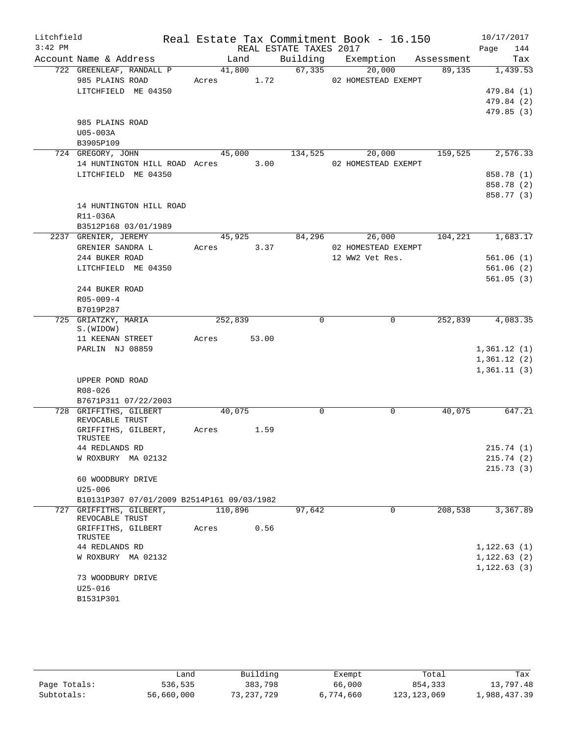| Litchfield<br>$3:42$ PM |                                             |                 |       | Real Estate Tax Commitment Book - 16.150<br>REAL ESTATE TAXES 2017 |                 |                               |            | 10/17/2017<br>Page<br>144 |  |
|-------------------------|---------------------------------------------|-----------------|-------|--------------------------------------------------------------------|-----------------|-------------------------------|------------|---------------------------|--|
|                         | Account Name & Address                      | Land            |       | Building                                                           |                 | Exemption                     | Assessment | Tax                       |  |
|                         | 722 GREENLEAF, RANDALL P<br>985 PLAINS ROAD | 41,800<br>Acres | 1.72  | 67,335                                                             |                 | 20,000<br>02 HOMESTEAD EXEMPT | 89,135     | 1,439.53                  |  |
|                         | LITCHFIELD ME 04350                         |                 |       |                                                                    |                 |                               |            | 479.84 (1)                |  |
|                         |                                             |                 |       |                                                                    |                 |                               |            | 479.84 (2)                |  |
|                         |                                             |                 |       |                                                                    |                 |                               |            | 479.85(3)                 |  |
|                         | 985 PLAINS ROAD                             |                 |       |                                                                    |                 |                               |            |                           |  |
|                         | U05-003A                                    |                 |       |                                                                    |                 |                               |            |                           |  |
|                         | B3905P109                                   |                 |       |                                                                    |                 |                               |            |                           |  |
|                         | 724 GREGORY, JOHN                           | 45,000          |       | 134,525                                                            |                 | 20,000                        | 159,525    | 2,576.33                  |  |
|                         | 14 HUNTINGTON HILL ROAD Acres               |                 | 3.00  |                                                                    |                 | 02 HOMESTEAD EXEMPT           |            |                           |  |
|                         | LITCHFIELD ME 04350                         |                 |       |                                                                    |                 |                               |            | 858.78 (1)                |  |
|                         |                                             |                 |       |                                                                    |                 |                               |            | 858.78 (2)                |  |
|                         |                                             |                 |       |                                                                    |                 |                               |            | 858.77 (3)                |  |
|                         | 14 HUNTINGTON HILL ROAD                     |                 |       |                                                                    |                 |                               |            |                           |  |
|                         | R11-036A                                    |                 |       |                                                                    |                 |                               |            |                           |  |
|                         | B3512P168 03/01/1989                        |                 |       |                                                                    |                 |                               |            |                           |  |
|                         | 2237 GRENIER, JEREMY                        | 45,925          |       | 84,296                                                             |                 | 26,000                        | 104,221    | 1,683.17                  |  |
|                         | GRENIER SANDRA L                            | Acres           | 3.37  |                                                                    |                 | 02 HOMESTEAD EXEMPT           |            |                           |  |
|                         | 244 BUKER ROAD                              |                 |       |                                                                    | 12 WW2 Vet Res. |                               |            | 561.06(1)                 |  |
|                         | LITCHFIELD ME 04350                         |                 |       |                                                                    |                 |                               |            | 561.06(2)                 |  |
|                         |                                             |                 |       |                                                                    |                 |                               |            | 561.05(3)                 |  |
|                         | 244 BUKER ROAD                              |                 |       |                                                                    |                 |                               |            |                           |  |
|                         | $R05 - 009 - 4$                             |                 |       |                                                                    |                 |                               |            |                           |  |
|                         | B7019P287                                   |                 |       |                                                                    |                 |                               |            |                           |  |
|                         | 725 GRIATZKY, MARIA<br>S. (WIDOW)           | 252,839         |       | 0                                                                  |                 | $\mathbf 0$                   | 252,839    | 4,083.35                  |  |
|                         | 11 KEENAN STREET                            | Acres           | 53.00 |                                                                    |                 |                               |            |                           |  |
|                         | PARLIN NJ 08859                             |                 |       |                                                                    |                 |                               |            | 1,361.12(1)               |  |
|                         |                                             |                 |       |                                                                    |                 |                               |            | 1,361.12(2)               |  |
|                         |                                             |                 |       |                                                                    |                 |                               |            | 1,361.11(3)               |  |
|                         | UPPER POND ROAD                             |                 |       |                                                                    |                 |                               |            |                           |  |
|                         | $R08 - 026$                                 |                 |       |                                                                    |                 |                               |            |                           |  |
|                         | B7671P311 07/22/2003                        |                 |       |                                                                    |                 |                               |            |                           |  |
|                         | 728 GRIFFITHS, GILBERT<br>REVOCABLE TRUST   | 40,075          |       | $\mathbf 0$                                                        |                 | 0                             | 40,075     | 647.21                    |  |
|                         | GRIFFITHS, GILBERT,                         | Acres           | 1.59  |                                                                    |                 |                               |            |                           |  |
|                         | TRUSTEE                                     |                 |       |                                                                    |                 |                               |            |                           |  |
|                         | 44 REDLANDS RD                              |                 |       |                                                                    |                 |                               |            | 215.74(1)                 |  |
|                         | W ROXBURY MA 02132                          |                 |       |                                                                    |                 |                               |            | 215.74(2)                 |  |
|                         |                                             |                 |       |                                                                    |                 |                               |            | 215.73(3)                 |  |
|                         | 60 WOODBURY DRIVE                           |                 |       |                                                                    |                 |                               |            |                           |  |
|                         | $U25 - 006$                                 |                 |       |                                                                    |                 |                               |            |                           |  |
|                         | B10131P307 07/01/2009 B2514P161 09/03/1982  |                 |       |                                                                    |                 |                               |            |                           |  |
|                         | 727 GRIFFITHS, GILBERT,<br>REVOCABLE TRUST  | 110,896         |       | 97,642                                                             |                 | 0                             | 208,538    | 3,367.89                  |  |
|                         | GRIFFITHS, GILBERT<br>TRUSTEE               | Acres           | 0.56  |                                                                    |                 |                               |            |                           |  |
|                         | 44 REDLANDS RD                              |                 |       |                                                                    |                 |                               |            | 1, 122.63(1)              |  |
|                         | W ROXBURY MA 02132                          |                 |       |                                                                    |                 |                               |            | 1, 122.63(2)              |  |
|                         | 73 WOODBURY DRIVE                           |                 |       |                                                                    |                 |                               |            | 1, 122.63(3)              |  |
|                         | $U25 - 016$                                 |                 |       |                                                                    |                 |                               |            |                           |  |
|                         | B1531P301                                   |                 |       |                                                                    |                 |                               |            |                           |  |

|              | ∟and       | Building   | Exempt    | Total         | Tax          |
|--------------|------------|------------|-----------|---------------|--------------|
| Page Totals: | 536,535    | 383,798    | 66,000    | 854,333       | 13,797.48    |
| Subtotals:   | 56,660,000 | 73,237,729 | 6,774,660 | 123, 123, 069 | 1,988,437.39 |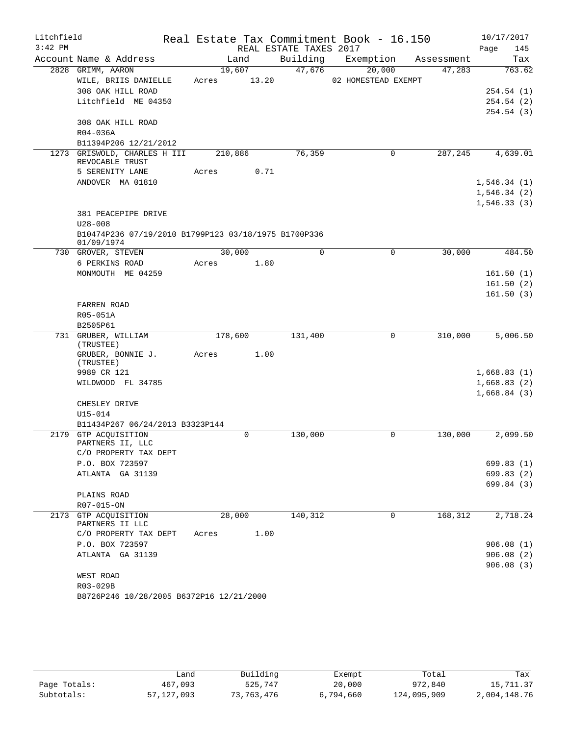| Litchfield |                                                                     |       |         |                        | Real Estate Tax Commitment Book - 16.150 |            | 10/17/2017  |
|------------|---------------------------------------------------------------------|-------|---------|------------------------|------------------------------------------|------------|-------------|
| $3:42$ PM  |                                                                     |       |         | REAL ESTATE TAXES 2017 |                                          |            | Page<br>145 |
|            | Account Name & Address                                              |       | Land    | Building               | Exemption                                | Assessment | Tax         |
|            | 2828 GRIMM, AARON                                                   |       | 19,607  | 47,676                 | 20,000                                   | 47,283     | 763.62      |
|            | WILE, BRIIS DANIELLE                                                | Acres | 13.20   |                        | 02 HOMESTEAD EXEMPT                      |            |             |
|            | 308 OAK HILL ROAD                                                   |       |         |                        |                                          |            | 254.54(1)   |
|            | Litchfield ME 04350                                                 |       |         |                        |                                          |            | 254.54(2)   |
|            | 308 OAK HILL ROAD                                                   |       |         |                        |                                          |            | 254.54(3)   |
|            | R04-036A                                                            |       |         |                        |                                          |            |             |
|            | B11394P206 12/21/2012                                               |       |         |                        |                                          |            |             |
|            | 1273 GRISWOLD, CHARLES H III<br>REVOCABLE TRUST                     |       | 210,886 | 76,359                 | $\mathbf 0$                              | 287,245    | 4,639.01    |
|            | 5 SERENITY LANE                                                     | Acres | 0.71    |                        |                                          |            |             |
|            | ANDOVER MA 01810                                                    |       |         |                        |                                          |            | 1,546.34(1) |
|            |                                                                     |       |         |                        |                                          |            | 1,546.34(2) |
|            |                                                                     |       |         |                        |                                          |            | 1,546.33(3) |
|            | 381 PEACEPIPE DRIVE                                                 |       |         |                        |                                          |            |             |
|            | $U28 - 008$<br>B10474P236 07/19/2010 B1799P123 03/18/1975 B1700P336 |       |         |                        |                                          |            |             |
|            | 01/09/1974                                                          |       |         |                        |                                          |            |             |
|            | 730 GROVER, STEVEN                                                  |       | 30,000  | $\mathbf 0$            | $\mathbf 0$                              | 30,000     | 484.50      |
|            | 6 PERKINS ROAD<br>MONMOUTH ME 04259                                 | Acres | 1.80    |                        |                                          |            | 161.50(1)   |
|            |                                                                     |       |         |                        |                                          |            | 161.50(2)   |
|            |                                                                     |       |         |                        |                                          |            | 161.50(3)   |
|            | FARREN ROAD                                                         |       |         |                        |                                          |            |             |
|            | R05-051A                                                            |       |         |                        |                                          |            |             |
|            | B2505P61                                                            |       |         |                        |                                          |            |             |
|            | 731 GRUBER, WILLIAM                                                 |       | 178,600 | 131,400                | $\mathbf 0$                              | 310,000    | 5,006.50    |
|            | (TRUSTEE)                                                           |       |         |                        |                                          |            |             |
|            | GRUBER, BONNIE J.<br>(TRUSTEE)                                      | Acres | 1.00    |                        |                                          |            |             |
|            | 9989 CR 121                                                         |       |         |                        |                                          |            | 1,668.83(1) |
|            | WILDWOOD FL 34785                                                   |       |         |                        |                                          |            | 1,668.83(2) |
|            | CHESLEY DRIVE                                                       |       |         |                        |                                          |            | 1,668.84(3) |
|            | $U15 - 014$                                                         |       |         |                        |                                          |            |             |
|            | B11434P267 06/24/2013 B3323P144                                     |       |         |                        |                                          |            |             |
| 2179       | <b>GTP ACOUISITION</b><br>PARTNERS II, LLC                          |       | 0       | 130,000                | 0                                        | 130,000    | 2,099.50    |
|            | C/O PROPERTY TAX DEPT                                               |       |         |                        |                                          |            |             |
|            | P.O. BOX 723597                                                     |       |         |                        |                                          |            | 699.83 (1)  |
|            | ATLANTA GA 31139                                                    |       |         |                        |                                          |            | 699.83(2)   |
|            |                                                                     |       |         |                        |                                          |            | 699.84 (3)  |
|            | PLAINS ROAD                                                         |       |         |                        |                                          |            |             |
|            | R07-015-ON                                                          |       |         |                        |                                          |            |             |
|            | 2173 GTP ACOUISITION<br>PARTNERS II LLC                             |       | 28,000  | 140,312                | 0                                        | 168,312    | 2,718.24    |
|            | C/O PROPERTY TAX DEPT                                               | Acres | 1.00    |                        |                                          |            |             |
|            | P.O. BOX 723597                                                     |       |         |                        |                                          |            | 906.08(1)   |
|            | ATLANTA GA 31139                                                    |       |         |                        |                                          |            | 906.08(2)   |
|            |                                                                     |       |         |                        |                                          |            | 906.08(3)   |
|            | WEST ROAD                                                           |       |         |                        |                                          |            |             |
|            | R03-029B                                                            |       |         |                        |                                          |            |             |
|            | B8726P246 10/28/2005 B6372P16 12/21/2000                            |       |         |                        |                                          |            |             |

|              | Land       | Building   | Exempt    | Total       | Tax          |
|--------------|------------|------------|-----------|-------------|--------------|
| Page Totals: | 467,093    | 525,747    | 20,000    | 972,840     | 15,711.37    |
| Subtotals:   | 57,127,093 | 73,763,476 | 6,794,660 | 124,095,909 | 2,004,148.76 |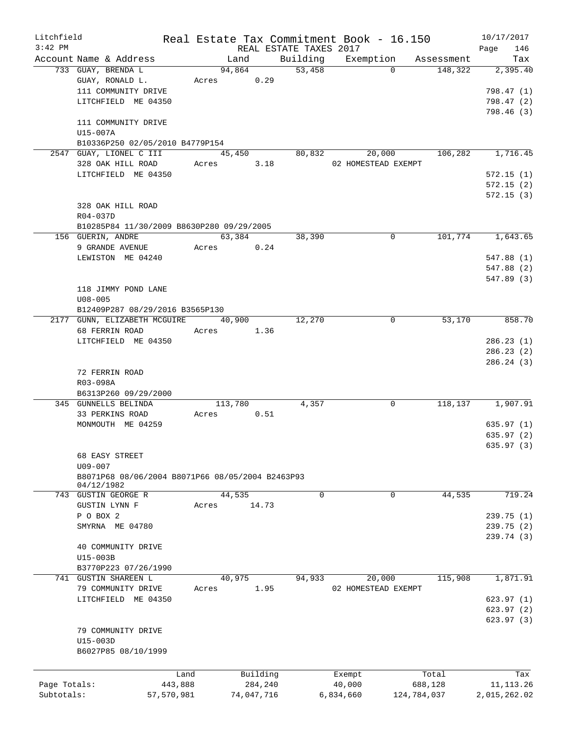| Litchfield   |                                                  |            |            |                        | Real Estate Tax Commitment Book - 16.150 |             | 10/17/2017   |
|--------------|--------------------------------------------------|------------|------------|------------------------|------------------------------------------|-------------|--------------|
| $3:42$ PM    |                                                  |            |            | REAL ESTATE TAXES 2017 |                                          |             | 146<br>Page  |
|              | Account Name & Address                           |            | Land       | Building               | Exemption                                | Assessment  | Tax          |
|              | 733 GUAY, BRENDA L                               |            | 94,864     | 53,458                 | $\Omega$                                 | 148,322     | 2,395.40     |
|              | GUAY, RONALD L.                                  | Acres      | 0.29       |                        |                                          |             |              |
|              | 111 COMMUNITY DRIVE                              |            |            |                        |                                          |             | 798.47 (1)   |
|              | LITCHFIELD ME 04350                              |            |            |                        |                                          |             | 798.47 (2)   |
|              |                                                  |            |            |                        |                                          |             | 798.46(3)    |
|              | 111 COMMUNITY DRIVE                              |            |            |                        |                                          |             |              |
|              | U15-007A                                         |            |            |                        |                                          |             |              |
|              | B10336P250 02/05/2010 B4779P154                  |            |            |                        |                                          |             |              |
|              | 2547 GUAY, LIONEL C III                          |            | 45,450     | 80,832                 | 20,000                                   | 106,282     | 1,716.45     |
|              | 328 OAK HILL ROAD                                | Acres      | 3.18       |                        | 02 HOMESTEAD EXEMPT                      |             |              |
|              | LITCHFIELD ME 04350                              |            |            |                        |                                          |             | 572.15(1)    |
|              |                                                  |            |            |                        |                                          |             | 572.15(2)    |
|              |                                                  |            |            |                        |                                          |             | 572.15(3)    |
|              | 328 OAK HILL ROAD                                |            |            |                        |                                          |             |              |
|              |                                                  |            |            |                        |                                          |             |              |
|              | R04-037D                                         |            |            |                        |                                          |             |              |
|              | B10285P84 11/30/2009 B8630P280 09/29/2005        |            |            |                        |                                          |             |              |
|              | 156 GUERIN, ANDRE                                |            | 63,384     | 38,390                 | $\mathbf 0$                              | 101,774     | 1,643.65     |
|              | 9 GRANDE AVENUE                                  | Acres      | 0.24       |                        |                                          |             |              |
|              | LEWISTON ME 04240                                |            |            |                        |                                          |             | 547.88 (1)   |
|              |                                                  |            |            |                        |                                          |             | 547.88 (2)   |
|              |                                                  |            |            |                        |                                          |             | 547.89 (3)   |
|              | 118 JIMMY POND LANE                              |            |            |                        |                                          |             |              |
|              | $U08 - 005$                                      |            |            |                        |                                          |             |              |
|              | B12409P287 08/29/2016 B3565P130                  |            |            |                        |                                          |             |              |
|              | 2177 GUNN, ELIZABETH MCGUIRE                     | 40,900     |            | 12,270                 | 0                                        | 53,170      | 858.70       |
|              |                                                  |            |            |                        |                                          |             |              |
|              | 68 FERRIN ROAD                                   | Acres      | 1.36       |                        |                                          |             |              |
|              | LITCHFIELD ME 04350                              |            |            |                        |                                          |             | 286.23(1)    |
|              |                                                  |            |            |                        |                                          |             | 286.23(2)    |
|              |                                                  |            |            |                        |                                          |             | 286.24(3)    |
|              | 72 FERRIN ROAD                                   |            |            |                        |                                          |             |              |
|              | R03-098A                                         |            |            |                        |                                          |             |              |
|              | B6313P260 09/29/2000                             |            |            |                        |                                          |             |              |
|              | 345 GUNNELLS BELINDA                             |            | 113,780    | 4,357                  | 0                                        | 118,137     | 1,907.91     |
|              | 33 PERKINS ROAD                                  | Acres      | 0.51       |                        |                                          |             |              |
|              | MONMOUTH ME 04259                                |            |            |                        |                                          |             | 635.97(1)    |
|              |                                                  |            |            |                        |                                          |             | 635.97(2)    |
|              |                                                  |            |            |                        |                                          |             | 635.97(3)    |
|              | 68 EASY STREET                                   |            |            |                        |                                          |             |              |
|              | $U09 - 007$                                      |            |            |                        |                                          |             |              |
|              | B8071P68 08/06/2004 B8071P66 08/05/2004 B2463P93 |            |            |                        |                                          |             |              |
|              | 04/12/1982                                       |            |            |                        |                                          |             |              |
|              | 743 GUSTIN GEORGE R                              |            | 44,535     | $\mathbf 0$            | 0                                        | 44,535      | 719.24       |
|              | <b>GUSTIN LYNN F</b>                             | Acres      | 14.73      |                        |                                          |             |              |
|              | P O BOX 2                                        |            |            |                        |                                          |             | 239.75(1)    |
|              |                                                  |            |            |                        |                                          |             |              |
|              | SMYRNA ME 04780                                  |            |            |                        |                                          |             | 239.75 (2)   |
|              |                                                  |            |            |                        |                                          |             | 239.74(3)    |
|              | 40 COMMUNITY DRIVE                               |            |            |                        |                                          |             |              |
|              | U15-003B                                         |            |            |                        |                                          |             |              |
|              | B3770P223 07/26/1990                             |            |            |                        |                                          |             |              |
|              | 741 GUSTIN SHAREEN L                             |            | 40,975     | 94,933                 | 20,000                                   | 115,908     | 1,871.91     |
|              | 79 COMMUNITY DRIVE                               | Acres      | 1.95       |                        | 02 HOMESTEAD EXEMPT                      |             |              |
|              | LITCHFIELD ME 04350                              |            |            |                        |                                          |             | 623.97(1)    |
|              |                                                  |            |            |                        |                                          |             | 623.97(2)    |
|              |                                                  |            |            |                        |                                          |             | 623.97 (3)   |
|              | 79 COMMUNITY DRIVE                               |            |            |                        |                                          |             |              |
|              | U15-003D                                         |            |            |                        |                                          |             |              |
|              |                                                  |            |            |                        |                                          |             |              |
|              | B6027P85 08/10/1999                              |            |            |                        |                                          |             |              |
|              |                                                  |            |            |                        |                                          |             |              |
|              |                                                  | Land       | Building   |                        | Exempt                                   | Total       | Tax          |
| Page Totals: |                                                  | 443,888    | 284,240    |                        | 40,000                                   | 688,128     | 11, 113. 26  |
| Subtotals:   |                                                  | 57,570,981 | 74,047,716 |                        | 6,834,660                                | 124,784,037 | 2,015,262.02 |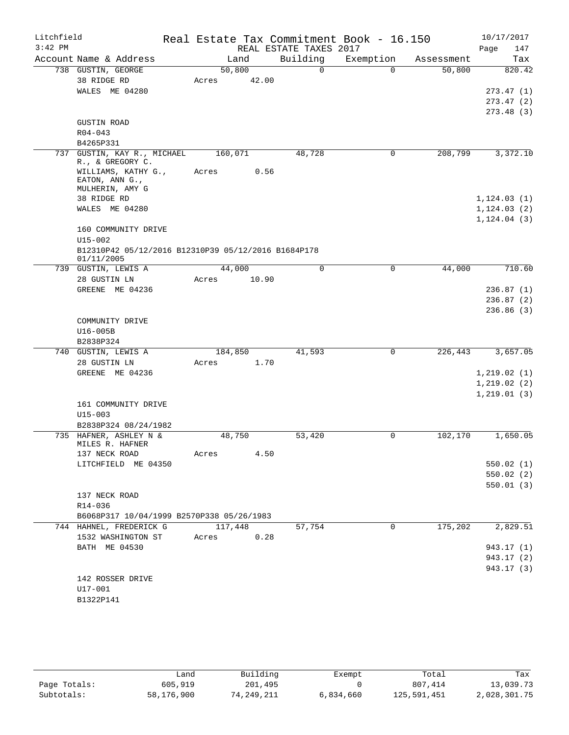| Litchfield<br>$3:42$ PM |                                                                   |         |        | REAL ESTATE TAXES 2017 | Real Estate Tax Commitment Book - 16.150 |                      | 10/17/2017<br>Page<br>147 |
|-------------------------|-------------------------------------------------------------------|---------|--------|------------------------|------------------------------------------|----------------------|---------------------------|
|                         | Account Name & Address                                            |         | Land   | Building               | Exemption                                | Assessment           | Tax                       |
|                         | 738 GUSTIN, GEORGE                                                |         | 50,800 | $\overline{0}$         | $\Omega$                                 | 50,800               | 820.42                    |
|                         | 38 RIDGE RD                                                       | Acres   | 42.00  |                        |                                          |                      |                           |
|                         | WALES ME 04280                                                    |         |        |                        |                                          |                      | 273.47(1)                 |
|                         |                                                                   |         |        |                        |                                          |                      | 273.47(2)                 |
|                         |                                                                   |         |        |                        |                                          |                      | 273.48(3)                 |
|                         | <b>GUSTIN ROAD</b>                                                |         |        |                        |                                          |                      |                           |
|                         | $R04 - 043$                                                       |         |        |                        |                                          |                      |                           |
|                         | B4265P331                                                         |         |        |                        |                                          |                      |                           |
|                         | 737 GUSTIN, KAY R., MICHAEL<br>R., & GREGORY C.                   | 160,071 |        | 48,728                 | 0                                        | 208,799              | 3,372.10                  |
|                         | WILLIAMS, KATHY G.,<br>EATON, ANN G.,<br>MULHERIN, AMY G          | Acres   | 0.56   |                        |                                          |                      |                           |
|                         | 38 RIDGE RD                                                       |         |        |                        |                                          |                      | 1, 124.03(1)              |
|                         | WALES ME 04280                                                    |         |        |                        |                                          |                      | 1, 124.03(2)              |
|                         |                                                                   |         |        |                        |                                          |                      | 1, 124.04(3)              |
|                         | 160 COMMUNITY DRIVE                                               |         |        |                        |                                          |                      |                           |
|                         | $U15 - 002$                                                       |         |        |                        |                                          |                      |                           |
|                         | B12310P42 05/12/2016 B12310P39 05/12/2016 B1684P178<br>01/11/2005 |         |        |                        |                                          |                      |                           |
|                         | 739 GUSTIN, LEWIS A                                               |         | 44,000 | $\mathbf 0$            | $\mathbf 0$                              | 44,000               | 710.60                    |
|                         | 28 GUSTIN LN                                                      | Acres   | 10.90  |                        |                                          |                      |                           |
|                         | GREENE ME 04236                                                   |         |        |                        |                                          |                      | 236.87(1)                 |
|                         |                                                                   |         |        |                        |                                          |                      | 236.87(2)                 |
|                         |                                                                   |         |        |                        |                                          |                      | 236.86(3)                 |
|                         | COMMUNITY DRIVE<br>U16-005B                                       |         |        |                        |                                          |                      |                           |
|                         | B2838P324                                                         |         |        |                        |                                          |                      |                           |
| 740                     | GUSTIN, LEWIS A                                                   | 184,850 |        | 41,593                 | 0                                        | 226, 443             | 3,657.05                  |
|                         | 28 GUSTIN LN                                                      | Acres   | 1.70   |                        |                                          |                      |                           |
|                         | GREENE ME 04236                                                   |         |        |                        |                                          |                      | 1, 219.02(1)              |
|                         |                                                                   |         |        |                        |                                          |                      | 1, 219.02(2)              |
|                         |                                                                   |         |        |                        |                                          |                      | 1, 219.01(3)              |
|                         | 161 COMMUNITY DRIVE                                               |         |        |                        |                                          |                      |                           |
|                         | $U15 - 003$                                                       |         |        |                        |                                          |                      |                           |
|                         | B2838P324 08/24/1982                                              |         |        |                        |                                          |                      |                           |
|                         | 735 HAFNER, ASHLEY N &                                            |         | 48,750 | 53,420                 | 0                                        | 102,170              | 1,650.05                  |
|                         | MILES R. HAFNER<br>137 NECK ROAD                                  | Acres   | 4.50   |                        |                                          |                      |                           |
|                         | LITCHFIELD ME 04350                                               |         |        |                        |                                          |                      | 550.02(1)                 |
|                         |                                                                   |         |        |                        |                                          |                      | 550.02(2)                 |
|                         |                                                                   |         |        |                        |                                          |                      | 550.01(3)                 |
|                         | 137 NECK ROAD                                                     |         |        |                        |                                          |                      |                           |
|                         | R14-036                                                           |         |        |                        |                                          |                      |                           |
|                         | B6068P317 10/04/1999 B2570P338 05/26/1983                         |         |        |                        |                                          |                      |                           |
|                         | 744 HAHNEL, FREDERICK G                                           | 117,448 |        | 57,754                 | 0                                        | $1\overline{75,202}$ | 2,829.51                  |
|                         | 1532 WASHINGTON ST                                                | Acres   | 0.28   |                        |                                          |                      |                           |
|                         | BATH ME 04530                                                     |         |        |                        |                                          |                      | 943.17 (1)                |
|                         |                                                                   |         |        |                        |                                          |                      | 943.17 (2)                |
|                         |                                                                   |         |        |                        |                                          |                      | 943.17 (3)                |
|                         | 142 ROSSER DRIVE                                                  |         |        |                        |                                          |                      |                           |
|                         | U17-001                                                           |         |        |                        |                                          |                      |                           |
|                         | B1322P141                                                         |         |        |                        |                                          |                      |                           |

|              | Land       | Building   | Exempt    | Total       | Tax          |
|--------------|------------|------------|-----------|-------------|--------------|
| Page Totals: | 605,919    | 201,495    |           | 807,414     | 13,039.73    |
| Subtotals:   | 58,176,900 | 74,249,211 | 6,834,660 | 125,591,451 | 2,028,301.75 |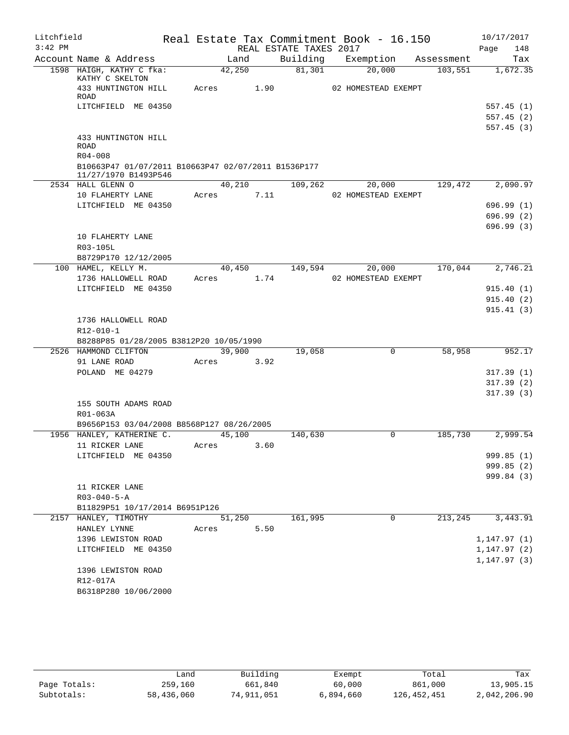| Litchfield |                                                                             |        |      |                        | Real Estate Tax Commitment Book - 16.150 |            | 10/17/2017   |
|------------|-----------------------------------------------------------------------------|--------|------|------------------------|------------------------------------------|------------|--------------|
| $3:42$ PM  |                                                                             |        |      | REAL ESTATE TAXES 2017 |                                          |            | 148<br>Page  |
|            | Account Name & Address                                                      | Land   |      | Building               | Exemption                                | Assessment | Tax          |
|            | 1598 HAIGH, KATHY C fka:<br>KATHY C SKELTON                                 | 42,250 |      | 81,301                 | 20,000                                   | 103,551    | 1,672.35     |
|            | 433 HUNTINGTON HILL<br>ROAD                                                 | Acres  | 1.90 |                        | 02 HOMESTEAD EXEMPT                      |            |              |
|            | LITCHFIELD ME 04350                                                         |        |      |                        |                                          |            | 557.45(1)    |
|            |                                                                             |        |      |                        |                                          |            | 557.45(2)    |
|            |                                                                             |        |      |                        |                                          |            | 557.45 (3)   |
|            | 433 HUNTINGTON HILL<br><b>ROAD</b>                                          |        |      |                        |                                          |            |              |
|            | $R04 - 008$                                                                 |        |      |                        |                                          |            |              |
|            | B10663P47 01/07/2011 B10663P47 02/07/2011 B1536P177<br>11/27/1970 B1493P546 |        |      |                        |                                          |            |              |
|            | 2534 HALL GLENN O                                                           | 40,210 |      | 109,262                | 20,000                                   | 129,472    | 2,090.97     |
|            | 10 FLAHERTY LANE                                                            | Acres  | 7.11 |                        | 02 HOMESTEAD EXEMPT                      |            |              |
|            | LITCHFIELD ME 04350                                                         |        |      |                        |                                          |            | 696.99(1)    |
|            |                                                                             |        |      |                        |                                          |            | 696.99 (2)   |
|            |                                                                             |        |      |                        |                                          |            | 696.99(3)    |
|            | 10 FLAHERTY LANE                                                            |        |      |                        |                                          |            |              |
|            | R03-105L                                                                    |        |      |                        |                                          |            |              |
|            | B8729P170 12/12/2005                                                        |        |      |                        |                                          |            |              |
|            | 100 HAMEL, KELLY M.                                                         | 40,450 |      | 149,594                | 20,000                                   | 170,044    | 2,746.21     |
|            | 1736 HALLOWELL ROAD                                                         | Acres  | 1.74 |                        | 02 HOMESTEAD EXEMPT                      |            |              |
|            | LITCHFIELD ME 04350                                                         |        |      |                        |                                          |            | 915.40(1)    |
|            |                                                                             |        |      |                        |                                          |            | 915.40(2)    |
|            | 1736 HALLOWELL ROAD                                                         |        |      |                        |                                          |            | 915.41(3)    |
|            | R12-010-1                                                                   |        |      |                        |                                          |            |              |
|            | B8288P85 01/28/2005 B3812P20 10/05/1990                                     |        |      |                        |                                          |            |              |
|            | 2526 HAMMOND CLIFTON                                                        | 39,900 |      | 19,058                 | $\mathbf 0$                              | 58,958     | 952.17       |
|            | 91 LANE ROAD                                                                | Acres  | 3.92 |                        |                                          |            |              |
|            | POLAND ME 04279                                                             |        |      |                        |                                          |            | 317.39(1)    |
|            |                                                                             |        |      |                        |                                          |            | 317.39(2)    |
|            |                                                                             |        |      |                        |                                          |            | 317.39(3)    |
|            | 155 SOUTH ADAMS ROAD                                                        |        |      |                        |                                          |            |              |
|            | R01-063A                                                                    |        |      |                        |                                          |            |              |
|            | B9656P153 03/04/2008 B8568P127 08/26/2005                                   |        |      |                        |                                          |            |              |
|            | 1956 HANLEY, KATHERINE C.                                                   | 45,100 |      | 140,630                | 0                                        | 185,730    | 2,999.54     |
|            | 11 RICKER LANE                                                              | Acres  | 3.60 |                        |                                          |            |              |
|            | LITCHFIELD ME 04350                                                         |        |      |                        |                                          |            | 999.85 (1)   |
|            |                                                                             |        |      |                        |                                          |            | 999.85(2)    |
|            | 11 RICKER LANE                                                              |        |      |                        |                                          |            | 999.84 (3)   |
|            | $R03 - 040 - 5 - A$                                                         |        |      |                        |                                          |            |              |
|            | B11829P51 10/17/2014 B6951P126                                              |        |      |                        |                                          |            |              |
|            | 2157 HANLEY, TIMOTHY                                                        | 51,250 |      | 161,995                | $\mathsf{O}$                             | 213,245    | 3,443.91     |
|            | HANLEY LYNNE                                                                | Acres  | 5.50 |                        |                                          |            |              |
|            | 1396 LEWISTON ROAD                                                          |        |      |                        |                                          |            | 1, 147.97(1) |
|            | LITCHFIELD ME 04350                                                         |        |      |                        |                                          |            | 1, 147.97(2) |
|            |                                                                             |        |      |                        |                                          |            | 1, 147.97(3) |
|            | 1396 LEWISTON ROAD                                                          |        |      |                        |                                          |            |              |
|            | R12-017A                                                                    |        |      |                        |                                          |            |              |
|            | B6318P280 10/06/2000                                                        |        |      |                        |                                          |            |              |

|              | and س      | Building   | Exempt    | Total       | Tax          |
|--------------|------------|------------|-----------|-------------|--------------|
| Page Totals: | 259,160    | 661,840    | 60,000    | 861,000     | 13,905.15    |
| Subtotals:   | 58,436,060 | 74,911,051 | 6,894,660 | 126,452,451 | 2,042,206.90 |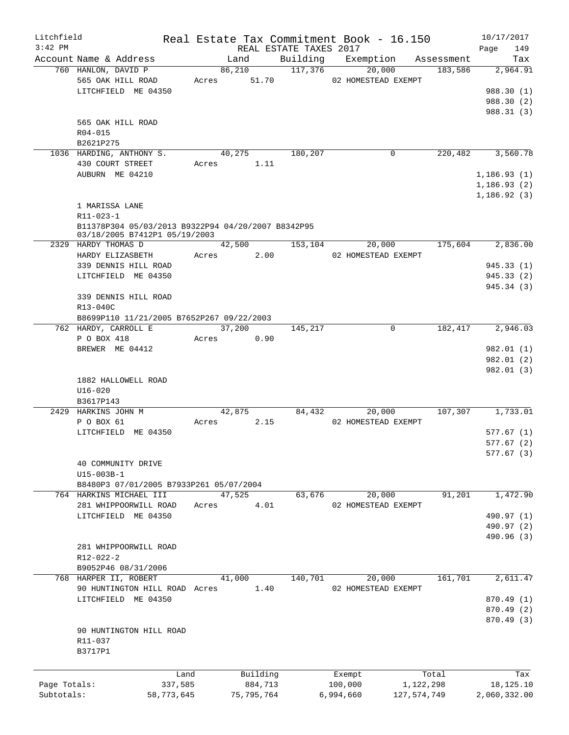| Litchfield                 |                                                                                                                          |                       |                 |          |                        |                      | Real Estate Tax Commitment Book - 16.150 |                               | 10/17/2017                                            |
|----------------------------|--------------------------------------------------------------------------------------------------------------------------|-----------------------|-----------------|----------|------------------------|----------------------|------------------------------------------|-------------------------------|-------------------------------------------------------|
| $3:42$ PM                  | Account Name & Address                                                                                                   |                       | Land            |          | REAL ESTATE TAXES 2017 |                      |                                          | Building Exemption Assessment | 149<br>Page<br>Tax                                    |
|                            | 760 HANLON, DAVID P                                                                                                      |                       | 86,210          |          | 117,376                |                      | 20,000                                   | 183,586                       | 2,964.91                                              |
|                            | 565 OAK HILL ROAD<br>LITCHFIELD ME 04350                                                                                 |                       | Acres 51.70     |          |                        |                      | 02 HOMESTEAD EXEMPT                      |                               | 988.30 (1)<br>988.30 (2)                              |
|                            | 565 OAK HILL ROAD<br>R04-015<br>B2621P275                                                                                |                       |                 |          |                        |                      |                                          |                               | 988.31 (3)                                            |
|                            | 1036 HARDING, ANTHONY S.<br>430 COURT STREET<br>AUBURN ME 04210                                                          |                       | 40,275<br>Acres | 1.11     | 180,207                |                      | 0                                        | 220,482                       | 3,560.78<br>1,186.93(1)<br>1,186.93(2)<br>1,186.92(3) |
|                            | 1 MARISSA LANE<br>$R11 - 023 - 1$<br>B11378P304 05/03/2013 B9322P94 04/20/2007 B8342P95<br>03/18/2005 B7412P1 05/19/2003 |                       |                 |          |                        |                      |                                          |                               |                                                       |
|                            | 2329 HARDY THOMAS D                                                                                                      |                       | 42,500          |          | 153, 104               |                      | 20,000                                   | 175,604                       | 2,836.00                                              |
|                            | HARDY ELIZASBETH<br>339 DENNIS HILL ROAD<br>LITCHFIELD ME 04350                                                          | Acres                 |                 | 2.00     |                        |                      | 02 HOMESTEAD EXEMPT                      |                               | 945.33 (1)<br>945.33(2)<br>945.34 (3)                 |
|                            | 339 DENNIS HILL ROAD<br>R13-040C<br>B8699P110 11/21/2005 B7652P267 09/22/2003                                            |                       |                 |          |                        |                      |                                          |                               |                                                       |
|                            | 762 HARDY, CARROLL E                                                                                                     |                       | 37,200          |          | 145,217                |                      | $\mathbf 0$                              | 182,417                       | 2,946.03                                              |
|                            | P O BOX 418<br>BREWER ME 04412                                                                                           | Acres                 |                 | 0.90     |                        |                      |                                          |                               | 982.01 (1)<br>982.01 (2)<br>982.01 (3)                |
|                            | 1882 HALLOWELL ROAD<br>$U16 - 020$<br>B3617P143                                                                          |                       |                 |          |                        |                      |                                          |                               |                                                       |
|                            | 2429 HARKINS JOHN M<br>P O BOX 61<br>LITCHFIELD ME 04350                                                                 | Acres                 | 42,875          | 2.15     | 84,432                 |                      | 20,000<br>02 HOMESTEAD EXEMPT            | 107,307                       | 1,733.01<br>577.67(1)<br>577.67(2)                    |
|                            | 40 COMMUNITY DRIVE<br>U15-003B-1<br>B8480P3 07/01/2005 B7933P261 05/07/2004                                              |                       |                 |          |                        |                      |                                          |                               | 577.67(3)                                             |
|                            | 764 HARKINS MICHAEL III                                                                                                  |                       | 47,525          |          | 63,676                 |                      | 20,000                                   | 91,201                        | 1,472.90                                              |
|                            | 281 WHIPPOORWILL ROAD<br>LITCHFIELD ME 04350                                                                             | Acres                 |                 | 4.01     |                        |                      | 02 HOMESTEAD EXEMPT                      |                               | 490.97 (1)<br>490.97 (2)<br>490.96 (3)                |
|                            | 281 WHIPPOORWILL ROAD<br>R12-022-2<br>B9052P46 08/31/2006                                                                |                       |                 |          |                        |                      |                                          |                               |                                                       |
|                            | 768 HARPER II, ROBERT<br>90 HUNTINGTON HILL ROAD Acres<br>LITCHFIELD ME 04350                                            |                       | 41,000          | 1.40     | 140,701                |                      | 20,000<br>02 HOMESTEAD EXEMPT            | 161,701                       | 2,611.47<br>870.49 (1)<br>870.49 (2)                  |
|                            | 90 HUNTINGTON HILL ROAD<br>R11-037<br>B3717P1                                                                            |                       |                 |          |                        |                      |                                          |                               | 870.49 (3)                                            |
|                            |                                                                                                                          | Land                  |                 | Building |                        | Exempt               |                                          | Total                         | Tax                                                   |
| Page Totals:<br>Subtotals: |                                                                                                                          | 337,585<br>58,773,645 | 75, 795, 764    | 884,713  |                        | 100,000<br>6,994,660 |                                          | 1,122,298<br>127,574,749      | 18,125.10<br>2,060,332.00                             |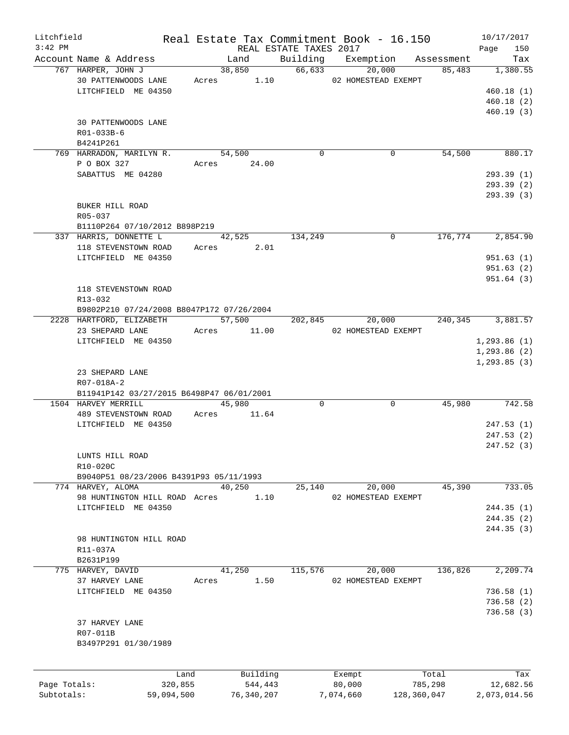| Litchfield   |                                           |            |                         |                        | Real Estate Tax Commitment Book - 16.150 |                     | 10/17/2017    |
|--------------|-------------------------------------------|------------|-------------------------|------------------------|------------------------------------------|---------------------|---------------|
| $3:42$ PM    |                                           |            |                         | REAL ESTATE TAXES 2017 |                                          |                     | 150<br>Page   |
|              | Account Name & Address                    |            | Land                    |                        | Building Exemption                       | Assessment          | Tax           |
|              | 767 HARPER, JOHN J<br>30 PATTENWOODS LANE |            | 38,850<br>1.10<br>Acres | 66,633                 | 20,000<br>02 HOMESTEAD EXEMPT            | 85,483              | 1,380.55      |
|              | LITCHFIELD ME 04350                       |            |                         |                        |                                          |                     | 460.18(1)     |
|              |                                           |            |                         |                        |                                          |                     | 460.18(2)     |
|              |                                           |            |                         |                        |                                          |                     |               |
|              |                                           |            |                         |                        |                                          |                     | 460.19(3)     |
|              | 30 PATTENWOODS LANE                       |            |                         |                        |                                          |                     |               |
|              | R01-033B-6                                |            |                         |                        |                                          |                     |               |
|              | B4241P261                                 |            |                         |                        |                                          |                     |               |
|              | 769 HARRADON, MARILYN R.                  |            | 54,500                  | $\Omega$               |                                          | 54,500<br>0         | 880.17        |
|              | P O BOX 327                               |            | Acres 24.00             |                        |                                          |                     |               |
|              | SABATTUS ME 04280                         |            |                         |                        |                                          |                     | 293.39(1)     |
|              |                                           |            |                         |                        |                                          |                     | 293.39(2)     |
|              |                                           |            |                         |                        |                                          |                     | 293.39(3)     |
|              | BUKER HILL ROAD                           |            |                         |                        |                                          |                     |               |
|              | R05-037                                   |            |                         |                        |                                          |                     |               |
|              | B1110P264 07/10/2012 B898P219             |            |                         |                        |                                          |                     |               |
|              | 337 HARRIS, DONNETTE L                    |            | 42,525                  | 134,249                |                                          | 176,774<br>$\Omega$ | 2,854.90      |
|              | 118 STEVENSTOWN ROAD                      |            | Acres 2.01              |                        |                                          |                     |               |
|              | LITCHFIELD ME 04350                       |            |                         |                        |                                          |                     | 951.63(1)     |
|              |                                           |            |                         |                        |                                          |                     | 951.63(2)     |
|              |                                           |            |                         |                        |                                          |                     | 951.64(3)     |
|              | 118 STEVENSTOWN ROAD                      |            |                         |                        |                                          |                     |               |
|              | R13-032                                   |            |                         |                        |                                          |                     |               |
|              |                                           |            |                         |                        |                                          |                     |               |
|              | B9802P210 07/24/2008 B8047P172 07/26/2004 |            | $\overline{57,500}$     |                        |                                          |                     |               |
|              | 2228 HARTFORD, ELIZABETH                  |            |                         | 202,845                | 20,000                                   | 240,345             | 3,881.57      |
|              | 23 SHEPARD LANE                           |            | Acres 11.00             |                        | 02 HOMESTEAD EXEMPT                      |                     |               |
|              | LITCHFIELD ME 04350                       |            |                         |                        |                                          |                     | 1, 293.86(1)  |
|              |                                           |            |                         |                        |                                          |                     | 1, 293.86 (2) |
|              |                                           |            |                         |                        |                                          |                     | 1, 293.85(3)  |
|              | 23 SHEPARD LANE                           |            |                         |                        |                                          |                     |               |
|              | R07-018A-2                                |            |                         |                        |                                          |                     |               |
|              | B11941P142 03/27/2015 B6498P47 06/01/2001 |            |                         |                        |                                          |                     |               |
|              | 1504 HARVEY MERRILL                       |            | 45,980                  | 0                      |                                          | 45,980<br>0         | 742.58        |
|              | 489 STEVENSTOWN ROAD                      | Acres      | 11.64                   |                        |                                          |                     |               |
|              | LITCHFIELD ME 04350                       |            |                         |                        |                                          |                     | 247.53(1)     |
|              |                                           |            |                         |                        |                                          |                     | 247.53(2)     |
|              |                                           |            |                         |                        |                                          |                     | 247.52(3)     |
|              | LUNTS HILL ROAD                           |            |                         |                        |                                          |                     |               |
|              | R10-020C                                  |            |                         |                        |                                          |                     |               |
|              | B9040P51 08/23/2006 B4391P93 05/11/1993   |            |                         |                        |                                          |                     |               |
|              | 774 HARVEY, ALOMA                         |            | 40,250                  | 25,140                 | 20,000                                   | 45,390              | 733.05        |
|              | 98 HUNTINGTON HILL ROAD Acres             |            | 1.10                    |                        | 02 HOMESTEAD EXEMPT                      |                     |               |
|              | LITCHFIELD ME 04350                       |            |                         |                        |                                          |                     | 244.35(1)     |
|              |                                           |            |                         |                        |                                          |                     | 244.35(2)     |
|              |                                           |            |                         |                        |                                          |                     | 244.35(3)     |
|              | 98 HUNTINGTON HILL ROAD                   |            |                         |                        |                                          |                     |               |
|              | R11-037A                                  |            |                         |                        |                                          |                     |               |
|              |                                           |            |                         |                        |                                          |                     |               |
|              | B2631P199                                 |            |                         |                        |                                          |                     |               |
|              | 775 HARVEY, DAVID                         |            | 41,250                  | 115,576                | 20,000                                   | 136,826             | 2,209.74      |
|              | 37 HARVEY LANE                            | Acres      |                         | 1.50                   | 02 HOMESTEAD EXEMPT                      |                     |               |
|              | LITCHFIELD ME 04350                       |            |                         |                        |                                          |                     | 736.58(1)     |
|              |                                           |            |                         |                        |                                          |                     | 736.58(2)     |
|              |                                           |            |                         |                        |                                          |                     | 736.58(3)     |
|              | 37 HARVEY LANE                            |            |                         |                        |                                          |                     |               |
|              | R07-011B                                  |            |                         |                        |                                          |                     |               |
|              | B3497P291 01/30/1989                      |            |                         |                        |                                          |                     |               |
|              |                                           |            |                         |                        |                                          |                     |               |
|              |                                           |            |                         |                        |                                          |                     |               |
|              |                                           | Land       | Building                |                        | Exempt                                   | Total               | Tax           |
| Page Totals: |                                           | 320,855    | 544,443                 |                        | 80,000                                   | 785,298             | 12,682.56     |
| Subtotals:   |                                           | 59,094,500 | 76,340,207              |                        | 7,074,660                                | 128,360,047         | 2,073,014.56  |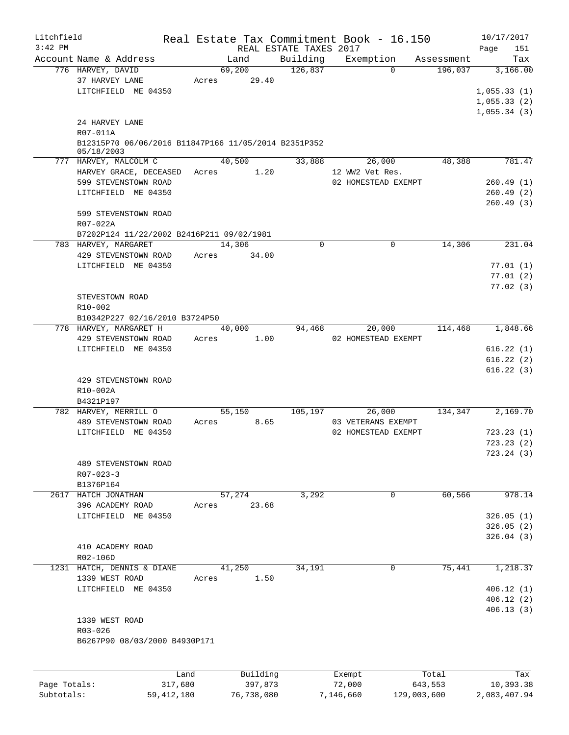| Litchfield   |                                                                    |         |            |                        |           | Real Estate Tax Commitment Book - 16.150 |             | 10/17/2017   |
|--------------|--------------------------------------------------------------------|---------|------------|------------------------|-----------|------------------------------------------|-------------|--------------|
| $3:42$ PM    |                                                                    |         |            | REAL ESTATE TAXES 2017 |           |                                          |             | 151<br>Page  |
|              | Account Name & Address                                             |         | Land       | Building               |           | Exemption                                | Assessment  | Tax          |
|              | 776 HARVEY, DAVID                                                  |         | 69,200     | 126,837                |           | $\Omega$                                 | 196,037     | 3,166.00     |
|              | 37 HARVEY LANE                                                     | Acres   | 29.40      |                        |           |                                          |             |              |
|              | LITCHFIELD ME 04350                                                |         |            |                        |           |                                          |             | 1,055.33(1)  |
|              |                                                                    |         |            |                        |           |                                          |             | 1,055.33(2)  |
|              |                                                                    |         |            |                        |           |                                          |             | 1,055.34(3)  |
|              | 24 HARVEY LANE                                                     |         |            |                        |           |                                          |             |              |
|              | R07-011A                                                           |         |            |                        |           |                                          |             |              |
|              | B12315P70 06/06/2016 B11847P166 11/05/2014 B2351P352<br>05/18/2003 |         |            |                        |           |                                          |             |              |
|              | 777 HARVEY, MALCOLM C                                              |         | 40,500     | 33,888                 |           | 26,000                                   | 48,388      | 781.47       |
|              | HARVEY GRACE, DECEASED                                             | Acres   | 1.20       |                        |           | 12 WW2 Vet Res.                          |             |              |
|              | 599 STEVENSTOWN ROAD                                               |         |            |                        |           | 02 HOMESTEAD EXEMPT                      |             | 260.49(1)    |
|              | LITCHFIELD ME 04350                                                |         |            |                        |           |                                          |             | 260.49(2)    |
|              |                                                                    |         |            |                        |           |                                          |             | 260.49(3)    |
|              | 599 STEVENSTOWN ROAD                                               |         |            |                        |           |                                          |             |              |
|              | R07-022A                                                           |         |            |                        |           |                                          |             |              |
|              | B7202P124 11/22/2002 B2416P211 09/02/1981                          |         |            |                        |           |                                          |             |              |
|              | 783 HARVEY, MARGARET                                               |         | 14,306     | 0                      |           | $\mathbf 0$                              | 14,306      | 231.04       |
|              | 429 STEVENSTOWN ROAD                                               | Acres   | 34.00      |                        |           |                                          |             |              |
|              | LITCHFIELD ME 04350                                                |         |            |                        |           |                                          |             | 77.01(1)     |
|              |                                                                    |         |            |                        |           |                                          |             | 77.01(2)     |
|              |                                                                    |         |            |                        |           |                                          |             | 77.02(3)     |
|              | STEVESTOWN ROAD                                                    |         |            |                        |           |                                          |             |              |
|              | R10-002                                                            |         |            |                        |           |                                          |             |              |
|              | B10342P227 02/16/2010 B3724P50                                     |         |            |                        |           |                                          |             |              |
|              | 778 HARVEY, MARGARET H                                             |         | 40,000     | 94,468                 |           | 20,000                                   | 114,468     | 1,848.66     |
|              | 429 STEVENSTOWN ROAD                                               | Acres   | 1.00       |                        |           | 02 HOMESTEAD EXEMPT                      |             |              |
|              | LITCHFIELD ME 04350                                                |         |            |                        |           |                                          |             | 616.22(1)    |
|              |                                                                    |         |            |                        |           |                                          |             | 616.22(2)    |
|              |                                                                    |         |            |                        |           |                                          |             | 616.22(3)    |
|              | 429 STEVENSTOWN ROAD                                               |         |            |                        |           |                                          |             |              |
|              | R10-002A                                                           |         |            |                        |           |                                          |             |              |
|              | B4321P197                                                          |         |            |                        |           |                                          |             |              |
|              | 782 HARVEY, MERRILL O                                              |         | 55,150     | 105,197                |           | 26,000                                   | 134,347     | 2,169.70     |
|              | 489 STEVENSTOWN ROAD                                               | Acres   | 8.65       |                        |           | 03 VETERANS EXEMPT                       |             |              |
|              | LITCHFIELD ME 04350                                                |         |            |                        |           | 02 HOMESTEAD EXEMPT                      |             | 723.23(1)    |
|              |                                                                    |         |            |                        |           |                                          |             | 723.23(2)    |
|              |                                                                    |         |            |                        |           |                                          |             | 723.24(3)    |
|              | 489 STEVENSTOWN ROAD                                               |         |            |                        |           |                                          |             |              |
|              | $R07 - 023 - 3$                                                    |         |            |                        |           |                                          |             |              |
|              | B1376P164                                                          |         |            |                        |           |                                          |             |              |
|              | 2617 HATCH JONATHAN                                                |         | 57,274     | 3,292                  |           | 0                                        | 60,566      | 978.14       |
|              | 396 ACADEMY ROAD                                                   | Acres   | 23.68      |                        |           |                                          |             |              |
|              | LITCHFIELD ME 04350                                                |         |            |                        |           |                                          |             | 326.05(1)    |
|              |                                                                    |         |            |                        |           |                                          |             | 326.05(2)    |
|              |                                                                    |         |            |                        |           |                                          |             | 326.04(3)    |
|              | 410 ACADEMY ROAD                                                   |         |            |                        |           |                                          |             |              |
|              | R02-106D                                                           |         |            |                        |           |                                          |             |              |
|              | 1231 HATCH, DENNIS & DIANE                                         |         | 41,250     | 34,191                 |           | $\mathbf 0$                              | 75,441      | 1,218.37     |
|              | 1339 WEST ROAD                                                     | Acres   | 1.50       |                        |           |                                          |             |              |
|              | LITCHFIELD ME 04350                                                |         |            |                        |           |                                          |             | 406.12(1)    |
|              |                                                                    |         |            |                        |           |                                          |             | 406.12(2)    |
|              |                                                                    |         |            |                        |           |                                          |             | 406.13(3)    |
|              | 1339 WEST ROAD                                                     |         |            |                        |           |                                          |             |              |
|              | R03-026                                                            |         |            |                        |           |                                          |             |              |
|              | B6267P90 08/03/2000 B4930P171                                      |         |            |                        |           |                                          |             |              |
|              |                                                                    |         |            |                        |           |                                          |             |              |
|              |                                                                    |         |            |                        |           |                                          |             |              |
|              |                                                                    | Land    | Building   |                        |           | Exempt                                   | Total       | Tax          |
| Page Totals: |                                                                    | 317,680 | 397,873    |                        |           | 72,000                                   | 643,553     | 10,393.38    |
| Subtotals:   | 59, 412, 180                                                       |         | 76,738,080 |                        | 7,146,660 |                                          | 129,003,600 | 2,083,407.94 |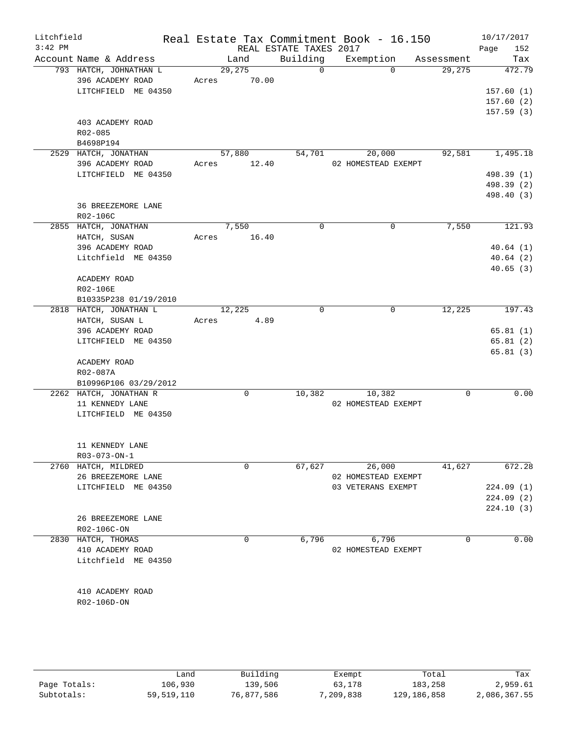| Litchfield<br>$3:42$ PM |                        |       |             | REAL ESTATE TAXES 2017 | Real Estate Tax Commitment Book - 16.150 |             | 10/17/2017<br>Page<br>152 |
|-------------------------|------------------------|-------|-------------|------------------------|------------------------------------------|-------------|---------------------------|
|                         | Account Name & Address |       | Land        | Building               | Exemption                                | Assessment  | Tax                       |
|                         | 793 HATCH, JOHNATHAN L |       | 29,275      | $\overline{0}$         | $\Omega$                                 | 29,275      | 472.79                    |
|                         | 396 ACADEMY ROAD       |       | Acres 70.00 |                        |                                          |             |                           |
|                         | LITCHFIELD ME 04350    |       |             |                        |                                          |             | 157.60(1)                 |
|                         |                        |       |             |                        |                                          |             | 157.60(2)                 |
|                         |                        |       |             |                        |                                          |             | 157.59(3)                 |
|                         | 403 ACADEMY ROAD       |       |             |                        |                                          |             |                           |
|                         | R02-085                |       |             |                        |                                          |             |                           |
|                         | B4698P194              |       |             |                        |                                          |             |                           |
|                         | 2529 HATCH, JONATHAN   |       | 57,880      | 54,701                 | 20,000                                   | 92,581      | 1,495.18                  |
|                         |                        |       |             |                        |                                          |             |                           |
|                         | 396 ACADEMY ROAD       |       | Acres 12.40 |                        | 02 HOMESTEAD EXEMPT                      |             |                           |
|                         | LITCHFIELD ME 04350    |       |             |                        |                                          |             | 498.39 (1)                |
|                         |                        |       |             |                        |                                          |             | 498.39 (2)                |
|                         |                        |       |             |                        |                                          |             | 498.40 (3)                |
|                         | 36 BREEZEMORE LANE     |       |             |                        |                                          |             |                           |
|                         | R02-106C               |       |             |                        |                                          |             |                           |
|                         | 2855 HATCH, JONATHAN   |       | 7,550       | $\Omega$               | 0                                        | 7,550       | 121.93                    |
|                         | HATCH, SUSAN           | Acres | 16.40       |                        |                                          |             |                           |
|                         | 396 ACADEMY ROAD       |       |             |                        |                                          |             | 40.64(1)                  |
|                         | Litchfield ME 04350    |       |             |                        |                                          |             | 40.64(2)                  |
|                         |                        |       |             |                        |                                          |             | 40.65(3)                  |
|                         | ACADEMY ROAD           |       |             |                        |                                          |             |                           |
|                         | R02-106E               |       |             |                        |                                          |             |                           |
|                         | B10335P238 01/19/2010  |       |             |                        |                                          |             |                           |
|                         |                        |       |             | $\mathbf 0$            | $\mathbf 0$                              | 12,225      | 197.43                    |
|                         | 2818 HATCH, JONATHAN L |       | 12,225      |                        |                                          |             |                           |
|                         | HATCH, SUSAN L         |       | Acres 4.89  |                        |                                          |             |                           |
|                         | 396 ACADEMY ROAD       |       |             |                        |                                          |             | 65.81(1)                  |
|                         | LITCHFIELD ME 04350    |       |             |                        |                                          |             | 65.81(2)                  |
|                         |                        |       |             |                        |                                          |             | 65.81(3)                  |
|                         | ACADEMY ROAD           |       |             |                        |                                          |             |                           |
|                         | R02-087A               |       |             |                        |                                          |             |                           |
|                         | B10996P106 03/29/2012  |       |             |                        |                                          |             |                           |
|                         | 2262 HATCH, JONATHAN R |       | $\mathbf 0$ | 10,382                 | 10,382                                   | $\mathbf 0$ | 0.00                      |
|                         | 11 KENNEDY LANE        |       |             |                        | 02 HOMESTEAD EXEMPT                      |             |                           |
|                         | LITCHFIELD ME 04350    |       |             |                        |                                          |             |                           |
|                         |                        |       |             |                        |                                          |             |                           |
|                         |                        |       |             |                        |                                          |             |                           |
|                         | 11 KENNEDY LANE        |       |             |                        |                                          |             |                           |
|                         | R03-073-ON-1           |       |             |                        |                                          |             |                           |
|                         | 2760 HATCH, MILDRED    |       | 0           | 67,627                 | 26,000                                   | 41,627      | 672.28                    |
|                         |                        |       |             |                        |                                          |             |                           |
|                         | 26 BREEZEMORE LANE     |       |             |                        | 02 HOMESTEAD EXEMPT                      |             |                           |
|                         | LITCHFIELD ME 04350    |       |             |                        | 03 VETERANS EXEMPT                       |             | 224.09(1)                 |
|                         |                        |       |             |                        |                                          |             | 224.09(2)                 |
|                         |                        |       |             |                        |                                          |             | 224.10(3)                 |
|                         | 26 BREEZEMORE LANE     |       |             |                        |                                          |             |                           |
|                         | R02-106C-ON            |       |             |                        |                                          |             |                           |
|                         | 2830 HATCH, THOMAS     |       | 0           | 6,796                  | 6,796                                    | 0           | 0.00                      |
|                         | 410 ACADEMY ROAD       |       |             |                        | 02 HOMESTEAD EXEMPT                      |             |                           |
|                         | Litchfield ME 04350    |       |             |                        |                                          |             |                           |
|                         |                        |       |             |                        |                                          |             |                           |
|                         |                        |       |             |                        |                                          |             |                           |
|                         | 410 ACADEMY ROAD       |       |             |                        |                                          |             |                           |
|                         | R02-106D-ON            |       |             |                        |                                          |             |                           |
|                         |                        |       |             |                        |                                          |             |                           |
|                         |                        |       |             |                        |                                          |             |                           |
|                         |                        |       |             |                        |                                          |             |                           |
|                         |                        |       |             |                        |                                          |             |                           |
|                         |                        |       |             |                        |                                          |             |                           |

|              | andد       | Building   | Exempt    | Total       | Tax          |
|--------------|------------|------------|-----------|-------------|--------------|
| Page Totals: | 106,930    | 139,506    | 63,178    | 183,258     | 2,959.61     |
| Subtotals:   | 59,519,110 | 76,877,586 | 7,209,838 | 129,186,858 | 2,086,367.55 |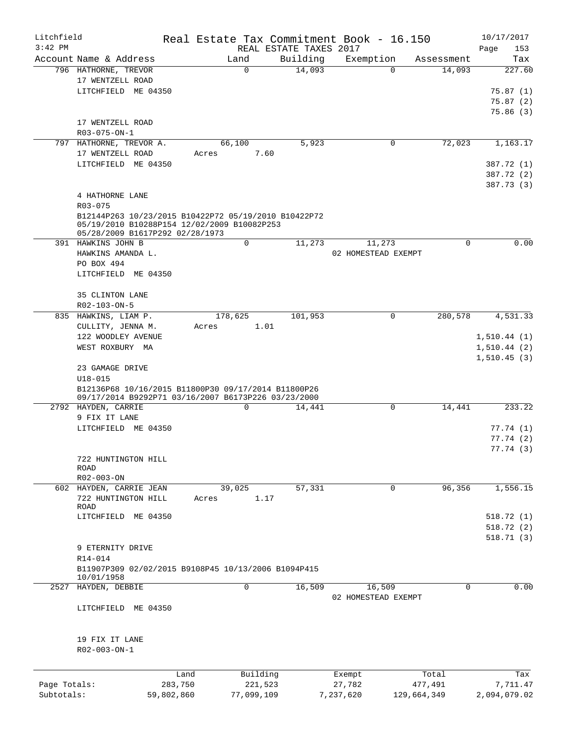| Litchfield   |                                                      |            |            |                        | Real Estate Tax Commitment Book - 16.150 |             | 10/17/2017   |
|--------------|------------------------------------------------------|------------|------------|------------------------|------------------------------------------|-------------|--------------|
| $3:42$ PM    |                                                      |            |            | REAL ESTATE TAXES 2017 |                                          |             | Page<br>153  |
|              | Account Name & Address                               |            | Land       | Building               | Exemption                                | Assessment  | Tax          |
|              | 796 HATHORNE, TREVOR                                 |            | $\Omega$   | 14,093                 | $\Omega$                                 | 14,093      | 227.60       |
|              | 17 WENTZELL ROAD                                     |            |            |                        |                                          |             |              |
|              | LITCHFIELD ME 04350                                  |            |            |                        |                                          |             | 75.87(1)     |
|              |                                                      |            |            |                        |                                          |             | 75.87(2)     |
|              |                                                      |            |            |                        |                                          |             | 75.86(3)     |
|              | 17 WENTZELL ROAD                                     |            |            |                        |                                          |             |              |
|              | R03-075-ON-1                                         |            |            |                        |                                          |             |              |
|              | 797 HATHORNE, TREVOR A.                              |            | 66,100     | 5,923                  | 0                                        | 72,023      | 1,163.17     |
|              | 17 WENTZELL ROAD                                     | Acres      | 7.60       |                        |                                          |             |              |
|              | LITCHFIELD ME 04350                                  |            |            |                        |                                          |             | 387.72 (1)   |
|              |                                                      |            |            |                        |                                          |             | 387.72 (2)   |
|              |                                                      |            |            |                        |                                          |             | 387.73 (3)   |
|              | 4 HATHORNE LANE                                      |            |            |                        |                                          |             |              |
|              | R03-075                                              |            |            |                        |                                          |             |              |
|              | B12144P263 10/23/2015 B10422P72 05/19/2010 B10422P72 |            |            |                        |                                          |             |              |
|              | 05/19/2010 B10288P154 12/02/2009 B10082P253          |            |            |                        |                                          |             |              |
|              | 05/28/2009 B1617P292 02/28/1973                      |            |            |                        |                                          |             |              |
|              | 391 HAWKINS JOHN B                                   |            | 0          | 11,273                 | 11,273                                   | 0           | 0.00         |
|              | HAWKINS AMANDA L.                                    |            |            |                        | 02 HOMESTEAD EXEMPT                      |             |              |
|              | PO BOX 494                                           |            |            |                        |                                          |             |              |
|              | LITCHFIELD ME 04350                                  |            |            |                        |                                          |             |              |
|              |                                                      |            |            |                        |                                          |             |              |
|              | 35 CLINTON LANE                                      |            |            |                        |                                          |             |              |
|              | R02-103-ON-5                                         |            |            |                        |                                          |             |              |
|              | 835 HAWKINS, LIAM P.                                 |            | 178,625    | 101,953                | 0                                        | 280,578     | 4,531.33     |
|              | CULLITY, JENNA M.                                    | Acres      | 1.01       |                        |                                          |             |              |
|              | 122 WOODLEY AVENUE                                   |            |            |                        |                                          |             | 1, 510.44(1) |
|              | WEST ROXBURY MA                                      |            |            |                        |                                          |             | 1,510.44(2)  |
|              |                                                      |            |            |                        |                                          |             | 1,510.45(3)  |
|              | 23 GAMAGE DRIVE                                      |            |            |                        |                                          |             |              |
|              | $U18 - 015$                                          |            |            |                        |                                          |             |              |
|              | B12136P68 10/16/2015 B11800P30 09/17/2014 B11800P26  |            |            |                        |                                          |             |              |
|              | 09/17/2014 B9292P71 03/16/2007 B6173P226 03/23/2000  |            |            |                        |                                          |             |              |
|              | 2792 HAYDEN, CARRIE                                  |            | $\Omega$   | 14,441                 | $\mathbf 0$                              | 14,441      | 233.22       |
|              | 9 FIX IT LANE                                        |            |            |                        |                                          |             |              |
|              | LITCHFIELD ME 04350                                  |            |            |                        |                                          |             | 77.74 (1)    |
|              |                                                      |            |            |                        |                                          |             | 77.74(2)     |
|              |                                                      |            |            |                        |                                          |             | 77.74(3)     |
|              | 722 HUNTINGTON HILL<br><b>ROAD</b>                   |            |            |                        |                                          |             |              |
|              | R02-003-ON                                           |            |            |                        |                                          |             |              |
|              | 602 HAYDEN, CARRIE JEAN                              |            | 39,025     | 57,331                 | 0                                        | 96,356      | 1,556.15     |
|              | 722 HUNTINGTON HILL                                  | Acres      | 1.17       |                        |                                          |             |              |
|              | ROAD                                                 |            |            |                        |                                          |             |              |
|              | LITCHFIELD ME 04350                                  |            |            |                        |                                          |             | 518.72(1)    |
|              |                                                      |            |            |                        |                                          |             | 518.72(2)    |
|              |                                                      |            |            |                        |                                          |             | 518.71(3)    |
|              | 9 ETERNITY DRIVE                                     |            |            |                        |                                          |             |              |
|              | R14-014                                              |            |            |                        |                                          |             |              |
|              | B11907P309 02/02/2015 B9108P45 10/13/2006 B1094P415  |            |            |                        |                                          |             |              |
|              | 10/01/1958                                           |            |            |                        |                                          |             |              |
| 2527         | HAYDEN, DEBBIE                                       |            | 0          | 16,509                 | 16,509                                   | $\mathbf 0$ | 0.00         |
|              |                                                      |            |            |                        | 02 HOMESTEAD EXEMPT                      |             |              |
|              | LITCHFIELD<br>ME 04350                               |            |            |                        |                                          |             |              |
|              |                                                      |            |            |                        |                                          |             |              |
|              |                                                      |            |            |                        |                                          |             |              |
|              | 19 FIX IT LANE                                       |            |            |                        |                                          |             |              |
|              | R02-003-ON-1                                         |            |            |                        |                                          |             |              |
|              |                                                      |            |            |                        |                                          |             |              |
|              |                                                      |            |            |                        |                                          |             |              |
|              |                                                      | Land       | Building   |                        | Exempt                                   | Total       | Tax          |
| Page Totals: |                                                      | 283,750    | 221,523    |                        | 27,782                                   | 477,491     | 7,711.47     |
| Subtotals:   |                                                      | 59,802,860 | 77,099,109 |                        | 7,237,620                                | 129,664,349 | 2,094,079.02 |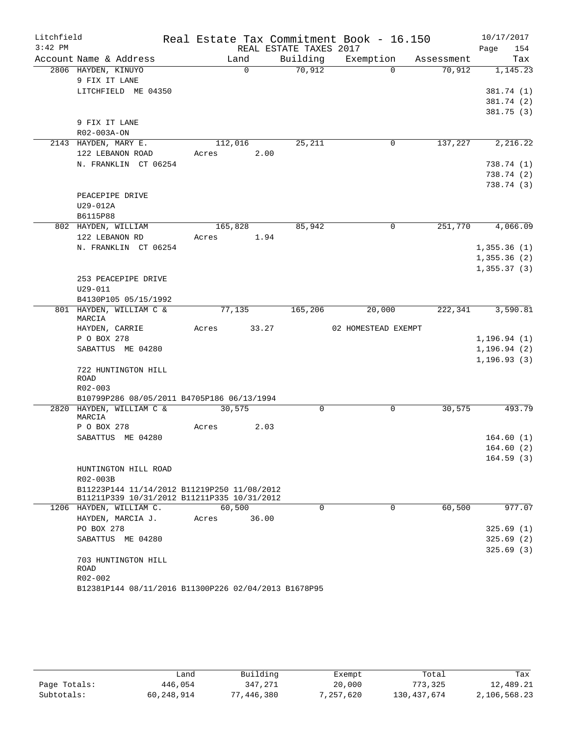| Litchfield |                                                                                            |       |          |                        | Real Estate Tax Commitment Book - 16.150 |            | 10/17/2017   |
|------------|--------------------------------------------------------------------------------------------|-------|----------|------------------------|------------------------------------------|------------|--------------|
| $3:42$ PM  |                                                                                            |       |          | REAL ESTATE TAXES 2017 |                                          |            | Page<br>154  |
|            | Account Name & Address                                                                     |       | Land     | Building               | Exemption                                | Assessment | Tax          |
|            | 2806 HAYDEN, KINUYO                                                                        |       | $\Omega$ | 70,912                 | $\Omega$                                 | 70,912     | 1,145.23     |
|            | 9 FIX IT LANE                                                                              |       |          |                        |                                          |            |              |
|            | LITCHFIELD ME 04350                                                                        |       |          |                        |                                          |            | 381.74 (1)   |
|            |                                                                                            |       |          |                        |                                          |            | 381.74 (2)   |
|            |                                                                                            |       |          |                        |                                          |            | 381.75(3)    |
|            | 9 FIX IT LANE<br>R02-003A-ON                                                               |       |          |                        |                                          |            |              |
|            | 2143 HAYDEN, MARY E.                                                                       |       | 112,016  | 25,211                 | $\mathsf{O}$                             | 137,227    | 2,216.22     |
|            | 122 LEBANON ROAD                                                                           | Acres | 2.00     |                        |                                          |            |              |
|            | N. FRANKLIN CT 06254                                                                       |       |          |                        |                                          |            | 738.74 (1)   |
|            |                                                                                            |       |          |                        |                                          |            | 738.74 (2)   |
|            |                                                                                            |       |          |                        |                                          |            | 738.74 (3)   |
|            | PEACEPIPE DRIVE                                                                            |       |          |                        |                                          |            |              |
|            | U29-012A                                                                                   |       |          |                        |                                          |            |              |
|            | B6115P88                                                                                   |       |          |                        |                                          |            |              |
|            | 802 HAYDEN, WILLIAM                                                                        |       | 165,828  | 85,942                 | $\mathbf 0$                              | 251,770    | 4,066.09     |
|            | 122 LEBANON RD                                                                             | Acres | 1.94     |                        |                                          |            |              |
|            | N. FRANKLIN CT 06254                                                                       |       |          |                        |                                          |            | 1,355.36(1)  |
|            |                                                                                            |       |          |                        |                                          |            | 1,355.36(2)  |
|            |                                                                                            |       |          |                        |                                          |            | 1, 355.37(3) |
|            | 253 PEACEPIPE DRIVE                                                                        |       |          |                        |                                          |            |              |
|            | $U29 - 011$                                                                                |       |          |                        |                                          |            |              |
|            | B4130P105 05/15/1992                                                                       |       |          |                        |                                          |            |              |
|            | 801 HAYDEN, WILLIAM C &<br>MARCIA                                                          |       | 77,135   | 165,206                | 20,000                                   | 222,341    | 3,590.81     |
|            | HAYDEN, CARRIE                                                                             | Acres | 33.27    |                        | 02 HOMESTEAD EXEMPT                      |            |              |
|            | P O BOX 278                                                                                |       |          |                        |                                          |            | 1, 196.94(1) |
|            | SABATTUS ME 04280                                                                          |       |          |                        |                                          |            | 1, 196.94(2) |
|            |                                                                                            |       |          |                        |                                          |            | 1, 196.93(3) |
|            | 722 HUNTINGTON HILL                                                                        |       |          |                        |                                          |            |              |
|            | ROAD                                                                                       |       |          |                        |                                          |            |              |
|            | R02-003                                                                                    |       |          |                        |                                          |            |              |
|            | B10799P286 08/05/2011 B4705P186 06/13/1994                                                 |       |          |                        |                                          |            |              |
|            | 2820 HAYDEN, WILLIAM C &<br>MARCIA                                                         |       | 30,575   | 0                      | $\mathbf 0$                              | 30, 575    | 493.79       |
|            | P O BOX 278                                                                                | Acres | 2.03     |                        |                                          |            |              |
|            | SABATTUS ME 04280                                                                          |       |          |                        |                                          |            | 164.60(1)    |
|            |                                                                                            |       |          |                        |                                          |            | 164.60(2)    |
|            |                                                                                            |       |          |                        |                                          |            | 164.59(3)    |
|            | HUNTINGTON HILL ROAD                                                                       |       |          |                        |                                          |            |              |
|            | R02-003B                                                                                   |       |          |                        |                                          |            |              |
|            | B11223P144 11/14/2012 B11219P250 11/08/2012<br>B11211P339 10/31/2012 B11211P335 10/31/2012 |       |          |                        |                                          |            |              |
|            | 1206 HAYDEN, WILLIAM C.                                                                    |       | 60,500   | $\mathbf 0$            | $\mathbf 0$                              | 60,500     | 977.07       |
|            | HAYDEN, MARCIA J.                                                                          | Acres | 36.00    |                        |                                          |            |              |
|            | PO BOX 278                                                                                 |       |          |                        |                                          |            | 325.69(1)    |
|            | SABATTUS ME 04280                                                                          |       |          |                        |                                          |            | 325.69(2)    |
|            |                                                                                            |       |          |                        |                                          |            | 325.69(3)    |
|            | 703 HUNTINGTON HILL                                                                        |       |          |                        |                                          |            |              |
|            | <b>ROAD</b>                                                                                |       |          |                        |                                          |            |              |
|            | R02-002<br>B12381P144 08/11/2016 B11300P226 02/04/2013 B1678P95                            |       |          |                        |                                          |            |              |
|            |                                                                                            |       |          |                        |                                          |            |              |

|              | شand       | Building   | Exempt    | Total         | Tax          |
|--------------|------------|------------|-----------|---------------|--------------|
| Page Totals: | 446,054    | 347,271    | 20,000    | 773,325       | 12,489.21    |
| Subtotals:   | 60,248,914 | 77,446,380 | 7,257,620 | 130, 437, 674 | 2,106,568.23 |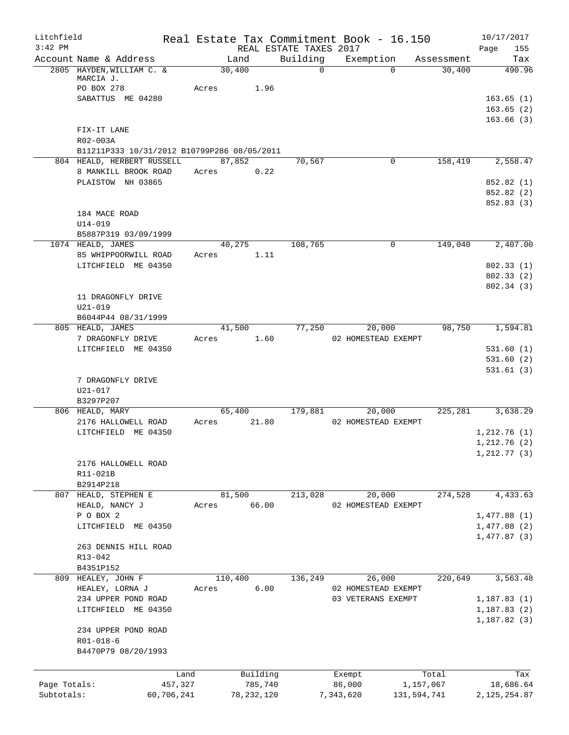| Litchfield   |                                                     |            |         |                |                            | Real Estate Tax Commitment Book - 16.150  |              |                      | 10/17/2017             |
|--------------|-----------------------------------------------------|------------|---------|----------------|----------------------------|-------------------------------------------|--------------|----------------------|------------------------|
| $3:42$ PM    |                                                     |            |         |                | REAL ESTATE TAXES 2017     |                                           |              |                      | Page<br>155            |
|              | Account Name & Address<br>2805 HAYDEN, WILLIAM C. & |            | 30,400  | Land           | Building<br>$\overline{0}$ | Exemption                                 | $\Omega$     | Assessment<br>30,400 | Tax<br>490.96          |
|              | MARCIA J.                                           |            |         |                |                            |                                           |              |                      |                        |
|              | PO BOX 278                                          |            | Acres   | 1.96           |                            |                                           |              |                      |                        |
|              | SABATTUS ME 04280                                   |            |         |                |                            |                                           |              |                      | 163.65(1)              |
|              |                                                     |            |         |                |                            |                                           |              |                      | 163.65(2)              |
|              | FIX-IT LANE                                         |            |         |                |                            |                                           |              |                      | 163.66(3)              |
|              | R02-003A                                            |            |         |                |                            |                                           |              |                      |                        |
|              | B11211P333 10/31/2012 B10799P286 08/05/2011         |            |         |                |                            |                                           |              |                      |                        |
|              | 804 HEALD, HERBERT RUSSELL                          |            | 87,852  |                | 70,567                     |                                           | $\mathbf{0}$ | 158,419              | 2,558.47               |
|              | 8 MANKILL BROOK ROAD                                |            | Acres   | 0.22           |                            |                                           |              |                      |                        |
|              | PLAISTOW NH 03865                                   |            |         |                |                            |                                           |              |                      | 852.82 (1)             |
|              |                                                     |            |         |                |                            |                                           |              |                      | 852.82 (2)             |
|              |                                                     |            |         |                |                            |                                           |              |                      | 852.83 (3)             |
|              | 184 MACE ROAD                                       |            |         |                |                            |                                           |              |                      |                        |
|              | $U14 - 019$                                         |            |         |                |                            |                                           |              |                      |                        |
|              | B5887P319 03/09/1999                                |            |         |                |                            |                                           |              | 149,040              |                        |
|              | 1074 HEALD, JAMES<br>85 WHIPPOORWILL ROAD           |            | Acres   | 40,275<br>1.11 | 108,765                    |                                           | 0            |                      | 2,407.00               |
|              | LITCHFIELD ME 04350                                 |            |         |                |                            |                                           |              |                      | 802.33(1)              |
|              |                                                     |            |         |                |                            |                                           |              |                      | 802.33 (2)             |
|              |                                                     |            |         |                |                            |                                           |              |                      | 802.34(3)              |
|              | 11 DRAGONFLY DRIVE                                  |            |         |                |                            |                                           |              |                      |                        |
|              | $U21 - 019$                                         |            |         |                |                            |                                           |              |                      |                        |
|              | B6044P44 08/31/1999                                 |            |         |                |                            |                                           |              |                      |                        |
|              | 805 HEALD, JAMES                                    |            |         | 41,500         | 77,250                     |                                           | 20,000       | 98,750               | 1,594.81               |
|              | 7 DRAGONFLY DRIVE                                   |            | Acres   | 1.60           |                            | 02 HOMESTEAD EXEMPT                       |              |                      |                        |
|              | LITCHFIELD ME 04350                                 |            |         |                |                            |                                           |              |                      | 531.60(1)              |
|              |                                                     |            |         |                |                            |                                           |              |                      | 531.60(2)<br>531.61(3) |
|              | 7 DRAGONFLY DRIVE                                   |            |         |                |                            |                                           |              |                      |                        |
|              | U21-017                                             |            |         |                |                            |                                           |              |                      |                        |
|              | B3297P207                                           |            |         |                |                            |                                           |              |                      |                        |
|              | 806 HEALD, MARY                                     |            |         | 65,400         | 179,881                    |                                           | 20,000       | 225, 281             | 3,638.29               |
|              | 2176 HALLOWELL ROAD                                 |            | Acres   | 21.80          |                            | 02 HOMESTEAD EXEMPT                       |              |                      |                        |
|              | LITCHFIELD ME 04350                                 |            |         |                |                            |                                           |              |                      | 1,212.76(1)            |
|              |                                                     |            |         |                |                            |                                           |              |                      | 1,212.76(2)            |
|              |                                                     |            |         |                |                            |                                           |              |                      | 1,212.77(3)            |
|              | 2176 HALLOWELL ROAD                                 |            |         |                |                            |                                           |              |                      |                        |
|              | R11-021B<br>B2914P218                               |            |         |                |                            |                                           |              |                      |                        |
|              | 807 HEALD, STEPHEN E                                |            | 81,500  |                | 213,028                    |                                           | 20,000       | 274,528              | 4,433.63               |
|              | HEALD, NANCY J                                      |            | Acres   | 66.00          |                            | 02 HOMESTEAD EXEMPT                       |              |                      |                        |
|              | P O BOX 2                                           |            |         |                |                            |                                           |              |                      | 1,477.88(1)            |
|              | LITCHFIELD ME 04350                                 |            |         |                |                            |                                           |              |                      | 1,477.88(2)            |
|              |                                                     |            |         |                |                            |                                           |              |                      | 1,477.87(3)            |
|              | 263 DENNIS HILL ROAD                                |            |         |                |                            |                                           |              |                      |                        |
|              | R13-042                                             |            |         |                |                            |                                           |              |                      |                        |
|              | B4351P152                                           |            |         |                |                            |                                           |              |                      |                        |
|              | 809 HEALEY, JOHN F                                  |            | 110,400 | 6.00           | 136,249                    |                                           | 26,000       | 220,649              | 3,563.48               |
|              | HEALEY, LORNA J<br>234 UPPER POND ROAD              |            | Acres   |                |                            | 02 HOMESTEAD EXEMPT<br>03 VETERANS EXEMPT |              |                      | 1, 187.83(1)           |
|              | LITCHFIELD ME 04350                                 |            |         |                |                            |                                           |              |                      | 1,187.83(2)            |
|              |                                                     |            |         |                |                            |                                           |              |                      | 1,187.82(3)            |
|              | 234 UPPER POND ROAD                                 |            |         |                |                            |                                           |              |                      |                        |
|              | R01-018-6                                           |            |         |                |                            |                                           |              |                      |                        |
|              | B4470P79 08/20/1993                                 |            |         |                |                            |                                           |              |                      |                        |
|              |                                                     |            |         |                |                            |                                           |              |                      |                        |
|              |                                                     | Land       |         | Building       |                            | Exempt                                    |              | Total                | Tax                    |
| Page Totals: |                                                     | 457,327    |         | 785,740        |                            | 86,000                                    |              | 1,157,067            | 18,686.64              |
| Subtotals:   |                                                     | 60,706,241 |         | 78, 232, 120   |                            | 7,343,620                                 | 131,594,741  |                      | 2, 125, 254.87         |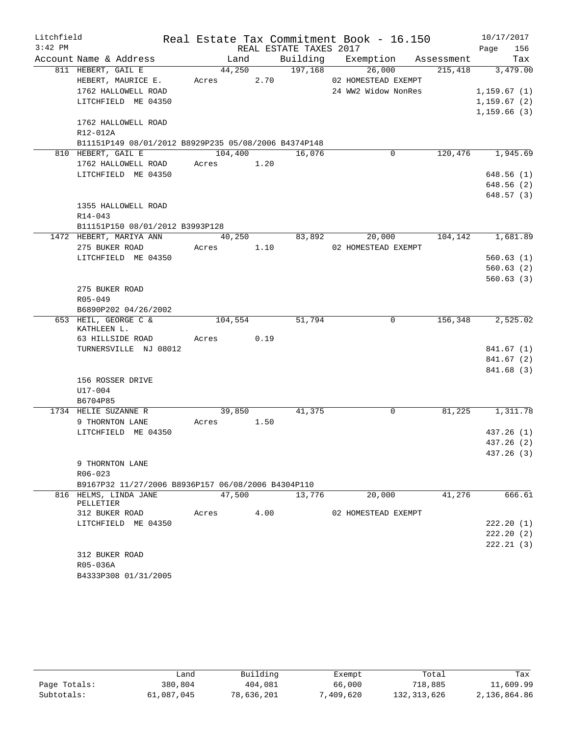| Litchfield |                                                      |               |      |                        | Real Estate Tax Commitment Book - 16.150 |            | 10/17/2017   |
|------------|------------------------------------------------------|---------------|------|------------------------|------------------------------------------|------------|--------------|
| $3:42$ PM  |                                                      |               |      | REAL ESTATE TAXES 2017 |                                          |            | 156<br>Page  |
|            | Account Name & Address                               | Land          |      | Building               | Exemption                                | Assessment | Tax          |
|            | 811 HEBERT, GAIL E                                   | 44,250        |      | 197,168                | 26,000                                   | 215,418    | 3,479.00     |
|            | HEBERT, MAURICE E.                                   | Acres         | 2.70 |                        | 02 HOMESTEAD EXEMPT                      |            |              |
|            | 1762 HALLOWELL ROAD                                  |               |      |                        | 24 WW2 Widow NonRes                      |            | 1, 159.67(1) |
|            | LITCHFIELD ME 04350                                  |               |      |                        |                                          |            | 1, 159.67(2) |
|            |                                                      |               |      |                        |                                          |            | 1,159.66(3)  |
|            | 1762 HALLOWELL ROAD                                  |               |      |                        |                                          |            |              |
|            | R12-012A                                             |               |      |                        |                                          |            |              |
|            | B11151P149 08/01/2012 B8929P235 05/08/2006 B4374P148 |               |      |                        |                                          |            |              |
|            | 810 HEBERT, GAIL E                                   | 104,400       |      | 16,076                 | 0                                        | 120,476    | 1,945.69     |
|            | 1762 HALLOWELL ROAD                                  | 1.20<br>Acres |      |                        |                                          |            |              |
|            | LITCHFIELD ME 04350                                  |               |      |                        |                                          |            | 648.56(1)    |
|            |                                                      |               |      |                        |                                          |            | 648.56 (2)   |
|            |                                                      |               |      |                        |                                          |            | 648.57(3)    |
|            | 1355 HALLOWELL ROAD                                  |               |      |                        |                                          |            |              |
|            | $R14 - 043$                                          |               |      |                        |                                          |            |              |
|            | B11151P150 08/01/2012 B3993P128                      |               |      |                        |                                          |            |              |
|            | 1472 HEBERT, MARIYA ANN                              | 40,250        |      | 83,892                 | 20,000                                   | 104,142    | 1,681.89     |
|            | 275 BUKER ROAD                                       | Acres         | 1.10 |                        | 02 HOMESTEAD EXEMPT                      |            |              |
|            | LITCHFIELD ME 04350                                  |               |      |                        |                                          |            | 560.63(1)    |
|            |                                                      |               |      |                        |                                          |            | 560.63(2)    |
|            |                                                      |               |      |                        |                                          |            | 560.63(3)    |
|            | 275 BUKER ROAD                                       |               |      |                        |                                          |            |              |
|            | R05-049                                              |               |      |                        |                                          |            |              |
|            | B6890P202 04/26/2002                                 |               |      |                        |                                          |            |              |
|            | 653 HEIL, GEORGE C &<br>KATHLEEN L.                  | 104,554       |      | 51,794                 | 0                                        | 156,348    | 2,525.02     |
|            | 63 HILLSIDE ROAD                                     | Acres         | 0.19 |                        |                                          |            |              |
|            | TURNERSVILLE NJ 08012                                |               |      |                        |                                          |            | 841.67 (1)   |
|            |                                                      |               |      |                        |                                          |            | 841.67 (2)   |
|            |                                                      |               |      |                        |                                          |            | 841.68 (3)   |
|            | 156 ROSSER DRIVE                                     |               |      |                        |                                          |            |              |
|            | U17-004                                              |               |      |                        |                                          |            |              |
|            | B6704P85                                             |               |      |                        |                                          |            |              |
|            | 1734 HELIE SUZANNE R                                 | 39,850        |      | 41,375                 | 0                                        | 81,225     | 1,311.78     |
|            | 9 THORNTON LANE                                      | Acres         | 1.50 |                        |                                          |            |              |
|            | LITCHFIELD ME 04350                                  |               |      |                        |                                          |            | 437.26 (1)   |
|            |                                                      |               |      |                        |                                          |            | 437.26 (2)   |
|            |                                                      |               |      |                        |                                          |            | 437.26 (3)   |
|            | 9 THORNTON LANE                                      |               |      |                        |                                          |            |              |
|            | $R06 - 023$                                          |               |      |                        |                                          |            |              |
|            | B9167P32 11/27/2006 B8936P157 06/08/2006 B4304P110   |               |      |                        |                                          |            |              |
|            | 816 HELMS, LINDA JANE                                | 47,500        |      | 13,776                 | 20,000                                   | 41,276     | 666.61       |
|            | PELLETIER                                            |               |      |                        |                                          |            |              |
|            | 312 BUKER ROAD                                       | Acres         | 4.00 |                        | 02 HOMESTEAD EXEMPT                      |            |              |
|            | LITCHFIELD ME 04350                                  |               |      |                        |                                          |            | 222.20(1)    |
|            |                                                      |               |      |                        |                                          |            | 222.20(2)    |
|            |                                                      |               |      |                        |                                          |            | 222.21(3)    |
|            | 312 BUKER ROAD                                       |               |      |                        |                                          |            |              |
|            | R05-036A                                             |               |      |                        |                                          |            |              |
|            | B4333P308 01/31/2005                                 |               |      |                        |                                          |            |              |

|              | فnand.     | Building   | Exempt    | Total         | Tax          |
|--------------|------------|------------|-----------|---------------|--------------|
| Page Totals: | 380,804    | 404,081    | 66,000    | 718,885       | 11,609.99    |
| Subtotals:   | 61,087,045 | 78,636,201 | 7,409,620 | 132, 313, 626 | 2,136,864.86 |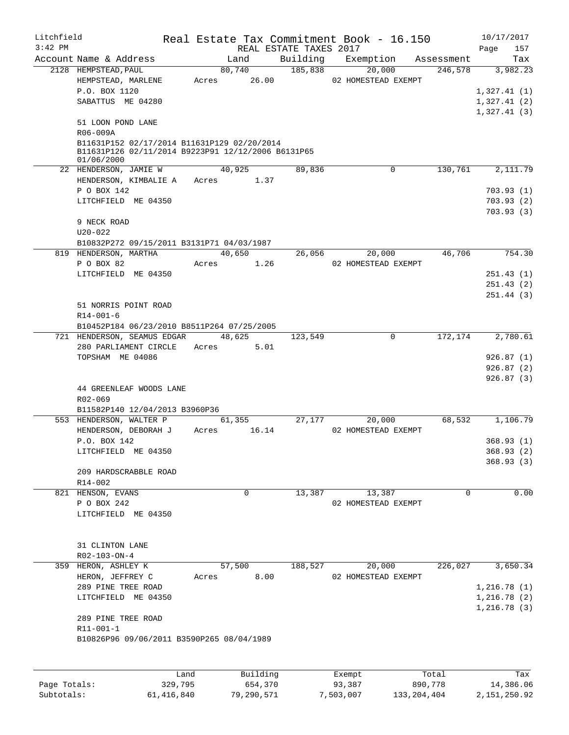| Litchfield   |                                             |                                                    |               |                        | Real Estate Tax Commitment Book - 16.150 |               | 10/17/2017     |  |  |
|--------------|---------------------------------------------|----------------------------------------------------|---------------|------------------------|------------------------------------------|---------------|----------------|--|--|
| $3:42$ PM    |                                             |                                                    |               | REAL ESTATE TAXES 2017 |                                          |               | 157<br>Page    |  |  |
|              | Account Name & Address                      |                                                    | Land          | Building               | Exemption                                | Assessment    | Tax            |  |  |
|              | 2128 HEMPSTEAD, PAUL                        |                                                    | 80,740        | 185,838                | 20,000                                   | 246,578       | 3,982.23       |  |  |
|              | HEMPSTEAD, MARLENE                          |                                                    | Acres 26.00   |                        | 02 HOMESTEAD EXEMPT                      |               |                |  |  |
|              | P.O. BOX 1120                               |                                                    |               |                        |                                          |               | 1,327.41(1)    |  |  |
|              | SABATTUS ME 04280                           |                                                    |               |                        |                                          |               | 1,327.41(2)    |  |  |
|              |                                             |                                                    |               |                        |                                          |               | 1,327.41(3)    |  |  |
|              | 51 LOON POND LANE                           |                                                    |               |                        |                                          |               |                |  |  |
|              | R06-009A                                    |                                                    |               |                        |                                          |               |                |  |  |
|              | B11631P152 02/17/2014 B11631P129 02/20/2014 | B11631P126 02/11/2014 B9223P91 12/12/2006 B6131P65 |               |                        |                                          |               |                |  |  |
|              | 01/06/2000                                  |                                                    |               |                        |                                          |               |                |  |  |
|              | 22 HENDERSON, JAMIE W                       |                                                    | 40,925        | 89,836                 | $\mathbf 0$                              | 130,761       | 2,111.79       |  |  |
|              | HENDERSON, KIMBALIE A                       |                                                    | Acres 1.37    |                        |                                          |               |                |  |  |
|              | P O BOX 142                                 |                                                    |               |                        |                                          |               | 703.93(1)      |  |  |
|              | LITCHFIELD ME 04350                         |                                                    |               |                        |                                          |               | 703.93(2)      |  |  |
|              |                                             |                                                    |               |                        |                                          |               | 703.93(3)      |  |  |
|              | 9 NECK ROAD                                 |                                                    |               |                        |                                          |               |                |  |  |
|              | $U20 - 022$                                 |                                                    |               |                        |                                          |               |                |  |  |
|              |                                             | B10832P272 09/15/2011 B3131P71 04/03/1987          |               |                        |                                          |               |                |  |  |
|              | 819 HENDERSON, MARTHA                       |                                                    | 40,650        | 26,056                 | 20,000                                   | 46,706        | 754.30         |  |  |
|              | P O BOX 82                                  | Acres                                              | 1.26          |                        | 02 HOMESTEAD EXEMPT                      |               |                |  |  |
|              | LITCHFIELD ME 04350                         |                                                    |               |                        |                                          |               | 251.43(1)      |  |  |
|              |                                             |                                                    |               |                        |                                          |               | 251.43(2)      |  |  |
|              |                                             |                                                    |               |                        |                                          |               | 251.44(3)      |  |  |
|              | 51 NORRIS POINT ROAD                        |                                                    |               |                        |                                          |               |                |  |  |
|              | $R14 - 001 - 6$                             |                                                    |               |                        |                                          |               |                |  |  |
|              | 721 HENDERSON, SEAMUS EDGAR                 | B10452P184 06/23/2010 B8511P264 07/25/2005         | 48,625        | 123,549                | $\mathbf 0$                              | 172,174       | 2,780.61       |  |  |
|              | 280 PARLIAMENT CIRCLE                       |                                                    | Acres<br>5.01 |                        |                                          |               |                |  |  |
|              | TOPSHAM ME 04086                            |                                                    |               |                        |                                          |               | 926.87(1)      |  |  |
|              |                                             |                                                    |               |                        |                                          |               | 926.87(2)      |  |  |
|              |                                             |                                                    |               |                        |                                          |               | 926.87(3)      |  |  |
|              | 44 GREENLEAF WOODS LANE                     |                                                    |               |                        |                                          |               |                |  |  |
|              | R02-069                                     |                                                    |               |                        |                                          |               |                |  |  |
|              | B11582P140 12/04/2013 B3960P36              |                                                    |               |                        |                                          |               |                |  |  |
|              | 553 HENDERSON, WALTER P                     |                                                    | 61,355        |                        | 27,177<br>20,000                         | 68,532        | 1,106.79       |  |  |
|              | HENDERSON, DEBORAH J                        | Acres                                              | 16.14         |                        | 02 HOMESTEAD EXEMPT                      |               |                |  |  |
|              | P.O. BOX 142                                |                                                    |               |                        |                                          |               | 368.93(1)      |  |  |
|              | LITCHFIELD ME 04350                         |                                                    |               |                        |                                          |               | 368.93 (2)     |  |  |
|              |                                             |                                                    |               |                        |                                          |               | 368.93(3)      |  |  |
|              | 209 HARDSCRABBLE ROAD                       |                                                    |               |                        |                                          |               |                |  |  |
|              | R14-002                                     |                                                    |               |                        |                                          |               |                |  |  |
|              | 821 HENSON, EVANS                           |                                                    | 0             | 13,387                 | 13,387                                   | $\Omega$      | 0.00           |  |  |
|              | P O BOX 242                                 |                                                    |               |                        | 02 HOMESTEAD EXEMPT                      |               |                |  |  |
|              | LITCHFIELD ME 04350                         |                                                    |               |                        |                                          |               |                |  |  |
|              |                                             |                                                    |               |                        |                                          |               |                |  |  |
|              |                                             |                                                    |               |                        |                                          |               |                |  |  |
|              | 31 CLINTON LANE                             |                                                    |               |                        |                                          |               |                |  |  |
|              | $R02 - 103 - ON - 4$<br>HERON, ASHLEY K     |                                                    | 57,500        | 188,527                |                                          | 226,027       | 3,650.34       |  |  |
| 359          | HERON, JEFFREY C                            |                                                    | 8.00          |                        | 20,000<br>02 HOMESTEAD EXEMPT            |               |                |  |  |
|              | 289 PINE TREE ROAD                          | Acres                                              |               |                        |                                          |               | 1,216.78(1)    |  |  |
|              | LITCHFIELD ME 04350                         |                                                    |               |                        |                                          |               | 1,216.78(2)    |  |  |
|              |                                             |                                                    |               |                        |                                          |               | 1,216.78(3)    |  |  |
|              | 289 PINE TREE ROAD                          |                                                    |               |                        |                                          |               |                |  |  |
|              | R11-001-1                                   |                                                    |               |                        |                                          |               |                |  |  |
|              |                                             | B10826P96 09/06/2011 B3590P265 08/04/1989          |               |                        |                                          |               |                |  |  |
|              |                                             |                                                    |               |                        |                                          |               |                |  |  |
|              |                                             |                                                    |               |                        |                                          |               |                |  |  |
|              |                                             | Land                                               | Building      |                        | Exempt                                   | Total         | Tax            |  |  |
| Page Totals: |                                             | 329,795                                            | 654,370       |                        | 93,387                                   | 890,778       | 14,386.06      |  |  |
| Subtotals:   |                                             | 61,416,840                                         | 79,290,571    |                        | 7,503,007                                | 133, 204, 404 | 2, 151, 250.92 |  |  |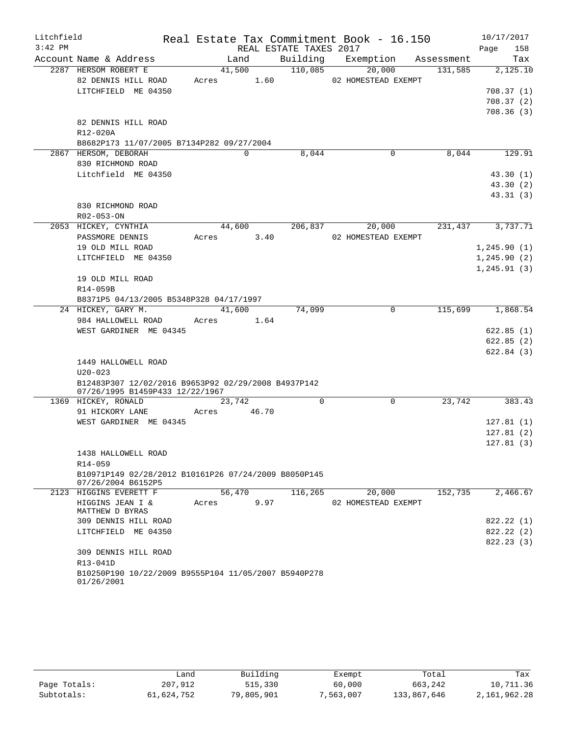| Litchfield |                                                                            |               |                        | Real Estate Tax Commitment Book - 16.150 |         | 10/17/2017       |
|------------|----------------------------------------------------------------------------|---------------|------------------------|------------------------------------------|---------|------------------|
| $3:42$ PM  |                                                                            |               | REAL ESTATE TAXES 2017 |                                          |         | 158<br>Page      |
|            | Account Name & Address                                                     | Land          |                        | Building Exemption Assessment            |         | Tax              |
|            | 2287 HERSOM ROBERT E                                                       | 41,500        | 110,085                | 20,000                                   | 131,585 | 2,125.10         |
|            | 82 DENNIS HILL ROAD                                                        | Acres 1.60    |                        | 02 HOMESTEAD EXEMPT                      |         |                  |
|            | LITCHFIELD ME 04350                                                        |               |                        |                                          |         | 708.37(1)        |
|            |                                                                            |               |                        |                                          |         | 708.37(2)        |
|            |                                                                            |               |                        |                                          |         | 708.36(3)        |
|            | 82 DENNIS HILL ROAD                                                        |               |                        |                                          |         |                  |
|            | R12-020A                                                                   |               |                        |                                          |         |                  |
|            | B8682P173 11/07/2005 B7134P282 09/27/2004                                  |               |                        |                                          |         |                  |
|            | 2867 HERSOM, DEBORAH                                                       | 0             | 8,044                  | $\mathbf 0$                              | 8,044   | 129.91           |
|            | 830 RICHMOND ROAD                                                          |               |                        |                                          |         |                  |
|            | Litchfield ME 04350                                                        |               |                        |                                          |         | 43.30(1)         |
|            |                                                                            |               |                        |                                          |         | 43.30(2)         |
|            |                                                                            |               |                        |                                          |         | 43.31(3)         |
|            | 830 RICHMOND ROAD                                                          |               |                        |                                          |         |                  |
|            | R02-053-ON                                                                 |               |                        |                                          |         |                  |
|            | 2053 HICKEY, CYNTHIA                                                       |               |                        | 44,600 206,837 20,000                    |         | 231,437 3,737.71 |
|            | PASSMORE DENNIS                                                            | Acres 3.40    |                        | 02 HOMESTEAD EXEMPT                      |         |                  |
|            | 19 OLD MILL ROAD                                                           |               |                        |                                          |         | 1, 245.90(1)     |
|            | LITCHFIELD ME 04350                                                        |               |                        |                                          |         | 1, 245.90(2)     |
|            |                                                                            |               |                        |                                          |         | 1, 245.91(3)     |
|            | 19 OLD MILL ROAD                                                           |               |                        |                                          |         |                  |
|            | R14-059B                                                                   |               |                        |                                          |         |                  |
|            | B8371P5 04/13/2005 B5348P328 04/17/1997                                    |               |                        |                                          |         |                  |
|            | 24 HICKEY, GARY M.                                                         | 41,600        | 74,099                 | 0                                        | 115,699 | 1,868.54         |
|            | 984 HALLOWELL ROAD                                                         | Acres 1.64    |                        |                                          |         |                  |
|            | WEST GARDINER ME 04345                                                     |               |                        |                                          |         | 622.85(1)        |
|            |                                                                            |               |                        |                                          |         | 622.85(2)        |
|            |                                                                            |               |                        |                                          |         | 622.84(3)        |
|            | 1449 HALLOWELL ROAD                                                        |               |                        |                                          |         |                  |
|            | $U20 - 023$                                                                |               |                        |                                          |         |                  |
|            | B12483P307 12/02/2016 B9653P92 02/29/2008 B4937P142                        |               |                        |                                          |         |                  |
|            | 07/26/1995 B1459P433 12/22/1967                                            |               |                        |                                          |         |                  |
|            | 1369 HICKEY, RONALD                                                        | 23,742        | $\Omega$               | 0                                        | 23,742  | 383.43           |
|            | 91 HICKORY LANE                                                            | Acres 46.70   |                        |                                          |         |                  |
|            | WEST GARDINER ME 04345                                                     |               |                        |                                          |         | 127.81(1)        |
|            |                                                                            |               |                        |                                          |         | 127.81(2)        |
|            |                                                                            |               |                        |                                          |         | 127.81(3)        |
|            | 1438 HALLOWELL ROAD                                                        |               |                        |                                          |         |                  |
|            | R14-059                                                                    |               |                        |                                          |         |                  |
|            | B10971P149 02/28/2012 B10161P26 07/24/2009 B8050P145<br>07/26/2004 B6152P5 |               |                        |                                          |         |                  |
|            | 2123 HIGGINS EVERETT F                                                     | 56,470        | 116,265                | 20,000                                   | 152,735 | 2,466.67         |
|            | HIGGINS JEAN I &<br>MATTHEW D BYRAS                                        | 9.97<br>Acres |                        | 02 HOMESTEAD EXEMPT                      |         |                  |
|            | 309 DENNIS HILL ROAD                                                       |               |                        |                                          |         | 822.22 (1)       |
|            | LITCHFIELD ME 04350                                                        |               |                        |                                          |         | 822.22 (2)       |
|            |                                                                            |               |                        |                                          |         | 822.23(3)        |
|            | 309 DENNIS HILL ROAD<br>R13-041D                                           |               |                        |                                          |         |                  |
|            | B10250P190 10/22/2009 B9555P104 11/05/2007 B5940P278                       |               |                        |                                          |         |                  |
|            | 01/26/2001                                                                 |               |                        |                                          |         |                  |

|              | فnand.     | Building   | Exempt    | Total       | Tax          |
|--------------|------------|------------|-----------|-------------|--------------|
| Page Totals: | 207,912    | 515,330    | 60,000    | 663,242     | 10,711.36    |
| Subtotals:   | 61,624,752 | 79,805,901 | 7,563,007 | 133,867,646 | 2,161,962.28 |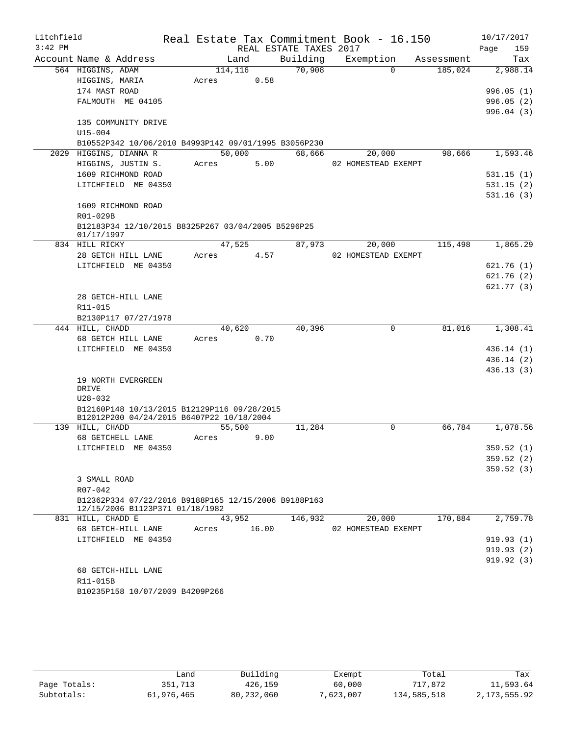| Litchfield<br>$3:42$ PM |                                                                                          |         |        |                                    | Real Estate Tax Commitment Book - 16.150 |            | 10/17/2017             |
|-------------------------|------------------------------------------------------------------------------------------|---------|--------|------------------------------------|------------------------------------------|------------|------------------------|
|                         | Account Name & Address                                                                   |         |        | REAL ESTATE TAXES 2017<br>Building |                                          |            | 159<br>Page            |
|                         |                                                                                          |         | Land   | 70,908                             | Exemption<br>$\Omega$                    | Assessment | Tax<br>2,988.14        |
|                         | 564 HIGGINS, ADAM                                                                        | 114,116 | 0.58   |                                    |                                          | 185,024    |                        |
|                         | HIGGINS, MARIA<br>174 MAST ROAD                                                          | Acres   |        |                                    |                                          |            |                        |
|                         | FALMOUTH ME 04105                                                                        |         |        |                                    |                                          |            | 996.05(1)<br>996.05(2) |
|                         |                                                                                          |         |        |                                    |                                          |            |                        |
|                         | 135 COMMUNITY DRIVE                                                                      |         |        |                                    |                                          |            | 996.04(3)              |
|                         | $U15 - 004$                                                                              |         |        |                                    |                                          |            |                        |
|                         | B10552P342 10/06/2010 B4993P142 09/01/1995 B3056P230                                     |         |        |                                    |                                          |            |                        |
|                         | 2029 HIGGINS, DIANNA R                                                                   |         | 50,000 | 68,666                             | 20,000                                   | 98,666     | 1,593.46               |
|                         | HIGGINS, JUSTIN S.                                                                       | Acres   | 5.00   |                                    | 02 HOMESTEAD EXEMPT                      |            |                        |
|                         | 1609 RICHMOND ROAD                                                                       |         |        |                                    |                                          |            | 531.15(1)              |
|                         | LITCHFIELD ME 04350                                                                      |         |        |                                    |                                          |            | 531.15(2)              |
|                         |                                                                                          |         |        |                                    |                                          |            | 531.16(3)              |
|                         | 1609 RICHMOND ROAD                                                                       |         |        |                                    |                                          |            |                        |
|                         | R01-029B                                                                                 |         |        |                                    |                                          |            |                        |
|                         | B12183P34 12/10/2015 B8325P267 03/04/2005 B5296P25                                       |         |        |                                    |                                          |            |                        |
|                         | 01/17/1997                                                                               |         |        |                                    |                                          |            |                        |
|                         | 834 HILL RICKY                                                                           |         | 47,525 | 87,973                             | 20,000                                   | 115,498    | 1,865.29               |
|                         | 28 GETCH HILL LANE                                                                       | Acres   | 4.57   |                                    | 02 HOMESTEAD EXEMPT                      |            |                        |
|                         | LITCHFIELD ME 04350                                                                      |         |        |                                    |                                          |            | 621.76(1)              |
|                         |                                                                                          |         |        |                                    |                                          |            | 621.76 (2)             |
|                         |                                                                                          |         |        |                                    |                                          |            | 621.77(3)              |
|                         | 28 GETCH-HILL LANE                                                                       |         |        |                                    |                                          |            |                        |
|                         | R11-015                                                                                  |         |        |                                    |                                          |            |                        |
|                         | B2130P117 07/27/1978                                                                     |         |        |                                    |                                          |            |                        |
|                         | 444 HILL, CHADD                                                                          |         | 40,620 | 40,396                             | $\mathbf 0$                              | 81,016     | 1,308.41               |
|                         | 68 GETCH HILL LANE                                                                       | Acres   | 0.70   |                                    |                                          |            |                        |
|                         | LITCHFIELD ME 04350                                                                      |         |        |                                    |                                          |            | 436.14(1)              |
|                         |                                                                                          |         |        |                                    |                                          |            | 436.14(2)              |
|                         |                                                                                          |         |        |                                    |                                          |            | 436.13 (3)             |
|                         | 19 NORTH EVERGREEN                                                                       |         |        |                                    |                                          |            |                        |
|                         | DRIVE                                                                                    |         |        |                                    |                                          |            |                        |
|                         | $U28 - 032$                                                                              |         |        |                                    |                                          |            |                        |
|                         | B12160P148 10/13/2015 B12129P116 09/28/2015<br>B12012P200 04/24/2015 B6407P22 10/18/2004 |         |        |                                    |                                          |            |                        |
|                         | 139 HILL, CHADD                                                                          |         | 55,500 | 11,284                             | $\Omega$                                 | 66,784     | 1,078.56               |
|                         | 68 GETCHELL LANE                                                                         | Acres   | 9.00   |                                    |                                          |            |                        |
|                         | LITCHFIELD ME 04350                                                                      |         |        |                                    |                                          |            | 359.52 (1)             |
|                         |                                                                                          |         |        |                                    |                                          |            | 359.52(2)              |
|                         |                                                                                          |         |        |                                    |                                          |            | 359.52(3)              |
|                         | 3 SMALL ROAD                                                                             |         |        |                                    |                                          |            |                        |
|                         | $R07 - 042$<br>B12362P334 07/22/2016 B9188P165 12/15/2006 B9188P163                      |         |        |                                    |                                          |            |                        |
|                         | 12/15/2006 B1123P371 01/18/1982                                                          |         |        |                                    |                                          |            |                        |
|                         | 831 HILL, CHADD E                                                                        |         | 43,952 | 146,932                            | 20,000                                   | 170,884    | 2,759.78               |
|                         | 68 GETCH-HILL LANE                                                                       | Acres   | 16.00  |                                    | 02 HOMESTEAD EXEMPT                      |            |                        |
|                         | LITCHFIELD ME 04350                                                                      |         |        |                                    |                                          |            | 919.93(1)              |
|                         |                                                                                          |         |        |                                    |                                          |            | 919.93(2)              |
|                         |                                                                                          |         |        |                                    |                                          |            | 919.92(3)              |
|                         | 68 GETCH-HILL LANE                                                                       |         |        |                                    |                                          |            |                        |
|                         | R11-015B                                                                                 |         |        |                                    |                                          |            |                        |
|                         | B10235P158 10/07/2009 B4209P266                                                          |         |        |                                    |                                          |            |                        |
|                         |                                                                                          |         |        |                                    |                                          |            |                        |
|                         |                                                                                          |         |        |                                    |                                          |            |                        |

|              | Land       | Building   | Exempt    | Total       | Tax            |
|--------------|------------|------------|-----------|-------------|----------------|
| Page Totals: | 351.713    | 426,159    | 60,000    | 717.872     | 11,593.64      |
| Subtotals:   | 61,976,465 | 80,232,060 | 7,623,007 | 134,585,518 | 2, 173, 555.92 |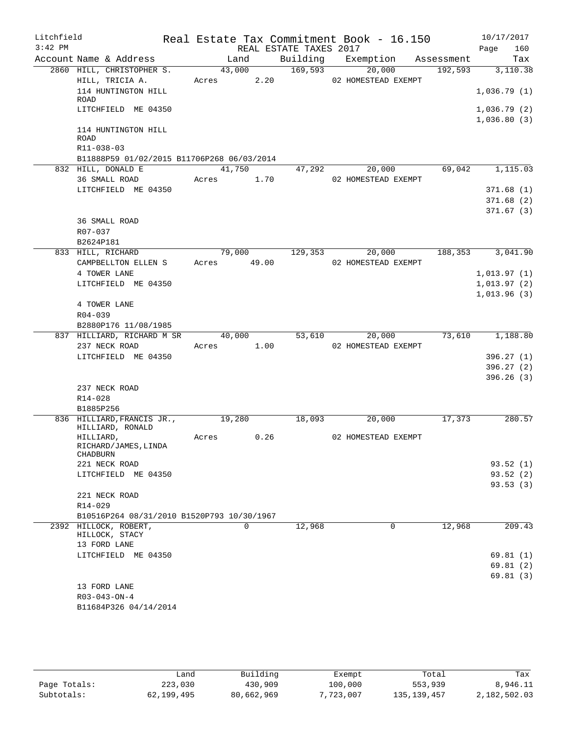| Litchfield<br>$3:42$ PM |                                                |               | REAL ESTATE TAXES 2017 | Real Estate Tax Commitment Book - 16.150 |          | 10/17/2017<br>160<br>Page |
|-------------------------|------------------------------------------------|---------------|------------------------|------------------------------------------|----------|---------------------------|
|                         | Account Name & Address                         | Land          |                        | Building Exemption Assessment            |          | Tax                       |
|                         | 2860 HILL, CHRISTOPHER S.                      | 43,000        | 169,593                | 20,000                                   | 192,593  | 3,110.38                  |
|                         | HILL, TRICIA A.                                | 2.20<br>Acres |                        | 02 HOMESTEAD EXEMPT                      |          |                           |
|                         | 114 HUNTINGTON HILL                            |               |                        |                                          |          | 1,036.79(1)               |
|                         | ROAD<br>LITCHFIELD ME 04350                    |               |                        |                                          |          | 1,036.79(2)               |
|                         |                                                |               |                        |                                          |          | 1,036.80(3)               |
|                         | 114 HUNTINGTON HILL<br><b>ROAD</b>             |               |                        |                                          |          |                           |
|                         | R11-038-03                                     |               |                        |                                          |          |                           |
|                         | B11888P59 01/02/2015 B11706P268 06/03/2014     |               |                        |                                          |          |                           |
|                         | 832 HILL, DONALD E                             | 41,750        | 47,292                 | 20,000                                   | 69,042   | 1,115.03                  |
|                         | 36 SMALL ROAD                                  | Acres 1.70    |                        | 02 HOMESTEAD EXEMPT                      |          |                           |
|                         | LITCHFIELD ME 04350                            |               |                        |                                          |          | 371.68(1)                 |
|                         |                                                |               |                        |                                          |          | 371.68(2)                 |
|                         |                                                |               |                        |                                          |          | 371.67(3)                 |
|                         | 36 SMALL ROAD                                  |               |                        |                                          |          |                           |
|                         | R07-037<br>B2624P181                           |               |                        |                                          |          |                           |
|                         | 833 HILL, RICHARD                              | 79,000        | 129,353                | 20,000                                   | 188, 353 | 3,041.90                  |
|                         | CAMPBELLTON ELLEN S                            | Acres 49.00   |                        | 02 HOMESTEAD EXEMPT                      |          |                           |
|                         | 4 TOWER LANE                                   |               |                        |                                          |          | 1,013.97(1)               |
|                         | LITCHFIELD ME 04350                            |               |                        |                                          |          | 1,013.97(2)               |
|                         |                                                |               |                        |                                          |          | 1,013.96(3)               |
|                         | 4 TOWER LANE                                   |               |                        |                                          |          |                           |
|                         | R04-039                                        |               |                        |                                          |          |                           |
|                         | B2880P176 11/08/1985                           |               |                        |                                          |          |                           |
|                         | 837 HILLIARD, RICHARD M SR                     | 40,000        | 53,610                 | 20,000                                   | 73,610   | 1,188.80                  |
|                         | 237 NECK ROAD                                  | Acres 1.00    |                        | 02 HOMESTEAD EXEMPT                      |          |                           |
|                         | LITCHFIELD ME 04350                            |               |                        |                                          |          | 396.27(1)                 |
|                         |                                                |               |                        |                                          |          | 396.27(2)                 |
|                         |                                                |               |                        |                                          |          | 396.26(3)                 |
|                         | 237 NECK ROAD                                  |               |                        |                                          |          |                           |
|                         | R14-028                                        |               |                        |                                          |          |                           |
|                         | B1885P256                                      |               |                        |                                          |          |                           |
|                         | 836 HILLIARD, FRANCIS JR.,<br>HILLIARD, RONALD | 19,280        | 18,093                 | 20,000                                   | 17,373   | 280.57                    |
|                         | HILLIARD,                                      | 0.26<br>Acres |                        | 02 HOMESTEAD EXEMPT                      |          |                           |
|                         | RICHARD/JAMES, LINDA<br><b>CHADBURN</b>        |               |                        |                                          |          |                           |
|                         | 221 NECK ROAD                                  |               |                        |                                          |          | 93.52 (1)                 |
|                         | LITCHFIELD ME 04350                            |               |                        |                                          |          | 93.52(2)                  |
|                         | 221 NECK ROAD                                  |               |                        |                                          |          | 93.53(3)                  |
|                         | $R14 - 029$                                    |               |                        |                                          |          |                           |
|                         | B10516P264 08/31/2010 B1520P793 10/30/1967     |               |                        |                                          |          |                           |
|                         | 2392 HILLOCK, ROBERT,                          | $\Omega$      | 12,968                 | 0                                        | 12,968   | 209.43                    |
|                         | HILLOCK, STACY                                 |               |                        |                                          |          |                           |
|                         | 13 FORD LANE                                   |               |                        |                                          |          |                           |
|                         | LITCHFIELD ME 04350                            |               |                        |                                          |          | 69.81(1)                  |
|                         |                                                |               |                        |                                          |          | 69.81 (2)                 |
|                         | 13 FORD LANE                                   |               |                        |                                          |          | 69.81(3)                  |
|                         | $R03 - 043 - ON - 4$                           |               |                        |                                          |          |                           |
|                         | B11684P326 04/14/2014                          |               |                        |                                          |          |                           |
|                         |                                                |               |                        |                                          |          |                           |

|              | ∟and       | Building   | Exempt    | Total       | Tax          |
|--------------|------------|------------|-----------|-------------|--------------|
| Page Totals: | 223,030    | 430,909    | 100,000   | 553,939     | 8,946.11     |
| Subtotals:   | 62,199,495 | 80,662,969 | 7,723,007 | 135,139,457 | 2,182,502.03 |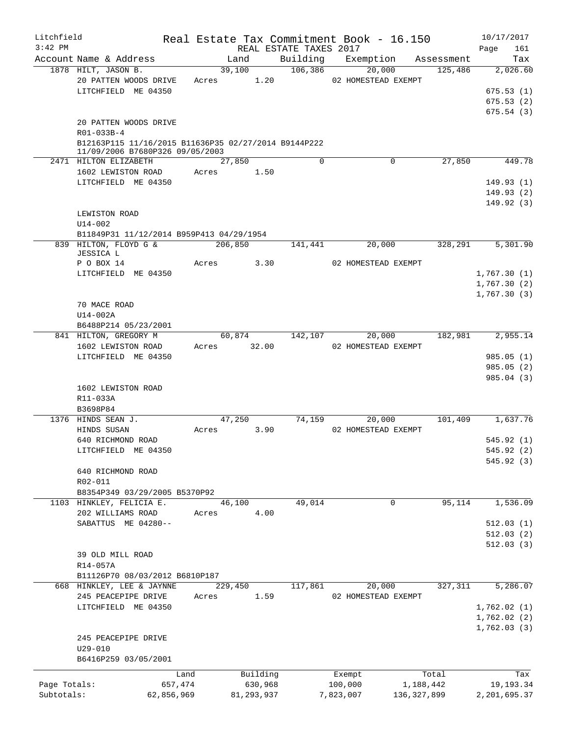| Litchfield                 |                                                                                                                                |         |                         |                        | Real Estate Tax Commitment Book - 16.150 |                          | 10/17/2017                          |
|----------------------------|--------------------------------------------------------------------------------------------------------------------------------|---------|-------------------------|------------------------|------------------------------------------|--------------------------|-------------------------------------|
| $3:42$ PM                  |                                                                                                                                |         |                         | REAL ESTATE TAXES 2017 |                                          |                          | Page<br>161                         |
|                            | Account Name & Address                                                                                                         |         | Land                    | Building               | Exemption                                | Assessment               | Tax                                 |
|                            | 1878 HILT, JASON B.<br>20 PATTEN WOODS DRIVE<br>LITCHFIELD ME 04350                                                            |         | 39,100<br>1.20<br>Acres | 106,386                | 20,000<br>02 HOMESTEAD EXEMPT            | 125,486                  | 2,026.60<br>675.53(1)<br>675.53(2)  |
|                            | 20 PATTEN WOODS DRIVE<br>R01-033B-4<br>B12163P115 11/16/2015 B11636P35 02/27/2014 B9144P222<br>11/09/2006 B7680P326 09/05/2003 |         |                         |                        |                                          |                          | 675.54(3)                           |
|                            | 2471 HILTON ELIZABETH                                                                                                          |         | 27,850                  | $\Omega$               |                                          | 27,850<br>0              | 449.78                              |
|                            | 1602 LEWISTON ROAD<br>LITCHFIELD ME 04350                                                                                      | Acres   | 1.50                    |                        |                                          |                          | 149.93(1)<br>149.93(2)<br>149.92(3) |
|                            | LEWISTON ROAD                                                                                                                  |         |                         |                        |                                          |                          |                                     |
|                            | $U14 - 002$                                                                                                                    |         |                         |                        |                                          |                          |                                     |
|                            | B11849P31 11/12/2014 B959P413 04/29/1954                                                                                       |         |                         |                        |                                          |                          |                                     |
|                            | 839 HILTON, FLOYD G &<br>JESSICA L                                                                                             |         | 206,850                 | 141,441                | 20,000                                   | 328,291                  | 5,301.90                            |
|                            | P O BOX 14                                                                                                                     | Acres   | 3.30                    |                        | 02 HOMESTEAD EXEMPT                      |                          |                                     |
|                            | LITCHFIELD ME 04350                                                                                                            |         |                         |                        |                                          |                          | 1,767.30(1)                         |
|                            |                                                                                                                                |         |                         |                        |                                          |                          | 1,767.30(2)                         |
|                            | 70 MACE ROAD<br>U14-002A                                                                                                       |         |                         |                        |                                          |                          | 1,767.30(3)                         |
|                            | B6488P214 05/23/2001                                                                                                           |         |                         |                        |                                          |                          |                                     |
|                            | 841 HILTON, GREGORY M                                                                                                          |         | 60,874<br>32.00         | 142,107                | 20,000                                   | 182,981                  | 2,955.14                            |
|                            | 1602 LEWISTON ROAD<br>LITCHFIELD ME 04350                                                                                      | Acres   |                         |                        | 02 HOMESTEAD EXEMPT                      |                          | 985.05(1)                           |
|                            |                                                                                                                                |         |                         |                        |                                          |                          | 985.05(2)                           |
|                            | 1602 LEWISTON ROAD<br>R11-033A                                                                                                 |         |                         |                        |                                          |                          | 985.04 (3)                          |
|                            | B3698P84                                                                                                                       |         |                         |                        |                                          |                          |                                     |
|                            | 1376 HINDS SEAN J.<br>HINDS SUSAN                                                                                              | Acres   | 47,250<br>3.90          | 74,159                 | 20,000<br>02 HOMESTEAD EXEMPT            | 101,409                  | 1,637.76                            |
|                            | 640 RICHMOND ROAD                                                                                                              |         |                         |                        |                                          |                          | 545.92 (1)                          |
|                            | LITCHFIELD ME 04350                                                                                                            |         |                         |                        |                                          |                          | 545.92 (2)                          |
|                            | 640 RICHMOND ROAD<br>R02-011<br>B8354P349 03/29/2005 B5370P92                                                                  |         |                         |                        |                                          |                          | 545.92(3)                           |
|                            | 1103 HINKLEY, FELICIA E.                                                                                                       |         | 46,100                  | 49,014                 |                                          | 95,114<br>0              | 1,536.09                            |
|                            | 202 WILLIAMS ROAD                                                                                                              | Acres   | 4.00                    |                        |                                          |                          |                                     |
|                            | SABATTUS ME 04280--                                                                                                            |         |                         |                        |                                          |                          | 512.03(1)                           |
|                            | 39 OLD MILL ROAD<br>R14-057A                                                                                                   |         |                         |                        |                                          |                          | 512.03(2)<br>512.03(3)              |
|                            | B11126P70 08/03/2012 B6810P187                                                                                                 |         |                         |                        |                                          |                          |                                     |
|                            | 668 HINKLEY, LEE & JAYNNE                                                                                                      |         | 229,450                 | 117,861                | 20,000                                   | 327,311                  | 5,286.07                            |
|                            | 245 PEACEPIPE DRIVE<br>LITCHFIELD ME 04350                                                                                     | Acres   | 1.59                    |                        | 02 HOMESTEAD EXEMPT                      |                          | 1,762.02(1)<br>1,762.02(2)          |
|                            | 245 PEACEPIPE DRIVE<br>$U29 - 010$<br>B6416P259 03/05/2001                                                                     |         |                         |                        |                                          |                          | 1,762.03(3)                         |
|                            |                                                                                                                                | Land    | Building                |                        | Exempt                                   | Total                    | Tax                                 |
| Page Totals:<br>Subtotals: | 62,856,969                                                                                                                     | 657,474 | 630,968<br>81, 293, 937 |                        | 100,000<br>7,823,007                     | 1,188,442<br>136,327,899 | 19,193.34<br>2,201,695.37           |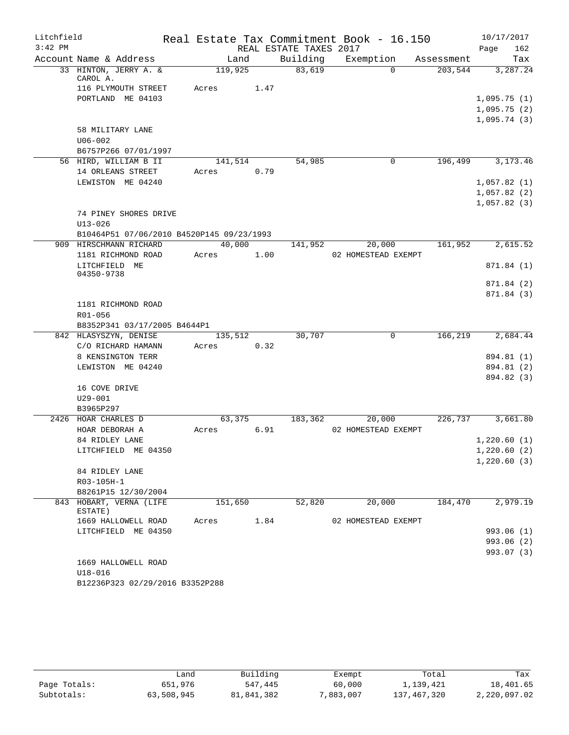| Litchfield |                                           |         |      |                        | Real Estate Tax Commitment Book - 16.150 |            | 10/17/2017                 |            |
|------------|-------------------------------------------|---------|------|------------------------|------------------------------------------|------------|----------------------------|------------|
| $3:42$ PM  |                                           |         |      | REAL ESTATE TAXES 2017 |                                          |            | Page                       | 162        |
|            | Account Name & Address                    | Land    |      | Building               | Exemption                                | Assessment |                            | Tax        |
|            | 33 HINTON, JERRY A. &                     | 119,925 |      | 83,619                 | $\Omega$                                 | 203,544    |                            | 3,287.24   |
|            | CAROL A.                                  |         |      |                        |                                          |            |                            |            |
|            | 116 PLYMOUTH STREET                       | Acres   | 1.47 |                        |                                          |            |                            |            |
|            | PORTLAND ME 04103                         |         |      |                        |                                          |            | 1,095.75(1)                |            |
|            |                                           |         |      |                        |                                          |            | 1,095.75(2)<br>1,095.74(3) |            |
|            | 58 MILITARY LANE                          |         |      |                        |                                          |            |                            |            |
|            | $U06 - 002$                               |         |      |                        |                                          |            |                            |            |
|            | B6757P266 07/01/1997                      |         |      |                        |                                          |            |                            |            |
|            | 56 HIRD, WILLIAM B II                     | 141,514 |      | 54,985                 | $\mathbf 0$                              | 196,499    |                            | 3, 173. 46 |
|            | 14 ORLEANS STREET                         | Acres   | 0.79 |                        |                                          |            |                            |            |
|            | LEWISTON ME 04240                         |         |      |                        |                                          |            | 1,057.82(1)                |            |
|            |                                           |         |      |                        |                                          |            | 1,057.82(2)                |            |
|            |                                           |         |      |                        |                                          |            | 1,057.82(3)                |            |
|            | 74 PINEY SHORES DRIVE                     |         |      |                        |                                          |            |                            |            |
|            | $U13 - 026$                               |         |      |                        |                                          |            |                            |            |
|            | B10464P51 07/06/2010 B4520P145 09/23/1993 |         |      |                        |                                          |            |                            |            |
|            | 909 HIRSCHMANN RICHARD                    | 40,000  |      | 141,952                | 20,000                                   | 161,952    |                            | 2,615.52   |
|            | 1181 RICHMOND ROAD                        | Acres   | 1.00 |                        | 02 HOMESTEAD EXEMPT                      |            |                            |            |
|            | LITCHFIELD ME                             |         |      |                        |                                          |            |                            | 871.84 (1) |
|            | 04350-9738                                |         |      |                        |                                          |            |                            |            |
|            |                                           |         |      |                        |                                          |            |                            | 871.84 (2) |
|            |                                           |         |      |                        |                                          |            |                            | 871.84 (3) |
|            | 1181 RICHMOND ROAD<br>R01-056             |         |      |                        |                                          |            |                            |            |
|            | B8352P341 03/17/2005 B4644P1              |         |      |                        |                                          |            |                            |            |
|            | 842 HLASYSZYN, DENISE                     | 135,512 |      | 30,707                 | 0                                        | 166,219    |                            | 2,684.44   |
|            | C/O RICHARD HAMANN                        | Acres   | 0.32 |                        |                                          |            |                            |            |
|            | 8 KENSINGTON TERR                         |         |      |                        |                                          |            |                            | 894.81 (1) |
|            | LEWISTON ME 04240                         |         |      |                        |                                          |            |                            | 894.81 (2) |
|            |                                           |         |      |                        |                                          |            |                            | 894.82 (3) |
|            | 16 COVE DRIVE                             |         |      |                        |                                          |            |                            |            |
|            | $U29 - 001$                               |         |      |                        |                                          |            |                            |            |
|            | B3965P297                                 |         |      |                        |                                          |            |                            |            |
|            | 2426 HOAR CHARLES D                       | 63,375  |      | 183,362                | 20,000                                   | 226,737    |                            | 3,661.80   |
|            | HOAR DEBORAH A                            | Acres   | 6.91 |                        | 02 HOMESTEAD EXEMPT                      |            |                            |            |
|            | 84 RIDLEY LANE                            |         |      |                        |                                          |            | 1,220.60(1)                |            |
|            | LITCHFIELD ME 04350                       |         |      |                        |                                          |            | 1,220.60(2)                |            |
|            |                                           |         |      |                        |                                          |            | 1,220.60(3)                |            |
|            | 84 RIDLEY LANE                            |         |      |                        |                                          |            |                            |            |
|            | R03-105H-1                                |         |      |                        |                                          |            |                            |            |
|            | B8261P15 12/30/2004                       |         |      |                        |                                          |            |                            |            |
|            | 843 HOBART, VERNA (LIFE<br>ESTATE)        | 151,650 |      | 52,820                 | 20,000                                   | 184,470    |                            | 2,979.19   |
|            | 1669 HALLOWELL ROAD                       | Acres   | 1.84 |                        | 02 HOMESTEAD EXEMPT                      |            |                            |            |
|            | LITCHFIELD ME 04350                       |         |      |                        |                                          |            |                            | 993.06 (1) |
|            |                                           |         |      |                        |                                          |            |                            | 993.06 (2) |
|            |                                           |         |      |                        |                                          |            |                            | 993.07 (3) |
|            | 1669 HALLOWELL ROAD                       |         |      |                        |                                          |            |                            |            |
|            | $U18 - 016$                               |         |      |                        |                                          |            |                            |            |
|            | B12236P323 02/29/2016 B3352P288           |         |      |                        |                                          |            |                            |            |

|              | Land       | Building   | Exempt    | Total       | Tax          |
|--------------|------------|------------|-----------|-------------|--------------|
| Page Totals: | 651,976    | 547,445    | 60,000    | 1,139,421   | 18,401.65    |
| Subtotals:   | 63,508,945 | 81,841,382 | 7,883,007 | 137,467,320 | 2,220,097.02 |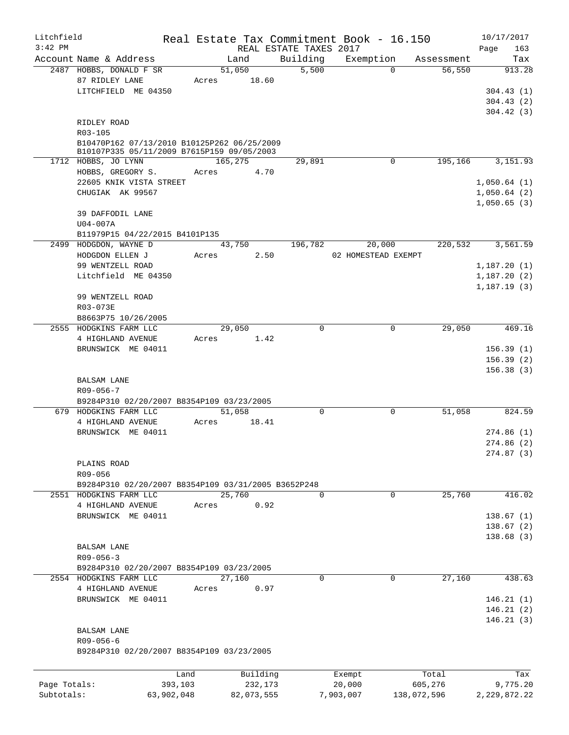| $3:42$ PM    | Account Name & Address<br>2487 HOBBS, DONALD F SR                 | Land<br>51,050 |            | REAL ESTATE TAXES 2017<br>Building |           | Exemption           | Assessment  | 163<br>Page<br>Tax |
|--------------|-------------------------------------------------------------------|----------------|------------|------------------------------------|-----------|---------------------|-------------|--------------------|
|              |                                                                   |                |            |                                    |           |                     |             |                    |
|              |                                                                   |                |            |                                    |           |                     |             |                    |
|              |                                                                   |                |            | 5,500                              |           | $\Omega$            | 56,550      | 913.28             |
|              | 87 RIDLEY LANE                                                    | Acres          | 18.60      |                                    |           |                     |             |                    |
|              | LITCHFIELD ME 04350                                               |                |            |                                    |           |                     |             | 304.43(1)          |
|              |                                                                   |                |            |                                    |           |                     |             | 304.43(2)          |
|              |                                                                   |                |            |                                    |           |                     |             | 304.42(3)          |
|              | RIDLEY ROAD                                                       |                |            |                                    |           |                     |             |                    |
|              | R03-105                                                           |                |            |                                    |           |                     |             |                    |
|              | B10470P162 07/13/2010 B10125P262 06/25/2009                       |                |            |                                    |           |                     |             |                    |
|              | B10107P335 05/11/2009 B7615P159 09/05/2003<br>1712 HOBBS, JO LYNN | 165,275        |            | 29,891                             |           | 0                   | 195,166     | 3,151.93           |
|              |                                                                   |                | 4.70       |                                    |           |                     |             |                    |
|              | HOBBS, GREGORY S.                                                 | Acres          |            |                                    |           |                     |             |                    |
|              | 22605 KNIK VISTA STREET                                           |                |            |                                    |           |                     |             | 1,050.64(1)        |
|              | CHUGIAK AK 99567                                                  |                |            |                                    |           |                     |             | 1,050.64(2)        |
|              |                                                                   |                |            |                                    |           |                     |             | 1,050.65(3)        |
|              | 39 DAFFODIL LANE                                                  |                |            |                                    |           |                     |             |                    |
|              | U04-007A                                                          |                |            |                                    |           |                     |             |                    |
|              | B11979P15 04/22/2015 B4101P135                                    |                |            |                                    |           |                     |             |                    |
|              | 2499 HODGDON, WAYNE D                                             |                | 43,750     | 196,782                            |           | 20,000              | 220,532     | 3,561.59           |
|              | HODGDON ELLEN J                                                   | Acres          | 2.50       |                                    |           | 02 HOMESTEAD EXEMPT |             |                    |
|              | 99 WENTZELL ROAD                                                  |                |            |                                    |           |                     |             | 1,187.20(1)        |
|              | Litchfield ME 04350                                               |                |            |                                    |           |                     |             | 1,187.20(2)        |
|              |                                                                   |                |            |                                    |           |                     |             | 1,187.19(3)        |
|              | 99 WENTZELL ROAD                                                  |                |            |                                    |           |                     |             |                    |
|              | R03-073E                                                          |                |            |                                    |           |                     |             |                    |
|              | B8663P75 10/26/2005                                               |                |            |                                    |           |                     |             |                    |
|              | 2555 HODGKINS FARM LLC                                            | 29,050         |            | $\Omega$                           |           | 0                   | 29,050      | 469.16             |
|              | 4 HIGHLAND AVENUE                                                 | Acres          | 1.42       |                                    |           |                     |             |                    |
|              | BRUNSWICK ME 04011                                                |                |            |                                    |           |                     |             | 156.39(1)          |
|              |                                                                   |                |            |                                    |           |                     |             | 156.39(2)          |
|              |                                                                   |                |            |                                    |           |                     |             | 156.38(3)          |
|              | <b>BALSAM LANE</b>                                                |                |            |                                    |           |                     |             |                    |
|              | $R09 - 056 - 7$                                                   |                |            |                                    |           |                     |             |                    |
|              | B9284P310 02/20/2007 B8354P109 03/23/2005                         |                |            |                                    |           |                     |             |                    |
|              | 679 HODGKINS FARM LLC                                             | 51,058         |            | $\mathbf 0$                        |           | $\mathbf 0$         | 51,058      | 824.59             |
|              | 4 HIGHLAND AVENUE                                                 | Acres          | 18.41      |                                    |           |                     |             |                    |
|              | BRUNSWICK ME 04011                                                |                |            |                                    |           |                     |             | 274.86(1)          |
|              |                                                                   |                |            |                                    |           |                     |             |                    |
|              |                                                                   |                |            |                                    |           |                     |             | 274.86(2)          |
|              |                                                                   |                |            |                                    |           |                     |             | 274.87(3)          |
|              | PLAINS ROAD                                                       |                |            |                                    |           |                     |             |                    |
|              | R09-056                                                           |                |            |                                    |           |                     |             |                    |
|              | B9284P310 02/20/2007 B8354P109 03/31/2005 B3652P248               |                |            |                                    |           |                     |             |                    |
|              | 2551 HODGKINS FARM LLC                                            | 25,760         |            | $\mathbf 0$                        |           | 0                   | 25,760      | 416.02             |
|              | 4 HIGHLAND AVENUE                                                 | Acres          | 0.92       |                                    |           |                     |             |                    |
|              | BRUNSWICK ME 04011                                                |                |            |                                    |           |                     |             | 138.67(1)          |
|              |                                                                   |                |            |                                    |           |                     |             | 138.67(2)          |
|              |                                                                   |                |            |                                    |           |                     |             | 138.68 (3)         |
|              | <b>BALSAM LANE</b>                                                |                |            |                                    |           |                     |             |                    |
|              | $R09 - 056 - 3$                                                   |                |            |                                    |           |                     |             |                    |
|              | B9284P310 02/20/2007 B8354P109 03/23/2005                         |                |            |                                    |           |                     |             |                    |
|              | 2554 HODGKINS FARM LLC                                            | 27,160         |            | $\mathbf 0$                        |           | $\mathbf 0$         | 27,160      | 438.63             |
|              | 4 HIGHLAND AVENUE                                                 | Acres          | 0.97       |                                    |           |                     |             |                    |
|              | BRUNSWICK ME 04011                                                |                |            |                                    |           |                     |             | 146.21(1)          |
|              |                                                                   |                |            |                                    |           |                     |             | 146.21(2)          |
|              |                                                                   |                |            |                                    |           |                     |             | 146.21(3)          |
|              | BALSAM LANE                                                       |                |            |                                    |           |                     |             |                    |
|              | $R09 - 056 - 6$                                                   |                |            |                                    |           |                     |             |                    |
|              | B9284P310 02/20/2007 B8354P109 03/23/2005                         |                |            |                                    |           |                     |             |                    |
|              |                                                                   |                |            |                                    |           |                     |             |                    |
|              | Land                                                              |                | Building   |                                    | Exempt    |                     | Total       | Tax                |
| Page Totals: | 393,103                                                           |                | 232,173    |                                    | 20,000    |                     | 605,276     | 9,775.20           |
| Subtotals:   | 63,902,048                                                        |                | 82,073,555 |                                    | 7,903,007 |                     | 138,072,596 | 2, 229, 872. 22    |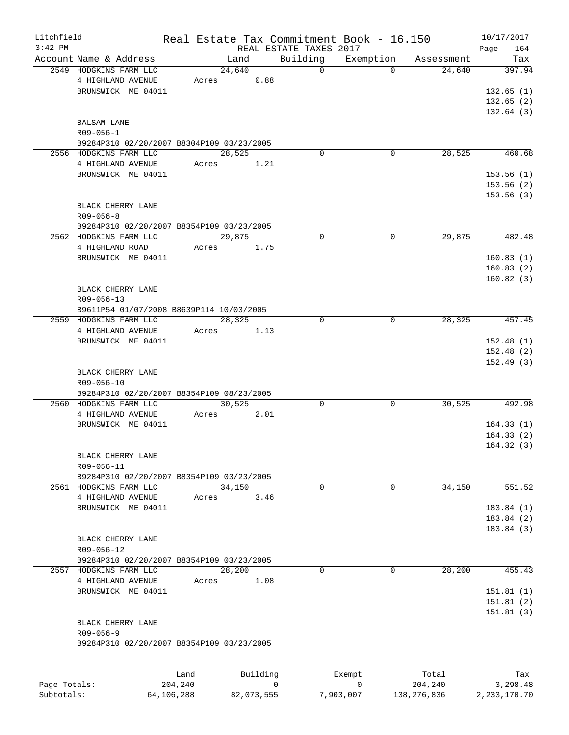| Litchfield<br>$3:42$ PM |                                           |      |       |        |          | REAL ESTATE TAXES 2017 | Real Estate Tax Commitment Book - 16.150 |            | 10/17/2017<br>164<br>Page |
|-------------------------|-------------------------------------------|------|-------|--------|----------|------------------------|------------------------------------------|------------|---------------------------|
|                         | Account Name & Address                    |      |       | Land   |          | Building               | Exemption                                | Assessment | Tax                       |
|                         | 2549 HODGKINS FARM LLC                    |      |       | 24,640 |          | $\Omega$               | $\Omega$                                 | 24,640     | 397.94                    |
|                         | 4 HIGHLAND AVENUE                         |      | Acres |        | 0.88     |                        |                                          |            |                           |
|                         | BRUNSWICK ME 04011                        |      |       |        |          |                        |                                          |            | 132.65(1)                 |
|                         |                                           |      |       |        |          |                        |                                          |            | 132.65(2)                 |
|                         |                                           |      |       |        |          |                        |                                          |            | 132.64(3)                 |
|                         | BALSAM LANE                               |      |       |        |          |                        |                                          |            |                           |
|                         | $R09 - 056 - 1$                           |      |       |        |          |                        |                                          |            |                           |
|                         | B9284P310 02/20/2007 B8304P109 03/23/2005 |      |       |        |          |                        |                                          |            |                           |
|                         | 2556 HODGKINS FARM LLC                    |      |       | 28,525 |          | $\Omega$               | 0                                        | 28,525     | 460.68                    |
|                         | 4 HIGHLAND AVENUE                         |      | Acres |        | 1.21     |                        |                                          |            |                           |
|                         | BRUNSWICK ME 04011                        |      |       |        |          |                        |                                          |            | 153.56(1)                 |
|                         |                                           |      |       |        |          |                        |                                          |            | 153.56(2)                 |
|                         |                                           |      |       |        |          |                        |                                          |            | 153.56(3)                 |
|                         | BLACK CHERRY LANE                         |      |       |        |          |                        |                                          |            |                           |
|                         | $R09 - 056 - 8$                           |      |       |        |          |                        |                                          |            |                           |
|                         | B9284P310 02/20/2007 B8354P109 03/23/2005 |      |       |        |          |                        |                                          |            |                           |
|                         | 2562 HODGKINS FARM LLC                    |      |       | 29,875 |          | 0                      | $\Omega$                                 | 29,875     | 482.48                    |
|                         | 4 HIGHLAND ROAD                           |      | Acres |        | 1.75     |                        |                                          |            |                           |
|                         | BRUNSWICK ME 04011                        |      |       |        |          |                        |                                          |            |                           |
|                         |                                           |      |       |        |          |                        |                                          |            | 160.83(1)                 |
|                         |                                           |      |       |        |          |                        |                                          |            | 160.83(2)                 |
|                         |                                           |      |       |        |          |                        |                                          |            | 160.82(3)                 |
|                         | BLACK CHERRY LANE                         |      |       |        |          |                        |                                          |            |                           |
|                         | R09-056-13                                |      |       |        |          |                        |                                          |            |                           |
|                         | B9611P54 01/07/2008 B8639P114 10/03/2005  |      |       |        |          |                        |                                          |            |                           |
|                         | 2559 HODGKINS FARM LLC                    |      |       | 28,325 |          | $\mathbf 0$            | 0                                        | 28, 325    | 457.45                    |
|                         | 4 HIGHLAND AVENUE                         |      | Acres |        | 1.13     |                        |                                          |            |                           |
|                         | BRUNSWICK ME 04011                        |      |       |        |          |                        |                                          |            | 152.48(1)                 |
|                         |                                           |      |       |        |          |                        |                                          |            | 152.48(2)                 |
|                         |                                           |      |       |        |          |                        |                                          |            | 152.49(3)                 |
|                         | BLACK CHERRY LANE                         |      |       |        |          |                        |                                          |            |                           |
|                         | R09-056-10                                |      |       |        |          |                        |                                          |            |                           |
|                         | B9284P310 02/20/2007 B8354P109 08/23/2005 |      |       |        |          |                        |                                          |            |                           |
|                         | 2560 HODGKINS FARM LLC                    |      |       | 30,525 |          | 0                      | 0                                        | 30,525     | 492.98                    |
|                         | 4 HIGHLAND AVENUE                         |      | Acres |        | 2.01     |                        |                                          |            |                           |
|                         | BRUNSWICK ME 04011                        |      |       |        |          |                        |                                          |            | 164.33(1)                 |
|                         |                                           |      |       |        |          |                        |                                          |            | 164.33(2)                 |
|                         |                                           |      |       |        |          |                        |                                          |            | 164.32(3)                 |
|                         | BLACK CHERRY LANE                         |      |       |        |          |                        |                                          |            |                           |
|                         | R09-056-11                                |      |       |        |          |                        |                                          |            |                           |
|                         | B9284P310 02/20/2007 B8354P109 03/23/2005 |      |       |        |          |                        |                                          |            |                           |
|                         | 2561 HODGKINS FARM LLC                    |      |       | 34,150 |          | $\mathbf 0$            | $\mathbf{0}$                             | 34,150     | 551.52                    |
|                         | 4 HIGHLAND AVENUE                         |      | Acres |        | 3.46     |                        |                                          |            |                           |
|                         | BRUNSWICK ME 04011                        |      |       |        |          |                        |                                          |            | 183.84(1)                 |
|                         |                                           |      |       |        |          |                        |                                          |            | 183.84(2)                 |
|                         |                                           |      |       |        |          |                        |                                          |            | 183.84(3)                 |
|                         | BLACK CHERRY LANE                         |      |       |        |          |                        |                                          |            |                           |
|                         | R09-056-12                                |      |       |        |          |                        |                                          |            |                           |
|                         | B9284P310 02/20/2007 B8354P109 03/23/2005 |      |       |        |          |                        |                                          |            |                           |
|                         | 2557 HODGKINS FARM LLC                    |      |       | 28,200 |          | $\mathbf 0$            | 0                                        | 28,200     | 455.43                    |
|                         | 4 HIGHLAND AVENUE                         |      | Acres |        | 1.08     |                        |                                          |            |                           |
|                         | BRUNSWICK ME 04011                        |      |       |        |          |                        |                                          |            | 151.81(1)                 |
|                         |                                           |      |       |        |          |                        |                                          |            | 151.81(2)                 |
|                         |                                           |      |       |        |          |                        |                                          |            | 151.81(3)                 |
|                         | BLACK CHERRY LANE                         |      |       |        |          |                        |                                          |            |                           |
|                         | $R09 - 056 - 9$                           |      |       |        |          |                        |                                          |            |                           |
|                         | B9284P310 02/20/2007 B8354P109 03/23/2005 |      |       |        |          |                        |                                          |            |                           |
|                         |                                           |      |       |        |          |                        |                                          |            |                           |
|                         |                                           |      |       |        |          |                        |                                          |            |                           |
|                         |                                           | Land |       |        | Building |                        | Exempt                                   | Total      | Tax                       |

Page Totals: 204,240 0 0 204,240 3,298.48 Subtotals: 64,106,288 82,073,555 7,903,007 138,276,836 2,233,170.70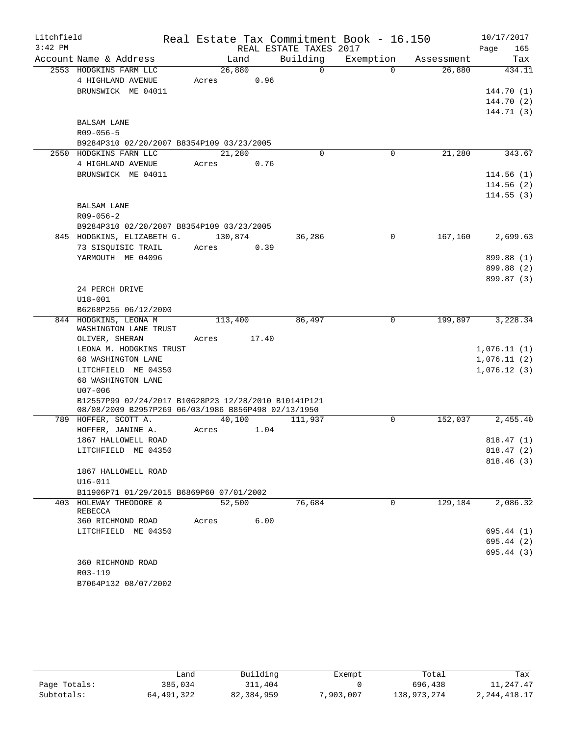| Litchfield |                                                                                                             |         |       |                        | Real Estate Tax Commitment Book - 16.150 |            | 10/17/2017  |
|------------|-------------------------------------------------------------------------------------------------------------|---------|-------|------------------------|------------------------------------------|------------|-------------|
| $3:42$ PM  |                                                                                                             |         |       | REAL ESTATE TAXES 2017 |                                          |            | Page<br>165 |
|            | Account Name & Address                                                                                      | Land    |       | Building               | Exemption                                | Assessment | Tax         |
|            | 2553 HODGKINS FARM LLC                                                                                      | 26,880  |       | $\Omega$               | $\Omega$                                 | 26,880     | 434.11      |
|            | 4 HIGHLAND AVENUE                                                                                           | Acres   | 0.96  |                        |                                          |            |             |
|            | BRUNSWICK ME 04011                                                                                          |         |       |                        |                                          |            | 144.70 (1)  |
|            |                                                                                                             |         |       |                        |                                          |            | 144.70 (2)  |
|            |                                                                                                             |         |       |                        |                                          |            | 144.71 (3)  |
|            | <b>BALSAM LANE</b>                                                                                          |         |       |                        |                                          |            |             |
|            | $R09 - 056 - 5$                                                                                             |         |       |                        |                                          |            |             |
|            | B9284P310 02/20/2007 B8354P109 03/23/2005<br>2550 HODGKINS FARN LLC                                         | 21,280  |       | $\Omega$               | 0                                        | 21,280     | 343.67      |
|            | 4 HIGHLAND AVENUE                                                                                           | Acres   | 0.76  |                        |                                          |            |             |
|            | BRUNSWICK ME 04011                                                                                          |         |       |                        |                                          |            | 114.56(1)   |
|            |                                                                                                             |         |       |                        |                                          |            | 114.56(2)   |
|            |                                                                                                             |         |       |                        |                                          |            | 114.55(3)   |
|            | <b>BALSAM LANE</b>                                                                                          |         |       |                        |                                          |            |             |
|            | $R09 - 056 - 2$                                                                                             |         |       |                        |                                          |            |             |
|            | B9284P310 02/20/2007 B8354P109 03/23/2005                                                                   |         |       |                        |                                          |            |             |
|            | 845 HODGKINS, ELIZABETH G.                                                                                  | 130,874 |       | 36,286                 | $\Omega$                                 | 167,160    | 2,699.63    |
|            | 73 SISQUISIC TRAIL                                                                                          | Acres   | 0.39  |                        |                                          |            |             |
|            | YARMOUTH ME 04096                                                                                           |         |       |                        |                                          |            | 899.88 (1)  |
|            |                                                                                                             |         |       |                        |                                          |            | 899.88 (2)  |
|            |                                                                                                             |         |       |                        |                                          |            | 899.87 (3)  |
|            | 24 PERCH DRIVE                                                                                              |         |       |                        |                                          |            |             |
|            | $U18 - 001$                                                                                                 |         |       |                        |                                          |            |             |
|            | B6268P255 06/12/2000                                                                                        |         |       |                        |                                          |            |             |
|            | 844 HODGKINS, LEONA M<br>WASHINGTON LANE TRUST                                                              | 113,400 |       | 86,497                 | 0                                        | 199,897    | 3,228.34    |
|            | OLIVER, SHERAN                                                                                              | Acres   | 17.40 |                        |                                          |            |             |
|            | LEONA M. HODGKINS TRUST                                                                                     |         |       |                        |                                          |            | 1,076.11(1) |
|            | 68 WASHINGTON LANE                                                                                          |         |       |                        |                                          |            | 1,076.11(2) |
|            | LITCHFIELD ME 04350                                                                                         |         |       |                        |                                          |            | 1,076.12(3) |
|            | 68 WASHINGTON LANE                                                                                          |         |       |                        |                                          |            |             |
|            | $U07 - 006$                                                                                                 |         |       |                        |                                          |            |             |
|            | B12557P99 02/24/2017 B10628P23 12/28/2010 B10141P121<br>08/08/2009 B2957P269 06/03/1986 B856P498 02/13/1950 |         |       |                        |                                          |            |             |
|            | 789 HOFFER, SCOTT A.                                                                                        | 40,100  |       | 111,937                | 0                                        | 152,037    | 2,455.40    |
|            | HOFFER, JANINE A.                                                                                           | Acres   | 1.04  |                        |                                          |            |             |
|            | 1867 HALLOWELL ROAD                                                                                         |         |       |                        |                                          |            | 818.47(1)   |
|            | LITCHFIELD ME 04350                                                                                         |         |       |                        |                                          |            | 818.47(2)   |
|            |                                                                                                             |         |       |                        |                                          |            | 818.46(3)   |
|            | 1867 HALLOWELL ROAD                                                                                         |         |       |                        |                                          |            |             |
|            | $U16 - 011$                                                                                                 |         |       |                        |                                          |            |             |
|            | B11906P71 01/29/2015 B6869P60 07/01/2002                                                                    |         |       |                        |                                          |            |             |
|            | 403 HOLEWAY THEODORE &<br>REBECCA                                                                           | 52,500  |       | 76,684                 | $\Omega$                                 | 129,184    | 2,086.32    |
|            | 360 RICHMOND ROAD                                                                                           | Acres   | 6.00  |                        |                                          |            |             |
|            | LITCHFIELD ME 04350                                                                                         |         |       |                        |                                          |            | 695.44(1)   |
|            |                                                                                                             |         |       |                        |                                          |            | 695.44(2)   |
|            |                                                                                                             |         |       |                        |                                          |            | 695.44(3)   |
|            | 360 RICHMOND ROAD                                                                                           |         |       |                        |                                          |            |             |
|            | R03-119                                                                                                     |         |       |                        |                                          |            |             |
|            | B7064P132 08/07/2002                                                                                        |         |       |                        |                                          |            |             |

|              |            | Building   |           |             | Tax            |
|--------------|------------|------------|-----------|-------------|----------------|
|              | ∟and       |            | Exempt    | Total       |                |
| Page Totals: | 385,034    | 311,404    |           | 696,438     | 11,247.47      |
| Subtotals:   | 64,491,322 | 82,384,959 | 7,903,007 | 138,973,274 | 2, 244, 418.17 |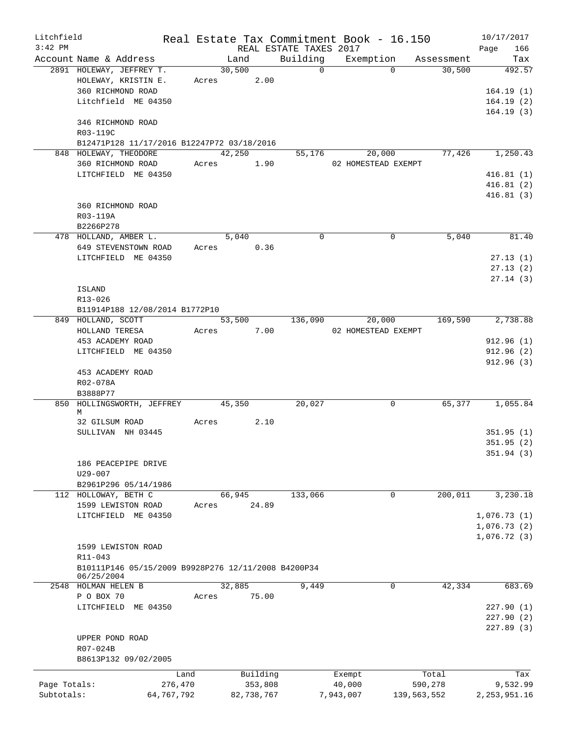| $3:42$ PM<br>REAL ESTATE TAXES 2017<br>166<br>Page<br>Building<br>Account Name & Address<br>Exemption<br>Land<br>Assessment<br>Tax<br>$\overline{0}$<br>30,500<br>2891 HOLEWAY, JEFFREY T.<br>$\Omega$<br>30,500<br>492.57<br>HOLEWAY, KRISTIN E.<br>Acres 2.00<br>360 RICHMOND ROAD<br>164.19(1)<br>Litchfield ME 04350<br>164.19(2)<br>164.19(3)<br>346 RICHMOND ROAD<br>R03-119C<br>B12471P128 11/17/2016 B12247P72 03/18/2016<br>42,250<br>77,426<br>848 HOLEWAY, THEODORE<br>55,176<br>20,000<br>360 RICHMOND ROAD<br>Acres 1.90<br>02 HOMESTEAD EXEMPT<br>LITCHFIELD ME 04350<br>360 RICHMOND ROAD<br>R03-119A<br>B2266P278<br>$\Omega$<br>5,040<br>478 HOLLAND, AMBER L.<br>5,040<br>$\Omega$<br>Acres 0.36<br>649 STEVENSTOWN ROAD<br>LITCHFIELD ME 04350<br>ISLAND<br>R13-026<br>B11914P188 12/08/2014 B1772P10<br>53,500<br>20,000<br>169,590<br>849 HOLLAND, SCOTT<br>136,090<br>Acres 7.00<br>HOLLAND TERESA<br>02 HOMESTEAD EXEMPT<br>453 ACADEMY ROAD<br>LITCHFIELD ME 04350<br>453 ACADEMY ROAD<br>R02-078A<br>B3888P77<br>850 HOLLINGSWORTH, JEFFREY 45,350<br>20,027<br>65,377<br>$\Omega$<br>M<br>32 GILSUM ROAD<br>2.10<br>Acres<br>SULLIVAN NH 03445<br>186 PEACEPIPE DRIVE<br>U29-007<br>B2961P296 05/14/1986<br>66,945<br>200,011<br>112 HOLLOWAY, BETH C<br>133,066<br>0<br>24.89<br>1599 LEWISTON ROAD<br>Acres<br>LITCHFIELD ME 04350<br>1599 LEWISTON ROAD<br>R11-043<br>B10111P146 05/15/2009 B9928P276 12/11/2008 B4200P34<br>06/25/2004<br>2548 HOLMAN HELEN B<br>32,885<br>9,449<br>0<br>42,334<br>P O BOX 70<br>75.00<br>Acres<br>LITCHFIELD ME 04350<br>UPPER POND ROAD<br>R07-024B<br>B8613P132 09/02/2005<br>Building<br>Land<br>Total<br>Exempt<br>Page Totals:<br>276,470<br>353,808<br>40,000<br>590,278<br>Subtotals:<br>64,767,792<br>82,738,767<br>7,943,007<br>139,563,552 | Litchfield |  |  | Real Estate Tax Commitment Book - 16.150 | 10/17/2017 |
|---------------------------------------------------------------------------------------------------------------------------------------------------------------------------------------------------------------------------------------------------------------------------------------------------------------------------------------------------------------------------------------------------------------------------------------------------------------------------------------------------------------------------------------------------------------------------------------------------------------------------------------------------------------------------------------------------------------------------------------------------------------------------------------------------------------------------------------------------------------------------------------------------------------------------------------------------------------------------------------------------------------------------------------------------------------------------------------------------------------------------------------------------------------------------------------------------------------------------------------------------------------------------------------------------------------------------------------------------------------------------------------------------------------------------------------------------------------------------------------------------------------------------------------------------------------------------------------------------------------------------------------------------------------------------------------------------------------------------------------------------------------------------------------------------------------------|------------|--|--|------------------------------------------|------------|
|                                                                                                                                                                                                                                                                                                                                                                                                                                                                                                                                                                                                                                                                                                                                                                                                                                                                                                                                                                                                                                                                                                                                                                                                                                                                                                                                                                                                                                                                                                                                                                                                                                                                                                                                                                                                                     |            |  |  |                                          |            |
|                                                                                                                                                                                                                                                                                                                                                                                                                                                                                                                                                                                                                                                                                                                                                                                                                                                                                                                                                                                                                                                                                                                                                                                                                                                                                                                                                                                                                                                                                                                                                                                                                                                                                                                                                                                                                     |            |  |  |                                          |            |
|                                                                                                                                                                                                                                                                                                                                                                                                                                                                                                                                                                                                                                                                                                                                                                                                                                                                                                                                                                                                                                                                                                                                                                                                                                                                                                                                                                                                                                                                                                                                                                                                                                                                                                                                                                                                                     |            |  |  |                                          |            |
|                                                                                                                                                                                                                                                                                                                                                                                                                                                                                                                                                                                                                                                                                                                                                                                                                                                                                                                                                                                                                                                                                                                                                                                                                                                                                                                                                                                                                                                                                                                                                                                                                                                                                                                                                                                                                     |            |  |  |                                          |            |
| 1,250.43<br>416.81(1)<br>416.81(2)<br>416.81(3)                                                                                                                                                                                                                                                                                                                                                                                                                                                                                                                                                                                                                                                                                                                                                                                                                                                                                                                                                                                                                                                                                                                                                                                                                                                                                                                                                                                                                                                                                                                                                                                                                                                                                                                                                                     |            |  |  |                                          |            |
|                                                                                                                                                                                                                                                                                                                                                                                                                                                                                                                                                                                                                                                                                                                                                                                                                                                                                                                                                                                                                                                                                                                                                                                                                                                                                                                                                                                                                                                                                                                                                                                                                                                                                                                                                                                                                     |            |  |  |                                          |            |
|                                                                                                                                                                                                                                                                                                                                                                                                                                                                                                                                                                                                                                                                                                                                                                                                                                                                                                                                                                                                                                                                                                                                                                                                                                                                                                                                                                                                                                                                                                                                                                                                                                                                                                                                                                                                                     |            |  |  |                                          |            |
|                                                                                                                                                                                                                                                                                                                                                                                                                                                                                                                                                                                                                                                                                                                                                                                                                                                                                                                                                                                                                                                                                                                                                                                                                                                                                                                                                                                                                                                                                                                                                                                                                                                                                                                                                                                                                     |            |  |  |                                          |            |
|                                                                                                                                                                                                                                                                                                                                                                                                                                                                                                                                                                                                                                                                                                                                                                                                                                                                                                                                                                                                                                                                                                                                                                                                                                                                                                                                                                                                                                                                                                                                                                                                                                                                                                                                                                                                                     |            |  |  |                                          |            |
|                                                                                                                                                                                                                                                                                                                                                                                                                                                                                                                                                                                                                                                                                                                                                                                                                                                                                                                                                                                                                                                                                                                                                                                                                                                                                                                                                                                                                                                                                                                                                                                                                                                                                                                                                                                                                     |            |  |  |                                          |            |
|                                                                                                                                                                                                                                                                                                                                                                                                                                                                                                                                                                                                                                                                                                                                                                                                                                                                                                                                                                                                                                                                                                                                                                                                                                                                                                                                                                                                                                                                                                                                                                                                                                                                                                                                                                                                                     |            |  |  |                                          |            |
| 81.40<br>27.13(1)<br>27.13(2)<br>27.14(3)                                                                                                                                                                                                                                                                                                                                                                                                                                                                                                                                                                                                                                                                                                                                                                                                                                                                                                                                                                                                                                                                                                                                                                                                                                                                                                                                                                                                                                                                                                                                                                                                                                                                                                                                                                           |            |  |  |                                          |            |
|                                                                                                                                                                                                                                                                                                                                                                                                                                                                                                                                                                                                                                                                                                                                                                                                                                                                                                                                                                                                                                                                                                                                                                                                                                                                                                                                                                                                                                                                                                                                                                                                                                                                                                                                                                                                                     |            |  |  |                                          |            |
|                                                                                                                                                                                                                                                                                                                                                                                                                                                                                                                                                                                                                                                                                                                                                                                                                                                                                                                                                                                                                                                                                                                                                                                                                                                                                                                                                                                                                                                                                                                                                                                                                                                                                                                                                                                                                     |            |  |  |                                          |            |
|                                                                                                                                                                                                                                                                                                                                                                                                                                                                                                                                                                                                                                                                                                                                                                                                                                                                                                                                                                                                                                                                                                                                                                                                                                                                                                                                                                                                                                                                                                                                                                                                                                                                                                                                                                                                                     |            |  |  |                                          |            |
|                                                                                                                                                                                                                                                                                                                                                                                                                                                                                                                                                                                                                                                                                                                                                                                                                                                                                                                                                                                                                                                                                                                                                                                                                                                                                                                                                                                                                                                                                                                                                                                                                                                                                                                                                                                                                     |            |  |  |                                          |            |
|                                                                                                                                                                                                                                                                                                                                                                                                                                                                                                                                                                                                                                                                                                                                                                                                                                                                                                                                                                                                                                                                                                                                                                                                                                                                                                                                                                                                                                                                                                                                                                                                                                                                                                                                                                                                                     |            |  |  |                                          |            |
|                                                                                                                                                                                                                                                                                                                                                                                                                                                                                                                                                                                                                                                                                                                                                                                                                                                                                                                                                                                                                                                                                                                                                                                                                                                                                                                                                                                                                                                                                                                                                                                                                                                                                                                                                                                                                     |            |  |  |                                          |            |
|                                                                                                                                                                                                                                                                                                                                                                                                                                                                                                                                                                                                                                                                                                                                                                                                                                                                                                                                                                                                                                                                                                                                                                                                                                                                                                                                                                                                                                                                                                                                                                                                                                                                                                                                                                                                                     |            |  |  |                                          |            |
| 2,738.88<br>912.96(1)<br>912.96(2)<br>912.96(3)<br>1,055.84<br>351.95(1)<br>351.95(2)<br>351.94(3)<br>3,230.18<br>1,076.73(1)<br>1,076.73(2)<br>1,076.72(3)<br>683.69<br>227.90(1)<br>227.90(2)<br>227.89(3)<br>Tax<br>9,532.99<br>2, 253, 951.16                                                                                                                                                                                                                                                                                                                                                                                                                                                                                                                                                                                                                                                                                                                                                                                                                                                                                                                                                                                                                                                                                                                                                                                                                                                                                                                                                                                                                                                                                                                                                                   |            |  |  |                                          |            |
|                                                                                                                                                                                                                                                                                                                                                                                                                                                                                                                                                                                                                                                                                                                                                                                                                                                                                                                                                                                                                                                                                                                                                                                                                                                                                                                                                                                                                                                                                                                                                                                                                                                                                                                                                                                                                     |            |  |  |                                          |            |
|                                                                                                                                                                                                                                                                                                                                                                                                                                                                                                                                                                                                                                                                                                                                                                                                                                                                                                                                                                                                                                                                                                                                                                                                                                                                                                                                                                                                                                                                                                                                                                                                                                                                                                                                                                                                                     |            |  |  |                                          |            |
|                                                                                                                                                                                                                                                                                                                                                                                                                                                                                                                                                                                                                                                                                                                                                                                                                                                                                                                                                                                                                                                                                                                                                                                                                                                                                                                                                                                                                                                                                                                                                                                                                                                                                                                                                                                                                     |            |  |  |                                          |            |
|                                                                                                                                                                                                                                                                                                                                                                                                                                                                                                                                                                                                                                                                                                                                                                                                                                                                                                                                                                                                                                                                                                                                                                                                                                                                                                                                                                                                                                                                                                                                                                                                                                                                                                                                                                                                                     |            |  |  |                                          |            |
|                                                                                                                                                                                                                                                                                                                                                                                                                                                                                                                                                                                                                                                                                                                                                                                                                                                                                                                                                                                                                                                                                                                                                                                                                                                                                                                                                                                                                                                                                                                                                                                                                                                                                                                                                                                                                     |            |  |  |                                          |            |
|                                                                                                                                                                                                                                                                                                                                                                                                                                                                                                                                                                                                                                                                                                                                                                                                                                                                                                                                                                                                                                                                                                                                                                                                                                                                                                                                                                                                                                                                                                                                                                                                                                                                                                                                                                                                                     |            |  |  |                                          |            |
|                                                                                                                                                                                                                                                                                                                                                                                                                                                                                                                                                                                                                                                                                                                                                                                                                                                                                                                                                                                                                                                                                                                                                                                                                                                                                                                                                                                                                                                                                                                                                                                                                                                                                                                                                                                                                     |            |  |  |                                          |            |
|                                                                                                                                                                                                                                                                                                                                                                                                                                                                                                                                                                                                                                                                                                                                                                                                                                                                                                                                                                                                                                                                                                                                                                                                                                                                                                                                                                                                                                                                                                                                                                                                                                                                                                                                                                                                                     |            |  |  |                                          |            |
|                                                                                                                                                                                                                                                                                                                                                                                                                                                                                                                                                                                                                                                                                                                                                                                                                                                                                                                                                                                                                                                                                                                                                                                                                                                                                                                                                                                                                                                                                                                                                                                                                                                                                                                                                                                                                     |            |  |  |                                          |            |
|                                                                                                                                                                                                                                                                                                                                                                                                                                                                                                                                                                                                                                                                                                                                                                                                                                                                                                                                                                                                                                                                                                                                                                                                                                                                                                                                                                                                                                                                                                                                                                                                                                                                                                                                                                                                                     |            |  |  |                                          |            |
|                                                                                                                                                                                                                                                                                                                                                                                                                                                                                                                                                                                                                                                                                                                                                                                                                                                                                                                                                                                                                                                                                                                                                                                                                                                                                                                                                                                                                                                                                                                                                                                                                                                                                                                                                                                                                     |            |  |  |                                          |            |
|                                                                                                                                                                                                                                                                                                                                                                                                                                                                                                                                                                                                                                                                                                                                                                                                                                                                                                                                                                                                                                                                                                                                                                                                                                                                                                                                                                                                                                                                                                                                                                                                                                                                                                                                                                                                                     |            |  |  |                                          |            |
|                                                                                                                                                                                                                                                                                                                                                                                                                                                                                                                                                                                                                                                                                                                                                                                                                                                                                                                                                                                                                                                                                                                                                                                                                                                                                                                                                                                                                                                                                                                                                                                                                                                                                                                                                                                                                     |            |  |  |                                          |            |
|                                                                                                                                                                                                                                                                                                                                                                                                                                                                                                                                                                                                                                                                                                                                                                                                                                                                                                                                                                                                                                                                                                                                                                                                                                                                                                                                                                                                                                                                                                                                                                                                                                                                                                                                                                                                                     |            |  |  |                                          |            |
|                                                                                                                                                                                                                                                                                                                                                                                                                                                                                                                                                                                                                                                                                                                                                                                                                                                                                                                                                                                                                                                                                                                                                                                                                                                                                                                                                                                                                                                                                                                                                                                                                                                                                                                                                                                                                     |            |  |  |                                          |            |
|                                                                                                                                                                                                                                                                                                                                                                                                                                                                                                                                                                                                                                                                                                                                                                                                                                                                                                                                                                                                                                                                                                                                                                                                                                                                                                                                                                                                                                                                                                                                                                                                                                                                                                                                                                                                                     |            |  |  |                                          |            |
|                                                                                                                                                                                                                                                                                                                                                                                                                                                                                                                                                                                                                                                                                                                                                                                                                                                                                                                                                                                                                                                                                                                                                                                                                                                                                                                                                                                                                                                                                                                                                                                                                                                                                                                                                                                                                     |            |  |  |                                          |            |
|                                                                                                                                                                                                                                                                                                                                                                                                                                                                                                                                                                                                                                                                                                                                                                                                                                                                                                                                                                                                                                                                                                                                                                                                                                                                                                                                                                                                                                                                                                                                                                                                                                                                                                                                                                                                                     |            |  |  |                                          |            |
|                                                                                                                                                                                                                                                                                                                                                                                                                                                                                                                                                                                                                                                                                                                                                                                                                                                                                                                                                                                                                                                                                                                                                                                                                                                                                                                                                                                                                                                                                                                                                                                                                                                                                                                                                                                                                     |            |  |  |                                          |            |
|                                                                                                                                                                                                                                                                                                                                                                                                                                                                                                                                                                                                                                                                                                                                                                                                                                                                                                                                                                                                                                                                                                                                                                                                                                                                                                                                                                                                                                                                                                                                                                                                                                                                                                                                                                                                                     |            |  |  |                                          |            |
|                                                                                                                                                                                                                                                                                                                                                                                                                                                                                                                                                                                                                                                                                                                                                                                                                                                                                                                                                                                                                                                                                                                                                                                                                                                                                                                                                                                                                                                                                                                                                                                                                                                                                                                                                                                                                     |            |  |  |                                          |            |
|                                                                                                                                                                                                                                                                                                                                                                                                                                                                                                                                                                                                                                                                                                                                                                                                                                                                                                                                                                                                                                                                                                                                                                                                                                                                                                                                                                                                                                                                                                                                                                                                                                                                                                                                                                                                                     |            |  |  |                                          |            |
|                                                                                                                                                                                                                                                                                                                                                                                                                                                                                                                                                                                                                                                                                                                                                                                                                                                                                                                                                                                                                                                                                                                                                                                                                                                                                                                                                                                                                                                                                                                                                                                                                                                                                                                                                                                                                     |            |  |  |                                          |            |
|                                                                                                                                                                                                                                                                                                                                                                                                                                                                                                                                                                                                                                                                                                                                                                                                                                                                                                                                                                                                                                                                                                                                                                                                                                                                                                                                                                                                                                                                                                                                                                                                                                                                                                                                                                                                                     |            |  |  |                                          |            |
|                                                                                                                                                                                                                                                                                                                                                                                                                                                                                                                                                                                                                                                                                                                                                                                                                                                                                                                                                                                                                                                                                                                                                                                                                                                                                                                                                                                                                                                                                                                                                                                                                                                                                                                                                                                                                     |            |  |  |                                          |            |
|                                                                                                                                                                                                                                                                                                                                                                                                                                                                                                                                                                                                                                                                                                                                                                                                                                                                                                                                                                                                                                                                                                                                                                                                                                                                                                                                                                                                                                                                                                                                                                                                                                                                                                                                                                                                                     |            |  |  |                                          |            |
|                                                                                                                                                                                                                                                                                                                                                                                                                                                                                                                                                                                                                                                                                                                                                                                                                                                                                                                                                                                                                                                                                                                                                                                                                                                                                                                                                                                                                                                                                                                                                                                                                                                                                                                                                                                                                     |            |  |  |                                          |            |
|                                                                                                                                                                                                                                                                                                                                                                                                                                                                                                                                                                                                                                                                                                                                                                                                                                                                                                                                                                                                                                                                                                                                                                                                                                                                                                                                                                                                                                                                                                                                                                                                                                                                                                                                                                                                                     |            |  |  |                                          |            |
|                                                                                                                                                                                                                                                                                                                                                                                                                                                                                                                                                                                                                                                                                                                                                                                                                                                                                                                                                                                                                                                                                                                                                                                                                                                                                                                                                                                                                                                                                                                                                                                                                                                                                                                                                                                                                     |            |  |  |                                          |            |
|                                                                                                                                                                                                                                                                                                                                                                                                                                                                                                                                                                                                                                                                                                                                                                                                                                                                                                                                                                                                                                                                                                                                                                                                                                                                                                                                                                                                                                                                                                                                                                                                                                                                                                                                                                                                                     |            |  |  |                                          |            |
|                                                                                                                                                                                                                                                                                                                                                                                                                                                                                                                                                                                                                                                                                                                                                                                                                                                                                                                                                                                                                                                                                                                                                                                                                                                                                                                                                                                                                                                                                                                                                                                                                                                                                                                                                                                                                     |            |  |  |                                          |            |
|                                                                                                                                                                                                                                                                                                                                                                                                                                                                                                                                                                                                                                                                                                                                                                                                                                                                                                                                                                                                                                                                                                                                                                                                                                                                                                                                                                                                                                                                                                                                                                                                                                                                                                                                                                                                                     |            |  |  |                                          |            |
|                                                                                                                                                                                                                                                                                                                                                                                                                                                                                                                                                                                                                                                                                                                                                                                                                                                                                                                                                                                                                                                                                                                                                                                                                                                                                                                                                                                                                                                                                                                                                                                                                                                                                                                                                                                                                     |            |  |  |                                          |            |
|                                                                                                                                                                                                                                                                                                                                                                                                                                                                                                                                                                                                                                                                                                                                                                                                                                                                                                                                                                                                                                                                                                                                                                                                                                                                                                                                                                                                                                                                                                                                                                                                                                                                                                                                                                                                                     |            |  |  |                                          |            |
|                                                                                                                                                                                                                                                                                                                                                                                                                                                                                                                                                                                                                                                                                                                                                                                                                                                                                                                                                                                                                                                                                                                                                                                                                                                                                                                                                                                                                                                                                                                                                                                                                                                                                                                                                                                                                     |            |  |  |                                          |            |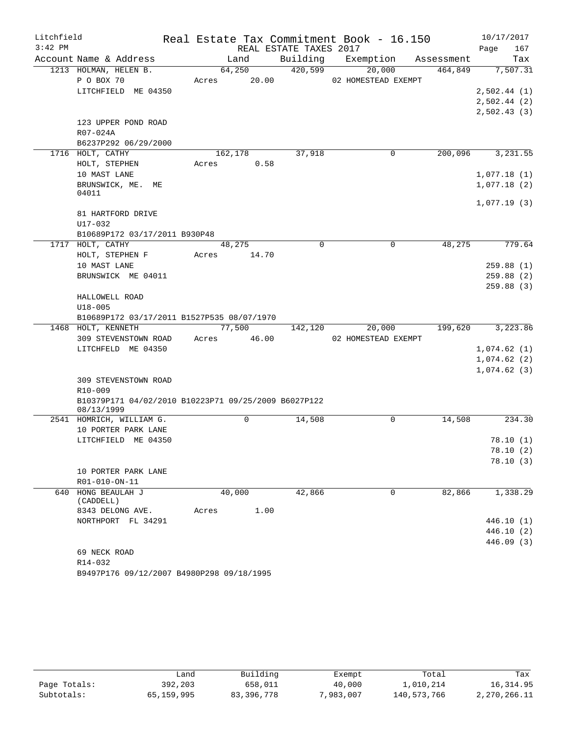| Litchfield |                                                                    |       |         |                        | Real Estate Tax Commitment Book - 16.150 |            | 10/17/2017  |
|------------|--------------------------------------------------------------------|-------|---------|------------------------|------------------------------------------|------------|-------------|
| $3:42$ PM  |                                                                    |       |         | REAL ESTATE TAXES 2017 |                                          |            | 167<br>Page |
|            | Account Name & Address                                             |       | Land    | Building               | Exemption                                | Assessment | Tax         |
|            | 1213 HOLMAN, HELEN B.                                              |       | 64,250  | 420,599                | 20,000                                   | 464,849    | 7,507.31    |
|            | P O BOX 70                                                         | Acres | 20.00   |                        | 02 HOMESTEAD EXEMPT                      |            |             |
|            | LITCHFIELD ME 04350                                                |       |         |                        |                                          |            | 2,502.44(1) |
|            |                                                                    |       |         |                        |                                          |            | 2,502.44(2) |
|            |                                                                    |       |         |                        |                                          |            | 2,502.43(3) |
|            | 123 UPPER POND ROAD                                                |       |         |                        |                                          |            |             |
|            | R07-024A                                                           |       |         |                        |                                          |            |             |
|            | B6237P292 06/29/2000                                               |       |         |                        |                                          |            |             |
|            | 1716 HOLT, CATHY                                                   |       | 162,178 | 37,918                 | 0                                        | 200,096    | 3,231.55    |
|            | HOLT, STEPHEN                                                      | Acres | 0.58    |                        |                                          |            |             |
|            | 10 MAST LANE                                                       |       |         |                        |                                          |            | 1,077.18(1) |
|            | BRUNSWICK, ME.<br>MЕ<br>04011                                      |       |         |                        |                                          |            | 1,077.18(2) |
|            | 81 HARTFORD DRIVE                                                  |       |         |                        |                                          |            | 1,077.19(3) |
|            | $U17 - 032$                                                        |       |         |                        |                                          |            |             |
|            | B10689P172 03/17/2011 B930P48                                      |       |         |                        |                                          |            |             |
|            | 1717 HOLT, CATHY                                                   |       | 48,275  | 0                      | $\mathbf 0$                              | 48,275     | 779.64      |
|            | HOLT, STEPHEN F                                                    | Acres | 14.70   |                        |                                          |            |             |
|            | 10 MAST LANE                                                       |       |         |                        |                                          |            | 259.88(1)   |
|            | BRUNSWICK ME 04011                                                 |       |         |                        |                                          |            | 259.88(2)   |
|            |                                                                    |       |         |                        |                                          |            | 259.88(3)   |
|            | HALLOWELL ROAD                                                     |       |         |                        |                                          |            |             |
|            | $U18 - 005$                                                        |       |         |                        |                                          |            |             |
|            | B10689P172 03/17/2011 B1527P535 08/07/1970                         |       |         |                        |                                          |            |             |
|            | 1468 HOLT, KENNETH                                                 |       | 77,500  | 142,120                | 20,000                                   | 199,620    | 3,223.86    |
|            | 309 STEVENSTOWN ROAD                                               | Acres | 46.00   |                        | 02 HOMESTEAD EXEMPT                      |            |             |
|            | LITCHFELD ME 04350                                                 |       |         |                        |                                          |            | 1,074.62(1) |
|            |                                                                    |       |         |                        |                                          |            | 1,074.62(2) |
|            |                                                                    |       |         |                        |                                          |            | 1,074.62(3) |
|            | 309 STEVENSTOWN ROAD                                               |       |         |                        |                                          |            |             |
|            | $R10 - 009$                                                        |       |         |                        |                                          |            |             |
|            | B10379P171 04/02/2010 B10223P71 09/25/2009 B6027P122<br>08/13/1999 |       |         |                        |                                          |            |             |
|            | 2541 HOMRICH, WILLIAM G.                                           |       | 0       | 14,508                 | 0                                        | 14,508     | 234.30      |
|            | 10 PORTER PARK LANE                                                |       |         |                        |                                          |            |             |
|            | LITCHFIELD ME 04350                                                |       |         |                        |                                          |            | 78.10(1)    |
|            |                                                                    |       |         |                        |                                          |            | 78.10(2)    |
|            |                                                                    |       |         |                        |                                          |            | 78.10(3)    |
|            | 10 PORTER PARK LANE                                                |       |         |                        |                                          |            |             |
|            | R01-010-ON-11                                                      |       |         |                        |                                          |            |             |
|            | 640 HONG BEAULAH J<br>(CADDELL)                                    |       | 40,000  | 42,866                 | $\mathbf 0$                              | 82,866     | 1,338.29    |
|            | 8343 DELONG AVE.                                                   | Acres | 1.00    |                        |                                          |            |             |
|            | NORTHPORT FL 34291                                                 |       |         |                        |                                          |            | 446.10(1)   |
|            |                                                                    |       |         |                        |                                          |            | 446.10(2)   |
|            |                                                                    |       |         |                        |                                          |            | 446.09 (3)  |
|            | 69 NECK ROAD                                                       |       |         |                        |                                          |            |             |
|            | R14-032                                                            |       |         |                        |                                          |            |             |
|            | B9497P176 09/12/2007 B4980P298 09/18/1995                          |       |         |                        |                                          |            |             |

|              | Land       | Building     | Exempt    | Total       | Tax          |
|--------------|------------|--------------|-----------|-------------|--------------|
| Page Totals: | 392,203    | 658,011      | 40,000    | 1,010,214   | 16,314.95    |
| Subtotals:   | 65,159,995 | 83, 396, 778 | 7,983,007 | 140,573,766 | 2,270,266.11 |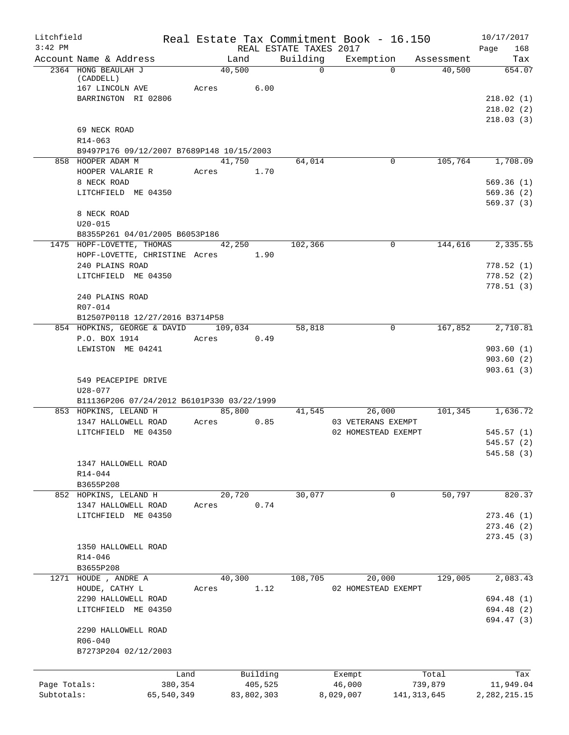| Litchfield   |                                                                 |            |       |            | Real Estate Tax Commitment Book - 16.150 |                     |              |               | 10/17/2017               |
|--------------|-----------------------------------------------------------------|------------|-------|------------|------------------------------------------|---------------------|--------------|---------------|--------------------------|
| $3:42$ PM    | Account Name & Address                                          |            |       | Land       | REAL ESTATE TAXES 2017<br>Building       | Exemption           |              | Assessment    | 168<br>Page<br>Tax       |
|              | 2364 HONG BEAULAH J<br>(CADDELL)                                |            |       | 40,500     | $\Omega$                                 |                     | $\Omega$     | 40,500        | 654.07                   |
|              | 167 LINCOLN AVE<br>BARRINGTON RI 02806                          |            | Acres | 6.00       |                                          |                     |              |               | 218.02(1)                |
|              |                                                                 |            |       |            |                                          |                     |              |               | 218.02(2)<br>218.03(3)   |
|              | 69 NECK ROAD                                                    |            |       |            |                                          |                     |              |               |                          |
|              | R14-063                                                         |            |       |            |                                          |                     |              |               |                          |
|              | B9497P176 09/12/2007 B7689P148 10/15/2003<br>858 HOOPER ADAM M  |            |       | 41,750     | 64,014                                   |                     | $\mathbf{0}$ | 105,764       | 1,708.09                 |
|              | HOOPER VALARIE R<br>8 NECK ROAD                                 |            | Acres | 1.70       |                                          |                     |              |               | 569.36(1)                |
|              | LITCHFIELD ME 04350                                             |            |       |            |                                          |                     |              |               | 569.36(2)<br>569.37(3)   |
|              | 8 NECK ROAD<br>$U20 - 015$                                      |            |       |            |                                          |                     |              |               |                          |
|              | B8355P261 04/01/2005 B6053P186                                  |            |       |            |                                          |                     |              |               |                          |
|              | 1475 HOPF-LOVETTE, THOMAS<br>HOPF-LOVETTE, CHRISTINE Acres 1.90 |            |       | 42,250     | 102,366                                  |                     | $\mathbf 0$  | 144,616       | 2,335.55                 |
|              | 240 PLAINS ROAD                                                 |            |       |            |                                          |                     |              |               | 778.52(1)                |
|              | LITCHFIELD ME 04350                                             |            |       |            |                                          |                     |              |               | 778.52(2)<br>778.51(3)   |
|              | 240 PLAINS ROAD                                                 |            |       |            |                                          |                     |              |               |                          |
|              | R07-014<br>B12507P0118 12/27/2016 B3714P58                      |            |       |            |                                          |                     |              |               |                          |
|              | 854 HOPKINS, GEORGE & DAVID 109,034                             |            |       |            | 58,818                                   |                     | $\mathbf{0}$ | 167,852       | 2,710.81                 |
|              | P.O. BOX 1914                                                   |            | Acres | 0.49       |                                          |                     |              |               |                          |
|              | LEWISTON ME 04241                                               |            |       |            |                                          |                     |              |               | 903.60(1)                |
|              |                                                                 |            |       |            |                                          |                     |              |               | 903.60(2)<br>903.61(3)   |
|              | 549 PEACEPIPE DRIVE                                             |            |       |            |                                          |                     |              |               |                          |
|              | U28-077<br>B11136P206 07/24/2012 B6101P330 03/22/1999           |            |       |            |                                          |                     |              |               |                          |
|              | 853 HOPKINS, LELAND H                                           |            |       | 85,800     | 41,545                                   |                     | 26,000       | 101,345       | 1,636.72                 |
|              | 1347 HALLOWELL ROAD                                             |            | Acres | 0.85       |                                          | 03 VETERANS EXEMPT  |              |               |                          |
|              | LITCHFIELD ME 04350                                             |            |       |            |                                          | 02 HOMESTEAD EXEMPT |              |               | 545.57(1)                |
|              |                                                                 |            |       |            |                                          |                     |              |               | 545.57(2)<br>545.58(3)   |
|              | 1347 HALLOWELL ROAD                                             |            |       |            |                                          |                     |              |               |                          |
|              | R14-044                                                         |            |       |            |                                          |                     |              |               |                          |
|              | B3655P208<br>852 HOPKINS, LELAND H                              |            |       | 20,720     | 30,077                                   |                     | 0            | 50,797        | 820.37                   |
|              | 1347 HALLOWELL ROAD                                             |            | Acres | 0.74       |                                          |                     |              |               |                          |
|              | LITCHFIELD ME 04350                                             |            |       |            |                                          |                     |              |               | 273.46(1)                |
|              |                                                                 |            |       |            |                                          |                     |              |               | 273.46(2)                |
|              | 1350 HALLOWELL ROAD                                             |            |       |            |                                          |                     |              |               | 273.45(3)                |
|              | R14-046                                                         |            |       |            |                                          |                     |              |               |                          |
|              | B3655P208                                                       |            |       |            |                                          |                     |              |               |                          |
|              | 1271 HOUDE , ANDRE A                                            |            |       | 40,300     | 108,705                                  |                     | 20,000       | 129,005       | 2,083.43                 |
|              | HOUDE, CATHY L                                                  |            | Acres | 1.12       |                                          | 02 HOMESTEAD EXEMPT |              |               |                          |
|              | 2290 HALLOWELL ROAD<br>LITCHFIELD ME 04350                      |            |       |            |                                          |                     |              |               | 694.48 (1)<br>694.48 (2) |
|              |                                                                 |            |       |            |                                          |                     |              |               | 694.47 (3)               |
|              | 2290 HALLOWELL ROAD<br>R06-040                                  |            |       |            |                                          |                     |              |               |                          |
|              | B7273P204 02/12/2003                                            |            |       |            |                                          |                     |              |               |                          |
|              |                                                                 | Land       |       | Building   |                                          | Exempt              |              | Total         | Tax                      |
| Page Totals: |                                                                 | 380,354    |       | 405,525    |                                          | 46,000              |              | 739,879       | 11,949.04                |
| Subtotals:   |                                                                 | 65,540,349 |       | 83,802,303 |                                          | 8,029,007           |              | 141, 313, 645 | 2,282,215.15             |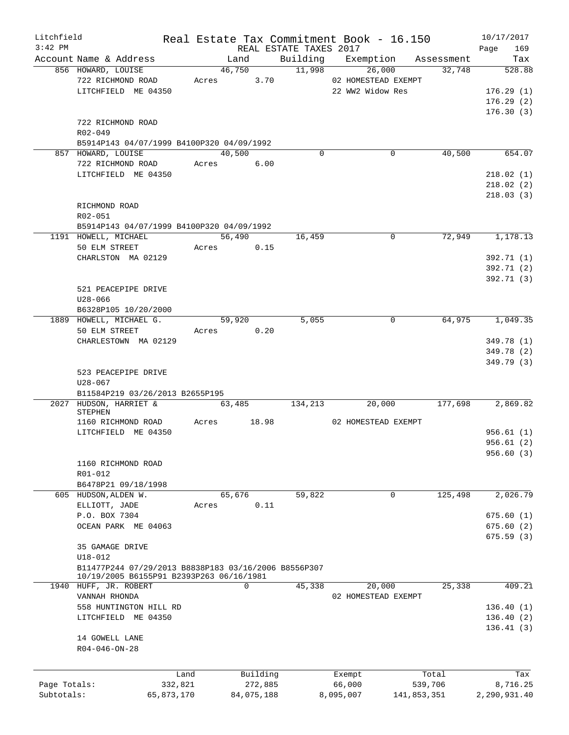| Litchfield   |                                                                                                  |            |       |                |                        | Real Estate Tax Commitment Book - 16.150 |                      | 10/17/2017    |
|--------------|--------------------------------------------------------------------------------------------------|------------|-------|----------------|------------------------|------------------------------------------|----------------------|---------------|
| $3:42$ PM    |                                                                                                  |            |       |                | REAL ESTATE TAXES 2017 |                                          |                      | 169<br>Page   |
|              | Account Name & Address<br>856 HOWARD, LOUISE                                                     |            |       | Land<br>46,750 | Building<br>11,998     | Exemption<br>26,000                      | Assessment<br>32,748 | Tax<br>528.88 |
|              | 722 RICHMOND ROAD                                                                                |            | Acres | 3.70           |                        | 02 HOMESTEAD EXEMPT                      |                      |               |
|              | LITCHFIELD ME 04350                                                                              |            |       |                |                        | 22 WW2 Widow Res                         |                      | 176.29(1)     |
|              |                                                                                                  |            |       |                |                        |                                          |                      | 176.29(2)     |
|              |                                                                                                  |            |       |                |                        |                                          |                      | 176.30(3)     |
|              | 722 RICHMOND ROAD                                                                                |            |       |                |                        |                                          |                      |               |
|              | $R02 - 049$                                                                                      |            |       |                |                        |                                          |                      |               |
|              | B5914P143 04/07/1999 B4100P320 04/09/1992                                                        |            |       |                |                        |                                          |                      |               |
|              | 857 HOWARD, LOUISE                                                                               |            |       | 40,500         | $\Omega$               | 0                                        | 40,500               | 654.07        |
|              | 722 RICHMOND ROAD                                                                                |            | Acres | 6.00           |                        |                                          |                      |               |
|              | LITCHFIELD ME 04350                                                                              |            |       |                |                        |                                          |                      | 218.02(1)     |
|              |                                                                                                  |            |       |                |                        |                                          |                      | 218.02(2)     |
|              |                                                                                                  |            |       |                |                        |                                          |                      | 218.03(3)     |
|              | RICHMOND ROAD                                                                                    |            |       |                |                        |                                          |                      |               |
|              | R02-051                                                                                          |            |       |                |                        |                                          |                      |               |
|              | B5914P143 04/07/1999 B4100P320 04/09/1992                                                        |            |       |                |                        |                                          |                      |               |
|              | 1191 HOWELL, MICHAEL                                                                             |            |       | 56,490         | 16,459                 | $\Omega$                                 | 72,949               | 1,178.13      |
|              | 50 ELM STREET                                                                                    |            | Acres | 0.15           |                        |                                          |                      |               |
|              | CHARLSTON MA 02129                                                                               |            |       |                |                        |                                          |                      | 392.71 (1)    |
|              |                                                                                                  |            |       |                |                        |                                          |                      | 392.71 (2)    |
|              |                                                                                                  |            |       |                |                        |                                          |                      | 392.71 (3)    |
|              | 521 PEACEPIPE DRIVE                                                                              |            |       |                |                        |                                          |                      |               |
|              | U28-066                                                                                          |            |       |                |                        |                                          |                      |               |
|              | B6328P105 10/20/2000                                                                             |            |       |                |                        |                                          |                      |               |
|              | 1889 HOWELL, MICHAEL G.                                                                          |            |       | 59,920         | 5,055                  | $\mathbf 0$                              | 64,975               | 1,049.35      |
|              | 50 ELM STREET                                                                                    |            | Acres | 0.20           |                        |                                          |                      |               |
|              | CHARLESTOWN MA 02129                                                                             |            |       |                |                        |                                          |                      | 349.78 (1)    |
|              |                                                                                                  |            |       |                |                        |                                          |                      | 349.78 (2)    |
|              |                                                                                                  |            |       |                |                        |                                          |                      | 349.79 (3)    |
|              | 523 PEACEPIPE DRIVE                                                                              |            |       |                |                        |                                          |                      |               |
|              | $U28 - 067$<br>B11584P219 03/26/2013 B2655P195                                                   |            |       |                |                        |                                          |                      |               |
|              | 2027 HUDSON, HARRIET &                                                                           |            |       | 63,485         | 134,213                | 20,000                                   | 177,698              | 2,869.82      |
|              | STEPHEN                                                                                          |            |       |                |                        |                                          |                      |               |
|              | 1160 RICHMOND ROAD                                                                               |            | Acres | 18.98          |                        | 02 HOMESTEAD EXEMPT                      |                      |               |
|              | LITCHFIELD ME 04350                                                                              |            |       |                |                        |                                          |                      | 956.61(1)     |
|              |                                                                                                  |            |       |                |                        |                                          |                      | 956.61(2)     |
|              |                                                                                                  |            |       |                |                        |                                          |                      | 956.60(3)     |
|              | 1160 RICHMOND ROAD                                                                               |            |       |                |                        |                                          |                      |               |
|              | R01-012                                                                                          |            |       |                |                        |                                          |                      |               |
|              | B6478P21 09/18/1998                                                                              |            |       |                |                        |                                          |                      |               |
|              | 605 HUDSON, ALDEN W.                                                                             |            |       | 65,676         | 59,822                 | 0                                        | 125,498              | 2,026.79      |
|              | ELLIOTT, JADE                                                                                    |            | Acres | 0.11           |                        |                                          |                      |               |
|              | P.O. BOX 7304                                                                                    |            |       |                |                        |                                          |                      | 675.60(1)     |
|              | OCEAN PARK ME 04063                                                                              |            |       |                |                        |                                          |                      | 675.60(2)     |
|              |                                                                                                  |            |       |                |                        |                                          |                      | 675.59(3)     |
|              | 35 GAMAGE DRIVE                                                                                  |            |       |                |                        |                                          |                      |               |
|              | $U18 - 012$                                                                                      |            |       |                |                        |                                          |                      |               |
|              | B11477P244 07/29/2013 B8838P183 03/16/2006 B8556P307<br>10/19/2005 B6155P91 B2393P263 06/16/1981 |            |       |                |                        |                                          |                      |               |
|              | 1940 HUFF, JR. ROBERT                                                                            |            |       | 0              | 45,338                 | 20,000                                   | 25,338               | 409.21        |
|              | VANNAH RHONDA                                                                                    |            |       |                |                        | 02 HOMESTEAD EXEMPT                      |                      |               |
|              | 558 HUNTINGTON HILL RD                                                                           |            |       |                |                        |                                          |                      | 136.40(1)     |
|              | LITCHFIELD ME 04350                                                                              |            |       |                |                        |                                          |                      | 136.40(2)     |
|              |                                                                                                  |            |       |                |                        |                                          |                      | 136.41(3)     |
|              | 14 GOWELL LANE                                                                                   |            |       |                |                        |                                          |                      |               |
|              | $R04 - 046 - ON - 28$                                                                            |            |       |                |                        |                                          |                      |               |
|              |                                                                                                  |            |       |                |                        |                                          |                      |               |
|              |                                                                                                  |            |       |                |                        |                                          |                      |               |
|              |                                                                                                  | Land       |       | Building       |                        | Exempt                                   | Total                | Tax           |
| Page Totals: |                                                                                                  | 332,821    |       | 272,885        |                        | 66,000                                   | 539,706              | 8,716.25      |
| Subtotals:   |                                                                                                  | 65,873,170 |       | 84,075,188     |                        | 8,095,007                                | 141,853,351          | 2,290,931.40  |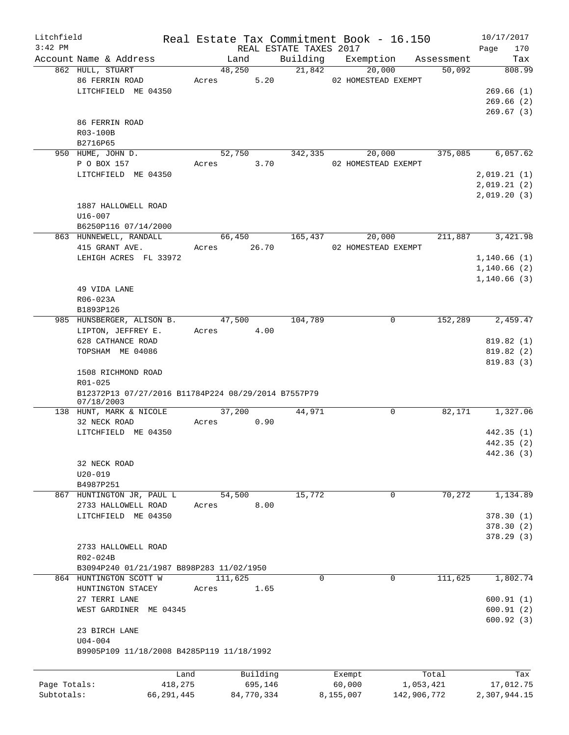| Litchfield   |                                                                   |       |                |                     | Real Estate Tax Commitment Book - 16.150 |                                         |                          |                  | 10/17/2017   |               |
|--------------|-------------------------------------------------------------------|-------|----------------|---------------------|------------------------------------------|-----------------------------------------|--------------------------|------------------|--------------|---------------|
| $3:42$ PM    |                                                                   |       |                |                     | REAL ESTATE TAXES 2017                   |                                         |                          |                  | Page         | 170           |
|              | Account Name & Address<br>862 HULL, STUART                        |       | Land<br>48,250 |                     | 21,842                                   | Building Exemption Assessment<br>20,000 |                          | 50,092           |              | Tax<br>808.99 |
|              | 86 FERRIN ROAD                                                    |       | Acres          | 5.20                |                                          | 02 HOMESTEAD EXEMPT                     |                          |                  |              |               |
|              | LITCHFIELD ME 04350                                               |       |                |                     |                                          |                                         |                          |                  |              | 269.66(1)     |
|              |                                                                   |       |                |                     |                                          |                                         |                          |                  |              | 269.66(2)     |
|              |                                                                   |       |                |                     |                                          |                                         |                          |                  |              | 269.67(3)     |
|              | 86 FERRIN ROAD                                                    |       |                |                     |                                          |                                         |                          |                  |              |               |
|              | R03-100B                                                          |       |                |                     |                                          |                                         |                          |                  |              |               |
|              | B2716P65                                                          |       |                |                     |                                          |                                         |                          |                  |              |               |
|              | 950 HUME, JOHN D.                                                 |       | 52,750         |                     | 342,335                                  | 20,000                                  |                          | 375,085          |              | 6,057.62      |
|              | P O BOX 157                                                       |       | Acres 3.70     |                     |                                          | 02 HOMESTEAD EXEMPT                     |                          |                  |              |               |
|              | LITCHFIELD ME 04350                                               |       |                |                     |                                          |                                         |                          |                  | 2,019.21(1)  |               |
|              |                                                                   |       |                |                     |                                          |                                         |                          |                  | 2,019.21(2)  |               |
|              |                                                                   |       |                |                     |                                          |                                         |                          |                  | 2,019.20(3)  |               |
|              | 1887 HALLOWELL ROAD                                               |       |                |                     |                                          |                                         |                          |                  |              |               |
|              | $U16 - 007$                                                       |       |                |                     |                                          |                                         |                          |                  |              |               |
|              | B6250P116 07/14/2000                                              |       |                |                     |                                          |                                         |                          |                  |              |               |
|              | 863 HUNNEWELL, RANDALL                                            |       |                |                     | 66,450 165,437                           | 20,000                                  |                          | 211,887 3,421.98 |              |               |
|              | 415 GRANT AVE.                                                    |       | Acres 26.70    |                     |                                          | 02 HOMESTEAD EXEMPT                     |                          |                  |              |               |
|              | LEHIGH ACRES FL 33972                                             |       |                |                     |                                          |                                         |                          |                  | 1,140.66(1)  |               |
|              |                                                                   |       |                |                     |                                          |                                         |                          |                  | 1,140.66(2)  |               |
|              |                                                                   |       |                |                     |                                          |                                         |                          |                  | 1,140.66(3)  |               |
|              | 49 VIDA LANE                                                      |       |                |                     |                                          |                                         |                          |                  |              |               |
|              | R06-023A                                                          |       |                |                     |                                          |                                         |                          |                  |              |               |
|              | B1893P126                                                         |       |                |                     |                                          |                                         |                          |                  |              |               |
|              | 985 HUNSBERGER, ALISON B.                                         |       | 47,500         |                     | 104,789                                  |                                         | 0                        | 152,289          |              | 2,459.47      |
|              | LIPTON, JEFFREY E.                                                |       | Acres 4.00     |                     |                                          |                                         |                          |                  |              |               |
|              | 628 CATHANCE ROAD                                                 |       |                |                     |                                          |                                         |                          |                  |              | 819.82(1)     |
|              | TOPSHAM ME 04086                                                  |       |                |                     |                                          |                                         |                          |                  |              | 819.82 (2)    |
|              |                                                                   |       |                |                     |                                          |                                         |                          |                  |              | 819.83(3)     |
|              | 1508 RICHMOND ROAD                                                |       |                |                     |                                          |                                         |                          |                  |              |               |
|              | R01-025                                                           |       |                |                     |                                          |                                         |                          |                  |              |               |
|              | B12372P13 07/27/2016 B11784P224 08/29/2014 B7557P79<br>07/18/2003 |       |                |                     |                                          |                                         |                          |                  |              |               |
|              | 138 HUNT, MARK & NICOLE                                           |       | 37,200         |                     | 44,971                                   |                                         | $\mathbf 0$              | 82,171           |              | 1,327.06      |
|              | 32 NECK ROAD                                                      | Acres |                | 0.90                |                                          |                                         |                          |                  |              |               |
|              | LITCHFIELD ME 04350                                               |       |                |                     |                                          |                                         |                          |                  |              | 442.35(1)     |
|              |                                                                   |       |                |                     |                                          |                                         |                          |                  |              | 442.35(2)     |
|              |                                                                   |       |                |                     |                                          |                                         |                          |                  |              | 442.36 (3)    |
|              | 32 NECK ROAD                                                      |       |                |                     |                                          |                                         |                          |                  |              |               |
|              | $U20 - 019$                                                       |       |                |                     |                                          |                                         |                          |                  |              |               |
|              | B4987P251                                                         |       |                |                     |                                          |                                         |                          |                  |              |               |
|              | 867 HUNTINGTON JR, PAUL L                                         |       | 54,500         |                     | 15,772                                   |                                         | 0                        | 70,272           |              | 1,134.89      |
|              | 2733 HALLOWELL ROAD                                               | Acres |                | 8.00                |                                          |                                         |                          |                  |              |               |
|              | LITCHFIELD ME 04350                                               |       |                |                     |                                          |                                         |                          |                  |              | 378.30(1)     |
|              |                                                                   |       |                |                     |                                          |                                         |                          |                  |              | 378.30(2)     |
|              |                                                                   |       |                |                     |                                          |                                         |                          |                  |              | 378.29(3)     |
|              | 2733 HALLOWELL ROAD                                               |       |                |                     |                                          |                                         |                          |                  |              |               |
|              | R02-024B                                                          |       |                |                     |                                          |                                         |                          |                  |              |               |
|              | B3094P240 01/21/1987 B898P283 11/02/1950                          |       |                |                     |                                          |                                         |                          |                  |              |               |
|              | 864 HUNTINGTON SCOTT W                                            |       | 111,625        |                     | $\Omega$                                 |                                         | $\mathbf 0$              | 111,625          |              | 1,802.74      |
|              | HUNTINGTON STACEY                                                 | Acres |                | 1.65                |                                          |                                         |                          |                  |              |               |
|              | 27 TERRI LANE                                                     |       |                |                     |                                          |                                         |                          |                  |              | 600.91(1)     |
|              | WEST GARDINER ME 04345                                            |       |                |                     |                                          |                                         |                          |                  |              | 600.91(2)     |
|              |                                                                   |       |                |                     |                                          |                                         |                          |                  |              | 600.92(3)     |
|              | 23 BIRCH LANE                                                     |       |                |                     |                                          |                                         |                          |                  |              |               |
|              | $U04 - 004$<br>B9905P109 11/18/2008 B4285P119 11/18/1992          |       |                |                     |                                          |                                         |                          |                  |              |               |
|              |                                                                   |       |                |                     |                                          |                                         |                          |                  |              |               |
|              |                                                                   |       |                |                     |                                          |                                         |                          |                  |              |               |
| Page Totals: |                                                                   | Land  |                | Building<br>695,146 |                                          | Exempt                                  |                          | Total            |              | Tax           |
| Subtotals:   | 418,275<br>66, 291, 445                                           |       | 84,770,334     |                     |                                          | 60,000<br>8,155,007                     | 1,053,421<br>142,906,772 |                  | 2,307,944.15 | 17,012.75     |
|              |                                                                   |       |                |                     |                                          |                                         |                          |                  |              |               |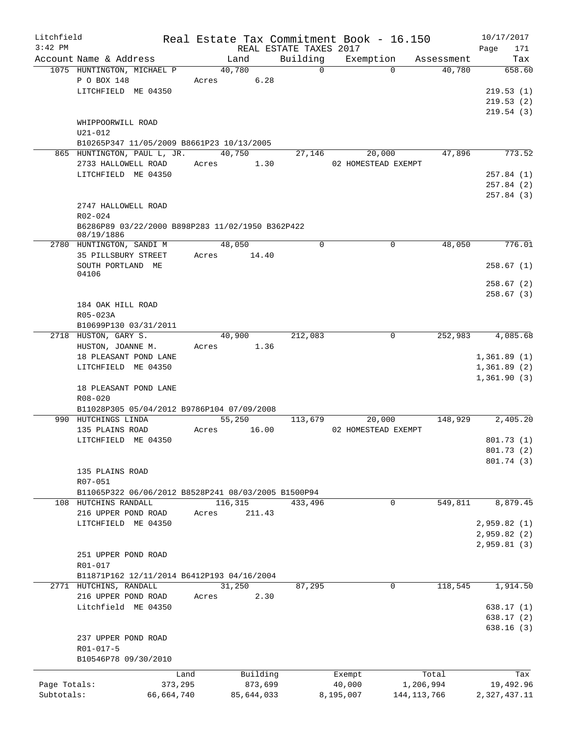| Litchfield   |                                                           |       |            |                        | Real Estate Tax Commitment Book - 16.150 |               | 10/17/2017   |
|--------------|-----------------------------------------------------------|-------|------------|------------------------|------------------------------------------|---------------|--------------|
| $3:42$ PM    |                                                           |       |            | REAL ESTATE TAXES 2017 |                                          |               | 171<br>Page  |
|              | Account Name & Address                                    |       | Land       | Building               | Exemption                                | Assessment    | Tax          |
|              | 1075 HUNTINGTON, MICHAEL P                                |       | 40,780     | $\Omega$               | $\Omega$                                 | 40,780        | 658.60       |
|              | P O BOX 148                                               | Acres | 6.28       |                        |                                          |               |              |
|              | LITCHFIELD ME 04350                                       |       |            |                        |                                          |               | 219.53(1)    |
|              |                                                           |       |            |                        |                                          |               | 219.53(2)    |
|              |                                                           |       |            |                        |                                          |               | 219.54(3)    |
|              | WHIPPOORWILL ROAD                                         |       |            |                        |                                          |               |              |
|              | $U21 - 012$                                               |       |            |                        |                                          |               |              |
|              | B10265P347 11/05/2009 B8661P23 10/13/2005                 |       |            |                        |                                          |               |              |
|              | 865 HUNTINGTON, PAUL L, JR.                               |       | 40,750     | 27,146                 | 20,000                                   | 47,896        | 773.52       |
|              | 2733 HALLOWELL ROAD                                       |       | Acres 1.30 |                        | 02 HOMESTEAD EXEMPT                      |               |              |
|              | LITCHFIELD ME 04350                                       |       |            |                        |                                          |               | 257.84(1)    |
|              |                                                           |       |            |                        |                                          |               | 257.84 (2)   |
|              |                                                           |       |            |                        |                                          |               | 257.84 (3)   |
|              | 2747 HALLOWELL ROAD<br>$R02 - 024$                        |       |            |                        |                                          |               |              |
|              | B6286P89 03/22/2000 B898P283 11/02/1950 B362P422          |       |            |                        |                                          |               |              |
|              | 08/19/1886                                                |       |            |                        |                                          |               |              |
|              | 2780 HUNTINGTON, SANDI M                                  |       | 48,050     | 0                      | $\mathbf 0$                              | 48,050        | 776.01       |
|              | 35 PILLSBURY STREET                                       | Acres | 14.40      |                        |                                          |               |              |
|              | SOUTH PORTLAND ME                                         |       |            |                        |                                          |               | 258.67(1)    |
|              | 04106                                                     |       |            |                        |                                          |               |              |
|              |                                                           |       |            |                        |                                          |               | 258.67(2)    |
|              |                                                           |       |            |                        |                                          |               | 258.67(3)    |
|              | 184 OAK HILL ROAD                                         |       |            |                        |                                          |               |              |
|              | R05-023A                                                  |       |            |                        |                                          |               |              |
|              | B10699P130 03/31/2011                                     |       |            |                        |                                          |               |              |
|              | 2718 HUSTON, GARY S.                                      |       | 40,900     | 212,083                | 0                                        | 252,983       | 4,085.68     |
|              | HUSTON, JOANNE M.                                         | Acres | 1.36       |                        |                                          |               |              |
|              | 18 PLEASANT POND LANE                                     |       |            |                        |                                          |               | 1,361.89(1)  |
|              | LITCHFIELD ME 04350                                       |       |            |                        |                                          |               | 1,361.89(2)  |
|              |                                                           |       |            |                        |                                          |               | 1,361.90(3)  |
|              | 18 PLEASANT POND LANE                                     |       |            |                        |                                          |               |              |
|              | $R08 - 020$<br>B11028P305 05/04/2012 B9786P104 07/09/2008 |       |            |                        |                                          |               |              |
|              | 990 HUTCHINGS LINDA                                       |       | 55,250     | 113,679                | 20,000                                   | 148,929       | 2,405.20     |
|              | 135 PLAINS ROAD                                           | Acres | 16.00      |                        | 02 HOMESTEAD EXEMPT                      |               |              |
|              | LITCHFIELD ME 04350                                       |       |            |                        |                                          |               | 801.73(1)    |
|              |                                                           |       |            |                        |                                          |               | 801.73 (2)   |
|              |                                                           |       |            |                        |                                          |               | 801.74 (3)   |
|              | 135 PLAINS ROAD                                           |       |            |                        |                                          |               |              |
|              | R07-051                                                   |       |            |                        |                                          |               |              |
|              | B11065P322 06/06/2012 B8528P241 08/03/2005 B1500P94       |       |            |                        |                                          |               |              |
|              | 108 HUTCHINS RANDALL                                      |       | 116,315    | 433,496                | 0                                        | 549,811       | 8,879.45     |
|              | 216 UPPER POND ROAD                                       | Acres | 211.43     |                        |                                          |               |              |
|              | LITCHFIELD ME 04350                                       |       |            |                        |                                          |               | 2,959.82(1)  |
|              |                                                           |       |            |                        |                                          |               | 2,959.82 (2) |
|              |                                                           |       |            |                        |                                          |               | 2,959.81(3)  |
|              | 251 UPPER POND ROAD                                       |       |            |                        |                                          |               |              |
|              | R01-017                                                   |       |            |                        |                                          |               |              |
|              | B11871P162 12/11/2014 B6412P193 04/16/2004                |       |            |                        |                                          |               |              |
|              | 2771 HUTCHINS, RANDALL                                    |       | 31,250     | 87,295                 |                                          | 0<br>118,545  | 1,914.50     |
|              | 216 UPPER POND ROAD                                       | Acres | 2.30       |                        |                                          |               |              |
|              | Litchfield ME 04350                                       |       |            |                        |                                          |               | 638.17 (1)   |
|              |                                                           |       |            |                        |                                          |               | 638.17 (2)   |
|              |                                                           |       |            |                        |                                          |               | 638.16(3)    |
|              | 237 UPPER POND ROAD                                       |       |            |                        |                                          |               |              |
|              | R01-017-5                                                 |       |            |                        |                                          |               |              |
|              | B10546P78 09/30/2010                                      |       |            |                        |                                          |               |              |
|              |                                                           | Land  | Building   |                        | Exempt                                   | Total         | Tax          |
| Page Totals: | 373,295                                                   |       | 873,699    |                        | 40,000                                   | 1,206,994     | 19,492.96    |
| Subtotals:   | 66,664,740                                                |       | 85,644,033 |                        | 8,195,007                                | 144, 113, 766 | 2,327,437.11 |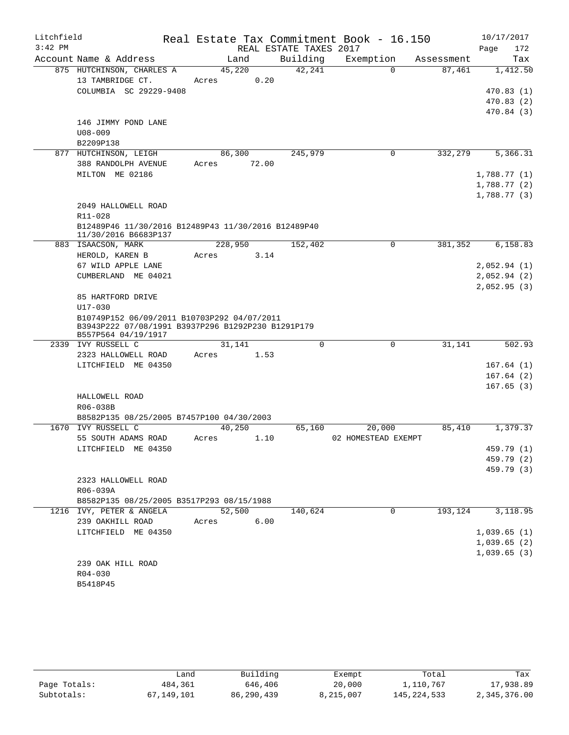| Litchfield |                                                                                                                          |                |                        | Real Estate Tax Commitment Book - 16.150 |            | 10/17/2017   |
|------------|--------------------------------------------------------------------------------------------------------------------------|----------------|------------------------|------------------------------------------|------------|--------------|
| $3:42$ PM  |                                                                                                                          |                | REAL ESTATE TAXES 2017 |                                          |            | Page<br>172  |
|            | Account Name & Address                                                                                                   | Land           | Building               | Exemption                                | Assessment | Tax          |
|            | 875 HUTCHINSON, CHARLES A                                                                                                | 45,220         | 42,241                 | $\Omega$                                 | 87,461     | 1,412.50     |
|            | 13 TAMBRIDGE CT.                                                                                                         | Acres          | 0.20                   |                                          |            |              |
|            | COLUMBIA SC 29229-9408                                                                                                   |                |                        |                                          |            | 470.83(1)    |
|            |                                                                                                                          |                |                        |                                          |            | 470.83(2)    |
|            |                                                                                                                          |                |                        |                                          |            | 470.84(3)    |
|            | 146 JIMMY POND LANE<br>$U08 - 009$                                                                                       |                |                        |                                          |            |              |
|            | B2209P138                                                                                                                |                |                        |                                          |            |              |
|            | 877 HUTCHINSON, LEIGH                                                                                                    | 86,300         | 245,979                | 0                                        | 332,279    | 5,366.31     |
|            | 388 RANDOLPH AVENUE                                                                                                      | Acres<br>72.00 |                        |                                          |            |              |
|            | MILTON ME 02186                                                                                                          |                |                        |                                          |            | 1,788.77(1)  |
|            |                                                                                                                          |                |                        |                                          |            | 1,788.77 (2) |
|            |                                                                                                                          |                |                        |                                          |            | 1,788.77(3)  |
|            | 2049 HALLOWELL ROAD                                                                                                      |                |                        |                                          |            |              |
|            | R11-028                                                                                                                  |                |                        |                                          |            |              |
|            | B12489P46 11/30/2016 B12489P43 11/30/2016 B12489P40<br>11/30/2016 B6683P137                                              |                |                        |                                          |            |              |
|            | 883 ISAACSON, MARK                                                                                                       | 228,950        | 152,402                | 0                                        | 381,352    | 6,158.83     |
|            | HEROLD, KAREN B                                                                                                          | Acres          | 3.14                   |                                          |            |              |
|            | 67 WILD APPLE LANE                                                                                                       |                |                        |                                          |            | 2,052.94(1)  |
|            | CUMBERLAND ME 04021                                                                                                      |                |                        |                                          |            | 2,052.94(2)  |
|            |                                                                                                                          |                |                        |                                          |            | 2,052.95(3)  |
|            | 85 HARTFORD DRIVE                                                                                                        |                |                        |                                          |            |              |
|            | $U17 - 030$                                                                                                              |                |                        |                                          |            |              |
|            | B10749P152 06/09/2011 B10703P292 04/07/2011<br>B3943P222 07/08/1991 B3937P296 B1292P230 B1291P179<br>B557P564 04/19/1917 |                |                        |                                          |            |              |
|            | 2339 IVY RUSSELL C                                                                                                       | 31,141         | 0                      | $\mathbf 0$                              | 31,141     | 502.93       |
|            | 2323 HALLOWELL ROAD                                                                                                      | Acres          | 1.53                   |                                          |            |              |
|            | LITCHFIELD ME 04350                                                                                                      |                |                        |                                          |            | 167.64(1)    |
|            |                                                                                                                          |                |                        |                                          |            | 167.64(2)    |
|            |                                                                                                                          |                |                        |                                          |            | 167.65(3)    |
|            | HALLOWELL ROAD                                                                                                           |                |                        |                                          |            |              |
|            | R06-038B                                                                                                                 |                |                        |                                          |            |              |
|            | B8582P135 08/25/2005 B7457P100 04/30/2003                                                                                |                |                        |                                          |            |              |
|            | 1670 IVY RUSSELL C                                                                                                       | 40,250         | 65,160                 | 20,000                                   | 85,410     | 1,379.37     |
|            | 55 SOUTH ADAMS ROAD                                                                                                      | Acres          | 1.10                   | 02 HOMESTEAD EXEMPT                      |            |              |
|            | LITCHFIELD ME 04350                                                                                                      |                |                        |                                          |            | 459.79 (1)   |
|            |                                                                                                                          |                |                        |                                          |            | 459.79 (2)   |
|            |                                                                                                                          |                |                        |                                          |            | 459.79 (3)   |
|            | 2323 HALLOWELL ROAD                                                                                                      |                |                        |                                          |            |              |
|            | R06-039A<br>B8582P135 08/25/2005 B3517P293 08/15/1988                                                                    |                |                        |                                          |            |              |
|            | 1216 IVY, PETER & ANGELA                                                                                                 | 52,500         | 140,624                | $\mathbf 0$                              | 193,124    | 3,118.95     |
|            | 239 OAKHILL ROAD                                                                                                         | Acres          | 6.00                   |                                          |            |              |
|            | LITCHFIELD ME 04350                                                                                                      |                |                        |                                          |            | 1,039.65(1)  |
|            |                                                                                                                          |                |                        |                                          |            | 1,039.65(2)  |
|            |                                                                                                                          |                |                        |                                          |            | 1,039.65(3)  |
|            | 239 OAK HILL ROAD                                                                                                        |                |                        |                                          |            |              |
|            | R04-030                                                                                                                  |                |                        |                                          |            |              |
|            | B5418P45                                                                                                                 |                |                        |                                          |            |              |

|              | Land       | Building   | Exempt    | Total         | Tax          |
|--------------|------------|------------|-----------|---------------|--------------|
| Page Totals: | 484,361    | 646,406    | 20,000    | 1,110,767     | 17,938.89    |
| Subtotals:   | 67,149,101 | 86,290,439 | 8,215,007 | 145, 224, 533 | 2,345,376.00 |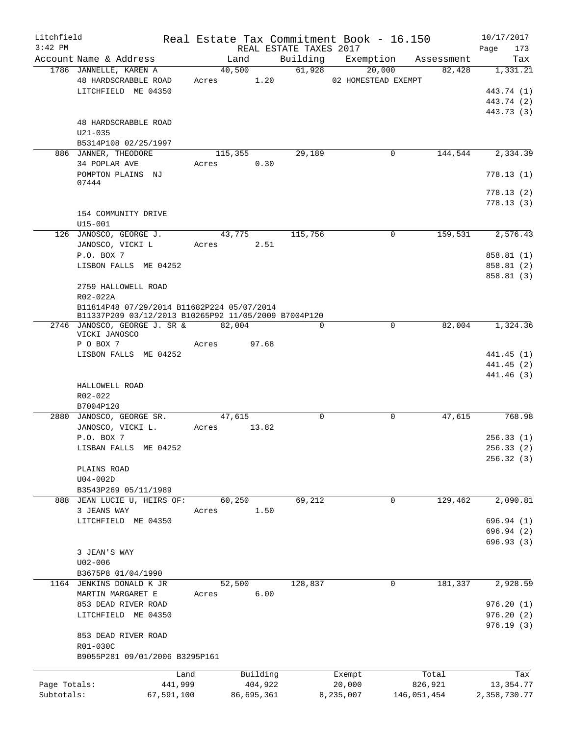| Litchfield<br>$3:42$ PM |                                                      |            |       |             |      | REAL ESTATE TAXES 2017 | Real Estate Tax Commitment Book - 16.150 |             |             | 10/17/2017<br>Page<br>173 |
|-------------------------|------------------------------------------------------|------------|-------|-------------|------|------------------------|------------------------------------------|-------------|-------------|---------------------------|
|                         | Account Name & Address                               |            |       | Land        |      |                        | Building Exemption Assessment            |             |             | Tax                       |
|                         | 1786 JANNELLE, KAREN A                               |            |       | 40,500      |      | 61,928                 | 20,000                                   |             | 82,428      | 1,331.21                  |
|                         | 48 HARDSCRABBLE ROAD                                 |            |       | Acres 1.20  |      |                        | 02 HOMESTEAD EXEMPT                      |             |             |                           |
|                         |                                                      |            |       |             |      |                        |                                          |             |             |                           |
|                         | LITCHFIELD ME 04350                                  |            |       |             |      |                        |                                          |             |             | 443.74 (1)                |
|                         |                                                      |            |       |             |      |                        |                                          |             |             | 443.74 (2)                |
|                         |                                                      |            |       |             |      |                        |                                          |             |             | 443.73 (3)                |
|                         | 48 HARDSCRABBLE ROAD                                 |            |       |             |      |                        |                                          |             |             |                           |
|                         | $U21 - 035$                                          |            |       |             |      |                        |                                          |             |             |                           |
|                         | B5314P108 02/25/1997                                 |            |       |             |      |                        |                                          |             |             |                           |
|                         | 886 JANNER, THEODORE                                 |            |       | 115,355     |      | 29,189                 |                                          | 0           | 144,544     | 2,334.39                  |
|                         | 34 POPLAR AVE                                        |            | Acres |             | 0.30 |                        |                                          |             |             |                           |
|                         | POMPTON PLAINS NJ                                    |            |       |             |      |                        |                                          |             |             | 778.13(1)                 |
|                         | 07444                                                |            |       |             |      |                        |                                          |             |             |                           |
|                         |                                                      |            |       |             |      |                        |                                          |             |             | 778.13(2)                 |
|                         |                                                      |            |       |             |      |                        |                                          |             |             | 778.13(3)                 |
|                         | 154 COMMUNITY DRIVE                                  |            |       |             |      |                        |                                          |             |             |                           |
|                         | $U15 - 001$                                          |            |       |             |      |                        |                                          |             |             |                           |
|                         | 126 JANOSCO, GEORGE J.                               |            |       | 43,775      |      | 115,756                |                                          | 0           | 159,531     | 2,576.43                  |
|                         | JANOSCO, VICKI L                                     |            | Acres |             | 2.51 |                        |                                          |             |             |                           |
|                         | P.O. BOX 7                                           |            |       |             |      |                        |                                          |             |             | 858.81 (1)                |
|                         | LISBON FALLS ME 04252                                |            |       |             |      |                        |                                          |             |             | 858.81 (2)                |
|                         |                                                      |            |       |             |      |                        |                                          |             |             |                           |
|                         |                                                      |            |       |             |      |                        |                                          |             |             | 858.81 (3)                |
|                         | 2759 HALLOWELL ROAD                                  |            |       |             |      |                        |                                          |             |             |                           |
|                         | R02-022A                                             |            |       |             |      |                        |                                          |             |             |                           |
|                         | B11814P48 07/29/2014 B11682P224 05/07/2014           |            |       |             |      |                        |                                          |             |             |                           |
|                         | B11337P209 03/12/2013 B10265P92 11/05/2009 B7004P120 |            |       |             |      |                        |                                          |             |             |                           |
|                         | 2746 JANOSCO, GEORGE J. SR & 82,004                  |            |       |             |      | $\Omega$               |                                          | $\Omega$    | 82,004      | 1,324.36                  |
|                         | VICKI JANOSCO                                        |            | Acres | 97.68       |      |                        |                                          |             |             |                           |
|                         | P O BOX 7                                            |            |       |             |      |                        |                                          |             |             |                           |
|                         | LISBON FALLS ME 04252                                |            |       |             |      |                        |                                          |             |             | 441.45 (1)                |
|                         |                                                      |            |       |             |      |                        |                                          |             |             | 441.45 (2)                |
|                         |                                                      |            |       |             |      |                        |                                          |             |             | 441.46 (3)                |
|                         | HALLOWELL ROAD                                       |            |       |             |      |                        |                                          |             |             |                           |
|                         | R02-022                                              |            |       |             |      |                        |                                          |             |             |                           |
|                         | B7004P120                                            |            |       |             |      |                        |                                          |             |             |                           |
|                         | 2880 JANOSCO, GEORGE SR.                             |            |       | 47,615      |      | $\Omega$               |                                          | $\mathbf 0$ | 47,615      | 768.98                    |
|                         | JANOSCO, VICKI L.                                    |            |       | Acres 13.82 |      |                        |                                          |             |             |                           |
|                         | P.O. BOX 7                                           |            |       |             |      |                        |                                          |             |             | 256.33(1)                 |
|                         | LISBAN FALLS ME 04252                                |            |       |             |      |                        |                                          |             |             | 256.33 (2)                |
|                         |                                                      |            |       |             |      |                        |                                          |             |             | 256.32(3)                 |
|                         | PLAINS ROAD                                          |            |       |             |      |                        |                                          |             |             |                           |
|                         | U04-002D                                             |            |       |             |      |                        |                                          |             |             |                           |
|                         | B3543P269 05/11/1989                                 |            |       |             |      |                        |                                          |             |             |                           |
|                         | 888 JEAN LUCIE U, HEIRS OF:                          |            |       | 60,250      |      | 69,212                 |                                          | 0           | 129,462     | 2,090.81                  |
|                         | 3 JEANS WAY                                          |            | Acres |             | 1.50 |                        |                                          |             |             |                           |
|                         | LITCHFIELD ME 04350                                  |            |       |             |      |                        |                                          |             |             | 696.94 (1)                |
|                         |                                                      |            |       |             |      |                        |                                          |             |             | 696.94 (2)                |
|                         |                                                      |            |       |             |      |                        |                                          |             |             |                           |
|                         |                                                      |            |       |             |      |                        |                                          |             |             | 696.93 (3)                |
|                         | 3 JEAN'S WAY                                         |            |       |             |      |                        |                                          |             |             |                           |
|                         | $U02 - 006$                                          |            |       |             |      |                        |                                          |             |             |                           |
|                         | B3675P8 01/04/1990                                   |            |       |             |      |                        |                                          |             |             |                           |
|                         | 1164 JENKINS DONALD K JR                             |            |       | 52,500      |      | 128,837                |                                          | 0           | 181,337     | 2,928.59                  |
|                         | MARTIN MARGARET E                                    |            | Acres |             | 6.00 |                        |                                          |             |             |                           |
|                         | 853 DEAD RIVER ROAD                                  |            |       |             |      |                        |                                          |             |             | 976.20(1)                 |
|                         | LITCHFIELD ME 04350                                  |            |       |             |      |                        |                                          |             |             | 976.20(2)                 |
|                         |                                                      |            |       |             |      |                        |                                          |             |             | 976.19(3)                 |
|                         | 853 DEAD RIVER ROAD                                  |            |       |             |      |                        |                                          |             |             |                           |
|                         | R01-030C                                             |            |       |             |      |                        |                                          |             |             |                           |
|                         | B9055P281 09/01/2006 B3295P161                       |            |       |             |      |                        |                                          |             |             |                           |
|                         |                                                      |            |       |             |      |                        |                                          |             |             |                           |
|                         |                                                      | Land       |       | Building    |      |                        | Exempt                                   |             | Total       | Tax                       |
| Page Totals:            |                                                      | 441,999    |       | 404,922     |      |                        | 20,000                                   |             | 826,921     | 13,354.77                 |
| Subtotals:              |                                                      | 67,591,100 |       | 86,695,361  |      |                        | 8,235,007                                |             | 146,051,454 | 2,358,730.77              |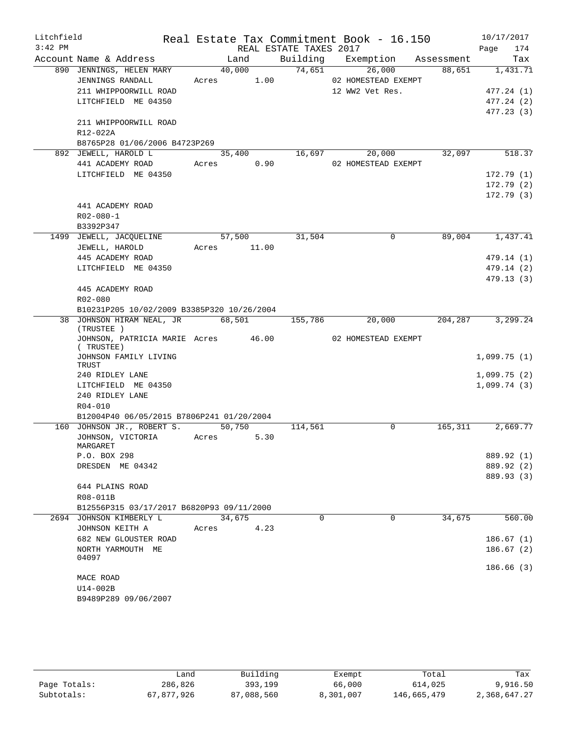| Litchfield |                                                  |             |                |                        | Real Estate Tax Commitment Book - 16.150 |         | 10/17/2017  |
|------------|--------------------------------------------------|-------------|----------------|------------------------|------------------------------------------|---------|-------------|
| $3:42$ PM  |                                                  |             |                | REAL ESTATE TAXES 2017 |                                          |         | 174<br>Page |
|            | Account Name & Address                           |             | Land           |                        | Building Exemption Assessment            |         | Tax         |
|            | 890 JENNINGS, HELEN MARY                         |             | 40,000         | 74,651                 | 26,000                                   | 88,651  | 1,431.71    |
|            | JENNINGS RANDALL                                 | Acres 1.00  |                |                        | 02 HOMESTEAD EXEMPT                      |         |             |
|            | 211 WHIPPOORWILL ROAD                            |             |                |                        | 12 WW2 Vet Res.                          |         | 477.24(1)   |
|            | LITCHFIELD ME 04350                              |             |                |                        |                                          |         | 477.24(2)   |
|            |                                                  |             |                |                        |                                          |         | 477.23(3)   |
|            | 211 WHIPPOORWILL ROAD                            |             |                |                        |                                          |         |             |
|            | R12-022A                                         |             |                |                        |                                          |         |             |
|            | B8765P28 01/06/2006 B4723P269                    |             |                |                        |                                          |         |             |
|            | 892 JEWELL, HAROLD L                             |             | 35,400         | 16,697                 | 20,000                                   | 32,097  | 518.37      |
|            | 441 ACADEMY ROAD<br>LITCHFIELD ME 04350          | Acres 0.90  |                |                        | 02 HOMESTEAD EXEMPT                      |         | 172.79(1)   |
|            |                                                  |             |                |                        |                                          |         | 172.79(2)   |
|            |                                                  |             |                |                        |                                          |         | 172.79(3)   |
|            | 441 ACADEMY ROAD                                 |             |                |                        |                                          |         |             |
|            | $R02 - 080 - 1$                                  |             |                |                        |                                          |         |             |
|            | B3392P347                                        |             |                |                        |                                          |         |             |
|            | 1499 JEWELL, JACQUELINE                          |             | 57,500         | 31,504                 | $\Omega$                                 | 89,004  | 1,437.41    |
|            | JEWELL, HAROLD                                   | Acres 11.00 |                |                        |                                          |         |             |
|            | 445 ACADEMY ROAD                                 |             |                |                        |                                          |         | 479.14(1)   |
|            | LITCHFIELD ME 04350                              |             |                |                        |                                          |         | 479.14 (2)  |
|            |                                                  |             |                |                        |                                          |         | 479.13(3)   |
|            | 445 ACADEMY ROAD                                 |             |                |                        |                                          |         |             |
|            | R02-080                                          |             |                |                        |                                          |         |             |
|            | B10231P205 10/02/2009 B3385P320 10/26/2004       |             |                |                        |                                          |         |             |
|            | 38 JOHNSON HIRAM NEAL, JR<br>(TRUSTEE)           |             | 68,501         | 155,786                | $\overline{20}$ ,000                     | 204,287 | 3,299.24    |
|            | JOHNSON, PATRICIA MARIE Acres 46.00<br>(TRUSTEE) |             |                |                        | 02 HOMESTEAD EXEMPT                      |         |             |
|            | JOHNSON FAMILY LIVING<br>TRUST                   |             |                |                        |                                          |         | 1,099.75(1) |
|            | 240 RIDLEY LANE                                  |             |                |                        |                                          |         | 1,099.75(2) |
|            | LITCHFIELD ME 04350                              |             |                |                        |                                          |         | 1,099.74(3) |
|            | 240 RIDLEY LANE                                  |             |                |                        |                                          |         |             |
|            | R04-010                                          |             |                |                        |                                          |         |             |
|            | B12004P40 06/05/2015 B7806P241 01/20/2004        |             |                |                        |                                          |         |             |
|            | 160 JOHNSON JR., ROBERT S.<br>JOHNSON, VICTORIA  |             | 50,750<br>5.30 | 114,561                | 0                                        | 165,311 | 2,669.77    |
|            | MARGARET                                         | Acres       |                |                        |                                          |         |             |
|            | P.O. BOX 298                                     |             |                |                        |                                          |         | 889.92 (1)  |
|            | DRESDEN ME 04342                                 |             |                |                        |                                          |         | 889.92 (2)  |
|            |                                                  |             |                |                        |                                          |         | 889.93 (3)  |
|            | 644 PLAINS ROAD                                  |             |                |                        |                                          |         |             |
|            | R08-011B                                         |             |                |                        |                                          |         |             |
|            | B12556P315 03/17/2017 B6820P93 09/11/2000        |             |                |                        |                                          |         |             |
|            | 2694 JOHNSON KIMBERLY L                          |             | 34,675         | 0                      | 0                                        | 34,675  | 560.00      |
|            | JOHNSON KEITH A                                  | Acres       | 4.23           |                        |                                          |         |             |
|            | 682 NEW GLOUSTER ROAD                            |             |                |                        |                                          |         | 186.67(1)   |
|            | NORTH YARMOUTH ME<br>04097                       |             |                |                        |                                          |         | 186.67(2)   |
|            |                                                  |             |                |                        |                                          |         | 186.66(3)   |
|            | MACE ROAD                                        |             |                |                        |                                          |         |             |
|            | U14-002B                                         |             |                |                        |                                          |         |             |
|            | B9489P289 09/06/2007                             |             |                |                        |                                          |         |             |
|            |                                                  |             |                |                        |                                          |         |             |

|              | Land       | Building   | Exempt    | Total       | Tax          |
|--------------|------------|------------|-----------|-------------|--------------|
| Page Totals: | 286,826    | 393,199    | 66,000    | 614,025     | 9,916.50     |
| Subtotals:   | 67,877,926 | 87,088,560 | 8,301,007 | 146,665,479 | 2,368,647.27 |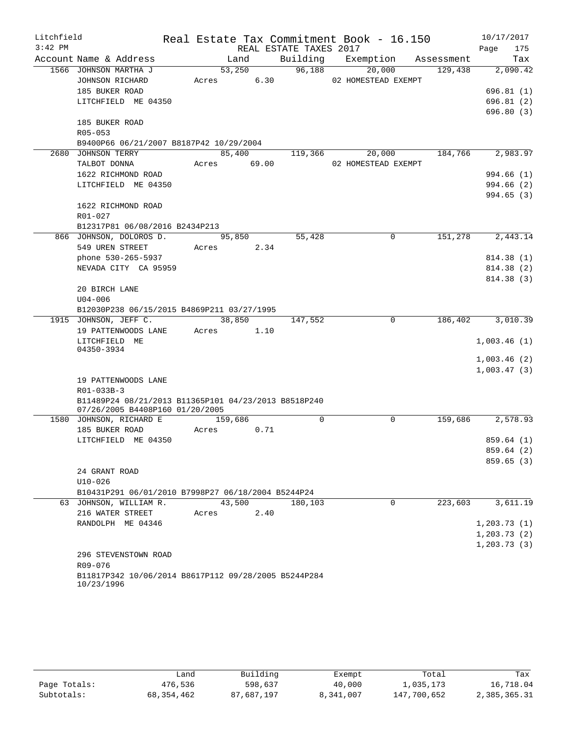| Litchfield |                                                                    |       |         |      |                        | Real Estate Tax Commitment Book - 16.150 |             |            |              | 10/17/2017 |
|------------|--------------------------------------------------------------------|-------|---------|------|------------------------|------------------------------------------|-------------|------------|--------------|------------|
| $3:42$ PM  |                                                                    |       |         |      | REAL ESTATE TAXES 2017 |                                          |             |            | Page         | 175        |
|            | Account Name & Address                                             |       | Land    |      | Building               | Exemption                                |             | Assessment |              | Tax        |
|            | 1566 JOHNSON MARTHA J                                              |       | 53,250  |      | 96,188                 | 20,000                                   |             | 129,438    |              | 2,090.42   |
|            | JOHNSON RICHARD                                                    | Acres |         | 6.30 |                        | 02 HOMESTEAD EXEMPT                      |             |            |              |            |
|            | 185 BUKER ROAD                                                     |       |         |      |                        |                                          |             |            |              | 696.81(1)  |
|            | LITCHFIELD ME 04350                                                |       |         |      |                        |                                          |             |            |              | 696.81(2)  |
|            |                                                                    |       |         |      |                        |                                          |             |            |              | 696.80(3)  |
|            | 185 BUKER ROAD                                                     |       |         |      |                        |                                          |             |            |              |            |
|            | R05-053                                                            |       |         |      |                        |                                          |             |            |              |            |
|            | B9400P66 06/21/2007 B8187P42 10/29/2004                            |       |         |      |                        |                                          |             |            |              |            |
|            | 2680 JOHNSON TERRY                                                 |       | 85,400  |      | 119,366                | 20,000                                   |             | 184,766    |              | 2,983.97   |
|            | TALBOT DONNA                                                       | Acres | 69.00   |      |                        | 02 HOMESTEAD EXEMPT                      |             |            |              |            |
|            | 1622 RICHMOND ROAD                                                 |       |         |      |                        |                                          |             |            |              | 994.66 (1) |
|            | LITCHFIELD ME 04350                                                |       |         |      |                        |                                          |             |            |              | 994.66 (2) |
|            |                                                                    |       |         |      |                        |                                          |             |            |              | 994.65(3)  |
|            | 1622 RICHMOND ROAD                                                 |       |         |      |                        |                                          |             |            |              |            |
|            | R01-027                                                            |       |         |      |                        |                                          |             |            |              |            |
|            | B12317P81 06/08/2016 B2434P213                                     |       |         |      |                        |                                          |             |            |              |            |
|            | 866 JOHNSON, DOLOROS D.                                            |       | 95,850  |      | 55,428                 |                                          | $\Omega$    | 151,278    |              | 2,443.14   |
|            | 549 UREN STREET                                                    | Acres |         | 2.34 |                        |                                          |             |            |              |            |
|            | phone 530-265-5937                                                 |       |         |      |                        |                                          |             |            |              | 814.38 (1) |
|            | NEVADA CITY CA 95959                                               |       |         |      |                        |                                          |             |            |              | 814.38 (2) |
|            |                                                                    |       |         |      |                        |                                          |             |            |              | 814.38 (3) |
|            | 20 BIRCH LANE                                                      |       |         |      |                        |                                          |             |            |              |            |
|            | $U04 - 006$                                                        |       |         |      |                        |                                          |             |            |              |            |
|            | B12030P238 06/15/2015 B4869P211 03/27/1995                         |       |         |      |                        |                                          |             |            |              |            |
|            | 1915 JOHNSON, JEFF C.                                              |       | 38,850  |      | 147,552                |                                          | 0           | 186,402    |              | 3,010.39   |
|            | 19 PATTENWOODS LANE                                                | Acres |         | 1.10 |                        |                                          |             |            |              |            |
|            | LITCHFIELD ME<br>04350-3934                                        |       |         |      |                        |                                          |             |            | 1,003.46(1)  |            |
|            |                                                                    |       |         |      |                        |                                          |             |            | 1,003.46(2)  |            |
|            |                                                                    |       |         |      |                        |                                          |             |            | 1,003.47(3)  |            |
|            | 19 PATTENWOODS LANE                                                |       |         |      |                        |                                          |             |            |              |            |
|            | R01-033B-3                                                         |       |         |      |                        |                                          |             |            |              |            |
|            | B11489P24 08/21/2013 B11365P101 04/23/2013 B8518P240               |       |         |      |                        |                                          |             |            |              |            |
|            | 07/26/2005 B4408P160 01/20/2005                                    |       |         |      |                        |                                          |             |            |              |            |
|            | 1580 JOHNSON, RICHARD E                                            |       | 159,686 |      | $\mathbf 0$            |                                          | $\mathbf 0$ | 159,686    |              | 2,578.93   |
|            | 185 BUKER ROAD                                                     | Acres |         | 0.71 |                        |                                          |             |            |              |            |
|            | LITCHFIELD ME 04350                                                |       |         |      |                        |                                          |             |            |              | 859.64(1)  |
|            |                                                                    |       |         |      |                        |                                          |             |            |              | 859.64 (2) |
|            |                                                                    |       |         |      |                        |                                          |             |            |              | 859.65(3)  |
|            | 24 GRANT ROAD                                                      |       |         |      |                        |                                          |             |            |              |            |
|            | $U10 - 026$                                                        |       |         |      |                        |                                          |             |            |              |            |
|            | B10431P291 06/01/2010 B7998P27 06/18/2004 B5244P24                 |       |         |      |                        |                                          |             |            |              |            |
|            | 63 JOHNSON, WILLIAM R.                                             |       | 43,500  |      | 180,103                |                                          | $\Omega$    | 223,603    |              | 3,611.19   |
|            | 216 WATER STREET                                                   | Acres |         | 2.40 |                        |                                          |             |            |              |            |
|            | RANDOLPH ME 04346                                                  |       |         |      |                        |                                          |             |            | 1, 203.73(1) |            |
|            |                                                                    |       |         |      |                        |                                          |             |            | 1, 203.73(2) |            |
|            |                                                                    |       |         |      |                        |                                          |             |            | 1, 203.73(3) |            |
|            | 296 STEVENSTOWN ROAD                                               |       |         |      |                        |                                          |             |            |              |            |
|            | R09-076                                                            |       |         |      |                        |                                          |             |            |              |            |
|            | B11817P342 10/06/2014 B8617P112 09/28/2005 B5244P284<br>10/23/1996 |       |         |      |                        |                                          |             |            |              |            |

|              | Land       | Building   | Exempt    | Total       | Tax          |
|--------------|------------|------------|-----------|-------------|--------------|
| Page Totals: | 476,536    | 598,637    | 40,000    | 1,035,173   | 16,718.04    |
| Subtotals:   | 68,354,462 | 87,687,197 | 8,341,007 | 147,700,652 | 2,385,365.31 |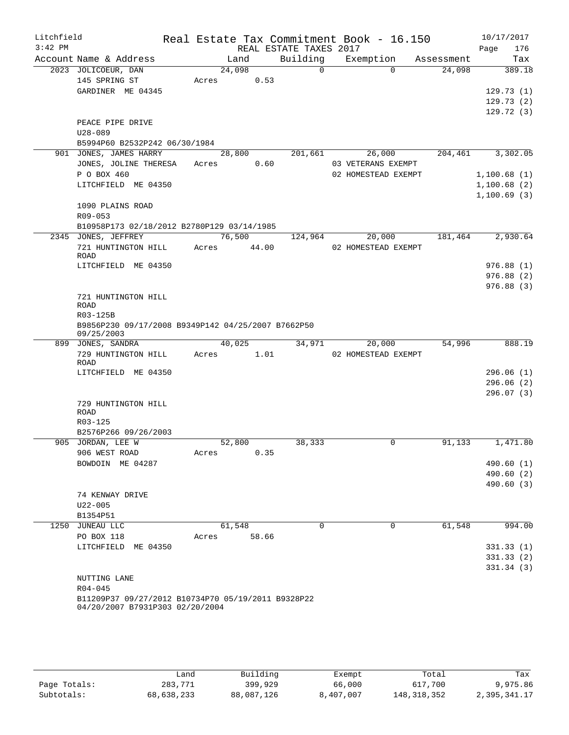| Litchfield<br>$3:42$ PM |                                                                                       |                | REAL ESTATE TAXES 2017 | Real Estate Tax Commitment Book - 16.150 |            | 10/17/2017<br>176<br>Page |
|-------------------------|---------------------------------------------------------------------------------------|----------------|------------------------|------------------------------------------|------------|---------------------------|
|                         | Account Name & Address                                                                | Land           | Building               | Exemption                                | Assessment | Tax                       |
|                         | 2023 JOLICOEUR, DAN                                                                   | 24,098         | $\Omega$               | $\Omega$                                 | 24,098     | 389.18                    |
|                         | 145 SPRING ST                                                                         | Acres<br>0.53  |                        |                                          |            |                           |
|                         | GARDINER ME 04345                                                                     |                |                        |                                          |            | 129.73(1)                 |
|                         |                                                                                       |                |                        |                                          |            | 129.73(2)                 |
|                         |                                                                                       |                |                        |                                          |            | 129.72(3)                 |
|                         | PEACE PIPE DRIVE                                                                      |                |                        |                                          |            |                           |
|                         | $U28 - 089$                                                                           |                |                        |                                          |            |                           |
|                         | B5994P60 B2532P242 06/30/1984                                                         |                |                        |                                          |            |                           |
|                         | 901 JONES, JAMES HARRY                                                                | 28,800         | 201,661                | 26,000                                   | 204, 461   | 3,302.05                  |
|                         | JONES, JOLINE THERESA                                                                 | 0.60<br>Acres  |                        | 03 VETERANS EXEMPT                       |            |                           |
|                         | P O BOX 460                                                                           |                |                        | 02 HOMESTEAD EXEMPT                      |            | 1,100.68(1)               |
|                         | LITCHFIELD ME 04350                                                                   |                |                        |                                          |            | 1,100.68(2)               |
|                         |                                                                                       |                |                        |                                          |            | 1,100.69(3)               |
|                         | 1090 PLAINS ROAD                                                                      |                |                        |                                          |            |                           |
|                         | R09-053                                                                               |                |                        |                                          |            |                           |
|                         | B10958P173 02/18/2012 B2780P129 03/14/1985                                            |                |                        |                                          |            |                           |
|                         | 2345 JONES, JEFFREY                                                                   | 76,500         | 124,964                | 20,000                                   | 181,464    | 2,930.64                  |
|                         | 721 HUNTINGTON HILL                                                                   | Acres 44.00    |                        | 02 HOMESTEAD EXEMPT                      |            |                           |
|                         | <b>ROAD</b>                                                                           |                |                        |                                          |            |                           |
|                         | LITCHFIELD ME 04350                                                                   |                |                        |                                          |            | 976.88(1)                 |
|                         |                                                                                       |                |                        |                                          |            | 976.88(2)                 |
|                         |                                                                                       |                |                        |                                          |            | 976.88(3)                 |
|                         | 721 HUNTINGTON HILL<br><b>ROAD</b>                                                    |                |                        |                                          |            |                           |
|                         | R03-125B                                                                              |                |                        |                                          |            |                           |
|                         | B9856P230 09/17/2008 B9349P142 04/25/2007 B7662P50<br>09/25/2003                      |                |                        |                                          |            |                           |
|                         | 899 JONES, SANDRA                                                                     | 40,025         | 34,971                 | 20,000                                   | 54,996     | 888.19                    |
|                         | 729 HUNTINGTON HILL                                                                   | 1.01<br>Acres  |                        | 02 HOMESTEAD EXEMPT                      |            |                           |
|                         | ROAD                                                                                  |                |                        |                                          |            |                           |
|                         | LITCHFIELD ME 04350                                                                   |                |                        |                                          |            | 296.06(1)                 |
|                         |                                                                                       |                |                        |                                          |            | 296.06(2)                 |
|                         |                                                                                       |                |                        |                                          |            | 296.07(3)                 |
|                         | 729 HUNTINGTON HILL<br><b>ROAD</b>                                                    |                |                        |                                          |            |                           |
|                         | R03-125                                                                               |                |                        |                                          |            |                           |
|                         | B2576P266 09/26/2003                                                                  |                |                        |                                          |            |                           |
|                         | 905 JORDAN, LEE W                                                                     | 52,800         | 38,333                 | $\mathbf 0$                              | 91,133     | 1,471.80                  |
|                         | 906 WEST ROAD                                                                         | 0.35<br>Acres  |                        |                                          |            |                           |
|                         | BOWDOIN ME 04287                                                                      |                |                        |                                          |            | 490.60(1)                 |
|                         |                                                                                       |                |                        |                                          |            | 490.60 (2)                |
|                         |                                                                                       |                |                        |                                          |            | 490.60(3)                 |
|                         | 74 KENWAY DRIVE                                                                       |                |                        |                                          |            |                           |
|                         | $U22 - 005$                                                                           |                |                        |                                          |            |                           |
|                         | B1354P51                                                                              |                |                        |                                          |            |                           |
|                         | 1250 JUNEAU LLC                                                                       | 61,548         | 0                      | 0                                        | 61,548     | 994.00                    |
|                         | PO BOX 118                                                                            | 58.66<br>Acres |                        |                                          |            |                           |
|                         | LITCHFIELD ME 04350                                                                   |                |                        |                                          |            | 331.33(1)                 |
|                         |                                                                                       |                |                        |                                          |            | 331.33(2)                 |
|                         |                                                                                       |                |                        |                                          |            | 331.34(3)                 |
|                         | NUTTING LANE                                                                          |                |                        |                                          |            |                           |
|                         | $R04 - 045$                                                                           |                |                        |                                          |            |                           |
|                         | B11209P37 09/27/2012 B10734P70 05/19/2011 B9328P22<br>04/20/2007 B7931P303 02/20/2004 |                |                        |                                          |            |                           |

|              | فiand      | Building   | Exempt    | Total       | Tax          |
|--------------|------------|------------|-----------|-------------|--------------|
| Page Totals: | 283,771    | 399,929    | 66,000    | 617,700     | 9,975.86     |
| Subtotals:   | 68,638,233 | 88,087,126 | 8,407,007 | 148,318,352 | 2,395,341.17 |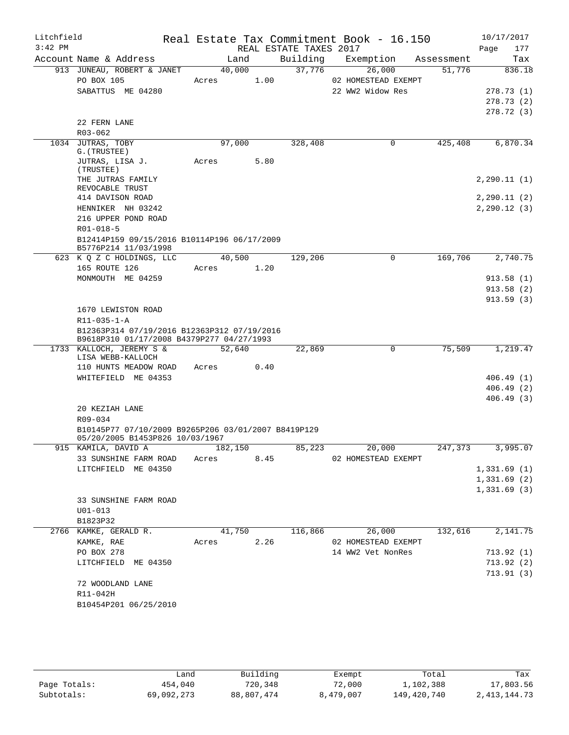| Litchfield<br>$3:42$ PM |                                                                                        |       |            |      | Real Estate Tax Commitment Book - 16.150<br>REAL ESTATE TAXES 2017 |                     |            | Page | 10/17/2017<br>177 |
|-------------------------|----------------------------------------------------------------------------------------|-------|------------|------|--------------------------------------------------------------------|---------------------|------------|------|-------------------|
|                         | Account Name & Address                                                                 |       | Land       |      | Building                                                           | Exemption           | Assessment |      | Tax               |
|                         | 913 JUNEAU, ROBERT & JANET                                                             |       | 40,000     |      | 37,776                                                             | 26,000              | 51,776     |      | 836.18            |
|                         | PO BOX 105                                                                             | Acres |            | 1.00 |                                                                    | 02 HOMESTEAD EXEMPT |            |      |                   |
|                         | SABATTUS ME 04280                                                                      |       |            |      |                                                                    | 22 WW2 Widow Res    |            |      | 278.73 (1)        |
|                         |                                                                                        |       |            |      |                                                                    |                     |            |      | 278.73(2)         |
|                         |                                                                                        |       |            |      |                                                                    |                     |            |      | 278.72 (3)        |
|                         | 22 FERN LANE                                                                           |       |            |      |                                                                    |                     |            |      |                   |
|                         | R03-062                                                                                |       |            |      |                                                                    |                     |            |      |                   |
|                         | 1034 JUTRAS, TOBY<br>G. (TRUSTEE)                                                      |       | 97,000     |      | 328,408                                                            | $\mathbf 0$         | 425,408    |      | 6,870.34          |
|                         | JUTRAS, LISA J.<br>(TRUSTEE)                                                           | Acres |            | 5.80 |                                                                    |                     |            |      |                   |
|                         | THE JUTRAS FAMILY<br>REVOCABLE TRUST                                                   |       |            |      |                                                                    |                     |            |      | 2, 290.11(1)      |
|                         | 414 DAVISON ROAD                                                                       |       |            |      |                                                                    |                     |            |      | 2, 290.11(2)      |
|                         | HENNIKER NH 03242                                                                      |       |            |      |                                                                    |                     |            |      | 2, 290.12(3)      |
|                         | 216 UPPER POND ROAD                                                                    |       |            |      |                                                                    |                     |            |      |                   |
|                         | R01-018-5                                                                              |       |            |      |                                                                    |                     |            |      |                   |
|                         | B12414P159 09/15/2016 B10114P196 06/17/2009<br>B5776P214 11/03/1998                    |       |            |      |                                                                    |                     |            |      |                   |
|                         | 623 K Q Z C HOLDINGS, LLC                                                              |       | 40,500     |      | 129,206                                                            | 0                   | 169,706    |      | 2,740.75          |
|                         | 165 ROUTE 126                                                                          |       | Acres      | 1.20 |                                                                    |                     |            |      |                   |
|                         | MONMOUTH ME 04259                                                                      |       |            |      |                                                                    |                     |            |      | 913.58(1)         |
|                         |                                                                                        |       |            |      |                                                                    |                     |            |      | 913.58(2)         |
|                         |                                                                                        |       |            |      |                                                                    |                     |            |      | 913.59(3)         |
|                         | 1670 LEWISTON ROAD<br>$R11 - 035 - 1 - A$                                              |       |            |      |                                                                    |                     |            |      |                   |
|                         | B12363P314 07/19/2016 B12363P312 07/19/2016                                            |       |            |      |                                                                    |                     |            |      |                   |
|                         | B9618P310 01/17/2008 B4379P277 04/27/1993                                              |       |            |      |                                                                    |                     |            |      |                   |
|                         | 1733 KALLOCH, JEREMY S &                                                               |       | 52,640     |      | 22,869                                                             | $\mathbf 0$         | 75,509     |      | 1,219.47          |
|                         | LISA WEBB-KALLOCH                                                                      |       |            |      |                                                                    |                     |            |      |                   |
|                         | 110 HUNTS MEADOW ROAD                                                                  | Acres |            | 0.40 |                                                                    |                     |            |      |                   |
|                         | WHITEFIELD ME 04353                                                                    |       |            |      |                                                                    |                     |            |      | 406.49(1)         |
|                         |                                                                                        |       |            |      |                                                                    |                     |            |      | 406.49(2)         |
|                         |                                                                                        |       |            |      |                                                                    |                     |            |      | 406.49(3)         |
|                         | 20 KEZIAH LANE                                                                         |       |            |      |                                                                    |                     |            |      |                   |
|                         | R09-034                                                                                |       |            |      |                                                                    |                     |            |      |                   |
|                         | B10145P77 07/10/2009 B9265P206 03/01/2007 B8419P129<br>05/20/2005 B1453P826 10/03/1967 |       |            |      |                                                                    |                     |            |      |                   |
|                         | 915 KAMILA, DAVID A 182,150                                                            |       |            |      |                                                                    | 85,223 20,000       | 247,373    |      | 3,995.07          |
|                         | 33 SUNSHINE FARM ROAD Acres 8.45                                                       |       |            |      |                                                                    | 02 HOMESTEAD EXEMPT |            |      |                   |
|                         | LITCHFIELD ME 04350                                                                    |       |            |      |                                                                    |                     |            |      | 1,331.69(1)       |
|                         |                                                                                        |       |            |      |                                                                    |                     |            |      | 1,331.69(2)       |
|                         |                                                                                        |       |            |      |                                                                    |                     |            |      | 1,331.69(3)       |
|                         | 33 SUNSHINE FARM ROAD                                                                  |       |            |      |                                                                    |                     |            |      |                   |
|                         | $U01 - 013$                                                                            |       |            |      |                                                                    |                     |            |      |                   |
|                         | B1823P32                                                                               |       |            |      |                                                                    |                     |            |      |                   |
|                         | 2766 KAMKE, GERALD R.                                                                  |       | 41,750     |      |                                                                    | 116,866 26,000      | 132,616    |      | 2,141.75          |
|                         | KAMKE, RAE                                                                             |       | Acres 2.26 |      |                                                                    | 02 HOMESTEAD EXEMPT |            |      |                   |
|                         | PO BOX 278                                                                             |       |            |      |                                                                    | 14 WW2 Vet NonRes   |            |      | 713.92(1)         |
|                         | LITCHFIELD ME 04350                                                                    |       |            |      |                                                                    |                     |            |      | 713.92(2)         |
|                         |                                                                                        |       |            |      |                                                                    |                     |            |      | 713.91(3)         |
|                         | 72 WOODLAND LANE                                                                       |       |            |      |                                                                    |                     |            |      |                   |
|                         | R11-042H                                                                               |       |            |      |                                                                    |                     |            |      |                   |
|                         | B10454P201 06/25/2010                                                                  |       |            |      |                                                                    |                     |            |      |                   |
|                         |                                                                                        |       |            |      |                                                                    |                     |            |      |                   |

|              | Land       | Building   | Exempt    | Total       | Tax             |
|--------------|------------|------------|-----------|-------------|-----------------|
| Page Totals: | 454,040    | 720,348    | 72,000    | 1,102,388   | 17,803.56       |
| Subtotals:   | 69,092,273 | 88,807,474 | 8,479,007 | 149,420,740 | 2, 413, 144. 73 |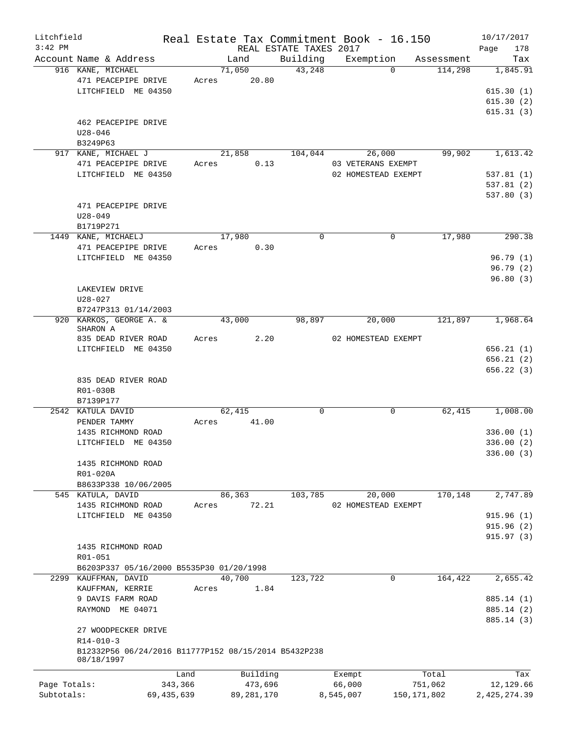| Litchfield   |                                                      |       |              |          |                        | Real Estate Tax Commitment Book - 16.150 |             |            |                | 10/17/2017 |
|--------------|------------------------------------------------------|-------|--------------|----------|------------------------|------------------------------------------|-------------|------------|----------------|------------|
| $3:42$ PM    |                                                      |       |              |          | REAL ESTATE TAXES 2017 |                                          |             |            | Page           | 178        |
|              | Account Name & Address                               |       | Land         |          | Building               | Exemption                                |             | Assessment |                | Tax        |
|              | 916 KANE, MICHAEL<br>471 PEACEPIPE DRIVE             | Acres | 71,050       | 20.80    | 43,248                 |                                          | $\Omega$    | 114,298    |                | 1,845.91   |
|              | LITCHFIELD ME 04350                                  |       |              |          |                        |                                          |             |            |                | 615.30(1)  |
|              |                                                      |       |              |          |                        |                                          |             |            |                | 615.30(2)  |
|              | 462 PEACEPIPE DRIVE<br>$U28 - 046$                   |       |              |          |                        |                                          |             |            |                | 615.31(3)  |
|              | B3249P63                                             |       |              |          |                        |                                          |             |            |                |            |
|              | 917 KANE, MICHAEL J<br>471 PEACEPIPE DRIVE           | Acres | 21,858       | 0.13     | 104,044                | 26,000<br>03 VETERANS EXEMPT             |             | 99,902     |                | 1,613.42   |
|              | LITCHFIELD ME 04350                                  |       |              |          |                        | 02 HOMESTEAD EXEMPT                      |             |            |                | 537.81(1)  |
|              |                                                      |       |              |          |                        |                                          |             |            |                | 537.81(2)  |
|              |                                                      |       |              |          |                        |                                          |             |            |                | 537.80(3)  |
|              | 471 PEACEPIPE DRIVE                                  |       |              |          |                        |                                          |             |            |                |            |
|              | $U28 - 049$                                          |       |              |          |                        |                                          |             |            |                |            |
|              | B1719P271                                            |       |              |          |                        |                                          |             |            |                |            |
|              | 1449 KANE, MICHAELJ                                  |       | 17,980       |          | $\Omega$               |                                          | $\Omega$    | 17,980     |                | 290.38     |
|              | 471 PEACEPIPE DRIVE                                  | Acres |              | 0.30     |                        |                                          |             |            |                |            |
|              | LITCHFIELD ME 04350                                  |       |              |          |                        |                                          |             |            |                | 96.79(1)   |
|              |                                                      |       |              |          |                        |                                          |             |            |                | 96.79(2)   |
|              | LAKEVIEW DRIVE                                       |       |              |          |                        |                                          |             |            |                | 96.80(3)   |
|              | $U28 - 027$                                          |       |              |          |                        |                                          |             |            |                |            |
|              | B7247P313 01/14/2003                                 |       |              |          |                        |                                          |             |            |                |            |
|              | 920 KARKOS, GEORGE A. &                              |       | 43,000       |          | 98,897                 | 20,000                                   |             | 121,897    |                | 1,968.64   |
|              | SHARON A                                             |       |              |          |                        |                                          |             |            |                |            |
|              | 835 DEAD RIVER ROAD                                  | Acres |              | 2.20     |                        | 02 HOMESTEAD EXEMPT                      |             |            |                |            |
|              | LITCHFIELD ME 04350                                  |       |              |          |                        |                                          |             |            |                | 656.21(1)  |
|              |                                                      |       |              |          |                        |                                          |             |            |                | 656.21(2)  |
|              | 835 DEAD RIVER ROAD                                  |       |              |          |                        |                                          |             |            |                | 656.22(3)  |
|              | R01-030B                                             |       |              |          |                        |                                          |             |            |                |            |
|              | B7139P177                                            |       |              |          |                        |                                          |             |            |                |            |
|              | 2542 KATULA DAVID                                    |       | 62,415       |          | 0                      |                                          | $\mathbf 0$ | 62,415     |                | 1,008.00   |
|              | PENDER TAMMY                                         | Acres |              | 41.00    |                        |                                          |             |            |                |            |
|              | 1435 RICHMOND ROAD                                   |       |              |          |                        |                                          |             |            |                | 336.00(1)  |
|              | LITCHFIELD ME 04350                                  |       |              |          |                        |                                          |             |            |                | 336.00(2)  |
|              |                                                      |       |              |          |                        |                                          |             |            |                | 336.00 (3) |
|              | 1435 RICHMOND ROAD<br>R01-020A                       |       |              |          |                        |                                          |             |            |                |            |
|              | B8633P338 10/06/2005                                 |       |              |          |                        |                                          |             |            |                |            |
|              | 545 KATULA, DAVID                                    |       | 86,363       |          | 103,785                | 20,000                                   |             | 170,148    |                | 2,747.89   |
|              | 1435 RICHMOND ROAD                                   | Acres |              | 72.21    |                        | 02 HOMESTEAD EXEMPT                      |             |            |                |            |
|              | LITCHFIELD ME 04350                                  |       |              |          |                        |                                          |             |            |                | 915.96(1)  |
|              |                                                      |       |              |          |                        |                                          |             |            |                | 915.96(2)  |
|              |                                                      |       |              |          |                        |                                          |             |            |                | 915.97(3)  |
|              | 1435 RICHMOND ROAD                                   |       |              |          |                        |                                          |             |            |                |            |
|              | R01-051                                              |       |              |          |                        |                                          |             |            |                |            |
|              | B6203P337 05/16/2000 B5535P30 01/20/1998             |       |              |          |                        |                                          |             |            |                |            |
|              | 2299 KAUFFMAN, DAVID<br>KAUFFMAN, KERRIE             | Acres | 40,700       | 1.84     | 123,722                |                                          | $\mathbf 0$ | 164,422    |                | 2,655.42   |
|              | 9 DAVIS FARM ROAD                                    |       |              |          |                        |                                          |             |            |                | 885.14 (1) |
|              | RAYMOND ME 04071                                     |       |              |          |                        |                                          |             |            |                | 885.14 (2) |
|              |                                                      |       |              |          |                        |                                          |             |            |                | 885.14 (3) |
|              | 27 WOODPECKER DRIVE                                  |       |              |          |                        |                                          |             |            |                |            |
|              | $R14 - 010 - 3$                                      |       |              |          |                        |                                          |             |            |                |            |
|              | B12332P56 06/24/2016 B11777P152 08/15/2014 B5432P238 |       |              |          |                        |                                          |             |            |                |            |
|              | 08/18/1997                                           |       |              |          |                        |                                          |             |            |                |            |
|              |                                                      | Land  |              | Building |                        | Exempt                                   |             | Total      |                | Tax        |
| Page Totals: | 343,366                                              |       |              | 473,696  |                        | 66,000                                   |             | 751,062    |                | 12,129.66  |
| Subtotals:   | 69, 435, 639                                         |       | 89, 281, 170 |          |                        | 8,545,007                                | 150,171,802 |            | 2, 425, 274.39 |            |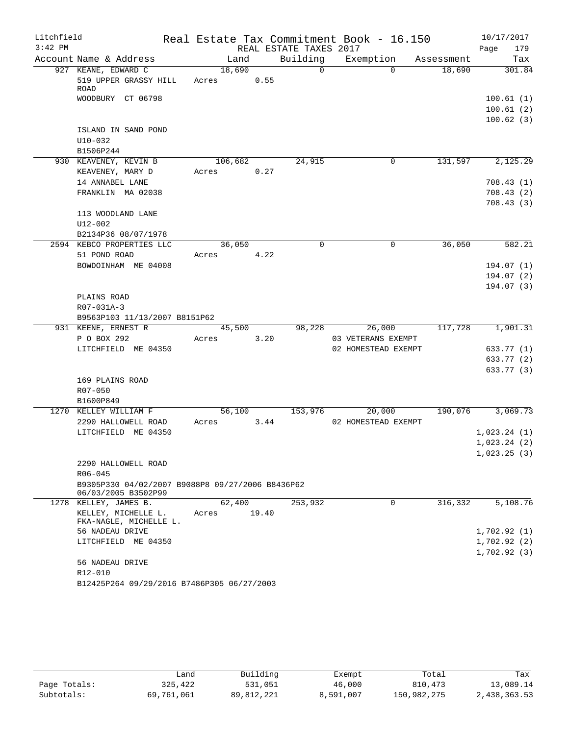| Litchfield |                                                                         |            |       |                        | Real Estate Tax Commitment Book - 16.150 |            | 10/17/2017   |  |
|------------|-------------------------------------------------------------------------|------------|-------|------------------------|------------------------------------------|------------|--------------|--|
| $3:42$ PM  |                                                                         |            |       | REAL ESTATE TAXES 2017 |                                          |            | 179<br>Page  |  |
|            | Account Name & Address                                                  | Land       |       | Building               | Exemption                                | Assessment | Tax          |  |
|            | 927 KEANE, EDWARD C                                                     | 18,690     |       | $\overline{0}$         | $\Omega$                                 | 18,690     | 301.84       |  |
|            | 519 UPPER GRASSY HILL                                                   | Acres 0.55 |       |                        |                                          |            |              |  |
|            | ROAD<br>WOODBURY CT 06798                                               |            |       |                        |                                          |            | 100.61(1)    |  |
|            |                                                                         |            |       |                        |                                          |            | 100.61(2)    |  |
|            |                                                                         |            |       |                        |                                          |            | 100.62(3)    |  |
|            | ISLAND IN SAND POND                                                     |            |       |                        |                                          |            |              |  |
|            | $U10-032$                                                               |            |       |                        |                                          |            |              |  |
|            | B1506P244                                                               |            |       |                        |                                          |            |              |  |
|            | 930 KEAVENEY, KEVIN B                                                   | 106,682    |       | 24,915                 | 0                                        | 131,597    | 2,125.29     |  |
|            | KEAVENEY, MARY D                                                        | Acres      | 0.27  |                        |                                          |            |              |  |
|            | 14 ANNABEL LANE                                                         |            |       |                        |                                          |            | 708.43(1)    |  |
|            | FRANKLIN MA 02038                                                       |            |       |                        |                                          |            | 708.43(2)    |  |
|            |                                                                         |            |       |                        |                                          |            | 708.43(3)    |  |
|            | 113 WOODLAND LANE                                                       |            |       |                        |                                          |            |              |  |
|            | $U12 - 002$                                                             |            |       |                        |                                          |            |              |  |
|            | B2134P36 08/07/1978                                                     |            |       |                        |                                          |            |              |  |
|            | 2594 KEBCO PROPERTIES LLC                                               | 36,050     |       | $\mathbf 0$            | 0                                        | 36,050     | 582.21       |  |
|            | 51 POND ROAD                                                            | Acres      | 4.22  |                        |                                          |            |              |  |
|            | BOWDOINHAM ME 04008                                                     |            |       |                        |                                          |            | 194.07(1)    |  |
|            |                                                                         |            |       |                        |                                          |            | 194.07(2)    |  |
|            |                                                                         |            |       |                        |                                          |            | 194.07 (3)   |  |
|            | PLAINS ROAD                                                             |            |       |                        |                                          |            |              |  |
|            | R07-031A-3                                                              |            |       |                        |                                          |            |              |  |
|            | B9563P103 11/13/2007 B8151P62                                           |            |       |                        |                                          |            |              |  |
|            | 931 KEENE, ERNEST R                                                     | 45,500     |       | 98,228                 | 26,000                                   | 117,728    | 1,901.31     |  |
|            | P O BOX 292                                                             | Acres      | 3.20  |                        | 03 VETERANS EXEMPT                       |            |              |  |
|            | LITCHFIELD ME 04350                                                     |            |       |                        | 02 HOMESTEAD EXEMPT                      |            | 633.77 (1)   |  |
|            |                                                                         |            |       |                        |                                          |            | 633.77 (2)   |  |
|            |                                                                         |            |       |                        |                                          |            | 633.77 (3)   |  |
|            | 169 PLAINS ROAD                                                         |            |       |                        |                                          |            |              |  |
|            | R07-050                                                                 |            |       |                        |                                          |            |              |  |
|            | B1600P849                                                               |            |       |                        |                                          |            |              |  |
|            | 1270 KELLEY WILLIAM F                                                   | 56,100     |       | 153,976                | 20,000                                   | 190,076    | 3,069.73     |  |
|            | 2290 HALLOWELL ROAD                                                     | Acres      | 3.44  |                        | 02 HOMESTEAD EXEMPT                      |            |              |  |
|            | LITCHFIELD ME 04350                                                     |            |       |                        |                                          |            | 1,023.24(1)  |  |
|            |                                                                         |            |       |                        |                                          |            | 1,023.24(2)  |  |
|            |                                                                         |            |       |                        |                                          |            | 1,023.25(3)  |  |
|            | 2290 HALLOWELL ROAD                                                     |            |       |                        |                                          |            |              |  |
|            | $R06 - 045$                                                             |            |       |                        |                                          |            |              |  |
|            | B9305P330 04/02/2007 B9088P8 09/27/2006 B8436P62<br>06/03/2005 B3502P99 |            |       |                        |                                          |            |              |  |
|            | 1278 KELLEY, JAMES B.                                                   | 62,400     |       | 253,932                | 0                                        | 316,332    | 5,108.76     |  |
|            | KELLEY, MICHELLE L.<br>FKA-NAGLE, MICHELLE L.                           | Acres      | 19.40 |                        |                                          |            |              |  |
|            | 56 NADEAU DRIVE                                                         |            |       |                        |                                          |            | 1,702.92(1)  |  |
|            | LITCHFIELD ME 04350                                                     |            |       |                        |                                          |            | 1,702.92(2)  |  |
|            |                                                                         |            |       |                        |                                          |            | 1,702.92 (3) |  |
|            | 56 NADEAU DRIVE                                                         |            |       |                        |                                          |            |              |  |
|            | R12-010                                                                 |            |       |                        |                                          |            |              |  |
|            | B12425P264 09/29/2016 B7486P305 06/27/2003                              |            |       |                        |                                          |            |              |  |

|              | فnand.     | Building   |           | Total       | Tax          |
|--------------|------------|------------|-----------|-------------|--------------|
|              |            |            | Exempt    |             |              |
| Page Totals: | 325,422    | 531,051    | 46,000    | 810,473     | 13,089.14    |
| Subtotals:   | 69,761,061 | 89,812,221 | 8,591,007 | 150,982,275 | 2,438,363.53 |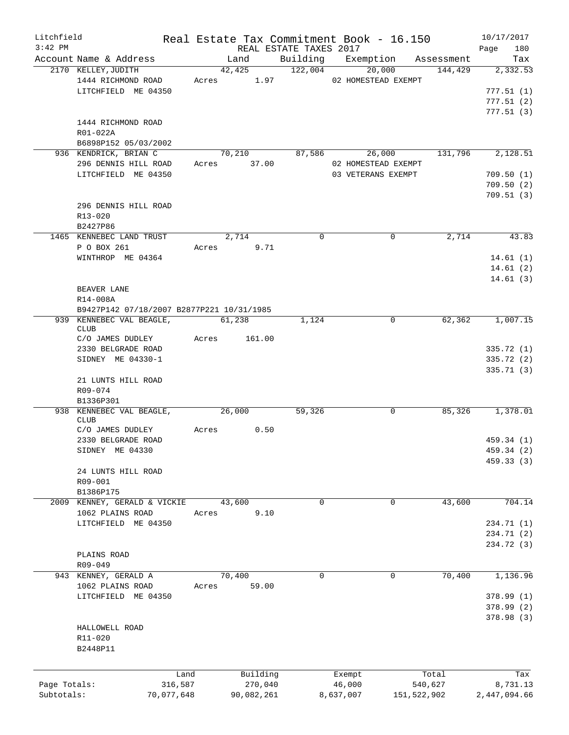| Litchfield   |                                           |       |             |                        |             | Real Estate Tax Commitment Book - 16.150 |         | 10/17/2017   |        |
|--------------|-------------------------------------------|-------|-------------|------------------------|-------------|------------------------------------------|---------|--------------|--------|
| $3:42$ PM    |                                           |       |             | REAL ESTATE TAXES 2017 |             |                                          |         | Page         | 180    |
|              | Account Name & Address                    |       | Land        |                        |             | Building Exemption Assessment            |         |              | Tax    |
|              | 2170 KELLEY, JUDITH                       |       | 42,425      | 122,004                |             | 20,000                                   | 144,429 | 2,332.53     |        |
|              | 1444 RICHMOND ROAD                        |       |             |                        |             | Acres 1.97 02 HOMESTEAD EXEMPT           |         |              |        |
|              | LITCHFIELD ME 04350                       |       |             |                        |             |                                          |         | 777.51(1)    |        |
|              |                                           |       |             |                        |             |                                          |         | 777.51(2)    |        |
|              |                                           |       |             |                        |             |                                          |         | 777.51(3)    |        |
|              | 1444 RICHMOND ROAD                        |       |             |                        |             |                                          |         |              |        |
|              | R01-022A                                  |       |             |                        |             |                                          |         |              |        |
|              | B6898P152 05/03/2002                      |       |             |                        |             |                                          |         |              |        |
|              | 936 KENDRICK, BRIAN C                     |       | 70,210      |                        | 87,586      | 26,000 131,796                           |         | 2,128.51     |        |
|              | 296 DENNIS HILL ROAD                      |       | Acres 37.00 |                        |             | 02 HOMESTEAD EXEMPT                      |         |              |        |
|              | LITCHFIELD ME 04350                       |       |             |                        |             | 03 VETERANS EXEMPT                       |         | 709.50(1)    |        |
|              |                                           |       |             |                        |             |                                          |         | 709.50(2)    |        |
|              | 296 DENNIS HILL ROAD                      |       |             |                        |             |                                          |         | 709.51(3)    |        |
|              | R13-020                                   |       |             |                        |             |                                          |         |              |        |
|              | B2427P86                                  |       |             |                        |             |                                          |         |              |        |
|              | 1465 KENNEBEC LAND TRUST                  |       | 2,714       |                        | $\Omega$    | $\Omega$                                 | 2,714   |              | 43.83  |
|              | P O BOX 261                               |       | Acres       | 9.71                   |             |                                          |         |              |        |
|              | WINTHROP ME 04364                         |       |             |                        |             |                                          |         | 14.61(1)     |        |
|              |                                           |       |             |                        |             |                                          |         | 14.61(2)     |        |
|              |                                           |       |             |                        |             |                                          |         | 14.61(3)     |        |
|              | BEAVER LANE                               |       |             |                        |             |                                          |         |              |        |
|              | R14-008A                                  |       |             |                        |             |                                          |         |              |        |
|              | B9427P142 07/18/2007 B2877P221 10/31/1985 |       |             |                        |             |                                          |         |              |        |
|              | 939 KENNEBEC VAL BEAGLE,                  |       | 61,238      | 1,124                  |             | 0                                        | 62,362  | 1,007.15     |        |
|              | <b>CLUB</b>                               |       |             |                        |             |                                          |         |              |        |
|              | C/O JAMES DUDLEY                          | Acres | 161.00      |                        |             |                                          |         |              |        |
|              | 2330 BELGRADE ROAD                        |       |             |                        |             |                                          |         | 335.72 (1)   |        |
|              | SIDNEY ME 04330-1                         |       |             |                        |             |                                          |         | 335.72 (2)   |        |
|              |                                           |       |             |                        |             |                                          |         | 335.71(3)    |        |
|              | 21 LUNTS HILL ROAD                        |       |             |                        |             |                                          |         |              |        |
|              | R09-074                                   |       |             |                        |             |                                          |         |              |        |
|              | B1336P301                                 |       |             |                        |             |                                          |         |              |        |
|              | 938 KENNEBEC VAL BEAGLE,                  |       | 26,000      | 59,326                 |             | 0                                        | 85,326  | 1,378.01     |        |
|              | <b>CLUB</b>                               |       |             |                        |             |                                          |         |              |        |
|              | C/O JAMES DUDLEY                          |       | Acres 0.50  |                        |             |                                          |         |              |        |
|              | 2330 BELGRADE ROAD                        |       |             |                        |             |                                          |         | 459.34 (1)   |        |
|              | SIDNEY ME 04330                           |       |             |                        |             |                                          |         | 459.34 (2)   |        |
|              |                                           |       |             |                        |             |                                          |         | 459.33 (3)   |        |
|              | 24 LUNTS HILL ROAD<br>R09-001             |       |             |                        |             |                                          |         |              |        |
|              | B1386P175                                 |       |             |                        |             |                                          |         |              |        |
| 2009         | KENNEY, GERALD & VICKIE                   |       | 43,600      |                        | $\mathbf 0$ | $\mathbf 0$                              | 43,600  |              | 704.14 |
|              | 1062 PLAINS ROAD                          | Acres |             | 9.10                   |             |                                          |         |              |        |
|              | LITCHFIELD ME 04350                       |       |             |                        |             |                                          |         | 234.71 (1)   |        |
|              |                                           |       |             |                        |             |                                          |         | 234.71 (2)   |        |
|              |                                           |       |             |                        |             |                                          |         | 234.72 (3)   |        |
|              | PLAINS ROAD                               |       |             |                        |             |                                          |         |              |        |
|              | R09-049                                   |       |             |                        |             |                                          |         |              |        |
|              | 943 KENNEY, GERALD A                      |       | 70,400      |                        | $\mathbf 0$ | $\mathbf 0$                              | 70,400  | 1,136.96     |        |
|              | 1062 PLAINS ROAD                          | Acres |             | 59.00                  |             |                                          |         |              |        |
|              | LITCHFIELD ME 04350                       |       |             |                        |             |                                          |         | 378.99(1)    |        |
|              |                                           |       |             |                        |             |                                          |         | 378.99(2)    |        |
|              |                                           |       |             |                        |             |                                          |         | 378.98(3)    |        |
|              | HALLOWELL ROAD                            |       |             |                        |             |                                          |         |              |        |
|              | R11-020                                   |       |             |                        |             |                                          |         |              |        |
|              | B2448P11                                  |       |             |                        |             |                                          |         |              |        |
|              |                                           |       |             |                        |             |                                          |         |              |        |
|              |                                           |       |             |                        |             |                                          |         |              |        |
|              |                                           | Land  | Building    |                        | Exempt      |                                          | Total   |              | Tax    |
| Page Totals: | 316,587                                   |       | 270,040     |                        | 46,000      |                                          | 540,627 | 8,731.13     |        |
| Subtotals:   | 70,077,648                                |       | 90,082,261  |                        | 8,637,007   | 151,522,902                              |         | 2,447,094.66 |        |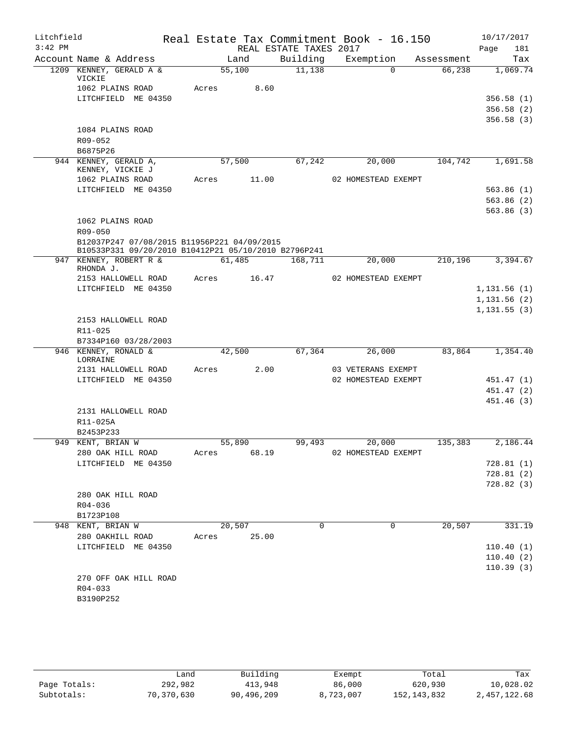| Litchfield<br>$3:42$ PM |                                                      |       |         | REAL ESTATE TAXES 2017 | Real Estate Tax Commitment Book - 16.150 |            | 10/17/2017<br>181<br>Page |
|-------------------------|------------------------------------------------------|-------|---------|------------------------|------------------------------------------|------------|---------------------------|
|                         | Account Name & Address                               |       | Land    | Building               | Exemption                                | Assessment | Tax                       |
|                         | 1209 KENNEY, GERALD A &<br>VICKIE                    |       | 55,100  | 11,138                 | $\Omega$                                 | 66,238     | 1,069.74                  |
|                         | 1062 PLAINS ROAD                                     | Acres | 8.60    |                        |                                          |            |                           |
|                         | LITCHFIELD ME 04350                                  |       |         |                        |                                          |            | 356.58(1)                 |
|                         |                                                      |       |         |                        |                                          |            | 356.58(2)                 |
|                         |                                                      |       |         |                        |                                          |            | 356.58(3)                 |
|                         | 1084 PLAINS ROAD                                     |       |         |                        |                                          |            |                           |
|                         | R09-052                                              |       |         |                        |                                          |            |                           |
|                         | B6875P26                                             |       |         |                        |                                          |            |                           |
|                         | 944 KENNEY, GERALD A,                                |       | 57,500  | 67,242                 | 20,000                                   | 104,742    | 1,691.58                  |
|                         | KENNEY, VICKIE J                                     |       |         |                        |                                          |            |                           |
|                         | 1062 PLAINS ROAD                                     | Acres | 11.00   |                        | 02 HOMESTEAD EXEMPT                      |            |                           |
|                         | LITCHFIELD ME 04350                                  |       |         |                        |                                          |            | 563.86(1)                 |
|                         |                                                      |       |         |                        |                                          |            | 563.86 (2)                |
|                         | 1062 PLAINS ROAD                                     |       |         |                        |                                          |            | 563.86(3)                 |
|                         | R09-050                                              |       |         |                        |                                          |            |                           |
|                         | B12037P247 07/08/2015 B11956P221 04/09/2015          |       |         |                        |                                          |            |                           |
|                         | B10533P331 09/20/2010 B10412P21 05/10/2010 B2796P241 |       |         |                        |                                          |            |                           |
|                         | 947 KENNEY, ROBERT R &                               |       | 61,485  | 168,711                | 20,000                                   | 210,196    | 3,394.67                  |
|                         | RHONDA J.                                            |       |         |                        |                                          |            |                           |
|                         | 2153 HALLOWELL ROAD                                  | Acres | 16.47   |                        | 02 HOMESTEAD EXEMPT                      |            |                           |
|                         | LITCHFIELD ME 04350                                  |       |         |                        |                                          |            | 1,131.56(1)               |
|                         |                                                      |       |         |                        |                                          |            | 1,131.56(2)               |
|                         |                                                      |       |         |                        |                                          |            | 1, 131.55(3)              |
|                         | 2153 HALLOWELL ROAD                                  |       |         |                        |                                          |            |                           |
|                         | R11-025                                              |       |         |                        |                                          |            |                           |
|                         | B7334P160 03/28/2003<br>946 KENNEY, RONALD &         |       | 42,500  | 67,364                 | 26,000                                   | 83,864     | 1,354.40                  |
|                         | LORRAINE                                             |       |         |                        |                                          |            |                           |
|                         | 2131 HALLOWELL ROAD                                  | Acres | 2.00    |                        | 03 VETERANS EXEMPT                       |            |                           |
|                         | LITCHFIELD ME 04350                                  |       |         |                        | 02 HOMESTEAD EXEMPT                      |            | 451.47 (1)                |
|                         |                                                      |       |         |                        |                                          |            | 451.47 (2)                |
|                         |                                                      |       |         |                        |                                          |            | 451.46(3)                 |
|                         | 2131 HALLOWELL ROAD                                  |       |         |                        |                                          |            |                           |
|                         | R11-025A                                             |       |         |                        |                                          |            |                           |
|                         | B2453P233                                            |       |         |                        |                                          |            |                           |
|                         | 949 KENT, BRIAN W                                    |       | 55,890  | 99,493                 | 20,000                                   | 135,383    | 2,186.44                  |
|                         | 280 OAK HILL ROAD                                    | Acres | 68.19   |                        | 02 HOMESTEAD EXEMPT                      |            |                           |
|                         | LITCHFIELD ME 04350                                  |       |         |                        |                                          |            | 728.81 (1)                |
|                         |                                                      |       |         |                        |                                          |            | 728.81(2)                 |
|                         |                                                      |       |         |                        |                                          |            | 728.82(3)                 |
|                         | 280 OAK HILL ROAD<br>R04-036                         |       |         |                        |                                          |            |                           |
|                         | B1723P108                                            |       |         |                        |                                          |            |                           |
|                         | 948 KENT, BRIAN W                                    |       | 20, 507 | $\mathbf 0$            | 0                                        | 20,507     | 331.19                    |
|                         | 280 OAKHILL ROAD                                     | Acres | 25.00   |                        |                                          |            |                           |
|                         | LITCHFIELD ME 04350                                  |       |         |                        |                                          |            | 110.40(1)                 |
|                         |                                                      |       |         |                        |                                          |            | 110.40(2)                 |
|                         |                                                      |       |         |                        |                                          |            | 110.39(3)                 |
|                         | 270 OFF OAK HILL ROAD                                |       |         |                        |                                          |            |                           |
|                         | R04-033                                              |       |         |                        |                                          |            |                           |
|                         | B3190P252                                            |       |         |                        |                                          |            |                           |
|                         |                                                      |       |         |                        |                                          |            |                           |
|                         |                                                      |       |         |                        |                                          |            |                           |

|              | Land       | Building   | Exempt    | Total         | Tax          |
|--------------|------------|------------|-----------|---------------|--------------|
| Page Totals: | 292,982    | 413,948    | 86,000    | 620,930       | 10,028.02    |
| Subtotals:   | 70,370,630 | 90,496,209 | 8,723,007 | 152, 143, 832 | 2,457,122.68 |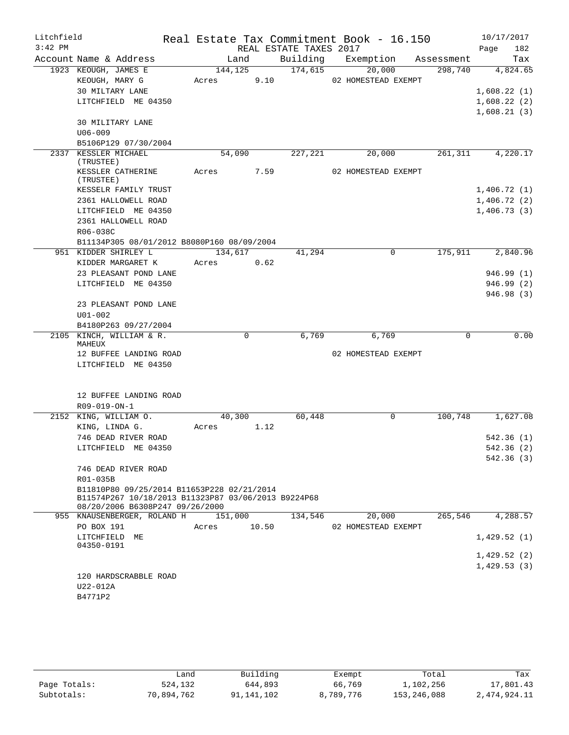| Litchfield<br>$3:42$ PM |                                                     |         |       | REAL ESTATE TAXES 2017 | Real Estate Tax Commitment Book - 16.150 |          | 10/17/2017<br>Page<br>182 |
|-------------------------|-----------------------------------------------------|---------|-------|------------------------|------------------------------------------|----------|---------------------------|
|                         | Account Name & Address                              | Land    |       |                        | Building Exemption Assessment            |          | Tax                       |
|                         | 1923 KEOUGH, JAMES E                                | 144,125 |       | 174,615                | 20,000                                   | 298,740  | 4,824.65                  |
|                         | KEOUGH, MARY G                                      | Acres   | 9.10  |                        | 02 HOMESTEAD EXEMPT                      |          |                           |
|                         | 30 MILTARY LANE                                     |         |       |                        |                                          |          | 1,608.22(1)               |
|                         | LITCHFIELD ME 04350                                 |         |       |                        |                                          |          | 1,608.22(2)               |
|                         |                                                     |         |       |                        |                                          |          | 1,608.21(3)               |
|                         | 30 MILITARY LANE                                    |         |       |                        |                                          |          |                           |
|                         | $U06 - 009$                                         |         |       |                        |                                          |          |                           |
|                         | B5106P129 07/30/2004                                |         |       |                        |                                          |          |                           |
|                         | 2337 KESSLER MICHAEL                                | 54,090  |       | 227,221                | 20,000                                   | 261, 311 | 4,220.17                  |
|                         | (TRUSTEE)                                           |         |       |                        |                                          |          |                           |
|                         | KESSLER CATHERINE                                   | Acres   | 7.59  |                        | 02 HOMESTEAD EXEMPT                      |          |                           |
|                         | (TRUSTEE)<br>KESSELR FAMILY TRUST                   |         |       |                        |                                          |          | 1,406.72(1)               |
|                         |                                                     |         |       |                        |                                          |          |                           |
|                         | 2361 HALLOWELL ROAD                                 |         |       |                        |                                          |          | 1,406.72(2)               |
|                         | LITCHFIELD ME 04350                                 |         |       |                        |                                          |          | 1,406.73(3)               |
|                         | 2361 HALLOWELL ROAD                                 |         |       |                        |                                          |          |                           |
|                         | R06-038C                                            |         |       |                        |                                          |          |                           |
|                         | B11134P305 08/01/2012 B8080P160 08/09/2004          |         |       |                        |                                          |          |                           |
|                         | 951 KIDDER SHIRLEY L                                | 134,617 |       | 41,294                 | 0                                        | 175,911  | 2,840.96                  |
|                         | KIDDER MARGARET K                                   | Acres   | 0.62  |                        |                                          |          |                           |
|                         | 23 PLEASANT POND LANE                               |         |       |                        |                                          |          | 946.99(1)                 |
|                         | LITCHFIELD ME 04350                                 |         |       |                        |                                          |          | 946.99(2)                 |
|                         |                                                     |         |       |                        |                                          |          | 946.98(3)                 |
|                         | 23 PLEASANT POND LANE                               |         |       |                        |                                          |          |                           |
|                         | $U01 - 002$                                         |         |       |                        |                                          |          |                           |
|                         | B4180P263 09/27/2004                                |         |       |                        |                                          |          |                           |
|                         | 2105 KINCH, WILLIAM & R.                            |         | 0     | 6,769                  | 6,769                                    | 0        | 0.00                      |
|                         | MAHEUX                                              |         |       |                        |                                          |          |                           |
|                         | 12 BUFFEE LANDING ROAD                              |         |       |                        | 02 HOMESTEAD EXEMPT                      |          |                           |
|                         | LITCHFIELD ME 04350                                 |         |       |                        |                                          |          |                           |
|                         |                                                     |         |       |                        |                                          |          |                           |
|                         |                                                     |         |       |                        |                                          |          |                           |
|                         | 12 BUFFEE LANDING ROAD                              |         |       |                        |                                          |          |                           |
|                         | R09-019-ON-1                                        |         |       |                        |                                          |          |                           |
|                         | 2152 KING, WILLIAM O.                               | 40,300  |       | 60,448                 | 0                                        | 100,748  | 1,627.08                  |
|                         | KING, LINDA G.                                      | Acres   | 1.12  |                        |                                          |          |                           |
|                         | 746 DEAD RIVER ROAD                                 |         |       |                        |                                          |          | 542.36(1)                 |
|                         | LITCHFIELD ME 04350                                 |         |       |                        |                                          |          | 542.36 (2)                |
|                         |                                                     |         |       |                        |                                          |          | 542.36(3)                 |
|                         | 746 DEAD RIVER ROAD                                 |         |       |                        |                                          |          |                           |
|                         | R01-035B                                            |         |       |                        |                                          |          |                           |
|                         | B11810P80 09/25/2014 B11653P228 02/21/2014          |         |       |                        |                                          |          |                           |
|                         | B11574P267 10/18/2013 B11323P87 03/06/2013 B9224P68 |         |       |                        |                                          |          |                           |
|                         | 08/20/2006 B6308P247 09/26/2000                     |         |       |                        |                                          |          |                           |
|                         | 955 KNAUSENBERGER, ROLAND H 151,000                 |         |       | 134,546                | 20,000                                   | 265,546  | $\overline{4,}$ 288.57    |
|                         | PO BOX 191                                          | Acres   | 10.50 |                        | 02 HOMESTEAD EXEMPT                      |          |                           |
|                         | LITCHFIELD ME                                       |         |       |                        |                                          |          | 1,429.52(1)               |
|                         | 04350-0191                                          |         |       |                        |                                          |          |                           |
|                         |                                                     |         |       |                        |                                          |          | 1,429.52(2)               |
|                         |                                                     |         |       |                        |                                          |          | 1,429.53(3)               |
|                         | 120 HARDSCRABBLE ROAD                               |         |       |                        |                                          |          |                           |
|                         | U22-012A                                            |         |       |                        |                                          |          |                           |
|                         | B4771P2                                             |         |       |                        |                                          |          |                           |
|                         |                                                     |         |       |                        |                                          |          |                           |
|                         |                                                     |         |       |                        |                                          |          |                           |

|              | ∟and       | Building   | Exempt    | Total       | Tax          |
|--------------|------------|------------|-----------|-------------|--------------|
| Page Totals: | 524,132    | 644,893    | 66,769    | 1,102,256   | 17,801.43    |
| Subtotals:   | 70,894,762 | 91,141,102 | 8,789,776 | 153,246,088 | 2,474,924.11 |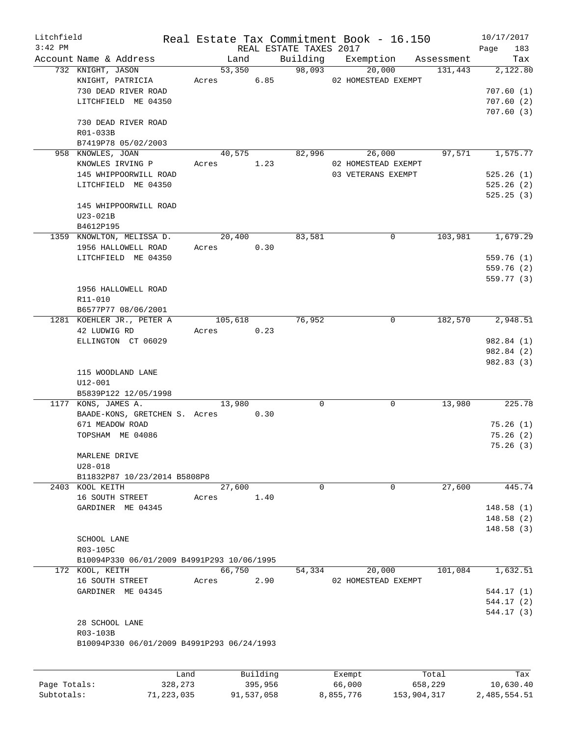| Litchfield   |                                            |         |          |                        | Real Estate Tax Commitment Book - 16.150 |            | 10/17/2017  |
|--------------|--------------------------------------------|---------|----------|------------------------|------------------------------------------|------------|-------------|
| $3:42$ PM    |                                            |         |          | REAL ESTATE TAXES 2017 |                                          |            | 183<br>Page |
|              | Account Name & Address                     | Land    |          | Building               | Exemption                                | Assessment | Tax         |
|              | 732 KNIGHT, JASON                          | 53,350  |          | 98,093                 | 20,000                                   | 131,443    | 2,122.80    |
|              | KNIGHT, PATRICIA                           | Acres   | 6.85     |                        | 02 HOMESTEAD EXEMPT                      |            |             |
|              | 730 DEAD RIVER ROAD                        |         |          |                        |                                          |            | 707.60(1)   |
|              | LITCHFIELD ME 04350                        |         |          |                        |                                          |            | 707.60(2)   |
|              |                                            |         |          |                        |                                          |            | 707.60(3)   |
|              | 730 DEAD RIVER ROAD                        |         |          |                        |                                          |            |             |
|              | R01-033B                                   |         |          |                        |                                          |            |             |
|              | B7419P78 05/02/2003                        |         |          |                        |                                          |            |             |
|              | 958 KNOWLES, JOAN                          | 40,575  |          | 82,996                 | 26,000                                   | 97,571     | 1,575.77    |
|              | KNOWLES IRVING P                           | Acres   | 1.23     |                        | 02 HOMESTEAD EXEMPT                      |            |             |
|              | 145 WHIPPOORWILL ROAD                      |         |          |                        | 03 VETERANS EXEMPT                       |            | 525.26(1)   |
|              | LITCHFIELD ME 04350                        |         |          |                        |                                          |            | 525.26(2)   |
|              |                                            |         |          |                        |                                          |            | 525.25(3)   |
|              | 145 WHIPPOORWILL ROAD                      |         |          |                        |                                          |            |             |
|              | $U23-021B$                                 |         |          |                        |                                          |            |             |
|              | B4612P195                                  |         |          |                        |                                          |            |             |
|              | 1359 KNOWLTON, MELISSA D.                  | 20,400  |          | 83,581                 | 0                                        | 103,981    | 1,679.29    |
|              | 1956 HALLOWELL ROAD                        | Acres   | 0.30     |                        |                                          |            |             |
|              | LITCHFIELD ME 04350                        |         |          |                        |                                          |            | 559.76(1)   |
|              |                                            |         |          |                        |                                          |            | 559.76 (2)  |
|              |                                            |         |          |                        |                                          |            | 559.77 (3)  |
|              | 1956 HALLOWELL ROAD                        |         |          |                        |                                          |            |             |
|              |                                            |         |          |                        |                                          |            |             |
|              | R11-010                                    |         |          |                        |                                          |            |             |
|              | B6577P77 08/06/2001                        |         |          |                        |                                          |            |             |
|              | 1281 KOEHLER JR., PETER A                  | 105,618 |          | 76,952                 | 0                                        | 182,570    | 2,948.51    |
|              | 42 LUDWIG RD                               | Acres   | 0.23     |                        |                                          |            |             |
|              | ELLINGTON CT 06029                         |         |          |                        |                                          |            | 982.84 (1)  |
|              |                                            |         |          |                        |                                          |            | 982.84 (2)  |
|              |                                            |         |          |                        |                                          |            | 982.83 (3)  |
|              | 115 WOODLAND LANE                          |         |          |                        |                                          |            |             |
|              | $U12 - 001$                                |         |          |                        |                                          |            |             |
|              | B5839P122 12/05/1998                       |         |          |                        |                                          |            |             |
|              | 1177 KONS, JAMES A.                        | 13,980  |          | $\mathbf 0$            | 0                                        | 13,980     | 225.78      |
|              | BAADE-KONS, GRETCHEN S. Acres 0.30         |         |          |                        |                                          |            |             |
|              | 671 MEADOW ROAD                            |         |          |                        |                                          |            | 75.26(1)    |
|              | TOPSHAM ME 04086                           |         |          |                        |                                          |            | 75.26(2)    |
|              |                                            |         |          |                        |                                          |            | 75.26(3)    |
|              | MARLENE DRIVE                              |         |          |                        |                                          |            |             |
|              | $U28 - 018$                                |         |          |                        |                                          |            |             |
|              | B11832P87 10/23/2014 B5808P8               |         |          |                        |                                          |            |             |
|              | 2403 KOOL KEITH                            | 27,600  |          | $\mathsf{O}$           | 0                                        | 27,600     | 445.74      |
|              | 16 SOUTH STREET                            | Acres   | 1.40     |                        |                                          |            |             |
|              | GARDINER ME 04345                          |         |          |                        |                                          |            | 148.58(1)   |
|              |                                            |         |          |                        |                                          |            | 148.58 (2)  |
|              |                                            |         |          |                        |                                          |            | 148.58(3)   |
|              |                                            |         |          |                        |                                          |            |             |
|              | SCHOOL LANE                                |         |          |                        |                                          |            |             |
|              | R03-105C                                   |         |          |                        |                                          |            |             |
|              | B10094P330 06/01/2009 B4991P293 10/06/1995 |         |          |                        |                                          |            |             |
|              | 172 KOOL, KEITH                            | 66,750  |          | 54,334                 | 20,000                                   | 101,084    | 1,632.51    |
|              | 16 SOUTH STREET                            | Acres   | 2.90     |                        | 02 HOMESTEAD EXEMPT                      |            |             |
|              | GARDINER ME 04345                          |         |          |                        |                                          |            | 544.17(1)   |
|              |                                            |         |          |                        |                                          |            | 544.17 (2)  |
|              |                                            |         |          |                        |                                          |            | 544.17(3)   |
|              | 28 SCHOOL LANE                             |         |          |                        |                                          |            |             |
|              | R03-103B                                   |         |          |                        |                                          |            |             |
|              | B10094P330 06/01/2009 B4991P293 06/24/1993 |         |          |                        |                                          |            |             |
|              |                                            |         |          |                        |                                          |            |             |
|              |                                            |         |          |                        |                                          |            |             |
|              | Land                                       |         | Building |                        | Exempt                                   | Total      | Tax         |
| Page Totals: | 328,273                                    |         | 395,956  |                        | 66,000                                   | 658,229    | 10,630.40   |

Subtotals: 71,223,035 91,537,058 8,855,776 153,904,317 2,485,554.51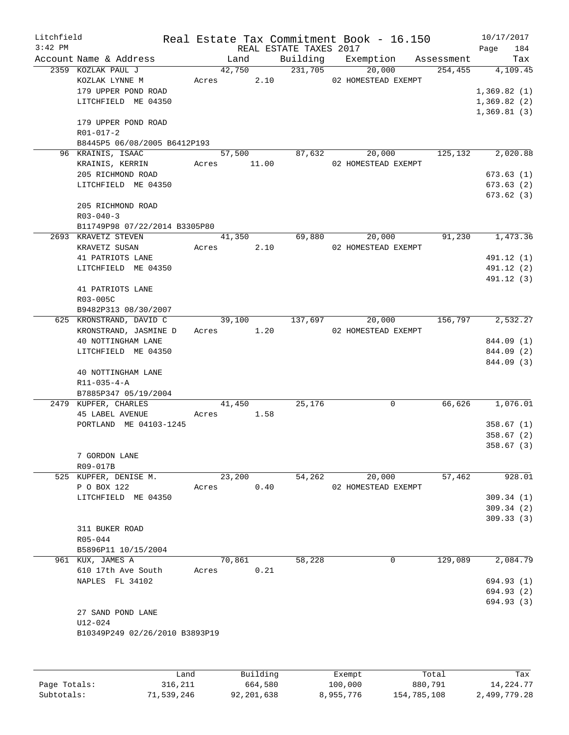| Litchfield   |                                |       |             |          |                        | Real Estate Tax Commitment Book - 16.150 |            | 10/17/2017  |                          |
|--------------|--------------------------------|-------|-------------|----------|------------------------|------------------------------------------|------------|-------------|--------------------------|
| $3:42$ PM    |                                |       |             |          | REAL ESTATE TAXES 2017 |                                          |            | Page        | 184                      |
|              | Account Name & Address         |       | Land        |          |                        | Building Exemption                       | Assessment |             | Tax                      |
|              | 2359 KOZLAK PAUL J             |       | 42,750      |          | 231,705                | 20,000                                   | 254, 455   |             | 4,109.45                 |
|              | KOZLAK LYNNE M                 |       | Acres       | 2.10     |                        | 02 HOMESTEAD EXEMPT                      |            |             |                          |
|              | 179 UPPER POND ROAD            |       |             |          |                        |                                          |            | 1,369.82(1) |                          |
|              | LITCHFIELD ME 04350            |       |             |          |                        |                                          |            | 1,369.82(2) |                          |
|              |                                |       |             |          |                        |                                          |            | 1,369.81(3) |                          |
|              | 179 UPPER POND ROAD            |       |             |          |                        |                                          |            |             |                          |
|              | R01-017-2                      |       |             |          |                        |                                          |            |             |                          |
|              | B8445P5 06/08/2005 B6412P193   |       |             |          |                        |                                          |            |             |                          |
|              | 96 KRAINIS, ISAAC              |       | 57,500      |          | 87,632                 | 20,000                                   | 125,132    |             | 2,020.88                 |
|              | KRAINIS, KERRIN                |       | Acres 11.00 |          |                        | 02 HOMESTEAD EXEMPT                      |            |             |                          |
|              | 205 RICHMOND ROAD              |       |             |          |                        |                                          |            |             | 673.63(1)                |
|              | LITCHFIELD ME 04350            |       |             |          |                        |                                          |            |             | 673.63 (2)               |
|              |                                |       |             |          |                        |                                          |            |             | 673.62(3)                |
|              | 205 RICHMOND ROAD              |       |             |          |                        |                                          |            |             |                          |
|              | $R03 - 040 - 3$                |       |             |          |                        |                                          |            |             |                          |
|              | B11749P98 07/22/2014 B3305P80  |       |             |          |                        |                                          |            |             |                          |
|              | 2693 KRAVETZ STEVEN            |       | 41,350      |          | 69,880                 | 20,000                                   | 91,230     |             | 1,473.36                 |
|              | KRAVETZ SUSAN                  | Acres | 2.10        |          |                        | 02 HOMESTEAD EXEMPT                      |            |             |                          |
|              | 41 PATRIOTS LANE               |       |             |          |                        |                                          |            |             | 491.12 (1)               |
|              |                                |       |             |          |                        |                                          |            |             |                          |
|              | LITCHFIELD ME 04350            |       |             |          |                        |                                          |            |             | 491.12 (2)<br>491.12 (3) |
|              |                                |       |             |          |                        |                                          |            |             |                          |
|              | 41 PATRIOTS LANE               |       |             |          |                        |                                          |            |             |                          |
|              | R03-005C                       |       |             |          |                        |                                          |            |             |                          |
|              | B9482P313 08/30/2007           |       |             |          |                        |                                          |            |             |                          |
|              | 625 KRONSTRAND, DAVID C        |       | 39,100      |          | 137,697                | 20,000                                   | 156,797    |             | 2,532.27                 |
|              | KRONSTRAND, JASMINE D          |       | Acres 1.20  |          |                        | 02 HOMESTEAD EXEMPT                      |            |             |                          |
|              | 40 NOTTINGHAM LANE             |       |             |          |                        |                                          |            |             | 844.09 (1)               |
|              | LITCHFIELD ME 04350            |       |             |          |                        |                                          |            |             | 844.09 (2)               |
|              |                                |       |             |          |                        |                                          |            |             | 844.09 (3)               |
|              | 40 NOTTINGHAM LANE             |       |             |          |                        |                                          |            |             |                          |
|              | $R11 - 035 - 4 - A$            |       |             |          |                        |                                          |            |             |                          |
|              | B7885P347 05/19/2004           |       |             |          |                        |                                          |            |             |                          |
|              | 2479 KUPFER, CHARLES           |       | 41,450      |          | 25,176                 | 0                                        | 66,626     |             | 1,076.01                 |
|              | <b>45 LABEL AVENUE</b>         | Acres |             | 1.58     |                        |                                          |            |             |                          |
|              | PORTLAND ME 04103-1245         |       |             |          |                        |                                          |            |             | 358.67(1)                |
|              |                                |       |             |          |                        |                                          |            |             | 358.67(2)                |
|              |                                |       |             |          |                        |                                          |            |             | 358.67(3)                |
|              | 7 GORDON LANE                  |       |             |          |                        |                                          |            |             |                          |
|              | R09-017B                       |       |             |          |                        |                                          |            |             |                          |
|              | 525 KUPFER, DENISE M.          |       | 23,200      |          | 54,262                 | 20,000                                   | 57,462     |             | 928.01                   |
|              | P O BOX 122                    | Acres |             | 0.40     |                        | 02 HOMESTEAD EXEMPT                      |            |             |                          |
|              | LITCHFIELD ME 04350            |       |             |          |                        |                                          |            |             | 309.34(1)                |
|              |                                |       |             |          |                        |                                          |            |             | 309.34(2)                |
|              |                                |       |             |          |                        |                                          |            |             | 309.33(3)                |
|              | 311 BUKER ROAD                 |       |             |          |                        |                                          |            |             |                          |
|              | R05-044                        |       |             |          |                        |                                          |            |             |                          |
|              | B5896P11 10/15/2004            |       |             |          |                        |                                          |            |             |                          |
|              | 961 KUX, JAMES A               |       | 70,861      |          | 58,228                 | 0                                        | 129,089    |             | 2,084.79                 |
|              | 610 17th Ave South             | Acres |             | 0.21     |                        |                                          |            |             |                          |
|              | NAPLES FL 34102                |       |             |          |                        |                                          |            |             | 694.93 (1)               |
|              |                                |       |             |          |                        |                                          |            |             | 694.93 (2)               |
|              |                                |       |             |          |                        |                                          |            |             | 694.93 (3)               |
|              | 27 SAND POND LANE              |       |             |          |                        |                                          |            |             |                          |
|              | $U12 - 024$                    |       |             |          |                        |                                          |            |             |                          |
|              | B10349P249 02/26/2010 B3893P19 |       |             |          |                        |                                          |            |             |                          |
|              |                                |       |             |          |                        |                                          |            |             |                          |
|              |                                |       |             |          |                        |                                          |            |             |                          |
|              |                                |       |             |          |                        |                                          |            |             |                          |
|              | Land                           |       |             | Building |                        | Exempt                                   | Total      |             | Tax                      |
| Page Totals: | 316,211                        |       |             | 664,580  |                        | 100,000                                  | 880,791    |             | 14, 224. 77              |

Subtotals: 71,539,246 92,201,638 8,955,776 154,785,108 2,499,779.28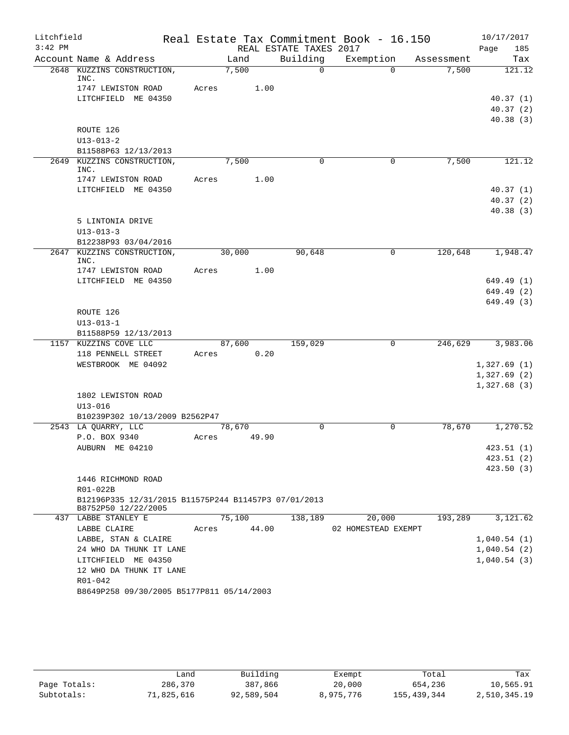| Litchfield<br>$3:42$ PM |                                                      |       |        |       | REAL ESTATE TAXES 2017 | Real Estate Tax Commitment Book - 16.150 |            | 10/17/2017<br>Page<br>185 |
|-------------------------|------------------------------------------------------|-------|--------|-------|------------------------|------------------------------------------|------------|---------------------------|
|                         | Account Name & Address                               |       | Land   |       | Building               | Exemption                                | Assessment | Tax                       |
|                         | 2648 KUZZINS CONSTRUCTION,<br>INC.                   |       | 7,500  |       | $\Omega$               | $\Omega$                                 | 7,500      | 121.12                    |
|                         | 1747 LEWISTON ROAD                                   | Acres |        | 1.00  |                        |                                          |            |                           |
|                         | LITCHFIELD ME 04350                                  |       |        |       |                        |                                          |            | 40.37(1)                  |
|                         |                                                      |       |        |       |                        |                                          |            | 40.37(2)                  |
|                         |                                                      |       |        |       |                        |                                          |            | 40.38(3)                  |
|                         | ROUTE 126                                            |       |        |       |                        |                                          |            |                           |
|                         | $U13 - 013 - 2$                                      |       |        |       |                        |                                          |            |                           |
|                         | B11588P63 12/13/2013                                 |       |        |       |                        |                                          |            |                           |
|                         | 2649 KUZZINS CONSTRUCTION,<br>INC.                   |       | 7,500  |       | $\Omega$               | 0                                        | 7,500      | 121.12                    |
|                         | 1747 LEWISTON ROAD                                   | Acres |        | 1.00  |                        |                                          |            |                           |
|                         | LITCHFIELD ME 04350                                  |       |        |       |                        |                                          |            | 40.37(1)                  |
|                         |                                                      |       |        |       |                        |                                          |            | 40.37(2)                  |
|                         | 5 LINTONIA DRIVE                                     |       |        |       |                        |                                          |            | 40.38(3)                  |
|                         | $U13 - 013 - 3$                                      |       |        |       |                        |                                          |            |                           |
|                         | B12238P93 03/04/2016                                 |       |        |       |                        |                                          |            |                           |
| 2647                    | KUZZINS CONSTRUCTION,<br>INC.                        |       | 30,000 |       | 90,648                 | $\mathbf 0$                              | 120,648    | 1,948.47                  |
|                         | 1747 LEWISTON ROAD                                   | Acres |        | 1.00  |                        |                                          |            |                           |
|                         | LITCHFIELD ME 04350                                  |       |        |       |                        |                                          |            | 649.49 (1)                |
|                         |                                                      |       |        |       |                        |                                          |            | 649.49 (2)                |
|                         | ROUTE 126                                            |       |        |       |                        |                                          |            | 649.49 (3)                |
|                         | $U13 - 013 - 1$                                      |       |        |       |                        |                                          |            |                           |
|                         | B11588P59 12/13/2013                                 |       |        |       |                        |                                          |            |                           |
|                         | 1157 KUZZINS COVE LLC                                |       | 87,600 |       | 159,029                | $\mathbf{0}$                             | 246,629    | 3,983.06                  |
|                         | 118 PENNELL STREET                                   | Acres |        | 0.20  |                        |                                          |            |                           |
|                         | WESTBROOK ME 04092                                   |       |        |       |                        |                                          |            | 1,327.69(1)               |
|                         |                                                      |       |        |       |                        |                                          |            | 1,327.69(2)               |
|                         |                                                      |       |        |       |                        |                                          |            | 1,327.68(3)               |
|                         | 1802 LEWISTON ROAD                                   |       |        |       |                        |                                          |            |                           |
|                         | $U13 - 016$                                          |       |        |       |                        |                                          |            |                           |
|                         | B10239P302 10/13/2009 B2562P47                       |       |        |       |                        |                                          |            |                           |
|                         | 2543 LA QUARRY, LLC                                  |       | 78,670 |       | $\Omega$               | $\mathbf 0$                              | 78,670     | 1,270.52                  |
|                         | P.O. BOX 9340                                        | Acres |        | 49.90 |                        |                                          |            |                           |
|                         | AUBURN ME 04210                                      |       |        |       |                        |                                          |            | 423.51 (1)                |
|                         |                                                      |       |        |       |                        |                                          |            | 423.51 (2)                |
|                         | 1446 RICHMOND ROAD                                   |       |        |       |                        |                                          |            | 423.50(3)                 |
|                         | R01-022B                                             |       |        |       |                        |                                          |            |                           |
|                         | B12196P335 12/31/2015 B11575P244 B11457P3 07/01/2013 |       |        |       |                        |                                          |            |                           |
|                         | B8752P50 12/22/2005                                  |       |        |       |                        |                                          |            |                           |
|                         | 437 LABBE STANLEY E                                  |       | 75,100 |       | 138,189                | 20,000                                   | 193,289    | 3,121.62                  |
|                         | LABBE CLAIRE                                         | Acres |        | 44.00 |                        | 02 HOMESTEAD EXEMPT                      |            |                           |
|                         | LABBE, STAN & CLAIRE                                 |       |        |       |                        |                                          |            | 1,040.54(1)               |
|                         | 24 WHO DA THUNK IT LANE                              |       |        |       |                        |                                          |            | 1,040.54(2)               |
|                         | LITCHFIELD ME 04350                                  |       |        |       |                        |                                          |            | 1,040.54(3)               |
|                         | 12 WHO DA THUNK IT LANE                              |       |        |       |                        |                                          |            |                           |
|                         | R01-042                                              |       |        |       |                        |                                          |            |                           |
|                         | B8649P258 09/30/2005 B5177P811 05/14/2003            |       |        |       |                        |                                          |            |                           |

|              | Land       | Building   | Exempt    | Total       | Tax          |
|--------------|------------|------------|-----------|-------------|--------------|
| Page Totals: | 286,370    | 387,866    | 20,000    | 654,236     | 10,565.91    |
| Subtotals:   | 71,825,616 | 92,589,504 | 8,975,776 | 155,439,344 | 2,510,345.19 |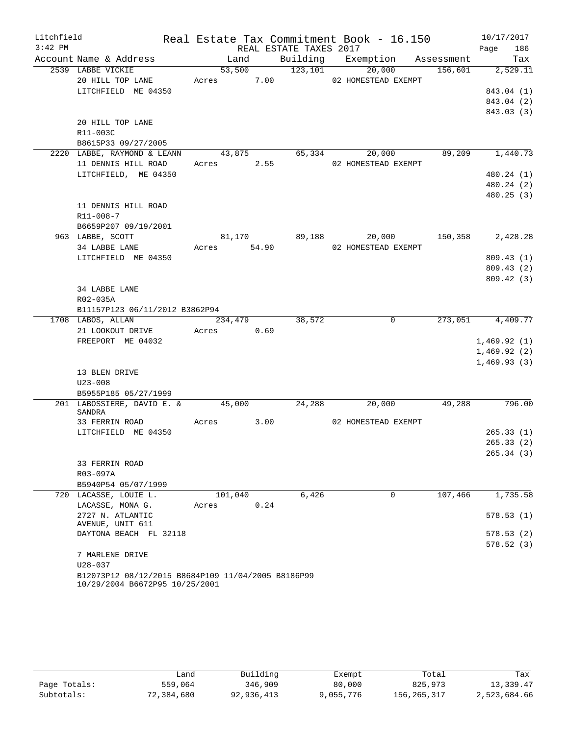|           | Litchfield Real Estate Tax Commitment Book - 16.150 10/17/2017                       |         |            |                        |                      |                                                                         |                  |
|-----------|--------------------------------------------------------------------------------------|---------|------------|------------------------|----------------------|-------------------------------------------------------------------------|------------------|
| $3:42$ PM |                                                                                      |         |            | REAL ESTATE TAXES 2017 |                      |                                                                         | 186<br>Page      |
|           | Account Name & Address                                                               |         |            |                        |                      | Land Building Exemption Assessment<br>53,500 123,101 20,000 156,601 2,5 | Tax              |
|           | 2539 LABBE VICKIE                                                                    |         |            |                        |                      |                                                                         | 156,601 2,529.11 |
|           | 20 HILL TOP LANE Acres 7.00 02 HOMESTEAD EXEMPT                                      |         |            |                        |                      |                                                                         |                  |
|           | LITCHFIELD ME 04350                                                                  |         |            |                        |                      |                                                                         | 843.04 (1)       |
|           |                                                                                      |         |            |                        |                      |                                                                         | 843.04 (2)       |
|           |                                                                                      |         |            |                        |                      |                                                                         | 843.03 (3)       |
|           | 20 HILL TOP LANE                                                                     |         |            |                        |                      |                                                                         |                  |
|           | R11-003C                                                                             |         |            |                        |                      |                                                                         |                  |
|           | B8615P33 09/27/2005                                                                  |         |            |                        |                      |                                                                         |                  |
|           | 2220 LABBE, RAYMOND & LEANN 43,875 65,334 20,000<br>11 DENNIS HILL ROAD Acres 2.55   |         |            |                        | 02 HOMESTEAD EXEMPT  |                                                                         | 89,209 1,440.73  |
|           | LITCHFIELD, ME 04350                                                                 |         |            |                        |                      |                                                                         | 480.24 (1)       |
|           |                                                                                      |         |            |                        |                      |                                                                         | 480.24 (2)       |
|           |                                                                                      |         |            |                        |                      |                                                                         | 480.25(3)        |
|           | 11 DENNIS HILL ROAD                                                                  |         |            |                        |                      |                                                                         |                  |
|           | R11-008-7                                                                            |         |            |                        |                      |                                                                         |                  |
|           | B6659P207 09/19/2001                                                                 |         |            |                        |                      |                                                                         |                  |
|           | 963 LABBE, SCOTT                                                                     |         |            |                        | 81,170 89,188 20,000 |                                                                         | 150,358 2,428.28 |
|           | 34 LABBE LANE Acres 54.90                                                            |         |            |                        | 02 HOMESTEAD EXEMPT  |                                                                         |                  |
|           | LITCHFIELD ME 04350                                                                  |         |            |                        |                      |                                                                         | 809.43(1)        |
|           |                                                                                      |         |            |                        |                      |                                                                         | 809.43(2)        |
|           |                                                                                      |         |            |                        |                      |                                                                         | 809.42(3)        |
|           | 34 LABBE LANE                                                                        |         |            |                        |                      |                                                                         |                  |
|           | R02-035A                                                                             |         |            |                        |                      |                                                                         |                  |
|           | B11157P123 06/11/2012 B3862P94                                                       |         |            |                        |                      |                                                                         |                  |
|           | 1708 LABOS, ALLAN                                                                    | 234,479 |            | 38,572                 |                      | $\overline{0}$                                                          | 273,051 4,409.77 |
|           | 21 LOOKOUT DRIVE                                                                     |         | Acres 0.69 |                        |                      |                                                                         |                  |
|           | FREEPORT ME 04032                                                                    |         |            |                        |                      |                                                                         | 1,469.92(1)      |
|           |                                                                                      |         |            |                        |                      |                                                                         | 1,469.92(2)      |
|           |                                                                                      |         |            |                        |                      |                                                                         | 1,469.93(3)      |
|           | 13 BLEN DRIVE                                                                        |         |            |                        |                      |                                                                         |                  |
|           | $U23 - 008$                                                                          |         |            |                        |                      |                                                                         |                  |
|           | B5955P185 05/27/1999                                                                 |         |            |                        |                      |                                                                         |                  |
|           | 201 LABOSSIERE, DAVID E. & 45,000 24,288<br><b>SANDRA</b>                            |         |            |                        | 20,000               |                                                                         | 49,288 796.00    |
|           | 33 FERRIN ROAD                                                                       |         |            | Acres 3.00             | 02 HOMESTEAD EXEMPT  |                                                                         |                  |
|           | LITCHFIELD ME 04350                                                                  |         |            |                        |                      |                                                                         | 265.33(1)        |
|           |                                                                                      |         |            |                        |                      |                                                                         | 265.33(2)        |
|           |                                                                                      |         |            |                        |                      |                                                                         | 265.34 (3)       |
|           | 33 FERRIN ROAD                                                                       |         |            |                        |                      |                                                                         |                  |
|           | R03-097A                                                                             |         |            |                        |                      |                                                                         |                  |
|           | B5940P54 05/07/1999                                                                  |         |            |                        |                      |                                                                         |                  |
|           | 720 LACASSE, LOUIE L.                                                                |         | 101,040    | 6,426                  |                      | 0<br>107,466                                                            | 1,735.58         |
|           | LACASSE, MONA G.                                                                     | Acres   |            | 0.24                   |                      |                                                                         |                  |
|           | 2727 N. ATLANTIC<br>AVENUE, UNIT 611                                                 |         |            |                        |                      |                                                                         | 578.53(1)        |
|           | DAYTONA BEACH FL 32118                                                               |         |            |                        |                      |                                                                         | 578.53 (2)       |
|           |                                                                                      |         |            |                        |                      |                                                                         | 578.52 (3)       |
|           | 7 MARLENE DRIVE                                                                      |         |            |                        |                      |                                                                         |                  |
|           | $U28 - 037$                                                                          |         |            |                        |                      |                                                                         |                  |
|           | B12073P12 08/12/2015 B8684P109 11/04/2005 B8186P99<br>10/29/2004 B6672P95 10/25/2001 |         |            |                        |                      |                                                                         |                  |

|              | Land       | Building   | Exempt    | Total       | Tax          |
|--------------|------------|------------|-----------|-------------|--------------|
| Page Totals: | 559,064    | 346,909    | 80,000    | 825,973     | 13,339.47    |
| Subtotals:   | 72,384,680 | 92,936,413 | 9,055,776 | 156,265,317 | 2,523,684.66 |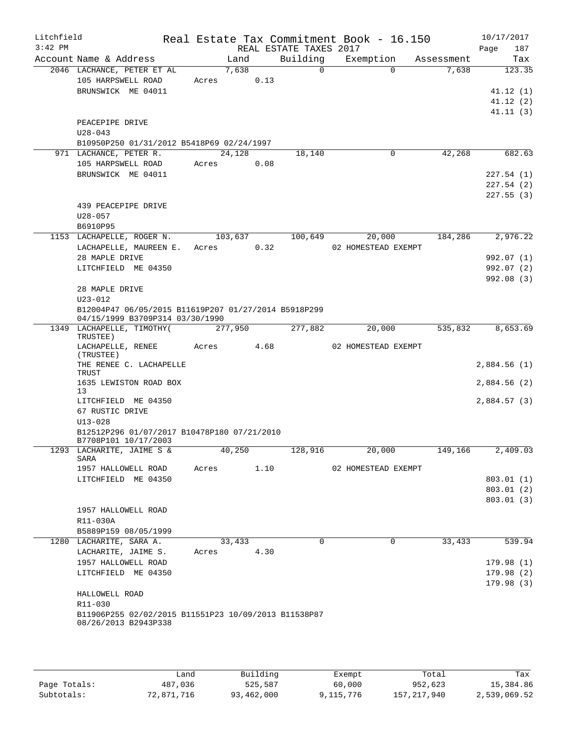| Litchfield<br>$3:42$ PM |                                                                              |         |         |      | REAL ESTATE TAXES 2017 | Real Estate Tax Commitment Book - 16.150 |            | 10/17/2017<br>Page<br>187 |
|-------------------------|------------------------------------------------------------------------------|---------|---------|------|------------------------|------------------------------------------|------------|---------------------------|
|                         | Account Name & Address                                                       |         | Land    |      | Building               | Exemption                                | Assessment | Tax                       |
|                         | 2046 LACHANCE, PETER ET AL                                                   |         | 7,638   |      | $\overline{0}$         | $\Omega$                                 | 7,638      | 123.35                    |
|                         | 105 HARPSWELL ROAD                                                           | Acres   |         | 0.13 |                        |                                          |            |                           |
|                         | BRUNSWICK ME 04011                                                           |         |         |      |                        |                                          |            | 41.12(1)                  |
|                         |                                                                              |         |         |      |                        |                                          |            | 41.12(2)                  |
|                         |                                                                              |         |         |      |                        |                                          |            | 41.11(3)                  |
|                         | PEACEPIPE DRIVE                                                              |         |         |      |                        |                                          |            |                           |
|                         | $U28 - 043$                                                                  |         |         |      |                        |                                          |            |                           |
|                         | B10950P250 01/31/2012 B5418P69 02/24/1997                                    |         |         |      |                        |                                          |            |                           |
|                         | 971 LACHANCE, PETER R.<br>105 HARPSWELL ROAD                                 | Acres   | 24,128  | 0.08 | 18,140                 | 0                                        | 42,268     | 682.63                    |
|                         | BRUNSWICK ME 04011                                                           |         |         |      |                        |                                          |            | 227.54(1)                 |
|                         |                                                                              |         |         |      |                        |                                          |            | 227.54(2)                 |
|                         |                                                                              |         |         |      |                        |                                          |            | 227.55(3)                 |
|                         | 439 PEACEPIPE DRIVE                                                          |         |         |      |                        |                                          |            |                           |
|                         | $U28 - 057$                                                                  |         |         |      |                        |                                          |            |                           |
|                         | B6910P95                                                                     |         |         |      |                        |                                          |            |                           |
|                         | 1153 LACHAPELLE, ROGER N.                                                    |         | 103,637 |      | 100,649                | 20,000                                   | 184,286    | 2,976.22                  |
|                         | LACHAPELLE, MAUREEN E.                                                       | Acres   |         | 0.32 |                        | 02 HOMESTEAD EXEMPT                      |            |                           |
|                         | 28 MAPLE DRIVE                                                               |         |         |      |                        |                                          |            | 992.07 (1)                |
|                         | LITCHFIELD ME 04350                                                          |         |         |      |                        |                                          |            | 992.07(2)                 |
|                         |                                                                              |         |         |      |                        |                                          |            | 992.08(3)                 |
|                         | 28 MAPLE DRIVE                                                               |         |         |      |                        |                                          |            |                           |
|                         | $U23 - 012$<br>B12004P47 06/05/2015 B11619P207 01/27/2014 B5918P299          |         |         |      |                        |                                          |            |                           |
|                         | 04/15/1999 B3709P314 03/30/1990                                              |         |         |      |                        |                                          |            |                           |
|                         | 1349 LACHAPELLE, TIMOTHY (<br>TRUSTEE)                                       | 277,950 |         |      | 277,882                | 20,000                                   | 535,832    | 8,653.69                  |
|                         | LACHAPELLE, RENEE<br>(TRUSTEE)                                               | Acres   |         | 4.68 |                        | 02 HOMESTEAD EXEMPT                      |            |                           |
|                         | THE RENEE C. LACHAPELLE<br>TRUST                                             |         |         |      |                        |                                          |            | 2,884.56(1)               |
|                         | 1635 LEWISTON ROAD BOX<br>13                                                 |         |         |      |                        |                                          |            | 2,884.56(2)               |
|                         | LITCHFIELD ME 04350                                                          |         |         |      |                        |                                          |            | 2,884.57(3)               |
|                         | 67 RUSTIC DRIVE                                                              |         |         |      |                        |                                          |            |                           |
|                         | $U13 - 028$                                                                  |         |         |      |                        |                                          |            |                           |
|                         | B12512P296 01/07/2017 B10478P180 07/21/2010<br>B7708P101 10/17/2003          |         |         |      |                        |                                          |            |                           |
|                         | 1293 LACHARITE, JAIME S &<br>SARA                                            |         | 40,250  |      | 128,916                | 20,000                                   | 149,166    | 2,409.03                  |
|                         | 1957 HALLOWELL ROAD                                                          | Acres   |         | 1.10 |                        | 02 HOMESTEAD EXEMPT                      |            |                           |
|                         | LITCHFIELD ME 04350                                                          |         |         |      |                        |                                          |            | 803.01(1)                 |
|                         |                                                                              |         |         |      |                        |                                          |            | 803.01(2)                 |
|                         | 1957 HALLOWELL ROAD                                                          |         |         |      |                        |                                          |            | 803.01(3)                 |
|                         | R11-030A                                                                     |         |         |      |                        |                                          |            |                           |
|                         | B5889P159 08/05/1999                                                         |         |         |      |                        |                                          |            |                           |
|                         | 1280 LACHARITE, SARA A.                                                      |         | 33,433  |      | $\mathbf 0$            | $\mathbf 0$                              | 33,433     | 539.94                    |
|                         | LACHARITE, JAIME S.                                                          | Acres   |         | 4.30 |                        |                                          |            |                           |
|                         | 1957 HALLOWELL ROAD                                                          |         |         |      |                        |                                          |            | 179.98(1)                 |
|                         | LITCHFIELD ME 04350                                                          |         |         |      |                        |                                          |            | 179.98(2)                 |
|                         |                                                                              |         |         |      |                        |                                          |            | 179.98(3)                 |
|                         | HALLOWELL ROAD                                                               |         |         |      |                        |                                          |            |                           |
|                         | R11-030                                                                      |         |         |      |                        |                                          |            |                           |
|                         | B11906P255 02/02/2015 B11551P23 10/09/2013 B11538P87<br>08/26/2013 B2943P338 |         |         |      |                        |                                          |            |                           |
|                         |                                                                              |         |         |      |                        |                                          |            |                           |
|                         |                                                                              |         |         |      |                        |                                          |            |                           |

|              | Land       | Building   | Exempt    | Total         | Tax          |
|--------------|------------|------------|-----------|---------------|--------------|
| Page Totals: | 487,036    | 525,587    | 60,000    | 952,623       | 15,384.86    |
| Subtotals:   | 72,871,716 | 93,462,000 | 9,115,776 | 157, 217, 940 | 2,539,069.52 |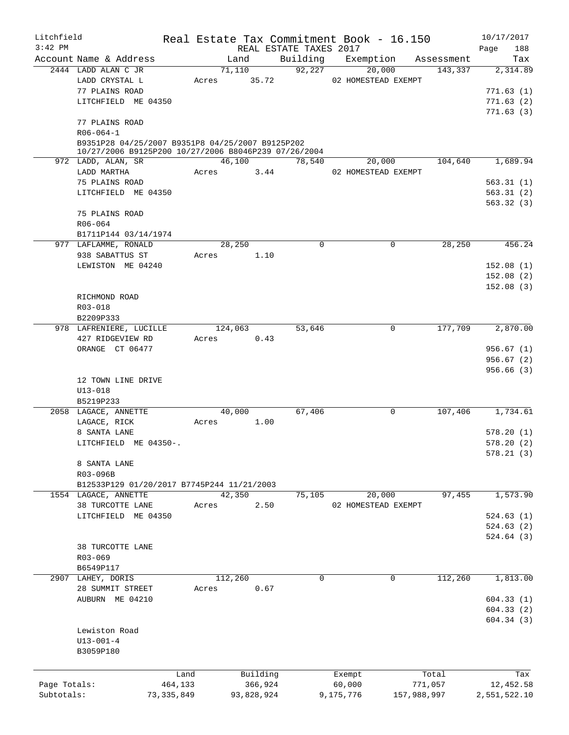| Litchfield   |                                                                                                          |              |                 |            | Real Estate Tax Commitment Book - 16.150 |           |                               |             | 10/17/2017   |
|--------------|----------------------------------------------------------------------------------------------------------|--------------|-----------------|------------|------------------------------------------|-----------|-------------------------------|-------------|--------------|
| $3:42$ PM    |                                                                                                          |              |                 |            | REAL ESTATE TAXES 2017                   |           |                               |             | Page<br>188  |
|              | Account Name & Address                                                                                   |              | Land            |            | Building Exemption                       |           |                               | Assessment  | Tax          |
|              | 2444 LADD ALAN C JR<br>LADD CRYSTAL L                                                                    | Acres        | 71,110<br>35.72 |            | 92,227                                   |           | 20,000<br>02 HOMESTEAD EXEMPT | 143,337     | 2,314.89     |
|              | 77 PLAINS ROAD                                                                                           |              |                 |            |                                          |           |                               |             | 771.63(1)    |
|              | LITCHFIELD ME 04350                                                                                      |              |                 |            |                                          |           |                               |             | 771.63(2)    |
|              |                                                                                                          |              |                 |            |                                          |           |                               |             | 771.63(3)    |
|              | 77 PLAINS ROAD                                                                                           |              |                 |            |                                          |           |                               |             |              |
|              | $R06 - 064 - 1$                                                                                          |              |                 |            |                                          |           |                               |             |              |
|              | B9351P28 04/25/2007 B9351P8 04/25/2007 B9125P202<br>10/27/2006 B9125P200 10/27/2006 B8046P239 07/26/2004 |              |                 |            |                                          |           |                               |             |              |
|              | 972 LADD, ALAN, SR                                                                                       |              | 46,100          |            | 78,540                                   |           | 20,000                        | 104,640     | 1,689.94     |
|              | LADD MARTHA                                                                                              | Acres        |                 | 3.44       |                                          |           | 02 HOMESTEAD EXEMPT           |             |              |
|              | 75 PLAINS ROAD                                                                                           |              |                 |            |                                          |           |                               |             | 563.31(1)    |
|              | LITCHFIELD ME 04350                                                                                      |              |                 |            |                                          |           |                               |             | 563.31(2)    |
|              |                                                                                                          |              |                 |            |                                          |           |                               |             | 563.32(3)    |
|              | 75 PLAINS ROAD                                                                                           |              |                 |            |                                          |           |                               |             |              |
|              | $R06 - 064$                                                                                              |              |                 |            |                                          |           |                               |             |              |
|              | B1711P144 03/14/1974                                                                                     |              |                 |            |                                          |           |                               |             |              |
|              | 977 LAFLAMME, RONALD                                                                                     |              | 28,250          |            | 0                                        |           | 0                             | 28,250      | 456.24       |
|              | 938 SABATTUS ST                                                                                          | Acres        |                 | 1.10       |                                          |           |                               |             |              |
|              | LEWISTON ME 04240                                                                                        |              |                 |            |                                          |           |                               |             | 152.08(1)    |
|              |                                                                                                          |              |                 |            |                                          |           |                               |             | 152.08(2)    |
|              |                                                                                                          |              |                 |            |                                          |           |                               |             | 152.08(3)    |
|              | RICHMOND ROAD                                                                                            |              |                 |            |                                          |           |                               |             |              |
|              | R03-018                                                                                                  |              |                 |            |                                          |           |                               |             |              |
|              | B2209P333                                                                                                |              |                 |            |                                          |           |                               |             |              |
|              | 978 LAFRENIERE, LUCILLE                                                                                  |              | 124,063         |            | 53,646                                   |           | $\mathbf 0$                   | 177,709     | 2,870.00     |
|              | 427 RIDGEVIEW RD                                                                                         | Acres        |                 | 0.43       |                                          |           |                               |             |              |
|              | ORANGE CT 06477                                                                                          |              |                 |            |                                          |           |                               |             | 956.67(1)    |
|              |                                                                                                          |              |                 |            |                                          |           |                               |             | 956.67(2)    |
|              |                                                                                                          |              |                 |            |                                          |           |                               |             | 956.66(3)    |
|              | 12 TOWN LINE DRIVE                                                                                       |              |                 |            |                                          |           |                               |             |              |
|              | $U13 - 018$<br>B5219P233                                                                                 |              |                 |            |                                          |           |                               |             |              |
|              | 2058 LAGACE, ANNETTE                                                                                     |              | 40,000          |            | 67,406                                   |           | $\mathbf 0$                   | 107,406     | 1,734.61     |
|              | LAGACE, RICK                                                                                             | Acres        |                 | 1.00       |                                          |           |                               |             |              |
|              | 8 SANTA LANE                                                                                             |              |                 |            |                                          |           |                               |             | 578.20(1)    |
|              | LITCHFIELD ME 04350-.                                                                                    |              |                 |            |                                          |           |                               |             | 578.20(2)    |
|              |                                                                                                          |              |                 |            |                                          |           |                               |             | 578.21(3)    |
|              | 8 SANTA LANE                                                                                             |              |                 |            |                                          |           |                               |             |              |
|              | R03-096B                                                                                                 |              |                 |            |                                          |           |                               |             |              |
|              | B12533P129 01/20/2017 B7745P244 11/21/2003                                                               |              |                 |            |                                          |           |                               |             |              |
|              | 1554 LAGACE, ANNETTE                                                                                     |              | 42,350          |            | 75,105                                   |           | 20,000                        | 97,455      | 1,573.90     |
|              | 38 TURCOTTE LANE                                                                                         | Acres        |                 | 2.50       |                                          |           | 02 HOMESTEAD EXEMPT           |             |              |
|              | LITCHFIELD ME 04350                                                                                      |              |                 |            |                                          |           |                               |             | 524.63(1)    |
|              |                                                                                                          |              |                 |            |                                          |           |                               |             | 524.63(2)    |
|              |                                                                                                          |              |                 |            |                                          |           |                               |             | 524.64(3)    |
|              | 38 TURCOTTE LANE                                                                                         |              |                 |            |                                          |           |                               |             |              |
|              | $R03 - 069$                                                                                              |              |                 |            |                                          |           |                               |             |              |
|              | B6549P117                                                                                                |              |                 |            |                                          |           |                               |             |              |
|              | 2907 LAHEY, DORIS                                                                                        |              | 112,260         |            | 0                                        |           | 0                             | 112,260     | 1,813.00     |
|              | 28 SUMMIT STREET                                                                                         | Acres        |                 | 0.67       |                                          |           |                               |             |              |
|              | AUBURN ME 04210                                                                                          |              |                 |            |                                          |           |                               |             | 604.33(1)    |
|              |                                                                                                          |              |                 |            |                                          |           |                               |             | 604.33(2)    |
|              |                                                                                                          |              |                 |            |                                          |           |                               |             | 604.34(3)    |
|              | Lewiston Road                                                                                            |              |                 |            |                                          |           |                               |             |              |
|              | $U13 - 001 - 4$                                                                                          |              |                 |            |                                          |           |                               |             |              |
|              | B3059P180                                                                                                |              |                 |            |                                          |           |                               |             |              |
|              |                                                                                                          |              |                 |            |                                          |           |                               |             |              |
|              |                                                                                                          | Land         |                 | Building   |                                          | Exempt    |                               | Total       | Tax          |
| Page Totals: |                                                                                                          | 464,133      |                 | 366,924    |                                          | 60,000    |                               | 771,057     | 12,452.58    |
| Subtotals:   |                                                                                                          | 73, 335, 849 |                 | 93,828,924 |                                          | 9,175,776 |                               | 157,988,997 | 2,551,522.10 |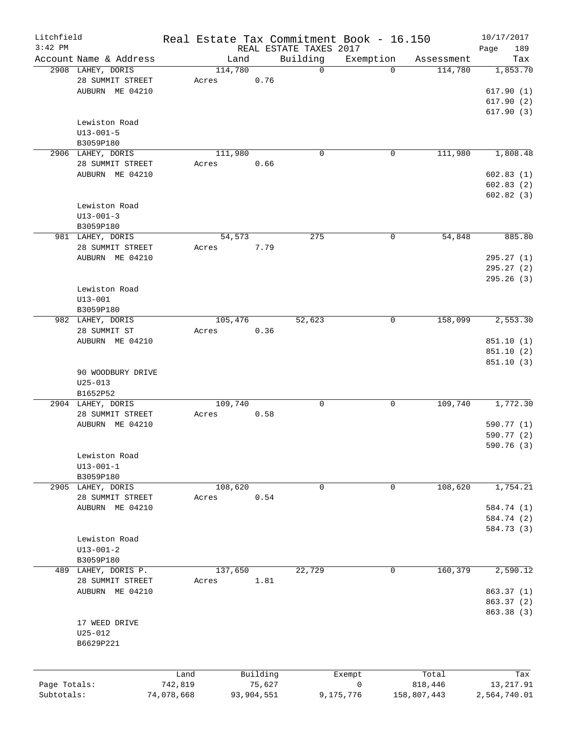| Litchfield   |                                             |            |                 |            |                         | Real Estate Tax Commitment Book - 16.150 |                       | 10/17/2017      |
|--------------|---------------------------------------------|------------|-----------------|------------|-------------------------|------------------------------------------|-----------------------|-----------------|
| $3:42$ PM    |                                             |            |                 |            | REAL ESTATE TAXES 2017  |                                          |                       | Page<br>189     |
|              | Account Name & Address<br>2908 LAHEY, DORIS |            | Land<br>114,780 |            | Building<br>$\mathbf 0$ | Exemption<br>$\Omega$                    | Assessment<br>114,780 | Tax<br>1,853.70 |
|              | 28 SUMMIT STREET                            |            | Acres           | 0.76       |                         |                                          |                       |                 |
|              | AUBURN ME 04210                             |            |                 |            |                         |                                          |                       | 617.90(1)       |
|              |                                             |            |                 |            |                         |                                          |                       | 617.90(2)       |
|              |                                             |            |                 |            |                         |                                          |                       | 617.90(3)       |
|              | Lewiston Road                               |            |                 |            |                         |                                          |                       |                 |
|              |                                             |            |                 |            |                         |                                          |                       |                 |
|              | $U13 - 001 - 5$                             |            |                 |            |                         |                                          |                       |                 |
|              | B3059P180<br>2906 LAHEY, DORIS              |            | 111,980         |            | $\mathbf 0$             | 0                                        | 111,980               | 1,808.48        |
|              |                                             |            |                 |            |                         |                                          |                       |                 |
|              | 28 SUMMIT STREET                            |            | Acres           | 0.66       |                         |                                          |                       |                 |
|              | AUBURN ME 04210                             |            |                 |            |                         |                                          |                       | 602.83(1)       |
|              |                                             |            |                 |            |                         |                                          |                       | 602.83(2)       |
|              |                                             |            |                 |            |                         |                                          |                       | 602.82(3)       |
|              | Lewiston Road                               |            |                 |            |                         |                                          |                       |                 |
|              | $U13 - 001 - 3$                             |            |                 |            |                         |                                          |                       |                 |
|              | B3059P180                                   |            |                 |            |                         |                                          |                       |                 |
|              | 981 LAHEY, DORIS                            |            | 54,573          |            | 275                     | $\mathbf 0$                              | 54,848                | 885.80          |
|              | 28 SUMMIT STREET                            |            | Acres           | 7.79       |                         |                                          |                       |                 |
|              | AUBURN ME 04210                             |            |                 |            |                         |                                          |                       | 295.27 (1)      |
|              |                                             |            |                 |            |                         |                                          |                       | 295.27(2)       |
|              |                                             |            |                 |            |                         |                                          |                       | 295.26(3)       |
|              | Lewiston Road                               |            |                 |            |                         |                                          |                       |                 |
|              | $U13 - 001$                                 |            |                 |            |                         |                                          |                       |                 |
|              | B3059P180                                   |            |                 |            |                         |                                          |                       |                 |
|              | 982 LAHEY, DORIS                            |            | 105,476         |            | 52,623                  | 0                                        | 158,099               | 2,553.30        |
|              | 28 SUMMIT ST                                |            | Acres           | 0.36       |                         |                                          |                       |                 |
|              | AUBURN ME 04210                             |            |                 |            |                         |                                          |                       | 851.10 (1)      |
|              |                                             |            |                 |            |                         |                                          |                       | 851.10 (2)      |
|              |                                             |            |                 |            |                         |                                          |                       | 851.10(3)       |
|              | 90 WOODBURY DRIVE                           |            |                 |            |                         |                                          |                       |                 |
|              | $U25 - 013$                                 |            |                 |            |                         |                                          |                       |                 |
|              | B1652P52                                    |            |                 |            |                         |                                          |                       |                 |
|              | 2904 LAHEY, DORIS                           |            | 109,740         |            | 0                       | 0                                        | 109,740               | 1,772.30        |
|              | 28 SUMMIT STREET                            |            | Acres           | 0.58       |                         |                                          |                       |                 |
|              | AUBURN ME 04210                             |            |                 |            |                         |                                          |                       | 590.77 (1)      |
|              |                                             |            |                 |            |                         |                                          |                       | 590.77 (2)      |
|              |                                             |            |                 |            |                         |                                          |                       | 590.76 (3)      |
|              | Lewiston Road                               |            |                 |            |                         |                                          |                       |                 |
|              | $U13 - 001 - 1$                             |            |                 |            |                         |                                          |                       |                 |
|              | B3059P180                                   |            |                 |            |                         |                                          |                       |                 |
|              | 2905 LAHEY, DORIS                           |            | 108,620         |            | 0                       | 0                                        | 108,620               | 1,754.21        |
|              | 28 SUMMIT STREET                            |            | Acres           | 0.54       |                         |                                          |                       |                 |
|              | AUBURN ME 04210                             |            |                 |            |                         |                                          |                       | 584.74 (1)      |
|              |                                             |            |                 |            |                         |                                          |                       | 584.74 (2)      |
|              |                                             |            |                 |            |                         |                                          |                       | 584.73 (3)      |
|              | Lewiston Road                               |            |                 |            |                         |                                          |                       |                 |
|              | $U13 - 001 - 2$                             |            |                 |            |                         |                                          |                       |                 |
|              | B3059P180                                   |            |                 |            |                         |                                          |                       |                 |
| 489          | LAHEY, DORIS P.                             |            | 137,650         |            | 22,729                  | 0                                        | 160,379               | 2,590.12        |
|              | 28 SUMMIT STREET                            |            | Acres           | 1.81       |                         |                                          |                       |                 |
|              | AUBURN ME 04210                             |            |                 |            |                         |                                          |                       | 863.37 (1)      |
|              |                                             |            |                 |            |                         |                                          |                       | 863.37 (2)      |
|              |                                             |            |                 |            |                         |                                          |                       | 863.38 (3)      |
|              | 17 WEED DRIVE                               |            |                 |            |                         |                                          |                       |                 |
|              | $U25 - 012$                                 |            |                 |            |                         |                                          |                       |                 |
|              | B6629P221                                   |            |                 |            |                         |                                          |                       |                 |
|              |                                             |            |                 |            |                         |                                          |                       |                 |
|              |                                             |            |                 |            |                         |                                          |                       |                 |
|              |                                             | Land       |                 | Building   |                         | Exempt                                   | Total                 | Tax             |
| Page Totals: |                                             | 742,819    |                 | 75,627     |                         | $\mathsf{O}$                             | 818,446               | 13, 217.91      |
| Subtotals:   |                                             | 74,078,668 |                 | 93,904,551 |                         | 9,175,776                                | 158,807,443           | 2,564,740.01    |
|              |                                             |            |                 |            |                         |                                          |                       |                 |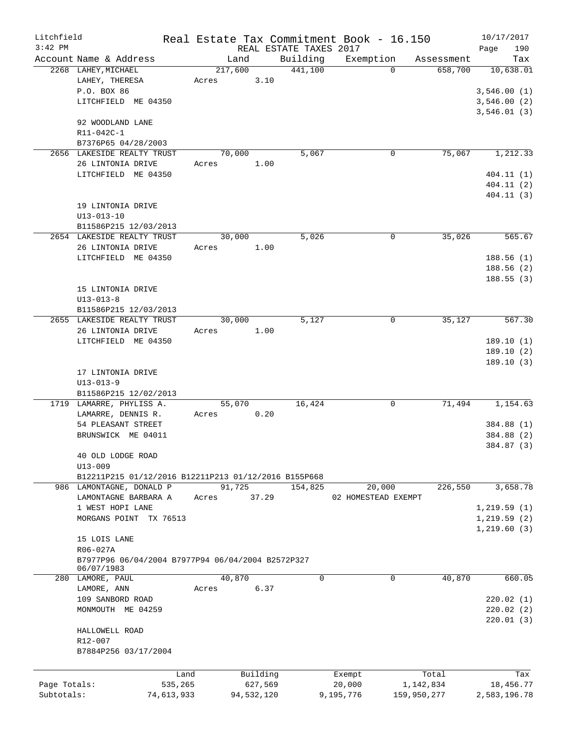| Litchfield   |                                                      |         |            |                        | Real Estate Tax Commitment Book - 16.150 |             | 10/17/2017           |
|--------------|------------------------------------------------------|---------|------------|------------------------|------------------------------------------|-------------|----------------------|
| $3:42$ PM    |                                                      |         |            | REAL ESTATE TAXES 2017 |                                          |             | 190<br>Page          |
|              | Account Name & Address                               | Land    |            | Building               | Exemption                                | Assessment  | Tax                  |
|              | 2268 LAHEY, MICHAEL                                  | 217,600 |            | 441,100                | $\Omega$                                 | 658,700     | 10,638.01            |
|              | LAHEY, THERESA                                       | Acres   | 3.10       |                        |                                          |             |                      |
|              | P.O. BOX 86                                          |         |            |                        |                                          |             | 3,546.00(1)          |
|              | LITCHFIELD ME 04350                                  |         |            |                        |                                          |             | 3,546.00(2)          |
|              |                                                      |         |            |                        |                                          |             | 3,546.01(3)          |
|              | 92 WOODLAND LANE                                     |         |            |                        |                                          |             |                      |
|              | R11-042C-1                                           |         |            |                        |                                          |             |                      |
|              | B7376P65 04/28/2003                                  |         |            |                        |                                          |             |                      |
|              | 2656 LAKESIDE REALTY TRUST                           | 70,000  |            | 5,067                  | 0                                        | 75,067      | 1,212.33             |
|              | 26 LINTONIA DRIVE                                    | Acres   | 1.00       |                        |                                          |             |                      |
|              | LITCHFIELD ME 04350                                  |         |            |                        |                                          |             | 404.11(1)            |
|              |                                                      |         |            |                        |                                          |             | 404.11(2)            |
|              |                                                      |         |            |                        |                                          |             | 404.11(3)            |
|              | 19 LINTONIA DRIVE<br>$U13 - 013 - 10$                |         |            |                        |                                          |             |                      |
|              | B11586P215 12/03/2013                                |         |            |                        |                                          |             |                      |
|              | 2654 LAKESIDE REALTY TRUST                           | 30,000  |            | 5,026                  | 0                                        | 35,026      | $\overline{565}$ .67 |
|              | 26 LINTONIA DRIVE                                    | Acres   | 1.00       |                        |                                          |             |                      |
|              | LITCHFIELD ME 04350                                  |         |            |                        |                                          |             | 188.56(1)            |
|              |                                                      |         |            |                        |                                          |             | 188.56(2)            |
|              |                                                      |         |            |                        |                                          |             | 188.55(3)            |
|              | 15 LINTONIA DRIVE                                    |         |            |                        |                                          |             |                      |
|              | $U13 - 013 - 8$                                      |         |            |                        |                                          |             |                      |
|              | B11586P215 12/03/2013                                |         |            |                        |                                          |             |                      |
|              | 2655 LAKESIDE REALTY TRUST                           | 30,000  |            | 5,127                  | 0                                        | 35,127      | 567.30               |
|              | 26 LINTONIA DRIVE                                    | Acres   | 1.00       |                        |                                          |             |                      |
|              | LITCHFIELD ME 04350                                  |         |            |                        |                                          |             | 189.10(1)            |
|              |                                                      |         |            |                        |                                          |             | 189.10(2)            |
|              |                                                      |         |            |                        |                                          |             | 189.10(3)            |
|              | 17 LINTONIA DRIVE                                    |         |            |                        |                                          |             |                      |
|              | $U13 - 013 - 9$                                      |         |            |                        |                                          |             |                      |
|              | B11586P215 12/02/2013                                |         |            |                        |                                          |             |                      |
|              | 1719 LAMARRE, PHYLISS A.                             | 55,070  |            | 16,424                 | $\mathbf 0$                              | 71,494      | 1,154.63             |
|              | LAMARRE, DENNIS R.                                   | Acres   | 0.20       |                        |                                          |             |                      |
|              | 54 PLEASANT STREET                                   |         |            |                        |                                          |             | 384.88 (1)           |
|              | BRUNSWICK ME 04011                                   |         |            |                        |                                          |             | 384.88 (2)           |
|              |                                                      |         |            |                        |                                          |             | 384.87 (3)           |
|              | 40 OLD LODGE ROAD                                    |         |            |                        |                                          |             |                      |
|              | $U13 - 009$                                          |         |            |                        |                                          |             |                      |
|              | B12211P215 01/12/2016 B12211P213 01/12/2016 B155P668 |         |            |                        |                                          |             |                      |
|              | 986 LAMONTAGNE, DONALD P                             | 91,725  |            | 154,825                | 20,000                                   | 226,550     | 3,658.78             |
|              | LAMONTAGNE BARBARA A                                 | Acres   | 37.29      |                        | 02 HOMESTEAD EXEMPT                      |             |                      |
|              | 1 WEST HOPI LANE                                     |         |            |                        |                                          |             | 1,219.59(1)          |
|              | MORGANS POINT<br>TX 76513                            |         |            |                        |                                          |             | 1,219.59(2)          |
|              |                                                      |         |            |                        |                                          |             | 1,219.60(3)          |
|              | 15 LOIS LANE                                         |         |            |                        |                                          |             |                      |
|              | R06-027A                                             |         |            |                        |                                          |             |                      |
|              | B7977P96 06/04/2004 B7977P94 06/04/2004 B2572P327    |         |            |                        |                                          |             |                      |
|              | 06/07/1983                                           |         |            |                        |                                          |             |                      |
|              | 280 LAMORE, PAUL                                     | 40,870  |            | 0                      | 0                                        | 40,870      | 660.05               |
|              | LAMORE, ANN                                          | Acres   | 6.37       |                        |                                          |             |                      |
|              | 109 SANBORD ROAD                                     |         |            |                        |                                          |             | 220.02(1)            |
|              | MONMOUTH ME 04259                                    |         |            |                        |                                          |             | 220.02(2)            |
|              |                                                      |         |            |                        |                                          |             | 220.01(3)            |
|              | HALLOWELL ROAD                                       |         |            |                        |                                          |             |                      |
|              | R12-007                                              |         |            |                        |                                          |             |                      |
|              | B7884P256 03/17/2004                                 |         |            |                        |                                          |             |                      |
|              |                                                      |         |            |                        |                                          |             |                      |
|              | Land                                                 |         | Building   |                        | Exempt                                   | Total       | Tax                  |
| Page Totals: | 535,265                                              |         | 627,569    |                        | 20,000                                   | 1,142,834   | 18,456.77            |
| Subtotals:   | 74,613,933                                           |         | 94,532,120 |                        | 9,195,776                                | 159,950,277 | 2,583,196.78         |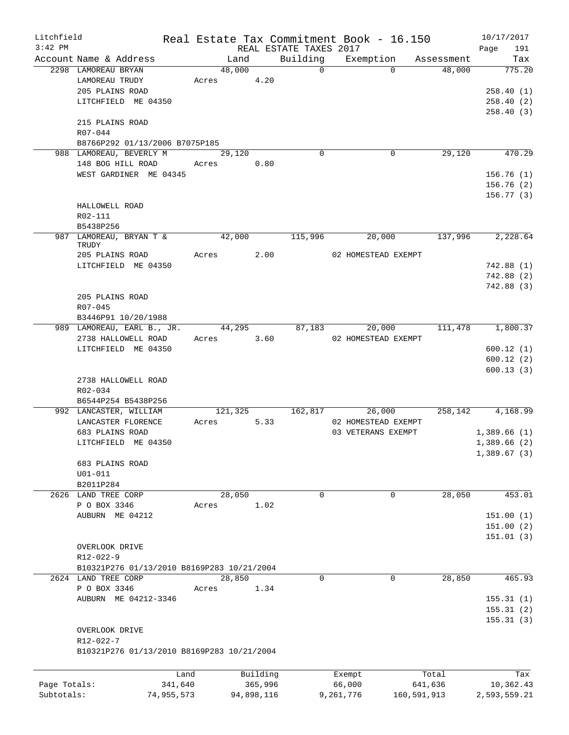| Litchfield<br>$3:42$ PM |                                            |        |            |      | REAL ESTATE TAXES 2017 | Real Estate Tax Commitment Book - 16.150 |         | 10/17/2017<br>Page<br>191 |
|-------------------------|--------------------------------------------|--------|------------|------|------------------------|------------------------------------------|---------|---------------------------|
|                         | Account Name & Address                     |        | Land       |      |                        | Building Exemption Assessment            |         | Tax                       |
|                         | 2298 LAMOREAU BRYAN                        |        | 48,000     |      | $\overline{0}$         | $\Omega$                                 | 48,000  | 775.20                    |
|                         | LAMOREAU TRUDY                             |        | Acres 4.20 |      |                        |                                          |         |                           |
|                         | 205 PLAINS ROAD                            |        |            |      |                        |                                          |         | 258.40(1)                 |
|                         | LITCHFIELD ME 04350                        |        |            |      |                        |                                          |         | 258.40(2)                 |
|                         |                                            |        |            |      |                        |                                          |         | 258.40(3)                 |
|                         | 215 PLAINS ROAD<br>$R07 - 044$             |        |            |      |                        |                                          |         |                           |
|                         | B8766P292 01/13/2006 B7075P185             |        |            |      |                        |                                          |         |                           |
|                         | 988 LAMOREAU, BEVERLY M                    | 29,120 |            |      | $\Omega$               | 0                                        | 29,120  | 470.29                    |
|                         | 148 BOG HILL ROAD                          |        | Acres 0.80 |      |                        |                                          |         |                           |
|                         | WEST GARDINER ME 04345                     |        |            |      |                        |                                          |         | 156.76(1)                 |
|                         |                                            |        |            |      |                        |                                          |         | 156.76(2)                 |
|                         |                                            |        |            |      |                        |                                          |         | 156.77(3)                 |
|                         | HALLOWELL ROAD                             |        |            |      |                        |                                          |         |                           |
|                         | R02-111                                    |        |            |      |                        |                                          |         |                           |
|                         | B5438P256                                  |        |            |      |                        |                                          |         |                           |
|                         | 987 LAMOREAU, BRYAN T & 42,000 115,996     |        |            |      |                        | 20,000                                   | 137,996 | 2, 228.64                 |
|                         | TRUDY                                      |        |            |      |                        |                                          |         |                           |
|                         | 205 PLAINS ROAD                            |        | Acres 2.00 |      |                        | 02 HOMESTEAD EXEMPT                      |         |                           |
|                         | LITCHFIELD ME 04350                        |        |            |      |                        |                                          |         | 742.88(1)                 |
|                         |                                            |        |            |      |                        |                                          |         | 742.88(2)                 |
|                         |                                            |        |            |      |                        |                                          |         | 742.88(3)                 |
|                         | 205 PLAINS ROAD                            |        |            |      |                        |                                          |         |                           |
|                         | R07-045                                    |        |            |      |                        |                                          |         |                           |
|                         | B3446P91 10/20/1988                        |        |            |      |                        |                                          |         |                           |
|                         | 989 LAMOREAU, EARL B., JR.                 |        | 44,295     |      | 87,183                 | 20,000                                   |         | 111,478 1,800.37          |
|                         | 2738 HALLOWELL ROAD                        |        | Acres 3.60 |      |                        | 02 HOMESTEAD EXEMPT                      |         |                           |
|                         | LITCHFIELD ME 04350                        |        |            |      |                        |                                          |         | 600.12(1)                 |
|                         |                                            |        |            |      |                        |                                          |         | 600.12(2)                 |
|                         |                                            |        |            |      |                        |                                          |         | 600.13(3)                 |
|                         | 2738 HALLOWELL ROAD                        |        |            |      |                        |                                          |         |                           |
|                         | R02-034                                    |        |            |      |                        |                                          |         |                           |
|                         | B6544P254 B5438P256                        |        |            |      |                        |                                          |         |                           |
|                         | 992 LANCASTER, WILLIAM                     |        | 121,325    |      |                        | 162,817 26,000                           | 258,142 | 4,168.99                  |
|                         | LANCASTER FLORENCE                         | Acres  |            | 5.33 |                        | 02 HOMESTEAD EXEMPT                      |         |                           |
|                         | 683 PLAINS ROAD                            |        |            |      |                        | 03 VETERANS EXEMPT                       |         | 1,389.66(1)               |
|                         | LITCHFIELD ME 04350                        |        |            |      |                        |                                          |         | 1,389.66(2)               |
|                         |                                            |        |            |      |                        |                                          |         | 1,389.67(3)               |
|                         | 683 PLAINS ROAD                            |        |            |      |                        |                                          |         |                           |
|                         | $U01 - 011$                                |        |            |      |                        |                                          |         |                           |
|                         | B2011P284                                  |        |            |      |                        |                                          |         |                           |
|                         | 2626 LAND TREE CORP                        |        | 28,050     |      | 0                      | 0                                        | 28,050  | 453.01                    |
|                         | P O BOX 3346                               | Acres  | 1.02       |      |                        |                                          |         |                           |
|                         | AUBURN ME 04212                            |        |            |      |                        |                                          |         | 151.00(1)                 |
|                         |                                            |        |            |      |                        |                                          |         |                           |
|                         |                                            |        |            |      |                        |                                          |         | 151.00 (2)<br>151.01(3)   |
|                         | OVERLOOK DRIVE                             |        |            |      |                        |                                          |         |                           |
|                         |                                            |        |            |      |                        |                                          |         |                           |
|                         | R12-022-9                                  |        |            |      |                        |                                          |         |                           |
|                         | B10321P276 01/13/2010 B8169P283 10/21/2004 |        |            |      |                        |                                          |         |                           |
|                         | 2624 LAND TREE CORP                        |        | 28,850     |      | $\Omega$               | $\mathbf 0$                              | 28,850  | 465.93                    |
|                         | P O BOX 3346                               | Acres  | 1.34       |      |                        |                                          |         |                           |
|                         | AUBURN ME 04212-3346                       |        |            |      |                        |                                          |         | 155.31(1)                 |
|                         |                                            |        |            |      |                        |                                          |         | 155.31(2)                 |
|                         |                                            |        |            |      |                        |                                          |         | 155.31(3)                 |
|                         | OVERLOOK DRIVE                             |        |            |      |                        |                                          |         |                           |
|                         | R12-022-7                                  |        |            |      |                        |                                          |         |                           |
|                         | B10321P276 01/13/2010 B8169P283 10/21/2004 |        |            |      |                        |                                          |         |                           |
|                         |                                            |        |            |      |                        |                                          |         |                           |
|                         |                                            | Land   | Building   |      |                        | Exempt                                   | Total   | Tax                       |
| Page Totals:            | 341,640                                    |        | 365,996    |      |                        | 66,000                                   | 641,636 | 10,362.43                 |
| Subtotals:              | 74,955,573                                 |        | 94,898,116 |      |                        | 9,261,776<br>160,591,913                 |         | 2,593,559.21              |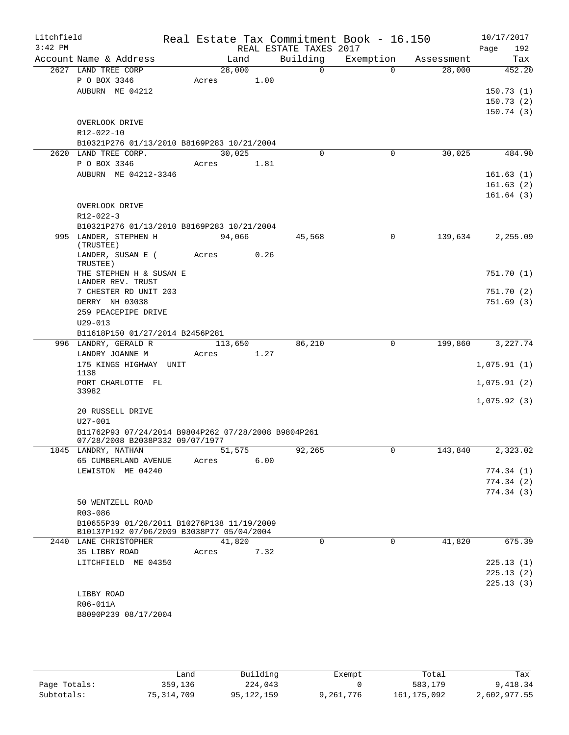| Litchfield<br>$3:42$ PM |                                                     |         |      | REAL ESTATE TAXES 2017 | Real Estate Tax Commitment Book - 16.150 |            | 10/17/2017<br>Page<br>192 |
|-------------------------|-----------------------------------------------------|---------|------|------------------------|------------------------------------------|------------|---------------------------|
|                         | Account Name & Address                              | Land    |      | Building               | Exemption                                | Assessment | Tax                       |
|                         | 2627 LAND TREE CORP                                 | 28,000  |      | $\Omega$               | $\Omega$                                 | 28,000     | 452.20                    |
|                         | P O BOX 3346                                        | Acres   | 1.00 |                        |                                          |            |                           |
|                         | AUBURN ME 04212                                     |         |      |                        |                                          |            | 150.73(1)                 |
|                         |                                                     |         |      |                        |                                          |            | 150.73(2)                 |
|                         |                                                     |         |      |                        |                                          |            | 150.74(3)                 |
|                         | OVERLOOK DRIVE                                      |         |      |                        |                                          |            |                           |
|                         | R12-022-10                                          |         |      |                        |                                          |            |                           |
|                         | B10321P276 01/13/2010 B8169P283 10/21/2004          |         |      |                        |                                          |            |                           |
|                         | 2620 LAND TREE CORP.                                | 30,025  |      | $\Omega$               | $\mathbf 0$                              | 30,025     | 484.90                    |
|                         | P O BOX 3346                                        | Acres   | 1.81 |                        |                                          |            |                           |
|                         | AUBURN ME 04212-3346                                |         |      |                        |                                          |            | 161.63(1)                 |
|                         |                                                     |         |      |                        |                                          |            | 161.63(2)                 |
|                         |                                                     |         |      |                        |                                          |            | 161.64(3)                 |
|                         | OVERLOOK DRIVE                                      |         |      |                        |                                          |            |                           |
|                         | $R12 - 022 - 3$                                     |         |      |                        |                                          |            |                           |
|                         | B10321P276 01/13/2010 B8169P283 10/21/2004          |         |      |                        |                                          |            |                           |
|                         | 995 LANDER, STEPHEN H<br>(TRUSTEE)                  | 94,066  |      | 45,568                 | $\Omega$                                 | 139,634    | 2,255.09                  |
|                         | LANDER, SUSAN E (                                   | Acres   | 0.26 |                        |                                          |            |                           |
|                         | TRUSTEE)                                            |         |      |                        |                                          |            |                           |
|                         | THE STEPHEN H & SUSAN E                             |         |      |                        |                                          |            | 751.70(1)                 |
|                         | LANDER REV. TRUST                                   |         |      |                        |                                          |            |                           |
|                         | 7 CHESTER RD UNIT 203                               |         |      |                        |                                          |            | 751.70(2)                 |
|                         | DERRY NH 03038                                      |         |      |                        |                                          |            | 751.69(3)                 |
|                         | 259 PEACEPIPE DRIVE                                 |         |      |                        |                                          |            |                           |
|                         | $U29 - 013$                                         |         |      |                        |                                          |            |                           |
|                         | B11618P150 01/27/2014 B2456P281                     |         |      |                        |                                          |            |                           |
|                         | 996 LANDRY, GERALD R                                | 113,650 |      | 86,210                 | $\mathsf{O}$                             | 199,860    | 3,227.74                  |
|                         | LANDRY JOANNE M                                     | Acres   | 1.27 |                        |                                          |            |                           |
|                         | 175 KINGS HIGHWAY UNIT<br>1138                      |         |      |                        |                                          |            | 1,075.91(1)               |
|                         | PORT CHARLOTTE FL                                   |         |      |                        |                                          |            | 1,075.91(2)               |
|                         | 33982                                               |         |      |                        |                                          |            |                           |
|                         |                                                     |         |      |                        |                                          |            | 1,075.92(3)               |
|                         | 20 RUSSELL DRIVE                                    |         |      |                        |                                          |            |                           |
|                         | $U27 - 001$                                         |         |      |                        |                                          |            |                           |
|                         | B11762P93 07/24/2014 B9804P262 07/28/2008 B9804P261 |         |      |                        |                                          |            |                           |
|                         | 07/28/2008 B2038P332 09/07/1977                     |         |      |                        |                                          |            |                           |
|                         | 1845 LANDRY, NATHAN                                 | 51,575  |      | 92,265                 | $\mathbf{0}$                             | 143,840    | 2,323.02                  |
|                         | 65 CUMBERLAND AVENUE                                | Acres   | 6.00 |                        |                                          |            |                           |
|                         | LEWISTON ME 04240                                   |         |      |                        |                                          |            | 774.34(1)                 |
|                         |                                                     |         |      |                        |                                          |            | 774.34(2)                 |
|                         |                                                     |         |      |                        |                                          |            | 774.34(3)                 |
|                         | 50 WENTZELL ROAD<br>R03-086                         |         |      |                        |                                          |            |                           |
|                         | B10655P39 01/28/2011 B10276P138 11/19/2009          |         |      |                        |                                          |            |                           |
|                         | B10137P192 07/06/2009 B3038P77 05/04/2004           |         |      |                        |                                          |            |                           |
|                         | 2440 LANE CHRISTOPHER                               | 41,820  |      | $\mathbf 0$            | $\mathbf 0$                              | 41,820     | 675.39                    |
|                         | 35 LIBBY ROAD                                       | Acres   | 7.32 |                        |                                          |            |                           |
|                         | LITCHFIELD ME 04350                                 |         |      |                        |                                          |            | 225.13(1)                 |
|                         |                                                     |         |      |                        |                                          |            | 225.13(2)                 |
|                         |                                                     |         |      |                        |                                          |            | 225.13(3)                 |
|                         | LIBBY ROAD                                          |         |      |                        |                                          |            |                           |
|                         | R06-011A                                            |         |      |                        |                                          |            |                           |
|                         | B8090P239 08/17/2004                                |         |      |                        |                                          |            |                           |
|                         |                                                     |         |      |                        |                                          |            |                           |

|              | Land       | Building     | Exempt    | Total       | Tax          |
|--------------|------------|--------------|-----------|-------------|--------------|
| Page Totals: | 359,136    | 224,043      |           | 583,179     | 9,418.34     |
| Subtotals:   | 75,314,709 | 95, 122, 159 | 9,261,776 | 161,175,092 | 2,602,977.55 |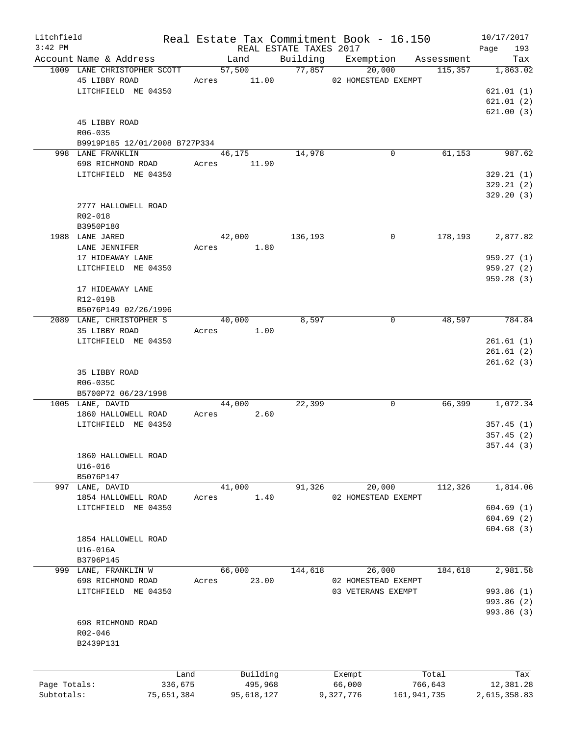| Litchfield   |                               |       |            |                        | Real Estate Tax Commitment Book - 16.150 |            | 10/17/2017   |
|--------------|-------------------------------|-------|------------|------------------------|------------------------------------------|------------|--------------|
| $3:42$ PM    |                               |       |            | REAL ESTATE TAXES 2017 |                                          |            | 193<br>Page  |
|              | Account Name & Address        |       | Land       | Building               | Exemption                                | Assessment | Tax          |
|              | 1009 LANE CHRISTOPHER SCOTT   |       | 57,500     | 77,857                 | 20,000                                   | 115,357    | 1,863.02     |
|              | 45 LIBBY ROAD                 | Acres | 11.00      |                        | 02 HOMESTEAD EXEMPT                      |            |              |
|              | LITCHFIELD ME 04350           |       |            |                        |                                          |            | 621.01(1)    |
|              |                               |       |            |                        |                                          |            | 621.01(2)    |
|              |                               |       |            |                        |                                          |            | 621.00(3)    |
|              | 45 LIBBY ROAD                 |       |            |                        |                                          |            |              |
|              | R06-035                       |       |            |                        |                                          |            |              |
|              | B9919P185 12/01/2008 B727P334 |       |            |                        |                                          |            |              |
|              | 998 LANE FRANKLIN             |       | 46,175     | 14,978                 | 0                                        | 61,153     | 987.62       |
|              | 698 RICHMOND ROAD             | Acres | 11.90      |                        |                                          |            |              |
|              | LITCHFIELD ME 04350           |       |            |                        |                                          |            | 329.21(1)    |
|              |                               |       |            |                        |                                          |            | 329.21(2)    |
|              |                               |       |            |                        |                                          |            | 329.20(3)    |
|              | 2777 HALLOWELL ROAD           |       |            |                        |                                          |            |              |
|              | R02-018                       |       |            |                        |                                          |            |              |
|              |                               |       |            |                        |                                          |            |              |
|              | B3950P180<br>1988 LANE JARED  |       | 42,000     | 136,193                | 0                                        | 178,193    | 2,877.82     |
|              |                               |       |            |                        |                                          |            |              |
|              | LANE JENNIFER                 | Acres | 1.80       |                        |                                          |            |              |
|              | 17 HIDEAWAY LANE              |       |            |                        |                                          |            | 959.27(1)    |
|              | LITCHFIELD ME 04350           |       |            |                        |                                          |            | 959.27(2)    |
|              |                               |       |            |                        |                                          |            | 959.28(3)    |
|              | 17 HIDEAWAY LANE              |       |            |                        |                                          |            |              |
|              | R12-019B                      |       |            |                        |                                          |            |              |
|              | B5076P149 02/26/1996          |       |            |                        |                                          |            |              |
|              | 2089 LANE, CHRISTOPHER S      |       | 40,000     | 8,597                  | 0                                        | 48,597     | 784.84       |
|              | 35 LIBBY ROAD                 | Acres | 1.00       |                        |                                          |            |              |
|              | LITCHFIELD ME 04350           |       |            |                        |                                          |            | 261.61(1)    |
|              |                               |       |            |                        |                                          |            | 261.61(2)    |
|              |                               |       |            |                        |                                          |            | 261.62(3)    |
|              | 35 LIBBY ROAD                 |       |            |                        |                                          |            |              |
|              | R06-035C                      |       |            |                        |                                          |            |              |
|              | B5700P72 06/23/1998           |       |            |                        |                                          |            |              |
|              | 1005 LANE, DAVID              |       | 44,000     | 22,399                 | 0                                        | 66,399     | 1,072.34     |
|              | 1860 HALLOWELL ROAD           | Acres | 2.60       |                        |                                          |            |              |
|              | LITCHFIELD ME 04350           |       |            |                        |                                          |            | 357.45(1)    |
|              |                               |       |            |                        |                                          |            | 357.45(2)    |
|              |                               |       |            |                        |                                          |            | 357.44(3)    |
|              | 1860 HALLOWELL ROAD           |       |            |                        |                                          |            |              |
|              | $U16 - 016$                   |       |            |                        |                                          |            |              |
|              | B5076P147                     |       |            |                        |                                          |            |              |
| 997          | LANE, DAVID                   |       | 41,000     | 91,326                 | 20,000                                   | 112,326    | 1,814.06     |
|              |                               |       |            |                        |                                          |            |              |
|              | 1854 HALLOWELL ROAD           | Acres | 1.40       |                        | 02 HOMESTEAD EXEMPT                      |            |              |
|              | LITCHFIELD ME 04350           |       |            |                        |                                          |            | 604.69(1)    |
|              |                               |       |            |                        |                                          |            | 604.69(2)    |
|              |                               |       |            |                        |                                          |            | 604.68(3)    |
|              | 1854 HALLOWELL ROAD           |       |            |                        |                                          |            |              |
|              | U16-016A                      |       |            |                        |                                          |            |              |
|              | B3796P145                     |       |            |                        |                                          |            |              |
| 999          | LANE, FRANKLIN W              |       | 66,000     | 144,618                | 26,000                                   | 184,618    | 2,981.58     |
|              | 698 RICHMOND ROAD             | Acres | 23.00      |                        | 02 HOMESTEAD EXEMPT                      |            |              |
|              | LITCHFIELD ME 04350           |       |            |                        | 03 VETERANS EXEMPT                       |            | 993.86 (1)   |
|              |                               |       |            |                        |                                          |            | 993.86 (2)   |
|              |                               |       |            |                        |                                          |            | 993.86 (3)   |
|              | 698 RICHMOND ROAD             |       |            |                        |                                          |            |              |
|              | R02-046                       |       |            |                        |                                          |            |              |
|              | B2439P131                     |       |            |                        |                                          |            |              |
|              |                               |       |            |                        |                                          |            |              |
|              |                               |       |            |                        |                                          |            |              |
|              |                               | Land  | Building   |                        | Exempt                                   | Total      | Tax          |
| Page Totals: | 336,675                       |       | 495,968    |                        | 66,000                                   | 766,643    | 12,381.28    |
| Subtotals:   | 75,651,384                    |       | 95,618,127 |                        | 9,327,776<br>161,941,735                 |            | 2,615,358.83 |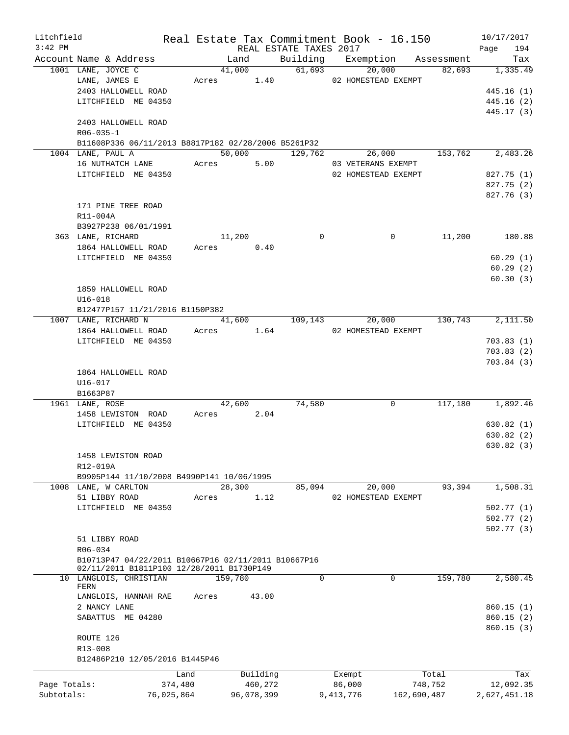| Litchfield   |                                                                     |            |                      | Real Estate Tax Commitment Book - 16.150 |                     |             |            | 10/17/2017   |
|--------------|---------------------------------------------------------------------|------------|----------------------|------------------------------------------|---------------------|-------------|------------|--------------|
| $3:42$ PM    |                                                                     |            |                      | REAL ESTATE TAXES 2017                   |                     |             |            | 194<br>Page  |
|              | Account Name & Address                                              |            | Land                 |                                          | Building Exemption  |             | Assessment | Tax          |
|              | 1001 LANE, JOYCE C                                                  |            | 41,000<br>Acres 1.40 | 61,693                                   | 20,000              |             | 82,693     | 1,335.49     |
|              | LANE, JAMES E                                                       |            |                      |                                          | 02 HOMESTEAD EXEMPT |             |            |              |
|              | 2403 HALLOWELL ROAD                                                 |            |                      |                                          |                     |             |            | 445.16(1)    |
|              | LITCHFIELD ME 04350                                                 |            |                      |                                          |                     |             |            | 445.16(2)    |
|              |                                                                     |            |                      |                                          |                     |             |            | 445.17 (3)   |
|              | 2403 HALLOWELL ROAD                                                 |            |                      |                                          |                     |             |            |              |
|              | $R06 - 035 - 1$                                                     |            |                      |                                          |                     |             |            |              |
|              | B11608P336 06/11/2013 B8817P182 02/28/2006 B5261P32                 |            |                      |                                          |                     |             |            |              |
|              | 1004 LANE, PAUL A                                                   |            | 50,000               | 129,762                                  | 26,000              |             | 153,762    | 2,483.26     |
|              | 16 NUTHATCH LANE                                                    |            | 5.00<br>Acres        |                                          | 03 VETERANS EXEMPT  |             |            |              |
|              | LITCHFIELD ME 04350                                                 |            |                      |                                          | 02 HOMESTEAD EXEMPT |             |            | 827.75 (1)   |
|              |                                                                     |            |                      |                                          |                     |             |            | 827.75 (2)   |
|              |                                                                     |            |                      |                                          |                     |             |            | 827.76 (3)   |
|              | 171 PINE TREE ROAD                                                  |            |                      |                                          |                     |             |            |              |
|              | R11-004A                                                            |            |                      |                                          |                     |             |            |              |
|              | B3927P238 06/01/1991                                                |            |                      |                                          |                     |             |            |              |
|              | 363 LANE, RICHARD                                                   |            | 11,200               | $\Omega$                                 |                     | $\Omega$    | 11,200     | 180.88       |
|              | 1864 HALLOWELL ROAD                                                 |            | 0.40<br>Acres        |                                          |                     |             |            |              |
|              | LITCHFIELD ME 04350                                                 |            |                      |                                          |                     |             |            | 60.29(1)     |
|              |                                                                     |            |                      |                                          |                     |             |            | 60.29(2)     |
|              |                                                                     |            |                      |                                          |                     |             |            | 60.30(3)     |
|              | 1859 HALLOWELL ROAD                                                 |            |                      |                                          |                     |             |            |              |
|              | $U16 - 018$                                                         |            |                      |                                          |                     |             |            |              |
|              |                                                                     |            |                      |                                          |                     |             |            |              |
|              | B12477P157 11/21/2016 B1150P382                                     |            |                      |                                          |                     |             |            |              |
|              | 1007 LANE, RICHARD N                                                |            | 41,600               | 109, 143                                 | 20,000              |             | 130,743    | 2,111.50     |
|              | 1864 HALLOWELL ROAD                                                 |            | Acres                | 1.64                                     | 02 HOMESTEAD EXEMPT |             |            |              |
|              | LITCHFIELD ME 04350                                                 |            |                      |                                          |                     |             |            | 703.83(1)    |
|              |                                                                     |            |                      |                                          |                     |             |            | 703.83(2)    |
|              |                                                                     |            |                      |                                          |                     |             |            | 703.84(3)    |
|              | 1864 HALLOWELL ROAD                                                 |            |                      |                                          |                     |             |            |              |
|              | $U16 - 017$                                                         |            |                      |                                          |                     |             |            |              |
|              | B1663P87                                                            |            |                      |                                          |                     |             |            |              |
|              | 1961 LANE, ROSE                                                     |            | 42,600               | 74,580                                   |                     | 0           | 117,180    | 1,892.46     |
|              | 1458 LEWISTON ROAD                                                  |            | 2.04<br>Acres        |                                          |                     |             |            |              |
|              | LITCHFIELD ME 04350                                                 |            |                      |                                          |                     |             |            | 630.82(1)    |
|              |                                                                     |            |                      |                                          |                     |             |            | 630.82(2)    |
|              |                                                                     |            |                      |                                          |                     |             |            | 630.82(3)    |
|              | 1458 LEWISTON ROAD                                                  |            |                      |                                          |                     |             |            |              |
|              | R12-019A                                                            |            |                      |                                          |                     |             |            |              |
|              | B9905P144 11/10/2008 B4990P141 10/06/1995                           |            |                      |                                          |                     |             |            |              |
|              | 1008 LANE, W CARLTON                                                |            | 28,300               | 85,094                                   | 20,000              |             | 93,394     | 1,508.31     |
|              | 51 LIBBY ROAD                                                       | Acres      | 1.12                 |                                          | 02 HOMESTEAD EXEMPT |             |            |              |
|              | LITCHFIELD ME 04350                                                 |            |                      |                                          |                     |             |            | 502.77(1)    |
|              |                                                                     |            |                      |                                          |                     |             |            |              |
|              |                                                                     |            |                      |                                          |                     |             |            | 502.77(2)    |
|              |                                                                     |            |                      |                                          |                     |             |            | 502.77(3)    |
|              | 51 LIBBY ROAD                                                       |            |                      |                                          |                     |             |            |              |
|              | R06-034                                                             |            |                      |                                          |                     |             |            |              |
|              | B10713P47 04/22/2011 B10667P16 02/11/2011 B10667P16                 |            |                      |                                          |                     |             |            |              |
|              | 02/11/2011 B1811P100 12/28/2011 B1730P149<br>10 LANGLOIS, CHRISTIAN |            | 159,780              | $\mathbf 0$                              |                     | $\mathbf 0$ | 159,780    | 2,580.45     |
|              | FERN                                                                |            |                      |                                          |                     |             |            |              |
|              | LANGLOIS, HANNAH RAE                                                | Acres      | 43.00                |                                          |                     |             |            |              |
|              | 2 NANCY LANE                                                        |            |                      |                                          |                     |             |            | 860.15(1)    |
|              | SABATTUS ME 04280                                                   |            |                      |                                          |                     |             |            | 860.15(2)    |
|              |                                                                     |            |                      |                                          |                     |             |            | 860.15(3)    |
|              | ROUTE 126                                                           |            |                      |                                          |                     |             |            |              |
|              |                                                                     |            |                      |                                          |                     |             |            |              |
|              | R13-008                                                             |            |                      |                                          |                     |             |            |              |
|              | B12486P210 12/05/2016 B1445P46                                      |            |                      |                                          |                     |             |            |              |
|              |                                                                     | Land       | Building             |                                          | Exempt              | Total       |            | Tax          |
| Page Totals: |                                                                     | 374,480    | 460,272              |                                          | 86,000              | 748,752     |            | 12,092.35    |
| Subtotals:   |                                                                     | 76,025,864 | 96,078,399           |                                          | 9,413,776           | 162,690,487 |            | 2,627,451.18 |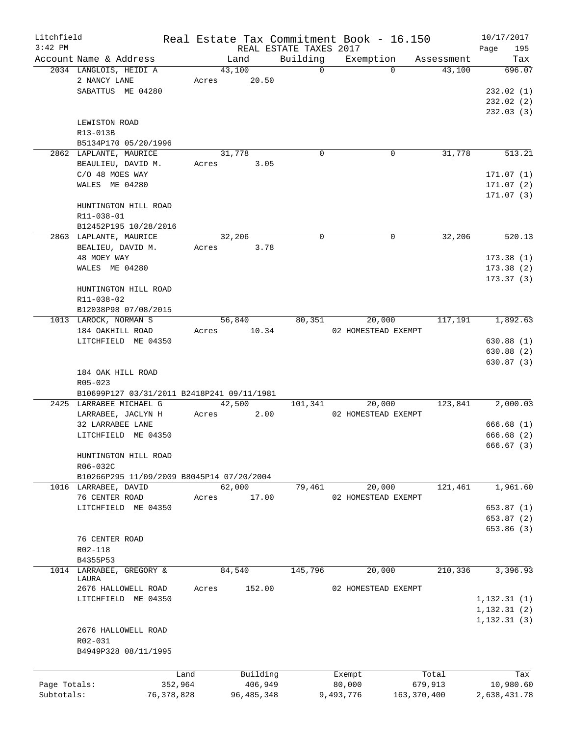| Litchfield   |                                            |              |       |              |                        | Real Estate Tax Commitment Book - 16.150 |             |            | 10/17/2017   |
|--------------|--------------------------------------------|--------------|-------|--------------|------------------------|------------------------------------------|-------------|------------|--------------|
| $3:42$ PM    |                                            |              |       |              | REAL ESTATE TAXES 2017 |                                          |             |            | 195<br>Page  |
|              | Account Name & Address                     |              |       | Land         | Building               | Exemption                                |             | Assessment | Tax          |
|              | 2034 LANGLOIS, HEIDI A                     |              |       | 43,100       | $\Omega$               | $\Omega$                                 |             | 43,100     | 696.07       |
|              | 2 NANCY LANE                               |              | Acres | 20.50        |                        |                                          |             |            |              |
|              | SABATTUS ME 04280                          |              |       |              |                        |                                          |             |            | 232.02(1)    |
|              |                                            |              |       |              |                        |                                          |             |            | 232.02(2)    |
|              |                                            |              |       |              |                        |                                          |             |            | 232.03(3)    |
|              | LEWISTON ROAD                              |              |       |              |                        |                                          |             |            |              |
|              | R13-013B                                   |              |       |              |                        |                                          |             |            |              |
|              | B5134P170 05/20/1996                       |              |       |              |                        |                                          |             |            |              |
|              | 2862 LAPLANTE, MAURICE                     |              |       | 31,778       | $\mathbf 0$            | 0                                        |             | 31,778     | 513.21       |
|              | BEAULIEU, DAVID M.                         |              | Acres | 3.05         |                        |                                          |             |            |              |
|              | C/O 48 MOES WAY                            |              |       |              |                        |                                          |             |            | 171.07(1)    |
|              | WALES ME 04280                             |              |       |              |                        |                                          |             |            | 171.07 (2)   |
|              |                                            |              |       |              |                        |                                          |             |            | 171.07(3)    |
|              | HUNTINGTON HILL ROAD                       |              |       |              |                        |                                          |             |            |              |
|              | R11-038-01                                 |              |       |              |                        |                                          |             |            |              |
|              | B12452P195 10/28/2016                      |              |       |              |                        |                                          |             |            |              |
|              | 2863 LAPLANTE, MAURICE                     |              |       | 32,206       | $\mathbf 0$            | 0                                        |             | 32,206     | 520.13       |
|              | BEALIEU, DAVID M.                          |              | Acres | 3.78         |                        |                                          |             |            |              |
|              | 48 MOEY WAY                                |              |       |              |                        |                                          |             |            | 173.38(1)    |
|              | WALES ME 04280                             |              |       |              |                        |                                          |             |            | 173.38(2)    |
|              |                                            |              |       |              |                        |                                          |             |            | 173.37(3)    |
|              | HUNTINGTON HILL ROAD                       |              |       |              |                        |                                          |             |            |              |
|              | R11-038-02                                 |              |       |              |                        |                                          |             |            |              |
|              | B12038P98 07/08/2015                       |              |       |              |                        |                                          |             |            |              |
|              | 1013 LAROCK, NORMAN S                      |              |       | 56,840       | 80,351                 | 20,000                                   |             | 117,191    | 1,892.63     |
|              | 184 OAKHILL ROAD                           |              | Acres | 10.34        |                        | 02 HOMESTEAD EXEMPT                      |             |            |              |
|              | LITCHFIELD ME 04350                        |              |       |              |                        |                                          |             |            |              |
|              |                                            |              |       |              |                        |                                          |             |            | 630.88(1)    |
|              |                                            |              |       |              |                        |                                          |             |            | 630.88(2)    |
|              |                                            |              |       |              |                        |                                          |             |            | 630.87 (3)   |
|              | 184 OAK HILL ROAD                          |              |       |              |                        |                                          |             |            |              |
|              | R05-023                                    |              |       |              |                        |                                          |             |            |              |
|              | B10699P127 03/31/2011 B2418P241 09/11/1981 |              |       |              |                        |                                          |             |            |              |
|              | 2425 LARRABEE MICHAEL G                    |              |       | 42,500       | 101,341                | 20,000                                   |             | 123,841    | 2,000.03     |
|              | LARRABEE, JACLYN H                         |              | Acres | 2.00         |                        | 02 HOMESTEAD EXEMPT                      |             |            |              |
|              | 32 LARRABEE LANE                           |              |       |              |                        |                                          |             |            | 666.68(1)    |
|              | LITCHFIELD ME 04350                        |              |       |              |                        |                                          |             |            | 666.68 (2)   |
|              |                                            |              |       |              |                        |                                          |             |            | 666.67(3)    |
|              | HUNTINGTON HILL ROAD                       |              |       |              |                        |                                          |             |            |              |
|              | R06-032C                                   |              |       |              |                        |                                          |             |            |              |
|              | B10266P295 11/09/2009 B8045P14 07/20/2004  |              |       |              |                        |                                          |             |            |              |
|              | 1016 LARRABEE, DAVID                       |              |       | 62,000       | 79,461                 | 20,000                                   |             | 121,461    | 1,961.60     |
|              | 76 CENTER ROAD                             |              | Acres | 17.00        |                        | 02 HOMESTEAD EXEMPT                      |             |            |              |
|              | LITCHFIELD ME 04350                        |              |       |              |                        |                                          |             |            | 653.87(1)    |
|              |                                            |              |       |              |                        |                                          |             |            | 653.87(2)    |
|              |                                            |              |       |              |                        |                                          |             |            | 653.86 (3)   |
|              | 76 CENTER ROAD                             |              |       |              |                        |                                          |             |            |              |
|              | R02-118                                    |              |       |              |                        |                                          |             |            |              |
|              | B4355P53                                   |              |       |              |                        |                                          |             |            |              |
|              | 1014 LARRABEE, GREGORY &                   |              |       | 84,540       | 145,796                | 20,000                                   |             | 210,336    | 3,396.93     |
|              | LAURA                                      |              |       |              |                        |                                          |             |            |              |
|              | 2676 HALLOWELL ROAD                        |              | Acres | 152.00       |                        | 02 HOMESTEAD EXEMPT                      |             |            |              |
|              | LITCHFIELD ME 04350                        |              |       |              |                        |                                          |             |            | 1, 132.31(1) |
|              |                                            |              |       |              |                        |                                          |             |            | 1, 132.31(2) |
|              |                                            |              |       |              |                        |                                          |             |            | 1, 132.31(3) |
|              | 2676 HALLOWELL ROAD                        |              |       |              |                        |                                          |             |            |              |
|              | R02-031                                    |              |       |              |                        |                                          |             |            |              |
|              | B4949P328 08/11/1995                       |              |       |              |                        |                                          |             |            |              |
|              |                                            |              |       |              |                        |                                          |             |            |              |
|              |                                            | Land         |       | Building     |                        | Exempt                                   |             | Total      | Tax          |
| Page Totals: |                                            | 352,964      |       | 406,949      |                        | 80,000                                   |             | 679,913    | 10,980.60    |
| Subtotals:   |                                            | 76, 378, 828 |       | 96, 485, 348 |                        | 9,493,776                                | 163,370,400 |            | 2,638,431.78 |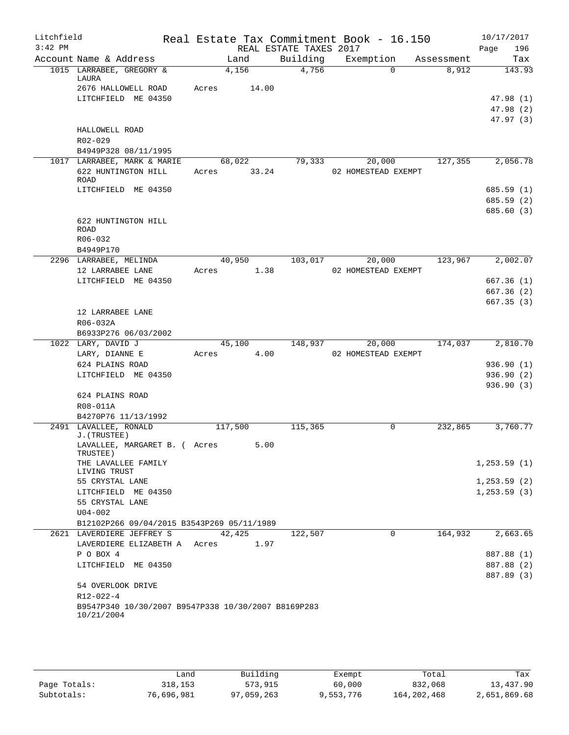| Litchfield<br>$3:42$ PM |                                                                   |       |            |                        | Real Estate Tax Commitment Book - 16.150 |            | 10/17/2017   |
|-------------------------|-------------------------------------------------------------------|-------|------------|------------------------|------------------------------------------|------------|--------------|
|                         |                                                                   |       |            | REAL ESTATE TAXES 2017 |                                          |            | Page<br>196  |
|                         | Account Name & Address                                            |       | Land       | Building               | Exemption<br>$\Omega$                    | Assessment | Tax          |
|                         | 1015 LARRABEE, GREGORY &<br>LAURA                                 |       | 4,156      | 4,756                  |                                          | 8,912      | 143.93       |
|                         | 2676 HALLOWELL ROAD                                               | Acres | 14.00      |                        |                                          |            |              |
|                         | LITCHFIELD ME 04350                                               |       |            |                        |                                          |            | 47.98 (1)    |
|                         |                                                                   |       |            |                        |                                          |            | 47.98(2)     |
|                         | HALLOWELL ROAD                                                    |       |            |                        |                                          |            | 47.97(3)     |
|                         | R02-029                                                           |       |            |                        |                                          |            |              |
|                         | B4949P328 08/11/1995                                              |       |            |                        |                                          |            |              |
|                         | 1017 LARRABEE, MARK & MARIE                                       |       | 68,022     | 79,333                 | 20,000                                   | 127,355    | 2,056.78     |
|                         | 622 HUNTINGTON HILL<br><b>ROAD</b>                                | Acres | 33.24      |                        | 02 HOMESTEAD EXEMPT                      |            |              |
|                         | LITCHFIELD ME 04350                                               |       |            |                        |                                          |            | 685.59(1)    |
|                         |                                                                   |       |            |                        |                                          |            | 685.59(2)    |
|                         |                                                                   |       |            |                        |                                          |            | 685.60 (3)   |
|                         | 622 HUNTINGTON HILL<br><b>ROAD</b>                                |       |            |                        |                                          |            |              |
|                         | R06-032                                                           |       |            |                        |                                          |            |              |
|                         | B4949P170                                                         |       |            |                        |                                          |            |              |
|                         | 2296 LARRABEE, MELINDA                                            |       | 40,950     | 103,017                | 20,000                                   | 123,967    | 2,002.07     |
|                         | 12 LARRABEE LANE                                                  | Acres | 1.38       |                        | 02 HOMESTEAD EXEMPT                      |            |              |
|                         | LITCHFIELD ME 04350                                               |       |            |                        |                                          |            | 667.36(1)    |
|                         |                                                                   |       |            |                        |                                          |            | 667.36(2)    |
|                         |                                                                   |       |            |                        |                                          |            | 667.35(3)    |
|                         | 12 LARRABEE LANE                                                  |       |            |                        |                                          |            |              |
|                         | R06-032A                                                          |       |            |                        |                                          |            |              |
|                         | B6933P276 06/03/2002<br>1022 LARY, DAVID J                        |       | 45,100     | 148,937                | 20,000                                   | 174,037    | 2,810.70     |
|                         | LARY, DIANNE E                                                    |       | Acres 4.00 |                        | 02 HOMESTEAD EXEMPT                      |            |              |
|                         | 624 PLAINS ROAD                                                   |       |            |                        |                                          |            | 936.90(1)    |
|                         | LITCHFIELD ME 04350                                               |       |            |                        |                                          |            | 936.90(2)    |
|                         |                                                                   |       |            |                        |                                          |            | 936.90(3)    |
|                         | 624 PLAINS ROAD                                                   |       |            |                        |                                          |            |              |
|                         | R08-011A                                                          |       |            |                        |                                          |            |              |
|                         | B4270P76 11/13/1992                                               |       |            |                        |                                          |            |              |
|                         | 2491 LAVALLEE, RONALD<br>J. (TRUSTEE)                             |       | 117,500    | 115,365                | $\Omega$                                 | 232,865    | 3,760.77     |
|                         | LAVALLEE, MARGARET B. ( Acres<br>TRUSTEE)                         |       | 5.00       |                        |                                          |            |              |
|                         | THE LAVALLEE FAMILY<br>LIVING TRUST                               |       |            |                        |                                          |            | 1, 253.59(1) |
|                         | 55 CRYSTAL LANE                                                   |       |            |                        |                                          |            | 1, 253.59(2) |
|                         | LITCHFIELD ME 04350                                               |       |            |                        |                                          |            | 1, 253.59(3) |
|                         | 55 CRYSTAL LANE                                                   |       |            |                        |                                          |            |              |
|                         | $U04 - 002$                                                       |       |            |                        |                                          |            |              |
|                         | B12102P266 09/04/2015 B3543P269 05/11/1989                        |       |            |                        |                                          |            |              |
|                         | 2621 LAVERDIERE JEFFREY S                                         |       | 42,425     | 122,507                | $\mathbf 0$                              | 164,932    | 2,663.65     |
|                         | LAVERDIERE ELIZABETH A Acres                                      |       | 1.97       |                        |                                          |            |              |
|                         | P O BOX 4                                                         |       |            |                        |                                          |            | 887.88 (1)   |
|                         | LITCHFIELD ME 04350                                               |       |            |                        |                                          |            | 887.88 (2)   |
|                         |                                                                   |       |            |                        |                                          |            | 887.89 (3)   |
|                         | 54 OVERLOOK DRIVE                                                 |       |            |                        |                                          |            |              |
|                         | R12-022-4                                                         |       |            |                        |                                          |            |              |
|                         | B9547P340 10/30/2007 B9547P338 10/30/2007 B8169P283<br>10/21/2004 |       |            |                        |                                          |            |              |
|                         |                                                                   |       |            |                        |                                          |            |              |

|              | úand       | Building   | Exempt    | Total         | Tax          |
|--------------|------------|------------|-----------|---------------|--------------|
| Page Totals: | 318,153    | 573,915    | 60,000    | 832,068       | 13,437.90    |
| Subtotals:   | 76,696,981 | 97,059,263 | 9,553,776 | 164, 202, 468 | 2,651,869.68 |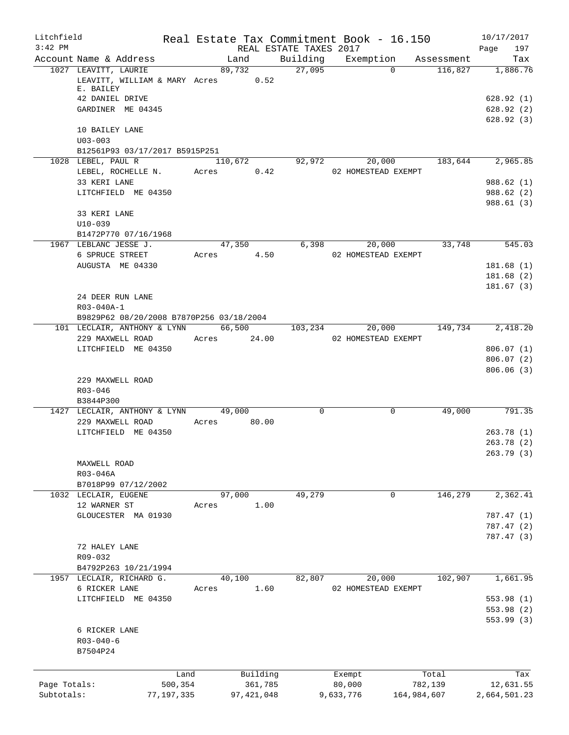| Litchfield   |                                                            |               |                        | Real Estate Tax Commitment Book - 16.150 |             | 10/17/2017   |
|--------------|------------------------------------------------------------|---------------|------------------------|------------------------------------------|-------------|--------------|
| $3:42$ PM    |                                                            |               | REAL ESTATE TAXES 2017 |                                          |             | 197<br>Page  |
|              | Account Name & Address                                     | Land          | Building               | Exemption                                | Assessment  | Tax          |
|              | 1027 LEAVITT, LAURIE<br>LEAVITT, WILLIAM & MARY Acres 0.52 | 89,732        | 27,095                 | $\Omega$                                 | 116,827     | 1,886.76     |
|              | E. BAILEY                                                  |               |                        |                                          |             |              |
|              | 42 DANIEL DRIVE                                            |               |                        |                                          |             | 628.92(1)    |
|              | GARDINER ME 04345                                          |               |                        |                                          |             | 628.92(2)    |
|              |                                                            |               |                        |                                          |             | 628.92(3)    |
|              | 10 BAILEY LANE                                             |               |                        |                                          |             |              |
|              | $U03 - 003$                                                |               |                        |                                          |             |              |
|              | B12561P93 03/17/2017 B5915P251                             |               |                        |                                          |             |              |
|              | 1028 LEBEL, PAUL R                                         | 110,672       | 92,972                 | 20,000                                   | 183,644     | 2,965.85     |
|              | LEBEL, ROCHELLE N.                                         | 0.42<br>Acres |                        | 02 HOMESTEAD EXEMPT                      |             |              |
|              | 33 KERI LANE                                               |               |                        |                                          |             | 988.62(1)    |
|              | LITCHFIELD ME 04350                                        |               |                        |                                          |             | 988.62(2)    |
|              |                                                            |               |                        |                                          |             | 988.61(3)    |
|              | 33 KERI LANE                                               |               |                        |                                          |             |              |
|              | $U10-039$                                                  |               |                        |                                          |             |              |
|              | B1472P770 07/16/1968                                       |               |                        |                                          |             |              |
|              | 1967 LEBLANC JESSE J.                                      | 47,350        | 6,398                  | 20,000                                   | 33,748      | 545.03       |
|              | 6 SPRUCE STREET                                            | 4.50<br>Acres |                        | 02 HOMESTEAD EXEMPT                      |             |              |
|              | AUGUSTA ME 04330                                           |               |                        |                                          |             | 181.68(1)    |
|              |                                                            |               |                        |                                          |             | 181.68(2)    |
|              |                                                            |               |                        |                                          |             | 181.67(3)    |
|              | 24 DEER RUN LANE                                           |               |                        |                                          |             |              |
|              | R03-040A-1                                                 |               |                        |                                          |             |              |
|              | B9829P62 08/20/2008 B7870P256 03/18/2004                   |               |                        |                                          |             |              |
|              | 101 LECLAIR, ANTHONY & LYNN                                | 66,500        | 103,234                | 20,000                                   | 149,734     | 2,418.20     |
|              | 229 MAXWELL ROAD                                           | Acres 24.00   |                        | 02 HOMESTEAD EXEMPT                      |             |              |
|              | LITCHFIELD ME 04350                                        |               |                        |                                          |             | 806.07(1)    |
|              |                                                            |               |                        |                                          |             |              |
|              |                                                            |               |                        |                                          |             | 806.07(2)    |
|              |                                                            |               |                        |                                          |             | 806.06(3)    |
|              | 229 MAXWELL ROAD                                           |               |                        |                                          |             |              |
|              | $R03 - 046$                                                |               |                        |                                          |             |              |
|              | B3844P300                                                  |               |                        |                                          |             |              |
|              | 1427 LECLAIR, ANTHONY & LYNN                               | 49,000        | $\mathbf 0$            | 0                                        | 49,000      | 791.35       |
|              | 229 MAXWELL ROAD                                           | Acres 80.00   |                        |                                          |             |              |
|              | LITCHFIELD ME 04350                                        |               |                        |                                          |             | 263.78(1)    |
|              |                                                            |               |                        |                                          |             | 263.78(2)    |
|              |                                                            |               |                        |                                          |             | 263.79 (3)   |
|              | MAXWELL ROAD                                               |               |                        |                                          |             |              |
|              | R03-046A                                                   |               |                        |                                          |             |              |
|              | B7018P99 07/12/2002                                        |               |                        |                                          |             |              |
|              | 1032 LECLAIR, EUGENE                                       | 97,000        | 49,279                 | 0                                        | 146,279     | 2,362.41     |
|              | 12 WARNER ST                                               | 1.00<br>Acres |                        |                                          |             |              |
|              | GLOUCESTER MA 01930                                        |               |                        |                                          |             | 787.47(1)    |
|              |                                                            |               |                        |                                          |             | 787.47 (2)   |
|              |                                                            |               |                        |                                          |             | 787.47 (3)   |
|              | 72 HALEY LANE                                              |               |                        |                                          |             |              |
|              | R09-032                                                    |               |                        |                                          |             |              |
|              | B4792P263 10/21/1994                                       |               |                        |                                          |             |              |
|              | 1957 LECLAIR, RICHARD G.                                   | 40,100        | 82,807                 | 20,000                                   | 102,907     | 1,661.95     |
|              | 6 RICKER LANE                                              | 1.60<br>Acres |                        | 02 HOMESTEAD EXEMPT                      |             |              |
|              | LITCHFIELD ME 04350                                        |               |                        |                                          |             | 553.98(1)    |
|              |                                                            |               |                        |                                          |             | 553.98(2)    |
|              |                                                            |               |                        |                                          |             | 553.99(3)    |
|              | 6 RICKER LANE                                              |               |                        |                                          |             |              |
|              | $R03 - 040 - 6$                                            |               |                        |                                          |             |              |
|              | B7504P24                                                   |               |                        |                                          |             |              |
|              |                                                            |               |                        |                                          |             |              |
|              | Land                                                       | Building      |                        | Exempt                                   | Total       | Tax          |
| Page Totals: | 500,354                                                    | 361,785       |                        | 80,000                                   | 782,139     | 12,631.55    |
| Subtotals:   | 77,197,335                                                 | 97, 421, 048  |                        | 9,633,776                                | 164,984,607 | 2,664,501.23 |
|              |                                                            |               |                        |                                          |             |              |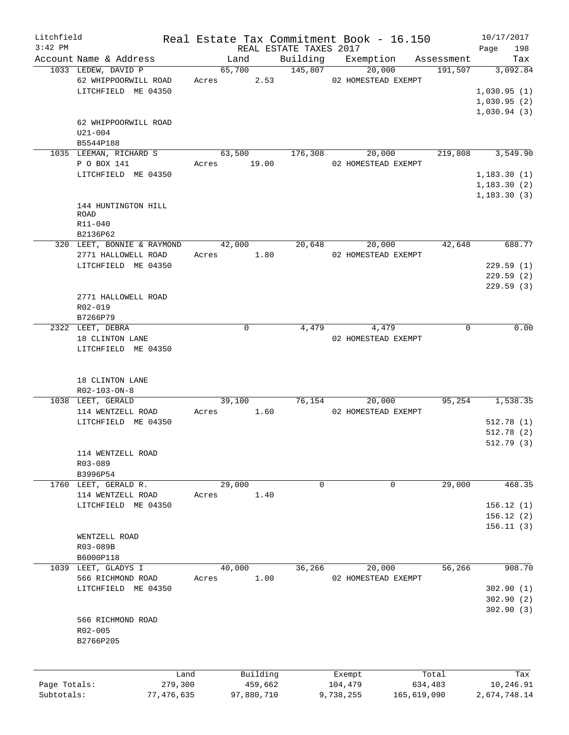| Litchfield   |                                                                    |       |             | Real Estate Tax Commitment Book - 16.150  |           |                               |             |                    |                                           | 10/17/2017 |
|--------------|--------------------------------------------------------------------|-------|-------------|-------------------------------------------|-----------|-------------------------------|-------------|--------------------|-------------------------------------------|------------|
| $3:42$ PM    |                                                                    |       |             | REAL ESTATE TAXES 2017                    |           |                               |             |                    | Page                                      | 198        |
|              | Account Name & Address                                             |       | Land        |                                           |           | Building Exemption Assessment |             |                    |                                           | Tax        |
|              | 1033 LEDEW, DAVID P<br>62 WHIPPOORWILL ROAD<br>LITCHFIELD ME 04350 |       | 65,700      | 145,807<br>Acres 2.53 02 HOMESTEAD EXEMPT |           | 20,000                        |             | $191,507$ 3,092.84 | 1,030.95(1)<br>1,030.95(2)<br>1,030.94(3) |            |
|              | 62 WHIPPOORWILL ROAD<br>$U21 - 004$<br>B5544P188                   |       |             |                                           |           |                               |             |                    |                                           |            |
|              | 1035 LEEMAN, RICHARD S                                             |       | 63,500      |                                           |           | 176,308 20,000                |             | 219,808 3,549.90   |                                           |            |
|              | P O BOX 141                                                        |       | Acres 19.00 |                                           |           | 02 HOMESTEAD EXEMPT           |             |                    |                                           |            |
|              | LITCHFIELD ME 04350                                                |       |             |                                           |           |                               |             |                    | 1,183.30(1)<br>1,183.30(2)                |            |
|              |                                                                    |       |             |                                           |           |                               |             |                    | 1, 183.30(3)                              |            |
|              | 144 HUNTINGTON HILL                                                |       |             |                                           |           |                               |             |                    |                                           |            |
|              | ROAD                                                               |       |             |                                           |           |                               |             |                    |                                           |            |
|              | R11-040                                                            |       |             |                                           |           |                               |             |                    |                                           |            |
|              | B2136P62<br>320 LEET, BONNIE & RAYMOND                             |       | 42,000      | 20,648                                    |           | 20,000                        |             | 42,648             |                                           | 688.77     |
|              | 2771 HALLOWELL ROAD                                                |       | Acres 1.80  |                                           |           | 02 HOMESTEAD EXEMPT           |             |                    |                                           |            |
|              | LITCHFIELD ME 04350                                                |       |             |                                           |           |                               |             |                    |                                           | 229.59(1)  |
|              |                                                                    |       |             |                                           |           |                               |             |                    |                                           | 229.59(2)  |
|              |                                                                    |       |             |                                           |           |                               |             |                    |                                           | 229.59(3)  |
|              | 2771 HALLOWELL ROAD                                                |       |             |                                           |           |                               |             |                    |                                           |            |
|              | R02-019<br>B7266P79                                                |       |             |                                           |           |                               |             |                    |                                           |            |
|              | 2322 LEET, DEBRA                                                   |       | $\mathbf 0$ |                                           |           | 4,479 4,479                   |             | $\Omega$           |                                           | 0.00       |
|              | 18 CLINTON LANE                                                    |       |             |                                           |           | 02 HOMESTEAD EXEMPT           |             |                    |                                           |            |
|              | LITCHFIELD ME 04350                                                |       |             |                                           |           |                               |             |                    |                                           |            |
|              | 18 CLINTON LANE<br>R02-103-ON-8<br>1038 LEET, GERALD               |       | 39,100      | 76,154                                    |           | 20,000                        |             | 95, 254            |                                           | 1,538.35   |
|              | 114 WENTZELL ROAD                                                  |       |             | Acres 1.60 02 HOMESTEAD EXEMPT            |           |                               |             |                    |                                           |            |
|              | LITCHFIELD ME 04350                                                |       |             |                                           |           |                               |             |                    |                                           | 512.78(1)  |
|              |                                                                    |       |             |                                           |           |                               |             |                    |                                           | 512.78(2)  |
|              | 114 WENTZELL ROAD<br>R03-089                                       |       |             |                                           |           |                               |             |                    |                                           | 512.79(3)  |
|              | B3996P54                                                           |       |             |                                           |           |                               |             |                    |                                           |            |
|              | 1760 LEET, GERALD R.                                               |       | 29,000      | 0                                         |           | 0                             |             | 29,000             |                                           | 468.35     |
|              | 114 WENTZELL ROAD<br>LITCHFIELD ME 04350                           | Acres | 1.40        |                                           |           |                               |             |                    |                                           | 156.12(1)  |
|              |                                                                    |       |             |                                           |           |                               |             |                    |                                           | 156.12(2)  |
|              |                                                                    |       |             |                                           |           |                               |             |                    |                                           | 156.11(3)  |
|              | WENTZELL ROAD                                                      |       |             |                                           |           |                               |             |                    |                                           |            |
|              | R03-089B                                                           |       |             |                                           |           |                               |             |                    |                                           |            |
| 1039         | B6000P118                                                          |       | 40,000      | 36,266                                    |           |                               |             | 56,266             |                                           | 908.70     |
|              | LEET, GLADYS I<br>566 RICHMOND ROAD                                | Acres | 1.00        |                                           |           | 20,000<br>02 HOMESTEAD EXEMPT |             |                    |                                           |            |
|              | LITCHFIELD ME 04350                                                |       |             |                                           |           |                               |             |                    |                                           | 302.90(1)  |
|              |                                                                    |       |             |                                           |           |                               |             |                    |                                           | 302.90(2)  |
|              |                                                                    |       |             |                                           |           |                               |             |                    |                                           | 302.90(3)  |
|              | 566 RICHMOND ROAD                                                  |       |             |                                           |           |                               |             |                    |                                           |            |
|              | R02-005<br>B2766P205                                               |       |             |                                           |           |                               |             |                    |                                           |            |
|              |                                                                    |       |             |                                           |           |                               |             |                    |                                           |            |
|              |                                                                    |       |             |                                           |           |                               |             |                    |                                           |            |
|              | Land                                                               |       | Building    |                                           |           | Exempt                        |             | Total              |                                           | Tax        |
| Page Totals: | 279,300                                                            |       | 459,662     |                                           |           | 104,479                       |             | 634,483            |                                           | 10,246.91  |
| Subtotals:   | 77,476,635                                                         |       | 97,880,710  |                                           | 9,738,255 |                               | 165,619,090 |                    | 2,674,748.14                              |            |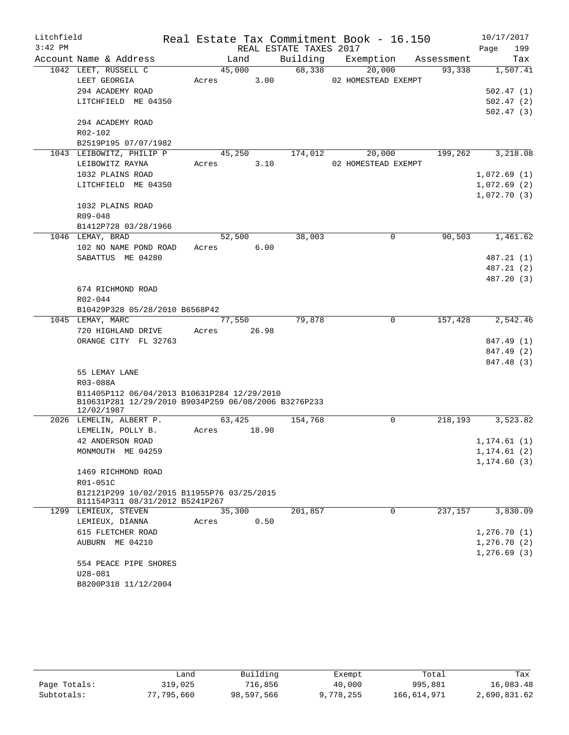| Litchfield |                                                                    |       |        |       |                        | Real Estate Tax Commitment Book - 16.150 |            | 10/17/2017   |
|------------|--------------------------------------------------------------------|-------|--------|-------|------------------------|------------------------------------------|------------|--------------|
| $3:42$ PM  |                                                                    |       |        |       | REAL ESTATE TAXES 2017 |                                          |            | Page<br>199  |
|            | Account Name & Address                                             |       | Land   |       | Building               | Exemption                                | Assessment | Tax          |
|            | 1042 LEET, RUSSELL C                                               |       | 45,000 |       | 68,338                 | 20,000                                   | 93,338     | 1,507.41     |
|            | LEET GEORGIA                                                       | Acres |        | 3.00  |                        | 02 HOMESTEAD EXEMPT                      |            |              |
|            | 294 ACADEMY ROAD                                                   |       |        |       |                        |                                          |            | 502.47(1)    |
|            | LITCHFIELD ME 04350                                                |       |        |       |                        |                                          |            | 502.47(2)    |
|            |                                                                    |       |        |       |                        |                                          |            | 502.47(3)    |
|            | 294 ACADEMY ROAD                                                   |       |        |       |                        |                                          |            |              |
|            | $R02 - 102$                                                        |       |        |       |                        |                                          |            |              |
|            | B2519P195 07/07/1982                                               |       |        |       |                        |                                          |            |              |
|            | 1043 LEIBOWITZ, PHILIP P                                           |       | 45,250 |       | 174,012                | 20,000                                   | 199,262    | 3,218.08     |
|            | LEIBOWITZ RAYNA                                                    | Acres |        | 3.10  |                        | 02 HOMESTEAD EXEMPT                      |            |              |
|            | 1032 PLAINS ROAD                                                   |       |        |       |                        |                                          |            | 1,072.69(1)  |
|            | LITCHFIELD ME 04350                                                |       |        |       |                        |                                          |            | 1,072.69(2)  |
|            |                                                                    |       |        |       |                        |                                          |            | 1,072.70(3)  |
|            | 1032 PLAINS ROAD                                                   |       |        |       |                        |                                          |            |              |
|            | $R09 - 048$                                                        |       |        |       |                        |                                          |            |              |
|            | B1412P728 03/28/1966                                               |       |        |       |                        |                                          |            |              |
|            | 1046 LEMAY, BRAD                                                   |       | 52,500 |       | 38,003                 | 0                                        | 90,503     | 1,461.62     |
|            | 102 NO NAME POND ROAD                                              | Acres |        | 6.00  |                        |                                          |            |              |
|            | SABATTUS ME 04280                                                  |       |        |       |                        |                                          |            | 487.21 (1)   |
|            |                                                                    |       |        |       |                        |                                          |            | 487.21 (2)   |
|            |                                                                    |       |        |       |                        |                                          |            | 487.20 (3)   |
|            | 674 RICHMOND ROAD                                                  |       |        |       |                        |                                          |            |              |
|            | R02-044                                                            |       |        |       |                        |                                          |            |              |
|            | B10429P328 05/28/2010 B6568P42                                     |       |        |       |                        |                                          |            |              |
|            | 1045 LEMAY, MARC                                                   |       | 77,550 |       | 79,878                 | 0                                        | 157,428    | 2,542.46     |
|            | 720 HIGHLAND DRIVE                                                 | Acres | 26.98  |       |                        |                                          |            |              |
|            | ORANGE CITY FL 32763                                               |       |        |       |                        |                                          |            | 847.49 (1)   |
|            |                                                                    |       |        |       |                        |                                          |            | 847.49 (2)   |
|            |                                                                    |       |        |       |                        |                                          |            | 847.48 (3)   |
|            | 55 LEMAY LANE                                                      |       |        |       |                        |                                          |            |              |
|            | R03-088A                                                           |       |        |       |                        |                                          |            |              |
|            | B11405P112 06/04/2013 B10631P284 12/29/2010                        |       |        |       |                        |                                          |            |              |
|            | B10631P281 12/29/2010 B9034P259 06/08/2006 B3276P233<br>12/02/1987 |       |        |       |                        |                                          |            |              |
|            | 2026 LEMELIN, ALBERT P.                                            |       | 63,425 |       | 154,768                | 0                                        | 218, 193   | 3,523.82     |
|            | LEMELIN, POLLY B.                                                  | Acres |        | 18.90 |                        |                                          |            |              |
|            | 42 ANDERSON ROAD                                                   |       |        |       |                        |                                          |            | 1, 174.61(1) |
|            | MONMOUTH ME 04259                                                  |       |        |       |                        |                                          |            | 1, 174.61(2) |
|            |                                                                    |       |        |       |                        |                                          |            | 1, 174.60(3) |
|            | 1469 RICHMOND ROAD                                                 |       |        |       |                        |                                          |            |              |
|            | R01-051C                                                           |       |        |       |                        |                                          |            |              |
|            | B12121P299 10/02/2015 B11955P76 03/25/2015                         |       |        |       |                        |                                          |            |              |
|            | B11154P311 08/31/2012 B5241P267                                    |       |        |       |                        |                                          |            |              |
|            | 1299 LEMIEUX, STEVEN                                               |       | 35,300 |       | 201,857                | $\mathbf 0$                              | 237,157    | 3,830.09     |
|            | LEMIEUX, DIANNA                                                    | Acres |        | 0.50  |                        |                                          |            |              |
|            | 615 FLETCHER ROAD                                                  |       |        |       |                        |                                          |            | 1,276.70(1)  |
|            | AUBURN ME 04210                                                    |       |        |       |                        |                                          |            | 1, 276.70(2) |
|            |                                                                    |       |        |       |                        |                                          |            | 1, 276.69(3) |
|            | 554 PEACE PIPE SHORES                                              |       |        |       |                        |                                          |            |              |
|            | $U28 - 081$                                                        |       |        |       |                        |                                          |            |              |
|            | B8200P318 11/12/2004                                               |       |        |       |                        |                                          |            |              |
|            |                                                                    |       |        |       |                        |                                          |            |              |

|              | Land       | Building   | Exempt    | Total       | Tax          |
|--------------|------------|------------|-----------|-------------|--------------|
| Page Totals: | 319,025    | 716,856    | 40,000    | 995,881     | 16,083.48    |
| Subtotals:   | 77,795,660 | 98,597,566 | 9,778,255 | 166,614,971 | 2,690,831.62 |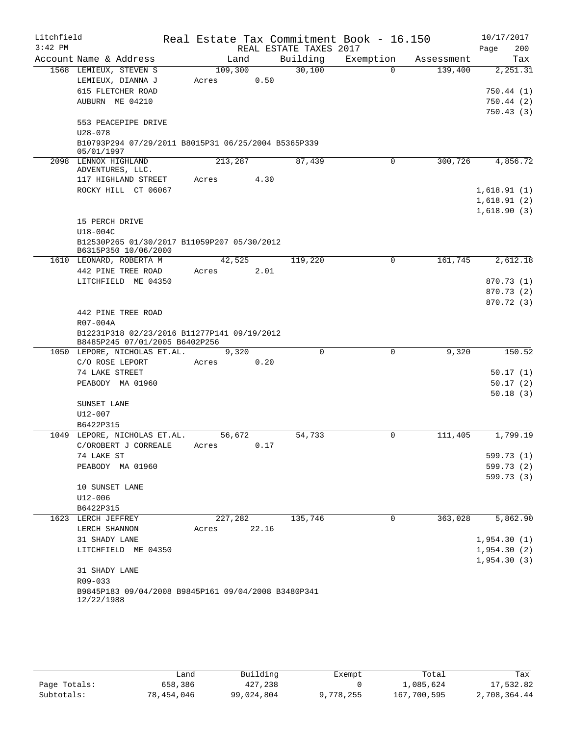| Litchfield |                                                                               |         |       |                        | Real Estate Tax Commitment Book - 16.150 |            | 10/17/2017  |
|------------|-------------------------------------------------------------------------------|---------|-------|------------------------|------------------------------------------|------------|-------------|
| $3:42$ PM  |                                                                               |         |       | REAL ESTATE TAXES 2017 |                                          |            | 200<br>Page |
|            | Account Name & Address                                                        | Land    |       | Building               | Exemption                                | Assessment | Tax         |
|            | 1568 LEMIEUX, STEVEN S                                                        | 109,300 |       | 30,100                 | $\Omega$                                 | 139,400    | 2,251.31    |
|            | LEMIEUX, DIANNA J                                                             | Acres   | 0.50  |                        |                                          |            |             |
|            | 615 FLETCHER ROAD                                                             |         |       |                        |                                          |            | 750.44(1)   |
|            | AUBURN ME 04210                                                               |         |       |                        |                                          |            | 750.44(2)   |
|            |                                                                               |         |       |                        |                                          |            | 750.43(3)   |
|            | 553 PEACEPIPE DRIVE<br>$U28 - 078$                                            |         |       |                        |                                          |            |             |
|            | B10793P294 07/29/2011 B8015P31 06/25/2004 B5365P339                           |         |       |                        |                                          |            |             |
|            | 05/01/1997                                                                    |         |       |                        |                                          |            |             |
|            | 2098 LENNOX HIGHLAND                                                          | 213,287 |       | 87,439                 | 0                                        | 300,726    | 4,856.72    |
|            | ADVENTURES, LLC.                                                              |         |       |                        |                                          |            |             |
|            | 117 HIGHLAND STREET                                                           | Acres   | 4.30  |                        |                                          |            |             |
|            | ROCKY HILL CT 06067                                                           |         |       |                        |                                          |            | 1,618.91(1) |
|            |                                                                               |         |       |                        |                                          |            | 1,618.91(2) |
|            |                                                                               |         |       |                        |                                          |            | 1,618.90(3) |
|            | 15 PERCH DRIVE                                                                |         |       |                        |                                          |            |             |
|            | $U18-004C$                                                                    |         |       |                        |                                          |            |             |
|            | B12530P265 01/30/2017 B11059P207 05/30/2012<br>B6315P350 10/06/2000           |         |       |                        |                                          |            |             |
|            | 1610 LEONARD, ROBERTA M                                                       | 42,525  |       | 119,220                | 0                                        | 161,745    | 2,612.18    |
|            | 442 PINE TREE ROAD                                                            | Acres   | 2.01  |                        |                                          |            |             |
|            | LITCHFIELD ME 04350                                                           |         |       |                        |                                          |            | 870.73 (1)  |
|            |                                                                               |         |       |                        |                                          |            | 870.73 (2)  |
|            |                                                                               |         |       |                        |                                          |            | 870.72 (3)  |
|            | 442 PINE TREE ROAD                                                            |         |       |                        |                                          |            |             |
|            | R07-004A                                                                      |         |       |                        |                                          |            |             |
|            | B12231P318 02/23/2016 B11277P141 09/19/2012<br>B8485P245 07/01/2005 B6402P256 |         |       |                        |                                          |            |             |
|            | 1050 LEPORE, NICHOLAS ET.AL.                                                  | 9,320   |       | $\Omega$               | 0                                        | 9,320      | 150.52      |
|            | C/O ROSE LEPORT                                                               | Acres   | 0.20  |                        |                                          |            |             |
|            | 74 LAKE STREET                                                                |         |       |                        |                                          |            | 50.17(1)    |
|            | PEABODY MA 01960                                                              |         |       |                        |                                          |            | 50.17(2)    |
|            |                                                                               |         |       |                        |                                          |            | 50.18(3)    |
|            | SUNSET LANE                                                                   |         |       |                        |                                          |            |             |
|            | $U12 - 007$                                                                   |         |       |                        |                                          |            |             |
|            | B6422P315                                                                     |         |       |                        |                                          |            |             |
| 1049       | LEPORE, NICHOLAS ET.AL.                                                       | 56,672  |       | 54,733                 | 0                                        | 111,405    | 1,799.19    |
|            | C/OROBERT J CORREALE                                                          | Acres   | 0.17  |                        |                                          |            |             |
|            | 74 LAKE ST                                                                    |         |       |                        |                                          |            | 599.73 (1)  |
|            | PEABODY MA 01960                                                              |         |       |                        |                                          |            | 599.73 (2)  |
|            |                                                                               |         |       |                        |                                          |            | 599.73 (3)  |
|            | 10 SUNSET LANE<br>$U12 - 006$                                                 |         |       |                        |                                          |            |             |
|            | B6422P315                                                                     |         |       |                        |                                          |            |             |
|            | 1623 LERCH JEFFREY                                                            | 227,282 |       | 135,746                | 0                                        | 363,028    | 5,862.90    |
|            | LERCH SHANNON                                                                 | Acres   | 22.16 |                        |                                          |            |             |
|            | 31 SHADY LANE                                                                 |         |       |                        |                                          |            | 1,954.30(1) |
|            | LITCHFIELD ME 04350                                                           |         |       |                        |                                          |            | 1,954.30(2) |
|            |                                                                               |         |       |                        |                                          |            | 1,954.30(3) |
|            | 31 SHADY LANE                                                                 |         |       |                        |                                          |            |             |
|            | R09-033                                                                       |         |       |                        |                                          |            |             |
|            | B9845P183 09/04/2008 B9845P161 09/04/2008 B3480P341                           |         |       |                        |                                          |            |             |
|            | 12/22/1988                                                                    |         |       |                        |                                          |            |             |

|              | Land       | Building   | Exempt    | Total       | Tax          |
|--------------|------------|------------|-----------|-------------|--------------|
| Page Totals: | 658,386    | 427,238    |           | 1,085,624   | 17,532.82    |
| Subtotals:   | 78,454,046 | 99,024,804 | 9,778,255 | 167,700,595 | 2,708,364.44 |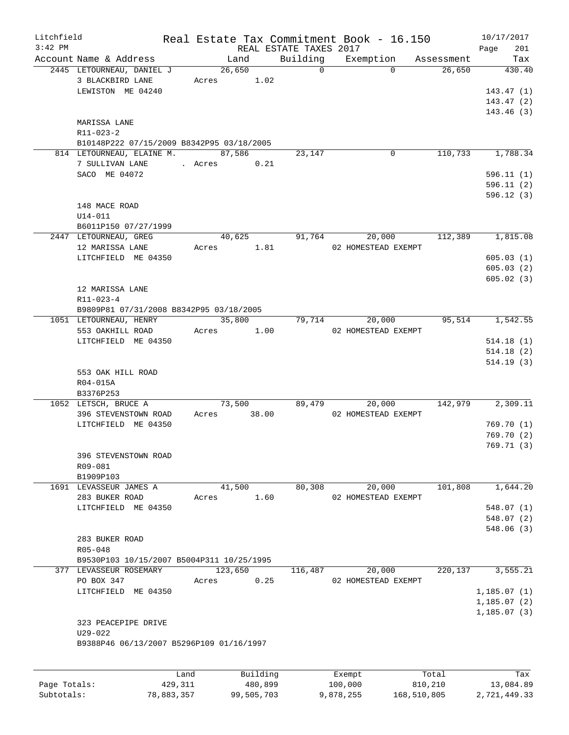| Litchfield   |                                                     |         |                |                        | Real Estate Tax Commitment Book - 16.150 |                      | 10/17/2017              |
|--------------|-----------------------------------------------------|---------|----------------|------------------------|------------------------------------------|----------------------|-------------------------|
| $3:42$ PM    |                                                     |         |                | REAL ESTATE TAXES 2017 |                                          |                      | Page<br>201             |
|              | Account Name & Address<br>2445 LETOURNEAU, DANIEL J |         | Land<br>26,650 | Building<br>$\Omega$   | Exemption<br>$\Omega$                    | Assessment<br>26,650 | Tax<br>430.40           |
|              | 3 BLACKBIRD LANE                                    |         | Acres 1.02     |                        |                                          |                      |                         |
|              | LEWISTON ME 04240                                   |         |                |                        |                                          |                      | 143.47(1)               |
|              |                                                     |         |                |                        |                                          |                      | 143.47(2)               |
|              |                                                     |         |                |                        |                                          |                      | 143.46(3)               |
|              | MARISSA LANE                                        |         |                |                        |                                          |                      |                         |
|              | $R11 - 023 - 2$                                     |         |                |                        |                                          |                      |                         |
|              | B10148P222 07/15/2009 B8342P95 03/18/2005           |         |                |                        |                                          |                      |                         |
|              | 814 LETOURNEAU, ELAINE M.                           |         | 87,586         | 23,147                 | $\mathbf 0$                              | 110,733              | 1,788.34                |
|              | 7 SULLIVAN LANE                                     | . Acres | 0.21           |                        |                                          |                      |                         |
|              | SACO ME 04072                                       |         |                |                        |                                          |                      | 596.11(1)               |
|              |                                                     |         |                |                        |                                          |                      | 596.11(2)<br>596.12(3)  |
|              | 148 MACE ROAD                                       |         |                |                        |                                          |                      |                         |
|              | $U14 - 011$                                         |         |                |                        |                                          |                      |                         |
|              | B6011P150 07/27/1999                                |         |                |                        |                                          |                      |                         |
|              | 2447 LETOURNEAU, GREG                               |         | 40,625         | 91,764                 | 20,000                                   | 112,389              | 1,815.08                |
|              | 12 MARISSA LANE                                     |         | Acres 1.81     |                        | 02 HOMESTEAD EXEMPT                      |                      |                         |
|              | LITCHFIELD ME 04350                                 |         |                |                        |                                          |                      | 605.03(1)               |
|              |                                                     |         |                |                        |                                          |                      | 605.03(2)               |
|              |                                                     |         |                |                        |                                          |                      | 605.02(3)               |
|              | 12 MARISSA LANE<br>R11-023-4                        |         |                |                        |                                          |                      |                         |
|              | B9809P81 07/31/2008 B8342P95 03/18/2005             |         |                |                        |                                          |                      |                         |
|              | 1051 LETOURNEAU, HENRY                              |         | 35,800         | 79,714                 | 20,000                                   | 95,514               | 1,542.55                |
|              | 553 OAKHILL ROAD                                    |         | Acres 1.00     |                        | 02 HOMESTEAD EXEMPT                      |                      |                         |
|              | LITCHFIELD ME 04350                                 |         |                |                        |                                          |                      | 514.18(1)               |
|              |                                                     |         |                |                        |                                          |                      | 514.18(2)               |
|              |                                                     |         |                |                        |                                          |                      | 514.19(3)               |
|              | 553 OAK HILL ROAD                                   |         |                |                        |                                          |                      |                         |
|              | R04-015A                                            |         |                |                        |                                          |                      |                         |
|              | B3376P253<br>1052 LETSCH, BRUCE A                   |         | 73,500         | 89,479                 | 20,000                                   | 142,979              | 2,309.11                |
|              | 396 STEVENSTOWN ROAD                                | Acres   | 38.00          |                        | 02 HOMESTEAD EXEMPT                      |                      |                         |
|              | LITCHFIELD ME 04350                                 |         |                |                        |                                          |                      | 769.70(1)               |
|              |                                                     |         |                |                        |                                          |                      | 769.70(2)               |
|              |                                                     |         |                |                        |                                          |                      | 769.71(3)               |
|              | 396 STEVENSTOWN ROAD                                |         |                |                        |                                          |                      |                         |
|              | R09-081                                             |         |                |                        |                                          |                      |                         |
|              | B1909P103                                           |         |                |                        |                                          |                      |                         |
|              | 1691 LEVASSEUR JAMES A                              |         | 41,500         | 80,308                 | 20,000                                   | 101,808              | 1,644.20                |
|              | 283 BUKER ROAD                                      | Acres   | 1.60           |                        | 02 HOMESTEAD EXEMPT                      |                      |                         |
|              | LITCHFIELD ME 04350                                 |         |                |                        |                                          |                      | 548.07(1)<br>548.07 (2) |
|              |                                                     |         |                |                        |                                          |                      | 548.06(3)               |
|              | 283 BUKER ROAD                                      |         |                |                        |                                          |                      |                         |
|              | R05-048                                             |         |                |                        |                                          |                      |                         |
|              | B9530P103 10/15/2007 B5004P311 10/25/1995           |         |                |                        |                                          |                      |                         |
|              | 377 LEVASSEUR ROSEMARY                              |         | 123,650        | 116,487                | 20,000                                   | 220,137              | 3,555.21                |
|              | PO BOX 347                                          | Acres   | 0.25           |                        | 02 HOMESTEAD EXEMPT                      |                      |                         |
|              | LITCHFIELD ME 04350                                 |         |                |                        |                                          |                      | 1, 185.07(1)            |
|              |                                                     |         |                |                        |                                          |                      | 1,185.07(2)             |
|              |                                                     |         |                |                        |                                          |                      | 1, 185.07(3)            |
|              | 323 PEACEPIPE DRIVE<br>$U29 - 022$                  |         |                |                        |                                          |                      |                         |
|              | B9388P46 06/13/2007 B5296P109 01/16/1997            |         |                |                        |                                          |                      |                         |
|              |                                                     |         |                |                        |                                          |                      |                         |
|              |                                                     |         |                |                        |                                          |                      |                         |
|              |                                                     | Land    | Building       |                        | Exempt                                   | Total                | Tax                     |
| Page Totals: |                                                     | 429,311 | 480,899        |                        | 100,000                                  | 810,210              | 13,084.89               |

Subtotals: 78,883,357 99,505,703 9,878,255 168,510,805 2,721,449.33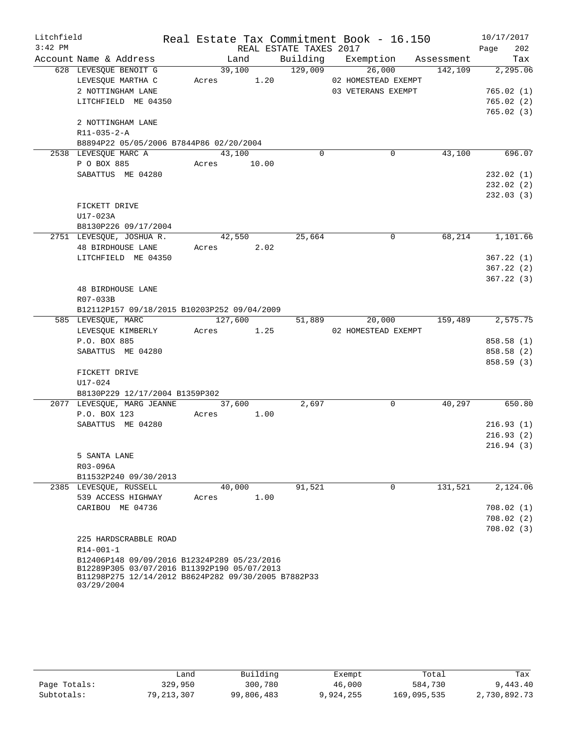| Litchfield |                                                                   |        |             |                        | Real Estate Tax Commitment Book - 16.150 |                      | 10/17/2017               |
|------------|-------------------------------------------------------------------|--------|-------------|------------------------|------------------------------------------|----------------------|--------------------------|
| $3:42$ PM  |                                                                   |        |             | REAL ESTATE TAXES 2017 |                                          |                      | 202<br>Page              |
|            | Account Name & Address                                            |        | Land        |                        | Building Exemption Assessment            |                      | Tax                      |
|            | 628 LEVESQUE BENOIT G                                             |        | 39,100      | $\frac{129,009}{2}$    | 26,000                                   | $\overline{142,109}$ | 2,295.06                 |
|            | LEVESQUE MARTHA C                                                 |        | Acres 1.20  |                        | 02 HOMESTEAD EXEMPT                      |                      |                          |
|            | 2 NOTTINGHAM LANE                                                 |        |             |                        | 03 VETERANS EXEMPT                       |                      | 765.02(1)                |
|            | LITCHFIELD ME 04350                                               |        |             |                        |                                          |                      | 765.02(2)                |
|            |                                                                   |        |             |                        |                                          |                      | 765.02(3)                |
|            | 2 NOTTINGHAM LANE                                                 |        |             |                        |                                          |                      |                          |
|            | R11-035-2-A                                                       |        |             |                        |                                          |                      |                          |
|            | B8894P22 05/05/2006 B7844P86 02/20/2004                           |        |             |                        |                                          |                      |                          |
|            | 2538 LEVESQUE MARC A                                              | 43,100 |             | $\Omega$               | $\mathbf 0$                              | 43,100               | 696.07                   |
|            | P O BOX 885                                                       |        | Acres 10.00 |                        |                                          |                      |                          |
|            | SABATTUS ME 04280                                                 |        |             |                        |                                          |                      | 232.02(1)                |
|            |                                                                   |        |             |                        |                                          |                      | 232.02(2)                |
|            |                                                                   |        |             |                        |                                          |                      | 232.03(3)                |
|            | FICKETT DRIVE                                                     |        |             |                        |                                          |                      |                          |
|            | U17-023A                                                          |        |             |                        |                                          |                      |                          |
|            | B8130P226 09/17/2004                                              |        |             |                        |                                          |                      |                          |
|            | 2751 LEVESQUE, JOSHUA R.                                          |        | 42,550      | 25,664                 | $\mathbf 0$                              |                      | 68, 214 1, 101.66        |
|            | 48 BIRDHOUSE LANE                                                 |        | Acres 2.02  |                        |                                          |                      |                          |
|            | LITCHFIELD ME 04350                                               |        |             |                        |                                          |                      | 367.22(1)                |
|            |                                                                   |        |             |                        |                                          |                      | 367.22(2)                |
|            |                                                                   |        |             |                        |                                          |                      | 367.22(3)                |
|            | <b>48 BIRDHOUSE LANE</b>                                          |        |             |                        |                                          |                      |                          |
|            | R07-033B                                                          |        |             |                        |                                          |                      |                          |
|            | B12112P157 09/18/2015 B10203P252 09/04/2009<br>585 LEVESQUE, MARC |        | 127,600     |                        | 51,889 20,000 159,489                    |                      | 2,575.75                 |
|            |                                                                   |        | Acres 1.25  |                        | 02 HOMESTEAD EXEMPT                      |                      |                          |
|            | LEVESQUE KIMBERLY                                                 |        |             |                        |                                          |                      |                          |
|            | P.O. BOX 885<br>SABATTUS ME 04280                                 |        |             |                        |                                          |                      | 858.58 (1)<br>858.58 (2) |
|            |                                                                   |        |             |                        |                                          |                      | 858.59(3)                |
|            | FICKETT DRIVE                                                     |        |             |                        |                                          |                      |                          |
|            | U17-024                                                           |        |             |                        |                                          |                      |                          |
|            | B8130P229 12/17/2004 B1359P302                                    |        |             |                        |                                          |                      |                          |
|            | 2077 LEVESQUE, MARG JEANNE 37,600                                 |        |             | 2,697                  | $\Omega$                                 | 40,297               | 650.80                   |
|            | P.O. BOX 123                                                      |        | Acres 1.00  |                        |                                          |                      |                          |
|            | SABATTUS ME 04280                                                 |        |             |                        |                                          |                      | 216.93(1)                |
|            |                                                                   |        |             |                        |                                          |                      | 216.93(2)                |
|            |                                                                   |        |             |                        |                                          |                      | 216.94(3)                |
|            | 5 SANTA LANE                                                      |        |             |                        |                                          |                      |                          |
|            | R03-096A                                                          |        |             |                        |                                          |                      |                          |
|            | B11532P240 09/30/2013                                             |        |             |                        |                                          |                      |                          |
|            | 2385 LEVESQUE, RUSSELL                                            |        | 40,000      | 91,521                 | $\Omega$                                 | 131,521              | 2,124.06                 |
|            | 539 ACCESS HIGHWAY                                                | Acres  | 1.00        |                        |                                          |                      |                          |
|            | CARIBOU ME 04736                                                  |        |             |                        |                                          |                      | 708.02(1)                |
|            |                                                                   |        |             |                        |                                          |                      | 708.02(2)                |
|            |                                                                   |        |             |                        |                                          |                      | 708.02(3)                |
|            | 225 HARDSCRABBLE ROAD                                             |        |             |                        |                                          |                      |                          |
|            | R14-001-1                                                         |        |             |                        |                                          |                      |                          |
|            | B12406P148 09/09/2016 B12324P289 05/23/2016                       |        |             |                        |                                          |                      |                          |
|            | B12289P305 03/07/2016 B11392P190 05/07/2013                       |        |             |                        |                                          |                      |                          |
|            | B11298P275 12/14/2012 B8624P282 09/30/2005 B7882P33               |        |             |                        |                                          |                      |                          |
|            | 03/29/2004                                                        |        |             |                        |                                          |                      |                          |

|              | Land       | Building   | Exempt    | Total       | Tax          |
|--------------|------------|------------|-----------|-------------|--------------|
| Page Totals: | 329,950    | 300,780    | 46,000    | 584,730     | 9,443.40     |
| Subtotals:   | 79,213,307 | 99,806,483 | 9,924,255 | 169,095,535 | 2,730,892.73 |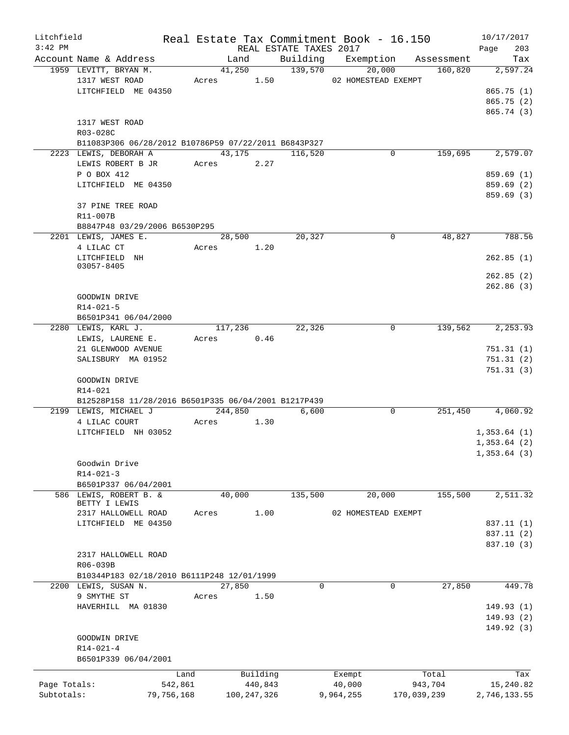| Litchfield<br>$3:42$ PM |                                                      |            |            |               |          | REAL ESTATE TAXES 2017 | Real Estate Tax Commitment Book - 16.150 |             |         | 10/17/2017<br>203<br>Page |
|-------------------------|------------------------------------------------------|------------|------------|---------------|----------|------------------------|------------------------------------------|-------------|---------|---------------------------|
|                         | Account Name & Address                               |            |            | Land          |          |                        | Building Exemption Assessment            |             |         | Tax                       |
|                         | 1959 LEVITT, BRYAN M.                                |            |            | 41,250        |          | 139,570                | 20,000                                   |             | 160,820 | 2,597.24                  |
|                         | 1317 WEST ROAD                                       |            |            |               |          |                        | Acres 1.50 02 HOMESTEAD EXEMPT           |             |         |                           |
|                         | LITCHFIELD ME 04350                                  |            |            |               |          |                        |                                          |             |         | 865.75(1)                 |
|                         |                                                      |            |            |               |          |                        |                                          |             |         | 865.75(2)                 |
|                         |                                                      |            |            |               |          |                        |                                          |             |         | 865.74 (3)                |
|                         | 1317 WEST ROAD                                       |            |            |               |          |                        |                                          |             |         |                           |
|                         | R03-028C                                             |            |            |               |          |                        |                                          |             |         |                           |
|                         | B11083P306 06/28/2012 B10786P59 07/22/2011 B6843P327 |            |            |               |          |                        |                                          |             |         |                           |
|                         | 2223 LEWIS, DEBORAH A                                |            | 43,175     |               |          | 116,520                |                                          | 0           | 159,695 | 2,579.07                  |
|                         | LEWIS ROBERT B JR                                    |            | Acres 2.27 |               |          |                        |                                          |             |         |                           |
|                         | P O BOX 412                                          |            |            |               |          |                        |                                          |             |         | 859.69(1)                 |
|                         | LITCHFIELD ME 04350                                  |            |            |               |          |                        |                                          |             |         | 859.69(2)                 |
|                         |                                                      |            |            |               |          |                        |                                          |             |         | 859.69(3)                 |
|                         | 37 PINE TREE ROAD                                    |            |            |               |          |                        |                                          |             |         |                           |
|                         | R11-007B                                             |            |            |               |          |                        |                                          |             |         |                           |
|                         | B8847P48 03/29/2006 B6530P295                        |            |            |               |          |                        |                                          |             |         |                           |
|                         | 2201 LEWIS, JAMES E.                                 |            |            | 28,500        |          | 20,327                 |                                          | $\Omega$    | 48,827  | 788.56                    |
|                         | 4 LILAC CT                                           |            | Acres      | 1.20          |          |                        |                                          |             |         |                           |
|                         | LITCHFIELD NH                                        |            |            |               |          |                        |                                          |             |         | 262.85(1)                 |
|                         | $03057 - 8405$                                       |            |            |               |          |                        |                                          |             |         |                           |
|                         |                                                      |            |            |               |          |                        |                                          |             |         | 262.85(2)                 |
|                         |                                                      |            |            |               |          |                        |                                          |             |         | 262.86(3)                 |
|                         | GOODWIN DRIVE                                        |            |            |               |          |                        |                                          |             |         |                           |
|                         | $R14 - 021 - 5$                                      |            |            |               |          |                        |                                          |             |         |                           |
|                         | B6501P341 06/04/2000                                 |            |            |               |          |                        |                                          |             |         |                           |
|                         | 2280 LEWIS, KARL J.                                  |            |            | 117,236       |          | 22,326                 |                                          | $\mathbf 0$ | 139,562 | 2,253.93                  |
|                         | LEWIS, LAURENE E.                                    |            | Acres      |               | 0.46     |                        |                                          |             |         |                           |
|                         | 21 GLENWOOD AVENUE                                   |            |            |               |          |                        |                                          |             |         | 751.31(1)                 |
|                         | SALISBURY MA 01952                                   |            |            |               |          |                        |                                          |             |         | 751.31(2)                 |
|                         |                                                      |            |            |               |          |                        |                                          |             |         | 751.31(3)                 |
|                         | GOODWIN DRIVE                                        |            |            |               |          |                        |                                          |             |         |                           |
|                         | R14-021                                              |            |            |               |          |                        |                                          |             |         |                           |
|                         | B12528P158 11/28/2016 B6501P335 06/04/2001 B1217P439 |            |            |               |          |                        |                                          |             |         |                           |
|                         | 2199 LEWIS, MICHAEL J                                |            |            | 244,850       |          | 6,600                  |                                          | $\mathbf 0$ | 251,450 | 4,060.92                  |
|                         | 4 LILAC COURT                                        |            | Acres      |               | 1.30     |                        |                                          |             |         |                           |
|                         | LITCHFIELD NH 03052                                  |            |            |               |          |                        |                                          |             |         | 1,353.64(1)               |
|                         |                                                      |            |            |               |          |                        |                                          |             |         | 1,353.64(2)               |
|                         |                                                      |            |            |               |          |                        |                                          |             |         | 1,353.64(3)               |
|                         | Goodwin Drive                                        |            |            |               |          |                        |                                          |             |         |                           |
|                         | $R14 - 021 - 3$                                      |            |            |               |          |                        |                                          |             |         |                           |
|                         | B6501P337 06/04/2001                                 |            |            |               |          |                        |                                          |             |         |                           |
|                         | 586 LEWIS, ROBERT B. &                               |            |            | 40,000        |          | 135,500                | 20,000                                   |             | 155,500 | 2,511.32                  |
|                         | BETTY I LEWIS                                        |            |            |               |          |                        |                                          |             |         |                           |
|                         | 2317 HALLOWELL ROAD                                  |            | Acres      |               | 1.00     |                        | 02 HOMESTEAD EXEMPT                      |             |         |                           |
|                         | LITCHFIELD ME 04350                                  |            |            |               |          |                        |                                          |             |         | 837.11 (1)                |
|                         |                                                      |            |            |               |          |                        |                                          |             |         | 837.11 (2)                |
|                         | 2317 HALLOWELL ROAD                                  |            |            |               |          |                        |                                          |             |         | 837.10 (3)                |
|                         | R06-039B                                             |            |            |               |          |                        |                                          |             |         |                           |
|                         | B10344P183 02/18/2010 B6111P248 12/01/1999           |            |            |               |          |                        |                                          |             |         |                           |
|                         | 2200 LEWIS, SUSAN N.                                 |            |            | 27,850        |          | $\mathbf 0$            |                                          | $\mathbf 0$ | 27,850  | 449.78                    |
|                         | 9 SMYTHE ST                                          |            | Acres      |               |          |                        |                                          |             |         |                           |
|                         | HAVERHILL MA 01830                                   |            |            |               | 1.50     |                        |                                          |             |         | 149.93(1)                 |
|                         |                                                      |            |            |               |          |                        |                                          |             |         | 149.93(2)                 |
|                         |                                                      |            |            |               |          |                        |                                          |             |         | 149.92 (3)                |
|                         | GOODWIN DRIVE                                        |            |            |               |          |                        |                                          |             |         |                           |
|                         | $R14 - 021 - 4$                                      |            |            |               |          |                        |                                          |             |         |                           |
|                         | B6501P339 06/04/2001                                 |            |            |               |          |                        |                                          |             |         |                           |
|                         |                                                      |            |            |               |          |                        |                                          |             |         |                           |
|                         |                                                      | Land       |            |               | Building |                        | Exempt                                   |             | Total   | Tax                       |
| Page Totals:            |                                                      | 542,861    |            |               | 440,843  |                        | 40,000                                   |             | 943,704 | 15,240.82                 |
| Subtotals:              |                                                      | 79,756,168 |            | 100, 247, 326 |          |                        | 9,964,255                                | 170,039,239 |         | 2,746,133.55              |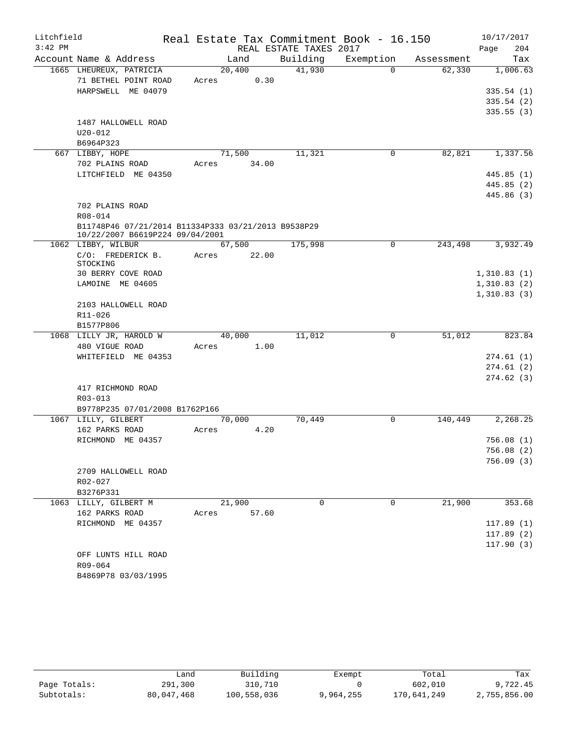| Litchfield |                                                                                        |             |                |                        | Real Estate Tax Commitment Book - 16.150 |            | 10/17/2017             |
|------------|----------------------------------------------------------------------------------------|-------------|----------------|------------------------|------------------------------------------|------------|------------------------|
| $3:42$ PM  |                                                                                        |             |                | REAL ESTATE TAXES 2017 |                                          |            | 204<br>Page            |
|            | Account Name & Address                                                                 |             | Land           | Building               | Exemption                                | Assessment | Tax                    |
|            | 1665 LHEUREUX, PATRICIA<br>71 BETHEL POINT ROAD                                        | Acres       | 20,400<br>0.30 | 41,930                 | $\Omega$                                 | 62,330     | 1,006.63               |
|            | HARPSWELL ME 04079                                                                     |             |                |                        |                                          |            | 335.54(1)              |
|            |                                                                                        |             |                |                        |                                          |            | 335.54(2)              |
|            | 1487 HALLOWELL ROAD<br>$U20 - 012$<br>B6964P323                                        |             |                |                        |                                          |            | 335.55(3)              |
|            | 667 LIBBY, HOPE                                                                        |             | 71,500         | 11,321                 | 0                                        | 82,821     | 1,337.56               |
|            | 702 PLAINS ROAD                                                                        | Acres 34.00 |                |                        |                                          |            |                        |
|            | LITCHFIELD ME 04350                                                                    |             |                |                        |                                          |            | 445.85(1)              |
|            |                                                                                        |             |                |                        |                                          |            | 445.85(2)              |
|            |                                                                                        |             |                |                        |                                          |            | 445.86 (3)             |
|            | 702 PLAINS ROAD                                                                        |             |                |                        |                                          |            |                        |
|            | R08-014                                                                                |             |                |                        |                                          |            |                        |
|            | B11748P46 07/21/2014 B11334P333 03/21/2013 B9538P29<br>10/22/2007 B6619P224 09/04/2001 |             |                |                        |                                          |            |                        |
|            | 1062 LIBBY, WILBUR                                                                     |             | 67,500         | 175,998                | 0                                        | 243,498    | 3,932.49               |
|            | C/O: FREDERICK B.<br>STOCKING                                                          | Acres       | 22.00          |                        |                                          |            |                        |
|            | 30 BERRY COVE ROAD                                                                     |             |                |                        |                                          |            | 1,310.83(1)            |
|            | LAMOINE ME 04605                                                                       |             |                |                        |                                          |            | 1,310.83(2)            |
|            |                                                                                        |             |                |                        |                                          |            | 1,310.83(3)            |
|            | 2103 HALLOWELL ROAD                                                                    |             |                |                        |                                          |            |                        |
|            | R11-026                                                                                |             |                |                        |                                          |            |                        |
|            | B1577P806                                                                              |             |                |                        |                                          |            |                        |
|            | 1068 LILLY JR, HAROLD W                                                                |             | 40,000<br>1.00 | 11,012                 | 0                                        | 51,012     | 823.84                 |
|            | 480 VIGUE ROAD<br>WHITEFIELD ME 04353                                                  | Acres       |                |                        |                                          |            | 274.61(1)              |
|            |                                                                                        |             |                |                        |                                          |            | 274.61(2)              |
|            |                                                                                        |             |                |                        |                                          |            | 274.62(3)              |
|            | 417 RICHMOND ROAD                                                                      |             |                |                        |                                          |            |                        |
|            | R03-013                                                                                |             |                |                        |                                          |            |                        |
|            | B9778P235 07/01/2008 B1762P166                                                         |             |                |                        |                                          |            |                        |
|            | 1067 LILLY, GILBERT                                                                    |             | 70,000         | 70,449                 | 0                                        | 140,449    | 2,268.25               |
|            | 162 PARKS ROAD                                                                         | Acres       | 4.20           |                        |                                          |            |                        |
|            | RICHMOND ME 04357                                                                      |             |                |                        |                                          |            | 756.08(1)              |
|            |                                                                                        |             |                |                        |                                          |            | 756.08 (2)             |
|            |                                                                                        |             |                |                        |                                          |            | 756.09(3)              |
|            | 2709 HALLOWELL ROAD                                                                    |             |                |                        |                                          |            |                        |
|            | R02-027                                                                                |             |                |                        |                                          |            |                        |
|            | B3276P331                                                                              |             |                |                        |                                          |            |                        |
|            | 1063 LILLY, GILBERT M                                                                  |             | 21,900         | $\Omega$               | 0                                        | 21,900     | 353.68                 |
|            | 162 PARKS ROAD<br>RICHMOND ME 04357                                                    | Acres       | 57.60          |                        |                                          |            |                        |
|            |                                                                                        |             |                |                        |                                          |            | 117.89(1)<br>117.89(2) |
|            |                                                                                        |             |                |                        |                                          |            | 117.90(3)              |
|            | OFF LUNTS HILL ROAD                                                                    |             |                |                        |                                          |            |                        |
|            | R09-064                                                                                |             |                |                        |                                          |            |                        |
|            | B4869P78 03/03/1995                                                                    |             |                |                        |                                          |            |                        |

|              | فnand.     | Building    | Exempt    | Total       | Tax          |
|--------------|------------|-------------|-----------|-------------|--------------|
| Page Totals: | 291,300    | 310,710     |           | 602,010     | 9,722.45     |
| Subtotals:   | 80,047,468 | 100,558,036 | 9,964,255 | 170,641,249 | 2,755,856.00 |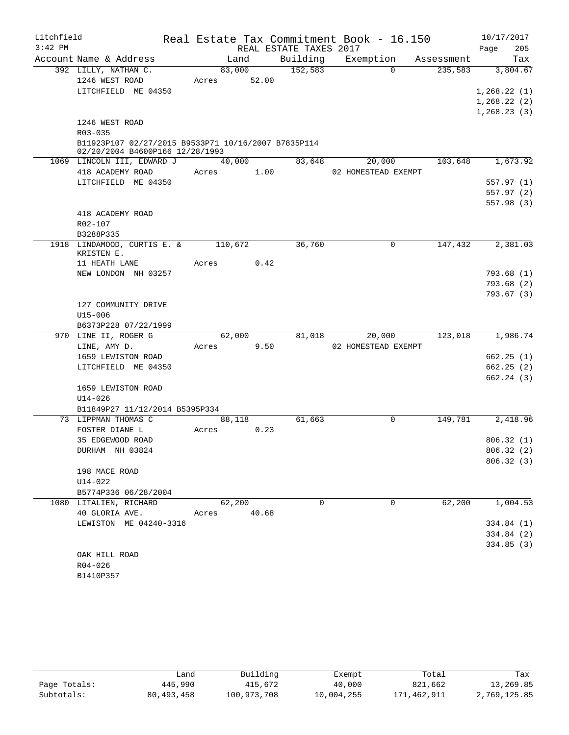| Litchfield |                                                     |         |       |                        | Real Estate Tax Commitment Book - 16.150 |            |      | 10/17/2017               |
|------------|-----------------------------------------------------|---------|-------|------------------------|------------------------------------------|------------|------|--------------------------|
| $3:42$ PM  |                                                     |         |       | REAL ESTATE TAXES 2017 |                                          |            | Page | 205                      |
|            | Account Name & Address                              | Land    |       | Building               | Exemption                                | Assessment |      | Tax                      |
|            | 392 LILLY, NATHAN C.                                | 83,000  |       | 152,583                | $\Omega$                                 | 235,583    |      | 3,804.67                 |
|            | 1246 WEST ROAD                                      | Acres   | 52.00 |                        |                                          |            |      |                          |
|            | LITCHFIELD ME 04350                                 |         |       |                        |                                          |            |      | 1,268.22(1)              |
|            |                                                     |         |       |                        |                                          |            |      | 1, 268.22(2)             |
|            | 1246 WEST ROAD                                      |         |       |                        |                                          |            |      | 1,268.23(3)              |
|            | R03-035                                             |         |       |                        |                                          |            |      |                          |
|            | B11923P107 02/27/2015 B9533P71 10/16/2007 B7835P114 |         |       |                        |                                          |            |      |                          |
|            | 02/20/2004 B4600P166 12/28/1993                     |         |       |                        |                                          |            |      |                          |
|            | 1069 LINCOLN III, EDWARD J                          | 40,000  |       | 83,648                 | 20,000                                   | 103,648    |      | 1,673.92                 |
|            | 418 ACADEMY ROAD                                    | Acres   | 1.00  |                        | 02 HOMESTEAD EXEMPT                      |            |      |                          |
|            | LITCHFIELD ME 04350                                 |         |       |                        |                                          |            |      | 557.97(1)                |
|            |                                                     |         |       |                        |                                          |            |      | 557.97(2)                |
|            |                                                     |         |       |                        |                                          |            |      | 557.98(3)                |
|            | 418 ACADEMY ROAD                                    |         |       |                        |                                          |            |      |                          |
|            | R02-107                                             |         |       |                        |                                          |            |      |                          |
|            | B3288P335                                           | 110,672 |       | 36,760                 | 0                                        | 147,432    |      | 2,381.03                 |
|            | 1918 LINDAMOOD, CURTIS E. &<br>KRISTEN E.           |         |       |                        |                                          |            |      |                          |
|            | 11 HEATH LANE                                       | Acres   | 0.42  |                        |                                          |            |      |                          |
|            | NEW LONDON NH 03257                                 |         |       |                        |                                          |            |      | 793.68(1)                |
|            |                                                     |         |       |                        |                                          |            |      | 793.68(2)                |
|            |                                                     |         |       |                        |                                          |            |      | 793.67(3)                |
|            | 127 COMMUNITY DRIVE                                 |         |       |                        |                                          |            |      |                          |
|            | $U15 - 006$                                         |         |       |                        |                                          |            |      |                          |
|            | B6373P228 07/22/1999                                |         |       |                        |                                          |            |      |                          |
|            | 970 LINE II, ROGER G                                | 62,000  |       | 81,018                 | 20,000                                   | 123,018    |      | 1,986.74                 |
|            | LINE, AMY D.                                        | Acres   | 9.50  |                        | 02 HOMESTEAD EXEMPT                      |            |      |                          |
|            | 1659 LEWISTON ROAD                                  |         |       |                        |                                          |            |      | 662.25(1)                |
|            | LITCHFIELD ME 04350                                 |         |       |                        |                                          |            |      | 662.25(2)<br>662.24(3)   |
|            | 1659 LEWISTON ROAD                                  |         |       |                        |                                          |            |      |                          |
|            | $U14 - 026$                                         |         |       |                        |                                          |            |      |                          |
|            | B11849P27 11/12/2014 B5395P334                      |         |       |                        |                                          |            |      |                          |
|            | 73 LIPPMAN THOMAS C                                 | 88,118  |       | 61,663                 | $\mathsf{O}$                             | 149,781    |      | 2,418.96                 |
|            | FOSTER DIANE L                                      | Acres   | 0.23  |                        |                                          |            |      |                          |
|            | 35 EDGEWOOD ROAD                                    |         |       |                        |                                          |            |      | 806.32(1)                |
|            | DURHAM NH 03824                                     |         |       |                        |                                          |            |      | 806.32 (2)               |
|            |                                                     |         |       |                        |                                          |            |      | 806.32 (3)               |
|            | 198 MACE ROAD                                       |         |       |                        |                                          |            |      |                          |
|            | U14-022                                             |         |       |                        |                                          |            |      |                          |
|            | B5774P336 06/28/2004                                |         |       |                        |                                          |            |      |                          |
|            | 1080 LITALIEN, RICHARD                              | 62,200  |       | $\Omega$               | $\mathbf 0$                              | 62,200     |      | 1,004.53                 |
|            | 40 GLORIA AVE.                                      | Acres   | 40.68 |                        |                                          |            |      |                          |
|            | LEWISTON ME 04240-3316                              |         |       |                        |                                          |            |      | 334.84 (1)<br>334.84 (2) |
|            |                                                     |         |       |                        |                                          |            |      | 334.85(3)                |
|            | OAK HILL ROAD                                       |         |       |                        |                                          |            |      |                          |
|            | $R04 - 026$                                         |         |       |                        |                                          |            |      |                          |
|            | B1410P357                                           |         |       |                        |                                          |            |      |                          |

|              | Land         | Building    | Exempt     | Total       | Tax          |
|--------------|--------------|-------------|------------|-------------|--------------|
| Page Totals: | 445,990      | 415,672     | 40,000     | 821,662     | 13,269.85    |
| Subtotals:   | 80, 493, 458 | 100,973,708 | 10,004,255 | 171,462,911 | 2,769,125.85 |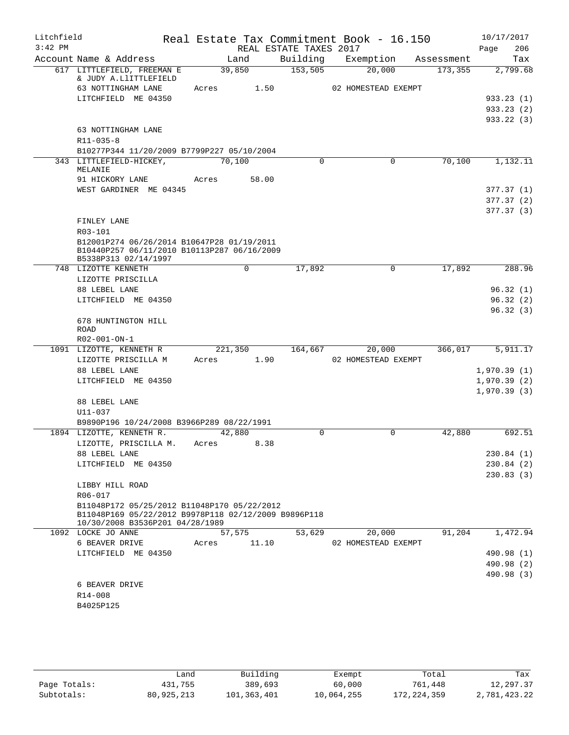| Litchfield |                                                                                           |         |                |                        | Real Estate Tax Commitment Book - 16.150 |                       | 10/17/2017      |
|------------|-------------------------------------------------------------------------------------------|---------|----------------|------------------------|------------------------------------------|-----------------------|-----------------|
| $3:42$ PM  | Account Name & Address                                                                    |         |                | REAL ESTATE TAXES 2017 |                                          |                       | 206<br>Page     |
|            | 617 LITTLEFIELD, FREEMAN E                                                                |         | Land<br>39,850 | Building<br>153,505    | Exemption<br>20,000                      | Assessment<br>173,355 | Tax<br>2,799.68 |
|            | & JUDY A.LlITTLEFIELD                                                                     |         |                |                        |                                          |                       |                 |
|            | 63 NOTTINGHAM LANE                                                                        | Acres   | 1.50           |                        | 02 HOMESTEAD EXEMPT                      |                       |                 |
|            | LITCHFIELD ME 04350                                                                       |         |                |                        |                                          |                       | 933.23(1)       |
|            |                                                                                           |         |                |                        |                                          |                       | 933.23(2)       |
|            |                                                                                           |         |                |                        |                                          |                       | 933.22(3)       |
|            | 63 NOTTINGHAM LANE                                                                        |         |                |                        |                                          |                       |                 |
|            | $R11 - 035 - 8$                                                                           |         |                |                        |                                          |                       |                 |
|            | B10277P344 11/20/2009 B7799P227 05/10/2004                                                |         |                |                        |                                          |                       | 1,132.11        |
|            | 343 LITTLEFIELD-HICKEY,<br>MELANIE                                                        | 70,100  |                | $\Omega$               | $\Omega$                                 | 70,100                |                 |
|            | 91 HICKORY LANE                                                                           | Acres   | 58.00          |                        |                                          |                       |                 |
|            | WEST GARDINER ME 04345                                                                    |         |                |                        |                                          |                       | 377.37(1)       |
|            |                                                                                           |         |                |                        |                                          |                       | 377.37(2)       |
|            |                                                                                           |         |                |                        |                                          |                       | 377.37(3)       |
|            | FINLEY LANE                                                                               |         |                |                        |                                          |                       |                 |
|            | R03-101                                                                                   |         |                |                        |                                          |                       |                 |
|            | B12001P274 06/26/2014 B10647P28 01/19/2011<br>B10440P257 06/11/2010 B10113P287 06/16/2009 |         |                |                        |                                          |                       |                 |
|            | B5338P313 02/14/1997                                                                      |         |                |                        |                                          |                       |                 |
|            | 748 LIZOTTE KENNETH                                                                       |         | $\Omega$       | 17,892                 | $\mathbf 0$                              | 17,892                | 288.96          |
|            | LIZOTTE PRISCILLA                                                                         |         |                |                        |                                          |                       |                 |
|            | 88 LEBEL LANE                                                                             |         |                |                        |                                          |                       | 96.32(1)        |
|            | LITCHFIELD ME 04350                                                                       |         |                |                        |                                          |                       | 96.32(2)        |
|            |                                                                                           |         |                |                        |                                          |                       | 96.32(3)        |
|            | 678 HUNTINGTON HILL<br><b>ROAD</b>                                                        |         |                |                        |                                          |                       |                 |
|            | R02-001-ON-1                                                                              |         |                |                        |                                          |                       |                 |
|            | 1091 LIZOTTE, KENNETH R                                                                   | 221,350 |                | 164,667                | 20,000                                   | 366,017               | 5,911.17        |
|            | LIZOTTE PRISCILLA M                                                                       | Acres   | 1.90           |                        | 02 HOMESTEAD EXEMPT                      |                       |                 |
|            | 88 LEBEL LANE                                                                             |         |                |                        |                                          |                       | 1,970.39(1)     |
|            | LITCHFIELD ME 04350                                                                       |         |                |                        |                                          |                       | 1,970.39(2)     |
|            |                                                                                           |         |                |                        |                                          |                       | 1,970.39(3)     |
|            | 88 LEBEL LANE                                                                             |         |                |                        |                                          |                       |                 |
|            | $U11 - 037$                                                                               |         |                |                        |                                          |                       |                 |
|            | B9890P196 10/24/2008 B3966P289 08/22/1991<br>1894 LIZOTTE, KENNETH R.                     |         | 42,880         | $\Omega$               | 0                                        | 42,880                | 692.51          |
|            | LIZOTTE, PRISCILLA M.                                                                     | Acres   | 8.38           |                        |                                          |                       |                 |
|            | 88 LEBEL LANE                                                                             |         |                |                        |                                          |                       | 230.84 (1)      |
|            | LITCHFIELD ME 04350                                                                       |         |                |                        |                                          |                       | 230.84(2)       |
|            |                                                                                           |         |                |                        |                                          |                       | 230.83(3)       |
|            | LIBBY HILL ROAD                                                                           |         |                |                        |                                          |                       |                 |
|            | R06-017                                                                                   |         |                |                        |                                          |                       |                 |
|            | B11048P172 05/25/2012 B11048P170 05/22/2012                                               |         |                |                        |                                          |                       |                 |
|            | B11048P169 05/22/2012 B9978P118 02/12/2009 B9896P118<br>10/30/2008 B3536P201 04/28/1989   |         |                |                        |                                          |                       |                 |
|            | 1092 LOCKE JO ANNE                                                                        |         | 57,575         | 53,629                 | 20,000                                   | 91,204                | 1,472.94        |
|            | 6 BEAVER DRIVE                                                                            | Acres   | 11.10          |                        | 02 HOMESTEAD EXEMPT                      |                       |                 |
|            | LITCHFIELD ME 04350                                                                       |         |                |                        |                                          |                       | 490.98 (1)      |
|            |                                                                                           |         |                |                        |                                          |                       | 490.98 (2)      |
|            |                                                                                           |         |                |                        |                                          |                       | 490.98 (3)      |
|            | 6 BEAVER DRIVE                                                                            |         |                |                        |                                          |                       |                 |
|            | R14-008                                                                                   |         |                |                        |                                          |                       |                 |
|            | B4025P125                                                                                 |         |                |                        |                                          |                       |                 |
|            |                                                                                           |         |                |                        |                                          |                       |                 |
|            |                                                                                           |         |                |                        |                                          |                       |                 |

|              | úand       | Building    | Exempt     | Total         | Tax          |
|--------------|------------|-------------|------------|---------------|--------------|
| Page Totals: | 431,755    | 389,693     | 60,000     | 761.448       | 12,297.37    |
| Subtotals:   | 80,925,213 | 101,363,401 | 10,064,255 | 172, 224, 359 | 2,781,423.22 |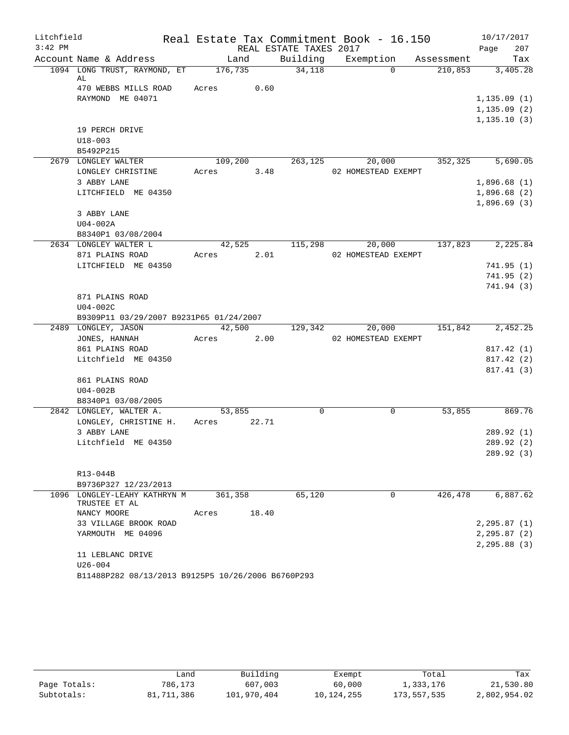| Litchfield |                                                    |                 |       |                        | Real Estate Tax Commitment Book - 16.150 |            |      | 10/17/2017   |
|------------|----------------------------------------------------|-----------------|-------|------------------------|------------------------------------------|------------|------|--------------|
| $3:42$ PM  |                                                    |                 |       | REAL ESTATE TAXES 2017 |                                          |            | Page | 207          |
|            | Account Name & Address                             | Land            |       | Building               | Exemption                                | Assessment |      | Tax          |
|            | 1094 LONG TRUST, RAYMOND, ET                       | 176,735         |       | 34,118                 | $\Omega$                                 | 210,853    |      | 3,405.28     |
|            | AL<br>470 WEBBS MILLS ROAD                         | Acres           | 0.60  |                        |                                          |            |      |              |
|            | RAYMOND ME 04071                                   |                 |       |                        |                                          |            |      | 1,135.09(1)  |
|            |                                                    |                 |       |                        |                                          |            |      | 1, 135.09(2) |
|            |                                                    |                 |       |                        |                                          |            |      | 1, 135.10(3) |
|            | 19 PERCH DRIVE                                     |                 |       |                        |                                          |            |      |              |
|            | $U18 - 003$                                        |                 |       |                        |                                          |            |      |              |
|            | B5492P215                                          |                 |       |                        |                                          |            |      |              |
|            | 2679 LONGLEY WALTER                                | 109,200         |       | 263,125                | 20,000                                   | 352,325    |      | 5,690.05     |
|            | LONGLEY CHRISTINE                                  | Acres           | 3.48  |                        | 02 HOMESTEAD EXEMPT                      |            |      |              |
|            | 3 ABBY LANE                                        |                 |       |                        |                                          |            |      | 1,896.68(1)  |
|            | LITCHFIELD ME 04350                                |                 |       |                        |                                          |            |      | 1,896.68(2)  |
|            |                                                    |                 |       |                        |                                          |            |      | 1,896.69(3)  |
|            | 3 ABBY LANE                                        |                 |       |                        |                                          |            |      |              |
|            | U04-002A                                           |                 |       |                        |                                          |            |      |              |
|            | B8340P1 03/08/2004                                 |                 |       |                        |                                          | 137,823    |      |              |
|            | 2634 LONGLEY WALTER L<br>871 PLAINS ROAD           | 42,525<br>Acres | 2.01  | 115,298                | 20,000<br>02 HOMESTEAD EXEMPT            |            |      | 2,225.84     |
|            | LITCHFIELD ME 04350                                |                 |       |                        |                                          |            |      | 741.95(1)    |
|            |                                                    |                 |       |                        |                                          |            |      | 741.95(2)    |
|            |                                                    |                 |       |                        |                                          |            |      | 741.94 (3)   |
|            | 871 PLAINS ROAD                                    |                 |       |                        |                                          |            |      |              |
|            | $U04-002C$                                         |                 |       |                        |                                          |            |      |              |
|            | B9309P11 03/29/2007 B9231P65 01/24/2007            |                 |       |                        |                                          |            |      |              |
|            | 2489 LONGLEY, JASON                                | 42,500          |       | 129,342                | 20,000                                   | 151,842    |      | 2,452.25     |
|            | JONES, HANNAH                                      | Acres           | 2.00  |                        | 02 HOMESTEAD EXEMPT                      |            |      |              |
|            | 861 PLAINS ROAD                                    |                 |       |                        |                                          |            |      | 817.42 (1)   |
|            | Litchfield ME 04350                                |                 |       |                        |                                          |            |      | 817.42 (2)   |
|            |                                                    |                 |       |                        |                                          |            |      | 817.41(3)    |
|            | 861 PLAINS ROAD                                    |                 |       |                        |                                          |            |      |              |
|            | $U04-002B$<br>B8340P1 03/08/2005                   |                 |       |                        |                                          |            |      |              |
|            | 2842 LONGLEY, WALTER A.                            | 53,855          |       | 0                      | 0                                        | 53,855     |      | 869.76       |
|            | LONGLEY, CHRISTINE H.                              | Acres           | 22.71 |                        |                                          |            |      |              |
|            | 3 ABBY LANE                                        |                 |       |                        |                                          |            |      | 289.92 (1)   |
|            | Litchfield ME 04350                                |                 |       |                        |                                          |            |      | 289.92 (2)   |
|            |                                                    |                 |       |                        |                                          |            |      | 289.92 (3)   |
|            |                                                    |                 |       |                        |                                          |            |      |              |
|            | R13-044B                                           |                 |       |                        |                                          |            |      |              |
|            | B9736P327 12/23/2013                               |                 |       |                        |                                          |            |      |              |
|            | 1096 LONGLEY-LEAHY KATHRYN M<br>TRUSTEE ET AL      | 361,358         |       | 65,120                 | $\mathbf 0$                              | 426,478    |      | 6,887.62     |
|            | NANCY MOORE                                        | Acres           | 18.40 |                        |                                          |            |      |              |
|            | 33 VILLAGE BROOK ROAD                              |                 |       |                        |                                          |            |      | 2, 295.87(1) |
|            | YARMOUTH ME 04096                                  |                 |       |                        |                                          |            |      | 2, 295.87(2) |
|            |                                                    |                 |       |                        |                                          |            |      | 2, 295.88(3) |
|            | 11 LEBLANC DRIVE                                   |                 |       |                        |                                          |            |      |              |
|            | $U26 - 004$                                        |                 |       |                        |                                          |            |      |              |
|            | B11488P282 08/13/2013 B9125P5 10/26/2006 B6760P293 |                 |       |                        |                                          |            |      |              |

|              | ∟and       | Building    | Exempt     | Total       | Tax          |
|--------------|------------|-------------|------------|-------------|--------------|
| Page Totals: | 786,173    | 607,003     | 60,000     | 1,333,176   | 21,530.80    |
| Subtotals:   | 81,711,386 | 101,970,404 | 10,124,255 | 173,557,535 | 2,802,954.02 |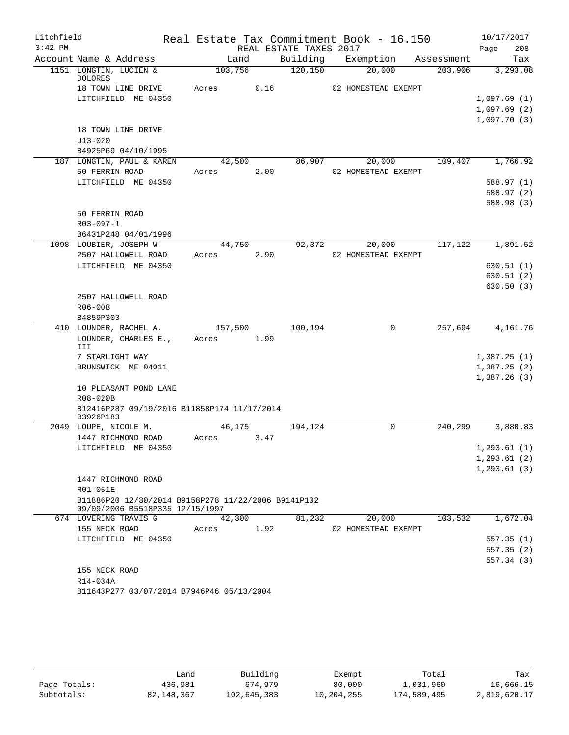| Litchfield |                                                          |         |      |                        | Real Estate Tax Commitment Book - 16.150 |            | 10/17/2017   |
|------------|----------------------------------------------------------|---------|------|------------------------|------------------------------------------|------------|--------------|
| $3:42$ PM  |                                                          |         |      | REAL ESTATE TAXES 2017 |                                          |            | Page<br>208  |
|            | Account Name & Address                                   | Land    |      | Building               | Exemption                                | Assessment | Tax          |
|            | 1151 LONGTIN, LUCIEN &<br><b>DOLORES</b>                 | 103,756 |      | 120, 150               | 20,000                                   | 203,906    | 3,293.08     |
|            | 18 TOWN LINE DRIVE                                       | Acres   | 0.16 |                        | 02 HOMESTEAD EXEMPT                      |            |              |
|            | LITCHFIELD ME 04350                                      |         |      |                        |                                          |            | 1,097.69(1)  |
|            |                                                          |         |      |                        |                                          |            | 1,097.69(2)  |
|            |                                                          |         |      |                        |                                          |            | 1,097.70(3)  |
|            | 18 TOWN LINE DRIVE                                       |         |      |                        |                                          |            |              |
|            | $U13 - 020$                                              |         |      |                        |                                          |            |              |
|            | B4925P69 04/10/1995                                      |         |      |                        |                                          |            |              |
|            | 187 LONGTIN, PAUL & KAREN                                | 42,500  |      | 86,907                 | 20,000                                   | 109,407    | 1,766.92     |
|            | 50 FERRIN ROAD                                           | Acres   | 2.00 |                        | 02 HOMESTEAD EXEMPT                      |            |              |
|            | LITCHFIELD ME 04350                                      |         |      |                        |                                          |            | 588.97 (1)   |
|            |                                                          |         |      |                        |                                          |            | 588.97 (2)   |
|            | 50 FERRIN ROAD                                           |         |      |                        |                                          |            | 588.98 (3)   |
|            | $R03 - 097 - 1$                                          |         |      |                        |                                          |            |              |
|            | B6431P248 04/01/1996                                     |         |      |                        |                                          |            |              |
|            | 1098 LOUBIER, JOSEPH W                                   | 44,750  |      | 92,372                 | 20,000                                   | 117,122    | 1,891.52     |
|            | 2507 HALLOWELL ROAD                                      | Acres   | 2.90 |                        | 02 HOMESTEAD EXEMPT                      |            |              |
|            | LITCHFIELD ME 04350                                      |         |      |                        |                                          |            | 630.51(1)    |
|            |                                                          |         |      |                        |                                          |            | 630.51(2)    |
|            |                                                          |         |      |                        |                                          |            | 630.50(3)    |
|            | 2507 HALLOWELL ROAD                                      |         |      |                        |                                          |            |              |
|            | R06-008                                                  |         |      |                        |                                          |            |              |
|            | B4859P303                                                |         |      |                        |                                          |            |              |
|            | 410 LOUNDER, RACHEL A.                                   | 157,500 |      | 100,194                | $\mathbf 0$                              | 257,694    | 4,161.76     |
|            | LOUNDER, CHARLES E.,<br>III                              | Acres   | 1.99 |                        |                                          |            |              |
|            | 7 STARLIGHT WAY                                          |         |      |                        |                                          |            | 1,387.25(1)  |
|            | BRUNSWICK ME 04011                                       |         |      |                        |                                          |            | 1,387.25(2)  |
|            |                                                          |         |      |                        |                                          |            | 1,387.26(3)  |
|            | 10 PLEASANT POND LANE                                    |         |      |                        |                                          |            |              |
|            | R08-020B                                                 |         |      |                        |                                          |            |              |
|            | B12416P287 09/19/2016 B11858P174 11/17/2014<br>B3926P183 |         |      |                        |                                          |            |              |
|            | 2049 LOUPE, NICOLE M.                                    | 46,175  |      | 194,124                | $\Omega$                                 | 240,299    | 3,880.83     |
|            | 1447 RICHMOND ROAD                                       | Acres   | 3.47 |                        |                                          |            |              |
|            | LITCHFIELD ME 04350                                      |         |      |                        |                                          |            | 1, 293.61(1) |
|            |                                                          |         |      |                        |                                          |            | 1, 293.61(2) |
|            | 1447 RICHMOND ROAD                                       |         |      |                        |                                          |            | 1, 293.61(3) |
|            | R01-051E                                                 |         |      |                        |                                          |            |              |
|            | B11886P20 12/30/2014 B9158P278 11/22/2006 B9141P102      |         |      |                        |                                          |            |              |
|            | 09/09/2006 B5518P335 12/15/1997                          |         |      |                        |                                          |            |              |
|            | 674 LOVERING TRAVIS G                                    | 42,300  |      | 81,232                 | 20,000                                   | 103,532    | 1,672.04     |
|            | 155 NECK ROAD                                            | Acres   | 1.92 |                        | 02 HOMESTEAD EXEMPT                      |            |              |
|            | LITCHFIELD ME 04350                                      |         |      |                        |                                          |            | 557.35(1)    |
|            |                                                          |         |      |                        |                                          |            | 557.35(2)    |
|            |                                                          |         |      |                        |                                          |            | 557.34(3)    |
|            | 155 NECK ROAD                                            |         |      |                        |                                          |            |              |
|            | R14-034A                                                 |         |      |                        |                                          |            |              |
|            | B11643P277 03/07/2014 B7946P46 05/13/2004                |         |      |                        |                                          |            |              |

|              | Land         | Building    | Exempt     | Total       | Tax          |  |  |
|--------------|--------------|-------------|------------|-------------|--------------|--|--|
| Page Totals: | 436,981      | 674,979     | 80,000     | 1,031,960   | 16,666.15    |  |  |
| Subtotals:   | 82, 148, 367 | 102,645,383 | 10,204,255 | 174,589,495 | 2,819,620.17 |  |  |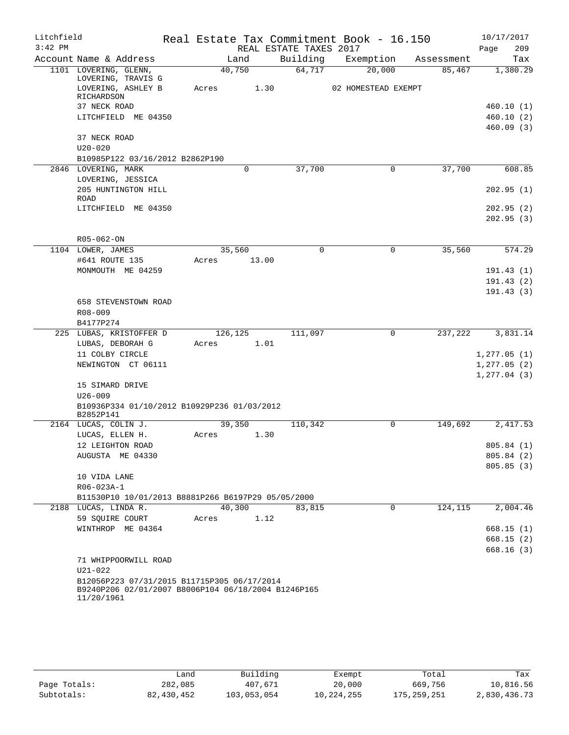| Litchfield |                                                          | Real Estate Tax Commitment Book - 16.150 |                        |                     |                      | 10/17/2017              |
|------------|----------------------------------------------------------|------------------------------------------|------------------------|---------------------|----------------------|-------------------------|
| $3:42$ PM  |                                                          |                                          | REAL ESTATE TAXES 2017 |                     |                      | 209<br>Page             |
|            | Account Name & Address                                   | Land                                     | Building               | Exemption           | Assessment           | Tax                     |
|            | 1101 LOVERING, GLENN,<br>LOVERING, TRAVIS G              | 40,750                                   | 64,717                 | 20,000              | 85,467               | 1,380.29                |
|            | LOVERING, ASHLEY B                                       | Acres<br>1.30                            |                        | 02 HOMESTEAD EXEMPT |                      |                         |
|            | RICHARDSON                                               |                                          |                        |                     |                      |                         |
|            | 37 NECK ROAD<br>LITCHFIELD ME 04350                      |                                          |                        |                     |                      | 460.10 (1)<br>460.10(2) |
|            |                                                          |                                          |                        |                     |                      | 460.09(3)               |
|            | 37 NECK ROAD                                             |                                          |                        |                     |                      |                         |
|            | $U20 - 020$                                              |                                          |                        |                     |                      |                         |
|            | B10985P122 03/16/2012 B2862P190                          |                                          |                        |                     |                      |                         |
|            | 2846 LOVERING, MARK                                      | 0                                        | 37,700                 | 0                   | 37,700               | 608.85                  |
|            | LOVERING, JESSICA                                        |                                          |                        |                     |                      |                         |
|            | 205 HUNTINGTON HILL<br>ROAD                              |                                          |                        |                     |                      | 202.95(1)               |
|            | LITCHFIELD ME 04350                                      |                                          |                        |                     |                      | 202.95(2)               |
|            |                                                          |                                          |                        |                     |                      | 202.95(3)               |
|            |                                                          |                                          |                        |                     |                      |                         |
|            | R05-062-ON                                               |                                          |                        |                     |                      |                         |
|            | 1104 LOWER, JAMES                                        | 35,560                                   | 0                      | 0                   | 35,560               | 574.29                  |
|            | #641 ROUTE 135<br>MONMOUTH ME 04259                      | 13.00<br>Acres                           |                        |                     |                      |                         |
|            |                                                          |                                          |                        |                     |                      | 191.43(1)<br>191.43(2)  |
|            |                                                          |                                          |                        |                     |                      | 191.43(3)               |
|            | 658 STEVENSTOWN ROAD                                     |                                          |                        |                     |                      |                         |
|            | R08-009                                                  |                                          |                        |                     |                      |                         |
|            | B4177P274                                                |                                          |                        |                     |                      |                         |
|            | 225 LUBAS, KRISTOFFER D                                  | 126,125                                  | 111,097                | 0                   | 237,222              | 3,831.14                |
|            | LUBAS, DEBORAH G                                         | 1.01<br>Acres                            |                        |                     |                      |                         |
|            | 11 COLBY CIRCLE                                          |                                          |                        |                     |                      | 1, 277.05(1)            |
|            | NEWINGTON CT 06111                                       |                                          |                        |                     |                      | 1, 277.05(2)            |
|            |                                                          |                                          |                        |                     |                      | 1, 277.04(3)            |
|            | 15 SIMARD DRIVE                                          |                                          |                        |                     |                      |                         |
|            | $U26 - 009$                                              |                                          |                        |                     |                      |                         |
|            | B10936P334 01/10/2012 B10929P236 01/03/2012<br>B2852P141 |                                          |                        |                     |                      |                         |
|            | 2164 LUCAS, COLIN J.                                     | 39,350                                   | 110,342                | 0                   | 149,692              | 2,417.53                |
|            | LUCAS, ELLEN H.                                          | Acres<br>1.30                            |                        |                     |                      |                         |
|            | 12 LEIGHTON ROAD                                         |                                          |                        |                     |                      | 805.84(1)               |
|            | AUGUSTA ME 04330                                         |                                          |                        |                     |                      | 805.84 (2)              |
|            |                                                          |                                          |                        |                     |                      | 805.85(3)               |
|            | 10 VIDA LANE                                             |                                          |                        |                     |                      |                         |
|            | $R06 - 023A - 1$                                         |                                          |                        |                     |                      |                         |
|            | B11530P10 10/01/2013 B8881P266 B6197P29 05/05/2000       |                                          |                        |                     |                      |                         |
|            | 2188 LUCAS, LINDA R.                                     | 40,300                                   | 83,815                 | 0                   | $1\overline{24,115}$ | 2,004.46                |
|            | 59 SOUIRE COURT                                          | 1.12<br>Acres                            |                        |                     |                      |                         |
|            | WINTHROP ME 04364                                        |                                          |                        |                     |                      | 668.15(1)<br>668.15(2)  |
|            |                                                          |                                          |                        |                     |                      | 668.16(3)               |
|            | 71 WHIPPOORWILL ROAD                                     |                                          |                        |                     |                      |                         |
|            | $U21 - 022$                                              |                                          |                        |                     |                      |                         |
|            | B12056P223 07/31/2015 B11715P305 06/17/2014              |                                          |                        |                     |                      |                         |
|            | B9240P206 02/01/2007 B8006P104 06/18/2004 B1246P165      |                                          |                        |                     |                      |                         |
|            | 11/20/1961                                               |                                          |                        |                     |                      |                         |

|              | فiand      | Building    | Exempt     | Total         | Tax          |
|--------------|------------|-------------|------------|---------------|--------------|
| Page Totals: | 282,085    | 407,671     | 20,000     | 669,756       | 10,816.56    |
| Subtotals:   | 82,430,452 | 103,053,054 | 10,224,255 | 175, 259, 251 | 2,830,436.73 |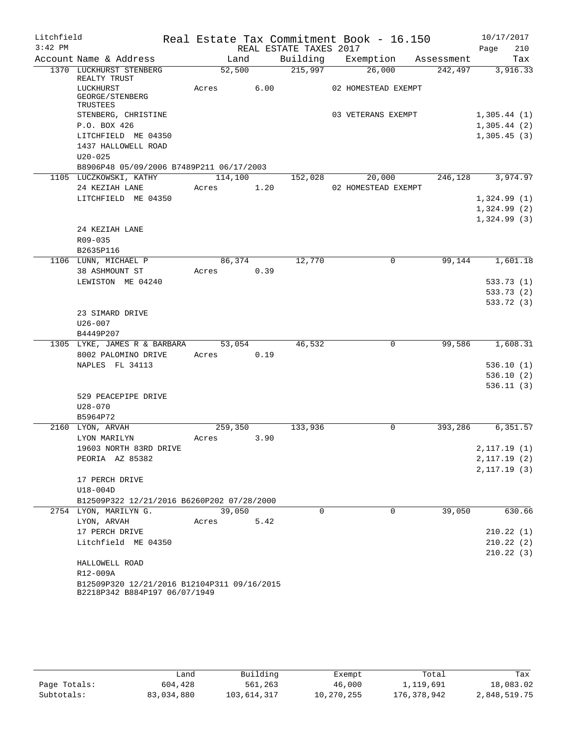| Litchfield |                                                                     |            |      |                        | Real Estate Tax Commitment Book - 16.150 |                               | 10/17/2017                 |
|------------|---------------------------------------------------------------------|------------|------|------------------------|------------------------------------------|-------------------------------|----------------------------|
| $3:42$ PM  |                                                                     |            |      | REAL ESTATE TAXES 2017 |                                          |                               | Page<br>210                |
|            | Account Name & Address                                              | Land       |      |                        |                                          | Building Exemption Assessment | Tax                        |
|            | 1370 LUCKHURST STENBERG<br>REALTY TRUST                             | 52,500     |      | 215,997                | 26,000                                   | 242,497                       | 3,916.33                   |
|            | LUCKHURST<br>GEORGE/STENBERG<br>TRUSTEES                            | Acres 6.00 |      |                        | 02 HOMESTEAD EXEMPT                      |                               |                            |
|            | STENBERG, CHRISTINE                                                 |            |      |                        | 03 VETERANS EXEMPT                       |                               | 1,305.44(1)                |
|            | P.O. BOX 426                                                        |            |      |                        |                                          |                               | 1,305.44(2)                |
|            | LITCHFIELD ME 04350                                                 |            |      |                        |                                          |                               | 1,305.45(3)                |
|            | 1437 HALLOWELL ROAD                                                 |            |      |                        |                                          |                               |                            |
|            | $U20 - 025$                                                         |            |      |                        |                                          |                               |                            |
|            | B8906P48 05/09/2006 B7489P211 06/17/2003                            |            |      |                        |                                          |                               |                            |
|            | 1105 LUCZKOWSKI, KATHY                                              | 114,100    |      |                        | 152,028 20,000                           | 246,128                       | 3,974.97                   |
|            | 24 KEZIAH LANE                                                      | Acres      | 1.20 |                        | 02 HOMESTEAD EXEMPT                      |                               |                            |
|            | LITCHFIELD ME 04350                                                 |            |      |                        |                                          |                               | 1,324.99(1)                |
|            |                                                                     |            |      |                        |                                          |                               | 1,324.99(2)<br>1,324.99(3) |
|            | 24 KEZIAH LANE                                                      |            |      |                        |                                          |                               |                            |
|            | R09-035                                                             |            |      |                        |                                          |                               |                            |
|            | B2635P116                                                           |            |      |                        |                                          |                               |                            |
|            | 1106 LUNN, MICHAEL P                                                | 86,374     |      | 12,770                 | $\mathbf 0$                              | 99,144                        | 1,601.18                   |
|            | 38 ASHMOUNT ST                                                      | Acres      | 0.39 |                        |                                          |                               |                            |
|            | LEWISTON ME 04240                                                   |            |      |                        |                                          |                               | 533.73(1)                  |
|            |                                                                     |            |      |                        |                                          |                               | 533.73 (2)                 |
|            |                                                                     |            |      |                        |                                          |                               | 533.72 (3)                 |
|            | 23 SIMARD DRIVE                                                     |            |      |                        |                                          |                               |                            |
|            | $U26 - 007$                                                         |            |      |                        |                                          |                               |                            |
|            | B4449P207                                                           |            |      |                        |                                          |                               |                            |
|            | 1305 LYKE, JAMES R & BARBARA 53,054                                 |            |      | 46,532                 | $\mathbf 0$                              | 99,586                        | 1,608.31                   |
|            | 8002 PALOMINO DRIVE                                                 | Acres 0.19 |      |                        |                                          |                               |                            |
|            | NAPLES FL 34113                                                     |            |      |                        |                                          |                               | 536.10(1)<br>536.10(2)     |
|            |                                                                     |            |      |                        |                                          |                               | 536.11(3)                  |
|            | 529 PEACEPIPE DRIVE                                                 |            |      |                        |                                          |                               |                            |
|            | $U28 - 070$                                                         |            |      |                        |                                          |                               |                            |
|            | B5964P72                                                            |            |      |                        |                                          |                               |                            |
|            | 2160 LYON, ARVAH                                                    | 259,350    |      | 133,936                | $\mathbf 0$                              | 393,286                       | 6,351.57                   |
|            | LYON MARILYN                                                        | Acres      | 3.90 |                        |                                          |                               |                            |
|            | 19603 NORTH 83RD DRIVE                                              |            |      |                        |                                          |                               | 2,117.19(1)                |
|            | PEORIA AZ 85382                                                     |            |      |                        |                                          |                               | 2,117.19(2)                |
|            |                                                                     |            |      |                        |                                          |                               | 2, 117.19(3)               |
|            | 17 PERCH DRIVE                                                      |            |      |                        |                                          |                               |                            |
|            | $U18-004D$                                                          |            |      |                        |                                          |                               |                            |
|            | B12509P322 12/21/2016 B6260P202 07/28/2000<br>2754 LYON, MARILYN G. | 39,050     |      | $\Omega$               | $\Omega$                                 | 39,050                        | 630.66                     |
|            | LYON, ARVAH                                                         | Acres      | 5.42 |                        |                                          |                               |                            |
|            | 17 PERCH DRIVE                                                      |            |      |                        |                                          |                               | 210.22(1)                  |
|            | Litchfield ME 04350                                                 |            |      |                        |                                          |                               | 210.22(2)                  |
|            |                                                                     |            |      |                        |                                          |                               | 210.22(3)                  |
|            | HALLOWELL ROAD                                                      |            |      |                        |                                          |                               |                            |
|            | R12-009A                                                            |            |      |                        |                                          |                               |                            |
|            | B12509P320 12/21/2016 B12104P311 09/16/2015                         |            |      |                        |                                          |                               |                            |
|            | B2218P342 B884P197 06/07/1949                                       |            |      |                        |                                          |                               |                            |

|              | ∟and       | Building    | Exempt     | Total       | Tax          |  |  |
|--------------|------------|-------------|------------|-------------|--------------|--|--|
| Page Totals: | 604,428    | 561,263     | 46,000     | 1,119,691   | 18,083.02    |  |  |
| Subtotals:   | 83,034,880 | 103,614,317 | 10,270,255 | 176,378,942 | 2,848,519.75 |  |  |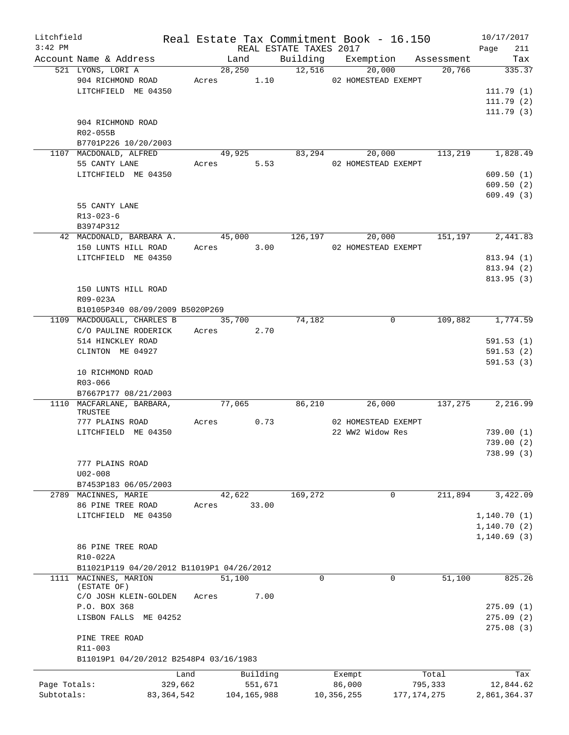| Litchfield<br>$3:42$ PM |                                           |              |       |            |               | REAL ESTATE TAXES 2017 | Real Estate Tax Commitment Book - 16.150                        |         | 10/17/2017<br>211<br>Page |
|-------------------------|-------------------------------------------|--------------|-------|------------|---------------|------------------------|-----------------------------------------------------------------|---------|---------------------------|
|                         | Account Name & Address                    |              |       | Land       |               |                        | Building Exemption Assessment                                   |         | Tax                       |
|                         | 521 LYONS, LORI A                         |              |       | 28,250     |               | $\overline{12,516}$    | 20,000                                                          | 20,766  | 335.37                    |
|                         |                                           |              |       |            |               |                        | 904 RICHMOND ROAD Acres 1.10 02 HOMESTEAD EXEMPT                |         |                           |
|                         | LITCHFIELD ME 04350                       |              |       |            |               |                        |                                                                 |         | 111.79(1)                 |
|                         |                                           |              |       |            |               |                        |                                                                 |         | 111.79(2)                 |
|                         |                                           |              |       |            |               |                        |                                                                 |         | 111.79(3)                 |
|                         | 904 RICHMOND ROAD                         |              |       |            |               |                        |                                                                 |         |                           |
|                         | R02-055B                                  |              |       |            |               |                        |                                                                 |         |                           |
|                         | B7701P226 10/20/2003                      |              |       |            |               |                        |                                                                 |         |                           |
|                         | 1107 MACDONALD, ALFRED                    |              |       | 49,925     |               |                        | 83,294 20,000 113,219 1,828.49                                  |         |                           |
|                         | 55 CANTY LANE                             |              |       | Acres 5.53 |               |                        | 02 HOMESTEAD EXEMPT                                             |         |                           |
|                         | LITCHFIELD ME 04350                       |              |       |            |               |                        |                                                                 |         | 609.50(1)                 |
|                         |                                           |              |       |            |               |                        |                                                                 |         | 609.50(2)                 |
|                         |                                           |              |       |            |               |                        |                                                                 |         | 609.49(3)                 |
|                         | 55 CANTY LANE                             |              |       |            |               |                        |                                                                 |         |                           |
|                         | $R13 - 023 - 6$                           |              |       |            |               |                        |                                                                 |         |                           |
|                         | B3974P312                                 |              |       |            |               |                        |                                                                 |         |                           |
|                         |                                           |              |       |            |               |                        | 42 MACDONALD, BARBARA A. 45,000 126,197 20,000 151,197 2,441.83 |         |                           |
|                         | 150 LUNTS HILL ROAD Acres 3.00            |              |       |            |               |                        | 02 HOMESTEAD EXEMPT                                             |         |                           |
|                         | LITCHFIELD ME 04350                       |              |       |            |               |                        |                                                                 |         | 813.94 (1)                |
|                         |                                           |              |       |            |               |                        |                                                                 |         | 813.94 (2)                |
|                         |                                           |              |       |            |               |                        |                                                                 |         | 813.95(3)                 |
|                         | 150 LUNTS HILL ROAD                       |              |       |            |               |                        |                                                                 |         |                           |
|                         | R09-023A                                  |              |       |            |               |                        |                                                                 |         |                           |
|                         | B10105P340 08/09/2009 B5020P269           |              |       |            |               |                        |                                                                 |         |                           |
|                         | 1109 MACDOUGALL, CHARLES B 35,700 31,182  |              |       |            |               |                        | $\mathbf 0$                                                     |         | 109,882 1,774.59          |
|                         | C/O PAULINE RODERICK Acres 2.70           |              |       |            |               |                        |                                                                 |         |                           |
|                         | 514 HINCKLEY ROAD                         |              |       |            |               |                        |                                                                 |         | 591.53(1)                 |
|                         | CLINTON ME 04927                          |              |       |            |               |                        |                                                                 |         | 591.53(2)                 |
|                         |                                           |              |       |            |               |                        |                                                                 |         | 591.53(3)                 |
|                         | 10 RICHMOND ROAD                          |              |       |            |               |                        |                                                                 |         |                           |
|                         | R03-066                                   |              |       |            |               |                        |                                                                 |         |                           |
|                         | B7667P177 08/21/2003                      |              |       |            |               |                        |                                                                 |         |                           |
|                         | 1110 MACFARLANE, BARBARA,                 |              |       | 77,065     |               | 86,210                 | 26,000                                                          |         | 137,275 2,216.99          |
|                         | TRUSTEE                                   |              |       |            |               |                        |                                                                 |         |                           |
|                         | 777 PLAINS ROAD                           |              | Acres |            | 0.73          |                        | 02 HOMESTEAD EXEMPT                                             |         |                           |
|                         | LITCHFIELD ME 04350                       |              |       |            |               |                        | 22 WW2 Widow Res                                                |         | 739.00(1)                 |
|                         |                                           |              |       |            |               |                        |                                                                 |         | 739.00(2)                 |
|                         |                                           |              |       |            |               |                        |                                                                 |         | 738.99(3)                 |
|                         | 777 PLAINS ROAD                           |              |       |            |               |                        |                                                                 |         |                           |
|                         | $U02 - 008$                               |              |       |            |               |                        |                                                                 |         |                           |
|                         | B7453P183 06/05/2003                      |              |       |            |               |                        |                                                                 |         |                           |
|                         | 2789 MACINNES, MARIE                      |              |       | 42,622     |               | 169,272                | 0                                                               | 211,894 | 3,422.09                  |
|                         | 86 PINE TREE ROAD                         |              | Acres |            | 33.00         |                        |                                                                 |         |                           |
|                         | LITCHFIELD ME 04350                       |              |       |            |               |                        |                                                                 |         | 1,140.70(1)               |
|                         |                                           |              |       |            |               |                        |                                                                 |         | 1,140.70(2)               |
|                         |                                           |              |       |            |               |                        |                                                                 |         | 1,140.69(3)               |
|                         | 86 PINE TREE ROAD                         |              |       |            |               |                        |                                                                 |         |                           |
|                         | R10-022A                                  |              |       |            |               |                        |                                                                 |         |                           |
|                         | B11021P119 04/20/2012 B11019P1 04/26/2012 |              |       |            |               |                        |                                                                 |         |                           |
|                         | 1111 MACINNES, MARION                     |              |       | 51,100     |               | $\Omega$               | 0                                                               | 51,100  | 825.26                    |
|                         | (ESTATE OF)                               |              |       |            |               |                        |                                                                 |         |                           |
|                         | C/O JOSH KLEIN-GOLDEN                     |              | Acres |            | 7.00          |                        |                                                                 |         |                           |
|                         | P.O. BOX 368                              |              |       |            |               |                        |                                                                 |         | 275.09(1)                 |
|                         | LISBON FALLS ME 04252                     |              |       |            |               |                        |                                                                 |         | 275.09(2)                 |
|                         |                                           |              |       |            |               |                        |                                                                 |         | 275.08(3)                 |
|                         | PINE TREE ROAD                            |              |       |            |               |                        |                                                                 |         |                           |
|                         | R11-003                                   |              |       |            |               |                        |                                                                 |         |                           |
|                         | B11019P1 04/20/2012 B2548P4 03/16/1983    |              |       |            |               |                        |                                                                 |         |                           |
|                         |                                           | Land         |       |            | Building      |                        | Exempt                                                          | Total   | Tax                       |
| Page Totals:            |                                           | 329,662      |       |            | 551,671       |                        | 86,000                                                          | 795,333 | 12,844.62                 |
| Subtotals:              |                                           | 83, 364, 542 |       |            | 104, 165, 988 |                        | 10,356,255<br>177, 174, 275                                     |         | 2,861,364.37              |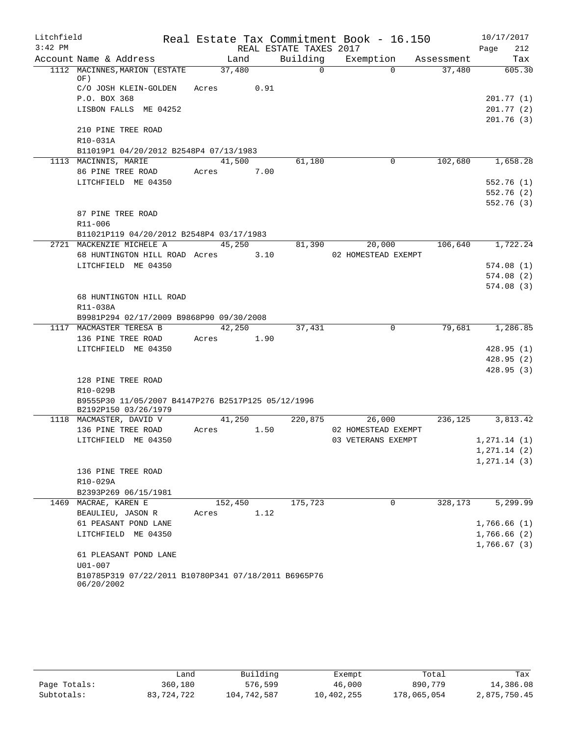| Litchfield |                                                                            |         |      |                        | Real Estate Tax Commitment Book - 16.150 |            | 10/17/2017                 |
|------------|----------------------------------------------------------------------------|---------|------|------------------------|------------------------------------------|------------|----------------------------|
| $3:42$ PM  |                                                                            |         |      | REAL ESTATE TAXES 2017 |                                          |            | 212<br>Page                |
|            | Account Name & Address                                                     | Land    |      | Building               | Exemption                                | Assessment | Tax                        |
|            | 1112 MACINNES, MARION (ESTATE<br>OF)                                       | 37,480  |      | $\Omega$               | $\Omega$                                 | 37,480     | 605.30                     |
|            | C/O JOSH KLEIN-GOLDEN                                                      | Acres   | 0.91 |                        |                                          |            |                            |
|            | P.O. BOX 368                                                               |         |      |                        |                                          |            | 201.77 (1)                 |
|            | LISBON FALLS ME 04252                                                      |         |      |                        |                                          |            | 201.77 (2)                 |
|            |                                                                            |         |      |                        |                                          |            | 201.76(3)                  |
|            | 210 PINE TREE ROAD                                                         |         |      |                        |                                          |            |                            |
|            | R10-031A                                                                   |         |      |                        |                                          |            |                            |
|            | B11019P1 04/20/2012 B2548P4 07/13/1983                                     |         |      |                        |                                          |            |                            |
|            | 1113 MACINNIS, MARIE                                                       | 41,500  |      | 61,180                 | $\mathbf 0$                              | 102,680    | 1,658.28                   |
|            | 86 PINE TREE ROAD                                                          | Acres   | 7.00 |                        |                                          |            |                            |
|            | LITCHFIELD ME 04350                                                        |         |      |                        |                                          |            | 552.76 (1)                 |
|            |                                                                            |         |      |                        |                                          |            | 552.76 (2)                 |
|            |                                                                            |         |      |                        |                                          |            | 552.76 (3)                 |
|            | 87 PINE TREE ROAD                                                          |         |      |                        |                                          |            |                            |
|            | R11-006                                                                    |         |      |                        |                                          |            |                            |
|            | B11021P119 04/20/2012 B2548P4 03/17/1983<br>2721 MACKENZIE MICHELE A       | 45,250  |      | 81,390                 | 20,000                                   | 106,640    | 1,722.24                   |
|            | 68 HUNTINGTON HILL ROAD Acres 3.10                                         |         |      |                        | 02 HOMESTEAD EXEMPT                      |            |                            |
|            | LITCHFIELD ME 04350                                                        |         |      |                        |                                          |            | 574.08(1)                  |
|            |                                                                            |         |      |                        |                                          |            | 574.08(2)                  |
|            |                                                                            |         |      |                        |                                          |            | 574.08(3)                  |
|            | 68 HUNTINGTON HILL ROAD                                                    |         |      |                        |                                          |            |                            |
|            | R11-038A                                                                   |         |      |                        |                                          |            |                            |
|            | B9981P294 02/17/2009 B9868P90 09/30/2008                                   |         |      |                        |                                          |            |                            |
|            | 1117 MACMASTER TERESA B                                                    | 42,250  |      | 37,431                 | $\mathbf 0$                              | 79,681     | 1,286.85                   |
|            | 136 PINE TREE ROAD                                                         | Acres   | 1.90 |                        |                                          |            |                            |
|            | LITCHFIELD ME 04350                                                        |         |      |                        |                                          |            | 428.95(1)                  |
|            |                                                                            |         |      |                        |                                          |            | 428.95(2)                  |
|            |                                                                            |         |      |                        |                                          |            | 428.95(3)                  |
|            | 128 PINE TREE ROAD                                                         |         |      |                        |                                          |            |                            |
|            | R10-029B                                                                   |         |      |                        |                                          |            |                            |
|            | B9555P30 11/05/2007 B4147P276 B2517P125 05/12/1996<br>B2192P150 03/26/1979 |         |      |                        |                                          |            |                            |
|            | 1118 MACMASTER, DAVID V                                                    | 41,250  |      | 220,875                | 26,000                                   | 236,125    | 3,813.42                   |
|            | 136 PINE TREE ROAD                                                         | Acres   | 1.50 |                        | 02 HOMESTEAD EXEMPT                      |            |                            |
|            | LITCHFIELD ME 04350                                                        |         |      |                        | 03 VETERANS EXEMPT                       |            | 1, 271.14 (1)              |
|            |                                                                            |         |      |                        |                                          |            | 1, 271.14 (2)              |
|            |                                                                            |         |      |                        |                                          |            | 1, 271.14(3)               |
|            | 136 PINE TREE ROAD                                                         |         |      |                        |                                          |            |                            |
|            | R10-029A                                                                   |         |      |                        |                                          |            |                            |
|            | B2393P269 06/15/1981                                                       |         |      |                        |                                          |            |                            |
| 1469       | MACRAE, KAREN E                                                            | 152,450 |      | 175,723                | 0                                        | 328,173    | 5, 299.99                  |
|            | BEAULIEU, JASON R                                                          | Acres   | 1.12 |                        |                                          |            |                            |
|            | 61 PEASANT POND LANE                                                       |         |      |                        |                                          |            | 1,766.66(1)                |
|            | LITCHFIELD ME 04350                                                        |         |      |                        |                                          |            | 1,766.66(2)<br>1,766.67(3) |
|            | 61 PLEASANT POND LANE                                                      |         |      |                        |                                          |            |                            |
|            | $U01 - 007$                                                                |         |      |                        |                                          |            |                            |
|            | B10785P319 07/22/2011 B10780P341 07/18/2011 B6965P76                       |         |      |                        |                                          |            |                            |
|            | 06/20/2002                                                                 |         |      |                        |                                          |            |                            |

|              | Land       | Building    | Exempt     | Total       | Tax          |
|--------------|------------|-------------|------------|-------------|--------------|
| Page Totals: | 360,180    | 576,599     | 46,000     | 890,779     | 14,386.08    |
| Subtotals:   | 83,724,722 | 104,742,587 | 10,402,255 | 178,065,054 | 2,875,750.45 |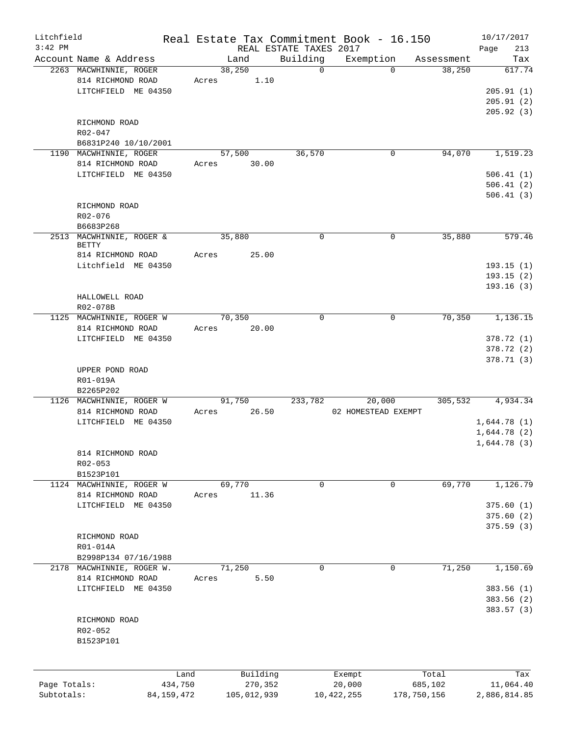| Litchfield   |                                   |         |             |                        | Real Estate Tax Commitment Book - 16.150 |             | 10/17/2017   |
|--------------|-----------------------------------|---------|-------------|------------------------|------------------------------------------|-------------|--------------|
| $3:42$ PM    |                                   |         |             | REAL ESTATE TAXES 2017 |                                          |             | 213<br>Page  |
|              | Account Name & Address            |         | Land        | Building               | Exemption                                | Assessment  | Tax          |
|              | 2263 MACWHINNIE, ROGER            |         | 38,250      | $\Omega$               | $\Omega$                                 | 38,250      | 617.74       |
|              | 814 RICHMOND ROAD                 | Acres   | 1.10        |                        |                                          |             |              |
|              | LITCHFIELD ME 04350               |         |             |                        |                                          |             | 205.91(1)    |
|              |                                   |         |             |                        |                                          |             | 205.91(2)    |
|              |                                   |         |             |                        |                                          |             | 205.92(3)    |
|              | RICHMOND ROAD                     |         |             |                        |                                          |             |              |
|              | R02-047                           |         |             |                        |                                          |             |              |
|              | B6831P240 10/10/2001              |         |             |                        |                                          |             |              |
|              | 1190 MACWHINNIE, ROGER            |         | 57,500      | 36,570                 | 0                                        | 94,070      | 1,519.23     |
|              | 814 RICHMOND ROAD                 | Acres   | 30.00       |                        |                                          |             |              |
|              | LITCHFIELD ME 04350               |         |             |                        |                                          |             | 506.41(1)    |
|              |                                   |         |             |                        |                                          |             | 506.41(2)    |
|              |                                   |         |             |                        |                                          |             | 506.41(3)    |
|              | RICHMOND ROAD                     |         |             |                        |                                          |             |              |
|              | R02-076                           |         |             |                        |                                          |             |              |
|              | B6683P268                         |         |             |                        |                                          |             |              |
|              | 2513 MACWHINNIE, ROGER &<br>BETTY |         | 35,880      | 0                      | $\mathbf 0$                              | 35,880      | 579.46       |
|              | 814 RICHMOND ROAD                 | Acres   | 25.00       |                        |                                          |             |              |
|              | Litchfield ME 04350               |         |             |                        |                                          |             | 193.15(1)    |
|              |                                   |         |             |                        |                                          |             | 193.15(2)    |
|              |                                   |         |             |                        |                                          |             | 193.16(3)    |
|              | HALLOWELL ROAD                    |         |             |                        |                                          |             |              |
|              | R02-078B                          |         |             |                        |                                          |             |              |
|              | 1125 MACWHINNIE, ROGER W          |         | 70,350      | 0                      | $\mathbf 0$                              | 70,350      | 1,136.15     |
|              | 814 RICHMOND ROAD                 | Acres   | 20.00       |                        |                                          |             |              |
|              | LITCHFIELD ME 04350               |         |             |                        |                                          |             | 378.72 (1)   |
|              |                                   |         |             |                        |                                          |             | 378.72 (2)   |
|              |                                   |         |             |                        |                                          |             | 378.71(3)    |
|              | UPPER POND ROAD                   |         |             |                        |                                          |             |              |
|              | R01-019A                          |         |             |                        |                                          |             |              |
|              | B2265P202                         |         |             |                        |                                          |             |              |
|              | 1126 MACWHINNIE, ROGER W          |         | 91,750      | 233,782                | 20,000                                   | 305,532     | 4,934.34     |
|              | 814 RICHMOND ROAD                 | Acres   | 26.50       |                        | 02 HOMESTEAD EXEMPT                      |             |              |
|              | LITCHFIELD ME 04350               |         |             |                        |                                          |             | 1,644.78(1)  |
|              |                                   |         |             |                        |                                          |             | 1,644.78(2)  |
|              |                                   |         |             |                        |                                          |             | 1,644.78(3)  |
|              | 814 RICHMOND ROAD                 |         |             |                        |                                          |             |              |
|              | $R02 - 053$                       |         |             |                        |                                          |             |              |
|              | B1523P101                         |         |             |                        |                                          |             |              |
|              | 1124 MACWHINNIE, ROGER W          |         | 69,770      | 0                      | 0                                        | 69,770      | 1,126.79     |
|              | 814 RICHMOND ROAD                 | Acres   | 11.36       |                        |                                          |             |              |
|              | LITCHFIELD ME 04350               |         |             |                        |                                          |             | 375.60(1)    |
|              |                                   |         |             |                        |                                          |             | 375.60 (2)   |
|              |                                   |         |             |                        |                                          |             | 375.59(3)    |
|              | RICHMOND ROAD                     |         |             |                        |                                          |             |              |
|              | R01-014A                          |         |             |                        |                                          |             |              |
|              | B2998P134 07/16/1988              |         |             |                        |                                          |             |              |
|              | 2178 MACWHINNIE, ROGER W.         |         | 71,250      | 0                      | $\mathbf 0$                              | 71,250      | 1,150.69     |
|              | 814 RICHMOND ROAD                 | Acres   | 5.50        |                        |                                          |             |              |
|              | LITCHFIELD ME 04350               |         |             |                        |                                          |             | 383.56 (1)   |
|              |                                   |         |             |                        |                                          |             | 383.56 (2)   |
|              |                                   |         |             |                        |                                          |             | 383.57 (3)   |
|              | RICHMOND ROAD                     |         |             |                        |                                          |             |              |
|              | R02-052                           |         |             |                        |                                          |             |              |
|              | B1523P101                         |         |             |                        |                                          |             |              |
|              |                                   |         |             |                        |                                          |             |              |
|              |                                   |         |             |                        |                                          |             |              |
|              |                                   | Land    | Building    |                        | Exempt                                   | Total       | Tax          |
| Page Totals: |                                   | 434,750 | 270,352     |                        | 20,000                                   | 685,102     | 11,064.40    |
| Subtotals:   | 84, 159, 472                      |         | 105,012,939 |                        | 10, 422, 255                             | 178,750,156 | 2,886,814.85 |
|              |                                   |         |             |                        |                                          |             |              |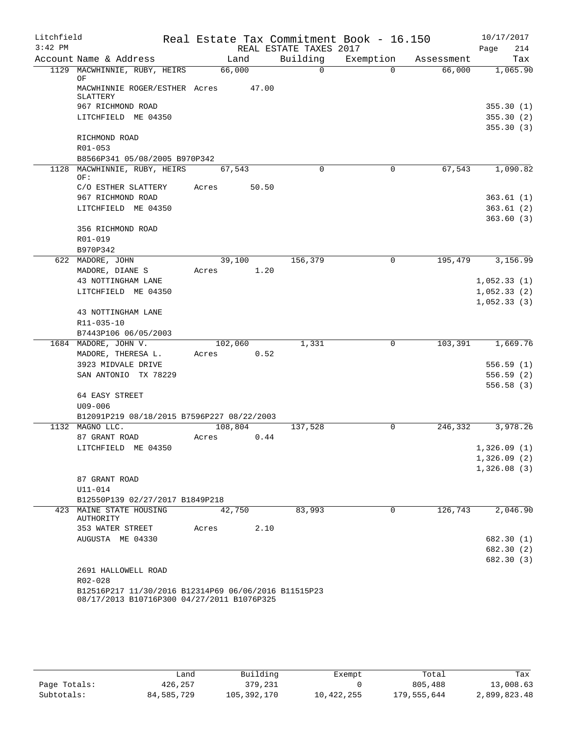| Litchfield |                                                                                                    | Real Estate Tax Commitment Book - 16.150 |                        |             |            | 10/17/2017                 |
|------------|----------------------------------------------------------------------------------------------------|------------------------------------------|------------------------|-------------|------------|----------------------------|
| $3:42$ PM  |                                                                                                    |                                          | REAL ESTATE TAXES 2017 |             |            | Page<br>214                |
|            | Account Name & Address                                                                             | Land                                     | Building               | Exemption   | Assessment | Tax                        |
|            | 1129 MACWHINNIE, RUBY, HEIRS                                                                       | 66,000                                   | $\overline{0}$         | $\Omega$    | 66,000     | 1,065.90                   |
|            | ΟF<br>MACWHINNIE ROGER/ESTHER Acres                                                                | 47.00                                    |                        |             |            |                            |
|            | SLATTERY                                                                                           |                                          |                        |             |            |                            |
|            | 967 RICHMOND ROAD                                                                                  |                                          |                        |             |            | 355.30(1)                  |
|            | LITCHFIELD ME 04350                                                                                |                                          |                        |             |            | 355.30(2)                  |
|            |                                                                                                    |                                          |                        |             |            | 355.30(3)                  |
|            | RICHMOND ROAD                                                                                      |                                          |                        |             |            |                            |
|            | R01-053                                                                                            |                                          |                        |             |            |                            |
| 1128       | B8566P341 05/08/2005 B970P342<br>MACWHINNIE, RUBY, HEIRS                                           | 67,543                                   | $\Omega$               | $\mathbf 0$ | 67,543     | 1,090.82                   |
|            | OF:                                                                                                |                                          |                        |             |            |                            |
|            | C/O ESTHER SLATTERY                                                                                | 50.50<br>Acres                           |                        |             |            |                            |
|            | 967 RICHMOND ROAD                                                                                  |                                          |                        |             |            | 363.61(1)                  |
|            | LITCHFIELD ME 04350                                                                                |                                          |                        |             |            | 363.61(2)                  |
|            |                                                                                                    |                                          |                        |             |            | 363.60(3)                  |
|            | 356 RICHMOND ROAD                                                                                  |                                          |                        |             |            |                            |
|            | R01-019<br>B970P342                                                                                |                                          |                        |             |            |                            |
|            | 622 MADORE, JOHN                                                                                   | 39,100                                   | 156,379                | 0           | 195,479    | 3,156.99                   |
|            | MADORE, DIANE S                                                                                    | 1.20<br>Acres                            |                        |             |            |                            |
|            | 43 NOTTINGHAM LANE                                                                                 |                                          |                        |             |            | 1,052.33(1)                |
|            | LITCHFIELD ME 04350                                                                                |                                          |                        |             |            | 1,052.33(2)                |
|            |                                                                                                    |                                          |                        |             |            | 1,052.33(3)                |
|            | 43 NOTTINGHAM LANE                                                                                 |                                          |                        |             |            |                            |
|            | R11-035-10                                                                                         |                                          |                        |             |            |                            |
|            | B7443P106 06/05/2003                                                                               |                                          |                        |             |            |                            |
|            | 1684 MADORE, JOHN V.                                                                               | 102,060                                  | 1,331                  | $\mathbf 0$ | 103,391    | 1,669.76                   |
|            | MADORE, THERESA L.<br>3923 MIDVALE DRIVE                                                           | 0.52<br>Acres                            |                        |             |            | 556.59(1)                  |
|            | SAN ANTONIO TX 78229                                                                               |                                          |                        |             |            | 556.59(2)                  |
|            |                                                                                                    |                                          |                        |             |            | 556.58(3)                  |
|            | 64 EASY STREET                                                                                     |                                          |                        |             |            |                            |
|            | $U09 - 006$                                                                                        |                                          |                        |             |            |                            |
|            | B12091P219 08/18/2015 B7596P227 08/22/2003                                                         |                                          |                        |             |            |                            |
|            | 1132 MAGNO LLC.                                                                                    | 108,804                                  | 137,528                | $\mathbf 0$ | 246,332    | 3,978.26                   |
|            | 87 GRANT ROAD                                                                                      | Acres<br>0.44                            |                        |             |            |                            |
|            | LITCHFIELD ME 04350                                                                                |                                          |                        |             |            | 1,326.09(1)                |
|            |                                                                                                    |                                          |                        |             |            | 1,326.09(2)<br>1,326.08(3) |
|            | 87 GRANT ROAD                                                                                      |                                          |                        |             |            |                            |
|            | $U11 - 014$                                                                                        |                                          |                        |             |            |                            |
|            | B12550P139 02/27/2017 B1849P218                                                                    |                                          |                        |             |            |                            |
|            | 423 MAINE STATE HOUSING                                                                            | 42,750                                   | 83,993                 | $\Omega$    | 126,743    | 2,046.90                   |
|            | AUTHORITY                                                                                          | 2.10                                     |                        |             |            |                            |
|            | 353 WATER STREET<br>AUGUSTA ME 04330                                                               | Acres                                    |                        |             |            | 682.30 (1)                 |
|            |                                                                                                    |                                          |                        |             |            | 682.30 (2)                 |
|            |                                                                                                    |                                          |                        |             |            | 682.30 (3)                 |
|            | 2691 HALLOWELL ROAD                                                                                |                                          |                        |             |            |                            |
|            | R02-028                                                                                            |                                          |                        |             |            |                            |
|            | B12516P217 11/30/2016 B12314P69 06/06/2016 B11515P23<br>08/17/2013 B10716P300 04/27/2011 B1076P325 |                                          |                        |             |            |                            |

|              | Land       | Building    | Exempt     | Total       | Tax          |
|--------------|------------|-------------|------------|-------------|--------------|
| Page Totals: | 426,257    | 379,231     |            | 805,488     | 13,008.63    |
| Subtotals:   | 84,585,729 | 105,392,170 | 10,422,255 | 179,555,644 | 2,899,823.48 |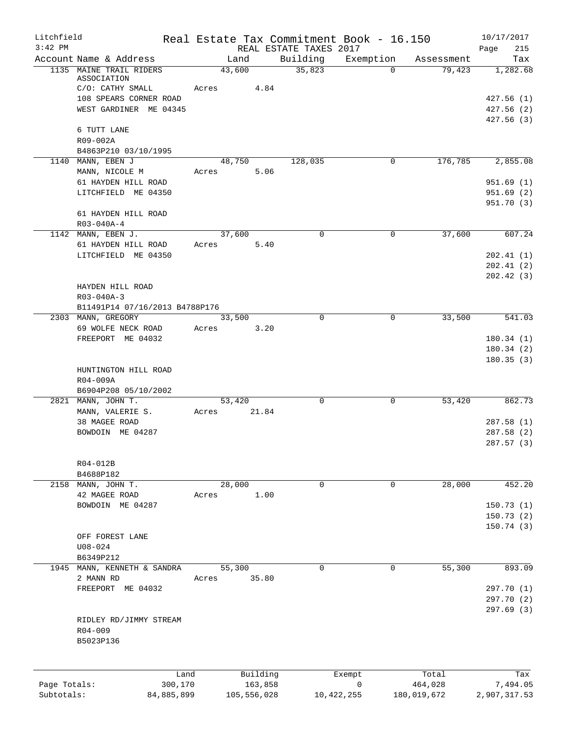| Litchfield                 |                                         |       |                        |      |                                    | Real Estate Tax Commitment Book - 16.150 |             | 10/17/2017             |
|----------------------------|-----------------------------------------|-------|------------------------|------|------------------------------------|------------------------------------------|-------------|------------------------|
| $3:42$ PM                  | Account Name & Address                  |       | Land                   |      | REAL ESTATE TAXES 2017<br>Building | Exemption                                | Assessment  | 215<br>Page<br>Tax     |
|                            | 1135 MAINE TRAIL RIDERS                 |       | 43,600                 |      | 35,823                             | $\Omega$                                 | 79,423      | 1,282.68               |
|                            | ASSOCIATION                             |       |                        |      |                                    |                                          |             |                        |
|                            | C/O: CATHY SMALL                        | Acres |                        | 4.84 |                                    |                                          |             |                        |
|                            | 108 SPEARS CORNER ROAD                  |       |                        |      |                                    |                                          |             | 427.56(1)              |
|                            | WEST GARDINER ME 04345                  |       |                        |      |                                    |                                          |             | 427.56(2)<br>427.56(3) |
|                            | 6 TUTT LANE                             |       |                        |      |                                    |                                          |             |                        |
|                            | R09-002A                                |       |                        |      |                                    |                                          |             |                        |
|                            | B4863P210 03/10/1995                    |       |                        |      |                                    |                                          |             |                        |
|                            | 1140 MANN, EBEN J                       |       | 48,750                 |      | 128,035                            | 0                                        | 176,785     | 2,855.08               |
|                            | MANN, NICOLE M<br>61 HAYDEN HILL ROAD   | Acres |                        | 5.06 |                                    |                                          |             | 951.69(1)              |
|                            | LITCHFIELD ME 04350                     |       |                        |      |                                    |                                          |             | 951.69(2)              |
|                            |                                         |       |                        |      |                                    |                                          |             | 951.70 (3)             |
|                            | 61 HAYDEN HILL ROAD                     |       |                        |      |                                    |                                          |             |                        |
|                            | R03-040A-4                              |       |                        |      |                                    |                                          |             |                        |
|                            | 1142 MANN, EBEN J.                      |       | 37,600                 |      | $\mathbf 0$                        | 0                                        | 37,600      | 607.24                 |
|                            | 61 HAYDEN HILL ROAD                     | Acres |                        | 5.40 |                                    |                                          |             |                        |
|                            | LITCHFIELD ME 04350                     |       |                        |      |                                    |                                          |             | 202.41(1)<br>202.41(2) |
|                            |                                         |       |                        |      |                                    |                                          |             | 202.42(3)              |
|                            | HAYDEN HILL ROAD                        |       |                        |      |                                    |                                          |             |                        |
|                            | R03-040A-3                              |       |                        |      |                                    |                                          |             |                        |
|                            | B11491P14 07/16/2013 B4788P176          |       |                        |      |                                    |                                          |             |                        |
|                            | 2303 MANN, GREGORY                      |       | 33,500                 |      | $\Omega$                           | 0                                        | 33,500      | 541.03                 |
|                            | 69 WOLFE NECK ROAD<br>FREEPORT ME 04032 | Acres |                        | 3.20 |                                    |                                          |             | 180.34(1)              |
|                            |                                         |       |                        |      |                                    |                                          |             | 180.34(2)              |
|                            |                                         |       |                        |      |                                    |                                          |             | 180.35(3)              |
|                            | HUNTINGTON HILL ROAD                    |       |                        |      |                                    |                                          |             |                        |
|                            | R04-009A                                |       |                        |      |                                    |                                          |             |                        |
|                            | B6904P208 05/10/2002                    |       |                        |      |                                    |                                          |             |                        |
|                            | 2821 MANN, JOHN T.<br>MANN, VALERIE S.  | Acres | 53,420<br>21.84        |      | $\mathbf 0$                        | 0                                        | 53,420      | 862.73                 |
|                            | 38 MAGEE ROAD                           |       |                        |      |                                    |                                          |             | 287.58(1)              |
|                            | BOWDOIN ME 04287                        |       |                        |      |                                    |                                          |             | 287.58(2)              |
|                            |                                         |       |                        |      |                                    |                                          |             | 287.57(3)              |
|                            |                                         |       |                        |      |                                    |                                          |             |                        |
|                            | R04-012B                                |       |                        |      |                                    |                                          |             |                        |
|                            | B4688P182<br>2158 MANN, JOHN T.         |       | 28,000                 |      | 0                                  | 0                                        | 28,000      | 452.20                 |
|                            | 42 MAGEE ROAD                           | Acres |                        | 1.00 |                                    |                                          |             |                        |
|                            | BOWDOIN ME 04287                        |       |                        |      |                                    |                                          |             | 150.73(1)              |
|                            |                                         |       |                        |      |                                    |                                          |             | 150.73(2)              |
|                            |                                         |       |                        |      |                                    |                                          |             | 150.74(3)              |
|                            | OFF FOREST LANE                         |       |                        |      |                                    |                                          |             |                        |
|                            | $U08 - 024$<br>B6349P212                |       |                        |      |                                    |                                          |             |                        |
|                            | 1945 MANN, KENNETH & SANDRA             |       | 55,300                 |      | $\Omega$                           | 0                                        | 55,300      | 893.09                 |
|                            | 2 MANN RD                               | Acres | 35.80                  |      |                                    |                                          |             |                        |
|                            | FREEPORT ME 04032                       |       |                        |      |                                    |                                          |             | 297.70 (1)             |
|                            |                                         |       |                        |      |                                    |                                          |             | 297.70 (2)             |
|                            |                                         |       |                        |      |                                    |                                          |             | 297.69(3)              |
|                            | RIDLEY RD/JIMMY STREAM                  |       |                        |      |                                    |                                          |             |                        |
|                            | $R04 - 009$<br>B5023P136                |       |                        |      |                                    |                                          |             |                        |
|                            |                                         |       |                        |      |                                    |                                          |             |                        |
|                            |                                         |       |                        |      |                                    |                                          |             |                        |
|                            | Land                                    |       | Building               |      |                                    | Exempt                                   | Total       | Tax                    |
| Page Totals:<br>Subtotals: | 300,170                                 |       | 163,858<br>105,556,028 |      |                                    | $\mathbf 0$                              | 464,028     | 7,494.05               |
|                            | 84,885,899                              |       |                        |      |                                    | 10, 422, 255                             | 180,019,672 | 2,907,317.53           |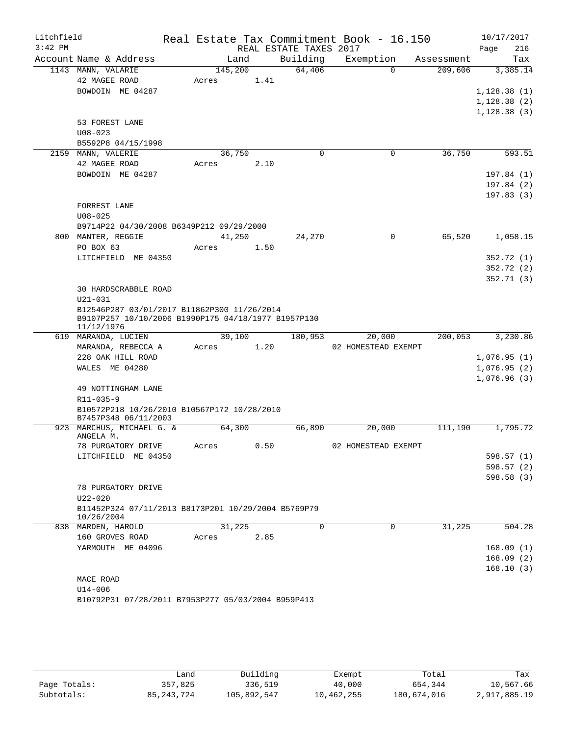| Litchfield |                                                                                                                  |         |      |                        | Real Estate Tax Commitment Book - 16.150 |            | 10/17/2017  |
|------------|------------------------------------------------------------------------------------------------------------------|---------|------|------------------------|------------------------------------------|------------|-------------|
| $3:42$ PM  |                                                                                                                  |         |      | REAL ESTATE TAXES 2017 |                                          |            | Page<br>216 |
|            | Account Name & Address                                                                                           | Land    |      | Building               | Exemption                                | Assessment | Tax         |
|            | 1143 MANN, VALARIE                                                                                               | 145,200 |      | 64,406                 | $\Omega$                                 | 209,606    | 3,385.14    |
|            | 42 MAGEE ROAD                                                                                                    | Acres   | 1.41 |                        |                                          |            |             |
|            | BOWDOIN ME 04287                                                                                                 |         |      |                        |                                          |            | 1,128.38(1) |
|            |                                                                                                                  |         |      |                        |                                          |            | 1,128.38(2) |
|            |                                                                                                                  |         |      |                        |                                          |            | 1,128.38(3) |
|            | 53 FOREST LANE                                                                                                   |         |      |                        |                                          |            |             |
|            | $U08 - 023$<br>B5592P8 04/15/1998                                                                                |         |      |                        |                                          |            |             |
|            | 2159 MANN, VALERIE                                                                                               | 36,750  |      | 0                      | $\mathbf 0$                              | 36,750     | 593.51      |
|            | 42 MAGEE ROAD                                                                                                    | Acres   | 2.10 |                        |                                          |            |             |
|            | BOWDOIN ME 04287                                                                                                 |         |      |                        |                                          |            | 197.84(1)   |
|            |                                                                                                                  |         |      |                        |                                          |            | 197.84(2)   |
|            |                                                                                                                  |         |      |                        |                                          |            | 197.83(3)   |
|            | FORREST LANE                                                                                                     |         |      |                        |                                          |            |             |
|            | $U08 - 025$                                                                                                      |         |      |                        |                                          |            |             |
|            | B9714P22 04/30/2008 B6349P212 09/29/2000                                                                         |         |      |                        |                                          |            |             |
|            | 800 MANTER, REGGIE                                                                                               | 41,250  |      | 24,270                 | $\Omega$                                 | 65,520     | 1,058.15    |
|            | PO BOX 63                                                                                                        | Acres   | 1.50 |                        |                                          |            |             |
|            | LITCHFIELD ME 04350                                                                                              |         |      |                        |                                          |            | 352.72(1)   |
|            |                                                                                                                  |         |      |                        |                                          |            | 352.72(2)   |
|            |                                                                                                                  |         |      |                        |                                          |            | 352.71(3)   |
|            | <b>30 HARDSCRABBLE ROAD</b>                                                                                      |         |      |                        |                                          |            |             |
|            | U21-031                                                                                                          |         |      |                        |                                          |            |             |
|            | B12546P287 03/01/2017 B11862P300 11/26/2014<br>B9107P257 10/10/2006 B1990P175 04/18/1977 B1957P130<br>11/12/1976 |         |      |                        |                                          |            |             |
|            | 619 MARANDA, LUCIEN                                                                                              | 39,100  |      | 180,953                | 20,000                                   | 200,053    | 3,230.86    |
|            | MARANDA, REBECCA A                                                                                               | Acres   | 1.20 |                        | 02 HOMESTEAD EXEMPT                      |            |             |
|            | 228 OAK HILL ROAD                                                                                                |         |      |                        |                                          |            | 1,076.95(1) |
|            | WALES ME 04280                                                                                                   |         |      |                        |                                          |            | 1,076.95(2) |
|            |                                                                                                                  |         |      |                        |                                          |            | 1,076.96(3) |
|            | 49 NOTTINGHAM LANE                                                                                               |         |      |                        |                                          |            |             |
|            | R11-035-9                                                                                                        |         |      |                        |                                          |            |             |
|            | B10572P218 10/26/2010 B10567P172 10/28/2010                                                                      |         |      |                        |                                          |            |             |
|            | B7457P348 06/11/2003<br>923 MARCHUS, MICHAEL G. &                                                                | 64,300  |      | 66,890                 | 20,000                                   | 111,190    | 1,795.72    |
|            | ANGELA M.                                                                                                        |         |      |                        |                                          |            |             |
|            | 78 PURGATORY DRIVE                                                                                               | Acres   | 0.50 |                        | 02 HOMESTEAD EXEMPT                      |            |             |
|            | LITCHFIELD ME 04350                                                                                              |         |      |                        |                                          |            | 598.57(1)   |
|            |                                                                                                                  |         |      |                        |                                          |            | 598.57 (2)  |
|            |                                                                                                                  |         |      |                        |                                          |            | 598.58(3)   |
|            | 78 PURGATORY DRIVE                                                                                               |         |      |                        |                                          |            |             |
|            | U22-020                                                                                                          |         |      |                        |                                          |            |             |
|            | B11452P324 07/11/2013 B8173P201 10/29/2004 B5769P79<br>10/26/2004                                                |         |      |                        |                                          |            |             |
|            | 838 MARDEN, HAROLD                                                                                               | 31,225  |      | $\mathbf 0$            | $\mathbf 0$                              | 31,225     | 504.28      |
|            | 160 GROVES ROAD                                                                                                  | Acres   | 2.85 |                        |                                          |            |             |
|            | YARMOUTH ME 04096                                                                                                |         |      |                        |                                          |            | 168.09(1)   |
|            |                                                                                                                  |         |      |                        |                                          |            | 168.09(2)   |
|            |                                                                                                                  |         |      |                        |                                          |            | 168.10(3)   |
|            | MACE ROAD                                                                                                        |         |      |                        |                                          |            |             |
|            | U14-006                                                                                                          |         |      |                        |                                          |            |             |
|            | B10792P31 07/28/2011 B7953P277 05/03/2004 B959P413                                                               |         |      |                        |                                          |            |             |

|              | Land         | Building    | Exempt     | Total       | Tax          |
|--------------|--------------|-------------|------------|-------------|--------------|
| Page Totals: | 357,825      | 336,519     | 40,000     | 654,344     | 10,567.66    |
| Subtotals:   | 85, 243, 724 | 105,892,547 | 10,462,255 | 180,674,016 | 2,917,885.19 |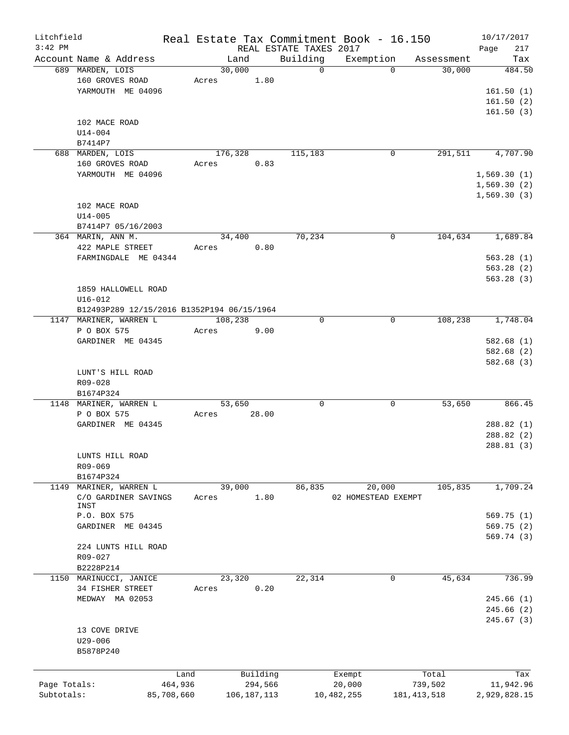| Litchfield   |                                            |            |         |               |                        | Real Estate Tax Commitment Book - 16.150 |               | 10/17/2017   |
|--------------|--------------------------------------------|------------|---------|---------------|------------------------|------------------------------------------|---------------|--------------|
| $3:42$ PM    |                                            |            |         |               | REAL ESTATE TAXES 2017 |                                          |               | 217<br>Page  |
|              | Account Name & Address                     |            |         | Land          | Building               | Exemption                                | Assessment    | Tax          |
|              | 689 MARDEN, LOIS                           |            | 30,000  |               | $\Omega$               | $\Omega$                                 | 30,000        | 484.50       |
|              | 160 GROVES ROAD                            |            | Acres   | 1.80          |                        |                                          |               |              |
|              | YARMOUTH ME 04096                          |            |         |               |                        |                                          |               | 161.50(1)    |
|              |                                            |            |         |               |                        |                                          |               | 161.50(2)    |
|              |                                            |            |         |               |                        |                                          |               | 161.50(3)    |
|              | 102 MACE ROAD                              |            |         |               |                        |                                          |               |              |
|              | $U14 - 004$                                |            |         |               |                        |                                          |               |              |
|              | B7414P7                                    |            |         |               |                        |                                          |               |              |
|              | 688 MARDEN, LOIS                           |            | 176,328 |               | 115,183                | 0                                        | 291,511       | 4,707.90     |
|              | 160 GROVES ROAD                            |            | Acres   | 0.83          |                        |                                          |               |              |
|              | YARMOUTH ME 04096                          |            |         |               |                        |                                          |               | 1,569.30(1)  |
|              |                                            |            |         |               |                        |                                          |               | 1,569.30(2)  |
|              |                                            |            |         |               |                        |                                          |               | 1,569.30(3)  |
|              | 102 MACE ROAD                              |            |         |               |                        |                                          |               |              |
|              | $U14 - 005$                                |            |         |               |                        |                                          |               |              |
|              | B7414P7 05/16/2003                         |            |         |               |                        |                                          |               |              |
|              | 364 MARIN, ANN M.                          |            | 34,400  |               | 70,234                 | $\mathbf 0$                              | 104,634       | 1,689.84     |
|              | 422 MAPLE STREET                           |            | Acres   | 0.80          |                        |                                          |               |              |
|              | FARMINGDALE ME 04344                       |            |         |               |                        |                                          |               | 563.28(1)    |
|              |                                            |            |         |               |                        |                                          |               | 563.28(2)    |
|              |                                            |            |         |               |                        |                                          |               | 563.28(3)    |
|              | 1859 HALLOWELL ROAD                        |            |         |               |                        |                                          |               |              |
|              | $U16 - 012$                                |            |         |               |                        |                                          |               |              |
|              | B12493P289 12/15/2016 B1352P194 06/15/1964 |            |         |               |                        |                                          |               |              |
|              | 1147 MARINER, WARREN L                     |            | 108,238 |               | $\mathbf 0$            | 0                                        | 108,238       | 1,748.04     |
|              | P O BOX 575                                |            | Acres   | 9.00          |                        |                                          |               |              |
|              | GARDINER ME 04345                          |            |         |               |                        |                                          |               | 582.68(1)    |
|              |                                            |            |         |               |                        |                                          |               | 582.68 (2)   |
|              |                                            |            |         |               |                        |                                          |               | 582.68 (3)   |
|              | LUNT'S HILL ROAD                           |            |         |               |                        |                                          |               |              |
|              | R09-028                                    |            |         |               |                        |                                          |               |              |
|              | B1674P324                                  |            |         |               |                        |                                          |               |              |
|              | 1148 MARINER, WARREN L                     |            | 53,650  |               | $\mathbf 0$            | 0                                        | 53,650        | 866.45       |
|              | P O BOX 575                                |            | Acres   | 28.00         |                        |                                          |               |              |
|              | GARDINER ME 04345                          |            |         |               |                        |                                          |               | 288.82(1)    |
|              |                                            |            |         |               |                        |                                          |               | 288.82(2)    |
|              |                                            |            |         |               |                        |                                          |               | 288.81(3)    |
|              | LUNTS HILL ROAD                            |            |         |               |                        |                                          |               |              |
|              | R09-069                                    |            |         |               |                        |                                          |               |              |
|              | B1674P324                                  |            |         |               |                        |                                          |               |              |
| 1149         | MARINER, WARREN L                          |            | 39,000  |               | 86,835                 | 20,000                                   | 105,835       | 1,709.24     |
|              | C/O GARDINER SAVINGS                       |            | Acres   | 1.80          |                        | 02 HOMESTEAD EXEMPT                      |               |              |
|              | INST                                       |            |         |               |                        |                                          |               |              |
|              | P.O. BOX 575                               |            |         |               |                        |                                          |               | 569.75(1)    |
|              | GARDINER ME 04345                          |            |         |               |                        |                                          |               | 569.75 (2)   |
|              |                                            |            |         |               |                        |                                          |               | 569.74 (3)   |
|              | 224 LUNTS HILL ROAD                        |            |         |               |                        |                                          |               |              |
|              | R09-027                                    |            |         |               |                        |                                          |               |              |
|              | B2228P214                                  |            |         |               |                        |                                          |               |              |
|              | 1150 MARINUCCI, JANICE                     |            | 23,320  |               | 22,314                 | 0                                        | 45,634        | 736.99       |
|              | 34 FISHER STREET                           |            | Acres   | 0.20          |                        |                                          |               |              |
|              | MEDWAY MA 02053                            |            |         |               |                        |                                          |               | 245.66(1)    |
|              |                                            |            |         |               |                        |                                          |               | 245.66 (2)   |
|              |                                            |            |         |               |                        |                                          |               | 245.67(3)    |
|              | 13 COVE DRIVE                              |            |         |               |                        |                                          |               |              |
|              | U29-006                                    |            |         |               |                        |                                          |               |              |
|              | B5878P240                                  |            |         |               |                        |                                          |               |              |
|              |                                            |            |         |               |                        |                                          |               |              |
|              |                                            | Land       |         | Building      |                        | Exempt                                   | Total         | Tax          |
| Page Totals: |                                            | 464,936    |         | 294,566       |                        | 20,000                                   | 739,502       | 11,942.96    |
| Subtotals:   |                                            | 85,708,660 |         | 106, 187, 113 |                        | 10,482,255                               | 181, 413, 518 | 2,929,828.15 |
|              |                                            |            |         |               |                        |                                          |               |              |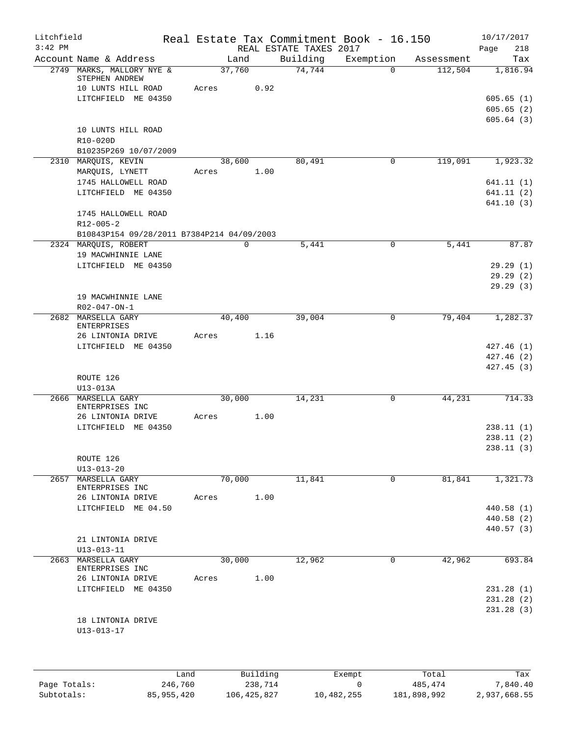| Litchfield   |                                                     |       |                |                        | Real Estate Tax Commitment Book - 16.150 |                       | 10/17/2017               |
|--------------|-----------------------------------------------------|-------|----------------|------------------------|------------------------------------------|-----------------------|--------------------------|
| $3:42$ PM    |                                                     |       |                | REAL ESTATE TAXES 2017 |                                          |                       | Page<br>218              |
|              | Account Name & Address<br>2749 MARKS, MALLORY NYE & |       | Land<br>37,760 | Building<br>74,744     | Exemption<br>$\Omega$                    | Assessment<br>112,504 | Tax<br>1,816.94          |
|              | STEPHEN ANDREW<br>10 LUNTS HILL ROAD                | Acres | 0.92           |                        |                                          |                       |                          |
|              | LITCHFIELD ME 04350                                 |       |                |                        |                                          |                       | 605.65(1)                |
|              |                                                     |       |                |                        |                                          |                       | 605.65(2)                |
|              |                                                     |       |                |                        |                                          |                       | 605.64(3)                |
|              | 10 LUNTS HILL ROAD<br>R10-020D                      |       |                |                        |                                          |                       |                          |
|              | B10235P269 10/07/2009                               |       |                |                        |                                          |                       |                          |
|              | 2310 MARQUIS, KEVIN                                 |       | 38,600         | 80,491                 | 0                                        | 119,091               | 1,923.32                 |
|              | MARQUIS, LYNETT<br>1745 HALLOWELL ROAD              | Acres | 1.00           |                        |                                          |                       | 641.11(1)                |
|              | LITCHFIELD ME 04350                                 |       |                |                        |                                          |                       | 641.11(2)                |
|              |                                                     |       |                |                        |                                          |                       | 641.10(3)                |
|              | 1745 HALLOWELL ROAD                                 |       |                |                        |                                          |                       |                          |
|              | $R12 - 005 - 2$                                     |       |                |                        |                                          |                       |                          |
|              | B10843P154 09/28/2011 B7384P214 04/09/2003          |       |                |                        |                                          |                       |                          |
|              | 2324 MAROUIS, ROBERT                                |       | $\mathbf 0$    | 5,441                  | $\mathbf 0$                              | 5,441                 | 87.87                    |
|              | 19 MACWHINNIE LANE                                  |       |                |                        |                                          |                       |                          |
|              | LITCHFIELD ME 04350                                 |       |                |                        |                                          |                       | 29.29(1)                 |
|              |                                                     |       |                |                        |                                          |                       | 29.29(2)<br>29.29(3)     |
|              | 19 MACWHINNIE LANE                                  |       |                |                        |                                          |                       |                          |
|              | R02-047-ON-1                                        |       |                |                        |                                          |                       |                          |
|              | 2682 MARSELLA GARY                                  |       | 40,400         | 39,004                 | $\mathbf 0$                              | 79,404                | 1,282.37                 |
|              | ENTERPRISES                                         |       |                |                        |                                          |                       |                          |
|              | 26 LINTONIA DRIVE                                   | Acres | 1.16           |                        |                                          |                       |                          |
|              | LITCHFIELD ME 04350                                 |       |                |                        |                                          |                       | 427.46(1)                |
|              |                                                     |       |                |                        |                                          |                       | 427.46(2)<br>427.45(3)   |
|              | ROUTE 126                                           |       |                |                        |                                          |                       |                          |
|              | U13-013A                                            |       |                |                        |                                          |                       |                          |
|              | 2666 MARSELLA GARY                                  |       | 30,000         | 14,231                 | 0                                        | 44,231                | 714.33                   |
|              | ENTERPRISES INC                                     |       |                |                        |                                          |                       |                          |
|              | 26 LINTONIA DRIVE                                   | Acres | 1.00           |                        |                                          |                       |                          |
|              | LITCHFIELD ME 04350                                 |       |                |                        |                                          |                       | 238.11(1)<br>238.11(2)   |
|              |                                                     |       |                |                        |                                          |                       | 238.11(3)                |
|              | ROUTE 126                                           |       |                |                        |                                          |                       |                          |
|              | $U13 - 013 - 20$                                    |       |                |                        |                                          |                       |                          |
| 2657         | MARSELLA GARY                                       |       | 70,000         | 11,841                 | 0                                        | 81,841                | 1,321.73                 |
|              | ENTERPRISES INC                                     |       |                |                        |                                          |                       |                          |
|              | 26 LINTONIA DRIVE<br>LITCHFIELD ME 04.50            | Acres | 1.00           |                        |                                          |                       |                          |
|              |                                                     |       |                |                        |                                          |                       | 440.58 (1)<br>440.58 (2) |
|              |                                                     |       |                |                        |                                          |                       | 440.57 (3)               |
|              | 21 LINTONIA DRIVE                                   |       |                |                        |                                          |                       |                          |
|              | $U13 - 013 - 11$                                    |       |                |                        |                                          |                       |                          |
| 2663         | MARSELLA GARY                                       |       | 30,000         | 12,962                 | $\mathbf 0$                              | 42,962                | 693.84                   |
|              | ENTERPRISES INC                                     |       |                |                        |                                          |                       |                          |
|              | 26 LINTONIA DRIVE<br>LITCHFIELD ME 04350            | Acres | 1.00           |                        |                                          |                       | 231.28 (1)               |
|              |                                                     |       |                |                        |                                          |                       | 231.28(2)                |
|              |                                                     |       |                |                        |                                          |                       | 231.28(3)                |
|              | 18 LINTONIA DRIVE                                   |       |                |                        |                                          |                       |                          |
|              | $U13 - 013 - 17$                                    |       |                |                        |                                          |                       |                          |
|              |                                                     |       |                |                        |                                          |                       |                          |
|              |                                                     |       |                |                        |                                          |                       |                          |
|              |                                                     |       |                |                        |                                          |                       |                          |
|              |                                                     | Land  | Building       |                        | Exempt                                   | Total                 | Tax                      |
| Page Totals: | 246,760                                             |       | 238,714        |                        | 0                                        | 485,474               | 7,840.40                 |

Subtotals: 85,955,420 106,425,827 10,482,255 181,898,992 2,937,668.55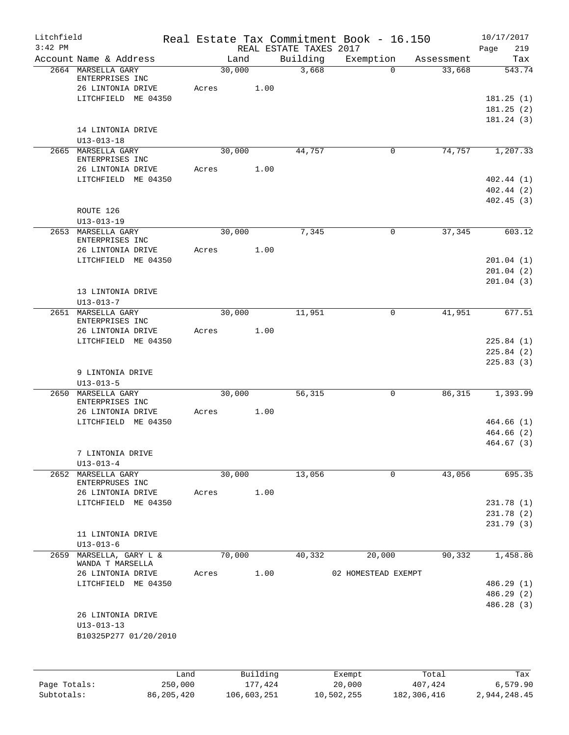| Litchfield                 |                                        |         |        |                        |                        | Real Estate Tax Commitment Book - 16.150 |                          | 10/17/2017               |
|----------------------------|----------------------------------------|---------|--------|------------------------|------------------------|------------------------------------------|--------------------------|--------------------------|
| $3:42$ PM                  |                                        |         |        |                        | REAL ESTATE TAXES 2017 |                                          |                          | Page<br>219              |
|                            | Account Name & Address                 |         | Land   |                        | Building               | Exemption                                | Assessment               | Tax<br>543.74            |
|                            | 2664 MARSELLA GARY<br>ENTERPRISES INC  |         | 30,000 |                        | 3,668                  | $\Omega$                                 | 33,668                   |                          |
|                            | 26 LINTONIA DRIVE                      | Acres   |        | 1.00                   |                        |                                          |                          |                          |
|                            | LITCHFIELD ME 04350                    |         |        |                        |                        |                                          |                          | 181.25(1)                |
|                            |                                        |         |        |                        |                        |                                          |                          | 181.25(2)                |
|                            |                                        |         |        |                        |                        |                                          |                          | 181.24(3)                |
|                            | 14 LINTONIA DRIVE                      |         |        |                        |                        |                                          |                          |                          |
|                            | $U13 - 013 - 18$                       |         |        |                        |                        |                                          |                          |                          |
|                            | 2665 MARSELLA GARY                     |         | 30,000 |                        | 44,757                 | 0                                        | 74,757                   | 1,207.33                 |
|                            | ENTERPRISES INC<br>26 LINTONIA DRIVE   | Acres   |        | 1.00                   |                        |                                          |                          |                          |
|                            | LITCHFIELD ME 04350                    |         |        |                        |                        |                                          |                          | 402.44(1)                |
|                            |                                        |         |        |                        |                        |                                          |                          | 402.44(2)                |
|                            |                                        |         |        |                        |                        |                                          |                          | 402.45(3)                |
|                            | ROUTE 126                              |         |        |                        |                        |                                          |                          |                          |
|                            | $U13 - 013 - 19$                       |         |        |                        |                        |                                          |                          |                          |
|                            | 2653 MARSELLA GARY                     |         | 30,000 |                        | 7,345                  | $\mathbf 0$                              | 37,345                   | 603.12                   |
|                            | ENTERPRISES INC                        |         |        |                        |                        |                                          |                          |                          |
|                            | 26 LINTONIA DRIVE                      | Acres   |        | 1.00                   |                        |                                          |                          |                          |
|                            | LITCHFIELD ME 04350                    |         |        |                        |                        |                                          |                          | 201.04(1)                |
|                            |                                        |         |        |                        |                        |                                          |                          | 201.04(2)                |
|                            |                                        |         |        |                        |                        |                                          |                          | 201.04(3)                |
|                            | 13 LINTONIA DRIVE                      |         |        |                        |                        |                                          |                          |                          |
|                            | $U13 - 013 - 7$                        |         |        |                        |                        |                                          |                          |                          |
|                            | 2651 MARSELLA GARY<br>ENTERPRISES INC  |         | 30,000 |                        | 11,951                 | $\mathsf{O}$                             | 41,951                   | 677.51                   |
|                            | 26 LINTONIA DRIVE                      | Acres   |        | 1.00                   |                        |                                          |                          |                          |
|                            | LITCHFIELD ME 04350                    |         |        |                        |                        |                                          |                          | 225.84(1)                |
|                            |                                        |         |        |                        |                        |                                          |                          | 225.84(2)                |
|                            |                                        |         |        |                        |                        |                                          |                          | 225.83(3)                |
|                            | 9 LINTONIA DRIVE                       |         |        |                        |                        |                                          |                          |                          |
|                            | $U13 - 013 - 5$                        |         |        |                        |                        |                                          |                          |                          |
| 2650                       | MARSELLA GARY                          |         | 30,000 |                        | 56,315                 | $\mathbf 0$                              | 86,315                   | 1,393.99                 |
|                            | ENTERPRISES INC                        |         |        |                        |                        |                                          |                          |                          |
|                            | 26 LINTONIA DRIVE                      | Acres   |        | 1.00                   |                        |                                          |                          |                          |
|                            | LITCHFIELD ME 04350                    |         |        |                        |                        |                                          |                          | 464.66(1)<br>464.66(2)   |
|                            |                                        |         |        |                        |                        |                                          |                          | 464.67(3)                |
|                            | 7 LINTONIA DRIVE                       |         |        |                        |                        |                                          |                          |                          |
|                            | $U13 - 013 - 4$                        |         |        |                        |                        |                                          |                          |                          |
|                            | 2652 MARSELLA GARY                     |         | 30,000 |                        | 13,056                 | 0                                        | 43,056                   | 695.35                   |
|                            | ENTERPRUSES INC                        |         |        |                        |                        |                                          |                          |                          |
|                            | 26 LINTONIA DRIVE                      | Acres   |        | 1.00                   |                        |                                          |                          |                          |
|                            | LITCHFIELD ME 04350                    |         |        |                        |                        |                                          |                          | 231.78(1)                |
|                            |                                        |         |        |                        |                        |                                          |                          | 231.78(2)                |
|                            |                                        |         |        |                        |                        |                                          |                          | 231.79(3)                |
|                            | 11 LINTONIA DRIVE                      |         |        |                        |                        |                                          |                          |                          |
|                            | $U13 - 013 - 6$                        |         |        |                        |                        |                                          |                          |                          |
| 2659                       | MARSELLA, GARY L &<br>WANDA T MARSELLA |         | 70,000 |                        | 40,332                 | 20,000                                   | 90,332                   | 1,458.86                 |
|                            | 26 LINTONIA DRIVE                      | Acres   |        | 1.00                   |                        | 02 HOMESTEAD EXEMPT                      |                          |                          |
|                            | LITCHFIELD ME 04350                    |         |        |                        |                        |                                          |                          | 486.29 (1)               |
|                            |                                        |         |        |                        |                        |                                          |                          | 486.29 (2)               |
|                            |                                        |         |        |                        |                        |                                          |                          | 486.28 (3)               |
|                            | 26 LINTONIA DRIVE                      |         |        |                        |                        |                                          |                          |                          |
|                            | $U13 - 013 - 13$                       |         |        |                        |                        |                                          |                          |                          |
|                            | B10325P277 01/20/2010                  |         |        |                        |                        |                                          |                          |                          |
|                            |                                        |         |        |                        |                        |                                          |                          |                          |
|                            |                                        |         |        |                        |                        |                                          |                          |                          |
|                            |                                        | Land    |        | Building               |                        | Exempt                                   | Total                    | Tax                      |
| Page Totals:<br>Subtotals: | 86, 205, 420                           | 250,000 |        | 177,424<br>106,603,251 |                        | 20,000<br>10,502,255                     | 407,424<br>182, 306, 416 | 6,579.90<br>2,944,248.45 |
|                            |                                        |         |        |                        |                        |                                          |                          |                          |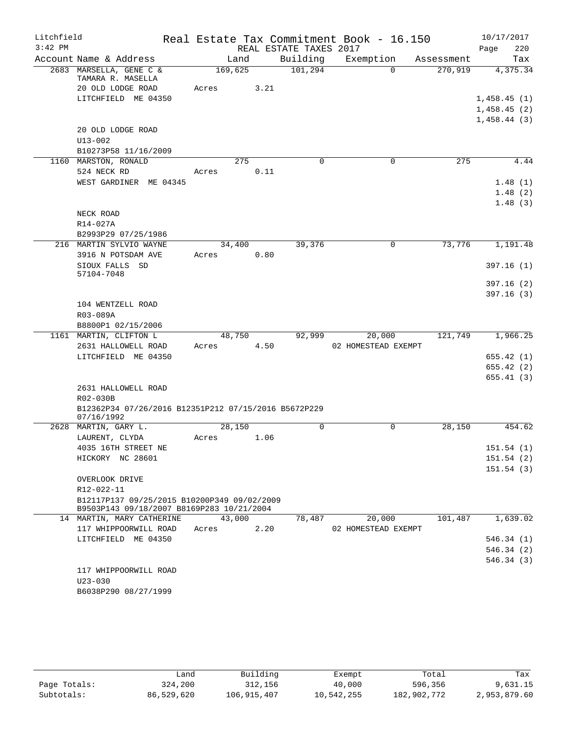| Litchfield |                                                                                          |         |      |                        | Real Estate Tax Commitment Book - 16.150 |            | 10/17/2017  |  |  |  |
|------------|------------------------------------------------------------------------------------------|---------|------|------------------------|------------------------------------------|------------|-------------|--|--|--|
| $3:42$ PM  |                                                                                          |         |      | REAL ESTATE TAXES 2017 |                                          |            | Page<br>220 |  |  |  |
|            | Account Name & Address                                                                   | Land    |      | Building               | Exemption                                | Assessment | Tax         |  |  |  |
|            | 2683 MARSELLA, GENE C &<br>TAMARA R. MASELLA                                             | 169,625 |      | 101, 294               | $\Omega$                                 | 270,919    | 4,375.34    |  |  |  |
|            | 20 OLD LODGE ROAD                                                                        | Acres   | 3.21 |                        |                                          |            |             |  |  |  |
|            | LITCHFIELD ME 04350                                                                      |         |      |                        |                                          |            | 1,458.45(1) |  |  |  |
|            |                                                                                          |         |      |                        |                                          |            | 1,458.45(2) |  |  |  |
|            |                                                                                          |         |      |                        |                                          |            | 1,458.44(3) |  |  |  |
|            | 20 OLD LODGE ROAD                                                                        |         |      |                        |                                          |            |             |  |  |  |
|            | $U13 - 002$                                                                              |         |      |                        |                                          |            |             |  |  |  |
|            | B10273P58 11/16/2009                                                                     |         |      |                        |                                          |            |             |  |  |  |
|            | 1160 MARSTON, RONALD                                                                     | 275     |      | $\Omega$               | $\Omega$                                 | 275        | 4.44        |  |  |  |
|            | 524 NECK RD                                                                              | Acres   | 0.11 |                        |                                          |            |             |  |  |  |
|            | WEST GARDINER ME 04345                                                                   |         |      |                        |                                          |            | 1.48(1)     |  |  |  |
|            |                                                                                          |         |      |                        |                                          |            | 1.48(2)     |  |  |  |
|            |                                                                                          |         |      |                        |                                          |            | 1.48(3)     |  |  |  |
|            | NECK ROAD                                                                                |         |      |                        |                                          |            |             |  |  |  |
|            | R14-027A                                                                                 |         |      |                        |                                          |            |             |  |  |  |
|            | B2993P29 07/25/1986                                                                      |         |      |                        |                                          |            |             |  |  |  |
|            | 216 MARTIN SYLVIO WAYNE                                                                  | 34,400  |      | 39,376                 | 0                                        | 73,776     | 1,191.48    |  |  |  |
|            | 3916 N POTSDAM AVE                                                                       | Acres   | 0.80 |                        |                                          |            |             |  |  |  |
|            | SIOUX FALLS SD                                                                           |         |      |                        |                                          |            | 397.16(1)   |  |  |  |
|            | 57104-7048                                                                               |         |      |                        |                                          |            | 397.16(2)   |  |  |  |
|            |                                                                                          |         |      |                        |                                          |            | 397.16(3)   |  |  |  |
|            | 104 WENTZELL ROAD                                                                        |         |      |                        |                                          |            |             |  |  |  |
|            | R03-089A                                                                                 |         |      |                        |                                          |            |             |  |  |  |
|            | B8800P1 02/15/2006                                                                       |         |      |                        |                                          |            |             |  |  |  |
|            | 1161 MARTIN, CLIFTON L                                                                   | 48,750  |      | 92,999                 | 20,000                                   | 121,749    | 1,966.25    |  |  |  |
|            | 2631 HALLOWELL ROAD                                                                      | Acres   | 4.50 |                        | 02 HOMESTEAD EXEMPT                      |            |             |  |  |  |
|            | LITCHFIELD ME 04350                                                                      |         |      |                        |                                          |            | 655.42(1)   |  |  |  |
|            |                                                                                          |         |      |                        |                                          |            | 655.42(2)   |  |  |  |
|            |                                                                                          |         |      |                        |                                          |            | 655.41(3)   |  |  |  |
|            | 2631 HALLOWELL ROAD                                                                      |         |      |                        |                                          |            |             |  |  |  |
|            | R02-030B                                                                                 |         |      |                        |                                          |            |             |  |  |  |
|            | B12362P34 07/26/2016 B12351P212 07/15/2016 B5672P229                                     |         |      |                        |                                          |            |             |  |  |  |
|            | 07/16/1992                                                                               |         |      |                        |                                          |            |             |  |  |  |
|            | 2628 MARTIN, GARY L.                                                                     | 28,150  |      | 0                      | 0                                        | 28,150     | 454.62      |  |  |  |
|            | LAURENT, CLYDA                                                                           | Acres   | 1.06 |                        |                                          |            |             |  |  |  |
|            | 4035 16TH STREET NE                                                                      |         |      |                        |                                          |            | 151.54(1)   |  |  |  |
|            | HICKORY NC 28601                                                                         |         |      |                        |                                          |            | 151.54(2)   |  |  |  |
|            |                                                                                          |         |      |                        |                                          |            | 151.54(3)   |  |  |  |
|            | OVERLOOK DRIVE                                                                           |         |      |                        |                                          |            |             |  |  |  |
|            | R12-022-11                                                                               |         |      |                        |                                          |            |             |  |  |  |
|            | B12117P137 09/25/2015 B10200P349 09/02/2009<br>B9503P143 09/18/2007 B8169P283 10/21/2004 |         |      |                        |                                          |            |             |  |  |  |
|            | 14 MARTIN, MARY CATHERINE                                                                | 43,000  |      | 78,487                 | 20,000                                   | 101,487    | 1,639.02    |  |  |  |
|            | 117 WHIPPOORWILL ROAD                                                                    | Acres   | 2.20 |                        | 02 HOMESTEAD EXEMPT                      |            |             |  |  |  |
|            | LITCHFIELD ME 04350                                                                      |         |      |                        |                                          |            | 546.34(1)   |  |  |  |
|            |                                                                                          |         |      |                        |                                          |            | 546.34 (2)  |  |  |  |
|            |                                                                                          |         |      |                        |                                          |            | 546.34(3)   |  |  |  |
|            | 117 WHIPPOORWILL ROAD                                                                    |         |      |                        |                                          |            |             |  |  |  |
|            | $U23 - 030$                                                                              |         |      |                        |                                          |            |             |  |  |  |
|            | B6038P290 08/27/1999                                                                     |         |      |                        |                                          |            |             |  |  |  |
|            |                                                                                          |         |      |                        |                                          |            |             |  |  |  |

|              | Land       | Building    | Exempt     | Total       | Tax          |
|--------------|------------|-------------|------------|-------------|--------------|
| Page Totals: | 324,200    | 312,156     | 40,000     | 596,356     | 9,631.15     |
| Subtotals:   | 86,529,620 | 106,915,407 | 10,542,255 | 182,902,772 | 2,953,879.60 |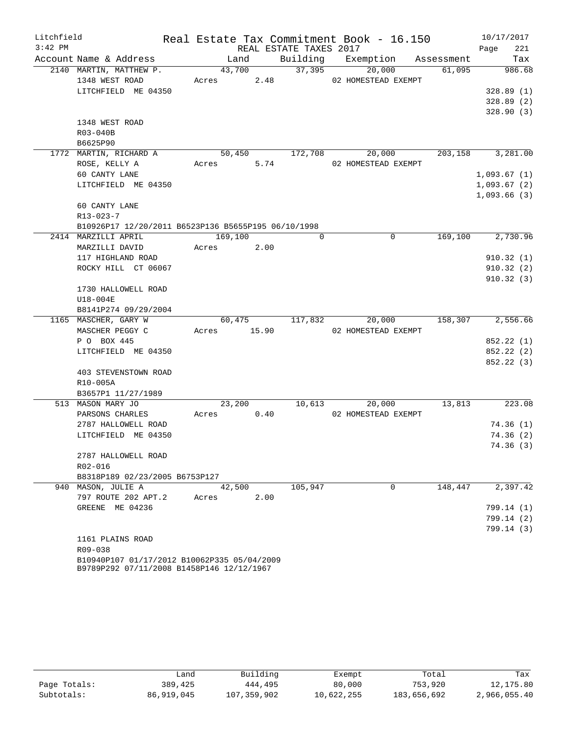| Litchfield |                                                                        |             |      |                        | Real Estate Tax Commitment Book - 16.150         |         | 10/17/2017    |
|------------|------------------------------------------------------------------------|-------------|------|------------------------|--------------------------------------------------|---------|---------------|
| $3:42$ PM  |                                                                        |             |      | REAL ESTATE TAXES 2017 |                                                  |         | 221<br>Page   |
|            | Account Name & Address                                                 | Land        |      |                        | Building Exemption Assessment                    |         | Tax           |
|            | 2140 MARTIN, MATTHEW P.                                                | 43,700      |      | $\frac{37}{395}$       | 20,000                                           | 61,095  | 986.68        |
|            | 1348 WEST ROAD<br>Acres<br>2.48 02 HOMESTEAD EXEMPT                    |             |      |                        |                                                  |         |               |
|            | LITCHFIELD ME 04350                                                    |             |      |                        |                                                  |         | 328.89(1)     |
|            |                                                                        |             |      |                        |                                                  |         | 328.89(2)     |
|            |                                                                        |             |      |                        |                                                  |         | 328.90(3)     |
|            | 1348 WEST ROAD                                                         |             |      |                        |                                                  |         |               |
|            | R03-040B                                                               |             |      |                        |                                                  |         |               |
|            | B6625P90                                                               |             |      |                        |                                                  |         |               |
|            | 1772 MARTIN, RICHARD A                                                 |             |      |                        | $50,450$ $172,708$ $20,000$ $203,158$ $3,281.00$ |         |               |
|            | ROSE, KELLY A                                                          | Acres 5.74  |      |                        | 02 HOMESTEAD EXEMPT                              |         |               |
|            | 60 CANTY LANE                                                          |             |      |                        |                                                  |         | 1,093.67(1)   |
|            | LITCHFIELD ME 04350                                                    |             |      |                        |                                                  |         | 1,093.67(2)   |
|            |                                                                        |             |      |                        |                                                  |         | 1,093.66(3)   |
|            | 60 CANTY LANE                                                          |             |      |                        |                                                  |         |               |
|            | $R13 - 023 - 7$<br>B10926P17 12/20/2011 B6523P136 B5655P195 06/10/1998 |             |      |                        |                                                  |         |               |
|            | 2414 MARZILLI APRIL                                                    | 169,100     |      | $\Omega$               | $\Omega$                                         | 169,100 | 2,730.96      |
|            | MARZILLI DAVID                                                         | Acres 2.00  |      |                        |                                                  |         |               |
|            | 117 HIGHLAND ROAD                                                      |             |      |                        |                                                  |         | 910.32(1)     |
|            | ROCKY HILL CT 06067                                                    |             |      |                        |                                                  |         | 910.32(2)     |
|            |                                                                        |             |      |                        |                                                  |         | 910.32(3)     |
|            | 1730 HALLOWELL ROAD                                                    |             |      |                        |                                                  |         |               |
|            | U18-004E                                                               |             |      |                        |                                                  |         |               |
|            | B8141P274 09/29/2004                                                   |             |      |                        |                                                  |         |               |
|            | 1165 MASCHER, GARY W                                                   |             |      |                        | 60,475 117,832 20,000 158,307 2,556.66           |         |               |
|            | MASCHER PEGGY C                                                        | Acres 15.90 |      |                        | 02 HOMESTEAD EXEMPT                              |         |               |
|            | P O BOX 445                                                            |             |      |                        |                                                  |         | 852.22 (1)    |
|            | LITCHFIELD ME 04350                                                    |             |      |                        |                                                  |         | 852.22 (2)    |
|            |                                                                        |             |      |                        |                                                  |         | 852.22 (3)    |
|            | 403 STEVENSTOWN ROAD                                                   |             |      |                        |                                                  |         |               |
|            | R10-005A                                                               |             |      |                        |                                                  |         |               |
|            | B3657P1 11/27/1989                                                     |             |      |                        |                                                  |         |               |
|            | 513 MASON MARY JO                                                      |             |      |                        | 23, 200 10, 613 20, 000                          |         | 13,813 223.08 |
|            | PARSONS CHARLES                                                        | Acres 0.40  |      |                        | 02 HOMESTEAD EXEMPT                              |         |               |
|            | 2787 HALLOWELL ROAD                                                    |             |      |                        |                                                  |         | 74.36(1)      |
|            | LITCHFIELD ME 04350                                                    |             |      |                        |                                                  |         | 74.36(2)      |
|            |                                                                        |             |      |                        |                                                  |         | 74.36 (3)     |
|            | 2787 HALLOWELL ROAD<br>R02-016                                         |             |      |                        |                                                  |         |               |
|            | B8318P189 02/23/2005 B6753P127                                         |             |      |                        |                                                  |         |               |
|            | 940 MASON, JULIE A                                                     | 42,500      |      | 105,947                | $\Omega$                                         | 148,447 | 2,397.42      |
|            | 797 ROUTE 202 APT.2                                                    | Acres       | 2.00 |                        |                                                  |         |               |
|            | GREENE ME 04236                                                        |             |      |                        |                                                  |         | 799.14 (1)    |
|            |                                                                        |             |      |                        |                                                  |         | 799.14(2)     |
|            |                                                                        |             |      |                        |                                                  |         | 799.14(3)     |
|            | 1161 PLAINS ROAD                                                       |             |      |                        |                                                  |         |               |
|            | R09-038                                                                |             |      |                        |                                                  |         |               |
|            | B10940P107 01/17/2012 B10062P335 05/04/2009                            |             |      |                        |                                                  |         |               |
|            | B9789P292 07/11/2008 B1458P146 12/12/1967                              |             |      |                        |                                                  |         |               |

|              | andش       | Building    | Exempt     | Total       | Tax          |
|--------------|------------|-------------|------------|-------------|--------------|
| Page Totals: | 389,425    | 444,495     | 80,000     | 753,920     | 12,175.80    |
| Subtotals:   | 86,919,045 | 107,359,902 | 10,622,255 | 183,656,692 | 2,966,055.40 |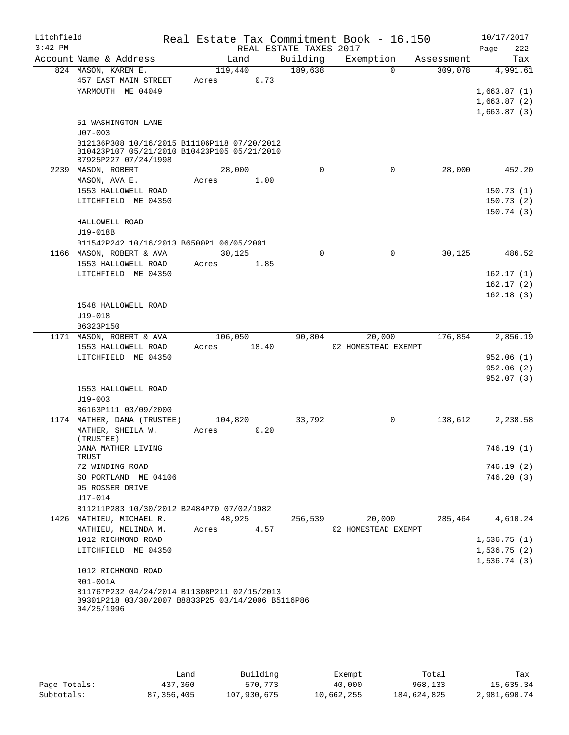| Litchfield |                                                                                                                |                  |       |                        | Real Estate Tax Commitment Book - 16.150 |            | 10/17/2017  |
|------------|----------------------------------------------------------------------------------------------------------------|------------------|-------|------------------------|------------------------------------------|------------|-------------|
| $3:42$ PM  |                                                                                                                |                  |       | REAL ESTATE TAXES 2017 |                                          |            | Page<br>222 |
|            | Account Name & Address                                                                                         | Land             |       | Building               | Exemption                                | Assessment | Tax         |
|            | 824 MASON, KAREN E.                                                                                            | 119,440          |       | 189,638                | $\Omega$                                 | 309,078    | 4,991.61    |
|            | 457 EAST MAIN STREET                                                                                           | Acres            | 0.73  |                        |                                          |            |             |
|            | YARMOUTH ME 04049                                                                                              |                  |       |                        |                                          |            | 1,663.87(1) |
|            |                                                                                                                |                  |       |                        |                                          |            | 1,663.87(2) |
|            |                                                                                                                |                  |       |                        |                                          |            | 1,663.87(3) |
|            | 51 WASHINGTON LANE<br>$U07 - 003$                                                                              |                  |       |                        |                                          |            |             |
|            | B12136P308 10/16/2015 B11106P118 07/20/2012                                                                    |                  |       |                        |                                          |            |             |
|            | B10423P107 05/21/2010 B10423P105 05/21/2010<br>B7925P227 07/24/1998                                            |                  |       |                        |                                          |            |             |
|            | 2239 MASON, ROBERT                                                                                             | 28,000           |       | $\Omega$               | $\Omega$                                 | 28,000     | 452.20      |
|            | MASON, AVA E.                                                                                                  | Acres            | 1.00  |                        |                                          |            |             |
|            | 1553 HALLOWELL ROAD                                                                                            |                  |       |                        |                                          |            | 150.73(1)   |
|            | LITCHFIELD ME 04350                                                                                            |                  |       |                        |                                          |            | 150.73(2)   |
|            |                                                                                                                |                  |       |                        |                                          |            | 150.74(3)   |
|            | HALLOWELL ROAD                                                                                                 |                  |       |                        |                                          |            |             |
|            | U19-018B                                                                                                       |                  |       |                        |                                          |            |             |
|            | B11542P242 10/16/2013 B6500P1 06/05/2001                                                                       |                  |       |                        |                                          |            |             |
|            | 1166 MASON, ROBERT & AVA                                                                                       | 30,125           |       | $\Omega$               | $\mathbf 0$                              | 30.125     | 486.52      |
|            | 1553 HALLOWELL ROAD                                                                                            | Acres            | 1.85  |                        |                                          |            |             |
|            | LITCHFIELD ME 04350                                                                                            |                  |       |                        |                                          |            | 162.17(1)   |
|            |                                                                                                                |                  |       |                        |                                          |            | 162.17(2)   |
|            |                                                                                                                |                  |       |                        |                                          |            | 162.18(3)   |
|            | 1548 HALLOWELL ROAD                                                                                            |                  |       |                        |                                          |            |             |
|            | $U19 - 018$                                                                                                    |                  |       |                        |                                          |            |             |
|            | B6323P150                                                                                                      |                  |       |                        |                                          |            |             |
|            | 1171 MASON, ROBERT & AVA<br>1553 HALLOWELL ROAD                                                                | 106,050<br>Acres | 18.40 | 90,804                 | 20,000<br>02 HOMESTEAD EXEMPT            | 176,854    | 2,856.19    |
|            | LITCHFIELD ME 04350                                                                                            |                  |       |                        |                                          |            | 952.06(1)   |
|            |                                                                                                                |                  |       |                        |                                          |            | 952.06(2)   |
|            |                                                                                                                |                  |       |                        |                                          |            | 952.07 (3)  |
|            | 1553 HALLOWELL ROAD                                                                                            |                  |       |                        |                                          |            |             |
|            | $U19 - 003$                                                                                                    |                  |       |                        |                                          |            |             |
|            | B6163P111 03/09/2000                                                                                           |                  |       |                        |                                          |            |             |
|            | 1174 MATHER, DANA (TRUSTEE)                                                                                    | 104,820          |       | 33,792                 | $\mathbf 0$                              | 138,612    | 2,238.58    |
|            | MATHER, SHEILA W.                                                                                              | Acres            | 0.20  |                        |                                          |            |             |
|            | (TRUSTEE)                                                                                                      |                  |       |                        |                                          |            |             |
|            | DANA MATHER LIVING<br>TRUST                                                                                    |                  |       |                        |                                          |            | 746.19 (1)  |
|            | 72 WINDING ROAD                                                                                                |                  |       |                        |                                          |            | 746.19 (2)  |
|            | SO PORTLAND ME 04106                                                                                           |                  |       |                        |                                          |            | 746.20(3)   |
|            | 95 ROSSER DRIVE                                                                                                |                  |       |                        |                                          |            |             |
|            | $U17 - 014$                                                                                                    |                  |       |                        |                                          |            |             |
|            | B11211P283 10/30/2012 B2484P70 07/02/1982                                                                      |                  |       |                        |                                          |            |             |
|            | 1426 MATHIEU, MICHAEL R.                                                                                       | 48,925           |       | 256,539                | 20,000                                   | 285,464    | 4,610.24    |
|            | MATHIEU, MELINDA M.                                                                                            | Acres            | 4.57  |                        | 02 HOMESTEAD EXEMPT                      |            |             |
|            | 1012 RICHMOND ROAD                                                                                             |                  |       |                        |                                          |            | 1,536.75(1) |
|            | LITCHFIELD ME 04350                                                                                            |                  |       |                        |                                          |            | 1,536.75(2) |
|            |                                                                                                                |                  |       |                        |                                          |            | 1,536.74(3) |
|            | 1012 RICHMOND ROAD<br>R01-001A                                                                                 |                  |       |                        |                                          |            |             |
|            |                                                                                                                |                  |       |                        |                                          |            |             |
|            | B11767P232 04/24/2014 B11308P211 02/15/2013<br>B9301P218 03/30/2007 B8833P25 03/14/2006 B5116P86<br>04/25/1996 |                  |       |                        |                                          |            |             |
|            |                                                                                                                |                  |       |                        |                                          |            |             |

|              | Land         | Building    | Exempt     | Total       | Tax          |
|--------------|--------------|-------------|------------|-------------|--------------|
| Page Totals: | 437,360      | 570,773     | 40,000     | 968,133     | 15,635.34    |
| Subtotals:   | 87, 356, 405 | 107,930,675 | 10,662,255 | 184,624,825 | 2,981,690.74 |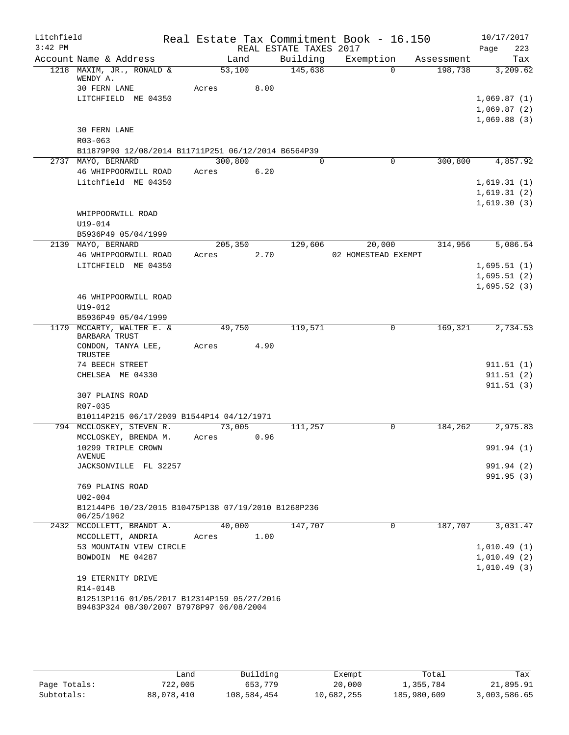| Litchfield |                                                                                         |         |      |                        | Real Estate Tax Commitment Book - 16.150 |            | 10/17/2017  |
|------------|-----------------------------------------------------------------------------------------|---------|------|------------------------|------------------------------------------|------------|-------------|
| $3:42$ PM  |                                                                                         |         |      | REAL ESTATE TAXES 2017 |                                          |            | 223<br>Page |
|            | Account Name & Address                                                                  | Land    |      | Building               | Exemption                                | Assessment | Tax         |
|            | 1218 MAXIM, JR., RONALD &<br>WENDY A.                                                   | 53,100  |      | 145,638                | $\Omega$                                 | 198,738    | 3,209.62    |
|            | 30 FERN LANE                                                                            | Acres   | 8.00 |                        |                                          |            |             |
|            | LITCHFIELD ME 04350                                                                     |         |      |                        |                                          |            | 1,069.87(1) |
|            |                                                                                         |         |      |                        |                                          |            | 1,069.87(2) |
|            |                                                                                         |         |      |                        |                                          |            | 1,069.88(3) |
|            | <b>30 FERN LANE</b>                                                                     |         |      |                        |                                          |            |             |
|            | $R03 - 063$                                                                             |         |      |                        |                                          |            |             |
|            | B11879P90 12/08/2014 B11711P251 06/12/2014 B6564P39                                     |         |      |                        |                                          |            |             |
|            | 2737 MAYO, BERNARD                                                                      | 300,800 |      | $\Omega$               | $\mathbf 0$                              | 300,800    | 4,857.92    |
|            | 46 WHIPPOORWILL ROAD                                                                    | Acres   | 6.20 |                        |                                          |            |             |
|            | Litchfield ME 04350                                                                     |         |      |                        |                                          |            | 1,619.31(1) |
|            |                                                                                         |         |      |                        |                                          |            | 1,619.31(2) |
|            |                                                                                         |         |      |                        |                                          |            | 1,619.30(3) |
|            | WHIPPOORWILL ROAD                                                                       |         |      |                        |                                          |            |             |
|            | U19-014                                                                                 |         |      |                        |                                          |            |             |
|            | B5936P49 05/04/1999                                                                     |         |      |                        |                                          |            |             |
|            | 2139 MAYO, BERNARD                                                                      | 205,350 |      | 129,606                | 20,000                                   | 314,956    | 5,086.54    |
|            | 46 WHIPPOORWILL ROAD                                                                    | Acres   | 2.70 |                        | 02 HOMESTEAD EXEMPT                      |            |             |
|            | LITCHFIELD ME 04350                                                                     |         |      |                        |                                          |            | 1,695.51(1) |
|            |                                                                                         |         |      |                        |                                          |            | 1,695.51(2) |
|            |                                                                                         |         |      |                        |                                          |            | 1,695.52(3) |
|            | 46 WHIPPOORWILL ROAD                                                                    |         |      |                        |                                          |            |             |
|            | U19-012                                                                                 |         |      |                        |                                          |            |             |
|            | B5936P49 05/04/1999                                                                     |         |      |                        |                                          |            |             |
|            | 1179 MCCARTY, WALTER E. &<br><b>BARBARA TRUST</b>                                       | 49,750  |      | 119,571                | $\Omega$                                 | 169,321    | 2,734.53    |
|            | CONDON, TANYA LEE,<br>TRUSTEE                                                           | Acres   | 4.90 |                        |                                          |            |             |
|            | 74 BEECH STREET                                                                         |         |      |                        |                                          |            | 911.51(1)   |
|            | CHELSEA ME 04330                                                                        |         |      |                        |                                          |            | 911.51(2)   |
|            |                                                                                         |         |      |                        |                                          |            | 911.51(3)   |
|            | 307 PLAINS ROAD                                                                         |         |      |                        |                                          |            |             |
|            | R07-035                                                                                 |         |      |                        |                                          |            |             |
|            | B10114P215 06/17/2009 B1544P14 04/12/1971                                               |         |      |                        |                                          |            |             |
|            | 794 MCCLOSKEY, STEVEN R.                                                                | 73,005  |      | 111,257                | $\Omega$                                 | 184,262    | 2,975.83    |
|            | MCCLOSKEY, BRENDA M.                                                                    | Acres   | 0.96 |                        |                                          |            |             |
|            | 10299 TRIPLE CROWN                                                                      |         |      |                        |                                          |            | 991.94 (1)  |
|            | AVENUE<br>JACKSONVILLE FL 32257                                                         |         |      |                        |                                          |            | 991.94 (2)  |
|            |                                                                                         |         |      |                        |                                          |            |             |
|            | 769 PLAINS ROAD                                                                         |         |      |                        |                                          |            | 991.95(3)   |
|            | $U02 - 004$                                                                             |         |      |                        |                                          |            |             |
|            | B12144P6 10/23/2015 B10475P138 07/19/2010 B1268P236                                     |         |      |                        |                                          |            |             |
|            | 06/25/1962                                                                              |         |      |                        |                                          |            |             |
|            | 2432 MCCOLLETT, BRANDT A.                                                               | 40,000  |      | 147,707                | $\mathbf 0$                              | 187,707    | 3,031.47    |
|            | MCCOLLETT, ANDRIA                                                                       | Acres   | 1.00 |                        |                                          |            |             |
|            | 53 MOUNTAIN VIEW CIRCLE                                                                 |         |      |                        |                                          |            | 1,010.49(1) |
|            | BOWDOIN ME 04287                                                                        |         |      |                        |                                          |            | 1,010.49(2) |
|            |                                                                                         |         |      |                        |                                          |            | 1,010.49(3) |
|            | 19 ETERNITY DRIVE                                                                       |         |      |                        |                                          |            |             |
|            | R14-014B                                                                                |         |      |                        |                                          |            |             |
|            | B12513P116 01/05/2017 B12314P159 05/27/2016<br>B9483P324 08/30/2007 B7978P97 06/08/2004 |         |      |                        |                                          |            |             |
|            |                                                                                         |         |      |                        |                                          |            |             |

|              | Land       | Building    | Exempt     | Total       | Tax          |
|--------------|------------|-------------|------------|-------------|--------------|
| Page Totals: | 722,005    | 653,779     | 20,000     | 1,355,784   | 21,895.91    |
| Subtotals:   | 88,078,410 | 108,584,454 | 10,682,255 | 185,980,609 | 3,003,586.65 |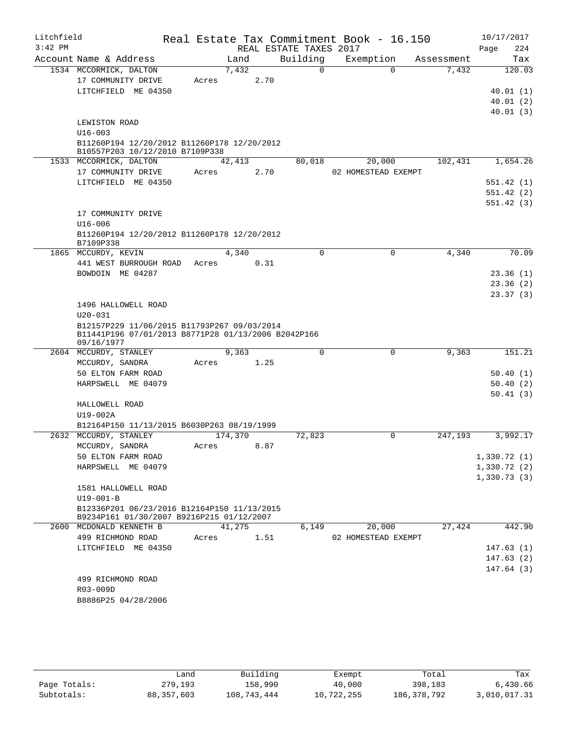| Litchfield<br>$3:42$ PM |                                                                                                    |         | REAL ESTATE TAXES 2017 | Real Estate Tax Commitment Book - 16.150 |            | 10/17/2017<br>224<br>Page |
|-------------------------|----------------------------------------------------------------------------------------------------|---------|------------------------|------------------------------------------|------------|---------------------------|
|                         | Account Name & Address                                                                             | Land    | Building               | Exemption                                | Assessment | Tax                       |
|                         | 1534 MCCORMICK, DALTON                                                                             | 7,432   | $\Omega$               | $\Omega$                                 | 7,432      | 120.03                    |
|                         | 17 COMMUNITY DRIVE                                                                                 | Acres   | 2.70                   |                                          |            |                           |
|                         | LITCHFIELD ME 04350                                                                                |         |                        |                                          |            | 40.01(1)                  |
|                         |                                                                                                    |         |                        |                                          |            | 40.01(2)                  |
|                         |                                                                                                    |         |                        |                                          |            | 40.01(3)                  |
|                         | LEWISTON ROAD                                                                                      |         |                        |                                          |            |                           |
|                         | $U16 - 003$<br>B11260P194 12/20/2012 B11260P178 12/20/2012                                         |         |                        |                                          |            |                           |
|                         | B10557P203 10/12/2010 B7109P338                                                                    |         |                        |                                          |            |                           |
|                         | 1533 MCCORMICK, DALTON                                                                             | 42,413  | 80,018                 | 20,000                                   | 102,431    | 1,654.26                  |
|                         | 17 COMMUNITY DRIVE                                                                                 | Acres   | 2.70                   | 02 HOMESTEAD EXEMPT                      |            |                           |
|                         | LITCHFIELD ME 04350                                                                                |         |                        |                                          |            | 551.42(1)                 |
|                         |                                                                                                    |         |                        |                                          |            | 551.42(2)                 |
|                         |                                                                                                    |         |                        |                                          |            | 551.42(3)                 |
|                         | 17 COMMUNITY DRIVE                                                                                 |         |                        |                                          |            |                           |
|                         | $U16 - 006$                                                                                        |         |                        |                                          |            |                           |
|                         | B11260P194 12/20/2012 B11260P178 12/20/2012<br>B7109P338                                           |         |                        |                                          |            |                           |
|                         | 1865 MCCURDY, KEVIN                                                                                | 4,340   | 0                      | $\mathbf 0$                              | 4,340      | 70.09                     |
|                         | 441 WEST BURROUGH ROAD                                                                             | Acres   | 0.31                   |                                          |            |                           |
|                         | BOWDOIN ME 04287                                                                                   |         |                        |                                          |            | 23.36(1)                  |
|                         |                                                                                                    |         |                        |                                          |            | 23.36(2)                  |
|                         |                                                                                                    |         |                        |                                          |            | 23.37(3)                  |
|                         | 1496 HALLOWELL ROAD                                                                                |         |                        |                                          |            |                           |
|                         | $U20 - 031$                                                                                        |         |                        |                                          |            |                           |
|                         | B12157P229 11/06/2015 B11793P267 09/03/2014<br>B11441P196 07/01/2013 B8771P28 01/13/2006 B2042P166 |         |                        |                                          |            |                           |
|                         | 09/16/1977                                                                                         |         |                        |                                          |            |                           |
|                         | 2604 MCCURDY, STANLEY                                                                              | 9,363   | 0                      | $\mathbf 0$                              | 9,363      | 151.21                    |
|                         | MCCURDY, SANDRA                                                                                    | Acres   | 1.25                   |                                          |            |                           |
|                         | 50 ELTON FARM ROAD                                                                                 |         |                        |                                          |            | 50.40(1)                  |
|                         | HARPSWELL ME 04079                                                                                 |         |                        |                                          |            | 50.40(2)                  |
|                         |                                                                                                    |         |                        |                                          |            | 50.41(3)                  |
|                         | HALLOWELL ROAD<br>$U19-002A$                                                                       |         |                        |                                          |            |                           |
|                         | B12164P150 11/13/2015 B6030P263 08/19/1999                                                         |         |                        |                                          |            |                           |
|                         | 2632 MCCURDY, STANLEY                                                                              | 174,370 | 72,823                 | $\Omega$                                 | 247,193    | 3,992.17                  |
|                         | MCCURDY, SANDRA                                                                                    | Acres   | 8.87                   |                                          |            |                           |
|                         | 50 ELTON FARM ROAD                                                                                 |         |                        |                                          |            | 1,330.72(1)               |
|                         | HARPSWELL ME 04079                                                                                 |         |                        |                                          |            | 1,330.72(2)               |
|                         |                                                                                                    |         |                        |                                          |            | 1,330.73(3)               |
|                         | 1581 HALLOWELL ROAD                                                                                |         |                        |                                          |            |                           |
|                         | $U19 - 001 - B$                                                                                    |         |                        |                                          |            |                           |
|                         | B12336P201 06/23/2016 B12164P150 11/13/2015<br>B9234P161 01/30/2007 B9216P215 01/12/2007           |         |                        |                                          |            |                           |
|                         | 2600 MCDONALD KENNETH B                                                                            | 41,275  | 6,149                  | 20,000                                   | 27,424     | 442.90                    |
|                         | 499 RICHMOND ROAD                                                                                  | Acres   | 1.51                   | 02 HOMESTEAD EXEMPT                      |            |                           |
|                         | LITCHFIELD ME 04350                                                                                |         |                        |                                          |            | 147.63(1)                 |
|                         |                                                                                                    |         |                        |                                          |            | 147.63(2)                 |
|                         |                                                                                                    |         |                        |                                          |            | 147.64(3)                 |
|                         | 499 RICHMOND ROAD                                                                                  |         |                        |                                          |            |                           |
|                         | R03-009D                                                                                           |         |                        |                                          |            |                           |
|                         | B8886P25 04/28/2006                                                                                |         |                        |                                          |            |                           |
|                         |                                                                                                    |         |                        |                                          |            |                           |

|              | ∟and         | Building    | Exempt     | Total       | Tax          |
|--------------|--------------|-------------|------------|-------------|--------------|
| Page Totals: | 279,193      | 158,990     | 40,000     | 398,183     | 6,430.66     |
| Subtotals:   | 88, 357, 603 | 108,743,444 | 10,722,255 | 186,378,792 | 3,010,017.31 |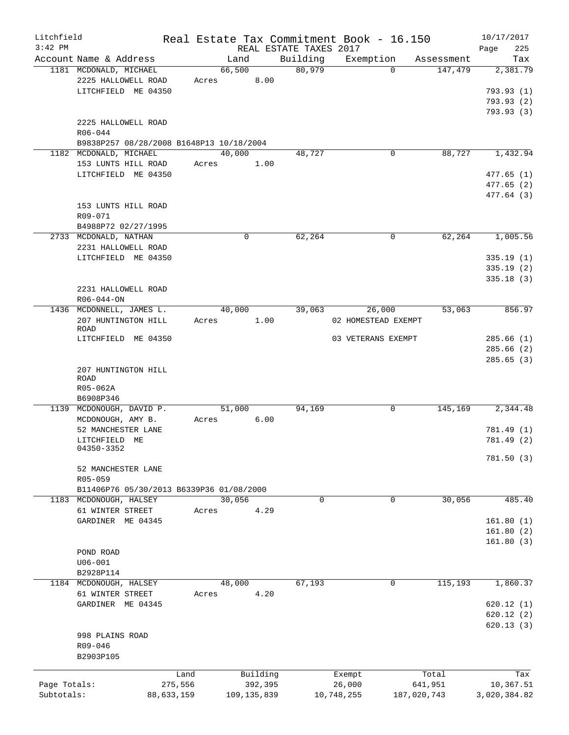| Litchfield   |                                          |            |        |               |                        | Real Estate Tax Commitment Book - 16.150 |             |            | 10/17/2017   |
|--------------|------------------------------------------|------------|--------|---------------|------------------------|------------------------------------------|-------------|------------|--------------|
| $3:42$ PM    |                                          |            |        |               | REAL ESTATE TAXES 2017 |                                          |             |            | 225<br>Page  |
|              | Account Name & Address                   |            | Land   |               | Building               | Exemption                                |             | Assessment | Tax          |
|              | 1181 MCDONALD, MICHAEL                   |            | 66,500 |               | 80,979                 |                                          | $\Omega$    | 147,479    | 2,381.79     |
|              | 2225 HALLOWELL ROAD                      | Acres      |        | 8.00          |                        |                                          |             |            |              |
|              | LITCHFIELD ME 04350                      |            |        |               |                        |                                          |             |            | 793.93(1)    |
|              |                                          |            |        |               |                        |                                          |             |            | 793.93(2)    |
|              |                                          |            |        |               |                        |                                          |             |            | 793.93 (3)   |
|              | 2225 HALLOWELL ROAD                      |            |        |               |                        |                                          |             |            |              |
|              | R06-044                                  |            |        |               |                        |                                          |             |            |              |
|              | B9838P257 08/28/2008 B1648P13 10/18/2004 |            |        |               |                        |                                          |             |            |              |
|              | 1182 MCDONALD, MICHAEL                   |            | 40,000 |               | 48,727                 |                                          | 0           | 88,727     | 1,432.94     |
|              | 153 LUNTS HILL ROAD                      | Acres      |        | 1.00          |                        |                                          |             |            |              |
|              | LITCHFIELD ME 04350                      |            |        |               |                        |                                          |             |            | 477.65 (1)   |
|              |                                          |            |        |               |                        |                                          |             |            | 477.65(2)    |
|              |                                          |            |        |               |                        |                                          |             |            | 477.64 (3)   |
|              | 153 LUNTS HILL ROAD                      |            |        |               |                        |                                          |             |            |              |
|              | R09-071                                  |            |        |               |                        |                                          |             |            |              |
|              | B4988P72 02/27/1995                      |            |        |               |                        |                                          |             |            |              |
|              |                                          |            | 0      |               | 62,264                 |                                          | 0           | 62,264     | 1,005.56     |
|              | 2733 MCDONALD, NATHAN                    |            |        |               |                        |                                          |             |            |              |
|              | 2231 HALLOWELL ROAD                      |            |        |               |                        |                                          |             |            |              |
|              | LITCHFIELD ME 04350                      |            |        |               |                        |                                          |             |            | 335.19(1)    |
|              |                                          |            |        |               |                        |                                          |             |            | 335.19(2)    |
|              |                                          |            |        |               |                        |                                          |             |            | 335.18(3)    |
|              | 2231 HALLOWELL ROAD                      |            |        |               |                        |                                          |             |            |              |
|              | $R06 - 044 - ON$                         |            |        |               |                        |                                          |             |            |              |
|              | 1436 MCDONNELL, JAMES L.                 |            | 40,000 |               | 39,063                 | 26,000                                   |             | 53,063     | 856.97       |
|              | 207 HUNTINGTON HILL                      | Acres      |        | 1.00          |                        | 02 HOMESTEAD EXEMPT                      |             |            |              |
|              | ROAD                                     |            |        |               |                        |                                          |             |            |              |
|              | LITCHFIELD ME 04350                      |            |        |               |                        | 03 VETERANS EXEMPT                       |             |            | 285.66(1)    |
|              |                                          |            |        |               |                        |                                          |             |            | 285.66(2)    |
|              |                                          |            |        |               |                        |                                          |             |            | 285.65(3)    |
|              | 207 HUNTINGTON HILL                      |            |        |               |                        |                                          |             |            |              |
|              | <b>ROAD</b>                              |            |        |               |                        |                                          |             |            |              |
|              | R05-062A                                 |            |        |               |                        |                                          |             |            |              |
|              | B6908P346                                |            |        |               |                        |                                          |             |            |              |
| 1139         | MCDONOUGH, DAVID P.                      |            | 51,000 |               | 94,169                 |                                          | 0           | 145,169    | 2,344.48     |
|              | MCDONOUGH, AMY B.                        | Acres      |        | 6.00          |                        |                                          |             |            |              |
|              | 52 MANCHESTER LANE                       |            |        |               |                        |                                          |             |            | 781.49 (1)   |
|              | LITCHFIELD ME                            |            |        |               |                        |                                          |             |            | 781.49 (2)   |
|              | 04350-3352                               |            |        |               |                        |                                          |             |            |              |
|              |                                          |            |        |               |                        |                                          |             |            | 781.50 (3)   |
|              | 52 MANCHESTER LANE                       |            |        |               |                        |                                          |             |            |              |
|              | R05-059                                  |            |        |               |                        |                                          |             |            |              |
|              | B11406P76 05/30/2013 B6339P36 01/08/2000 |            |        |               |                        |                                          |             |            |              |
|              | 1183 MCDONOUGH, HALSEY                   |            | 30,056 |               | $\mathbf 0$            |                                          | $\mathbf 0$ | 30,056     | 485.40       |
|              | 61 WINTER STREET                         | Acres      |        | 4.29          |                        |                                          |             |            |              |
|              | GARDINER ME 04345                        |            |        |               |                        |                                          |             |            | 161.80(1)    |
|              |                                          |            |        |               |                        |                                          |             |            | 161.80(2)    |
|              |                                          |            |        |               |                        |                                          |             |            | 161.80(3)    |
|              | POND ROAD                                |            |        |               |                        |                                          |             |            |              |
|              | $U06 - 001$                              |            |        |               |                        |                                          |             |            |              |
|              |                                          |            |        |               |                        |                                          |             |            |              |
|              | B2928P114                                |            |        |               |                        |                                          |             |            |              |
|              | 1184 MCDONOUGH, HALSEY                   |            | 48,000 |               | 67,193                 |                                          | 0           | 115,193    | 1,860.37     |
|              | 61 WINTER STREET                         | Acres      |        | 4.20          |                        |                                          |             |            |              |
|              | GARDINER ME 04345                        |            |        |               |                        |                                          |             |            | 620.12(1)    |
|              |                                          |            |        |               |                        |                                          |             |            | 620.12(2)    |
|              |                                          |            |        |               |                        |                                          |             |            | 620.13(3)    |
|              | 998 PLAINS ROAD                          |            |        |               |                        |                                          |             |            |              |
|              | R09-046                                  |            |        |               |                        |                                          |             |            |              |
|              | B2903P105                                |            |        |               |                        |                                          |             |            |              |
|              |                                          |            |        |               |                        |                                          |             |            |              |
|              |                                          | Land       |        | Building      |                        | Exempt                                   |             | Total      | Tax          |
| Page Totals: |                                          | 275,556    |        | 392,395       |                        | 26,000                                   |             | 641,951    | 10,367.51    |
| Subtotals:   |                                          | 88,633,159 |        | 109, 135, 839 |                        | 10,748,255                               | 187,020,743 |            | 3,020,384.82 |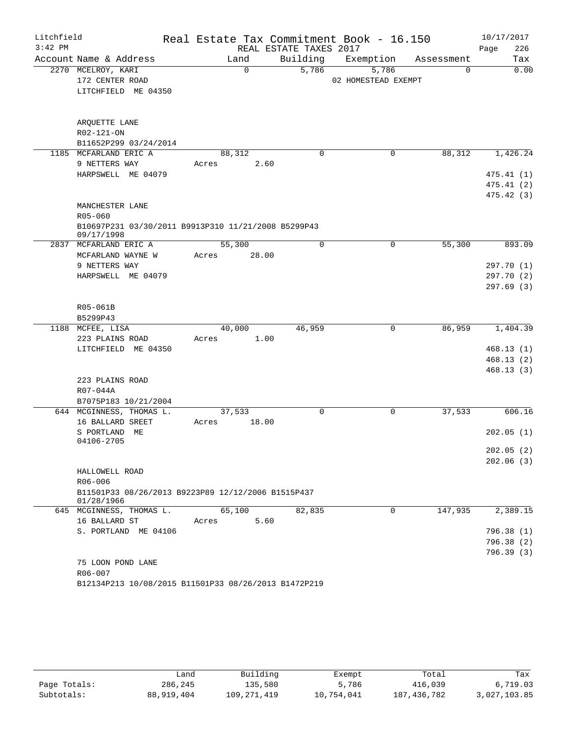| Litchfield |                                                      |       |          |                        | Real Estate Tax Commitment Book - 16.150 |            | 10/17/2017  |
|------------|------------------------------------------------------|-------|----------|------------------------|------------------------------------------|------------|-------------|
| $3:42$ PM  |                                                      |       |          | REAL ESTATE TAXES 2017 |                                          |            | 226<br>Page |
|            | Account Name & Address                               |       | Land     | Building               | Exemption                                | Assessment | Tax         |
|            | 2270 MCELROY, KARI                                   |       | $\Omega$ | 5,786                  | 5,786                                    | $\Omega$   | 0.00        |
|            | 172 CENTER ROAD                                      |       |          |                        | 02 HOMESTEAD EXEMPT                      |            |             |
|            | LITCHFIELD ME 04350                                  |       |          |                        |                                          |            |             |
|            |                                                      |       |          |                        |                                          |            |             |
|            |                                                      |       |          |                        |                                          |            |             |
|            | ARQUETTE LANE                                        |       |          |                        |                                          |            |             |
|            | R02-121-ON                                           |       |          |                        |                                          |            |             |
|            | B11652P299 03/24/2014                                |       |          |                        |                                          |            |             |
|            | 1185 MCFARLAND ERIC A                                |       | 88,312   | 0                      | 0                                        | 88,312     | 1,426.24    |
|            | 9 NETTERS WAY                                        | Acres | 2.60     |                        |                                          |            |             |
|            | HARPSWELL ME 04079                                   |       |          |                        |                                          |            | 475.41(1)   |
|            |                                                      |       |          |                        |                                          |            | 475.41(2)   |
|            |                                                      |       |          |                        |                                          |            | 475.42 (3)  |
|            | MANCHESTER LANE<br>R05-060                           |       |          |                        |                                          |            |             |
|            | B10697P231 03/30/2011 B9913P310 11/21/2008 B5299P43  |       |          |                        |                                          |            |             |
|            | 09/17/1998                                           |       |          |                        |                                          |            |             |
|            | 2837 MCFARLAND ERIC A                                |       | 55,300   | $\mathbf 0$            | 0                                        | 55,300     | 893.09      |
|            | MCFARLAND WAYNE W                                    | Acres | 28.00    |                        |                                          |            |             |
|            | 9 NETTERS WAY                                        |       |          |                        |                                          |            | 297.70(1)   |
|            | HARPSWELL ME 04079                                   |       |          |                        |                                          |            | 297.70(2)   |
|            |                                                      |       |          |                        |                                          |            | 297.69(3)   |
|            |                                                      |       |          |                        |                                          |            |             |
|            | R05-061B                                             |       |          |                        |                                          |            |             |
|            | B5299P43                                             |       |          |                        |                                          |            |             |
|            | 1188 MCFEE, LISA                                     |       | 40,000   | 46,959                 | 0                                        | 86,959     | 1,404.39    |
|            | 223 PLAINS ROAD                                      | Acres | 1.00     |                        |                                          |            |             |
|            | LITCHFIELD ME 04350                                  |       |          |                        |                                          |            | 468.13(1)   |
|            |                                                      |       |          |                        |                                          |            | 468.13(2)   |
|            |                                                      |       |          |                        |                                          |            | 468.13(3)   |
|            | 223 PLAINS ROAD                                      |       |          |                        |                                          |            |             |
|            | R07-044A                                             |       |          |                        |                                          |            |             |
|            | B7075P183 10/21/2004                                 |       |          |                        |                                          |            |             |
|            | 644 MCGINNESS, THOMAS L.                             |       | 37,533   | 0                      | 0                                        | 37,533     | 606.16      |
|            | 16 BALLARD SREET<br>ME                               | Acres | 18.00    |                        |                                          |            | 202.05(1)   |
|            | S PORTLAND<br>04106-2705                             |       |          |                        |                                          |            |             |
|            |                                                      |       |          |                        |                                          |            | 202.05(2)   |
|            |                                                      |       |          |                        |                                          |            | 202.06(3)   |
|            | HALLOWELL ROAD                                       |       |          |                        |                                          |            |             |
|            | R06-006                                              |       |          |                        |                                          |            |             |
|            | B11501P33 08/26/2013 B9223P89 12/12/2006 B1515P437   |       |          |                        |                                          |            |             |
|            | 01/28/1966                                           |       |          |                        |                                          |            |             |
|            | 645 MCGINNESS, THOMAS L.                             |       | 65,100   | 82,835                 | $\Omega$                                 | 147,935    | 2,389.15    |
|            | 16 BALLARD ST                                        | Acres | 5.60     |                        |                                          |            |             |
|            | S. PORTLAND ME 04106                                 |       |          |                        |                                          |            | 796.38(1)   |
|            |                                                      |       |          |                        |                                          |            | 796.38(2)   |
|            |                                                      |       |          |                        |                                          |            | 796.39(3)   |
|            | 75 LOON POND LANE                                    |       |          |                        |                                          |            |             |
|            | R06-007                                              |       |          |                        |                                          |            |             |
|            | B12134P213 10/08/2015 B11501P33 08/26/2013 B1472P219 |       |          |                        |                                          |            |             |

|              | Land       | Building    | Exempt     | Total         | Tax          |
|--------------|------------|-------------|------------|---------------|--------------|
| Page Totals: | 286,245    | 135,580     | 5,786      | 416,039       | 6,719.03     |
| Subtotals:   | 88,919,404 | 109,271,419 | 10,754,041 | 187, 436, 782 | 3,027,103.85 |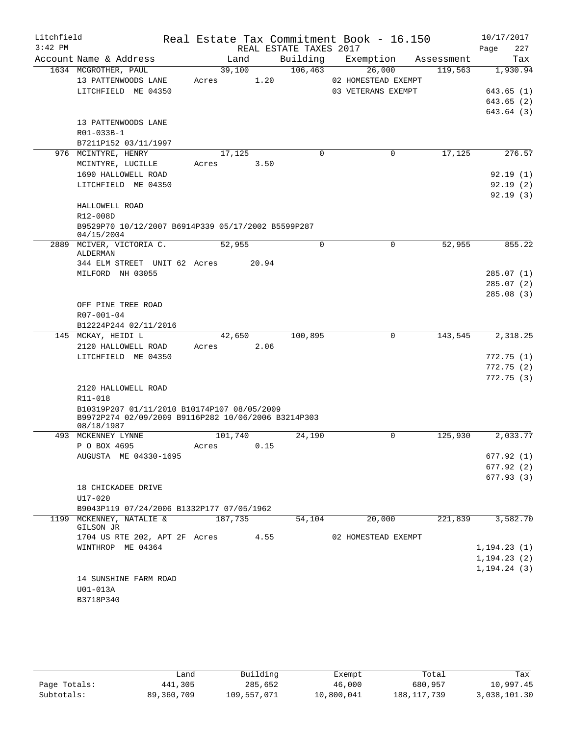| Litchfield<br>$3:42$ PM |                                                                                                                  |            |         |       | REAL ESTATE TAXES 2017 | Real Estate Tax Commitment Book - 16.150 |            | 10/17/2017<br>Page<br>227 |
|-------------------------|------------------------------------------------------------------------------------------------------------------|------------|---------|-------|------------------------|------------------------------------------|------------|---------------------------|
|                         | Account Name & Address                                                                                           |            | Land    |       | Building               | Exemption                                | Assessment | Tax                       |
|                         | 1634 MCGROTHER, PAUL                                                                                             |            | 39,100  |       | 106, 463               | 26,000                                   | 119,563    | 1,930.94                  |
|                         | 13 PATTENWOODS LANE                                                                                              | Acres      |         | 1.20  |                        | 02 HOMESTEAD EXEMPT                      |            |                           |
|                         | LITCHFIELD ME 04350                                                                                              |            |         |       |                        | 03 VETERANS EXEMPT                       |            | 643.65 (1)                |
|                         |                                                                                                                  |            |         |       |                        |                                          |            | 643.65(2)                 |
|                         |                                                                                                                  |            |         |       |                        |                                          |            | 643.64 (3)                |
|                         | 13 PATTENWOODS LANE                                                                                              |            |         |       |                        |                                          |            |                           |
|                         | R01-033B-1                                                                                                       |            |         |       |                        |                                          |            |                           |
|                         | B7211P152 03/11/1997                                                                                             |            |         |       |                        |                                          |            |                           |
|                         | 976 MCINTYRE, HENRY                                                                                              |            | 17,125  |       | 0                      | $\mathbf 0$                              | 17,125     | 276.57                    |
|                         | MCINTYRE, LUCILLE                                                                                                | Acres      |         | 3.50  |                        |                                          |            |                           |
|                         | 1690 HALLOWELL ROAD                                                                                              |            |         |       |                        |                                          |            | 92.19(1)                  |
|                         | LITCHFIELD ME 04350                                                                                              |            |         |       |                        |                                          |            | 92.19(2)                  |
|                         |                                                                                                                  |            |         |       |                        |                                          |            | 92.19(3)                  |
|                         | HALLOWELL ROAD                                                                                                   |            |         |       |                        |                                          |            |                           |
|                         | R12-008D                                                                                                         |            |         |       |                        |                                          |            |                           |
|                         | B9529P70 10/12/2007 B6914P339 05/17/2002 B5599P287                                                               |            |         |       |                        |                                          |            |                           |
|                         | 04/15/2004                                                                                                       |            |         |       |                        |                                          |            |                           |
|                         | 2889 MCIVER, VICTORIA C.<br>ALDERMAN                                                                             |            | 52,955  |       | 0                      | 0                                        | 52,955     | 855.22                    |
|                         | 344 ELM STREET UNIT 62 Acres                                                                                     |            |         | 20.94 |                        |                                          |            |                           |
|                         | MILFORD NH 03055                                                                                                 |            |         |       |                        |                                          |            | 285.07(1)                 |
|                         |                                                                                                                  |            |         |       |                        |                                          |            | 285.07(2)                 |
|                         |                                                                                                                  |            |         |       |                        |                                          |            | 285.08(3)                 |
|                         | OFF PINE TREE ROAD                                                                                               |            |         |       |                        |                                          |            |                           |
|                         | R07-001-04                                                                                                       |            |         |       |                        |                                          |            |                           |
|                         | B12224P244 02/11/2016                                                                                            |            |         |       |                        |                                          |            |                           |
|                         |                                                                                                                  |            |         |       |                        | $\Omega$                                 |            |                           |
|                         | 145 MCKAY, HEIDI L                                                                                               |            | 42,650  | 2.06  | 100,895                |                                          | 143,545    | 2,318.25                  |
|                         | 2120 HALLOWELL ROAD                                                                                              | Acres      |         |       |                        |                                          |            |                           |
|                         | LITCHFIELD ME 04350                                                                                              |            |         |       |                        |                                          |            | 772.75(1)<br>772.75(2)    |
|                         |                                                                                                                  |            |         |       |                        |                                          |            |                           |
|                         |                                                                                                                  |            |         |       |                        |                                          |            | 772.75(3)                 |
|                         | 2120 HALLOWELL ROAD<br>R11-018                                                                                   |            |         |       |                        |                                          |            |                           |
|                         |                                                                                                                  |            |         |       |                        |                                          |            |                           |
|                         | B10319P207 01/11/2010 B10174P107 08/05/2009<br>B9972P274 02/09/2009 B9116P282 10/06/2006 B3214P303<br>08/18/1987 |            |         |       |                        |                                          |            |                           |
|                         | 493 MCKENNEY LYNNE                                                                                               |            | 101,740 |       | 24,190                 | 0                                        | 125,930    | 2,033.77                  |
|                         | P O BOX 4695                                                                                                     | Acres 0.15 |         |       |                        |                                          |            |                           |
|                         | AUGUSTA ME 04330-1695                                                                                            |            |         |       |                        |                                          |            | 677.92(1)                 |
|                         |                                                                                                                  |            |         |       |                        |                                          |            | 677.92(2)                 |
|                         |                                                                                                                  |            |         |       |                        |                                          |            | 677.93(3)                 |
|                         | 18 CHICKADEE DRIVE                                                                                               |            |         |       |                        |                                          |            |                           |
|                         | U17-020                                                                                                          |            |         |       |                        |                                          |            |                           |
|                         | B9043P119 07/24/2006 B1332P177 07/05/1962                                                                        |            |         |       |                        |                                          |            |                           |
|                         | 1199 MCKENNEY, NATALIE &                                                                                         |            | 187,735 |       | 54,104                 | 20,000                                   | 221,839    | 3,582.70                  |
|                         | GILSON JR                                                                                                        |            |         |       |                        |                                          |            |                           |
|                         | 1704 US RTE 202, APT 2F Acres                                                                                    |            |         | 4.55  |                        | 02 HOMESTEAD EXEMPT                      |            |                           |
|                         | WINTHROP ME 04364                                                                                                |            |         |       |                        |                                          |            | 1, 194.23(1)              |
|                         |                                                                                                                  |            |         |       |                        |                                          |            | 1, 194.23(2)              |
|                         |                                                                                                                  |            |         |       |                        |                                          |            | 1, 194.24(3)              |
|                         | 14 SUNSHINE FARM ROAD                                                                                            |            |         |       |                        |                                          |            |                           |
|                         | U01-013A                                                                                                         |            |         |       |                        |                                          |            |                           |
|                         | B3718P340                                                                                                        |            |         |       |                        |                                          |            |                           |

|              | ∟and       | Building    | Exempt     | Total         | Tax          |
|--------------|------------|-------------|------------|---------------|--------------|
| Page Totals: | 441,305    | 285,652     | 46,000     | 680,957       | 10,997.45    |
| Subtotals:   | 89,360,709 | 109,557,071 | 10,800,041 | 188, 117, 739 | 3,038,101.30 |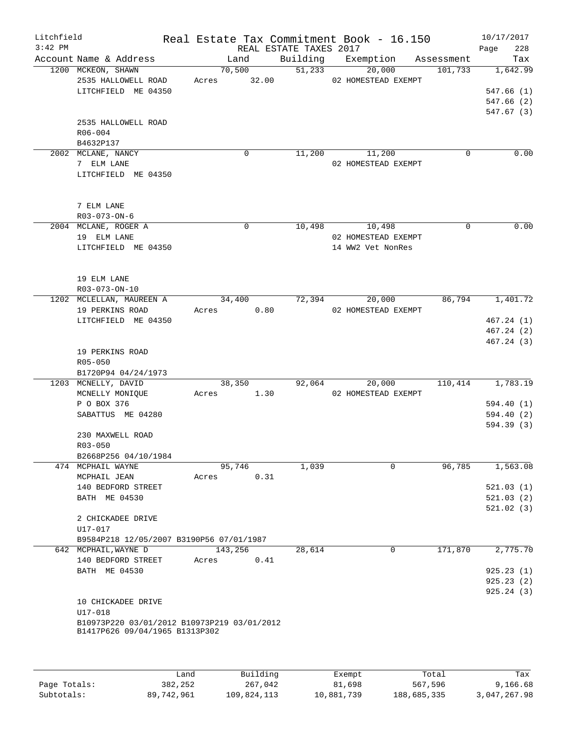| Litchfield<br>$3:42$ PM |                                             |               | REAL ESTATE TAXES 2017 | Real Estate Tax Commitment Book - 16.150 |             | 10/17/2017<br>228<br>Page |
|-------------------------|---------------------------------------------|---------------|------------------------|------------------------------------------|-------------|---------------------------|
|                         | Account Name & Address                      | Land          |                        | Building Exemption Assessment            |             | Tax                       |
|                         | 1200 MCKEON, SHAWN                          | 70,500        |                        | 51,233<br>20,000                         | 101,733     | 1,642.99                  |
|                         | 2535 HALLOWELL ROAD                         | Acres 32.00   |                        | 02 HOMESTEAD EXEMPT                      |             |                           |
|                         | LITCHFIELD ME 04350                         |               |                        |                                          |             | 547.66(1)                 |
|                         |                                             |               |                        |                                          |             | 547.66(2)                 |
|                         |                                             |               |                        |                                          |             | 547.67(3)                 |
|                         | 2535 HALLOWELL ROAD                         |               |                        |                                          |             |                           |
|                         | R06-004                                     |               |                        |                                          |             |                           |
|                         | B4632P137                                   |               |                        |                                          |             |                           |
|                         | 2002 MCLANE, NANCY                          | $\Omega$      |                        | 11,200 11,200                            | $\Omega$    | 0.00                      |
|                         | 7 ELM LANE                                  |               |                        | 02 HOMESTEAD EXEMPT                      |             |                           |
|                         | LITCHFIELD ME 04350                         |               |                        |                                          |             |                           |
|                         |                                             |               |                        |                                          |             |                           |
|                         |                                             |               |                        |                                          |             |                           |
|                         | 7 ELM LANE                                  |               |                        |                                          |             |                           |
|                         | $R03 - 073 - ON - 6$                        |               |                        |                                          |             |                           |
|                         | 2004 MCLANE, ROGER A                        | $\mathbf 0$   |                        | 10,498 10,498                            | $\mathbf 0$ | 0.00                      |
|                         | 19 ELM LANE                                 |               |                        | 02 HOMESTEAD EXEMPT                      |             |                           |
|                         | LITCHFIELD ME 04350                         |               |                        | 14 WW2 Vet NonRes                        |             |                           |
|                         |                                             |               |                        |                                          |             |                           |
|                         |                                             |               |                        |                                          |             |                           |
|                         | 19 ELM LANE                                 |               |                        |                                          |             |                           |
|                         | R03-073-ON-10                               |               |                        |                                          |             |                           |
|                         | 1202 MCLELLAN, MAUREEN A                    | 34,400        |                        | 72,394<br>20,000                         | 86,794      | 1,401.72                  |
|                         | 19 PERKINS ROAD                             | Acres 0.80    |                        | 02 HOMESTEAD EXEMPT                      |             |                           |
|                         | LITCHFIELD ME 04350                         |               |                        |                                          |             | 467.24(1)                 |
|                         |                                             |               |                        |                                          |             | 467.24(2)                 |
|                         |                                             |               |                        |                                          |             | 467.24(3)                 |
|                         | 19 PERKINS ROAD                             |               |                        |                                          |             |                           |
|                         | $R05 - 050$                                 |               |                        |                                          |             |                           |
|                         | B1720P94 04/24/1973                         |               |                        |                                          |             |                           |
|                         | 1203 MCNELLY, DAVID                         | 38,350        |                        | 92,064<br>20,000                         |             | $110,414$ 1,783.19        |
|                         | MCNELLY MONIQUE                             | Acres 1.30    |                        | 02 HOMESTEAD EXEMPT                      |             |                           |
|                         | P O BOX 376                                 |               |                        |                                          |             | 594.40(1)                 |
|                         | SABATTUS ME 04280                           |               |                        |                                          |             | 594.40(2)                 |
|                         |                                             |               |                        |                                          |             | 594.39(3)                 |
|                         | 230 MAXWELL ROAD                            |               |                        |                                          |             |                           |
|                         | $R03 - 050$                                 |               |                        |                                          |             |                           |
|                         | B2668P256 04/10/1984                        |               |                        |                                          |             |                           |
|                         | 474 MCPHAIL WAYNE                           | 95,746        | 1,039                  | 0                                        | 96,785      | 1,563.08                  |
|                         | MCPHAIL JEAN                                | 0.31<br>Acres |                        |                                          |             |                           |
|                         | 140 BEDFORD STREET                          |               |                        |                                          |             | 521.03(1)                 |
|                         | BATH ME 04530                               |               |                        |                                          |             | 521.03(2)                 |
|                         |                                             |               |                        |                                          |             | 521.02(3)                 |
|                         | 2 CHICKADEE DRIVE                           |               |                        |                                          |             |                           |
|                         | U17-017                                     |               |                        |                                          |             |                           |
|                         | B9584P218 12/05/2007 B3190P56 07/01/1987    |               |                        |                                          |             |                           |
|                         | 642 MCPHAIL, WAYNE D                        | 143,256       | 28,614                 | 0                                        | 171,870     | 2,775.70                  |
|                         | 140 BEDFORD STREET                          | 0.41<br>Acres |                        |                                          |             |                           |
|                         | BATH ME 04530                               |               |                        |                                          |             | 925.23(1)                 |
|                         |                                             |               |                        |                                          |             | 925.23(2)                 |
|                         |                                             |               |                        |                                          |             | 925.24(3)                 |
|                         | 10 CHICKADEE DRIVE                          |               |                        |                                          |             |                           |
|                         | U17-018                                     |               |                        |                                          |             |                           |
|                         | B10973P220 03/01/2012 B10973P219 03/01/2012 |               |                        |                                          |             |                           |
|                         | B1417P626 09/04/1965 B1313P302              |               |                        |                                          |             |                           |
|                         |                                             |               |                        |                                          |             |                           |
|                         |                                             |               |                        |                                          |             |                           |
|                         | Land                                        | Building      |                        | Exempt.                                  | Total       | Tax                       |
|                         |                                             |               |                        |                                          |             |                           |

|              | Land       | Building    | Exempt     | Total       | Tax          |
|--------------|------------|-------------|------------|-------------|--------------|
| Page Totals: | 382,252    | 267,042     | 81,698     | 567,596     | 9,166.68     |
| Subtotals:   | 89,742,961 | 109,824,113 | 10,881,739 | 188,685,335 | 3,047,267.98 |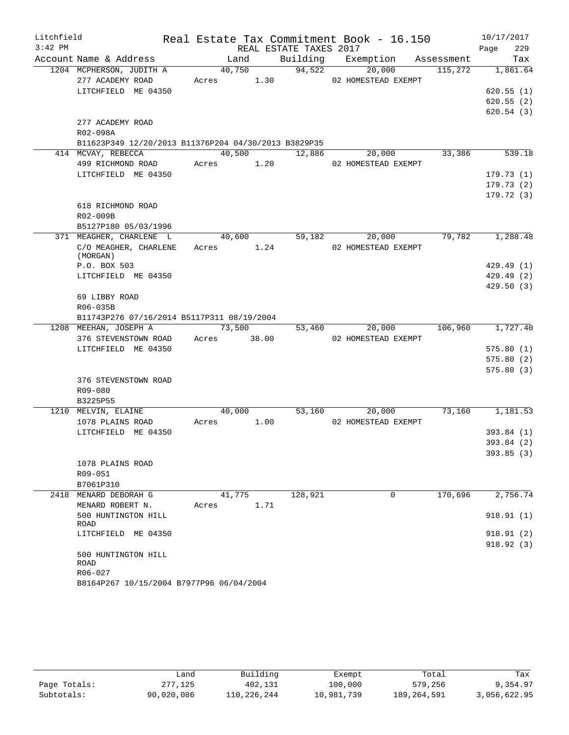| Litchfield |                                                      |                      |        |                        | Real Estate Tax Commitment Book - 16.150 |                 | 10/17/2017            |
|------------|------------------------------------------------------|----------------------|--------|------------------------|------------------------------------------|-----------------|-----------------------|
| $3:42$ PM  |                                                      |                      |        | REAL ESTATE TAXES 2017 |                                          |                 | 229<br>Page           |
|            | Account Name & Address                               | Land                 |        |                        | Building Exemption Assessment            |                 | Tax                   |
|            | 1204 MCPHERSON, JUDITH A<br>277 ACADEMY ROAD         | 40,750<br>Acres 1.30 |        | 94,522                 | 20,000<br>02 HOMESTEAD EXEMPT            | 115,272         | 1,861.64              |
|            | LITCHFIELD ME 04350                                  |                      |        |                        |                                          |                 | 620.55(1)             |
|            |                                                      |                      |        |                        |                                          |                 | 620.55(2)             |
|            |                                                      |                      |        |                        |                                          |                 | 620.54(3)             |
|            | 277 ACADEMY ROAD                                     |                      |        |                        |                                          |                 |                       |
|            | R02-098A                                             |                      |        |                        |                                          |                 |                       |
|            | B11623P349 12/20/2013 B11376P204 04/30/2013 B3829P35 |                      |        |                        |                                          |                 |                       |
|            | 414 MCVAY, REBECCA                                   |                      | 40,500 |                        | 12,886<br>20,000                         | 33,386          | 539.18                |
|            | 499 RICHMOND ROAD                                    | Acres 1.20           |        |                        | 02 HOMESTEAD EXEMPT                      |                 |                       |
|            | LITCHFIELD ME 04350                                  |                      |        |                        |                                          |                 | 179.73(1)             |
|            |                                                      |                      |        |                        |                                          |                 | 179.73(2)             |
|            |                                                      |                      |        |                        |                                          |                 | 179.72(3)             |
|            | 618 RICHMOND ROAD                                    |                      |        |                        |                                          |                 |                       |
|            | R02-009B                                             |                      |        |                        |                                          |                 |                       |
|            | B5127P180 05/03/1996                                 |                      |        |                        |                                          |                 |                       |
|            | 371 MEAGHER, CHARLENE L                              | 40,600 59,182        |        |                        |                                          | $20,000$ 79,782 | $1,288.\overline{48}$ |
|            | C/O MEAGHER, CHARLENE<br>(MORGAN)                    | Acres 1.24           |        |                        | 02 HOMESTEAD EXEMPT                      |                 |                       |
|            | P.O. BOX 503                                         |                      |        |                        |                                          |                 | 429.49(1)             |
|            | LITCHFIELD ME 04350                                  |                      |        |                        |                                          |                 | 429.49 (2)            |
|            |                                                      |                      |        |                        |                                          |                 | 429.50(3)             |
|            | 69 LIBBY ROAD                                        |                      |        |                        |                                          |                 |                       |
|            | R06-035B                                             |                      |        |                        |                                          |                 |                       |
|            | B11743P276 07/16/2014 B5117P311 08/19/2004           |                      |        |                        |                                          |                 |                       |
|            | 1208 MEEHAN, JOSEPH A                                | 73,500               |        |                        | 20,000<br>53,460                         | 106,960         | 1,727.40              |
|            | 376 STEVENSTOWN ROAD Acres 38.00                     |                      |        |                        | 02 HOMESTEAD EXEMPT                      |                 |                       |
|            | LITCHFIELD ME 04350                                  |                      |        |                        |                                          |                 | 575.80(1)             |
|            |                                                      |                      |        |                        |                                          |                 | 575.80(2)             |
|            |                                                      |                      |        |                        |                                          |                 | 575.80(3)             |
|            | 376 STEVENSTOWN ROAD                                 |                      |        |                        |                                          |                 |                       |
|            | R09-080                                              |                      |        |                        |                                          |                 |                       |
|            | B3225P55                                             |                      |        |                        |                                          |                 |                       |
|            | 1210 MELVIN, ELAINE                                  | 40,000               |        |                        | 53,160<br>20,000                         | 73,160          | 1,181.53              |
|            | 1078 PLAINS ROAD                                     | Acres                | 1.00   |                        | 02 HOMESTEAD EXEMPT                      |                 |                       |
|            | LITCHFIELD ME 04350                                  |                      |        |                        |                                          |                 | 393.84 (1)            |
|            |                                                      |                      |        |                        |                                          |                 | 393.84(2)             |
|            |                                                      |                      |        |                        |                                          |                 | 393.85(3)             |
|            | 1078 PLAINS ROAD<br>R09-051                          |                      |        |                        |                                          |                 |                       |
|            | B7061P310                                            |                      |        |                        |                                          |                 |                       |
|            | 2418 MENARD DEBORAH G                                | 41,775               |        | 128,921                | 0                                        | 170,696         | 2,756.74              |
|            | MENARD ROBERT N.                                     | Acres                | 1.71   |                        |                                          |                 |                       |
|            | 500 HUNTINGTON HILL<br>ROAD                          |                      |        |                        |                                          |                 | 918.91(1)             |
|            | LITCHFIELD ME 04350                                  |                      |        |                        |                                          |                 | 918.91 (2)            |
|            |                                                      |                      |        |                        |                                          |                 | 918.92(3)             |
|            | 500 HUNTINGTON HILL<br>ROAD                          |                      |        |                        |                                          |                 |                       |
|            | R06-027                                              |                      |        |                        |                                          |                 |                       |
|            | B8164P267 10/15/2004 B7977P96 06/04/2004             |                      |        |                        |                                          |                 |                       |

|              | úand       | Building    | Exempt     | Total       | Tax          |
|--------------|------------|-------------|------------|-------------|--------------|
| Page Totals: | 277,125    | 402,131     | 100,000    | 579,256     | 9,354.97     |
| Subtotals:   | 90,020,086 | 110,226,244 | 10,981,739 | 189,264,591 | 3,056,622.95 |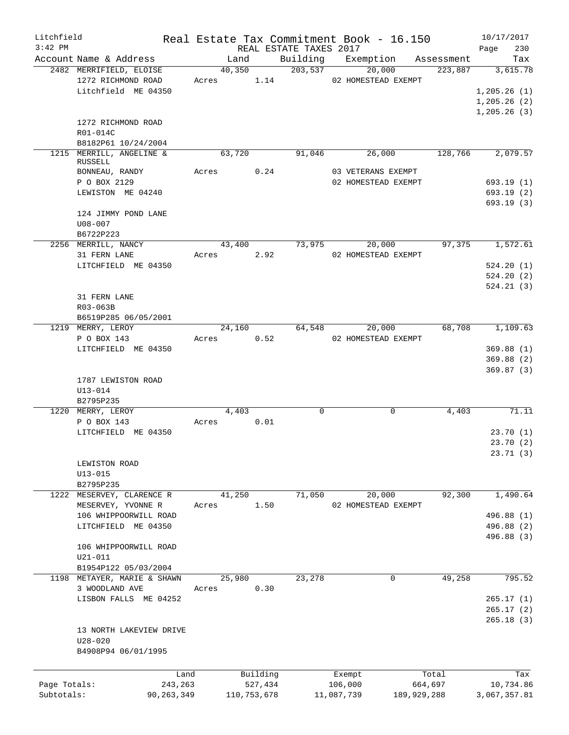| Litchfield   |                                                                      |            |             |         |                        | Real Estate Tax Commitment Book - 16.150 |                  | 10/17/2017                   |
|--------------|----------------------------------------------------------------------|------------|-------------|---------|------------------------|------------------------------------------|------------------|------------------------------|
| $3:42$ PM    |                                                                      |            |             |         | REAL ESTATE TAXES 2017 |                                          |                  | 230<br>Page                  |
|              | Account Name & Address                                               |            | Land        |         |                        | Building Exemption                       | Assessment       | Tax                          |
|              | 2482 MERRIFIELD, ELOISE<br>1272 RICHMOND ROAD<br>Litchfield ME 04350 | Acres 1.14 | 40,350      |         | 203,537                | 20,000<br>02 HOMESTEAD EXEMPT            | 223,887          | 3,615.78<br>1, 205.26(1)     |
|              |                                                                      |            |             |         |                        |                                          |                  | 1, 205.26(2)<br>1, 205.26(3) |
|              | 1272 RICHMOND ROAD<br>R01-014C                                       |            |             |         |                        |                                          |                  |                              |
|              | B8182P61 10/24/2004                                                  |            |             |         |                        |                                          |                  |                              |
|              | 1215 MERRILL, ANGELINE &<br>RUSSELL                                  |            | 63,720      |         | 91,046                 | 26,000                                   | 128,766          | 2,079.57                     |
|              | BONNEAU, RANDY                                                       | Acres      |             | 0.24    |                        | 03 VETERANS EXEMPT                       |                  |                              |
|              | P O BOX 2129                                                         |            |             |         |                        | 02 HOMESTEAD EXEMPT                      |                  | 693.19(1)                    |
|              | LEWISTON ME 04240                                                    |            |             |         |                        |                                          |                  | 693.19(2)<br>693.19(3)       |
|              | 124 JIMMY POND LANE                                                  |            |             |         |                        |                                          |                  |                              |
|              | $U08 - 007$<br>B6722P223                                             |            |             |         |                        |                                          |                  |                              |
|              | 2256 MERRILL, NANCY                                                  |            | 43,400      |         | 73,975                 | 20,000                                   | 97,375           | 1,572.61                     |
|              | 31 FERN LANE                                                         | Acres      | 2.92        |         |                        | 02 HOMESTEAD EXEMPT                      |                  |                              |
|              | LITCHFIELD ME 04350                                                  |            |             |         |                        |                                          |                  | 524.20(1)                    |
|              |                                                                      |            |             |         |                        |                                          |                  | 524.20(2)                    |
|              |                                                                      |            |             |         |                        |                                          |                  | 524.21(3)                    |
|              | 31 FERN LANE                                                         |            |             |         |                        |                                          |                  |                              |
|              | R03-063B                                                             |            |             |         |                        |                                          |                  |                              |
|              | B6519P285 06/05/2001<br>1219 MERRY, LEROY                            |            | 24,160      |         | 64,548                 | 20,000                                   | 68,708           | 1,109.63                     |
|              | P O BOX 143                                                          | Acres      |             | 0.52    |                        | 02 HOMESTEAD EXEMPT                      |                  |                              |
|              | LITCHFIELD ME 04350                                                  |            |             |         |                        |                                          |                  | 369.88(1)                    |
|              |                                                                      |            |             |         |                        |                                          |                  | 369.88(2)                    |
|              |                                                                      |            |             |         |                        |                                          |                  | 369.87(3)                    |
|              | 1787 LEWISTON ROAD                                                   |            |             |         |                        |                                          |                  |                              |
|              | $U13 - 014$                                                          |            |             |         |                        |                                          |                  |                              |
|              | B2795P235<br>1220 MERRY, LEROY                                       |            | 4,403       |         | $\mathbf 0$            | 0                                        | 4,403            | 71.11                        |
|              | P O BOX 143                                                          | Acres      |             | 0.01    |                        |                                          |                  |                              |
|              | LITCHFIELD ME 04350                                                  |            |             |         |                        |                                          |                  | 23.70(1)                     |
|              |                                                                      |            |             |         |                        |                                          |                  | 23.70(2)                     |
|              |                                                                      |            |             |         |                        |                                          |                  | 23.71(3)                     |
|              | LEWISTON ROAD                                                        |            |             |         |                        |                                          |                  |                              |
|              | $U13 - 015$                                                          |            |             |         |                        |                                          |                  |                              |
|              | B2795P235<br>1222 MESERVEY, CLARENCE R                               |            | 41,250      |         | 71,050                 | 20,000                                   | 92,300           | 1,490.64                     |
|              | MESERVEY, YVONNE R                                                   | Acres      |             | 1.50    |                        | 02 HOMESTEAD EXEMPT                      |                  |                              |
|              | 106 WHIPPOORWILL ROAD                                                |            |             |         |                        |                                          |                  | 496.88 (1)                   |
|              | LITCHFIELD ME 04350                                                  |            |             |         |                        |                                          |                  | 496.88 (2)                   |
|              |                                                                      |            |             |         |                        |                                          |                  | 496.88 (3)                   |
|              | 106 WHIPPOORWILL ROAD                                                |            |             |         |                        |                                          |                  |                              |
|              | $U21 - 011$                                                          |            |             |         |                        |                                          |                  |                              |
|              | B1954P122 05/03/2004<br>1198 METAYER, MARIE & SHAWN                  |            | 25,980      |         | 23,278                 | $\mathbf 0$                              | 49,258           | 795.52                       |
|              | 3 WOODLAND AVE                                                       | Acres      |             | 0.30    |                        |                                          |                  |                              |
|              | LISBON FALLS ME 04252                                                |            |             |         |                        |                                          |                  | 265.17(1)                    |
|              |                                                                      |            |             |         |                        |                                          |                  | 265.17(2)                    |
|              |                                                                      |            |             |         |                        |                                          |                  | 265.18(3)                    |
|              | 13 NORTH LAKEVIEW DRIVE                                              |            |             |         |                        |                                          |                  |                              |
|              | $U28 - 020$                                                          |            |             |         |                        |                                          |                  |                              |
|              | B4908P94 06/01/1995                                                  |            |             |         |                        |                                          |                  |                              |
|              |                                                                      |            |             |         |                        |                                          |                  |                              |
| Page Totals: | Land<br>243,263                                                      |            | Building    | 527,434 |                        | Exempt<br>106,000                        | Total<br>664,697 | Tax<br>10,734.86             |
| Subtotals:   | 90,263,349                                                           |            | 110,753,678 |         |                        | 11,087,739<br>189,929,288                |                  | 3,067,357.81                 |
|              |                                                                      |            |             |         |                        |                                          |                  |                              |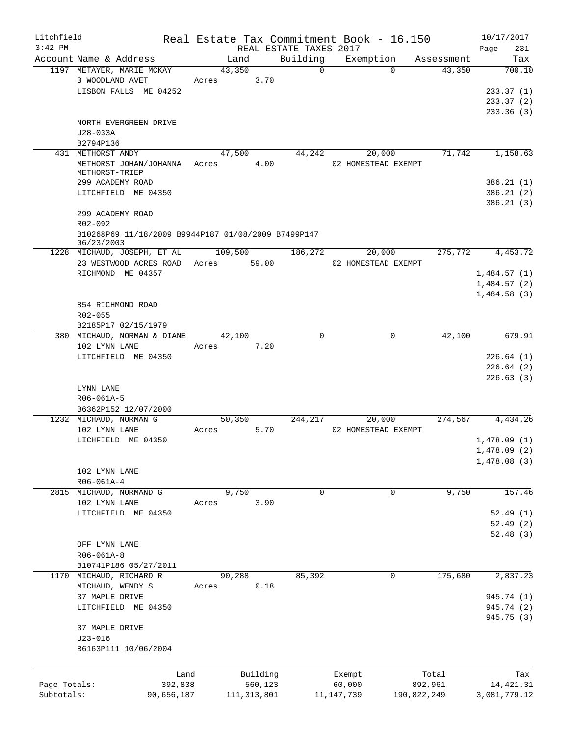| Litchfield   |                                                     |         |               |                        |          | Real Estate Tax Commitment Book - 16.150 |             | 10/17/2017   |
|--------------|-----------------------------------------------------|---------|---------------|------------------------|----------|------------------------------------------|-------------|--------------|
| $3:42$ PM    |                                                     |         |               | REAL ESTATE TAXES 2017 |          |                                          |             | 231<br>Page  |
|              | Account Name & Address                              |         | Land          |                        | Building | Exemption                                | Assessment  | Tax          |
|              | 1197 METAYER, MARIE MCKAY                           |         | 43,350        |                        | $\Omega$ | $\Omega$                                 | 43,350      | 700.10       |
|              | 3 WOODLAND AVET                                     | Acres   | 3.70          |                        |          |                                          |             |              |
|              | LISBON FALLS ME 04252                               |         |               |                        |          |                                          |             | 233.37(1)    |
|              |                                                     |         |               |                        |          |                                          |             | 233.37(2)    |
|              |                                                     |         |               |                        |          |                                          |             | 233.36(3)    |
|              | NORTH EVERGREEN DRIVE                               |         |               |                        |          |                                          |             |              |
|              | U28-033A                                            |         |               |                        |          |                                          |             |              |
|              | B2794P136                                           |         |               |                        |          |                                          |             |              |
|              | 431 METHORST ANDY                                   |         | 47,500        |                        | 44,242   | 20,000                                   | 71,742      | 1,158.63     |
|              | METHORST JOHAN/JOHANNA<br>METHORST-TRIEP            | Acres   |               | 4.00                   |          | 02 HOMESTEAD EXEMPT                      |             |              |
|              | 299 ACADEMY ROAD                                    |         |               |                        |          |                                          |             | 386.21(1)    |
|              | LITCHFIELD ME 04350                                 |         |               |                        |          |                                          |             | 386.21(2)    |
|              |                                                     |         |               |                        |          |                                          |             | 386.21(3)    |
|              | 299 ACADEMY ROAD                                    |         |               |                        |          |                                          |             |              |
|              | R02-092                                             |         |               |                        |          |                                          |             |              |
|              | B10268P69 11/18/2009 B9944P187 01/08/2009 B7499P147 |         |               |                        |          |                                          |             |              |
|              | 06/23/2003                                          |         |               |                        |          |                                          |             |              |
|              | 1228 MICHAUD, JOSEPH, ET AL                         |         | 109,500       |                        | 186,272  | 20,000                                   | 275,772     | 4,453.72     |
|              | 23 WESTWOOD ACRES ROAD                              | Acres   | 59.00         |                        |          | 02 HOMESTEAD EXEMPT                      |             |              |
|              | RICHMOND ME 04357                                   |         |               |                        |          |                                          |             | 1,484.57(1)  |
|              |                                                     |         |               |                        |          |                                          |             | 1,484.57(2)  |
|              |                                                     |         |               |                        |          |                                          |             | 1,484.58(3)  |
|              | 854 RICHMOND ROAD                                   |         |               |                        |          |                                          |             |              |
|              | R02-055                                             |         |               |                        |          |                                          |             |              |
|              | B2185P17 02/15/1979                                 |         |               |                        |          |                                          |             |              |
|              | 380 MICHAUD, NORMAN & DIANE                         |         | 42,100        |                        | 0        | 0                                        | 42,100      | 679.91       |
|              | 102 LYNN LANE                                       | Acres   |               | 7.20                   |          |                                          |             |              |
|              | LITCHFIELD ME 04350                                 |         |               |                        |          |                                          |             | 226.64(1)    |
|              |                                                     |         |               |                        |          |                                          |             | 226.64(2)    |
|              |                                                     |         |               |                        |          |                                          |             | 226.63(3)    |
|              | LYNN LANE                                           |         |               |                        |          |                                          |             |              |
|              | R06-061A-5                                          |         |               |                        |          |                                          |             |              |
|              | B6362P152 12/07/2000                                |         |               |                        |          |                                          |             |              |
|              | 1232 MICHAUD, NORMAN G                              |         | 50,350        |                        | 244,217  | 20,000                                   | 274,567     | 4,434.26     |
|              | 102 LYNN LANE                                       | Acres   |               | 5.70                   |          | 02 HOMESTEAD EXEMPT                      |             |              |
|              | LICHFIELD ME 04350                                  |         |               |                        |          |                                          |             | 1,478.09(1)  |
|              |                                                     |         |               |                        |          |                                          |             | 1,478.09(2)  |
|              |                                                     |         |               |                        |          |                                          |             | 1,478.08(3)  |
|              | 102 LYNN LANE                                       |         |               |                        |          |                                          |             |              |
|              | R06-061A-4                                          |         |               |                        |          |                                          |             |              |
| 2815         | MICHAUD, NORMAND G                                  |         | 9,750         |                        | 0        | 0                                        | 9,750       | 157.46       |
|              | 102 LYNN LANE                                       | Acres   |               | 3.90                   |          |                                          |             |              |
|              | LITCHFIELD ME 04350                                 |         |               |                        |          |                                          |             | 52.49(1)     |
|              |                                                     |         |               |                        |          |                                          |             | 52.49(2)     |
|              |                                                     |         |               |                        |          |                                          |             |              |
|              |                                                     |         |               |                        |          |                                          |             | 52.48(3)     |
|              | OFF LYNN LANE                                       |         |               |                        |          |                                          |             |              |
|              | R06-061A-8                                          |         |               |                        |          |                                          |             |              |
|              | B10741P186 05/27/2011                               |         |               |                        |          |                                          |             |              |
| 1170         | MICHAUD, RICHARD R                                  |         | 90,288        |                        | 85,392   | 0                                        | 175,680     | 2,837.23     |
|              | MICHAUD, WENDY S                                    | Acres   |               | 0.18                   |          |                                          |             |              |
|              | 37 MAPLE DRIVE                                      |         |               |                        |          |                                          |             | 945.74 (1)   |
|              | LITCHFIELD ME 04350                                 |         |               |                        |          |                                          |             | 945.74 (2)   |
|              |                                                     |         |               |                        |          |                                          |             | 945.75 (3)   |
|              | 37 MAPLE DRIVE                                      |         |               |                        |          |                                          |             |              |
|              | $U23 - 016$                                         |         |               |                        |          |                                          |             |              |
|              | B6163P111 10/06/2004                                |         |               |                        |          |                                          |             |              |
|              |                                                     |         |               |                        |          |                                          |             |              |
|              |                                                     | Land    | Building      |                        |          | Exempt                                   | Total       | Tax          |
| Page Totals: |                                                     | 392,838 | 560,123       |                        |          | 60,000                                   | 892,961     | 14, 421.31   |
| Subtotals:   | 90,656,187                                          |         | 111, 313, 801 |                        |          | 11,147,739                               | 190,822,249 | 3,081,779.12 |
|              |                                                     |         |               |                        |          |                                          |             |              |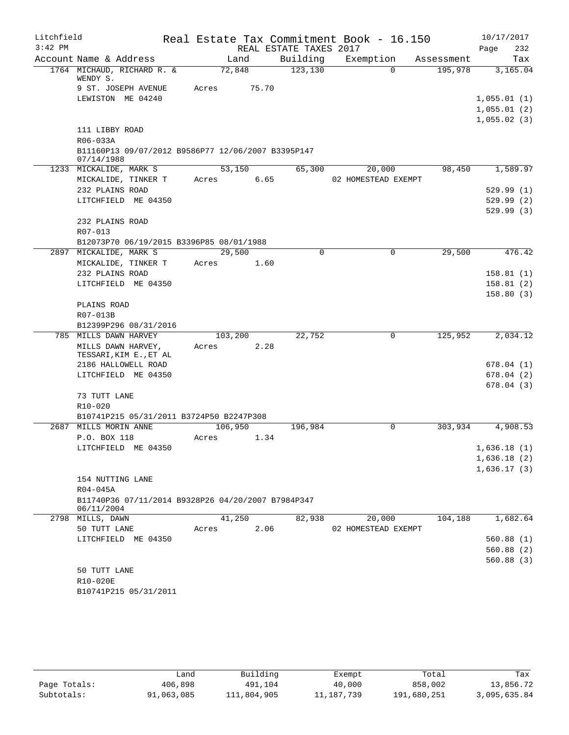| Litchfield |                                                                  |         |       |                        | Real Estate Tax Commitment Book - 16.150 |            | 10/17/2017              |
|------------|------------------------------------------------------------------|---------|-------|------------------------|------------------------------------------|------------|-------------------------|
| $3:42$ PM  |                                                                  |         |       | REAL ESTATE TAXES 2017 |                                          |            | Page<br>232             |
|            | Account Name & Address                                           | Land    |       | Building               | Exemption                                | Assessment | Tax                     |
|            | 1764 MICHAUD, RICHARD R. &<br>WENDY S.                           | 72,848  |       | 123, 130               | $\Omega$                                 | 195,978    | 3,165.04                |
|            | 9 ST. JOSEPH AVENUE                                              | Acres   | 75.70 |                        |                                          |            |                         |
|            | LEWISTON ME 04240                                                |         |       |                        |                                          |            | 1,055.01(1)             |
|            |                                                                  |         |       |                        |                                          |            | 1,055.01(2)             |
|            |                                                                  |         |       |                        |                                          |            | 1,055.02(3)             |
|            | 111 LIBBY ROAD                                                   |         |       |                        |                                          |            |                         |
|            | R06-033A                                                         |         |       |                        |                                          |            |                         |
|            | B11160P13 09/07/2012 B9586P77 12/06/2007 B3395P147<br>07/14/1988 |         |       |                        |                                          |            |                         |
|            | 1233 MICKALIDE, MARK S                                           | 53,150  |       | 65,300                 | 20,000                                   | 98,450     | 1,589.97                |
|            | MICKALIDE, TINKER T                                              | Acres   | 6.65  |                        | 02 HOMESTEAD EXEMPT                      |            |                         |
|            | 232 PLAINS ROAD                                                  |         |       |                        |                                          |            | 529.99(1)               |
|            | LITCHFIELD ME 04350                                              |         |       |                        |                                          |            | 529.99(2)               |
|            |                                                                  |         |       |                        |                                          |            | 529.99(3)               |
|            | 232 PLAINS ROAD                                                  |         |       |                        |                                          |            |                         |
|            | R07-013                                                          |         |       |                        |                                          |            |                         |
|            | B12073P70 06/19/2015 B3396P85 08/01/1988                         |         |       |                        |                                          |            |                         |
|            | 2897 MICKALIDE, MARK S                                           | 29,500  |       | $\Omega$               | $\mathbf 0$                              | 29,500     | 476.42                  |
|            | MICKALIDE, TINKER T                                              | Acres   | 1.60  |                        |                                          |            |                         |
|            | 232 PLAINS ROAD                                                  |         |       |                        |                                          |            | 158.81(1)               |
|            | LITCHFIELD ME 04350                                              |         |       |                        |                                          |            | 158.81(2)               |
|            |                                                                  |         |       |                        |                                          |            | 158.80(3)               |
|            | PLAINS ROAD                                                      |         |       |                        |                                          |            |                         |
|            | R07-013B                                                         |         |       |                        |                                          |            |                         |
|            | B12399P296 08/31/2016                                            |         |       |                        |                                          |            |                         |
|            | 785 MILLS DAWN HARVEY                                            | 103,200 |       | 22,752                 | 0                                        | 125,952    | 2,034.12                |
|            | MILLS DAWN HARVEY,                                               | Acres   | 2.28  |                        |                                          |            |                         |
|            | TESSARI, KIM E., ET AL                                           |         |       |                        |                                          |            |                         |
|            | 2186 HALLOWELL ROAD<br>LITCHFIELD ME 04350                       |         |       |                        |                                          |            | 678.04 (1)<br>678.04(2) |
|            |                                                                  |         |       |                        |                                          |            | 678.04(3)               |
|            | 73 TUTT LANE                                                     |         |       |                        |                                          |            |                         |
|            | R10-020                                                          |         |       |                        |                                          |            |                         |
|            | B10741P215 05/31/2011 B3724P50 B2247P308                         |         |       |                        |                                          |            |                         |
|            | 2687 MILLS MORIN ANNE                                            | 106,950 |       | 196,984                | $\Omega$                                 | 303,934    | 4,908.53                |
|            | P.O. BOX 118                                                     | Acres   | 1.34  |                        |                                          |            |                         |
|            | LITCHFIELD ME 04350                                              |         |       |                        |                                          |            | 1,636.18(1)             |
|            |                                                                  |         |       |                        |                                          |            | 1,636.18(2)             |
|            |                                                                  |         |       |                        |                                          |            | 1,636.17(3)             |
|            | 154 NUTTING LANE                                                 |         |       |                        |                                          |            |                         |
|            | R04-045A                                                         |         |       |                        |                                          |            |                         |
|            | B11740P36 07/11/2014 B9328P26 04/20/2007 B7984P347               |         |       |                        |                                          |            |                         |
|            | 06/11/2004                                                       |         |       |                        |                                          |            |                         |
|            | 2798 MILLS, DAWN                                                 | 41,250  |       | 82,938                 | 20,000                                   | 104,188    | 1,682.64                |
|            | 50 TUTT LANE                                                     | Acres   | 2.06  |                        | 02 HOMESTEAD EXEMPT                      |            |                         |
|            | LITCHFIELD ME 04350                                              |         |       |                        |                                          |            | 560.88(1)               |
|            |                                                                  |         |       |                        |                                          |            | 560.88(2)               |
|            |                                                                  |         |       |                        |                                          |            | 560.88 (3)              |
|            | 50 TUTT LANE                                                     |         |       |                        |                                          |            |                         |
|            | R10-020E                                                         |         |       |                        |                                          |            |                         |
|            | B10741P215 05/31/2011                                            |         |       |                        |                                          |            |                         |

|              | Land       | Building    | Exempt       | Total       | Tax          |
|--------------|------------|-------------|--------------|-------------|--------------|
| Page Totals: | 406,898    | 491,104     | 40,000       | 858,002     | 13,856.72    |
| Subtotals:   | 91,063,085 | 111,804,905 | 11, 187, 739 | 191,680,251 | 3,095,635.84 |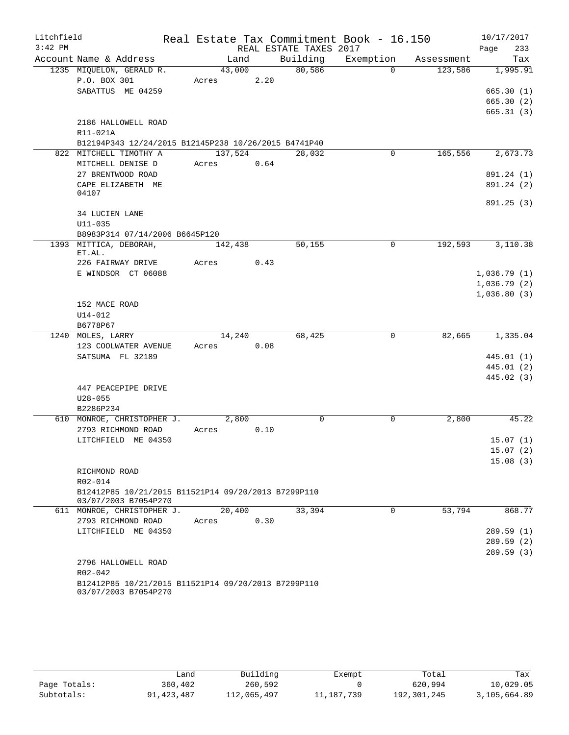| Litchfield |                                                                                |               |      |                        | Real Estate Tax Commitment Book - 16.150 |            | 10/17/2017           |
|------------|--------------------------------------------------------------------------------|---------------|------|------------------------|------------------------------------------|------------|----------------------|
| $3:42$ PM  |                                                                                |               |      | REAL ESTATE TAXES 2017 |                                          |            | Page<br>233          |
|            | Account Name & Address                                                         | Land          |      | Building               | Exemption                                | Assessment | Tax                  |
|            | 1235 MIQUELON, GERALD R.                                                       | 43,000        |      | 80,586                 | $\Omega$                                 | 123,586    | 1,995.91             |
|            | P.O. BOX 301                                                                   | Acres         | 2.20 |                        |                                          |            |                      |
|            | SABATTUS ME 04259                                                              |               |      |                        |                                          |            | 665.30(1)            |
|            |                                                                                |               |      |                        |                                          |            | 665.30(2)            |
|            |                                                                                |               |      |                        |                                          |            | 665.31(3)            |
|            | 2186 HALLOWELL ROAD                                                            |               |      |                        |                                          |            |                      |
|            | R11-021A                                                                       |               |      |                        |                                          |            |                      |
|            | B12194P343 12/24/2015 B12145P238 10/26/2015 B4741P40<br>822 MITCHELL TIMOTHY A | 137,524       |      | 28,032                 | 0                                        | 165,556    | 2,673.73             |
|            | MITCHELL DENISE D                                                              | 0.64<br>Acres |      |                        |                                          |            |                      |
|            | 27 BRENTWOOD ROAD                                                              |               |      |                        |                                          |            | 891.24 (1)           |
|            | CAPE ELIZABETH ME                                                              |               |      |                        |                                          |            | 891.24 (2)           |
|            | 04107                                                                          |               |      |                        |                                          |            |                      |
|            |                                                                                |               |      |                        |                                          |            | 891.25(3)            |
|            | 34 LUCIEN LANE                                                                 |               |      |                        |                                          |            |                      |
|            | $U11 - 035$                                                                    |               |      |                        |                                          |            |                      |
|            | B8983P314 07/14/2006 B6645P120                                                 |               |      |                        |                                          |            |                      |
|            | 1393 MITTICA, DEBORAH,                                                         | 142,438       |      | 50,155                 | 0                                        | 192,593    | 3,110.38             |
|            | ET.AL.<br>226 FAIRWAY DRIVE                                                    |               | 0.43 |                        |                                          |            |                      |
|            | E WINDSOR CT 06088                                                             | Acres         |      |                        |                                          |            | 1,036.79(1)          |
|            |                                                                                |               |      |                        |                                          |            | 1,036.79(2)          |
|            |                                                                                |               |      |                        |                                          |            | 1,036.80(3)          |
|            | 152 MACE ROAD                                                                  |               |      |                        |                                          |            |                      |
|            | $U14 - 012$                                                                    |               |      |                        |                                          |            |                      |
|            | B6778P67                                                                       |               |      |                        |                                          |            |                      |
|            | 1240 MOLES, LARRY                                                              | 14,240        |      | 68,425                 | 0                                        | 82,665     | 1,335.04             |
|            | 123 COOLWATER AVENUE                                                           | Acres         | 0.08 |                        |                                          |            |                      |
|            | SATSUMA FL 32189                                                               |               |      |                        |                                          |            | 445.01 (1)           |
|            |                                                                                |               |      |                        |                                          |            | 445.01 (2)           |
|            |                                                                                |               |      |                        |                                          |            | 445.02 (3)           |
|            | 447 PEACEPIPE DRIVE                                                            |               |      |                        |                                          |            |                      |
|            | $U28 - 055$                                                                    |               |      |                        |                                          |            |                      |
|            | B2286P234                                                                      |               |      |                        |                                          |            |                      |
|            | 610 MONROE, CHRISTOPHER J.                                                     | 2,800         |      | $\mathbf 0$            | 0                                        | 2,800      | 45.22                |
|            | 2793 RICHMOND ROAD                                                             | Acres         | 0.10 |                        |                                          |            |                      |
|            | LITCHFIELD ME 04350                                                            |               |      |                        |                                          |            | 15.07(1)             |
|            |                                                                                |               |      |                        |                                          |            | 15.07(2)<br>15.08(3) |
|            | RICHMOND ROAD                                                                  |               |      |                        |                                          |            |                      |
|            | $R02 - 014$                                                                    |               |      |                        |                                          |            |                      |
|            | B12412P85 10/21/2015 B11521P14 09/20/2013 B7299P110                            |               |      |                        |                                          |            |                      |
|            | 03/07/2003 B7054P270                                                           |               |      |                        |                                          |            |                      |
|            | 611 MONROE, CHRISTOPHER J.                                                     | 20,400        |      | 33,394                 | $\Omega$                                 | 53,794     | 868.77               |
|            | 2793 RICHMOND ROAD                                                             | Acres         | 0.30 |                        |                                          |            |                      |
|            | LITCHFIELD ME 04350                                                            |               |      |                        |                                          |            | 289.59(1)            |
|            |                                                                                |               |      |                        |                                          |            | 289.59(2)            |
|            |                                                                                |               |      |                        |                                          |            | 289.59(3)            |
|            | 2796 HALLOWELL ROAD                                                            |               |      |                        |                                          |            |                      |
|            | R02-042                                                                        |               |      |                        |                                          |            |                      |
|            | B12412P85 10/21/2015 B11521P14 09/20/2013 B7299P110<br>03/07/2003 B7054P270    |               |      |                        |                                          |            |                      |
|            |                                                                                |               |      |                        |                                          |            |                      |

|              | Land         | Building    | Exempt       | Total       | Tax          |
|--------------|--------------|-------------|--------------|-------------|--------------|
| Page Totals: | 360,402      | 260,592     |              | 620,994     | 10,029.05    |
| Subtotals:   | 91, 423, 487 | 112,065,497 | 11, 187, 739 | 192,301,245 | 3,105,664.89 |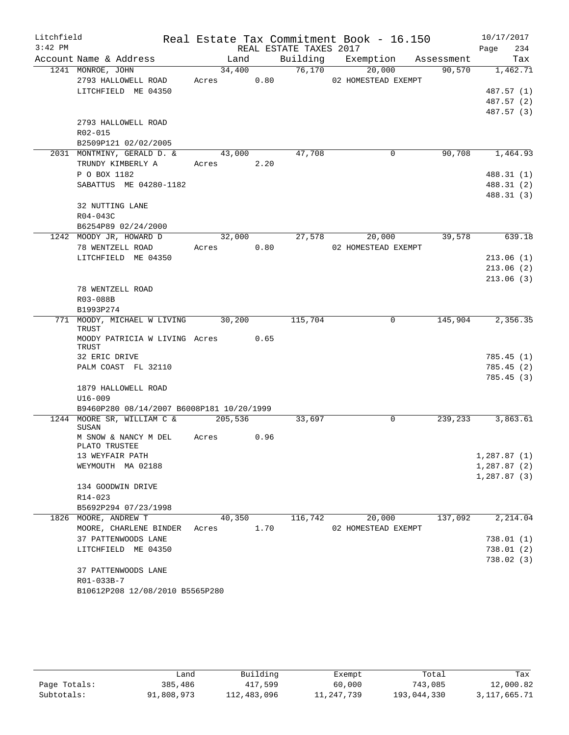| Litchfield |                                                    |       |            |      |                        | Real Estate Tax Commitment Book - 16.150 |         | 10/17/2017             |
|------------|----------------------------------------------------|-------|------------|------|------------------------|------------------------------------------|---------|------------------------|
| $3:42$ PM  |                                                    |       |            |      | REAL ESTATE TAXES 2017 |                                          |         | 234<br>Page            |
|            | Account Name & Address                             |       | Land       |      |                        | Building Exemption Assessment            |         | Tax                    |
|            | 1241 MONROE, JOHN                                  |       | 34,400     |      | 76,170                 | 20,000                                   | 90,570  | 1,462.71               |
|            | 2793 HALLOWELL ROAD                                |       | Acres 0.80 |      |                        | 02 HOMESTEAD EXEMPT                      |         |                        |
|            | LITCHFIELD ME 04350                                |       |            |      |                        |                                          |         | 487.57 (1)             |
|            |                                                    |       |            |      |                        |                                          |         | 487.57 (2)             |
|            |                                                    |       |            |      |                        |                                          |         | 487.57 (3)             |
|            | 2793 HALLOWELL ROAD                                |       |            |      |                        |                                          |         |                        |
|            | R02-015                                            |       |            |      |                        |                                          |         |                        |
|            | B2509P121 02/02/2005<br>2031 MONTMINY, GERALD D. & |       | 43,000     |      | 47,708                 | 0                                        | 90,708  | 1,464.93               |
|            | TRUNDY KIMBERLY A                                  |       | Acres      | 2.20 |                        |                                          |         |                        |
|            | P O BOX 1182                                       |       |            |      |                        |                                          |         | 488.31 (1)             |
|            | SABATTUS ME 04280-1182                             |       |            |      |                        |                                          |         | 488.31 (2)             |
|            |                                                    |       |            |      |                        |                                          |         | 488.31 (3)             |
|            | 32 NUTTING LANE                                    |       |            |      |                        |                                          |         |                        |
|            | R04-043C                                           |       |            |      |                        |                                          |         |                        |
|            | B6254P89 02/24/2000                                |       |            |      |                        |                                          |         |                        |
|            | 1242 MOODY JR, HOWARD D                            |       | 32,000     |      | 27,578                 | 20,000                                   | 39,578  | 639.18                 |
|            | 78 WENTZELL ROAD                                   |       | Acres      | 0.80 |                        | 02 HOMESTEAD EXEMPT                      |         |                        |
|            | LITCHFIELD ME 04350                                |       |            |      |                        |                                          |         | 213.06(1)              |
|            |                                                    |       |            |      |                        |                                          |         | 213.06(2)              |
|            |                                                    |       |            |      |                        |                                          |         | 213.06(3)              |
|            | 78 WENTZELL ROAD                                   |       |            |      |                        |                                          |         |                        |
|            | R03-088B                                           |       |            |      |                        |                                          |         |                        |
|            | B1993P274                                          |       |            |      |                        |                                          |         |                        |
|            | 771 MOODY, MICHAEL W LIVING 30,200                 |       |            |      | 115,704                | 0                                        | 145,904 | 2,356.35               |
|            | TRUST<br>MOODY PATRICIA W LIVING Acres 0.65        |       |            |      |                        |                                          |         |                        |
|            | TRUST                                              |       |            |      |                        |                                          |         |                        |
|            | 32 ERIC DRIVE                                      |       |            |      |                        |                                          |         | 785.45(1)              |
|            | PALM COAST FL 32110                                |       |            |      |                        |                                          |         | 785.45(2)              |
|            |                                                    |       |            |      |                        |                                          |         | 785.45(3)              |
|            | 1879 HALLOWELL ROAD                                |       |            |      |                        |                                          |         |                        |
|            | $U16 - 009$                                        |       |            |      |                        |                                          |         |                        |
|            | B9460P280 08/14/2007 B6008P181 10/20/1999          |       |            |      |                        |                                          |         |                        |
|            | 1244 MOORE SR, WILLIAM C &<br>SUSAN                |       | 205,536    |      | 33,697                 | 0                                        | 239,233 | 3,863.61               |
|            | M SNOW & NANCY M DEL                               | Acres |            | 0.96 |                        |                                          |         |                        |
|            | PLATO TRUSTEE                                      |       |            |      |                        |                                          |         |                        |
|            | 13 WEYFAIR PATH                                    |       |            |      |                        |                                          |         | 1,287.87(1)            |
|            | WEYMOUTH MA 02188                                  |       |            |      |                        |                                          |         | 1,287.87(2)            |
|            |                                                    |       |            |      |                        |                                          |         | 1,287.87(3)            |
|            | 134 GOODWIN DRIVE                                  |       |            |      |                        |                                          |         |                        |
|            | R14-023                                            |       |            |      |                        |                                          |         |                        |
|            | B5692P294 07/23/1998                               |       |            |      |                        |                                          |         |                        |
|            | 1826 MOORE, ANDREW T                               |       | 40,350     |      | 116,742                | 20,000                                   | 137,092 | 2,214.04               |
|            | MOORE, CHARLENE BINDER                             | Acres |            | 1.70 |                        | 02 HOMESTEAD EXEMPT                      |         |                        |
|            | 37 PATTENWOODS LANE                                |       |            |      |                        |                                          |         | 738.01(1)              |
|            | LITCHFIELD ME 04350                                |       |            |      |                        |                                          |         | 738.01(2)<br>738.02(3) |
|            | 37 PATTENWOODS LANE                                |       |            |      |                        |                                          |         |                        |
|            | R01-033B-7                                         |       |            |      |                        |                                          |         |                        |
|            | B10612P208 12/08/2010 B5565P280                    |       |            |      |                        |                                          |         |                        |
|            |                                                    |       |            |      |                        |                                          |         |                        |

|              | andد       | Building    | Exempt     | Total       | Tax          |
|--------------|------------|-------------|------------|-------------|--------------|
| Page Totals: | 385,486    | 417,599     | 60,000     | 743,085     | 12,000.82    |
| Subtotals:   | 91,808,973 | 112,483,096 | 11,247,739 | 193,044,330 | 3,117,665.71 |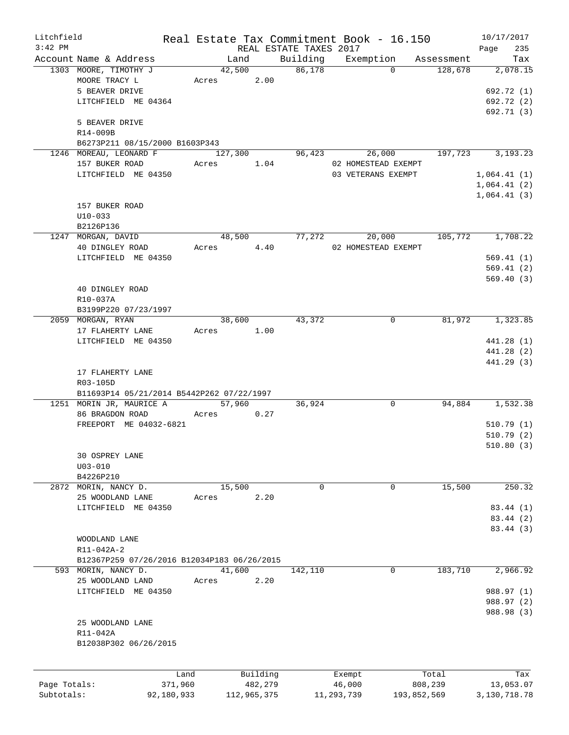| Litchfield   |                                             |            |         |             |                        | Real Estate Tax Commitment Book - 16.150 |             | 10/17/2017     |
|--------------|---------------------------------------------|------------|---------|-------------|------------------------|------------------------------------------|-------------|----------------|
| $3:42$ PM    |                                             |            |         |             | REAL ESTATE TAXES 2017 |                                          |             | Page<br>235    |
|              | Account Name & Address                      |            | Land    |             | Building               | Exemption                                | Assessment  | Tax            |
|              | 1303 MOORE, TIMOTHY J                       |            | 42,500  |             | 86,178                 | $\Omega$                                 | 128,678     | 2,078.15       |
|              | MOORE TRACY L                               | Acres      |         | 2.00        |                        |                                          |             |                |
|              | 5 BEAVER DRIVE                              |            |         |             |                        |                                          |             | 692.72 (1)     |
|              | LITCHFIELD ME 04364                         |            |         |             |                        |                                          |             | 692.72 (2)     |
|              |                                             |            |         |             |                        |                                          |             | 692.71 (3)     |
|              | 5 BEAVER DRIVE                              |            |         |             |                        |                                          |             |                |
|              | R14-009B                                    |            |         |             |                        |                                          |             |                |
|              | B6273P211 08/15/2000 B1603P343              |            |         |             |                        |                                          |             |                |
|              | 1246 MOREAU, LEONARD F                      |            | 127,300 |             | 96,423                 | 26,000                                   | 197,723     | 3, 193, 23     |
|              | 157 BUKER ROAD                              | Acres      |         | 1.04        |                        | 02 HOMESTEAD EXEMPT                      |             |                |
|              |                                             |            |         |             |                        |                                          |             |                |
|              | LITCHFIELD ME 04350                         |            |         |             |                        | 03 VETERANS EXEMPT                       |             | 1,064.41(1)    |
|              |                                             |            |         |             |                        |                                          |             | 1,064.41(2)    |
|              |                                             |            |         |             |                        |                                          |             | 1,064.41(3)    |
|              | 157 BUKER ROAD                              |            |         |             |                        |                                          |             |                |
|              | $U10 - 033$                                 |            |         |             |                        |                                          |             |                |
|              | B2126P136                                   |            |         |             |                        |                                          |             |                |
|              | 1247 MORGAN, DAVID                          |            | 48,500  |             | 77,272                 | 20,000                                   | 105,772     | 1,708.22       |
|              | 40 DINGLEY ROAD                             | Acres      |         | 4.40        |                        | 02 HOMESTEAD EXEMPT                      |             |                |
|              | LITCHFIELD ME 04350                         |            |         |             |                        |                                          |             | 569.41(1)      |
|              |                                             |            |         |             |                        |                                          |             | 569.41(2)      |
|              |                                             |            |         |             |                        |                                          |             | 569.40(3)      |
|              | 40 DINGLEY ROAD                             |            |         |             |                        |                                          |             |                |
|              | R10-037A                                    |            |         |             |                        |                                          |             |                |
|              |                                             |            |         |             |                        |                                          |             |                |
|              | B3199P220 07/23/1997                        |            |         |             |                        |                                          |             |                |
|              | 2059 MORGAN, RYAN                           |            | 38,600  |             | 43,372                 | $\mathbf 0$                              | 81,972      | 1,323.85       |
|              | 17 FLAHERTY LANE                            | Acres 1.00 |         |             |                        |                                          |             |                |
|              | LITCHFIELD ME 04350                         |            |         |             |                        |                                          |             | 441.28 (1)     |
|              |                                             |            |         |             |                        |                                          |             | 441.28 (2)     |
|              |                                             |            |         |             |                        |                                          |             | 441.29 (3)     |
|              | 17 FLAHERTY LANE                            |            |         |             |                        |                                          |             |                |
|              | R03-105D                                    |            |         |             |                        |                                          |             |                |
|              | B11693P14 05/21/2014 B5442P262 07/22/1997   |            |         |             |                        |                                          |             |                |
|              | 1251 MORIN JR, MAURICE A                    |            | 57,960  |             | 36,924                 | 0                                        | 94,884      | 1,532.38       |
|              | 86 BRAGDON ROAD                             | Acres      |         | 0.27        |                        |                                          |             |                |
|              | FREEPORT ME 04032-6821                      |            |         |             |                        |                                          |             | 510.79(1)      |
|              |                                             |            |         |             |                        |                                          |             | 510.79(2)      |
|              |                                             |            |         |             |                        |                                          |             | 510.80(3)      |
|              | 30 OSPREY LANE                              |            |         |             |                        |                                          |             |                |
|              |                                             |            |         |             |                        |                                          |             |                |
|              | $U03 - 010$                                 |            |         |             |                        |                                          |             |                |
|              | B4226P210                                   |            |         |             |                        |                                          |             |                |
|              | 2872 MORIN, NANCY D.                        |            | 15,500  |             | 0                      | $\mathbf 0$                              | 15,500      | 250.32         |
|              | 25 WOODLAND LANE                            | Acres      |         | 2.20        |                        |                                          |             |                |
|              | LITCHFIELD ME 04350                         |            |         |             |                        |                                          |             | 83.44 (1)      |
|              |                                             |            |         |             |                        |                                          |             | 83.44 (2)      |
|              |                                             |            |         |             |                        |                                          |             | 83.44 (3)      |
|              | WOODLAND LANE                               |            |         |             |                        |                                          |             |                |
|              | R11-042A-2                                  |            |         |             |                        |                                          |             |                |
|              | B12367P259 07/26/2016 B12034P183 06/26/2015 |            |         |             |                        |                                          |             |                |
|              | 593 MORIN, NANCY D.                         |            | 41,600  |             | 142,110                | 0                                        | 183,710     | 2,966.92       |
|              | 25 WOODLAND LAND                            |            |         | 2.20        |                        |                                          |             |                |
|              |                                             | Acres      |         |             |                        |                                          |             |                |
|              | LITCHFIELD ME 04350                         |            |         |             |                        |                                          |             | 988.97 (1)     |
|              |                                             |            |         |             |                        |                                          |             | 988.97 (2)     |
|              |                                             |            |         |             |                        |                                          |             | 988.98 (3)     |
|              | 25 WOODLAND LANE                            |            |         |             |                        |                                          |             |                |
|              | R11-042A                                    |            |         |             |                        |                                          |             |                |
|              | B12038P302 06/26/2015                       |            |         |             |                        |                                          |             |                |
|              |                                             |            |         |             |                        |                                          |             |                |
|              |                                             |            |         |             |                        |                                          |             |                |
|              | Land                                        |            |         | Building    |                        | Exempt                                   | Total       | Tax            |
| Page Totals: | 371,960                                     |            |         | 482,279     |                        | 46,000                                   | 808,239     | 13,053.07      |
| Subtotals:   | 92,180,933                                  |            |         | 112,965,375 |                        | 11,293,739                               | 193,852,569 | 3, 130, 718.78 |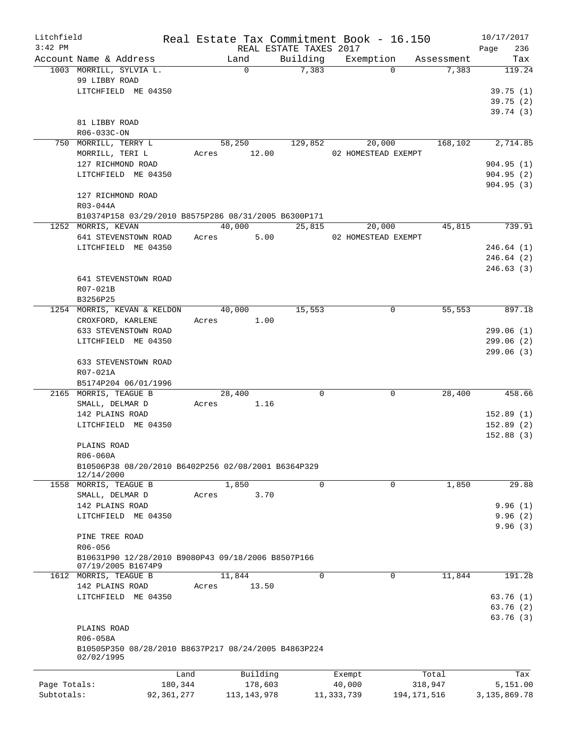| Litchfield   |                                                      |              | Real Estate Tax Commitment Book - 16.150 |                        |                     |             |            | 10/17/2017      |
|--------------|------------------------------------------------------|--------------|------------------------------------------|------------------------|---------------------|-------------|------------|-----------------|
| $3:42$ PM    |                                                      |              |                                          | REAL ESTATE TAXES 2017 |                     |             |            | 236<br>Page     |
|              | Account Name & Address                               |              | Land                                     | Building               | Exemption           |             | Assessment | Tax             |
|              | 1003 MORRILL, SYLVIA L.                              |              | $\Omega$                                 | 7,383                  |                     | $\Omega$    | 7,383      | 119.24          |
|              | 99 LIBBY ROAD                                        |              |                                          |                        |                     |             |            |                 |
|              | LITCHFIELD ME 04350                                  |              |                                          |                        |                     |             |            | 39.75(1)        |
|              |                                                      |              |                                          |                        |                     |             |            | 39.75(2)        |
|              |                                                      |              |                                          |                        |                     |             |            | 39.74(3)        |
|              | 81 LIBBY ROAD                                        |              |                                          |                        |                     |             |            |                 |
|              | R06-033C-ON                                          |              |                                          |                        |                     |             |            |                 |
|              | 750 MORRILL, TERRY L                                 |              | 58,250                                   | 129,852                | 20,000              |             | 168,102    | 2,714.85        |
|              | MORRILL, TERI L                                      |              | 12.00<br>Acres                           |                        | 02 HOMESTEAD EXEMPT |             |            |                 |
|              | 127 RICHMOND ROAD                                    |              |                                          |                        |                     |             |            | 904.95(1)       |
|              | LITCHFIELD ME 04350                                  |              |                                          |                        |                     |             |            | 904.95(2)       |
|              |                                                      |              |                                          |                        |                     |             |            | 904.95(3)       |
|              | 127 RICHMOND ROAD                                    |              |                                          |                        |                     |             |            |                 |
|              | R03-044A                                             |              |                                          |                        |                     |             |            |                 |
|              | B10374P158 03/29/2010 B8575P286 08/31/2005 B6300P171 |              |                                          |                        |                     |             |            |                 |
|              | 1252 MORRIS, KEVAN                                   |              | 40,000                                   | 25,815                 | 20,000              |             | 45,815     | 739.91          |
|              | 641 STEVENSTOWN ROAD                                 |              | 5.00<br>Acres                            |                        | 02 HOMESTEAD EXEMPT |             |            |                 |
|              | LITCHFIELD ME 04350                                  |              |                                          |                        |                     |             |            | 246.64(1)       |
|              |                                                      |              |                                          |                        |                     |             |            |                 |
|              |                                                      |              |                                          |                        |                     |             |            | 246.64(2)       |
|              |                                                      |              |                                          |                        |                     |             |            | 246.63(3)       |
|              | 641 STEVENSTOWN ROAD                                 |              |                                          |                        |                     |             |            |                 |
|              | R07-021B                                             |              |                                          |                        |                     |             |            |                 |
|              | B3256P25                                             |              |                                          |                        |                     |             |            |                 |
|              | 1254 MORRIS, KEVAN & KELDON                          |              | 40,000                                   | 15,553                 |                     | 0           | 55,553     | 897.18          |
|              | CROXFORD, KARLENE                                    |              | 1.00<br>Acres                            |                        |                     |             |            |                 |
|              | 633 STEVENSTOWN ROAD                                 |              |                                          |                        |                     |             |            | 299.06(1)       |
|              | LITCHFIELD ME 04350                                  |              |                                          |                        |                     |             |            | 299.06(2)       |
|              |                                                      |              |                                          |                        |                     |             |            | 299.06(3)       |
|              | 633 STEVENSTOWN ROAD                                 |              |                                          |                        |                     |             |            |                 |
|              | R07-021A                                             |              |                                          |                        |                     |             |            |                 |
|              | B5174P204 06/01/1996                                 |              |                                          |                        |                     |             |            |                 |
|              | 2165 MORRIS, TEAGUE B                                |              | 28,400                                   | $\Omega$               |                     | 0           | 28,400     | 458.66          |
|              | SMALL, DELMAR D                                      |              | 1.16<br>Acres                            |                        |                     |             |            |                 |
|              | 142 PLAINS ROAD                                      |              |                                          |                        |                     |             |            | 152.89(1)       |
|              | LITCHFIELD ME 04350                                  |              |                                          |                        |                     |             |            | 152.89(2)       |
|              |                                                      |              |                                          |                        |                     |             |            | 152.88(3)       |
|              | PLAINS ROAD                                          |              |                                          |                        |                     |             |            |                 |
|              | R06-060A                                             |              |                                          |                        |                     |             |            |                 |
|              | B10506P38 08/20/2010 B6402P256 02/08/2001 B6364P329  |              |                                          |                        |                     |             |            |                 |
|              | 12/14/2000                                           |              |                                          |                        |                     |             |            |                 |
|              | 1558 MORRIS, TEAGUE B                                |              | 1,850                                    | 0                      |                     | 0           | 1,850      | 29.88           |
|              | SMALL, DELMAR D                                      |              | 3.70<br>Acres                            |                        |                     |             |            |                 |
|              | 142 PLAINS ROAD                                      |              |                                          |                        |                     |             |            | 9.96(1)         |
|              | LITCHFIELD ME 04350                                  |              |                                          |                        |                     |             |            | 9.96(2)         |
|              |                                                      |              |                                          |                        |                     |             |            | 9.96(3)         |
|              | PINE TREE ROAD                                       |              |                                          |                        |                     |             |            |                 |
|              | R06-056                                              |              |                                          |                        |                     |             |            |                 |
|              | B10631P90 12/28/2010 B9080P43 09/18/2006 B8507P166   |              |                                          |                        |                     |             |            |                 |
|              | 07/19/2005 B1674P9                                   |              |                                          |                        |                     |             |            |                 |
|              | 1612 MORRIS, TEAGUE B                                |              | 11,844                                   | 0                      |                     | $\mathbf 0$ | 11,844     | 191.28          |
|              | 142 PLAINS ROAD                                      |              | 13.50<br>Acres                           |                        |                     |             |            |                 |
|              | LITCHFIELD ME 04350                                  |              |                                          |                        |                     |             |            | 63.76(1)        |
|              |                                                      |              |                                          |                        |                     |             |            | 63.76(2)        |
|              |                                                      |              |                                          |                        |                     |             |            | 63.76 (3)       |
|              | PLAINS ROAD                                          |              |                                          |                        |                     |             |            |                 |
|              | R06-058A                                             |              |                                          |                        |                     |             |            |                 |
|              | B10505P350 08/28/2010 B8637P217 08/24/2005 B4863P224 |              |                                          |                        |                     |             |            |                 |
|              | 02/02/1995                                           |              |                                          |                        |                     |             |            |                 |
|              |                                                      |              |                                          |                        |                     |             |            |                 |
|              |                                                      | Land         | Building                                 |                        | Exempt              |             | Total      | Tax             |
| Page Totals: |                                                      | 180,344      | 178,603                                  |                        | 40,000              | 318,947     |            | 5,151.00        |
| Subtotals:   |                                                      | 92, 361, 277 | 113, 143, 978                            |                        | 11,333,739          | 194,171,516 |            | 3, 135, 869. 78 |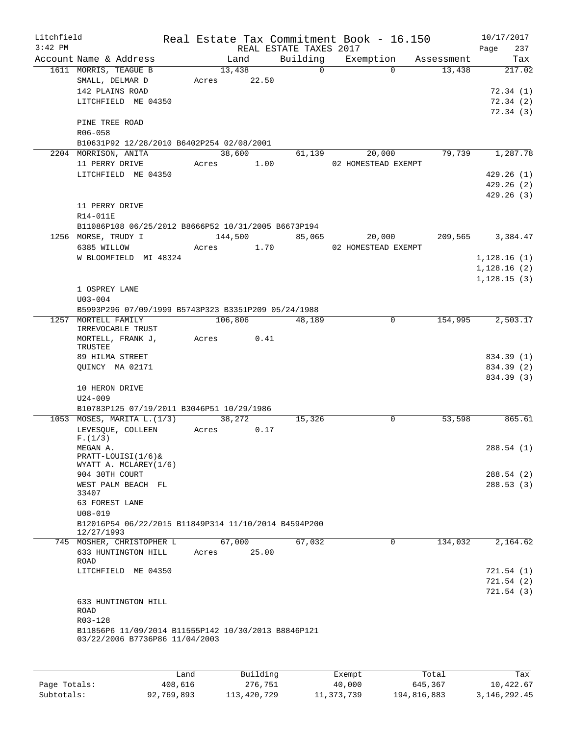| Litchfield |                                                                       |       |          | Real Estate Tax Commitment Book - 16.150 |                     |             | 10/17/2017          |
|------------|-----------------------------------------------------------------------|-------|----------|------------------------------------------|---------------------|-------------|---------------------|
| $3:42$ PM  |                                                                       |       |          | REAL ESTATE TAXES 2017                   |                     |             | 237<br>Page         |
|            | Account Name & Address                                                |       | Land     | Building                                 | Exemption           | Assessment  | Tax                 |
|            | 1611 MORRIS, TEAGUE B                                                 |       | 13,438   | $\Omega$                                 |                     | $\Omega$    | 13,438<br>217.02    |
|            | SMALL, DELMAR D<br>142 PLAINS ROAD                                    | Acres | 22.50    |                                          |                     |             | 72.34(1)            |
|            | LITCHFIELD ME 04350                                                   |       |          |                                          |                     |             | 72.34(2)            |
|            |                                                                       |       |          |                                          |                     |             | 72.34(3)            |
|            | PINE TREE ROAD                                                        |       |          |                                          |                     |             |                     |
|            | R06-058                                                               |       |          |                                          |                     |             |                     |
|            | B10631P92 12/28/2010 B6402P254 02/08/2001                             |       |          |                                          |                     |             |                     |
|            | 2204 MORRISON, ANITA                                                  |       | 38,600   | 61,139                                   | 20,000              |             | 1,287.78<br>79,739  |
|            | 11 PERRY DRIVE                                                        | Acres | 1.00     |                                          | 02 HOMESTEAD EXEMPT |             |                     |
|            | LITCHFIELD ME 04350                                                   |       |          |                                          |                     |             | 429.26(1)           |
|            |                                                                       |       |          |                                          |                     |             | 429.26(2)           |
|            |                                                                       |       |          |                                          |                     |             | 429.26(3)           |
|            | 11 PERRY DRIVE                                                        |       |          |                                          |                     |             |                     |
|            | R14-011E                                                              |       |          |                                          |                     |             |                     |
|            | B11086P108 06/25/2012 B8666P52 10/31/2005 B6673P194                   |       |          |                                          |                     |             |                     |
|            | 1256 MORSE, TRUDY I                                                   |       | 144,500  | 85,065                                   | 20,000              |             | 209,565<br>3,384.47 |
|            | 6385 WILLOW                                                           | Acres | 1.70     |                                          | 02 HOMESTEAD EXEMPT |             |                     |
|            | W BLOOMFIELD MI 48324                                                 |       |          |                                          |                     |             | 1,128.16(1)         |
|            |                                                                       |       |          |                                          |                     |             | 1,128.16(2)         |
|            |                                                                       |       |          |                                          |                     |             | 1,128.15(3)         |
|            | 1 OSPREY LANE                                                         |       |          |                                          |                     |             |                     |
|            | $U03 - 004$                                                           |       |          |                                          |                     |             |                     |
| 1257       | B5993P296 07/09/1999 B5743P323 B3351P209 05/24/1988<br>MORTELL FAMILY |       |          |                                          |                     | $\mathbf 0$ | 154,995             |
|            | IRREVOCABLE TRUST                                                     |       | 106,806  | $\overline{48}$ , 189                    |                     |             | 2,503.17            |
|            | MORTELL, FRANK J,                                                     | Acres | 0.41     |                                          |                     |             |                     |
|            | TRUSTEE                                                               |       |          |                                          |                     |             |                     |
|            | 89 HILMA STREET                                                       |       |          |                                          |                     |             | 834.39 (1)          |
|            | QUINCY MA 02171                                                       |       |          |                                          |                     |             | 834.39 (2)          |
|            |                                                                       |       |          |                                          |                     |             | 834.39 (3)          |
|            | 10 HERON DRIVE                                                        |       |          |                                          |                     |             |                     |
|            | $U24 - 009$                                                           |       |          |                                          |                     |             |                     |
|            | B10783P125 07/19/2011 B3046P51 10/29/1986                             |       | 38,272   |                                          |                     |             | 865.61              |
|            | 1053 MOSES, MARITA L. (1/3)                                           |       |          | 15,326                                   |                     | 0           | 53,598              |
|            | LEVESQUE, COLLEEN<br>F.(1/3)                                          | Acres | 0.17     |                                          |                     |             |                     |
|            | MEGAN A.                                                              |       |          |                                          |                     |             | 288.54 (1)          |
|            | $PRACTT-LOUISI(1/6)$                                                  |       |          |                                          |                     |             |                     |
|            | WYATT A. MCLAREY(1/6)                                                 |       |          |                                          |                     |             |                     |
|            | 904 30TH COURT                                                        |       |          |                                          |                     |             | 288.54 (2)          |
|            | WEST PALM BEACH FL<br>33407                                           |       |          |                                          |                     |             | 288.53 (3)          |
|            | 63 FOREST LANE                                                        |       |          |                                          |                     |             |                     |
|            | $U08 - 019$                                                           |       |          |                                          |                     |             |                     |
|            | B12016P54 06/22/2015 B11849P314 11/10/2014 B4594P200                  |       |          |                                          |                     |             |                     |
|            | 12/27/1993                                                            |       |          |                                          |                     |             |                     |
|            | 745 MOSHER, CHRISTOPHER L                                             |       | 67,000   | 67,032                                   |                     | 0           | 134,032<br>2,164.62 |
|            | 633 HUNTINGTON HILL                                                   | Acres | 25.00    |                                          |                     |             |                     |
|            | ROAD<br>LITCHFIELD ME 04350                                           |       |          |                                          |                     |             | 721.54 (1)          |
|            |                                                                       |       |          |                                          |                     |             | 721.54 (2)          |
|            |                                                                       |       |          |                                          |                     |             | 721.54 (3)          |
|            | 633 HUNTINGTON HILL                                                   |       |          |                                          |                     |             |                     |
|            | <b>ROAD</b>                                                           |       |          |                                          |                     |             |                     |
|            | R03-128                                                               |       |          |                                          |                     |             |                     |
|            | B11856P6 11/09/2014 B11555P142 10/30/2013 B8846P121                   |       |          |                                          |                     |             |                     |
|            | 03/22/2006 B7736P86 11/04/2003                                        |       |          |                                          |                     |             |                     |
|            |                                                                       |       |          |                                          |                     |             |                     |
|            |                                                                       |       |          |                                          |                     |             |                     |
|            |                                                                       | Land  | Building |                                          | Exempt              | Total       | Tax                 |

|              | Land       | Building    | Exempt     | Total       | Tax            |
|--------------|------------|-------------|------------|-------------|----------------|
| Page Totals: | 408,616    | 276,751     | 40,000     | 645,367     | 10,422.67      |
| Subtotals:   | 92,769,893 | 113,420,729 | 11,373,739 | 194,816,883 | 3, 146, 292.45 |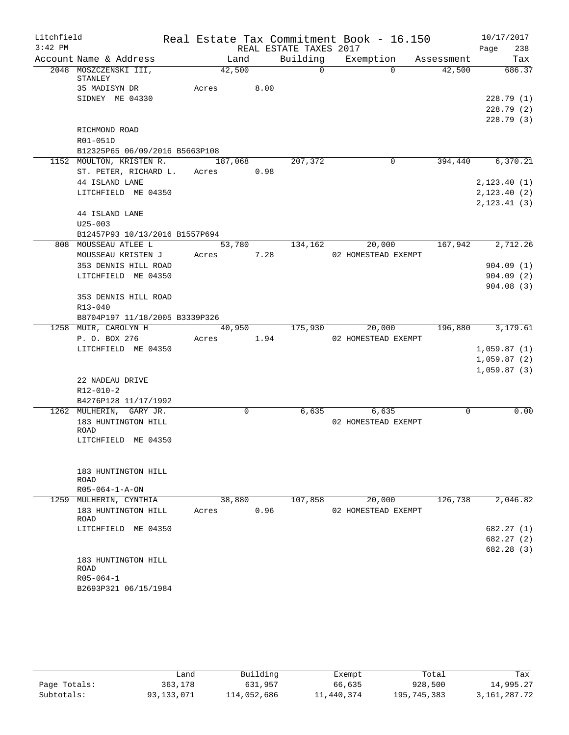| Litchfield |                                                              |            |      |                        | Real Estate Tax Commitment Book - 16.150 |            | 10/17/2017       |
|------------|--------------------------------------------------------------|------------|------|------------------------|------------------------------------------|------------|------------------|
| $3:42$ PM  |                                                              |            |      | REAL ESTATE TAXES 2017 |                                          |            | 238<br>Page      |
|            | Account Name & Address                                       | Land       |      | Building               | Exemption                                | Assessment | Tax              |
|            | 2048 MOSZCZENSKI III,<br>STANLEY                             | 42,500     |      | $\overline{0}$         | $\Omega$                                 | 42,500     | 686.37           |
|            | 35 MADISYN DR                                                | Acres 8.00 |      |                        |                                          |            |                  |
|            | SIDNEY ME 04330                                              |            |      |                        |                                          |            | 228.79(1)        |
|            |                                                              |            |      |                        |                                          |            | 228.79(2)        |
|            |                                                              |            |      |                        |                                          |            | 228.79(3)        |
|            | RICHMOND ROAD                                                |            |      |                        |                                          |            |                  |
|            | R01-051D                                                     |            |      |                        |                                          |            |                  |
|            | B12325P65 06/09/2016 B5663P108                               | 187,068    |      | 207,372                | 0                                        | 394,440    | 6,370.21         |
|            | 1152 MOULTON, KRISTEN R.<br>ST. PETER, RICHARD L. Acres 0.98 |            |      |                        |                                          |            |                  |
|            | 44 ISLAND LANE                                               |            |      |                        |                                          |            | 2, 123.40(1)     |
|            | LITCHFIELD ME 04350                                          |            |      |                        |                                          |            | 2,123.40 (2)     |
|            |                                                              |            |      |                        |                                          |            | 2, 123.41(3)     |
|            | 44 ISLAND LANE                                               |            |      |                        |                                          |            |                  |
|            | $U25 - 003$                                                  |            |      |                        |                                          |            |                  |
|            | B12457P93 10/13/2016 B1557P694                               |            |      |                        |                                          |            |                  |
|            | 808 MOUSSEAU ATLEE L                                         | 53,780     |      | 134,162                | 20,000                                   | 167,942    | 2,712.26         |
|            | MOUSSEAU KRISTEN J                                           | Acres      | 7.28 |                        | 02 HOMESTEAD EXEMPT                      |            |                  |
|            | 353 DENNIS HILL ROAD                                         |            |      |                        |                                          |            | 904.09(1)        |
|            | LITCHFIELD ME 04350                                          |            |      |                        |                                          |            | 904.09(2)        |
|            |                                                              |            |      |                        |                                          |            | 904.08(3)        |
|            | 353 DENNIS HILL ROAD                                         |            |      |                        |                                          |            |                  |
|            | R13-040                                                      |            |      |                        |                                          |            |                  |
|            | B8704P197 11/18/2005 B3339P326                               |            |      |                        |                                          |            |                  |
|            | 1258 MUIR, CAROLYN H                                         |            |      | 40,950 175,930         | 20,000                                   |            | 196,880 3,179.61 |
|            | P. O. BOX 276<br>LITCHFIELD ME 04350                         | Acres      | 1.94 |                        | 02 HOMESTEAD EXEMPT                      |            | 1,059.87(1)      |
|            |                                                              |            |      |                        |                                          |            | 1,059.87(2)      |
|            |                                                              |            |      |                        |                                          |            | 1,059.87(3)      |
|            | 22 NADEAU DRIVE                                              |            |      |                        |                                          |            |                  |
|            | R12-010-2                                                    |            |      |                        |                                          |            |                  |
|            | B4276P128 11/17/1992                                         |            |      |                        |                                          |            |                  |
|            | 1262 MULHERIN, GARY JR.                                      | 0          |      | 6,635                  | 6,635                                    | 0          | 0.00             |
|            | 183 HUNTINGTON HILL                                          |            |      |                        | 02 HOMESTEAD EXEMPT                      |            |                  |
|            | ROAD                                                         |            |      |                        |                                          |            |                  |
|            | LITCHFIELD ME 04350                                          |            |      |                        |                                          |            |                  |
|            |                                                              |            |      |                        |                                          |            |                  |
|            |                                                              |            |      |                        |                                          |            |                  |
|            | 183 HUNTINGTON HILL<br>ROAD                                  |            |      |                        |                                          |            |                  |
|            | $R05 - 064 - 1 - A - ON$                                     |            |      |                        |                                          |            |                  |
|            | 1259 MULHERIN, CYNTHIA                                       | 38,880     |      | 107,858                | 20,000                                   | 126,738    | 2,046.82         |
|            | 183 HUNTINGTON HILL                                          | Acres      | 0.96 |                        | 02 HOMESTEAD EXEMPT                      |            |                  |
|            | ROAD                                                         |            |      |                        |                                          |            |                  |
|            | LITCHFIELD ME 04350                                          |            |      |                        |                                          |            | 682.27 (1)       |
|            |                                                              |            |      |                        |                                          |            | 682.27 (2)       |
|            |                                                              |            |      |                        |                                          |            | 682.28 (3)       |
|            | 183 HUNTINGTON HILL<br>ROAD                                  |            |      |                        |                                          |            |                  |
|            | $R05 - 064 - 1$                                              |            |      |                        |                                          |            |                  |
|            | B2693P321 06/15/1984                                         |            |      |                        |                                          |            |                  |
|            |                                                              |            |      |                        |                                          |            |                  |

|              | Land       | Building    | Exempt     | Total       | Tax             |
|--------------|------------|-------------|------------|-------------|-----------------|
| Page Totals: | 363,178    | 631,957     | 66,635     | 928,500     | 14,995.27       |
| Subtotals:   | 93,133,071 | 114,052,686 | 11,440,374 | 195,745,383 | 3, 161, 287. 72 |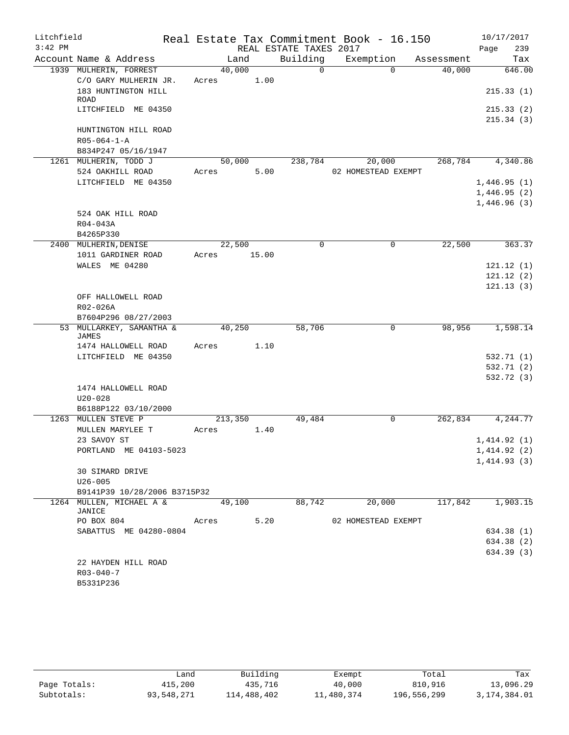| Litchfield |                                    |            |         |      |                        | Real Estate Tax Commitment Book - 16.150 |             |                  |      | 10/17/2017  |
|------------|------------------------------------|------------|---------|------|------------------------|------------------------------------------|-------------|------------------|------|-------------|
| $3:42$ PM  |                                    |            |         |      | REAL ESTATE TAXES 2017 |                                          |             |                  | Page | 239         |
|            | Account Name & Address             |            | Land    |      | Building               | Exemption                                |             | Assessment       |      | Tax         |
|            | 1939 MULHERIN, FORREST             |            | 40,000  |      | $\Omega$               |                                          | $\Omega$    | 40,000           |      | 646.00      |
|            | C/O GARY MULHERIN JR.              | Acres 1.00 |         |      |                        |                                          |             |                  |      |             |
|            | 183 HUNTINGTON HILL<br>ROAD        |            |         |      |                        |                                          |             |                  |      | 215.33(1)   |
|            | LITCHFIELD ME 04350                |            |         |      |                        |                                          |             |                  |      | 215.33(2)   |
|            |                                    |            |         |      |                        |                                          |             |                  |      | 215.34(3)   |
|            | HUNTINGTON HILL ROAD               |            |         |      |                        |                                          |             |                  |      |             |
|            | $R05 - 064 - 1 - A$                |            |         |      |                        |                                          |             |                  |      |             |
|            | B834P247 05/16/1947                |            |         |      |                        |                                          |             |                  |      |             |
|            | 1261 MULHERIN, TODD J              |            |         |      |                        | $50,000$ $238,784$ $20,000$              |             | 268,784 4,340.86 |      |             |
|            | 524 OAKHILL ROAD                   | Acres      |         | 5.00 |                        | 02 HOMESTEAD EXEMPT                      |             |                  |      |             |
|            | LITCHFIELD ME 04350                |            |         |      |                        |                                          |             |                  |      | 1,446.95(1) |
|            |                                    |            |         |      |                        |                                          |             |                  |      | 1,446.95(2) |
|            |                                    |            |         |      |                        |                                          |             |                  |      | 1,446.96(3) |
|            | 524 OAK HILL ROAD                  |            |         |      |                        |                                          |             |                  |      |             |
|            | R04-043A                           |            |         |      |                        |                                          |             |                  |      |             |
|            | B4265P330<br>2400 MULHERIN, DENISE |            | 22,500  |      | 0                      |                                          | 0           | 22,500           |      | 363.37      |
|            | 1011 GARDINER ROAD                 | Acres      | 15.00   |      |                        |                                          |             |                  |      |             |
|            | WALES ME 04280                     |            |         |      |                        |                                          |             |                  |      | 121.12(1)   |
|            |                                    |            |         |      |                        |                                          |             |                  |      | 121.12(2)   |
|            |                                    |            |         |      |                        |                                          |             |                  |      | 121.13(3)   |
|            | OFF HALLOWELL ROAD                 |            |         |      |                        |                                          |             |                  |      |             |
|            | R02-026A                           |            |         |      |                        |                                          |             |                  |      |             |
|            | B7604P296 08/27/2003               |            |         |      |                        |                                          |             |                  |      |             |
|            | 53 MULLARKEY, SAMANTHA &           |            | 40,250  |      | 58,706                 |                                          | $\Omega$    | 98,956           |      | 1,598.14    |
|            | JAMES<br>1474 HALLOWELL ROAD       | Acres      |         | 1.10 |                        |                                          |             |                  |      |             |
|            | LITCHFIELD ME 04350                |            |         |      |                        |                                          |             |                  |      | 532.71 (1)  |
|            |                                    |            |         |      |                        |                                          |             |                  |      | 532.71 (2)  |
|            |                                    |            |         |      |                        |                                          |             |                  |      | 532.72 (3)  |
|            | 1474 HALLOWELL ROAD                |            |         |      |                        |                                          |             |                  |      |             |
|            | $U20 - 028$                        |            |         |      |                        |                                          |             |                  |      |             |
|            | B6188P122 03/10/2000               |            |         |      |                        |                                          |             |                  |      |             |
| 1263       | MULLEN STEVE P                     |            | 213,350 |      | 49,484                 |                                          | $\mathbf 0$ | 262,834 4,244.77 |      |             |
|            | MULLEN MARYLEE T                   | Acres      |         | 1.40 |                        |                                          |             |                  |      |             |
|            | 23 SAVOY ST                        |            |         |      |                        |                                          |             |                  |      | 1,414.92(1) |
|            | PORTLAND ME 04103-5023             |            |         |      |                        |                                          |             |                  |      | 1,414.92(2) |
|            | 30 SIMARD DRIVE                    |            |         |      |                        |                                          |             |                  |      | 1,414.93(3) |
|            | $U26 - 005$                        |            |         |      |                        |                                          |             |                  |      |             |
|            | B9141P39 10/28/2006 B3715P32       |            |         |      |                        |                                          |             |                  |      |             |
|            | 1264 MULLEN, MICHAEL A &           |            | 49,100  |      | 88,742                 | 20,000                                   |             | 117,842          |      | 1,903.15    |
|            | JANICE                             |            |         |      |                        |                                          |             |                  |      |             |
|            | PO BOX 804                         | Acres      |         | 5.20 |                        | 02 HOMESTEAD EXEMPT                      |             |                  |      |             |
|            | SABATTUS ME 04280-0804             |            |         |      |                        |                                          |             |                  |      | 634.38 (1)  |
|            |                                    |            |         |      |                        |                                          |             |                  |      | 634.38 (2)  |
|            |                                    |            |         |      |                        |                                          |             |                  |      | 634.39 (3)  |
|            | 22 HAYDEN HILL ROAD                |            |         |      |                        |                                          |             |                  |      |             |
|            | $R03 - 040 - 7$<br>B5331P236       |            |         |      |                        |                                          |             |                  |      |             |
|            |                                    |            |         |      |                        |                                          |             |                  |      |             |

|              | Land       | Building    | Exempt     | Total       | Tax          |
|--------------|------------|-------------|------------|-------------|--------------|
| Page Totals: | 415,200    | 435,716     | 40,000     | 810,916     | 13,096.29    |
| Subtotals:   | 93,548,271 | 114,488,402 | 11,480,374 | 196,556,299 | 3,174,384.01 |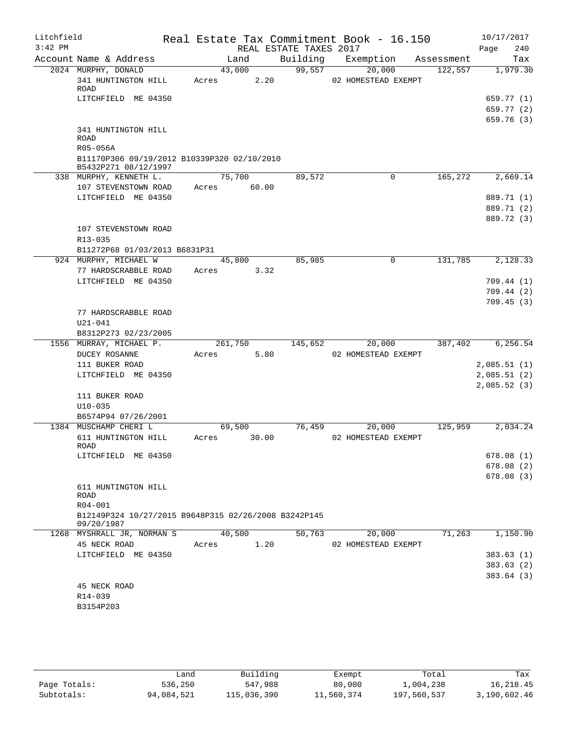| Litchfield |                                                                                               |                          |                        | Real Estate Tax Commitment Book - 16.150 |            | 10/17/2017             |
|------------|-----------------------------------------------------------------------------------------------|--------------------------|------------------------|------------------------------------------|------------|------------------------|
| $3:42$ PM  |                                                                                               |                          | REAL ESTATE TAXES 2017 |                                          |            | Page<br>240            |
|            | Account Name & Address                                                                        | Land                     | Building               | Exemption                                | Assessment | Tax                    |
|            | 2024 MURPHY, DONALD<br>341 HUNTINGTON HILL<br>ROAD                                            | 43,000<br>2.20<br>Acres  | 99,557                 | 20,000<br>02 HOMESTEAD EXEMPT            | 122,557    | 1,979.30               |
|            | LITCHFIELD ME 04350                                                                           |                          |                        |                                          |            | 659.77 (1)             |
|            |                                                                                               |                          |                        |                                          |            | 659.77 (2)             |
|            | 341 HUNTINGTON HILL<br><b>ROAD</b><br>R05-056A<br>B11170P306 09/19/2012 B10339P320 02/10/2010 |                          |                        |                                          |            | 659.76(3)              |
|            | B5432P271 08/12/1997                                                                          |                          |                        |                                          |            |                        |
|            | 338 MURPHY, KENNETH L.<br>107 STEVENSTOWN ROAD                                                | 75,700<br>60.00<br>Acres | 89,572                 | $\mathsf{O}$                             | 165,272    | 2,669.14               |
|            | LITCHFIELD ME 04350                                                                           |                          |                        |                                          |            | 889.71 (1)             |
|            |                                                                                               |                          |                        |                                          |            | 889.71 (2)             |
|            |                                                                                               |                          |                        |                                          |            | 889.72 (3)             |
|            | 107 STEVENSTOWN ROAD                                                                          |                          |                        |                                          |            |                        |
|            | $R13 - 035$                                                                                   |                          |                        |                                          |            |                        |
|            | B11272P68 01/03/2013 B6831P31                                                                 |                          |                        |                                          |            |                        |
|            | 924 MURPHY, MICHAEL W                                                                         | 45,800                   | 85,985                 | $\mathbf 0$                              | 131,785    | 2,128.33               |
|            | 77 HARDSCRABBLE ROAD                                                                          | 3.32<br>Acres            |                        |                                          |            |                        |
|            | LITCHFIELD ME 04350                                                                           |                          |                        |                                          |            | 709.44(1)              |
|            |                                                                                               |                          |                        |                                          |            | 709.44(2)              |
|            | 77 HARDSCRABBLE ROAD<br>$U21 - 041$                                                           |                          |                        |                                          |            | 709.45(3)              |
|            | B8312P273 02/23/2005                                                                          |                          |                        |                                          |            |                        |
|            | 1556 MURRAY, MICHAEL P.                                                                       | 261,750                  | 145,652                | 20,000                                   | 387,402    | 6,256.54               |
|            | <b>DUCEY ROSANNE</b>                                                                          | 5.80<br>Acres            |                        | 02 HOMESTEAD EXEMPT                      |            |                        |
|            | 111 BUKER ROAD                                                                                |                          |                        |                                          |            | 2,085.51(1)            |
|            | LITCHFIELD ME 04350                                                                           |                          |                        |                                          |            | 2,085.51(2)            |
|            | 111 BUKER ROAD                                                                                |                          |                        |                                          |            | 2,085.52(3)            |
|            | $U10 - 035$<br>B6574P94 07/26/2001                                                            |                          |                        |                                          |            |                        |
|            | 1384 MUSCHAMP CHERI L                                                                         | 69,500                   | 76,459                 | 20,000                                   | 125,959    | 2,034.24               |
|            | 611 HUNTINGTON HILL<br>ROAD                                                                   | 30.00<br>Acres           |                        | 02 HOMESTEAD EXEMPT                      |            |                        |
|            | LITCHFIELD ME 04350                                                                           |                          |                        |                                          |            | 678.08(1)              |
|            |                                                                                               |                          |                        |                                          |            | 678.08(2)              |
|            |                                                                                               |                          |                        |                                          |            | 678.08(3)              |
|            | 611 HUNTINGTON HILL<br>ROAD                                                                   |                          |                        |                                          |            |                        |
|            | R04-001                                                                                       |                          |                        |                                          |            |                        |
|            | B12149P324 10/27/2015 B9648P315 02/26/2008 B3242P145<br>09/20/1987                            |                          |                        |                                          |            |                        |
|            | 1268 MYSHRALL JR, NORMAN S                                                                    | 40,500                   | 50,763                 | 20,000                                   | 71,263     | 1,150.90               |
|            | 45 NECK ROAD                                                                                  | 1.20<br>Acres            |                        | 02 HOMESTEAD EXEMPT                      |            |                        |
|            | LITCHFIELD ME 04350                                                                           |                          |                        |                                          |            | 383.63(1)              |
|            |                                                                                               |                          |                        |                                          |            | 383.63(2)<br>383.64(3) |
|            | 45 NECK ROAD<br>R14-039                                                                       |                          |                        |                                          |            |                        |
|            | B3154P203                                                                                     |                          |                        |                                          |            |                        |
|            |                                                                                               |                          |                        |                                          |            |                        |

|              | Land       | Building    | Exempt     | Total       | Tax          |
|--------------|------------|-------------|------------|-------------|--------------|
| Page Totals: | 536,250    | 547,988     | 80,000     | 1,004,238   | 16,218.45    |
| Subtotals:   | 94,084,521 | 115,036,390 | 11,560,374 | 197,560,537 | 3,190,602.46 |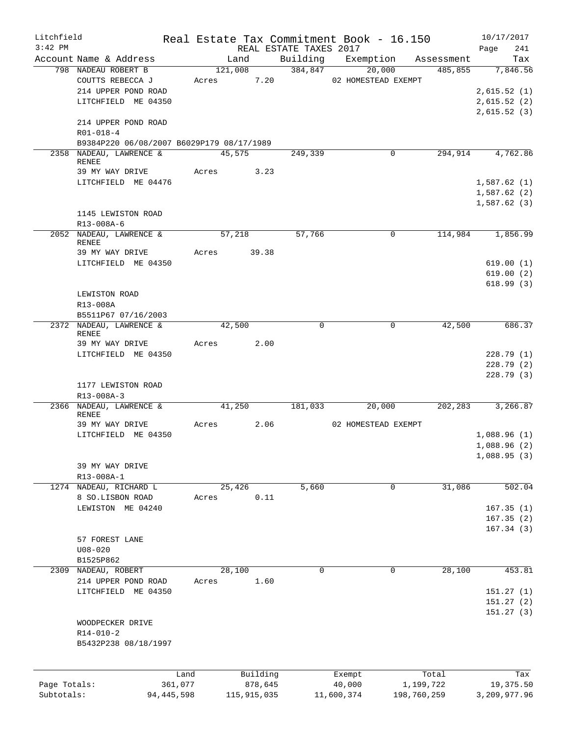| Litchfield   |                                           |              |             |          |                        | Real Estate Tax Commitment Book - 16.150 |             |            | 10/17/2017   |           |
|--------------|-------------------------------------------|--------------|-------------|----------|------------------------|------------------------------------------|-------------|------------|--------------|-----------|
| $3:42$ PM    |                                           |              |             |          | REAL ESTATE TAXES 2017 |                                          |             |            | Page         | 241       |
|              | Account Name & Address                    |              | Land        |          |                        | Building Exemption                       |             | Assessment |              | Tax       |
|              | 798 NADEAU ROBERT B                       |              | 121,008     |          | 384,847                | 20,000                                   |             | 485,855    |              | 7,846.56  |
|              | COUTTS REBECCA J                          | Acres        |             | 7.20     |                        | 02 HOMESTEAD EXEMPT                      |             |            |              |           |
|              | 214 UPPER POND ROAD                       |              |             |          |                        |                                          |             |            | 2,615.52(1)  |           |
|              | LITCHFIELD ME 04350                       |              |             |          |                        |                                          |             |            | 2,615.52(2)  |           |
|              |                                           |              |             |          |                        |                                          |             |            | 2,615.52(3)  |           |
|              | 214 UPPER POND ROAD                       |              |             |          |                        |                                          |             |            |              |           |
|              | $R01 - 018 - 4$                           |              |             |          |                        |                                          |             |            |              |           |
|              | B9384P220 06/08/2007 B6029P179 08/17/1989 |              |             |          |                        |                                          |             |            |              |           |
|              | 2358 NADEAU, LAWRENCE &                   |              | 45,575      |          | 249,339                |                                          | 0           | 294,914    |              | 4,762.86  |
|              | <b>RENEE</b>                              |              |             |          |                        |                                          |             |            |              |           |
|              | 39 MY WAY DRIVE                           |              | Acres 3.23  |          |                        |                                          |             |            |              |           |
|              | LITCHFIELD ME 04476                       |              |             |          |                        |                                          |             |            | 1,587.62(1)  |           |
|              |                                           |              |             |          |                        |                                          |             |            | 1,587.62(2)  |           |
|              |                                           |              |             |          |                        |                                          |             |            | 1,587.62(3)  |           |
|              | 1145 LEWISTON ROAD                        |              |             |          |                        |                                          |             |            |              |           |
|              | R13-008A-6                                |              |             |          |                        |                                          |             |            |              |           |
|              | 2052 NADEAU, LAWRENCE &                   |              | 57,218      |          | 57,766                 |                                          | $\mathbf 0$ | 114,984    |              | 1,856.99  |
|              | <b>RENEE</b>                              |              |             |          |                        |                                          |             |            |              |           |
|              | 39 MY WAY DRIVE                           | Acres        | 39.38       |          |                        |                                          |             |            |              |           |
|              | LITCHFIELD ME 04350                       |              |             |          |                        |                                          |             |            |              | 619.00(1) |
|              |                                           |              |             |          |                        |                                          |             |            | 619.00(2)    |           |
|              |                                           |              |             |          |                        |                                          |             |            |              | 618.99(3) |
|              | LEWISTON ROAD                             |              |             |          |                        |                                          |             |            |              |           |
|              | R13-008A                                  |              |             |          |                        |                                          |             |            |              |           |
|              | B5511P67 07/16/2003                       |              |             |          |                        |                                          |             |            |              |           |
|              | 2372 NADEAU, LAWRENCE &                   |              | 42,500      |          | 0                      |                                          | 0           | 42,500     |              | 686.37    |
|              | <b>RENEE</b>                              |              |             |          |                        |                                          |             |            |              |           |
|              | 39 MY WAY DRIVE                           |              | Acres       | 2.00     |                        |                                          |             |            |              |           |
|              | LITCHFIELD ME 04350                       |              |             |          |                        |                                          |             |            |              | 228.79(1) |
|              |                                           |              |             |          |                        |                                          |             |            |              | 228.79(2) |
|              |                                           |              |             |          |                        |                                          |             |            |              | 228.79(3) |
|              | 1177 LEWISTON ROAD                        |              |             |          |                        |                                          |             |            |              |           |
|              | R13-008A-3                                |              |             |          |                        |                                          |             |            |              |           |
|              | 2366 NADEAU, LAWRENCE &<br><b>RENEE</b>   |              | 41,250      |          | 181,033                | 20,000                                   |             | 202,283    |              | 3,266.87  |
|              | 39 MY WAY DRIVE                           | Acres        |             | 2.06     |                        | 02 HOMESTEAD EXEMPT                      |             |            |              |           |
|              | LITCHFIELD ME 04350                       |              |             |          |                        |                                          |             |            | 1,088.96(1)  |           |
|              |                                           |              |             |          |                        |                                          |             |            | 1,088.96(2)  |           |
|              |                                           |              |             |          |                        |                                          |             |            | 1,088.95(3)  |           |
|              | 39 MY WAY DRIVE                           |              |             |          |                        |                                          |             |            |              |           |
|              | R13-008A-1                                |              |             |          |                        |                                          |             |            |              |           |
|              | 1274 NADEAU, RICHARD L                    |              |             |          | 5,660                  |                                          | 0           | 31,086     |              | 502.04    |
|              | 8 SO.LISBON ROAD                          |              | 25,426      |          |                        |                                          |             |            |              |           |
|              |                                           | Acres        |             | 0.11     |                        |                                          |             |            |              |           |
|              | LEWISTON ME 04240                         |              |             |          |                        |                                          |             |            | 167.35(1)    |           |
|              |                                           |              |             |          |                        |                                          |             |            | 167.35(2)    |           |
|              |                                           |              |             |          |                        |                                          |             |            | 167.34(3)    |           |
|              | 57 FOREST LANE                            |              |             |          |                        |                                          |             |            |              |           |
|              | $U08 - 020$                               |              |             |          |                        |                                          |             |            |              |           |
|              | B1525P862                                 |              |             |          |                        |                                          |             |            |              |           |
| 2309         | NADEAU, ROBERT                            |              | 28,100      |          | $\mathbf 0$            |                                          | 0           | 28,100     |              | 453.81    |
|              | 214 UPPER POND ROAD                       | Acres        |             | 1.60     |                        |                                          |             |            |              |           |
|              | LITCHFIELD ME 04350                       |              |             |          |                        |                                          |             |            | 151.27(1)    |           |
|              |                                           |              |             |          |                        |                                          |             |            | 151.27(2)    |           |
|              |                                           |              |             |          |                        |                                          |             |            | 151.27(3)    |           |
|              | WOODPECKER DRIVE                          |              |             |          |                        |                                          |             |            |              |           |
|              | $R14 - 010 - 2$                           |              |             |          |                        |                                          |             |            |              |           |
|              | B5432P238 08/18/1997                      |              |             |          |                        |                                          |             |            |              |           |
|              |                                           |              |             |          |                        |                                          |             |            |              |           |
|              |                                           |              |             |          |                        |                                          |             |            |              |           |
|              |                                           | Land         |             | Building |                        | Exempt                                   |             | Total      |              | Tax       |
| Page Totals: |                                           | 361,077      |             | 878,645  |                        | 40,000                                   | 1,199,722   |            |              | 19,375.50 |
| Subtotals:   |                                           | 94, 445, 598 | 115,915,035 |          |                        | 11,600,374                               | 198,760,259 |            | 3,209,977.96 |           |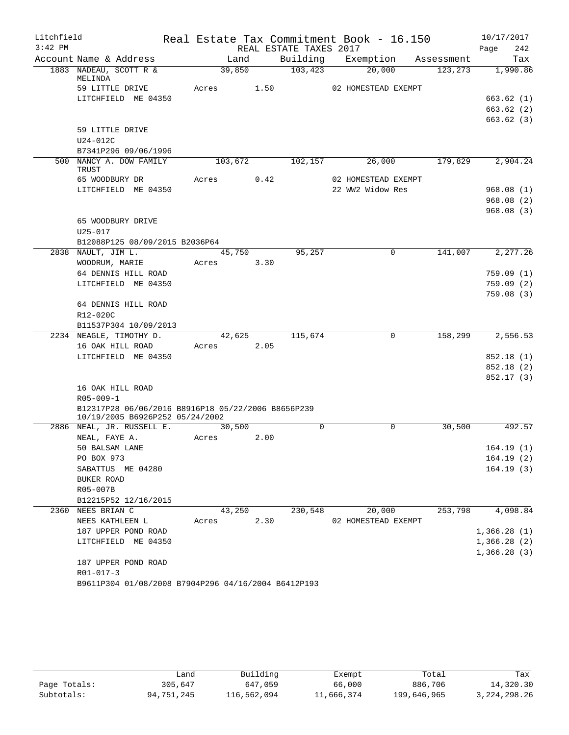| Litchfield |                                                                                       |            |      |                        | Real Estate Tax Commitment Book - 16.150 |            |          |             | 10/17/2017 |
|------------|---------------------------------------------------------------------------------------|------------|------|------------------------|------------------------------------------|------------|----------|-------------|------------|
| $3:42$ PM  |                                                                                       |            |      | REAL ESTATE TAXES 2017 |                                          |            |          | Page        | 242        |
|            | Account Name & Address                                                                | Land       |      |                        | Building Exemption                       | Assessment |          |             | Tax        |
|            | 1883 NADEAU, SCOTT R &                                                                | 39,850     |      | 103,423                | 20,000                                   |            | 123, 273 |             | 1,990.86   |
|            | MELINDA<br>59 LITTLE DRIVE                                                            | Acres      | 1.50 |                        | 02 HOMESTEAD EXEMPT                      |            |          |             |            |
|            | LITCHFIELD ME 04350                                                                   |            |      |                        |                                          |            |          |             | 663.62(1)  |
|            |                                                                                       |            |      |                        |                                          |            |          |             | 663.62(2)  |
|            |                                                                                       |            |      |                        |                                          |            |          |             | 663.62(3)  |
|            | 59 LITTLE DRIVE                                                                       |            |      |                        |                                          |            |          |             |            |
|            | U24-012C                                                                              |            |      |                        |                                          |            |          |             |            |
|            | B7341P296 09/06/1996                                                                  |            |      |                        |                                          |            |          |             |            |
|            | 500 NANCY A. DOW FAMILY                                                               | 103,672    |      | 102,157                | 26,000                                   |            | 179,829  |             | 2,904.24   |
|            | TRUST                                                                                 |            |      |                        |                                          |            |          |             |            |
|            | 65 WOODBURY DR                                                                        | Acres      | 0.42 |                        | 02 HOMESTEAD EXEMPT                      |            |          |             |            |
|            | LITCHFIELD ME 04350                                                                   |            |      |                        | 22 WW2 Widow Res                         |            |          |             | 968.08(1)  |
|            |                                                                                       |            |      |                        |                                          |            |          |             | 968.08(2)  |
|            |                                                                                       |            |      |                        |                                          |            |          |             | 968.08(3)  |
|            | 65 WOODBURY DRIVE                                                                     |            |      |                        |                                          |            |          |             |            |
|            | $U25 - 017$                                                                           |            |      |                        |                                          |            |          |             |            |
|            | B12088P125 08/09/2015 B2036P64<br>2838 NAULT, JIM L.                                  | 45,750     |      | 95,257                 | 0                                        |            | 141,007  |             | 2,277.26   |
|            | WOODRUM, MARIE                                                                        | Acres      | 3.30 |                        |                                          |            |          |             |            |
|            | 64 DENNIS HILL ROAD                                                                   |            |      |                        |                                          |            |          |             | 759.09(1)  |
|            | LITCHFIELD ME 04350                                                                   |            |      |                        |                                          |            |          |             | 759.09(2)  |
|            |                                                                                       |            |      |                        |                                          |            |          |             | 759.08(3)  |
|            | 64 DENNIS HILL ROAD                                                                   |            |      |                        |                                          |            |          |             |            |
|            | R12-020C                                                                              |            |      |                        |                                          |            |          |             |            |
|            | B11537P304 10/09/2013                                                                 |            |      |                        |                                          |            |          |             |            |
|            | 2234 NEAGLE, TIMOTHY D.                                                               | 42,625     |      | 115,674                | 0                                        |            | 158,299  |             | 2,556.53   |
|            | 16 OAK HILL ROAD                                                                      | Acres 2.05 |      |                        |                                          |            |          |             |            |
|            | LITCHFIELD ME 04350                                                                   |            |      |                        |                                          |            |          |             | 852.18 (1) |
|            |                                                                                       |            |      |                        |                                          |            |          |             | 852.18 (2) |
|            |                                                                                       |            |      |                        |                                          |            |          |             | 852.17(3)  |
|            | 16 OAK HILL ROAD                                                                      |            |      |                        |                                          |            |          |             |            |
|            | $R05 - 009 - 1$                                                                       |            |      |                        |                                          |            |          |             |            |
|            | B12317P28 06/06/2016 B8916P18 05/22/2006 B8656P239<br>10/19/2005 B6926P252 05/24/2002 |            |      |                        |                                          |            |          |             |            |
|            | 2886 NEAL, JR. RUSSELL E.                                                             | 30,500     |      | $\Omega$               | $\Omega$                                 |            | 30,500   |             | 492.57     |
|            | NEAL, FAYE A.                                                                         | Acres      | 2.00 |                        |                                          |            |          |             |            |
|            | 50 BALSAM LANE                                                                        |            |      |                        |                                          |            |          |             | 164.19(1)  |
|            | PO BOX 973                                                                            |            |      |                        |                                          |            |          |             | 164.19(2)  |
|            | SABATTUS ME 04280                                                                     |            |      |                        |                                          |            |          |             | 164.19(3)  |
|            | BUKER ROAD                                                                            |            |      |                        |                                          |            |          |             |            |
|            | R05-007B                                                                              |            |      |                        |                                          |            |          |             |            |
|            | B12215P52 12/16/2015                                                                  |            |      |                        |                                          |            |          |             |            |
|            | 2360 NEES BRIAN C                                                                     | 43,250     |      | 230,548                | 20,000                                   |            | 253,798  |             | 4,098.84   |
|            | NEES KATHLEEN L                                                                       | Acres      | 2.30 |                        | 02 HOMESTEAD EXEMPT                      |            |          |             |            |
|            | 187 UPPER POND ROAD                                                                   |            |      |                        |                                          |            |          | 1,366.28(1) |            |
|            | LITCHFIELD ME 04350                                                                   |            |      |                        |                                          |            |          | 1,366.28(2) |            |
|            |                                                                                       |            |      |                        |                                          |            |          | 1,366.28(3) |            |
|            | 187 UPPER POND ROAD                                                                   |            |      |                        |                                          |            |          |             |            |
|            | $R01 - 017 - 3$                                                                       |            |      |                        |                                          |            |          |             |            |
|            | B9611P304 01/08/2008 B7904P296 04/16/2004 B6412P193                                   |            |      |                        |                                          |            |          |             |            |

|              | Land       | Building    | Exempt     | Total       | Tax             |
|--------------|------------|-------------|------------|-------------|-----------------|
| Page Totals: | 305,647    | 647,059     | 66,000     | 886,706     | 14,320.30       |
| Subtotals:   | 94,751,245 | 116,562,094 | 11,666,374 | 199,646,965 | 3, 224, 298. 26 |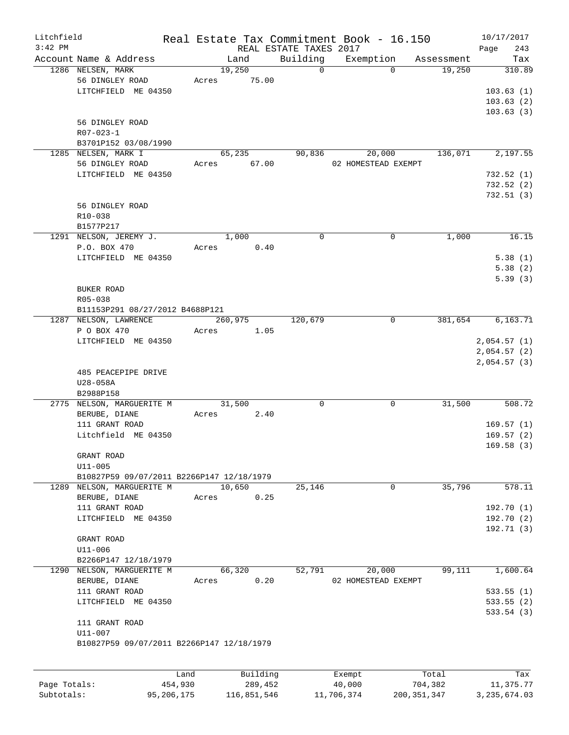| Litchfield   |                                           |              |       |                       |          | Real Estate Tax Commitment Book - 16.150 |                     |               |            | 10/17/2017     |            |
|--------------|-------------------------------------------|--------------|-------|-----------------------|----------|------------------------------------------|---------------------|---------------|------------|----------------|------------|
| $3:42$ PM    |                                           |              |       |                       |          | REAL ESTATE TAXES 2017                   |                     |               |            | Page           | 243        |
|              | Account Name & Address                    |              |       | Land                  |          | Building                                 | Exemption           |               | Assessment |                | Tax        |
|              | 1286 NELSEN, MARK<br>56 DINGLEY ROAD      |              | Acres | 19,250<br>75.00       |          | $\Omega$                                 |                     | $\Omega$      | 19,250     |                | 310.89     |
|              | LITCHFIELD ME 04350                       |              |       |                       |          |                                          |                     |               |            |                | 103.63(1)  |
|              |                                           |              |       |                       |          |                                          |                     |               |            |                | 103.63(2)  |
|              |                                           |              |       |                       |          |                                          |                     |               |            |                |            |
|              |                                           |              |       |                       |          |                                          |                     |               |            |                | 103.63(3)  |
|              | 56 DINGLEY ROAD                           |              |       |                       |          |                                          |                     |               |            |                |            |
|              | R07-023-1                                 |              |       |                       |          |                                          |                     |               |            |                |            |
|              | B3701P152 03/08/1990                      |              |       |                       |          | 90,836                                   |                     |               | 136,071    |                | 2,197.55   |
|              | 1285 NELSEN, MARK I<br>56 DINGLEY ROAD    |              |       | 65,235<br>Acres 67.00 |          |                                          | 20,000              |               |            |                |            |
|              |                                           |              |       |                       |          |                                          | 02 HOMESTEAD EXEMPT |               |            |                |            |
|              | LITCHFIELD ME 04350                       |              |       |                       |          |                                          |                     |               |            |                | 732.52(1)  |
|              |                                           |              |       |                       |          |                                          |                     |               |            |                | 732.52(2)  |
|              |                                           |              |       |                       |          |                                          |                     |               |            |                | 732.51(3)  |
|              | 56 DINGLEY ROAD                           |              |       |                       |          |                                          |                     |               |            |                |            |
|              | R10-038                                   |              |       |                       |          |                                          |                     |               |            |                |            |
|              | B1577P217                                 |              |       |                       |          |                                          |                     |               |            |                |            |
|              | 1291 NELSON, JEREMY J.                    |              |       | 1,000                 |          | $\Omega$                                 |                     | 0             | 1,000      |                | 16.15      |
|              | P.O. BOX 470                              |              | Acres |                       | 0.40     |                                          |                     |               |            |                |            |
|              | LITCHFIELD ME 04350                       |              |       |                       |          |                                          |                     |               |            |                | 5.38(1)    |
|              |                                           |              |       |                       |          |                                          |                     |               |            |                | 5.38(2)    |
|              |                                           |              |       |                       |          |                                          |                     |               |            |                | 5.39(3)    |
|              | BUKER ROAD                                |              |       |                       |          |                                          |                     |               |            |                |            |
|              | R05-038                                   |              |       |                       |          |                                          |                     |               |            |                |            |
|              | B11153P291 08/27/2012 B4688P121           |              |       |                       |          |                                          |                     |               |            |                |            |
|              | 1287 NELSON, LAWRENCE                     |              |       | 260,975               |          | 120,679                                  |                     | 0             | 381,654    |                | 6,163.71   |
|              | P O BOX 470                               |              | Acres |                       | 1.05     |                                          |                     |               |            |                |            |
|              | LITCHFIELD ME 04350                       |              |       |                       |          |                                          |                     |               |            | 2,054.57(1)    |            |
|              |                                           |              |       |                       |          |                                          |                     |               |            | 2,054.57(2)    |            |
|              |                                           |              |       |                       |          |                                          |                     |               |            | 2,054.57(3)    |            |
|              | 485 PEACEPIPE DRIVE                       |              |       |                       |          |                                          |                     |               |            |                |            |
|              | U28-058A                                  |              |       |                       |          |                                          |                     |               |            |                |            |
|              | B2988P158                                 |              |       |                       |          |                                          |                     |               |            |                |            |
|              | 2775 NELSON, MARGUERITE M                 |              |       | 31,500                |          | $\mathbf 0$                              |                     | $\Omega$      | 31,500     |                | 508.72     |
|              | BERUBE, DIANE                             |              | Acres |                       | 2.40     |                                          |                     |               |            |                |            |
|              | 111 GRANT ROAD                            |              |       |                       |          |                                          |                     |               |            |                | 169.57(1)  |
|              | Litchfield ME 04350                       |              |       |                       |          |                                          |                     |               |            |                | 169.57(2)  |
|              |                                           |              |       |                       |          |                                          |                     |               |            |                | 169.58(3)  |
|              | GRANT ROAD                                |              |       |                       |          |                                          |                     |               |            |                |            |
|              | $U11 - 005$                               |              |       |                       |          |                                          |                     |               |            |                |            |
|              | B10827P59 09/07/2011 B2266P147 12/18/1979 |              |       |                       |          |                                          |                     |               |            |                |            |
|              | 1289 NELSON, MARGUERITE M                 |              |       | 10,650                |          | 25,146                                   |                     | 0             | 35,796     |                | 578.11     |
|              | BERUBE, DIANE                             |              | Acres |                       | 0.25     |                                          |                     |               |            |                |            |
|              | 111 GRANT ROAD                            |              |       |                       |          |                                          |                     |               |            |                | 192.70(1)  |
|              | LITCHFIELD ME 04350                       |              |       |                       |          |                                          |                     |               |            |                | 192.70 (2) |
|              |                                           |              |       |                       |          |                                          |                     |               |            |                | 192.71(3)  |
|              | GRANT ROAD                                |              |       |                       |          |                                          |                     |               |            |                |            |
|              | $U11 - 006$                               |              |       |                       |          |                                          |                     |               |            |                |            |
|              | B2266P147 12/18/1979                      |              |       |                       |          |                                          |                     |               |            |                |            |
|              | 1290 NELSON, MARGUERITE M                 |              |       | 66,320                |          | 52,791                                   | 20,000              |               | 99,111     |                | 1,600.64   |
|              | BERUBE, DIANE                             |              | Acres |                       | 0.20     |                                          | 02 HOMESTEAD EXEMPT |               |            |                |            |
|              | 111 GRANT ROAD                            |              |       |                       |          |                                          |                     |               |            |                | 533.55(1)  |
|              | LITCHFIELD ME 04350                       |              |       |                       |          |                                          |                     |               |            |                | 533.55(2)  |
|              |                                           |              |       |                       |          |                                          |                     |               |            |                | 533.54(3)  |
|              | 111 GRANT ROAD                            |              |       |                       |          |                                          |                     |               |            |                |            |
|              | U11-007                                   |              |       |                       |          |                                          |                     |               |            |                |            |
|              | B10827P59 09/07/2011 B2266P147 12/18/1979 |              |       |                       |          |                                          |                     |               |            |                |            |
|              |                                           |              |       |                       |          |                                          |                     |               |            |                |            |
|              |                                           |              |       |                       |          |                                          |                     |               |            |                |            |
|              |                                           | Land         |       |                       | Building |                                          | Exempt              |               | Total      |                | Tax        |
| Page Totals: |                                           | 454,930      |       |                       | 289,452  |                                          | 40,000              |               | 704,382    |                | 11,375.77  |
| Subtotals:   |                                           | 95, 206, 175 |       | 116,851,546           |          |                                          | 11,706,374          | 200, 351, 347 |            | 3, 235, 674.03 |            |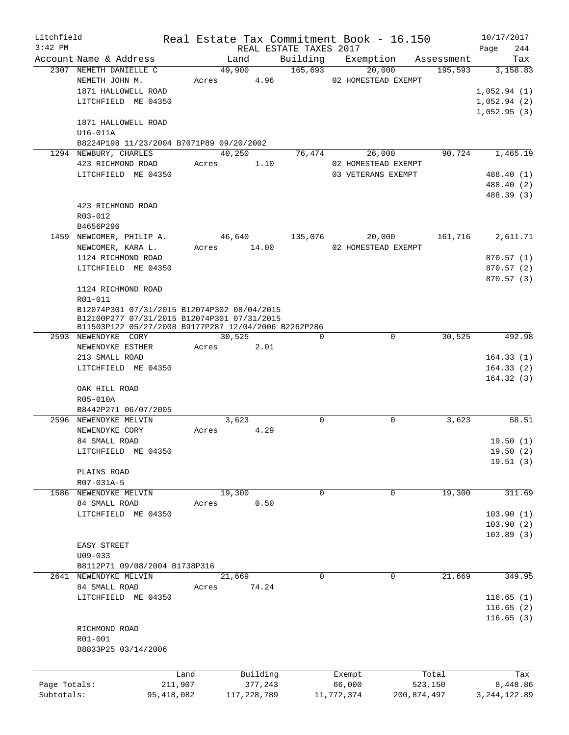| Litchfield   |                                                      |              |       |               |                        | Real Estate Tax Commitment Book - 16.150 |             | 10/17/2017     |
|--------------|------------------------------------------------------|--------------|-------|---------------|------------------------|------------------------------------------|-------------|----------------|
| $3:42$ PM    |                                                      |              |       |               | REAL ESTATE TAXES 2017 |                                          |             | Page<br>244    |
|              | Account Name & Address                               |              |       | Land          | Building               | Exemption                                | Assessment  | Tax            |
|              | 2307 NEMETH DANIELLE C                               |              |       | 49,900        | 165,693                | 20,000                                   | 195,593     | 3,158.83       |
|              | NEMETH JOHN M.                                       |              | Acres | 4.96          |                        | 02 HOMESTEAD EXEMPT                      |             |                |
|              | 1871 HALLOWELL ROAD                                  |              |       |               |                        |                                          |             | 1,052.94(1)    |
|              | LITCHFIELD ME 04350                                  |              |       |               |                        |                                          |             | 1,052.94(2)    |
|              |                                                      |              |       |               |                        |                                          |             | 1,052.95(3)    |
|              | 1871 HALLOWELL ROAD                                  |              |       |               |                        |                                          |             |                |
|              | U16-011A                                             |              |       |               |                        |                                          |             |                |
|              | B8224P198 11/23/2004 B7071P89 09/20/2002             |              |       |               |                        |                                          |             |                |
|              | 1294 NEWBURY, CHARLES                                |              |       | 40,250        | 76,474                 | 26,000                                   | 90,724      | 1,465.19       |
|              | 423 RICHMOND ROAD                                    |              | Acres | 1.10          |                        | 02 HOMESTEAD EXEMPT                      |             |                |
|              | LITCHFIELD ME 04350                                  |              |       |               |                        | 03 VETERANS EXEMPT                       |             | 488.40 (1)     |
|              |                                                      |              |       |               |                        |                                          |             | 488.40 (2)     |
|              |                                                      |              |       |               |                        |                                          |             | 488.39 (3)     |
|              | 423 RICHMOND ROAD                                    |              |       |               |                        |                                          |             |                |
|              | R03-012                                              |              |       |               |                        |                                          |             |                |
|              | B4656P296<br>1459 NEWCOMER, PHILIP A.                |              |       |               | 135,076                |                                          |             | 2,611.71       |
|              |                                                      |              |       | 46,640        |                        | 20,000                                   | 161,716     |                |
|              | NEWCOMER, KARA L.<br>1124 RICHMOND ROAD              |              | Acres | 14.00         |                        | 02 HOMESTEAD EXEMPT                      |             |                |
|              | LITCHFIELD ME 04350                                  |              |       |               |                        |                                          |             | 870.57(1)      |
|              |                                                      |              |       |               |                        |                                          |             | 870.57(2)      |
|              | 1124 RICHMOND ROAD                                   |              |       |               |                        |                                          |             | 870.57(3)      |
|              | R01-011                                              |              |       |               |                        |                                          |             |                |
|              | B12074P301 07/31/2015 B12074P302 08/04/2015          |              |       |               |                        |                                          |             |                |
|              | B12100P277 07/31/2015 B12074P301 07/31/2015          |              |       |               |                        |                                          |             |                |
|              | B11503P122 05/27/2008 B9177P287 12/04/2006 B2262P286 |              |       |               |                        |                                          |             |                |
|              | 2593 NEWENDYKE CORY                                  |              |       | 30,525        | $\Omega$               | $\Omega$                                 | 30, 525     | 492.98         |
|              | NEWENDYKE ESTHER                                     |              | Acres | 2.01          |                        |                                          |             |                |
|              | 213 SMALL ROAD                                       |              |       |               |                        |                                          |             | 164.33(1)      |
|              | LITCHFIELD ME 04350                                  |              |       |               |                        |                                          |             | 164.33(2)      |
|              |                                                      |              |       |               |                        |                                          |             | 164.32(3)      |
|              | OAK HILL ROAD                                        |              |       |               |                        |                                          |             |                |
|              | R05-010A                                             |              |       |               |                        |                                          |             |                |
|              | B8442P271 06/07/2005                                 |              |       |               |                        |                                          |             |                |
| 2596         | NEWENDYKE MELVIN                                     |              |       | 3,623         | 0                      | $\mathbf 0$                              | 3,623       | 58.51          |
|              | NEWENDYKE CORY                                       |              | Acres | 4.29          |                        |                                          |             |                |
|              | 84 SMALL ROAD                                        |              |       |               |                        |                                          |             | 19.50(1)       |
|              | LITCHFIELD ME 04350                                  |              |       |               |                        |                                          |             | 19.50 (2)      |
|              |                                                      |              |       |               |                        |                                          |             | 19.51(3)       |
|              | PLAINS ROAD                                          |              |       |               |                        |                                          |             |                |
|              | R07-031A-5                                           |              |       |               |                        |                                          |             |                |
|              | 1586 NEWENDYKE MELVIN                                |              |       | 19,300        | 0                      | $\mathbf 0$                              | 19,300      | 311.69         |
|              | 84 SMALL ROAD                                        |              | Acres | 0.50          |                        |                                          |             |                |
|              | LITCHFIELD ME 04350                                  |              |       |               |                        |                                          |             | 103.90(1)      |
|              |                                                      |              |       |               |                        |                                          |             | 103.90(2)      |
|              |                                                      |              |       |               |                        |                                          |             | 103.89(3)      |
|              | EASY STREET                                          |              |       |               |                        |                                          |             |                |
|              | $U09 - 033$                                          |              |       |               |                        |                                          |             |                |
|              | B8112P71 09/08/2004 B1738P316                        |              |       |               |                        |                                          |             |                |
|              | 2641 NEWENDYKE MELVIN                                |              |       | 21,669        | 0                      | $\Omega$                                 | 21,669      | 349.95         |
|              | 84 SMALL ROAD                                        |              | Acres | 74.24         |                        |                                          |             |                |
|              | LITCHFIELD ME 04350                                  |              |       |               |                        |                                          |             | 116.65(1)      |
|              |                                                      |              |       |               |                        |                                          |             | 116.65(2)      |
|              |                                                      |              |       |               |                        |                                          |             | 116.65(3)      |
|              | RICHMOND ROAD<br>R01-001                             |              |       |               |                        |                                          |             |                |
|              | B8833P25 03/14/2006                                  |              |       |               |                        |                                          |             |                |
|              |                                                      |              |       |               |                        |                                          |             |                |
|              |                                                      |              |       |               |                        |                                          |             |                |
|              |                                                      | Land         |       | Building      |                        | Exempt                                   | Total       | Tax            |
| Page Totals: |                                                      | 211,907      |       | 377,243       |                        | 66,000                                   | 523,150     | 8,448.86       |
| Subtotals:   |                                                      | 95, 418, 082 |       | 117, 228, 789 |                        | 11,772,374                               | 200,874,497 | 3, 244, 122.89 |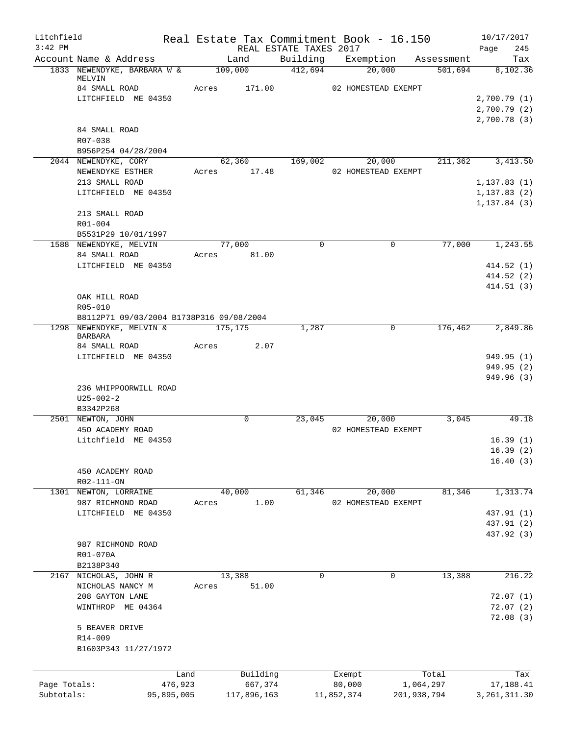| Litchfield   |                                                       |            |         |                 |                        | Real Estate Tax Commitment Book - 16.150 |              |                       | 10/17/2017                   |
|--------------|-------------------------------------------------------|------------|---------|-----------------|------------------------|------------------------------------------|--------------|-----------------------|------------------------------|
| $3:42$ PM    |                                                       |            |         |                 | REAL ESTATE TAXES 2017 |                                          |              |                       | 245<br>Page                  |
|              | Account Name & Address<br>1833 NEWENDYKE, BARBARA W & |            |         | Land<br>109,000 | 412,694                | Building Exemption<br>20,000             |              | Assessment<br>501,694 | Tax<br>8,102.36              |
|              | MELVIN                                                |            |         |                 |                        |                                          |              |                       |                              |
|              | 84 SMALL ROAD                                         |            | Acres   | 171.00          |                        | 02 HOMESTEAD EXEMPT                      |              |                       |                              |
|              | LITCHFIELD ME 04350                                   |            |         |                 |                        |                                          |              |                       | 2,700.79(1)                  |
|              |                                                       |            |         |                 |                        |                                          |              |                       | 2,700.79(2)                  |
|              |                                                       |            |         |                 |                        |                                          |              |                       | 2,700.78(3)                  |
|              | 84 SMALL ROAD<br>R07-038                              |            |         |                 |                        |                                          |              |                       |                              |
|              | B956P254 04/28/2004                                   |            |         |                 |                        |                                          |              |                       |                              |
|              | 2044 NEWENDYKE, CORY                                  |            |         |                 |                        | 62,360 169,002 20,000                    |              |                       | 211,362 3,413.50             |
|              | NEWENDYKE ESTHER                                      |            |         | Acres 17.48     |                        | 02 HOMESTEAD EXEMPT                      |              |                       |                              |
|              | 213 SMALL ROAD                                        |            |         |                 |                        |                                          |              |                       | 1, 137.83(1)                 |
|              | LITCHFIELD ME 04350                                   |            |         |                 |                        |                                          |              |                       | 1, 137.83(2)<br>1, 137.84(3) |
|              | 213 SMALL ROAD                                        |            |         |                 |                        |                                          |              |                       |                              |
|              | R01-004                                               |            |         |                 |                        |                                          |              |                       |                              |
|              | B5531P29 10/01/1997                                   |            |         |                 |                        |                                          |              |                       |                              |
|              | 1588 NEWENDYKE, MELVIN                                |            |         | 77,000          | $\mathbf 0$            |                                          | 0            | 77,000                | 1,243.55                     |
|              | 84 SMALL ROAD                                         |            |         | Acres 81.00     |                        |                                          |              |                       |                              |
|              | LITCHFIELD ME 04350                                   |            |         |                 |                        |                                          |              |                       | 414.52(1)                    |
|              |                                                       |            |         |                 |                        |                                          |              |                       | 414.52(2)                    |
|              | OAK HILL ROAD                                         |            |         |                 |                        |                                          |              |                       | 414.51(3)                    |
|              | R05-010                                               |            |         |                 |                        |                                          |              |                       |                              |
|              | B8112P71 09/03/2004 B1738P316 09/08/2004              |            |         |                 |                        |                                          |              |                       |                              |
|              | 1298 NEWENDYKE, MELVIN &                              |            | 175,175 |                 | 1,287                  |                                          | $\Omega$     | 176,462               | 2,849.86                     |
|              | <b>BARBARA</b>                                        |            |         |                 |                        |                                          |              |                       |                              |
|              | 84 SMALL ROAD                                         |            | Acres   | 2.07            |                        |                                          |              |                       |                              |
|              | LITCHFIELD ME 04350                                   |            |         |                 |                        |                                          |              |                       | 949.95 (1)                   |
|              |                                                       |            |         |                 |                        |                                          |              |                       | 949.95(2)                    |
|              | 236 WHIPPOORWILL ROAD                                 |            |         |                 |                        |                                          |              |                       | 949.96 (3)                   |
|              | $U25 - 002 - 2$                                       |            |         |                 |                        |                                          |              |                       |                              |
|              | B3342P268                                             |            |         |                 |                        |                                          |              |                       |                              |
|              | 2501 NEWTON, JOHN                                     |            |         | $\mathbf 0$     | 23,045                 | 20,000                                   |              | 3,045                 | 49.18                        |
|              | 450 ACADEMY ROAD                                      |            |         |                 |                        | 02 HOMESTEAD EXEMPT                      |              |                       |                              |
|              | Litchfield ME 04350                                   |            |         |                 |                        |                                          |              |                       | 16.39(1)                     |
|              |                                                       |            |         |                 |                        |                                          |              |                       | 16.39(2)                     |
|              |                                                       |            |         |                 |                        |                                          |              |                       | 16.40(3)                     |
|              | 450 ACADEMY ROAD                                      |            |         |                 |                        |                                          |              |                       |                              |
|              | R02-111-ON<br>NEWTON, LORRAINE                        |            |         | 40,000          |                        |                                          |              | 81,346                | 1,313.74                     |
| 1301         | 987 RICHMOND ROAD                                     |            | Acres   | 1.00            | 61,346                 | 20,000<br>02 HOMESTEAD EXEMPT            |              |                       |                              |
|              | LITCHFIELD ME 04350                                   |            |         |                 |                        |                                          |              |                       | 437.91 (1)                   |
|              |                                                       |            |         |                 |                        |                                          |              |                       | 437.91 (2)                   |
|              |                                                       |            |         |                 |                        |                                          |              |                       | 437.92 (3)                   |
|              | 987 RICHMOND ROAD                                     |            |         |                 |                        |                                          |              |                       |                              |
|              | R01-070A                                              |            |         |                 |                        |                                          |              |                       |                              |
|              | B2138P340                                             |            |         |                 |                        |                                          |              |                       |                              |
| 2167         | NICHOLAS, JOHN R                                      |            |         | 13,388          | $\mathsf{O}$           |                                          | $\mathsf{O}$ | 13,388                | 216.22                       |
|              | NICHOLAS NANCY M                                      |            | Acres   | 51.00           |                        |                                          |              |                       |                              |
|              | 208 GAYTON LANE                                       |            |         |                 |                        |                                          |              |                       | 72.07(1)                     |
|              | WINTHROP ME 04364                                     |            |         |                 |                        |                                          |              |                       | 72.07(2)                     |
|              |                                                       |            |         |                 |                        |                                          |              |                       | 72.08(3)                     |
|              | 5 BEAVER DRIVE<br>R14-009                             |            |         |                 |                        |                                          |              |                       |                              |
|              | B1603P343 11/27/1972                                  |            |         |                 |                        |                                          |              |                       |                              |
|              |                                                       |            |         |                 |                        |                                          |              |                       |                              |
|              |                                                       | Land       |         | Building        |                        | Exempt                                   |              | Total                 | Tax                          |
| Page Totals: |                                                       | 476,923    |         | 667,374         |                        | 80,000                                   | 1,064,297    |                       | 17,188.41                    |
| Subtotals:   |                                                       | 95,895,005 |         | 117,896,163     |                        | 11,852,374                               | 201,938,794  |                       | 3, 261, 311.30               |
|              |                                                       |            |         |                 |                        |                                          |              |                       |                              |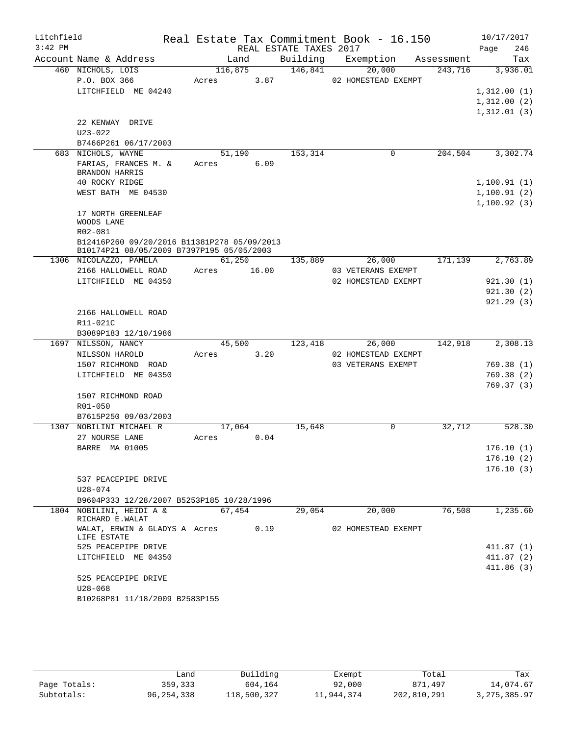| Litchfield<br>$3:42$ PM |                                                   | Real Estate Tax Commitment Book - 16.150 |       | REAL ESTATE TAXES 2017 |                     |            | 10/17/2017<br>246<br>Page |
|-------------------------|---------------------------------------------------|------------------------------------------|-------|------------------------|---------------------|------------|---------------------------|
|                         | Account Name & Address                            | Land                                     |       | Building               | Exemption           | Assessment | Tax                       |
|                         | 460 NICHOLS, LOIS                                 | 116,875                                  |       | 146,841                | 20,000              | 243,716    | 3,936.01                  |
|                         | P.O. BOX 366                                      | Acres                                    | 3.87  |                        | 02 HOMESTEAD EXEMPT |            |                           |
|                         | LITCHFIELD ME 04240                               |                                          |       |                        |                     |            | 1,312.00(1)               |
|                         |                                                   |                                          |       |                        |                     |            | 1,312.00(2)               |
|                         |                                                   |                                          |       |                        |                     |            | 1,312.01(3)               |
|                         | 22 KENWAY DRIVE                                   |                                          |       |                        |                     |            |                           |
|                         | U23-022                                           |                                          |       |                        |                     |            |                           |
|                         | B7466P261 06/17/2003                              |                                          |       |                        |                     |            |                           |
|                         | 683 NICHOLS, WAYNE                                | 51,190                                   |       | 153,314                | $\mathbf 0$         | 204,504    | 3,302.74                  |
|                         | FARIAS, FRANCES M. &<br><b>BRANDON HARRIS</b>     | Acres                                    | 6.09  |                        |                     |            |                           |
|                         | 40 ROCKY RIDGE                                    |                                          |       |                        |                     |            | 1,100.91(1)               |
|                         | WEST BATH ME 04530                                |                                          |       |                        |                     |            | 1,100.91(2)               |
|                         |                                                   |                                          |       |                        |                     |            | 1,100.92(3)               |
|                         | 17 NORTH GREENLEAF<br>WOODS LANE                  |                                          |       |                        |                     |            |                           |
|                         | R02-081                                           |                                          |       |                        |                     |            |                           |
|                         | B12416P260 09/20/2016 B11381P278 05/09/2013       |                                          |       |                        |                     |            |                           |
|                         | B10174P21 08/05/2009 B7397P195 05/05/2003         |                                          |       |                        |                     |            |                           |
|                         | 1306 NICOLAZZO, PAMELA                            | 61,250                                   |       | 135,889                | 26,000              | 171,139    | 2,763.89                  |
|                         | 2166 HALLOWELL ROAD                               | Acres                                    | 16.00 |                        | 03 VETERANS EXEMPT  |            |                           |
|                         | LITCHFIELD ME 04350                               |                                          |       |                        | 02 HOMESTEAD EXEMPT |            | 921.30(1)                 |
|                         |                                                   |                                          |       |                        |                     |            | 921.30(2)                 |
|                         |                                                   |                                          |       |                        |                     |            | 921.29(3)                 |
|                         | 2166 HALLOWELL ROAD<br>R11-021C                   |                                          |       |                        |                     |            |                           |
|                         | B3089P183 12/10/1986                              |                                          |       |                        |                     |            |                           |
|                         | 1697 NILSSON, NANCY                               | 45,500                                   |       | 123,418                | 26,000              | 142,918    | 2,308.13                  |
|                         | NILSSON HAROLD                                    | Acres                                    | 3.20  |                        | 02 HOMESTEAD EXEMPT |            |                           |
|                         | 1507 RICHMOND ROAD                                |                                          |       |                        | 03 VETERANS EXEMPT  |            | 769.38(1)                 |
|                         | LITCHFIELD ME 04350                               |                                          |       |                        |                     |            | 769.38(2)                 |
|                         |                                                   |                                          |       |                        |                     |            | 769.37(3)                 |
|                         | 1507 RICHMOND ROAD                                |                                          |       |                        |                     |            |                           |
|                         | R01-050                                           |                                          |       |                        |                     |            |                           |
|                         | B7615P250 09/03/2003                              |                                          |       |                        |                     |            |                           |
|                         | 1307 NOBILINI MICHAEL R                           | 17,064                                   |       | 15,648                 | 0                   | 32,712     | 528.30                    |
|                         | 27 NOURSE LANE                                    | Acres                                    | 0.04  |                        |                     |            |                           |
|                         | BARRE MA 01005                                    |                                          |       |                        |                     |            | 176.10(1)                 |
|                         |                                                   |                                          |       |                        |                     |            | 176.10(2)<br>176.10(3)    |
|                         | 537 PEACEPIPE DRIVE                               |                                          |       |                        |                     |            |                           |
|                         | U28-074                                           |                                          |       |                        |                     |            |                           |
|                         | B9604P333 12/28/2007 B5253P185 10/28/1996         |                                          |       |                        |                     |            |                           |
|                         | 1804 NOBILINI, HEIDI A &<br>RICHARD E.WALAT       | 67,454                                   |       | 29,054                 | 20,000              | 76,508     | 1,235.60                  |
|                         | WALAT, ERWIN & GLADYS A Acres 0.19<br>LIFE ESTATE |                                          |       |                        | 02 HOMESTEAD EXEMPT |            |                           |
|                         | 525 PEACEPIPE DRIVE                               |                                          |       |                        |                     |            | 411.87(1)                 |
|                         | LITCHFIELD ME 04350                               |                                          |       |                        |                     |            | 411.87(2)                 |
|                         |                                                   |                                          |       |                        |                     |            | 411.86(3)                 |
|                         | 525 PEACEPIPE DRIVE                               |                                          |       |                        |                     |            |                           |
|                         | $U28 - 068$                                       |                                          |       |                        |                     |            |                           |
|                         | B10268P81 11/18/2009 B2583P155                    |                                          |       |                        |                     |            |                           |

|              | ∟and       | Building    | Exempt     | Total       | Tax            |
|--------------|------------|-------------|------------|-------------|----------------|
| Page Totals: | 359,333    | 604,164     | 92,000     | 871,497     | 14,074.67      |
| Subtotals:   | 96,254,338 | 118,500,327 | 11,944,374 | 202,810,291 | 3, 275, 385.97 |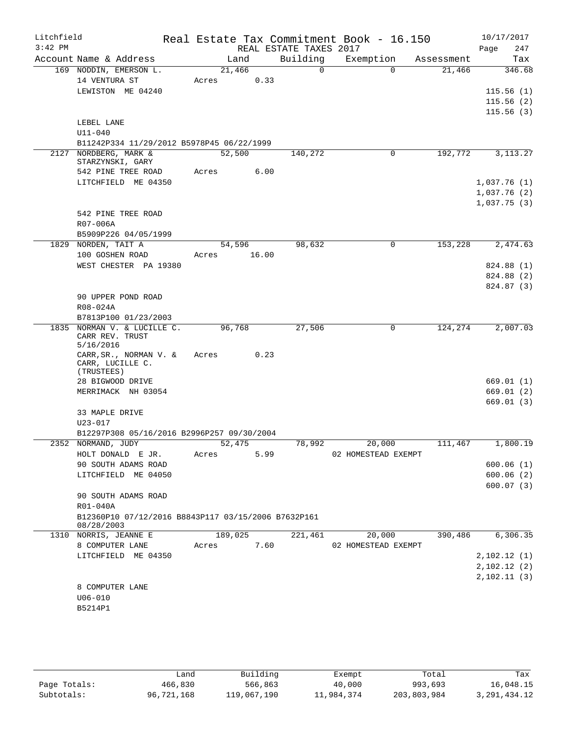| Litchfield |                                                                   |         |        |                        | Real Estate Tax Commitment Book - 16.150 |            | 10/17/2017  |
|------------|-------------------------------------------------------------------|---------|--------|------------------------|------------------------------------------|------------|-------------|
| $3:42$ PM  |                                                                   |         |        | REAL ESTATE TAXES 2017 |                                          |            | Page<br>247 |
|            | Account Name & Address                                            |         | Land   | Building               | Exemption                                | Assessment | Tax         |
|            | 169 NODDIN, EMERSON L.                                            | 21,466  |        | $\Omega$               | $\Omega$                                 | 21,466     | 346.68      |
|            | 14 VENTURA ST                                                     | Acres   | 0.33   |                        |                                          |            |             |
|            | LEWISTON ME 04240                                                 |         |        |                        |                                          |            | 115.56(1)   |
|            |                                                                   |         |        |                        |                                          |            | 115.56(2)   |
|            |                                                                   |         |        |                        |                                          |            | 115.56(3)   |
|            | LEBEL LANE<br>$U11 - 040$                                         |         |        |                        |                                          |            |             |
|            | B11242P334 11/29/2012 B5978P45 06/22/1999                         |         |        |                        |                                          |            |             |
|            | 2127 NORDBERG, MARK &                                             | 52,500  |        | 140,272                | 0                                        | 192,772    | 3, 113. 27  |
|            | STARZYNSKI, GARY                                                  |         |        |                        |                                          |            |             |
|            | 542 PINE TREE ROAD                                                | Acres   | 6.00   |                        |                                          |            |             |
|            | LITCHFIELD ME 04350                                               |         |        |                        |                                          |            | 1,037.76(1) |
|            |                                                                   |         |        |                        |                                          |            | 1,037.76(2) |
|            |                                                                   |         |        |                        |                                          |            | 1,037.75(3) |
|            | 542 PINE TREE ROAD                                                |         |        |                        |                                          |            |             |
|            | R07-006A                                                          |         |        |                        |                                          |            |             |
|            | B5909P226 04/05/1999                                              |         |        |                        |                                          |            |             |
|            | 1829 NORDEN, TAIT A                                               |         | 54,596 | 98,632                 | 0                                        | 153,228    | 2,474.63    |
|            | 100 GOSHEN ROAD                                                   | Acres   | 16.00  |                        |                                          |            |             |
|            | WEST CHESTER PA 19380                                             |         |        |                        |                                          |            | 824.88 (1)  |
|            |                                                                   |         |        |                        |                                          |            | 824.88 (2)  |
|            |                                                                   |         |        |                        |                                          |            | 824.87 (3)  |
|            | 90 UPPER POND ROAD                                                |         |        |                        |                                          |            |             |
|            | R08-024A                                                          |         |        |                        |                                          |            |             |
|            | B7813P100 01/23/2003                                              |         |        |                        |                                          |            |             |
|            | 1835 NORMAN V. & LUCILLE C.<br>CARR REV. TRUST                    | 96,768  |        | 27,506                 | 0                                        | 124,274    | 2,007.03    |
|            | 5/16/2016                                                         |         |        |                        |                                          |            |             |
|            | CARR, SR., NORMAN V. &                                            | Acres   | 0.23   |                        |                                          |            |             |
|            | CARR, LUCILLE C.                                                  |         |        |                        |                                          |            |             |
|            | (TRUSTEES)                                                        |         |        |                        |                                          |            | 669.01(1)   |
|            | 28 BIGWOOD DRIVE<br>MERRIMACK NH 03054                            |         |        |                        |                                          |            | 669.01(2)   |
|            |                                                                   |         |        |                        |                                          |            | 669.01(3)   |
|            | 33 MAPLE DRIVE                                                    |         |        |                        |                                          |            |             |
|            | $U23 - 017$                                                       |         |        |                        |                                          |            |             |
|            | B12297P308 05/16/2016 B2996P257 09/30/2004                        |         |        |                        |                                          |            |             |
|            | 2352 NORMAND, JUDY                                                | 52,475  |        | 78,992                 | 20,000                                   | 111,467    | 1,800.19    |
|            | HOLT DONALD E JR.                                                 | Acres   | 5.99   |                        | 02 HOMESTEAD EXEMPT                      |            |             |
|            | 90 SOUTH ADAMS ROAD                                               |         |        |                        |                                          |            | 600.06(1)   |
|            | LITCHFIELD ME 04050                                               |         |        |                        |                                          |            | 600.06(2)   |
|            |                                                                   |         |        |                        |                                          |            | 600.07(3)   |
|            | 90 SOUTH ADAMS ROAD                                               |         |        |                        |                                          |            |             |
|            | R01-040A                                                          |         |        |                        |                                          |            |             |
|            | B12360P10 07/12/2016 B8843P117 03/15/2006 B7632P161<br>08/28/2003 |         |        |                        |                                          |            |             |
|            | 1310 NORRIS, JEANNE E                                             | 189,025 |        | 221,461                | 20,000                                   | 390,486    | 6,306.35    |
|            | 8 COMPUTER LANE                                                   | Acres   | 7.60   |                        | 02 HOMESTEAD EXEMPT                      |            |             |
|            | LITCHFIELD ME 04350                                               |         |        |                        |                                          |            | 2,102.12(1) |
|            |                                                                   |         |        |                        |                                          |            | 2,102.12(2) |
|            |                                                                   |         |        |                        |                                          |            | 2,102.11(3) |
|            | 8 COMPUTER LANE                                                   |         |        |                        |                                          |            |             |
|            | $U06 - 010$                                                       |         |        |                        |                                          |            |             |
|            | B5214P1                                                           |         |        |                        |                                          |            |             |
|            |                                                                   |         |        |                        |                                          |            |             |

|              | Land       | Building    | Exempt     | Total       | Tax          |
|--------------|------------|-------------|------------|-------------|--------------|
| Page Totals: | 466,830    | 566,863     | 40,000     | 993,693     | 16,048.15    |
| Subtotals:   | 96,721,168 | 119,067,190 | 11,984,374 | 203,803,984 | 3,291,434.12 |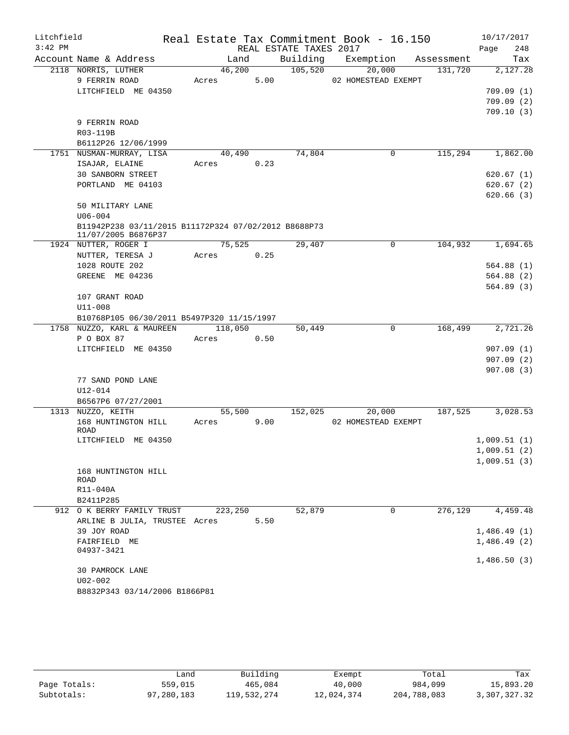| Litchfield |                                                                             |                  |      |                        | Real Estate Tax Commitment Book - 16.150 |         |             | 10/17/2017 |
|------------|-----------------------------------------------------------------------------|------------------|------|------------------------|------------------------------------------|---------|-------------|------------|
| $3:42$ PM  |                                                                             |                  |      | REAL ESTATE TAXES 2017 |                                          |         | Page        | 248        |
|            | Account Name & Address                                                      | Land             |      |                        | Building Exemption Assessment            |         |             | Tax        |
|            | 2118 NORRIS, LUTHER                                                         | 46,200           |      | 105,520                | 20,000                                   | 131,720 |             | 2,127.28   |
|            | 9 FERRIN ROAD                                                               | Acres            | 5.00 |                        | 02 HOMESTEAD EXEMPT                      |         |             |            |
|            | LITCHFIELD ME 04350                                                         |                  |      |                        |                                          |         |             | 709.09(1)  |
|            |                                                                             |                  |      |                        |                                          |         |             | 709.09(2)  |
|            |                                                                             |                  |      |                        |                                          |         |             | 709.10(3)  |
|            | 9 FERRIN ROAD                                                               |                  |      |                        |                                          |         |             |            |
|            | R03-119B<br>B6112P26 12/06/1999                                             |                  |      |                        |                                          |         |             |            |
|            | 1751 NUSMAN-MURRAY, LISA                                                    | 40,490           |      | 74,804                 | 0                                        | 115,294 |             | 1,862.00   |
|            | ISAJAR, ELAINE                                                              | Acres 0.23       |      |                        |                                          |         |             |            |
|            | 30 SANBORN STREET                                                           |                  |      |                        |                                          |         |             | 620.67(1)  |
|            | PORTLAND ME 04103                                                           |                  |      |                        |                                          |         |             | 620.67(2)  |
|            |                                                                             |                  |      |                        |                                          |         |             | 620.66(3)  |
|            | 50 MILITARY LANE                                                            |                  |      |                        |                                          |         |             |            |
|            | $U06 - 004$                                                                 |                  |      |                        |                                          |         |             |            |
|            | B11942P238 03/11/2015 B11172P324 07/02/2012 B8688P73<br>11/07/2005 B6876P37 |                  |      |                        |                                          |         |             |            |
|            | 1924 NUTTER, ROGER I                                                        | 75,525           |      | 29,407                 | $\mathbf 0$                              | 104,932 |             | 1,694.65   |
|            | NUTTER, TERESA J                                                            | Acres            | 0.25 |                        |                                          |         |             |            |
|            | 1028 ROUTE 202                                                              |                  |      |                        |                                          |         |             | 564.88(1)  |
|            | GREENE ME 04236                                                             |                  |      |                        |                                          |         |             | 564.88(2)  |
|            |                                                                             |                  |      |                        |                                          |         |             | 564.89(3)  |
|            | 107 GRANT ROAD                                                              |                  |      |                        |                                          |         |             |            |
|            | $U11 - 008$                                                                 |                  |      |                        |                                          |         |             |            |
|            | B10768P105 06/30/2011 B5497P320 11/15/1997                                  |                  |      |                        |                                          |         |             |            |
|            | 1758 NUZZO, KARL & MAUREEN<br>P O BOX 87                                    | 118,050<br>Acres | 0.50 | 50,449                 | $\mathbf 0$                              | 168,499 |             | 2,721.26   |
|            | LITCHFIELD ME 04350                                                         |                  |      |                        |                                          |         |             | 907.09(1)  |
|            |                                                                             |                  |      |                        |                                          |         |             | 907.09(2)  |
|            |                                                                             |                  |      |                        |                                          |         |             | 907.08(3)  |
|            | 77 SAND POND LANE                                                           |                  |      |                        |                                          |         |             |            |
|            | $U12 - 014$                                                                 |                  |      |                        |                                          |         |             |            |
|            | B6567P6 07/27/2001                                                          |                  |      |                        |                                          |         |             |            |
|            | 1313 NUZZO, KEITH                                                           | 55,500           |      | 152,025                | 20,000                                   | 187,525 |             | 3,028.53   |
|            | 168 HUNTINGTON HILL<br>ROAD                                                 | Acres            | 9.00 |                        | 02 HOMESTEAD EXEMPT                      |         |             |            |
|            | LITCHFIELD ME 04350                                                         |                  |      |                        |                                          |         | 1,009.51(1) |            |
|            |                                                                             |                  |      |                        |                                          |         | 1,009.51(2) |            |
|            |                                                                             |                  |      |                        |                                          |         | 1,009.51(3) |            |
|            | 168 HUNTINGTON HILL<br>ROAD                                                 |                  |      |                        |                                          |         |             |            |
|            | R11-040A                                                                    |                  |      |                        |                                          |         |             |            |
|            | B2411P285                                                                   |                  |      |                        |                                          |         |             |            |
|            | 912 O K BERRY FAMILY TRUST                                                  | 223,250          |      | 52,879                 | $\mathbf 0$                              | 276,129 |             | 4,459.48   |
|            | ARLINE B JULIA, TRUSTEE Acres                                               |                  | 5.50 |                        |                                          |         |             |            |
|            | 39 JOY ROAD                                                                 |                  |      |                        |                                          |         | 1,486.49(1) |            |
|            | FAIRFIELD ME                                                                |                  |      |                        |                                          |         | 1,486.49(2) |            |
|            | 04937-3421                                                                  |                  |      |                        |                                          |         |             |            |
|            |                                                                             |                  |      |                        |                                          |         | 1,486.50(3) |            |
|            | 30 PAMROCK LANE                                                             |                  |      |                        |                                          |         |             |            |
|            | $U02 - 002$                                                                 |                  |      |                        |                                          |         |             |            |
|            | B8832P343 03/14/2006 B1866P81                                               |                  |      |                        |                                          |         |             |            |

|              | Land       | Building    | Exempt     | Total       | Tax          |
|--------------|------------|-------------|------------|-------------|--------------|
| Page Totals: | 559,015    | 465,084     | 40,000     | 984,099     | 15,893.20    |
| Subtotals:   | 97,280,183 | 119,532,274 | 12,024,374 | 204,788,083 | 3,307,327.32 |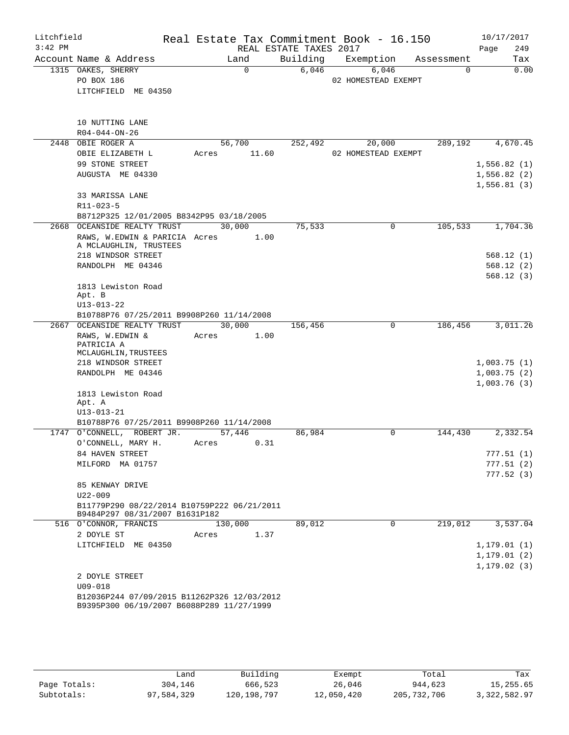| Litchfield |                                                                               |                |                        | Real Estate Tax Commitment Book - 16.150 |            | 10/17/2017                   |
|------------|-------------------------------------------------------------------------------|----------------|------------------------|------------------------------------------|------------|------------------------------|
| $3:42$ PM  |                                                                               |                | REAL ESTATE TAXES 2017 |                                          |            | Page<br>249                  |
|            | Account Name & Address                                                        | Land           | Building               | Exemption                                | Assessment | Tax                          |
|            | 1315 OAKES, SHERRY                                                            | $\Omega$       | 6,046                  | 6,046                                    | $\Omega$   | 0.00                         |
|            | PO BOX 186<br>LITCHFIELD ME 04350                                             |                |                        | 02 HOMESTEAD EXEMPT                      |            |                              |
|            |                                                                               |                |                        |                                          |            |                              |
|            | 10 NUTTING LANE                                                               |                |                        |                                          |            |                              |
|            | R04-044-ON-26                                                                 |                |                        |                                          |            |                              |
|            | 2448 OBIE ROGER A                                                             | 56,700         | 252,492                | 20,000                                   | 289,192    | 4,670.45                     |
|            | OBIE ELIZABETH L                                                              | 11.60<br>Acres |                        | 02 HOMESTEAD EXEMPT                      |            |                              |
|            | 99 STONE STREET                                                               |                |                        |                                          |            | 1,556.82(1)                  |
|            | AUGUSTA ME 04330                                                              |                |                        |                                          |            | 1,556.82(2)                  |
|            |                                                                               |                |                        |                                          |            | 1,556.81(3)                  |
|            | 33 MARISSA LANE                                                               |                |                        |                                          |            |                              |
|            | R11-023-5                                                                     |                |                        |                                          |            |                              |
|            | B8712P325 12/01/2005 B8342P95 03/18/2005                                      | 30,000         |                        | $\Omega$                                 |            |                              |
|            | 2668 OCEANSIDE REALTY TRUST<br>RAWS, W.EDWIN & PARICIA Acres                  | 1.00           | 75,533                 |                                          | 105,533    | 1,704.36                     |
|            | A MCLAUGHLIN, TRUSTEES                                                        |                |                        |                                          |            |                              |
|            | 218 WINDSOR STREET                                                            |                |                        |                                          |            | 568.12(1)                    |
|            | RANDOLPH ME 04346                                                             |                |                        |                                          |            | 568.12(2)<br>568.12(3)       |
|            | 1813 Lewiston Road                                                            |                |                        |                                          |            |                              |
|            | Apt. B                                                                        |                |                        |                                          |            |                              |
|            | $U13 - 013 - 22$                                                              |                |                        |                                          |            |                              |
|            | B10788P76 07/25/2011 B9908P260 11/14/2008<br>2667 OCEANSIDE REALTY TRUST      | 30,000         | 156,456                | 0                                        | 186,456    | 3,011.26                     |
|            | RAWS, W.EDWIN &                                                               | 1.00<br>Acres  |                        |                                          |            |                              |
|            | PATRICIA A                                                                    |                |                        |                                          |            |                              |
|            | MCLAUGHLIN, TRUSTEES<br>218 WINDSOR STREET                                    |                |                        |                                          |            | 1,003.75(1)                  |
|            | RANDOLPH ME 04346                                                             |                |                        |                                          |            | 1,003.75(2)                  |
|            |                                                                               |                |                        |                                          |            | 1,003.76(3)                  |
|            | 1813 Lewiston Road                                                            |                |                        |                                          |            |                              |
|            | Apt. A                                                                        |                |                        |                                          |            |                              |
|            | $U13 - 013 - 21$                                                              |                |                        |                                          |            |                              |
|            | B10788P76 07/25/2011 B9908P260 11/14/2008<br>1747 O'CONNELL, ROBERT JR.       | 57,446         | 86,984                 | 0                                        | 144,430    | 2,332.54                     |
|            | O'CONNELL, MARY H.                                                            | 0.31<br>Acres  |                        |                                          |            |                              |
|            | 84 HAVEN STREET                                                               |                |                        |                                          |            | 777.51(1)                    |
|            | MILFORD MA 01757                                                              |                |                        |                                          |            | 777.51(2)                    |
|            |                                                                               |                |                        |                                          |            | 777.52(3)                    |
|            | 85 KENWAY DRIVE                                                               |                |                        |                                          |            |                              |
|            | U22-009                                                                       |                |                        |                                          |            |                              |
|            | B11779P290 08/22/2014 B10759P222 06/21/2011<br>B9484P297 08/31/2007 B1631P182 |                |                        |                                          |            |                              |
|            | 516 O'CONNOR, FRANCIS                                                         | 130,000        | 89,012                 | 0                                        | 219,012    | 3,537.04                     |
|            | 2 DOYLE ST                                                                    | Acres<br>1.37  |                        |                                          |            |                              |
|            | LITCHFIELD ME 04350                                                           |                |                        |                                          |            | 1, 179.01(1)                 |
|            |                                                                               |                |                        |                                          |            | 1, 179.01(2)<br>1, 179.02(3) |
|            | 2 DOYLE STREET                                                                |                |                        |                                          |            |                              |
|            | $U09 - 018$                                                                   |                |                        |                                          |            |                              |
|            | B12036P244 07/09/2015 B11262P326 12/03/2012                                   |                |                        |                                          |            |                              |
|            | B9395P300 06/19/2007 B6088P289 11/27/1999                                     |                |                        |                                          |            |                              |

|              | Land       | Building      | Exempt     | Total       | Tax          |
|--------------|------------|---------------|------------|-------------|--------------|
| Page Totals: | 304,146    | 666,523       | 26,046     | 944,623     | 15,255.65    |
| Subtotals:   | 97,584,329 | 120, 198, 797 | 12,050,420 | 205,732,706 | 3,322,582.97 |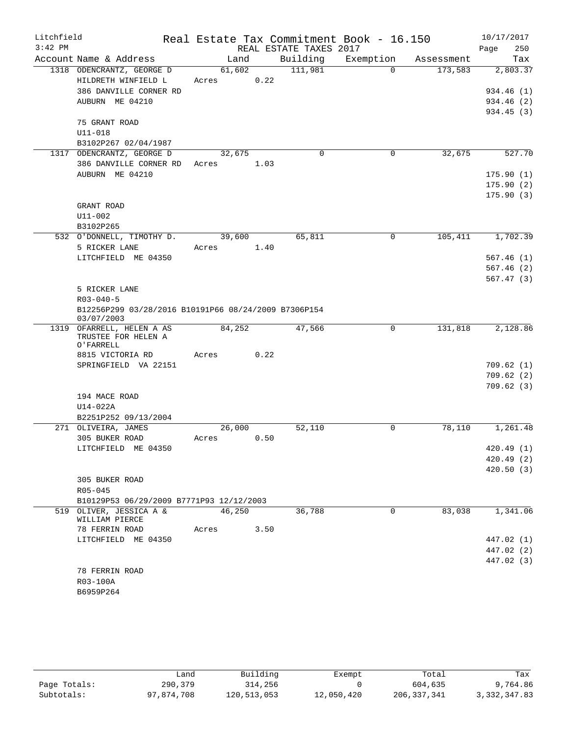| Litchfield |                                                                    |                 |      |                        | Real Estate Tax Commitment Book - 16.150 |            | 10/17/2017  |
|------------|--------------------------------------------------------------------|-----------------|------|------------------------|------------------------------------------|------------|-------------|
| $3:42$ PM  |                                                                    |                 |      | REAL ESTATE TAXES 2017 |                                          |            | Page<br>250 |
|            | Account Name & Address                                             | Land            |      | Building               | Exemption                                | Assessment | Tax         |
|            | 1318 ODENCRANTZ, GEORGE D                                          | 61,602          |      | 111,981                | $\Omega$                                 | 173,583    | 2,803.37    |
|            | HILDRETH WINFIELD L<br>386 DANVILLE CORNER RD                      | Acres           | 0.22 |                        |                                          |            | 934.46 (1)  |
|            | AUBURN ME 04210                                                    |                 |      |                        |                                          |            | 934.46 (2)  |
|            |                                                                    |                 |      |                        |                                          |            | 934.45(3)   |
|            | 75 GRANT ROAD                                                      |                 |      |                        |                                          |            |             |
|            | U11-018                                                            |                 |      |                        |                                          |            |             |
|            | B3102P267 02/04/1987                                               |                 |      |                        |                                          |            |             |
|            | 1317 ODENCRANTZ, GEORGE D                                          | 32,675          |      | $\mathbf 0$            | $\mathbf 0$                              | 32,675     | 527.70      |
|            | 386 DANVILLE CORNER RD Acres                                       |                 | 1.03 |                        |                                          |            |             |
|            | AUBURN ME 04210                                                    |                 |      |                        |                                          |            | 175.90(1)   |
|            |                                                                    |                 |      |                        |                                          |            | 175.90(2)   |
|            |                                                                    |                 |      |                        |                                          |            | 175.90(3)   |
|            | GRANT ROAD<br>U11-002                                              |                 |      |                        |                                          |            |             |
|            | B3102P265                                                          |                 |      |                        |                                          |            |             |
|            | 532 O'DONNELL, TIMOTHY D.                                          | 39,600          |      | 65,811                 | $\Omega$                                 | 105,411    | 1,702.39    |
|            | 5 RICKER LANE                                                      | Acres           | 1.40 |                        |                                          |            |             |
|            | LITCHFIELD ME 04350                                                |                 |      |                        |                                          |            | 567.46(1)   |
|            |                                                                    |                 |      |                        |                                          |            | 567.46(2)   |
|            |                                                                    |                 |      |                        |                                          |            | 567.47(3)   |
|            | 5 RICKER LANE                                                      |                 |      |                        |                                          |            |             |
|            | $R03 - 040 - 5$                                                    |                 |      |                        |                                          |            |             |
|            | B12256P299 03/28/2016 B10191P66 08/24/2009 B7306P154<br>03/07/2003 |                 |      |                        |                                          |            |             |
|            | 1319 OFARRELL, HELEN A AS                                          | 84,252          |      | 47,566                 | 0                                        | 131,818    | 2,128.86    |
|            | TRUSTEE FOR HELEN A<br>O'FARRELL                                   |                 |      |                        |                                          |            |             |
|            | 8815 VICTORIA RD                                                   | Acres           | 0.22 |                        |                                          |            |             |
|            | SPRINGFIELD VA 22151                                               |                 |      |                        |                                          |            | 709.62(1)   |
|            |                                                                    |                 |      |                        |                                          |            | 709.62(2)   |
|            |                                                                    |                 |      |                        |                                          |            | 709.62(3)   |
|            | 194 MACE ROAD                                                      |                 |      |                        |                                          |            |             |
|            | U14-022A                                                           |                 |      |                        |                                          |            |             |
|            | B2251P252 09/13/2004                                               |                 |      |                        |                                          |            |             |
|            | 271 OLIVEIRA, JAMES<br>305 BUKER ROAD                              | 26,000<br>Acres | 0.50 | 52,110                 | 0                                        | 78,110     | 1,261.48    |
|            | LITCHFIELD ME 04350                                                |                 |      |                        |                                          |            | 420.49 (1)  |
|            |                                                                    |                 |      |                        |                                          |            | 420.49 (2)  |
|            |                                                                    |                 |      |                        |                                          |            | 420.50(3)   |
|            | 305 BUKER ROAD                                                     |                 |      |                        |                                          |            |             |
|            | $R05 - 045$                                                        |                 |      |                        |                                          |            |             |
|            | B10129P53 06/29/2009 B7771P93 12/12/2003                           |                 |      |                        |                                          |            |             |
|            | 519 OLIVER, JESSICA A &<br>WILLIAM PIERCE                          | 46,250          |      | 36,788                 | 0                                        | 83,038     | 1,341.06    |
|            | 78 FERRIN ROAD                                                     | Acres           | 3.50 |                        |                                          |            |             |
|            | LITCHFIELD ME 04350                                                |                 |      |                        |                                          |            | 447.02 (1)  |
|            |                                                                    |                 |      |                        |                                          |            | 447.02 (2)  |
|            |                                                                    |                 |      |                        |                                          |            | 447.02 (3)  |
|            | 78 FERRIN ROAD                                                     |                 |      |                        |                                          |            |             |
|            | R03-100A                                                           |                 |      |                        |                                          |            |             |
|            | B6959P264                                                          |                 |      |                        |                                          |            |             |

|              | Land       | Building    | Exempt     | Total       | Tax          |
|--------------|------------|-------------|------------|-------------|--------------|
| Page Totals: | 290,379    | 314,256     |            | 604,635     | 9,764.86     |
| Subtotals:   | 97,874,708 | 120,513,053 | 12,050,420 | 206,337,341 | 3,332,347.83 |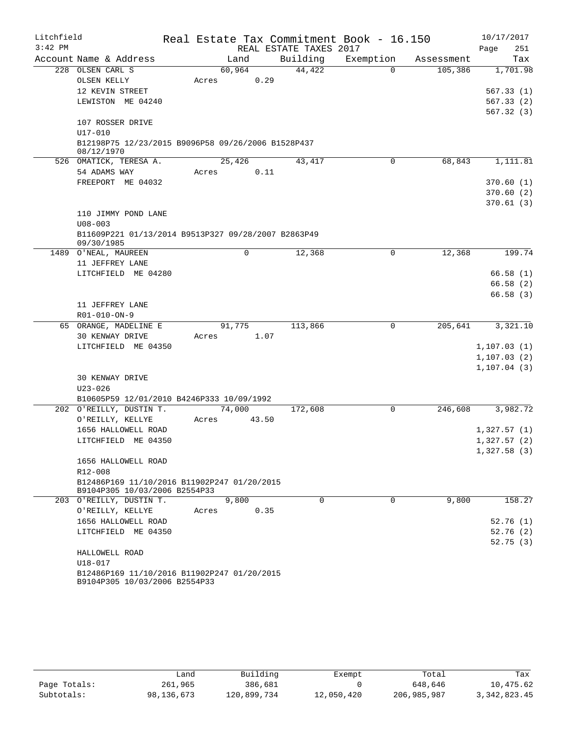| Litchfield<br>$3:42$ PM |                                                                  |        |       | REAL ESTATE TAXES 2017 | Real Estate Tax Commitment Book - 16.150 |            | 10/17/2017<br>251<br>Page   |
|-------------------------|------------------------------------------------------------------|--------|-------|------------------------|------------------------------------------|------------|-----------------------------|
|                         | Account Name & Address                                           | Land   |       | Building               | Exemption                                | Assessment | Tax                         |
|                         | 228 OLSEN CARL S                                                 | 60,964 |       | 44,422                 | $\Omega$                                 | 105,386    | 1,701.98                    |
|                         | OLSEN KELLY                                                      | Acres  | 0.29  |                        |                                          |            |                             |
|                         | 12 KEVIN STREET                                                  |        |       |                        |                                          |            | 567.33(1)                   |
|                         | LEWISTON ME 04240                                                |        |       |                        |                                          |            | 567.33(2)                   |
|                         |                                                                  |        |       |                        |                                          |            | 567.32(3)                   |
|                         | 107 ROSSER DRIVE                                                 |        |       |                        |                                          |            |                             |
|                         | U17-010                                                          |        |       |                        |                                          |            |                             |
|                         | B12198P75 12/23/2015 B9096P58 09/26/2006 B1528P437<br>08/12/1970 |        |       |                        |                                          |            |                             |
|                         | 526 OMATICK, TERESA A.                                           | 25,426 |       | 43,417                 | 0                                        | 68,843     | 1,111.81                    |
|                         | 54 ADAMS WAY                                                     | Acres  | 0.11  |                        |                                          |            |                             |
|                         | FREEPORT ME 04032                                                |        |       |                        |                                          |            | 370.60(1)                   |
|                         |                                                                  |        |       |                        |                                          |            | 370.60(2)                   |
|                         | 110 JIMMY POND LANE                                              |        |       |                        |                                          |            | 370.61(3)                   |
|                         | $U08 - 003$                                                      |        |       |                        |                                          |            |                             |
|                         | B11609P221 01/13/2014 B9513P327 09/28/2007 B2863P49              |        |       |                        |                                          |            |                             |
|                         | 09/30/1985                                                       |        |       |                        |                                          |            |                             |
| 1489                    | O'NEAL, MAUREEN                                                  |        | 0     | 12,368                 | 0                                        | 12,368     | 199.74                      |
|                         | 11 JEFFREY LANE                                                  |        |       |                        |                                          |            |                             |
|                         | LITCHFIELD ME 04280                                              |        |       |                        |                                          |            | 66.58(1)                    |
|                         |                                                                  |        |       |                        |                                          |            | 66.58(2)                    |
|                         |                                                                  |        |       |                        |                                          |            | 66.58(3)                    |
|                         | 11 JEFFREY LANE                                                  |        |       |                        |                                          |            |                             |
|                         | R01-010-ON-9<br>65 ORANGE, MADELINE E                            | 91,775 |       | 113,866                | $\mathbf 0$                              | 205,641    | 3,321.10                    |
|                         | 30 KENWAY DRIVE                                                  | Acres  | 1.07  |                        |                                          |            |                             |
|                         | LITCHFIELD ME 04350                                              |        |       |                        |                                          |            | 1, 107.03(1)                |
|                         |                                                                  |        |       |                        |                                          |            | 1, 107.03(2)                |
|                         |                                                                  |        |       |                        |                                          |            | 1, 107.04(3)                |
|                         | 30 KENWAY DRIVE                                                  |        |       |                        |                                          |            |                             |
|                         | $U23 - 026$                                                      |        |       |                        |                                          |            |                             |
|                         | B10605P59 12/01/2010 B4246P333 10/09/1992                        |        |       |                        |                                          |            |                             |
|                         | 202 O'REILLY, DUSTIN T.                                          | 74,000 |       | 172,608                | $\mathbf 0$                              | 246,608    | 3,982.72                    |
|                         | O'REILLY, KELLYE                                                 | Acres  | 43.50 |                        |                                          |            |                             |
|                         | 1656 HALLOWELL ROAD                                              |        |       |                        |                                          |            | 1,327.57(1)                 |
|                         | LITCHFIELD ME 04350                                              |        |       |                        |                                          |            | 1,327.57(2)<br>1,327.58 (3) |
|                         | 1656 HALLOWELL ROAD                                              |        |       |                        |                                          |            |                             |
|                         | R12-008                                                          |        |       |                        |                                          |            |                             |
|                         | B12486P169 11/10/2016 B11902P247 01/20/2015                      |        |       |                        |                                          |            |                             |
|                         | B9104P305 10/03/2006 B2554P33                                    |        |       |                        |                                          |            |                             |
|                         | 203 O'REILLY, DUSTIN T.                                          | 9,800  |       | $\Omega$               | $\Omega$                                 | 9,800      | 158.27                      |
|                         | O'REILLY, KELLYE                                                 | Acres  | 0.35  |                        |                                          |            |                             |
|                         | 1656 HALLOWELL ROAD                                              |        |       |                        |                                          |            | 52.76(1)                    |
|                         | LITCHFIELD ME 04350                                              |        |       |                        |                                          |            | 52.76(2)<br>52.75(3)        |
|                         | HALLOWELL ROAD                                                   |        |       |                        |                                          |            |                             |
|                         | U18-017                                                          |        |       |                        |                                          |            |                             |
|                         | B12486P169 11/10/2016 B11902P247 01/20/2015                      |        |       |                        |                                          |            |                             |
|                         | B9104P305 10/03/2006 B2554P33                                    |        |       |                        |                                          |            |                             |

|              | Land       | Building    | Exempt     | Total       | Tax            |
|--------------|------------|-------------|------------|-------------|----------------|
| Page Totals: | 261,965    | 386,681     |            | 648.646     | 10,475.62      |
| Subtotals:   | 98,136,673 | 120,899,734 | 12,050,420 | 206,985,987 | 3, 342, 823.45 |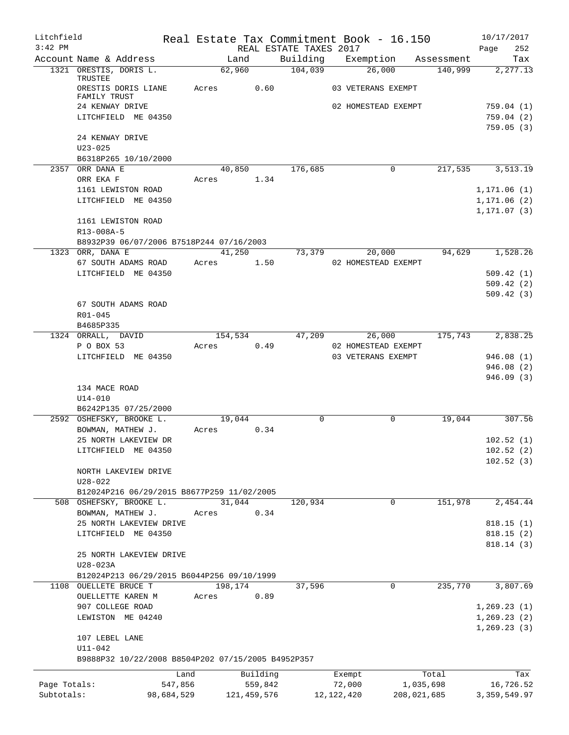| Litchfield   |                                                    |            |         |               |                        | Real Estate Tax Commitment Book - 16.150 |             | 10/17/2017     |
|--------------|----------------------------------------------------|------------|---------|---------------|------------------------|------------------------------------------|-------------|----------------|
| $3:42$ PM    |                                                    |            |         |               | REAL ESTATE TAXES 2017 |                                          |             | 252<br>Page    |
|              | Account Name & Address                             |            | Land    |               | Building               | Exemption                                | Assessment  | Tax            |
|              | 1321 ORESTIS, DORIS L.<br>TRUSTEE                  |            | 62,960  |               | 104,039                | 26,000                                   | 140,999     | 2,277.13       |
|              | ORESTIS DORIS LIANE                                |            | Acres   | 0.60          |                        | 03 VETERANS EXEMPT                       |             |                |
|              | FAMILY TRUST                                       |            |         |               |                        |                                          |             |                |
|              | 24 KENWAY DRIVE                                    |            |         |               |                        | 02 HOMESTEAD EXEMPT                      |             | 759.04 (1)     |
|              | LITCHFIELD ME 04350                                |            |         |               |                        |                                          |             | 759.04(2)      |
|              |                                                    |            |         |               |                        |                                          |             | 759.05(3)      |
|              | 24 KENWAY DRIVE                                    |            |         |               |                        |                                          |             |                |
|              | $U23 - 025$                                        |            |         |               |                        |                                          |             |                |
|              | B6318P265 10/10/2000                               |            |         |               |                        |                                          |             |                |
|              | 2357 ORR DANA E                                    |            | 40,850  |               | 176,685                | 0                                        | 217,535     | 3,513.19       |
|              | ORR EKA F                                          |            | Acres   | 1.34          |                        |                                          |             |                |
|              | 1161 LEWISTON ROAD                                 |            |         |               |                        |                                          |             | 1, 171.06(1)   |
|              | LITCHFIELD ME 04350                                |            |         |               |                        |                                          |             | 1, 171.06(2)   |
|              |                                                    |            |         |               |                        |                                          |             | 1,171.07 (3)   |
|              | 1161 LEWISTON ROAD                                 |            |         |               |                        |                                          |             |                |
|              | R13-008A-5                                         |            |         |               |                        |                                          |             |                |
|              | B8932P39 06/07/2006 B7518P244 07/16/2003           |            |         |               |                        |                                          |             |                |
| 1323         | ORR, DANA E                                        |            | 41,250  |               | 73,379                 | 20,000                                   | 94,629      | 1,528.26       |
|              | 67 SOUTH ADAMS ROAD                                |            | Acres   | 1.50          |                        | 02 HOMESTEAD EXEMPT                      |             |                |
|              | LITCHFIELD ME 04350                                |            |         |               |                        |                                          |             | 509.42(1)      |
|              |                                                    |            |         |               |                        |                                          |             | 509.42(2)      |
|              |                                                    |            |         |               |                        |                                          |             | 509.42(3)      |
|              | 67 SOUTH ADAMS ROAD                                |            |         |               |                        |                                          |             |                |
|              | R01-045                                            |            |         |               |                        |                                          |             |                |
|              | B4685P335                                          |            |         |               |                        |                                          |             |                |
|              | 1324 ORRALL, DAVID                                 |            | 154,534 |               | 47,209                 | 26,000                                   | 175,743     | 2,838.25       |
|              | P O BOX 53                                         |            | Acres   | 0.49          |                        | 02 HOMESTEAD EXEMPT                      |             |                |
|              | LITCHFIELD ME 04350                                |            |         |               |                        | 03 VETERANS EXEMPT                       |             | 946.08(1)      |
|              |                                                    |            |         |               |                        |                                          |             | 946.08(2)      |
|              |                                                    |            |         |               |                        |                                          |             | 946.09(3)      |
|              | 134 MACE ROAD                                      |            |         |               |                        |                                          |             |                |
|              | $U14 - 010$                                        |            |         |               |                        |                                          |             |                |
|              | B6242P135 07/25/2000                               |            |         |               |                        |                                          |             |                |
|              | 2592 OSHEFSKY, BROOKE L.                           |            | 19,044  |               | $\mathbf 0$            | $\mathbf 0$                              | 19,044      | 307.56         |
|              | BOWMAN, MATHEW J.                                  |            | Acres   | 0.34          |                        |                                          |             |                |
|              | 25 NORTH LAKEVIEW DR                               |            |         |               |                        |                                          |             | 102.52(1)      |
|              | LITCHFIELD ME 04350                                |            |         |               |                        |                                          |             | 102.52(2)      |
|              |                                                    |            |         |               |                        |                                          |             | 102.52(3)      |
|              | NORTH LAKEVIEW DRIVE                               |            |         |               |                        |                                          |             |                |
|              | $U28 - 022$                                        |            |         |               |                        |                                          |             |                |
|              | B12024P216 06/29/2015 B8677P259 11/02/2005         |            |         |               |                        |                                          |             |                |
|              | 508 OSHEFSKY, BROOKE L.                            |            | 31,044  |               | 120,934                | 0                                        | 151,978     | 2,454.44       |
|              | BOWMAN, MATHEW J.                                  |            | Acres   | 0.34          |                        |                                          |             |                |
|              | 25 NORTH LAKEVIEW DRIVE                            |            |         |               |                        |                                          |             | 818.15(1)      |
|              | LITCHFIELD ME 04350                                |            |         |               |                        |                                          |             | 818.15(2)      |
|              |                                                    |            |         |               |                        |                                          |             | 818.14 (3)     |
|              | 25 NORTH LAKEVIEW DRIVE                            |            |         |               |                        |                                          |             |                |
|              | U28-023A                                           |            |         |               |                        |                                          |             |                |
|              | B12024P213 06/29/2015 B6044P256 09/10/1999         |            |         |               |                        |                                          |             |                |
|              | 1108 OUELLETE BRUCE T                              |            | 198,174 |               | 37,596                 | 0                                        | 235,770     | 3,807.69       |
|              | OUELLETTE KAREN M                                  |            | Acres   | 0.89          |                        |                                          |             |                |
|              | 907 COLLEGE ROAD                                   |            |         |               |                        |                                          |             | 1, 269.23(1)   |
|              | LEWISTON ME 04240                                  |            |         |               |                        |                                          |             | 1,269.23(2)    |
|              |                                                    |            |         |               |                        |                                          |             | 1, 269.23(3)   |
|              | 107 LEBEL LANE                                     |            |         |               |                        |                                          |             |                |
|              | $U11 - 042$                                        |            |         |               |                        |                                          |             |                |
|              | B9888P32 10/22/2008 B8504P202 07/15/2005 B4952P357 |            |         |               |                        |                                          |             |                |
|              |                                                    | Land       |         | Building      |                        | Exempt                                   | Total       | Tax            |
| Page Totals: |                                                    | 547,856    |         | 559,842       |                        | 72,000                                   | 1,035,698   | 16,726.52      |
| Subtotals:   |                                                    | 98,684,529 |         | 121, 459, 576 |                        | 12, 122, 420                             | 208,021,685 | 3, 359, 549.97 |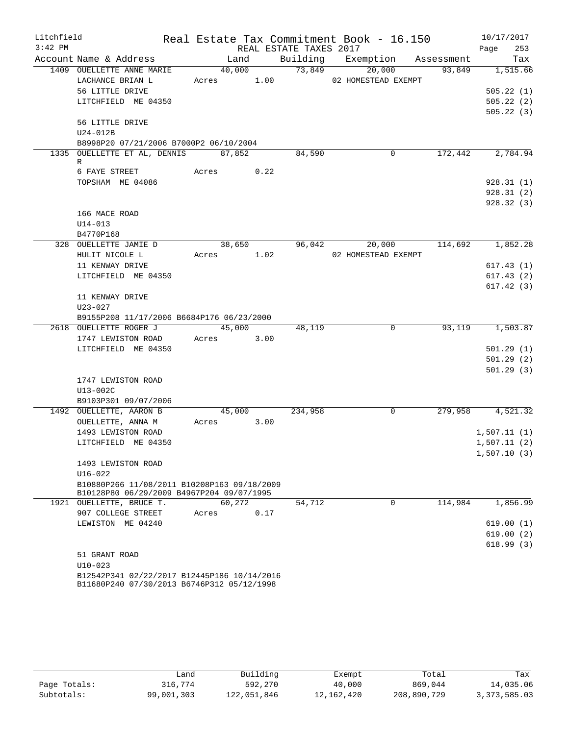| Litchfield |                                             |               |      |                        | Real Estate Tax Commitment Book - 16.150 |         | 10/17/2017             |
|------------|---------------------------------------------|---------------|------|------------------------|------------------------------------------|---------|------------------------|
| $3:42$ PM  |                                             |               |      | REAL ESTATE TAXES 2017 |                                          |         | 253<br>Page            |
|            | Account Name & Address                      | Land          |      |                        | Building Exemption Assessment            |         | Tax                    |
|            | 1409 OUELLETTE ANNE MARIE                   | 40,000        |      | 73,849                 | 20,000                                   | 93,849  | 1,515.66               |
|            | LACHANCE BRIAN L                            | Acres 1.00    |      |                        | 02 HOMESTEAD EXEMPT                      |         |                        |
|            | 56 LITTLE DRIVE                             |               |      |                        |                                          |         | 505.22(1)              |
|            | LITCHFIELD ME 04350                         |               |      |                        |                                          |         | 505.22(2)              |
|            | 56 LITTLE DRIVE                             |               |      |                        |                                          |         | 505.22(3)              |
|            | U24-012B                                    |               |      |                        |                                          |         |                        |
|            | B8998P20 07/21/2006 B7000P2 06/10/2004      |               |      |                        |                                          |         |                        |
|            | 1335 OUELLETTE ET AL, DENNIS 87,852         |               |      | 84,590                 | $\mathbf 0$                              | 172,442 | 2,784.94               |
|            | R                                           |               |      |                        |                                          |         |                        |
|            | 6 FAYE STREET                               | Acres 0.22    |      |                        |                                          |         |                        |
|            | TOPSHAM ME 04086                            |               |      |                        |                                          |         | 928.31(1)              |
|            |                                             |               |      |                        |                                          |         | 928.31(2)              |
|            |                                             |               |      |                        |                                          |         | 928.32(3)              |
|            | 166 MACE ROAD                               |               |      |                        |                                          |         |                        |
|            | $U14 - 013$<br>B4770P168                    |               |      |                        |                                          |         |                        |
|            | 328 OUELLETTE JAMIE D                       | 38,650        |      |                        | 96,042<br>20,000                         | 114,692 | 1,852.28               |
|            | HULIT NICOLE L                              | Acres 1.02    |      |                        | 02 HOMESTEAD EXEMPT                      |         |                        |
|            | 11 KENWAY DRIVE                             |               |      |                        |                                          |         | 617.43(1)              |
|            | LITCHFIELD ME 04350                         |               |      |                        |                                          |         | 617.43(2)              |
|            |                                             |               |      |                        |                                          |         | 617.42(3)              |
|            | 11 KENWAY DRIVE                             |               |      |                        |                                          |         |                        |
|            | U23-027                                     |               |      |                        |                                          |         |                        |
|            | B9155P208 11/17/2006 B6684P176 06/23/2000   |               |      |                        |                                          |         |                        |
|            | 2618 OUELLETTE ROGER J                      | 45,000        |      | 48,119                 | $\overline{0}$                           |         | 93,119 1,503.87        |
|            | 1747 LEWISTON ROAD                          | Acres         | 3.00 |                        |                                          |         |                        |
|            | LITCHFIELD ME 04350                         |               |      |                        |                                          |         | 501.29(1)              |
|            |                                             |               |      |                        |                                          |         | 501.29(2)              |
|            |                                             |               |      |                        |                                          |         | 501.29(3)              |
|            | 1747 LEWISTON ROAD                          |               |      |                        |                                          |         |                        |
|            | U13-002C<br>B9103P301 09/07/2006            |               |      |                        |                                          |         |                        |
|            | 1492 OUELLETTE, AARON B                     | 45,000        |      | 234,958                | 0                                        |         | 279,958 4,521.32       |
|            | OUELLETTE, ANNA M                           | 3.00<br>Acres |      |                        |                                          |         |                        |
|            | 1493 LEWISTON ROAD                          |               |      |                        |                                          |         | 1,507.11(1)            |
|            | LITCHFIELD ME 04350                         |               |      |                        |                                          |         | 1,507.11(2)            |
|            |                                             |               |      |                        |                                          |         | 1,507.10(3)            |
|            | 1493 LEWISTON ROAD                          |               |      |                        |                                          |         |                        |
|            | $U16 - 022$                                 |               |      |                        |                                          |         |                        |
|            | B10880P266 11/08/2011 B10208P163 09/18/2009 |               |      |                        |                                          |         |                        |
|            | B10128P80 06/29/2009 B4967P204 09/07/1995   |               |      |                        |                                          |         |                        |
|            | 1921 OUELLETTE, BRUCE T.                    | 60,272        |      | 54,712                 | $\Omega$                                 | 114,984 | 1,856.99               |
|            | 907 COLLEGE STREET                          | Acres         | 0.17 |                        |                                          |         |                        |
|            | LEWISTON ME 04240                           |               |      |                        |                                          |         | 619.00(1)<br>619.00(2) |
|            |                                             |               |      |                        |                                          |         | 618.99(3)              |
|            | 51 GRANT ROAD                               |               |      |                        |                                          |         |                        |
|            | $U10-023$                                   |               |      |                        |                                          |         |                        |
|            | B12542P341 02/22/2017 B12445P186 10/14/2016 |               |      |                        |                                          |         |                        |

B11680P240 07/30/2013 B6746P312 05/12/1998

|              | andد       | Building    | Exempt     | Total       | Tax            |
|--------------|------------|-------------|------------|-------------|----------------|
| Page Totals: | 316,774    | 592,270     | 40,000     | 869,044     | 14,035.06      |
| Subtotals:   | 99,001,303 | 122,051,846 | 12,162,420 | 208,890,729 | 3, 373, 585.03 |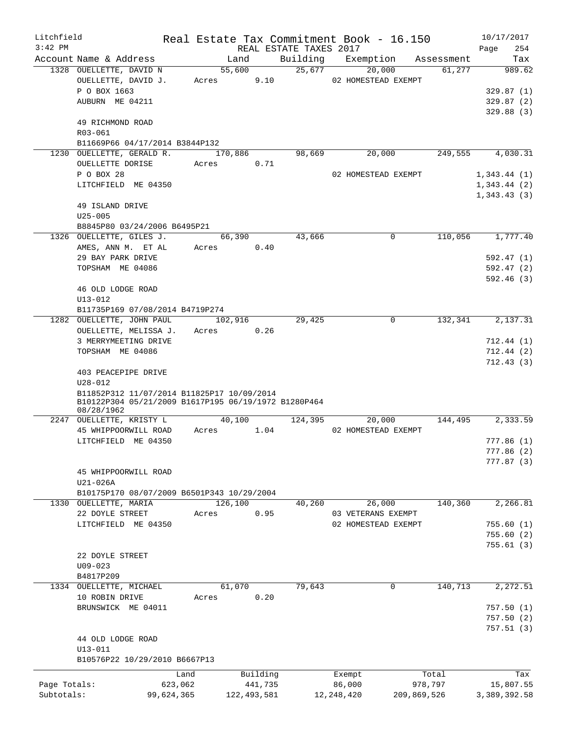| Litchfield   |                                                                    |            |         |               |                        | Real Estate Tax Commitment Book - 16.150 |             | 10/17/2017             |
|--------------|--------------------------------------------------------------------|------------|---------|---------------|------------------------|------------------------------------------|-------------|------------------------|
| $3:42$ PM    |                                                                    |            |         |               | REAL ESTATE TAXES 2017 |                                          |             | 254<br>Page            |
|              | Account Name & Address                                             |            | Land    |               | Building               | Exemption                                | Assessment  | Tax                    |
|              | 1328 OUELLETTE, DAVID N                                            |            | 55,600  |               | 25,677                 | 20,000                                   | 61,277      | 989.62                 |
|              | OUELLETTE, DAVID J.                                                |            | Acres   | 9.10          |                        | 02 HOMESTEAD EXEMPT                      |             |                        |
|              | P O BOX 1663<br>AUBURN ME 04211                                    |            |         |               |                        |                                          |             | 329.87(1)              |
|              |                                                                    |            |         |               |                        |                                          |             | 329.87(2)<br>329.88(3) |
|              | 49 RICHMOND ROAD                                                   |            |         |               |                        |                                          |             |                        |
|              | R03-061                                                            |            |         |               |                        |                                          |             |                        |
|              | B11669P66 04/17/2014 B3844P132                                     |            |         |               |                        |                                          |             |                        |
|              | 1230 OUELLETTE, GERALD R.                                          |            | 170,886 |               | 98,669                 | 20,000                                   | 249,555     | 4,030.31               |
|              | OUELLETTE DORISE                                                   |            | Acres   | 0.71          |                        |                                          |             |                        |
|              | P O BOX 28                                                         |            |         |               |                        | 02 HOMESTEAD EXEMPT                      |             | 1,343.44(1)            |
|              | LITCHFIELD ME 04350                                                |            |         |               |                        |                                          |             | 1,343.44(2)            |
|              |                                                                    |            |         |               |                        |                                          |             | 1,343.43(3)            |
|              | 49 ISLAND DRIVE                                                    |            |         |               |                        |                                          |             |                        |
|              | $U25 - 005$                                                        |            |         |               |                        |                                          |             |                        |
|              | B8845P80 03/24/2006 B6495P21                                       |            |         |               |                        |                                          |             |                        |
|              | 1326 OUELLETTE, GILES J.                                           |            | 66,390  |               | 43,666                 | $\Omega$                                 | 110,056     | 1,777.40               |
|              | AMES, ANN M. ET AL                                                 |            | Acres   | 0.40          |                        |                                          |             |                        |
|              | 29 BAY PARK DRIVE                                                  |            |         |               |                        |                                          |             | 592.47 (1)             |
|              | TOPSHAM ME 04086                                                   |            |         |               |                        |                                          |             | 592.47(2)              |
|              | 46 OLD LODGE ROAD                                                  |            |         |               |                        |                                          |             | 592.46(3)              |
|              | U13-012                                                            |            |         |               |                        |                                          |             |                        |
|              | B11735P169 07/08/2014 B4719P274                                    |            |         |               |                        |                                          |             |                        |
|              | 1282 OUELLETTE, JOHN PAUL                                          |            | 102,916 |               | 29,425                 | 0                                        | 132,341     | 2,137.31               |
|              | OUELLETTE, MELISSA J.                                              |            | Acres   | 0.26          |                        |                                          |             |                        |
|              | 3 MERRYMEETING DRIVE                                               |            |         |               |                        |                                          |             | 712.44(1)              |
|              | TOPSHAM ME 04086                                                   |            |         |               |                        |                                          |             | 712.44(2)              |
|              |                                                                    |            |         |               |                        |                                          |             | 712.43(3)              |
|              | 403 PEACEPIPE DRIVE                                                |            |         |               |                        |                                          |             |                        |
|              | $U28 - 012$                                                        |            |         |               |                        |                                          |             |                        |
|              | B11852P312 11/07/2014 B11825P17 10/09/2014                         |            |         |               |                        |                                          |             |                        |
|              | B10122P304 05/21/2009 B1617P195 06/19/1972 B1280P464<br>08/28/1962 |            |         |               |                        |                                          |             |                        |
|              | 2247 OUELLETTE, KRISTY L                                           |            | 40,100  |               | 124,395                | 20,000                                   | 144,495     | 2,333.59               |
|              | 45 WHIPPOORWILL ROAD                                               |            | Acres   | 1.04          |                        | 02 HOMESTEAD EXEMPT                      |             |                        |
|              | LITCHFIELD ME 04350                                                |            |         |               |                        |                                          |             | 777.86(1)              |
|              |                                                                    |            |         |               |                        |                                          |             | 777.86 (2)             |
|              |                                                                    |            |         |               |                        |                                          |             | 777.87(3)              |
|              | 45 WHIPPOORWILL ROAD                                               |            |         |               |                        |                                          |             |                        |
|              | U21-026A                                                           |            |         |               |                        |                                          |             |                        |
|              | B10175P170 08/07/2009 B6501P343 10/29/2004                         |            |         |               |                        |                                          |             |                        |
|              | 1330 OUELLETTE, MARIA                                              |            | 126,100 |               | 40,260                 | 26,000                                   | 140,360     | 2,266.81               |
|              | 22 DOYLE STREET                                                    |            | Acres   | 0.95          |                        | 03 VETERANS EXEMPT                       |             |                        |
|              | LITCHFIELD ME 04350                                                |            |         |               |                        | 02 HOMESTEAD EXEMPT                      |             | 755.60(1)              |
|              |                                                                    |            |         |               |                        |                                          |             | 755.60(2)              |
|              | 22 DOYLE STREET                                                    |            |         |               |                        |                                          |             | 755.61(3)              |
|              | $U09 - 023$                                                        |            |         |               |                        |                                          |             |                        |
|              | B4817P209                                                          |            |         |               |                        |                                          |             |                        |
|              | 1334 OUELLETTE, MICHAEL                                            |            | 61,070  |               | 79,643                 | 0                                        | 140,713     | 2, 272.51              |
|              | 10 ROBIN DRIVE                                                     |            | Acres   | 0.20          |                        |                                          |             |                        |
|              | BRUNSWICK ME 04011                                                 |            |         |               |                        |                                          |             | 757.50(1)              |
|              |                                                                    |            |         |               |                        |                                          |             | 757.50(2)              |
|              |                                                                    |            |         |               |                        |                                          |             | 757.51(3)              |
|              | 44 OLD LODGE ROAD                                                  |            |         |               |                        |                                          |             |                        |
|              | U13-011                                                            |            |         |               |                        |                                          |             |                        |
|              | B10576P22 10/29/2010 B6667P13                                      |            |         |               |                        |                                          |             |                        |
|              |                                                                    | Land       |         | Building      |                        | Exempt                                   | Total       | Tax                    |
| Page Totals: |                                                                    | 623,062    |         | 441,735       |                        | 86,000                                   | 978,797     | 15,807.55              |
| Subtotals:   |                                                                    | 99,624,365 |         | 122, 493, 581 |                        | 12, 248, 420                             | 209,869,526 | 3,389,392.58           |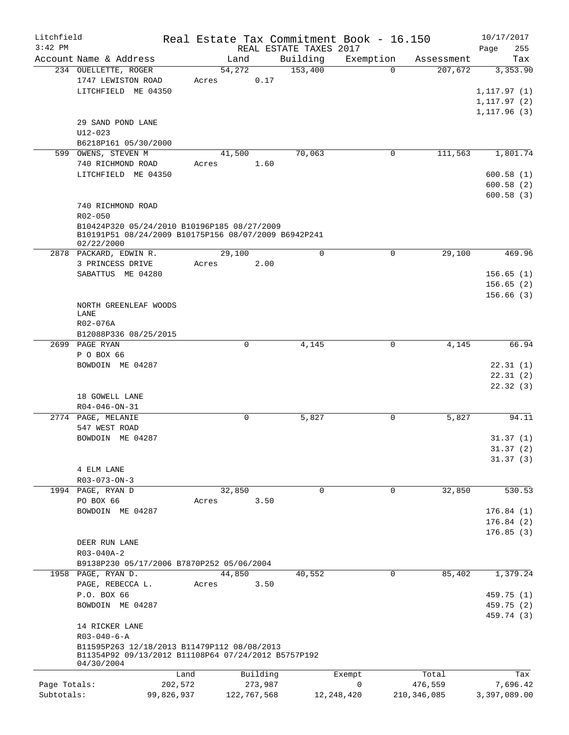| Litchfield                 |                                                      |            |       |             |         |                        | Real Estate Tax Commitment Book - 16.150 |               | 10/17/2017           |
|----------------------------|------------------------------------------------------|------------|-------|-------------|---------|------------------------|------------------------------------------|---------------|----------------------|
| $3:42$ PM                  |                                                      |            |       |             |         | REAL ESTATE TAXES 2017 |                                          |               | Page<br>255          |
|                            | Account Name & Address                               |            |       | Land        |         | Building               | Exemption                                | Assessment    | Tax                  |
|                            | 234 OUELLETTE, ROGER                                 |            |       | 54,272      |         | 153,400                | $\Omega$                                 | 207,672       | 3,353.90             |
|                            | 1747 LEWISTON ROAD                                   |            | Acres |             | 0.17    |                        |                                          |               |                      |
|                            | LITCHFIELD ME 04350                                  |            |       |             |         |                        |                                          |               | 1, 117.97(1)         |
|                            |                                                      |            |       |             |         |                        |                                          |               | 1, 117.97(2)         |
|                            |                                                      |            |       |             |         |                        |                                          |               | 1, 117.96(3)         |
|                            | 29 SAND POND LANE                                    |            |       |             |         |                        |                                          |               |                      |
|                            | $U12 - 023$                                          |            |       |             |         |                        |                                          |               |                      |
|                            | B6218P161 05/30/2000                                 |            |       |             |         | 70,063                 | 0                                        | 111,563       | 1,801.74             |
|                            | 599 OWENS, STEVEN M<br>740 RICHMOND ROAD             |            | Acres | 41,500      | 1.60    |                        |                                          |               |                      |
|                            | LITCHFIELD ME 04350                                  |            |       |             |         |                        |                                          |               | 600.58(1)            |
|                            |                                                      |            |       |             |         |                        |                                          |               | 600.58(2)            |
|                            |                                                      |            |       |             |         |                        |                                          |               | 600.58(3)            |
|                            | 740 RICHMOND ROAD                                    |            |       |             |         |                        |                                          |               |                      |
|                            | $R02 - 050$                                          |            |       |             |         |                        |                                          |               |                      |
|                            | B10424P320 05/24/2010 B10196P185 08/27/2009          |            |       |             |         |                        |                                          |               |                      |
|                            | B10191P51 08/24/2009 B10175P156 08/07/2009 B6942P241 |            |       |             |         |                        |                                          |               |                      |
|                            | 02/22/2000                                           |            |       |             |         |                        |                                          |               |                      |
|                            | 2878 PACKARD, EDWIN R.                               |            |       | 29,100      |         | $\mathbf 0$            | 0                                        | 29,100        | 469.96               |
|                            | 3 PRINCESS DRIVE                                     |            | Acres |             | 2.00    |                        |                                          |               |                      |
|                            | SABATTUS ME 04280                                    |            |       |             |         |                        |                                          |               | 156.65(1)            |
|                            |                                                      |            |       |             |         |                        |                                          |               | 156.65(2)            |
|                            |                                                      |            |       |             |         |                        |                                          |               | 156.66(3)            |
|                            | NORTH GREENLEAF WOODS                                |            |       |             |         |                        |                                          |               |                      |
|                            | LANE                                                 |            |       |             |         |                        |                                          |               |                      |
|                            | R02-076A                                             |            |       |             |         |                        |                                          |               |                      |
|                            | B12088P336 08/25/2015                                |            |       |             |         |                        |                                          |               |                      |
|                            | 2699 PAGE RYAN                                       |            |       | 0           |         | 4,145                  | 0                                        | 4,145         | 66.94                |
|                            | P O BOX 66                                           |            |       |             |         |                        |                                          |               |                      |
|                            | BOWDOIN ME 04287                                     |            |       |             |         |                        |                                          |               | 22.31(1)             |
|                            |                                                      |            |       |             |         |                        |                                          |               | 22.31(2)<br>22.32(3) |
|                            | 18 GOWELL LANE                                       |            |       |             |         |                        |                                          |               |                      |
|                            | R04-046-ON-31                                        |            |       |             |         |                        |                                          |               |                      |
|                            | 2774 PAGE, MELANIE                                   |            |       | 0           |         | 5,827                  | 0                                        | 5,827         | 94.11                |
|                            | 547 WEST ROAD                                        |            |       |             |         |                        |                                          |               |                      |
|                            | BOWDOIN ME 04287                                     |            |       |             |         |                        |                                          |               | 31.37(1)             |
|                            |                                                      |            |       |             |         |                        |                                          |               | 31.37(2)             |
|                            |                                                      |            |       |             |         |                        |                                          |               | 31.37(3)             |
|                            | 4 ELM LANE                                           |            |       |             |         |                        |                                          |               |                      |
|                            | $R03 - 073 - ON - 3$                                 |            |       |             |         |                        |                                          |               |                      |
|                            | 1994 PAGE, RYAN D                                    |            |       | 32,850      |         | 0                      | 0                                        | 32,850        | 530.53               |
|                            | PO BOX 66                                            |            | Acres |             | 3.50    |                        |                                          |               |                      |
|                            | BOWDOIN ME 04287                                     |            |       |             |         |                        |                                          |               | 176.84(1)            |
|                            |                                                      |            |       |             |         |                        |                                          |               | 176.84(2)            |
|                            |                                                      |            |       |             |         |                        |                                          |               | 176.85(3)            |
|                            | DEER RUN LANE                                        |            |       |             |         |                        |                                          |               |                      |
|                            | R03-040A-2                                           |            |       |             |         |                        |                                          |               |                      |
|                            | B9138P230 05/17/2006 B7870P252 05/06/2004            |            |       |             |         |                        |                                          |               |                      |
|                            | 1958 PAGE, RYAN D.                                   |            |       | 44,850      |         | 40,552                 | 0                                        | 85,402        | 1,379.24             |
|                            | PAGE, REBECCA L.                                     |            | Acres |             | 3.50    |                        |                                          |               |                      |
|                            | P.O. BOX 66                                          |            |       |             |         |                        |                                          |               | 459.75 (1)           |
|                            | BOWDOIN ME 04287                                     |            |       |             |         |                        |                                          |               | 459.75 (2)           |
|                            |                                                      |            |       |             |         |                        |                                          |               | 459.74 (3)           |
|                            | 14 RICKER LANE                                       |            |       |             |         |                        |                                          |               |                      |
|                            | $R03 - 040 - 6 - A$                                  |            |       |             |         |                        |                                          |               |                      |
|                            | B11595P263 12/18/2013 B11479P112 08/08/2013          |            |       |             |         |                        |                                          |               |                      |
|                            | B11354P92 09/13/2012 B11108P64 07/24/2012 B5757P192  |            |       |             |         |                        |                                          |               |                      |
|                            | 04/30/2004                                           |            |       |             |         |                        |                                          |               |                      |
|                            |                                                      | Land       |       | Building    |         |                        | Exempt                                   | Total         | Tax                  |
| Page Totals:<br>Subtotals: |                                                      | 202,572    |       |             | 273,987 |                        | 0                                        | 476,559       | 7,696.42             |
|                            |                                                      | 99,826,937 |       | 122,767,568 |         | 12, 248, 420           |                                          | 210, 346, 085 | 3,397,089.00         |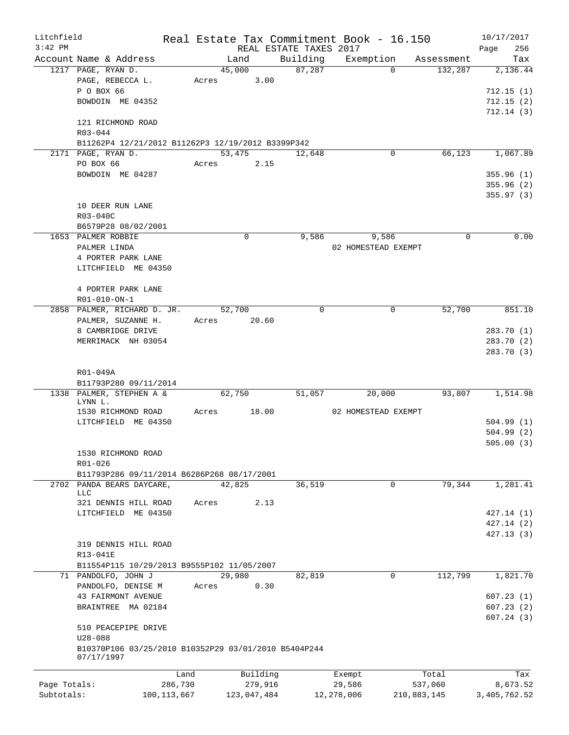| Litchfield   |                                                      |               |       |             |                        | Real Estate Tax Commitment Book - 16.150 |             | 10/17/2017   |
|--------------|------------------------------------------------------|---------------|-------|-------------|------------------------|------------------------------------------|-------------|--------------|
| $3:42$ PM    |                                                      |               |       |             | REAL ESTATE TAXES 2017 |                                          |             | 256<br>Page  |
|              | Account Name & Address                               |               |       | Land        | Building               | Exemption                                | Assessment  | Tax          |
|              | 1217 PAGE, RYAN D.                                   |               |       | 45,000      | 87,287                 | $\Omega$                                 | 132,287     | 2,136.44     |
|              | PAGE, REBECCA L.                                     |               | Acres | 3.00        |                        |                                          |             |              |
|              | P O BOX 66                                           |               |       |             |                        |                                          |             | 712.15(1)    |
|              | BOWDOIN ME 04352                                     |               |       |             |                        |                                          |             | 712.15(2)    |
|              |                                                      |               |       |             |                        |                                          |             | 712.14(3)    |
|              | 121 RICHMOND ROAD                                    |               |       |             |                        |                                          |             |              |
|              | R03-044                                              |               |       |             |                        |                                          |             |              |
|              | B11262P4 12/21/2012 B11262P3 12/19/2012 B3399P342    |               |       |             |                        |                                          |             |              |
|              | 2171 PAGE, RYAN D.                                   |               |       | 53,475      | 12,648                 | 0                                        | 66,123      | 1,067.89     |
|              | PO BOX 66                                            |               | Acres | 2.15        |                        |                                          |             |              |
|              | BOWDOIN ME 04287                                     |               |       |             |                        |                                          |             | 355.96(1)    |
|              |                                                      |               |       |             |                        |                                          |             | 355.96(2)    |
|              |                                                      |               |       |             |                        |                                          |             | 355.97(3)    |
|              | 10 DEER RUN LANE                                     |               |       |             |                        |                                          |             |              |
|              | R03-040C                                             |               |       |             |                        |                                          |             |              |
|              |                                                      |               |       |             |                        |                                          |             |              |
|              | B6579P28 08/02/2001                                  |               |       |             |                        |                                          |             |              |
|              | 1653 PALMER ROBBIE                                   |               |       | 0           | 9,586                  | 9,586                                    | 0           | 0.00         |
|              | PALMER LINDA                                         |               |       |             |                        | 02 HOMESTEAD EXEMPT                      |             |              |
|              | 4 PORTER PARK LANE                                   |               |       |             |                        |                                          |             |              |
|              | LITCHFIELD ME 04350                                  |               |       |             |                        |                                          |             |              |
|              |                                                      |               |       |             |                        |                                          |             |              |
|              | 4 PORTER PARK LANE                                   |               |       |             |                        |                                          |             |              |
|              | R01-010-ON-1                                         |               |       |             |                        |                                          |             |              |
|              | 2858 PALMER, RICHARD D. JR.                          |               |       | 52,700      | 0                      | 0                                        | 52,700      | 851.10       |
|              | PALMER, SUZANNE H.                                   |               | Acres | 20.60       |                        |                                          |             |              |
|              | 8 CAMBRIDGE DRIVE                                    |               |       |             |                        |                                          |             | 283.70(1)    |
|              | MERRIMACK NH 03054                                   |               |       |             |                        |                                          |             | 283.70 (2)   |
|              |                                                      |               |       |             |                        |                                          |             | 283.70 (3)   |
|              |                                                      |               |       |             |                        |                                          |             |              |
|              | R01-049A                                             |               |       |             |                        |                                          |             |              |
|              |                                                      |               |       |             |                        |                                          |             |              |
|              | B11793P280 09/11/2014                                |               |       |             |                        |                                          |             |              |
|              | 1338 PALMER, STEPHEN A &<br>LYNN L.                  |               |       | 62,750      | 51,057                 | 20,000                                   | 93,807      | 1,514.98     |
|              | 1530 RICHMOND ROAD                                   |               | Acres | 18.00       |                        | 02 HOMESTEAD EXEMPT                      |             |              |
|              | LITCHFIELD ME 04350                                  |               |       |             |                        |                                          |             | 504.99 (1)   |
|              |                                                      |               |       |             |                        |                                          |             | 504.99 (2)   |
|              |                                                      |               |       |             |                        |                                          |             |              |
|              |                                                      |               |       |             |                        |                                          |             | 505.00(3)    |
|              | 1530 RICHMOND ROAD                                   |               |       |             |                        |                                          |             |              |
|              | R01-026                                              |               |       |             |                        |                                          |             |              |
|              | B11793P286 09/11/2014 B6286P268 08/17/2001           |               |       |             |                        |                                          |             |              |
| 2702         | PANDA BEARS DAYCARE,                                 |               |       | 42,825      | 36,519                 | 0                                        | 79,344      | 1,281.41     |
|              | <b>LLC</b>                                           |               |       |             |                        |                                          |             |              |
|              | 321 DENNIS HILL ROAD                                 |               | Acres | 2.13        |                        |                                          |             |              |
|              | LITCHFIELD ME 04350                                  |               |       |             |                        |                                          |             | 427.14 (1)   |
|              |                                                      |               |       |             |                        |                                          |             | 427.14(2)    |
|              |                                                      |               |       |             |                        |                                          |             | 427.13(3)    |
|              | 319 DENNIS HILL ROAD                                 |               |       |             |                        |                                          |             |              |
|              | R13-041E                                             |               |       |             |                        |                                          |             |              |
|              | B11554P115 10/29/2013 B9555P102 11/05/2007           |               |       |             |                        |                                          |             |              |
|              | 71 PANDOLFO, JOHN J                                  |               |       | 29,980      | 82,819                 | 0                                        | 112,799     | 1,821.70     |
|              | PANDOLFO, DENISE M                                   |               | Acres | 0.30        |                        |                                          |             |              |
|              | 43 FAIRMONT AVENUE                                   |               |       |             |                        |                                          |             | 607.23(1)    |
|              | BRAINTREE MA 02184                                   |               |       |             |                        |                                          |             | 607.23 (2)   |
|              |                                                      |               |       |             |                        |                                          |             | 607.24 (3)   |
|              | 510 PEACEPIPE DRIVE                                  |               |       |             |                        |                                          |             |              |
|              | $U28 - 088$                                          |               |       |             |                        |                                          |             |              |
|              | B10370P106 03/25/2010 B10352P29 03/01/2010 B5404P244 |               |       |             |                        |                                          |             |              |
|              | 07/17/1997                                           |               |       |             |                        |                                          |             |              |
|              |                                                      |               |       |             |                        |                                          |             |              |
|              |                                                      | Land          |       | Building    |                        | Exempt                                   | Total       | Tax          |
| Page Totals: |                                                      | 286,730       |       | 279,916     |                        | 29,586                                   | 537,060     | 8,673.52     |
| Subtotals:   |                                                      | 100, 113, 667 |       | 123,047,484 |                        | 12,278,006                               | 210,883,145 | 3,405,762.52 |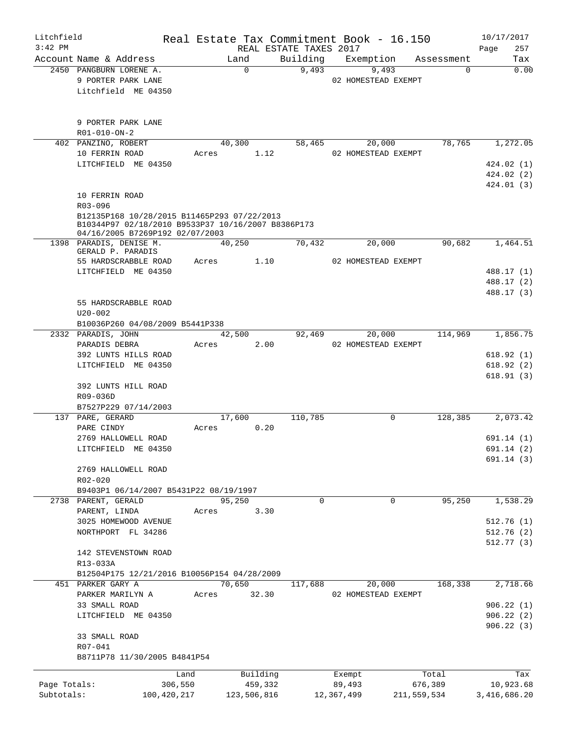| Litchfield   |                                                                                                                                      |                 |                     |                        | Real Estate Tax Commitment Book - 16.150 |                        | 10/17/2017       |
|--------------|--------------------------------------------------------------------------------------------------------------------------------------|-----------------|---------------------|------------------------|------------------------------------------|------------------------|------------------|
| $3:42$ PM    |                                                                                                                                      |                 |                     | REAL ESTATE TAXES 2017 |                                          |                        | 257<br>Page      |
|              | Account Name & Address<br>2450 PANGBURN LORENE A.                                                                                    |                 | Land<br>$\Omega$    | Building<br>9,493      | Exemption<br>9,493                       | Assessment<br>$\Omega$ | Tax<br>0.00      |
|              | 9 PORTER PARK LANE                                                                                                                   |                 |                     |                        | 02 HOMESTEAD EXEMPT                      |                        |                  |
|              | Litchfield ME 04350                                                                                                                  |                 |                     |                        |                                          |                        |                  |
|              |                                                                                                                                      |                 |                     |                        |                                          |                        |                  |
|              |                                                                                                                                      |                 |                     |                        |                                          |                        |                  |
|              | 9 PORTER PARK LANE<br>R01-010-ON-2                                                                                                   |                 |                     |                        |                                          |                        |                  |
|              | 402 PANZINO, ROBERT                                                                                                                  |                 | 40,300              | 58,465                 | 20,000                                   | 78,765                 | 1,272.05         |
|              | 10 FERRIN ROAD                                                                                                                       | Acres           | 1.12                |                        | 02 HOMESTEAD EXEMPT                      |                        |                  |
|              | LITCHFIELD ME 04350                                                                                                                  |                 |                     |                        |                                          |                        | 424.02(1)        |
|              |                                                                                                                                      |                 |                     |                        |                                          |                        | 424.02(2)        |
|              | 10 FERRIN ROAD                                                                                                                       |                 |                     |                        |                                          |                        | 424.01 (3)       |
|              | R03-096                                                                                                                              |                 |                     |                        |                                          |                        |                  |
|              | B12135P168 10/28/2015 B11465P293 07/22/2013<br>B10344P97 02/18/2010 B9533P37 10/16/2007 B8386P173<br>04/16/2005 B7269P192 02/07/2003 |                 |                     |                        |                                          |                        |                  |
|              | 1398 PARADIS, DENISE M.                                                                                                              |                 | 40,250              | 70,432                 | 20,000                                   | 90,682                 | 1,464.51         |
|              | GERALD P. PARADIS<br>55 HARDSCRABBLE ROAD                                                                                            | Acres           | 1.10                |                        | 02 HOMESTEAD EXEMPT                      |                        |                  |
|              | LITCHFIELD ME 04350                                                                                                                  |                 |                     |                        |                                          |                        | 488.17 (1)       |
|              |                                                                                                                                      |                 |                     |                        |                                          |                        | 488.17 (2)       |
|              |                                                                                                                                      |                 |                     |                        |                                          |                        | 488.17 (3)       |
|              | 55 HARDSCRABBLE ROAD                                                                                                                 |                 |                     |                        |                                          |                        |                  |
|              | $U20 - 002$<br>B10036P260 04/08/2009 B5441P338                                                                                       |                 |                     |                        |                                          |                        |                  |
|              | 2332 PARADIS, JOHN                                                                                                                   |                 | 42,500              | 92,469                 | 20,000                                   | 114,969                | 1,856.75         |
|              | PARADIS DEBRA                                                                                                                        | Acres           | 2.00                |                        | 02 HOMESTEAD EXEMPT                      |                        |                  |
|              | 392 LUNTS HILLS ROAD                                                                                                                 |                 |                     |                        |                                          |                        | 618.92(1)        |
|              | LITCHFIELD ME 04350                                                                                                                  |                 |                     |                        |                                          |                        | 618.92(2)        |
|              |                                                                                                                                      |                 |                     |                        |                                          |                        | 618.91(3)        |
|              | 392 LUNTS HILL ROAD                                                                                                                  |                 |                     |                        |                                          |                        |                  |
|              | R09-036D<br>B7527P229 07/14/2003                                                                                                     |                 |                     |                        |                                          |                        |                  |
|              | 137 PARE, GERARD                                                                                                                     |                 | 17,600              | 110,785                | 0                                        | 128,385                | 2,073.42         |
|              | PARE CINDY                                                                                                                           | Acres           | 0.20                |                        |                                          |                        |                  |
|              | 2769 HALLOWELL ROAD                                                                                                                  |                 |                     |                        |                                          |                        | 691.14(1)        |
|              | LITCHFIELD ME 04350                                                                                                                  |                 |                     |                        |                                          |                        | 691.14 (2)       |
|              |                                                                                                                                      |                 |                     |                        |                                          |                        | 691.14(3)        |
|              | 2769 HALLOWELL ROAD                                                                                                                  |                 |                     |                        |                                          |                        |                  |
|              | $R02 - 020$                                                                                                                          |                 |                     |                        |                                          |                        |                  |
|              | B9403P1 06/14/2007 B5431P22 08/19/1997<br>2738 PARENT, GERALD                                                                        |                 | 95,250              | $\Omega$               | $\overline{0}$                           | 95,250                 | 1,538.29         |
|              | PARENT, LINDA                                                                                                                        | Acres           | 3.30                |                        |                                          |                        |                  |
|              | 3025 HOMEWOOD AVENUE                                                                                                                 |                 |                     |                        |                                          |                        | 512.76(1)        |
|              | NORTHPORT FL 34286                                                                                                                   |                 |                     |                        |                                          |                        | 512.76(2)        |
|              |                                                                                                                                      |                 |                     |                        |                                          |                        | 512.77 (3)       |
|              | 142 STEVENSTOWN ROAD                                                                                                                 |                 |                     |                        |                                          |                        |                  |
|              | R13-033A                                                                                                                             |                 |                     |                        |                                          |                        |                  |
|              | B12504P175 12/21/2016 B10056P154 04/28/2009                                                                                          |                 |                     |                        |                                          |                        |                  |
|              | 451 PARKER GARY A<br>PARKER MARILYN A                                                                                                | Acres           | 70,650<br>32.30     | 117,688                | 20,000<br>02 HOMESTEAD EXEMPT            | 168,338                | 2,718.66         |
|              | 33 SMALL ROAD                                                                                                                        |                 |                     |                        |                                          |                        | 906.22(1)        |
|              | LITCHFIELD ME 04350                                                                                                                  |                 |                     |                        |                                          |                        | 906.22(2)        |
|              |                                                                                                                                      |                 |                     |                        |                                          |                        | 906.22(3)        |
|              | 33 SMALL ROAD                                                                                                                        |                 |                     |                        |                                          |                        |                  |
|              | R07-041<br>B8711P78 11/30/2005 B4841P54                                                                                              |                 |                     |                        |                                          |                        |                  |
|              |                                                                                                                                      |                 |                     |                        |                                          |                        |                  |
| Page Totals: |                                                                                                                                      | Land<br>306,550 | Building<br>459,332 |                        | Exempt<br>89,493                         | Total<br>676,389       | Tax<br>10,923.68 |
| Subtotals:   |                                                                                                                                      | 100,420,217     | 123,506,816         |                        | 12,367,499                               | 211,559,534            | 3,416,686.20     |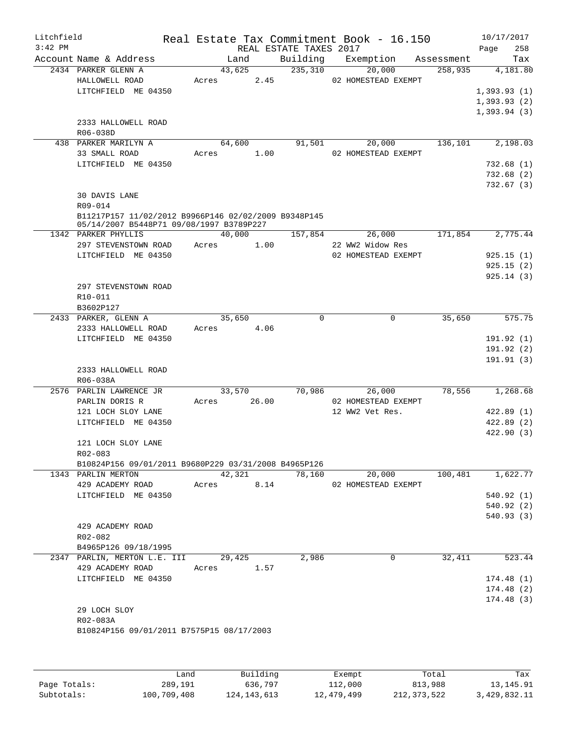| Litchfield |                                                      |                |                        | Real Estate Tax Commitment Book - 16.150 |            | 10/17/2017  |
|------------|------------------------------------------------------|----------------|------------------------|------------------------------------------|------------|-------------|
| $3:42$ PM  |                                                      |                | REAL ESTATE TAXES 2017 |                                          |            | Page<br>258 |
|            | Account Name & Address                               | Land           | Building               | Exemption                                | Assessment | Tax         |
|            | 2434 PARKER GLENN A                                  | 43,625         | 235,310                | 20,000                                   | 258,935    | 4,181.80    |
|            | HALLOWELL ROAD                                       | 2.45<br>Acres  |                        | 02 HOMESTEAD EXEMPT                      |            |             |
|            | LITCHFIELD ME 04350                                  |                |                        |                                          |            | 1,393.93(1) |
|            |                                                      |                |                        |                                          |            | 1,393.93(2) |
|            |                                                      |                |                        |                                          |            | 1,393.94(3) |
|            | 2333 HALLOWELL ROAD                                  |                |                        |                                          |            |             |
|            | R06-038D                                             |                |                        |                                          |            |             |
|            | 438 PARKER MARILYN A                                 | 64,600         | 91,501                 | 20,000                                   | 136,101    | 2,198.03    |
|            | 33 SMALL ROAD                                        | 1.00<br>Acres  |                        | 02 HOMESTEAD EXEMPT                      |            |             |
|            | LITCHFIELD ME 04350                                  |                |                        |                                          |            | 732.68(1)   |
|            |                                                      |                |                        |                                          |            | 732.68(2)   |
|            |                                                      |                |                        |                                          |            | 732.67(3)   |
|            | 30 DAVIS LANE                                        |                |                        |                                          |            |             |
|            | R09-014                                              |                |                        |                                          |            |             |
|            | B11217P157 11/02/2012 B9966P146 02/02/2009 B9348P145 |                |                        |                                          |            |             |
|            | 05/14/2007 B5448P71 09/08/1997 B3789P227             |                |                        |                                          |            |             |
|            | 1342 PARKER PHYLLIS                                  | 40,000         | 157,854                | 26,000                                   | 171,854    | 2,775.44    |
|            | 297 STEVENSTOWN ROAD                                 | Acres<br>1.00  |                        | 22 WW2 Widow Res                         |            |             |
|            | LITCHFIELD ME 04350                                  |                |                        | 02 HOMESTEAD EXEMPT                      |            | 925.15(1)   |
|            |                                                      |                |                        |                                          |            | 925.15(2)   |
|            |                                                      |                |                        |                                          |            | 925.14(3)   |
|            | 297 STEVENSTOWN ROAD                                 |                |                        |                                          |            |             |
|            | R10-011                                              |                |                        |                                          |            |             |
|            | B3602P127                                            |                |                        |                                          |            |             |
|            | 2433 PARKER, GLENN A                                 | 35,650         | 0                      | 0                                        | 35,650     | 575.75      |
|            | 2333 HALLOWELL ROAD                                  | 4.06<br>Acres  |                        |                                          |            |             |
|            | LITCHFIELD ME 04350                                  |                |                        |                                          |            | 191.92(1)   |
|            |                                                      |                |                        |                                          |            | 191.92 (2)  |
|            |                                                      |                |                        |                                          |            | 191.91(3)   |
|            | 2333 HALLOWELL ROAD                                  |                |                        |                                          |            |             |
|            |                                                      |                |                        |                                          |            |             |
|            | R06-038A                                             |                |                        |                                          |            |             |
|            | 2576 PARLIN LAWRENCE JR                              | 33,570         | 70,986                 | 26,000                                   | 78,556     | 1,268.68    |
|            | PARLIN DORIS R                                       | 26.00<br>Acres |                        | 02 HOMESTEAD EXEMPT                      |            |             |
|            | 121 LOCH SLOY LANE                                   |                |                        | 12 WW2 Vet Res.                          |            | 422.89(1)   |
|            | LITCHFIELD ME 04350                                  |                |                        |                                          |            | 422.89(2)   |
|            |                                                      |                |                        |                                          |            | 422.90(3)   |
|            | 121 LOCH SLOY LANE                                   |                |                        |                                          |            |             |
|            | R02-083                                              |                |                        |                                          |            |             |
|            | B10824P156 09/01/2011 B9680P229 03/31/2008 B4965P126 |                |                        |                                          |            |             |
|            | 1343 PARLIN MERTON                                   | 42,321         | 78,160                 | 20,000                                   | 100,481    | 1,622.77    |
|            | 429 ACADEMY ROAD                                     | 8.14<br>Acres  |                        | 02 HOMESTEAD EXEMPT                      |            |             |
|            | LITCHFIELD ME 04350                                  |                |                        |                                          |            | 540.92(1)   |
|            |                                                      |                |                        |                                          |            | 540.92 (2)  |
|            |                                                      |                |                        |                                          |            | 540.93(3)   |
|            | 429 ACADEMY ROAD                                     |                |                        |                                          |            |             |
|            | R02-082                                              |                |                        |                                          |            |             |
|            | B4965P126 09/18/1995                                 |                |                        |                                          |            |             |
|            | 2347 PARLIN, MERTON L.E. III                         | 29,425         | 2,986                  | 0                                        | 32,411     | 523.44      |
|            | 429 ACADEMY ROAD                                     | 1.57<br>Acres  |                        |                                          |            |             |
|            | LITCHFIELD ME 04350                                  |                |                        |                                          |            | 174.48(1)   |
|            |                                                      |                |                        |                                          |            | 174.48(2)   |
|            |                                                      |                |                        |                                          |            | 174.48(3)   |
|            | 29 LOCH SLOY                                         |                |                        |                                          |            |             |
|            | R02-083A                                             |                |                        |                                          |            |             |
|            |                                                      |                |                        |                                          |            |             |
|            | B10824P156 09/01/2011 B7575P15 08/17/2003            |                |                        |                                          |            |             |
|            |                                                      |                |                        |                                          |            |             |
|            |                                                      |                |                        |                                          |            |             |
|            |                                                      |                |                        |                                          |            |             |
|            |                                                      | D., 1144       |                        |                                          |            |             |

|              | Land        | Building    | Exempt     | Total       | Tax          |
|--------------|-------------|-------------|------------|-------------|--------------|
| Page Totals: | 289,191     | 636,797     | 112,000    | 813,988     | 13,145.91    |
| Subtotals:   | 100,709,408 | 124,143,613 | 12,479,499 | 212,373,522 | 3,429,832.11 |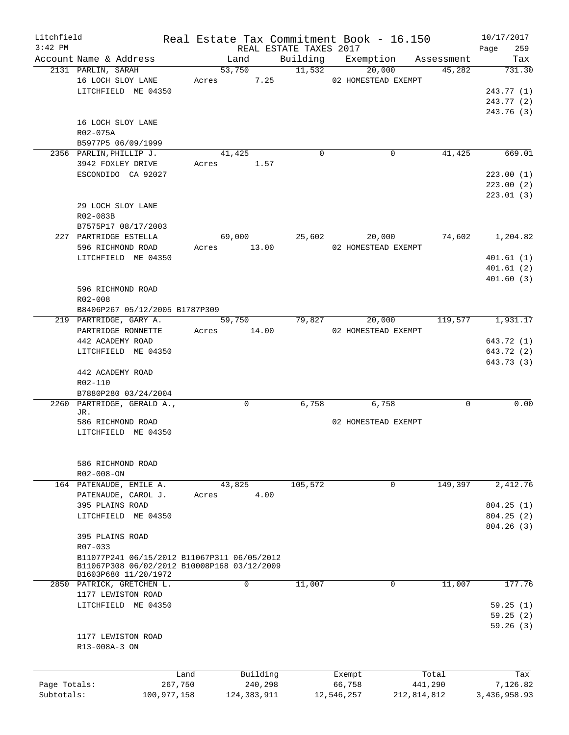| Litchfield   |                                                 |       |                |                        | Real Estate Tax Commitment Book - 16.150 |                                         | 10/17/2017    |
|--------------|-------------------------------------------------|-------|----------------|------------------------|------------------------------------------|-----------------------------------------|---------------|
| $3:42$ PM    |                                                 |       |                | REAL ESTATE TAXES 2017 |                                          |                                         | 259<br>Page   |
|              | Account Name & Address<br>2131 PARLIN, SARAH    |       | Land<br>53,750 | 11,532                 | 20,000                                   | Building Exemption Assessment<br>45,282 | Tax<br>731.30 |
|              | 16 LOCH SLOY LANE                               |       | 7.25<br>Acres  |                        | 02 HOMESTEAD EXEMPT                      |                                         |               |
|              | LITCHFIELD ME 04350                             |       |                |                        |                                          |                                         | 243.77 (1)    |
|              |                                                 |       |                |                        |                                          |                                         | 243.77 (2)    |
|              |                                                 |       |                |                        |                                          |                                         | 243.76 (3)    |
|              | 16 LOCH SLOY LANE                               |       |                |                        |                                          |                                         |               |
|              | R02-075A                                        |       |                |                        |                                          |                                         |               |
|              | B5977P5 06/09/1999                              |       |                |                        |                                          |                                         |               |
|              | 2356 PARLIN, PHILLIP J.                         |       | 41,425         | $\Omega$               |                                          | 0<br>41,425                             | 669.01        |
|              | 3942 FOXLEY DRIVE                               |       | 1.57<br>Acres  |                        |                                          |                                         |               |
|              | ESCONDIDO CA 92027                              |       |                |                        |                                          |                                         | 223.00(1)     |
|              |                                                 |       |                |                        |                                          |                                         | 223.00(2)     |
|              |                                                 |       |                |                        |                                          |                                         | 223.01(3)     |
|              | 29 LOCH SLOY LANE                               |       |                |                        |                                          |                                         |               |
|              | R02-083B                                        |       |                |                        |                                          |                                         |               |
|              | B7575P17 08/17/2003                             |       |                |                        |                                          |                                         |               |
|              | 227 PARTRIDGE ESTELLA                           |       | 69,000         | 25,602                 | 20,000                                   | 74,602                                  | 1,204.82      |
|              | 596 RICHMOND ROAD                               | Acres | 13.00          |                        | 02 HOMESTEAD EXEMPT                      |                                         |               |
|              | LITCHFIELD ME 04350                             |       |                |                        |                                          |                                         | 401.61(1)     |
|              |                                                 |       |                |                        |                                          |                                         | 401.61(2)     |
|              |                                                 |       |                |                        |                                          |                                         | 401.60(3)     |
|              | 596 RICHMOND ROAD                               |       |                |                        |                                          |                                         |               |
|              | R02-008                                         |       |                |                        |                                          |                                         |               |
|              | B8406P267 05/12/2005 B1787P309                  |       |                |                        |                                          |                                         |               |
|              | 219 PARTRIDGE, GARY A.                          |       | 59,750         | 79,827                 | 20,000                                   | 119,577                                 | 1,931.17      |
|              | PARTRIDGE RONNETTE                              |       | Acres 14.00    |                        | 02 HOMESTEAD EXEMPT                      |                                         |               |
|              | 442 ACADEMY ROAD                                |       |                |                        |                                          |                                         | 643.72 (1)    |
|              | LITCHFIELD ME 04350                             |       |                |                        |                                          |                                         | 643.72 (2)    |
|              |                                                 |       |                |                        |                                          |                                         | 643.73 (3)    |
|              | 442 ACADEMY ROAD                                |       |                |                        |                                          |                                         |               |
|              | R02-110                                         |       |                |                        |                                          |                                         |               |
|              | B7880P280 03/24/2004                            |       |                |                        |                                          |                                         |               |
|              | 2260 PARTRIDGE, GERALD A.,<br>JR.               |       | $\Omega$       | 6,758                  | 6,758                                    | $\Omega$                                | 0.00          |
|              | 586 RICHMOND ROAD                               |       |                |                        | 02 HOMESTEAD EXEMPT                      |                                         |               |
|              | LITCHFIELD ME 04350                             |       |                |                        |                                          |                                         |               |
|              |                                                 |       |                |                        |                                          |                                         |               |
|              |                                                 |       |                |                        |                                          |                                         |               |
|              | 586 RICHMOND ROAD                               |       |                |                        |                                          |                                         |               |
|              | $R02 - 008 - ON$                                |       |                |                        |                                          |                                         |               |
|              | 164 PATENAUDE, EMILE A.                         |       | 43,825         | 105,572                |                                          | 149,397<br>0                            | 2,412.76      |
|              | PATENAUDE, CAROL J.                             | Acres | 4.00           |                        |                                          |                                         |               |
|              | 395 PLAINS ROAD                                 |       |                |                        |                                          |                                         | 804.25(1)     |
|              | LITCHFIELD ME 04350                             |       |                |                        |                                          |                                         | 804.25(2)     |
|              |                                                 |       |                |                        |                                          |                                         | 804.26 (3)    |
|              | 395 PLAINS ROAD                                 |       |                |                        |                                          |                                         |               |
|              | R07-033                                         |       |                |                        |                                          |                                         |               |
|              | B11077P241 06/15/2012 B11067P311 06/05/2012     |       |                |                        |                                          |                                         |               |
|              | B11067P308 06/02/2012 B10008P168 03/12/2009     |       |                |                        |                                          |                                         |               |
|              | B1603P680 11/20/1972                            |       | $\mathbf 0$    |                        |                                          | 0                                       | 177.76        |
|              | 2850 PATRICK, GRETCHEN L.<br>1177 LEWISTON ROAD |       |                | 11,007                 |                                          | 11,007                                  |               |
|              | LITCHFIELD ME 04350                             |       |                |                        |                                          |                                         | 59.25(1)      |
|              |                                                 |       |                |                        |                                          |                                         | 59.25(2)      |
|              |                                                 |       |                |                        |                                          |                                         | 59.26(3)      |
|              | 1177 LEWISTON ROAD                              |       |                |                        |                                          |                                         |               |
|              | R13-008A-3 ON                                   |       |                |                        |                                          |                                         |               |
|              |                                                 |       |                |                        |                                          |                                         |               |
|              |                                                 |       |                |                        |                                          |                                         |               |
|              |                                                 | Land  | Building       |                        | Exempt                                   | Total                                   | Tax           |
| Page Totals: | 267,750                                         |       | 240,298        |                        | 66,758                                   | 441,290                                 | 7,126.82      |
| Subtotals:   | 100,977,158                                     |       | 124, 383, 911  |                        | 12,546,257                               | 212,814,812                             | 3,436,958.93  |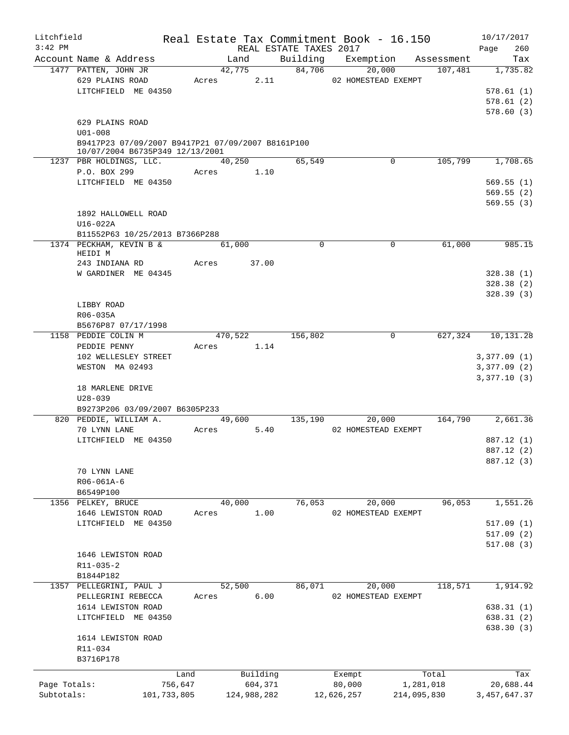| Litchfield<br>$3:42$ PM |                                                                                     |             |       |             |       | REAL ESTATE TAXES 2017 | Real Estate Tax Commitment Book - 16.150 |             |           | 10/17/2017<br>Page<br>260           |
|-------------------------|-------------------------------------------------------------------------------------|-------------|-------|-------------|-------|------------------------|------------------------------------------|-------------|-----------|-------------------------------------|
|                         | Account Name & Address                                                              |             |       | Land        |       |                        | Building Exemption Assessment            |             |           | Tax                                 |
|                         | 1477 PATTEN, JOHN JR                                                                |             |       | 42,775      |       | 84,706                 |                                          | 20,000      | 107,481   | 1,735.82                            |
|                         | 629 PLAINS ROAD<br>LITCHFIELD ME 04350                                              |             | Acres |             | 2.11  |                        | 02 HOMESTEAD EXEMPT                      |             |           | 578.61(1)<br>578.61(2)<br>578.60(3) |
|                         | 629 PLAINS ROAD<br>$U01 - 008$<br>B9417P23 07/09/2007 B9417P21 07/09/2007 B8161P100 |             |       |             |       |                        |                                          |             |           |                                     |
|                         | 10/07/2004 B6735P349 12/13/2001                                                     |             |       |             |       |                        |                                          |             |           |                                     |
|                         | 1237 PBR HOLDINGS, LLC.                                                             |             |       | 40,250      |       | 65,549                 |                                          | $\mathbf 0$ | 105,799   | 1,708.65                            |
|                         | P.O. BOX 299                                                                        |             | Acres |             | 1.10  |                        |                                          |             |           |                                     |
|                         | LITCHFIELD ME 04350                                                                 |             |       |             |       |                        |                                          |             |           | 569.55(1)<br>569.55(2)<br>569.55(3) |
|                         | 1892 HALLOWELL ROAD                                                                 |             |       |             |       |                        |                                          |             |           |                                     |
|                         | U16-022A                                                                            |             |       |             |       |                        |                                          |             |           |                                     |
|                         | B11552P63 10/25/2013 B7366P288                                                      |             |       |             |       |                        |                                          |             |           |                                     |
|                         | 1374 PECKHAM, KEVIN B &<br>HEIDI M                                                  |             |       | 61,000      |       | 0                      |                                          | 0           | 61,000    | 985.15                              |
|                         | 243 INDIANA RD                                                                      |             | Acres |             | 37.00 |                        |                                          |             |           |                                     |
|                         | W GARDINER ME 04345                                                                 |             |       |             |       |                        |                                          |             |           | 328.38(1)                           |
|                         |                                                                                     |             |       |             |       |                        |                                          |             |           | 328.38(2)                           |
|                         |                                                                                     |             |       |             |       |                        |                                          |             |           | 328.39(3)                           |
|                         | LIBBY ROAD                                                                          |             |       |             |       |                        |                                          |             |           |                                     |
|                         | R06-035A                                                                            |             |       |             |       |                        |                                          |             |           |                                     |
|                         | B5676P87 07/17/1998                                                                 |             |       |             |       |                        |                                          |             |           |                                     |
|                         | 1158 PEDDIE COLIN M                                                                 |             |       | 470,522     |       | 156,802                |                                          | $\mathbf 0$ | 627,324   | 10,131.28                           |
|                         | PEDDIE PENNY<br>102 WELLESLEY STREET                                                |             | Acres |             | 1.14  |                        |                                          |             |           | 3,377.09(1)                         |
|                         | WESTON MA 02493                                                                     |             |       |             |       |                        |                                          |             |           | 3,377.09(2)                         |
|                         |                                                                                     |             |       |             |       |                        |                                          |             |           | 3,377.10(3)                         |
|                         | 18 MARLENE DRIVE<br>$U28 - 039$                                                     |             |       |             |       |                        |                                          |             |           |                                     |
|                         | B9273P206 03/09/2007 B6305P233                                                      |             |       |             |       |                        |                                          |             |           |                                     |
|                         | 820 PEDDIE, WILLIAM A.                                                              |             |       | 49,600      |       | 135,190                |                                          | 20,000      | 164,790   | 2,661.36                            |
|                         | 70 LYNN LANE                                                                        |             | Acres |             | 5.40  |                        | 02 HOMESTEAD EXEMPT                      |             |           |                                     |
|                         | LITCHFIELD ME 04350                                                                 |             |       |             |       |                        |                                          |             |           | 887.12 (1)                          |
|                         |                                                                                     |             |       |             |       |                        |                                          |             |           | 887.12 (2)                          |
|                         | 70 LYNN LANE                                                                        |             |       |             |       |                        |                                          |             |           | 887.12 (3)                          |
|                         | R06-061A-6                                                                          |             |       |             |       |                        |                                          |             |           |                                     |
|                         | B6549P100                                                                           |             |       |             |       |                        |                                          |             |           |                                     |
| 1356                    | PELKEY, BRUCE                                                                       |             |       | 40,000      |       | 76,053                 |                                          | 20,000      | 96,053    | 1,551.26                            |
|                         | 1646 LEWISTON ROAD                                                                  |             | Acres |             | 1.00  |                        | 02 HOMESTEAD EXEMPT                      |             |           |                                     |
|                         | LITCHFIELD ME 04350                                                                 |             |       |             |       |                        |                                          |             |           | 517.09(1)                           |
|                         |                                                                                     |             |       |             |       |                        |                                          |             |           | 517.09 (2)                          |
|                         |                                                                                     |             |       |             |       |                        |                                          |             |           | 517.08 (3)                          |
|                         | 1646 LEWISTON ROAD<br>R11-035-2                                                     |             |       |             |       |                        |                                          |             |           |                                     |
|                         | B1844P182                                                                           |             |       |             |       |                        |                                          |             |           |                                     |
| 1357                    | PELLEGRINI, PAUL J                                                                  |             |       | 52,500      |       | 86,071                 |                                          | 20,000      | 118,571   | 1,914.92                            |
|                         | PELLEGRINI REBECCA                                                                  |             | Acres |             | 6.00  |                        | 02 HOMESTEAD EXEMPT                      |             |           |                                     |
|                         | 1614 LEWISTON ROAD                                                                  |             |       |             |       |                        |                                          |             |           | 638.31(1)                           |
|                         | LITCHFIELD ME 04350                                                                 |             |       |             |       |                        |                                          |             |           | 638.31 (2)                          |
|                         | 1614 LEWISTON ROAD                                                                  |             |       |             |       |                        |                                          |             |           | 638.30 (3)                          |
|                         | R11-034                                                                             |             |       |             |       |                        |                                          |             |           |                                     |
|                         | B3716P178                                                                           |             |       |             |       |                        |                                          |             |           |                                     |
|                         |                                                                                     | Land        |       | Building    |       |                        | Exempt                                   |             | Total     | Tax                                 |
| Page Totals:            |                                                                                     | 756,647     |       | 604,371     |       |                        | 80,000                                   |             | 1,281,018 | 20,688.44                           |
| Subtotals:              |                                                                                     | 101,733,805 |       | 124,988,282 |       |                        | 12,626,257                               | 214,095,830 |           | 3, 457, 647.37                      |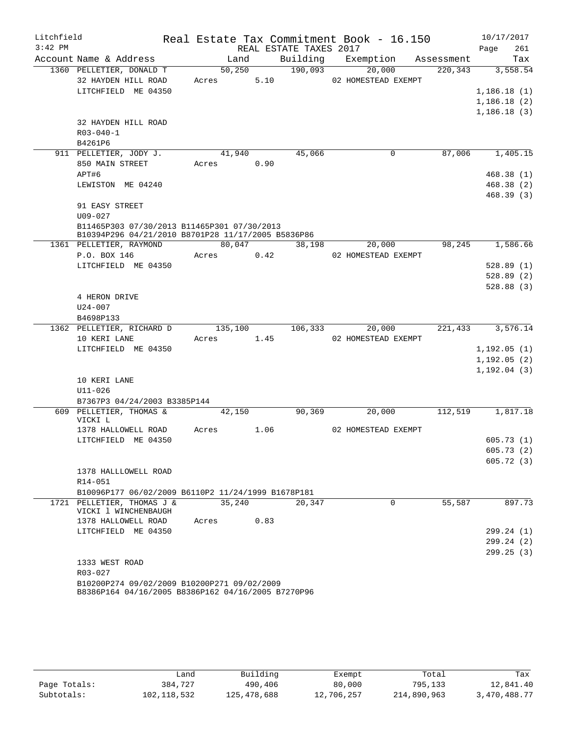| Litchfield<br>$3:42$ PM |                                                                                                   |            | REAL ESTATE TAXES 2017 | Real Estate Tax Commitment Book - 16.150 |            | 10/17/2017<br>Page<br>261 |
|-------------------------|---------------------------------------------------------------------------------------------------|------------|------------------------|------------------------------------------|------------|---------------------------|
|                         | Account Name & Address                                                                            | Land       | Building               | Exemption                                | Assessment | Tax                       |
|                         | 1360 PELLETIER, DONALD T                                                                          | 50, 250    | 190,093                | 20,000                                   | 220, 343   | 3,558.54                  |
|                         | 32 HAYDEN HILL ROAD                                                                               | Acres      | 5.10                   | 02 HOMESTEAD EXEMPT                      |            |                           |
|                         | LITCHFIELD ME 04350                                                                               |            |                        |                                          |            | 1,186.18(1)               |
|                         |                                                                                                   |            |                        |                                          |            | 1,186.18(2)               |
|                         |                                                                                                   |            |                        |                                          |            | 1,186.18(3)               |
|                         | 32 HAYDEN HILL ROAD                                                                               |            |                        |                                          |            |                           |
|                         | $R03 - 040 - 1$                                                                                   |            |                        |                                          |            |                           |
|                         | B4261P6                                                                                           |            |                        |                                          |            |                           |
|                         | 911 PELLETIER, JODY J.                                                                            | 41,940     | 45,066                 | 0                                        | 87,006     | 1,405.15                  |
|                         | 850 MAIN STREET                                                                                   | Acres 0.90 |                        |                                          |            |                           |
|                         | APT#6                                                                                             |            |                        |                                          |            | 468.38(1)                 |
|                         | LEWISTON ME 04240                                                                                 |            |                        |                                          |            | 468.38 (2)                |
|                         |                                                                                                   |            |                        |                                          |            | 468.39 (3)                |
|                         | 91 EASY STREET                                                                                    |            |                        |                                          |            |                           |
|                         | $U09 - 027$                                                                                       |            |                        |                                          |            |                           |
|                         | B11465P303 07/30/2013 B11465P301 07/30/2013<br>B10394P296 04/21/2010 B8701P28 11/17/2005 B5836P86 |            |                        |                                          |            |                           |
|                         | 1361 PELLETIER, RAYMOND                                                                           | 80,047     | 38,198                 | 20,000                                   | 98,245     | 1,586.66                  |
|                         | P.O. BOX 146                                                                                      | Acres      | 0.42                   | 02 HOMESTEAD EXEMPT                      |            |                           |
|                         | LITCHFIELD ME 04350                                                                               |            |                        |                                          |            | 528.89(1)                 |
|                         |                                                                                                   |            |                        |                                          |            | 528.89(2)                 |
|                         |                                                                                                   |            |                        |                                          |            | 528.88(3)                 |
|                         | 4 HERON DRIVE                                                                                     |            |                        |                                          |            |                           |
|                         | U24-007                                                                                           |            |                        |                                          |            |                           |
|                         | B4698P133                                                                                         |            |                        |                                          |            |                           |
|                         | 1362 PELLETIER, RICHARD D                                                                         | 135,100    | 106,333                | 20,000                                   | 221,433    | 3,576.14                  |
|                         | 10 KERI LANE                                                                                      | Acres      | 1.45                   | 02 HOMESTEAD EXEMPT                      |            |                           |
|                         | LITCHFIELD ME 04350                                                                               |            |                        |                                          |            | 1,192.05(1)               |
|                         |                                                                                                   |            |                        |                                          |            | 1, 192.05(2)              |
|                         |                                                                                                   |            |                        |                                          |            | 1, 192.04(3)              |
|                         | 10 KERI LANE                                                                                      |            |                        |                                          |            |                           |
|                         | $U11 - 026$                                                                                       |            |                        |                                          |            |                           |
|                         | B7367P3 04/24/2003 B3385P144                                                                      |            |                        |                                          |            |                           |
|                         | 609 PELLETIER, THOMAS &<br>VICKI L                                                                | 42,150     | 90,369                 | 20,000                                   | 112,519    | 1,817.18                  |
|                         | 1378 HALLOWELL ROAD                                                                               | Acres      | 1.06                   | 02 HOMESTEAD EXEMPT                      |            |                           |
|                         | LITCHFIELD ME 04350                                                                               |            |                        |                                          |            | 605.73(1)                 |
|                         |                                                                                                   |            |                        |                                          |            | 605.73 (2)                |
|                         |                                                                                                   |            |                        |                                          |            | 605.72(3)                 |
|                         | 1378 HALLLOWELL ROAD                                                                              |            |                        |                                          |            |                           |
|                         | R14-051                                                                                           |            |                        |                                          |            |                           |
|                         | B10096P177 06/02/2009 B6110P2 11/24/1999 B1678P181                                                |            |                        |                                          |            |                           |
|                         | 1721 PELLETIER, THOMAS J &<br>VICKI 1 WINCHENBAUGH                                                | 35,240     | 20,347                 | $\Omega$                                 | 55,587     | 897.73                    |
|                         | 1378 HALLOWELL ROAD                                                                               | Acres      | 0.83                   |                                          |            |                           |
|                         | LITCHFIELD ME 04350                                                                               |            |                        |                                          |            | 299.24 (1)                |
|                         |                                                                                                   |            |                        |                                          |            | 299.24 (2)                |
|                         |                                                                                                   |            |                        |                                          |            | 299.25(3)                 |
|                         | 1333 WEST ROAD                                                                                    |            |                        |                                          |            |                           |
|                         | R03-027                                                                                           |            |                        |                                          |            |                           |
|                         | B10200P274 09/02/2009 B10200P271 09/02/2009<br>B8386P164 04/16/2005 B8386P162 04/16/2005 B7270P96 |            |                        |                                          |            |                           |

|              | Land        | Building    | Exempt     | Total       | Tax          |
|--------------|-------------|-------------|------------|-------------|--------------|
| Page Totals: | 384,727     | 490,406     | 80,000     | 795,133     | 12,841.40    |
| Subtotals:   | 102,118,532 | 125,478,688 | 12,706,257 | 214,890,963 | 3,470,488.77 |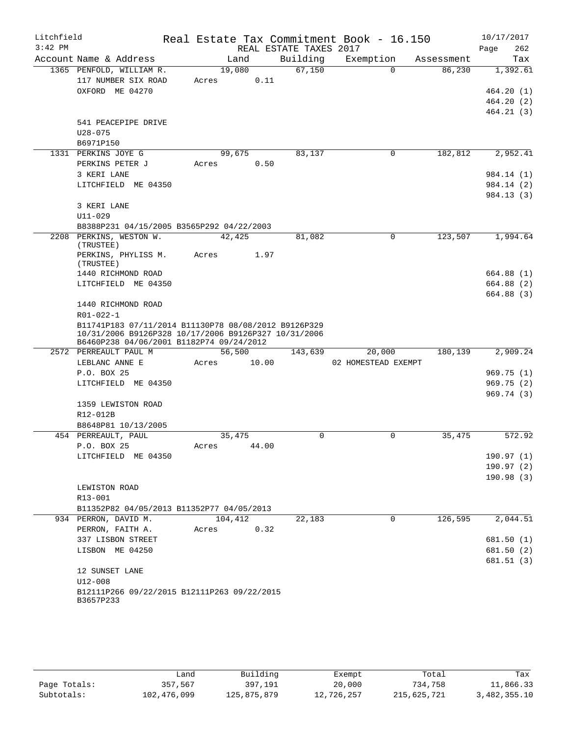| Litchfield<br>$3:42$ PM |                                                                                                                                                          |                 |       | REAL ESTATE TAXES 2017 | Real Estate Tax Commitment Book - 16.150 |            | 10/17/2017<br>262<br>Page |
|-------------------------|----------------------------------------------------------------------------------------------------------------------------------------------------------|-----------------|-------|------------------------|------------------------------------------|------------|---------------------------|
|                         | Account Name & Address                                                                                                                                   | Land            |       | Building               | Exemption                                | Assessment | Tax                       |
|                         | 1365 PENFOLD, WILLIAM R.                                                                                                                                 | 19,080          |       | 67,150                 | $\Omega$                                 | 86,230     | 1,392.61                  |
|                         | 117 NUMBER SIX ROAD                                                                                                                                      | Acres           | 0.11  |                        |                                          |            |                           |
|                         | OXFORD ME 04270                                                                                                                                          |                 |       |                        |                                          |            | 464.20(1)                 |
|                         |                                                                                                                                                          |                 |       |                        |                                          |            | 464.20(2)                 |
|                         |                                                                                                                                                          |                 |       |                        |                                          |            | 464.21(3)                 |
|                         | 541 PEACEPIPE DRIVE                                                                                                                                      |                 |       |                        |                                          |            |                           |
|                         | $U28 - 075$                                                                                                                                              |                 |       |                        |                                          |            |                           |
|                         | B6971P150                                                                                                                                                |                 |       |                        |                                          |            |                           |
|                         | 1331 PERKINS JOYE G<br>PERKINS PETER J                                                                                                                   | 99,675<br>Acres | 0.50  | 83,137                 | 0                                        | 182,812    | 2,952.41                  |
|                         | 3 KERI LANE                                                                                                                                              |                 |       |                        |                                          |            | 984.14 (1)                |
|                         | LITCHFIELD ME 04350                                                                                                                                      |                 |       |                        |                                          |            | 984.14 (2)                |
|                         |                                                                                                                                                          |                 |       |                        |                                          |            | 984.13 (3)                |
|                         | 3 KERI LANE                                                                                                                                              |                 |       |                        |                                          |            |                           |
|                         | $U11 - 029$                                                                                                                                              |                 |       |                        |                                          |            |                           |
|                         | B8388P231 04/15/2005 B3565P292 04/22/2003                                                                                                                |                 |       |                        |                                          |            |                           |
|                         | 2208 PERKINS, WESTON W.<br>(TRUSTEE)                                                                                                                     | 42,425          |       | 81,082                 | 0                                        | 123,507    | 1,994.64                  |
|                         | PERKINS, PHYLISS M.<br>(TRUSTEE)                                                                                                                         | Acres           | 1.97  |                        |                                          |            |                           |
|                         | 1440 RICHMOND ROAD                                                                                                                                       |                 |       |                        |                                          |            | 664.88 (1)                |
|                         | LITCHFIELD ME 04350                                                                                                                                      |                 |       |                        |                                          |            | 664.88 (2)                |
|                         |                                                                                                                                                          |                 |       |                        |                                          |            | 664.88 (3)                |
|                         | 1440 RICHMOND ROAD                                                                                                                                       |                 |       |                        |                                          |            |                           |
|                         | R01-022-1                                                                                                                                                |                 |       |                        |                                          |            |                           |
|                         | B11741P183 07/11/2014 B11130P78 08/08/2012 B9126P329<br>10/31/2006 B9126P328 10/17/2006 B9126P327 10/31/2006<br>B6460P238 04/06/2001 B1182P74 09/24/2012 |                 |       |                        |                                          |            |                           |
|                         | 2572 PERREAULT PAUL M                                                                                                                                    | 56,500          |       | 143,639                | 20,000                                   | 180, 139   | 2,909.24                  |
|                         | LEBLANC ANNE E                                                                                                                                           | Acres           | 10.00 |                        | 02 HOMESTEAD EXEMPT                      |            |                           |
|                         | P.O. BOX 25                                                                                                                                              |                 |       |                        |                                          |            | 969.75(1)                 |
|                         | LITCHFIELD ME 04350                                                                                                                                      |                 |       |                        |                                          |            | 969.75(2)                 |
|                         |                                                                                                                                                          |                 |       |                        |                                          |            | 969.74(3)                 |
|                         | 1359 LEWISTON ROAD                                                                                                                                       |                 |       |                        |                                          |            |                           |
|                         | R12-012B<br>B8648P81 10/13/2005                                                                                                                          |                 |       |                        |                                          |            |                           |
|                         | 454 PERREAULT, PAUL                                                                                                                                      | 35,475          |       | $\Omega$               | 0                                        | 35,475     | 572.92                    |
|                         | P.O. BOX 25                                                                                                                                              | Acres 44.00     |       |                        |                                          |            |                           |
|                         | LITCHFIELD ME 04350                                                                                                                                      |                 |       |                        |                                          |            | 190.97(1)                 |
|                         |                                                                                                                                                          |                 |       |                        |                                          |            | 190.97(2)                 |
|                         |                                                                                                                                                          |                 |       |                        |                                          |            | 190.98(3)                 |
|                         | LEWISTON ROAD                                                                                                                                            |                 |       |                        |                                          |            |                           |
|                         | R13-001                                                                                                                                                  |                 |       |                        |                                          |            |                           |
|                         | B11352P82 04/05/2013 B11352P77 04/05/2013                                                                                                                |                 |       |                        |                                          |            |                           |
|                         | 934 PERRON, DAVID M.                                                                                                                                     | 104,412         |       | 22,183                 | $\mathbf 0$                              | 126,595    | 2,044.51                  |
|                         | PERRON, FAITH A.                                                                                                                                         | Acres           | 0.32  |                        |                                          |            |                           |
|                         | 337 LISBON STREET                                                                                                                                        |                 |       |                        |                                          |            | 681.50 (1)                |
|                         | LISBON ME 04250                                                                                                                                          |                 |       |                        |                                          |            | 681.50 (2)<br>681.51(3)   |
|                         | 12 SUNSET LANE                                                                                                                                           |                 |       |                        |                                          |            |                           |
|                         | U12-008                                                                                                                                                  |                 |       |                        |                                          |            |                           |
|                         | B12111P266 09/22/2015 B12111P263 09/22/2015<br>B3657P233                                                                                                 |                 |       |                        |                                          |            |                           |
|                         |                                                                                                                                                          |                 |       |                        |                                          |            |                           |

|              | úand        | Building    | Exempt     | Total       | Tax          |
|--------------|-------------|-------------|------------|-------------|--------------|
| Page Totals: | 357,567     | 397,191     | 20,000     | 734.758     | 11,866.33    |
| Subtotals:   | 102,476,099 | 125,875,879 | 12,726,257 | 215,625,721 | 3,482,355.10 |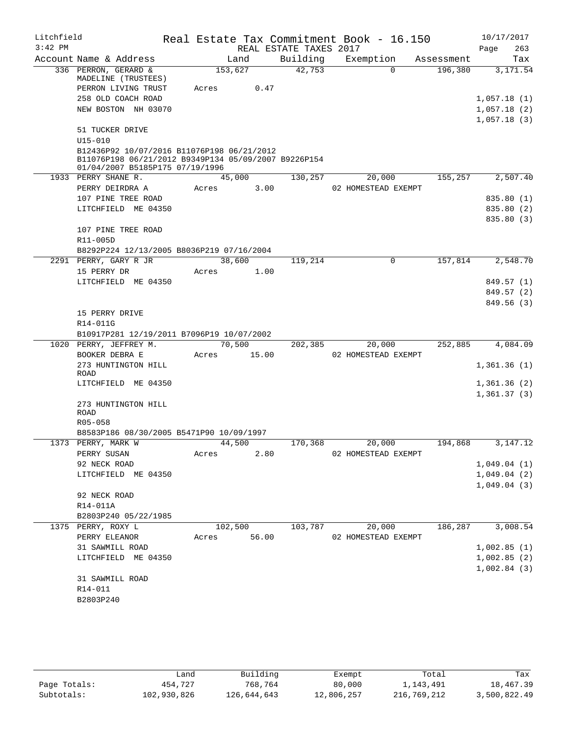| Litchfield |                                                                                                                                       |       |         |                        | Real Estate Tax Commitment Book - 16.150 |            | 10/17/2017                 |
|------------|---------------------------------------------------------------------------------------------------------------------------------------|-------|---------|------------------------|------------------------------------------|------------|----------------------------|
| $3:42$ PM  |                                                                                                                                       |       |         | REAL ESTATE TAXES 2017 |                                          |            | 263<br>Page                |
|            | Account Name & Address                                                                                                                |       | Land    | Building               | Exemption                                | Assessment | Tax                        |
|            | 336 PERRON, GERARD &<br>MADELINE (TRUSTEES)                                                                                           |       | 153,627 | 42,753                 | $\Omega$                                 | 196,380    | 3,171.54                   |
|            | PERRON LIVING TRUST                                                                                                                   | Acres | 0.47    |                        |                                          |            |                            |
|            | 258 OLD COACH ROAD                                                                                                                    |       |         |                        |                                          |            | 1,057.18(1)                |
|            | NEW BOSTON NH 03070                                                                                                                   |       |         |                        |                                          |            | 1,057.18(2)                |
|            |                                                                                                                                       |       |         |                        |                                          |            | 1,057.18(3)                |
|            | 51 TUCKER DRIVE<br>$U15 - 010$                                                                                                        |       |         |                        |                                          |            |                            |
|            | B12436P92 10/07/2016 B11076P198 06/21/2012<br>B11076P198 06/21/2012 B9349P134 05/09/2007 B9226P154<br>01/04/2007 B5185P175 07/19/1996 |       |         |                        |                                          |            |                            |
|            | 1933 PERRY SHANE R.                                                                                                                   |       | 45,000  | 130,257                | 20,000                                   | 155,257    | 2,507.40                   |
|            | PERRY DEIRDRA A                                                                                                                       | Acres | 3.00    |                        | 02 HOMESTEAD EXEMPT                      |            |                            |
|            | 107 PINE TREE ROAD                                                                                                                    |       |         |                        |                                          |            | 835.80 (1)                 |
|            | LITCHFIELD ME 04350                                                                                                                   |       |         |                        |                                          |            | 835.80 (2)                 |
|            |                                                                                                                                       |       |         |                        |                                          |            | 835.80 (3)                 |
|            | 107 PINE TREE ROAD                                                                                                                    |       |         |                        |                                          |            |                            |
|            | R11-005D                                                                                                                              |       |         |                        |                                          |            |                            |
|            | B8292P224 12/13/2005 B8036P219 07/16/2004                                                                                             |       |         |                        |                                          |            |                            |
|            | 2291 PERRY, GARY R JR                                                                                                                 |       | 38,600  | 119,214                | 0                                        | 157,814    | 2,548.70                   |
|            | 15 PERRY DR                                                                                                                           | Acres | 1.00    |                        |                                          |            |                            |
|            | LITCHFIELD ME 04350                                                                                                                   |       |         |                        |                                          |            | 849.57 (1)                 |
|            |                                                                                                                                       |       |         |                        |                                          |            | 849.57 (2)                 |
|            |                                                                                                                                       |       |         |                        |                                          |            | 849.56 (3)                 |
|            | 15 PERRY DRIVE<br>R14-011G                                                                                                            |       |         |                        |                                          |            |                            |
|            | B10917P281 12/19/2011 B7096P19 10/07/2002                                                                                             |       |         |                        |                                          |            |                            |
|            | 1020 PERRY, JEFFREY M.                                                                                                                |       | 70,500  | 202,385                | 20,000                                   | 252,885    | 4,084.09                   |
|            | BOOKER DEBRA E                                                                                                                        | Acres | 15.00   |                        | 02 HOMESTEAD EXEMPT                      |            |                            |
|            | 273 HUNTINGTON HILL                                                                                                                   |       |         |                        |                                          |            | 1,361.36(1)                |
|            | ROAD                                                                                                                                  |       |         |                        |                                          |            |                            |
|            | LITCHFIELD ME 04350                                                                                                                   |       |         |                        |                                          |            | 1,361.36(2)<br>1,361.37(3) |
|            | 273 HUNTINGTON HILL                                                                                                                   |       |         |                        |                                          |            |                            |
|            | ROAD                                                                                                                                  |       |         |                        |                                          |            |                            |
|            | R05-058                                                                                                                               |       |         |                        |                                          |            |                            |
|            | B8583P186 08/30/2005 B5471P90 10/09/1997                                                                                              |       |         |                        |                                          |            |                            |
|            | 1373 PERRY, MARK W                                                                                                                    |       | 44,500  | 170,368                | 20,000                                   | 194,868    | 3, 147. 12                 |
|            | PERRY SUSAN<br>92 NECK ROAD                                                                                                           | Acres | 2.80    |                        | 02 HOMESTEAD EXEMPT                      |            |                            |
|            | LITCHFIELD ME 04350                                                                                                                   |       |         |                        |                                          |            | 1,049.04(1)<br>1,049.04(2) |
|            |                                                                                                                                       |       |         |                        |                                          |            | 1,049.04(3)                |
|            | 92 NECK ROAD                                                                                                                          |       |         |                        |                                          |            |                            |
|            | R14-011A                                                                                                                              |       |         |                        |                                          |            |                            |
|            | B2803P240 05/22/1985                                                                                                                  |       |         |                        |                                          |            |                            |
|            | 1375 PERRY, ROXY L                                                                                                                    |       | 102,500 | 103,787                | 20,000                                   | 186,287    | 3,008.54                   |
|            | PERRY ELEANOR                                                                                                                         | Acres | 56.00   |                        | 02 HOMESTEAD EXEMPT                      |            |                            |
|            | 31 SAWMILL ROAD                                                                                                                       |       |         |                        |                                          |            | 1,002.85(1)                |
|            | LITCHFIELD ME 04350                                                                                                                   |       |         |                        |                                          |            | 1,002.85(2)                |
|            |                                                                                                                                       |       |         |                        |                                          |            | 1,002.84(3)                |
|            | 31 SAWMILL ROAD                                                                                                                       |       |         |                        |                                          |            |                            |
|            | R14-011                                                                                                                               |       |         |                        |                                          |            |                            |
|            | B2803P240                                                                                                                             |       |         |                        |                                          |            |                            |
|            |                                                                                                                                       |       |         |                        |                                          |            |                            |

|              | Land        | Building    | Exempt     | Total       | Tax          |
|--------------|-------------|-------------|------------|-------------|--------------|
| Page Totals: | 454,727     | 768,764     | 80,000     | 1,143,491   | 18,467.39    |
| Subtotals:   | 102,930,826 | 126,644,643 | 12,806,257 | 216,769,212 | 3,500,822.49 |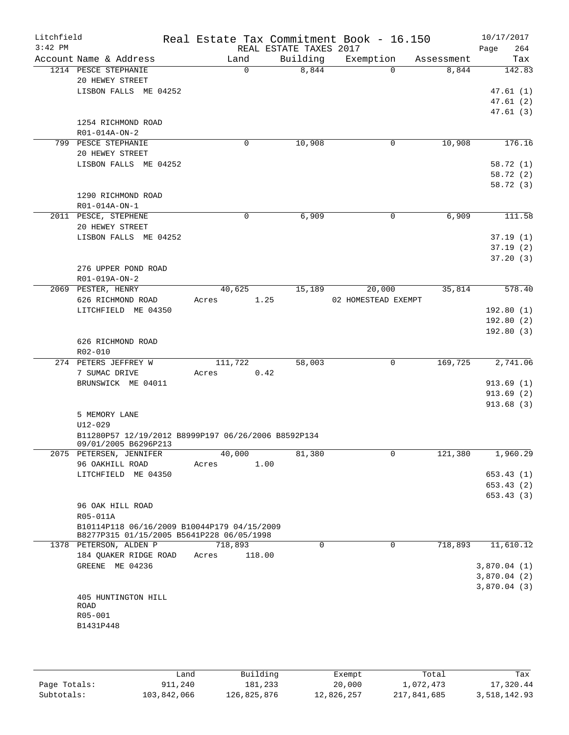| Litchfield<br>$3:42$ PM |                                                                             | Real Estate Tax Commitment Book - 16.150 | REAL ESTATE TAXES 2017 |                     |            | 10/17/2017<br>Page<br>264 |
|-------------------------|-----------------------------------------------------------------------------|------------------------------------------|------------------------|---------------------|------------|---------------------------|
|                         | Account Name & Address                                                      | Land                                     | Building               | Exemption           | Assessment | Tax                       |
|                         | 1214 PESCE STEPHANIE                                                        | $\Omega$                                 | 8,844                  | $\Omega$            | 8,844      | 142.83                    |
|                         | 20 HEWEY STREET                                                             |                                          |                        |                     |            |                           |
|                         | LISBON FALLS ME 04252                                                       |                                          |                        |                     |            | 47.61(1)                  |
|                         |                                                                             |                                          |                        |                     |            | 47.61(2)                  |
|                         |                                                                             |                                          |                        |                     |            | 47.61(3)                  |
|                         | 1254 RICHMOND ROAD                                                          |                                          |                        |                     |            |                           |
|                         | R01-014A-ON-2                                                               |                                          |                        |                     |            |                           |
|                         | 799 PESCE STEPHANIE                                                         | 0                                        | 10,908                 | 0                   | 10,908     | 176.16                    |
|                         | 20 HEWEY STREET<br>LISBON FALLS ME 04252                                    |                                          |                        |                     |            | 58.72 (1)                 |
|                         |                                                                             |                                          |                        |                     |            | 58.72 (2)                 |
|                         |                                                                             |                                          |                        |                     |            | 58.72 (3)                 |
|                         | 1290 RICHMOND ROAD                                                          |                                          |                        |                     |            |                           |
|                         | R01-014A-ON-1                                                               |                                          |                        |                     |            |                           |
|                         | 2011 PESCE, STEPHENE                                                        | 0                                        | 6,909                  | 0                   | 6,909      | 111.58                    |
|                         | 20 HEWEY STREET                                                             |                                          |                        |                     |            |                           |
|                         | LISBON FALLS ME 04252                                                       |                                          |                        |                     |            | 37.19(1)                  |
|                         |                                                                             |                                          |                        |                     |            | 37.19(2)                  |
|                         |                                                                             |                                          |                        |                     |            | 37.20(3)                  |
|                         | 276 UPPER POND ROAD                                                         |                                          |                        |                     |            |                           |
|                         | R01-019A-ON-2                                                               |                                          |                        |                     |            |                           |
|                         | 2069 PESTER, HENRY                                                          | 40,625                                   | 15,189                 | 20,000              | 35,814     | 578.40                    |
|                         | 626 RICHMOND ROAD                                                           | 1.25<br>Acres                            |                        | 02 HOMESTEAD EXEMPT |            |                           |
|                         | LITCHFIELD ME 04350                                                         |                                          |                        |                     |            | 192.80(1)                 |
|                         |                                                                             |                                          |                        |                     |            | 192.80(2)                 |
|                         |                                                                             |                                          |                        |                     |            | 192.80(3)                 |
|                         | 626 RICHMOND ROAD                                                           |                                          |                        |                     |            |                           |
|                         | R02-010<br>274 PETERS JEFFREY W                                             | 111,722                                  | 58,003                 | 0                   | 169,725    | 2,741.06                  |
|                         | 7 SUMAC DRIVE                                                               | 0.42<br>Acres                            |                        |                     |            |                           |
|                         | BRUNSWICK ME 04011                                                          |                                          |                        |                     |            | 913.69(1)                 |
|                         |                                                                             |                                          |                        |                     |            | 913.69(2)                 |
|                         |                                                                             |                                          |                        |                     |            | 913.68 (3)                |
|                         | 5 MEMORY LANE                                                               |                                          |                        |                     |            |                           |
|                         | $U12 - 029$                                                                 |                                          |                        |                     |            |                           |
|                         | B11280P57 12/19/2012 B8999P197 06/26/2006 B8592P134<br>09/01/2005 B6296P213 |                                          |                        |                     |            |                           |
|                         | 2075 PETERSEN, JENNIFER                                                     | 40,000                                   | 81,380                 | 0                   | 121,380    | 1,960.29                  |
|                         | 96 OAKHILL ROAD                                                             | 1.00<br>Acres                            |                        |                     |            |                           |
|                         | LITCHFIELD ME 04350                                                         |                                          |                        |                     |            | 653.43(1)                 |
|                         |                                                                             |                                          |                        |                     |            | 653.43 (2)                |
|                         |                                                                             |                                          |                        |                     |            | 653.43(3)                 |
|                         | 96 OAK HILL ROAD                                                            |                                          |                        |                     |            |                           |
|                         | R05-011A<br>B10114P118 06/16/2009 B10044P179 04/15/2009                     |                                          |                        |                     |            |                           |
|                         | B8277P315 01/15/2005 B5641P228 06/05/1998                                   |                                          |                        |                     |            |                           |
|                         | 1378 PETERSON, ALDEN P                                                      | 718,893                                  | 0                      | $\mathbf 0$         | 718,893    | 11,610.12                 |
|                         | 184 QUAKER RIDGE ROAD                                                       | 118.00<br>Acres                          |                        |                     |            |                           |
|                         | GREENE ME 04236                                                             |                                          |                        |                     |            | 3,870.04(1)               |
|                         |                                                                             |                                          |                        |                     |            | 3,870.04(2)               |
|                         |                                                                             |                                          |                        |                     |            | 3,870.04(3)               |
|                         | 405 HUNTINGTON HILL                                                         |                                          |                        |                     |            |                           |
|                         | ROAD<br>R05-001                                                             |                                          |                        |                     |            |                           |
|                         | B1431P448                                                                   |                                          |                        |                     |            |                           |
|                         |                                                                             |                                          |                        |                     |            |                           |
|                         |                                                                             |                                          |                        |                     |            |                           |
|                         |                                                                             |                                          |                        |                     |            |                           |

|              | Land        | Building    | Exempt     | Total       | Tax          |
|--------------|-------------|-------------|------------|-------------|--------------|
| Paqe Totals: | 911,240     | 181,233     | 20,000     | 1,072,473   | 17,320.44    |
| Subtotals:   | 103,842,066 | 126,825,876 | 12,826,257 | 217,841,685 | 3,518,142.93 |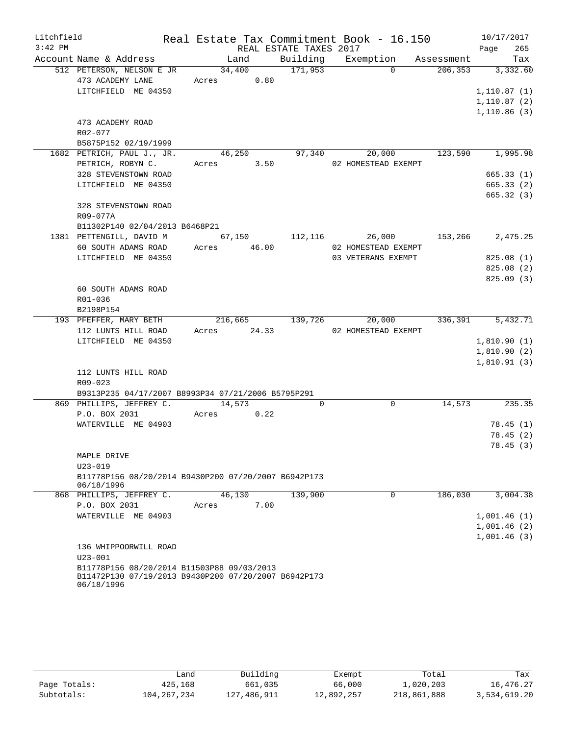| Litchfield |                                                      |             |                    |                        | Real Estate Tax Commitment Book - 16.150 |         | 10/17/2017          |
|------------|------------------------------------------------------|-------------|--------------------|------------------------|------------------------------------------|---------|---------------------|
| $3:42$ PM  |                                                      |             |                    | REAL ESTATE TAXES 2017 |                                          |         | 265<br>Page         |
|            | Account Name & Address                               |             | Land               |                        | Building Exemption Assessment            |         | Tax                 |
|            | 512 PETERSON, NELSON E JR                            | 34,400      |                    | $\frac{171,953}{ }$    | $\Omega$                                 |         | 206, 353 3, 332.60  |
|            | 473 ACADEMY LANE Acres 0.80                          |             |                    |                        |                                          |         |                     |
|            | LITCHFIELD ME 04350                                  |             |                    |                        |                                          |         | 1,110.87(1)         |
|            |                                                      |             |                    |                        |                                          |         | 1,110.87(2)         |
|            |                                                      |             |                    |                        |                                          |         | 1,110.86(3)         |
|            | 473 ACADEMY ROAD                                     |             |                    |                        |                                          |         |                     |
|            | R02-077                                              |             |                    |                        |                                          |         |                     |
|            | B5875P152 02/19/1999                                 |             |                    |                        |                                          |         |                     |
|            | 1682 PETRICH, PAUL J., JR.                           |             | $\frac{46,250}{ }$ | 97,340                 | 20,000                                   |         | 123,590 1,995.98    |
|            | PETRICH, ROBYN C.                                    | Acres 3.50  |                    |                        | 02 HOMESTEAD EXEMPT                      |         |                     |
|            | 328 STEVENSTOWN ROAD                                 |             |                    |                        |                                          |         | 665.33(1)           |
|            | LITCHFIELD ME 04350                                  |             |                    |                        |                                          |         | 665.33(2)           |
|            |                                                      |             |                    |                        |                                          |         | 665.32(3)           |
|            | 328 STEVENSTOWN ROAD                                 |             |                    |                        |                                          |         |                     |
|            | R09-077A                                             |             |                    |                        |                                          |         |                     |
|            | B11302P140 02/04/2013 B6468P21                       |             |                    |                        |                                          |         |                     |
|            | 1381 PETTENGILL, DAVID M                             |             | 67,150             | 112,116                | 26,000                                   |         | 153,266 2,475.25    |
|            | 60 SOUTH ADAMS ROAD                                  | Acres 46.00 |                    |                        | 02 HOMESTEAD EXEMPT                      |         |                     |
|            | LITCHFIELD ME 04350                                  |             |                    |                        | 03 VETERANS EXEMPT                       |         | 825.08(1)           |
|            |                                                      |             |                    |                        |                                          |         | 825.08(2)           |
|            |                                                      |             |                    |                        |                                          |         | 825.09(3)           |
|            | 60 SOUTH ADAMS ROAD                                  |             |                    |                        |                                          |         |                     |
|            | R01-036                                              |             |                    |                        |                                          |         |                     |
|            | B2198P154                                            |             |                    |                        |                                          |         |                     |
|            | 193 PFEFFER, MARY BETH                               |             |                    |                        | 216,665 139,726 20,000                   |         | 336, 391 5, 432. 71 |
|            | 112 LUNTS HILL ROAD                                  | Acres 24.33 |                    |                        | 02 HOMESTEAD EXEMPT                      |         |                     |
|            | LITCHFIELD ME 04350                                  |             |                    |                        |                                          |         | 1,810.90(1)         |
|            |                                                      |             |                    |                        |                                          |         | 1,810.90(2)         |
|            |                                                      |             |                    |                        |                                          |         | 1,810.91(3)         |
|            | 112 LUNTS HILL ROAD                                  |             |                    |                        |                                          |         |                     |
|            | R09-023                                              |             |                    |                        |                                          |         |                     |
|            | B9313P235 04/17/2007 B8993P34 07/21/2006 B5795P291   |             |                    |                        |                                          |         |                     |
|            | 869 PHILLIPS, JEFFREY C. 14,573                      |             |                    | $\Omega$               | $\Omega$                                 | 14,573  | 235.35              |
|            | P.O. BOX 2031 Acres 0.22                             |             |                    |                        |                                          |         |                     |
|            | WATERVILLE ME 04903                                  |             |                    |                        |                                          |         | 78.45(1)            |
|            |                                                      |             |                    |                        |                                          |         | 78.45(2)            |
|            |                                                      |             |                    |                        |                                          |         | 78.45 (3)           |
|            | MAPLE DRIVE                                          |             |                    |                        |                                          |         |                     |
|            | $U23 - 019$                                          |             |                    |                        |                                          |         |                     |
|            | B11778P156 08/20/2014 B9430P200 07/20/2007 B6942P173 |             |                    |                        |                                          |         |                     |
|            | 06/18/1996                                           |             |                    |                        |                                          |         |                     |
|            | 868 PHILLIPS, JEFFREY C.                             |             | 46,130             | 139,900                | 0                                        | 186,030 | 3,004.38            |
|            | P.O. BOX 2031                                        | Acres       | 7.00               |                        |                                          |         |                     |
|            | WATERVILLE ME 04903                                  |             |                    |                        |                                          |         | 1,001.46(1)         |
|            |                                                      |             |                    |                        |                                          |         | 1,001.46(2)         |
|            |                                                      |             |                    |                        |                                          |         | 1,001.46(3)         |
|            | 136 WHIPPOORWILL ROAD                                |             |                    |                        |                                          |         |                     |
|            | $U23 - 001$                                          |             |                    |                        |                                          |         |                     |
|            | B11778P156 08/20/2014 B11503P88 09/03/2013           |             |                    |                        |                                          |         |                     |
|            | B11472P130 07/19/2013 B9430P200 07/20/2007 B6942P173 |             |                    |                        |                                          |         |                     |
|            | 06/18/1996                                           |             |                    |                        |                                          |         |                     |

|              | Land        | Building    | Exempt     | Total       | Tax          |
|--------------|-------------|-------------|------------|-------------|--------------|
| Page Totals: | 425,168     | 661,035     | 66,000     | 1,020,203   | 16,476.27    |
| Subtotals:   | 104,267,234 | 127,486,911 | 12,892,257 | 218,861,888 | 3,534,619.20 |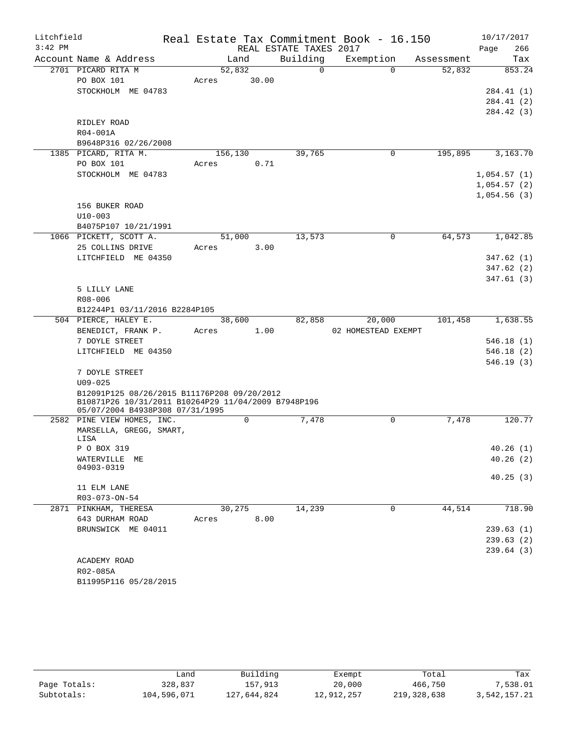| Litchfield |                                                                                        |         |         |      |                        | Real Estate Tax Commitment Book - 16.150 |            |      | 10/17/2017  |
|------------|----------------------------------------------------------------------------------------|---------|---------|------|------------------------|------------------------------------------|------------|------|-------------|
| $3:42$ PM  |                                                                                        |         |         |      | REAL ESTATE TAXES 2017 |                                          |            | Page | 266         |
|            | Account Name & Address                                                                 |         | Land    |      | Building               | Exemption                                | Assessment |      | Tax         |
|            | 2701 PICARD RITA M                                                                     |         | 52,832  |      | $\overline{0}$         | $\Omega$                                 | 52,832     |      | 853.24      |
|            | PO BOX 101                                                                             | Acres   | 30.00   |      |                        |                                          |            |      |             |
|            | STOCKHOLM ME 04783                                                                     |         |         |      |                        |                                          |            |      | 284.41 (1)  |
|            |                                                                                        |         |         |      |                        |                                          |            |      | 284.41 (2)  |
|            |                                                                                        |         |         |      |                        |                                          |            |      | 284.42 (3)  |
|            | RIDLEY ROAD                                                                            |         |         |      |                        |                                          |            |      |             |
|            | R04-001A                                                                               |         |         |      |                        |                                          |            |      |             |
|            | B9648P316 02/26/2008                                                                   |         |         |      |                        |                                          |            |      |             |
|            | 1385 PICARD, RITA M.                                                                   | 156,130 |         |      | 39,765                 | $\mathbf 0$                              | 195,895    |      | 3,163.70    |
|            | PO BOX 101                                                                             | Acres   |         | 0.71 |                        |                                          |            |      |             |
|            | STOCKHOLM ME 04783                                                                     |         |         |      |                        |                                          |            |      | 1,054.57(1) |
|            |                                                                                        |         |         |      |                        |                                          |            |      | 1,054.57(2) |
|            |                                                                                        |         |         |      |                        |                                          |            |      | 1,054.56(3) |
|            | 156 BUKER ROAD                                                                         |         |         |      |                        |                                          |            |      |             |
|            | $U10 - 003$                                                                            |         |         |      |                        |                                          |            |      |             |
|            | B4075P107 10/21/1991                                                                   |         |         |      |                        |                                          |            |      |             |
|            | 1066 PICKETT, SCOTT A.                                                                 |         | 51,000  |      | 13,573                 | $\Omega$                                 | 64,573     |      | 1,042.85    |
|            | 25 COLLINS DRIVE                                                                       | Acres   |         | 3.00 |                        |                                          |            |      |             |
|            | LITCHFIELD ME 04350                                                                    |         |         |      |                        |                                          |            |      | 347.62(1)   |
|            |                                                                                        |         |         |      |                        |                                          |            |      | 347.62(2)   |
|            |                                                                                        |         |         |      |                        |                                          |            |      | 347.61(3)   |
|            | 5 LILLY LANE                                                                           |         |         |      |                        |                                          |            |      |             |
|            | R08-006                                                                                |         |         |      |                        |                                          |            |      |             |
|            | B12244P1 03/11/2016 B2284P105<br>504 PIERCE, HALEY E.                                  |         | 38,600  |      | 82,858                 | 20,000                                   | 101,458    |      | 1,638.55    |
|            | BENEDICT, FRANK P.                                                                     | Acres   |         | 1.00 |                        | 02 HOMESTEAD EXEMPT                      |            |      |             |
|            | 7 DOYLE STREET                                                                         |         |         |      |                        |                                          |            |      | 546.18(1)   |
|            | LITCHFIELD ME 04350                                                                    |         |         |      |                        |                                          |            |      | 546.18(2)   |
|            |                                                                                        |         |         |      |                        |                                          |            |      | 546.19(3)   |
|            | 7 DOYLE STREET                                                                         |         |         |      |                        |                                          |            |      |             |
|            | $U09 - 025$                                                                            |         |         |      |                        |                                          |            |      |             |
|            | B12091P125 08/26/2015 B11176P208 09/20/2012                                            |         |         |      |                        |                                          |            |      |             |
|            | B10871P26 10/31/2011 B10264P29 11/04/2009 B7948P196<br>05/07/2004 B4938P308 07/31/1995 |         |         |      |                        |                                          |            |      |             |
|            | 2582 PINE VIEW HOMES, INC.                                                             |         | 0       |      | 7,478                  | 0                                        | 7,478      |      | 120.77      |
|            | MARSELLA, GREGG, SMART,                                                                |         |         |      |                        |                                          |            |      |             |
|            | LISA                                                                                   |         |         |      |                        |                                          |            |      |             |
|            | P O BOX 319                                                                            |         |         |      |                        |                                          |            |      | 40.26(1)    |
|            | WATERVILLE ME<br>04903-0319                                                            |         |         |      |                        |                                          |            |      | 40.26(2)    |
|            |                                                                                        |         |         |      |                        |                                          |            |      | 40.25(3)    |
|            | 11 ELM LANE                                                                            |         |         |      |                        |                                          |            |      |             |
|            | R03-073-ON-54                                                                          |         |         |      |                        |                                          |            |      |             |
|            | 2871 PINKHAM, THERESA                                                                  |         | 30, 275 |      | 14,239                 | $\mathbf 0$                              | 44,514     |      | 718.90      |
|            | 643 DURHAM ROAD                                                                        | Acres   |         | 8.00 |                        |                                          |            |      |             |
|            | BRUNSWICK ME 04011                                                                     |         |         |      |                        |                                          |            |      | 239.63(1)   |
|            |                                                                                        |         |         |      |                        |                                          |            |      | 239.63(2)   |
|            |                                                                                        |         |         |      |                        |                                          |            |      | 239.64(3)   |
|            | ACADEMY ROAD                                                                           |         |         |      |                        |                                          |            |      |             |
|            | R02-085A                                                                               |         |         |      |                        |                                          |            |      |             |
|            | B11995P116 05/28/2015                                                                  |         |         |      |                        |                                          |            |      |             |

|              | Land        | Building    | Exempt     | Total       | Tax          |
|--------------|-------------|-------------|------------|-------------|--------------|
| Page Totals: | 328,837     | 157,913     | 20,000     | 466,750     | 7,538.01     |
| Subtotals:   | 104,596,071 | 127,644,824 | 12,912,257 | 219,328,638 | 3,542,157.21 |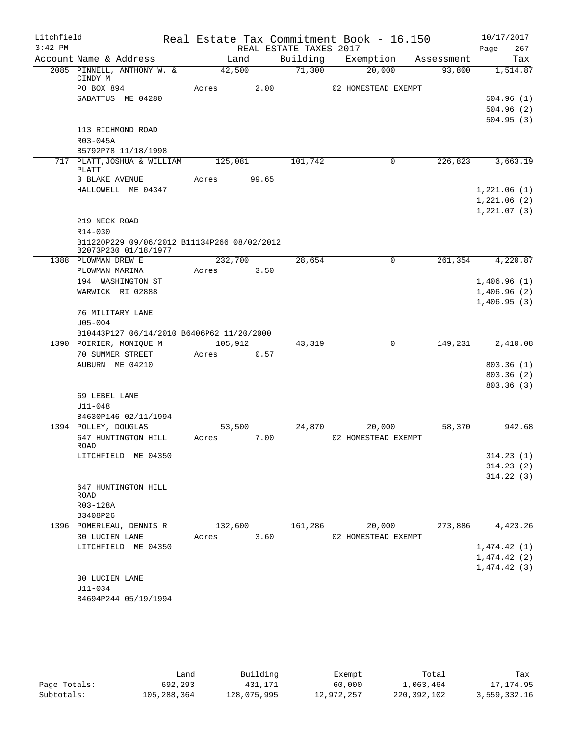| Litchfield |                                                                     |         |       |                        | Real Estate Tax Commitment Book - 16.150 |            | 10/17/2017                 |
|------------|---------------------------------------------------------------------|---------|-------|------------------------|------------------------------------------|------------|----------------------------|
| $3:42$ PM  |                                                                     |         |       | REAL ESTATE TAXES 2017 |                                          |            | 267<br>Page                |
|            | Account Name & Address                                              | Land    |       | Building               | Exemption                                | Assessment | Tax                        |
|            | 2085 PINNELL, ANTHONY W. &<br>CINDY M                               | 42,500  |       | 71,300                 | 20,000                                   | 93,800     | 1,514.87                   |
|            | PO BOX 894                                                          | Acres   | 2.00  |                        | 02 HOMESTEAD EXEMPT                      |            |                            |
|            | SABATTUS ME 04280                                                   |         |       |                        |                                          |            | 504.96(1)                  |
|            |                                                                     |         |       |                        |                                          |            | 504.96(2)                  |
|            |                                                                     |         |       |                        |                                          |            | 504.95(3)                  |
|            | 113 RICHMOND ROAD                                                   |         |       |                        |                                          |            |                            |
|            | R03-045A                                                            |         |       |                        |                                          |            |                            |
|            | B5792P78 11/18/1998                                                 |         |       |                        |                                          |            |                            |
|            | 717 PLATT, JOSHUA & WILLIAM<br>PLATT                                | 125,081 |       | 101,742                | $\mathbf{0}$                             | 226,823    | 3,663.19                   |
|            | 3 BLAKE AVENUE                                                      | Acres   | 99.65 |                        |                                          |            |                            |
|            | HALLOWELL ME 04347                                                  |         |       |                        |                                          |            | 1,221.06(1)                |
|            |                                                                     |         |       |                        |                                          |            | 1,221.06(2)                |
|            |                                                                     |         |       |                        |                                          |            | 1,221.07(3)                |
|            | 219 NECK ROAD                                                       |         |       |                        |                                          |            |                            |
|            | R14-030                                                             |         |       |                        |                                          |            |                            |
|            | B11220P229 09/06/2012 B11134P266 08/02/2012<br>B2073P230 01/18/1977 |         |       |                        |                                          |            |                            |
|            | 1388 PLOWMAN DREW E                                                 | 232,700 |       | 28,654                 | 0                                        | 261,354    | 4,220.87                   |
|            | PLOWMAN MARINA                                                      | Acres   | 3.50  |                        |                                          |            |                            |
|            | 194 WASHINGTON ST<br>WARWICK RI 02888                               |         |       |                        |                                          |            | 1,406.96(1)<br>1,406.96(2) |
|            |                                                                     |         |       |                        |                                          |            | 1,406.95(3)                |
|            | 76 MILITARY LANE                                                    |         |       |                        |                                          |            |                            |
|            | $U05 - 004$                                                         |         |       |                        |                                          |            |                            |
|            | B10443P127 06/14/2010 B6406P62 11/20/2000                           |         |       |                        |                                          |            |                            |
|            | 1390 POIRIER, MONIQUE M                                             | 105,912 |       | 43,319                 | 0                                        | 149,231    | 2,410.08                   |
|            | 70 SUMMER STREET                                                    | Acres   | 0.57  |                        |                                          |            |                            |
|            | AUBURN ME 04210                                                     |         |       |                        |                                          |            | 803.36(1)                  |
|            |                                                                     |         |       |                        |                                          |            | 803.36 (2)                 |
|            | 69 LEBEL LANE                                                       |         |       |                        |                                          |            | 803.36(3)                  |
|            | $U11 - 048$                                                         |         |       |                        |                                          |            |                            |
|            | B4630P146 02/11/1994                                                |         |       |                        |                                          |            |                            |
|            | 1394 POLLEY, DOUGLAS                                                | 53,500  |       | 24,870                 | 20,000                                   | 58,370     | 942.68                     |
|            | 647 HUNTINGTON HILL                                                 | Acres   | 7.00  |                        | 02 HOMESTEAD EXEMPT                      |            |                            |
|            | ROAD                                                                |         |       |                        |                                          |            |                            |
|            | LITCHFIELD ME 04350                                                 |         |       |                        |                                          |            | 314.23(1)                  |
|            |                                                                     |         |       |                        |                                          |            | 314.23(2)<br>314.22(3)     |
|            | 647 HUNTINGTON HILL                                                 |         |       |                        |                                          |            |                            |
|            | ROAD                                                                |         |       |                        |                                          |            |                            |
|            | R03-128A                                                            |         |       |                        |                                          |            |                            |
|            | B3408P26                                                            |         |       |                        |                                          |            |                            |
|            | 1396 POMERLEAU, DENNIS R                                            | 132,600 |       | 161,286                | 20,000                                   | 273,886    | 4,423.26                   |
|            | 30 LUCIEN LANE                                                      | Acres   | 3.60  |                        | 02 HOMESTEAD EXEMPT                      |            |                            |
|            | LITCHFIELD ME 04350                                                 |         |       |                        |                                          |            | 1,474.42(1)<br>1,474.42(2) |
|            |                                                                     |         |       |                        |                                          |            | 1,474.42(3)                |
|            | 30 LUCIEN LANE                                                      |         |       |                        |                                          |            |                            |
|            | U11-034                                                             |         |       |                        |                                          |            |                            |
|            | B4694P244 05/19/1994                                                |         |       |                        |                                          |            |                            |
|            |                                                                     |         |       |                        |                                          |            |                            |
|            |                                                                     |         |       |                        |                                          |            |                            |

|              | Land        | Building    | Exempt     | Total         | Tax          |
|--------------|-------------|-------------|------------|---------------|--------------|
| Page Totals: | 692,293     | 431,171     | 60,000     | 1,063,464     | 17,174.95    |
| Subtotals:   | 105,288,364 | 128,075,995 | 12,972,257 | 220, 392, 102 | 3,559,332.16 |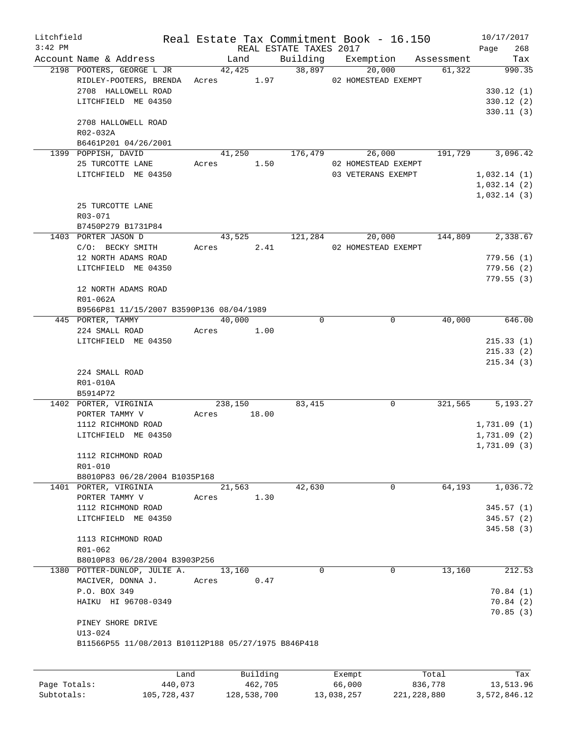| Litchfield |                                                     |            |            |          |                        | Real Estate Tax Commitment Book - 16.150 |                               |             | 10/17/2017             |
|------------|-----------------------------------------------------|------------|------------|----------|------------------------|------------------------------------------|-------------------------------|-------------|------------------------|
| $3:42$ PM  |                                                     |            |            |          | REAL ESTATE TAXES 2017 |                                          |                               | Page        | 268                    |
|            | Account Name & Address                              |            | Land       |          |                        |                                          | Building Exemption Assessment |             | Tax                    |
|            | 2198 POOTERS, GEORGE L JR                           |            | 42,425     |          | 38,897                 | 20,000                                   | 61,322                        |             | 990.35                 |
|            | RIDLEY-POOTERS, BRENDA Acres 1.97                   |            |            |          |                        | 02 HOMESTEAD EXEMPT                      |                               |             |                        |
|            | 2708 HALLOWELL ROAD<br>LITCHFIELD ME 04350          |            |            |          |                        |                                          |                               |             | 330.12(1)              |
|            |                                                     |            |            |          |                        |                                          |                               |             | 330.12(2)<br>330.11(3) |
|            | 2708 HALLOWELL ROAD                                 |            |            |          |                        |                                          |                               |             |                        |
|            | R02-032A                                            |            |            |          |                        |                                          |                               |             |                        |
|            | B6461P201 04/26/2001                                |            |            |          |                        |                                          |                               |             |                        |
|            | 1399 POPPISH, DAVID                                 |            |            |          | 41,250 176,479         | 26,000                                   | 191,729                       |             | 3,096.42               |
|            | 25 TURCOTTE LANE                                    |            | Acres 1.50 |          |                        | 02 HOMESTEAD EXEMPT                      |                               |             |                        |
|            | LITCHFIELD ME 04350                                 |            |            |          |                        | 03 VETERANS EXEMPT                       |                               | 1,032.14(1) |                        |
|            |                                                     |            |            |          |                        |                                          |                               | 1,032.14(2) |                        |
|            |                                                     |            |            |          |                        |                                          |                               | 1,032.14(3) |                        |
|            | 25 TURCOTTE LANE                                    |            |            |          |                        |                                          |                               |             |                        |
|            | R03-071                                             |            |            |          |                        |                                          |                               |             |                        |
|            | B7450P279 B1731P84                                  |            |            |          |                        |                                          |                               |             |                        |
|            | 1403 PORTER JASON D                                 |            | 43,525     |          | 121,284                | 20,000                                   | 144,809                       |             | 2,338.67               |
|            | C/O: BECKY SMITH                                    |            | Acres 2.41 |          |                        | 02 HOMESTEAD EXEMPT                      |                               |             |                        |
|            | 12 NORTH ADAMS ROAD                                 |            |            |          |                        |                                          |                               |             | 779.56(1)              |
|            | LITCHFIELD ME 04350                                 |            |            |          |                        |                                          |                               |             | 779.56(2)              |
|            | 12 NORTH ADAMS ROAD                                 |            |            |          |                        |                                          |                               |             | 779.55(3)              |
|            | R01-062A                                            |            |            |          |                        |                                          |                               |             |                        |
|            | B9566P81 11/15/2007 B3590P136 08/04/1989            |            |            |          |                        |                                          |                               |             |                        |
|            | 445 PORTER, TAMMY                                   |            | 40,000     |          | $\Omega$               | $\mathbf 0$                              | 40,000                        |             | 646.00                 |
|            | 224 SMALL ROAD                                      | Acres 1.00 |            |          |                        |                                          |                               |             |                        |
|            | LITCHFIELD ME 04350                                 |            |            |          |                        |                                          |                               |             | 215.33(1)              |
|            |                                                     |            |            |          |                        |                                          |                               |             | 215.33(2)              |
|            |                                                     |            |            |          |                        |                                          |                               |             | 215.34(3)              |
|            | 224 SMALL ROAD                                      |            |            |          |                        |                                          |                               |             |                        |
|            | R01-010A                                            |            |            |          |                        |                                          |                               |             |                        |
|            | B5914P72                                            |            |            |          |                        |                                          |                               |             |                        |
|            | 1402 PORTER, VIRGINIA                               |            | 238,150    |          | 83,415                 | $\mathbf 0$                              | 321,565                       |             | 5,193.27               |
|            | PORTER TAMMY V                                      | Acres      |            | 18.00    |                        |                                          |                               |             |                        |
|            | 1112 RICHMOND ROAD                                  |            |            |          |                        |                                          |                               | 1,731.09(1) |                        |
|            | LITCHFIELD ME 04350                                 |            |            |          |                        |                                          |                               | 1,731.09(2) |                        |
|            |                                                     |            |            |          |                        |                                          |                               | 1,731.09(3) |                        |
|            | 1112 RICHMOND ROAD                                  |            |            |          |                        |                                          |                               |             |                        |
|            | R01-010                                             |            |            |          |                        |                                          |                               |             |                        |
|            | B8010P83 06/28/2004 B1035P168                       |            | 21,563     |          | 42,630                 | $\mathbf 0$                              |                               |             | 1,036.72               |
|            | 1401 PORTER, VIRGINIA<br>PORTER TAMMY V             | Acres      |            | 1.30     |                        |                                          | 64,193                        |             |                        |
|            | 1112 RICHMOND ROAD                                  |            |            |          |                        |                                          |                               |             | 345.57(1)              |
|            | LITCHFIELD ME 04350                                 |            |            |          |                        |                                          |                               |             | 345.57(2)              |
|            |                                                     |            |            |          |                        |                                          |                               |             | 345.58(3)              |
|            | 1113 RICHMOND ROAD                                  |            |            |          |                        |                                          |                               |             |                        |
|            | $R01 - 062$                                         |            |            |          |                        |                                          |                               |             |                        |
|            | B8010P83 06/28/2004 B3903P256                       |            |            |          |                        |                                          |                               |             |                        |
|            | 1380 POTTER-DUNLOP, JULIE A.                        |            | 13,160     |          | $\Omega$               | $\mathbf 0$                              | 13,160                        |             | 212.53                 |
|            | MACIVER, DONNA J.                                   | Acres      |            | 0.47     |                        |                                          |                               |             |                        |
|            | P.O. BOX 349                                        |            |            |          |                        |                                          |                               |             | 70.84(1)               |
|            | HAIKU HI 96708-0349                                 |            |            |          |                        |                                          |                               |             | 70.84 (2)              |
|            |                                                     |            |            |          |                        |                                          |                               |             | 70.85(3)               |
|            | PINEY SHORE DRIVE                                   |            |            |          |                        |                                          |                               |             |                        |
|            | U13-024                                             |            |            |          |                        |                                          |                               |             |                        |
|            | B11566P55 11/08/2013 B10112P188 05/27/1975 B846P418 |            |            |          |                        |                                          |                               |             |                        |
|            |                                                     |            |            |          |                        |                                          |                               |             |                        |
|            | Land                                                |            |            | Building |                        | Exempt                                   | Total                         |             | Tax                    |
|            |                                                     |            |            |          |                        |                                          |                               |             |                        |

|              | anaس        | Building    | EXempt     | тосат       | rax :        |
|--------------|-------------|-------------|------------|-------------|--------------|
| Page Totals: | 440,073     | 462,705     | 66,000     | 836,778     | 13,513.96    |
| Subtotals:   | 105,728,437 | 128,538,700 | 13,038,257 | 221,228,880 | 3,572,846.12 |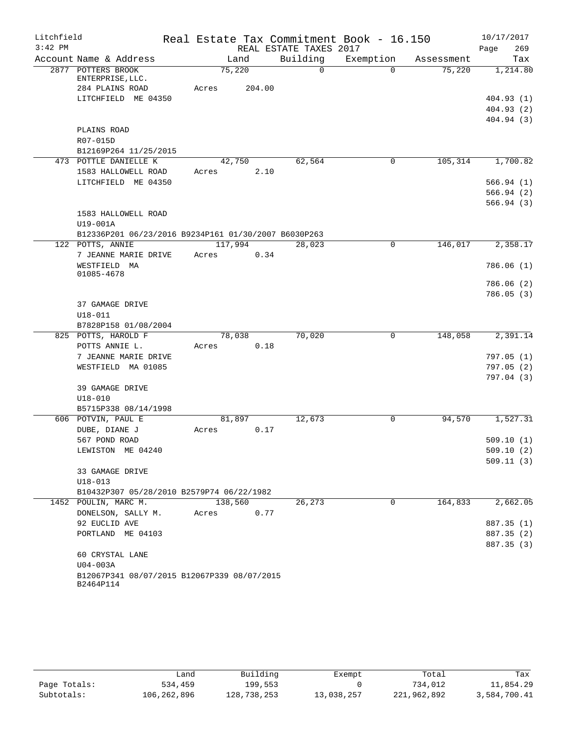| Litchfield |                                                          |         |        |                        | Real Estate Tax Commitment Book - 16.150 |            | 10/17/2017  |
|------------|----------------------------------------------------------|---------|--------|------------------------|------------------------------------------|------------|-------------|
| $3:42$ PM  |                                                          |         |        | REAL ESTATE TAXES 2017 |                                          |            | 269<br>Page |
|            | Account Name & Address                                   | Land    |        | Building               | Exemption                                | Assessment | Tax         |
|            | 2877 POTTERS BROOK                                       | 75,220  |        | $\Omega$               | $\Omega$                                 | 75,220     | 1,214.80    |
|            | ENTERPRISE, LLC.<br>284 PLAINS ROAD                      | Acres   | 204.00 |                        |                                          |            |             |
|            | LITCHFIELD ME 04350                                      |         |        |                        |                                          |            | 404.93(1)   |
|            |                                                          |         |        |                        |                                          |            | 404.93(2)   |
|            |                                                          |         |        |                        |                                          |            | 404.94 (3)  |
|            | PLAINS ROAD                                              |         |        |                        |                                          |            |             |
|            | R07-015D                                                 |         |        |                        |                                          |            |             |
|            | B12169P264 11/25/2015                                    |         |        |                        |                                          |            |             |
|            | 473 POTTLE DANIELLE K                                    | 42,750  |        | 62,564                 | $\mathbf 0$                              | 105, 314   | 1,700.82    |
|            | 1583 HALLOWELL ROAD                                      | Acres   | 2.10   |                        |                                          |            |             |
|            | LITCHFIELD ME 04350                                      |         |        |                        |                                          |            | 566.94(1)   |
|            |                                                          |         |        |                        |                                          |            | 566.94(2)   |
|            |                                                          |         |        |                        |                                          |            | 566.94(3)   |
|            | 1583 HALLOWELL ROAD                                      |         |        |                        |                                          |            |             |
|            | U19-001A                                                 |         |        |                        |                                          |            |             |
|            | B12336P201 06/23/2016 B9234P161 01/30/2007 B6030P263     |         |        |                        |                                          |            |             |
|            | 122 POTTS, ANNIE                                         | 117,994 |        | 28,023                 | $\mathbf 0$                              | 146,017    | 2,358.17    |
|            | 7 JEANNE MARIE DRIVE                                     | Acres   | 0.34   |                        |                                          |            |             |
|            | WESTFIELD MA                                             |         |        |                        |                                          |            | 786.06(1)   |
|            | 01085-4678                                               |         |        |                        |                                          |            |             |
|            |                                                          |         |        |                        |                                          |            | 786.06 (2)  |
|            |                                                          |         |        |                        |                                          |            | 786.05(3)   |
|            | 37 GAMAGE DRIVE                                          |         |        |                        |                                          |            |             |
|            | $U18 - 011$                                              |         |        |                        |                                          |            |             |
|            | B7828P158 01/08/2004<br>825 POTTS, HAROLD F              | 78,038  |        | 70,020                 | $\mathbf 0$                              | 148,058    | 2,391.14    |
|            | POTTS ANNIE L.                                           | Acres   | 0.18   |                        |                                          |            |             |
|            | 7 JEANNE MARIE DRIVE                                     |         |        |                        |                                          |            | 797.05(1)   |
|            | WESTFIELD MA 01085                                       |         |        |                        |                                          |            | 797.05(2)   |
|            |                                                          |         |        |                        |                                          |            | 797.04(3)   |
|            | 39 GAMAGE DRIVE                                          |         |        |                        |                                          |            |             |
|            | $U18 - 010$                                              |         |        |                        |                                          |            |             |
|            | B5715P338 08/14/1998                                     |         |        |                        |                                          |            |             |
|            | 606 POTVIN, PAUL E                                       | 81,897  |        | 12,673                 | 0                                        | 94,570     | 1,527.31    |
|            | DUBE, DIANE J                                            | Acres   | 0.17   |                        |                                          |            |             |
|            | 567 POND ROAD                                            |         |        |                        |                                          |            | 509.10(1)   |
|            | LEWISTON ME 04240                                        |         |        |                        |                                          |            | 509.10(2)   |
|            |                                                          |         |        |                        |                                          |            | 509.11(3)   |
|            | 33 GAMAGE DRIVE                                          |         |        |                        |                                          |            |             |
|            | $U18 - 013$                                              |         |        |                        |                                          |            |             |
|            | B10432P307 05/28/2010 B2579P74 06/22/1982                |         |        |                        |                                          |            |             |
|            | 1452 POULIN, MARC M.                                     | 138,560 |        | 26,273                 | $\mathbf 0$                              | 164,833    | 2,662.05    |
|            | DONELSON, SALLY M.                                       | Acres   | 0.77   |                        |                                          |            |             |
|            | 92 EUCLID AVE                                            |         |        |                        |                                          |            | 887.35 (1)  |
|            | PORTLAND ME 04103                                        |         |        |                        |                                          |            | 887.35 (2)  |
|            |                                                          |         |        |                        |                                          |            | 887.35 (3)  |
|            | 60 CRYSTAL LANE                                          |         |        |                        |                                          |            |             |
|            | $U04-003A$                                               |         |        |                        |                                          |            |             |
|            | B12067P341 08/07/2015 B12067P339 08/07/2015<br>B2464P114 |         |        |                        |                                          |            |             |

|              | ∟and        | Building    | Exempt     | Total       | Tax          |
|--------------|-------------|-------------|------------|-------------|--------------|
| Page Totals: | 534,459     | 199,553     |            | 734,012     | 11,854.29    |
| Subtotals:   | 106,262,896 | 128,738,253 | 13,038,257 | 221,962,892 | 3,584,700.41 |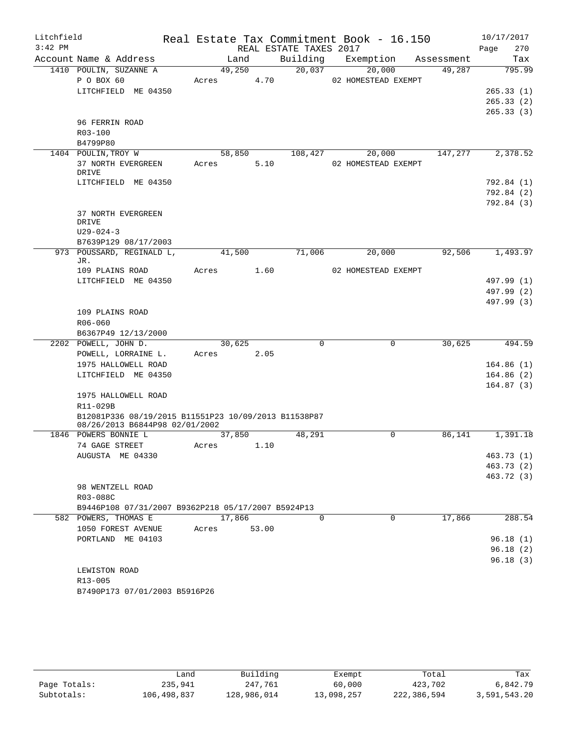| Litchfield<br>$3:42$ PM |                                                      |       |            |       | REAL ESTATE TAXES 2017 | Real Estate Tax Commitment Book - 16.150 |                          | 10/17/2017<br>Page<br>270 |
|-------------------------|------------------------------------------------------|-------|------------|-------|------------------------|------------------------------------------|--------------------------|---------------------------|
|                         | Account Name & Address                               |       | Land       |       | Building               | Exemption                                | Assessment               | Tax                       |
|                         | 1410 POULIN, SUZANNE A                               |       | 49,250     |       | 20,037                 | 20,000                                   | 49,287                   | 795.99                    |
|                         | P O BOX 60                                           | Acres |            | 4.70  |                        | 02 HOMESTEAD EXEMPT                      |                          |                           |
|                         | LITCHFIELD ME 04350                                  |       |            |       |                        |                                          |                          | 265.33(1)                 |
|                         |                                                      |       |            |       |                        |                                          |                          | 265.33(2)                 |
|                         |                                                      |       |            |       |                        |                                          |                          | 265.33(3)                 |
|                         | 96 FERRIN ROAD                                       |       |            |       |                        |                                          |                          |                           |
|                         | $R03 - 100$                                          |       |            |       |                        |                                          |                          |                           |
|                         | B4799P80                                             |       |            |       |                        |                                          |                          |                           |
|                         | 1404 POULIN, TROY W                                  |       | 58,850     |       | 108,427                | 20,000                                   | 147,277                  | 2,378.52                  |
|                         | 37 NORTH EVERGREEN<br>DRIVE                          | Acres |            | 5.10  |                        | 02 HOMESTEAD EXEMPT                      |                          |                           |
|                         | LITCHFIELD ME 04350                                  |       |            |       |                        |                                          |                          | 792.84 (1)                |
|                         |                                                      |       |            |       |                        |                                          |                          | 792.84 (2)                |
|                         |                                                      |       |            |       |                        |                                          |                          | 792.84 (3)                |
|                         | 37 NORTH EVERGREEN                                   |       |            |       |                        |                                          |                          |                           |
|                         | DRIVE                                                |       |            |       |                        |                                          |                          |                           |
|                         | $U29 - 024 - 3$                                      |       |            |       |                        |                                          |                          |                           |
|                         | B7639P129 08/17/2003                                 |       |            |       |                        |                                          |                          |                           |
|                         | 973 POUSSARD, REGINALD L,                            |       | 41,500     |       | 71,006                 | 20,000                                   | 92,506                   | 1,493.97                  |
|                         | JR.                                                  |       |            |       |                        |                                          |                          |                           |
|                         | 109 PLAINS ROAD                                      | Acres |            | 1.60  |                        | 02 HOMESTEAD EXEMPT                      |                          |                           |
|                         | LITCHFIELD ME 04350                                  |       |            |       |                        |                                          |                          | 497.99 (1)                |
|                         |                                                      |       |            |       |                        |                                          |                          | 497.99 (2)                |
|                         | 109 PLAINS ROAD                                      |       |            |       |                        |                                          |                          | 497.99 (3)                |
|                         | R06-060                                              |       |            |       |                        |                                          |                          |                           |
|                         | B6367P49 12/13/2000                                  |       |            |       |                        |                                          |                          |                           |
|                         | 2202 POWELL, JOHN D.                                 |       | 30,625     |       | 0                      | $\mathbf 0$                              | 30,625                   | 494.59                    |
|                         | POWELL, LORRAINE L.                                  | Acres |            | 2.05  |                        |                                          |                          |                           |
|                         | 1975 HALLOWELL ROAD                                  |       |            |       |                        |                                          |                          | 164.86(1)                 |
|                         | LITCHFIELD ME 04350                                  |       |            |       |                        |                                          |                          | 164.86(2)                 |
|                         |                                                      |       |            |       |                        |                                          |                          | 164.87(3)                 |
|                         | 1975 HALLOWELL ROAD                                  |       |            |       |                        |                                          |                          |                           |
|                         | R11-029B                                             |       |            |       |                        |                                          |                          |                           |
|                         | B12081P336 08/19/2015 B11551P23 10/09/2013 B11538P87 |       |            |       |                        |                                          |                          |                           |
|                         | 08/26/2013 B6844P98 02/01/2002                       |       |            |       |                        |                                          |                          |                           |
|                         | 1846 POWERS BONNIE L                                 |       | 37,850     |       | 48,291                 | 0                                        | 86,141                   | 1,391.18                  |
|                         | 74 GAGE STREET                                       |       | Acres 1.10 |       |                        |                                          |                          |                           |
|                         | AUGUSTA ME 04330                                     |       |            |       |                        |                                          |                          | 463.73 (1)                |
|                         |                                                      |       |            |       |                        |                                          |                          | 463.73 (2)                |
|                         |                                                      |       |            |       |                        |                                          |                          | 463.72 (3)                |
|                         | 98 WENTZELL ROAD<br>R03-088C                         |       |            |       |                        |                                          |                          |                           |
|                         | B9446P108 07/31/2007 B9362P218 05/17/2007 B5924P13   |       |            |       |                        |                                          |                          |                           |
|                         | 582 POWERS, THOMAS E                                 |       | 17,866     |       | $\mathbf 0$            |                                          | $\overline{0}$<br>17,866 | 288.54                    |
|                         | 1050 FOREST AVENUE                                   | Acres |            | 53.00 |                        |                                          |                          |                           |
|                         | PORTLAND ME 04103                                    |       |            |       |                        |                                          |                          | 96.18(1)                  |
|                         |                                                      |       |            |       |                        |                                          |                          | 96.18(2)                  |
|                         |                                                      |       |            |       |                        |                                          |                          | 96.18(3)                  |
|                         | LEWISTON ROAD                                        |       |            |       |                        |                                          |                          |                           |
|                         | R13-005                                              |       |            |       |                        |                                          |                          |                           |
|                         | B7490P173 07/01/2003 B5916P26                        |       |            |       |                        |                                          |                          |                           |

|              | Land        | Building    | Exempt     | Total       | Tax          |
|--------------|-------------|-------------|------------|-------------|--------------|
| Page Totals: | 235,941     | 247.761     | 60,000     | 423,702     | 6,842.79     |
| Subtotals:   | 106,498,837 | 128,986,014 | 13,098,257 | 222,386,594 | 3,591,543.20 |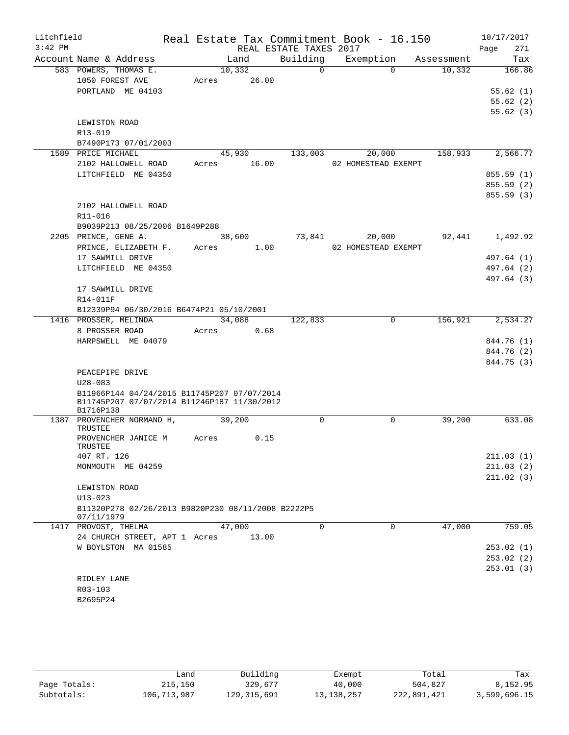| Litchfield |                                                    | Real Estate Tax Commitment Book - 16.150 |                        |                |                     |             |            | 10/17/2017  |
|------------|----------------------------------------------------|------------------------------------------|------------------------|----------------|---------------------|-------------|------------|-------------|
| $3:42$ PM  |                                                    |                                          | REAL ESTATE TAXES 2017 |                |                     |             |            | Page<br>271 |
|            | Account Name & Address                             | Land                                     | Building               |                | Exemption           |             | Assessment | Tax         |
|            | 583 POWERS, THOMAS E.                              | 10,332                                   |                        | $\overline{0}$ |                     | $\Omega$    | 10,332     | 166.86      |
|            | 1050 FOREST AVE                                    | Acres                                    | 26.00                  |                |                     |             |            |             |
|            | PORTLAND ME 04103                                  |                                          |                        |                |                     |             |            | 55.62(1)    |
|            |                                                    |                                          |                        |                |                     |             |            | 55.62(2)    |
|            |                                                    |                                          |                        |                |                     |             |            | 55.62(3)    |
|            | LEWISTON ROAD                                      |                                          |                        |                |                     |             |            |             |
|            | R13-019                                            |                                          |                        |                |                     |             |            |             |
|            | B7490P173 07/01/2003                               |                                          |                        |                |                     |             |            |             |
|            | 1589 PRICE MICHAEL                                 | 45,930                                   |                        | 133,003        | 20,000              |             | 158,933    | 2,566.77    |
|            | 2102 HALLOWELL ROAD                                | Acres 16.00                              |                        |                | 02 HOMESTEAD EXEMPT |             |            |             |
|            | LITCHFIELD ME 04350                                |                                          |                        |                |                     |             |            | 855.59 (1)  |
|            |                                                    |                                          |                        |                |                     |             |            | 855.59 (2)  |
|            |                                                    |                                          |                        |                |                     |             |            | 855.59(3)   |
|            | 2102 HALLOWELL ROAD                                |                                          |                        |                |                     |             |            |             |
|            | R11-016                                            |                                          |                        |                |                     |             |            |             |
|            | B9039P213 08/25/2006 B1649P288                     |                                          |                        |                |                     |             |            |             |
|            | 2205 PRINCE, GENE A.                               | 38,600                                   |                        | 73,841         | 20,000              |             | 92,441     | 1,492.92    |
|            | PRINCE, ELIZABETH F.                               | Acres                                    | 1.00                   |                | 02 HOMESTEAD EXEMPT |             |            |             |
|            | 17 SAWMILL DRIVE                                   |                                          |                        |                |                     |             |            | 497.64 (1)  |
|            | LITCHFIELD ME 04350                                |                                          |                        |                |                     |             |            | 497.64 (2)  |
|            |                                                    |                                          |                        |                |                     |             |            | 497.64 (3)  |
|            | 17 SAWMILL DRIVE                                   |                                          |                        |                |                     |             |            |             |
|            | R14-011F                                           |                                          |                        |                |                     |             |            |             |
|            | B12339P94 06/30/2016 B6474P21 05/10/2001           |                                          |                        |                |                     |             |            |             |
|            | 1416 PROSSER, MELINDA                              | 34,088                                   |                        | 122,833        |                     | 0           | 156,921    | 2,534.27    |
|            | 8 PROSSER ROAD                                     | Acres                                    | 0.68                   |                |                     |             |            |             |
|            | HARPSWELL ME 04079                                 |                                          |                        |                |                     |             |            | 844.76 (1)  |
|            |                                                    |                                          |                        |                |                     |             |            | 844.76 (2)  |
|            |                                                    |                                          |                        |                |                     |             |            | 844.75 (3)  |
|            | PEACEPIPE DRIVE                                    |                                          |                        |                |                     |             |            |             |
|            | $U28 - 083$                                        |                                          |                        |                |                     |             |            |             |
|            | B11966P144 04/24/2015 B11745P207 07/07/2014        |                                          |                        |                |                     |             |            |             |
|            | B11745P207 07/07/2014 B11246P187 11/30/2012        |                                          |                        |                |                     |             |            |             |
|            | B1716P138                                          |                                          |                        | 0              |                     |             |            | 633.08      |
|            | 1387 PROVENCHER NORMAND H,<br>TRUSTEE              | 39,200                                   |                        |                |                     | 0           | 39,200     |             |
|            | PROVENCHER JANICE M                                | Acres                                    | 0.15                   |                |                     |             |            |             |
|            | TRUSTEE                                            |                                          |                        |                |                     |             |            |             |
|            | 407 RT. 126                                        |                                          |                        |                |                     |             |            | 211.03(1)   |
|            | MONMOUTH ME 04259                                  |                                          |                        |                |                     |             |            | 211.03(2)   |
|            |                                                    |                                          |                        |                |                     |             |            | 211.02(3)   |
|            | LEWISTON ROAD                                      |                                          |                        |                |                     |             |            |             |
|            | $U13 - 023$                                        |                                          |                        |                |                     |             |            |             |
|            | B11320P278 02/26/2013 B9820P230 08/11/2008 B2222P5 |                                          |                        |                |                     |             |            |             |
|            | 07/11/1979                                         |                                          |                        |                |                     |             |            |             |
|            | 1417 PROVOST, THELMA                               | 47,000                                   |                        | $\Omega$       |                     | $\mathbf 0$ | 47,000     | 759.05      |
|            | 24 CHURCH STREET, APT 1 Acres                      |                                          | 13.00                  |                |                     |             |            |             |
|            | W BOYLSTON MA 01585                                |                                          |                        |                |                     |             |            | 253.02(1)   |
|            |                                                    |                                          |                        |                |                     |             |            | 253.02(2)   |
|            |                                                    |                                          |                        |                |                     |             |            | 253.01(3)   |
|            | RIDLEY LANE                                        |                                          |                        |                |                     |             |            |             |
|            | R03-103                                            |                                          |                        |                |                     |             |            |             |
|            | B2695P24                                           |                                          |                        |                |                     |             |            |             |

|              | Land        | Building      | Exempt       | Total       | Tax          |
|--------------|-------------|---------------|--------------|-------------|--------------|
| Page Totals: | 215,150     | 329,677       | 40,000       | 504,827     | 8,152.95     |
| Subtotals:   | 106,713,987 | 129, 315, 691 | 13, 138, 257 | 222,891,421 | 3,599,696.15 |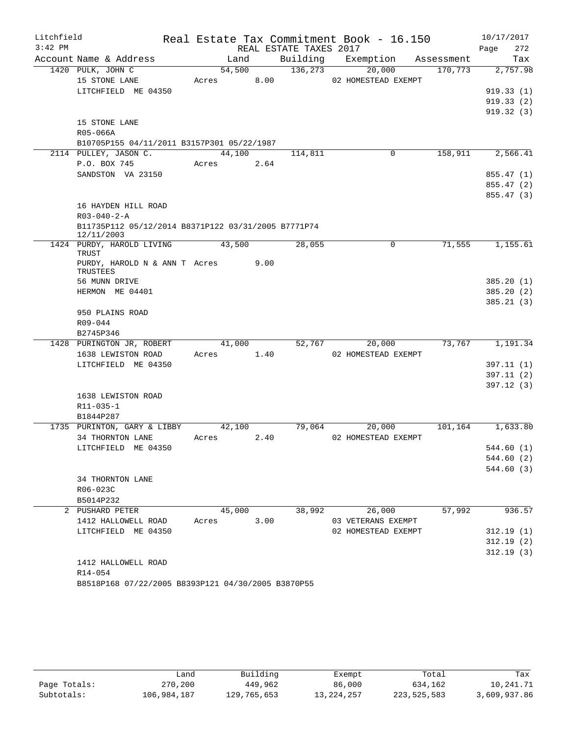| Litchfield |                                                                     |            |      |                        | Real Estate Tax Commitment Book - 16.150 |            | 10/17/2017  |
|------------|---------------------------------------------------------------------|------------|------|------------------------|------------------------------------------|------------|-------------|
| $3:42$ PM  |                                                                     |            |      | REAL ESTATE TAXES 2017 |                                          |            | 272<br>Page |
|            | Account Name & Address                                              | Land       |      | Building               | Exemption                                | Assessment | Tax         |
|            | 1420 PULK, JOHN C                                                   | 54,500     |      | 136,273                | 20,000                                   | 170,773    | 2,757.98    |
|            | 15 STONE LANE                                                       | Acres      | 8.00 |                        | 02 HOMESTEAD EXEMPT                      |            |             |
|            | LITCHFIELD ME 04350                                                 |            |      |                        |                                          |            | 919.33(1)   |
|            |                                                                     |            |      |                        |                                          |            | 919.33(2)   |
|            |                                                                     |            |      |                        |                                          |            | 919.32(3)   |
|            | 15 STONE LANE                                                       |            |      |                        |                                          |            |             |
|            | R05-066A                                                            |            |      |                        |                                          |            |             |
|            | B10705P155 04/11/2011 B3157P301 05/22/1987<br>2114 PULLEY, JASON C. | 44,100     |      |                        | 0                                        | 158,911    | 2,566.41    |
|            | P.O. BOX 745                                                        | Acres      | 2.64 | 114,811                |                                          |            |             |
|            | SANDSTON VA 23150                                                   |            |      |                        |                                          |            | 855.47 (1)  |
|            |                                                                     |            |      |                        |                                          |            | 855.47 (2)  |
|            |                                                                     |            |      |                        |                                          |            | 855.47(3)   |
|            | 16 HAYDEN HILL ROAD                                                 |            |      |                        |                                          |            |             |
|            | $R03 - 040 - 2 - A$                                                 |            |      |                        |                                          |            |             |
|            | B11735P112 05/12/2014 B8371P122 03/31/2005 B7771P74                 |            |      |                        |                                          |            |             |
|            | 12/11/2003                                                          |            |      |                        |                                          |            |             |
|            | 1424 PURDY, HAROLD LIVING                                           | 43,500     |      | 28,055                 | $\mathsf{O}$                             | 71,555     | 1,155.61    |
|            | TRUST                                                               |            |      |                        |                                          |            |             |
|            | PURDY, HAROLD N & ANN T Acres<br><b>TRUSTEES</b>                    |            | 9.00 |                        |                                          |            |             |
|            | 56 MUNN DRIVE                                                       |            |      |                        |                                          |            | 385.20(1)   |
|            | HERMON ME 04401                                                     |            |      |                        |                                          |            | 385.20(2)   |
|            |                                                                     |            |      |                        |                                          |            | 385.21(3)   |
|            | 950 PLAINS ROAD                                                     |            |      |                        |                                          |            |             |
|            | R09-044                                                             |            |      |                        |                                          |            |             |
|            | B2745P346                                                           |            |      |                        |                                          |            |             |
|            | 1428 PURINGTON JR, ROBERT                                           | 41,000     |      | 52,767                 | 20,000                                   | 73,767     | 1,191.34    |
|            | 1638 LEWISTON ROAD                                                  | Acres 1.40 |      |                        | 02 HOMESTEAD EXEMPT                      |            |             |
|            | LITCHFIELD ME 04350                                                 |            |      |                        |                                          |            | 397.11(1)   |
|            |                                                                     |            |      |                        |                                          |            | 397.11(2)   |
|            |                                                                     |            |      |                        |                                          |            | 397.12(3)   |
|            | 1638 LEWISTON ROAD                                                  |            |      |                        |                                          |            |             |
|            | $R11 - 035 - 1$                                                     |            |      |                        |                                          |            |             |
|            | B1844P287                                                           |            |      |                        |                                          |            |             |
|            | 1735 PURINTON, GARY & LIBBY                                         | 42,100     |      | 79,064                 | 20,000                                   | 101,164    | 1,633.80    |
|            | 34 THORNTON LANE                                                    | Acres      | 2.40 |                        | 02 HOMESTEAD EXEMPT                      |            |             |
|            | LITCHFIELD ME 04350                                                 |            |      |                        |                                          |            | 544.60 (1)  |
|            |                                                                     |            |      |                        |                                          |            | 544.60 (2)  |
|            |                                                                     |            |      |                        |                                          |            | 544.60 (3)  |
|            | 34 THORNTON LANE                                                    |            |      |                        |                                          |            |             |
|            | R06-023C                                                            |            |      |                        |                                          |            |             |
|            | B5014P232<br>2 PUSHARD PETER                                        | 45,000     |      | 38,992                 | 26,000                                   | 57,992     | 936.57      |
|            | 1412 HALLOWELL ROAD                                                 | Acres      | 3.00 |                        | 03 VETERANS EXEMPT                       |            |             |
|            | LITCHFIELD ME 04350                                                 |            |      |                        | 02 HOMESTEAD EXEMPT                      |            | 312.19(1)   |
|            |                                                                     |            |      |                        |                                          |            | 312.19(2)   |
|            |                                                                     |            |      |                        |                                          |            | 312.19(3)   |
|            | 1412 HALLOWELL ROAD                                                 |            |      |                        |                                          |            |             |
|            | R14-054                                                             |            |      |                        |                                          |            |             |
|            | B8518P168 07/22/2005 B8393P121 04/30/2005 B3870P55                  |            |      |                        |                                          |            |             |

|              | Land        | Building    | Exempt       | Total       | Tax          |
|--------------|-------------|-------------|--------------|-------------|--------------|
| Page Totals: | 270,200     | 449,962     | 86,000       | 634,162     | 10,241.71    |
| Subtotals:   | 106,984,187 | 129,765,653 | 13, 224, 257 | 223,525,583 | 3,609,937.86 |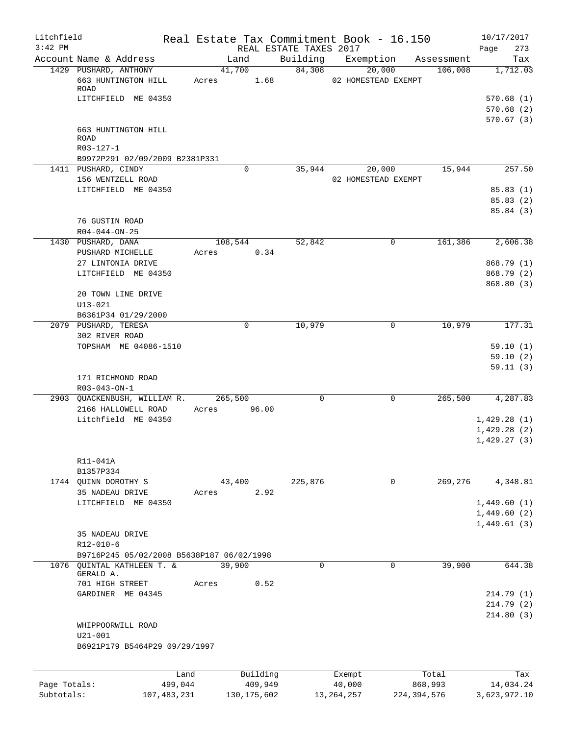| Litchfield   |                                                      |                 |                     |                        | Real Estate Tax Commitment Book - 16.150 |             |                  | 10/17/2017                 |
|--------------|------------------------------------------------------|-----------------|---------------------|------------------------|------------------------------------------|-------------|------------------|----------------------------|
| $3:42$ PM    |                                                      |                 |                     | REAL ESTATE TAXES 2017 |                                          |             |                  | 273<br>Page                |
|              | Account Name & Address                               |                 | Land                | Building               | Exemption                                |             | Assessment       | Tax                        |
|              | 1429 PUSHARD, ANTHONY<br>663 HUNTINGTON HILL<br>ROAD | 41,700<br>Acres | 1.68                | 84,308                 | 20,000<br>02 HOMESTEAD EXEMPT            |             | 106,008          | 1,712.03                   |
|              | LITCHFIELD ME 04350                                  |                 |                     |                        |                                          |             |                  | 570.68(1)                  |
|              |                                                      |                 |                     |                        |                                          |             |                  | 570.68(2)                  |
|              |                                                      |                 |                     |                        |                                          |             |                  | 570.67(3)                  |
|              | 663 HUNTINGTON HILL<br><b>ROAD</b>                   |                 |                     |                        |                                          |             |                  |                            |
|              | R03-127-1                                            |                 |                     |                        |                                          |             |                  |                            |
|              | B9972P291 02/09/2009 B2381P331                       |                 |                     |                        |                                          |             |                  |                            |
|              | 1411 PUSHARD, CINDY                                  |                 | 0                   | 35,944                 | 20,000                                   |             | 15,944           | 257.50                     |
|              | 156 WENTZELL ROAD                                    |                 |                     |                        | 02 HOMESTEAD EXEMPT                      |             |                  |                            |
|              | LITCHFIELD ME 04350                                  |                 |                     |                        |                                          |             |                  | 85.83(1)                   |
|              |                                                      |                 |                     |                        |                                          |             |                  | 85.83(2)                   |
|              |                                                      |                 |                     |                        |                                          |             |                  | 85.84 (3)                  |
|              | 76 GUSTIN ROAD<br>$R04 - 044 - ON - 25$              |                 |                     |                        |                                          |             |                  |                            |
|              | 1430 PUSHARD, DANA                                   | 108,544         |                     | 52,842                 |                                          | 0           | 161,386          | 2,606.38                   |
|              | PUSHARD MICHELLE                                     | Acres           | 0.34                |                        |                                          |             |                  |                            |
|              | 27 LINTONIA DRIVE                                    |                 |                     |                        |                                          |             |                  | 868.79 (1)                 |
|              | LITCHFIELD ME 04350                                  |                 |                     |                        |                                          |             |                  | 868.79 (2)                 |
|              |                                                      |                 |                     |                        |                                          |             |                  | 868.80 (3)                 |
|              | 20 TOWN LINE DRIVE                                   |                 |                     |                        |                                          |             |                  |                            |
|              | $U13 - 021$                                          |                 |                     |                        |                                          |             |                  |                            |
|              | B6361P34 01/29/2000                                  |                 |                     |                        |                                          |             |                  |                            |
|              | 2079 PUSHARD, TERESA                                 |                 | 0                   | 10,979                 |                                          | 0           | 10,979           | 177.31                     |
|              | 302 RIVER ROAD<br>TOPSHAM ME 04086-1510              |                 |                     |                        |                                          |             |                  | 59.10(1)                   |
|              |                                                      |                 |                     |                        |                                          |             |                  | 59.10(2)                   |
|              |                                                      |                 |                     |                        |                                          |             |                  | 59.11(3)                   |
|              | 171 RICHMOND ROAD                                    |                 |                     |                        |                                          |             |                  |                            |
|              | $R03 - 043 - ON - 1$                                 |                 |                     |                        |                                          |             |                  |                            |
|              | 2903 QUACKENBUSH, WILLIAM R.                         | 265,500         |                     | $\mathbf 0$            |                                          | 0           | 265,500          | 4,287.83                   |
|              | 2166 HALLOWELL ROAD                                  | Acres           | 96.00               |                        |                                          |             |                  |                            |
|              | Litchfield ME 04350                                  |                 |                     |                        |                                          |             |                  | 1,429.28(1)                |
|              |                                                      |                 |                     |                        |                                          |             |                  | 1,429.28(2)<br>1,429.27(3) |
|              |                                                      |                 |                     |                        |                                          |             |                  |                            |
|              | R11-041A                                             |                 |                     |                        |                                          |             |                  |                            |
|              | B1357P334                                            |                 |                     |                        |                                          |             |                  |                            |
|              | 1744 QUINN DOROTHY S                                 | 43,400          |                     | 225,876                |                                          | $\mathbf 0$ | 269,276          | 4,348.81                   |
|              | 35 NADEAU DRIVE                                      | Acres           | 2.92                |                        |                                          |             |                  |                            |
|              | LITCHFIELD ME 04350                                  |                 |                     |                        |                                          |             |                  | 1,449.60(1)                |
|              |                                                      |                 |                     |                        |                                          |             |                  | 1,449.60(2)                |
|              |                                                      |                 |                     |                        |                                          |             |                  | 1,449.61(3)                |
|              | 35 NADEAU DRIVE<br>$R12 - 010 - 6$                   |                 |                     |                        |                                          |             |                  |                            |
|              | B9716P245 05/02/2008 B5638P187 06/02/1998            |                 |                     |                        |                                          |             |                  |                            |
|              | 1076 QUINTAL KATHLEEN T. &                           | 39,900          |                     | $\mathbf 0$            |                                          | $\Omega$    | 39,900           | 644.38                     |
|              | GERALD A.                                            |                 |                     |                        |                                          |             |                  |                            |
|              | 701 HIGH STREET                                      | Acres           | 0.52                |                        |                                          |             |                  |                            |
|              | GARDINER ME 04345                                    |                 |                     |                        |                                          |             |                  | 214.79 (1)                 |
|              |                                                      |                 |                     |                        |                                          |             |                  | 214.79 (2)                 |
|              |                                                      |                 |                     |                        |                                          |             |                  | 214.80(3)                  |
|              | WHIPPOORWILL ROAD<br>$U21 - 001$                     |                 |                     |                        |                                          |             |                  |                            |
|              | B6921P179 B5464P29 09/29/1997                        |                 |                     |                        |                                          |             |                  |                            |
|              |                                                      |                 |                     |                        |                                          |             |                  |                            |
|              |                                                      |                 |                     |                        |                                          |             |                  |                            |
| Page Totals: | Land<br>499,044                                      |                 | Building<br>409,949 |                        | Exempt<br>40,000                         |             | Total<br>868,993 | Tax<br>14,034.24           |
|              |                                                      |                 |                     |                        |                                          |             |                  |                            |

Subtotals: 107,483,231 130,175,602 13,264,257 224,394,576 3,623,972.10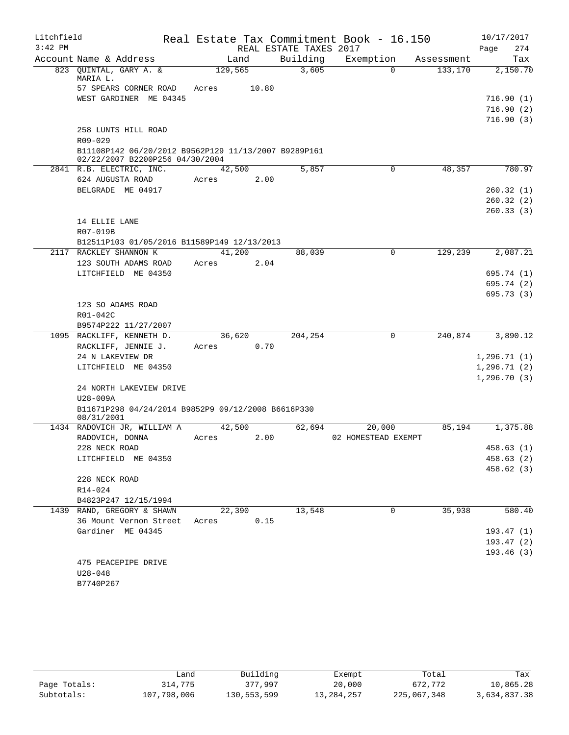| Litchfield |                                                                                         |         |                        | Real Estate Tax Commitment Book - 16.150 |            | 10/17/2017   |
|------------|-----------------------------------------------------------------------------------------|---------|------------------------|------------------------------------------|------------|--------------|
| $3:42$ PM  |                                                                                         |         | REAL ESTATE TAXES 2017 |                                          |            | 274<br>Page  |
|            | Account Name & Address                                                                  | Land    | Building               | Exemption                                | Assessment | Tax          |
|            | 823 QUINTAL, GARY A. &                                                                  | 129,565 | 3,605                  | $\Omega$                                 | 133,170    | 2,150.70     |
|            | MARIA L.<br>57 SPEARS CORNER ROAD                                                       | Acres   | 10.80                  |                                          |            |              |
|            | WEST GARDINER ME 04345                                                                  |         |                        |                                          |            | 716.90(1)    |
|            |                                                                                         |         |                        |                                          |            | 716.90(2)    |
|            |                                                                                         |         |                        |                                          |            | 716.90(3)    |
|            | 258 LUNTS HILL ROAD                                                                     |         |                        |                                          |            |              |
|            | R09-029                                                                                 |         |                        |                                          |            |              |
|            | B11108P142 06/20/2012 B9562P129 11/13/2007 B9289P161<br>02/22/2007 B2200P256 04/30/2004 |         |                        |                                          |            |              |
|            | 2841 R.B. ELECTRIC, INC.                                                                | 42,500  | 5,857                  | 0                                        | 48,357     | 780.97       |
|            | 624 AUGUSTA ROAD                                                                        | Acres   | 2.00                   |                                          |            |              |
|            | BELGRADE ME 04917                                                                       |         |                        |                                          |            | 260.32(1)    |
|            |                                                                                         |         |                        |                                          |            | 260.32(2)    |
|            |                                                                                         |         |                        |                                          |            | 260.33(3)    |
|            | 14 ELLIE LANE                                                                           |         |                        |                                          |            |              |
|            | R07-019B                                                                                |         |                        |                                          |            |              |
|            | B12511P103 01/05/2016 B11589P149 12/13/2013<br>2117 RACKLEY SHANNON K                   | 41,200  |                        | 0                                        | 129,239    | 2,087.21     |
|            | 123 SOUTH ADAMS ROAD                                                                    | Acres   | 88,039<br>2.04         |                                          |            |              |
|            | LITCHFIELD ME 04350                                                                     |         |                        |                                          |            | 695.74 (1)   |
|            |                                                                                         |         |                        |                                          |            | 695.74 (2)   |
|            |                                                                                         |         |                        |                                          |            | 695.73(3)    |
|            | 123 SO ADAMS ROAD                                                                       |         |                        |                                          |            |              |
|            | R01-042C                                                                                |         |                        |                                          |            |              |
|            | B9574P222 11/27/2007                                                                    |         |                        |                                          |            |              |
|            | 1095 RACKLIFF, KENNETH D.                                                               | 36,620  | 204,254                | 0                                        | 240,874    | 3,890.12     |
|            | RACKLIFF, JENNIE J.                                                                     | Acres   | 0.70                   |                                          |            |              |
|            | 24 N LAKEVIEW DR                                                                        |         |                        |                                          |            | 1, 296.71(1) |
|            | LITCHFIELD ME 04350                                                                     |         |                        |                                          |            | 1, 296.71(2) |
|            |                                                                                         |         |                        |                                          |            | 1, 296.70(3) |
|            | 24 NORTH LAKEVIEW DRIVE<br>U28-009A                                                     |         |                        |                                          |            |              |
|            | B11671P298 04/24/2014 B9852P9 09/12/2008 B6616P330                                      |         |                        |                                          |            |              |
|            | 08/31/2001                                                                              |         |                        |                                          |            |              |
|            | 1434 RADOVICH JR, WILLIAM A                                                             | 42,500  | 62,694                 | 20,000                                   | 85,194     | 1,375.88     |
|            | RADOVICH, DONNA                                                                         | Acres   | 2.00                   | 02 HOMESTEAD EXEMPT                      |            |              |
|            | 228 NECK ROAD                                                                           |         |                        |                                          |            | 458.63 (1)   |
|            | LITCHFIELD ME 04350                                                                     |         |                        |                                          |            | 458.63(2)    |
|            |                                                                                         |         |                        |                                          |            | 458.62 (3)   |
|            | 228 NECK ROAD                                                                           |         |                        |                                          |            |              |
|            | R14-024                                                                                 |         |                        |                                          |            |              |
|            | B4823P247 12/15/1994<br>1439 RAND, GREGORY & SHAWN                                      | 22,390  | 13,548                 | 0                                        | 35,938     | 580.40       |
|            | 36 Mount Vernon Street                                                                  | Acres   | 0.15                   |                                          |            |              |
|            | Gardiner ME 04345                                                                       |         |                        |                                          |            | 193.47(1)    |
|            |                                                                                         |         |                        |                                          |            | 193.47(2)    |
|            |                                                                                         |         |                        |                                          |            | 193.46(3)    |
|            | 475 PEACEPIPE DRIVE                                                                     |         |                        |                                          |            |              |
|            | $U28 - 048$                                                                             |         |                        |                                          |            |              |
|            | B7740P267                                                                               |         |                        |                                          |            |              |

|              | Land        | Building    | Exempt       | Total       | Tax          |
|--------------|-------------|-------------|--------------|-------------|--------------|
| Page Totals: | 314,775     | 377,997     | 20,000       | 672,772     | 10,865.28    |
| Subtotals:   | 107,798,006 | 130,553,599 | 13, 284, 257 | 225,067,348 | 3,634,837.38 |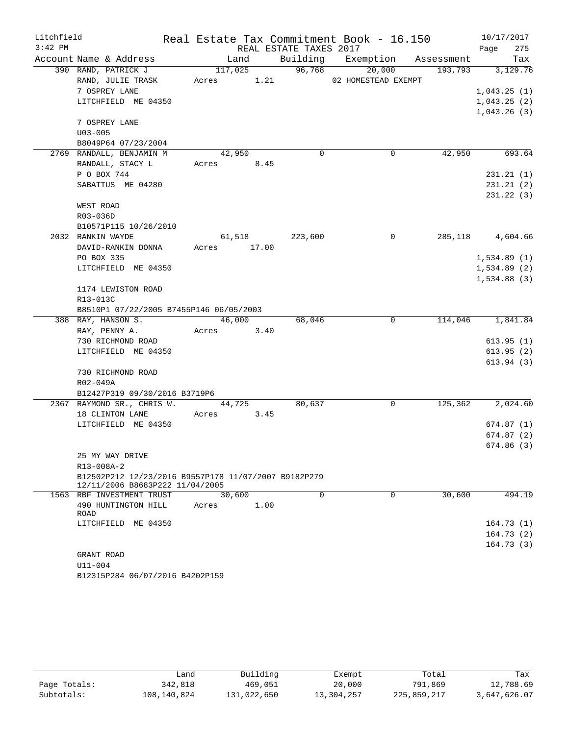| Litchfield |                                                      |            |             |                        | Real Estate Tax Commitment Book - 16.150 |            | 10/17/2017  |
|------------|------------------------------------------------------|------------|-------------|------------------------|------------------------------------------|------------|-------------|
| $3:42$ PM  |                                                      |            |             | REAL ESTATE TAXES 2017 |                                          |            | 275<br>Page |
|            | Account Name & Address                               |            | Land        |                        | Building Exemption                       | Assessment | Tax         |
|            | 390 RAND, PATRICK J                                  |            | 117,025     | 96,768                 | 20,000                                   | 193,793    | 3,129.76    |
|            | RAND, JULIE TRASK                                    | Acres 1.21 |             |                        | 02 HOMESTEAD EXEMPT                      |            |             |
|            | 7 OSPREY LANE                                        |            |             |                        |                                          |            | 1,043.25(1) |
|            | LITCHFIELD ME 04350                                  |            |             |                        |                                          |            | 1,043.25(2) |
|            |                                                      |            |             |                        |                                          |            | 1,043.26(3) |
|            | 7 OSPREY LANE                                        |            |             |                        |                                          |            |             |
|            | $U03 - 005$                                          |            |             |                        |                                          |            |             |
|            | B8049P64 07/23/2004                                  |            |             |                        |                                          |            |             |
|            | 2769 RANDALL, BENJAMIN M                             |            | 42,950      | $\Omega$               | 0                                        | 42,950     | 693.64      |
|            | RANDALL, STACY L                                     | Acres 8.45 |             |                        |                                          |            |             |
|            | P O BOX 744                                          |            |             |                        |                                          |            | 231.21(1)   |
|            | SABATTUS ME 04280                                    |            |             |                        |                                          |            | 231.21(2)   |
|            |                                                      |            |             |                        |                                          |            | 231.22(3)   |
|            | WEST ROAD                                            |            |             |                        |                                          |            |             |
|            | R03-036D                                             |            |             |                        |                                          |            |             |
|            | B10571P115 10/26/2010                                |            |             |                        |                                          |            |             |
|            | 2032 RANKIN WAYDE                                    |            | 61,518      | 223,600                | $\mathbf 0$                              | 285,118    | 4,604.66    |
|            | DAVID-RANKIN DONNA                                   |            | Acres 17.00 |                        |                                          |            |             |
|            | PO BOX 335                                           |            |             |                        |                                          |            | 1,534.89(1) |
|            | LITCHFIELD ME 04350                                  |            |             |                        |                                          |            | 1,534.89(2) |
|            |                                                      |            |             |                        |                                          |            | 1,534.88(3) |
|            | 1174 LEWISTON ROAD                                   |            |             |                        |                                          |            |             |
|            | R13-013C                                             |            |             |                        |                                          |            |             |
|            | B8510P1 07/22/2005 B7455P146 06/05/2003              |            |             |                        |                                          |            |             |
|            | 388 RAY, HANSON S.                                   |            | 46,000      | 68,046                 | $\mathsf{O}$                             | 114,046    | 1,841.84    |
|            | RAY, PENNY A.                                        |            | Acres 3.40  |                        |                                          |            |             |
|            | 730 RICHMOND ROAD                                    |            |             |                        |                                          |            | 613.95(1)   |
|            | LITCHFIELD ME 04350                                  |            |             |                        |                                          |            | 613.95(2)   |
|            |                                                      |            |             |                        |                                          |            | 613.94 (3)  |
|            | 730 RICHMOND ROAD                                    |            |             |                        |                                          |            |             |
|            | R02-049A<br>B12427P319 09/30/2016 B3719P6            |            |             |                        |                                          |            |             |
|            | 2367 RAYMOND SR., CHRIS W.                           |            | 44,725      | 80,637                 | 0                                        | 125,362    | 2,024.60    |
|            | 18 CLINTON LANE                                      | Acres      | 3.45        |                        |                                          |            |             |
|            | LITCHFIELD ME 04350                                  |            |             |                        |                                          |            | 674.87(1)   |
|            |                                                      |            |             |                        |                                          |            | 674.87(2)   |
|            |                                                      |            |             |                        |                                          |            | 674.86(3)   |
|            | 25 MY WAY DRIVE                                      |            |             |                        |                                          |            |             |
|            | R13-008A-2                                           |            |             |                        |                                          |            |             |
|            | B12502P212 12/23/2016 B9557P178 11/07/2007 B9182P279 |            |             |                        |                                          |            |             |
|            | 12/11/2006 B8683P222 11/04/2005                      |            |             |                        |                                          |            |             |
|            | 1563 RBF INVESTMENT TRUST                            |            | 30,600      | $\mathbf 0$            | $\mathbf 0$                              | 30,600     | 494.19      |
|            | 490 HUNTINGTON HILL                                  | Acres      | 1.00        |                        |                                          |            |             |
|            | ROAD                                                 |            |             |                        |                                          |            |             |
|            | LITCHFIELD ME 04350                                  |            |             |                        |                                          |            | 164.73(1)   |
|            |                                                      |            |             |                        |                                          |            | 164.73(2)   |
|            |                                                      |            |             |                        |                                          |            | 164.73(3)   |
|            | GRANT ROAD                                           |            |             |                        |                                          |            |             |
|            | $U11 - 004$                                          |            |             |                        |                                          |            |             |

```
B12315P284 06/07/2016 B4202P159
```

|              | Land        | Building    | Exempt     | Total       | Tax          |
|--------------|-------------|-------------|------------|-------------|--------------|
| Page Totals: | 342,818     | 469,051     | 20,000     | 791,869     | 12,788.69    |
| Subtotals:   | 108,140,824 | 131,022,650 | 13,304,257 | 225,859,217 | 3,647,626.07 |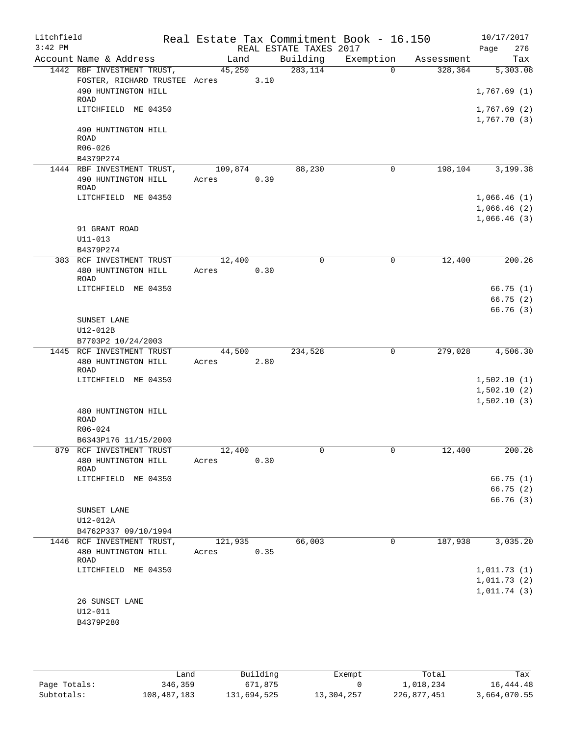| Litchfield<br>$3:42$ PM |                                                   |                  |      | Real Estate Tax Commitment Book - 16.150 |             |            | 10/17/2017            |
|-------------------------|---------------------------------------------------|------------------|------|------------------------------------------|-------------|------------|-----------------------|
|                         | Account Name & Address                            | Land             |      | REAL ESTATE TAXES 2017<br>Building       | Exemption   | Assessment | 276<br>Page<br>Tax    |
|                         | 1442 RBF INVESTMENT TRUST,                        | 45,250           |      | 283,114                                  | $\Omega$    | 328,364    | $\overline{5,303.08}$ |
|                         | FOSTER, RICHARD TRUSTEE Acres 3.10                |                  |      |                                          |             |            |                       |
|                         | 490 HUNTINGTON HILL                               |                  |      |                                          |             |            | 1,767.69(1)           |
|                         | ROAD<br>LITCHFIELD ME 04350                       |                  |      |                                          |             |            | 1,767.69(2)           |
|                         | 490 HUNTINGTON HILL<br><b>ROAD</b><br>$R06 - 026$ |                  |      |                                          |             |            | 1,767.70(3)           |
|                         | B4379P274                                         |                  |      |                                          |             |            |                       |
|                         | 1444 RBF INVESTMENT TRUST,                        | 109,874          |      | 88,230                                   | 0           | 198,104    | 3,199.38              |
|                         | 490 HUNTINGTON HILL<br>ROAD                       | 0.39<br>Acres    |      |                                          |             |            |                       |
|                         | LITCHFIELD ME 04350                               |                  |      |                                          |             |            | 1,066.46(1)           |
|                         |                                                   |                  |      |                                          |             |            | 1,066.46(2)           |
|                         |                                                   |                  |      |                                          |             |            | 1,066.46(3)           |
|                         | 91 GRANT ROAD                                     |                  |      |                                          |             |            |                       |
|                         | $U11 - 013$<br>B4379P274                          |                  |      |                                          |             |            |                       |
|                         | 383 RCF INVESTMENT TRUST                          | 12,400           |      | $\Omega$                                 | 0           | 12,400     | 200.26                |
|                         | 480 HUNTINGTON HILL                               | Acres            | 0.30 |                                          |             |            |                       |
|                         | ROAD                                              |                  |      |                                          |             |            |                       |
|                         | LITCHFIELD ME 04350                               |                  |      |                                          |             |            | 66.75(1)              |
|                         |                                                   |                  |      |                                          |             |            | 66.75(2)<br>66.76(3)  |
|                         | SUNSET LANE                                       |                  |      |                                          |             |            |                       |
|                         | U12-012B                                          |                  |      |                                          |             |            |                       |
|                         | B7703P2 10/24/2003                                |                  |      |                                          |             |            |                       |
|                         | 1445 RCF INVESTMENT TRUST                         | 44,500           |      | 234,528                                  | $\mathbf 0$ | 279,028    | 4,506.30              |
|                         | 480 HUNTINGTON HILL<br><b>ROAD</b>                | Acres            | 2.80 |                                          |             |            |                       |
|                         | LITCHFIELD ME 04350                               |                  |      |                                          |             |            | 1,502.10(1)           |
|                         |                                                   |                  |      |                                          |             |            | 1,502.10(2)           |
|                         |                                                   |                  |      |                                          |             |            | 1,502.10(3)           |
|                         | 480 HUNTINGTON HILL<br><b>ROAD</b>                |                  |      |                                          |             |            |                       |
|                         | R06-024                                           |                  |      |                                          |             |            |                       |
|                         | B6343P176 11/15/2000                              |                  |      |                                          |             |            |                       |
|                         | 879 RCF INVESTMENT TRUST                          | 12,400           |      | U                                        | U           | 12,400     | 200.26                |
|                         | 480 HUNTINGTON HILL<br>ROAD                       | Acres            | 0.30 |                                          |             |            |                       |
|                         | LITCHFIELD ME 04350                               |                  |      |                                          |             |            | 66.75(1)              |
|                         |                                                   |                  |      |                                          |             |            | 66.75(2)              |
|                         |                                                   |                  |      |                                          |             |            | 66.76 (3)             |
|                         | SUNSET LANE                                       |                  |      |                                          |             |            |                       |
|                         | U12-012A                                          |                  |      |                                          |             |            |                       |
|                         | B4762P337 09/10/1994                              |                  |      | 66,003                                   |             |            |                       |
|                         | 1446 RCF INVESTMENT TRUST,<br>480 HUNTINGTON HILL | 121,935<br>Acres | 0.35 |                                          | 0           | 187,938    | 3,035.20              |
|                         | ROAD                                              |                  |      |                                          |             |            |                       |
|                         | LITCHFIELD ME 04350                               |                  |      |                                          |             |            | 1,011.73(1)           |
|                         |                                                   |                  |      |                                          |             |            | 1,011.73(2)           |
|                         |                                                   |                  |      |                                          |             |            | 1,011.74(3)           |
|                         | 26 SUNSET LANE                                    |                  |      |                                          |             |            |                       |
|                         | U12-011<br>B4379P280                              |                  |      |                                          |             |            |                       |
|                         |                                                   |                  |      |                                          |             |            |                       |
|                         |                                                   |                  |      |                                          |             |            |                       |

|              | Land        | Building    | Exempt     | Total       | Tax          |
|--------------|-------------|-------------|------------|-------------|--------------|
| Page Totals: | 346,359     | 671,875     |            | 1,018,234   | 16,444.48    |
| Subtotals:   | 108,487,183 | 131,694,525 | 13,304,257 | 226,877,451 | 3,664,070.55 |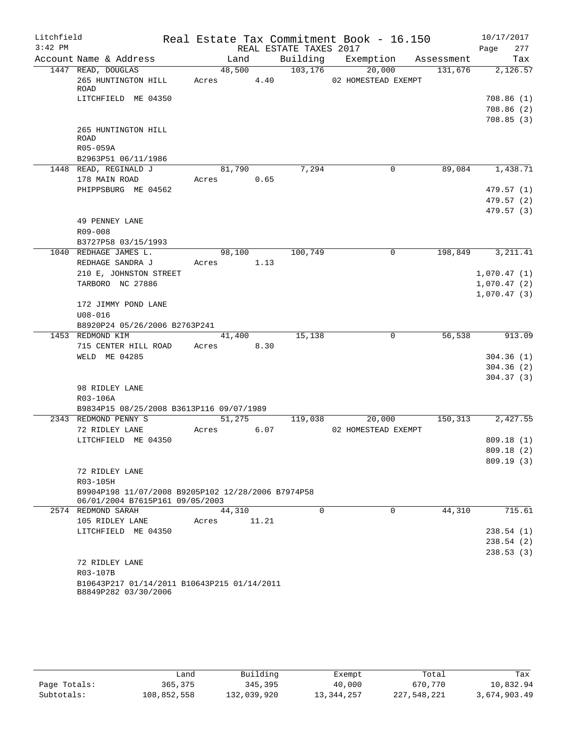| Litchfield<br>$3:42$ PM |                                                       |        |       | REAL ESTATE TAXES 2017 | Real Estate Tax Commitment Book - 16.150 |            | 10/17/2017<br>Page<br>277 |
|-------------------------|-------------------------------------------------------|--------|-------|------------------------|------------------------------------------|------------|---------------------------|
|                         | Account Name & Address                                | Land   |       | Building               | Exemption                                | Assessment | Tax                       |
|                         | 1447 READ, DOUGLAS                                    | 48,500 |       | 103,176                | 20,000                                   | 131,676    | 2,126.57                  |
|                         | 265 HUNTINGTON HILL<br>ROAD                           | Acres  | 4.40  |                        | 02 HOMESTEAD EXEMPT                      |            |                           |
|                         | LITCHFIELD ME 04350                                   |        |       |                        |                                          |            | 708.86 (1)                |
|                         |                                                       |        |       |                        |                                          |            | 708.86 (2)                |
|                         |                                                       |        |       |                        |                                          |            | 708.85(3)                 |
|                         | 265 HUNTINGTON HILL<br>ROAD                           |        |       |                        |                                          |            |                           |
|                         | R05-059A                                              |        |       |                        |                                          |            |                           |
|                         | B2963P51 06/11/1986                                   |        |       |                        |                                          |            |                           |
|                         | 1448 READ, REGINALD J                                 | 81,790 |       | 7,294                  | 0                                        | 89,084     | 1,438.71                  |
|                         | 178 MAIN ROAD                                         | Acres  | 0.65  |                        |                                          |            |                           |
|                         | PHIPPSBURG ME 04562                                   |        |       |                        |                                          |            | 479.57(1)                 |
|                         |                                                       |        |       |                        |                                          |            | 479.57 (2)                |
|                         |                                                       |        |       |                        |                                          |            | 479.57 (3)                |
|                         | 49 PENNEY LANE                                        |        |       |                        |                                          |            |                           |
|                         | R09-008                                               |        |       |                        |                                          |            |                           |
|                         | B3727P58 03/15/1993                                   |        |       |                        |                                          |            |                           |
|                         | 1040 REDHAGE JAMES L.                                 | 98,100 |       | 100,749                | 0                                        | 198,849    | 3, 211.41                 |
|                         | REDHAGE SANDRA J                                      | Acres  | 1.13  |                        |                                          |            |                           |
|                         | 210 E, JOHNSTON STREET                                |        |       |                        |                                          |            | 1,070.47(1)               |
|                         | TARBORO NC 27886                                      |        |       |                        |                                          |            | 1,070.47(2)               |
|                         |                                                       |        |       |                        |                                          |            | 1,070.47(3)               |
|                         | 172 JIMMY POND LANE                                   |        |       |                        |                                          |            |                           |
|                         | $U08 - 016$                                           |        |       |                        |                                          |            |                           |
|                         | B8920P24 05/26/2006 B2763P241                         |        |       |                        |                                          |            |                           |
|                         | 1453 REDMOND KIM                                      | 41,400 |       | 15,138                 | 0                                        | 56,538     | 913.09                    |
|                         | 715 CENTER HILL ROAD                                  | Acres  | 8.30  |                        |                                          |            |                           |
|                         | WELD ME 04285                                         |        |       |                        |                                          |            | 304.36(1)                 |
|                         |                                                       |        |       |                        |                                          |            | 304.36(2)                 |
|                         |                                                       |        |       |                        |                                          |            | 304.37(3)                 |
|                         | 98 RIDLEY LANE                                        |        |       |                        |                                          |            |                           |
|                         | R03-106A                                              |        |       |                        |                                          |            |                           |
|                         | B9834P15 08/25/2008 B3613P116 09/07/1989              |        |       |                        |                                          |            |                           |
|                         | 2343 REDMOND PENNY S                                  | 51,275 |       | 119,038                | 20,000                                   | 150,313    | 2,427.55                  |
|                         | 72 RIDLEY LANE                                        | Acres  | 6.07  |                        | 02 HOMESTEAD EXEMPT                      |            |                           |
|                         | LITCHFIELD ME 04350                                   |        |       |                        |                                          |            | 809.18(1)                 |
|                         |                                                       |        |       |                        |                                          |            | 809.18 (2)                |
|                         |                                                       |        |       |                        |                                          |            | 809.19(3)                 |
|                         | 72 RIDLEY LANE                                        |        |       |                        |                                          |            |                           |
|                         | R03-105H                                              |        |       |                        |                                          |            |                           |
|                         | B9904P198 11/07/2008 B9205P102 12/28/2006 B7974P58    |        |       |                        |                                          |            |                           |
|                         | 06/01/2004 B7615P161 09/05/2003<br>2574 REDMOND SARAH |        |       | $\Omega$               | $\Omega$                                 | 44,310     | 715.61                    |
|                         |                                                       | 44,310 |       |                        |                                          |            |                           |
|                         | 105 RIDLEY LANE<br>LITCHFIELD ME 04350                | Acres  | 11.21 |                        |                                          |            | 238.54(1)                 |
|                         |                                                       |        |       |                        |                                          |            | 238.54(2)                 |
|                         |                                                       |        |       |                        |                                          |            | 238.53(3)                 |
|                         | 72 RIDLEY LANE                                        |        |       |                        |                                          |            |                           |
|                         | R03-107B                                              |        |       |                        |                                          |            |                           |
|                         | B10643P217 01/14/2011 B10643P215 01/14/2011           |        |       |                        |                                          |            |                           |
|                         | B8849P282 03/30/2006                                  |        |       |                        |                                          |            |                           |
|                         |                                                       |        |       |                        |                                          |            |                           |

|              | Land        | Building    | Exempt       | Total       | Tax          |
|--------------|-------------|-------------|--------------|-------------|--------------|
| Page Totals: | 365,375     | 345,395     | 40,000       | 670,770     | 10,832.94    |
| Subtotals:   | 108,852,558 | 132,039,920 | 13, 344, 257 | 227,548,221 | 3,674,903.49 |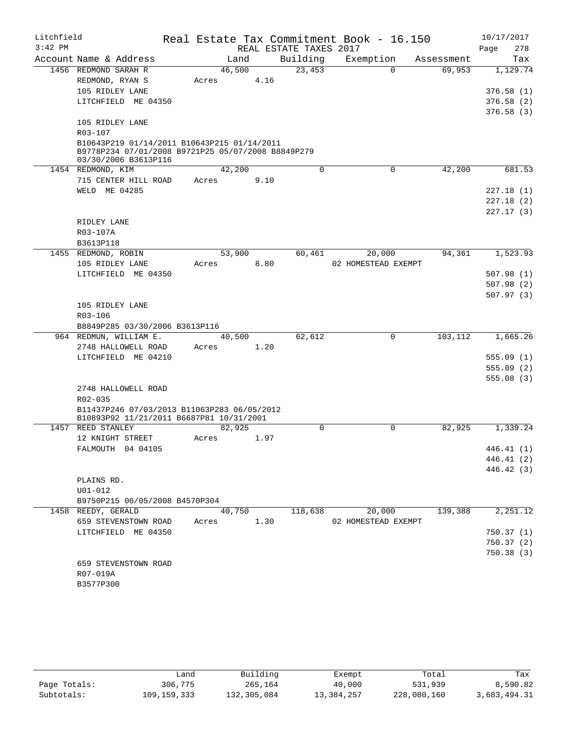| Litchfield |                                                                                                                           |        |        |      | Real Estate Tax Commitment Book - 16.150 |                     |            |      | 10/17/2017              |
|------------|---------------------------------------------------------------------------------------------------------------------------|--------|--------|------|------------------------------------------|---------------------|------------|------|-------------------------|
| $3:42$ PM  |                                                                                                                           |        |        |      | REAL ESTATE TAXES 2017                   |                     |            | Page | 278                     |
|            | Account Name & Address                                                                                                    |        | Land   |      | Building                                 | Exemption           | Assessment |      | Tax                     |
|            | 1456 REDMOND SARAH R                                                                                                      | 46,500 |        |      | 23,453                                   | $\Omega$            | 69,953     |      | 1,129.74                |
|            | REDMOND, RYAN S                                                                                                           | Acres  |        | 4.16 |                                          |                     |            |      |                         |
|            | 105 RIDLEY LANE                                                                                                           |        |        |      |                                          |                     |            |      | 376.58(1)               |
|            | LITCHFIELD ME 04350                                                                                                       |        |        |      |                                          |                     |            |      | 376.58(2)               |
|            |                                                                                                                           |        |        |      |                                          |                     |            |      | 376.58(3)               |
|            | 105 RIDLEY LANE                                                                                                           |        |        |      |                                          |                     |            |      |                         |
|            | R03-107                                                                                                                   |        |        |      |                                          |                     |            |      |                         |
|            | B10643P219 01/14/2011 B10643P215 01/14/2011<br>B9778P234 07/01/2008 B9721P25 05/07/2008 B8849P279<br>03/30/2006 B3613P116 |        |        |      |                                          |                     |            |      |                         |
|            | 1454 REDMOND, KIM                                                                                                         | 42,200 |        |      | 0                                        | $\Omega$            | 42,200     |      | 681.53                  |
|            | 715 CENTER HILL ROAD                                                                                                      | Acres  |        | 9.10 |                                          |                     |            |      |                         |
|            | WELD ME 04285                                                                                                             |        |        |      |                                          |                     |            |      | 227.18 (1)              |
|            |                                                                                                                           |        |        |      |                                          |                     |            |      | 227.18(2)               |
|            |                                                                                                                           |        |        |      |                                          |                     |            |      | 227.17 (3)              |
|            | RIDLEY LANE                                                                                                               |        |        |      |                                          |                     |            |      |                         |
|            | R03-107A                                                                                                                  |        |        |      |                                          |                     |            |      |                         |
|            | B3613P118                                                                                                                 |        |        |      |                                          |                     |            |      |                         |
|            | 1455 REDMOND, ROBIN                                                                                                       | 53,900 |        |      | 60,461                                   | 20,000              | 94,361     |      | 1,523.93                |
|            | 105 RIDLEY LANE                                                                                                           | Acres  |        | 8.80 |                                          | 02 HOMESTEAD EXEMPT |            |      |                         |
|            | LITCHFIELD ME 04350                                                                                                       |        |        |      |                                          |                     |            |      | 507.98(1)               |
|            |                                                                                                                           |        |        |      |                                          |                     |            |      | 507.98(2)               |
|            |                                                                                                                           |        |        |      |                                          |                     |            |      | 507.97(3)               |
|            | 105 RIDLEY LANE                                                                                                           |        |        |      |                                          |                     |            |      |                         |
|            | R03-106                                                                                                                   |        |        |      |                                          |                     |            |      |                         |
|            | B8849P285 03/30/2006 B3613P116                                                                                            |        |        |      |                                          |                     |            |      |                         |
|            | 964 REDMUN, WILLIAM E.                                                                                                    | 40,500 |        |      | 62,612                                   | 0                   | 103,112    |      | 1,665.26                |
|            | 2748 HALLOWELL ROAD<br>LITCHFIELD ME 04210                                                                                | Acres  |        | 1.20 |                                          |                     |            |      |                         |
|            |                                                                                                                           |        |        |      |                                          |                     |            |      | 555.09(1)<br>555.09 (2) |
|            |                                                                                                                           |        |        |      |                                          |                     |            |      | 555.08(3)               |
|            | 2748 HALLOWELL ROAD                                                                                                       |        |        |      |                                          |                     |            |      |                         |
|            | R02-035                                                                                                                   |        |        |      |                                          |                     |            |      |                         |
|            | B11437P246 07/03/2013 B11063P283 06/05/2012<br>B10893P92 11/21/2011 B6687P81 10/31/2001                                   |        |        |      |                                          |                     |            |      |                         |
|            | 1457 REED STANLEY                                                                                                         | 82,925 |        |      | 0                                        | 0                   | 82,925     |      | 1,339.24                |
|            | 12 KNIGHT STREET                                                                                                          | Acres  |        | 1.97 |                                          |                     |            |      |                         |
|            | FALMOUTH 04 04105                                                                                                         |        |        |      |                                          |                     |            |      | 446.41 (1)              |
|            |                                                                                                                           |        |        |      |                                          |                     |            |      | 446.41 (2)              |
|            |                                                                                                                           |        |        |      |                                          |                     |            |      | 446.42 (3)              |
|            | PLAINS RD.                                                                                                                |        |        |      |                                          |                     |            |      |                         |
|            | $U01 - 012$                                                                                                               |        |        |      |                                          |                     |            |      |                         |
|            | B9750P215 06/05/2008 B4570P304                                                                                            |        |        |      |                                          |                     |            |      |                         |
|            | 1458 REEDY, GERALD                                                                                                        |        | 40,750 |      | 118,638                                  | 20,000              | 139,388    |      | $\overline{2,251.12}$   |
|            | 659 STEVENSTOWN ROAD                                                                                                      | Acres  |        | 1.30 |                                          | 02 HOMESTEAD EXEMPT |            |      |                         |
|            | LITCHFIELD ME 04350                                                                                                       |        |        |      |                                          |                     |            |      | 750.37(1)               |
|            |                                                                                                                           |        |        |      |                                          |                     |            |      | 750.37(2)               |
|            |                                                                                                                           |        |        |      |                                          |                     |            |      | 750.38(3)               |
|            | 659 STEVENSTOWN ROAD                                                                                                      |        |        |      |                                          |                     |            |      |                         |
|            | R07-019A                                                                                                                  |        |        |      |                                          |                     |            |      |                         |
|            | B3577P300                                                                                                                 |        |        |      |                                          |                     |            |      |                         |

|              | Land        | Building    | Exempt     | Total       | Tax          |
|--------------|-------------|-------------|------------|-------------|--------------|
| Page Totals: | 306,775     | 265,164     | 40,000     | 531,939     | 8,590.82     |
| Subtotals:   | 109,159,333 | 132,305,084 | 13,384,257 | 228,080,160 | 3,683,494.31 |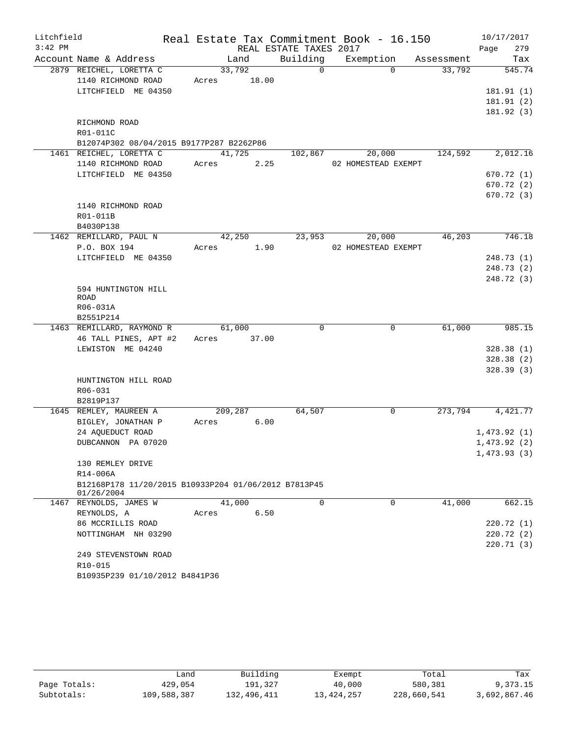| Litchfield |                                                                    |                |                        | Real Estate Tax Commitment Book - 16.150 |            | 10/17/2017  |
|------------|--------------------------------------------------------------------|----------------|------------------------|------------------------------------------|------------|-------------|
| $3:42$ PM  |                                                                    |                | REAL ESTATE TAXES 2017 |                                          |            | 279<br>Page |
|            | Account Name & Address                                             | Land           | Building               | Exemption                                | Assessment | Tax         |
|            | 2879 REICHEL, LORETTA C                                            | 33,792         | $\Omega$               | $\Omega$                                 | 33,792     | 545.74      |
|            | 1140 RICHMOND ROAD                                                 | 18.00<br>Acres |                        |                                          |            |             |
|            | LITCHFIELD ME 04350                                                |                |                        |                                          |            | 181.91 (1)  |
|            |                                                                    |                |                        |                                          |            | 181.91(2)   |
|            |                                                                    |                |                        |                                          |            | 181.92(3)   |
|            | RICHMOND ROAD                                                      |                |                        |                                          |            |             |
|            | R01-011C                                                           |                |                        |                                          |            |             |
|            | B12074P302 08/04/2015 B9177P287 B2262P86                           |                |                        |                                          |            |             |
|            | 1461 REICHEL, LORETTA C                                            | 41,725         | 102,867                | 20,000                                   | 124,592    | 2,012.16    |
|            | 1140 RICHMOND ROAD                                                 | 2.25<br>Acres  |                        | 02 HOMESTEAD EXEMPT                      |            |             |
|            | LITCHFIELD ME 04350                                                |                |                        |                                          |            | 670.72(1)   |
|            |                                                                    |                |                        |                                          |            | 670.72(2)   |
|            |                                                                    |                |                        |                                          |            | 670.72(3)   |
|            | 1140 RICHMOND ROAD                                                 |                |                        |                                          |            |             |
|            | R01-011B                                                           |                |                        |                                          |            |             |
|            | B4030P138<br>1462 REMILLARD, PAUL N                                | 42,250         | 23,953                 | 20,000                                   | 46,203     | 746.18      |
|            | P.O. BOX 194                                                       | 1.90<br>Acres  |                        | 02 HOMESTEAD EXEMPT                      |            |             |
|            | LITCHFIELD ME 04350                                                |                |                        |                                          |            | 248.73(1)   |
|            |                                                                    |                |                        |                                          |            | 248.73 (2)  |
|            |                                                                    |                |                        |                                          |            | 248.72 (3)  |
|            | 594 HUNTINGTON HILL                                                |                |                        |                                          |            |             |
|            | ROAD                                                               |                |                        |                                          |            |             |
|            | R06-031A                                                           |                |                        |                                          |            |             |
|            | B2551P214                                                          |                |                        |                                          |            |             |
|            | 1463 REMILLARD, RAYMOND R                                          | 61,000         | $\Omega$               | $\mathbf 0$                              | 61,000     | 985.15      |
|            | 46 TALL PINES, APT #2                                              | 37.00<br>Acres |                        |                                          |            |             |
|            | LEWISTON ME 04240                                                  |                |                        |                                          |            | 328.38(1)   |
|            |                                                                    |                |                        |                                          |            | 328.38(2)   |
|            |                                                                    |                |                        |                                          |            | 328.39(3)   |
|            | HUNTINGTON HILL ROAD                                               |                |                        |                                          |            |             |
|            | R06-031                                                            |                |                        |                                          |            |             |
|            | B2819P137                                                          |                |                        |                                          |            |             |
|            | 1645 REMLEY, MAUREEN A                                             | 209,287        | 64,507                 | 0                                        | 273,794    | 4,421.77    |
|            | BIGLEY, JONATHAN P                                                 | 6.00<br>Acres  |                        |                                          |            |             |
|            | 24 AQUEDUCT ROAD                                                   |                |                        |                                          |            | 1,473.92(1) |
|            | DUBCANNON PA 07020                                                 |                |                        |                                          |            | 1,473.92(2) |
|            |                                                                    |                |                        |                                          |            | 1,473.93(3) |
|            | 130 REMLEY DRIVE                                                   |                |                        |                                          |            |             |
|            | R14-006A                                                           |                |                        |                                          |            |             |
|            | B12168P178 11/20/2015 B10933P204 01/06/2012 B7813P45<br>01/26/2004 |                |                        |                                          |            |             |
|            | 1467 REYNOLDS, JAMES W                                             | 41,000         | $\Omega$               | $\Omega$                                 | 41,000     | 662.15      |
|            | REYNOLDS, A                                                        | 6.50<br>Acres  |                        |                                          |            |             |
|            | 86 MCCRILLIS ROAD                                                  |                |                        |                                          |            | 220.72 (1)  |
|            | NOTTINGHAM NH 03290                                                |                |                        |                                          |            | 220.72(2)   |
|            |                                                                    |                |                        |                                          |            | 220.71 (3)  |
|            | 249 STEVENSTOWN ROAD                                               |                |                        |                                          |            |             |
|            | R10-015                                                            |                |                        |                                          |            |             |
|            | B10935P239 01/10/2012 B4841P36                                     |                |                        |                                          |            |             |

|              | Land        | Building    | Exempt     | Total       | Tax          |
|--------------|-------------|-------------|------------|-------------|--------------|
| Page Totals: | 429,054     | 191,327     | 40,000     | 580,381     | 9,373.15     |
| Subtotals:   | 109,588,387 | 132,496,411 | 13,424,257 | 228,660,541 | 3,692,867.46 |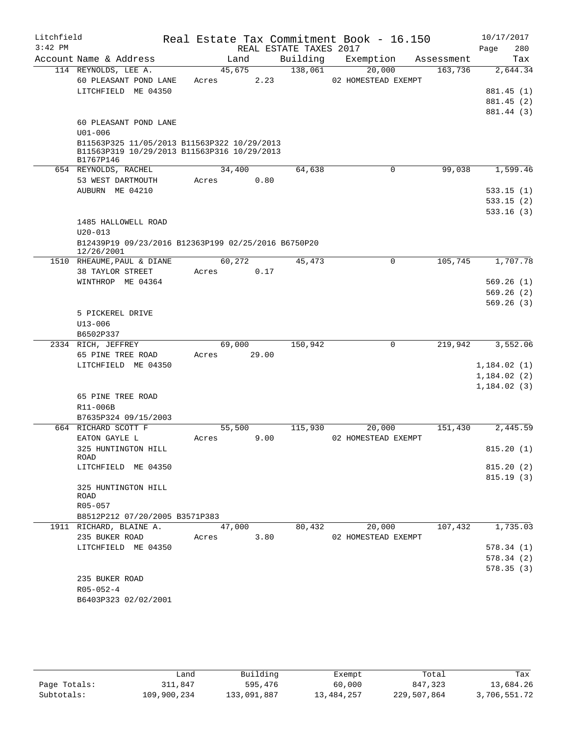| Litchfield |                                                                                                         |            |                 |                        | Real Estate Tax Commitment Book - 16.150 |            | 10/17/2017       |
|------------|---------------------------------------------------------------------------------------------------------|------------|-----------------|------------------------|------------------------------------------|------------|------------------|
| $3:42$ PM  |                                                                                                         |            |                 | REAL ESTATE TAXES 2017 |                                          |            | 280<br>Page      |
|            | Account Name & Address                                                                                  |            | Land            | Building               | Exemption                                | Assessment | Tax              |
|            | 114 REYNOLDS, LEE A.                                                                                    |            | 45,675          | 138,061                | 20,000                                   | 163,736    | 2,644.34         |
|            | 60 PLEASANT POND LANE                                                                                   | Acres      | 2.23            |                        | 02 HOMESTEAD EXEMPT                      |            |                  |
|            | LITCHFIELD ME 04350                                                                                     |            |                 |                        |                                          |            | 881.45 (1)       |
|            |                                                                                                         |            |                 |                        |                                          |            | 881.45 (2)       |
|            |                                                                                                         |            |                 |                        |                                          |            | 881.44 (3)       |
|            | 60 PLEASANT POND LANE                                                                                   |            |                 |                        |                                          |            |                  |
|            | $U01 - 006$                                                                                             |            |                 |                        |                                          |            |                  |
|            | B11563P325 11/05/2013 B11563P322 10/29/2013<br>B11563P319 10/29/2013 B11563P316 10/29/2013<br>B1767P146 |            |                 |                        |                                          |            |                  |
|            | 654 REYNOLDS, RACHEL                                                                                    |            | 34,400          | 64,638                 | $\Omega$                                 | 99,038     | 1,599.46         |
|            | 53 WEST DARTMOUTH                                                                                       | Acres      | 0.80            |                        |                                          |            |                  |
|            | AUBURN ME 04210                                                                                         |            |                 |                        |                                          |            | 533.15(1)        |
|            |                                                                                                         |            |                 |                        |                                          |            | 533.15(2)        |
|            |                                                                                                         |            |                 |                        |                                          |            | 533.16(3)        |
|            | 1485 HALLOWELL ROAD                                                                                     |            |                 |                        |                                          |            |                  |
|            | $U20 - 013$                                                                                             |            |                 |                        |                                          |            |                  |
|            | B12439P19 09/23/2016 B12363P199 02/25/2016 B6750P20                                                     |            |                 |                        |                                          |            |                  |
|            | 12/26/2001                                                                                              |            |                 |                        |                                          |            |                  |
|            | 1510 RHEAUME, PAUL & DIANE                                                                              |            | 60,272          | 45,473                 | 0                                        | 105,745    | 1,707.78         |
|            | 38 TAYLOR STREET                                                                                        | Acres      | 0.17            |                        |                                          |            |                  |
|            | WINTHROP ME 04364                                                                                       |            |                 |                        |                                          |            | 569.26(1)        |
|            |                                                                                                         |            |                 |                        |                                          |            | 569.26(2)        |
|            |                                                                                                         |            |                 |                        |                                          |            | 569.26(3)        |
|            | 5 PICKEREL DRIVE                                                                                        |            |                 |                        |                                          |            |                  |
|            | $U13 - 006$                                                                                             |            |                 |                        |                                          |            |                  |
|            | B6502P337                                                                                               |            |                 |                        |                                          |            |                  |
|            | 2334 RICH, JEFFREY                                                                                      |            | 69,000<br>29.00 | 150,942                | $\mathsf{O}$                             | 219,942    | 3,552.06         |
|            | 65 PINE TREE ROAD<br>LITCHFIELD ME 04350                                                                | Acres      |                 |                        |                                          |            | 1,184.02(1)      |
|            |                                                                                                         |            |                 |                        |                                          |            | 1,184.02(2)      |
|            |                                                                                                         |            |                 |                        |                                          |            | 1,184.02(3)      |
|            | 65 PINE TREE ROAD                                                                                       |            |                 |                        |                                          |            |                  |
|            | R11-006B                                                                                                |            |                 |                        |                                          |            |                  |
|            | B7635P324 09/15/2003                                                                                    |            |                 |                        |                                          |            |                  |
|            | 664 RICHARD SCOTT F                                                                                     |            | 55,500          | 115,930                | 20,000                                   | 151,430    | 2,445.59         |
|            | EATON GAYLE L                                                                                           | Acres      | 9.00            |                        | 02 HOMESTEAD EXEMPT                      |            |                  |
|            | 325 HUNTINGTON HILL                                                                                     |            |                 |                        |                                          |            | 815.20 (1)       |
|            | ROAD                                                                                                    |            |                 |                        |                                          |            |                  |
|            | LITCHFIELD ME 04350                                                                                     |            |                 |                        |                                          |            | 815.20(2)        |
|            |                                                                                                         |            |                 |                        |                                          |            | 815.19(3)        |
|            | 325 HUNTINGTON HILL                                                                                     |            |                 |                        |                                          |            |                  |
|            | ROAD<br>R05-057                                                                                         |            |                 |                        |                                          |            |                  |
|            | B8512P212 07/20/2005 B3571P383                                                                          |            |                 |                        |                                          |            |                  |
|            | 1911 RICHARD, BLAINE A.                                                                                 |            |                 | 47,000 80,432          | 20,000                                   |            | 107,432 1,735.03 |
|            | 235 BUKER ROAD                                                                                          | Acres 3.80 |                 |                        | 02 HOMESTEAD EXEMPT                      |            |                  |
|            | LITCHFIELD ME 04350                                                                                     |            |                 |                        |                                          |            | 578.34(1)        |
|            |                                                                                                         |            |                 |                        |                                          |            | 578.34 (2)       |
|            |                                                                                                         |            |                 |                        |                                          |            | 578.35(3)        |
|            | 235 BUKER ROAD                                                                                          |            |                 |                        |                                          |            |                  |
|            | $R05 - 052 - 4$                                                                                         |            |                 |                        |                                          |            |                  |
|            | B6403P323 02/02/2001                                                                                    |            |                 |                        |                                          |            |                  |
|            |                                                                                                         |            |                 |                        |                                          |            |                  |
|            |                                                                                                         |            |                 |                        |                                          |            |                  |

|              | Land        | Building    | Exempt     | Total       | Tax          |
|--------------|-------------|-------------|------------|-------------|--------------|
| Page Totals: | 311,847     | 595,476     | 60,000     | 847,323     | 13,684.26    |
| Subtotals:   | 109,900,234 | 133,091,887 | 13,484,257 | 229,507,864 | 3,706,551.72 |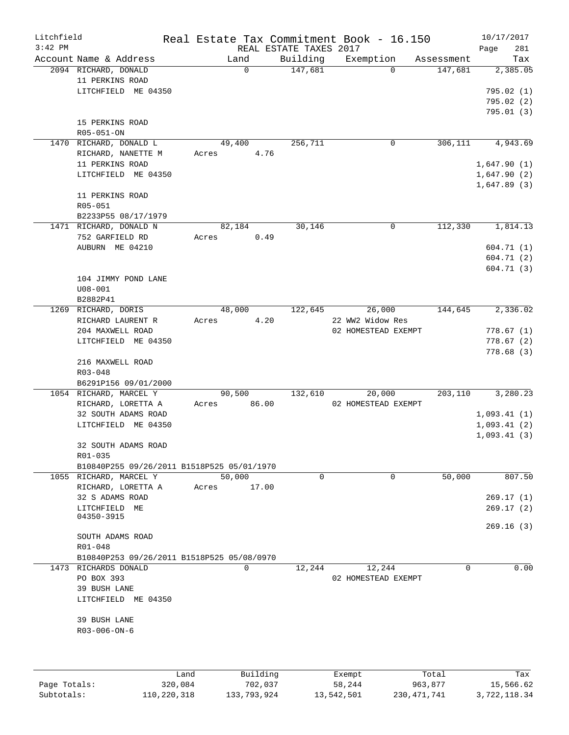| Litchfield   |                                               |                |                        | Real Estate Tax Commitment Book - 16.150 |            | 10/17/2017  |
|--------------|-----------------------------------------------|----------------|------------------------|------------------------------------------|------------|-------------|
| $3:42$ PM    |                                               |                | REAL ESTATE TAXES 2017 |                                          |            | 281<br>Page |
|              | Account Name & Address                        | Land           | Building               | Exemption                                | Assessment | Tax         |
|              | 2094 RICHARD, DONALD<br>11 PERKINS ROAD       | $\Omega$       | 147,681                | $\Omega$                                 | 147,681    | 2,385.05    |
|              | LITCHFIELD ME 04350                           |                |                        |                                          |            | 795.02(1)   |
|              |                                               |                |                        |                                          |            | 795.02 (2)  |
|              |                                               |                |                        |                                          |            |             |
|              |                                               |                |                        |                                          |            | 795.01(3)   |
|              | 15 PERKINS ROAD                               |                |                        |                                          |            |             |
|              | R05-051-ON<br>1470 RICHARD, DONALD L          | 49,400         | 256,711                | 0                                        | 306,111    | 4,943.69    |
|              |                                               |                | 4.76                   |                                          |            |             |
|              | RICHARD, NANETTE M                            | Acres          |                        |                                          |            |             |
|              | 11 PERKINS ROAD                               |                |                        |                                          |            | 1,647.90(1) |
|              | LITCHFIELD ME 04350                           |                |                        |                                          |            | 1,647.90(2) |
|              |                                               |                |                        |                                          |            | 1,647.89(3) |
|              | 11 PERKINS ROAD                               |                |                        |                                          |            |             |
|              | R05-051                                       |                |                        |                                          |            |             |
|              | B2233P55 08/17/1979<br>1471 RICHARD, DONALD N |                |                        | 0                                        | 112,330    | 1,814.13    |
|              |                                               | 82,184         | 30,146                 |                                          |            |             |
|              | 752 GARFIELD RD                               | Acres          | 0.49                   |                                          |            |             |
|              | AUBURN ME 04210                               |                |                        |                                          |            | 604.71 (1)  |
|              |                                               |                |                        |                                          |            | 604.71 (2)  |
|              |                                               |                |                        |                                          |            | 604.71(3)   |
|              | 104 JIMMY POND LANE                           |                |                        |                                          |            |             |
|              | $U08 - 001$                                   |                |                        |                                          |            |             |
|              | B2882P41                                      |                |                        |                                          |            |             |
|              | 1269 RICHARD, DORIS                           | 48,000         | 122,645                | 26,000                                   | 144,645    | 2,336.02    |
|              | RICHARD LAURENT R                             | Acres          | 4.20                   | 22 WW2 Widow Res                         |            |             |
|              | 204 MAXWELL ROAD                              |                |                        | 02 HOMESTEAD EXEMPT                      |            | 778.67(1)   |
|              | LITCHFIELD ME 04350                           |                |                        |                                          |            | 778.67(2)   |
|              |                                               |                |                        |                                          |            | 778.68(3)   |
|              | 216 MAXWELL ROAD                              |                |                        |                                          |            |             |
|              | R03-048                                       |                |                        |                                          |            |             |
|              | B6291P156 09/01/2000                          |                |                        |                                          |            |             |
|              | 1054 RICHARD, MARCEL Y                        | 90,500         | 132,610                | 20,000                                   | 203,110    | 3,280.23    |
|              | RICHARD, LORETTA A                            | 86.00<br>Acres |                        | 02 HOMESTEAD EXEMPT                      |            |             |
|              | 32 SOUTH ADAMS ROAD                           |                |                        |                                          |            | 1,093.41(1) |
|              | LITCHFIELD ME 04350                           |                |                        |                                          |            | 1,093.41(2) |
|              |                                               |                |                        |                                          |            | 1,093.41(3) |
|              | 32 SOUTH ADAMS ROAD                           |                |                        |                                          |            |             |
|              | R01-035                                       |                |                        |                                          |            |             |
|              | B10840P255 09/26/2011 B1518P525 05/01/1970    |                |                        |                                          |            |             |
|              | 1055 RICHARD, MARCEL Y                        | 50,000         | $\mathbf 0$            | $\mathbf 0$                              | 50,000     | 807.50      |
|              | RICHARD, LORETTA A                            | 17.00<br>Acres |                        |                                          |            |             |
|              | 32 S ADAMS ROAD                               |                |                        |                                          |            | 269.17(1)   |
|              | LITCHFIELD ME                                 |                |                        |                                          |            | 269.17(2)   |
|              | 04350-3915                                    |                |                        |                                          |            |             |
|              |                                               |                |                        |                                          |            | 269.16(3)   |
|              | SOUTH ADAMS ROAD                              |                |                        |                                          |            |             |
|              | $R01 - 048$                                   |                |                        |                                          |            |             |
|              | B10840P253 09/26/2011 B1518P525 05/08/0970    |                |                        |                                          |            |             |
|              | 1473 RICHARDS DONALD                          | $\mathbf 0$    | 12,244                 | 12,244                                   | 0          | 0.00        |
|              | PO BOX 393                                    |                |                        | 02 HOMESTEAD EXEMPT                      |            |             |
|              | 39 BUSH LANE                                  |                |                        |                                          |            |             |
|              | LITCHFIELD ME 04350                           |                |                        |                                          |            |             |
|              |                                               |                |                        |                                          |            |             |
|              | 39 BUSH LANE                                  |                |                        |                                          |            |             |
|              | R03-006-ON-6                                  |                |                        |                                          |            |             |
|              |                                               |                |                        |                                          |            |             |
|              |                                               |                |                        |                                          |            |             |
|              |                                               |                |                        |                                          |            |             |
|              | Land                                          | Building       |                        | Exempt                                   | Total      | Tax         |
| Page Totals: | 320,084                                       | 702,037        |                        | 58,244                                   | 963,877    | 15,566.62   |

Subtotals: 110,220,318 133,793,924 13,542,501 230,471,741 3,722,118.34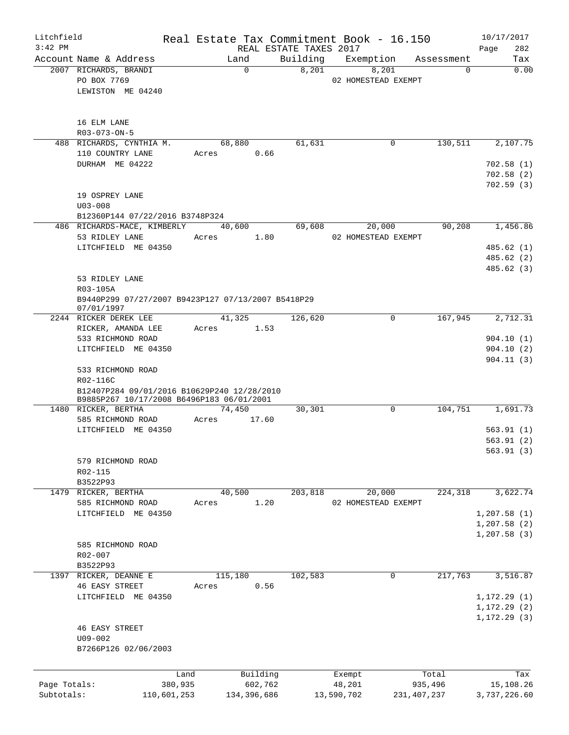| REAL ESTATE TAXES 2017<br>282<br>Building<br>Account Name & Address<br>Exemption<br>Land<br>Tax<br>Assessment<br>0.00<br>2007 RICHARDS, BRANDI<br>$\Omega$<br>8,201<br>8,201<br>$\Omega$<br>PO BOX 7769<br>02 HOMESTEAD EXEMPT<br>LEWISTON ME 04240<br>16 ELM LANE<br>R03-073-ON-5<br>68,880<br>130,511<br>488 RICHARDS, CYNTHIA M.<br>61,631<br>0<br>2,107.75<br>110 COUNTRY LANE<br>0.66<br>Acres<br>DURHAM ME 04222<br>702.58(1)<br>702.58(2)<br>702.59(3)<br>19 OSPREY LANE<br>$U03 - 008$<br>B12360P144 07/22/2016 B3748P324<br>486 RICHARDS-MACE, KIMBERLY<br>90,208<br>1,456.86<br>40,600<br>69,608<br>20,000<br>53 RIDLEY LANE<br>1.80<br>02 HOMESTEAD EXEMPT<br>Acres<br>LITCHFIELD ME 04350<br>485.62(1)<br>485.62 (2)<br>485.62 (3)<br>53 RIDLEY LANE<br>R03-105A<br>B9440P299 07/27/2007 B9423P127 07/13/2007 B5418P29<br>07/01/1997<br>167,945<br>2244 RICKER DEREK LEE<br>41,325<br>126,620<br>0<br>RICKER, AMANDA LEE<br>Acres<br>1.53<br>533 RICHMOND ROAD<br>LITCHFIELD ME 04350<br>533 RICHMOND ROAD<br>R02-116C<br>B12407P284 09/01/2016 B10629P240 12/28/2010<br>B9885P267 10/17/2008 B6496P183 06/01/2001<br>74,450<br>$\mathbf 0$<br>104,751<br>1480 RICKER, BERTHA<br>30,301<br>585 RICHMOND ROAD<br>Acres<br>17.60<br>LITCHFIELD ME 04350<br>579 RICHMOND ROAD<br>R02-115<br>B3522P93<br>40,500<br>203,818<br>20,000<br>224,318<br>1479 RICKER, BERTHA<br>585 RICHMOND ROAD<br>1.20<br>02 HOMESTEAD EXEMPT<br>Acres<br>LITCHFIELD ME 04350<br>585 RICHMOND ROAD<br>$R02 - 007$<br>B3522P93<br>217,763<br>115,180<br>102,583<br>1397 RICKER, DEANNE E<br>0<br><b>46 EASY STREET</b><br>0.56<br>Acres<br>LITCHFIELD ME 04350<br><b>46 EASY STREET</b><br>$U09 - 002$<br>B7266P126 02/06/2003<br>Building<br>Total<br>Land<br>Exempt<br>Page Totals:<br>380,935<br>602,762<br>48,201<br>935,496<br>Subtotals:<br>110,601,253<br>134,396,686<br>13,590,702<br>231, 407, 237 | Litchfield |  |  | Real Estate Tax Commitment Book - 16.150 | 10/17/2017   |
|-------------------------------------------------------------------------------------------------------------------------------------------------------------------------------------------------------------------------------------------------------------------------------------------------------------------------------------------------------------------------------------------------------------------------------------------------------------------------------------------------------------------------------------------------------------------------------------------------------------------------------------------------------------------------------------------------------------------------------------------------------------------------------------------------------------------------------------------------------------------------------------------------------------------------------------------------------------------------------------------------------------------------------------------------------------------------------------------------------------------------------------------------------------------------------------------------------------------------------------------------------------------------------------------------------------------------------------------------------------------------------------------------------------------------------------------------------------------------------------------------------------------------------------------------------------------------------------------------------------------------------------------------------------------------------------------------------------------------------------------------------------------------------------------------------------------------------------------------------------------------------------------------|------------|--|--|------------------------------------------|--------------|
|                                                                                                                                                                                                                                                                                                                                                                                                                                                                                                                                                                                                                                                                                                                                                                                                                                                                                                                                                                                                                                                                                                                                                                                                                                                                                                                                                                                                                                                                                                                                                                                                                                                                                                                                                                                                                                                                                                 | $3:42$ PM  |  |  |                                          | Page         |
|                                                                                                                                                                                                                                                                                                                                                                                                                                                                                                                                                                                                                                                                                                                                                                                                                                                                                                                                                                                                                                                                                                                                                                                                                                                                                                                                                                                                                                                                                                                                                                                                                                                                                                                                                                                                                                                                                                 |            |  |  |                                          |              |
|                                                                                                                                                                                                                                                                                                                                                                                                                                                                                                                                                                                                                                                                                                                                                                                                                                                                                                                                                                                                                                                                                                                                                                                                                                                                                                                                                                                                                                                                                                                                                                                                                                                                                                                                                                                                                                                                                                 |            |  |  |                                          |              |
|                                                                                                                                                                                                                                                                                                                                                                                                                                                                                                                                                                                                                                                                                                                                                                                                                                                                                                                                                                                                                                                                                                                                                                                                                                                                                                                                                                                                                                                                                                                                                                                                                                                                                                                                                                                                                                                                                                 |            |  |  |                                          |              |
|                                                                                                                                                                                                                                                                                                                                                                                                                                                                                                                                                                                                                                                                                                                                                                                                                                                                                                                                                                                                                                                                                                                                                                                                                                                                                                                                                                                                                                                                                                                                                                                                                                                                                                                                                                                                                                                                                                 |            |  |  |                                          |              |
|                                                                                                                                                                                                                                                                                                                                                                                                                                                                                                                                                                                                                                                                                                                                                                                                                                                                                                                                                                                                                                                                                                                                                                                                                                                                                                                                                                                                                                                                                                                                                                                                                                                                                                                                                                                                                                                                                                 |            |  |  |                                          |              |
|                                                                                                                                                                                                                                                                                                                                                                                                                                                                                                                                                                                                                                                                                                                                                                                                                                                                                                                                                                                                                                                                                                                                                                                                                                                                                                                                                                                                                                                                                                                                                                                                                                                                                                                                                                                                                                                                                                 |            |  |  |                                          |              |
|                                                                                                                                                                                                                                                                                                                                                                                                                                                                                                                                                                                                                                                                                                                                                                                                                                                                                                                                                                                                                                                                                                                                                                                                                                                                                                                                                                                                                                                                                                                                                                                                                                                                                                                                                                                                                                                                                                 |            |  |  |                                          |              |
|                                                                                                                                                                                                                                                                                                                                                                                                                                                                                                                                                                                                                                                                                                                                                                                                                                                                                                                                                                                                                                                                                                                                                                                                                                                                                                                                                                                                                                                                                                                                                                                                                                                                                                                                                                                                                                                                                                 |            |  |  |                                          |              |
|                                                                                                                                                                                                                                                                                                                                                                                                                                                                                                                                                                                                                                                                                                                                                                                                                                                                                                                                                                                                                                                                                                                                                                                                                                                                                                                                                                                                                                                                                                                                                                                                                                                                                                                                                                                                                                                                                                 |            |  |  |                                          |              |
|                                                                                                                                                                                                                                                                                                                                                                                                                                                                                                                                                                                                                                                                                                                                                                                                                                                                                                                                                                                                                                                                                                                                                                                                                                                                                                                                                                                                                                                                                                                                                                                                                                                                                                                                                                                                                                                                                                 |            |  |  |                                          |              |
|                                                                                                                                                                                                                                                                                                                                                                                                                                                                                                                                                                                                                                                                                                                                                                                                                                                                                                                                                                                                                                                                                                                                                                                                                                                                                                                                                                                                                                                                                                                                                                                                                                                                                                                                                                                                                                                                                                 |            |  |  |                                          |              |
|                                                                                                                                                                                                                                                                                                                                                                                                                                                                                                                                                                                                                                                                                                                                                                                                                                                                                                                                                                                                                                                                                                                                                                                                                                                                                                                                                                                                                                                                                                                                                                                                                                                                                                                                                                                                                                                                                                 |            |  |  |                                          |              |
|                                                                                                                                                                                                                                                                                                                                                                                                                                                                                                                                                                                                                                                                                                                                                                                                                                                                                                                                                                                                                                                                                                                                                                                                                                                                                                                                                                                                                                                                                                                                                                                                                                                                                                                                                                                                                                                                                                 |            |  |  |                                          |              |
|                                                                                                                                                                                                                                                                                                                                                                                                                                                                                                                                                                                                                                                                                                                                                                                                                                                                                                                                                                                                                                                                                                                                                                                                                                                                                                                                                                                                                                                                                                                                                                                                                                                                                                                                                                                                                                                                                                 |            |  |  |                                          |              |
|                                                                                                                                                                                                                                                                                                                                                                                                                                                                                                                                                                                                                                                                                                                                                                                                                                                                                                                                                                                                                                                                                                                                                                                                                                                                                                                                                                                                                                                                                                                                                                                                                                                                                                                                                                                                                                                                                                 |            |  |  |                                          |              |
| 2,712.31<br>904.10(1)<br>904.10(2)<br>904.11(3)<br>1,691.73<br>563.91(1)<br>563.91(2)<br>563.91(3)<br>3,622.74                                                                                                                                                                                                                                                                                                                                                                                                                                                                                                                                                                                                                                                                                                                                                                                                                                                                                                                                                                                                                                                                                                                                                                                                                                                                                                                                                                                                                                                                                                                                                                                                                                                                                                                                                                                  |            |  |  |                                          |              |
|                                                                                                                                                                                                                                                                                                                                                                                                                                                                                                                                                                                                                                                                                                                                                                                                                                                                                                                                                                                                                                                                                                                                                                                                                                                                                                                                                                                                                                                                                                                                                                                                                                                                                                                                                                                                                                                                                                 |            |  |  |                                          |              |
|                                                                                                                                                                                                                                                                                                                                                                                                                                                                                                                                                                                                                                                                                                                                                                                                                                                                                                                                                                                                                                                                                                                                                                                                                                                                                                                                                                                                                                                                                                                                                                                                                                                                                                                                                                                                                                                                                                 |            |  |  |                                          |              |
|                                                                                                                                                                                                                                                                                                                                                                                                                                                                                                                                                                                                                                                                                                                                                                                                                                                                                                                                                                                                                                                                                                                                                                                                                                                                                                                                                                                                                                                                                                                                                                                                                                                                                                                                                                                                                                                                                                 |            |  |  |                                          |              |
|                                                                                                                                                                                                                                                                                                                                                                                                                                                                                                                                                                                                                                                                                                                                                                                                                                                                                                                                                                                                                                                                                                                                                                                                                                                                                                                                                                                                                                                                                                                                                                                                                                                                                                                                                                                                                                                                                                 |            |  |  |                                          |              |
|                                                                                                                                                                                                                                                                                                                                                                                                                                                                                                                                                                                                                                                                                                                                                                                                                                                                                                                                                                                                                                                                                                                                                                                                                                                                                                                                                                                                                                                                                                                                                                                                                                                                                                                                                                                                                                                                                                 |            |  |  |                                          |              |
|                                                                                                                                                                                                                                                                                                                                                                                                                                                                                                                                                                                                                                                                                                                                                                                                                                                                                                                                                                                                                                                                                                                                                                                                                                                                                                                                                                                                                                                                                                                                                                                                                                                                                                                                                                                                                                                                                                 |            |  |  |                                          |              |
|                                                                                                                                                                                                                                                                                                                                                                                                                                                                                                                                                                                                                                                                                                                                                                                                                                                                                                                                                                                                                                                                                                                                                                                                                                                                                                                                                                                                                                                                                                                                                                                                                                                                                                                                                                                                                                                                                                 |            |  |  |                                          |              |
|                                                                                                                                                                                                                                                                                                                                                                                                                                                                                                                                                                                                                                                                                                                                                                                                                                                                                                                                                                                                                                                                                                                                                                                                                                                                                                                                                                                                                                                                                                                                                                                                                                                                                                                                                                                                                                                                                                 |            |  |  |                                          |              |
|                                                                                                                                                                                                                                                                                                                                                                                                                                                                                                                                                                                                                                                                                                                                                                                                                                                                                                                                                                                                                                                                                                                                                                                                                                                                                                                                                                                                                                                                                                                                                                                                                                                                                                                                                                                                                                                                                                 |            |  |  |                                          |              |
|                                                                                                                                                                                                                                                                                                                                                                                                                                                                                                                                                                                                                                                                                                                                                                                                                                                                                                                                                                                                                                                                                                                                                                                                                                                                                                                                                                                                                                                                                                                                                                                                                                                                                                                                                                                                                                                                                                 |            |  |  |                                          |              |
|                                                                                                                                                                                                                                                                                                                                                                                                                                                                                                                                                                                                                                                                                                                                                                                                                                                                                                                                                                                                                                                                                                                                                                                                                                                                                                                                                                                                                                                                                                                                                                                                                                                                                                                                                                                                                                                                                                 |            |  |  |                                          |              |
|                                                                                                                                                                                                                                                                                                                                                                                                                                                                                                                                                                                                                                                                                                                                                                                                                                                                                                                                                                                                                                                                                                                                                                                                                                                                                                                                                                                                                                                                                                                                                                                                                                                                                                                                                                                                                                                                                                 |            |  |  |                                          |              |
| 1, 207.58(1)<br>1, 207.58(2)<br>1, 207.58(3)<br>3,516.87<br>1, 172.29(1)<br>1,172.29(2)<br>1, 172.29(3)<br>Tax<br>15,108.26                                                                                                                                                                                                                                                                                                                                                                                                                                                                                                                                                                                                                                                                                                                                                                                                                                                                                                                                                                                                                                                                                                                                                                                                                                                                                                                                                                                                                                                                                                                                                                                                                                                                                                                                                                     |            |  |  |                                          |              |
|                                                                                                                                                                                                                                                                                                                                                                                                                                                                                                                                                                                                                                                                                                                                                                                                                                                                                                                                                                                                                                                                                                                                                                                                                                                                                                                                                                                                                                                                                                                                                                                                                                                                                                                                                                                                                                                                                                 |            |  |  |                                          |              |
|                                                                                                                                                                                                                                                                                                                                                                                                                                                                                                                                                                                                                                                                                                                                                                                                                                                                                                                                                                                                                                                                                                                                                                                                                                                                                                                                                                                                                                                                                                                                                                                                                                                                                                                                                                                                                                                                                                 |            |  |  |                                          |              |
|                                                                                                                                                                                                                                                                                                                                                                                                                                                                                                                                                                                                                                                                                                                                                                                                                                                                                                                                                                                                                                                                                                                                                                                                                                                                                                                                                                                                                                                                                                                                                                                                                                                                                                                                                                                                                                                                                                 |            |  |  |                                          |              |
|                                                                                                                                                                                                                                                                                                                                                                                                                                                                                                                                                                                                                                                                                                                                                                                                                                                                                                                                                                                                                                                                                                                                                                                                                                                                                                                                                                                                                                                                                                                                                                                                                                                                                                                                                                                                                                                                                                 |            |  |  |                                          |              |
|                                                                                                                                                                                                                                                                                                                                                                                                                                                                                                                                                                                                                                                                                                                                                                                                                                                                                                                                                                                                                                                                                                                                                                                                                                                                                                                                                                                                                                                                                                                                                                                                                                                                                                                                                                                                                                                                                                 |            |  |  |                                          |              |
|                                                                                                                                                                                                                                                                                                                                                                                                                                                                                                                                                                                                                                                                                                                                                                                                                                                                                                                                                                                                                                                                                                                                                                                                                                                                                                                                                                                                                                                                                                                                                                                                                                                                                                                                                                                                                                                                                                 |            |  |  |                                          |              |
|                                                                                                                                                                                                                                                                                                                                                                                                                                                                                                                                                                                                                                                                                                                                                                                                                                                                                                                                                                                                                                                                                                                                                                                                                                                                                                                                                                                                                                                                                                                                                                                                                                                                                                                                                                                                                                                                                                 |            |  |  |                                          |              |
|                                                                                                                                                                                                                                                                                                                                                                                                                                                                                                                                                                                                                                                                                                                                                                                                                                                                                                                                                                                                                                                                                                                                                                                                                                                                                                                                                                                                                                                                                                                                                                                                                                                                                                                                                                                                                                                                                                 |            |  |  |                                          |              |
|                                                                                                                                                                                                                                                                                                                                                                                                                                                                                                                                                                                                                                                                                                                                                                                                                                                                                                                                                                                                                                                                                                                                                                                                                                                                                                                                                                                                                                                                                                                                                                                                                                                                                                                                                                                                                                                                                                 |            |  |  |                                          |              |
|                                                                                                                                                                                                                                                                                                                                                                                                                                                                                                                                                                                                                                                                                                                                                                                                                                                                                                                                                                                                                                                                                                                                                                                                                                                                                                                                                                                                                                                                                                                                                                                                                                                                                                                                                                                                                                                                                                 |            |  |  |                                          |              |
|                                                                                                                                                                                                                                                                                                                                                                                                                                                                                                                                                                                                                                                                                                                                                                                                                                                                                                                                                                                                                                                                                                                                                                                                                                                                                                                                                                                                                                                                                                                                                                                                                                                                                                                                                                                                                                                                                                 |            |  |  |                                          |              |
|                                                                                                                                                                                                                                                                                                                                                                                                                                                                                                                                                                                                                                                                                                                                                                                                                                                                                                                                                                                                                                                                                                                                                                                                                                                                                                                                                                                                                                                                                                                                                                                                                                                                                                                                                                                                                                                                                                 |            |  |  |                                          |              |
|                                                                                                                                                                                                                                                                                                                                                                                                                                                                                                                                                                                                                                                                                                                                                                                                                                                                                                                                                                                                                                                                                                                                                                                                                                                                                                                                                                                                                                                                                                                                                                                                                                                                                                                                                                                                                                                                                                 |            |  |  |                                          |              |
|                                                                                                                                                                                                                                                                                                                                                                                                                                                                                                                                                                                                                                                                                                                                                                                                                                                                                                                                                                                                                                                                                                                                                                                                                                                                                                                                                                                                                                                                                                                                                                                                                                                                                                                                                                                                                                                                                                 |            |  |  |                                          |              |
|                                                                                                                                                                                                                                                                                                                                                                                                                                                                                                                                                                                                                                                                                                                                                                                                                                                                                                                                                                                                                                                                                                                                                                                                                                                                                                                                                                                                                                                                                                                                                                                                                                                                                                                                                                                                                                                                                                 |            |  |  |                                          |              |
|                                                                                                                                                                                                                                                                                                                                                                                                                                                                                                                                                                                                                                                                                                                                                                                                                                                                                                                                                                                                                                                                                                                                                                                                                                                                                                                                                                                                                                                                                                                                                                                                                                                                                                                                                                                                                                                                                                 |            |  |  |                                          | 3,737,226.60 |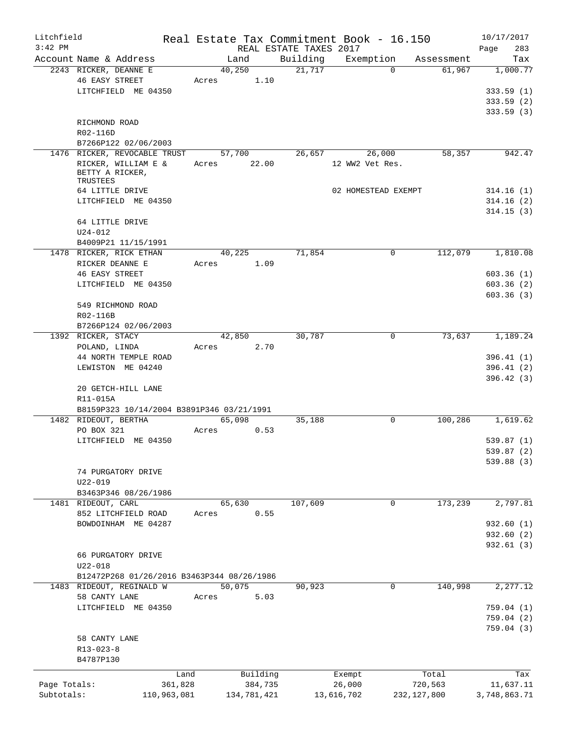| Litchfield<br>$3:42$ PM    |                                                                       |         |                        | REAL ESTATE TAXES 2017 | Real Estate Tax Commitment Book - 16.150 |                          | 10/17/2017<br>Page<br>283 |
|----------------------------|-----------------------------------------------------------------------|---------|------------------------|------------------------|------------------------------------------|--------------------------|---------------------------|
|                            | Account Name & Address                                                |         | Land                   | Building               | Exemption                                | Assessment               | Tax                       |
|                            | 2243 RICKER, DEANNE E<br><b>46 EASY STREET</b><br>LITCHFIELD ME 04350 | Acres   | 40,250                 | 21,717<br>1.10         |                                          | $\Omega$<br>61,967       | 1,000.77<br>333.59(1)     |
|                            |                                                                       |         |                        |                        |                                          |                          | 333.59(2)<br>333.59(3)    |
|                            | RICHMOND ROAD<br>R02-116D                                             |         |                        |                        |                                          |                          |                           |
|                            | B7266P122 02/06/2003<br>1476 RICKER, REVOCABLE TRUST                  |         | 57,700                 | 26,657                 | 26,000                                   | 58,357                   | 942.47                    |
|                            | RICKER, WILLIAM E &<br>BETTY A RICKER,<br>TRUSTEES                    | Acres   |                        | 22.00                  | 12 WW2 Vet Res.                          |                          |                           |
|                            | 64 LITTLE DRIVE                                                       |         |                        |                        | 02 HOMESTEAD EXEMPT                      |                          | 314.16(1)                 |
|                            | LITCHFIELD ME 04350                                                   |         |                        |                        |                                          |                          | 314.16(2)                 |
|                            | 64 LITTLE DRIVE<br>$U24 - 012$                                        |         |                        |                        |                                          |                          | 314.15(3)                 |
|                            | B4009P21 11/15/1991                                                   |         |                        |                        |                                          |                          |                           |
|                            | 1478 RICKER, RICK ETHAN<br>RICKER DEANNE E                            | Acres   | 40,225                 | 71,854<br>1.09         |                                          | 0<br>112,079             | 1,810.08                  |
|                            | <b>46 EASY STREET</b>                                                 |         |                        |                        |                                          |                          | 603.36(1)                 |
|                            | LITCHFIELD ME 04350                                                   |         |                        |                        |                                          |                          | 603.36(2)                 |
|                            | 549 RICHMOND ROAD<br>R02-116B                                         |         |                        |                        |                                          |                          | 603.36(3)                 |
|                            | B7266P124 02/06/2003<br>1392 RICKER, STACY                            |         | 42,850                 | 30,787                 |                                          | 0<br>73,637              | 1,189.24                  |
|                            | POLAND, LINDA                                                         | Acres   |                        | 2.70                   |                                          |                          |                           |
|                            | 44 NORTH TEMPLE ROAD                                                  |         |                        |                        |                                          |                          | 396.41(1)                 |
|                            | LEWISTON ME 04240                                                     |         |                        |                        |                                          |                          | 396.41(2)                 |
|                            | 20 GETCH-HILL LANE<br>R11-015A                                        |         |                        |                        |                                          |                          | 396.42(3)                 |
|                            | B8159P323 10/14/2004 B3891P346 03/21/1991                             |         |                        |                        |                                          |                          |                           |
|                            | 1482 RIDEOUT, BERTHA                                                  |         | 65,098                 | 35,188<br>0.53         |                                          | 0<br>100,286             | 1,619.62                  |
|                            | PO BOX 321<br>LITCHFIELD ME 04350                                     | Acres   |                        |                        |                                          |                          | 539.87(1)                 |
|                            |                                                                       |         |                        |                        |                                          |                          | 539.87(2)                 |
|                            |                                                                       |         |                        |                        |                                          |                          | 539.88(3)                 |
|                            | 74 PURGATORY DRIVE<br>U22-019                                         |         |                        |                        |                                          |                          |                           |
|                            | B3463P346 08/26/1986                                                  |         |                        |                        |                                          |                          |                           |
|                            | 1481 RIDEOUT, CARL                                                    |         | 65,630                 | 107,609                |                                          | 173,239<br>0             | 2,797.81                  |
|                            | 852 LITCHFIELD ROAD                                                   | Acres   |                        | 0.55                   |                                          |                          |                           |
|                            | BOWDOINHAM ME 04287                                                   |         |                        |                        |                                          |                          | 932.60(1)                 |
|                            |                                                                       |         |                        |                        |                                          |                          | 932.60 (2)<br>932.61(3)   |
|                            | 66 PURGATORY DRIVE<br>$U22 - 018$                                     |         |                        |                        |                                          |                          |                           |
|                            | B12472P268 01/26/2016 B3463P344 08/26/1986                            |         |                        |                        |                                          |                          |                           |
|                            | 1483 RIDEOUT, REGINALD W<br>58 CANTY LANE                             |         | 50,075                 | 90,923<br>5.03         |                                          | 140,998<br>$\mathbf 0$   | 2, 277.12                 |
|                            | LITCHFIELD ME 04350                                                   | Acres   |                        |                        |                                          |                          | 759.04(1)                 |
|                            |                                                                       |         |                        |                        |                                          |                          | 759.04(2)                 |
|                            | 58 CANTY LANE<br>$R13 - 023 - 8$                                      |         |                        |                        |                                          |                          | 759.04 (3)                |
|                            | B4787P130                                                             |         |                        |                        |                                          |                          |                           |
|                            |                                                                       | Land    | Building               |                        | Exempt                                   | Total                    | Tax                       |
| Page Totals:<br>Subtotals: | 110,963,081                                                           | 361,828 | 384,735<br>134,781,421 |                        | 26,000<br>13,616,702                     | 720,563<br>232, 127, 800 | 11,637.11<br>3,748,863.71 |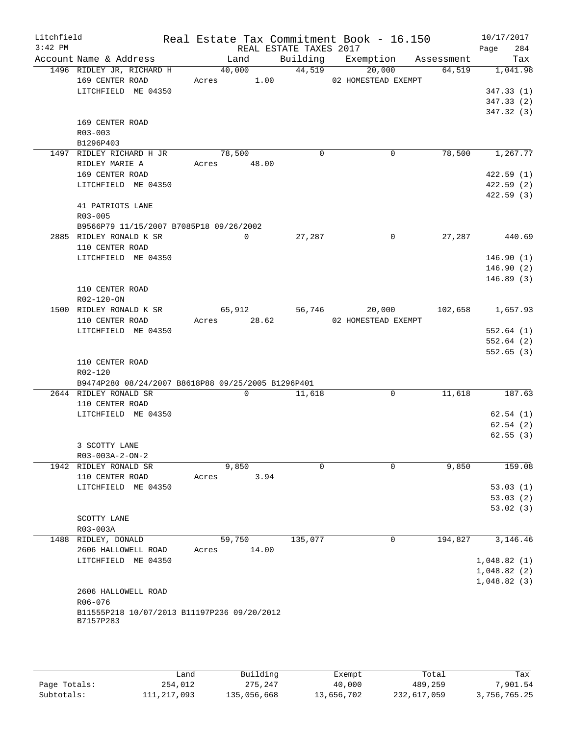| Litchfield | Real Estate Tax Commitment Book - 16.150 10/17/2017 |                |                        |                                       |         |                        |
|------------|-----------------------------------------------------|----------------|------------------------|---------------------------------------|---------|------------------------|
| $3:42$ PM  |                                                     |                | REAL ESTATE TAXES 2017 |                                       |         | 284<br>Page            |
|            | Account Name & Address                              | Land           |                        | Building Exemption Assessment         |         | Tax                    |
|            | 1496 RIDLEY JR, RICHARD H                           | 40,000 44,519  |                        | 20,000                                | 64,519  | 1,041.98               |
|            | 169 CENTER ROAD ACTES 1.00 02 HOMESTEAD EXEMPT      |                |                        |                                       |         |                        |
|            | LITCHFIELD ME 04350                                 |                |                        |                                       |         | 347.33(1)              |
|            |                                                     |                |                        |                                       |         | 347.33(2)<br>347.32(3) |
|            | 169 CENTER ROAD                                     |                |                        |                                       |         |                        |
|            | $R03 - 003$                                         |                |                        |                                       |         |                        |
|            | B1296P403                                           |                |                        |                                       |         |                        |
|            | 1497 RIDLEY RICHARD H JR                            | 78,500         | $\Omega$               | $\overline{0}$                        |         | 78,500 1,267.77        |
|            | RIDLEY MARIE A                                      | Acres 48.00    |                        |                                       |         |                        |
|            | 169 CENTER ROAD                                     |                |                        |                                       |         | 422.59(1)              |
|            | LITCHFIELD ME 04350                                 |                |                        |                                       |         | 422.59(2)              |
|            |                                                     |                |                        |                                       |         | 422.59(3)              |
|            | 41 PATRIOTS LANE                                    |                |                        |                                       |         |                        |
|            | R03-005                                             |                |                        |                                       |         |                        |
|            | B9566P79 11/15/2007 B7085P18 09/26/2002             |                |                        |                                       |         |                        |
|            | 2885 RIDLEY RONALD K SR                             | $\Omega$       | 27,287                 | $\Omega$                              | 27,287  | $\frac{440.69}{ }$     |
|            | 110 CENTER ROAD                                     |                |                        |                                       |         |                        |
|            | LITCHFIELD ME 04350                                 |                |                        |                                       |         | 146.90(1)              |
|            |                                                     |                |                        |                                       |         | 146.90(2)              |
|            |                                                     |                |                        |                                       |         | 146.89(3)              |
|            | 110 CENTER ROAD                                     |                |                        |                                       |         |                        |
|            | R02-120-ON                                          |                |                        |                                       |         |                        |
|            | 1500 RIDLEY RONALD K SR                             |                |                        | 65,912 56,746 20,000 102,658 1,657.93 |         |                        |
|            | 110 CENTER ROAD                                     | Acres 28.62    |                        | 02 HOMESTEAD EXEMPT                   |         |                        |
|            | LITCHFIELD ME 04350                                 |                |                        |                                       |         | 552.64(1)              |
|            |                                                     |                |                        |                                       |         | 552.64(2)              |
|            |                                                     |                |                        |                                       |         | 552.65(3)              |
|            | 110 CENTER ROAD                                     |                |                        |                                       |         |                        |
|            | R02-120                                             |                |                        |                                       |         |                        |
|            | B9474P280 08/24/2007 B8618P88 09/25/2005 B1296P401  |                |                        |                                       |         |                        |
|            | 2644 RIDLEY RONALD SR                               | $\Omega$       | 11,618                 | $\Omega$                              | 11,618  | 187.63                 |
|            | 110 CENTER ROAD                                     |                |                        |                                       |         |                        |
|            | LITCHFIELD ME 04350                                 |                |                        |                                       |         | 62.54(1)               |
|            |                                                     |                |                        |                                       |         | 62.54(2)               |
|            |                                                     |                |                        |                                       |         | 62.55(3)               |
|            | 3 SCOTTY LANE                                       |                |                        |                                       |         |                        |
|            | $R03 - 003A - 2 - ON - 2$                           |                |                        |                                       |         |                        |
|            | 1942 RIDLEY RONALD SR                               | 9,850          | $\Omega$               | $\Omega$                              | 9,850   | 159.08                 |
|            | 110 CENTER ROAD                                     | 3.94<br>Acres  |                        |                                       |         |                        |
|            | LITCHFIELD ME 04350                                 |                |                        |                                       |         | 53.03(1)               |
|            |                                                     |                |                        |                                       |         | 53.03(2)               |
|            |                                                     |                |                        |                                       |         | 53.02(3)               |
|            | SCOTTY LANE<br>R03-003A                             |                |                        |                                       |         |                        |
|            | 1488 RIDLEY, DONALD                                 | 59,750         | 135,077                | 0                                     | 194,827 | 3,146.46               |
|            | 2606 HALLOWELL ROAD                                 | 14.00<br>Acres |                        |                                       |         |                        |
|            | LITCHFIELD ME 04350                                 |                |                        |                                       |         | 1,048.82(1)            |
|            |                                                     |                |                        |                                       |         | 1,048.82(2)            |
|            |                                                     |                |                        |                                       |         | 1,048.82(3)            |
|            | 2606 HALLOWELL ROAD                                 |                |                        |                                       |         |                        |
|            | R06-076                                             |                |                        |                                       |         |                        |
|            | B11555P218 10/07/2013 B11197P236 09/20/2012         |                |                        |                                       |         |                        |
|            | B7157P283                                           |                |                        |                                       |         |                        |
|            |                                                     |                |                        |                                       |         |                        |
|            |                                                     |                |                        |                                       |         |                        |

|              | úand        | Building    | Exempt     | Total       | Tax          |
|--------------|-------------|-------------|------------|-------------|--------------|
| Page Totals: | 254,012     | 275,247     | 40,000     | 489,259     | 7,901.54     |
| Subtotals:   | 111,217,093 | 135,056,668 | 13,656,702 | 232,617,059 | 3,756,765.25 |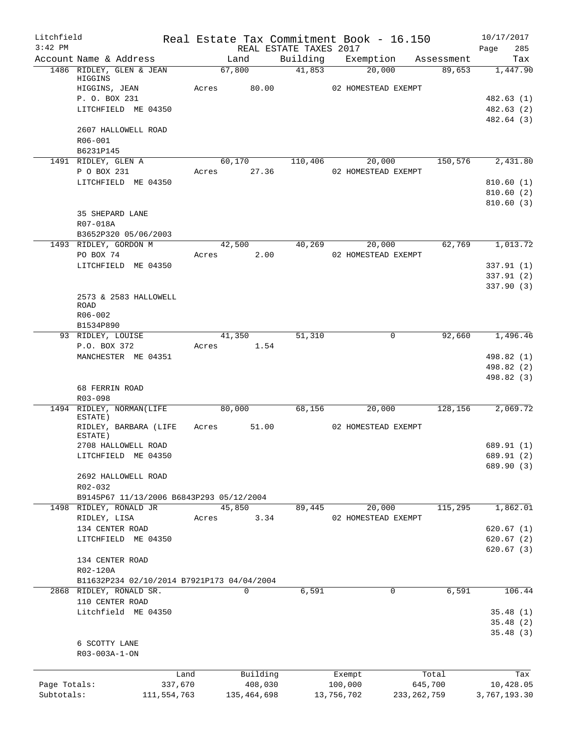| Litchfield<br>$3:42$ PM |                                                                                              |                       |                     | REAL ESTATE TAXES 2017 |            | Real Estate Tax Commitment Book - 16.150 |                  | 10/17/2017<br>285<br>Page                          |
|-------------------------|----------------------------------------------------------------------------------------------|-----------------------|---------------------|------------------------|------------|------------------------------------------|------------------|----------------------------------------------------|
|                         | Account Name & Address                                                                       |                       | Land                |                        |            | Building Exemption Assessment            |                  | Tax                                                |
|                         | 1486 RIDLEY, GLEN & JEAN<br>HIGGINS<br>HIGGINS, JEAN<br>P. O. BOX 231<br>LITCHFIELD ME 04350 | 67,800<br>Acres 80.00 |                     | 41,853                 |            | 20,000<br>02 HOMESTEAD EXEMPT            | 89,653           | 1,447.90<br>482.63 (1)<br>482.63 (2)<br>482.64 (3) |
|                         | 2607 HALLOWELL ROAD<br>$R06 - 001$<br>B6231P145                                              |                       |                     |                        |            |                                          |                  |                                                    |
|                         | 1491 RIDLEY, GLEN A                                                                          |                       |                     | 60,170 110,406         |            | 20,000                                   | 150,576          | 2,431.80                                           |
|                         | P O BOX 231                                                                                  | Acres                 | 27.36               |                        |            | 02 HOMESTEAD EXEMPT                      |                  |                                                    |
|                         | LITCHFIELD ME 04350<br>35 SHEPARD LANE<br>R07-018A                                           |                       |                     |                        |            |                                          |                  | 810.60(1)<br>810.60(2)<br>810.60(3)                |
|                         | B3652P320 05/06/2003                                                                         |                       |                     |                        |            |                                          |                  |                                                    |
|                         | 1493 RIDLEY, GORDON M                                                                        |                       | 42,500              | 40,269                 |            | 20,000                                   | 62,769           | 1,013.72                                           |
|                         | PO BOX 74                                                                                    | Acres                 | 2.00                |                        |            | 02 HOMESTEAD EXEMPT                      |                  |                                                    |
|                         | LITCHFIELD ME 04350                                                                          |                       |                     |                        |            |                                          |                  | 337.91 (1)                                         |
|                         |                                                                                              |                       |                     |                        |            |                                          |                  | 337.91(2)                                          |
|                         | 2573 & 2583 HALLOWELL<br>ROAD<br>R06-002                                                     |                       |                     |                        |            |                                          |                  | 337.90 (3)                                         |
|                         | B1534P890                                                                                    |                       |                     |                        |            |                                          |                  |                                                    |
|                         | 93 RIDLEY, LOUISE                                                                            | Acres 1.54            | 41,350              | 51,310                 |            | 0                                        | 92,660           | 1,496.46                                           |
|                         | P.O. BOX 372<br>MANCHESTER ME 04351                                                          |                       |                     |                        |            |                                          |                  | 498.82 (1)                                         |
|                         |                                                                                              |                       |                     |                        |            |                                          |                  | 498.82 (2)                                         |
|                         | 68 FERRIN ROAD<br>R03-098                                                                    |                       |                     |                        |            |                                          |                  | 498.82 (3)                                         |
|                         | 1494 RIDLEY, NORMAN(LIFE                                                                     | 80,000                |                     | 68,156                 |            | 20,000                                   | 128,156          | 2,069.72                                           |
|                         | ESTATE)<br>RIDLEY, BARBARA (LIFE<br>ESTATE)                                                  | Acres                 | 51.00               |                        |            | 02 HOMESTEAD EXEMPT                      |                  |                                                    |
|                         | 2708 HALLOWELL ROAD                                                                          |                       |                     |                        |            |                                          |                  | 689.91 (1)                                         |
|                         | LITCHFIELD ME 04350                                                                          |                       |                     |                        |            |                                          |                  | 689.91 (2)                                         |
|                         | 2692 HALLOWELL ROAD<br>R02-032                                                               |                       |                     |                        |            |                                          |                  | 689.90 (3)                                         |
|                         | B9145P67 11/13/2006 B6843P293 05/12/2004                                                     |                       |                     |                        |            |                                          |                  |                                                    |
|                         | 1498 RIDLEY, RONALD JR<br>RIDLEY, LISA                                                       | 45,850<br>Acres       | 3.34                | 89,445                 |            | 20,000<br>02 HOMESTEAD EXEMPT            | 115,295          | 1,862.01                                           |
|                         | 134 CENTER ROAD                                                                              |                       |                     |                        |            |                                          |                  | 620.67 (1)                                         |
|                         | LITCHFIELD ME 04350                                                                          |                       |                     |                        |            |                                          |                  | 620.67(2)<br>620.67 (3)                            |
|                         | 134 CENTER ROAD<br>R02-120A                                                                  |                       |                     |                        |            |                                          |                  |                                                    |
|                         | B11632P234 02/10/2014 B7921P173 04/04/2004                                                   |                       |                     |                        |            |                                          |                  |                                                    |
|                         | 2868 RIDLEY, RONALD SR.<br>110 CENTER ROAD                                                   |                       | 0                   | 6,591                  |            | 0                                        | 6,591            | 106.44                                             |
|                         | Litchfield ME 04350                                                                          |                       |                     |                        |            |                                          |                  | 35.48(1)<br>35.48(2)                               |
|                         |                                                                                              |                       |                     |                        |            |                                          |                  | 35.48(3)                                           |
|                         | 6 SCOTTY LANE<br>R03-003A-1-ON                                                               |                       |                     |                        |            |                                          |                  |                                                    |
|                         |                                                                                              |                       |                     |                        |            |                                          |                  |                                                    |
| Page Totals:            | 337,670                                                                                      | Land                  | Building<br>408,030 |                        | 100,000    | Exempt                                   | Total<br>645,700 | Tax<br>10,428.05                                   |
| Subtotals:              | 111,554,763                                                                                  |                       | 135,464,698         |                        | 13,756,702 | 233, 262, 759                            |                  | 3,767,193.30                                       |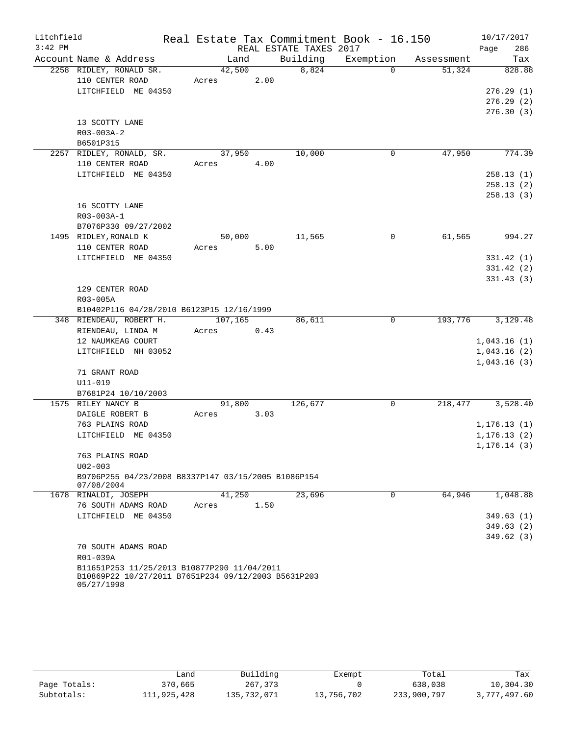| Litchfield |                                                                   | Real Estate Tax Commitment Book - 16.150 |      |                        |             |                      | 10/17/2017   |
|------------|-------------------------------------------------------------------|------------------------------------------|------|------------------------|-------------|----------------------|--------------|
| $3:42$ PM  |                                                                   |                                          |      | REAL ESTATE TAXES 2017 |             |                      | 286<br>Page  |
|            | Account Name & Address                                            | Land                                     |      | Building               |             | Exemption Assessment | Tax          |
|            | 2258 RIDLEY, RONALD SR.                                           | 42,500                                   |      | 8,824                  | $\Omega$    | 51,324               | 828.88       |
|            | 110 CENTER ROAD                                                   | Acres                                    | 2.00 |                        |             |                      |              |
|            | LITCHFIELD ME 04350                                               |                                          |      |                        |             |                      | 276.29(1)    |
|            |                                                                   |                                          |      |                        |             |                      | 276.29(2)    |
|            |                                                                   |                                          |      |                        |             |                      | 276.30(3)    |
|            | 13 SCOTTY LANE                                                    |                                          |      |                        |             |                      |              |
|            | R03-003A-2                                                        |                                          |      |                        |             |                      |              |
|            | B6501P315                                                         |                                          |      |                        |             |                      |              |
|            | 2257 RIDLEY, RONALD, SR.                                          | 37,950                                   |      | 10,000                 | $\mathbf 0$ | 47,950               | 774.39       |
|            | 110 CENTER ROAD                                                   | Acres 4.00                               |      |                        |             |                      |              |
|            | LITCHFIELD ME 04350                                               |                                          |      |                        |             |                      | 258.13(1)    |
|            |                                                                   |                                          |      |                        |             |                      | 258.13(2)    |
|            |                                                                   |                                          |      |                        |             |                      | 258.13(3)    |
|            | 16 SCOTTY LANE                                                    |                                          |      |                        |             |                      |              |
|            | R03-003A-1                                                        |                                          |      |                        |             |                      |              |
|            | B7076P330 09/27/2002                                              |                                          |      |                        |             |                      |              |
|            | 1495 RIDLEY, RONALD K                                             | 50,000                                   |      | 11,565                 | 0           | 61,565               | 994.27       |
|            | 110 CENTER ROAD                                                   | Acres                                    | 5.00 |                        |             |                      |              |
|            | LITCHFIELD ME 04350                                               |                                          |      |                        |             |                      | 331.42(1)    |
|            |                                                                   |                                          |      |                        |             |                      | 331.42(2)    |
|            |                                                                   |                                          |      |                        |             |                      | 331.43(3)    |
|            | 129 CENTER ROAD                                                   |                                          |      |                        |             |                      |              |
|            | R03-005A                                                          |                                          |      |                        |             |                      |              |
|            | B10402P116 04/28/2010 B6123P15 12/16/1999                         |                                          |      |                        |             |                      |              |
|            | 348 RIENDEAU, ROBERT H.                                           | 107,165                                  |      | 86,611                 | $\mathbf 0$ | 193,776              | 3,129.48     |
|            | RIENDEAU, LINDA M                                                 | Acres<br>0.43                            |      |                        |             |                      |              |
|            | 12 NAUMKEAG COURT                                                 |                                          |      |                        |             |                      | 1,043.16(1)  |
|            | LITCHFIELD NH 03052                                               |                                          |      |                        |             |                      | 1,043.16(2)  |
|            |                                                                   |                                          |      |                        |             |                      | 1,043.16(3)  |
|            | 71 GRANT ROAD                                                     |                                          |      |                        |             |                      |              |
|            | $U11 - 019$                                                       |                                          |      |                        |             |                      |              |
|            | B7681P24 10/10/2003                                               |                                          |      |                        |             |                      |              |
|            | 1575 RILEY NANCY B                                                | 91,800                                   |      | 126,677                | 0           | 218,477              | 3,528.40     |
|            | DAIGLE ROBERT B                                                   | Acres                                    | 3.03 |                        |             |                      |              |
|            | 763 PLAINS ROAD                                                   |                                          |      |                        |             |                      | 1, 176.13(1) |
|            | LITCHFIELD ME 04350                                               |                                          |      |                        |             |                      | 1, 176.13(2) |
|            | 763 PLAINS ROAD                                                   |                                          |      |                        |             |                      | 1, 176.14(3) |
|            | $U02 - 003$                                                       |                                          |      |                        |             |                      |              |
|            | B9706P255 04/23/2008 B8337P147 03/15/2005 B1086P154               |                                          |      |                        |             |                      |              |
|            | 07/08/2004                                                        |                                          |      |                        |             |                      |              |
|            | 1678 RINALDI, JOSEPH                                              | 41,250                                   |      | 23,696                 | 0           | 64,946               | 1,048.88     |
|            | 76 SOUTH ADAMS ROAD                                               | Acres                                    | 1.50 |                        |             |                      |              |
|            | LITCHFIELD ME 04350                                               |                                          |      |                        |             |                      | 349.63(1)    |
|            |                                                                   |                                          |      |                        |             |                      | 349.63(2)    |
|            |                                                                   |                                          |      |                        |             |                      | 349.62(3)    |
|            | 70 SOUTH ADAMS ROAD                                               |                                          |      |                        |             |                      |              |
|            | R01-039A                                                          |                                          |      |                        |             |                      |              |
|            | B11651P253 11/25/2013 B10877P290 11/04/2011                       |                                          |      |                        |             |                      |              |
|            | B10869P22 10/27/2011 B7651P234 09/12/2003 B5631P203<br>05/27/1998 |                                          |      |                        |             |                      |              |

|              | Land        | Building    | Exempt     | Total       | Tax          |
|--------------|-------------|-------------|------------|-------------|--------------|
| Page Totals: | 370,665     | 267,373     |            | 638,038     | 10,304.30    |
| Subtotals:   | 111,925,428 | 135,732,071 | 13,756,702 | 233,900,797 | 3,777,497.60 |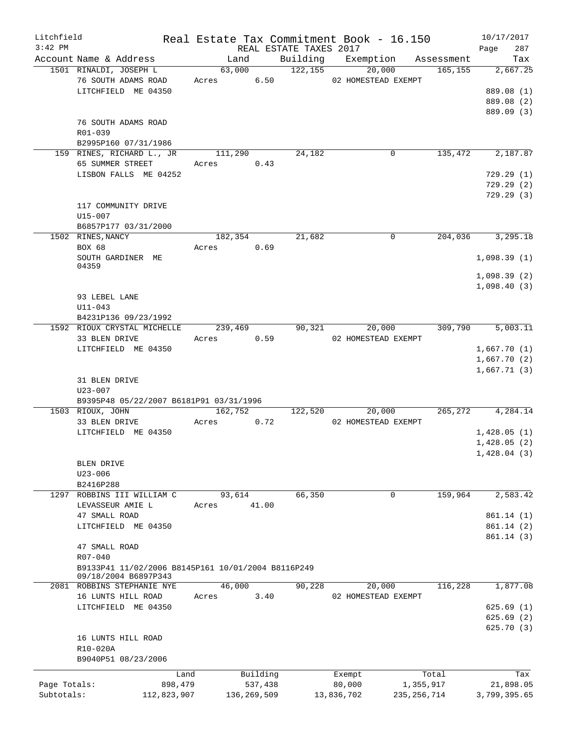| Litchfield<br>$3:42$ PM |                                                    |            |               | REAL ESTATE TAXES 2017      | Real Estate Tax Commitment Book - 16.150 |               |          | 10/17/2017<br>Page<br>287 |
|-------------------------|----------------------------------------------------|------------|---------------|-----------------------------|------------------------------------------|---------------|----------|---------------------------|
|                         | Account Name & Address                             | Land       |               |                             | Building Exemption Assessment            |               |          | Tax                       |
|                         | 1501 RINALDI, JOSEPH L                             |            |               | $\overline{63,000}$ 122,155 | 20,000                                   |               | 165,155  | 2,667.25                  |
|                         | 76 SOUTH ADAMS ROAD                                | Acres 6.50 |               |                             | 02 HOMESTEAD EXEMPT                      |               |          |                           |
|                         | LITCHFIELD ME 04350                                |            |               |                             |                                          |               |          | 889.08 (1)                |
|                         |                                                    |            |               |                             |                                          |               |          | 889.08 (2)                |
|                         |                                                    |            |               |                             |                                          |               |          | 889.09 (3)                |
|                         | 76 SOUTH ADAMS ROAD                                |            |               |                             |                                          |               |          |                           |
|                         | R01-039                                            |            |               |                             |                                          |               |          |                           |
|                         | B2995P160 07/31/1986                               |            |               |                             |                                          |               |          |                           |
|                         | 159 RINES, RICHARD L., JR                          | 111,290    |               | 24,182                      |                                          | 0             | 135,472  | 2,187.87                  |
|                         | 65 SUMMER STREET                                   | Acres 0.43 |               |                             |                                          |               |          |                           |
|                         | LISBON FALLS ME 04252                              |            |               |                             |                                          |               |          | 729.29(1)                 |
|                         |                                                    |            |               |                             |                                          |               |          | 729.29 (2)                |
|                         |                                                    |            |               |                             |                                          |               |          | 729.29(3)                 |
|                         | 117 COMMUNITY DRIVE                                |            |               |                             |                                          |               |          |                           |
|                         | U15-007                                            |            |               |                             |                                          |               |          |                           |
|                         | B6857P177 03/31/2000                               |            |               |                             |                                          |               |          |                           |
|                         | 1502 RINES, NANCY                                  | 182,354    |               | 21,682                      |                                          | $\mathbf 0$   |          | 204,036 3,295.18          |
|                         | BOX 68                                             | Acres 0.69 |               |                             |                                          |               |          |                           |
|                         | SOUTH GARDINER ME                                  |            |               |                             |                                          |               |          | 1,098.39(1)               |
|                         | 04359                                              |            |               |                             |                                          |               |          |                           |
|                         |                                                    |            |               |                             |                                          |               |          | 1,098.39(2)               |
|                         |                                                    |            |               |                             |                                          |               |          | 1,098.40(3)               |
|                         | 93 LEBEL LANE                                      |            |               |                             |                                          |               |          |                           |
|                         | $U11 - 043$                                        |            |               |                             |                                          |               |          |                           |
|                         | B4231P136 09/23/1992                               |            |               |                             |                                          |               |          |                           |
|                         | 1592 RIOUX CRYSTAL MICHELLE                        | 239,469    |               | 90,321                      | 20,000                                   |               | 309,790  | 5,003.11                  |
|                         | 33 BLEN DRIVE                                      | Acres      | 0.59          |                             | 02 HOMESTEAD EXEMPT                      |               |          |                           |
|                         | LITCHFIELD ME 04350                                |            |               |                             |                                          |               |          | 1,667.70(1)               |
|                         |                                                    |            |               |                             |                                          |               |          | 1,667.70(2)               |
|                         |                                                    |            |               |                             |                                          |               |          | 1,667.71(3)               |
|                         | 31 BLEN DRIVE                                      |            |               |                             |                                          |               |          |                           |
|                         | $U23 - 007$                                        |            |               |                             |                                          |               |          |                           |
|                         | B9395P48 05/22/2007 B6181P91 03/31/1996            |            |               |                             |                                          |               |          |                           |
|                         | 1503 RIOUX, JOHN                                   | 162,752    |               | 122,520                     | 20,000                                   |               | 265, 272 | 4,284.14                  |
|                         | 33 BLEN DRIVE                                      | Acres      | 0.72          |                             | 02 HOMESTEAD EXEMPT                      |               |          |                           |
|                         | LITCHFIELD ME 04350                                |            |               |                             |                                          |               |          | 1,428.05(1)               |
|                         |                                                    |            |               |                             |                                          |               |          | 1,428.05(2)               |
|                         |                                                    |            |               |                             |                                          |               |          | 1,428.04(3)               |
|                         | BLEN DRIVE                                         |            |               |                             |                                          |               |          |                           |
|                         | $U23 - 006$                                        |            |               |                             |                                          |               |          |                           |
|                         | B2416P288                                          |            |               |                             |                                          |               |          |                           |
| 1297                    | ROBBINS III WILLIAM C                              | 93,614     |               | 66,350                      |                                          | 0             | 159,964  | 2,583.42                  |
|                         | LEVASSEUR AMIE L                                   | Acres      | 41.00         |                             |                                          |               |          |                           |
|                         | 47 SMALL ROAD                                      |            |               |                             |                                          |               |          | 861.14(1)                 |
|                         | LITCHFIELD ME 04350                                |            |               |                             |                                          |               |          | 861.14(2)                 |
|                         |                                                    |            |               |                             |                                          |               |          | 861.14(3)                 |
|                         | 47 SMALL ROAD                                      |            |               |                             |                                          |               |          |                           |
|                         | R07-040                                            |            |               |                             |                                          |               |          |                           |
|                         | B9133P41 11/02/2006 B8145P161 10/01/2004 B8116P249 |            |               |                             |                                          |               |          |                           |
|                         | 09/18/2004 B6897P343<br>2081 ROBBINS STEPHANIE NYE | 46,000     |               | 90,228                      | 20,000                                   |               | 116,228  | 1,877.08                  |
|                         |                                                    |            | 3.40          |                             |                                          |               |          |                           |
|                         | 16 LUNTS HILL ROAD<br>LITCHFIELD ME 04350          | Acres      |               |                             | 02 HOMESTEAD EXEMPT                      |               |          | 625.69(1)                 |
|                         |                                                    |            |               |                             |                                          |               |          | 625.69(2)                 |
|                         |                                                    |            |               |                             |                                          |               |          | 625.70(3)                 |
|                         |                                                    |            |               |                             |                                          |               |          |                           |
|                         | 16 LUNTS HILL ROAD<br>R10-020A                     |            |               |                             |                                          |               |          |                           |
|                         | B9040P51 08/23/2006                                |            |               |                             |                                          |               |          |                           |
|                         |                                                    |            |               |                             |                                          |               |          |                           |
|                         | Land                                               |            | Building      |                             | Exempt                                   |               | Total    | Tax                       |
| Page Totals:            | 898,479                                            |            | 537,438       |                             | 80,000                                   | 1,355,917     |          | 21,898.05                 |
| Subtotals:              | 112,823,907                                        |            | 136, 269, 509 |                             | 13,836,702                               | 235, 256, 714 |          | 3,799,395.65              |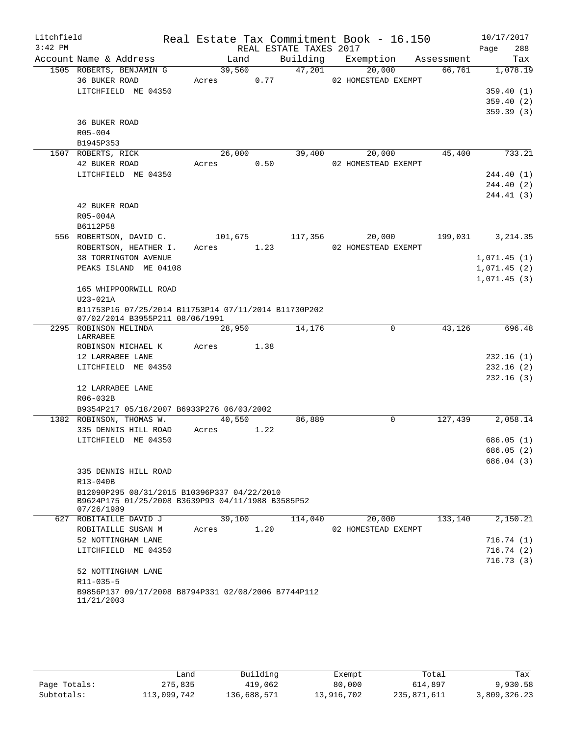| Litchfield<br>$3:42$ PM |                                                                                                                |         |      | REAL ESTATE TAXES 2017 | Real Estate Tax Commitment Book - 16.150 |            | 10/17/2017<br>Page<br>288  |
|-------------------------|----------------------------------------------------------------------------------------------------------------|---------|------|------------------------|------------------------------------------|------------|----------------------------|
|                         | Account Name & Address                                                                                         | Land    |      | Building               | Exemption                                | Assessment | Tax                        |
|                         | 1505 ROBERTS, BENJAMIN G                                                                                       | 39,560  |      | 47,201                 | 20,000                                   | 66,761     | 1,078.19                   |
|                         | 36 BUKER ROAD                                                                                                  | Acres   | 0.77 |                        | 02 HOMESTEAD EXEMPT                      |            |                            |
|                         | LITCHFIELD ME 04350                                                                                            |         |      |                        |                                          |            | 359.40(1)                  |
|                         |                                                                                                                |         |      |                        |                                          |            | 359.40(2)                  |
|                         |                                                                                                                |         |      |                        |                                          |            | 359.39(3)                  |
|                         | <b>36 BUKER ROAD</b>                                                                                           |         |      |                        |                                          |            |                            |
|                         | R05-004                                                                                                        |         |      |                        |                                          |            |                            |
|                         | B1945P353                                                                                                      |         |      |                        |                                          |            |                            |
|                         | 1507 ROBERTS, RICK                                                                                             | 26,000  |      | 39,400                 | 20,000                                   | 45,400     | 733.21                     |
|                         | 42 BUKER ROAD                                                                                                  | Acres   | 0.50 |                        | 02 HOMESTEAD EXEMPT                      |            |                            |
|                         | LITCHFIELD ME 04350                                                                                            |         |      |                        |                                          |            | 244.40 (1)                 |
|                         |                                                                                                                |         |      |                        |                                          |            | 244.40 (2)                 |
|                         |                                                                                                                |         |      |                        |                                          |            | 244.41 (3)                 |
|                         | 42 BUKER ROAD                                                                                                  |         |      |                        |                                          |            |                            |
|                         | R05-004A                                                                                                       |         |      |                        |                                          |            |                            |
|                         | B6112P58                                                                                                       |         |      |                        |                                          |            |                            |
|                         | 556 ROBERTSON, DAVID C.                                                                                        | 101,675 |      | 117,356                | 20,000                                   | 199,031    | 3, 214.35                  |
|                         | ROBERTSON, HEATHER I.                                                                                          | Acres   | 1.23 |                        | 02 HOMESTEAD EXEMPT                      |            |                            |
|                         | <b>38 TORRINGTON AVENUE</b><br>PEAKS ISLAND ME 04108                                                           |         |      |                        |                                          |            | 1,071.45(1)                |
|                         |                                                                                                                |         |      |                        |                                          |            | 1,071.45(2)<br>1,071.45(3) |
|                         | 165 WHIPPOORWILL ROAD                                                                                          |         |      |                        |                                          |            |                            |
|                         | $U23-021A$                                                                                                     |         |      |                        |                                          |            |                            |
|                         | B11753P16 07/25/2014 B11753P14 07/11/2014 B11730P202<br>07/02/2014 B3955P211 08/06/1991                        |         |      |                        |                                          |            |                            |
|                         | 2295 ROBINSON MELINDA                                                                                          | 28,950  |      | 14,176                 | $\mathbf 0$                              | 43,126     | 696.48                     |
|                         | LARRABEE                                                                                                       |         |      |                        |                                          |            |                            |
|                         | ROBINSON MICHAEL K                                                                                             | Acres   | 1.38 |                        |                                          |            |                            |
|                         | 12 LARRABEE LANE                                                                                               |         |      |                        |                                          |            | 232.16(1)                  |
|                         | LITCHFIELD ME 04350                                                                                            |         |      |                        |                                          |            | 232.16(2)                  |
|                         |                                                                                                                |         |      |                        |                                          |            | 232.16(3)                  |
|                         | 12 LARRABEE LANE                                                                                               |         |      |                        |                                          |            |                            |
|                         | R06-032B                                                                                                       |         |      |                        |                                          |            |                            |
|                         | B9354P217 05/18/2007 B6933P276 06/03/2002                                                                      |         |      |                        |                                          |            |                            |
|                         | 1382 ROBINSON, THOMAS W.                                                                                       | 40,550  |      | 86,889                 | 0                                        | 127,439    | 2,058.14                   |
|                         | 335 DENNIS HILL ROAD                                                                                           | Acres   | 1.22 |                        |                                          |            |                            |
|                         | LITCHFIELD ME 04350                                                                                            |         |      |                        |                                          |            | 686.05(1)                  |
|                         |                                                                                                                |         |      |                        |                                          |            | 686.05 (2)                 |
|                         |                                                                                                                |         |      |                        |                                          |            | 686.04 (3)                 |
|                         | 335 DENNIS HILL ROAD                                                                                           |         |      |                        |                                          |            |                            |
|                         | R13-040B                                                                                                       |         |      |                        |                                          |            |                            |
|                         | B12090P295 08/31/2015 B10396P337 04/22/2010<br>B9624P175 01/25/2008 B3639P93 04/11/1988 B3585P52<br>07/26/1989 |         |      |                        |                                          |            |                            |
|                         | 627 ROBITAILLE DAVID J                                                                                         | 39,100  |      | 114,040                | 20,000                                   | 133,140    | 2,150.21                   |
|                         | ROBITAILLE SUSAN M                                                                                             | Acres   | 1.20 |                        | 02 HOMESTEAD EXEMPT                      |            |                            |
|                         | 52 NOTTINGHAM LANE                                                                                             |         |      |                        |                                          |            | 716.74 (1)                 |
|                         | LITCHFIELD ME 04350                                                                                            |         |      |                        |                                          |            | 716.74(2)                  |
|                         |                                                                                                                |         |      |                        |                                          |            | 716.73(3)                  |
|                         | 52 NOTTINGHAM LANE                                                                                             |         |      |                        |                                          |            |                            |
|                         | R11-035-5                                                                                                      |         |      |                        |                                          |            |                            |
|                         | B9856P137 09/17/2008 B8794P331 02/08/2006 B7744P112                                                            |         |      |                        |                                          |            |                            |
|                         | 11/21/2003                                                                                                     |         |      |                        |                                          |            |                            |
|                         |                                                                                                                |         |      |                        |                                          |            |                            |

|              | Land        | Building    | Exempt     | Total       | Tax          |
|--------------|-------------|-------------|------------|-------------|--------------|
| Page Totals: | 275,835     | 419,062     | 80,000     | 614,897     | 9,930.58     |
| Subtotals:   | 113,099,742 | 136,688,571 | 13,916,702 | 235,871,611 | 3,809,326.23 |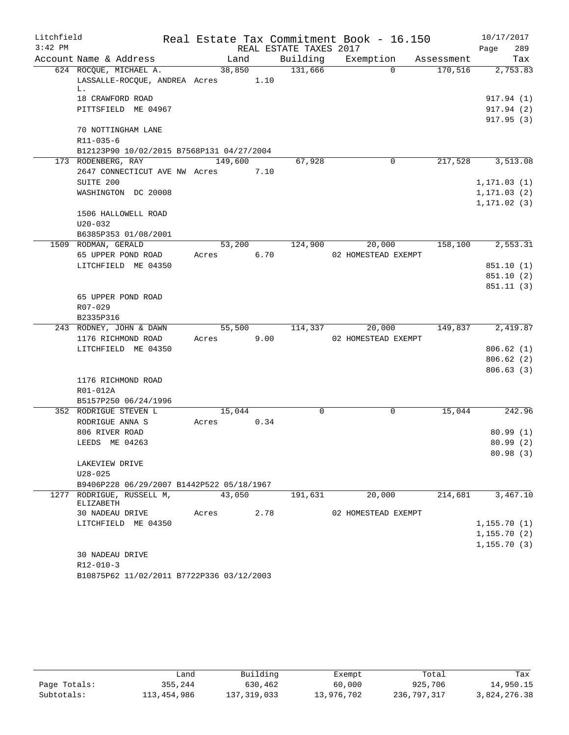| Litchfield |                                                              |                     |        |                        | Real Estate Tax Commitment Book - 16.150 |            | 10/17/2017   |        |
|------------|--------------------------------------------------------------|---------------------|--------|------------------------|------------------------------------------|------------|--------------|--------|
| $3:42$ PM  |                                                              |                     |        | REAL ESTATE TAXES 2017 |                                          |            | Page         | 289    |
|            | Account Name & Address                                       | Land                |        | Building               | Exemption                                | Assessment |              | Tax    |
|            | 624 ROCQUE, MICHAEL A.<br>LASSALLE-ROCQUE, ANDREA Acres 1.10 | 38,850              |        | 131,666                | $\Omega$                                 | 170,516    | 2,753.83     |        |
|            | L.<br>18 CRAWFORD ROAD                                       |                     |        |                        |                                          |            | 917.94 (1)   |        |
|            | PITTSFIELD ME 04967                                          |                     |        |                        |                                          |            | 917.94 (2)   |        |
|            |                                                              |                     |        |                        |                                          |            | 917.95(3)    |        |
|            | 70 NOTTINGHAM LANE<br>$R11 - 035 - 6$                        |                     |        |                        |                                          |            |              |        |
|            | B12123P90 10/02/2015 B7568P131 04/27/2004                    |                     |        |                        |                                          |            |              |        |
|            | 173 RODENBERG, RAY                                           | 149,600             |        | 67,928                 | $\mathbf 0$                              | 217,528    | 3,513.08     |        |
|            | 2647 CONNECTICUT AVE NW Acres                                |                     | 7.10   |                        |                                          |            |              |        |
|            | SUITE 200                                                    |                     |        |                        |                                          |            | 1, 171.03(1) |        |
|            | WASHINGTON DC 20008                                          |                     |        |                        |                                          |            | 1, 171.03(2) |        |
|            |                                                              |                     |        |                        |                                          |            | 1, 171.02(3) |        |
|            | 1506 HALLOWELL ROAD                                          |                     |        |                        |                                          |            |              |        |
|            | $U20 - 032$                                                  |                     |        |                        |                                          |            |              |        |
|            | B6385P353 01/08/2001                                         |                     |        |                        |                                          |            |              |        |
|            | 1509 RODMAN, GERALD                                          |                     | 53,200 | 124,900                | 20,000                                   | 158,100    | 2,553.31     |        |
|            | 65 UPPER POND ROAD                                           | Acres               | 6.70   |                        | 02 HOMESTEAD EXEMPT                      |            |              |        |
|            | LITCHFIELD ME 04350                                          |                     |        |                        |                                          |            | 851.10(1)    |        |
|            |                                                              |                     |        |                        |                                          |            | 851.10(2)    |        |
|            |                                                              |                     |        |                        |                                          |            | 851.11(3)    |        |
|            | 65 UPPER POND ROAD                                           |                     |        |                        |                                          |            |              |        |
|            | R07-029                                                      |                     |        |                        |                                          |            |              |        |
|            | B2335P316                                                    |                     |        |                        |                                          |            |              |        |
|            | 243 RODNEY, JOHN & DAWN                                      | $5\overline{5,500}$ |        | 114,337                | 20,000                                   | 149,837    | 2,419.87     |        |
|            | 1176 RICHMOND ROAD<br>LITCHFIELD ME 04350                    | Acres               | 9.00   |                        | 02 HOMESTEAD EXEMPT                      |            | 806.62(1)    |        |
|            |                                                              |                     |        |                        |                                          |            | 806.62(2)    |        |
|            |                                                              |                     |        |                        |                                          |            | 806.63(3)    |        |
|            | 1176 RICHMOND ROAD                                           |                     |        |                        |                                          |            |              |        |
|            | R01-012A                                                     |                     |        |                        |                                          |            |              |        |
|            | B5157P250 06/24/1996                                         |                     |        |                        |                                          |            |              |        |
|            | 352 RODRIGUE STEVEN L                                        | 15,044              |        | 0                      | 0                                        | 15,044     |              | 242.96 |
|            | RODRIGUE ANNA S                                              | Acres               | 0.34   |                        |                                          |            |              |        |
|            | 806 RIVER ROAD                                               |                     |        |                        |                                          |            | 80.99(1)     |        |
|            | LEEDS ME 04263                                               |                     |        |                        |                                          |            | 80.99(2)     |        |
|            |                                                              |                     |        |                        |                                          |            | 80.98 (3)    |        |
|            | LAKEVIEW DRIVE                                               |                     |        |                        |                                          |            |              |        |
|            | $U28 - 025$                                                  |                     |        |                        |                                          |            |              |        |
|            | B9406P228 06/29/2007 B1442P522 05/18/1967                    |                     |        |                        |                                          |            |              |        |
|            | 1277 RODRIGUE, RUSSELL M,<br>ELIZABETH                       | 43,050              |        | 191,631                | 20,000                                   | 214,681    | 3,467.10     |        |
|            | 30 NADEAU DRIVE                                              | Acres               | 2.78   |                        | 02 HOMESTEAD EXEMPT                      |            |              |        |
|            | LITCHFIELD ME 04350                                          |                     |        |                        |                                          |            | 1,155.70(1)  |        |
|            |                                                              |                     |        |                        |                                          |            | 1, 155.70(2) |        |
|            |                                                              |                     |        |                        |                                          |            | 1, 155.70(3) |        |
|            | 30 NADEAU DRIVE                                              |                     |        |                        |                                          |            |              |        |
|            | $R12 - 010 - 3$                                              |                     |        |                        |                                          |            |              |        |

B10875P62 11/02/2011 B7722P336 03/12/2003

|              | ∟and        | Building    | Exempt     | Total       | Tax          |
|--------------|-------------|-------------|------------|-------------|--------------|
| Page Totals: | 355,244     | 630,462     | 60,000     | 925,706     | 14,950.15    |
| Subtotals:   | 113,454,986 | 137,319,033 | 13,976,702 | 236,797,317 | 3,824,276.38 |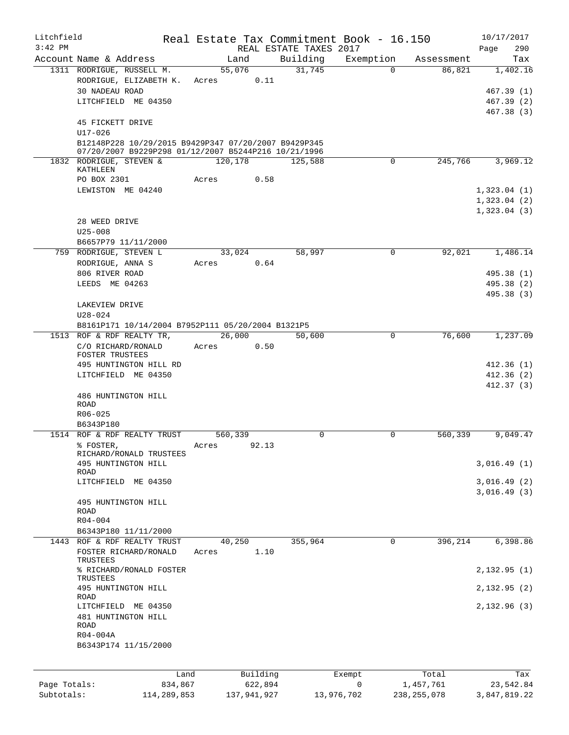| Litchfield   |                                                                                                                             |                  |          | Real Estate Tax Commitment Book - 16.150 |           |               | 10/17/2017                 |
|--------------|-----------------------------------------------------------------------------------------------------------------------------|------------------|----------|------------------------------------------|-----------|---------------|----------------------------|
| $3:42$ PM    |                                                                                                                             |                  |          | REAL ESTATE TAXES 2017                   |           |               | 290<br>Page                |
|              | Account Name & Address                                                                                                      | Land             |          | Building                                 | Exemption | Assessment    | Tax                        |
|              | 1311 RODRIGUE, RUSSELL M.<br>RODRIGUE, ELIZABETH K.<br><b>30 NADEAU ROAD</b>                                                | 55,076<br>Acres  | 0.11     | 31,745                                   | $\Omega$  | 86,821        | 1,402.16<br>467.39 (1)     |
|              | LITCHFIELD ME 04350<br>45 FICKETT DRIVE                                                                                     |                  |          |                                          |           |               | 467.39 (2)<br>467.38 (3)   |
|              | $U17 - 026$<br>B12148P228 10/29/2015 B9429P347 07/20/2007 B9429P345<br>07/20/2007 B9229P298 01/12/2007 B5244P216 10/21/1996 |                  |          |                                          |           |               |                            |
|              | 1832 RODRIGUE, STEVEN &<br>KATHLEEN                                                                                         | 120,178          |          | 125,588                                  | 0         | 245,766       | 3,969.12                   |
|              | PO BOX 2301                                                                                                                 | Acres            | 0.58     |                                          |           |               |                            |
|              | LEWISTON ME 04240                                                                                                           |                  |          |                                          |           |               | 1,323.04(1)<br>1,323.04(2) |
|              | 28 WEED DRIVE                                                                                                               |                  |          |                                          |           |               | 1,323.04(3)                |
|              | $U25 - 008$<br>B6657P79 11/11/2000                                                                                          |                  |          |                                          |           |               |                            |
|              | 759 RODRIGUE, STEVEN L                                                                                                      | 33,024           |          | 58,997                                   | 0         | 92,021        | 1,486.14                   |
|              | RODRIGUE, ANNA S                                                                                                            | Acres            | 0.64     |                                          |           |               |                            |
|              | 806 RIVER ROAD                                                                                                              |                  |          |                                          |           |               | 495.38 (1)                 |
|              | LEEDS ME 04263                                                                                                              |                  |          |                                          |           |               | 495.38 (2)<br>495.38 (3)   |
|              | LAKEVIEW DRIVE<br>$U28 - 024$                                                                                               |                  |          |                                          |           |               |                            |
|              | B8161P171 10/14/2004 B7952P111 05/20/2004 B1321P5                                                                           |                  |          |                                          |           |               |                            |
|              | 1513 ROF & RDF REALTY TR,                                                                                                   | 26,000           |          | 50,600                                   | 0         | 76,600        | 1,237.09                   |
|              | C/O RICHARD/RONALD<br>FOSTER TRUSTEES                                                                                       | Acres            | 0.50     |                                          |           |               |                            |
|              | 495 HUNTINGTON HILL RD                                                                                                      |                  |          |                                          |           |               | 412.36 (1)                 |
|              | LITCHFIELD ME 04350                                                                                                         |                  |          |                                          |           |               | 412.36(2)<br>412.37(3)     |
|              | 486 HUNTINGTON HILL<br><b>ROAD</b>                                                                                          |                  |          |                                          |           |               |                            |
|              | $R06 - 025$                                                                                                                 |                  |          |                                          |           |               |                            |
|              | B6343P180<br>1514 ROF & RDF REALTY TRUST                                                                                    |                  |          | 0                                        | 0         | 560,339       | 9,049.47                   |
|              | % FOSTER,                                                                                                                   | 560,339<br>Acres | 92.13    |                                          |           |               |                            |
|              | RICHARD/RONALD TRUSTEES<br>495 HUNTINGTON HILL                                                                              |                  |          |                                          |           |               | 3,016.49(1)                |
|              | ROAD                                                                                                                        |                  |          |                                          |           |               |                            |
|              | LITCHFIELD ME 04350                                                                                                         |                  |          |                                          |           |               | 3,016.49(2)<br>3,016.49(3) |
|              | 495 HUNTINGTON HILL<br><b>ROAD</b>                                                                                          |                  |          |                                          |           |               |                            |
|              | $R04 - 004$                                                                                                                 |                  |          |                                          |           |               |                            |
| 1443         | B6343P180 11/11/2000<br>ROF & RDF REALTY TRUST                                                                              | 40,250           |          | 355,964                                  | 0         | 396,214       | 6,398.86                   |
|              | FOSTER RICHARD/RONALD<br>TRUSTEES                                                                                           | Acres            | 1.10     |                                          |           |               |                            |
|              | % RICHARD/RONALD FOSTER<br>TRUSTEES                                                                                         |                  |          |                                          |           |               | 2,132.95(1)                |
|              | 495 HUNTINGTON HILL<br>ROAD                                                                                                 |                  |          |                                          |           |               | 2,132.95(2)                |
|              | LITCHFIELD ME 04350<br>481 HUNTINGTON HILL<br><b>ROAD</b><br>R04-004A                                                       |                  |          |                                          |           |               | 2,132.96(3)                |
|              | B6343P174 11/15/2000                                                                                                        |                  |          |                                          |           |               |                            |
|              | Land                                                                                                                        |                  | Building |                                          | Exempt    | Total         | Tax                        |
| Page Totals: | 834,867                                                                                                                     |                  | 622,894  |                                          | 0         | 1,457,761     | 23,542.84                  |
| Subtotals:   | 114,289,853                                                                                                                 | 137,941,927      |          | 13,976,702                               |           | 238, 255, 078 | 3,847,819.22               |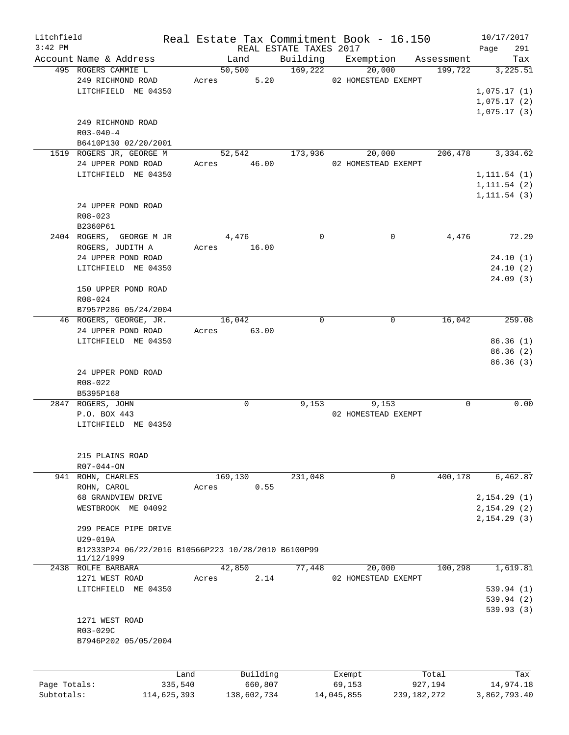| Litchfield<br>$3:42$ PM |                                                     |             |         |             | REAL ESTATE TAXES 2017 | Real Estate Tax Commitment Book - 16.150 |               |                  | 10/17/2017<br>Page | 291       |
|-------------------------|-----------------------------------------------------|-------------|---------|-------------|------------------------|------------------------------------------|---------------|------------------|--------------------|-----------|
|                         | Account Name & Address                              |             | Land    |             |                        | Building Exemption Assessment            |               |                  |                    | Tax       |
|                         | 495 ROGERS CAMMIE L                                 |             | 50,500  |             | 169,222                | 20,000                                   |               | 199,722          |                    | 3,225.51  |
|                         | 249 RICHMOND ROAD                                   |             |         | Acres 5.20  |                        | 02 HOMESTEAD EXEMPT                      |               |                  |                    |           |
|                         | LITCHFIELD ME 04350                                 |             |         |             |                        |                                          |               |                  | 1,075.17(1)        |           |
|                         |                                                     |             |         |             |                        |                                          |               |                  |                    |           |
|                         |                                                     |             |         |             |                        |                                          |               |                  | 1,075.17(2)        |           |
|                         |                                                     |             |         |             |                        |                                          |               |                  | 1,075.17(3)        |           |
|                         | 249 RICHMOND ROAD                                   |             |         |             |                        |                                          |               |                  |                    |           |
|                         | $R03 - 040 - 4$                                     |             |         |             |                        |                                          |               |                  |                    |           |
|                         | B6410P130 02/20/2001                                |             |         |             |                        |                                          |               |                  |                    |           |
|                         | 1519 ROGERS JR, GEORGE M                            |             |         | 52,542      | 173,936                | 20,000                                   |               | 206,478 3,334.62 |                    |           |
|                         | 24 UPPER POND ROAD                                  |             |         | Acres 46.00 |                        | 02 HOMESTEAD EXEMPT                      |               |                  |                    |           |
|                         | LITCHFIELD ME 04350                                 |             |         |             |                        |                                          |               |                  |                    |           |
|                         |                                                     |             |         |             |                        |                                          |               |                  | 1, 111.54(1)       |           |
|                         |                                                     |             |         |             |                        |                                          |               |                  | 1, 111.54 (2)      |           |
|                         |                                                     |             |         |             |                        |                                          |               |                  | 1, 111.54(3)       |           |
|                         | 24 UPPER POND ROAD                                  |             |         |             |                        |                                          |               |                  |                    |           |
|                         | $R08 - 023$                                         |             |         |             |                        |                                          |               |                  |                    |           |
|                         | B2360P61                                            |             |         |             |                        |                                          |               |                  |                    |           |
|                         | 2404 ROGERS, GEORGE M JR                            |             | 4,476   |             | $\Omega$               |                                          | $\Omega$      | 4,476            |                    | 72.29     |
|                         | ROGERS, JUDITH A                                    | Acres 16.00 |         |             |                        |                                          |               |                  |                    |           |
|                         |                                                     |             |         |             |                        |                                          |               |                  |                    |           |
|                         | 24 UPPER POND ROAD                                  |             |         |             |                        |                                          |               |                  |                    | 24.10(1)  |
|                         | LITCHFIELD ME 04350                                 |             |         |             |                        |                                          |               |                  |                    | 24.10(2)  |
|                         |                                                     |             |         |             |                        |                                          |               |                  |                    | 24.09(3)  |
|                         | 150 UPPER POND ROAD                                 |             |         |             |                        |                                          |               |                  |                    |           |
|                         | R08-024                                             |             |         |             |                        |                                          |               |                  |                    |           |
|                         | B7957P286 05/24/2004                                |             |         |             |                        |                                          |               |                  |                    |           |
|                         | 46 ROGERS, GEORGE, JR.                              |             | 16,042  |             | $\Omega$               |                                          | 0             | 16,042           |                    | 259.08    |
|                         | 24 UPPER POND ROAD                                  | Acres 63.00 |         |             |                        |                                          |               |                  |                    |           |
|                         |                                                     |             |         |             |                        |                                          |               |                  |                    |           |
|                         | LITCHFIELD ME 04350                                 |             |         |             |                        |                                          |               |                  |                    | 86.36(1)  |
|                         |                                                     |             |         |             |                        |                                          |               |                  |                    | 86.36(2)  |
|                         |                                                     |             |         |             |                        |                                          |               |                  |                    | 86.36(3)  |
|                         | 24 UPPER POND ROAD                                  |             |         |             |                        |                                          |               |                  |                    |           |
|                         | R08-022                                             |             |         |             |                        |                                          |               |                  |                    |           |
|                         | B5395P168                                           |             |         |             |                        |                                          |               |                  |                    |           |
|                         | 2847 ROGERS, JOHN                                   |             |         | 0           | 9.153                  | 9,153                                    |               | $\Omega$         |                    | 0.00      |
|                         | P.O. BOX 443                                        |             |         |             |                        | 02 HOMESTEAD EXEMPT                      |               |                  |                    |           |
|                         | LITCHFIELD ME 04350                                 |             |         |             |                        |                                          |               |                  |                    |           |
|                         |                                                     |             |         |             |                        |                                          |               |                  |                    |           |
|                         |                                                     |             |         |             |                        |                                          |               |                  |                    |           |
|                         |                                                     |             |         |             |                        |                                          |               |                  |                    |           |
|                         | 215 PLAINS ROAD                                     |             |         |             |                        |                                          |               |                  |                    |           |
|                         | R07-044-ON                                          |             |         |             |                        |                                          |               |                  |                    |           |
|                         | 941 ROHN, CHARLES                                   |             | 169,130 |             | 231,048                |                                          | 0             | 400,178          |                    | 6,462.87  |
|                         | ROHN, CAROL                                         | Acres       |         | 0.55        |                        |                                          |               |                  |                    |           |
|                         | 68 GRANDVIEW DRIVE                                  |             |         |             |                        |                                          |               |                  | 2,154.29(1)        |           |
|                         | WESTBROOK ME 04092                                  |             |         |             |                        |                                          |               |                  | 2, 154.29(2)       |           |
|                         |                                                     |             |         |             |                        |                                          |               |                  |                    |           |
|                         |                                                     |             |         |             |                        |                                          |               |                  | 2, 154.29(3)       |           |
|                         | 299 PEACE PIPE DRIVE                                |             |         |             |                        |                                          |               |                  |                    |           |
|                         | U29-019A                                            |             |         |             |                        |                                          |               |                  |                    |           |
|                         | B12333P24 06/22/2016 B10566P223 10/28/2010 B6100P99 |             |         |             |                        |                                          |               |                  |                    |           |
|                         | 11/12/1999                                          |             |         |             |                        |                                          |               |                  |                    |           |
|                         | 2438 ROLFE BARBARA                                  |             | 42,850  |             | 77,448                 | 20,000                                   |               | 100,298          |                    | 1,619.81  |
|                         | 1271 WEST ROAD                                      | Acres       |         | 2.14        |                        | 02 HOMESTEAD EXEMPT                      |               |                  |                    |           |
|                         | LITCHFIELD ME 04350                                 |             |         |             |                        |                                          |               |                  | 539.94(1)          |           |
|                         |                                                     |             |         |             |                        |                                          |               |                  |                    |           |
|                         |                                                     |             |         |             |                        |                                          |               |                  | 539.94(2)          |           |
|                         |                                                     |             |         |             |                        |                                          |               |                  | 539.93(3)          |           |
|                         | 1271 WEST ROAD                                      |             |         |             |                        |                                          |               |                  |                    |           |
|                         | R03-029C                                            |             |         |             |                        |                                          |               |                  |                    |           |
|                         | B7946P202 05/05/2004                                |             |         |             |                        |                                          |               |                  |                    |           |
|                         |                                                     |             |         |             |                        |                                          |               |                  |                    |           |
|                         |                                                     |             |         |             |                        |                                          |               |                  |                    |           |
|                         |                                                     |             |         |             |                        |                                          |               |                  |                    |           |
|                         | Land                                                |             |         | Building    |                        | Exempt                                   |               | Total            |                    | Tax       |
| Page Totals:            | 335,540                                             |             |         | 660,807     |                        | 69,153                                   |               | 927,194          |                    | 14,974.18 |
| Subtotals:              | 114,625,393                                         |             |         | 138,602,734 |                        | 14,045,855                               | 239, 182, 272 |                  | 3,862,793.40       |           |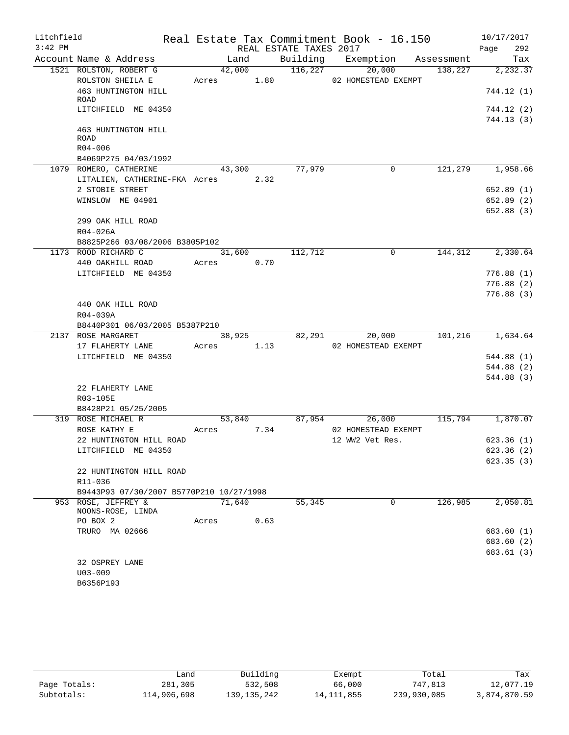| Litchfield |                                                      |                      |      |                        | Real Estate Tax Commitment Book - 16.150 |                | 10/17/2017              |
|------------|------------------------------------------------------|----------------------|------|------------------------|------------------------------------------|----------------|-------------------------|
| $3:42$ PM  |                                                      |                      |      | REAL ESTATE TAXES 2017 |                                          |                | 292<br>Page             |
|            | Account Name & Address                               | Land                 |      |                        | Building Exemption Assessment            |                | Tax                     |
|            | 1521 ROLSTON, ROBERT G                               | 42,000               |      | 116,227                | 20,000                                   | 138,227        | 2, 232.37               |
|            | ROLSTON SHEILA E                                     |                      |      |                        | Acres 1.80 02 HOMESTEAD EXEMPT           |                |                         |
|            | 463 HUNTINGTON HILL<br>ROAD                          |                      |      |                        |                                          |                | 744.12(1)               |
|            | LITCHFIELD ME 04350                                  |                      |      |                        |                                          |                | 744.12(2)               |
|            |                                                      |                      |      |                        |                                          |                | 744.13(3)               |
|            | 463 HUNTINGTON HILL                                  |                      |      |                        |                                          |                |                         |
|            | <b>ROAD</b>                                          |                      |      |                        |                                          |                |                         |
|            | $R04 - 006$                                          |                      |      |                        |                                          |                |                         |
|            | B4069P275 04/03/1992                                 |                      |      |                        |                                          |                |                         |
|            | 1079 ROMERO, CATHERINE                               | 43,300               |      | 77,979                 | 0                                        | 121,279        | 1,958.66                |
|            | LITALIEN, CATHERINE-FKA Acres 2.32                   |                      |      |                        |                                          |                |                         |
|            | 2 STOBIE STREET                                      |                      |      |                        |                                          |                | 652.89(1)               |
|            | WINSLOW ME 04901                                     |                      |      |                        |                                          |                | 652.89(2)               |
|            |                                                      |                      |      |                        |                                          |                | 652.88(3)               |
|            | 299 OAK HILL ROAD                                    |                      |      |                        |                                          |                |                         |
|            | R04-026A                                             |                      |      |                        |                                          |                |                         |
|            | B8825P266 03/08/2006 B3805P102                       |                      |      |                        |                                          |                |                         |
|            | 1173 ROOD RICHARD C                                  | 31,600               |      | 112,712                | 0                                        | 144,312        | 2,330.64                |
|            | 440 OAKHILL ROAD                                     | Acres 0.70           |      |                        |                                          |                |                         |
|            | LITCHFIELD ME 04350                                  |                      |      |                        |                                          |                | 776.88(1)               |
|            |                                                      |                      |      |                        |                                          |                | 776.88(2)               |
|            |                                                      |                      |      |                        |                                          |                | 776.88(3)               |
|            | 440 OAK HILL ROAD                                    |                      |      |                        |                                          |                |                         |
|            | R04-039A                                             |                      |      |                        |                                          |                |                         |
|            | B8440P301 06/03/2005 B5387P210<br>2137 ROSE MARGARET |                      |      |                        | 82,291                                   | 20,000 101,216 | 1,634.64                |
|            | 17 FLAHERTY LANE                                     | 38,925<br>Acres 1.13 |      |                        | 02 HOMESTEAD EXEMPT                      |                |                         |
|            | LITCHFIELD ME 04350                                  |                      |      |                        |                                          |                | 544.88(1)               |
|            |                                                      |                      |      |                        |                                          |                | 544.88 (2)              |
|            |                                                      |                      |      |                        |                                          |                | 544.88(3)               |
|            | 22 FLAHERTY LANE                                     |                      |      |                        |                                          |                |                         |
|            | R03-105E                                             |                      |      |                        |                                          |                |                         |
|            | B8428P21 05/25/2005                                  |                      |      |                        |                                          |                |                         |
|            | 319 ROSE MICHAEL R                                   | 53,840               |      |                        | 87,954<br>26,000                         | 115,794        | 1,870.07                |
|            | ROSE KATHY E                                         | Acres 7.34           |      |                        | 02 HOMESTEAD EXEMPT                      |                |                         |
|            | 22 HUNTINGTON HILL ROAD                              |                      |      |                        | 12 WW2 Vet Res.                          |                | 623.36(1)               |
|            | LITCHFIELD ME 04350                                  |                      |      |                        |                                          |                | 623.36 (2)              |
|            |                                                      |                      |      |                        |                                          |                | 623.35(3)               |
|            | 22 HUNTINGTON HILL ROAD                              |                      |      |                        |                                          |                |                         |
|            | R11-036                                              |                      |      |                        |                                          |                |                         |
|            | B9443P93 07/30/2007 B5770P210 10/27/1998             |                      |      |                        |                                          |                |                         |
|            | 953 ROSE, JEFFREY &                                  | 71,640               |      | 55,345                 | $\Omega$                                 | 126,985        | 2,050.81                |
|            | NOONS-ROSE, LINDA                                    |                      |      |                        |                                          |                |                         |
|            | PO BOX 2                                             | Acres                | 0.63 |                        |                                          |                |                         |
|            | TRURO MA 02666                                       |                      |      |                        |                                          |                | 683.60 (1)              |
|            |                                                      |                      |      |                        |                                          |                | 683.60 (2)<br>683.61(3) |
|            | 32 OSPREY LANE                                       |                      |      |                        |                                          |                |                         |
|            | $U03 - 009$                                          |                      |      |                        |                                          |                |                         |
|            | B6356P193                                            |                      |      |                        |                                          |                |                         |
|            |                                                      |                      |      |                        |                                          |                |                         |

|              | Land        | Building      | Exempt       | Total       | Tax          |
|--------------|-------------|---------------|--------------|-------------|--------------|
| Page Totals: | 281,305     | 532,508       | 66,000       | 747,813     | 12,077.19    |
| Subtotals:   | 114,906,698 | 139, 135, 242 | 14, 111, 855 | 239,930,085 | 3,874,870.59 |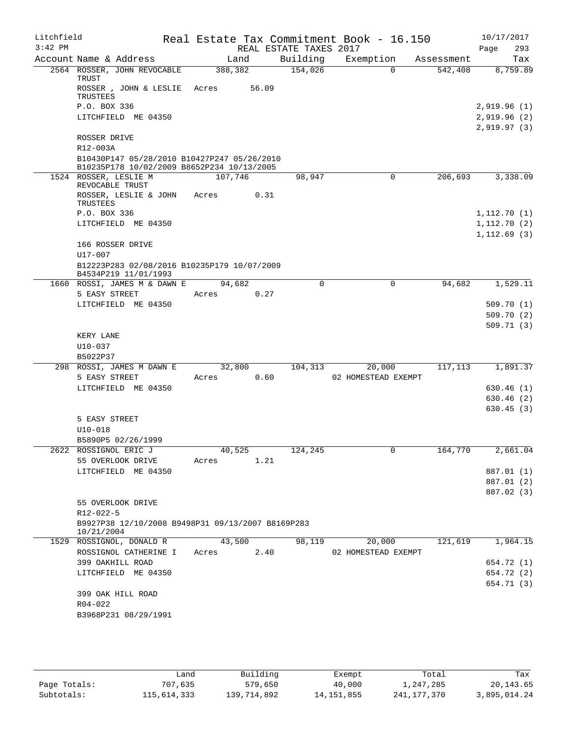| Litchfield<br>$3:42$ PM |                          |                                                                                           |         |       | REAL ESTATE TAXES 2017 | Real Estate Tax Commitment Book - 16.150 |            | 10/17/2017<br>293<br>Page |
|-------------------------|--------------------------|-------------------------------------------------------------------------------------------|---------|-------|------------------------|------------------------------------------|------------|---------------------------|
|                         |                          | Account Name & Address                                                                    | Land    |       | Building               | Exemption                                | Assessment | Tax                       |
|                         | TRUST                    | 2564 ROSSER, JOHN REVOCABLE                                                               | 388,382 |       | 154,026                | $\Omega$                                 | 542,408    | 8,759.89                  |
|                         | TRUSTEES                 | ROSSER , JOHN & LESLIE                                                                    | Acres   | 56.09 |                        |                                          |            |                           |
|                         | P.O. BOX 336             |                                                                                           |         |       |                        |                                          |            | 2,919.96 (1)              |
|                         |                          | LITCHFIELD ME 04350                                                                       |         |       |                        |                                          |            | 2,919.96 (2)              |
|                         |                          |                                                                                           |         |       |                        |                                          |            | 2,919.97(3)               |
|                         | ROSSER DRIVE             |                                                                                           |         |       |                        |                                          |            |                           |
|                         | R12-003A                 |                                                                                           |         |       |                        |                                          |            |                           |
|                         |                          | B10430P147 05/28/2010 B10427P247 05/26/2010<br>B10235P178 10/02/2009 B8652P234 10/13/2005 |         |       |                        |                                          |            |                           |
|                         |                          | 1524 ROSSER, LESLIE M                                                                     | 107,746 |       | 98,947                 | 0                                        | 206,693    | 3,338.09                  |
|                         |                          | REVOCABLE TRUST                                                                           |         |       |                        |                                          |            |                           |
|                         |                          | ROSSER, LESLIE & JOHN                                                                     | Acres   | 0.31  |                        |                                          |            |                           |
|                         | TRUSTEES<br>P.O. BOX 336 |                                                                                           |         |       |                        |                                          |            | 1,112.70(1)               |
|                         |                          | LITCHFIELD ME 04350                                                                       |         |       |                        |                                          |            | 1,112.70(2)               |
|                         |                          |                                                                                           |         |       |                        |                                          |            | 1, 112.69(3)              |
|                         |                          | 166 ROSSER DRIVE                                                                          |         |       |                        |                                          |            |                           |
|                         | U17-007                  |                                                                                           |         |       |                        |                                          |            |                           |
|                         |                          | B12223P283 02/08/2016 B10235P179 10/07/2009<br>B4534P219 11/01/1993                       |         |       |                        |                                          |            |                           |
|                         |                          | 1660 ROSSI, JAMES M & DAWN E                                                              | 94,682  |       | $\Omega$               | $\Omega$                                 | 94,682     | 1,529.11                  |
|                         | 5 EASY STREET            |                                                                                           | Acres   | 0.27  |                        |                                          |            |                           |
|                         |                          | LITCHFIELD ME 04350                                                                       |         |       |                        |                                          |            | 509.70(1)                 |
|                         |                          |                                                                                           |         |       |                        |                                          |            | 509.70(2)                 |
|                         | KERY LANE                |                                                                                           |         |       |                        |                                          |            | 509.71(3)                 |
|                         | $U10-037$                |                                                                                           |         |       |                        |                                          |            |                           |
|                         | B5022P37                 |                                                                                           |         |       |                        |                                          |            |                           |
|                         |                          | 298 ROSSI, JAMES M DAWN E                                                                 | 32,800  |       | 104,313                | 20,000                                   | 117,113    | 1,891.37                  |
|                         | 5 EASY STREET            |                                                                                           | Acres   | 0.60  |                        | 02 HOMESTEAD EXEMPT                      |            |                           |
|                         |                          | LITCHFIELD ME 04350                                                                       |         |       |                        |                                          |            | 630.46 (1)                |
|                         |                          |                                                                                           |         |       |                        |                                          |            | 630.46 (2)                |
|                         |                          |                                                                                           |         |       |                        |                                          |            | 630.45(3)                 |
|                         | 5 EASY STREET            |                                                                                           |         |       |                        |                                          |            |                           |
|                         | $U10 - 018$              | B5890P5 02/26/1999                                                                        |         |       |                        |                                          |            |                           |
|                         |                          | 2622 ROSSIGNOL ERIC J                                                                     | 40,525  |       | 124,245                |                                          | 164,770    | 2,661.04                  |
|                         |                          | 55 OVERLOOK DRIVE                                                                         | Acres   | 1.21  |                        |                                          |            |                           |
|                         |                          | LITCHFIELD ME 04350                                                                       |         |       |                        |                                          |            | 887.01 (1)                |
|                         |                          |                                                                                           |         |       |                        |                                          |            | 887.01 (2)                |
|                         |                          |                                                                                           |         |       |                        |                                          |            | 887.02 (3)                |
|                         |                          | 55 OVERLOOK DRIVE                                                                         |         |       |                        |                                          |            |                           |
|                         | $R12 - 022 - 5$          |                                                                                           |         |       |                        |                                          |            |                           |
|                         | 10/21/2004               | B9927P38 12/10/2008 B9498P31 09/13/2007 B8169P283                                         |         |       |                        |                                          |            |                           |
|                         |                          | 1529 ROSSIGNOL, DONALD R                                                                  | 43,500  |       | 98,119                 | 20,000                                   | 121,619    | 1,964.15                  |
|                         |                          | ROSSIGNOL CATHERINE I                                                                     | Acres   | 2.40  |                        | 02 HOMESTEAD EXEMPT                      |            |                           |
|                         |                          | 399 OAKHILL ROAD                                                                          |         |       |                        |                                          |            | 654.72 (1)                |
|                         |                          | LITCHFIELD ME 04350                                                                       |         |       |                        |                                          |            | 654.72 (2)                |
|                         |                          |                                                                                           |         |       |                        |                                          |            | 654.71 (3)                |
|                         |                          | 399 OAK HILL ROAD                                                                         |         |       |                        |                                          |            |                           |
|                         | $R04 - 022$              | B3968P231 08/29/1991                                                                      |         |       |                        |                                          |            |                           |
|                         |                          |                                                                                           |         |       |                        |                                          |            |                           |

|              | andش        | Building    | Exempt       | Total       | Tax          |
|--------------|-------------|-------------|--------------|-------------|--------------|
| Page Totals: | 707,635     | 579,650     | 40,000       | 1,247,285   | 20,143.65    |
| Subtotals:   | 115,614,333 | 139,714,892 | 14, 151, 855 | 241,177,370 | 3,895,014.24 |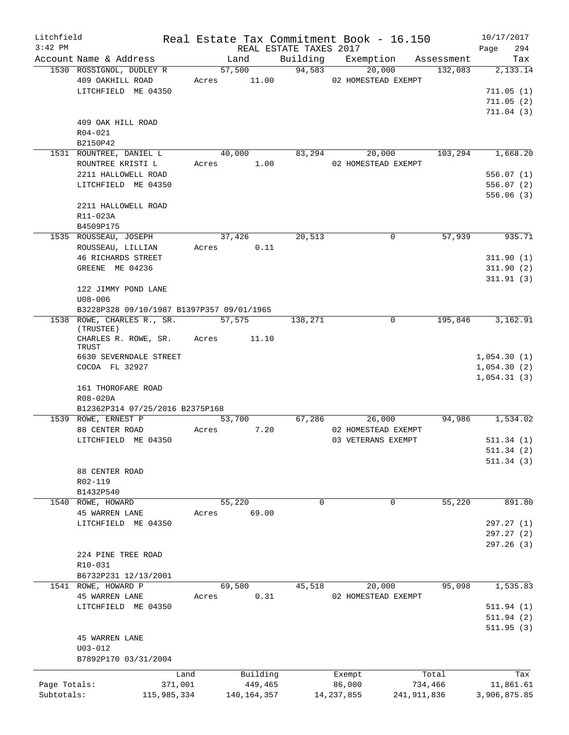| Litchfield   |                                              |       |        |                     |                        | Real Estate Tax Commitment Book - 16.150 |             |                  | 10/17/2017   |                        |
|--------------|----------------------------------------------|-------|--------|---------------------|------------------------|------------------------------------------|-------------|------------------|--------------|------------------------|
| $3:42$ PM    |                                              |       |        |                     | REAL ESTATE TAXES 2017 |                                          |             |                  | Page         | 294                    |
|              | Account Name & Address                       |       | Land   |                     |                        | Building Exemption Assessment            |             |                  |              | Tax                    |
|              | 1530 ROSSIGNOL, DUDLEY R<br>409 OAKHILL ROAD |       | 57,500 | Acres 11.00         | 94,583                 | 20,000<br>02 HOMESTEAD EXEMPT            |             | 132,083          |              | 2,133.14               |
|              | LITCHFIELD ME 04350                          |       |        |                     |                        |                                          |             |                  |              |                        |
|              |                                              |       |        |                     |                        |                                          |             |                  |              | 711.05(1)              |
|              |                                              |       |        |                     |                        |                                          |             |                  |              | 711.05(2)<br>711.04(3) |
|              | 409 OAK HILL ROAD                            |       |        |                     |                        |                                          |             |                  |              |                        |
|              | R04-021                                      |       |        |                     |                        |                                          |             |                  |              |                        |
|              | B2150P42                                     |       |        |                     |                        |                                          |             |                  |              |                        |
|              | 1531 ROUNTREE, DANIEL L                      |       |        | 40,000              |                        | 83,294<br>20,000                         |             | 103,294          |              | 1,668.20               |
|              | ROUNTREE KRISTI L                            |       |        | Acres 1.00          |                        | 02 HOMESTEAD EXEMPT                      |             |                  |              |                        |
|              | 2211 HALLOWELL ROAD                          |       |        |                     |                        |                                          |             |                  |              | 556.07(1)              |
|              | LITCHFIELD ME 04350                          |       |        |                     |                        |                                          |             |                  |              | 556.07(2)              |
|              |                                              |       |        |                     |                        |                                          |             |                  |              | 556.06(3)              |
|              | 2211 HALLOWELL ROAD                          |       |        |                     |                        |                                          |             |                  |              |                        |
|              | R11-023A                                     |       |        |                     |                        |                                          |             |                  |              |                        |
|              | B4509P175                                    |       |        |                     |                        |                                          |             |                  |              |                        |
|              | 1535 ROUSSEAU, JOSEPH                        |       | 37,426 |                     | 20,513                 | 0                                        |             | 57,939           |              | 935.71                 |
|              | ROUSSEAU, LILLIAN                            |       |        | Acres 0.11          |                        |                                          |             |                  |              |                        |
|              | <b>46 RICHARDS STREET</b>                    |       |        |                     |                        |                                          |             |                  |              | 311.90(1)              |
|              | GREENE ME 04236                              |       |        |                     |                        |                                          |             |                  |              | 311.90(2)              |
|              |                                              |       |        |                     |                        |                                          |             |                  |              | 311.91(3)              |
|              | 122 JIMMY POND LANE                          |       |        |                     |                        |                                          |             |                  |              |                        |
|              | $U08 - 006$                                  |       |        |                     |                        |                                          |             |                  |              |                        |
|              | B3228P328 09/10/1987 B1397P357 09/01/1965    |       |        |                     |                        |                                          |             |                  |              |                        |
|              | 1538 ROWE, CHARLES R., SR. 57,575            |       |        |                     | 138,271                |                                          | $\mathbf 0$ | 195,846          |              | 3,162.91               |
|              | (TRUSTEE)                                    |       |        |                     |                        |                                          |             |                  |              |                        |
|              | CHARLES R. ROWE, SR. Acres 11.10             |       |        |                     |                        |                                          |             |                  |              |                        |
|              | TRUST                                        |       |        |                     |                        |                                          |             |                  |              |                        |
|              | 6630 SEVERNDALE STREET                       |       |        |                     |                        |                                          |             |                  | 1,054.30(1)  |                        |
|              | COCOA FL 32927                               |       |        |                     |                        |                                          |             |                  | 1,054.30(2)  |                        |
|              |                                              |       |        |                     |                        |                                          |             |                  | 1,054.31(3)  |                        |
|              | 161 THOROFARE ROAD                           |       |        |                     |                        |                                          |             |                  |              |                        |
|              | R08-020A<br>B12362P314 07/25/2016 B2375P168  |       |        |                     |                        |                                          |             |                  |              |                        |
|              | 1539 ROWE, ERNEST P                          |       | 53,700 |                     | 67,286                 | 26,000                                   |             | 94,986           |              | 1,534.02               |
|              | 88 CENTER ROAD                               | Acres |        | 7.20                |                        | 02 HOMESTEAD EXEMPT                      |             |                  |              |                        |
|              | LITCHFIELD ME 04350                          |       |        |                     |                        | 03 VETERANS EXEMPT                       |             |                  |              | 511.34(1)              |
|              |                                              |       |        |                     |                        |                                          |             |                  |              | 511.34 (2)             |
|              |                                              |       |        |                     |                        |                                          |             |                  |              | 511.34(3)              |
|              | 88 CENTER ROAD                               |       |        |                     |                        |                                          |             |                  |              |                        |
|              | R02-119                                      |       |        |                     |                        |                                          |             |                  |              |                        |
|              | B1432P540                                    |       |        |                     |                        |                                          |             |                  |              |                        |
| 1540         | ROWE, HOWARD                                 |       | 55,220 |                     | $\mathbf 0$            |                                          | $\mathbf 0$ | 55,220           |              | 891.80                 |
|              | <b>45 WARREN LANE</b>                        | Acres |        | 69.00               |                        |                                          |             |                  |              |                        |
|              | LITCHFIELD ME 04350                          |       |        |                     |                        |                                          |             |                  |              | 297.27 (1)             |
|              |                                              |       |        |                     |                        |                                          |             |                  |              | 297.27(2)              |
|              |                                              |       |        |                     |                        |                                          |             |                  |              | 297.26 (3)             |
|              | 224 PINE TREE ROAD                           |       |        |                     |                        |                                          |             |                  |              |                        |
|              | R10-031                                      |       |        |                     |                        |                                          |             |                  |              |                        |
|              | B6732P231 12/13/2001                         |       |        |                     |                        |                                          |             |                  |              |                        |
|              | 1541 ROWE, HOWARD P                          |       | 69,580 |                     | 45,518                 | 20,000                                   |             | 95,098           |              | 1,535.83               |
|              | <b>45 WARREN LANE</b>                        | Acres |        | 0.31                |                        | 02 HOMESTEAD EXEMPT                      |             |                  |              |                        |
|              | LITCHFIELD ME 04350                          |       |        |                     |                        |                                          |             |                  |              | 511.94(1)              |
|              |                                              |       |        |                     |                        |                                          |             |                  |              | 511.94 (2)             |
|              |                                              |       |        |                     |                        |                                          |             |                  |              | 511.95(3)              |
|              | <b>45 WARREN LANE</b>                        |       |        |                     |                        |                                          |             |                  |              |                        |
|              | $U03 - 012$                                  |       |        |                     |                        |                                          |             |                  |              |                        |
|              | B7892P170 03/31/2004                         |       |        |                     |                        |                                          |             |                  |              |                        |
|              |                                              |       |        |                     |                        |                                          |             |                  |              |                        |
| Page Totals: | Land<br>371,001                              |       |        | Building<br>449,465 |                        | Exempt<br>86,000                         |             | Total<br>734,466 |              | Tax<br>11,861.61       |
| Subtotals:   | 115,985,334                                  |       |        | 140, 164, 357       |                        | 14, 237, 855                             | 241,911,836 |                  | 3,906,875.85 |                        |
|              |                                              |       |        |                     |                        |                                          |             |                  |              |                        |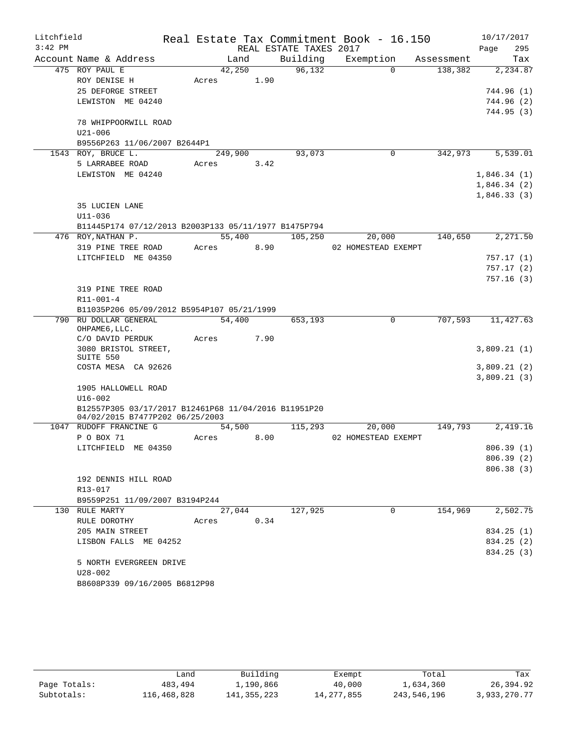| Litchfield |                                                      |         |        |                        | Real Estate Tax Commitment Book - 16.150 |            | 10/17/2017  |
|------------|------------------------------------------------------|---------|--------|------------------------|------------------------------------------|------------|-------------|
| $3:42$ PM  |                                                      |         |        | REAL ESTATE TAXES 2017 |                                          |            | 295<br>Page |
|            | Account Name & Address                               |         | Land   | Building               | Exemption                                | Assessment | Tax         |
|            | 475 ROY PAUL E                                       | 42,250  |        | 96,132                 | $\Omega$                                 | 138,382    | 2,234.87    |
|            | ROY DENISE H                                         | Acres   | 1.90   |                        |                                          |            |             |
|            | 25 DEFORGE STREET                                    |         |        |                        |                                          |            | 744.96 (1)  |
|            | LEWISTON ME 04240                                    |         |        |                        |                                          |            | 744.96 (2)  |
|            |                                                      |         |        |                        |                                          |            | 744.95 (3)  |
|            | 78 WHIPPOORWILL ROAD                                 |         |        |                        |                                          |            |             |
|            | $U21 - 006$                                          |         |        |                        |                                          |            |             |
|            | B9556P263 11/06/2007 B2644P1                         |         |        |                        |                                          |            |             |
|            | 1543 ROY, BRUCE L.                                   | 249,900 |        | 93,073                 | 0                                        | 342,973    | 5,539.01    |
|            | 5 LARRABEE ROAD                                      | Acres   | 3.42   |                        |                                          |            |             |
|            | LEWISTON ME 04240                                    |         |        |                        |                                          |            | 1,846.34(1) |
|            |                                                      |         |        |                        |                                          |            | 1,846.34(2) |
|            |                                                      |         |        |                        |                                          |            | 1,846.33(3) |
|            | 35 LUCIEN LANE                                       |         |        |                        |                                          |            |             |
|            | $U11 - 036$                                          |         |        |                        |                                          |            |             |
|            | B11445P174 07/12/2013 B2003P133 05/11/1977 B1475P794 |         |        |                        |                                          |            |             |
|            | 476 ROY, NATHAN P.                                   |         | 55,400 | 105,250                | 20,000                                   | 140,650    | 2,271.50    |
|            | 319 PINE TREE ROAD                                   | Acres   | 8.90   |                        | 02 HOMESTEAD EXEMPT                      |            |             |
|            | LITCHFIELD ME 04350                                  |         |        |                        |                                          |            | 757.17(1)   |
|            |                                                      |         |        |                        |                                          |            | 757.17(2)   |
|            |                                                      |         |        |                        |                                          |            | 757.16(3)   |
|            | 319 PINE TREE ROAD                                   |         |        |                        |                                          |            |             |
|            | $R11 - 001 - 4$                                      |         |        |                        |                                          |            |             |
|            | B11035P206 05/09/2012 B5954P107 05/21/1999           |         |        |                        |                                          |            |             |
|            | 790 RU DOLLAR GENERAL                                | 54,400  |        | 653,193                | $\mathbf 0$                              | 707,593    | 11,427.63   |
|            | OHPAME6, LLC.                                        |         |        |                        |                                          |            |             |
|            | C/O DAVID PERDUK                                     | Acres   | 7.90   |                        |                                          |            |             |
|            | 3080 BRISTOL STREET,<br>SUITE 550                    |         |        |                        |                                          |            | 3,809.21(1) |
|            | COSTA MESA CA 92626                                  |         |        |                        |                                          |            | 3,809.21(2) |
|            |                                                      |         |        |                        |                                          |            | 3,809.21(3) |
|            | 1905 HALLOWELL ROAD                                  |         |        |                        |                                          |            |             |
|            | $U16 - 002$                                          |         |        |                        |                                          |            |             |
|            | B12557P305 03/17/2017 B12461P68 11/04/2016 B11951P20 |         |        |                        |                                          |            |             |
|            | 04/02/2015 B7477P202 06/25/2003                      |         |        |                        |                                          |            |             |
|            | 1047 RUDOFF FRANCINE G                               | 54,500  |        | 115,293                | 20,000                                   | 149,793    | 2,419.16    |
|            | P O BOX 71                                           | Acres   | 8.00   |                        | 02 HOMESTEAD EXEMPT                      |            |             |
|            | LITCHFIELD ME 04350                                  |         |        |                        |                                          |            | 806.39 (1)  |
|            |                                                      |         |        |                        |                                          |            | 806.39(2)   |
|            |                                                      |         |        |                        |                                          |            | 806.38(3)   |
|            | 192 DENNIS HILL ROAD                                 |         |        |                        |                                          |            |             |
|            | R13-017                                              |         |        |                        |                                          |            |             |
|            | B9559P251 11/09/2007 B3194P244                       |         |        |                        |                                          |            |             |
|            | 130 RULE MARTY                                       |         | 27,044 | 127,925                | $\Omega$                                 | 154,969    | 2,502.75    |
|            | RULE DOROTHY                                         | Acres   | 0.34   |                        |                                          |            |             |
|            | 205 MAIN STREET                                      |         |        |                        |                                          |            | 834.25(1)   |
|            | LISBON FALLS ME 04252                                |         |        |                        |                                          |            | 834.25 (2)  |
|            |                                                      |         |        |                        |                                          |            | 834.25(3)   |
|            | 5 NORTH EVERGREEN DRIVE                              |         |        |                        |                                          |            |             |
|            | $U28 - 002$                                          |         |        |                        |                                          |            |             |
|            | B8608P339 09/16/2005 B6812P98                        |         |        |                        |                                          |            |             |

|              | Land        | Building    | Exempt       | Total       | Tax          |
|--------------|-------------|-------------|--------------|-------------|--------------|
| Page Totals: | 483,494     | 1,190,866   | 40,000       | 1,634,360   | 26,394.92    |
| Subtotals:   | 116,468,828 | 141,355,223 | 14, 277, 855 | 243,546,196 | 3,933,270.77 |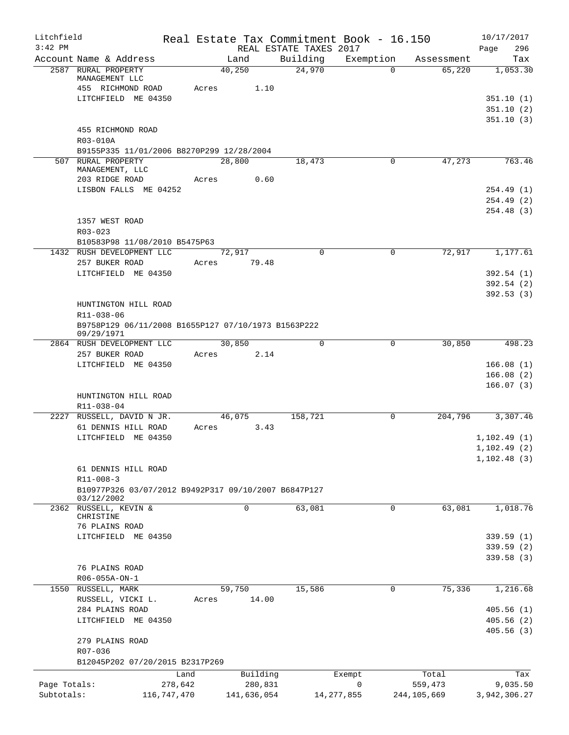| Litchfield<br>$3:42$ PM |                                                                   |       |                | Real Estate Tax Commitment Book - 16.150<br>REAL ESTATE TAXES 2017 |              |             | 10/17/2017<br>296<br>Page |
|-------------------------|-------------------------------------------------------------------|-------|----------------|--------------------------------------------------------------------|--------------|-------------|---------------------------|
|                         | Account Name & Address                                            |       | Land           | Building                                                           | Exemption    | Assessment  | Tax                       |
|                         | 2587 RURAL PROPERTY<br>MANAGEMENT LLC                             |       | 40,250         | 24,970                                                             | $\Omega$     | 65,220      | 1,053.30                  |
|                         | 455 RICHMOND ROAD                                                 | Acres | 1.10           |                                                                    |              |             |                           |
|                         | LITCHFIELD ME 04350                                               |       |                |                                                                    |              |             | 351.10(1)<br>351.10(2)    |
|                         |                                                                   |       |                |                                                                    |              |             | 351.10(3)                 |
|                         | 455 RICHMOND ROAD                                                 |       |                |                                                                    |              |             |                           |
|                         | R03-010A                                                          |       |                |                                                                    |              |             |                           |
|                         | B9155P335 11/01/2006 B8270P299 12/28/2004                         |       |                |                                                                    |              |             |                           |
|                         | 507 RURAL PROPERTY<br>MANAGEMENT, LLC                             |       | 28,800         | 18,473                                                             | 0            | 47,273      | 763.46                    |
|                         | 203 RIDGE ROAD                                                    | Acres | 0.60           |                                                                    |              |             |                           |
|                         | LISBON FALLS ME 04252                                             |       |                |                                                                    |              |             | 254.49(1)<br>254.49(2)    |
|                         |                                                                   |       |                |                                                                    |              |             | 254.48 (3)                |
|                         | 1357 WEST ROAD                                                    |       |                |                                                                    |              |             |                           |
|                         | $R03 - 023$                                                       |       |                |                                                                    |              |             |                           |
|                         | B10583P98 11/08/2010 B5475P63                                     |       |                |                                                                    |              |             |                           |
|                         | 1432 RUSH DEVELOPMENT LLC                                         |       | 72,917         | $\Omega$                                                           | $\mathbf 0$  | 72,917      | 1,177.61                  |
|                         | 257 BUKER ROAD                                                    | Acres | 79.48          |                                                                    |              |             |                           |
|                         | LITCHFIELD ME 04350                                               |       |                |                                                                    |              |             | 392.54 (1)                |
|                         |                                                                   |       |                |                                                                    |              |             | 392.54(2)<br>392.53(3)    |
|                         | HUNTINGTON HILL ROAD                                              |       |                |                                                                    |              |             |                           |
|                         | R11-038-06                                                        |       |                |                                                                    |              |             |                           |
|                         | B9758P129 06/11/2008 B1655P127 07/10/1973 B1563P222<br>09/29/1971 |       |                |                                                                    |              |             |                           |
|                         | 2864 RUSH DEVELOPMENT LLC                                         |       | 30,850         | $\mathbf 0$                                                        | 0            | 30,850      | 498.23                    |
|                         | 257 BUKER ROAD                                                    | Acres | 2.14           |                                                                    |              |             |                           |
|                         | LITCHFIELD ME 04350                                               |       |                |                                                                    |              |             | 166.08(1)                 |
|                         |                                                                   |       |                |                                                                    |              |             | 166.08(2)                 |
|                         | HUNTINGTON HILL ROAD                                              |       |                |                                                                    |              |             | 166.07(3)                 |
|                         | $R11 - 038 - 04$                                                  |       |                |                                                                    |              |             |                           |
|                         | 2227 RUSSELL, DAVID N JR.                                         |       | 46,075         | 158,721                                                            | 0            | 204,796     | 3,307.46                  |
|                         | 61 DENNIS HILL ROAD                                               | Acres | 3.43           |                                                                    |              |             |                           |
|                         | LITCHFIELD ME 04350                                               |       |                |                                                                    |              |             | 1, 102.49(1)              |
|                         |                                                                   |       |                |                                                                    |              |             | 1, 102.49(2)              |
|                         |                                                                   |       |                |                                                                    |              |             | 1,102.48(3)               |
|                         | 61 DENNIS HILL ROAD<br>$R11 - 008 - 3$                            |       |                |                                                                    |              |             |                           |
|                         | B10977P326 03/07/2012 B9492P317 09/10/2007 B6847P127              |       |                |                                                                    |              |             |                           |
|                         | 03/12/2002                                                        |       |                |                                                                    |              |             |                           |
|                         | 2362 RUSSELL, KEVIN &                                             |       | $\overline{0}$ | 63,081                                                             | $\mathsf{O}$ | 63,081      | 1,018.76                  |
|                         | CHRISTINE<br>76 PLAINS ROAD                                       |       |                |                                                                    |              |             |                           |
|                         | LITCHFIELD ME 04350                                               |       |                |                                                                    |              |             | 339.59(1)                 |
|                         |                                                                   |       |                |                                                                    |              |             | 339.59(2)                 |
|                         |                                                                   |       |                |                                                                    |              |             | 339.58 (3)                |
|                         | 76 PLAINS ROAD                                                    |       |                |                                                                    |              |             |                           |
|                         | R06-055A-ON-1                                                     |       |                |                                                                    |              |             |                           |
|                         | 1550 RUSSELL, MARK                                                |       | 59,750         | 15,586                                                             | $\mathbf 0$  | 75,336      | 1,216.68                  |
|                         | RUSSELL, VICKI L.                                                 | Acres | 14.00          |                                                                    |              |             |                           |
|                         | 284 PLAINS ROAD<br>LITCHFIELD ME 04350                            |       |                |                                                                    |              |             | 405.56(1)<br>405.56(2)    |
|                         |                                                                   |       |                |                                                                    |              |             | 405.56(3)                 |
|                         | 279 PLAINS ROAD                                                   |       |                |                                                                    |              |             |                           |
|                         | R07-036                                                           |       |                |                                                                    |              |             |                           |
|                         | B12045P202 07/20/2015 B2317P269                                   |       |                |                                                                    |              |             |                           |
|                         | Land                                                              |       | Building       |                                                                    | Exempt       | Total       | Tax                       |
| Page Totals:            | 278,642                                                           |       | 280,831        |                                                                    | 0            | 559,473     | 9,035.50                  |
| Subtotals:              | 116,747,470                                                       |       | 141,636,054    |                                                                    | 14, 277, 855 | 244,105,669 | 3,942,306.27              |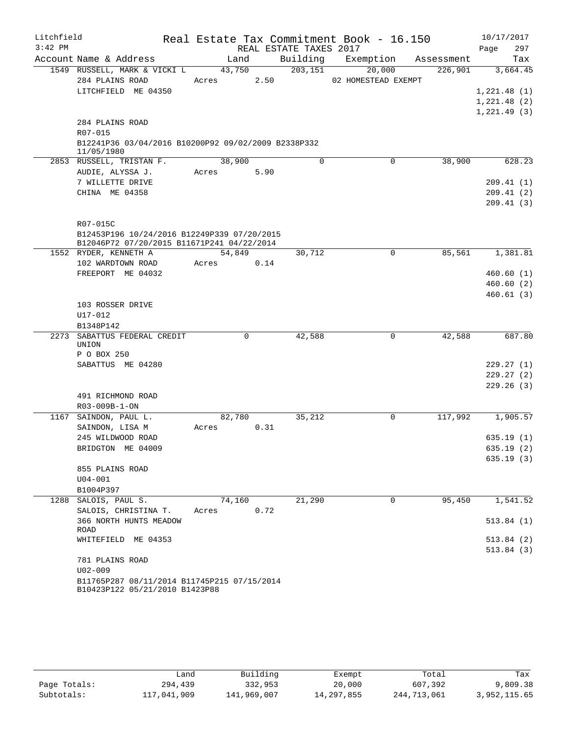| Litchfield<br>$3:42$ PM |                                                                               |        |      |                                    | Real Estate Tax Commitment Book - 16.150 |            | 10/17/2017              |
|-------------------------|-------------------------------------------------------------------------------|--------|------|------------------------------------|------------------------------------------|------------|-------------------------|
|                         | Account Name & Address                                                        | Land   |      | REAL ESTATE TAXES 2017<br>Building | Exemption                                | Assessment | Page<br>297<br>Tax      |
|                         | 1549 RUSSELL, MARK & VICKI L                                                  | 43,750 |      | 203, 151                           | 20,000                                   | 226,901    | 3,664.45                |
|                         | 284 PLAINS ROAD                                                               | Acres  | 2.50 |                                    | 02 HOMESTEAD EXEMPT                      |            |                         |
|                         | LITCHFIELD ME 04350                                                           |        |      |                                    |                                          |            | 1,221.48(1)             |
|                         |                                                                               |        |      |                                    |                                          |            | 1,221.48(2)             |
|                         |                                                                               |        |      |                                    |                                          |            | 1, 221.49(3)            |
|                         | 284 PLAINS ROAD                                                               |        |      |                                    |                                          |            |                         |
|                         | R07-015                                                                       |        |      |                                    |                                          |            |                         |
|                         | B12241P36 03/04/2016 B10200P92 09/02/2009 B2338P332<br>11/05/1980             |        |      |                                    |                                          |            |                         |
|                         | 2853 RUSSELL, TRISTAN F.                                                      | 38,900 |      | $\Omega$                           | 0                                        | 38,900     | 628.23                  |
|                         | AUDIE, ALYSSA J.                                                              | Acres  | 5.90 |                                    |                                          |            |                         |
|                         | 7 WILLETTE DRIVE                                                              |        |      |                                    |                                          |            | 209.41(1)               |
|                         | CHINA ME 04358                                                                |        |      |                                    |                                          |            | 209.41(2)               |
|                         |                                                                               |        |      |                                    |                                          |            | 209.41(3)               |
|                         | R07-015C                                                                      |        |      |                                    |                                          |            |                         |
|                         | B12453P196 10/24/2016 B12249P339 07/20/2015                                   |        |      |                                    |                                          |            |                         |
|                         | B12046P72 07/20/2015 B11671P241 04/22/2014                                    |        |      |                                    |                                          |            |                         |
|                         | 1552 RYDER, KENNETH A                                                         | 54,849 |      | 30,712                             | $\mathbf 0$                              | 85,561     | 1,381.81                |
|                         | 102 WARDTOWN ROAD                                                             | Acres  | 0.14 |                                    |                                          |            |                         |
|                         | FREEPORT ME 04032                                                             |        |      |                                    |                                          |            | 460.60(1)               |
|                         |                                                                               |        |      |                                    |                                          |            | 460.60(2)               |
|                         |                                                                               |        |      |                                    |                                          |            | 460.61(3)               |
|                         | 103 ROSSER DRIVE<br>$U17 - 012$                                               |        |      |                                    |                                          |            |                         |
|                         | B1348P142                                                                     |        |      |                                    |                                          |            |                         |
| 2273                    | SABATTUS FEDERAL CREDIT<br>UNION                                              | 0      |      | 42,588                             | 0                                        | 42,588     | 687.80                  |
|                         | P O BOX 250                                                                   |        |      |                                    |                                          |            |                         |
|                         | SABATTUS ME 04280                                                             |        |      |                                    |                                          |            | 229.27(1)               |
|                         |                                                                               |        |      |                                    |                                          |            | 229.27(2)               |
|                         |                                                                               |        |      |                                    |                                          |            | 229.26(3)               |
|                         | 491 RICHMOND ROAD                                                             |        |      |                                    |                                          |            |                         |
|                         | R03-009B-1-ON                                                                 |        |      |                                    |                                          |            |                         |
|                         | 1167 SAINDON, PAUL L.                                                         | 82,780 |      | 35,212                             | 0                                        | 117,992    | 1,905.57                |
|                         | SAINDON, LISA M                                                               | Acres  | 0.31 |                                    |                                          |            |                         |
|                         | 245 WILDWOOD ROAD                                                             |        |      |                                    |                                          |            | 635.19(1)               |
|                         | BRIDGTON ME 04009                                                             |        |      |                                    |                                          |            | 635.19 (2)<br>635.19(3) |
|                         | 855 PLAINS ROAD                                                               |        |      |                                    |                                          |            |                         |
|                         | $U04 - 001$                                                                   |        |      |                                    |                                          |            |                         |
|                         | B1004P397                                                                     |        |      |                                    |                                          |            |                         |
|                         | 1288 SALOIS, PAUL S.                                                          | 74,160 |      | 21,290                             | $\mathbf 0$                              | 95,450     | 1,541.52                |
|                         | SALOIS, CHRISTINA T.                                                          | Acres  | 0.72 |                                    |                                          |            |                         |
|                         | 366 NORTH HUNTS MEADOW<br>ROAD                                                |        |      |                                    |                                          |            | 513.84(1)               |
|                         | WHITEFIELD ME 04353                                                           |        |      |                                    |                                          |            | 513.84(2)               |
|                         |                                                                               |        |      |                                    |                                          |            | 513.84(3)               |
|                         | 781 PLAINS ROAD                                                               |        |      |                                    |                                          |            |                         |
|                         | $U02 - 009$                                                                   |        |      |                                    |                                          |            |                         |
|                         | B11765P287 08/11/2014 B11745P215 07/15/2014<br>B10423P122 05/21/2010 B1423P88 |        |      |                                    |                                          |            |                         |

|              | Land        | Building    | Exempt     | Total       | Tax          |
|--------------|-------------|-------------|------------|-------------|--------------|
| Page Totals: | 294,439     | 332,953     | 20,000     | 607,392     | 9,809.38     |
| Subtotals:   | 117,041,909 | 141,969,007 | 14,297,855 | 244,713,061 | 3,952,115.65 |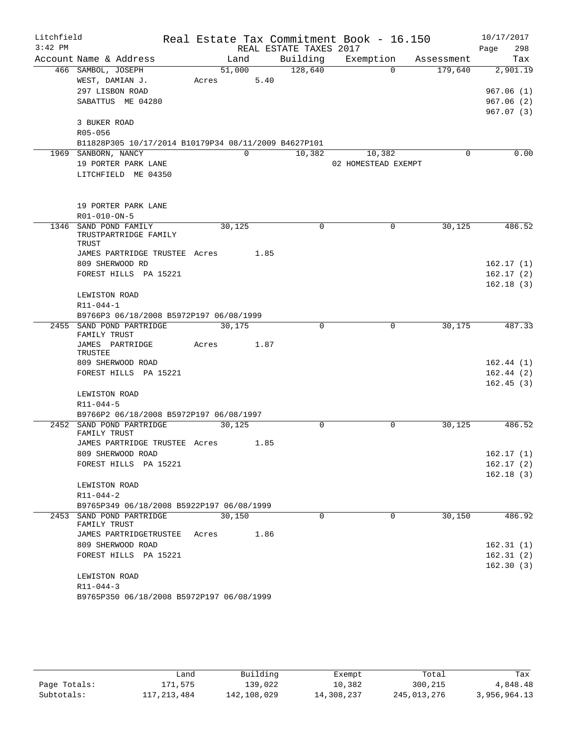| Litchfield |                                                      |       |          |                        | Real Estate Tax Commitment Book - 16.150 |            | 10/17/2017  |
|------------|------------------------------------------------------|-------|----------|------------------------|------------------------------------------|------------|-------------|
| $3:42$ PM  |                                                      |       |          | REAL ESTATE TAXES 2017 |                                          |            | 298<br>Page |
|            | Account Name & Address                               |       | Land     |                        | Building Exemption                       | Assessment | Tax         |
|            | 466 SAMBOL, JOSEPH                                   |       | 51,000   | 128,640                | $\Omega$                                 | 179,640    | 2,901.19    |
|            | WEST, DAMIAN J.                                      | Acres | 5.40     |                        |                                          |            |             |
|            | 297 LISBON ROAD                                      |       |          |                        |                                          |            | 967.06(1)   |
|            | SABATTUS ME 04280                                    |       |          |                        |                                          |            | 967.06(2)   |
|            |                                                      |       |          |                        |                                          |            | 967.07(3)   |
|            | 3 BUKER ROAD                                         |       |          |                        |                                          |            |             |
|            | R05-056                                              |       |          |                        |                                          |            |             |
|            | B11828P305 10/17/2014 B10179P34 08/11/2009 B4627P101 |       |          |                        |                                          |            |             |
|            | 1969 SANBORN, NANCY                                  |       | $\Omega$ | 10,382                 | 10,382                                   | $\Omega$   | 0.00        |
|            | 19 PORTER PARK LANE                                  |       |          |                        | 02 HOMESTEAD EXEMPT                      |            |             |
|            | LITCHFIELD ME 04350                                  |       |          |                        |                                          |            |             |
|            |                                                      |       |          |                        |                                          |            |             |
|            |                                                      |       |          |                        |                                          |            |             |
|            | 19 PORTER PARK LANE                                  |       |          |                        |                                          |            |             |
|            | R01-010-ON-5                                         |       |          |                        |                                          |            |             |
|            | 1346 SAND POND FAMILY                                |       | 30,125   | 0                      | 0                                        | 30,125     | 486.52      |
|            | TRUSTPARTRIDGE FAMILY<br>TRUST                       |       |          |                        |                                          |            |             |
|            | JAMES PARTRIDGE TRUSTEE Acres 1.85                   |       |          |                        |                                          |            |             |
|            | 809 SHERWOOD RD                                      |       |          |                        |                                          |            | 162.17(1)   |
|            | FOREST HILLS PA 15221                                |       |          |                        |                                          |            | 162.17(2)   |
|            |                                                      |       |          |                        |                                          |            | 162.18(3)   |
|            | LEWISTON ROAD                                        |       |          |                        |                                          |            |             |
|            | R11-044-1                                            |       |          |                        |                                          |            |             |
|            | B9766P3 06/18/2008 B5972P197 06/08/1999              |       |          |                        |                                          |            |             |
|            | 2455 SAND POND PARTRIDGE                             |       | 30,175   | $\Omega$               | $\Omega$                                 | 30, 175    | 487.33      |
|            | FAMILY TRUST                                         |       |          |                        |                                          |            |             |
|            | JAMES PARTRIDGE                                      | Acres | 1.87     |                        |                                          |            |             |
|            | TRUSTEE<br>809 SHERWOOD ROAD                         |       |          |                        |                                          |            | 162.44(1)   |
|            | FOREST HILLS PA 15221                                |       |          |                        |                                          |            | 162.44(2)   |
|            |                                                      |       |          |                        |                                          |            | 162.45(3)   |
|            | LEWISTON ROAD                                        |       |          |                        |                                          |            |             |
|            | $R11 - 044 - 5$                                      |       |          |                        |                                          |            |             |
|            | B9766P2 06/18/2008 B5972P197 06/08/1997              |       |          |                        |                                          |            |             |
|            | 2452 SAND POND PARTRIDGE                             |       | 30,125   | 0                      | $\mathbf 0$                              | 30,125     | 486.52      |
|            | FAMILY TRUST                                         |       |          |                        |                                          |            |             |
|            | JAMES PARTRIDGE TRUSTEE Acres                        |       | 1.85     |                        |                                          |            |             |
|            | 809 SHERWOOD ROAD                                    |       |          |                        |                                          |            | 162.17(1)   |
|            | FOREST HILLS PA 15221                                |       |          |                        |                                          |            | 162.17(2)   |
|            |                                                      |       |          |                        |                                          |            | 162.18(3)   |
|            | LEWISTON ROAD                                        |       |          |                        |                                          |            |             |
|            | $R11 - 044 - 2$                                      |       |          |                        |                                          |            |             |
|            | B9765P349 06/18/2008 B5922P197 06/08/1999            |       |          |                        |                                          |            |             |
|            | 2453 SAND POND PARTRIDGE<br>FAMILY TRUST             |       | 30,150   | 0                      | $\mathbf 0$                              | 30,150     | 486.92      |
|            | JAMES PARTRIDGETRUSTEE                               | Acres | 1.86     |                        |                                          |            |             |
|            | 809 SHERWOOD ROAD                                    |       |          |                        |                                          |            | 162.31(1)   |
|            | FOREST HILLS PA 15221                                |       |          |                        |                                          |            | 162.31(2)   |
|            |                                                      |       |          |                        |                                          |            | 162.30(3)   |
|            | LEWISTON ROAD                                        |       |          |                        |                                          |            |             |
|            | $R11 - 044 - 3$                                      |       |          |                        |                                          |            |             |
|            | B9765P350 06/18/2008 B5972P197 06/08/1999            |       |          |                        |                                          |            |             |

|              | Land        | Building    | Exempt     | Total       | Tax          |
|--------------|-------------|-------------|------------|-------------|--------------|
| Page Totals: | 171,575     | 139,022     | 10,382     | 300,215     | 4,848.48     |
| Subtotals:   | 117,213,484 | 142,108,029 | 14,308,237 | 245,013,276 | 3,956,964.13 |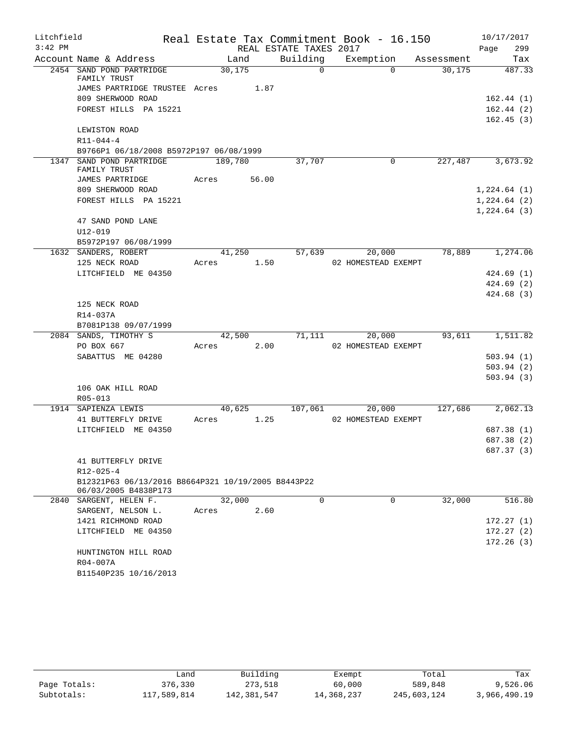| Litchfield |                                                    |                |                        | Real Estate Tax Commitment Book - 16.150 |            | 10/17/2017               |
|------------|----------------------------------------------------|----------------|------------------------|------------------------------------------|------------|--------------------------|
| $3:42$ PM  |                                                    |                | REAL ESTATE TAXES 2017 |                                          |            | 299<br>Page              |
|            | Account Name & Address                             | Land           | Building               | Exemption                                | Assessment | Tax                      |
|            | 2454 SAND POND PARTRIDGE<br>FAMILY TRUST           | 30, 175        | $\Omega$               | $\Omega$                                 | 30, 175    | 487.33                   |
|            | JAMES PARTRIDGE TRUSTEE Acres                      | 1.87           |                        |                                          |            |                          |
|            | 809 SHERWOOD ROAD                                  |                |                        |                                          |            | 162.44(1)                |
|            | FOREST HILLS PA 15221                              |                |                        |                                          |            | 162.44(2)                |
|            |                                                    |                |                        |                                          |            | 162.45(3)                |
|            | LEWISTON ROAD                                      |                |                        |                                          |            |                          |
|            | $R11 - 044 - 4$                                    |                |                        |                                          |            |                          |
|            | B9766P1 06/18/2008 B5972P197 06/08/1999            |                |                        |                                          |            |                          |
|            | 1347 SAND POND PARTRIDGE<br>FAMILY TRUST           | 189,780        | 37,707                 | 0                                        | 227,487    | 3,673.92                 |
|            | JAMES PARTRIDGE                                    | 56.00<br>Acres |                        |                                          |            |                          |
|            | 809 SHERWOOD ROAD                                  |                |                        |                                          |            | 1,224.64(1)              |
|            | FOREST HILLS PA 15221                              |                |                        |                                          |            | 1,224.64(2)              |
|            |                                                    |                |                        |                                          |            | 1,224.64(3)              |
|            | 47 SAND POND LANE                                  |                |                        |                                          |            |                          |
|            | $U12 - 019$                                        |                |                        |                                          |            |                          |
|            | B5972P197 06/08/1999                               |                |                        |                                          |            |                          |
|            | 1632 SANDERS, ROBERT                               | 41,250         | 57,639                 | 20,000                                   | 78,889     | 1,274.06                 |
|            | 125 NECK ROAD                                      | 1.50<br>Acres  |                        | 02 HOMESTEAD EXEMPT                      |            |                          |
|            | LITCHFIELD ME 04350                                |                |                        |                                          |            | 424.69(1)                |
|            |                                                    |                |                        |                                          |            | 424.69(2)                |
|            |                                                    |                |                        |                                          |            | 424.68(3)                |
|            | 125 NECK ROAD                                      |                |                        |                                          |            |                          |
|            | R14-037A                                           |                |                        |                                          |            |                          |
|            | B7081P138 09/07/1999                               |                |                        |                                          |            |                          |
|            | 2084 SANDS, TIMOTHY S                              | 42,500         | 71,111                 | 20,000                                   | 93,611     | 1,511.82                 |
|            | PO BOX 667                                         | 2.00<br>Acres  |                        | 02 HOMESTEAD EXEMPT                      |            |                          |
|            | SABATTUS ME 04280                                  |                |                        |                                          |            | 503.94(1)                |
|            |                                                    |                |                        |                                          |            | 503.94(2)                |
|            |                                                    |                |                        |                                          |            | 503.94(3)                |
|            | 106 OAK HILL ROAD                                  |                |                        |                                          |            |                          |
|            | $R05 - 013$                                        |                |                        |                                          |            |                          |
|            | 1914 SAPIENZA LEWIS                                | 40,625         | 107,061                | 20,000                                   | 127,686    | 2,062.13                 |
|            | 41 BUTTERFLY DRIVE                                 | 1.25<br>Acres  |                        | 02 HOMESTEAD EXEMPT                      |            |                          |
|            | LITCHFIELD ME 04350                                |                |                        |                                          |            | 687.38 (1)               |
|            |                                                    |                |                        |                                          |            | 687.38 (2)<br>687.37 (3) |
|            | 41 BUTTERFLY DRIVE                                 |                |                        |                                          |            |                          |
|            | $R12 - 025 - 4$                                    |                |                        |                                          |            |                          |
|            | B12321P63 06/13/2016 B8664P321 10/19/2005 B8443P22 |                |                        |                                          |            |                          |
|            | 06/03/2005 B4838P173                               |                |                        |                                          |            |                          |
|            | 2840 SARGENT, HELEN F.                             | 32,000         | $\Omega$               | $\Omega$                                 | 32,000     | 516.80                   |
|            | SARGENT, NELSON L.                                 | 2.60<br>Acres  |                        |                                          |            |                          |
|            | 1421 RICHMOND ROAD                                 |                |                        |                                          |            | 172.27(1)                |
|            | LITCHFIELD ME 04350                                |                |                        |                                          |            | 172.27(2)                |
|            |                                                    |                |                        |                                          |            | 172.26(3)                |
|            | HUNTINGTON HILL ROAD                               |                |                        |                                          |            |                          |
|            | R04-007A                                           |                |                        |                                          |            |                          |
|            | B11540P235 10/16/2013                              |                |                        |                                          |            |                          |

|              | Land        | Building    | Exempt     | Total       | Tax          |
|--------------|-------------|-------------|------------|-------------|--------------|
| Page Totals: | 376,330     | 273,518     | 60,000     | 589,848     | 9,526.06     |
| Subtotals:   | 117,589,814 | 142,381,547 | 14,368,237 | 245,603,124 | 3,966,490.19 |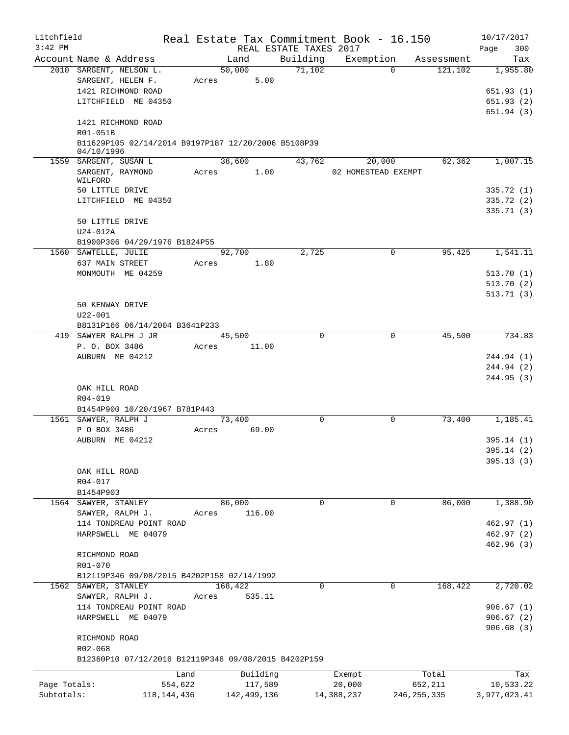| Litchfield   |                                                                   |             |       |             | Real Estate Tax Commitment Book - 16.150 |                     |             |               | 10/17/2017   |        |
|--------------|-------------------------------------------------------------------|-------------|-------|-------------|------------------------------------------|---------------------|-------------|---------------|--------------|--------|
| $3:42$ PM    |                                                                   |             |       |             | REAL ESTATE TAXES 2017                   |                     |             |               | Page         | 300    |
|              | Account Name & Address                                            |             |       | Land        | Building                                 | Exemption           |             | Assessment    |              | Tax    |
|              | 2010 SARGENT, NELSON L.                                           |             |       | 50,000      | 71,102                                   |                     | $\Omega$    | 121,102       | 1,955.80     |        |
|              | SARGENT, HELEN F.                                                 |             | Acres | 5.00        |                                          |                     |             |               |              |        |
|              | 1421 RICHMOND ROAD                                                |             |       |             |                                          |                     |             |               | 651.93(1)    |        |
|              | LITCHFIELD ME 04350                                               |             |       |             |                                          |                     |             |               | 651.93(2)    |        |
|              |                                                                   |             |       |             |                                          |                     |             |               | 651.94(3)    |        |
|              | 1421 RICHMOND ROAD                                                |             |       |             |                                          |                     |             |               |              |        |
|              | R01-051B                                                          |             |       |             |                                          |                     |             |               |              |        |
|              | B11629P105 02/14/2014 B9197P187 12/20/2006 B5108P39<br>04/10/1996 |             |       |             |                                          |                     |             |               |              |        |
|              | 1559 SARGENT, SUSAN L                                             |             |       | 38,600      | 43,762                                   |                     | 20,000      | 62,362        | 1,007.15     |        |
|              | SARGENT, RAYMOND                                                  |             | Acres | 1.00        |                                          | 02 HOMESTEAD EXEMPT |             |               |              |        |
|              | WILFORD                                                           |             |       |             |                                          |                     |             |               |              |        |
|              | 50 LITTLE DRIVE                                                   |             |       |             |                                          |                     |             |               | 335.72(1)    |        |
|              | LITCHFIELD ME 04350                                               |             |       |             |                                          |                     |             |               | 335.72 (2)   |        |
|              |                                                                   |             |       |             |                                          |                     |             |               | 335.71(3)    |        |
|              | 50 LITTLE DRIVE                                                   |             |       |             |                                          |                     |             |               |              |        |
|              | U24-012A                                                          |             |       |             |                                          |                     |             |               |              |        |
|              | B1900P306 04/29/1976 B1824P55                                     |             |       |             |                                          |                     |             |               |              |        |
|              | 1560 SAWTELLE, JULIE                                              |             |       | 92,700      | 2,725                                    |                     | 0           | 95,425        | 1,541.11     |        |
|              | 637 MAIN STREET                                                   |             | Acres | 1.80        |                                          |                     |             |               |              |        |
|              | MONMOUTH ME 04259                                                 |             |       |             |                                          |                     |             |               | 513.70(1)    |        |
|              |                                                                   |             |       |             |                                          |                     |             |               | 513.70(2)    |        |
|              |                                                                   |             |       |             |                                          |                     |             |               | 513.71(3)    |        |
|              | 50 KENWAY DRIVE                                                   |             |       |             |                                          |                     |             |               |              |        |
|              | $U22 - 001$                                                       |             |       |             |                                          |                     |             |               |              |        |
|              | B8131P166 06/14/2004 B3641P233                                    |             |       |             |                                          |                     |             |               |              |        |
|              | 419 SAWYER RALPH J JR                                             |             |       | 45,500      | 0                                        |                     | $\mathbf 0$ | 45,500        |              | 734.83 |
|              | P. O. BOX 3486                                                    |             | Acres | 11.00       |                                          |                     |             |               |              |        |
|              | AUBURN ME 04212                                                   |             |       |             |                                          |                     |             |               | 244.94 (1)   |        |
|              |                                                                   |             |       |             |                                          |                     |             |               | 244.94 (2)   |        |
|              |                                                                   |             |       |             |                                          |                     |             |               | 244.95(3)    |        |
|              | OAK HILL ROAD                                                     |             |       |             |                                          |                     |             |               |              |        |
|              | R04-019<br>B1454P900 10/20/1967 B781P443                          |             |       |             |                                          |                     |             |               |              |        |
|              | 1561 SAWYER, RALPH J                                              |             |       | 73,400      | 0                                        |                     | $\mathbf 0$ | 73,400        | 1,185.41     |        |
|              | P O BOX 3486                                                      |             | Acres | 69.00       |                                          |                     |             |               |              |        |
|              | AUBURN ME 04212                                                   |             |       |             |                                          |                     |             |               | 395.14(1)    |        |
|              |                                                                   |             |       |             |                                          |                     |             |               | 395.14 (2)   |        |
|              |                                                                   |             |       |             |                                          |                     |             |               | 395.13(3)    |        |
|              | OAK HILL ROAD                                                     |             |       |             |                                          |                     |             |               |              |        |
|              | R04-017                                                           |             |       |             |                                          |                     |             |               |              |        |
|              | B1454P903                                                         |             |       |             |                                          |                     |             |               |              |        |
|              | 1564 SAWYER, STANLEY                                              |             |       | 86,000      | 0                                        |                     | 0           | 86,000        | 1,388.90     |        |
|              | SAWYER, RALPH J.                                                  |             | Acres | 116.00      |                                          |                     |             |               |              |        |
|              | 114 TONDREAU POINT ROAD                                           |             |       |             |                                          |                     |             |               | 462.97(1)    |        |
|              | HARPSWELL ME 04079                                                |             |       |             |                                          |                     |             |               | 462.97(2)    |        |
|              |                                                                   |             |       |             |                                          |                     |             |               | 462.96(3)    |        |
|              | RICHMOND ROAD                                                     |             |       |             |                                          |                     |             |               |              |        |
|              | R01-070                                                           |             |       |             |                                          |                     |             |               |              |        |
|              | B12119P346 09/08/2015 B4202P158 02/14/1992                        |             |       |             |                                          |                     |             |               |              |        |
|              | 1562 SAWYER, STANLEY                                              |             |       | 168,422     | 0                                        |                     | $\mathbf 0$ | 168,422       | 2,720.02     |        |
|              | SAWYER, RALPH J.                                                  |             | Acres | 535.11      |                                          |                     |             |               |              |        |
|              | 114 TONDREAU POINT ROAD                                           |             |       |             |                                          |                     |             |               | 906.67(1)    |        |
|              | HARPSWELL ME 04079                                                |             |       |             |                                          |                     |             |               | 906.67(2)    |        |
|              |                                                                   |             |       |             |                                          |                     |             |               | 906.68(3)    |        |
|              | RICHMOND ROAD                                                     |             |       |             |                                          |                     |             |               |              |        |
|              | R02-068                                                           |             |       |             |                                          |                     |             |               |              |        |
|              | B12360P10 07/12/2016 B12119P346 09/08/2015 B4202P159              |             |       |             |                                          |                     |             |               |              |        |
|              |                                                                   | Land        |       | Building    |                                          | Exempt              |             | Total         |              | Tax    |
| Page Totals: |                                                                   | 554,622     |       | 117,589     |                                          | 20,000              |             | 652,211       | 10,533.22    |        |
| Subtotals:   |                                                                   | 118,144,436 |       | 142,499,136 |                                          | 14,388,237          |             | 246, 255, 335 | 3,977,023.41 |        |
|              |                                                                   |             |       |             |                                          |                     |             |               |              |        |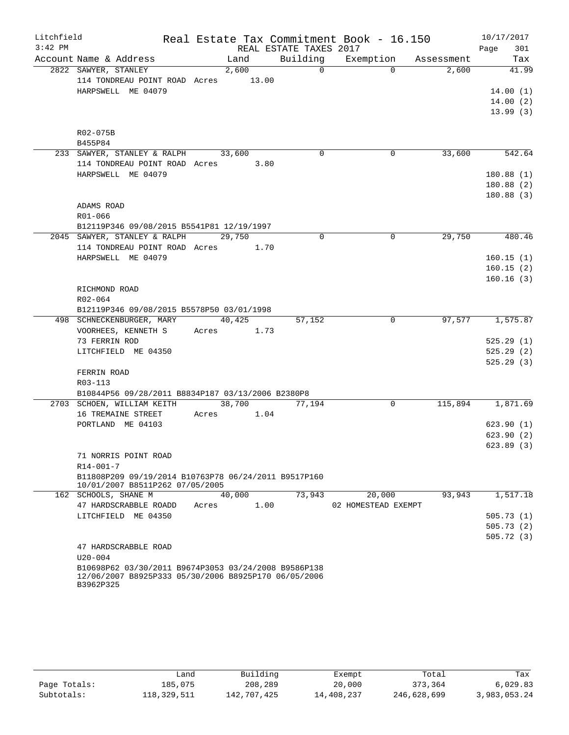| Litchfield |                                                                                                                           |       |        |                        | Real Estate Tax Commitment Book - 16.150 |        | 10/17/2017       |
|------------|---------------------------------------------------------------------------------------------------------------------------|-------|--------|------------------------|------------------------------------------|--------|------------------|
| $3:42$ PM  |                                                                                                                           |       |        | REAL ESTATE TAXES 2017 |                                          |        | 301<br>Page      |
|            | Account Name & Address                                                                                                    |       | Land   |                        | Building Exemption Assessment            |        | Tax              |
|            | 2822 SAWYER, STANLEY                                                                                                      |       | 2,600  | $\overline{0}$         | $\Omega$                                 | 2,600  | 41.99            |
|            | 114 TONDREAU POINT ROAD Acres 13.00                                                                                       |       |        |                        |                                          |        |                  |
|            | HARPSWELL ME 04079                                                                                                        |       |        |                        |                                          |        | 14.00(1)         |
|            |                                                                                                                           |       |        |                        |                                          |        | 14.00(2)         |
|            |                                                                                                                           |       |        |                        |                                          |        | 13.99(3)         |
|            |                                                                                                                           |       |        |                        |                                          |        |                  |
|            | R02-075B                                                                                                                  |       |        |                        |                                          |        |                  |
|            | B455P84                                                                                                                   |       |        |                        |                                          |        |                  |
|            | 233 SAWYER, STANLEY & RALPH                                                                                               |       | 33,600 | $\Omega$               | 0                                        | 33,600 | 542.64           |
|            | 114 TONDREAU POINT ROAD Acres 3.80                                                                                        |       |        |                        |                                          |        |                  |
|            | HARPSWELL ME 04079                                                                                                        |       |        |                        |                                          |        | 180.88(1)        |
|            |                                                                                                                           |       |        |                        |                                          |        | 180.88(2)        |
|            |                                                                                                                           |       |        |                        |                                          |        | 180.88(3)        |
|            | ADAMS ROAD                                                                                                                |       |        |                        |                                          |        |                  |
|            | $R01 - 066$                                                                                                               |       |        |                        |                                          |        |                  |
|            | B12119P346 09/08/2015 B5541P81 12/19/1997                                                                                 |       | 29,750 | $\Omega$               | $\Omega$                                 | 29,750 | 480.46           |
|            | 2045 SAWYER, STANLEY & RALPH<br>114 TONDREAU POINT ROAD Acres 1.70                                                        |       |        |                        |                                          |        |                  |
|            | HARPSWELL ME 04079                                                                                                        |       |        |                        |                                          |        | 160.15(1)        |
|            |                                                                                                                           |       |        |                        |                                          |        | 160.15(2)        |
|            |                                                                                                                           |       |        |                        |                                          |        | 160.16(3)        |
|            | RICHMOND ROAD                                                                                                             |       |        |                        |                                          |        |                  |
|            | R02-064                                                                                                                   |       |        |                        |                                          |        |                  |
|            | B12119P346 09/08/2015 B5578P50 03/01/1998                                                                                 |       |        |                        |                                          |        |                  |
|            | 498 SCHNECKENBURGER, MARY 40,425                                                                                          |       |        | 57,152                 | 0                                        | 97,577 | 1,575.87         |
|            | VOORHEES, KENNETH S Acres 1.73                                                                                            |       |        |                        |                                          |        |                  |
|            | 73 FERRIN ROD                                                                                                             |       |        |                        |                                          |        | 525.29(1)        |
|            | LITCHFIELD ME 04350                                                                                                       |       |        |                        |                                          |        | 525.29(2)        |
|            |                                                                                                                           |       |        |                        |                                          |        | 525.29(3)        |
|            | FERRIN ROAD                                                                                                               |       |        |                        |                                          |        |                  |
|            | R03-113                                                                                                                   |       |        |                        |                                          |        |                  |
|            | B10844P56 09/28/2011 B8834P187 03/13/2006 B2380P8                                                                         |       |        |                        |                                          |        |                  |
|            | 2703 SCHOEN, WILLIAM KEITH                                                                                                |       | 38,700 | 77,194                 | $\Omega$                                 |        | 115,894 1,871.69 |
|            | 16 TREMAINE STREET                                                                                                        | Acres | 1.04   |                        |                                          |        |                  |
|            | PORTLAND ME 04103                                                                                                         |       |        |                        |                                          |        | 623.90(1)        |
|            |                                                                                                                           |       |        |                        |                                          |        | 623.90(2)        |
|            |                                                                                                                           |       |        |                        |                                          |        | 623.89 (3)       |
|            | 71 NORRIS POINT ROAD                                                                                                      |       |        |                        |                                          |        |                  |
|            | $R14 - 001 - 7$                                                                                                           |       |        |                        |                                          |        |                  |
|            | B11808P209 09/19/2014 B10763P78 06/24/2011 B9517P160                                                                      |       |        |                        |                                          |        |                  |
|            | 10/01/2007 B8511P262 07/05/2005                                                                                           |       |        |                        |                                          |        |                  |
|            | 162 SCHOOLS, SHANE M                                                                                                      |       | 40,000 | 73,943                 | 20,000                                   | 93,943 | 1,517.18         |
|            | 47 HARDSCRABBLE ROADD                                                                                                     | Acres | 1.00   |                        | 02 HOMESTEAD EXEMPT                      |        |                  |
|            | LITCHFIELD ME 04350                                                                                                       |       |        |                        |                                          |        | 505.73(1)        |
|            |                                                                                                                           |       |        |                        |                                          |        | 505.73(2)        |
|            |                                                                                                                           |       |        |                        |                                          |        | 505.72(3)        |
|            | 47 HARDSCRABBLE ROAD                                                                                                      |       |        |                        |                                          |        |                  |
|            | $U20 - 004$                                                                                                               |       |        |                        |                                          |        |                  |
|            | B10698P62 03/30/2011 B9674P3053 03/24/2008 B9586P138<br>12/06/2007 B8925P333 05/30/2006 B8925P170 06/05/2006<br>B3962P325 |       |        |                        |                                          |        |                  |

|              | Land        | Building    | Exempt     | Total       | Tax          |
|--------------|-------------|-------------|------------|-------------|--------------|
| Page Totals: | 185,075     | 208,289     | 20,000     | 373,364     | 6,029.83     |
| Subtotals:   | 118,329,511 | 142,707,425 | 14,408,237 | 246,628,699 | 3,983,053.24 |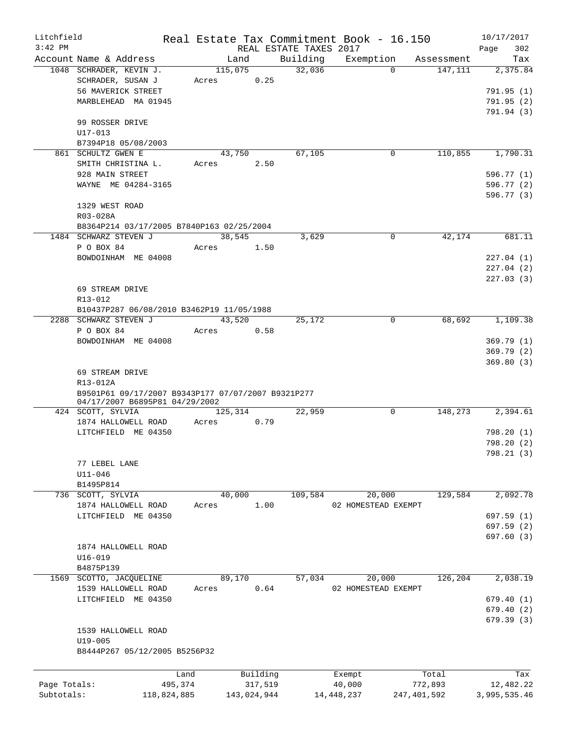| Litchfield   |                                                    |             |       |             |                        | Real Estate Tax Commitment Book - 16.150 |             |            | 10/17/2017   |
|--------------|----------------------------------------------------|-------------|-------|-------------|------------------------|------------------------------------------|-------------|------------|--------------|
| $3:42$ PM    |                                                    |             |       |             | REAL ESTATE TAXES 2017 |                                          |             |            | 302<br>Page  |
|              | Account Name & Address                             |             |       | Land        | Building               | Exemption                                |             | Assessment | Tax          |
|              | 1048 SCHRADER, KEVIN J.                            |             |       | 115,075     | 32,036                 |                                          | $\Omega$    | 147,111    | 2,375.84     |
|              | SCHRADER, SUSAN J                                  |             | Acres | 0.25        |                        |                                          |             |            |              |
|              | 56 MAVERICK STREET                                 |             |       |             |                        |                                          |             |            | 791.95(1)    |
|              | MARBLEHEAD MA 01945                                |             |       |             |                        |                                          |             |            | 791.95(2)    |
|              |                                                    |             |       |             |                        |                                          |             |            | 791.94 (3)   |
|              | 99 ROSSER DRIVE                                    |             |       |             |                        |                                          |             |            |              |
|              | $U17 - 013$                                        |             |       |             |                        |                                          |             |            |              |
|              | B7394P18 05/08/2003                                |             |       |             |                        |                                          |             |            |              |
|              | 861 SCHULTZ GWEN E                                 |             |       | 43,750      | 67,105                 |                                          | 0           | 110,855    | 1,790.31     |
|              | SMITH CHRISTINA L.                                 |             | Acres | 2.50        |                        |                                          |             |            |              |
|              | 928 MAIN STREET                                    |             |       |             |                        |                                          |             |            | 596.77(1)    |
|              | WAYNE ME 04284-3165                                |             |       |             |                        |                                          |             |            | 596.77 (2)   |
|              |                                                    |             |       |             |                        |                                          |             |            | 596.77 (3)   |
|              | 1329 WEST ROAD                                     |             |       |             |                        |                                          |             |            |              |
|              | R03-028A                                           |             |       |             |                        |                                          |             |            |              |
|              | B8364P214 03/17/2005 B7840P163 02/25/2004          |             |       |             |                        |                                          |             |            |              |
|              | 1484 SCHWARZ STEVEN J                              |             |       | 38,545      | 3,629                  |                                          | 0           | 42,174     | 681.11       |
|              | P O BOX 84                                         |             | Acres | 1.50        |                        |                                          |             |            |              |
|              | BOWDOINHAM ME 04008                                |             |       |             |                        |                                          |             |            | 227.04(1)    |
|              |                                                    |             |       |             |                        |                                          |             |            | 227.04(2)    |
|              |                                                    |             |       |             |                        |                                          |             |            | 227.03(3)    |
|              | 69 STREAM DRIVE                                    |             |       |             |                        |                                          |             |            |              |
|              |                                                    |             |       |             |                        |                                          |             |            |              |
|              | R13-012                                            |             |       |             |                        |                                          |             |            |              |
|              | B10437P287 06/08/2010 B3462P19 11/05/1988          |             |       |             |                        |                                          |             |            |              |
|              | 2288 SCHWARZ STEVEN J                              |             |       | 43,520      | 25,172                 |                                          | 0           | 68,692     | 1,109.38     |
|              | P O BOX 84                                         |             | Acres | 0.58        |                        |                                          |             |            |              |
|              | BOWDOINHAM ME 04008                                |             |       |             |                        |                                          |             |            | 369.79(1)    |
|              |                                                    |             |       |             |                        |                                          |             |            | 369.79(2)    |
|              |                                                    |             |       |             |                        |                                          |             |            | 369.80(3)    |
|              | 69 STREAM DRIVE                                    |             |       |             |                        |                                          |             |            |              |
|              | R13-012A                                           |             |       |             |                        |                                          |             |            |              |
|              | B9501P61 09/17/2007 B9343P177 07/07/2007 B9321P277 |             |       |             |                        |                                          |             |            |              |
|              | 04/17/2007 B6895P81 04/29/2002                     |             |       |             |                        |                                          |             |            |              |
|              | 424 SCOTT, SYLVIA                                  |             |       | 125,314     | 22,959                 |                                          | 0           | 148,273    | 2,394.61     |
|              | 1874 HALLOWELL ROAD                                |             | Acres | 0.79        |                        |                                          |             |            |              |
|              | LITCHFIELD ME 04350                                |             |       |             |                        |                                          |             |            | 798.20(1)    |
|              |                                                    |             |       |             |                        |                                          |             |            | 798.20(2)    |
|              |                                                    |             |       |             |                        |                                          |             |            | 798.21 (3)   |
|              | 77 LEBEL LANE                                      |             |       |             |                        |                                          |             |            |              |
|              | $U11 - 046$                                        |             |       |             |                        |                                          |             |            |              |
|              | B1495P814                                          |             |       |             |                        |                                          |             |            |              |
|              | 736 SCOTT, SYLVIA                                  |             |       | 40,000      | 109,584                | 20,000                                   |             | 129,584    | 2,092.78     |
|              | 1874 HALLOWELL ROAD                                |             | Acres | 1.00        |                        | 02 HOMESTEAD EXEMPT                      |             |            |              |
|              | LITCHFIELD ME 04350                                |             |       |             |                        |                                          |             |            | 697.59(1)    |
|              |                                                    |             |       |             |                        |                                          |             |            | 697.59(2)    |
|              |                                                    |             |       |             |                        |                                          |             |            | 697.60(3)    |
|              | 1874 HALLOWELL ROAD                                |             |       |             |                        |                                          |             |            |              |
|              | $U16 - 019$                                        |             |       |             |                        |                                          |             |            |              |
|              | B4875P139                                          |             |       |             |                        |                                          |             |            |              |
|              | 1569 SCOTTO, JACQUELINE                            |             |       | 89,170      | 57,034                 | 20,000                                   |             | 126,204    | 2,038.19     |
|              | 1539 HALLOWELL ROAD                                |             | Acres | 0.64        |                        | 02 HOMESTEAD EXEMPT                      |             |            |              |
|              | LITCHFIELD ME 04350                                |             |       |             |                        |                                          |             |            | 679.40(1)    |
|              |                                                    |             |       |             |                        |                                          |             |            | 679.40(2)    |
|              |                                                    |             |       |             |                        |                                          |             |            |              |
|              |                                                    |             |       |             |                        |                                          |             |            | 679.39(3)    |
|              | 1539 HALLOWELL ROAD                                |             |       |             |                        |                                          |             |            |              |
|              | $U19 - 005$                                        |             |       |             |                        |                                          |             |            |              |
|              | B8444P267 05/12/2005 B5256P32                      |             |       |             |                        |                                          |             |            |              |
|              |                                                    |             |       |             |                        |                                          |             |            |              |
|              |                                                    | Land        |       | Building    |                        | Exempt                                   |             | Total      | Tax          |
| Page Totals: |                                                    | 495,374     |       | 317,519     |                        | 40,000                                   |             | 772,893    | 12,482.22    |
| Subtotals:   |                                                    | 118,824,885 |       | 143,024,944 |                        | 14, 448, 237                             | 247,401,592 |            | 3,995,535.46 |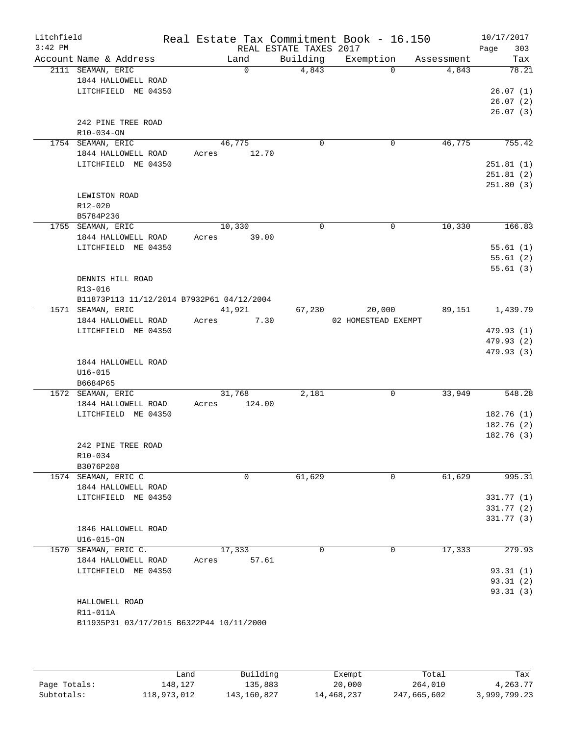| Litchfield<br>$3:42$ PM |                                                                 |       |             | REAL ESTATE TAXES 2017 | Real Estate Tax Commitment Book - 16.150 |            | 10/17/2017<br>Page<br>303 |
|-------------------------|-----------------------------------------------------------------|-------|-------------|------------------------|------------------------------------------|------------|---------------------------|
|                         | Account Name & Address                                          |       | Land        | Building               | Exemption                                | Assessment | Tax                       |
|                         | 2111 SEAMAN, ERIC<br>1844 HALLOWELL ROAD<br>LITCHFIELD ME 04350 |       | $\mathbf 0$ | 4,843                  | $\Omega$                                 | 4,843      | 78.21<br>26.07(1)         |
|                         |                                                                 |       |             |                        |                                          |            | 26.07(2)<br>26.07(3)      |
|                         | 242 PINE TREE ROAD                                              |       |             |                        |                                          |            |                           |
|                         | R10-034-ON                                                      |       | 46,775      |                        |                                          | 46,775     |                           |
|                         | 1754 SEAMAN, ERIC<br>1844 HALLOWELL ROAD                        | Acres | 12.70       | 0                      | $\mathbf 0$                              |            | 755.42                    |
|                         | LITCHFIELD ME 04350                                             |       |             |                        |                                          |            | 251.81(1)                 |
|                         |                                                                 |       |             |                        |                                          |            | 251.81(2)                 |
|                         |                                                                 |       |             |                        |                                          |            | 251.80(3)                 |
|                         | LEWISTON ROAD                                                   |       |             |                        |                                          |            |                           |
|                         | R12-020                                                         |       |             |                        |                                          |            |                           |
|                         | B5784P236                                                       |       |             |                        |                                          |            |                           |
|                         | 1755 SEAMAN, ERIC                                               |       | 10,330      | $\Omega$               | $\mathbf 0$                              | 10,330     | 166.83                    |
|                         | 1844 HALLOWELL ROAD                                             | Acres | 39.00       |                        |                                          |            | 55.61(1)                  |
|                         | LITCHFIELD ME 04350                                             |       |             |                        |                                          |            | 55.61(2)                  |
|                         |                                                                 |       |             |                        |                                          |            | 55.61(3)                  |
|                         | DENNIS HILL ROAD                                                |       |             |                        |                                          |            |                           |
|                         | R13-016                                                         |       |             |                        |                                          |            |                           |
|                         | B11873P113 11/12/2014 B7932P61 04/12/2004                       |       |             |                        |                                          |            |                           |
|                         | 1571 SEAMAN, ERIC                                               |       | 41,921      | 67,230                 | 20,000                                   | 89,151     | 1,439.79                  |
|                         | 1844 HALLOWELL ROAD                                             | Acres | 7.30        |                        | 02 HOMESTEAD EXEMPT                      |            |                           |
|                         | LITCHFIELD ME 04350                                             |       |             |                        |                                          |            | 479.93 (1)                |
|                         |                                                                 |       |             |                        |                                          |            | 479.93 (2)<br>479.93 (3)  |
|                         | 1844 HALLOWELL ROAD                                             |       |             |                        |                                          |            |                           |
|                         | $U16 - 015$                                                     |       |             |                        |                                          |            |                           |
|                         | B6684P65                                                        |       |             |                        |                                          |            |                           |
|                         | 1572 SEAMAN, ERIC                                               |       | 31,768      | 2,181                  | 0                                        | 33,949     | 548.28                    |
|                         | 1844 HALLOWELL ROAD                                             | Acres | 124.00      |                        |                                          |            |                           |
|                         | LITCHFIELD ME 04350                                             |       |             |                        |                                          |            | 182.76(1)<br>182.76(2)    |
|                         |                                                                 |       |             |                        |                                          |            | 182.76(3)                 |
|                         | 242 PINE TREE ROAD                                              |       |             |                        |                                          |            |                           |
|                         | R10-034                                                         |       |             |                        |                                          |            |                           |
|                         | B3076P208                                                       |       |             |                        |                                          |            |                           |
|                         | 1574 SEAMAN, ERIC C                                             |       | 0           | 61,629                 | 0                                        | 61,629     | 995.31                    |
|                         | 1844 HALLOWELL ROAD                                             |       |             |                        |                                          |            |                           |
|                         | LITCHFIELD ME 04350                                             |       |             |                        |                                          |            | 331.77(1)                 |
|                         |                                                                 |       |             |                        |                                          |            | 331.77 (2)<br>331.77(3)   |
|                         | 1846 HALLOWELL ROAD                                             |       |             |                        |                                          |            |                           |
|                         | $U16 - 015 - ON$                                                |       |             |                        |                                          |            |                           |
|                         | 1570 SEAMAN, ERIC C.                                            |       | 17,333      | 0                      | $\mathbf 0$                              | 17,333     | 279.93                    |
|                         | 1844 HALLOWELL ROAD                                             | Acres | 57.61       |                        |                                          |            |                           |
|                         | LITCHFIELD ME 04350                                             |       |             |                        |                                          |            | 93.31(1)                  |
|                         |                                                                 |       |             |                        |                                          |            | 93.31(2)                  |
|                         |                                                                 |       |             |                        |                                          |            | 93.31(3)                  |
|                         | HALLOWELL ROAD<br>R11-011A                                      |       |             |                        |                                          |            |                           |
|                         | B11935P31 03/17/2015 B6322P44 10/11/2000                        |       |             |                        |                                          |            |                           |
|                         |                                                                 |       |             |                        |                                          |            |                           |
|                         |                                                                 |       |             |                        |                                          |            |                           |
|                         |                                                                 |       |             |                        |                                          |            |                           |

|              | فûand       | Building    | Exempt     | Total       | Tax          |
|--------------|-------------|-------------|------------|-------------|--------------|
| Page Totals: | 148,127     | 135,883     | 20,000     | 264,010     | 4,263.77     |
| Subtotals:   | 118,973,012 | 143,160,827 | 14,468,237 | 247,665,602 | 3,999,799.23 |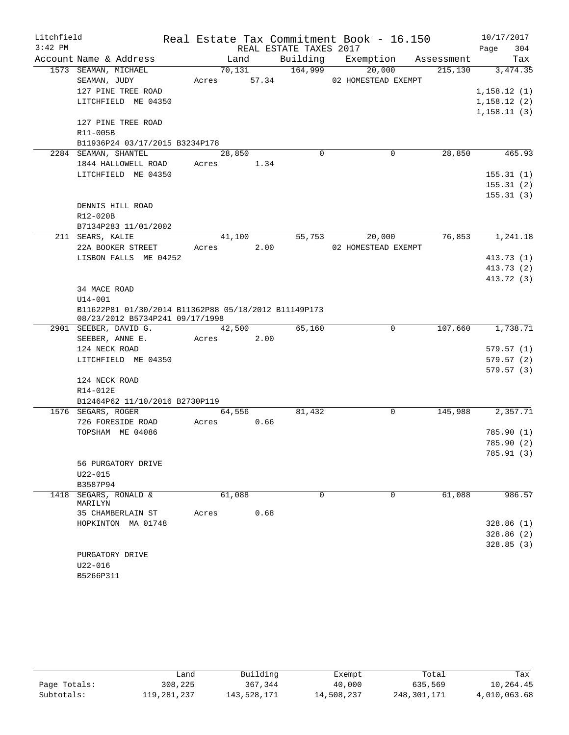| Litchfield |                                                                                         |       |        |                        |          | Real Estate Tax Commitment Book - 16.150 |            | 10/17/2017  |
|------------|-----------------------------------------------------------------------------------------|-------|--------|------------------------|----------|------------------------------------------|------------|-------------|
| $3:42$ PM  |                                                                                         |       |        | REAL ESTATE TAXES 2017 |          |                                          |            | 304<br>Page |
|            | Account Name & Address                                                                  |       | Land   | Building               |          | Exemption                                | Assessment | Tax         |
|            | 1573 SEAMAN, MICHAEL                                                                    |       | 70,131 | 164,999                |          | 20,000                                   | 215,130    | 3,474.35    |
|            | SEAMAN, JUDY                                                                            | Acres | 57.34  |                        |          | 02 HOMESTEAD EXEMPT                      |            |             |
|            | 127 PINE TREE ROAD                                                                      |       |        |                        |          |                                          |            | 1,158.12(1) |
|            | LITCHFIELD ME 04350                                                                     |       |        |                        |          |                                          |            | 1,158.12(2) |
|            |                                                                                         |       |        |                        |          |                                          |            | 1,158.11(3) |
|            | 127 PINE TREE ROAD                                                                      |       |        |                        |          |                                          |            |             |
|            | R11-005B                                                                                |       |        |                        |          |                                          |            |             |
|            | B11936P24 03/17/2015 B3234P178                                                          |       |        |                        |          |                                          |            |             |
|            | 2284 SEAMAN, SHANTEL                                                                    |       | 28,850 |                        | $\Omega$ | $\mathbf 0$                              | 28,850     | 465.93      |
|            | 1844 HALLOWELL ROAD                                                                     | Acres |        | 1.34                   |          |                                          |            |             |
|            | LITCHFIELD ME 04350                                                                     |       |        |                        |          |                                          |            | 155.31(1)   |
|            |                                                                                         |       |        |                        |          |                                          |            | 155.31(2)   |
|            |                                                                                         |       |        |                        |          |                                          |            | 155.31(3)   |
|            | DENNIS HILL ROAD                                                                        |       |        |                        |          |                                          |            |             |
|            | R12-020B                                                                                |       |        |                        |          |                                          |            |             |
|            | B7134P283 11/01/2002                                                                    |       |        |                        |          |                                          |            |             |
|            | 211 SEARS, KALIE                                                                        |       | 41,100 | 55,753                 |          | 20,000                                   | 76,853     | 1,241.18    |
|            | 22A BOOKER STREET                                                                       | Acres |        | 2.00                   |          | 02 HOMESTEAD EXEMPT                      |            |             |
|            | LISBON FALLS ME 04252                                                                   |       |        |                        |          |                                          |            | 413.73(1)   |
|            |                                                                                         |       |        |                        |          |                                          |            | 413.73(2)   |
|            |                                                                                         |       |        |                        |          |                                          |            | 413.72 (3)  |
|            | 34 MACE ROAD                                                                            |       |        |                        |          |                                          |            |             |
|            | $U14 - 001$                                                                             |       |        |                        |          |                                          |            |             |
|            | B11622P81 01/30/2014 B11362P88 05/18/2012 B11149P173<br>08/23/2012 B5734P241 09/17/1998 |       |        |                        |          |                                          |            |             |
|            | 2901 SEEBER, DAVID G.                                                                   |       | 42,500 | 65,160                 |          | $\mathbf 0$                              | 107,660    | 1,738.71    |
|            | SEEBER, ANNE E.                                                                         | Acres |        | 2.00                   |          |                                          |            |             |
|            | 124 NECK ROAD                                                                           |       |        |                        |          |                                          |            | 579.57(1)   |
|            | LITCHFIELD ME 04350                                                                     |       |        |                        |          |                                          |            | 579.57(2)   |
|            |                                                                                         |       |        |                        |          |                                          |            | 579.57(3)   |
|            | 124 NECK ROAD                                                                           |       |        |                        |          |                                          |            |             |
|            | R14-012E                                                                                |       |        |                        |          |                                          |            |             |
|            | B12464P62 11/10/2016 B2730P119                                                          |       |        |                        |          |                                          |            |             |
|            | 1576 SEGARS, ROGER                                                                      |       | 64,556 | 81,432                 |          | $\mathsf{O}$                             | 145,988    | 2,357.71    |
|            | 726 FORESIDE ROAD                                                                       | Acres |        | 0.66                   |          |                                          |            |             |
|            | TOPSHAM ME 04086                                                                        |       |        |                        |          |                                          |            | 785.90 (1)  |
|            |                                                                                         |       |        |                        |          |                                          |            | 785.90 (2)  |
|            |                                                                                         |       |        |                        |          |                                          |            | 785.91 (3)  |
|            | 56 PURGATORY DRIVE                                                                      |       |        |                        |          |                                          |            |             |
|            | $U22 - 015$                                                                             |       |        |                        |          |                                          |            |             |
|            | B3587P94                                                                                |       |        |                        |          |                                          |            |             |
|            | 1418 SEGARS, RONALD &                                                                   |       | 61,088 |                        | 0        | 0                                        | 61,088     | 986.57      |
|            | MARILYN                                                                                 |       |        |                        |          |                                          |            |             |
|            | 35 CHAMBERLAIN ST                                                                       | Acres |        | 0.68                   |          |                                          |            |             |
|            | HOPKINTON MA 01748                                                                      |       |        |                        |          |                                          |            | 328.86(1)   |
|            |                                                                                         |       |        |                        |          |                                          |            | 328.86(2)   |
|            | PURGATORY DRIVE                                                                         |       |        |                        |          |                                          |            | 328.85 (3)  |
|            | U22-016                                                                                 |       |        |                        |          |                                          |            |             |
|            | B5266P311                                                                               |       |        |                        |          |                                          |            |             |
|            |                                                                                         |       |        |                        |          |                                          |            |             |

|              | Land        | Building    | Exempt     | Total       | Tax          |
|--------------|-------------|-------------|------------|-------------|--------------|
| Page Totals: | 308,225     | 367,344     | 40,000     | 635,569     | 10,264.45    |
| Subtotals:   | 119,281,237 | 143,528,171 | 14,508,237 | 248,301,171 | 4,010,063.68 |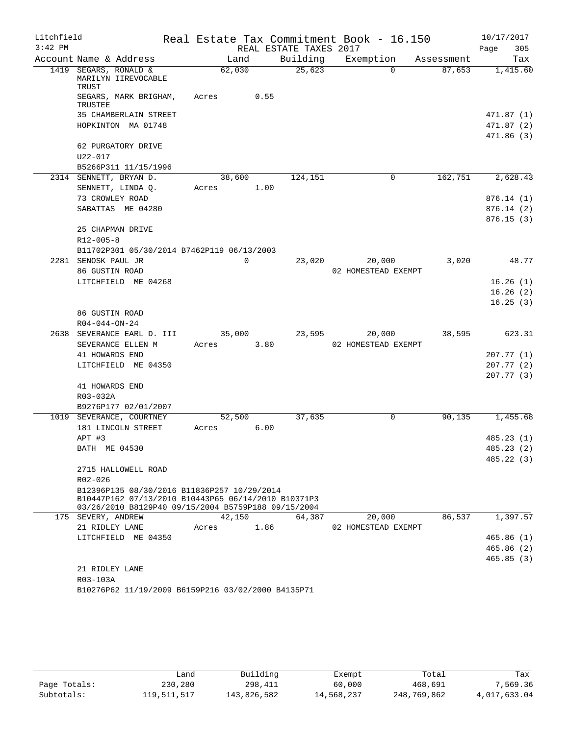| Litchfield |                                                                                                            |       |          |      |                        | Real Estate Tax Commitment Book - 16.150 |            | 10/17/2017             |
|------------|------------------------------------------------------------------------------------------------------------|-------|----------|------|------------------------|------------------------------------------|------------|------------------------|
| $3:42$ PM  |                                                                                                            |       |          |      | REAL ESTATE TAXES 2017 |                                          |            | Page<br>305            |
|            | Account Name & Address                                                                                     |       | Land     |      | Building               | Exemption                                | Assessment | Tax                    |
|            | 1419 SEGARS, RONALD &<br>MARILYN IIREVOCABLE<br>TRUST                                                      |       | 62,030   |      | 25,623                 | $\Omega$                                 | 87,653     | 1,415.60               |
|            | SEGARS, MARK BRIGHAM,<br>TRUSTEE                                                                           | Acres |          | 0.55 |                        |                                          |            |                        |
|            | 35 CHAMBERLAIN STREET                                                                                      |       |          |      |                        |                                          |            | 471.87 (1)             |
|            | HOPKINTON MA 01748                                                                                         |       |          |      |                        |                                          |            | 471.87 (2)             |
|            |                                                                                                            |       |          |      |                        |                                          |            | 471.86(3)              |
|            | 62 PURGATORY DRIVE                                                                                         |       |          |      |                        |                                          |            |                        |
|            | $U22 - 017$                                                                                                |       |          |      |                        |                                          |            |                        |
|            | B5266P311 11/15/1996                                                                                       |       |          |      |                        |                                          |            |                        |
|            | 2314 SENNETT, BRYAN D.                                                                                     |       | 38,600   |      | 124,151                | 0                                        | 162,751    | 2,628.43               |
|            | SENNETT, LINDA Q.                                                                                          | Acres |          | 1.00 |                        |                                          |            |                        |
|            | 73 CROWLEY ROAD<br>SABATTAS ME 04280                                                                       |       |          |      |                        |                                          |            | 876.14(1)<br>876.14(2) |
|            |                                                                                                            |       |          |      |                        |                                          |            | 876.15(3)              |
|            | 25 CHAPMAN DRIVE                                                                                           |       |          |      |                        |                                          |            |                        |
|            | $R12 - 005 - 8$                                                                                            |       |          |      |                        |                                          |            |                        |
|            | B11702P301 05/30/2014 B7462P119 06/13/2003                                                                 |       |          |      |                        |                                          |            |                        |
|            | 2281 SENOSK PAUL JR                                                                                        |       | $\Omega$ |      | 23,020                 | 20,000                                   | 3,020      | 48.77                  |
|            | 86 GUSTIN ROAD                                                                                             |       |          |      |                        | 02 HOMESTEAD EXEMPT                      |            |                        |
|            | LITCHFIELD ME 04268                                                                                        |       |          |      |                        |                                          |            | 16.26(1)               |
|            |                                                                                                            |       |          |      |                        |                                          |            | 16.26(2)               |
|            |                                                                                                            |       |          |      |                        |                                          |            | 16.25(3)               |
|            | 86 GUSTIN ROAD                                                                                             |       |          |      |                        |                                          |            |                        |
|            | $R04 - 044 - ON - 24$                                                                                      |       |          |      |                        |                                          |            |                        |
|            | 2638 SEVERANCE EARL D. III<br>SEVERANCE ELLEN M                                                            | Acres | 35,000   | 3.80 | 23,595                 | 20,000<br>02 HOMESTEAD EXEMPT            | 38,595     | 623.31                 |
|            | 41 HOWARDS END                                                                                             |       |          |      |                        |                                          |            | 207.77(1)              |
|            | LITCHFIELD ME 04350                                                                                        |       |          |      |                        |                                          |            | 207.77(2)              |
|            |                                                                                                            |       |          |      |                        |                                          |            | 207.77(3)              |
|            | 41 HOWARDS END                                                                                             |       |          |      |                        |                                          |            |                        |
|            | R03-032A                                                                                                   |       |          |      |                        |                                          |            |                        |
|            | B9276P177 02/01/2007                                                                                       |       |          |      |                        |                                          |            |                        |
|            | 1019 SEVERANCE, COURTNEY                                                                                   |       | 52,500   |      | 37,635                 | 0                                        | 90,135     | 1,455.68               |
|            | 181 LINCOLN STREET                                                                                         | Acres |          | 6.00 |                        |                                          |            |                        |
|            | APT #3                                                                                                     |       |          |      |                        |                                          |            | 485.23(1)              |
|            | BATH ME 04530                                                                                              |       |          |      |                        |                                          |            | 485.23 (2)             |
|            |                                                                                                            |       |          |      |                        |                                          |            | 485.22 (3)             |
|            | 2715 HALLOWELL ROAD<br>$R02 - 026$                                                                         |       |          |      |                        |                                          |            |                        |
|            | B12396P135 08/30/2016 B11836P257 10/29/2014                                                                |       |          |      |                        |                                          |            |                        |
|            | B10447P162 07/13/2010 B10443P65 06/14/2010 B10371P3<br>03/26/2010 B8129P40 09/15/2004 B5759P188 09/15/2004 |       |          |      |                        |                                          |            |                        |
|            | 175 SEVERY, ANDREW                                                                                         |       | 42,150   |      | 64,387                 | 20,000                                   | 86,537     | 1,397.57               |
|            | 21 RIDLEY LANE                                                                                             | Acres |          | 1.86 |                        | 02 HOMESTEAD EXEMPT                      |            |                        |
|            | LITCHFIELD ME 04350                                                                                        |       |          |      |                        |                                          |            | 465.86(1)              |
|            |                                                                                                            |       |          |      |                        |                                          |            | 465.86 (2)             |
|            |                                                                                                            |       |          |      |                        |                                          |            | 465.85(3)              |
|            | 21 RIDLEY LANE<br>R03-103A                                                                                 |       |          |      |                        |                                          |            |                        |
|            | B10276P62 11/19/2009 B6159P216 03/02/2000 B4135P71                                                         |       |          |      |                        |                                          |            |                        |
|            |                                                                                                            |       |          |      |                        |                                          |            |                        |

|              | Land        | Building    | Exempt     | Total       | Tax          |
|--------------|-------------|-------------|------------|-------------|--------------|
| Page Totals: | 230,280     | 298,411     | 60,000     | 468,691     | 7.569.36     |
| Subtotals:   | 119,511,517 | 143,826,582 | 14,568,237 | 248,769,862 | 4,017,633.04 |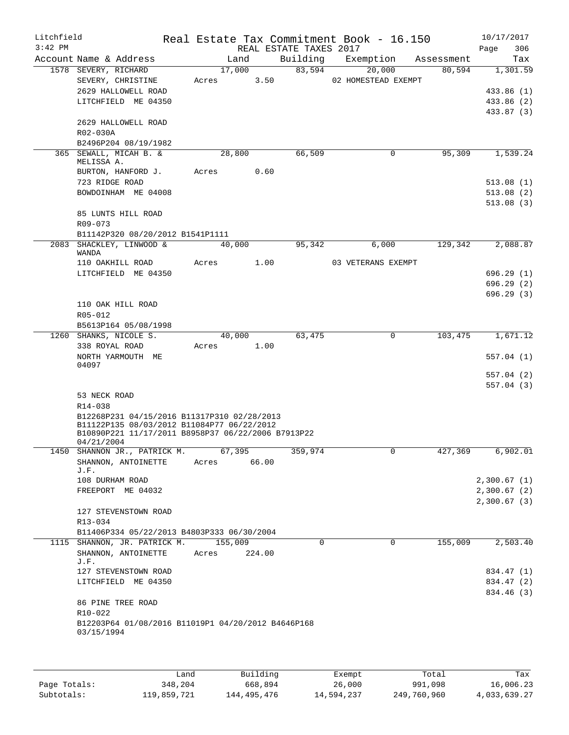| Litchfield |                                                                                                  |       |         |        |                        | Real Estate Tax Commitment Book - 16.150 |              |            | 10/17/2017  |
|------------|--------------------------------------------------------------------------------------------------|-------|---------|--------|------------------------|------------------------------------------|--------------|------------|-------------|
| $3:42$ PM  |                                                                                                  |       |         |        | REAL ESTATE TAXES 2017 |                                          |              |            | 306<br>Page |
|            | Account Name & Address                                                                           |       | Land    |        | Building               | Exemption                                |              | Assessment | Tax         |
|            | 1578 SEVERY, RICHARD                                                                             |       | 17,000  |        | 83,594                 | 20,000                                   |              | 80,594     | 1,301.59    |
|            | SEVERY, CHRISTINE                                                                                | Acres |         | 3.50   |                        | 02 HOMESTEAD EXEMPT                      |              |            |             |
|            | 2629 HALLOWELL ROAD                                                                              |       |         |        |                        |                                          |              |            | 433.86 (1)  |
|            | LITCHFIELD ME 04350                                                                              |       |         |        |                        |                                          |              |            | 433.86 (2)  |
|            |                                                                                                  |       |         |        |                        |                                          |              |            | 433.87 (3)  |
|            | 2629 HALLOWELL ROAD                                                                              |       |         |        |                        |                                          |              |            |             |
|            | R02-030A                                                                                         |       |         |        |                        |                                          |              |            |             |
|            | B2496P204 08/19/1982                                                                             |       |         |        |                        |                                          |              |            |             |
|            | 365 SEWALL, MICAH B. &                                                                           |       | 28,800  |        | 66,509                 |                                          | 0            | 95,309     | 1,539.24    |
|            | MELISSA A.                                                                                       |       |         |        |                        |                                          |              |            |             |
|            | BURTON, HANFORD J.                                                                               | Acres |         | 0.60   |                        |                                          |              |            |             |
|            | 723 RIDGE ROAD                                                                                   |       |         |        |                        |                                          |              |            | 513.08(1)   |
|            | BOWDOINHAM ME 04008                                                                              |       |         |        |                        |                                          |              |            | 513.08(2)   |
|            |                                                                                                  |       |         |        |                        |                                          |              |            | 513.08(3)   |
|            | 85 LUNTS HILL ROAD                                                                               |       |         |        |                        |                                          |              |            |             |
|            | R09-073                                                                                          |       |         |        |                        |                                          |              |            |             |
|            | B11142P320 08/20/2012 B1541P1111                                                                 |       |         |        |                        |                                          |              |            |             |
|            | 2083 SHACKLEY, LINWOOD &                                                                         |       | 40,000  |        | 95,342                 |                                          | 6,000        | 129,342    | 2,088.87    |
|            | WANDA                                                                                            |       |         |        |                        |                                          |              |            |             |
|            | 110 OAKHILL ROAD                                                                                 | Acres |         | 1.00   |                        | 03 VETERANS EXEMPT                       |              |            |             |
|            | LITCHFIELD ME 04350                                                                              |       |         |        |                        |                                          |              |            | 696.29(1)   |
|            |                                                                                                  |       |         |        |                        |                                          |              |            | 696.29(2)   |
|            |                                                                                                  |       |         |        |                        |                                          |              |            | 696.29(3)   |
|            | 110 OAK HILL ROAD                                                                                |       |         |        |                        |                                          |              |            |             |
|            | R05-012                                                                                          |       |         |        |                        |                                          |              |            |             |
|            | B5613P164 05/08/1998                                                                             |       |         |        |                        |                                          |              |            |             |
|            | 1260 SHANKS, NICOLE S.                                                                           |       | 40,000  |        | 63,475                 |                                          | $\mathbf 0$  | 103,475    | 1,671.12    |
|            | 338 ROYAL ROAD                                                                                   | Acres |         | 1.00   |                        |                                          |              |            |             |
|            | NORTH YARMOUTH ME                                                                                |       |         |        |                        |                                          |              |            | 557.04(1)   |
|            | 04097                                                                                            |       |         |        |                        |                                          |              |            |             |
|            |                                                                                                  |       |         |        |                        |                                          |              |            | 557.04(2)   |
|            |                                                                                                  |       |         |        |                        |                                          |              |            | 557.04(3)   |
|            | 53 NECK ROAD                                                                                     |       |         |        |                        |                                          |              |            |             |
|            | R14-038                                                                                          |       |         |        |                        |                                          |              |            |             |
|            | B12268P231 04/15/2016 B11317P310 02/28/2013                                                      |       |         |        |                        |                                          |              |            |             |
|            | B11122P135 08/03/2012 B11084P77 06/22/2012<br>B10890P221 11/17/2011 B8958P37 06/22/2006 B7913P22 |       |         |        |                        |                                          |              |            |             |
|            | 04/21/2004                                                                                       |       |         |        |                        |                                          |              |            |             |
| 1450       | SHANNON JR., PATRICK M.                                                                          |       | 67,395  |        | 359,974                |                                          | $\mathbf{0}$ | 427,369    | 6,902.01    |
|            | SHANNON, ANTOINETTE                                                                              | Acres |         | 66.00  |                        |                                          |              |            |             |
|            | J.F.                                                                                             |       |         |        |                        |                                          |              |            |             |
|            | 108 DURHAM ROAD                                                                                  |       |         |        |                        |                                          |              |            | 2,300.67(1) |
|            | FREEPORT ME 04032                                                                                |       |         |        |                        |                                          |              |            | 2,300.67(2) |
|            |                                                                                                  |       |         |        |                        |                                          |              |            | 2,300.67(3) |
|            | 127 STEVENSTOWN ROAD                                                                             |       |         |        |                        |                                          |              |            |             |
|            | R13-034                                                                                          |       |         |        |                        |                                          |              |            |             |
|            | B11406P334 05/22/2013 B4803P333 06/30/2004                                                       |       |         |        |                        |                                          |              |            |             |
|            | 1115 SHANNON, JR. PATRICK M.                                                                     |       | 155,009 |        | 0                      |                                          | $\mathbf 0$  | 155,009    | 2,503.40    |
|            | SHANNON, ANTOINETTE                                                                              | Acres |         | 224.00 |                        |                                          |              |            |             |
|            | J.F.                                                                                             |       |         |        |                        |                                          |              |            |             |
|            | 127 STEVENSTOWN ROAD                                                                             |       |         |        |                        |                                          |              |            | 834.47 (1)  |
|            | LITCHFIELD ME 04350                                                                              |       |         |        |                        |                                          |              |            | 834.47 (2)  |
|            |                                                                                                  |       |         |        |                        |                                          |              |            | 834.46 (3)  |
|            | 86 PINE TREE ROAD                                                                                |       |         |        |                        |                                          |              |            |             |
|            | R10-022                                                                                          |       |         |        |                        |                                          |              |            |             |
|            | B12203P64 01/08/2016 B11019P1 04/20/2012 B4646P168                                               |       |         |        |                        |                                          |              |            |             |
|            | 03/15/1994                                                                                       |       |         |        |                        |                                          |              |            |             |
|            |                                                                                                  |       |         |        |                        |                                          |              |            |             |
|            |                                                                                                  |       |         |        |                        |                                          |              |            |             |
|            |                                                                                                  |       |         |        |                        |                                          |              |            |             |

|              | Land        | Building    | Exempt     | Total       | Tax          |
|--------------|-------------|-------------|------------|-------------|--------------|
| Page Totals: | 348,204     | 668,894     | 26,000     | 991,098     | 16,006.23    |
| Subtotals:   | 119,859,721 | 144,495,476 | 14,594,237 | 249,760,960 | 4,033,639.27 |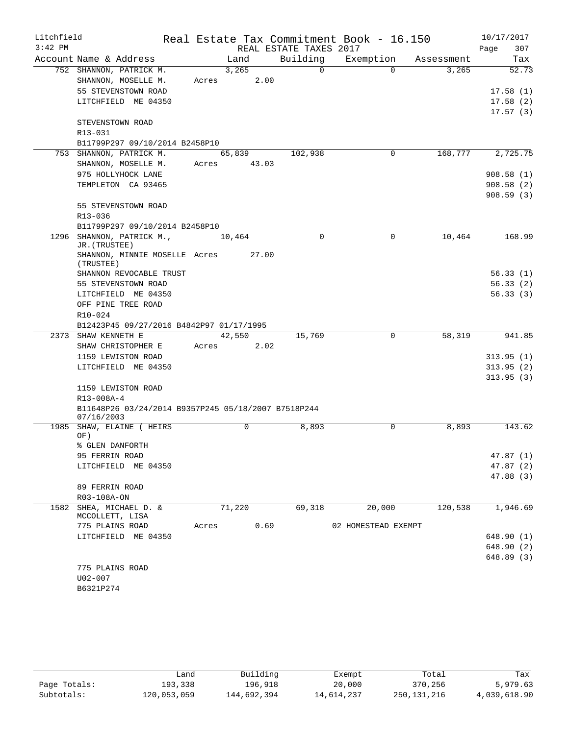| Litchfield |                                                             |       |        |                        | Real Estate Tax Commitment Book - 16.150 |            | 10/17/2017               |
|------------|-------------------------------------------------------------|-------|--------|------------------------|------------------------------------------|------------|--------------------------|
| $3:42$ PM  |                                                             |       |        | REAL ESTATE TAXES 2017 |                                          |            | Page<br>307              |
|            | Account Name & Address                                      |       | Land   | Building               | Exemption                                | Assessment | Tax                      |
|            | 752 SHANNON, PATRICK M.                                     |       | 3,265  | $\Omega$               | $\Omega$                                 | 3,265      | 52.73                    |
|            | SHANNON, MOSELLE M.                                         | Acres | 2.00   |                        |                                          |            |                          |
|            | 55 STEVENSTOWN ROAD                                         |       |        |                        |                                          |            | 17.58(1)                 |
|            | LITCHFIELD ME 04350                                         |       |        |                        |                                          |            | 17.58(2)                 |
|            |                                                             |       |        |                        |                                          |            | 17.57(3)                 |
|            | STEVENSTOWN ROAD                                            |       |        |                        |                                          |            |                          |
|            | R13-031                                                     |       |        |                        |                                          |            |                          |
|            | B11799P297 09/10/2014 B2458P10                              |       |        |                        |                                          |            |                          |
|            | 753 SHANNON, PATRICK M.                                     |       | 65,839 | 102,938                | 0                                        | 168,777    | 2,725.75                 |
|            | SHANNON, MOSELLE M.                                         | Acres | 43.03  |                        |                                          |            |                          |
|            | 975 HOLLYHOCK LANE                                          |       |        |                        |                                          |            | 908.58(1)                |
|            | TEMPLETON CA 93465                                          |       |        |                        |                                          |            | 908.58 (2)               |
|            |                                                             |       |        |                        |                                          |            | 908.59(3)                |
|            | 55 STEVENSTOWN ROAD                                         |       |        |                        |                                          |            |                          |
|            | R13-036                                                     |       |        |                        |                                          |            |                          |
|            | B11799P297 09/10/2014 B2458P10<br>1296 SHANNON, PATRICK M., |       |        | $\Omega$               | $\Omega$                                 | 10,464     | 168.99                   |
|            | JR. (TRUSTEE)                                               |       | 10,464 |                        |                                          |            |                          |
|            | SHANNON, MINNIE MOSELLE Acres<br>(TRUSTEE)                  |       | 27.00  |                        |                                          |            |                          |
|            | SHANNON REVOCABLE TRUST                                     |       |        |                        |                                          |            | 56.33(1)                 |
|            | 55 STEVENSTOWN ROAD                                         |       |        |                        |                                          |            | 56.33(2)                 |
|            | LITCHFIELD ME 04350                                         |       |        |                        |                                          |            | 56.33(3)                 |
|            | OFF PINE TREE ROAD                                          |       |        |                        |                                          |            |                          |
|            | $R10 - 024$                                                 |       |        |                        |                                          |            |                          |
|            | B12423P45 09/27/2016 B4842P97 01/17/1995                    |       |        |                        |                                          |            |                          |
|            | 2373 SHAW KENNETH E                                         |       | 42,550 | 15,769                 | 0                                        | 58,319     | 941.85                   |
|            | SHAW CHRISTOPHER E                                          | Acres | 2.02   |                        |                                          |            |                          |
|            | 1159 LEWISTON ROAD                                          |       |        |                        |                                          |            | 313.95(1)                |
|            | LITCHFIELD ME 04350                                         |       |        |                        |                                          |            | 313.95(2)                |
|            |                                                             |       |        |                        |                                          |            | 313.95(3)                |
|            | 1159 LEWISTON ROAD                                          |       |        |                        |                                          |            |                          |
|            | R13-008A-4                                                  |       |        |                        |                                          |            |                          |
|            | B11648P26 03/24/2014 B9357P245 05/18/2007 B7518P244         |       |        |                        |                                          |            |                          |
| 1985       | 07/16/2003<br>SHAW, ELAINE ( HEIRS                          |       | 0      | 8,893                  | $\Omega$                                 | 8,893      | 143.62                   |
|            | OF)                                                         |       |        |                        |                                          |            |                          |
|            | % GLEN DANFORTH                                             |       |        |                        |                                          |            |                          |
|            | 95 FERRIN ROAD                                              |       |        |                        |                                          |            | 47.87(1)                 |
|            | LITCHFIELD ME 04350                                         |       |        |                        |                                          |            | 47.87(2)                 |
|            |                                                             |       |        |                        |                                          |            | 47.88 (3)                |
|            | 89 FERRIN ROAD                                              |       |        |                        |                                          |            |                          |
|            | R03-108A-ON                                                 |       |        |                        |                                          |            |                          |
| 1582       | SHEA, MICHAEL D. &                                          |       | 71,220 | 69,318                 | 20,000                                   | 120,538    | 1,946.69                 |
|            | MCCOLLETT, LISA                                             |       |        |                        |                                          |            |                          |
|            | 775 PLAINS ROAD                                             | Acres | 0.69   |                        | 02 HOMESTEAD EXEMPT                      |            |                          |
|            | LITCHFIELD ME 04350                                         |       |        |                        |                                          |            | 648.90 (1)<br>648.90 (2) |
|            |                                                             |       |        |                        |                                          |            | 648.89 (3)               |
|            | 775 PLAINS ROAD                                             |       |        |                        |                                          |            |                          |
|            | U02-007                                                     |       |        |                        |                                          |            |                          |
|            | B6321P274                                                   |       |        |                        |                                          |            |                          |
|            |                                                             |       |        |                        |                                          |            |                          |

|              | Land        | Building    | Exempt     | Total       | Tax          |
|--------------|-------------|-------------|------------|-------------|--------------|
| Page Totals: | 193,338     | 196,918     | 20,000     | 370,256     | 5,979.63     |
| Subtotals:   | 120,053,059 | 144,692,394 | 14,614,237 | 250,131,216 | 4,039,618.90 |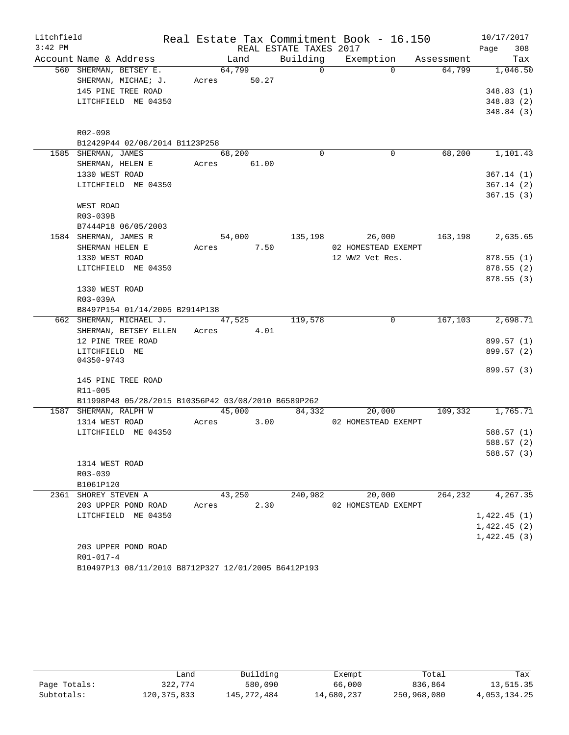| Litchfield |                                                     |       |             |      | Real Estate Tax Commitment Book - 16.150 |                     |                               | 10/17/2017  |
|------------|-----------------------------------------------------|-------|-------------|------|------------------------------------------|---------------------|-------------------------------|-------------|
| $3:42$ PM  |                                                     |       |             |      | REAL ESTATE TAXES 2017                   |                     |                               | 308<br>Page |
|            | Account Name & Address                              |       | Land        |      |                                          |                     | Building Exemption Assessment | Tax         |
|            | 560 SHERMAN, BETSEY E.                              |       | 64,799      |      | $\overline{0}$                           | $\Omega$            | 64,799                        | 1,046.50    |
|            | SHERMAN, MICHAE; J.                                 |       | Acres 50.27 |      |                                          |                     |                               |             |
|            | 145 PINE TREE ROAD                                  |       |             |      |                                          |                     |                               | 348.83(1)   |
|            | LITCHFIELD ME 04350                                 |       |             |      |                                          |                     |                               | 348.83(2)   |
|            |                                                     |       |             |      |                                          |                     |                               | 348.84(3)   |
|            |                                                     |       |             |      |                                          |                     |                               |             |
|            | R02-098                                             |       |             |      |                                          |                     |                               |             |
|            | B12429P44 02/08/2014 B1123P258                      |       |             |      |                                          |                     |                               |             |
|            | 1585 SHERMAN, JAMES                                 |       | 68,200      |      | $\Omega$                                 | $\mathbf 0$         | 68,200                        | 1,101.43    |
|            | SHERMAN, HELEN E                                    |       | Acres 61.00 |      |                                          |                     |                               |             |
|            | 1330 WEST ROAD                                      |       |             |      |                                          |                     |                               | 367.14(1)   |
|            | LITCHFIELD ME 04350                                 |       |             |      |                                          |                     |                               | 367.14(2)   |
|            |                                                     |       |             |      |                                          |                     |                               | 367.15(3)   |
|            | WEST ROAD                                           |       |             |      |                                          |                     |                               |             |
|            | R03-039B                                            |       |             |      |                                          |                     |                               |             |
|            | B7444P18 06/05/2003                                 |       |             |      |                                          |                     |                               |             |
|            | 1584 SHERMAN, JAMES R                               |       |             |      | 54,000 135,198                           | 26,000              | 163,198                       | 2,635.65    |
|            | SHERMAN HELEN E                                     |       | Acres 7.50  |      |                                          | 02 HOMESTEAD EXEMPT |                               |             |
|            | 1330 WEST ROAD                                      |       |             |      |                                          | 12 WW2 Vet Res.     |                               | 878.55(1)   |
|            | LITCHFIELD ME 04350                                 |       |             |      |                                          |                     |                               | 878.55(2)   |
|            | 1330 WEST ROAD                                      |       |             |      |                                          |                     |                               | 878.55(3)   |
|            | R03-039A                                            |       |             |      |                                          |                     |                               |             |
|            | B8497P154 01/14/2005 B2914P138                      |       |             |      |                                          |                     |                               |             |
|            | 662 SHERMAN, MICHAEL J. 47,525 119,578              |       |             |      |                                          | 0                   | 167,103                       | 2,698.71    |
|            | SHERMAN, BETSEY ELLEN                               |       | Acres 4.01  |      |                                          |                     |                               |             |
|            | 12 PINE TREE ROAD                                   |       |             |      |                                          |                     |                               | 899.57 (1)  |
|            | LITCHFIELD ME                                       |       |             |      |                                          |                     |                               | 899.57 (2)  |
|            | 04350-9743                                          |       |             |      |                                          |                     |                               |             |
|            |                                                     |       |             |      |                                          |                     |                               | 899.57 (3)  |
|            | 145 PINE TREE ROAD                                  |       |             |      |                                          |                     |                               |             |
|            | R11-005                                             |       |             |      |                                          |                     |                               |             |
|            | B11998P48 05/28/2015 B10356P42 03/08/2010 B6589P262 |       |             |      |                                          |                     |                               |             |
|            | 1587 SHERMAN, RALPH W                               |       | 45,000      |      | 84,332                                   | 20,000              | 109,332                       | 1,765.71    |
|            | 1314 WEST ROAD                                      | Acres | 3.00        |      |                                          | 02 HOMESTEAD EXEMPT |                               |             |
|            | LITCHFIELD ME 04350                                 |       |             |      |                                          |                     |                               | 588.57(1)   |
|            |                                                     |       |             |      |                                          |                     |                               | 588.57(2)   |
|            | 1314 WEST ROAD                                      |       |             |      |                                          |                     |                               | 588.57 (3)  |
|            | R03-039                                             |       |             |      |                                          |                     |                               |             |
|            | B1061P120                                           |       |             |      |                                          |                     |                               |             |
|            | 2361 SHOREY STEVEN A                                |       | 43,250      |      | 240,982                                  | 20,000              | 264,232                       | 4,267.35    |
|            | 203 UPPER POND ROAD                                 | Acres |             | 2.30 |                                          | 02 HOMESTEAD EXEMPT |                               |             |
|            | LITCHFIELD ME 04350                                 |       |             |      |                                          |                     |                               | 1,422.45(1) |
|            |                                                     |       |             |      |                                          |                     |                               | 1,422.45(2) |
|            |                                                     |       |             |      |                                          |                     |                               | 1,422.45(3) |
|            | 203 UPPER POND ROAD                                 |       |             |      |                                          |                     |                               |             |
|            | R01-017-4                                           |       |             |      |                                          |                     |                               |             |
|            | B10497P13 08/11/2010 B8712P327 12/01/2005 B6412P193 |       |             |      |                                          |                     |                               |             |

|              | Land          | Building    | Exempt     | Total       | Tax          |
|--------------|---------------|-------------|------------|-------------|--------------|
| Page Totals: | 322,774       | 580,090     | 66,000     | 836,864     | 13,515.35    |
| Subtotals:   | 120, 375, 833 | 145,272,484 | 14,680,237 | 250,968,080 | 4,053,134.25 |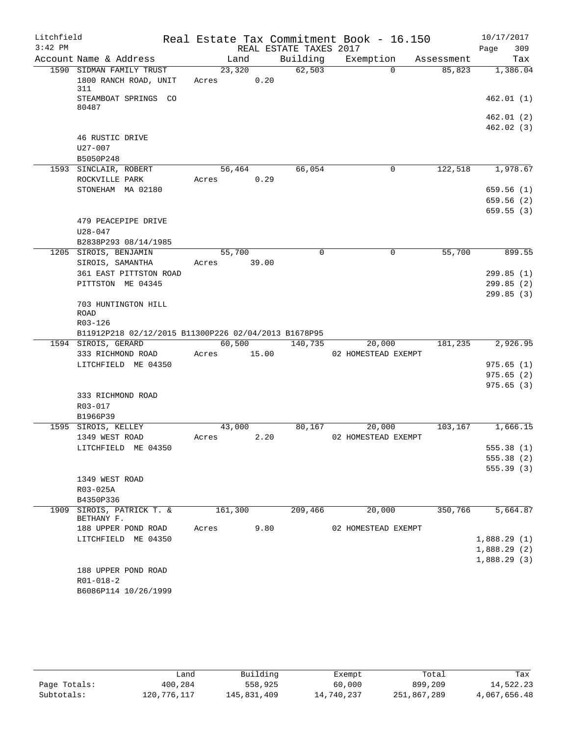| Litchfield |                                                          |            |         |                        | Real Estate Tax Commitment Book - 16.150 |            | 10/17/2017             |
|------------|----------------------------------------------------------|------------|---------|------------------------|------------------------------------------|------------|------------------------|
| $3:42$ PM  |                                                          |            |         | REAL ESTATE TAXES 2017 |                                          |            | 309<br>Page            |
|            | Account Name & Address                                   |            | Land    | Building               | Exemption                                | Assessment | Tax                    |
|            | 1590 SIDMAN FAMILY TRUST<br>1800 RANCH ROAD, UNIT<br>311 | Acres 0.20 | 23,320  | 62,503                 | $\Omega$                                 | 85,823     | 1,386.04               |
|            | STEAMBOAT SPRINGS CO<br>80487                            |            |         |                        |                                          |            | 462.01(1)              |
|            |                                                          |            |         |                        |                                          |            | 462.01 (2)             |
|            |                                                          |            |         |                        |                                          |            | 462.02(3)              |
|            | 46 RUSTIC DRIVE<br>$U27 - 007$                           |            |         |                        |                                          |            |                        |
|            | B5050P248                                                |            |         |                        |                                          |            |                        |
|            | 1593 SINCLAIR, ROBERT<br>ROCKVILLE PARK                  | Acres      | 56,464  | 66,054<br>0.29         | 0                                        | 122,518    | 1,978.67               |
|            | STONEHAM MA 02180                                        |            |         |                        |                                          |            | 659.56(1)              |
|            |                                                          |            |         |                        |                                          |            | 659.56(2)              |
|            |                                                          |            |         |                        |                                          |            | 659.55(3)              |
|            | 479 PEACEPIPE DRIVE                                      |            |         |                        |                                          |            |                        |
|            | $U28 - 047$                                              |            |         |                        |                                          |            |                        |
|            | B2838P293 08/14/1985<br>1205 SIROIS, BENJAMIN            |            | 55,700  | $\mathbf 0$            | 0                                        | 55,700     | 899.55                 |
|            | SIROIS, SAMANTHA                                         | Acres      | 39.00   |                        |                                          |            |                        |
|            | 361 EAST PITTSTON ROAD                                   |            |         |                        |                                          |            | 299.85(1)              |
|            | PITTSTON ME 04345                                        |            |         |                        |                                          |            | 299.85(2)              |
|            |                                                          |            |         |                        |                                          |            | 299.85(3)              |
|            | 703 HUNTINGTON HILL<br><b>ROAD</b>                       |            |         |                        |                                          |            |                        |
|            | R03-126                                                  |            |         |                        |                                          |            |                        |
|            | B11912P218 02/12/2015 B11300P226 02/04/2013 B1678P95     |            |         |                        |                                          |            |                        |
|            | 1594 SIROIS, GERARD                                      |            | 60,500  | 140,735                | 20,000                                   | 181,235    | 2,926.95               |
|            | 333 RICHMOND ROAD                                        | Acres      | 15.00   |                        | 02 HOMESTEAD EXEMPT                      |            |                        |
|            | LITCHFIELD ME 04350                                      |            |         |                        |                                          |            | 975.65(1)              |
|            |                                                          |            |         |                        |                                          |            | 975.65(2)<br>975.65(3) |
|            | 333 RICHMOND ROAD                                        |            |         |                        |                                          |            |                        |
|            | R03-017                                                  |            |         |                        |                                          |            |                        |
|            | B1966P39                                                 |            |         |                        |                                          |            |                        |
|            | 1595 SIROIS, KELLEY                                      |            | 43,000  | 80,167                 | 20,000                                   | 103,167    | 1,666.15               |
|            | 1349 WEST ROAD                                           | Acres      |         | 2.20                   | 02 HOMESTEAD EXEMPT                      |            |                        |
|            | LITCHFIELD ME 04350                                      |            |         |                        |                                          |            | 555.38 (1)             |
|            |                                                          |            |         |                        |                                          |            | 555.38(2)              |
|            |                                                          |            |         |                        |                                          |            | 555.39(3)              |
|            | 1349 WEST ROAD<br>R03-025A                               |            |         |                        |                                          |            |                        |
|            | B4350P336                                                |            |         |                        |                                          |            |                        |
|            | 1909 SIROIS, PATRICK T. &                                |            | 161,300 | 209,466                | 20,000                                   | 350,766    | 5,664.87               |
|            | BETHANY F.                                               |            |         |                        |                                          |            |                        |
|            | 188 UPPER POND ROAD                                      | Acres      |         | 9.80                   | 02 HOMESTEAD EXEMPT                      |            |                        |
|            | LITCHFIELD ME 04350                                      |            |         |                        |                                          |            | 1,888.29(1)            |
|            |                                                          |            |         |                        |                                          |            | 1,888.29(2)            |
|            | 188 UPPER POND ROAD                                      |            |         |                        |                                          |            | 1,888.29(3)            |
|            | $R01 - 018 - 2$                                          |            |         |                        |                                          |            |                        |
|            | B6086P114 10/26/1999                                     |            |         |                        |                                          |            |                        |
|            |                                                          |            |         |                        |                                          |            |                        |

|              | Land        | Building    | Exempt     | Total       | Tax          |
|--------------|-------------|-------------|------------|-------------|--------------|
| Page Totals: | 400,284     | 558,925     | 60,000     | 899,209     | 14,522.23    |
| Subtotals:   | 120,776,117 | 145,831,409 | 14,740,237 | 251,867,289 | 4,067,656.48 |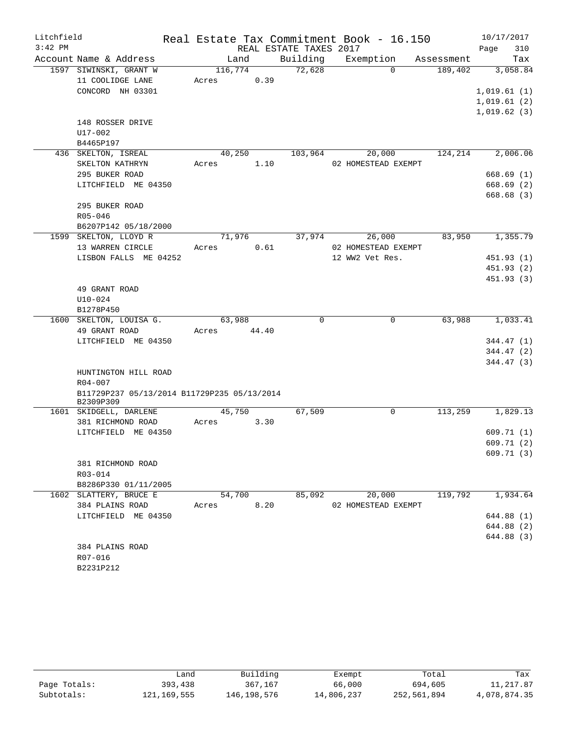| Litchfield |                                               |                 |       |                        | Real Estate Tax Commitment Book - 16.150 |            | 10/17/2017             |
|------------|-----------------------------------------------|-----------------|-------|------------------------|------------------------------------------|------------|------------------------|
| $3:42$ PM  |                                               |                 |       | REAL ESTATE TAXES 2017 |                                          |            | 310<br>Page            |
|            | Account Name & Address                        |                 | Land  | Building               | Exemption                                | Assessment | Tax                    |
|            | 1597 SIWINSKI, GRANT W                        | 116,774         |       | 72,628                 | $\Omega$                                 | 189,402    | 3,058.84               |
|            | 11 COOLIDGE LANE                              | Acres           | 0.39  |                        |                                          |            |                        |
|            | CONCORD NH 03301                              |                 |       |                        |                                          |            | 1,019.61(1)            |
|            |                                               |                 |       |                        |                                          |            | 1,019.61(2)            |
|            |                                               |                 |       |                        |                                          |            | 1,019.62(3)            |
|            | 148 ROSSER DRIVE                              |                 |       |                        |                                          |            |                        |
|            | U17-002                                       |                 |       |                        |                                          |            |                        |
|            | B4465P197                                     |                 |       |                        |                                          |            |                        |
|            | 436 SKELTON, ISREAL                           | 40,250          |       | 103,964                | 20,000                                   | 124,214    | 2,006.06               |
|            | SKELTON KATHRYN                               | Acres           | 1.10  |                        | 02 HOMESTEAD EXEMPT                      |            |                        |
|            | 295 BUKER ROAD                                |                 |       |                        |                                          |            | 668.69(1)              |
|            | LITCHFIELD ME 04350                           |                 |       |                        |                                          |            | 668.69(2)              |
|            |                                               |                 |       |                        |                                          |            | 668.68(3)              |
|            | 295 BUKER ROAD                                |                 |       |                        |                                          |            |                        |
|            | $R05 - 046$                                   |                 |       |                        |                                          |            |                        |
|            | B6207P142 05/18/2000<br>1599 SKELTON, LLOYD R |                 |       |                        |                                          | 83,950     | 1,355.79               |
|            | 13 WARREN CIRCLE                              | 71,976<br>Acres | 0.61  | 37,974                 | 26,000<br>02 HOMESTEAD EXEMPT            |            |                        |
|            | LISBON FALLS ME 04252                         |                 |       |                        | 12 WW2 Vet Res.                          |            | 451.93 (1)             |
|            |                                               |                 |       |                        |                                          |            | 451.93(2)              |
|            |                                               |                 |       |                        |                                          |            | 451.93(3)              |
|            | 49 GRANT ROAD                                 |                 |       |                        |                                          |            |                        |
|            | $U10-024$                                     |                 |       |                        |                                          |            |                        |
|            | B1278P450                                     |                 |       |                        |                                          |            |                        |
|            | 1600 SKELTON, LOUISA G.                       | 63,988          |       | $\mathbf 0$            | 0                                        | 63,988     | 1,033.41               |
|            | 49 GRANT ROAD                                 | Acres           | 44.40 |                        |                                          |            |                        |
|            | LITCHFIELD ME 04350                           |                 |       |                        |                                          |            | 344.47 (1)             |
|            |                                               |                 |       |                        |                                          |            | 344.47 (2)             |
|            |                                               |                 |       |                        |                                          |            | 344.47(3)              |
|            | HUNTINGTON HILL ROAD                          |                 |       |                        |                                          |            |                        |
|            | R04-007                                       |                 |       |                        |                                          |            |                        |
|            | B11729P237 05/13/2014 B11729P235 05/13/2014   |                 |       |                        |                                          |            |                        |
|            | B2309P309                                     |                 |       |                        |                                          |            |                        |
|            | 1601 SKIDGELL, DARLENE                        | 45,750          |       | 67,509                 | $\mathbf 0$                              | 113,259    | 1,829.13               |
|            | 381 RICHMOND ROAD                             | Acres           | 3.30  |                        |                                          |            |                        |
|            | LITCHFIELD ME 04350                           |                 |       |                        |                                          |            | 609.71(1)<br>609.71(2) |
|            |                                               |                 |       |                        |                                          |            |                        |
|            | 381 RICHMOND ROAD                             |                 |       |                        |                                          |            | 609.71 (3)             |
|            | R03-014                                       |                 |       |                        |                                          |            |                        |
|            | B8286P330 01/11/2005                          |                 |       |                        |                                          |            |                        |
|            | 1602 SLATTERY, BRUCE E                        | 54,700          |       | 85,092                 | 20,000                                   | 119,792    | 1,934.64               |
|            | 384 PLAINS ROAD                               | Acres           | 8.20  |                        | 02 HOMESTEAD EXEMPT                      |            |                        |
|            | LITCHFIELD ME 04350                           |                 |       |                        |                                          |            | 644.88 (1)             |
|            |                                               |                 |       |                        |                                          |            | 644.88 (2)             |
|            |                                               |                 |       |                        |                                          |            | 644.88 (3)             |
|            | 384 PLAINS ROAD                               |                 |       |                        |                                          |            |                        |
|            | R07-016                                       |                 |       |                        |                                          |            |                        |
|            | B2231P212                                     |                 |       |                        |                                          |            |                        |

|              | Land        | Building    | Exempt     | Total       | Tax          |
|--------------|-------------|-------------|------------|-------------|--------------|
| Page Totals: | 393,438     | 367,167     | 66,000     | 694,605     | 11,217.87    |
| Subtotals:   | 121,169,555 | 146,198,576 | 14,806,237 | 252,561,894 | 4,078,874.35 |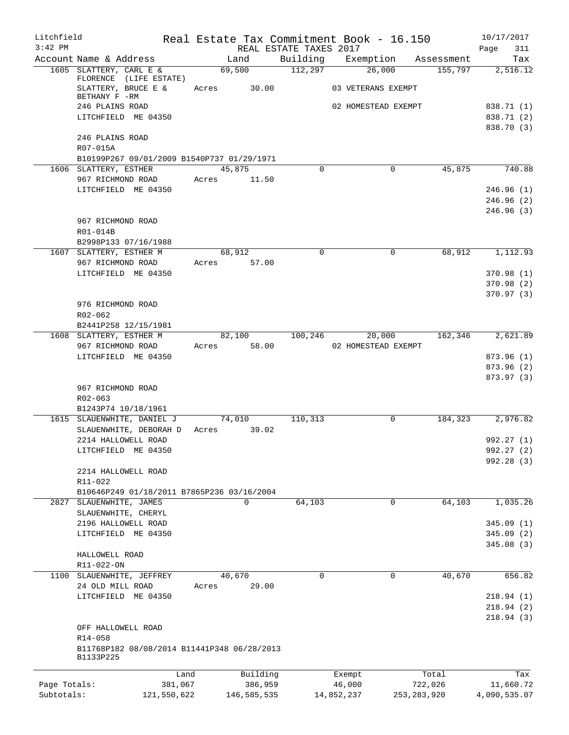| Litchfield   |                                                        |             |                 |                        | Real Estate Tax Commitment Book - 16.150 |               | 10/17/2017               |
|--------------|--------------------------------------------------------|-------------|-----------------|------------------------|------------------------------------------|---------------|--------------------------|
| $3:42$ PM    |                                                        |             |                 | REAL ESTATE TAXES 2017 |                                          |               | 311<br>Page              |
|              | Account Name & Address                                 |             | Land            | Building               | Exemption                                | Assessment    | Tax                      |
|              | 1605 SLATTERY, CARL E &<br>FLORENCE (LIFE ESTATE)      |             | 69,500          | 112,297                | 26,000                                   | 155,797       | 2,516.12                 |
|              | SLATTERY, BRUCE E &<br>BETHANY F -RM                   | Acres       | 30.00           |                        | 03 VETERANS EXEMPT                       |               |                          |
|              | 246 PLAINS ROAD                                        |             |                 |                        | 02 HOMESTEAD EXEMPT                      |               | 838.71 (1)               |
|              | LITCHFIELD ME 04350                                    |             |                 |                        |                                          |               | 838.71 (2)<br>838.70 (3) |
|              | 246 PLAINS ROAD                                        |             |                 |                        |                                          |               |                          |
|              | R07-015A<br>B10199P267 09/01/2009 B1540P737 01/29/1971 |             |                 |                        |                                          |               |                          |
|              | 1606 SLATTERY, ESTHER                                  |             | 45,875          | $\mathbf 0$            | $\mathbf 0$                              | 45,875        | 740.88                   |
|              | 967 RICHMOND ROAD                                      | Acres       | 11.50           |                        |                                          |               |                          |
|              | LITCHFIELD ME 04350                                    |             |                 |                        |                                          |               | 246.96(1)                |
|              |                                                        |             |                 |                        |                                          |               | 246.96(2)<br>246.96(3)   |
|              | 967 RICHMOND ROAD                                      |             |                 |                        |                                          |               |                          |
|              | R01-014B                                               |             |                 |                        |                                          |               |                          |
|              | B2998P133 07/16/1988                                   |             |                 |                        |                                          |               |                          |
|              | 1607 SLATTERY, ESTHER M<br>967 RICHMOND ROAD           | Acres       | 68,912<br>57.00 | $\Omega$               | $\mathbf 0$                              | 68,912        | 1,112.93                 |
|              | LITCHFIELD ME 04350                                    |             |                 |                        |                                          |               | 370.98 (1)               |
|              |                                                        |             |                 |                        |                                          |               | 370.98 (2)               |
|              |                                                        |             |                 |                        |                                          |               | 370.97 (3)               |
|              | 976 RICHMOND ROAD                                      |             |                 |                        |                                          |               |                          |
|              | R02-062<br>B2441P258 12/15/1981                        |             |                 |                        |                                          |               |                          |
|              | 1608 SLATTERY, ESTHER M                                |             | 82,100          | 100,246                | 20,000                                   | 162,346       | 2,621.89                 |
|              | 967 RICHMOND ROAD                                      | Acres       | 58.00           |                        | 02 HOMESTEAD EXEMPT                      |               |                          |
|              | LITCHFIELD ME 04350                                    |             |                 |                        |                                          |               | 873.96 (1)               |
|              |                                                        |             |                 |                        |                                          |               | 873.96 (2)               |
|              | 967 RICHMOND ROAD                                      |             |                 |                        |                                          |               | 873.97 (3)               |
|              | $R02 - 063$                                            |             |                 |                        |                                          |               |                          |
|              | B1243P74 10/18/1961                                    |             |                 |                        |                                          |               |                          |
|              | 1615 SLAUENWHITE, DANIEL J                             |             | 74,010          | 110,313                | 0                                        | 184,323       | 2,976.82                 |
|              | SLAUENWHITE, DEBORAH D                                 |             | Acres 39.02     |                        |                                          |               |                          |
|              | 2214 HALLOWELL ROAD<br>LITCHFIELD ME 04350             |             |                 |                        |                                          |               | 992.27 (1)<br>992.27 (2) |
|              |                                                        |             |                 |                        |                                          |               | 992.28 (3)               |
|              | 2214 HALLOWELL ROAD                                    |             |                 |                        |                                          |               |                          |
|              | R11-022                                                |             |                 |                        |                                          |               |                          |
|              | B10646P249 01/18/2011 B7865P236 03/16/2004             |             |                 |                        |                                          |               |                          |
| 2827         | SLAUENWHITE, JAMES<br>SLAUENWHITE, CHERYL              |             | $\Omega$        | 64,103                 | 0                                        | 64,103        | 1,035.26                 |
|              | 2196 HALLOWELL ROAD                                    |             |                 |                        |                                          |               | 345.09(1)                |
|              | LITCHFIELD ME 04350                                    |             |                 |                        |                                          |               | 345.09(2)                |
|              |                                                        |             |                 |                        |                                          |               | 345.08(3)                |
|              | HALLOWELL ROAD<br>R11-022-ON                           |             |                 |                        |                                          |               |                          |
| 1100         | SLAUENWHITE, JEFFREY                                   |             | 40,670          | $\mathbf 0$            | 0                                        | 40,670        | 656.82                   |
|              | 24 OLD MILL ROAD                                       | Acres       | 29.00           |                        |                                          |               |                          |
|              | LITCHFIELD ME 04350                                    |             |                 |                        |                                          |               | 218.94(1)                |
|              |                                                        |             |                 |                        |                                          |               | 218.94(2)                |
|              |                                                        |             |                 |                        |                                          |               | 218.94(3)                |
|              | OFF HALLOWELL ROAD<br>R14-058                          |             |                 |                        |                                          |               |                          |
|              | B11768P182 08/08/2014 B11441P348 06/28/2013            |             |                 |                        |                                          |               |                          |
|              | B1133P225                                              |             |                 |                        |                                          |               |                          |
|              |                                                        | Land        | Building        |                        | Exempt                                   | Total         | Tax                      |
| Page Totals: |                                                        | 381,067     | 386,959         |                        | 46,000                                   | 722,026       | 11,660.72                |
| Subtotals:   |                                                        | 121,550,622 | 146,585,535     |                        | 14,852,237                               | 253, 283, 920 | 4,090,535.07             |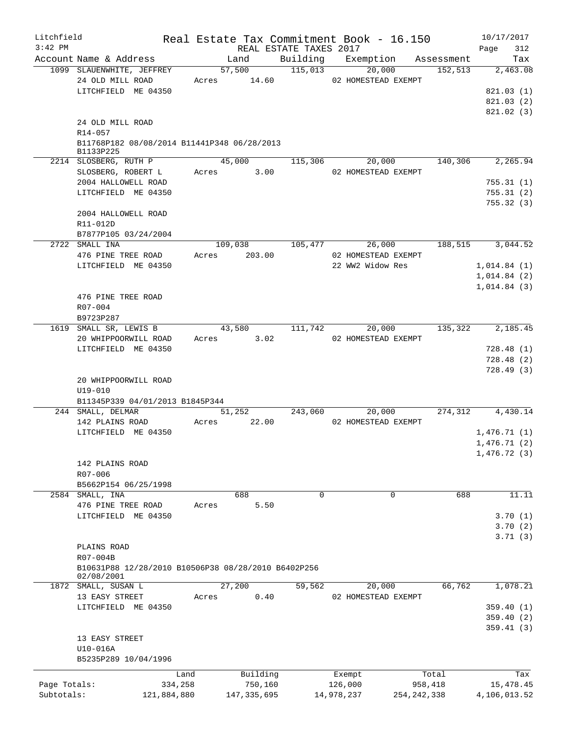| Litchfield<br>$3:42$ PM |                                                                               |                 |                        | Real Estate Tax Commitment Book - 16.150 |                          | 10/17/2017                                |
|-------------------------|-------------------------------------------------------------------------------|-----------------|------------------------|------------------------------------------|--------------------------|-------------------------------------------|
|                         | Account Name & Address                                                        | Land            | REAL ESTATE TAXES 2017 | Building Exemption Assessment            |                          | 312<br>Page<br>Tax                        |
|                         | 1099 SLAUENWHITE, JEFFREY                                                     | 57,500          | 115,013                | 20,000                                   | 152,513                  | 2,463.08                                  |
|                         | 24 OLD MILL ROAD<br>LITCHFIELD ME 04350                                       | Acres 14.60     |                        | 02 HOMESTEAD EXEMPT                      |                          | 821.03(1)<br>821.03(2)<br>821.02 (3)      |
|                         | 24 OLD MILL ROAD<br>R14-057                                                   |                 |                        |                                          |                          |                                           |
|                         | B11768P182 08/08/2014 B11441P348 06/28/2013<br>B1133P225                      |                 |                        |                                          |                          |                                           |
|                         | 2214 SLOSBERG, RUTH P<br>SLOSBERG, ROBERT L                                   | 45,000<br>Acres | 115,306<br>3.00        | 20,000<br>02 HOMESTEAD EXEMPT            | 140,306                  | 2,265.94                                  |
|                         | 2004 HALLOWELL ROAD                                                           |                 |                        |                                          |                          | 755.31(1)                                 |
|                         | LITCHFIELD ME 04350                                                           |                 |                        |                                          |                          | 755.31(2)<br>755.32(3)                    |
|                         | 2004 HALLOWELL ROAD                                                           |                 |                        |                                          |                          |                                           |
|                         | R11-012D                                                                      |                 |                        |                                          |                          |                                           |
|                         | B7877P105 03/24/2004<br>2722 SMALL INA                                        | 109,038         |                        | 105,477<br>26,000                        | 188,515                  | 3,044.52                                  |
|                         | 476 PINE TREE ROAD                                                            | Acres           | 203.00                 | 02 HOMESTEAD EXEMPT                      |                          |                                           |
|                         | LITCHFIELD ME 04350                                                           |                 |                        | 22 WW2 Widow Res                         |                          | 1,014.84(1)<br>1,014.84(2)<br>1,014.84(3) |
|                         | 476 PINE TREE ROAD<br>R07-004<br>B9723P287                                    |                 |                        |                                          |                          |                                           |
|                         | 1619 SMALL SR, LEWIS B                                                        | 43,580          | 111, 742               | 20,000                                   | 135,322                  | 2,185.45                                  |
|                         | 20 WHIPPOORWILL ROAD                                                          | 3.02<br>Acres   |                        | 02 HOMESTEAD EXEMPT                      |                          |                                           |
|                         | LITCHFIELD ME 04350                                                           |                 |                        |                                          |                          | 728.48(1)<br>728.48(2)<br>728.49(3)       |
|                         | 20 WHIPPOORWILL ROAD<br>$U19 - 010$<br>B11345P339 04/01/2013 B1845P344        |                 |                        |                                          |                          |                                           |
|                         | 244 SMALL, DELMAR                                                             | 51,252          |                        | 243,060<br>20,000                        | 274,312                  | 4,430.14                                  |
|                         | 142 PLAINS ROAD                                                               | 22.00<br>Acres  |                        | 02 HOMESTEAD EXEMPT                      |                          |                                           |
|                         | LITCHFIELD ME 04350                                                           |                 |                        |                                          |                          | 1,476.71(1)<br>1,476.71(2)<br>1,476.72(3) |
|                         | 142 PLAINS ROAD<br>R07-006                                                    |                 |                        |                                          |                          |                                           |
|                         | B5662P154 06/25/1998                                                          |                 |                        |                                          |                          |                                           |
|                         | 2584 SMALL, INA                                                               | 688             | 0                      | 0                                        | 688                      | 11.11                                     |
|                         | 476 PINE TREE ROAD<br>LITCHFIELD ME 04350                                     | Acres           | 5.50                   |                                          |                          | 3.70(1)                                   |
|                         |                                                                               |                 |                        |                                          |                          | 3.70(2)<br>3.71(3)                        |
|                         | PLAINS ROAD                                                                   |                 |                        |                                          |                          |                                           |
|                         | R07-004B<br>B10631P88 12/28/2010 B10506P38 08/28/2010 B6402P256<br>02/08/2001 |                 |                        |                                          |                          |                                           |
|                         | 1872 SMALL, SUSAN L                                                           | 27,200          | 59,562                 | 20,000                                   | 66,762                   | 1,078.21                                  |
|                         | 13 EASY STREET                                                                | Acres           | 0.40                   | 02 HOMESTEAD EXEMPT                      |                          |                                           |
|                         | LITCHFIELD ME 04350                                                           |                 |                        |                                          |                          | 359.40(1)<br>359.40(2)                    |
|                         | 13 EASY STREET                                                                |                 |                        |                                          |                          | 359.41(3)                                 |
|                         | U10-016A                                                                      |                 |                        |                                          |                          |                                           |
|                         | B5235P289 10/04/1996                                                          |                 |                        |                                          |                          |                                           |
| Page Totals:            |                                                                               | Land            | Building               | Exempt                                   | Total                    | Tax                                       |
| Subtotals:              | 334,258<br>121,884,880                                                        | 147, 335, 695   | 750,160                | 126,000<br>14,978,237                    | 958,418<br>254, 242, 338 | 15,478.45<br>4,106,013.52                 |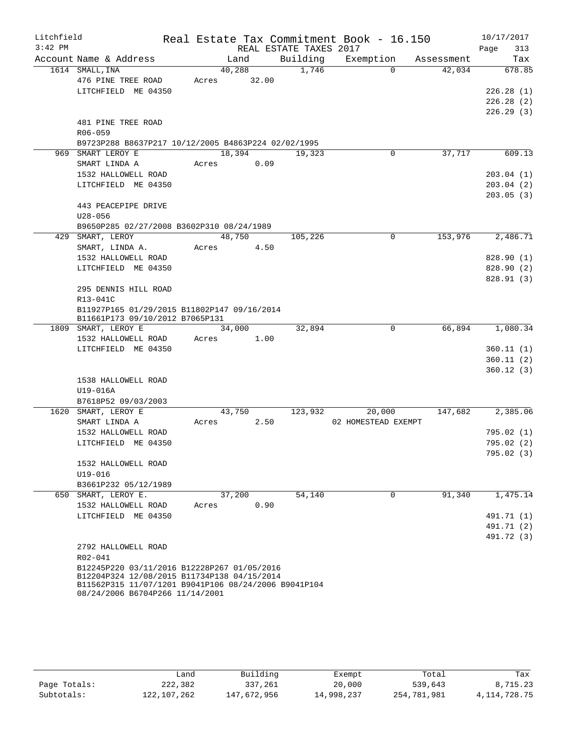| Litchfield |                                                                                                     |        |       |                        | Real Estate Tax Commitment Book - 16.150 |            | 10/17/2017             |
|------------|-----------------------------------------------------------------------------------------------------|--------|-------|------------------------|------------------------------------------|------------|------------------------|
| $3:42$ PM  |                                                                                                     |        |       | REAL ESTATE TAXES 2017 |                                          |            | 313<br>Page            |
|            | Account Name & Address                                                                              | Land   |       | Building               | Exemption                                | Assessment | Tax                    |
|            | 1614 SMALL, INA                                                                                     | 40,288 |       | 1,746                  | $\Omega$                                 | 42,034     | 678.85                 |
|            | 476 PINE TREE ROAD                                                                                  | Acres  | 32.00 |                        |                                          |            |                        |
|            | LITCHFIELD ME 04350                                                                                 |        |       |                        |                                          |            | 226.28(1)              |
|            |                                                                                                     |        |       |                        |                                          |            | 226.28(2)<br>226.29(3) |
|            | 481 PINE TREE ROAD                                                                                  |        |       |                        |                                          |            |                        |
|            | R06-059                                                                                             |        |       |                        |                                          |            |                        |
|            | B9723P288 B8637P217 10/12/2005 B4863P224 02/02/1995                                                 |        |       |                        |                                          |            |                        |
|            | 969 SMART LEROY E                                                                                   | 18,394 |       | 19,323                 | 0                                        | 37,717     | 609.13                 |
|            | SMART LINDA A                                                                                       | Acres  | 0.09  |                        |                                          |            |                        |
|            | 1532 HALLOWELL ROAD                                                                                 |        |       |                        |                                          |            | 203.04(1)              |
|            | LITCHFIELD ME 04350                                                                                 |        |       |                        |                                          |            | 203.04(2)              |
|            |                                                                                                     |        |       |                        |                                          |            | 203.05(3)              |
|            | 443 PEACEPIPE DRIVE                                                                                 |        |       |                        |                                          |            |                        |
|            | $U28 - 056$                                                                                         |        |       |                        |                                          |            |                        |
|            | B9650P285 02/27/2008 B3602P310 08/24/1989                                                           |        |       |                        |                                          |            |                        |
|            | 429 SMART, LEROY                                                                                    | 48,750 |       | 105,226                | $\mathbf 0$                              | 153,976    | 2,486.71               |
|            | SMART, LINDA A.                                                                                     | Acres  | 4.50  |                        |                                          |            |                        |
|            | 1532 HALLOWELL ROAD                                                                                 |        |       |                        |                                          |            | 828.90(1)              |
|            | LITCHFIELD ME 04350                                                                                 |        |       |                        |                                          |            | 828.90(2)              |
|            |                                                                                                     |        |       |                        |                                          |            | 828.91(3)              |
|            | 295 DENNIS HILL ROAD                                                                                |        |       |                        |                                          |            |                        |
|            | R13-041C                                                                                            |        |       |                        |                                          |            |                        |
|            | B11927P165 01/29/2015 B11802P147 09/16/2014<br>B11661P173 09/10/2012 B7065P131                      |        |       |                        |                                          |            |                        |
|            | 1809 SMART, LEROY E                                                                                 | 34,000 |       | 32,894                 | $\mathbf 0$                              | 66,894     | 1,080.34               |
|            | 1532 HALLOWELL ROAD                                                                                 | Acres  | 1.00  |                        |                                          |            |                        |
|            | LITCHFIELD ME 04350                                                                                 |        |       |                        |                                          |            | 360.11(1)              |
|            |                                                                                                     |        |       |                        |                                          |            | 360.11(2)              |
|            |                                                                                                     |        |       |                        |                                          |            | 360.12(3)              |
|            | 1538 HALLOWELL ROAD                                                                                 |        |       |                        |                                          |            |                        |
|            | U19-016A                                                                                            |        |       |                        |                                          |            |                        |
|            | B7618P52 09/03/2003                                                                                 |        |       |                        |                                          |            |                        |
|            | 1620 SMART, LEROY E                                                                                 | 43,750 |       | 123,932                | 20,000                                   | 147,682    | 2,385.06               |
|            | SMART LINDA A                                                                                       | Acres  | 2.50  |                        | 02 HOMESTEAD EXEMPT                      |            |                        |
|            | 1532 HALLOWELL ROAD                                                                                 |        |       |                        |                                          |            | 795.02(1)              |
|            | LITCHFIELD ME 04350                                                                                 |        |       |                        |                                          |            | 795.02(2)              |
|            | 1532 HALLOWELL ROAD                                                                                 |        |       |                        |                                          |            | 795.02 (3)             |
|            | U19-016                                                                                             |        |       |                        |                                          |            |                        |
|            | B3661P232 05/12/1989                                                                                |        |       |                        |                                          |            |                        |
|            | 650 SMART, LEROY E.                                                                                 | 37,200 |       | 54,140                 | $\mathbf 0$                              | 91,340     | 1,475.14               |
|            | 1532 HALLOWELL ROAD                                                                                 | Acres  | 0.90  |                        |                                          |            |                        |
|            | LITCHFIELD ME 04350                                                                                 |        |       |                        |                                          |            | 491.71 (1)             |
|            |                                                                                                     |        |       |                        |                                          |            | 491.71 (2)             |
|            |                                                                                                     |        |       |                        |                                          |            | 491.72 (3)             |
|            | 2792 HALLOWELL ROAD                                                                                 |        |       |                        |                                          |            |                        |
|            | $R02 - 041$                                                                                         |        |       |                        |                                          |            |                        |
|            | B12245P220 03/11/2016 B12228P267 01/05/2016                                                         |        |       |                        |                                          |            |                        |
|            | B12204P324 12/08/2015 B11734P138 04/15/2014<br>B11562P315 11/07/1201 B9041P106 08/24/2006 B9041P104 |        |       |                        |                                          |            |                        |
|            | 08/24/2006 B6704P266 11/14/2001                                                                     |        |       |                        |                                          |            |                        |

|              | Land        | Building    | Exempt     | Total       | Tax             |
|--------------|-------------|-------------|------------|-------------|-----------------|
| Page Totals: | 222,382     | 337,261     | 20,000     | 539,643     | 8,715.23        |
| Subtotals:   | 122,107,262 | 147,672,956 | 14,998,237 | 254,781,981 | 4, 114, 728. 75 |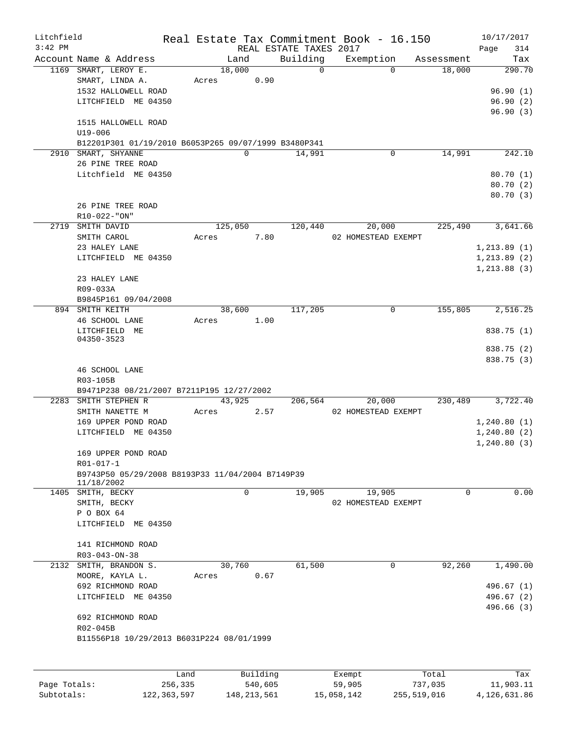| Litchfield   |                                                                |         |                |                        | Real Estate Tax Commitment Book - 16.150 |            | 10/17/2017   |
|--------------|----------------------------------------------------------------|---------|----------------|------------------------|------------------------------------------|------------|--------------|
| $3:42$ PM    |                                                                |         |                | REAL ESTATE TAXES 2017 |                                          |            | 314<br>Page  |
|              | Account Name & Address                                         |         | Land           | Building<br>$\Omega$   | Exemption                                | Assessment | Tax          |
|              | 1169 SMART, LEROY E.<br>SMART, LINDA A.                        | Acres   | 18,000<br>0.90 |                        | $\Omega$                                 | 18,000     | 290.70       |
|              | 1532 HALLOWELL ROAD                                            |         |                |                        |                                          |            | 96.90(1)     |
|              | LITCHFIELD ME 04350                                            |         |                |                        |                                          |            | 96.90(2)     |
|              |                                                                |         |                |                        |                                          |            | 96.90(3)     |
|              | 1515 HALLOWELL ROAD                                            |         |                |                        |                                          |            |              |
|              | $U19 - 006$                                                    |         |                |                        |                                          |            |              |
|              | B12201P301 01/19/2010 B6053P265 09/07/1999 B3480P341           |         |                |                        |                                          |            |              |
|              | 2910 SMART, SHYANNE                                            |         | $\mathbf 0$    | 14,991                 | $\mathbf 0$                              | 14,991     | 242.10       |
|              | 26 PINE TREE ROAD                                              |         |                |                        |                                          |            |              |
|              | Litchfield ME 04350                                            |         |                |                        |                                          |            | 80.70(1)     |
|              |                                                                |         |                |                        |                                          |            | 80.70 (2)    |
|              | 26 PINE TREE ROAD                                              |         |                |                        |                                          |            | 80.70 (3)    |
|              | R10-022-"ON"                                                   |         |                |                        |                                          |            |              |
|              | 2719 SMITH DAVID                                               |         | 125,050        | 120,440                | 20,000                                   | 225,490    | 3,641.66     |
|              | SMITH CAROL                                                    | Acres   | 7.80           |                        | 02 HOMESTEAD EXEMPT                      |            |              |
|              | 23 HALEY LANE                                                  |         |                |                        |                                          |            | 1, 213.89(1) |
|              | LITCHFIELD ME 04350                                            |         |                |                        |                                          |            | 1, 213.89(2) |
|              |                                                                |         |                |                        |                                          |            | 1, 213.88(3) |
|              | 23 HALEY LANE                                                  |         |                |                        |                                          |            |              |
|              | R09-033A                                                       |         |                |                        |                                          |            |              |
|              | B9845P161 09/04/2008                                           |         |                |                        |                                          |            |              |
|              | 894 SMITH KEITH                                                |         | 38,600         | 117,205                | 0                                        | 155,805    | 2,516.25     |
|              | 46 SCHOOL LANE                                                 | Acres   | 1.00           |                        |                                          |            |              |
|              | LITCHFIELD ME                                                  |         |                |                        |                                          |            | 838.75 (1)   |
|              | 04350-3523                                                     |         |                |                        |                                          |            | 838.75 (2)   |
|              |                                                                |         |                |                        |                                          |            | 838.75 (3)   |
|              | 46 SCHOOL LANE                                                 |         |                |                        |                                          |            |              |
|              | R03-105B                                                       |         |                |                        |                                          |            |              |
|              | B9471P238 08/21/2007 B7211P195 12/27/2002                      |         |                |                        |                                          |            |              |
|              | 2283 SMITH STEPHEN R                                           |         | 43,925         | 206,564                | 20,000                                   | 230,489    | 3,722.40     |
|              | SMITH NANETTE M                                                | Acres   | 2.57           |                        | 02 HOMESTEAD EXEMPT                      |            |              |
|              | 169 UPPER POND ROAD                                            |         |                |                        |                                          |            | 1,240.80(1)  |
|              | LITCHFIELD ME 04350                                            |         |                |                        |                                          |            | 1,240.80(2)  |
|              |                                                                |         |                |                        |                                          |            | 1, 240.80(3) |
|              | 169 UPPER POND ROAD                                            |         |                |                        |                                          |            |              |
|              | $R01 - 017 - 1$                                                |         |                |                        |                                          |            |              |
|              | B9743P50 05/29/2008 B8193P33 11/04/2004 B7149P39<br>11/18/2002 |         |                |                        |                                          |            |              |
|              | 1405 SMITH, BECKY                                              |         | 0              | 19,905                 | 19,905                                   | 0          | 0.00         |
|              | SMITH, BECKY                                                   |         |                |                        | 02 HOMESTEAD EXEMPT                      |            |              |
|              | P O BOX 64                                                     |         |                |                        |                                          |            |              |
|              | LITCHFIELD ME 04350                                            |         |                |                        |                                          |            |              |
|              |                                                                |         |                |                        |                                          |            |              |
|              | 141 RICHMOND ROAD                                              |         |                |                        |                                          |            |              |
|              | $R03 - 043 - ON - 38$                                          |         |                |                        |                                          |            |              |
|              | 2132 SMITH, BRANDON S.                                         |         | 30,760         | 61,500                 | $\Omega$                                 | 92,260     | 1,490.00     |
|              | MOORE, KAYLA L.                                                | Acres   | 0.67           |                        |                                          |            |              |
|              | 692 RICHMOND ROAD                                              |         |                |                        |                                          |            | 496.67(1)    |
|              | LITCHFIELD ME 04350                                            |         |                |                        |                                          |            | 496.67(2)    |
|              |                                                                |         |                |                        |                                          |            | 496.66 (3)   |
|              | 692 RICHMOND ROAD<br>R02-045B                                  |         |                |                        |                                          |            |              |
|              | B11556P18 10/29/2013 B6031P224 08/01/1999                      |         |                |                        |                                          |            |              |
|              |                                                                |         |                |                        |                                          |            |              |
|              |                                                                |         |                |                        |                                          |            |              |
|              |                                                                | Land    | Building       |                        | Exempt                                   | Total      | Tax          |
| Page Totals: |                                                                | 256,335 | 540,605        |                        | 59,905                                   | 737,035    | 11,903.11    |

Subtotals: 122,363,597 148,213,561 15,058,142 255,519,016 4,126,631.86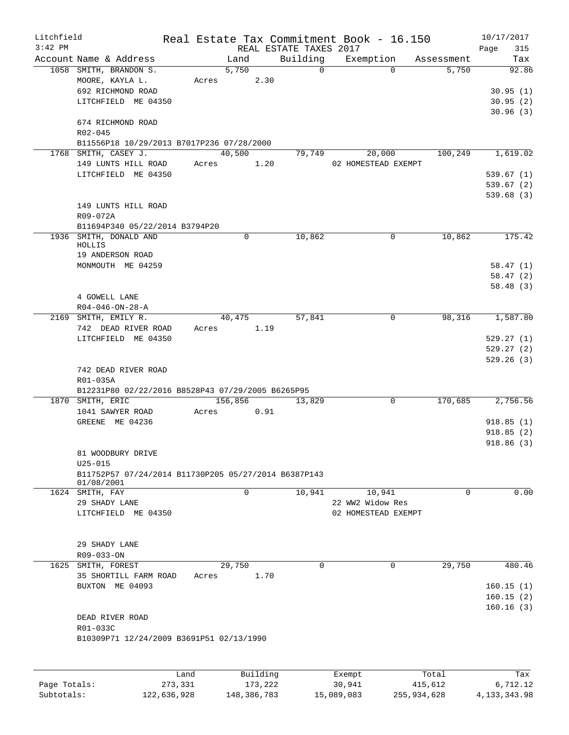| Litchfield   |                                                      |                 |               |                        | Real Estate Tax Commitment Book - 16.150 |                       | 10/17/2017           |
|--------------|------------------------------------------------------|-----------------|---------------|------------------------|------------------------------------------|-----------------------|----------------------|
| $3:42$ PM    |                                                      |                 |               | REAL ESTATE TAXES 2017 |                                          |                       | 315<br>Page          |
|              | Account Name & Address                               |                 | Land          | Building               | Exemption                                | Assessment            | Tax                  |
|              | 1058 SMITH, BRANDON S.                               |                 | 5,750         | $\Omega$               |                                          | $\Omega$<br>5,750     | 92.86                |
|              | MOORE, KAYLA L.<br>692 RICHMOND ROAD                 |                 | 2.30<br>Acres |                        |                                          |                       |                      |
|              | LITCHFIELD ME 04350                                  |                 |               |                        |                                          |                       | 30.95(1)<br>30.95(2) |
|              |                                                      |                 |               |                        |                                          |                       | 30.96(3)             |
|              | 674 RICHMOND ROAD                                    |                 |               |                        |                                          |                       |                      |
|              | R02-045                                              |                 |               |                        |                                          |                       |                      |
|              | B11556P18 10/29/2013 B7017P236 07/28/2000            |                 |               |                        |                                          |                       |                      |
|              | 1768 SMITH, CASEY J.                                 |                 | 40,500        | 79,749                 | 20,000                                   | 100,249               | 1,619.02             |
|              | 149 LUNTS HILL ROAD                                  |                 | 1.20<br>Acres |                        | 02 HOMESTEAD EXEMPT                      |                       |                      |
|              | LITCHFIELD ME 04350                                  |                 |               |                        |                                          |                       | 539.67(1)            |
|              |                                                      |                 |               |                        |                                          |                       | 539.67(2)            |
|              |                                                      |                 |               |                        |                                          |                       | 539.68(3)            |
|              | 149 LUNTS HILL ROAD                                  |                 |               |                        |                                          |                       |                      |
|              | R09-072A                                             |                 |               |                        |                                          |                       |                      |
|              | B11694P340 05/22/2014 B3794P20                       |                 |               |                        |                                          |                       |                      |
|              | 1936 SMITH, DONALD AND<br>HOLLIS                     |                 | 0             | 10,862                 |                                          | 10,862<br>0           | 175.42               |
|              | 19 ANDERSON ROAD                                     |                 |               |                        |                                          |                       |                      |
|              | MONMOUTH ME 04259                                    |                 |               |                        |                                          |                       | 58.47(1)             |
|              |                                                      |                 |               |                        |                                          |                       | 58.47(2)             |
|              |                                                      |                 |               |                        |                                          |                       | 58.48(3)             |
|              | 4 GOWELL LANE                                        |                 |               |                        |                                          |                       |                      |
|              | $R04 - 046 - ON - 28 - A$                            |                 |               |                        |                                          |                       |                      |
|              | 2169 SMITH, EMILY R.                                 |                 | 40,475        | 57,841                 |                                          | 98,316<br>$\mathbf 0$ | 1,587.80             |
|              | 742 DEAD RIVER ROAD                                  | Acres           | 1.19          |                        |                                          |                       |                      |
|              | LITCHFIELD ME 04350                                  |                 |               |                        |                                          |                       | 529.27(1)            |
|              |                                                      |                 |               |                        |                                          |                       | 529.27(2)            |
|              |                                                      |                 |               |                        |                                          |                       | 529.26(3)            |
|              | 742 DEAD RIVER ROAD<br>R01-035A                      |                 |               |                        |                                          |                       |                      |
|              | B12231P80 02/22/2016 B8528P43 07/29/2005 B6265P95    |                 |               |                        |                                          |                       |                      |
|              | 1870 SMITH, ERIC                                     |                 | 156,856       | 13,829                 |                                          | 170,685<br>0          | 2,756.56             |
|              | 1041 SAWYER ROAD                                     | Acres           | 0.91          |                        |                                          |                       |                      |
|              | GREENE ME 04236                                      |                 |               |                        |                                          |                       | 918.85(1)            |
|              |                                                      |                 |               |                        |                                          |                       | 918.85(2)            |
|              |                                                      |                 |               |                        |                                          |                       | 918.86 (3)           |
|              | 81 WOODBURY DRIVE                                    |                 |               |                        |                                          |                       |                      |
|              | $U25 - 015$                                          |                 |               |                        |                                          |                       |                      |
|              | B11752P57 07/24/2014 B11730P205 05/27/2014 B6387P143 |                 |               |                        |                                          |                       |                      |
|              | 01/08/2001<br>1624 SMITH, FAY                        |                 | $\mathbf 0$   | 10,941                 | 10,941                                   | $\Omega$              | 0.00                 |
|              | 29 SHADY LANE                                        |                 |               |                        | 22 WW2 Widow Res                         |                       |                      |
|              | LITCHFIELD ME 04350                                  |                 |               |                        | 02 HOMESTEAD EXEMPT                      |                       |                      |
|              |                                                      |                 |               |                        |                                          |                       |                      |
|              |                                                      |                 |               |                        |                                          |                       |                      |
|              | 29 SHADY LANE                                        |                 |               |                        |                                          |                       |                      |
|              | R09-033-ON                                           |                 |               |                        |                                          |                       |                      |
|              | 1625 SMITH, FOREST                                   |                 | 29,750        | 0                      |                                          | $\Omega$<br>29,750    | 480.46               |
|              | 35 SHORTILL FARM ROAD                                | Acres           | 1.70          |                        |                                          |                       |                      |
|              | BUXTON ME 04093                                      |                 |               |                        |                                          |                       | 160.15(1)            |
|              |                                                      |                 |               |                        |                                          |                       | 160.15(2)            |
|              |                                                      |                 |               |                        |                                          |                       | 160.16(3)            |
|              | DEAD RIVER ROAD                                      |                 |               |                        |                                          |                       |                      |
|              | R01-033C<br>B10309P71 12/24/2009 B3691P51 02/13/1990 |                 |               |                        |                                          |                       |                      |
|              |                                                      |                 |               |                        |                                          |                       |                      |
|              |                                                      |                 |               |                        |                                          |                       |                      |
|              |                                                      |                 | Building      |                        |                                          |                       |                      |
| Page Totals: |                                                      | Land<br>273,331 | 173,222       |                        | Exempt<br>30,941                         | Total<br>415,612      | Tax<br>6,712.12      |
|              |                                                      |                 |               |                        |                                          |                       |                      |

Subtotals: 122,636,928 148,386,783 15,089,083 255,934,628 4,133,343.98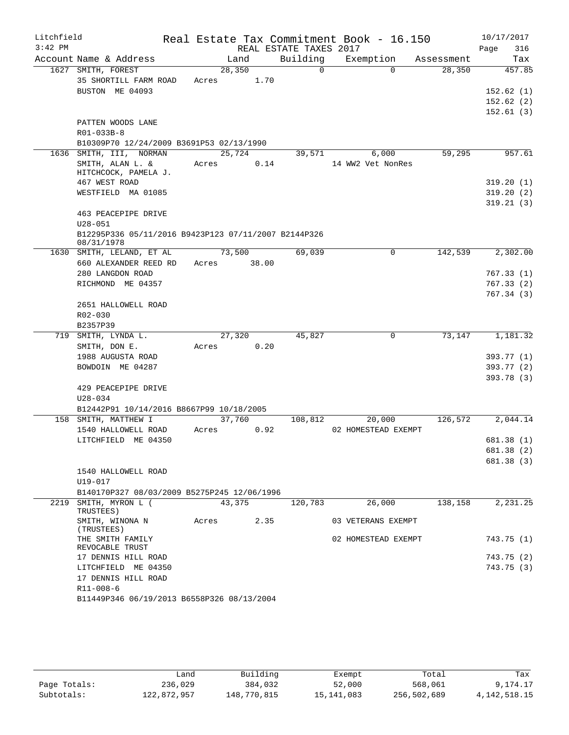| Litchfield<br>$3:42$ PM |                                                                     |       |                | REAL ESTATE TAXES 2017 | Real Estate Tax Commitment Book - 16.150 |            | 10/17/2017<br>Page<br>316 |
|-------------------------|---------------------------------------------------------------------|-------|----------------|------------------------|------------------------------------------|------------|---------------------------|
|                         | Account Name & Address                                              |       | Land           | Building               | Exemption                                | Assessment | Tax                       |
|                         | 1627 SMITH, FOREST                                                  |       | 28,350         | $\Omega$               | $\Omega$                                 | 28,350     | 457.85                    |
|                         | 35 SHORTILL FARM ROAD                                               | Acres | 1.70           |                        |                                          |            |                           |
|                         | BUSTON ME 04093                                                     |       |                |                        |                                          |            | 152.62(1)                 |
|                         |                                                                     |       |                |                        |                                          |            | 152.62(2)                 |
|                         |                                                                     |       |                |                        |                                          |            | 152.61(3)                 |
|                         | PATTEN WOODS LANE                                                   |       |                |                        |                                          |            |                           |
|                         | R01-033B-8                                                          |       |                |                        |                                          |            |                           |
|                         | B10309P70 12/24/2009 B3691P53 02/13/1990                            |       |                |                        |                                          |            |                           |
|                         | 1636 SMITH, III, NORMAN                                             |       | 25,724         | 39,571                 | 6,000                                    | 59,295     | 957.61                    |
|                         | SMITH, ALAN L. &                                                    | Acres | 0.14           |                        | 14 WW2 Vet NonRes                        |            |                           |
|                         | HITCHCOCK, PAMELA J.                                                |       |                |                        |                                          |            |                           |
|                         | 467 WEST ROAD                                                       |       |                |                        |                                          |            | 319.20(1)                 |
|                         | WESTFIELD MA 01085                                                  |       |                |                        |                                          |            | 319.20(2)                 |
|                         |                                                                     |       |                |                        |                                          |            | 319.21(3)                 |
|                         | 463 PEACEPIPE DRIVE                                                 |       |                |                        |                                          |            |                           |
|                         | $U28 - 051$<br>B12295P336 05/11/2016 B9423P123 07/11/2007 B2144P326 |       |                |                        |                                          |            |                           |
|                         | 08/31/1978                                                          |       |                |                        |                                          |            |                           |
| 1630                    | SMITH, LELAND, ET AL                                                |       | 73,500         | 69,039                 | $\mathbf 0$                              | 142,539    | 2,302.00                  |
|                         | 660 ALEXANDER REED RD                                               | Acres | 38.00          |                        |                                          |            |                           |
|                         | 280 LANGDON ROAD                                                    |       |                |                        |                                          |            | 767.33 (1)                |
|                         | RICHMOND ME 04357                                                   |       |                |                        |                                          |            | 767.33 (2)                |
|                         |                                                                     |       |                |                        |                                          |            | 767.34 (3)                |
|                         | 2651 HALLOWELL ROAD                                                 |       |                |                        |                                          |            |                           |
|                         | $R02 - 030$                                                         |       |                |                        |                                          |            |                           |
|                         | B2357P39<br>719 SMITH, LYNDA L.                                     |       |                |                        | $\mathbf 0$                              | 73,147     | 1,181.32                  |
|                         | SMITH, DON E.                                                       | Acres | 27,320<br>0.20 | 45,827                 |                                          |            |                           |
|                         | 1988 AUGUSTA ROAD                                                   |       |                |                        |                                          |            | 393.77 (1)                |
|                         | BOWDOIN ME 04287                                                    |       |                |                        |                                          |            | 393.77 (2)                |
|                         |                                                                     |       |                |                        |                                          |            | 393.78 (3)                |
|                         | 429 PEACEPIPE DRIVE                                                 |       |                |                        |                                          |            |                           |
|                         | $U28 - 034$                                                         |       |                |                        |                                          |            |                           |
|                         | B12442P91 10/14/2016 B8667P99 10/18/2005                            |       |                |                        |                                          |            |                           |
| 158                     | SMITH, MATTHEW I                                                    |       | 37,760         | 108,812                | 20,000                                   | 126,572    | 2,044.14                  |
|                         | 1540 HALLOWELL ROAD                                                 | Acres | 0.92           |                        | 02 HOMESTEAD EXEMPT                      |            |                           |
|                         | LITCHFIELD ME 04350                                                 |       |                |                        |                                          |            | 681.38 (1)                |
|                         |                                                                     |       |                |                        |                                          |            | 681.38 (2)                |
|                         |                                                                     |       |                |                        |                                          |            | 681.38 (3)                |
|                         | 1540 HALLOWELL ROAD                                                 |       |                |                        |                                          |            |                           |
|                         | U19-017                                                             |       |                |                        |                                          |            |                           |
|                         | B140170P327 08/03/2009 B5275P245 12/06/1996                         |       |                |                        |                                          |            |                           |
| 2219                    | SMITH, MYRON L (<br>TRUSTEES)                                       |       | 43,375         | 120,783                | 26,000                                   | 138,158    | 2,231.25                  |
|                         | SMITH, WINONA N<br>(TRUSTEES)                                       | Acres | 2.35           |                        | 03 VETERANS EXEMPT                       |            |                           |
|                         | THE SMITH FAMILY<br>REVOCABLE TRUST                                 |       |                |                        | 02 HOMESTEAD EXEMPT                      |            | 743.75 (1)                |
|                         | 17 DENNIS HILL ROAD                                                 |       |                |                        |                                          |            | 743.75 (2)                |
|                         | LITCHFIELD ME 04350                                                 |       |                |                        |                                          |            | 743.75 (3)                |
|                         | 17 DENNIS HILL ROAD                                                 |       |                |                        |                                          |            |                           |
|                         | R11-008-6                                                           |       |                |                        |                                          |            |                           |
|                         | B11449P346 06/19/2013 B6558P326 08/13/2004                          |       |                |                        |                                          |            |                           |

|              | úand        | Building    | Exempt     | Total       | Tax             |
|--------------|-------------|-------------|------------|-------------|-----------------|
| Page Totals: | 236,029     | 384,032     | 52,000     | 568,061     | 9,174.17        |
| Subtotals:   | 122,872,957 | 148,770,815 | 15,141,083 | 256,502,689 | 4, 142, 518. 15 |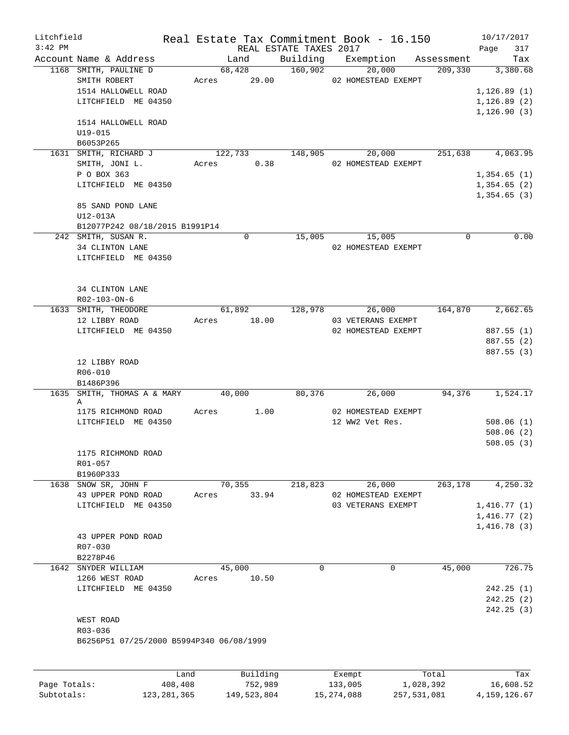| Litchfield   |                                           |       |                 |                        | Real Estate Tax Commitment Book - 16.150 |             | 10/17/2017   |          |
|--------------|-------------------------------------------|-------|-----------------|------------------------|------------------------------------------|-------------|--------------|----------|
| $3:42$ PM    |                                           |       |                 | REAL ESTATE TAXES 2017 |                                          |             | Page         | 317      |
|              | Account Name & Address                    |       | Land            | 160,902                | Building Exemption                       | Assessment  |              | Tax      |
|              | 1168 SMITH, PAULINE D<br>SMITH ROBERT     | Acres | 68,428<br>29.00 |                        | 20,000<br>02 HOMESTEAD EXEMPT            | 209,330     |              | 3,380.68 |
|              | 1514 HALLOWELL ROAD                       |       |                 |                        |                                          |             | 1, 126.89(1) |          |
|              | LITCHFIELD ME 04350                       |       |                 |                        |                                          |             | 1, 126.89(2) |          |
|              |                                           |       |                 |                        |                                          |             | 1, 126.90(3) |          |
|              | 1514 HALLOWELL ROAD                       |       |                 |                        |                                          |             |              |          |
|              | $U19 - 015$                               |       |                 |                        |                                          |             |              |          |
|              | B6053P265                                 |       |                 |                        |                                          |             |              |          |
|              | 1631 SMITH, RICHARD J                     |       | 122,733         | 148,905                | 20,000                                   | 251,638     |              | 4,063.95 |
|              | SMITH, JONI L.                            | Acres | 0.38            |                        | 02 HOMESTEAD EXEMPT                      |             |              |          |
|              | P O BOX 363                               |       |                 |                        |                                          |             | 1,354.65(1)  |          |
|              | LITCHFIELD ME 04350                       |       |                 |                        |                                          |             | 1,354.65(2)  |          |
|              |                                           |       |                 |                        |                                          |             | 1,354.65(3)  |          |
|              | 85 SAND POND LANE                         |       |                 |                        |                                          |             |              |          |
|              | U12-013A                                  |       |                 |                        |                                          |             |              |          |
|              | B12077P242 08/18/2015 B1991P14            |       |                 |                        |                                          |             |              |          |
|              | 242 SMITH, SUSAN R.                       |       | 0               | 15,005                 | 15,005                                   | $\mathbf 0$ |              | 0.00     |
|              | 34 CLINTON LANE                           |       |                 |                        | 02 HOMESTEAD EXEMPT                      |             |              |          |
|              | LITCHFIELD ME 04350                       |       |                 |                        |                                          |             |              |          |
|              |                                           |       |                 |                        |                                          |             |              |          |
|              |                                           |       |                 |                        |                                          |             |              |          |
|              | 34 CLINTON LANE                           |       |                 |                        |                                          |             |              |          |
|              | R02-103-ON-6                              |       |                 |                        |                                          |             |              |          |
|              | 1633 SMITH, THEODORE                      |       | 61,892          | 128,978                | 26,000                                   | 164,870     |              | 2,662.65 |
|              | 12 LIBBY ROAD                             | Acres | 18.00           |                        | 03 VETERANS EXEMPT                       |             |              |          |
|              | LITCHFIELD ME 04350                       |       |                 |                        | 02 HOMESTEAD EXEMPT                      |             | 887.55 (1)   |          |
|              |                                           |       |                 |                        |                                          |             | 887.55 (2)   |          |
|              |                                           |       |                 |                        |                                          |             | 887.55 (3)   |          |
|              | 12 LIBBY ROAD                             |       |                 |                        |                                          |             |              |          |
|              | R06-010                                   |       |                 |                        |                                          |             |              |          |
|              | B1486P396                                 |       |                 |                        |                                          |             |              |          |
|              | 1635 SMITH, THOMAS A & MARY               |       | 40,000          | 80,376                 | 26,000                                   | 94,376      |              | 1,524.17 |
|              | Α                                         |       | 1.00            |                        | 02 HOMESTEAD EXEMPT                      |             |              |          |
|              | 1175 RICHMOND ROAD<br>LITCHFIELD ME 04350 | Acres |                 |                        | 12 WW2 Vet Res.                          |             | 508.06(1)    |          |
|              |                                           |       |                 |                        |                                          |             | 508.06(2)    |          |
|              |                                           |       |                 |                        |                                          |             | 508.05(3)    |          |
|              | 1175 RICHMOND ROAD                        |       |                 |                        |                                          |             |              |          |
|              | R01-057                                   |       |                 |                        |                                          |             |              |          |
|              | B1960P333                                 |       |                 |                        |                                          |             |              |          |
|              | 1638 SNOW SR, JOHN F                      |       | 70,355          | 218,823                | 26,000                                   | 263,178     |              | 4,250.32 |
|              | 43 UPPER POND ROAD                        | Acres | 33.94           |                        | 02 HOMESTEAD EXEMPT                      |             |              |          |
|              | LITCHFIELD ME 04350                       |       |                 |                        | 03 VETERANS EXEMPT                       |             | 1,416.77(1)  |          |
|              |                                           |       |                 |                        |                                          |             | 1,416.77(2)  |          |
|              |                                           |       |                 |                        |                                          |             | 1,416.78(3)  |          |
|              | 43 UPPER POND ROAD                        |       |                 |                        |                                          |             |              |          |
|              | R07-030                                   |       |                 |                        |                                          |             |              |          |
|              | B2278P46                                  |       |                 |                        |                                          |             |              |          |
|              | 1642 SNYDER WILLIAM                       |       | 45,000          | 0                      | 0                                        | 45,000      |              | 726.75   |
|              | 1266 WEST ROAD                            | Acres | 10.50           |                        |                                          |             |              |          |
|              | LITCHFIELD ME 04350                       |       |                 |                        |                                          |             | 242.25(1)    |          |
|              |                                           |       |                 |                        |                                          |             | 242.25(2)    |          |
|              |                                           |       |                 |                        |                                          |             | 242.25(3)    |          |
|              | WEST ROAD                                 |       |                 |                        |                                          |             |              |          |
|              | R03-036                                   |       |                 |                        |                                          |             |              |          |
|              | B6256P51 07/25/2000 B5994P340 06/08/1999  |       |                 |                        |                                          |             |              |          |
|              |                                           |       |                 |                        |                                          |             |              |          |
|              |                                           |       |                 |                        |                                          |             |              |          |
|              | Land                                      |       | Building        |                        | Exempt                                   | Total       |              | Tax      |
| Page Totals: | 408,408                                   |       | 752,989         |                        | 133,005                                  | 1,028,392   | 16,608.52    |          |

Subtotals: 123,281,365 149,523,804 15,274,088 257,531,081 4,159,126.67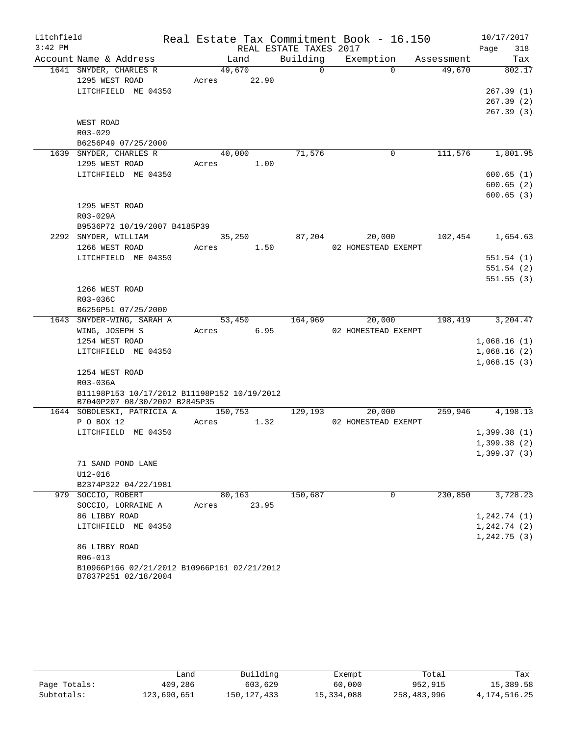| Litchfield |                                                        |                          |                        | Real Estate Tax Commitment Book - 16.150 |         | 10/17/2017   |
|------------|--------------------------------------------------------|--------------------------|------------------------|------------------------------------------|---------|--------------|
| $3:42$ PM  |                                                        |                          | REAL ESTATE TAXES 2017 |                                          |         | 318<br>Page  |
|            | Account Name & Address                                 | Land                     | Building               | Exemption Assessment                     |         | Tax          |
|            | 1641 SNYDER, CHARLES R                                 | 49,670                   |                        | $\overline{0}$<br>$\Omega$               | 49,670  | 802.17       |
|            | 1295 WEST ROAD                                         | Acres 22.90              |                        |                                          |         |              |
|            | LITCHFIELD ME 04350                                    |                          |                        |                                          |         | 267.39(1)    |
|            |                                                        |                          |                        |                                          |         | 267.39(2)    |
|            |                                                        |                          |                        |                                          |         | 267.39(3)    |
|            | WEST ROAD                                              |                          |                        |                                          |         |              |
|            | R03-029                                                |                          |                        |                                          |         |              |
|            | B6256P49 07/25/2000<br>1639 SNYDER, CHARLES R          | 40,000                   | 71,576                 | $\mathbf 0$                              | 111,576 | 1,801.95     |
|            | 1295 WEST ROAD                                         | Acres 1.00               |                        |                                          |         |              |
|            | LITCHFIELD ME 04350                                    |                          |                        |                                          |         | 600.65(1)    |
|            |                                                        |                          |                        |                                          |         | 600.65(2)    |
|            |                                                        |                          |                        |                                          |         | 600.65(3)    |
|            | 1295 WEST ROAD                                         |                          |                        |                                          |         |              |
|            | R03-029A                                               |                          |                        |                                          |         |              |
|            | B9536P72 10/19/2007 B4185P39                           |                          |                        |                                          |         |              |
|            | 2292 SNYDER, WILLIAM                                   | 35,250                   | 87,204                 | 20,000                                   | 102,454 | 1,654.63     |
|            | 1266 WEST ROAD                                         | Acres 1.50               |                        | 02 HOMESTEAD EXEMPT                      |         |              |
|            | LITCHFIELD ME 04350                                    |                          |                        |                                          |         | 551.54(1)    |
|            |                                                        |                          |                        |                                          |         | 551.54(2)    |
|            |                                                        |                          |                        |                                          |         | 551.55(3)    |
|            | 1266 WEST ROAD                                         |                          |                        |                                          |         |              |
|            | R03-036C                                               |                          |                        |                                          |         |              |
|            | B6256P51 07/25/2000<br>1643 SNYDER-WING, SARAH A       | 53,450                   |                        | 164,969<br>20,000                        | 198,419 | 3,204.47     |
|            | WING, JOSEPH S                                         | Acres 6.95               |                        | 02 HOMESTEAD EXEMPT                      |         |              |
|            | 1254 WEST ROAD                                         |                          |                        |                                          |         | 1,068.16(1)  |
|            | LITCHFIELD ME 04350                                    |                          |                        |                                          |         | 1,068.16(2)  |
|            |                                                        |                          |                        |                                          |         | 1,068.15(3)  |
|            | 1254 WEST ROAD                                         |                          |                        |                                          |         |              |
|            | R03-036A                                               |                          |                        |                                          |         |              |
|            | B11198P153 10/17/2012 B11198P152 10/19/2012            |                          |                        |                                          |         |              |
|            | B7040P207 08/30/2002 B2845P35                          |                          |                        |                                          |         |              |
|            | 1644 SOBOLESKI, PATRICIA A<br>P O BOX 12               | 150,753 129,193<br>Acres | 1.32                   | 20,000<br>02 HOMESTEAD EXEMPT            | 259,946 | 4,198.13     |
|            | LITCHFIELD ME 04350                                    |                          |                        |                                          |         | 1,399.38(1)  |
|            |                                                        |                          |                        |                                          |         | 1,399.38(2)  |
|            |                                                        |                          |                        |                                          |         | 1,399.37(3)  |
|            | 71 SAND POND LANE                                      |                          |                        |                                          |         |              |
|            | U12-016                                                |                          |                        |                                          |         |              |
|            | B2374P322 04/22/1981                                   |                          |                        |                                          |         |              |
|            | 979 SOCCIO, ROBERT                                     | 80,163                   | 150,687                | 0                                        | 230,850 | 3,728.23     |
|            | SOCCIO, LORRAINE A                                     | Acres                    | 23.95                  |                                          |         |              |
|            | 86 LIBBY ROAD                                          |                          |                        |                                          |         | 1,242.74(1)  |
|            | LITCHFIELD ME 04350                                    |                          |                        |                                          |         | 1, 242.74(2) |
|            |                                                        |                          |                        |                                          |         | 1,242.75(3)  |
|            | 86 LIBBY ROAD                                          |                          |                        |                                          |         |              |
|            | R06-013<br>B10966P166 02/21/2012 B10966P161 02/21/2012 |                          |                        |                                          |         |              |
|            | B7837P251 02/18/2004                                   |                          |                        |                                          |         |              |

|              |             | Building      |            | Total       | Tax          |
|--------------|-------------|---------------|------------|-------------|--------------|
|              | Land        |               | Exempt     |             |              |
| Page Totals: | 409,286     | 603,629       | 60,000     | 952,915     | 15,389.58    |
| Subtotals:   | 123,690,651 | 150, 127, 433 | 15,334,088 | 258,483,996 | 4,174,516.25 |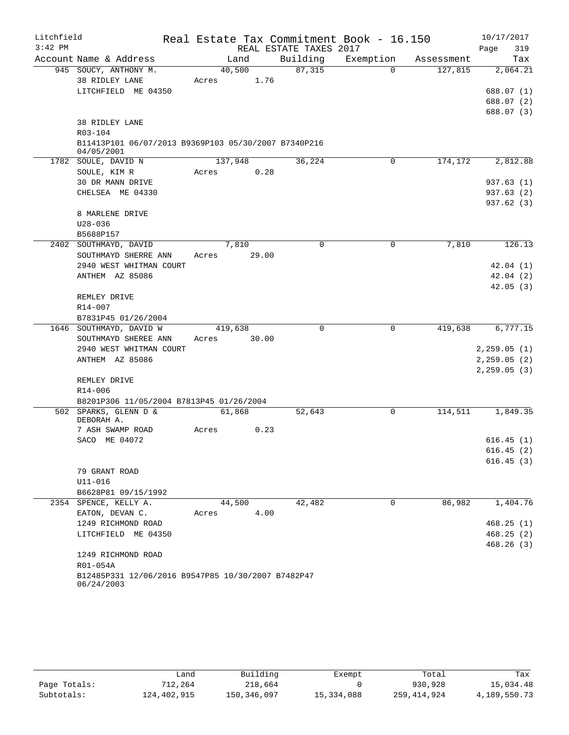| Litchfield |                                                                  | Real Estate Tax Commitment Book - 16.150 |                        |             |            | 10/17/2017   |
|------------|------------------------------------------------------------------|------------------------------------------|------------------------|-------------|------------|--------------|
| $3:42$ PM  |                                                                  |                                          | REAL ESTATE TAXES 2017 |             |            | 319<br>Page  |
|            | Account Name & Address                                           | Land                                     | Building               | Exemption   | Assessment | Tax          |
|            | 945 SOUCY, ANTHONY M.                                            | 40,500                                   | 87,315                 | $\Omega$    | 127,815    | 2,064.21     |
|            | 38 RIDLEY LANE                                                   | 1.76<br>Acres                            |                        |             |            |              |
|            | LITCHFIELD ME 04350                                              |                                          |                        |             |            | 688.07 (1)   |
|            |                                                                  |                                          |                        |             |            | 688.07 (2)   |
|            | 38 RIDLEY LANE                                                   |                                          |                        |             |            | 688.07 (3)   |
|            | R03-104                                                          |                                          |                        |             |            |              |
|            | B11413P101 06/07/2013 B9369P103 05/30/2007 B7340P216             |                                          |                        |             |            |              |
|            | 04/05/2001                                                       |                                          |                        |             |            |              |
|            | 1782 SOULE, DAVID N                                              | 137,948                                  | 36,224                 | 0           | 174,172    | 2,812.88     |
|            | SOULE, KIM R                                                     | Acres<br>0.28                            |                        |             |            |              |
|            | 30 DR MANN DRIVE                                                 |                                          |                        |             |            | 937.63 (1)   |
|            | CHELSEA ME 04330                                                 |                                          |                        |             |            | 937.63 (2)   |
|            |                                                                  |                                          |                        |             |            | 937.62 (3)   |
|            | 8 MARLENE DRIVE                                                  |                                          |                        |             |            |              |
|            | $U28 - 036$<br>B5688P157                                         |                                          |                        |             |            |              |
|            | 2402 SOUTHMAYD, DAVID                                            | 7,810                                    | 0                      | 0           | 7,810      | 126.13       |
|            | SOUTHMAYD SHERRE ANN                                             | Acres<br>29.00                           |                        |             |            |              |
|            | 2940 WEST WHITMAN COURT                                          |                                          |                        |             |            | 42.04(1)     |
|            | ANTHEM AZ 85086                                                  |                                          |                        |             |            | 42.04(2)     |
|            |                                                                  |                                          |                        |             |            | 42.05(3)     |
|            | REMLEY DRIVE                                                     |                                          |                        |             |            |              |
|            | R14-007                                                          |                                          |                        |             |            |              |
|            | B7831P45 01/26/2004                                              |                                          |                        |             |            |              |
|            | 1646 SOUTHMAYD, DAVID W                                          | 419,638                                  | $\Omega$               | $\mathbf 0$ | 419,638    | 6,777.15     |
|            | SOUTHMAYD SHEREE ANN                                             | 30.00<br>Acres                           |                        |             |            |              |
|            | 2940 WEST WHITMAN COURT                                          |                                          |                        |             |            | 2, 259.05(1) |
|            | ANTHEM AZ 85086                                                  |                                          |                        |             |            | 2, 259.05(2) |
|            | REMLEY DRIVE                                                     |                                          |                        |             |            | 2, 259.05(3) |
|            | R14-006                                                          |                                          |                        |             |            |              |
|            | B8201P306 11/05/2004 B7813P45 01/26/2004                         |                                          |                        |             |            |              |
|            | 502 SPARKS, GLENN D &                                            | 61,868                                   | 52,643                 | 0           | 114,511    | 1,849.35     |
|            | DEBORAH A.                                                       |                                          |                        |             |            |              |
|            | 7 ASH SWAMP ROAD                                                 | Acres<br>0.23                            |                        |             |            |              |
|            | SACO ME 04072                                                    |                                          |                        |             |            | 616.45(1)    |
|            |                                                                  |                                          |                        |             |            | 616.45(2)    |
|            | 79 GRANT ROAD                                                    |                                          |                        |             |            | 616.45(3)    |
|            | U11-016                                                          |                                          |                        |             |            |              |
|            | B6628P81 09/15/1992                                              |                                          |                        |             |            |              |
|            | 2354 SPENCE, KELLY A.                                            | 44,500                                   | 42,482                 | 0           | 86,982     | 1,404.76     |
|            | EATON, DEVAN C.                                                  | 4.00<br>Acres                            |                        |             |            |              |
|            | 1249 RICHMOND ROAD                                               |                                          |                        |             |            | 468.25(1)    |
|            | LITCHFIELD ME 04350                                              |                                          |                        |             |            | 468.25(2)    |
|            |                                                                  |                                          |                        |             |            | 468.26(3)    |
|            | 1249 RICHMOND ROAD                                               |                                          |                        |             |            |              |
|            | R01-054A                                                         |                                          |                        |             |            |              |
|            | B12485P331 12/06/2016 B9547P85 10/30/2007 B7482P47<br>06/24/2003 |                                          |                        |             |            |              |
|            |                                                                  |                                          |                        |             |            |              |

|              | Land        | Building    | Exempt     | Total       | Tax          |
|--------------|-------------|-------------|------------|-------------|--------------|
| Page Totals: | 712,264     | 218,664     |            | 930,928     | 15,034.48    |
| Subtotals:   | 124,402,915 | 150,346,097 | 15,334,088 | 259,414,924 | 4,189,550.73 |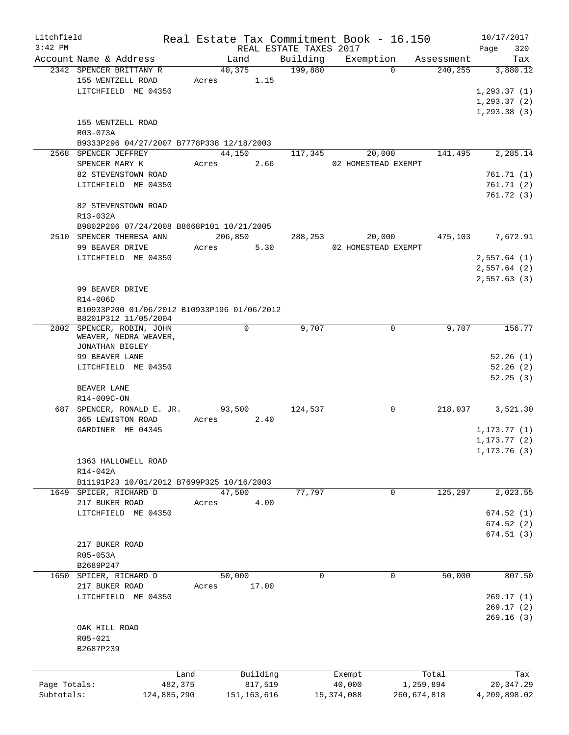| Litchfield   |                                                    |       |               |                        | Real Estate Tax Commitment Book - 16.150 |             | 10/17/2017   |
|--------------|----------------------------------------------------|-------|---------------|------------------------|------------------------------------------|-------------|--------------|
| $3:42$ PM    |                                                    |       |               | REAL ESTATE TAXES 2017 |                                          |             | 320<br>Page  |
|              | Account Name & Address                             |       | Land          | Building               | Exemption                                | Assessment  | Tax          |
|              | 2342 SPENCER BRITTANY R                            |       | 40,375        | 199,880                | $\Omega$                                 | 240,255     | 3,880.12     |
|              | 155 WENTZELL ROAD                                  | Acres | 1.15          |                        |                                          |             |              |
|              | LITCHFIELD ME 04350                                |       |               |                        |                                          |             | 1, 293.37(1) |
|              |                                                    |       |               |                        |                                          |             | 1, 293.37(2) |
|              |                                                    |       |               |                        |                                          |             | 1, 293.38(3) |
|              | 155 WENTZELL ROAD                                  |       |               |                        |                                          |             |              |
|              | R03-073A                                           |       |               |                        |                                          |             |              |
|              | B9333P296 04/27/2007 B7778P338 12/18/2003          |       |               |                        |                                          |             |              |
|              | 2568 SPENCER JEFFREY                               |       | 44,150        | 117,345                | 20,000                                   | 141,495     | 2,285.14     |
|              | SPENCER MARY K                                     | Acres | 2.66          |                        | 02 HOMESTEAD EXEMPT                      |             |              |
|              | 82 STEVENSTOWN ROAD                                |       |               |                        |                                          |             | 761.71 (1)   |
|              | LITCHFIELD ME 04350                                |       |               |                        |                                          |             | 761.71(2)    |
|              |                                                    |       |               |                        |                                          |             | 761.72(3)    |
|              | 82 STEVENSTOWN ROAD                                |       |               |                        |                                          |             |              |
|              | R13-032A                                           |       |               |                        |                                          |             |              |
|              | B9802P206 07/24/2008 B8668P101 10/21/2005          |       |               |                        |                                          |             |              |
|              | 2510 SPENCER THERESA ANN                           |       | 206,850       | 288,253                | 20,000                                   | 475,103     | 7,672.91     |
|              | 99 BEAVER DRIVE                                    | Acres | 5.30          |                        | 02 HOMESTEAD EXEMPT                      |             |              |
|              |                                                    |       |               |                        |                                          |             |              |
|              | LITCHFIELD ME 04350                                |       |               |                        |                                          |             | 2,557.64(1)  |
|              |                                                    |       |               |                        |                                          |             | 2,557.64(2)  |
|              |                                                    |       |               |                        |                                          |             | 2,557.63(3)  |
|              | 99 BEAVER DRIVE                                    |       |               |                        |                                          |             |              |
|              | R14-006D                                           |       |               |                        |                                          |             |              |
|              | B10933P200 01/06/2012 B10933P196 01/06/2012        |       |               |                        |                                          |             |              |
|              | B8201P312 11/05/2004                               |       |               |                        |                                          |             |              |
|              | 2802 SPENCER, ROBIN, JOHN<br>WEAVER, NEDRA WEAVER, |       | 0             | 9,707                  | 0                                        | 9,707       | 156.77       |
|              | JONATHAN BIGLEY                                    |       |               |                        |                                          |             |              |
|              | 99 BEAVER LANE                                     |       |               |                        |                                          |             | 52.26(1)     |
|              | LITCHFIELD ME 04350                                |       |               |                        |                                          |             | 52.26(2)     |
|              |                                                    |       |               |                        |                                          |             |              |
|              |                                                    |       |               |                        |                                          |             | 52.25(3)     |
|              | BEAVER LANE                                        |       |               |                        |                                          |             |              |
|              | R14-009C-ON                                        |       |               |                        |                                          |             |              |
| 687          | SPENCER, RONALD E. JR.                             |       | 93,500        | 124,537                | $\mathbf 0$                              | 218,037     | 3,521.30     |
|              | 365 LEWISTON ROAD                                  | Acres | 2.40          |                        |                                          |             |              |
|              | GARDINER ME 04345                                  |       |               |                        |                                          |             | 1, 173.77(1) |
|              |                                                    |       |               |                        |                                          |             | 1, 173.77(2) |
|              |                                                    |       |               |                        |                                          |             | 1, 173.76(3) |
|              | 1363 HALLOWELL ROAD                                |       |               |                        |                                          |             |              |
|              | R14-042A                                           |       |               |                        |                                          |             |              |
|              | B11191P23 10/01/2012 B7699P325 10/16/2003          |       |               |                        |                                          |             |              |
| 1649         | SPICER, RICHARD D                                  |       | 47,500        | 77,797                 | 0                                        | 125,297     | 2,023.55     |
|              | 217 BUKER ROAD                                     | Acres | 4.00          |                        |                                          |             |              |
|              | LITCHFIELD ME 04350                                |       |               |                        |                                          |             | 674.52(1)    |
|              |                                                    |       |               |                        |                                          |             | 674.52(2)    |
|              |                                                    |       |               |                        |                                          |             | 674.51(3)    |
|              | 217 BUKER ROAD                                     |       |               |                        |                                          |             |              |
|              | R05-053A                                           |       |               |                        |                                          |             |              |
|              | B2689P247                                          |       |               |                        |                                          |             |              |
| 1650         | SPICER, RICHARD D                                  |       | 50,000        | 0                      | 0                                        | 50,000      | 807.50       |
|              | 217 BUKER ROAD                                     | Acres | 17.00         |                        |                                          |             |              |
|              | LITCHFIELD ME 04350                                |       |               |                        |                                          |             | 269.17(1)    |
|              |                                                    |       |               |                        |                                          |             | 269.17(2)    |
|              |                                                    |       |               |                        |                                          |             | 269.16(3)    |
|              | OAK HILL ROAD                                      |       |               |                        |                                          |             |              |
|              | R05-021                                            |       |               |                        |                                          |             |              |
|              | B2687P239                                          |       |               |                        |                                          |             |              |
|              |                                                    |       |               |                        |                                          |             |              |
|              |                                                    |       |               |                        |                                          |             |              |
|              |                                                    | Land  | Building      |                        | Exempt                                   | Total       | Tax          |
| Page Totals: | 482,375                                            |       | 817,519       |                        | 40,000                                   | 1,259,894   | 20, 347.29   |
| Subtotals:   | 124,885,290                                        |       | 151, 163, 616 |                        | 15, 374, 088                             | 260,674,818 | 4,209,898.02 |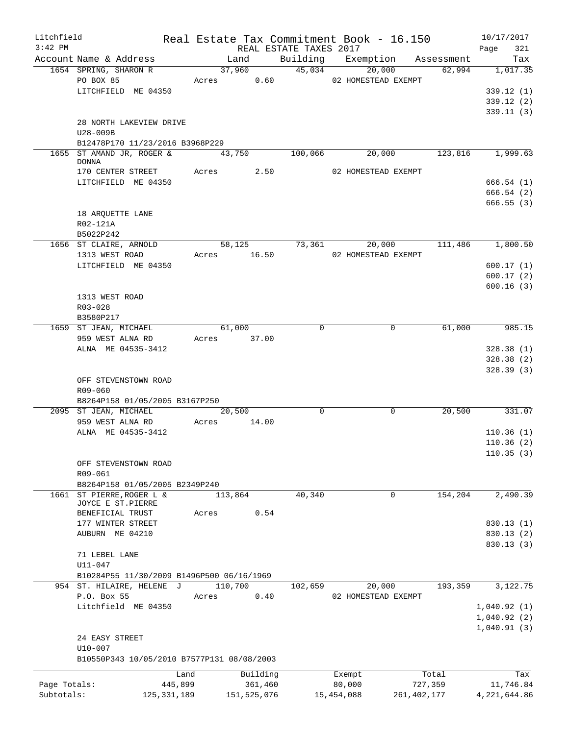| Litchfield<br>$3:42$ PM |                                              |               |             | REAL ESTATE TAXES 2017 |                                 | Real Estate Tax Commitment Book - 16.150 | 10/17/2017         |
|-------------------------|----------------------------------------------|---------------|-------------|------------------------|---------------------------------|------------------------------------------|--------------------|
|                         | Account Name & Address                       |               | Land        |                        |                                 | Building Exemption Assessment            | 321<br>Page<br>Tax |
|                         | 1654 SPRING, SHARON R                        |               | 37,960      | $\frac{3}{45,034}$     | 20,000                          | 62,994                                   | 1,017.35           |
|                         | PO BOX 85                                    |               | Acres 0.60  |                        | 02 HOMESTEAD EXEMPT             |                                          |                    |
|                         | LITCHFIELD ME 04350                          |               |             |                        |                                 |                                          | 339.12(1)          |
|                         |                                              |               |             |                        |                                 |                                          | 339.12(2)          |
|                         |                                              |               |             |                        |                                 |                                          | 339.11(3)          |
|                         |                                              |               |             |                        |                                 |                                          |                    |
|                         | 28 NORTH LAKEVIEW DRIVE                      |               |             |                        |                                 |                                          |                    |
|                         | U28-009B                                     |               |             |                        |                                 |                                          |                    |
|                         | B12478P170 11/23/2016 B3968P229              |               |             |                        |                                 |                                          |                    |
|                         | 1655 ST AMAND JR, ROGER & 43,750             |               |             | 100,066                | 20,000                          |                                          | 123,816 1,999.63   |
|                         | <b>DONNA</b><br>170 CENTER STREET Acres 2.50 |               |             |                        | 02 HOMESTEAD EXEMPT             |                                          |                    |
|                         |                                              |               |             |                        |                                 |                                          |                    |
|                         | LITCHFIELD ME 04350                          |               |             |                        |                                 |                                          | 666.54(1)          |
|                         |                                              |               |             |                        |                                 |                                          | 666.54(2)          |
|                         |                                              |               |             |                        |                                 |                                          | 666.55(3)          |
|                         | 18 ARQUETTE LANE                             |               |             |                        |                                 |                                          |                    |
|                         | R02-121A                                     |               |             |                        |                                 |                                          |                    |
|                         | B5022P242                                    |               |             |                        |                                 |                                          |                    |
|                         | 1656 ST CLAIRE, ARNOLD                       |               |             |                        |                                 | 58,125 73,361 20,000 111,486 1,800.50    |                    |
|                         | 1313 WEST ROAD                               |               |             |                        | Acres 16.50 02 HOMESTEAD EXEMPT |                                          |                    |
|                         | LITCHFIELD ME 04350                          |               |             |                        |                                 |                                          | 600.17(1)          |
|                         |                                              |               |             |                        |                                 |                                          | 600.17(2)          |
|                         |                                              |               |             |                        |                                 |                                          | 600.16(3)          |
|                         | 1313 WEST ROAD                               |               |             |                        |                                 |                                          |                    |
|                         | R03-028                                      |               |             |                        |                                 |                                          |                    |
|                         | B3580P217                                    |               |             |                        |                                 |                                          |                    |
|                         | 1659 ST JEAN, MICHAEL                        |               | 61,000      | $\Omega$               |                                 | 61,000<br>$\Omega$                       | $\frac{985.15}{ }$ |
|                         | 959 WEST ALNA RD                             |               | Acres 37.00 |                        |                                 |                                          |                    |
|                         | ALNA ME 04535-3412                           |               |             |                        |                                 |                                          | 328.38(1)          |
|                         |                                              |               |             |                        |                                 |                                          | 328.38(2)          |
|                         |                                              |               |             |                        |                                 |                                          |                    |
|                         |                                              |               |             |                        |                                 |                                          | 328.39(3)          |
|                         | OFF STEVENSTOWN ROAD                         |               |             |                        |                                 |                                          |                    |
|                         | R09-060                                      |               |             |                        |                                 |                                          |                    |
|                         | B8264P158 01/05/2005 B3167P250               |               |             |                        |                                 |                                          |                    |
|                         | 2095 ST JEAN, MICHAEL                        |               | 20,500      | $\mathbf 0$            |                                 | $\mathbf 0$                              | 20,500 331.07      |
|                         | 959 WEST ALNA RD                             | Acres         | 14.00       |                        |                                 |                                          |                    |
|                         | ALNA ME 04535-3412                           |               |             |                        |                                 |                                          | 110.36(1)          |
|                         |                                              |               |             |                        |                                 |                                          | 110.36(2)          |
|                         |                                              |               |             |                        |                                 |                                          | 110.35(3)          |
|                         | OFF STEVENSTOWN ROAD                         |               |             |                        |                                 |                                          |                    |
|                         | R09-061                                      |               |             |                        |                                 |                                          |                    |
|                         | B8264P158 01/05/2005 B2349P240               |               |             |                        |                                 |                                          |                    |
|                         | 1661 ST PIERRE, ROGER L &                    |               | 113,864     | 40,340                 |                                 | 154,204<br>0                             | 2,490.39           |
|                         | JOYCE E ST.PIERRE                            |               |             |                        |                                 |                                          |                    |
|                         | BENEFICIAL TRUST                             | Acres         | 0.54        |                        |                                 |                                          |                    |
|                         | 177 WINTER STREET                            |               |             |                        |                                 |                                          | 830.13(1)          |
|                         | AUBURN ME 04210                              |               |             |                        |                                 |                                          | 830.13 (2)         |
|                         |                                              |               |             |                        |                                 |                                          | 830.13(3)          |
|                         | 71 LEBEL LANE                                |               |             |                        |                                 |                                          |                    |
|                         | U11-047                                      |               |             |                        |                                 |                                          |                    |
|                         | B10284P55 11/30/2009 B1496P500 06/16/1969    |               |             |                        |                                 |                                          |                    |
|                         | 954 ST. HILAIRE, HELENE J                    |               | 110,700     | 102,659                | 20,000                          | 193,359                                  | 3,122.75           |
|                         | P.O. Box 55                                  | Acres         | 0.40        |                        | 02 HOMESTEAD EXEMPT             |                                          |                    |
|                         | Litchfield ME 04350                          |               |             |                        |                                 |                                          | 1,040.92(1)        |
|                         |                                              |               |             |                        |                                 |                                          |                    |
|                         |                                              |               |             |                        |                                 |                                          | 1,040.92(2)        |
|                         |                                              |               |             |                        |                                 |                                          | 1,040.91(3)        |
|                         | 24 EASY STREET                               |               |             |                        |                                 |                                          |                    |
|                         | U10-007                                      |               |             |                        |                                 |                                          |                    |
|                         | B10550P343 10/05/2010 B7577P131 08/08/2003   |               |             |                        |                                 |                                          |                    |
|                         |                                              | Land          | Building    |                        | Exempt                          | Total                                    | Tax                |
| Page Totals:            |                                              | 445,899       | 361,460     |                        | 80,000                          | 727,359                                  | 11,746.84          |
| Subtotals:              |                                              | 125, 331, 189 | 151,525,076 |                        | 15,454,088                      | 261, 402, 177                            | 4, 221, 644.86     |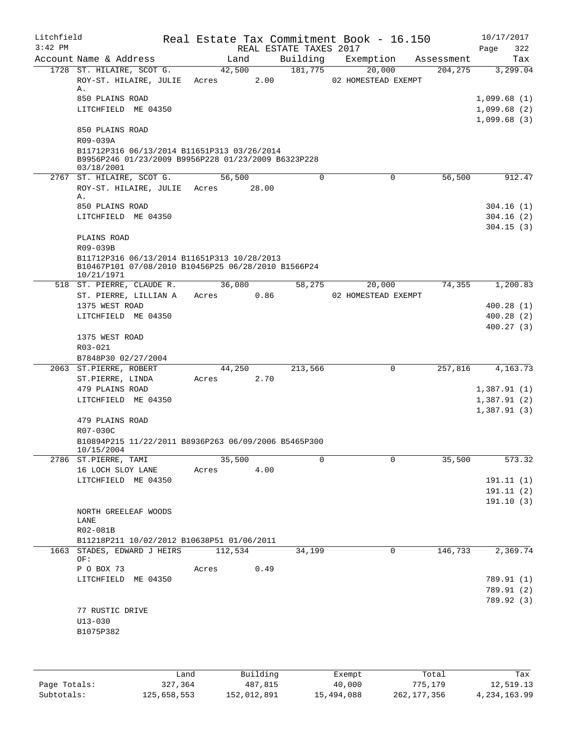| Litchfield<br>$3:42$ PM |                                                                    |       |                 |      | Real Estate Tax Commitment Book - 16.150<br>REAL ESTATE TAXES 2017 |                               |            | 10/17/2017<br>Page<br>322  |
|-------------------------|--------------------------------------------------------------------|-------|-----------------|------|--------------------------------------------------------------------|-------------------------------|------------|----------------------------|
|                         | Account Name & Address                                             |       | Land            |      | Building                                                           | Exemption                     | Assessment | Tax                        |
|                         | 1728 ST. HILAIRE, SCOT G.<br>ROY-ST. HILAIRE, JULIE                |       | 42,500<br>Acres | 2.00 | 181,775                                                            | 20,000<br>02 HOMESTEAD EXEMPT | 204,275    | 3,299.04                   |
|                         | Α.                                                                 |       |                 |      |                                                                    |                               |            |                            |
|                         | 850 PLAINS ROAD                                                    |       |                 |      |                                                                    |                               |            | 1,099.68(1)                |
|                         | LITCHFIELD ME 04350                                                |       |                 |      |                                                                    |                               |            | 1,099.68(2)                |
|                         | 850 PLAINS ROAD                                                    |       |                 |      |                                                                    |                               |            | 1,099.68(3)                |
|                         | R09-039A                                                           |       |                 |      |                                                                    |                               |            |                            |
|                         | B11712P316 06/13/2014 B11651P313 03/26/2014                        |       |                 |      |                                                                    |                               |            |                            |
|                         | B9956P246 01/23/2009 B9956P228 01/23/2009 B6323P228                |       |                 |      |                                                                    |                               |            |                            |
|                         | 03/18/2001                                                         |       |                 |      |                                                                    |                               |            |                            |
|                         | 2767 ST. HILAIRE, SCOT G.                                          |       | 56,500          |      | 0                                                                  | 0                             | 56,500     | 912.47                     |
|                         | ROY-ST. HILAIRE, JULIE Acres 28.00                                 |       |                 |      |                                                                    |                               |            |                            |
|                         | Α.                                                                 |       |                 |      |                                                                    |                               |            |                            |
|                         | 850 PLAINS ROAD<br>LITCHFIELD ME 04350                             |       |                 |      |                                                                    |                               |            | 304.16(1)<br>304.16(2)     |
|                         |                                                                    |       |                 |      |                                                                    |                               |            | 304.15(3)                  |
|                         | PLAINS ROAD                                                        |       |                 |      |                                                                    |                               |            |                            |
|                         | R09-039B                                                           |       |                 |      |                                                                    |                               |            |                            |
|                         | B11712P316 06/13/2014 B11651P313 10/28/2013                        |       |                 |      |                                                                    |                               |            |                            |
|                         | B10467P101 07/08/2010 B10456P25 06/28/2010 B1566P24<br>10/21/1971  |       |                 |      |                                                                    |                               |            |                            |
|                         | 518 ST. PIERRE, CLAUDE R.                                          |       | 36,080          |      | 58,275                                                             | 20,000                        | 74,355     | 1,200.83                   |
|                         | ST. PIERRE, LILLIAN A                                              | Acres |                 | 0.86 |                                                                    | 02 HOMESTEAD EXEMPT           |            |                            |
|                         | 1375 WEST ROAD                                                     |       |                 |      |                                                                    |                               |            | 400.28(1)                  |
|                         | LITCHFIELD ME 04350                                                |       |                 |      |                                                                    |                               |            | 400.28(2)                  |
|                         |                                                                    |       |                 |      |                                                                    |                               |            | 400.27(3)                  |
|                         | 1375 WEST ROAD                                                     |       |                 |      |                                                                    |                               |            |                            |
|                         | R03-021                                                            |       |                 |      |                                                                    |                               |            |                            |
|                         | B7848P30 02/27/2004                                                |       |                 |      |                                                                    |                               |            |                            |
|                         | 2063 ST.PIERRE, ROBERT                                             |       | 44,250          |      | 213,566                                                            | 0                             | 257,816    | 4,163.73                   |
|                         | ST.PIERRE, LINDA                                                   | Acres |                 | 2.70 |                                                                    |                               |            |                            |
|                         | 479 PLAINS ROAD<br>LITCHFIELD ME 04350                             |       |                 |      |                                                                    |                               |            | 1,387.91(1)<br>1,387.91(2) |
|                         |                                                                    |       |                 |      |                                                                    |                               |            | 1,387.91(3)                |
|                         | 479 PLAINS ROAD                                                    |       |                 |      |                                                                    |                               |            |                            |
|                         | R07-030C                                                           |       |                 |      |                                                                    |                               |            |                            |
|                         | B10894P215 11/22/2011 B8936P263 06/09/2006 B5465P300<br>10/15/2004 |       |                 |      |                                                                    |                               |            |                            |
|                         | 2786 ST.PIERRE, TAMI                                               |       | 35,500          |      | 0                                                                  | $\mathbf 0$                   | 35,500     | 573.32                     |
|                         | 16 LOCH SLOY LANE                                                  | Acres |                 | 4.00 |                                                                    |                               |            |                            |
|                         | LITCHFIELD ME 04350                                                |       |                 |      |                                                                    |                               |            | 191.11(1)                  |
|                         |                                                                    |       |                 |      |                                                                    |                               |            | 191.11 (2)                 |
|                         |                                                                    |       |                 |      |                                                                    |                               |            | 191.10(3)                  |
|                         | NORTH GREELEAF WOODS                                               |       |                 |      |                                                                    |                               |            |                            |
|                         | LANE<br>R02-081B                                                   |       |                 |      |                                                                    |                               |            |                            |
|                         | B11218P211 10/02/2012 B10638P51 01/06/2011                         |       |                 |      |                                                                    |                               |            |                            |
|                         | 1663 STADES, EDWARD J HEIRS                                        |       | 112,534         |      | 34,199                                                             | 0                             | 146,733    | 2,369.74                   |
|                         | OF:                                                                |       |                 |      |                                                                    |                               |            |                            |
|                         | P O BOX 73                                                         | Acres |                 | 0.49 |                                                                    |                               |            |                            |
|                         | LITCHFIELD ME 04350                                                |       |                 |      |                                                                    |                               |            | 789.91 (1)                 |
|                         |                                                                    |       |                 |      |                                                                    |                               |            | 789.91 (2)                 |
|                         |                                                                    |       |                 |      |                                                                    |                               |            | 789.92 (3)                 |
|                         | 77 RUSTIC DRIVE                                                    |       |                 |      |                                                                    |                               |            |                            |
|                         | $U13 - 030$                                                        |       |                 |      |                                                                    |                               |            |                            |
|                         | B1075P382                                                          |       |                 |      |                                                                    |                               |            |                            |
|                         |                                                                    |       |                 |      |                                                                    |                               |            |                            |
|                         |                                                                    |       |                 |      |                                                                    |                               |            |                            |
|                         |                                                                    |       |                 |      |                                                                    |                               |            |                            |

|              | Land        | Building    | Exempt     | Total       | Tax          |
|--------------|-------------|-------------|------------|-------------|--------------|
| Page Totals: | 327,364     | 487,815     | 40,000     | 775,179     | 12,519.13    |
| Subtotals:   | 125,658,553 | 152,012,891 | 15,494,088 | 262,177,356 | 4,234,163.99 |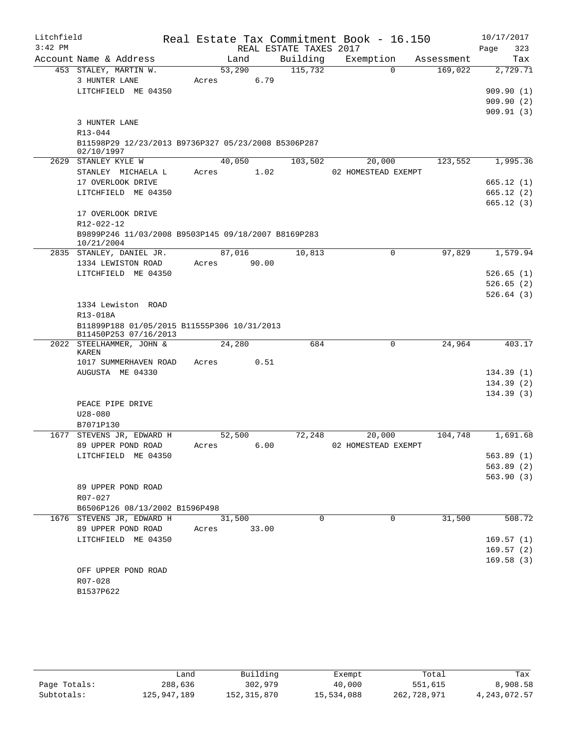| Litchfield |                                                     |        |                        | Real Estate Tax Commitment Book - 16.150 |            | 10/17/2017             |  |
|------------|-----------------------------------------------------|--------|------------------------|------------------------------------------|------------|------------------------|--|
| $3:42$ PM  |                                                     |        | REAL ESTATE TAXES 2017 |                                          |            | Page<br>323            |  |
|            | Account Name & Address                              | Land   | Building               | Exemption                                | Assessment | Tax                    |  |
|            | 453 STALEY, MARTIN W.                               | 53,290 | 115,732                | $\Omega$                                 | 169,022    | 2,729.71               |  |
|            | 3 HUNTER LANE                                       | Acres  | 6.79                   |                                          |            |                        |  |
|            | LITCHFIELD ME 04350                                 |        |                        |                                          |            | 909.90(1)              |  |
|            |                                                     |        |                        |                                          |            | 909.90(2)              |  |
|            |                                                     |        |                        |                                          |            | 909.91(3)              |  |
|            | 3 HUNTER LANE                                       |        |                        |                                          |            |                        |  |
|            | R13-044                                             |        |                        |                                          |            |                        |  |
|            | B11598P29 12/23/2013 B9736P327 05/23/2008 B5306P287 |        |                        |                                          |            |                        |  |
|            | 02/10/1997                                          |        |                        |                                          |            |                        |  |
|            | 2629 STANLEY KYLE W                                 | 40,050 | 103,502                | 20,000                                   | 123,552    | 1,995.36               |  |
|            | STANLEY MICHAELA L<br>17 OVERLOOK DRIVE             | Acres  | 1.02                   | 02 HOMESTEAD EXEMPT                      |            |                        |  |
|            | LITCHFIELD ME 04350                                 |        |                        |                                          |            | 665.12(1)              |  |
|            |                                                     |        |                        |                                          |            | 665.12(2)<br>665.12(3) |  |
|            | 17 OVERLOOK DRIVE                                   |        |                        |                                          |            |                        |  |
|            | R12-022-12                                          |        |                        |                                          |            |                        |  |
|            | B9899P246 11/03/2008 B9503P145 09/18/2007 B8169P283 |        |                        |                                          |            |                        |  |
|            | 10/21/2004                                          |        |                        |                                          |            |                        |  |
|            | 2835 STANLEY, DANIEL JR.                            | 87,016 | 10,813                 | $\mathbf 0$                              | 97,829     | 1,579.94               |  |
|            | 1334 LEWISTON ROAD                                  | Acres  | 90.00                  |                                          |            |                        |  |
|            | LITCHFIELD ME 04350                                 |        |                        |                                          |            | 526.65(1)              |  |
|            |                                                     |        |                        |                                          |            | 526.65(2)              |  |
|            |                                                     |        |                        |                                          |            | 526.64(3)              |  |
|            | 1334 Lewiston ROAD                                  |        |                        |                                          |            |                        |  |
|            | R13-018A                                            |        |                        |                                          |            |                        |  |
|            | B11899P188 01/05/2015 B11555P306 10/31/2013         |        |                        |                                          |            |                        |  |
|            | B11450P253 07/16/2013<br>2022 STEELHAMMER, JOHN &   | 24,280 | 684                    | 0                                        | 24,964     | 403.17                 |  |
|            | KAREN                                               |        |                        |                                          |            |                        |  |
|            | 1017 SUMMERHAVEN ROAD                               | Acres  | 0.51                   |                                          |            |                        |  |
|            | AUGUSTA ME 04330                                    |        |                        |                                          |            | 134.39(1)              |  |
|            |                                                     |        |                        |                                          |            | 134.39(2)              |  |
|            |                                                     |        |                        |                                          |            | 134.39(3)              |  |
|            | PEACE PIPE DRIVE                                    |        |                        |                                          |            |                        |  |
|            | $U28 - 080$                                         |        |                        |                                          |            |                        |  |
|            | B7071P130                                           |        |                        |                                          |            |                        |  |
| 1677       | STEVENS JR, EDWARD H                                | 52,500 | 72,248                 | 20,000                                   | 104,748    | 1,691.68               |  |
|            | 89 UPPER POND ROAD                                  | Acres  | 6.00                   | 02 HOMESTEAD EXEMPT                      |            |                        |  |
|            | LITCHFIELD ME 04350                                 |        |                        |                                          |            | 563.89(1)              |  |
|            |                                                     |        |                        |                                          |            | 563.89(2)              |  |
|            |                                                     |        |                        |                                          |            | 563.90(3)              |  |
|            | 89 UPPER POND ROAD                                  |        |                        |                                          |            |                        |  |
|            | R07-027                                             |        |                        |                                          |            |                        |  |
|            | B6506P126 08/13/2002 B1596P498                      |        |                        |                                          |            |                        |  |
|            | 1676 STEVENS JR, EDWARD H                           | 31,500 | 0                      | 0                                        | 31,500     | 508.72                 |  |
|            | 89 UPPER POND ROAD                                  | Acres  | 33.00                  |                                          |            |                        |  |
|            | LITCHFIELD ME 04350                                 |        |                        |                                          |            | 169.57(1)              |  |
|            |                                                     |        |                        |                                          |            | 169.57(2)              |  |
|            |                                                     |        |                        |                                          |            | 169.58(3)              |  |
|            | OFF UPPER POND ROAD                                 |        |                        |                                          |            |                        |  |
|            | R07-028                                             |        |                        |                                          |            |                        |  |
|            | B1537P622                                           |        |                        |                                          |            |                        |  |

|              | Land        | Building    | Exempt     | Total       | Tax            |
|--------------|-------------|-------------|------------|-------------|----------------|
| Page Totals: | 288,636     | 302,979     | 40,000     | 551,615     | 8,908.58       |
| Subtotals:   | 125,947,189 | 152,315,870 | 15,534,088 | 262,728,971 | 4, 243, 072.57 |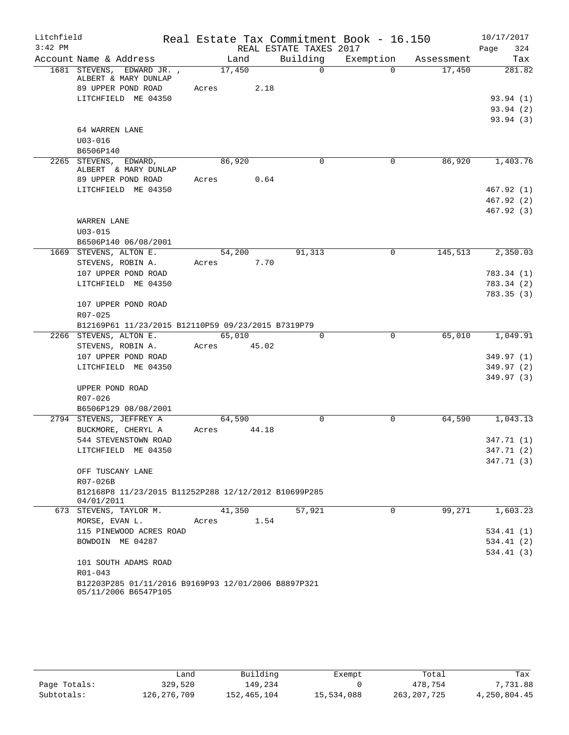| Litchfield |                                                                             |       |             |                        | Real Estate Tax Commitment Book - 16.150 |            | 10/17/2017  |
|------------|-----------------------------------------------------------------------------|-------|-------------|------------------------|------------------------------------------|------------|-------------|
| $3:42$ PM  |                                                                             |       |             | REAL ESTATE TAXES 2017 |                                          |            | 324<br>Page |
|            | Account Name & Address                                                      |       | Land        | Building               | Exemption                                | Assessment | Tax         |
|            | 1681 STEVENS, EDWARD JR.,<br>ALBERT & MARY DUNLAP                           |       | 17,450      | $\Omega$               | $\Omega$                                 | 17,450     | 281.82      |
|            | 89 UPPER POND ROAD                                                          | Acres | 2.18        |                        |                                          |            |             |
|            | LITCHFIELD ME 04350                                                         |       |             |                        |                                          |            | 93.94(1)    |
|            |                                                                             |       |             |                        |                                          |            | 93.94(2)    |
|            |                                                                             |       |             |                        |                                          |            | 93.94(3)    |
|            | 64 WARREN LANE                                                              |       |             |                        |                                          |            |             |
|            | $U03 - 016$                                                                 |       |             |                        |                                          |            |             |
|            | B6506P140                                                                   |       |             |                        |                                          |            |             |
|            | 2265 STEVENS, EDWARD,<br>ALBERT & MARY DUNLAP                               |       | 86,920      | $\Omega$               | 0                                        | 86,920     | 1,403.76    |
|            | 89 UPPER POND ROAD                                                          | Acres | 0.64        |                        |                                          |            |             |
|            | LITCHFIELD ME 04350                                                         |       |             |                        |                                          |            | 467.92 (1)  |
|            |                                                                             |       |             |                        |                                          |            | 467.92(2)   |
|            |                                                                             |       |             |                        |                                          |            | 467.92(3)   |
|            | WARREN LANE                                                                 |       |             |                        |                                          |            |             |
|            | $U03 - 015$                                                                 |       |             |                        |                                          |            |             |
|            | B6506P140 06/08/2001                                                        |       |             |                        |                                          |            |             |
|            | 1669 STEVENS, ALTON E.                                                      |       | 54,200      | 91,313                 | $\mathbf 0$                              | 145,513    | 2,350.03    |
|            | STEVENS, ROBIN A.                                                           | Acres | 7.70        |                        |                                          |            |             |
|            | 107 UPPER POND ROAD                                                         |       |             |                        |                                          |            | 783.34 (1)  |
|            | LITCHFIELD ME 04350                                                         |       |             |                        |                                          |            | 783.34 (2)  |
|            |                                                                             |       |             |                        |                                          |            | 783.35(3)   |
|            | 107 UPPER POND ROAD<br>R07-025                                              |       |             |                        |                                          |            |             |
|            | B12169P61 11/23/2015 B12110P59 09/23/2015 B7319P79                          |       |             |                        |                                          |            |             |
|            | 2266 STEVENS, ALTON E.                                                      |       | 65,010      | $\Omega$               | $\mathbf 0$                              | 65,010     | 1,049.91    |
|            | STEVENS, ROBIN A.                                                           |       | Acres 45.02 |                        |                                          |            |             |
|            | 107 UPPER POND ROAD                                                         |       |             |                        |                                          |            | 349.97 (1)  |
|            | LITCHFIELD ME 04350                                                         |       |             |                        |                                          |            | 349.97 (2)  |
|            |                                                                             |       |             |                        |                                          |            | 349.97(3)   |
|            | UPPER POND ROAD                                                             |       |             |                        |                                          |            |             |
|            | R07-026                                                                     |       |             |                        |                                          |            |             |
|            | B6506P129 08/08/2001                                                        |       |             |                        |                                          |            |             |
|            | 2794 STEVENS, JEFFREY A                                                     |       | 64,590      | 0                      | $\mathbf 0$                              | 64,590     | 1,043.13    |
|            | BUCKMORE, CHERYL A                                                          | Acres | 44.18       |                        |                                          |            |             |
|            | 544 STEVENSTOWN ROAD                                                        |       |             |                        |                                          |            | 347.71 (1)  |
|            | LITCHFIELD ME 04350                                                         |       |             |                        |                                          |            | 347.71 (2)  |
|            |                                                                             |       |             |                        |                                          |            | 347.71(3)   |
|            | OFF TUSCANY LANE                                                            |       |             |                        |                                          |            |             |
|            | R07-026B                                                                    |       |             |                        |                                          |            |             |
|            | B12168P8 11/23/2015 B11252P288 12/12/2012 B10699P285<br>04/01/2011          |       |             |                        |                                          |            |             |
|            | 673 STEVENS, TAYLOR M.                                                      |       | 41,350      | 57,921                 | $\Omega$                                 | 99,271     | 1,603.23    |
|            | MORSE, EVAN L.                                                              | Acres | 1.54        |                        |                                          |            |             |
|            | 115 PINEWOOD ACRES ROAD                                                     |       |             |                        |                                          |            | 534.41(1)   |
|            | BOWDOIN ME 04287                                                            |       |             |                        |                                          |            | 534.41 (2)  |
|            |                                                                             |       |             |                        |                                          |            | 534.41(3)   |
|            | 101 SOUTH ADAMS ROAD                                                        |       |             |                        |                                          |            |             |
|            | R01-043                                                                     |       |             |                        |                                          |            |             |
|            | B12203P285 01/11/2016 B9169P93 12/01/2006 B8897P321<br>05/11/2006 B6547P105 |       |             |                        |                                          |            |             |
|            |                                                                             |       |             |                        |                                          |            |             |

|              | úand        | Building    | Exempt     | Total         | Tax          |
|--------------|-------------|-------------|------------|---------------|--------------|
| Page Totals: | 329,520     | 149,234     |            | 478,754       | 7,731.88     |
| Subtotals:   | 126,276,709 | 152,465,104 | 15,534,088 | 263, 207, 725 | 4,250,804.45 |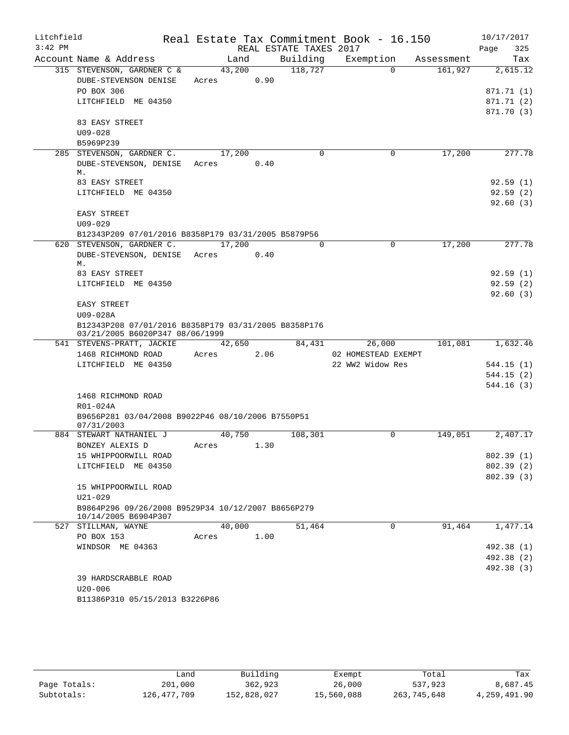| Litchfield<br>$3:42$ PM |                                                                 |            |      | REAL ESTATE TAXES 2017 | Real Estate Tax Commitment Book - 16.150 |             |            | 10/17/2017<br>Page<br>325 |
|-------------------------|-----------------------------------------------------------------|------------|------|------------------------|------------------------------------------|-------------|------------|---------------------------|
|                         | Account Name & Address                                          | Land       |      | Building               | Exemption                                |             | Assessment | Tax                       |
|                         | 315 STEVENSON, GARDNER C &                                      | 43,200     |      | 118,727                |                                          | $\Omega$    | 161,927    | 2,615.12                  |
|                         | DUBE-STEVENSON DENISE<br>PO BOX 306                             | Acres      | 0.90 |                        |                                          |             |            |                           |
|                         |                                                                 |            |      |                        |                                          |             |            | 871.71 (1)                |
|                         | LITCHFIELD ME 04350                                             |            |      |                        |                                          |             |            | 871.71 (2)<br>871.70 (3)  |
|                         | 83 EASY STREET                                                  |            |      |                        |                                          |             |            |                           |
|                         | $U09 - 028$                                                     |            |      |                        |                                          |             |            |                           |
|                         | B5969P239                                                       |            |      |                        |                                          |             |            |                           |
|                         | 285 STEVENSON, GARDNER C.                                       | 17,200     |      | $\mathbf 0$            |                                          | 0           | 17,200     | 277.78                    |
|                         | DUBE-STEVENSON, DENISE Acres                                    |            | 0.40 |                        |                                          |             |            |                           |
|                         | М.                                                              |            |      |                        |                                          |             |            |                           |
|                         | 83 EASY STREET                                                  |            |      |                        |                                          |             |            | 92.59(1)                  |
|                         | LITCHFIELD ME 04350                                             |            |      |                        |                                          |             |            | 92.59(2)                  |
|                         |                                                                 |            |      |                        |                                          |             |            | 92.60(3)                  |
|                         | EASY STREET                                                     |            |      |                        |                                          |             |            |                           |
|                         | $U09 - 029$                                                     |            |      |                        |                                          |             |            |                           |
|                         | B12343P209 07/01/2016 B8358P179 03/31/2005 B5879P56             |            |      |                        |                                          |             |            |                           |
|                         | 620 STEVENSON, GARDNER C.                                       | 17,200     |      | $\Omega$               |                                          | $\mathbf 0$ | 17,200     | 277.78                    |
|                         | DUBE-STEVENSON, DENISE Acres 0.40                               |            |      |                        |                                          |             |            |                           |
|                         | М.<br>83 EASY STREET                                            |            |      |                        |                                          |             |            | 92.59(1)                  |
|                         | LITCHFIELD ME 04350                                             |            |      |                        |                                          |             |            | 92.59(2)                  |
|                         |                                                                 |            |      |                        |                                          |             |            | 92.60(3)                  |
|                         | <b>EASY STREET</b>                                              |            |      |                        |                                          |             |            |                           |
|                         | U09-028A                                                        |            |      |                        |                                          |             |            |                           |
|                         | B12343P208 07/01/2016 B8358P179 03/31/2005 B8358P176            |            |      |                        |                                          |             |            |                           |
|                         | 03/21/2005 B6020P347 08/06/1999                                 |            |      |                        |                                          |             |            |                           |
|                         | 541 STEVENS-PRATT, JACKIE                                       | 42,650     |      | 84,431                 | 26,000                                   |             | 101,081    | 1,632.46                  |
|                         | 1468 RICHMOND ROAD                                              | Acres      | 2.06 |                        | 02 HOMESTEAD EXEMPT                      |             |            |                           |
|                         | LITCHFIELD ME 04350                                             |            |      |                        | 22 WW2 Widow Res                         |             |            | 544.15(1)                 |
|                         |                                                                 |            |      |                        |                                          |             |            | 544.15(2)                 |
|                         |                                                                 |            |      |                        |                                          |             |            | 544.16 (3)                |
|                         | 1468 RICHMOND ROAD                                              |            |      |                        |                                          |             |            |                           |
|                         | R01-024A                                                        |            |      |                        |                                          |             |            |                           |
|                         | B9656P281 03/04/2008 B9022P46 08/10/2006 B7550P51<br>07/31/2003 |            |      |                        |                                          |             |            |                           |
|                         | 884 STEWART NATHANIEL J                                         | 40,750     |      | 108,301                |                                          | 0           | 149,051    | 2,407.17                  |
|                         | BONZEY ALEXIS D                                                 | Acres 1.30 |      |                        |                                          |             |            |                           |
|                         | 15 WHIPPOORWILL ROAD                                            |            |      |                        |                                          |             |            | 802.39(1)                 |
|                         | LITCHFIELD ME 04350                                             |            |      |                        |                                          |             |            | 802.39(2)                 |
|                         |                                                                 |            |      |                        |                                          |             |            | 802.39(3)                 |
|                         | 15 WHIPPOORWILL ROAD                                            |            |      |                        |                                          |             |            |                           |
|                         | U21-029                                                         |            |      |                        |                                          |             |            |                           |
|                         | B9864P296 09/26/2008 B9529P34 10/12/2007 B8656P279              |            |      |                        |                                          |             |            |                           |
|                         | 10/14/2005 B6904P307                                            |            |      |                        |                                          |             |            |                           |
|                         | 527 STILLMAN, WAYNE                                             | 40,000     |      | 51,464                 |                                          | 0           | 91,464     | 1,477.14                  |
|                         | PO BOX 153                                                      | Acres      | 1.00 |                        |                                          |             |            |                           |
|                         | WINDSOR ME 04363                                                |            |      |                        |                                          |             |            | 492.38 (1)                |
|                         |                                                                 |            |      |                        |                                          |             |            | 492.38 (2)                |
|                         |                                                                 |            |      |                        |                                          |             |            | 492.38 (3)                |
|                         | 39 HARDSCRABBLE ROAD                                            |            |      |                        |                                          |             |            |                           |
|                         | $U20 - 006$                                                     |            |      |                        |                                          |             |            |                           |
|                         | B11386P310 05/15/2013 B3226P86                                  |            |      |                        |                                          |             |            |                           |
|                         |                                                                 |            |      |                        |                                          |             |            |                           |

|              | Land        | Building    | Exempt     | Total       | Tax          |
|--------------|-------------|-------------|------------|-------------|--------------|
| Page Totals: | 201,000     | 362,923     | 26,000     | 537,923     | 8,687.45     |
| Subtotals:   | 126,477,709 | 152,828,027 | 15,560,088 | 263,745,648 | 4,259,491.90 |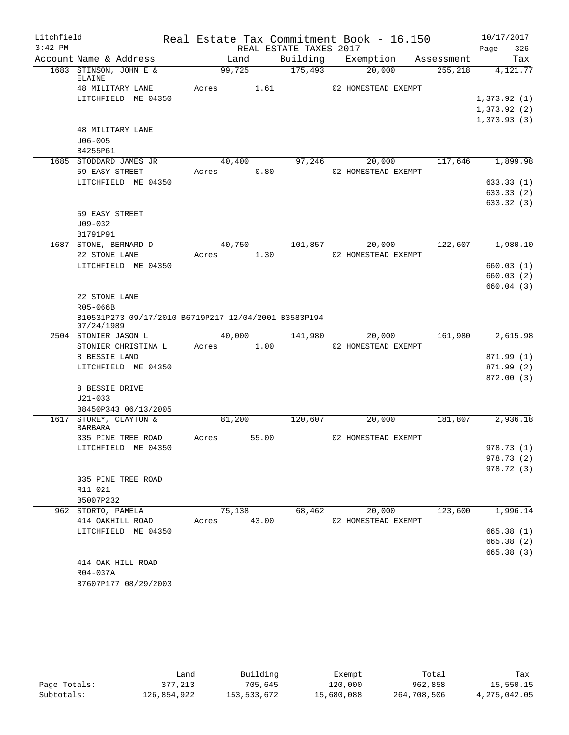| Litchfield |                                                                    |                 |       |                        | Real Estate Tax Commitment Book - 16.150 |         | 10/17/2017               |
|------------|--------------------------------------------------------------------|-----------------|-------|------------------------|------------------------------------------|---------|--------------------------|
| $3:42$ PM  |                                                                    |                 |       | REAL ESTATE TAXES 2017 |                                          |         | Page<br>326              |
|            | Account Name & Address                                             | Land            |       |                        | Building Exemption Assessment            |         | Tax                      |
|            | 1683 STINSON, JOHN E &<br>ELAINE                                   | 99,725          |       | 175,493                | 20,000                                   | 255,218 | 4,121.77                 |
|            | 48 MILITARY LANE                                                   | Acres 1.61      |       |                        | 02 HOMESTEAD EXEMPT                      |         |                          |
|            | LITCHFIELD ME 04350                                                |                 |       |                        |                                          |         | 1,373.92(1)              |
|            |                                                                    |                 |       |                        |                                          |         | 1,373.92(2)              |
|            |                                                                    |                 |       |                        |                                          |         | 1,373.93(3)              |
|            | <b>48 MILITARY LANE</b>                                            |                 |       |                        |                                          |         |                          |
|            | $U06 - 005$                                                        |                 |       |                        |                                          |         |                          |
|            | B4255P61<br>1685 STODDARD JAMES JR                                 |                 |       |                        |                                          | 117,646 | 1,899.98                 |
|            | 59 EASY STREET                                                     | 40,400<br>Acres | 0.80  |                        | 97,246<br>20,000<br>02 HOMESTEAD EXEMPT  |         |                          |
|            | LITCHFIELD ME 04350                                                |                 |       |                        |                                          |         | 633.33(1)                |
|            |                                                                    |                 |       |                        |                                          |         | 633.33(2)                |
|            |                                                                    |                 |       |                        |                                          |         | 633.32(3)                |
|            | 59 EASY STREET                                                     |                 |       |                        |                                          |         |                          |
|            | $U09 - 032$                                                        |                 |       |                        |                                          |         |                          |
|            | B1791P91                                                           |                 |       |                        |                                          |         |                          |
|            | 1687 STONE, BERNARD D                                              | 40,750          |       | 101,857                | 20,000                                   | 122,607 | 1,980.10                 |
|            | 22 STONE LANE                                                      | Acres           | 1.30  |                        | 02 HOMESTEAD EXEMPT                      |         |                          |
|            | LITCHFIELD ME 04350                                                |                 |       |                        |                                          |         | 660.03(1)                |
|            |                                                                    |                 |       |                        |                                          |         | 660.03(2)                |
|            |                                                                    |                 |       |                        |                                          |         | 660.04(3)                |
|            | 22 STONE LANE                                                      |                 |       |                        |                                          |         |                          |
|            | R05-066B                                                           |                 |       |                        |                                          |         |                          |
|            | B10531P273 09/17/2010 B6719P217 12/04/2001 B3583P194<br>07/24/1989 |                 |       |                        |                                          |         |                          |
|            | 2504 STONIER JASON L                                               | 40,000          |       | 141,980                | 20,000                                   | 161,980 | 2,615.98                 |
|            | STONIER CHRISTINA L<br>8 BESSIE LAND                               | Acres           | 1.00  |                        | 02 HOMESTEAD EXEMPT                      |         |                          |
|            | LITCHFIELD ME 04350                                                |                 |       |                        |                                          |         | 871.99 (1)<br>871.99 (2) |
|            |                                                                    |                 |       |                        |                                          |         | 872.00(3)                |
|            | 8 BESSIE DRIVE                                                     |                 |       |                        |                                          |         |                          |
|            | $U21 - 033$                                                        |                 |       |                        |                                          |         |                          |
|            | B8450P343 06/13/2005                                               |                 |       |                        |                                          |         |                          |
|            | 1617 STOREY, CLAYTON &                                             | 81,200          |       | 120,607                | 20,000                                   | 181,807 | 2,936.18                 |
|            | <b>BARBARA</b>                                                     |                 |       |                        |                                          |         |                          |
|            | 335 PINE TREE ROAD                                                 | Acres           | 55.00 |                        | 02 HOMESTEAD EXEMPT                      |         |                          |
|            | LITCHFIELD ME 04350                                                |                 |       |                        |                                          |         | 978.73 (1)               |
|            |                                                                    |                 |       |                        |                                          |         | 978.73 (2)               |
|            |                                                                    |                 |       |                        |                                          |         | 978.72 (3)               |
|            | 335 PINE TREE ROAD<br>R11-021                                      |                 |       |                        |                                          |         |                          |
|            | B5007P232                                                          |                 |       |                        |                                          |         |                          |
|            | 962 STORTO, PAMELA                                                 | 75,138          |       | 68,462                 | 20,000                                   | 123,600 | 1,996.14                 |
|            | 414 OAKHILL ROAD                                                   | Acres 43.00     |       |                        | 02 HOMESTEAD EXEMPT                      |         |                          |
|            | LITCHFIELD ME 04350                                                |                 |       |                        |                                          |         | 665.38(1)                |
|            |                                                                    |                 |       |                        |                                          |         | 665.38 (2)               |
|            |                                                                    |                 |       |                        |                                          |         | 665.38(3)                |
|            | 414 OAK HILL ROAD                                                  |                 |       |                        |                                          |         |                          |
|            | R04-037A                                                           |                 |       |                        |                                          |         |                          |
|            | B7607P177 08/29/2003                                               |                 |       |                        |                                          |         |                          |

|              | Land        | Building    | Exempt     | Total       | Tax          |
|--------------|-------------|-------------|------------|-------------|--------------|
| Page Totals: | 377,213     | 705,645     | 120,000    | 962,858     | 15,550.15    |
| Subtotals:   | 126,854,922 | 153,533,672 | 15,680,088 | 264,708,506 | 4,275,042.05 |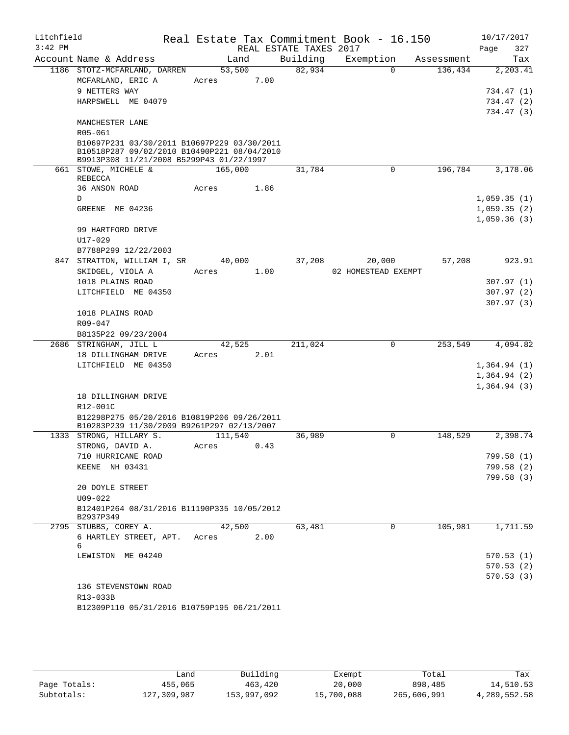| Litchfield<br>$3:42$ PM |                                                                                                                                        |         |        | REAL ESTATE TAXES 2017 | Real Estate Tax Commitment Book - 16.150 |            | 10/17/2017<br>Page<br>327 |
|-------------------------|----------------------------------------------------------------------------------------------------------------------------------------|---------|--------|------------------------|------------------------------------------|------------|---------------------------|
|                         | Account Name & Address                                                                                                                 |         | Land   | Building               | Exemption                                | Assessment | Tax                       |
|                         | 1186 STOTZ-MCFARLAND, DARREN                                                                                                           | 53,500  |        | 82,934                 | $\Omega$                                 | 136,434    | 2, 203.41                 |
|                         | MCFARLAND, ERIC A                                                                                                                      | Acres   | 7.00   |                        |                                          |            |                           |
|                         | 9 NETTERS WAY                                                                                                                          |         |        |                        |                                          |            | 734.47 (1)                |
|                         | HARPSWELL ME 04079                                                                                                                     |         |        |                        |                                          |            | 734.47 (2)                |
|                         | MANCHESTER LANE                                                                                                                        |         |        |                        |                                          |            | 734.47 (3)                |
|                         | R05-061                                                                                                                                |         |        |                        |                                          |            |                           |
|                         | B10697P231 03/30/2011 B10697P229 03/30/2011<br>B10518P287 09/02/2010 B10490P221 08/04/2010<br>B9913P308 11/21/2008 B5299P43 01/22/1997 |         |        |                        |                                          |            |                           |
|                         | 661 STOWE, MICHELE &<br>REBECCA                                                                                                        | 165,000 |        | 31,784                 | $\Omega$                                 | 196,784    | 3,178.06                  |
|                         | 36 ANSON ROAD                                                                                                                          | Acres   | 1.86   |                        |                                          |            |                           |
|                         | D                                                                                                                                      |         |        |                        |                                          |            | 1,059.35(1)               |
|                         | GREENE ME 04236                                                                                                                        |         |        |                        |                                          |            | 1,059.35(2)               |
|                         |                                                                                                                                        |         |        |                        |                                          |            | 1,059.36(3)               |
|                         | 99 HARTFORD DRIVE                                                                                                                      |         |        |                        |                                          |            |                           |
|                         | $U17 - 029$                                                                                                                            |         |        |                        |                                          |            |                           |
|                         | B7788P299 12/22/2003                                                                                                                   |         |        |                        |                                          |            |                           |
|                         | 847 STRATTON, WILLIAM I, SR                                                                                                            |         | 40,000 | 37,208                 | 20,000                                   | 57,208     | 923.91                    |
|                         | SKIDGEL, VIOLA A                                                                                                                       | Acres   | 1.00   |                        | 02 HOMESTEAD EXEMPT                      |            |                           |
|                         | 1018 PLAINS ROAD                                                                                                                       |         |        |                        |                                          |            | 307.97(1)                 |
|                         | LITCHFIELD ME 04350                                                                                                                    |         |        |                        |                                          |            | 307.97(2)                 |
|                         | 1018 PLAINS ROAD                                                                                                                       |         |        |                        |                                          |            | 307.97(3)                 |
|                         | R09-047                                                                                                                                |         |        |                        |                                          |            |                           |
|                         | B8135P22 09/23/2004                                                                                                                    |         |        |                        |                                          |            |                           |
|                         | 2686 STRINGHAM, JILL L                                                                                                                 | 42,525  |        | 211,024                | 0                                        | 253,549    | 4,094.82                  |
|                         | 18 DILLINGHAM DRIVE                                                                                                                    | Acres   | 2.01   |                        |                                          |            |                           |
|                         | LITCHFIELD ME 04350                                                                                                                    |         |        |                        |                                          |            | 1,364.94(1)               |
|                         |                                                                                                                                        |         |        |                        |                                          |            | 1,364.94(2)               |
|                         |                                                                                                                                        |         |        |                        |                                          |            | 1,364.94(3)               |
|                         | 18 DILLINGHAM DRIVE<br>R12-001C                                                                                                        |         |        |                        |                                          |            |                           |
|                         | B12298P275 05/20/2016 B10819P206 09/26/2011                                                                                            |         |        |                        |                                          |            |                           |
|                         | B10283P239 11/30/2009 B9261P297 02/13/2007                                                                                             |         |        |                        |                                          |            |                           |
|                         | 1333 STRONG, HILLARY S.                                                                                                                | 111,540 |        | 36,989                 | 0                                        | 148,529    | 2,398.74                  |
|                         | STRONG, DAVID A.                                                                                                                       | Acres   | 0.43   |                        |                                          |            |                           |
|                         | 710 HURRICANE ROAD                                                                                                                     |         |        |                        |                                          |            | 799.58(1)                 |
|                         | KEENE NH 03431                                                                                                                         |         |        |                        |                                          |            | 799.58 (2)                |
|                         |                                                                                                                                        |         |        |                        |                                          |            | 799.58(3)                 |
|                         | 20 DOYLE STREET                                                                                                                        |         |        |                        |                                          |            |                           |
|                         | $U09 - 022$<br>B12401P264 08/31/2016 B11190P335 10/05/2012                                                                             |         |        |                        |                                          |            |                           |
|                         | B2937P349                                                                                                                              |         |        |                        |                                          |            |                           |
|                         | 2795 STUBBS, COREY A.                                                                                                                  | 42,500  |        | 63,481                 | 0                                        | 105,981    | 1,711.59                  |
|                         | 6 HARTLEY STREET, APT.<br>6                                                                                                            | Acres   | 2.00   |                        |                                          |            |                           |
|                         | LEWISTON ME 04240                                                                                                                      |         |        |                        |                                          |            | 570.53(1)                 |
|                         |                                                                                                                                        |         |        |                        |                                          |            | 570.53(2)                 |
|                         |                                                                                                                                        |         |        |                        |                                          |            | 570.53(3)                 |
|                         | 136 STEVENSTOWN ROAD                                                                                                                   |         |        |                        |                                          |            |                           |
|                         | R13-033B                                                                                                                               |         |        |                        |                                          |            |                           |
|                         | B12309P110 05/31/2016 B10759P195 06/21/2011                                                                                            |         |        |                        |                                          |            |                           |
|                         |                                                                                                                                        |         |        |                        |                                          |            |                           |

|              | Land        | Building    | Exempt     | Total       | Tax          |
|--------------|-------------|-------------|------------|-------------|--------------|
| Page Totals: | 455,065     | 463,420     | 20,000     | 898,485     | 14,510.53    |
| Subtotals:   | 127,309,987 | 153,997,092 | 15,700,088 | 265,606,991 | 4,289,552.58 |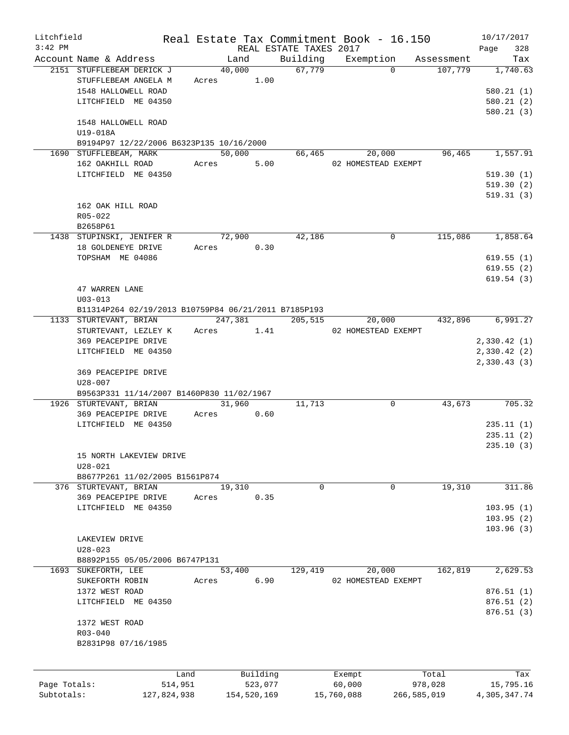| Litchfield   |                                                      |       |             |                        | Real Estate Tax Commitment Book - 16.150 |             | 10/17/2017   |          |
|--------------|------------------------------------------------------|-------|-------------|------------------------|------------------------------------------|-------------|--------------|----------|
| $3:42$ PM    |                                                      |       |             | REAL ESTATE TAXES 2017 |                                          |             | Page         | 328      |
|              | Account Name & Address                               |       | Land        | Building               | Exemption                                | Assessment  |              | Tax      |
|              | 2151 STUFFLEBEAM DERICK J                            |       | 40,000      | 67,779                 | $\Omega$                                 | 107,779     |              | 1,740.63 |
|              | STUFFLEBEAM ANGELA M                                 | Acres | 1.00        |                        |                                          |             |              |          |
|              | 1548 HALLOWELL ROAD                                  |       |             |                        |                                          |             | 580.21(1)    |          |
|              | LITCHFIELD ME 04350                                  |       |             |                        |                                          |             | 580.21(2)    |          |
|              |                                                      |       |             |                        |                                          |             | 580.21(3)    |          |
|              | 1548 HALLOWELL ROAD                                  |       |             |                        |                                          |             |              |          |
|              | U19-018A                                             |       |             |                        |                                          |             |              |          |
|              | B9194P97 12/22/2006 B6323P135 10/16/2000             |       |             |                        |                                          |             |              |          |
|              |                                                      |       | 50,000      | 66,465                 | 20,000                                   |             |              |          |
|              | 1690 STUFFLEBEAM, MARK                               |       |             |                        |                                          | 96,465      |              | 1,557.91 |
|              | 162 OAKHILL ROAD                                     | Acres | 5.00        |                        | 02 HOMESTEAD EXEMPT                      |             |              |          |
|              | LITCHFIELD ME 04350                                  |       |             |                        |                                          |             | 519.30(1)    |          |
|              |                                                      |       |             |                        |                                          |             | 519.30(2)    |          |
|              |                                                      |       |             |                        |                                          |             | 519.31(3)    |          |
|              | 162 OAK HILL ROAD                                    |       |             |                        |                                          |             |              |          |
|              | R05-022                                              |       |             |                        |                                          |             |              |          |
|              | B2658P61                                             |       |             |                        |                                          |             |              |          |
|              | 1438 STUPINSKI, JENIFER R                            |       | 72,900      | 42,186                 | 0                                        | 115,086     |              | 1,858.64 |
|              | 18 GOLDENEYE DRIVE                                   | Acres | 0.30        |                        |                                          |             |              |          |
|              | TOPSHAM ME 04086                                     |       |             |                        |                                          |             | 619.55(1)    |          |
|              |                                                      |       |             |                        |                                          |             | 619.55(2)    |          |
|              |                                                      |       |             |                        |                                          |             | 619.54(3)    |          |
|              | 47 WARREN LANE                                       |       |             |                        |                                          |             |              |          |
|              |                                                      |       |             |                        |                                          |             |              |          |
|              | $U03 - 013$                                          |       |             |                        |                                          |             |              |          |
|              | B11314P264 02/19/2013 B10759P84 06/21/2011 B7185P193 |       |             |                        |                                          |             |              |          |
|              | 1133 STURTEVANT, BRIAN                               |       | 247,381     | 205,515                | 20,000                                   | 432,896     |              | 6,991.27 |
|              | STURTEVANT, LEZLEY K                                 |       | Acres 1.41  |                        | 02 HOMESTEAD EXEMPT                      |             |              |          |
|              | 369 PEACEPIPE DRIVE                                  |       |             |                        |                                          |             | 2,330.42(1)  |          |
|              | LITCHFIELD ME 04350                                  |       |             |                        |                                          |             | 2,330.42(2)  |          |
|              |                                                      |       |             |                        |                                          |             | 2,330.43(3)  |          |
|              | 369 PEACEPIPE DRIVE                                  |       |             |                        |                                          |             |              |          |
|              | $U28 - 007$                                          |       |             |                        |                                          |             |              |          |
|              | B9563P331 11/14/2007 B1460P830 11/02/1967            |       |             |                        |                                          |             |              |          |
|              | 1926 STURTEVANT, BRIAN                               |       | 31,960      | 11,713                 | 0                                        | 43,673      |              | 705.32   |
|              | 369 PEACEPIPE DRIVE                                  | Acres | 0.60        |                        |                                          |             |              |          |
|              | LITCHFIELD ME 04350                                  |       |             |                        |                                          |             | 235.11(1)    |          |
|              |                                                      |       |             |                        |                                          |             | 235.11(2)    |          |
|              |                                                      |       |             |                        |                                          |             | 235.10(3)    |          |
|              | 15 NORTH LAKEVIEW DRIVE                              |       |             |                        |                                          |             |              |          |
|              | $U28 - 021$                                          |       |             |                        |                                          |             |              |          |
|              | B8677P261 11/02/2005 B1561P874                       |       |             |                        |                                          |             |              |          |
|              | 376 STURTEVANT, BRIAN                                |       | 19,310      | 0                      | $\mathbf 0$                              | 19,310      |              | 311.86   |
|              |                                                      |       | 0.35        |                        |                                          |             |              |          |
|              | 369 PEACEPIPE DRIVE                                  | Acres |             |                        |                                          |             |              |          |
|              | LITCHFIELD ME 04350                                  |       |             |                        |                                          |             | 103.95(1)    |          |
|              |                                                      |       |             |                        |                                          |             | 103.95(2)    |          |
|              |                                                      |       |             |                        |                                          |             | 103.96(3)    |          |
|              | LAKEVIEW DRIVE                                       |       |             |                        |                                          |             |              |          |
|              | $U28 - 023$                                          |       |             |                        |                                          |             |              |          |
|              | B8892P155 05/05/2006 B6747P131                       |       |             |                        |                                          |             |              |          |
| 1693         | SUKEFORTH, LEE                                       |       | 53,400      | 129,419                | 20,000                                   | 162,819     |              | 2,629.53 |
|              | SUKEFORTH ROBIN                                      | Acres | 6.90        |                        | 02 HOMESTEAD EXEMPT                      |             |              |          |
|              | 1372 WEST ROAD                                       |       |             |                        |                                          |             | 876.51(1)    |          |
|              | LITCHFIELD ME 04350                                  |       |             |                        |                                          |             | 876.51 (2)   |          |
|              |                                                      |       |             |                        |                                          |             | 876.51(3)    |          |
|              | 1372 WEST ROAD                                       |       |             |                        |                                          |             |              |          |
|              | $R03 - 040$                                          |       |             |                        |                                          |             |              |          |
|              | B2831P98 07/16/1985                                  |       |             |                        |                                          |             |              |          |
|              |                                                      |       |             |                        |                                          |             |              |          |
|              |                                                      |       |             |                        |                                          |             |              |          |
|              |                                                      | Land  | Building    |                        |                                          | Total       |              | Tax      |
|              |                                                      |       |             |                        | Exempt                                   |             |              |          |
| Page Totals: | 514,951                                              |       | 523,077     |                        | 60,000                                   | 978,028     | 15,795.16    |          |
| Subtotals:   | 127,824,938                                          |       | 154,520,169 |                        | 15,760,088                               | 266,585,019 | 4,305,347.74 |          |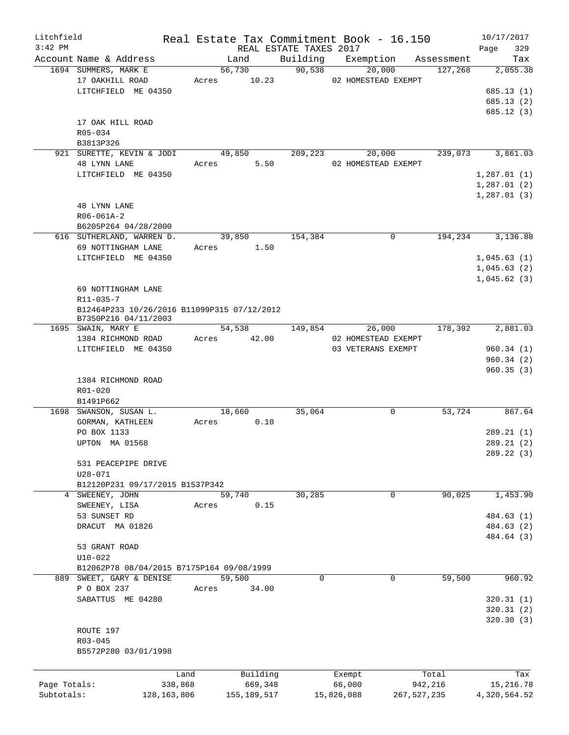| Litchfield   |                                                                     |                 |             |                     |                        |   | Real Estate Tax Commitment Book - 16.150 |                                          | 10/17/2017                          |
|--------------|---------------------------------------------------------------------|-----------------|-------------|---------------------|------------------------|---|------------------------------------------|------------------------------------------|-------------------------------------|
| $3:42$ PM    | Account Name & Address                                              |                 |             | Land                | REAL ESTATE TAXES 2017 |   |                                          |                                          | Page<br>329<br>Tax                  |
|              | 1694 SUMMERS, MARK E                                                |                 |             | 56,730              | 90,538                 |   | 20,000                                   | Building Exemption Assessment<br>127,268 | 2,055.38                            |
|              | 17 OAKHILL ROAD<br>LITCHFIELD ME 04350                              |                 | Acres 10.23 |                     |                        |   | 02 HOMESTEAD EXEMPT                      |                                          | 685.13(1)                           |
|              |                                                                     |                 |             |                     |                        |   |                                          |                                          | 685.13(2)<br>685.12(3)              |
|              | 17 OAK HILL ROAD<br>R05-034                                         |                 |             |                     |                        |   |                                          |                                          |                                     |
|              | B3813P326<br>921 SURETTE, KEVIN & JODI                              |                 | 49,850      |                     | 209,223                |   |                                          | 239,073                                  | 3,861.03                            |
|              | 48 LYNN LANE<br>LITCHFIELD ME 04350                                 |                 | Acres 5.50  |                     |                        |   | 20,000<br>02 HOMESTEAD EXEMPT            |                                          | 1,287.01(1)                         |
|              |                                                                     |                 |             |                     |                        |   |                                          |                                          | 1,287.01(2)<br>1,287.01(3)          |
|              | 48 LYNN LANE<br>R06-061A-2                                          |                 |             |                     |                        |   |                                          |                                          |                                     |
|              | B6205P264 04/28/2000                                                |                 |             |                     |                        |   |                                          |                                          |                                     |
|              | 616 SUTHERLAND, WARREN D.                                           |                 |             | 39,850              | 154,384                |   | $\Omega$                                 | 194,234                                  | 3,136.88                            |
|              | 69 NOTTINGHAM LANE                                                  |                 | Acres 1.50  |                     |                        |   |                                          |                                          |                                     |
|              | LITCHFIELD ME 04350                                                 |                 |             |                     |                        |   |                                          |                                          | 1,045.63(1)                         |
|              |                                                                     |                 |             |                     |                        |   |                                          |                                          | 1,045.63(2)                         |
|              | 69 NOTTINGHAM LANE<br>R11-035-7                                     |                 |             |                     |                        |   |                                          |                                          | 1,045.62(3)                         |
|              | B12464P233 10/26/2016 B11099P315 07/12/2012<br>B7350P216 04/11/2003 |                 |             |                     |                        |   |                                          |                                          |                                     |
|              | 1695 SWAIN, MARY E                                                  |                 |             | 54,538              | 149,854                |   | 26,000                                   | 178,392                                  | 2,881.03                            |
|              | 1384 RICHMOND ROAD                                                  |                 | Acres 42.00 |                     |                        |   | 02 HOMESTEAD EXEMPT                      |                                          |                                     |
|              | LITCHFIELD ME 04350                                                 |                 |             |                     |                        |   | 03 VETERANS EXEMPT                       |                                          | 960.34(1)<br>960.34(2)              |
|              | 1384 RICHMOND ROAD<br>R01-020<br>B1491P662                          |                 |             |                     |                        |   |                                          |                                          | 960.35(3)                           |
|              | 1698 SWANSON, SUSAN L.                                              |                 |             | 18,660              | 35,064                 |   | 0                                        | 53,724                                   | 867.64                              |
|              | GORMAN, KATHLEEN                                                    |                 | Acres       | 0.10                |                        |   |                                          |                                          |                                     |
|              | PO BOX 1133                                                         |                 |             |                     |                        |   |                                          |                                          | 289.21(1)                           |
|              | UPTON MA 01568                                                      |                 |             |                     |                        |   |                                          |                                          | 289.21 (2)<br>289.22 (3)            |
|              | 531 PEACEPIPE DRIVE<br>$U28 - 071$                                  |                 |             |                     |                        |   |                                          |                                          |                                     |
|              | B12120P231 09/17/2015 B1537P342                                     |                 |             |                     |                        |   |                                          |                                          |                                     |
|              | 4 SWEENEY, JOHN<br>SWEENEY, LISA<br>53 SUNSET RD                    |                 | Acres       | 59,740<br>0.15      | 30,285                 |   | 0                                        | 90,025                                   | 1,453.90<br>484.63 (1)              |
|              | DRACUT MA 01826                                                     |                 |             |                     |                        |   |                                          |                                          | 484.63 (2)<br>484.64 (3)            |
|              | 53 GRANT ROAD                                                       |                 |             |                     |                        |   |                                          |                                          |                                     |
|              | $U10 - 022$                                                         |                 |             |                     |                        |   |                                          |                                          |                                     |
|              | B12062P78 08/04/2015 B7175P164 09/08/1999                           |                 |             |                     |                        |   |                                          |                                          |                                     |
|              | 889 SWEET, GARY & DENISE<br>P O BOX 237                             |                 | Acres       | 59,500<br>34.00     |                        | 0 | 0                                        | 59,500                                   | 960.92                              |
|              | SABATTUS ME 04280                                                   |                 |             |                     |                        |   |                                          |                                          | 320.31(1)<br>320.31(2)<br>320.30(3) |
|              | ROUTE 197<br>$R03 - 045$                                            |                 |             |                     |                        |   |                                          |                                          |                                     |
|              | B5572P280 03/01/1998                                                |                 |             |                     |                        |   |                                          |                                          |                                     |
|              |                                                                     |                 |             |                     |                        |   |                                          |                                          |                                     |
| Page Totals: |                                                                     | Land<br>338,868 |             | Building<br>669,348 |                        |   | Exempt<br>66,000                         | Total<br>942,216                         | Tax<br>15,216.78                    |
| Subtotals:   |                                                                     | 128, 163, 806   |             | 155,189,517         |                        |   | 15,826,088                               | 267,527,235                              | 4,320,564.52                        |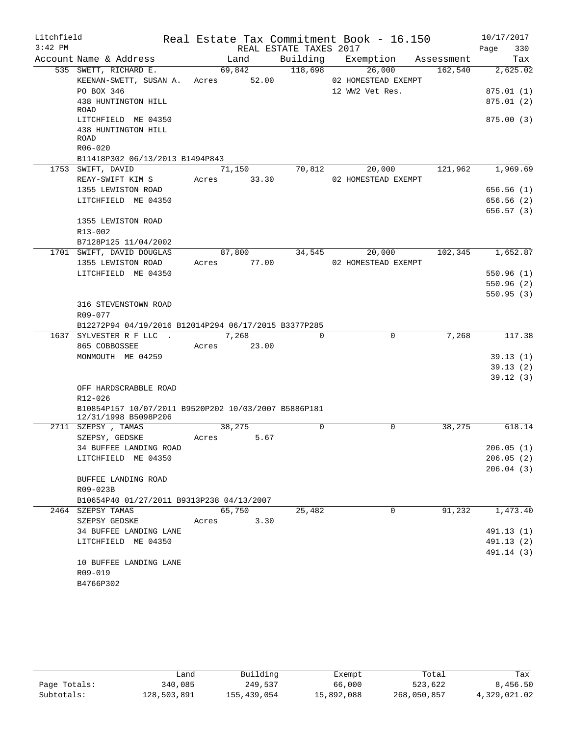| Litchfield |                                                      |                         |                        | Real Estate Tax Commitment Book - 16.150 |            | 10/17/2017             |
|------------|------------------------------------------------------|-------------------------|------------------------|------------------------------------------|------------|------------------------|
| $3:42$ PM  |                                                      |                         | REAL ESTATE TAXES 2017 |                                          |            | Page<br>330            |
|            | Account Name & Address                               | Land                    |                        | Building Exemption                       | Assessment | Tax                    |
|            | 535 SWETT, RICHARD E.                                | 69,842                  | 118,698                | 26,000                                   | 162,540    | 2,625.02               |
|            | KEENAN-SWETT, SUSAN A. Acres 52.00                   |                         |                        | 02 HOMESTEAD EXEMPT                      |            |                        |
|            | PO BOX 346                                           |                         |                        | 12 WW2 Vet Res.                          |            | 875.01(1)              |
|            | 438 HUNTINGTON HILL<br>ROAD                          |                         |                        |                                          |            | 875.01(2)              |
|            | LITCHFIELD ME 04350                                  |                         |                        |                                          |            | 875.00(3)              |
|            | 438 HUNTINGTON HILL                                  |                         |                        |                                          |            |                        |
|            | ROAD                                                 |                         |                        |                                          |            |                        |
|            | R06-020                                              |                         |                        |                                          |            |                        |
|            | B11418P302 06/13/2013 B1494P843                      |                         |                        |                                          |            |                        |
|            | 1753 SWIFT, DAVID                                    | 71,150                  | 70,812                 | 20,000                                   | 121,962    | 1,969.69               |
|            | REAY-SWIFT KIM S                                     | 33.30<br>Acres          |                        | 02 HOMESTEAD EXEMPT                      |            |                        |
|            | 1355 LEWISTON ROAD<br>LITCHFIELD ME 04350            |                         |                        |                                          |            | 656.56(1)              |
|            |                                                      |                         |                        |                                          |            | 656.56(2)<br>656.57(3) |
|            | 1355 LEWISTON ROAD                                   |                         |                        |                                          |            |                        |
|            | R13-002                                              |                         |                        |                                          |            |                        |
|            | B7128P125 11/04/2002                                 |                         |                        |                                          |            |                        |
|            | 1701 SWIFT, DAVID DOUGLAS                            | 87,800                  | 34,545                 | 20,000                                   | 102,345    | 1,652.87               |
|            | 1355 LEWISTON ROAD                                   | Acres 77.00             |                        | 02 HOMESTEAD EXEMPT                      |            |                        |
|            | LITCHFIELD ME 04350                                  |                         |                        |                                          |            | 550.96(1)              |
|            |                                                      |                         |                        |                                          |            | 550.96(2)              |
|            |                                                      |                         |                        |                                          |            | 550.95(3)              |
|            | 316 STEVENSTOWN ROAD                                 |                         |                        |                                          |            |                        |
|            | R09-077                                              |                         |                        |                                          |            |                        |
|            | B12272P94 04/19/2016 B12014P294 06/17/2015 B3377P285 |                         |                        |                                          |            |                        |
|            | 1637 SYLVESTER R F LLC .                             | 7,268                   | $\Omega$               | 0                                        | 7,268      | 117.38                 |
|            | 865 COBBOSSEE                                        | Acres 23.00             |                        |                                          |            |                        |
|            | MONMOUTH ME 04259                                    |                         |                        |                                          |            | 39.13(1)               |
|            |                                                      |                         |                        |                                          |            | 39.13(2)               |
|            | OFF HARDSCRABBLE ROAD                                |                         |                        |                                          |            | 39.12(3)               |
|            | R12-026                                              |                         |                        |                                          |            |                        |
|            | B10854P157 10/07/2011 B9520P202 10/03/2007 B5886P181 |                         |                        |                                          |            |                        |
|            | 12/31/1998 B5098P206                                 |                         |                        |                                          |            |                        |
|            | 2711 SZEPSY, TAMAS                                   | 38,275                  | $\Omega$               | $\Omega$                                 | 38,275     | 618.14                 |
|            | SZEPSY, GEDSKE                                       | 5.67<br>Acres           |                        |                                          |            |                        |
|            | 34 BUFFEE LANDING ROAD                               |                         |                        |                                          |            | 206.05(1)              |
|            | LITCHFIELD ME 04350                                  |                         |                        |                                          |            | 206.05(2)              |
|            |                                                      |                         |                        |                                          |            | 206.04(3)              |
|            | BUFFEE LANDING ROAD                                  |                         |                        |                                          |            |                        |
|            | R09-023B                                             |                         |                        |                                          |            |                        |
|            | B10654P40 01/27/2011 B9313P238 04/13/2007            |                         |                        |                                          |            |                        |
|            | 2464 SZEPSY TAMAS<br>SZEPSY GEDSKE                   | 65,750<br>3.30<br>Acres | 25,482                 | $\mathbf 0$                              | 91,232     | 1,473.40               |
|            | 34 BUFFEE LANDING LANE                               |                         |                        |                                          |            | 491.13 (1)             |
|            | LITCHFIELD ME 04350                                  |                         |                        |                                          |            | 491.13(2)              |
|            |                                                      |                         |                        |                                          |            | 491.14 (3)             |
|            | 10 BUFFEE LANDING LANE                               |                         |                        |                                          |            |                        |
|            | R09-019                                              |                         |                        |                                          |            |                        |
|            | B4766P302                                            |                         |                        |                                          |            |                        |

|              | ∟and        | Building    | Exempt     | Total       | Tax          |
|--------------|-------------|-------------|------------|-------------|--------------|
| Page Totals: | 340,085     | 249,537     | 66,000     | 523,622     | 8,456.50     |
| Subtotals:   | 128,503,891 | 155,439,054 | 15,892,088 | 268,050,857 | 4,329,021.02 |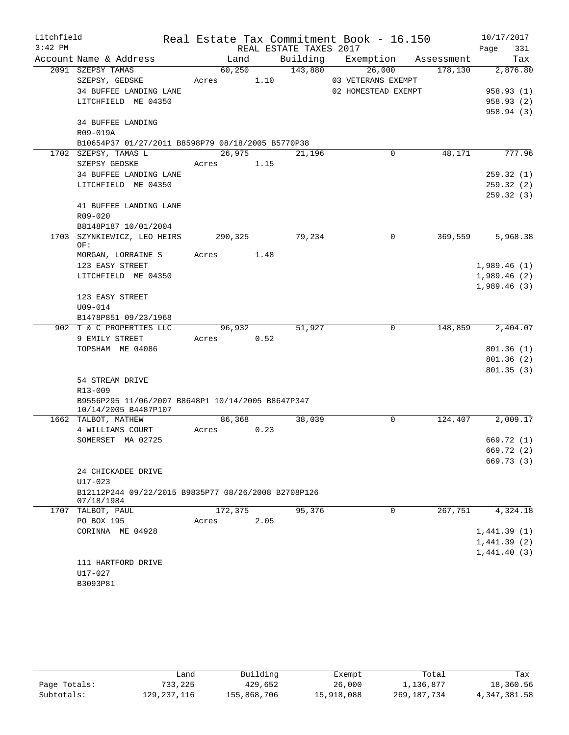| Litchfield |                                                     | Real Estate Tax Commitment Book - 16.150 |      |                        |                     |            | 10/17/2017             |
|------------|-----------------------------------------------------|------------------------------------------|------|------------------------|---------------------|------------|------------------------|
| $3:42$ PM  |                                                     |                                          |      | REAL ESTATE TAXES 2017 |                     |            | 331<br>Page            |
|            | Account Name & Address                              | Land                                     |      | Building               | Exemption           | Assessment | Tax                    |
|            | 2091 SZEPSY TAMAS                                   | 60,250                                   |      | 143,880                | 26,000              | 178,130    | 2,876.80               |
|            | SZEPSY, GEDSKE                                      | Acres                                    | 1.10 |                        | 03 VETERANS EXEMPT  |            |                        |
|            | 34 BUFFEE LANDING LANE                              |                                          |      |                        | 02 HOMESTEAD EXEMPT |            | 958.93(1)              |
|            | LITCHFIELD ME 04350                                 |                                          |      |                        |                     |            | 958.93(2)              |
|            |                                                     |                                          |      |                        |                     |            | 958.94(3)              |
|            | <b>34 BUFFEE LANDING</b>                            |                                          |      |                        |                     |            |                        |
|            | R09-019A                                            |                                          |      |                        |                     |            |                        |
|            | B10654P37 01/27/2011 B8598P79 08/18/2005 B5770P38   |                                          |      |                        |                     |            |                        |
|            | 1702 SZEPSY, TAMAS L                                | 26,975                                   |      | 21,196                 | 0                   | 48,171     | 777.96                 |
|            | SZEPSY GEDSKE                                       | Acres                                    | 1.15 |                        |                     |            |                        |
|            | 34 BUFFEE LANDING LANE                              |                                          |      |                        |                     |            | 259.32(1)              |
|            | LITCHFIELD ME 04350                                 |                                          |      |                        |                     |            | 259.32(2)<br>259.32(3) |
|            | 41 BUFFEE LANDING LANE                              |                                          |      |                        |                     |            |                        |
|            | R09-020                                             |                                          |      |                        |                     |            |                        |
|            | B8148P187 10/01/2004                                |                                          |      |                        |                     |            |                        |
|            | 1703 SZYNKIEWICZ, LEO HEIRS                         | 290,325                                  |      | 79,234                 | $\Omega$            | 369,559    | 5,968.38               |
|            | OF:                                                 |                                          |      |                        |                     |            |                        |
|            | MORGAN, LORRAINE S                                  | Acres                                    | 1.48 |                        |                     |            |                        |
|            | 123 EASY STREET                                     |                                          |      |                        |                     |            | 1,989.46(1)            |
|            | LITCHFIELD ME 04350                                 |                                          |      |                        |                     |            | 1,989.46(2)            |
|            |                                                     |                                          |      |                        |                     |            | 1,989.46(3)            |
|            | 123 EASY STREET                                     |                                          |      |                        |                     |            |                        |
|            | $U09 - 014$                                         |                                          |      |                        |                     |            |                        |
|            | B1478P851 09/23/1968                                |                                          |      |                        |                     |            |                        |
|            | 902 T & C PROPERTIES LLC                            | 96,932                                   |      | 51,927                 | 0                   | 148,859    | 2,404.07               |
|            | 9 EMILY STREET                                      | Acres                                    | 0.52 |                        |                     |            |                        |
|            | TOPSHAM ME 04086                                    |                                          |      |                        |                     |            | 801.36(1)              |
|            |                                                     |                                          |      |                        |                     |            | 801.36(2)              |
|            |                                                     |                                          |      |                        |                     |            | 801.35(3)              |
|            | 54 STREAM DRIVE<br>R13-009                          |                                          |      |                        |                     |            |                        |
|            | B9556P295 11/06/2007 B8648P1 10/14/2005 B8647P347   |                                          |      |                        |                     |            |                        |
|            | 10/14/2005 B4487P107                                |                                          |      |                        |                     |            |                        |
|            | 1662 TALBOT, MATHEW                                 | 86,368                                   |      | 38,039                 | $\mathbf 0$         | 124,407    | 2,009.17               |
|            | 4 WILLIAMS COURT                                    | Acres                                    | 0.23 |                        |                     |            |                        |
|            | SOMERSET MA 02725                                   |                                          |      |                        |                     |            | 669.72 (1)             |
|            |                                                     |                                          |      |                        |                     |            | 669.72 (2)             |
|            |                                                     |                                          |      |                        |                     |            | 669.73 (3)             |
|            | 24 CHICKADEE DRIVE                                  |                                          |      |                        |                     |            |                        |
|            | $U17 - 023$                                         |                                          |      |                        |                     |            |                        |
|            | B12112P244 09/22/2015 B9835P77 08/26/2008 B2708P126 |                                          |      |                        |                     |            |                        |
|            | 07/18/1984<br>1707 TALBOT, PAUL                     | 172,375                                  |      | 95,376                 | 0                   | 267,751    | 4,324.18               |
|            | PO BOX 195                                          | Acres                                    | 2.05 |                        |                     |            |                        |
|            | CORINNA ME 04928                                    |                                          |      |                        |                     |            | 1,441.39(1)            |
|            |                                                     |                                          |      |                        |                     |            | 1,441.39(2)            |
|            |                                                     |                                          |      |                        |                     |            | 1,441.40(3)            |
|            | 111 HARTFORD DRIVE                                  |                                          |      |                        |                     |            |                        |
|            | U17-027                                             |                                          |      |                        |                     |            |                        |
|            | B3093P81                                            |                                          |      |                        |                     |            |                        |
|            |                                                     |                                          |      |                        |                     |            |                        |

|              | Land        | Building    | Exempt     | Total       | Tax          |
|--------------|-------------|-------------|------------|-------------|--------------|
| Page Totals: | 733,225     | 429,652     | 26,000     | 1,136,877   | 18,360.56    |
| Subtotals:   | 129,237,116 | 155,868,706 | 15,918,088 | 269,187,734 | 4,347,381.58 |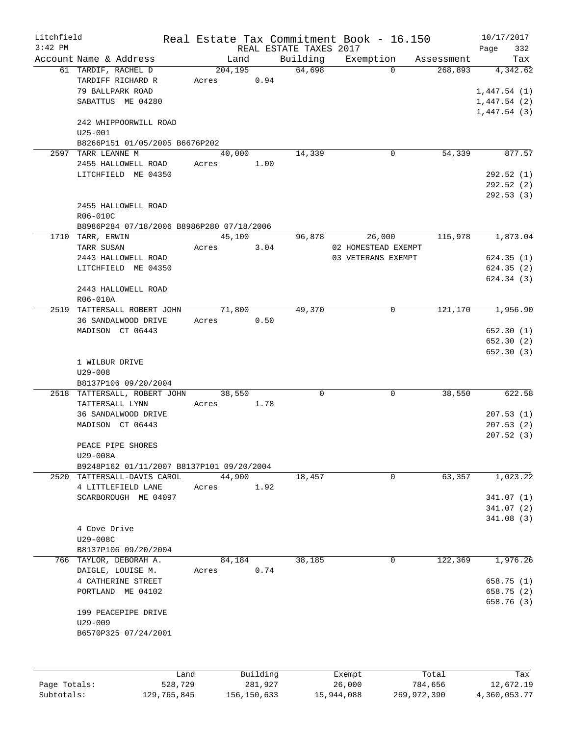| Litchfield   |                                                       |       |                     |                        | Real Estate Tax Commitment Book - 16.150 |                  | 10/17/2017       |
|--------------|-------------------------------------------------------|-------|---------------------|------------------------|------------------------------------------|------------------|------------------|
| $3:42$ PM    |                                                       |       |                     | REAL ESTATE TAXES 2017 |                                          |                  | Page<br>332      |
|              | Account Name & Address                                |       | Land                | Building               | Exemption                                | Assessment       | Tax              |
|              | 61 TARDIF, RACHEL D                                   |       | 204,195             | 64,698                 | $\Omega$                                 | 268,893          | 4,342.62         |
|              | TARDIFF RICHARD R                                     | Acres | 0.94                |                        |                                          |                  |                  |
|              | 79 BALLPARK ROAD                                      |       |                     |                        |                                          |                  | 1,447.54(1)      |
|              | SABATTUS ME 04280                                     |       |                     |                        |                                          |                  | 1,447.54(2)      |
|              |                                                       |       |                     |                        |                                          |                  | 1,447.54(3)      |
|              | 242 WHIPPOORWILL ROAD                                 |       |                     |                        |                                          |                  |                  |
|              | $U25 - 001$                                           |       |                     |                        |                                          |                  |                  |
|              | B8266P151 01/05/2005 B6676P202                        |       |                     |                        |                                          |                  |                  |
| 2597         | TARR LEANNE M                                         |       | 40,000              | 14,339                 | 0                                        | 54,339           | 877.57           |
|              | 2455 HALLOWELL ROAD                                   | Acres | 1.00                |                        |                                          |                  |                  |
|              | LITCHFIELD ME 04350                                   |       |                     |                        |                                          |                  | 292.52(1)        |
|              |                                                       |       |                     |                        |                                          |                  | 292.52(2)        |
|              |                                                       |       |                     |                        |                                          |                  | 292.53(3)        |
|              | 2455 HALLOWELL ROAD                                   |       |                     |                        |                                          |                  |                  |
|              | R06-010C                                              |       |                     |                        |                                          |                  |                  |
|              | B8986P284 07/18/2006 B8986P280 07/18/2006             |       |                     |                        |                                          |                  |                  |
|              | 1710 TARR, ERWIN                                      |       | 45,100              | 96,878                 | 26,000                                   | 115,978          | 1,873.04         |
|              | TARR SUSAN                                            | Acres | 3.04                |                        | 02 HOMESTEAD EXEMPT                      |                  |                  |
|              | 2443 HALLOWELL ROAD                                   |       |                     |                        | 03 VETERANS EXEMPT                       |                  | 624.35(1)        |
|              | LITCHFIELD ME 04350                                   |       |                     |                        |                                          |                  | 624.35(2)        |
|              |                                                       |       |                     |                        |                                          |                  | 624.34 (3)       |
|              | 2443 HALLOWELL ROAD                                   |       |                     |                        |                                          |                  |                  |
|              | R06-010A                                              |       |                     |                        |                                          |                  |                  |
|              | 2519 TATTERSALL ROBERT JOHN                           |       | 71,800              | 49,370                 | 0                                        | 121,170          | 1,956.90         |
|              | 36 SANDALWOOD DRIVE                                   | Acres | 0.50                |                        |                                          |                  |                  |
|              | MADISON CT 06443                                      |       |                     |                        |                                          |                  | 652.30(1)        |
|              |                                                       |       |                     |                        |                                          |                  | 652.30(2)        |
|              |                                                       |       |                     |                        |                                          |                  | 652.30(3)        |
|              | 1 WILBUR DRIVE                                        |       |                     |                        |                                          |                  |                  |
|              | $U29 - 008$                                           |       |                     |                        |                                          |                  |                  |
|              | B8137P106 09/20/2004                                  |       |                     |                        |                                          |                  |                  |
|              | 2518 TATTERSALL, ROBERT JOHN                          |       | 38,550              | 0                      | $\mathbf 0$                              | 38,550           | 622.58           |
|              | TATTERSALL LYNN                                       | Acres | 1.78                |                        |                                          |                  |                  |
|              | 36 SANDALWOOD DRIVE                                   |       |                     |                        |                                          |                  | 207.53(1)        |
|              | MADISON CT 06443                                      |       |                     |                        |                                          |                  | 207.53(2)        |
|              | PEACE PIPE SHORES                                     |       |                     |                        |                                          |                  | 207.52(3)        |
|              |                                                       |       |                     |                        |                                          |                  |                  |
|              | U29-008A<br>B9248P162 01/11/2007 B8137P101 09/20/2004 |       |                     |                        |                                          |                  |                  |
| 2520         | TATTERSALL-DAVIS CAROL                                |       | 44,900              | 18,457                 | $\mathbf 0$                              | 63,357           | 1,023.22         |
|              | 4 LITTLEFIELD LANE                                    | Acres | 1.92                |                        |                                          |                  |                  |
|              | SCARBOROUGH ME 04097                                  |       |                     |                        |                                          |                  | 341.07 (1)       |
|              |                                                       |       |                     |                        |                                          |                  | 341.07 (2)       |
|              |                                                       |       |                     |                        |                                          |                  | 341.08(3)        |
|              | 4 Cove Drive                                          |       |                     |                        |                                          |                  |                  |
|              | U29-008C                                              |       |                     |                        |                                          |                  |                  |
|              | B8137P106 09/20/2004                                  |       |                     |                        |                                          |                  |                  |
| 766          | TAYLOR, DEBORAH A.                                    |       | 84,184              | 38,185                 | 0                                        | 122,369          | 1,976.26         |
|              | DAIGLE, LOUISE M.                                     | Acres | 0.74                |                        |                                          |                  |                  |
|              | 4 CATHERINE STREET                                    |       |                     |                        |                                          |                  | 658.75 (1)       |
|              | PORTLAND ME 04102                                     |       |                     |                        |                                          |                  | 658.75 (2)       |
|              |                                                       |       |                     |                        |                                          |                  | 658.76 (3)       |
|              | 199 PEACEPIPE DRIVE                                   |       |                     |                        |                                          |                  |                  |
|              | $U29 - 009$                                           |       |                     |                        |                                          |                  |                  |
|              | B6570P325 07/24/2001                                  |       |                     |                        |                                          |                  |                  |
|              |                                                       |       |                     |                        |                                          |                  |                  |
|              |                                                       |       |                     |                        |                                          |                  |                  |
| Page Totals: | 528,729                                               | Land  | Building<br>281,927 |                        | Exempt<br>26,000                         | Total<br>784,656 | Tax<br>12,672.19 |
| Subtotals:   | 129,765,845                                           |       | 156, 150, 633       |                        | 15,944,088                               | 269,972,390      | 4,360,053.77     |
|              |                                                       |       |                     |                        |                                          |                  |                  |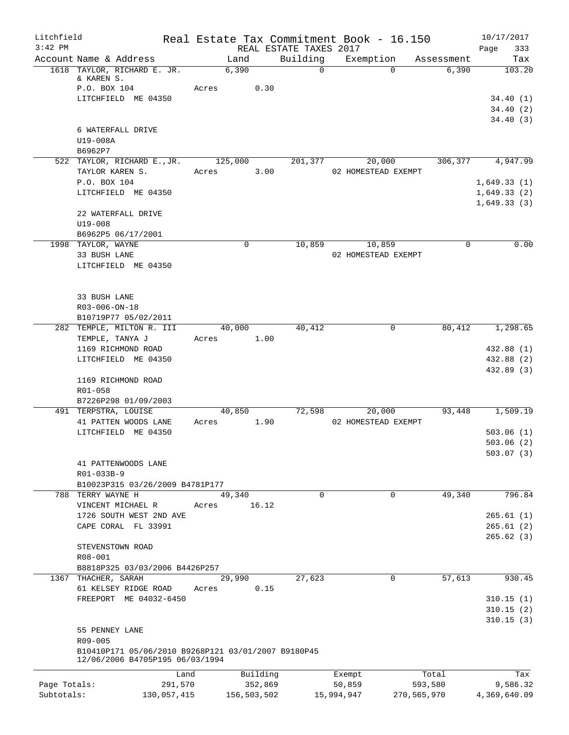| Litchfield                 |                                                                                        | Real Estate Tax Commitment Book - 16.150 |                                    |                      |                                 | 10/17/2017                 |
|----------------------------|----------------------------------------------------------------------------------------|------------------------------------------|------------------------------------|----------------------|---------------------------------|----------------------------|
| $3:42$ PM                  | Account Name & Address                                                                 |                                          | REAL ESTATE TAXES 2017<br>Building | Exemption            |                                 | 333<br>Page                |
|                            | 1618 TAYLOR, RICHARD E. JR.                                                            | Land<br>6,390                            | $\mathsf{O}$                       |                      | Assessment<br>6,390<br>$\Omega$ | Tax<br>103.20              |
|                            | & KAREN S.<br>P.O. BOX 104                                                             | Acres                                    | 0.30                               |                      |                                 |                            |
|                            | LITCHFIELD ME 04350                                                                    |                                          |                                    |                      |                                 | 34.40(1)                   |
|                            |                                                                                        |                                          |                                    |                      |                                 | 34.40(2)                   |
|                            | 6 WATERFALL DRIVE                                                                      |                                          |                                    |                      |                                 | 34.40(3)                   |
|                            | U19-008A<br>B6962P7                                                                    |                                          |                                    |                      |                                 |                            |
|                            | 522 TAYLOR, RICHARD E., JR.                                                            | 125,000                                  | 201,377                            | 20,000               | 306,377                         | 4,947.99                   |
|                            | TAYLOR KAREN S.                                                                        | Acres                                    | 3.00                               | 02 HOMESTEAD EXEMPT  |                                 |                            |
|                            | P.O. BOX 104                                                                           |                                          |                                    |                      |                                 | 1,649.33(1)                |
|                            | LITCHFIELD ME 04350                                                                    |                                          |                                    |                      |                                 | 1,649.33(2)<br>1,649.33(3) |
|                            | 22 WATERFALL DRIVE<br>$U19 - 008$                                                      |                                          |                                    |                      |                                 |                            |
|                            | B6962P5 06/17/2001                                                                     |                                          |                                    |                      |                                 |                            |
|                            | 1998 TAYLOR, WAYNE                                                                     | $\mathbf 0$                              | 10,859                             | 10,859               | $\Omega$                        | 0.00                       |
|                            | 33 BUSH LANE                                                                           |                                          |                                    | 02 HOMESTEAD EXEMPT  |                                 |                            |
|                            | LITCHFIELD ME 04350                                                                    |                                          |                                    |                      |                                 |                            |
|                            | 33 BUSH LANE                                                                           |                                          |                                    |                      |                                 |                            |
|                            | R03-006-ON-18                                                                          |                                          |                                    |                      |                                 |                            |
|                            | B10719P77 05/02/2011<br>282 TEMPLE, MILTON R. III                                      | 40,000                                   | 40,412                             |                      | 80,412<br>0                     | 1,298.65                   |
|                            | TEMPLE, TANYA J                                                                        | Acres                                    | 1.00                               |                      |                                 |                            |
|                            | 1169 RICHMOND ROAD                                                                     |                                          |                                    |                      |                                 | 432.88 (1)                 |
|                            | LITCHFIELD ME 04350                                                                    |                                          |                                    |                      |                                 | 432.88 (2)<br>432.89 (3)   |
|                            | 1169 RICHMOND ROAD                                                                     |                                          |                                    |                      |                                 |                            |
|                            | R01-058<br>B7226P298 01/09/2003                                                        |                                          |                                    |                      |                                 |                            |
|                            | 491 TERPSTRA, LOUISE                                                                   | 40,850                                   | 72,598                             | 20,000               | 93,448                          | 1,509.19                   |
|                            | 41 PATTEN WOODS LANE                                                                   | Acres                                    | 1.90                               | 02 HOMESTEAD EXEMPT  |                                 |                            |
|                            | LITCHFIELD ME 04350                                                                    |                                          |                                    |                      |                                 | 503.06(1)<br>503.06(2)     |
|                            |                                                                                        |                                          |                                    |                      |                                 | 503.07(3)                  |
|                            | 41 PATTENWOODS LANE                                                                    |                                          |                                    |                      |                                 |                            |
|                            | R01-033B-9                                                                             |                                          |                                    |                      |                                 |                            |
|                            | B10023P315 03/26/2009 B4781P177<br>788 TERRY WAYNE H                                   | 49,340                                   | $\Omega$                           |                      | 49,340<br>0                     | 796.84                     |
|                            | VINCENT MICHAEL R                                                                      | 16.12<br>Acres                           |                                    |                      |                                 |                            |
|                            | 1726 SOUTH WEST 2ND AVE                                                                |                                          |                                    |                      |                                 | 265.61(1)                  |
|                            | CAPE CORAL FL 33991                                                                    |                                          |                                    |                      |                                 | 265.61(2)<br>265.62(3)     |
|                            | STEVENSTOWN ROAD                                                                       |                                          |                                    |                      |                                 |                            |
|                            | $R08 - 001$                                                                            |                                          |                                    |                      |                                 |                            |
|                            | B8818P325 03/03/2006 B4426P257                                                         |                                          |                                    |                      |                                 |                            |
|                            | 1367 THACHER, SARAH<br>61 KELSEY RIDGE ROAD                                            | 29,990<br>Acres                          | 27,623<br>0.15                     |                      | 57,613<br>0                     | 930.45                     |
|                            | FREEPORT ME 04032-6450                                                                 |                                          |                                    |                      |                                 | 310.15(1)                  |
|                            |                                                                                        |                                          |                                    |                      |                                 | 310.15(2)<br>310.15(3)     |
|                            | 55 PENNEY LANE                                                                         |                                          |                                    |                      |                                 |                            |
|                            | R09-005                                                                                |                                          |                                    |                      |                                 |                            |
|                            | B10410P171 05/06/2010 B9268P121 03/01/2007 B9180P45<br>12/06/2006 B4705P195 06/03/1994 |                                          |                                    |                      |                                 |                            |
|                            | Land                                                                                   | Building                                 |                                    | Exempt               | Total                           | Tax                        |
| Page Totals:<br>Subtotals: | 291,570<br>130,057,415                                                                 | 352,869<br>156,503,502                   |                                    | 50,859<br>15,994,947 | 593,580<br>270,565,970          | 9,586.32<br>4,369,640.09   |
|                            |                                                                                        |                                          |                                    |                      |                                 |                            |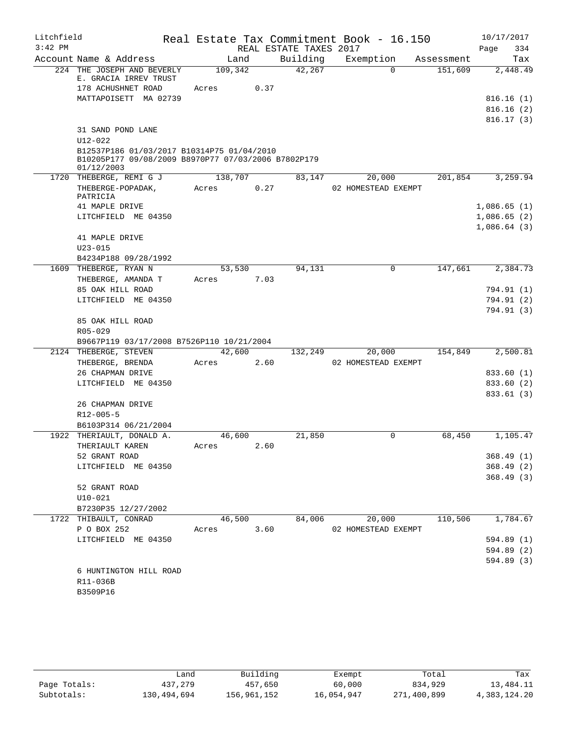| Litchfield |                                                                   |         |      |                        | Real Estate Tax Commitment Book - 16.150 |            | 10/17/2017               |
|------------|-------------------------------------------------------------------|---------|------|------------------------|------------------------------------------|------------|--------------------------|
| $3:42$ PM  |                                                                   |         |      | REAL ESTATE TAXES 2017 |                                          |            | Page<br>334              |
|            | Account Name & Address                                            | Land    |      | Building               | Exemption                                | Assessment | Tax                      |
|            | 224 THE JOSEPH AND BEVERLY<br>E. GRACIA IRREV TRUST               | 109,342 |      | 42,267                 | $\Omega$                                 | 151,609    | 2,448.49                 |
|            | 178 ACHUSHNET ROAD                                                | Acres   | 0.37 |                        |                                          |            |                          |
|            | MATTAPOISETT MA 02739                                             |         |      |                        |                                          |            | 816.16(1)                |
|            |                                                                   |         |      |                        |                                          |            | 816.16(2)                |
|            |                                                                   |         |      |                        |                                          |            | 816.17(3)                |
|            | 31 SAND POND LANE                                                 |         |      |                        |                                          |            |                          |
|            | $U12 - 022$                                                       |         |      |                        |                                          |            |                          |
|            | B12537P186 01/03/2017 B10314P75 01/04/2010                        |         |      |                        |                                          |            |                          |
|            | B10205P177 09/08/2009 B8970P77 07/03/2006 B7802P179<br>01/12/2003 |         |      |                        |                                          |            |                          |
|            | 1720 THEBERGE, REMI G J                                           | 138,707 |      | 83,147                 | 20,000                                   | 201,854    | 3,259.94                 |
|            | THEBERGE-POPADAK,                                                 | Acres   | 0.27 |                        | 02 HOMESTEAD EXEMPT                      |            |                          |
|            | PATRICIA                                                          |         |      |                        |                                          |            |                          |
|            | 41 MAPLE DRIVE                                                    |         |      |                        |                                          |            | 1,086.65(1)              |
|            | LITCHFIELD ME 04350                                               |         |      |                        |                                          |            | 1,086.65(2)              |
|            |                                                                   |         |      |                        |                                          |            | 1,086.64(3)              |
|            | 41 MAPLE DRIVE                                                    |         |      |                        |                                          |            |                          |
|            | $U23 - 015$                                                       |         |      |                        |                                          |            |                          |
|            | B4234P188 09/28/1992<br>1609 THEBERGE, RYAN N                     | 53,530  |      | 94,131                 | 0                                        | 147,661    | 2,384.73                 |
|            | THEBERGE, AMANDA T                                                | Acres   | 7.03 |                        |                                          |            |                          |
|            | 85 OAK HILL ROAD                                                  |         |      |                        |                                          |            | 794.91 (1)               |
|            | LITCHFIELD ME 04350                                               |         |      |                        |                                          |            | 794.91 (2)               |
|            |                                                                   |         |      |                        |                                          |            | 794.91 (3)               |
|            | 85 OAK HILL ROAD                                                  |         |      |                        |                                          |            |                          |
|            | R05-029                                                           |         |      |                        |                                          |            |                          |
|            | B9667P119 03/17/2008 B7526P110 10/21/2004                         |         |      |                        |                                          |            |                          |
|            | 2124 THEBERGE, STEVEN                                             | 42,600  |      | 132,249                | 20,000                                   | 154,849    | 2,500.81                 |
|            | THEBERGE, BRENDA                                                  | Acres   | 2.60 |                        | 02 HOMESTEAD EXEMPT                      |            |                          |
|            | 26 CHAPMAN DRIVE                                                  |         |      |                        |                                          |            | 833.60 (1)               |
|            | LITCHFIELD ME 04350                                               |         |      |                        |                                          |            | 833.60 (2)               |
|            | 26 CHAPMAN DRIVE                                                  |         |      |                        |                                          |            | 833.61 (3)               |
|            | $R12 - 005 - 5$                                                   |         |      |                        |                                          |            |                          |
|            | B6103P314 06/21/2004                                              |         |      |                        |                                          |            |                          |
| 1922       | THERIAULT, DONALD A.                                              | 46,600  |      | 21,850                 | 0                                        | 68,450     | 1,105.47                 |
|            | THERIAULT KAREN                                                   | Acres   | 2.60 |                        |                                          |            |                          |
|            | 52 GRANT ROAD                                                     |         |      |                        |                                          |            | 368.49(1)                |
|            | LITCHFIELD ME 04350                                               |         |      |                        |                                          |            | 368.49(2)                |
|            |                                                                   |         |      |                        |                                          |            | 368.49(3)                |
|            | 52 GRANT ROAD                                                     |         |      |                        |                                          |            |                          |
|            | $U10 - 021$                                                       |         |      |                        |                                          |            |                          |
|            | B7230P35 12/27/2002                                               |         |      |                        |                                          |            |                          |
|            | 1722 THIBAULT, CONRAD                                             | 46,500  |      | 84,006                 | 20,000                                   | 110,506    | 1,784.67                 |
|            | P O BOX 252                                                       | Acres   | 3.60 |                        | 02 HOMESTEAD EXEMPT                      |            |                          |
|            | LITCHFIELD ME 04350                                               |         |      |                        |                                          |            | 594.89 (1)<br>594.89 (2) |
|            |                                                                   |         |      |                        |                                          |            | 594.89 (3)               |
|            | 6 HUNTINGTON HILL ROAD                                            |         |      |                        |                                          |            |                          |
|            | R11-036B                                                          |         |      |                        |                                          |            |                          |
|            | B3509P16                                                          |         |      |                        |                                          |            |                          |
|            |                                                                   |         |      |                        |                                          |            |                          |

|              | Land        | Building    | Exempt     | Total       | Tax          |
|--------------|-------------|-------------|------------|-------------|--------------|
| Page Totals: | 437,279     | 457,650     | 60,000     | 834,929     | 13,484.11    |
| Subtotals:   | 130,494,694 | 156,961,152 | 16,054,947 | 271,400,899 | 4,383,124.20 |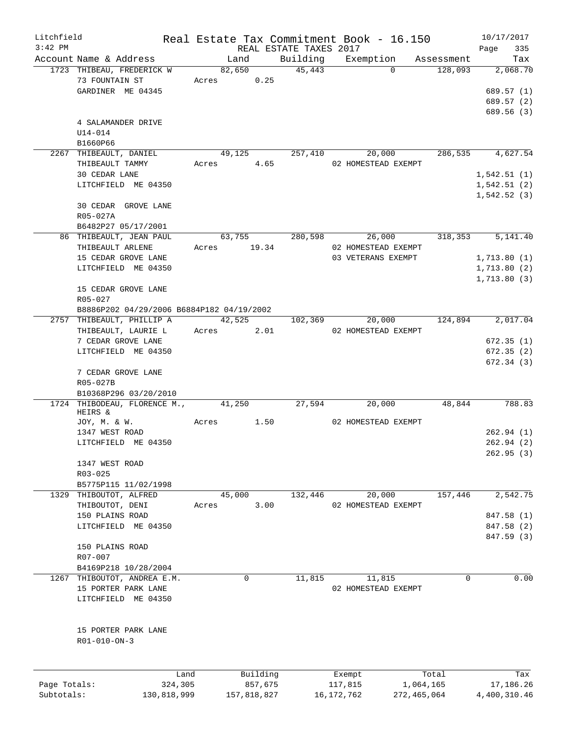| Litchfield   |                                           |       |             |         |                        | Real Estate Tax Commitment Book - 16.150 |             | 10/17/2017   |            |
|--------------|-------------------------------------------|-------|-------------|---------|------------------------|------------------------------------------|-------------|--------------|------------|
| $3:42$ PM    |                                           |       |             |         | REAL ESTATE TAXES 2017 |                                          |             | Page         | 335        |
|              | Account Name & Address                    |       | Land        |         | Building               | Exemption                                | Assessment  |              | Tax        |
|              | 1723 THIBEAU, FREDERICK W                 |       | 82,650      |         | 45,443                 | $\Omega$                                 | 128,093     |              | 2,068.70   |
|              | 73 FOUNTAIN ST                            |       | Acres 0.25  |         |                        |                                          |             |              |            |
|              | GARDINER ME 04345                         |       |             |         |                        |                                          |             |              | 689.57 (1) |
|              |                                           |       |             |         |                        |                                          |             |              | 689.57 (2) |
|              |                                           |       |             |         |                        |                                          |             |              | 689.56 (3) |
|              | 4 SALAMANDER DRIVE                        |       |             |         |                        |                                          |             |              |            |
|              | $U14 - 014$                               |       |             |         |                        |                                          |             |              |            |
|              | B1660P66                                  |       |             |         |                        |                                          |             |              |            |
|              | 2267 THIBEAULT, DANIEL                    |       | 49,125      |         | 257,410                | 20,000                                   | 286,535     |              | 4,627.54   |
|              | THIBEAULT TAMMY                           |       | Acres 4.65  |         |                        | 02 HOMESTEAD EXEMPT                      |             |              |            |
|              | 30 CEDAR LANE                             |       |             |         |                        |                                          |             | 1,542.51(1)  |            |
|              | LITCHFIELD ME 04350                       |       |             |         |                        |                                          |             | 1,542.51(2)  |            |
|              |                                           |       |             |         |                        |                                          |             | 1,542.52(3)  |            |
|              | 30 CEDAR GROVE LANE                       |       |             |         |                        |                                          |             |              |            |
|              | R05-027A                                  |       |             |         |                        |                                          |             |              |            |
|              | B6482P27 05/17/2001                       |       |             |         |                        |                                          |             |              |            |
|              | 86 THIBEAULT, JEAN PAUL                   |       | 63,755      |         | 280,598                | 26,000                                   | 318,353     |              | 5,141.40   |
|              | THIBEAULT ARLENE                          |       | Acres 19.34 |         |                        | 02 HOMESTEAD EXEMPT                      |             |              |            |
|              | 15 CEDAR GROVE LANE                       |       |             |         |                        | 03 VETERANS EXEMPT                       |             | 1,713.80(1)  |            |
|              | LITCHFIELD ME 04350                       |       |             |         |                        |                                          |             | 1,713.80(2)  |            |
|              |                                           |       |             |         |                        |                                          |             | 1,713.80(3)  |            |
|              | 15 CEDAR GROVE LANE                       |       |             |         |                        |                                          |             |              |            |
|              | R05-027                                   |       |             |         |                        |                                          |             |              |            |
|              |                                           |       |             |         |                        |                                          |             |              |            |
|              | B8886P202 04/29/2006 B6884P182 04/19/2002 |       |             |         |                        |                                          |             |              |            |
|              | 2757 THIBEAULT, PHILLIP A                 |       | 42,525      |         | 102,369                | 20,000                                   | 124,894     |              | 2,017.04   |
|              | THIBEAULT, LAURIE L                       |       | Acres 2.01  |         |                        | 02 HOMESTEAD EXEMPT                      |             |              |            |
|              | 7 CEDAR GROVE LANE                        |       |             |         |                        |                                          |             |              | 672.35(1)  |
|              | LITCHFIELD ME 04350                       |       |             |         |                        |                                          |             |              | 672.35(2)  |
|              |                                           |       |             |         |                        |                                          |             |              | 672.34 (3) |
|              | 7 CEDAR GROVE LANE                        |       |             |         |                        |                                          |             |              |            |
|              | R05-027B                                  |       |             |         |                        |                                          |             |              |            |
|              | B10368P296 03/20/2010                     |       |             |         |                        |                                          |             |              |            |
|              | 1724 THIBODEAU, FLORENCE M., 41,250       |       |             |         | 27,594                 | 20,000                                   | 48,844      |              | 788.83     |
|              | HEIRS &                                   |       |             |         |                        |                                          |             |              |            |
|              | JOY, M. & W.                              | Acres |             | 1.50    |                        | 02 HOMESTEAD EXEMPT                      |             |              |            |
|              | 1347 WEST ROAD                            |       |             |         |                        |                                          |             |              | 262.94(1)  |
|              | LITCHFIELD ME 04350                       |       |             |         |                        |                                          |             |              | 262.94(2)  |
|              |                                           |       |             |         |                        |                                          |             |              | 262.95(3)  |
|              | 1347 WEST ROAD                            |       |             |         |                        |                                          |             |              |            |
|              | R03-025                                   |       |             |         |                        |                                          |             |              |            |
|              | B5775P115 11/02/1998                      |       |             |         |                        |                                          |             |              |            |
|              | 1329 THIBOUTOT, ALFRED                    |       | 45,000      |         | 132,446                | 20,000                                   | 157,446     |              | 2,542.75   |
|              | THIBOUTOT, DENI                           | Acres |             | 3.00    |                        | 02 HOMESTEAD EXEMPT                      |             |              |            |
|              | 150 PLAINS ROAD                           |       |             |         |                        |                                          |             |              | 847.58 (1) |
|              | LITCHFIELD ME 04350                       |       |             |         |                        |                                          |             |              | 847.58 (2) |
|              |                                           |       |             |         |                        |                                          |             |              | 847.59 (3) |
|              | 150 PLAINS ROAD                           |       |             |         |                        |                                          |             |              |            |
|              | R07-007                                   |       |             |         |                        |                                          |             |              |            |
|              | B4169P218 10/28/2004                      |       |             |         |                        |                                          |             |              |            |
|              | 1267 THIBOUTOT, ANDREA E.M.               |       | 0           |         | 11,815                 | 11,815                                   | $\Omega$    |              | 0.00       |
|              | 15 PORTER PARK LANE                       |       |             |         |                        | 02 HOMESTEAD EXEMPT                      |             |              |            |
|              | LITCHFIELD ME 04350                       |       |             |         |                        |                                          |             |              |            |
|              |                                           |       |             |         |                        |                                          |             |              |            |
|              |                                           |       |             |         |                        |                                          |             |              |            |
|              | 15 PORTER PARK LANE                       |       |             |         |                        |                                          |             |              |            |
|              | R01-010-ON-3                              |       |             |         |                        |                                          |             |              |            |
|              |                                           |       |             |         |                        |                                          |             |              |            |
|              |                                           |       |             |         |                        |                                          |             |              |            |
|              |                                           |       |             |         |                        |                                          |             |              |            |
|              | Land                                      |       | Building    |         |                        | Exempt                                   | Total       |              | Tax        |
| Page Totals: | 324,305                                   |       |             | 857,675 |                        | 117,815                                  | 1,064,165   |              | 17,186.26  |
| Subtotals:   | 130,818,999                               |       | 157,818,827 |         |                        | 16,172,762                               | 272,465,064 | 4,400,310.46 |            |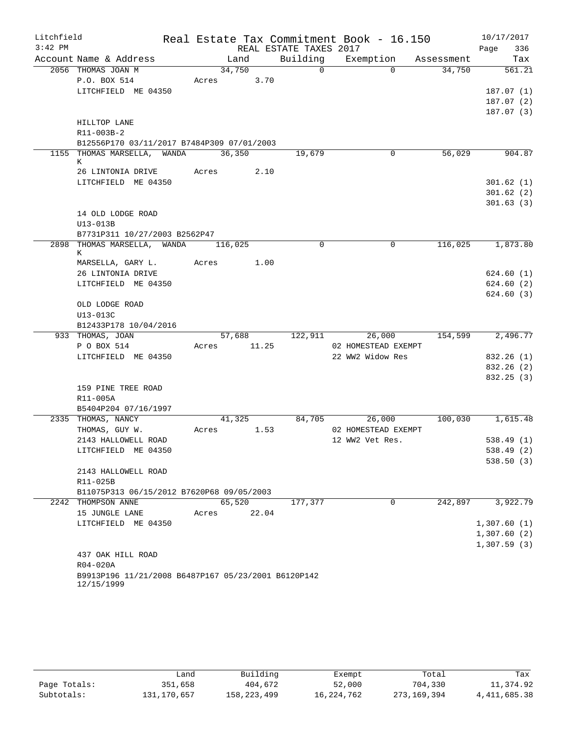| Litchfield |                                                                   |            |             |                        | Real Estate Tax Commitment Book - 16.150 |            | 10/17/2017             |          |
|------------|-------------------------------------------------------------------|------------|-------------|------------------------|------------------------------------------|------------|------------------------|----------|
| $3:42$ PM  |                                                                   |            |             | REAL ESTATE TAXES 2017 |                                          |            | Page                   | 336      |
|            | Account Name & Address                                            |            | Land        | Building               | Exemption                                | Assessment |                        | Tax      |
|            | 2056 THOMAS JOAN M                                                |            | 34,750      | $\Omega$               | $\Omega$                                 | 34,750     |                        | 561.21   |
|            | P.O. BOX 514                                                      | Acres      | 3.70        |                        |                                          |            |                        |          |
|            | LITCHFIELD ME 04350                                               |            |             |                        |                                          |            | 187.07(1)              |          |
|            |                                                                   |            |             |                        |                                          |            | 187.07(2)              |          |
|            |                                                                   |            |             |                        |                                          |            | 187.07(3)              |          |
|            | HILLTOP LANE                                                      |            |             |                        |                                          |            |                        |          |
|            | R11-003B-2                                                        |            |             |                        |                                          |            |                        |          |
|            | B12556P170 03/11/2017 B7484P309 07/01/2003                        |            |             |                        |                                          |            |                        |          |
|            | 1155 THOMAS MARSELLA, WANDA                                       | 36,350     |             | 19,679                 | 0                                        | 56,029     |                        | 904.87   |
|            | К                                                                 |            |             |                        |                                          |            |                        |          |
|            | 26 LINTONIA DRIVE<br>LITCHFIELD ME 04350                          | Acres 2.10 |             |                        |                                          |            |                        |          |
|            |                                                                   |            |             |                        |                                          |            | 301.62(1)<br>301.62(2) |          |
|            |                                                                   |            |             |                        |                                          |            | 301.63(3)              |          |
|            | 14 OLD LODGE ROAD                                                 |            |             |                        |                                          |            |                        |          |
|            | U13-013B                                                          |            |             |                        |                                          |            |                        |          |
|            | B7731P311 10/27/2003 B2562P47                                     |            |             |                        |                                          |            |                        |          |
|            | 2898 THOMAS MARSELLA, WANDA                                       | 116,025    |             | $\mathbf 0$            | $\mathbf 0$                              | 116,025    |                        | 1,873.80 |
|            | К                                                                 |            |             |                        |                                          |            |                        |          |
|            | MARSELLA, GARY L.                                                 | Acres      | 1.00        |                        |                                          |            |                        |          |
|            | 26 LINTONIA DRIVE                                                 |            |             |                        |                                          |            | 624.60 (1)             |          |
|            | LITCHFIELD ME 04350                                               |            |             |                        |                                          |            | 624.60(2)              |          |
|            |                                                                   |            |             |                        |                                          |            | 624.60(3)              |          |
|            | OLD LODGE ROAD                                                    |            |             |                        |                                          |            |                        |          |
|            | U13-013C                                                          |            |             |                        |                                          |            |                        |          |
|            | B12433P178 10/04/2016                                             |            |             |                        |                                          |            |                        |          |
|            | 933 THOMAS, JOAN                                                  |            | 57,688      | 122,911                | 26,000                                   | 154,599    |                        | 2,496.77 |
|            | P O BOX 514                                                       |            | Acres 11.25 |                        | 02 HOMESTEAD EXEMPT                      |            |                        |          |
|            | LITCHFIELD ME 04350                                               |            |             |                        | 22 WW2 Widow Res                         |            | 832.26 (1)             |          |
|            |                                                                   |            |             |                        |                                          |            | 832.26 (2)             |          |
|            |                                                                   |            |             |                        |                                          |            | 832.25 (3)             |          |
|            | 159 PINE TREE ROAD                                                |            |             |                        |                                          |            |                        |          |
|            | R11-005A                                                          |            |             |                        |                                          |            |                        |          |
|            | B5404P204 07/16/1997                                              |            |             |                        |                                          |            |                        |          |
|            | 2335 THOMAS, NANCY                                                |            | 41,325      | 84,705                 | 26,000                                   | 100,030    |                        | 1,615.48 |
|            | THOMAS, GUY W.                                                    | Acres      | 1.53        |                        | 02 HOMESTEAD EXEMPT<br>12 WW2 Vet Res.   |            |                        |          |
|            | 2143 HALLOWELL ROAD                                               |            |             |                        |                                          |            | 538.49(1)              |          |
|            | LITCHFIELD ME 04350                                               |            |             |                        |                                          |            | 538.49 (2)             |          |
|            | 2143 HALLOWELL ROAD                                               |            |             |                        |                                          |            | 538.50(3)              |          |
|            | R11-025B                                                          |            |             |                        |                                          |            |                        |          |
|            | B11075P313 06/15/2012 B7620P68 09/05/2003                         |            |             |                        |                                          |            |                        |          |
|            | 2242 THOMPSON ANNE                                                |            | 65,520      | 177,377                | $\Omega$                                 | 242,897    |                        | 3,922.79 |
|            | 15 JUNGLE LANE                                                    | Acres      | 22.04       |                        |                                          |            |                        |          |
|            | LITCHFIELD ME 04350                                               |            |             |                        |                                          |            | 1,307.60(1)            |          |
|            |                                                                   |            |             |                        |                                          |            | 1,307.60(2)            |          |
|            |                                                                   |            |             |                        |                                          |            | 1,307.59(3)            |          |
|            | 437 OAK HILL ROAD                                                 |            |             |                        |                                          |            |                        |          |
|            | R04-020A                                                          |            |             |                        |                                          |            |                        |          |
|            | B9913P196 11/21/2008 B6487P167 05/23/2001 B6120P142<br>12/15/1999 |            |             |                        |                                          |            |                        |          |

|              | Land        | Building    | Exempt       | Total       | Tax            |
|--------------|-------------|-------------|--------------|-------------|----------------|
| Page Totals: | 351,658     | 404,672     | 52,000       | 704,330     | 11,374.92      |
| Subtotals:   | 131,170,657 | 158,223,499 | 16, 224, 762 | 273,169,394 | 4, 411, 685.38 |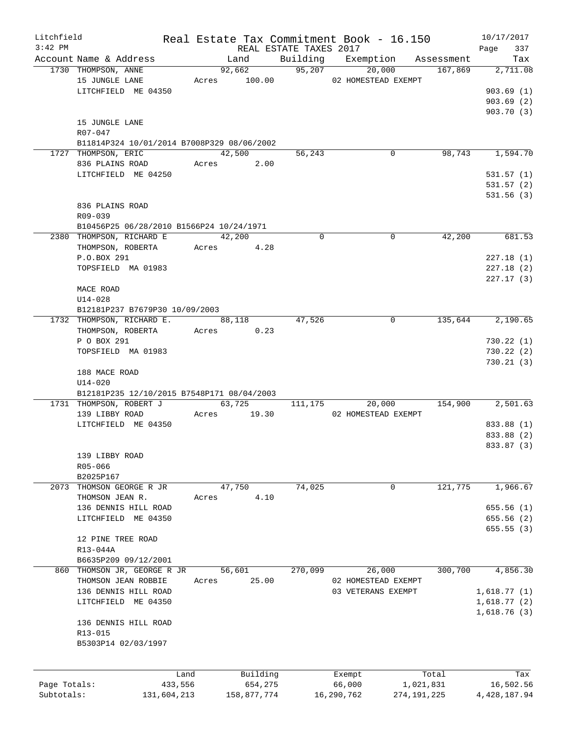| Litchfield   |                                            |       |              |                        | Real Estate Tax Commitment Book - 16.150 |               | 10/17/2017               |
|--------------|--------------------------------------------|-------|--------------|------------------------|------------------------------------------|---------------|--------------------------|
| $3:42$ PM    |                                            |       |              | REAL ESTATE TAXES 2017 |                                          |               | 337<br>Page              |
|              | Account Name & Address                     |       | Land         |                        | Building Exemption                       | Assessment    | Tax                      |
|              | 1730 THOMPSON, ANNE                        |       | 92,662       | 95,207                 | 20,000                                   | 167,869       | 2,711.08                 |
|              | 15 JUNGLE LANE                             |       | Acres 100.00 |                        | 02 HOMESTEAD EXEMPT                      |               |                          |
|              | LITCHFIELD ME 04350                        |       |              |                        |                                          |               | 903.69(1)                |
|              |                                            |       |              |                        |                                          |               | 903.69(2)                |
|              |                                            |       |              |                        |                                          |               | 903.70 (3)               |
|              | 15 JUNGLE LANE                             |       |              |                        |                                          |               |                          |
|              | R07-047                                    |       |              |                        |                                          |               |                          |
|              | B11814P324 10/01/2014 B7008P329 08/06/2002 |       |              |                        |                                          |               |                          |
|              | 1727 THOMPSON, ERIC                        |       | 42,500       | 56,243                 | 0                                        | 98,743        | 1,594.70                 |
|              | 836 PLAINS ROAD                            |       | Acres 2.00   |                        |                                          |               |                          |
|              | LITCHFIELD ME 04250                        |       |              |                        |                                          |               | 531.57(1)                |
|              |                                            |       |              |                        |                                          |               | 531.57(2)                |
|              |                                            |       |              |                        |                                          |               | 531.56(3)                |
|              | 836 PLAINS ROAD                            |       |              |                        |                                          |               |                          |
|              | R09-039                                    |       |              |                        |                                          |               |                          |
|              | B10456P25 06/28/2010 B1566P24 10/24/1971   |       |              |                        |                                          |               |                          |
|              | 2380 THOMPSON, RICHARD E                   |       | 42,200       | $\Omega$               | $\mathbf 0$                              | 42,200        | 681.53                   |
|              | THOMPSON, ROBERTA                          |       | Acres 4.28   |                        |                                          |               |                          |
|              | P.O.BOX 291                                |       |              |                        |                                          |               | 227.18(1)                |
|              | TOPSFIELD MA 01983                         |       |              |                        |                                          |               | 227.18(2)                |
|              |                                            |       |              |                        |                                          |               | 227.17(3)                |
|              | MACE ROAD                                  |       |              |                        |                                          |               |                          |
|              | $U14 - 028$                                |       |              |                        |                                          |               |                          |
|              | B12181P237 B7679P30 10/09/2003             |       |              |                        |                                          |               |                          |
|              | 1732 THOMPSON, RICHARD E.                  |       | 88,118       | 47,526                 | $\mathbf 0$                              | 135,644       | 2,190.65                 |
|              | THOMPSON, ROBERTA                          |       | Acres 0.23   |                        |                                          |               |                          |
|              | P O BOX 291                                |       |              |                        |                                          |               | 730.22(1)                |
|              | TOPSFIELD MA 01983                         |       |              |                        |                                          |               | 730.22(2)                |
|              |                                            |       |              |                        |                                          |               | 730.21(3)                |
|              | 188 MACE ROAD                              |       |              |                        |                                          |               |                          |
|              | $U14 - 020$                                |       |              |                        |                                          |               |                          |
|              | B12181P235 12/10/2015 B7548P171 08/04/2003 |       |              |                        |                                          |               |                          |
|              | 1731 THOMPSON, ROBERT J                    |       | 63,725       | 111,175                | 20,000                                   | 154,900       | 2,501.63                 |
|              | 139 LIBBY ROAD                             |       | Acres 19.30  |                        | 02 HOMESTEAD EXEMPT                      |               |                          |
|              | LITCHFIELD ME 04350                        |       |              |                        |                                          |               | 833.88 (1)               |
|              |                                            |       |              |                        |                                          |               |                          |
|              |                                            |       |              |                        |                                          |               | 833.88 (2)<br>833.87 (3) |
|              |                                            |       |              |                        |                                          |               |                          |
|              | 139 LIBBY ROAD                             |       |              |                        |                                          |               |                          |
|              | R05-066                                    |       |              |                        |                                          |               |                          |
|              | B2025P167                                  |       |              |                        |                                          |               |                          |
| 2073         | THOMSON GEORGE R JR                        |       | 47,750       | 74,025                 | 0                                        | 121,775       | 1,966.67                 |
|              | THOMSON JEAN R.                            | Acres | 4.10         |                        |                                          |               |                          |
|              | 136 DENNIS HILL ROAD                       |       |              |                        |                                          |               | 655.56(1)                |
|              | LITCHFIELD ME 04350                        |       |              |                        |                                          |               | 655.56 (2)               |
|              |                                            |       |              |                        |                                          |               | 655.55(3)                |
|              | 12 PINE TREE ROAD                          |       |              |                        |                                          |               |                          |
|              | R13-044A                                   |       |              |                        |                                          |               |                          |
|              | B6635P209 09/12/2001                       |       |              |                        |                                          |               |                          |
| 860          | THOMSON JR, GEORGE R JR                    |       | 56,601       | 270,099                | 26,000                                   | 300,700       | 4,856.30                 |
|              | THOMSON JEAN ROBBIE                        | Acres | 25.00        |                        | 02 HOMESTEAD EXEMPT                      |               |                          |
|              | 136 DENNIS HILL ROAD                       |       |              |                        | 03 VETERANS EXEMPT                       |               | 1,618.77(1)              |
|              | LITCHFIELD ME 04350                        |       |              |                        |                                          |               | 1,618.77(2)              |
|              |                                            |       |              |                        |                                          |               | 1,618.76(3)              |
|              | 136 DENNIS HILL ROAD                       |       |              |                        |                                          |               |                          |
|              | R13-015                                    |       |              |                        |                                          |               |                          |
|              | B5303P14 02/03/1997                        |       |              |                        |                                          |               |                          |
|              |                                            |       |              |                        |                                          |               |                          |
|              |                                            |       |              |                        |                                          |               |                          |
|              |                                            | Land  | Building     |                        | Exempt                                   | Total         | Tax                      |
| Page Totals: | 433,556                                    |       | 654,275      |                        | 66,000                                   | 1,021,831     | 16,502.56                |
| Subtotals:   | 131,604,213                                |       | 158,877,774  |                        | 16,290,762                               | 274, 191, 225 | 4, 428, 187. 94          |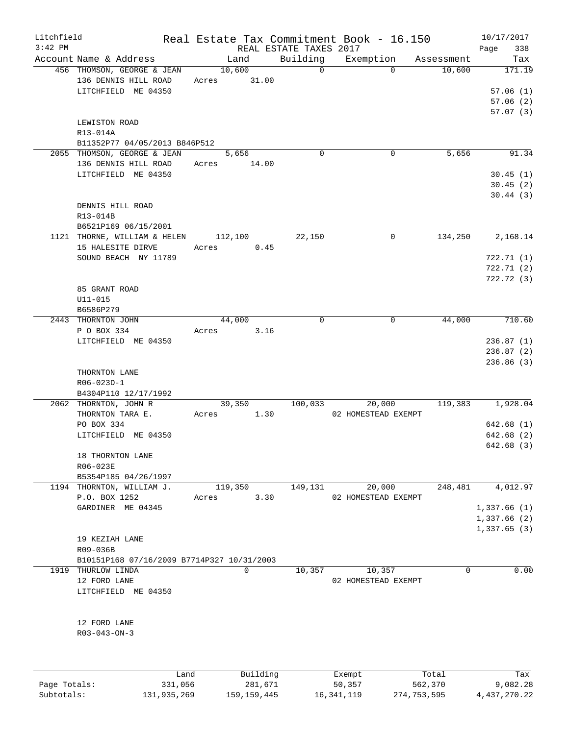| Litchfield   |                                            |                |                        | Real Estate Tax Commitment Book - 16.150 |             | 10/17/2017   |
|--------------|--------------------------------------------|----------------|------------------------|------------------------------------------|-------------|--------------|
| $3:42$ PM    |                                            |                | REAL ESTATE TAXES 2017 |                                          |             | 338<br>Page  |
|              | Account Name & Address                     | Land           | Building               | Exemption                                | Assessment  | Tax          |
|              | 456 THOMSON, GEORGE & JEAN                 | 10,600         | $\mathbf 0$            | $\Omega$                                 | 10,600      | 171.19       |
|              | 136 DENNIS HILL ROAD                       | 31.00<br>Acres |                        |                                          |             |              |
|              | LITCHFIELD ME 04350                        |                |                        |                                          |             | 57.06(1)     |
|              |                                            |                |                        |                                          |             | 57.06(2)     |
|              |                                            |                |                        |                                          |             | 57.07(3)     |
|              | LEWISTON ROAD                              |                |                        |                                          |             |              |
|              | R13-014A                                   |                |                        |                                          |             |              |
|              | B11352P77 04/05/2013 B846P512              |                |                        |                                          |             |              |
|              | 2055 THOMSON, GEORGE & JEAN                | 5,656          | 0                      | 0                                        | 5,656       | 91.34        |
|              | 136 DENNIS HILL ROAD                       | Acres<br>14.00 |                        |                                          |             |              |
|              | LITCHFIELD ME 04350                        |                |                        |                                          |             | 30.45(1)     |
|              |                                            |                |                        |                                          |             | 30.45(2)     |
|              |                                            |                |                        |                                          |             | 30.44(3)     |
|              | DENNIS HILL ROAD                           |                |                        |                                          |             |              |
|              | R13-014B                                   |                |                        |                                          |             |              |
|              | B6521P169 06/15/2001                       |                |                        |                                          |             |              |
|              | 1121 THORNE, WILLIAM & HELEN               | 112,100        | 22,150                 | 0                                        | 134,250     | 2,168.14     |
|              | 15 HALESITE DIRVE                          | Acres          | 0.45                   |                                          |             |              |
|              |                                            |                |                        |                                          |             |              |
|              | SOUND BEACH NY 11789                       |                |                        |                                          |             | 722.71(1)    |
|              |                                            |                |                        |                                          |             | 722.71(2)    |
|              |                                            |                |                        |                                          |             | 722.72(3)    |
|              | 85 GRANT ROAD                              |                |                        |                                          |             |              |
|              | $U11 - 015$                                |                |                        |                                          |             |              |
|              | B6586P279                                  |                |                        |                                          |             |              |
|              | 2443 THORNTON JOHN                         | 44,000         | $\mathbf 0$            | 0                                        | 44,000      | 710.60       |
|              | P O BOX 334                                | Acres          | 3.16                   |                                          |             |              |
|              | LITCHFIELD ME 04350                        |                |                        |                                          |             | 236.87(1)    |
|              |                                            |                |                        |                                          |             | 236.87(2)    |
|              |                                            |                |                        |                                          |             | 236.86(3)    |
|              | THORNTON LANE                              |                |                        |                                          |             |              |
|              | R06-023D-1                                 |                |                        |                                          |             |              |
|              | B4304P110 12/17/1992                       |                |                        |                                          |             |              |
|              | 2062 THORNTON, JOHN R                      | 39,350         | 100,033                | 20,000                                   | 119,383     | 1,928.04     |
|              | THORNTON TARA E.                           | Acres          | 1.30                   | 02 HOMESTEAD EXEMPT                      |             |              |
|              | PO BOX 334                                 |                |                        |                                          |             | 642.68(1)    |
|              | LITCHFIELD ME 04350                        |                |                        |                                          |             | 642.68 (2)   |
|              |                                            |                |                        |                                          |             | 642.68 (3)   |
|              | 18 THORNTON LANE                           |                |                        |                                          |             |              |
|              |                                            |                |                        |                                          |             |              |
|              | R06-023E                                   |                |                        |                                          |             |              |
|              | B5354P185 04/26/1997                       |                |                        |                                          |             |              |
|              | 1194 THORNTON, WILLIAM J.                  | 119,350        | 149,131                | 20,000                                   | 248,481     | 4,012.97     |
|              | P.O. BOX 1252                              | Acres          | 3.30                   | 02 HOMESTEAD EXEMPT                      |             |              |
|              | GARDINER ME 04345                          |                |                        |                                          |             | 1,337.66(1)  |
|              |                                            |                |                        |                                          |             | 1,337.66 (2) |
|              |                                            |                |                        |                                          |             | 1,337.65(3)  |
|              | 19 KEZIAH LANE                             |                |                        |                                          |             |              |
|              | R09-036B                                   |                |                        |                                          |             |              |
|              | B10151P168 07/16/2009 B7714P327 10/31/2003 |                |                        |                                          |             |              |
|              | 1919 THURLOW LINDA                         | $\Omega$       | 10,357                 | 10,357                                   | $\mathbf 0$ | 0.00         |
|              | 12 FORD LANE                               |                |                        | 02 HOMESTEAD EXEMPT                      |             |              |
|              | LITCHFIELD ME 04350                        |                |                        |                                          |             |              |
|              |                                            |                |                        |                                          |             |              |
|              |                                            |                |                        |                                          |             |              |
|              |                                            |                |                        |                                          |             |              |
|              | 12 FORD LANE                               |                |                        |                                          |             |              |
|              | $R03 - 043 - ON - 3$                       |                |                        |                                          |             |              |
|              |                                            |                |                        |                                          |             |              |
|              |                                            |                |                        |                                          |             |              |
|              |                                            |                |                        |                                          |             |              |
|              | Land                                       | Building       |                        | Exempt                                   | Total       | Tax          |
| Page Totals: | 331,056                                    | 281,671        |                        | 50,357                                   | 562,370     | 9,082.28     |

Subtotals: 131,935,269 159,159,445 16,341,119 274,753,595 4,437,270.22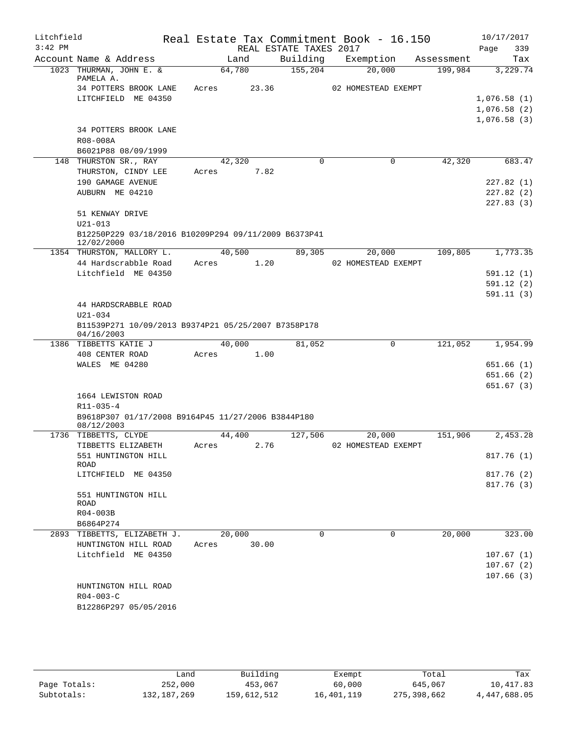| Litchfield |                                                                    |       |                |                        | Real Estate Tax Commitment Book - 16.150 |            | 10/17/2017             |
|------------|--------------------------------------------------------------------|-------|----------------|------------------------|------------------------------------------|------------|------------------------|
| $3:42$ PM  |                                                                    |       |                | REAL ESTATE TAXES 2017 |                                          |            | Page<br>339            |
|            | Account Name & Address                                             |       | Land           | Building               | Exemption                                | Assessment | Tax                    |
|            | 1023 THURMAN, JOHN E. &<br>PAMELA A.                               |       | 64,780         | 155, 204               | 20,000                                   | 199,984    | 3,229.74               |
|            | 34 POTTERS BROOK LANE                                              | Acres | 23.36          |                        | 02 HOMESTEAD EXEMPT                      |            |                        |
|            | LITCHFIELD ME 04350                                                |       |                |                        |                                          |            | 1,076.58(1)            |
|            |                                                                    |       |                |                        |                                          |            | 1,076.58(2)            |
|            |                                                                    |       |                |                        |                                          |            | 1,076.58(3)            |
|            | 34 POTTERS BROOK LANE                                              |       |                |                        |                                          |            |                        |
|            | R08-008A                                                           |       |                |                        |                                          |            |                        |
|            | B6021P88 08/09/1999                                                |       |                | $\Omega$               |                                          | 42,320     |                        |
|            | 148 THURSTON SR., RAY<br>THURSTON, CINDY LEE                       | Acres | 42,320<br>7.82 |                        | 0                                        |            | 683.47                 |
|            | 190 GAMAGE AVENUE                                                  |       |                |                        |                                          |            | 227.82(1)              |
|            | AUBURN ME 04210                                                    |       |                |                        |                                          |            | 227.82(2)              |
|            |                                                                    |       |                |                        |                                          |            | 227.83(3)              |
|            | 51 KENWAY DRIVE                                                    |       |                |                        |                                          |            |                        |
|            | $U21 - 013$                                                        |       |                |                        |                                          |            |                        |
|            | B12250P229 03/18/2016 B10209P294 09/11/2009 B6373P41<br>12/02/2000 |       |                |                        |                                          |            |                        |
|            | 1354 THURSTON, MALLORY L.                                          |       | 40,500         | 89,305                 | 20,000                                   | 109,805    | 1,773.35               |
|            | 44 Hardscrabble Road                                               | Acres | 1.20           |                        | 02 HOMESTEAD EXEMPT                      |            |                        |
|            | Litchfield ME 04350                                                |       |                |                        |                                          |            | 591.12(1)              |
|            |                                                                    |       |                |                        |                                          |            | 591.12(2)              |
|            |                                                                    |       |                |                        |                                          |            | 591.11(3)              |
|            | 44 HARDSCRABBLE ROAD                                               |       |                |                        |                                          |            |                        |
|            | $U21 - 034$                                                        |       |                |                        |                                          |            |                        |
|            | B11539P271 10/09/2013 B9374P21 05/25/2007 B7358P178<br>04/16/2003  |       |                |                        |                                          |            |                        |
|            | 1386 TIBBETTS KATIE J                                              |       | 40,000         | 81,052                 | $\mathbf 0$                              | 121,052    | 1,954.99               |
|            | 408 CENTER ROAD                                                    | Acres | 1.00           |                        |                                          |            |                        |
|            | WALES ME 04280                                                     |       |                |                        |                                          |            | 651.66(1)              |
|            |                                                                    |       |                |                        |                                          |            | 651.66(2)              |
|            |                                                                    |       |                |                        |                                          |            | 651.67 (3)             |
|            | 1664 LEWISTON ROAD                                                 |       |                |                        |                                          |            |                        |
|            | R11-035-4                                                          |       |                |                        |                                          |            |                        |
|            | B9618P307 01/17/2008 B9164P45 11/27/2006 B3844P180<br>08/12/2003   |       |                |                        |                                          |            |                        |
|            | 1736 TIBBETTS, CLYDE                                               |       | 44,400         | 127,506                | 20,000                                   | 151,906    | 2,453.28               |
|            | TIBBETTS ELIZABETH                                                 | Acres | 2.76           |                        | 02 HOMESTEAD EXEMPT                      |            |                        |
|            | 551 HUNTINGTON HILL<br>ROAD                                        |       |                |                        |                                          |            | 817.76(1)              |
|            | LITCHFIELD ME 04350                                                |       |                |                        |                                          |            | 817.76 (2)             |
|            |                                                                    |       |                |                        |                                          |            | 817.76(3)              |
|            | 551 HUNTINGTON HILL                                                |       |                |                        |                                          |            |                        |
|            | ROAD                                                               |       |                |                        |                                          |            |                        |
|            | R04-003B                                                           |       |                |                        |                                          |            |                        |
|            | B6864P274                                                          |       |                |                        |                                          |            |                        |
|            | 2893 TIBBETTS, ELIZABETH J.                                        |       | 20,000         | $\Omega$               | 0                                        | 20,000     | 323.00                 |
|            | HUNTINGTON HILL ROAD<br>Litchfield ME 04350                        | Acres | 30.00          |                        |                                          |            |                        |
|            |                                                                    |       |                |                        |                                          |            | 107.67(1)<br>107.67(2) |
|            |                                                                    |       |                |                        |                                          |            | 107.66(3)              |
|            | HUNTINGTON HILL ROAD                                               |       |                |                        |                                          |            |                        |
|            | $R04 - 003 - C$                                                    |       |                |                        |                                          |            |                        |
|            | B12286P297 05/05/2016                                              |       |                |                        |                                          |            |                        |
|            |                                                                    |       |                |                        |                                          |            |                        |
|            |                                                                    |       |                |                        |                                          |            |                        |

|              | Land        | Building    | Exempt     | Total       | Tax          |
|--------------|-------------|-------------|------------|-------------|--------------|
| Page Totals: | 252,000     | 453,067     | 60,000     | 645,067     | 10,417.83    |
| Subtotals:   | 132,187,269 | 159,612,512 | 16,401,119 | 275,398,662 | 4,447,688.05 |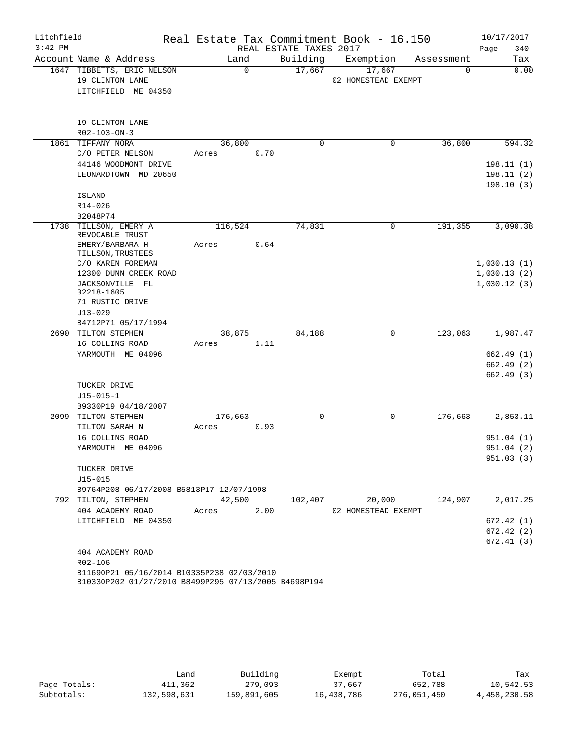| Litchfield |                                            |          |      |                        | Real Estate Tax Commitment Book - 16.150 |            | 10/17/2017  |
|------------|--------------------------------------------|----------|------|------------------------|------------------------------------------|------------|-------------|
| $3:42$ PM  |                                            |          |      | REAL ESTATE TAXES 2017 |                                          |            | Page<br>340 |
|            | Account Name & Address                     | Land     |      | Building               | Exemption                                | Assessment | Tax         |
|            | 1647 TIBBETTS, ERIC NELSON                 | $\Omega$ |      | 17,667                 | 17,667                                   | $\Omega$   | 0.00        |
|            | 19 CLINTON LANE                            |          |      |                        | 02 HOMESTEAD EXEMPT                      |            |             |
|            | LITCHFIELD ME 04350                        |          |      |                        |                                          |            |             |
|            |                                            |          |      |                        |                                          |            |             |
|            |                                            |          |      |                        |                                          |            |             |
|            | 19 CLINTON LANE                            |          |      |                        |                                          |            |             |
|            | R02-103-ON-3                               |          |      |                        |                                          |            |             |
|            | 1861 TIFFANY NORA                          | 36,800   |      | 0                      | 0                                        | 36,800     | 594.32      |
|            | C/O PETER NELSON                           | Acres    | 0.70 |                        |                                          |            |             |
|            | 44146 WOODMONT DRIVE                       |          |      |                        |                                          |            | 198.11(1)   |
|            | LEONARDTOWN MD 20650                       |          |      |                        |                                          |            | 198.11(2)   |
|            |                                            |          |      |                        |                                          |            | 198.10(3)   |
|            | <b>ISLAND</b>                              |          |      |                        |                                          |            |             |
|            | $R14 - 026$                                |          |      |                        |                                          |            |             |
|            | B2048P74                                   |          |      |                        |                                          |            |             |
|            | 1738 TILLSON, EMERY A                      | 116,524  |      | 74,831                 | 0                                        | 191,355    | 3,090.38    |
|            | REVOCABLE TRUST                            |          |      |                        |                                          |            |             |
|            | EMERY/BARBARA H                            | Acres    | 0.64 |                        |                                          |            |             |
|            | TILLSON, TRUSTEES                          |          |      |                        |                                          |            |             |
|            | C/O KAREN FOREMAN                          |          |      |                        |                                          |            | 1,030.13(1) |
|            | 12300 DUNN CREEK ROAD                      |          |      |                        |                                          |            | 1,030.13(2) |
|            | JACKSONVILLE FL<br>32218-1605              |          |      |                        |                                          |            | 1,030.12(3) |
|            | 71 RUSTIC DRIVE                            |          |      |                        |                                          |            |             |
|            | $U13 - 029$                                |          |      |                        |                                          |            |             |
|            | B4712P71 05/17/1994                        |          |      |                        |                                          |            |             |
|            | 2690 TILTON STEPHEN                        | 38,875   |      | 84,188                 | 0                                        | 123,063    | 1,987.47    |
|            | 16 COLLINS ROAD                            | Acres    | 1.11 |                        |                                          |            |             |
|            | YARMOUTH ME 04096                          |          |      |                        |                                          |            | 662.49 (1)  |
|            |                                            |          |      |                        |                                          |            | 662.49 (2)  |
|            |                                            |          |      |                        |                                          |            | 662.49 (3)  |
|            | TUCKER DRIVE                               |          |      |                        |                                          |            |             |
|            | $U15 - 015 - 1$                            |          |      |                        |                                          |            |             |
|            | B9330P19 04/18/2007                        |          |      |                        |                                          |            |             |
|            | 2099 TILTON STEPHEN                        | 176,663  |      | $\mathbf 0$            | 0                                        | 176,663    | 2,853.11    |
|            | TILTON SARAH N                             | Acres    | 0.93 |                        |                                          |            |             |
|            | 16 COLLINS ROAD                            |          |      |                        |                                          |            | 951.04(1)   |
|            | YARMOUTH ME 04096                          |          |      |                        |                                          |            | 951.04 (2)  |
|            |                                            |          |      |                        |                                          |            | 951.03(3)   |
|            | TUCKER DRIVE                               |          |      |                        |                                          |            |             |
|            | $U15 - 015$                                |          |      |                        |                                          |            |             |
|            | B9764P208 06/17/2008 B5813P17 12/07/1998   |          |      |                        |                                          |            |             |
|            | 792 TILTON, STEPHEN                        | 42,500   |      | 102,407                | 20,000                                   | 124,907    | 2,017.25    |
|            | 404 ACADEMY ROAD                           | Acres    | 2.00 |                        | 02 HOMESTEAD EXEMPT                      |            |             |
|            | LITCHFIELD ME 04350                        |          |      |                        |                                          |            | 672.42(1)   |
|            |                                            |          |      |                        |                                          |            | 672.42 (2)  |
|            |                                            |          |      |                        |                                          |            | 672.41(3)   |
|            | 404 ACADEMY ROAD                           |          |      |                        |                                          |            |             |
|            | R02-106                                    |          |      |                        |                                          |            |             |
|            | B11690P21 05/16/2014 B10335P238 02/03/2010 |          |      |                        |                                          |            |             |

B10330P202 01/27/2010 B8499P295 07/13/2005 B4698P194

|              | Land        | Building    | Exempt     | Total       | Tax          |
|--------------|-------------|-------------|------------|-------------|--------------|
| Page Totals: | 411,362     | 279,093     | 37,667     | 652,788     | 10,542.53    |
| Subtotals:   | 132,598,631 | 159,891,605 | 16,438,786 | 276,051,450 | 4,458,230.58 |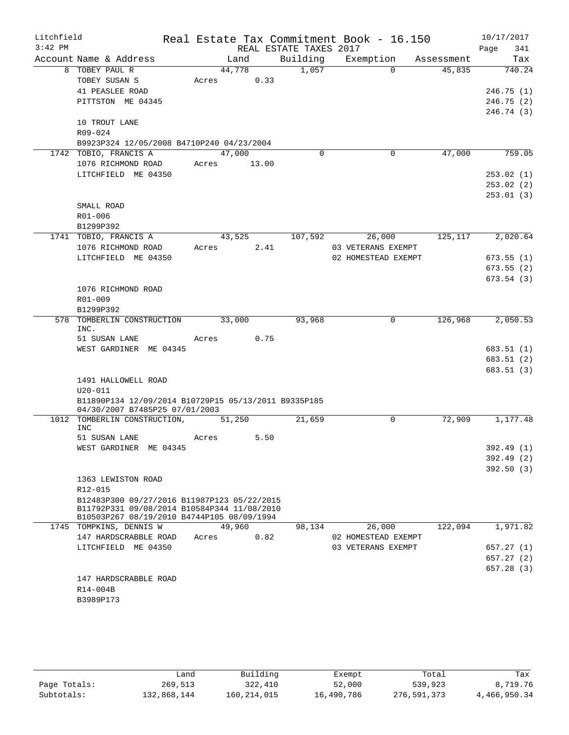| Litchfield<br>$3:42$ PM |                                                      |                | REAL ESTATE TAXES 2017 | Real Estate Tax Commitment Book - 16.150  |            | 10/17/2017<br>Page<br>341 |
|-------------------------|------------------------------------------------------|----------------|------------------------|-------------------------------------------|------------|---------------------------|
|                         | Account Name & Address                               | Land           | Building               | Exemption                                 | Assessment | Tax                       |
|                         | 8 TOBEY PAUL R                                       | 44,778         | 1,057                  | $\Omega$                                  | 45,835     | 740.24                    |
|                         | TOBEY SUSAN S                                        | 0.33<br>Acres  |                        |                                           |            |                           |
|                         | 41 PEASLEE ROAD                                      |                |                        |                                           |            | 246.75 (1)                |
|                         | PITTSTON ME 04345                                    |                |                        |                                           |            | 246.75(2)                 |
|                         |                                                      |                |                        |                                           |            | 246.74 (3)                |
|                         | 10 TROUT LANE                                        |                |                        |                                           |            |                           |
|                         | R09-024                                              |                |                        |                                           |            |                           |
|                         | B9923P324 12/05/2008 B4710P240 04/23/2004            |                |                        |                                           |            |                           |
|                         | 1742 TOBIO, FRANCIS A                                | 47,000         | $\Omega$               | 0                                         | 47,000     | 759.05                    |
|                         | 1076 RICHMOND ROAD                                   | Acres<br>13.00 |                        |                                           |            |                           |
|                         | LITCHFIELD ME 04350                                  |                |                        |                                           |            | 253.02(1)                 |
|                         |                                                      |                |                        |                                           |            | 253.02(2)<br>253.01(3)    |
|                         | SMALL ROAD                                           |                |                        |                                           |            |                           |
|                         | R01-006                                              |                |                        |                                           |            |                           |
|                         | B1299P392                                            |                |                        |                                           |            |                           |
|                         | 1741 TOBIO, FRANCIS A                                | 43,525         | 107,592                | 26,000                                    | 125,117    | 2,020.64                  |
|                         | 1076 RICHMOND ROAD                                   | 2.41<br>Acres  |                        | 03 VETERANS EXEMPT                        |            |                           |
|                         | LITCHFIELD ME 04350                                  |                |                        | 02 HOMESTEAD EXEMPT                       |            | 673.55(1)                 |
|                         |                                                      |                |                        |                                           |            | 673.55(2)                 |
|                         |                                                      |                |                        |                                           |            | 673.54(3)                 |
|                         | 1076 RICHMOND ROAD                                   |                |                        |                                           |            |                           |
|                         | R01-009                                              |                |                        |                                           |            |                           |
|                         | B1299P392                                            |                |                        |                                           |            |                           |
| 578                     | TOMBERLIN CONSTRUCTION                               | 33,000         | 93,968                 | 0                                         | 126,968    | 2,050.53                  |
|                         | INC.<br>51 SUSAN LANE                                | 0.75<br>Acres  |                        |                                           |            |                           |
|                         | WEST GARDINER ME 04345                               |                |                        |                                           |            | 683.51 (1)                |
|                         |                                                      |                |                        |                                           |            | 683.51 (2)                |
|                         |                                                      |                |                        |                                           |            | 683.51 (3)                |
|                         | 1491 HALLOWELL ROAD                                  |                |                        |                                           |            |                           |
|                         | $U20 - 011$                                          |                |                        |                                           |            |                           |
|                         | B11890P134 12/09/2014 B10729P15 05/13/2011 B9335P185 |                |                        |                                           |            |                           |
|                         | 04/30/2007 B7485P25 07/01/2003                       |                |                        |                                           |            |                           |
| 1012                    | TOMBERLIN CONSTRUCTION,                              | 51,250         | 21,659                 | 0                                         | 72,909     | 1,177.48                  |
|                         | <b>INC</b><br>51 SUSAN LANE                          | 5.50<br>Acres  |                        |                                           |            |                           |
|                         | WEST GARDINER ME 04345                               |                |                        |                                           |            | 392.49 (1)                |
|                         |                                                      |                |                        |                                           |            | 392.49 (2)                |
|                         |                                                      |                |                        |                                           |            | 392.50(3)                 |
|                         | 1363 LEWISTON ROAD                                   |                |                        |                                           |            |                           |
|                         | R12-015                                              |                |                        |                                           |            |                           |
|                         | B12483P300 09/27/2016 B11987P123 05/22/2015          |                |                        |                                           |            |                           |
|                         | B11792P331 09/08/2014 B10584P344 11/08/2010          |                |                        |                                           |            |                           |
|                         | B10503P267 08/19/2010 B4744P105 08/09/1994           |                |                        |                                           |            |                           |
|                         | 1745 TOMPKINS, DENNIS W<br>147 HARDSCRABBLE ROAD     | 49,960         | 98,134                 | 26,000                                    | 122,094    | 1,971.82                  |
|                         | LITCHFIELD ME 04350                                  | Acres<br>0.82  |                        | 02 HOMESTEAD EXEMPT<br>03 VETERANS EXEMPT |            | 657.27(1)                 |
|                         |                                                      |                |                        |                                           |            | 657.27(2)                 |
|                         |                                                      |                |                        |                                           |            | 657.28(3)                 |
|                         | 147 HARDSCRABBLE ROAD                                |                |                        |                                           |            |                           |
|                         | R14-004B                                             |                |                        |                                           |            |                           |
|                         | B3989P173                                            |                |                        |                                           |            |                           |
|                         |                                                      |                |                        |                                           |            |                           |

|              | Land        | Building    | Exempt     | Total       | Tax          |
|--------------|-------------|-------------|------------|-------------|--------------|
| Page Totals: | 269,513     | 322,410     | 52,000     | 539,923     | 8,719.76     |
| Subtotals:   | 132,868,144 | 160,214,015 | 16,490,786 | 276,591,373 | 4,466,950.34 |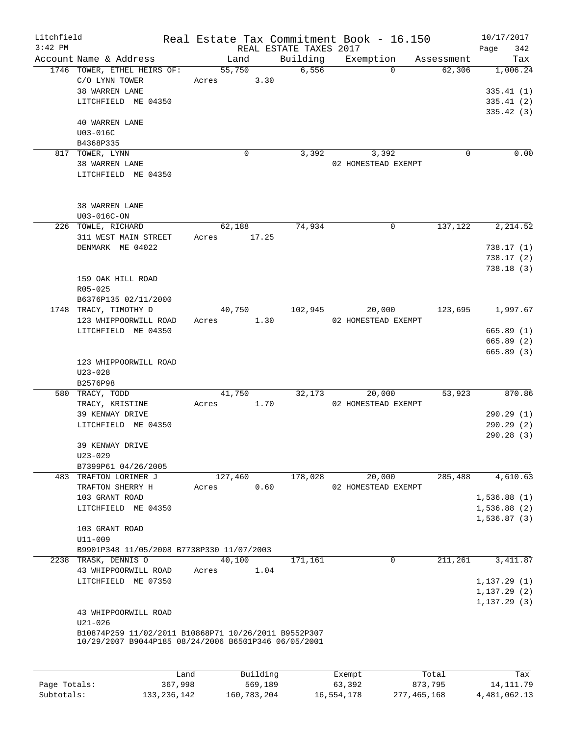| Litchfield<br>$3:42$ PM |                                                                                                              |             |          | REAL ESTATE TAXES 2017 | Real Estate Tax Commitment Book - 16.150 |                               | 10/17/2017<br>342<br>Page |
|-------------------------|--------------------------------------------------------------------------------------------------------------|-------------|----------|------------------------|------------------------------------------|-------------------------------|---------------------------|
|                         | Account Name & Address                                                                                       | Land        |          |                        |                                          | Building Exemption Assessment | Tax                       |
|                         | 1746 TOWER, ETHEL HEIRS OF:                                                                                  | 55,750      |          | 6,556                  |                                          | $\Omega$<br>62,306            | 1,006.24                  |
|                         | C/O LYNN TOWER<br>38 WARREN LANE                                                                             | Acres 3.30  |          |                        |                                          |                               | 335.41(1)                 |
|                         | LITCHFIELD ME 04350                                                                                          |             |          |                        |                                          |                               | 335.41(2)                 |
|                         |                                                                                                              |             |          |                        |                                          |                               | 335.42(3)                 |
|                         | <b>40 WARREN LANE</b>                                                                                        |             |          |                        |                                          |                               |                           |
|                         | U03-016C                                                                                                     |             |          |                        |                                          |                               |                           |
|                         | B4368P335                                                                                                    |             |          |                        |                                          |                               |                           |
|                         | 817 TOWER, LYNN                                                                                              |             | $\Omega$ | 3,392                  | 3,392                                    | $\Omega$                      | 0.00                      |
|                         | 38 WARREN LANE                                                                                               |             |          |                        | 02 HOMESTEAD EXEMPT                      |                               |                           |
|                         | LITCHFIELD ME 04350                                                                                          |             |          |                        |                                          |                               |                           |
|                         | 38 WARREN LANE                                                                                               |             |          |                        |                                          |                               |                           |
|                         | U03-016C-ON                                                                                                  |             |          |                        |                                          |                               |                           |
|                         | 226 TOWLE, RICHARD                                                                                           |             | 62,188   | 74,934                 |                                          | $\mathbf 0$                   | 137, 122 2, 214.52        |
|                         | 311 WEST MAIN STREET                                                                                         | Acres 17.25 |          |                        |                                          |                               |                           |
|                         | DENMARK ME 04022                                                                                             |             |          |                        |                                          |                               | 738.17(1)                 |
|                         |                                                                                                              |             |          |                        |                                          |                               | 738.17(2)                 |
|                         |                                                                                                              |             |          |                        |                                          |                               | 738.18(3)                 |
|                         | 159 OAK HILL ROAD                                                                                            |             |          |                        |                                          |                               |                           |
|                         | $R05 - 025$                                                                                                  |             |          |                        |                                          |                               |                           |
|                         | B6376P135 02/11/2000                                                                                         |             |          |                        |                                          |                               |                           |
|                         | 1748 TRACY, TIMOTHY D                                                                                        |             | 40,750   | 102,945                | 20,000                                   |                               | 123,695 1,997.67          |
|                         | 123 WHIPPOORWILL ROAD                                                                                        | Acres 1.30  |          |                        | 02 HOMESTEAD EXEMPT                      |                               |                           |
|                         | LITCHFIELD ME 04350                                                                                          |             |          |                        |                                          |                               | 665.89(1)                 |
|                         |                                                                                                              |             |          |                        |                                          |                               | 665.89 (2)                |
|                         |                                                                                                              |             |          |                        |                                          |                               | 665.89(3)                 |
|                         | 123 WHIPPOORWILL ROAD                                                                                        |             |          |                        |                                          |                               |                           |
|                         | $U23 - 028$                                                                                                  |             |          |                        |                                          |                               |                           |
|                         | B2576P98                                                                                                     |             |          |                        |                                          |                               |                           |
|                         | 580 TRACY, TODD                                                                                              |             | 41,750   | 32,173                 | 20,000                                   | 53,923                        | 870.86                    |
|                         | TRACY, KRISTINE                                                                                              | Acres       | 1.70     |                        | 02 HOMESTEAD EXEMPT                      |                               |                           |
|                         | 39 KENWAY DRIVE                                                                                              |             |          |                        |                                          |                               | 290.29(1)                 |
|                         | LITCHFIELD ME 04350                                                                                          |             |          |                        |                                          |                               | 290.29(2)                 |
|                         |                                                                                                              |             |          |                        |                                          |                               | 290.28(3)                 |
|                         | 39 KENWAY DRIVE                                                                                              |             |          |                        |                                          |                               |                           |
|                         | $U23 - 029$<br>B7399P61 04/26/2005                                                                           |             |          |                        |                                          |                               |                           |
|                         | 483 TRAFTON LORIMER J                                                                                        | 127,460     |          | 178,028                | 20,000                                   | 285,488                       | 4,610.63                  |
|                         | TRAFTON SHERRY H                                                                                             | Acres       | 0.60     |                        | 02 HOMESTEAD EXEMPT                      |                               |                           |
|                         | 103 GRANT ROAD                                                                                               |             |          |                        |                                          |                               | 1,536.88(1)               |
|                         | LITCHFIELD ME 04350                                                                                          |             |          |                        |                                          |                               | 1,536.88(2)               |
|                         |                                                                                                              |             |          |                        |                                          |                               | 1,536.87(3)               |
|                         | 103 GRANT ROAD                                                                                               |             |          |                        |                                          |                               |                           |
|                         | U11-009                                                                                                      |             |          |                        |                                          |                               |                           |
|                         | B9901P348 11/05/2008 B7738P330 11/07/2003                                                                    |             |          |                        |                                          |                               |                           |
|                         | 2238 TRASK, DENNIS O                                                                                         | 40,100      |          | 171,161                |                                          | 211,261<br>0                  | 3, 411.87                 |
|                         | 43 WHIPPOORWILL ROAD                                                                                         | Acres       | 1.04     |                        |                                          |                               |                           |
|                         | LITCHFIELD ME 07350                                                                                          |             |          |                        |                                          |                               | 1, 137.29(1)              |
|                         |                                                                                                              |             |          |                        |                                          |                               | 1, 137.29(2)              |
|                         |                                                                                                              |             |          |                        |                                          |                               | 1, 137.29(3)              |
|                         | 43 WHIPPOORWILL ROAD                                                                                         |             |          |                        |                                          |                               |                           |
|                         | $U21 - 026$                                                                                                  |             |          |                        |                                          |                               |                           |
|                         | B10874P259 11/02/2011 B10868P71 10/26/2011 B9552P307<br>10/29/2007 B9044P185 08/24/2006 B6501P346 06/05/2001 |             |          |                        |                                          |                               |                           |
|                         |                                                                                                              |             |          |                        |                                          |                               |                           |
|                         |                                                                                                              |             |          |                        |                                          |                               |                           |

|              | Land        | Building    | Exempt     | Total       | Tax          |
|--------------|-------------|-------------|------------|-------------|--------------|
| Page Totals: | 367,998     | 569,189     | 63,392     | 873,795     | 14, 111, 79  |
| Subtotals:   | 133,236,142 | 160,783,204 | 16,554,178 | 277,465,168 | 4,481,062.13 |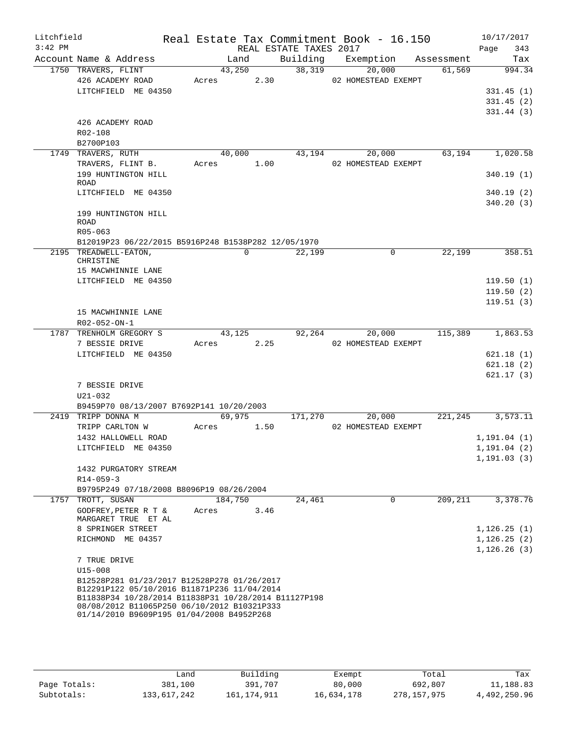| Litchfield<br>$3:42$ PM |                                                                                                                                                    |               |      | REAL ESTATE TAXES 2017 | Real Estate Tax Commitment Book - 16.150 |                      | 10/17/2017<br>Page<br>343 |
|-------------------------|----------------------------------------------------------------------------------------------------------------------------------------------------|---------------|------|------------------------|------------------------------------------|----------------------|---------------------------|
|                         | Account Name & Address                                                                                                                             | Land          |      | Building               |                                          | Exemption Assessment | Tax                       |
|                         | 1750 TRAVERS, FLINT                                                                                                                                | 43,250        |      | 38,319                 | 20,000                                   | 61,569               | 994.34                    |
|                         | 426 ACADEMY ROAD                                                                                                                                   | Acres         | 2.30 |                        | 02 HOMESTEAD EXEMPT                      |                      |                           |
|                         | LITCHFIELD ME 04350                                                                                                                                |               |      |                        |                                          |                      | 331.45(1)                 |
|                         |                                                                                                                                                    |               |      |                        |                                          |                      | 331.45(2)                 |
|                         |                                                                                                                                                    |               |      |                        |                                          |                      | 331.44(3)                 |
|                         | 426 ACADEMY ROAD                                                                                                                                   |               |      |                        |                                          |                      |                           |
|                         | R02-108                                                                                                                                            |               |      |                        |                                          |                      |                           |
|                         | B2700P103                                                                                                                                          |               |      |                        |                                          |                      |                           |
|                         | 1749 TRAVERS, RUTH                                                                                                                                 | 40,000        |      | 43,194                 | 20,000                                   | 63,194               | 1,020.58                  |
|                         | TRAVERS, FLINT B.                                                                                                                                  | Acres 1.00    |      |                        | 02 HOMESTEAD EXEMPT                      |                      |                           |
|                         | 199 HUNTINGTON HILL                                                                                                                                |               |      |                        |                                          |                      | 340.19(1)                 |
|                         | ROAD                                                                                                                                               |               |      |                        |                                          |                      |                           |
|                         | LITCHFIELD ME 04350                                                                                                                                |               |      |                        |                                          |                      | 340.19(2)                 |
|                         |                                                                                                                                                    |               |      |                        |                                          |                      | 340.20(3)                 |
|                         | 199 HUNTINGTON HILL<br>ROAD                                                                                                                        |               |      |                        |                                          |                      |                           |
|                         | $R05 - 063$                                                                                                                                        |               |      |                        |                                          |                      |                           |
|                         | B12019P23 06/22/2015 B5916P248 B1538P282 12/05/1970                                                                                                |               |      |                        |                                          |                      |                           |
|                         | 2195 TREADWELL-EATON,                                                                                                                              | $\Omega$      |      | 22,199                 | 0                                        | 22,199               | 358.51                    |
|                         | CHRISTINE                                                                                                                                          |               |      |                        |                                          |                      |                           |
|                         | 15 MACWHINNIE LANE                                                                                                                                 |               |      |                        |                                          |                      |                           |
|                         | LITCHFIELD ME 04350                                                                                                                                |               |      |                        |                                          |                      | 119.50(1)                 |
|                         |                                                                                                                                                    |               |      |                        |                                          |                      | 119.50(2)                 |
|                         |                                                                                                                                                    |               |      |                        |                                          |                      | 119.51(3)                 |
|                         | 15 MACWHINNIE LANE<br>R02-052-ON-1                                                                                                                 |               |      |                        |                                          |                      |                           |
|                         | 1787 TRENHOLM GREGORY S                                                                                                                            | 43,125        |      | 92,264                 | 20,000                                   | 115,389              | 1,863.53                  |
|                         | 7 BESSIE DRIVE                                                                                                                                     | 2.25<br>Acres |      |                        | 02 HOMESTEAD EXEMPT                      |                      |                           |
|                         | LITCHFIELD ME 04350                                                                                                                                |               |      |                        |                                          |                      | 621.18(1)                 |
|                         |                                                                                                                                                    |               |      |                        |                                          |                      | 621.18(2)                 |
|                         |                                                                                                                                                    |               |      |                        |                                          |                      | 621.17(3)                 |
|                         | 7 BESSIE DRIVE                                                                                                                                     |               |      |                        |                                          |                      |                           |
|                         | U21-032                                                                                                                                            |               |      |                        |                                          |                      |                           |
|                         | B9459P70 08/13/2007 B7692P141 10/20/2003                                                                                                           |               |      |                        |                                          |                      |                           |
|                         | 2419 TRIPP DONNA M                                                                                                                                 | 69,975        |      | 171,270                | 20,000                                   |                      | 221, 245 3, 573. 11       |
|                         | TRIPP CARLTON W                                                                                                                                    | Acres         | 1.50 |                        | 02 HOMESTEAD EXEMPT                      |                      |                           |
|                         | 1432 HALLOWELL ROAD                                                                                                                                |               |      |                        |                                          |                      | 1, 191.04(1)              |
|                         | LITCHFIELD ME 04350                                                                                                                                |               |      |                        |                                          |                      | 1, 191.04(2)              |
|                         |                                                                                                                                                    |               |      |                        |                                          |                      | 1, 191.03(3)              |
|                         | 1432 PURGATORY STREAM                                                                                                                              |               |      |                        |                                          |                      |                           |
|                         | $R14 - 059 - 3$                                                                                                                                    |               |      |                        |                                          |                      |                           |
|                         | B9795P249 07/18/2008 B8096P19 08/26/2004                                                                                                           |               |      |                        |                                          |                      |                           |
|                         | 1757 TROTT, SUSAN                                                                                                                                  | 184,750       |      | 24,461                 | $\Omega$                                 | 209,211              | 3,378.76                  |
|                         | GODFREY, PETER R T $\&$<br>MARGARET TRUE ET AL                                                                                                     | Acres         | 3.46 |                        |                                          |                      |                           |
|                         | 8 SPRINGER STREET                                                                                                                                  |               |      |                        |                                          |                      | 1, 126.25(1)              |
|                         | RICHMOND ME 04357                                                                                                                                  |               |      |                        |                                          |                      | 1, 126.25(2)              |
|                         |                                                                                                                                                    |               |      |                        |                                          |                      | 1,126.26(3)               |
|                         | 7 TRUE DRIVE                                                                                                                                       |               |      |                        |                                          |                      |                           |
|                         | $U15 - 008$                                                                                                                                        |               |      |                        |                                          |                      |                           |
|                         | B12528P281 01/23/2017 B12528P278 01/26/2017                                                                                                        |               |      |                        |                                          |                      |                           |
|                         | B12291P122 05/10/2016 B11871P236 11/04/2014<br>B11838P34 10/28/2014 B11838P31 10/28/2014 B11127P198<br>08/08/2012 B11065P250 06/10/2012 B10321P333 |               |      |                        |                                          |                      |                           |
|                         | 01/14/2010 B9609P195 01/04/2008 B4952P268                                                                                                          |               |      |                        |                                          |                      |                           |

|              | Land        | Building    | Exempt     | Total       | Tax          |
|--------------|-------------|-------------|------------|-------------|--------------|
| Page Totals: | 381,100     | 391,707     | 80,000     | 692,807     | 11,188.83    |
| Subtotals:   | 133,617,242 | 161,174,911 | 16,634,178 | 278,157,975 | 4,492,250.96 |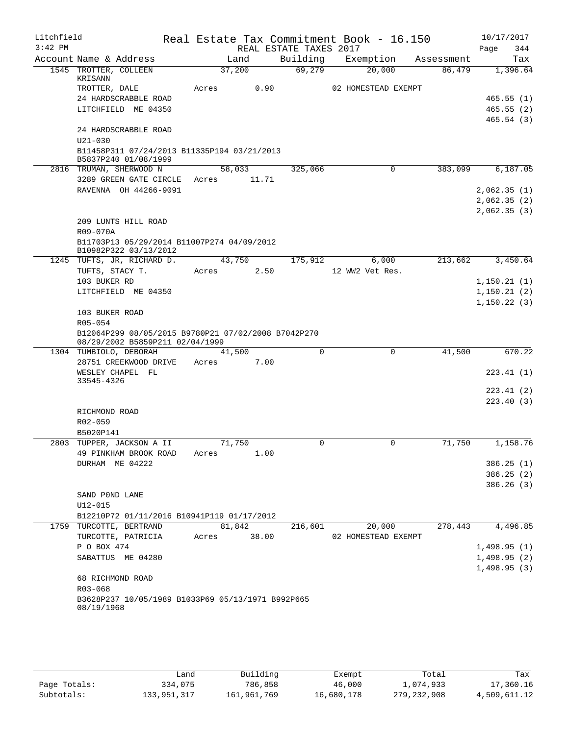| Litchfield<br>$3:42$ PM |                                                                                        |                | REAL ESTATE TAXES 2017 | Real Estate Tax Commitment Book - 16.150 |            | 10/17/2017<br>Page<br>344  |
|-------------------------|----------------------------------------------------------------------------------------|----------------|------------------------|------------------------------------------|------------|----------------------------|
|                         | Account Name & Address                                                                 | Land           | Building               | Exemption                                | Assessment | Tax                        |
|                         | 1545 TROTTER, COLLEEN<br>KRISANN                                                       | 37,200         | 69,279                 | 20,000                                   | 86,479     | 1,396.64                   |
|                         | TROTTER, DALE                                                                          | 0.90<br>Acres  |                        | 02 HOMESTEAD EXEMPT                      |            |                            |
|                         | 24 HARDSCRABBLE ROAD                                                                   |                |                        |                                          |            | 465.55(1)                  |
|                         | LITCHFIELD ME 04350                                                                    |                |                        |                                          |            | 465.55(2)                  |
|                         |                                                                                        |                |                        |                                          |            | 465.54(3)                  |
|                         | 24 HARDSCRABBLE ROAD<br>$U21 - 030$                                                    |                |                        |                                          |            |                            |
|                         | B11458P311 07/24/2013 B11335P194 03/21/2013<br>B5837P240 01/08/1999                    |                |                        |                                          |            |                            |
|                         | 2816 TRUMAN, SHERWOOD N                                                                | 58,033         | 325,066                | 0                                        | 383,099    | 6,187.05                   |
|                         | 3289 GREEN GATE CIRCLE                                                                 | 11.71<br>Acres |                        |                                          |            |                            |
|                         | RAVENNA OH 44266-9091                                                                  |                |                        |                                          |            | 2,062.35(1)                |
|                         |                                                                                        |                |                        |                                          |            | 2,062.35(2)                |
|                         |                                                                                        |                |                        |                                          |            | 2,062.35(3)                |
|                         | 209 LUNTS HILL ROAD                                                                    |                |                        |                                          |            |                            |
|                         | R09-070A                                                                               |                |                        |                                          |            |                            |
|                         | B11703P13 05/29/2014 B11007P274 04/09/2012<br>B10982P322 03/13/2012                    |                |                        |                                          |            |                            |
|                         | 1245 TUFTS, JR, RICHARD D.                                                             | 43,750         | 175,912                | 6,000                                    | 213,662    | 3,450.64                   |
|                         | TUFTS, STACY T.                                                                        | 2.50<br>Acres  |                        | 12 WW2 Vet Res.                          |            |                            |
|                         | 103 BUKER RD                                                                           |                |                        |                                          |            | 1,150.21(1)                |
|                         | LITCHFIELD ME 04350                                                                    |                |                        |                                          |            | 1,150.21(2)                |
|                         |                                                                                        |                |                        |                                          |            | 1, 150.22(3)               |
|                         | 103 BUKER ROAD                                                                         |                |                        |                                          |            |                            |
|                         | R05-054                                                                                |                |                        |                                          |            |                            |
|                         | B12064P299 08/05/2015 B9780P21 07/02/2008 B7042P270<br>08/29/2002 B5859P211 02/04/1999 |                |                        |                                          |            |                            |
|                         | 1304 TUMBIOLO, DEBORAH                                                                 | 41,500         | $\Omega$               | 0                                        | 41,500     | 670.22                     |
|                         | 28751 CREEKWOOD DRIVE                                                                  | Acres<br>7.00  |                        |                                          |            |                            |
|                         | WESLEY CHAPEL FL                                                                       |                |                        |                                          |            | 223.41(1)                  |
|                         | 33545-4326                                                                             |                |                        |                                          |            |                            |
|                         |                                                                                        |                |                        |                                          |            | 223.41 (2)                 |
|                         |                                                                                        |                |                        |                                          |            | 223.40 (3)                 |
|                         | RICHMOND ROAD                                                                          |                |                        |                                          |            |                            |
|                         | R02-059                                                                                |                |                        |                                          |            |                            |
|                         | B5020P141                                                                              |                |                        |                                          |            |                            |
|                         | 2803 TUPPER, JACKSON A II                                                              | 71,750         | 0                      | 0                                        | 71,750     | 1,158.76                   |
|                         | 49 PINKHAM BROOK ROAD                                                                  | 1.00<br>Acres  |                        |                                          |            |                            |
|                         | DURHAM ME 04222                                                                        |                |                        |                                          |            | 386.25(1)                  |
|                         |                                                                                        |                |                        |                                          |            | 386.25(2)                  |
|                         |                                                                                        |                |                        |                                          |            | 386.26(3)                  |
|                         | SAND POND LANE                                                                         |                |                        |                                          |            |                            |
|                         | $U12 - 015$                                                                            |                |                        |                                          |            |                            |
|                         | B12210P72 01/11/2016 B10941P119 01/17/2012<br>1759 TURCOTTE, BERTRAND                  | 81,842         |                        |                                          | 278,443    |                            |
|                         |                                                                                        | 38.00<br>Acres | 216,601                | 20,000                                   |            | 4,496.85                   |
|                         | TURCOTTE, PATRICIA<br>P O BOX 474                                                      |                |                        | 02 HOMESTEAD EXEMPT                      |            |                            |
|                         | SABATTUS ME 04280                                                                      |                |                        |                                          |            | 1,498.95(1)<br>1,498.95(2) |
|                         |                                                                                        |                |                        |                                          |            |                            |
|                         | 68 RICHMOND ROAD                                                                       |                |                        |                                          |            | 1,498.95(3)                |
|                         | R03-068                                                                                |                |                        |                                          |            |                            |
|                         | B3628P237 10/05/1989 B1033P69 05/13/1971 B992P665<br>08/19/1968                        |                |                        |                                          |            |                            |
|                         |                                                                                        |                |                        |                                          |            |                            |

|              | Land        | Building    | Exempt     | Total         | Tax          |
|--------------|-------------|-------------|------------|---------------|--------------|
| Page Totals: | 334,075     | 786,858     | 46,000     | 1,074,933     | 17,360.16    |
| Subtotals:   | 133,951,317 | 161,961,769 | 16,680,178 | 279, 232, 908 | 4,509,611.12 |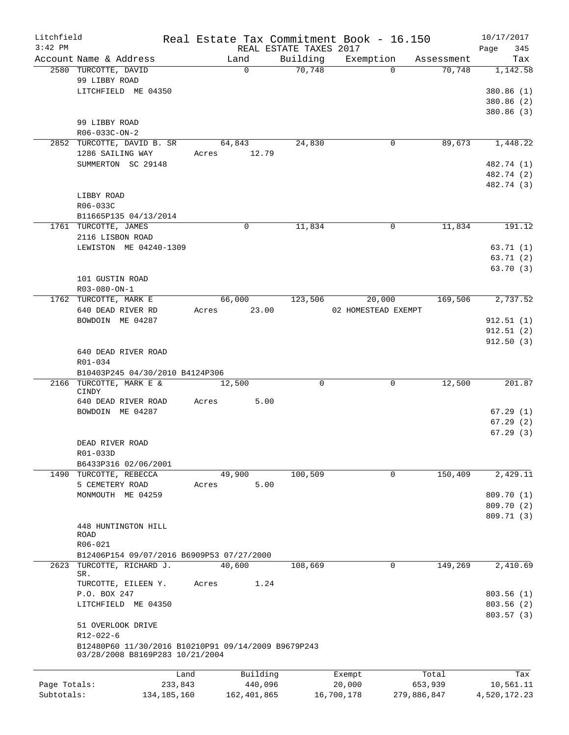| $3:42$ PM<br>REAL ESTATE TAXES 2017<br>Building<br>Account Name & Address<br>Exemption<br>Land<br>Assessment<br>70,748<br>2580 TURCOTTE, DAVID<br>$\Omega$<br>$\Omega$<br>70,748<br>99 LIBBY ROAD<br>LITCHFIELD ME 04350<br>99 LIBBY ROAD<br>R06-033C-ON-2<br>64,843<br>24,830<br>89,673<br>2852 TURCOTTE, DAVID B. SR<br>0<br>1286 SAILING WAY<br>Acres 12.79<br>SUMMERTON SC 29148<br>LIBBY ROAD<br>R06-033C<br>B11665P135 04/13/2014<br>1761 TURCOTTE, JAMES<br>11,834<br>$\Omega$<br>11,834<br>0<br>2116 LISBON ROAD<br>LEWISTON ME 04240-1309 | 10/17/2017             |
|----------------------------------------------------------------------------------------------------------------------------------------------------------------------------------------------------------------------------------------------------------------------------------------------------------------------------------------------------------------------------------------------------------------------------------------------------------------------------------------------------------------------------------------------------|------------------------|
|                                                                                                                                                                                                                                                                                                                                                                                                                                                                                                                                                    | 345<br>Page            |
|                                                                                                                                                                                                                                                                                                                                                                                                                                                                                                                                                    | Tax                    |
|                                                                                                                                                                                                                                                                                                                                                                                                                                                                                                                                                    | 1,142.58               |
|                                                                                                                                                                                                                                                                                                                                                                                                                                                                                                                                                    | 380.86 (1)             |
|                                                                                                                                                                                                                                                                                                                                                                                                                                                                                                                                                    | 380.86 (2)             |
|                                                                                                                                                                                                                                                                                                                                                                                                                                                                                                                                                    | 380.86 (3)             |
|                                                                                                                                                                                                                                                                                                                                                                                                                                                                                                                                                    |                        |
|                                                                                                                                                                                                                                                                                                                                                                                                                                                                                                                                                    |                        |
|                                                                                                                                                                                                                                                                                                                                                                                                                                                                                                                                                    | 1,448.22               |
|                                                                                                                                                                                                                                                                                                                                                                                                                                                                                                                                                    |                        |
|                                                                                                                                                                                                                                                                                                                                                                                                                                                                                                                                                    | 482.74 (1)             |
|                                                                                                                                                                                                                                                                                                                                                                                                                                                                                                                                                    | 482.74 (2)             |
|                                                                                                                                                                                                                                                                                                                                                                                                                                                                                                                                                    | 482.74 (3)             |
|                                                                                                                                                                                                                                                                                                                                                                                                                                                                                                                                                    |                        |
|                                                                                                                                                                                                                                                                                                                                                                                                                                                                                                                                                    |                        |
|                                                                                                                                                                                                                                                                                                                                                                                                                                                                                                                                                    | 191.12                 |
|                                                                                                                                                                                                                                                                                                                                                                                                                                                                                                                                                    |                        |
|                                                                                                                                                                                                                                                                                                                                                                                                                                                                                                                                                    | 63.71(1)               |
|                                                                                                                                                                                                                                                                                                                                                                                                                                                                                                                                                    | 63.71(2)               |
|                                                                                                                                                                                                                                                                                                                                                                                                                                                                                                                                                    | 63.70(3)               |
| 101 GUSTIN ROAD                                                                                                                                                                                                                                                                                                                                                                                                                                                                                                                                    |                        |
| R03-080-ON-1                                                                                                                                                                                                                                                                                                                                                                                                                                                                                                                                       |                        |
| 66,000<br>123,506<br>169,506<br>1762 TURCOTTE, MARK E<br>20,000                                                                                                                                                                                                                                                                                                                                                                                                                                                                                    | 2,737.52               |
| 640 DEAD RIVER RD<br>23.00<br>02 HOMESTEAD EXEMPT<br>Acres                                                                                                                                                                                                                                                                                                                                                                                                                                                                                         |                        |
| BOWDOIN ME 04287                                                                                                                                                                                                                                                                                                                                                                                                                                                                                                                                   | 912.51(1)<br>912.51(2) |
|                                                                                                                                                                                                                                                                                                                                                                                                                                                                                                                                                    | 912.50(3)              |
| 640 DEAD RIVER ROAD                                                                                                                                                                                                                                                                                                                                                                                                                                                                                                                                |                        |
| R01-034                                                                                                                                                                                                                                                                                                                                                                                                                                                                                                                                            |                        |
| B10403P245 04/30/2010 B4124P306                                                                                                                                                                                                                                                                                                                                                                                                                                                                                                                    |                        |
| 2166 TURCOTTE, MARK E &<br>12,500<br>$\Omega$<br>$\mathbf 0$<br>12,500<br>CINDY                                                                                                                                                                                                                                                                                                                                                                                                                                                                    | 201.87                 |
| 640 DEAD RIVER ROAD<br>5.00<br>Acres                                                                                                                                                                                                                                                                                                                                                                                                                                                                                                               |                        |
| BOWDOIN ME 04287                                                                                                                                                                                                                                                                                                                                                                                                                                                                                                                                   | 67.29(1)               |
|                                                                                                                                                                                                                                                                                                                                                                                                                                                                                                                                                    | 67.29(2)               |
|                                                                                                                                                                                                                                                                                                                                                                                                                                                                                                                                                    | 67.29(3)               |
| DEAD RIVER ROAD                                                                                                                                                                                                                                                                                                                                                                                                                                                                                                                                    |                        |
| R01-033D                                                                                                                                                                                                                                                                                                                                                                                                                                                                                                                                           |                        |
| B6433P316 02/06/2001                                                                                                                                                                                                                                                                                                                                                                                                                                                                                                                               |                        |
| 49,900<br>100,509<br>150,409<br>1490 TURCOTTE, REBECCA<br>0                                                                                                                                                                                                                                                                                                                                                                                                                                                                                        | 2,429.11               |
| 5 CEMETERY ROAD<br>5.00<br>Acres<br>MONMOUTH ME 04259                                                                                                                                                                                                                                                                                                                                                                                                                                                                                              | 809.70 (1)             |
|                                                                                                                                                                                                                                                                                                                                                                                                                                                                                                                                                    | 809.70 (2)             |
|                                                                                                                                                                                                                                                                                                                                                                                                                                                                                                                                                    | 809.71 (3)             |
| 448 HUNTINGTON HILL                                                                                                                                                                                                                                                                                                                                                                                                                                                                                                                                |                        |
| ROAD                                                                                                                                                                                                                                                                                                                                                                                                                                                                                                                                               |                        |
| R06-021                                                                                                                                                                                                                                                                                                                                                                                                                                                                                                                                            |                        |
| B12406P154 09/07/2016 B6909P53 07/27/2000                                                                                                                                                                                                                                                                                                                                                                                                                                                                                                          |                        |
| $\mathbf 0$<br>TURCOTTE, RICHARD J.<br>40,600<br>108,669<br>149,269<br>2623<br>SR.                                                                                                                                                                                                                                                                                                                                                                                                                                                                 | 2,410.69               |
| TURCOTTE, EILEEN Y.<br>Acres<br>1.24                                                                                                                                                                                                                                                                                                                                                                                                                                                                                                               |                        |
| P.O. BOX 247                                                                                                                                                                                                                                                                                                                                                                                                                                                                                                                                       | 803.56(1)              |
| LITCHFIELD ME 04350                                                                                                                                                                                                                                                                                                                                                                                                                                                                                                                                | 803.56(2)              |
|                                                                                                                                                                                                                                                                                                                                                                                                                                                                                                                                                    | 803.57(3)              |
| 51 OVERLOOK DRIVE                                                                                                                                                                                                                                                                                                                                                                                                                                                                                                                                  |                        |
| $R12 - 022 - 6$                                                                                                                                                                                                                                                                                                                                                                                                                                                                                                                                    |                        |
| B12480P60 11/30/2016 B10210P91 09/14/2009 B9679P243<br>03/28/2008 B8169P283 10/21/2004                                                                                                                                                                                                                                                                                                                                                                                                                                                             |                        |
|                                                                                                                                                                                                                                                                                                                                                                                                                                                                                                                                                    |                        |
| Building<br>Land<br>Exempt<br>Total<br>Page Totals:<br>440,096<br>20,000<br>233,843<br>653,939                                                                                                                                                                                                                                                                                                                                                                                                                                                     | Tax                    |
| Subtotals:<br>134, 185, 160<br>162, 401, 865<br>16,700,178<br>279,886,847<br>4,520,172.23                                                                                                                                                                                                                                                                                                                                                                                                                                                          | 10,561.11              |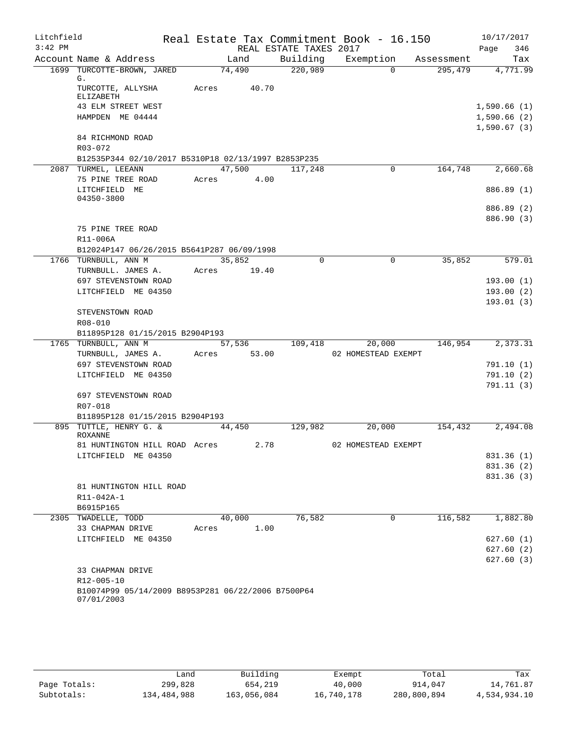| Litchfield |                                                                            |             |        |                        | Real Estate Tax Commitment Book - 16.150 |            |             | 10/17/2017             |
|------------|----------------------------------------------------------------------------|-------------|--------|------------------------|------------------------------------------|------------|-------------|------------------------|
| $3:42$ PM  |                                                                            |             |        | REAL ESTATE TAXES 2017 |                                          |            | Page        | 346                    |
|            | Account Name & Address                                                     | Land        |        |                        | Building Exemption                       | Assessment |             | Tax                    |
|            | 1699 TURCOTTE-BROWN, JARED<br>G.                                           | 74,490      |        | 220,989                | $\Omega$                                 | 295,479    |             | 4,771.99               |
|            | TURCOTTE, ALLYSHA<br>ELIZABETH                                             | Acres       | 40.70  |                        |                                          |            |             |                        |
|            | 43 ELM STREET WEST                                                         |             |        |                        |                                          |            | 1,590.66(1) |                        |
|            | HAMPDEN ME 04444                                                           |             |        |                        |                                          |            | 1,590.66(2) |                        |
|            |                                                                            |             |        |                        |                                          |            | 1,590.67(3) |                        |
|            | 84 RICHMOND ROAD                                                           |             |        |                        |                                          |            |             |                        |
|            | $R03 - 072$                                                                |             |        |                        |                                          |            |             |                        |
|            | B12535P344 02/10/2017 B5310P18 02/13/1997 B2853P235<br>2087 TURMEL, LEEANN |             | 47,500 | 117,248                | 0                                        | 164,748    |             | 2,660.68               |
|            | 75 PINE TREE ROAD                                                          | Acres 4.00  |        |                        |                                          |            |             |                        |
|            | LITCHFIELD ME<br>04350-3800                                                |             |        |                        |                                          |            |             | 886.89 (1)             |
|            |                                                                            |             |        |                        |                                          |            |             | 886.89 (2)             |
|            |                                                                            |             |        |                        |                                          |            |             | 886.90 (3)             |
|            | 75 PINE TREE ROAD                                                          |             |        |                        |                                          |            |             |                        |
|            | R11-006A                                                                   |             |        |                        |                                          |            |             |                        |
|            | B12024P147 06/26/2015 B5641P287 06/09/1998                                 |             |        |                        |                                          |            |             |                        |
|            | 1766 TURNBULL, ANN M                                                       | 35,852      |        | $\Omega$               | $\Omega$                                 | 35,852     |             | 579.01                 |
|            | TURNBULL. JAMES A.<br>697 STEVENSTOWN ROAD                                 | Acres 19.40 |        |                        |                                          |            |             | 193.00(1)              |
|            | LITCHFIELD ME 04350                                                        |             |        |                        |                                          |            |             | 193.00(2)              |
|            |                                                                            |             |        |                        |                                          |            |             | 193.01(3)              |
|            | STEVENSTOWN ROAD                                                           |             |        |                        |                                          |            |             |                        |
|            | R08-010                                                                    |             |        |                        |                                          |            |             |                        |
|            | B11895P128 01/15/2015 B2904P193                                            |             |        |                        |                                          |            |             |                        |
|            | 1765 TURNBULL, ANN M                                                       |             | 57,536 | 109,418                | 20,000                                   | 146,954    |             | 2,373.31               |
|            | TURNBULL, JAMES A.                                                         | Acres 53.00 |        |                        | 02 HOMESTEAD EXEMPT                      |            |             |                        |
|            | 697 STEVENSTOWN ROAD<br>LITCHFIELD ME 04350                                |             |        |                        |                                          |            |             | 791.10(1)<br>791.10(2) |
|            |                                                                            |             |        |                        |                                          |            |             | 791.11(3)              |
|            | 697 STEVENSTOWN ROAD                                                       |             |        |                        |                                          |            |             |                        |
|            | R07-018                                                                    |             |        |                        |                                          |            |             |                        |
|            | B11895P128 01/15/2015 B2904P193                                            |             |        |                        |                                          |            |             |                        |
|            | 895 TUTTLE, HENRY G. &                                                     | 44,450      |        | 129,982                | 20,000                                   | 154,432    |             | 2,494.08               |
|            | <b>ROXANNE</b><br>81 HUNTINGTON HILL ROAD Acres                            |             | 2.78   |                        | 02 HOMESTEAD EXEMPT                      |            |             |                        |
|            | LITCHFIELD ME 04350                                                        |             |        |                        |                                          |            |             | 831.36 (1)             |
|            |                                                                            |             |        |                        |                                          |            |             | 831.36 (2)             |
|            |                                                                            |             |        |                        |                                          |            |             | 831.36(3)              |
|            | 81 HUNTINGTON HILL ROAD                                                    |             |        |                        |                                          |            |             |                        |
|            | R11-042A-1                                                                 |             |        |                        |                                          |            |             |                        |
|            | B6915P165                                                                  |             |        |                        |                                          |            |             |                        |
|            | 2305 TWADELLE, TODD                                                        | 40,000      |        | 76,582                 | 0                                        | 116,582    |             | 1,882.80               |
|            | 33 CHAPMAN DRIVE<br>LITCHFIELD ME 04350                                    | Acres       | 1.00   |                        |                                          |            |             | 627.60(1)              |
|            |                                                                            |             |        |                        |                                          |            |             | 627.60(2)              |
|            |                                                                            |             |        |                        |                                          |            |             | 627.60(3)              |
|            | 33 CHAPMAN DRIVE                                                           |             |        |                        |                                          |            |             |                        |
|            | R12-005-10                                                                 |             |        |                        |                                          |            |             |                        |
|            | B10074P99 05/14/2009 B8953P281 06/22/2006 B7500P64<br>07/01/2003           |             |        |                        |                                          |            |             |                        |
|            |                                                                            |             |        |                        |                                          |            |             |                        |

|              | ∟and        | Building    | Exempt     | Total       | Tax          |
|--------------|-------------|-------------|------------|-------------|--------------|
| Page Totals: | 299,828     | 654,219     | 40,000     | 914,047     | 14,761.87    |
| Subtotals:   | 134,484,988 | 163,056,084 | 16,740,178 | 280,800,894 | 4,534,934.10 |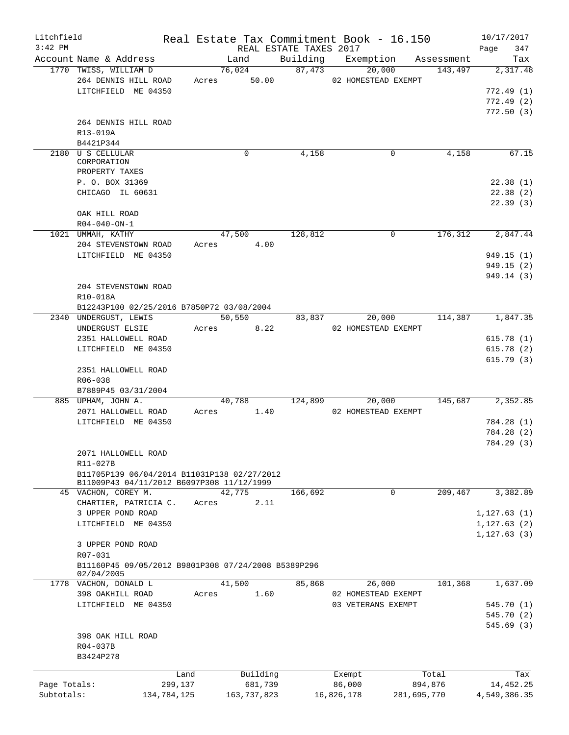| Litchfield                 |                                                                                                                                                                           |                 |                                      |      |                        | Real Estate Tax Commitment Book - 16.150            |                                 | 10/17/2017                                                          |
|----------------------------|---------------------------------------------------------------------------------------------------------------------------------------------------------------------------|-----------------|--------------------------------------|------|------------------------|-----------------------------------------------------|---------------------------------|---------------------------------------------------------------------|
| $3:42$ PM                  |                                                                                                                                                                           |                 |                                      |      | REAL ESTATE TAXES 2017 |                                                     |                                 | 347<br>Page                                                         |
|                            | Account Name & Address                                                                                                                                                    |                 | Land                                 |      |                        | Building Exemption                                  | Assessment                      | Tax                                                                 |
|                            | 1770 TWISS, WILLIAM D<br>264 DENNIS HILL ROAD<br>LITCHFIELD ME 04350                                                                                                      |                 | 76,024<br>Acres 50.00                |      | 87,473                 | 20,000<br>02 HOMESTEAD EXEMPT                       | 143,497                         | 2,317.48<br>772.49(1)<br>772.49(2)                                  |
|                            | 264 DENNIS HILL ROAD<br>R13-019A<br>B4421P344                                                                                                                             |                 |                                      |      |                        |                                                     |                                 | 772.50(3)                                                           |
|                            | 2180 U S CELLULAR<br>CORPORATION<br>PROPERTY TAXES<br>P. O. BOX 31369                                                                                                     |                 | 0                                    |      | 4,158                  | 0                                                   | 4,158                           | 67.15<br>22.38(1)                                                   |
|                            | CHICAGO IL 60631<br>OAK HILL ROAD                                                                                                                                         |                 |                                      |      |                        |                                                     |                                 | 22.38(2)<br>22.39(3)                                                |
|                            | $R04 - 040 - ON - 1$                                                                                                                                                      |                 |                                      |      |                        |                                                     |                                 |                                                                     |
|                            | 1021 UMMAH, KATHY<br>204 STEVENSTOWN ROAD<br>LITCHFIELD ME 04350<br>204 STEVENSTOWN ROAD<br>R10-018A                                                                      | Acres           | 47,500                               | 4.00 | 128,812                | 0                                                   | 176, 312                        | 2,847.44<br>949.15 (1)<br>949.15(2)<br>949.14 (3)                   |
|                            | B12243P100 02/25/2016 B7850P72 03/08/2004                                                                                                                                 |                 |                                      |      |                        |                                                     |                                 |                                                                     |
|                            | 2340 UNDERGUST, LEWIS<br>UNDERGUST ELSIE<br>2351 HALLOWELL ROAD<br>LITCHFIELD ME 04350<br>2351 HALLOWELL ROAD<br>R06-038<br>B7889P45 03/31/2004<br>885 UPHAM, JOHN A.     | Acres           | 50, 550<br>40,788                    | 8.22 | 124,899                | 20,000<br>83,837<br>02 HOMESTEAD EXEMPT<br>20,000   | 145,687                         | 114,387 1,847.35<br>615.78(1)<br>615.78(2)<br>615.79(3)<br>2,352.85 |
|                            | 2071 HALLOWELL ROAD<br>LITCHFIELD ME 04350<br>2071 HALLOWELL ROAD<br>R11-027B<br>B11705P139 06/04/2014 B11031P138 02/27/2012<br>B11009P43 04/11/2012 B6097P308 11/12/1999 | Acres           |                                      | 1.40 |                        | 02 HOMESTEAD EXEMPT                                 |                                 | 784.28 (1)<br>784.28 (2)<br>784.29 (3)                              |
|                            | 45 VACHON, COREY M.                                                                                                                                                       |                 | 42,775                               |      | 166,692                | 0                                                   | 209,467                         | 3,382.89                                                            |
|                            | CHARTIER, PATRICIA C.<br>3 UPPER POND ROAD<br>LITCHFIELD ME 04350<br>3 UPPER POND ROAD<br>R07-031<br>B11160P45 09/05/2012 B9801P308 07/24/2008 B5389P296<br>02/04/2005    | Acres           |                                      | 2.11 |                        |                                                     |                                 | 1,127.63(1)<br>1, 127.63(2)<br>1, 127.63(3)                         |
|                            | 1778 VACHON, DONALD L<br>398 OAKHILL ROAD<br>LITCHFIELD ME 04350<br>398 OAK HILL ROAD<br>R04-037B<br>B3424P278                                                            | Acres           | 41,500                               | 1.60 | 85,868                 | 26,000<br>02 HOMESTEAD EXEMPT<br>03 VETERANS EXEMPT | 101,368                         | 1,637.09<br>545.70 (1)<br>545.70 (2)<br>545.69(3)                   |
| Page Totals:<br>Subtotals: | 134,784,125                                                                                                                                                               | Land<br>299,137 | Building<br>681,739<br>163, 737, 823 |      |                        | Exempt<br>86,000<br>16,826,178                      | Total<br>894,876<br>281,695,770 | Tax<br>14,452.25<br>4,549,386.35                                    |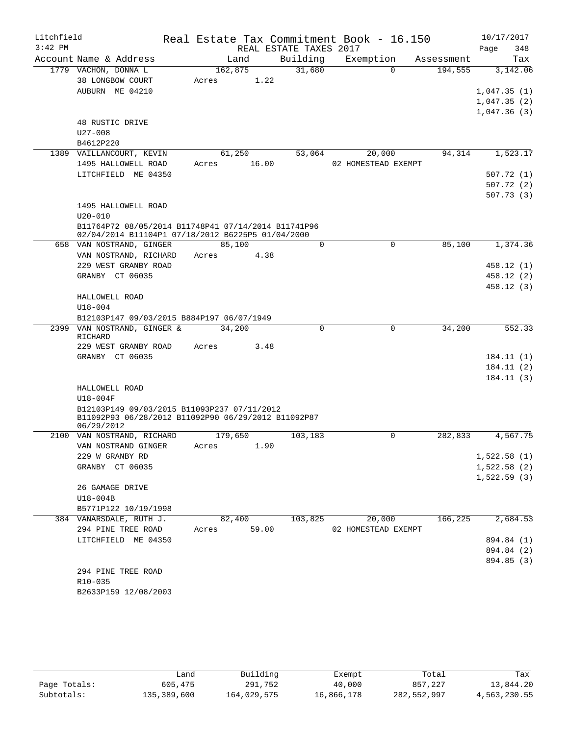| Litchfield<br>$3:42$ PM |                                                                                                          |                       |       | REAL ESTATE TAXES 2017 | Real Estate Tax Commitment Book - 16.150 |            | 10/17/2017<br>Page<br>348  |
|-------------------------|----------------------------------------------------------------------------------------------------------|-----------------------|-------|------------------------|------------------------------------------|------------|----------------------------|
|                         | Account Name & Address                                                                                   | Land                  |       | Building               | Exemption                                | Assessment | Tax                        |
|                         | 1779 VACHON, DONNA L<br>38 LONGBOW COURT                                                                 | 162,875<br>Acres      | 1.22  | 31,680                 | $\Omega$                                 | 194,555    | 3,142.06                   |
|                         | AUBURN ME 04210                                                                                          |                       |       |                        |                                          |            | 1,047.35(1)<br>1,047.35(2) |
|                         |                                                                                                          |                       |       |                        |                                          |            | 1,047.36(3)                |
|                         | 48 RUSTIC DRIVE                                                                                          |                       |       |                        |                                          |            |                            |
|                         | $U27 - 008$                                                                                              |                       |       |                        |                                          |            |                            |
|                         | B4612P220<br>1389 VAILLANCOURT, KEVIN                                                                    | 61,250                |       | 53,064                 | 20,000                                   | 94,314     | 1,523.17                   |
|                         | 1495 HALLOWELL ROAD                                                                                      | Acres                 | 16.00 |                        | 02 HOMESTEAD EXEMPT                      |            |                            |
|                         | LITCHFIELD ME 04350                                                                                      |                       |       |                        |                                          |            | 507.72(1)                  |
|                         |                                                                                                          |                       |       |                        |                                          |            | 507.72(2)                  |
|                         |                                                                                                          |                       |       |                        |                                          |            | 507.73(3)                  |
|                         | 1495 HALLOWELL ROAD                                                                                      |                       |       |                        |                                          |            |                            |
|                         | $U20 - 010$                                                                                              |                       |       |                        |                                          |            |                            |
|                         | B11764P72 08/05/2014 B11748P41 07/14/2014 B11741P96<br>02/04/2014 B11104P1 07/18/2012 B6225P5 01/04/2000 |                       |       |                        |                                          |            |                            |
|                         | 658 VAN NOSTRAND, GINGER                                                                                 | 85,100                |       | $\Omega$               | $\Omega$                                 | 85,100     | 1,374.36                   |
|                         | VAN NOSTRAND, RICHARD                                                                                    | Acres                 | 4.38  |                        |                                          |            |                            |
|                         | 229 WEST GRANBY ROAD                                                                                     |                       |       |                        |                                          |            | 458.12(1)                  |
|                         | GRANBY CT 06035                                                                                          |                       |       |                        |                                          |            | 458.12 (2)                 |
|                         |                                                                                                          |                       |       |                        |                                          |            | 458.12(3)                  |
|                         | HALLOWELL ROAD                                                                                           |                       |       |                        |                                          |            |                            |
|                         | $U18 - 004$                                                                                              |                       |       |                        |                                          |            |                            |
|                         | B12103P147 09/03/2015 B884P197 06/07/1949                                                                |                       |       |                        |                                          |            |                            |
|                         | 2399 VAN NOSTRAND, GINGER &<br>RICHARD                                                                   | 34,200                |       | $\Omega$               | $\mathbf 0$                              | 34,200     | 552.33                     |
|                         | 229 WEST GRANBY ROAD<br>GRANBY CT 06035                                                                  | Acres                 | 3.48  |                        |                                          |            |                            |
|                         |                                                                                                          |                       |       |                        |                                          |            | 184.11(1)<br>184.11(2)     |
|                         |                                                                                                          |                       |       |                        |                                          |            | 184.11(3)                  |
|                         | HALLOWELL ROAD                                                                                           |                       |       |                        |                                          |            |                            |
|                         | $U18-004F$<br>B12103P149 09/03/2015 B11093P237 07/11/2012                                                |                       |       |                        |                                          |            |                            |
|                         | B11092P93 06/28/2012 B11092P90 06/29/2012 B11092P87<br>06/29/2012                                        |                       |       |                        |                                          |            |                            |
|                         | 2100 VAN NOSTRAND, RICHARD                                                                               | 179,650               |       | 103,183                | $\Omega$                                 | 282,833    | 4,567.75                   |
|                         | VAN NOSTRAND GINGER Acres 1.90                                                                           |                       |       |                        |                                          |            |                            |
|                         | 229 W GRANBY RD                                                                                          |                       |       |                        |                                          |            | 1,522.58(1)                |
|                         | GRANBY CT 06035                                                                                          |                       |       |                        |                                          |            | 1,522.58(2)                |
|                         |                                                                                                          |                       |       |                        |                                          |            | 1,522.59(3)                |
|                         | 26 GAMAGE DRIVE                                                                                          |                       |       |                        |                                          |            |                            |
|                         | U18-004B                                                                                                 |                       |       |                        |                                          |            |                            |
|                         | B5771P122 10/19/1998                                                                                     |                       |       |                        |                                          |            |                            |
|                         | 384 VANARSDALE, RUTH J.<br>294 PINE TREE ROAD                                                            | 82,400<br>Acres 59.00 |       | 103,825                | 20,000<br>02 HOMESTEAD EXEMPT            | 166, 225   | 2,684.53                   |
|                         | LITCHFIELD ME 04350                                                                                      |                       |       |                        |                                          |            | 894.84 (1)                 |
|                         |                                                                                                          |                       |       |                        |                                          |            | 894.84 (2)                 |
|                         |                                                                                                          |                       |       |                        |                                          |            | 894.85 (3)                 |
|                         | 294 PINE TREE ROAD                                                                                       |                       |       |                        |                                          |            |                            |
|                         | R10-035                                                                                                  |                       |       |                        |                                          |            |                            |
|                         | B2633P159 12/08/2003                                                                                     |                       |       |                        |                                          |            |                            |

|              | Land        | Building    | Exempt     | Total       | Tax          |
|--------------|-------------|-------------|------------|-------------|--------------|
| Page Totals: | 605,475     | 291,752     | 40,000     | 857,227     | 13,844.20    |
| Subtotals:   | 135,389,600 | 164,029,575 | 16,866,178 | 282,552,997 | 4,563,230.55 |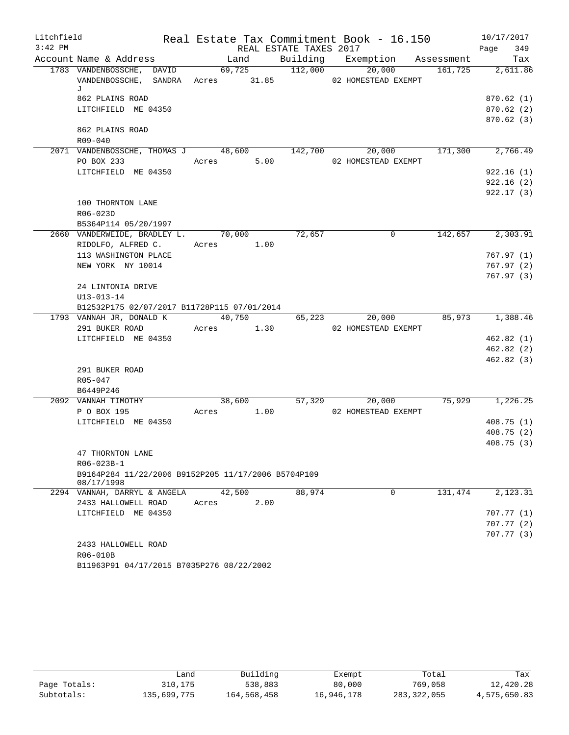| Litchfield |                                                       |            |        |                        | Real Estate Tax Commitment Book - 16.150 |         | 10/17/2017             |
|------------|-------------------------------------------------------|------------|--------|------------------------|------------------------------------------|---------|------------------------|
| $3:42$ PM  |                                                       |            |        | REAL ESTATE TAXES 2017 |                                          |         | 349<br>Page            |
|            | Account Name & Address                                | Land       |        |                        | Building Exemption Assessment            |         | Tax                    |
|            | 1783 VANDENBOSSCHE, DAVID                             | 69,725     |        | 112,000                | 20,000                                   | 161,725 | 2,611.86               |
|            | VANDENBOSSCHE, SANDRA Acres 31.85 02 HOMESTEAD EXEMPT |            |        |                        |                                          |         |                        |
|            | J<br>862 PLAINS ROAD                                  |            |        |                        |                                          |         | 870.62(1)              |
|            | LITCHFIELD ME 04350                                   |            |        |                        |                                          |         | 870.62 (2)             |
|            |                                                       |            |        |                        |                                          |         | 870.62(3)              |
|            | 862 PLAINS ROAD                                       |            |        |                        |                                          |         |                        |
|            | R09-040                                               |            |        |                        |                                          |         |                        |
|            | 2071 VANDENBOSSCHE, THOMAS J 48,600                   |            |        | 142,700                | 20,000                                   | 171,300 | 2,766.49               |
|            | PO BOX 233                                            |            |        |                        | Acres 5.00 02 HOMESTEAD EXEMPT           |         |                        |
|            | LITCHFIELD ME 04350                                   |            |        |                        |                                          |         | 922.16(1)              |
|            |                                                       |            |        |                        |                                          |         | 922.16(2)              |
|            |                                                       |            |        |                        |                                          |         | 922.17(3)              |
|            | 100 THORNTON LANE                                     |            |        |                        |                                          |         |                        |
|            | R06-023D                                              |            |        |                        |                                          |         |                        |
|            | B5364P114 05/20/1997                                  |            |        |                        |                                          |         |                        |
|            | 2660 VANDERWEIDE, BRADLEY L. 70,000                   |            |        | 72,657                 | $\mathbf 0$                              | 142,657 | 2,303.91               |
|            | RIDOLFO, ALFRED C.                                    | Acres 1.00 |        |                        |                                          |         |                        |
|            | 113 WASHINGTON PLACE                                  |            |        |                        |                                          |         | 767.97(1)              |
|            | NEW YORK NY 10014                                     |            |        |                        |                                          |         | 767.97(2)              |
|            |                                                       |            |        |                        |                                          |         | 767.97(3)              |
|            | 24 LINTONIA DRIVE                                     |            |        |                        |                                          |         |                        |
|            | $U13 - 013 - 14$                                      |            |        |                        |                                          |         |                        |
|            | B12532P175 02/07/2017 B11728P115 07/01/2014           |            |        |                        |                                          |         |                        |
|            | 1793 VANNAH JR, DONALD K 40,750                       |            |        |                        | 65,223<br>20,000                         | 85,973  | 1,388.46               |
|            | 291 BUKER ROAD                                        | Acres 1.30 |        |                        | 02 HOMESTEAD EXEMPT                      |         |                        |
|            | LITCHFIELD ME 04350                                   |            |        |                        |                                          |         | 462.82(1)              |
|            |                                                       |            |        |                        |                                          |         | 462.82(2)<br>462.82(3) |
|            | 291 BUKER ROAD                                        |            |        |                        |                                          |         |                        |
|            | $R05 - 047$                                           |            |        |                        |                                          |         |                        |
|            | B6449P246                                             |            |        |                        |                                          |         |                        |
|            | 2092 VANNAH TIMOTHY                                   |            | 38,600 |                        | 57,329<br>20,000                         | 75,929  | 1,226.25               |
|            | P O BOX 195                                           |            |        |                        | Acres 1.00 02 HOMESTEAD EXEMPT           |         |                        |
|            | LITCHFIELD ME 04350                                   |            |        |                        |                                          |         | 408.75(1)              |
|            |                                                       |            |        |                        |                                          |         | 408.75(2)              |
|            |                                                       |            |        |                        |                                          |         | 408.75(3)              |
|            | 47 THORNTON LANE                                      |            |        |                        |                                          |         |                        |
|            | R06-023B-1                                            |            |        |                        |                                          |         |                        |
|            | B9164P284 11/22/2006 B9152P205 11/17/2006 B5704P109   |            |        |                        |                                          |         |                        |
|            | 08/17/1998                                            |            |        |                        |                                          |         |                        |
|            | 2294 VANNAH, DARRYL & ANGELA                          | 42,500     |        | 88,974                 | $\Omega$                                 | 131,474 | 2,123.31               |
|            | 2433 HALLOWELL ROAD                                   | Acres      | 2.00   |                        |                                          |         |                        |
|            | LITCHFIELD ME 04350                                   |            |        |                        |                                          |         | 707.77 (1)             |
|            |                                                       |            |        |                        |                                          |         | 707.77(2)              |
|            |                                                       |            |        |                        |                                          |         | 707.77(3)              |
|            | 2433 HALLOWELL ROAD<br>R06-010B                       |            |        |                        |                                          |         |                        |
|            | B11963P91 04/17/2015 B7035P276 08/22/2002             |            |        |                        |                                          |         |                        |
|            |                                                       |            |        |                        |                                          |         |                        |

|              | Land        | Building    | Exempt     | Total       | Tax          |
|--------------|-------------|-------------|------------|-------------|--------------|
| Page Totals: | 310,175     | 538,883     | 80,000     | 769,058     | 12,420.28    |
| Subtotals:   | 135,699,775 | 164,568,458 | 16,946,178 | 283,322,055 | 4,575,650.83 |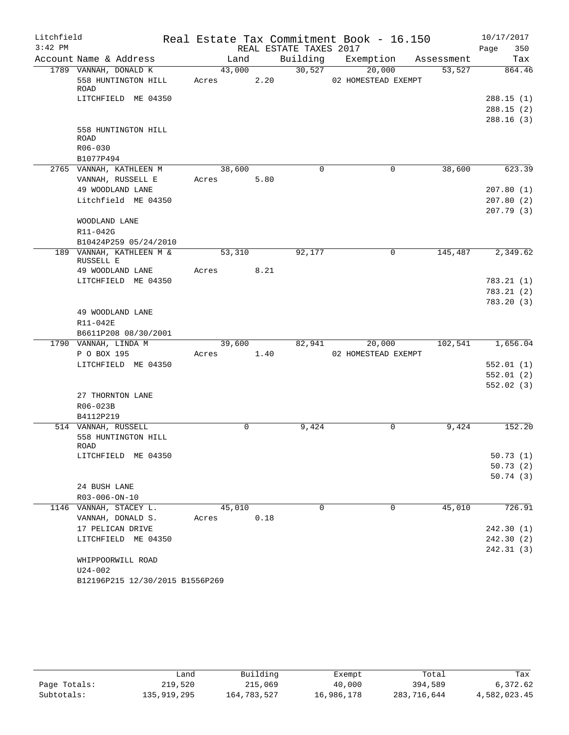| Litchfield |                                              |                 |      |                        | Real Estate Tax Commitment Book - 16.150 |            | 10/17/2017             |
|------------|----------------------------------------------|-----------------|------|------------------------|------------------------------------------|------------|------------------------|
| $3:42$ PM  |                                              |                 |      | REAL ESTATE TAXES 2017 |                                          |            | Page<br>350            |
|            | Account Name & Address                       | Land            |      | Building               | Exemption                                | Assessment | Tax                    |
|            | 1789 VANNAH, DONALD K<br>558 HUNTINGTON HILL | 43,000<br>Acres | 2.20 | 30,527                 | 20,000<br>02 HOMESTEAD EXEMPT            | 53,527     | 864.46                 |
|            | ROAD<br>LITCHFIELD ME 04350                  |                 |      |                        |                                          |            | 288.15(1)              |
|            |                                              |                 |      |                        |                                          |            | 288.15(2)              |
|            |                                              |                 |      |                        |                                          |            | 288.16(3)              |
|            | 558 HUNTINGTON HILL<br>ROAD                  |                 |      |                        |                                          |            |                        |
|            | R06-030                                      |                 |      |                        |                                          |            |                        |
|            | B1077P494                                    |                 |      |                        |                                          |            |                        |
|            | 2765 VANNAH, KATHLEEN M                      | 38,600          |      | $\Omega$               | $\mathbf 0$                              | 38,600     | 623.39                 |
|            | VANNAH, RUSSELL E                            | Acres           | 5.80 |                        |                                          |            |                        |
|            | 49 WOODLAND LANE                             |                 |      |                        |                                          |            | 207.80(1)              |
|            | Litchfield ME 04350                          |                 |      |                        |                                          |            | 207.80(2)              |
|            |                                              |                 |      |                        |                                          |            | 207.79(3)              |
|            | WOODLAND LANE                                |                 |      |                        |                                          |            |                        |
|            | R11-042G                                     |                 |      |                        |                                          |            |                        |
|            | B10424P259 05/24/2010                        |                 |      |                        |                                          |            |                        |
|            | 189 VANNAH, KATHLEEN M &<br>RUSSELL E        | 53,310          |      | 92,177                 | $\mathbf 0$                              | 145,487    | 2,349.62               |
|            | 49 WOODLAND LANE                             | Acres           | 8.21 |                        |                                          |            |                        |
|            | LITCHFIELD ME 04350                          |                 |      |                        |                                          |            | 783.21(1)              |
|            |                                              |                 |      |                        |                                          |            | 783.21(2)              |
|            |                                              |                 |      |                        |                                          |            | 783.20(3)              |
|            | 49 WOODLAND LANE                             |                 |      |                        |                                          |            |                        |
|            | R11-042E<br>B6611P208 08/30/2001             |                 |      |                        |                                          |            |                        |
|            | 1790 VANNAH, LINDA M                         | 39,600          |      | 82,941                 | 20,000                                   | 102,541    | 1,656.04               |
|            | P O BOX 195                                  | Acres           | 1.40 |                        | 02 HOMESTEAD EXEMPT                      |            |                        |
|            | LITCHFIELD ME 04350                          |                 |      |                        |                                          |            | 552.01(1)              |
|            |                                              |                 |      |                        |                                          |            | 552.01(2)              |
|            |                                              |                 |      |                        |                                          |            | 552.02(3)              |
|            | 27 THORNTON LANE                             |                 |      |                        |                                          |            |                        |
|            | R06-023B                                     |                 |      |                        |                                          |            |                        |
|            | B4112P219                                    |                 |      |                        |                                          |            |                        |
|            | 514 VANNAH, RUSSELL                          | $\Omega$        |      | 9,424                  | $\mathbf 0$                              | 9,424      | 152.20                 |
|            | 558 HUNTINGTON HILL                          |                 |      |                        |                                          |            |                        |
|            | ROAD                                         |                 |      |                        |                                          |            |                        |
|            | LITCHFIELD ME 04350                          |                 |      |                        |                                          |            | 50.73(1)               |
|            |                                              |                 |      |                        |                                          |            | 50.73(2)               |
|            |                                              |                 |      |                        |                                          |            | 50.74(3)               |
|            | 24 BUSH LANE                                 |                 |      |                        |                                          |            |                        |
|            | R03-006-ON-10                                |                 |      |                        |                                          |            |                        |
|            | 1146 VANNAH, STACEY L.                       | 45,010          |      | $\mathbf 0$            | $\mathbf 0$                              | 45,010     | 726.91                 |
|            | VANNAH, DONALD S.                            | Acres           | 0.18 |                        |                                          |            |                        |
|            | 17 PELICAN DRIVE                             |                 |      |                        |                                          |            | 242.30(1)              |
|            | LITCHFIELD ME 04350                          |                 |      |                        |                                          |            | 242.30(2)<br>242.31(3) |
|            | WHIPPOORWILL ROAD                            |                 |      |                        |                                          |            |                        |
|            | U24-002                                      |                 |      |                        |                                          |            |                        |
|            | B12196P215 12/30/2015 B1556P269              |                 |      |                        |                                          |            |                        |
|            |                                              |                 |      |                        |                                          |            |                        |

|              | ∟and        | Building    | Exempt     | Total       | Tax          |
|--------------|-------------|-------------|------------|-------------|--------------|
| Page Totals: | 219,520     | 215,069     | 40,000     | 394,589     | 6,372.62     |
| Subtotals:   | 135,919,295 | 164,783,527 | 16,986,178 | 283,716,644 | 4,582,023.45 |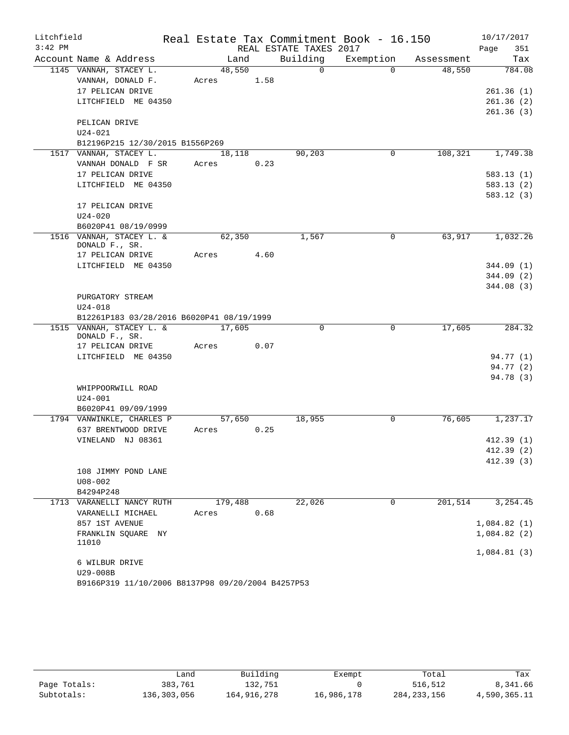| Litchfield |                                                                       |                  |      |                        | Real Estate Tax Commitment Book - 16.150 |            | 10/17/2017  |
|------------|-----------------------------------------------------------------------|------------------|------|------------------------|------------------------------------------|------------|-------------|
| $3:42$ PM  |                                                                       |                  |      | REAL ESTATE TAXES 2017 |                                          |            | 351<br>Page |
|            | Account Name & Address                                                | Land             |      | Building               | Exemption                                | Assessment | Tax         |
|            | 1145 VANNAH, STACEY L.                                                | 48,550           |      | $\Omega$               | $\Omega$                                 | 48,550     | 784.08      |
|            | VANNAH, DONALD F.                                                     | Acres            | 1.58 |                        |                                          |            |             |
|            | 17 PELICAN DRIVE                                                      |                  |      |                        |                                          |            | 261.36(1)   |
|            | LITCHFIELD ME 04350                                                   |                  |      |                        |                                          |            | 261.36(2)   |
|            |                                                                       |                  |      |                        |                                          |            | 261.36(3)   |
|            | PELICAN DRIVE                                                         |                  |      |                        |                                          |            |             |
|            | $U24 - 021$                                                           |                  |      |                        |                                          |            |             |
|            | B12196P215 12/30/2015 B1556P269                                       |                  |      | 90,203                 | 0                                        | 108,321    | 1,749.38    |
|            | 1517 VANNAH, STACEY L.<br>VANNAH DONALD F SR                          | 18,118<br>Acres  | 0.23 |                        |                                          |            |             |
|            | 17 PELICAN DRIVE                                                      |                  |      |                        |                                          |            | 583.13(1)   |
|            | LITCHFIELD ME 04350                                                   |                  |      |                        |                                          |            | 583.13(2)   |
|            |                                                                       |                  |      |                        |                                          |            | 583.12(3)   |
|            | 17 PELICAN DRIVE                                                      |                  |      |                        |                                          |            |             |
|            | $U24 - 020$                                                           |                  |      |                        |                                          |            |             |
|            | B6020P41 08/19/0999                                                   |                  |      |                        |                                          |            |             |
|            | 1516 VANNAH, STACEY L. &                                              | 62,350           |      | 1,567                  | 0                                        | 63,917     | 1,032.26    |
|            | DONALD F., SR.                                                        |                  |      |                        |                                          |            |             |
|            | 17 PELICAN DRIVE                                                      | Acres            | 4.60 |                        |                                          |            |             |
|            | LITCHFIELD ME 04350                                                   |                  |      |                        |                                          |            | 344.09(1)   |
|            |                                                                       |                  |      |                        |                                          |            | 344.09(2)   |
|            |                                                                       |                  |      |                        |                                          |            | 344.08(3)   |
|            | PURGATORY STREAM                                                      |                  |      |                        |                                          |            |             |
|            | $U24 - 018$                                                           |                  |      |                        |                                          |            |             |
|            | B12261P183 03/28/2016 B6020P41 08/19/1999<br>1515 VANNAH, STACEY L. & |                  |      | $\Omega$               | 0                                        | 17,605     | 284.32      |
|            | DONALD F., SR.                                                        | 17,605           |      |                        |                                          |            |             |
|            | 17 PELICAN DRIVE                                                      | Acres            | 0.07 |                        |                                          |            |             |
|            | LITCHFIELD ME 04350                                                   |                  |      |                        |                                          |            | 94.77 (1)   |
|            |                                                                       |                  |      |                        |                                          |            | 94.77 (2)   |
|            |                                                                       |                  |      |                        |                                          |            | 94.78 (3)   |
|            | WHIPPOORWILL ROAD                                                     |                  |      |                        |                                          |            |             |
|            | $U24 - 001$                                                           |                  |      |                        |                                          |            |             |
|            | B6020P41 09/09/1999                                                   |                  |      |                        |                                          |            |             |
|            | 1794 VANWINKLE, CHARLES P                                             | 57,650           |      | 18,955                 | 0                                        | 76,605     | 1,237.17    |
|            | 637 BRENTWOOD DRIVE                                                   | Acres            | 0.25 |                        |                                          |            |             |
|            | VINELAND NJ 08361                                                     |                  |      |                        |                                          |            | 412.39(1)   |
|            |                                                                       |                  |      |                        |                                          |            | 412.39 (2)  |
|            |                                                                       |                  |      |                        |                                          |            | 412.39(3)   |
|            | 108 JIMMY POND LANE                                                   |                  |      |                        |                                          |            |             |
|            | $U08 - 002$                                                           |                  |      |                        |                                          |            |             |
|            | B4294P248                                                             |                  |      |                        |                                          |            |             |
|            | 1713 VARANELLI NANCY RUTH<br>VARANELLI MICHAEL                        | 179,488<br>Acres | 0.68 | 22,026                 | 0                                        | 201,514    | 3, 254.45   |
|            | 857 1ST AVENUE                                                        |                  |      |                        |                                          |            | 1,084.82(1) |
|            | FRANKLIN SQUARE NY                                                    |                  |      |                        |                                          |            | 1,084.82(2) |
|            | 11010                                                                 |                  |      |                        |                                          |            |             |
|            |                                                                       |                  |      |                        |                                          |            | 1,084.81(3) |
|            | 6 WILBUR DRIVE                                                        |                  |      |                        |                                          |            |             |
|            | U29-008B                                                              |                  |      |                        |                                          |            |             |
|            | B9166P319 11/10/2006 B8137P98 09/20/2004 B4257P53                     |                  |      |                        |                                          |            |             |

|              | ∟and        | Building    | Exempt     | Total         | Tax          |
|--------------|-------------|-------------|------------|---------------|--------------|
| Page Totals: | 383,761     | 132,751     |            | 516,512       | 8,341.66     |
| Subtotals:   | 136,303,056 | 164,916,278 | 16,986,178 | 284, 233, 156 | 4,590,365.11 |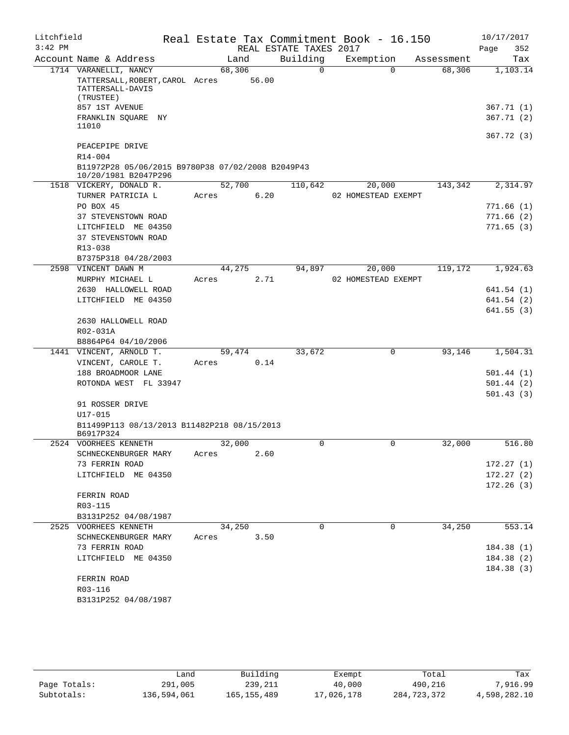| Litchfield |                                                                              |        |       |                        | Real Estate Tax Commitment Book - 16.150 |            | 10/17/2017  |
|------------|------------------------------------------------------------------------------|--------|-------|------------------------|------------------------------------------|------------|-------------|
| $3:42$ PM  |                                                                              |        |       | REAL ESTATE TAXES 2017 |                                          |            | Page<br>352 |
|            | Account Name & Address                                                       | Land   |       | Building               | Exemption                                | Assessment | Tax         |
|            | 1714 VARANELLI, NANCY<br>TATTERSALL, ROBERT, CAROL Acres<br>TATTERSALL-DAVIS | 68,306 | 56.00 | $\Omega$               | $\Omega$                                 | 68,306     | 1,103.14    |
|            | (TRUSTEE)<br>857 1ST AVENUE                                                  |        |       |                        |                                          |            | 367.71 (1)  |
|            | FRANKLIN SQUARE<br>NY<br>11010                                               |        |       |                        |                                          |            | 367.71(2)   |
|            | PEACEPIPE DRIVE                                                              |        |       |                        |                                          |            | 367.72 (3)  |
|            | R14-004<br>B11972P28 05/06/2015 B9780P38 07/02/2008 B2049P43                 |        |       |                        |                                          |            |             |
|            | 10/20/1981 B2047P296<br>1518 VICKERY, DONALD R.                              | 52,700 |       | 110,642                | 20,000                                   | 143,342    | 2,314.97    |
|            | TURNER PATRICIA L                                                            | Acres  | 6.20  |                        | 02 HOMESTEAD EXEMPT                      |            |             |
|            | PO BOX 45                                                                    |        |       |                        |                                          |            | 771.66 (1)  |
|            | 37 STEVENSTOWN ROAD                                                          |        |       |                        |                                          |            | 771.66(2)   |
|            | LITCHFIELD ME 04350                                                          |        |       |                        |                                          |            | 771.65(3)   |
|            | 37 STEVENSTOWN ROAD                                                          |        |       |                        |                                          |            |             |
|            | $R13 - 038$                                                                  |        |       |                        |                                          |            |             |
|            | B7375P318 04/28/2003                                                         |        |       |                        |                                          |            |             |
| 2598       | VINCENT DAWN M                                                               | 44,275 |       | 94,897                 | 20,000                                   | 119,172    | 1,924.63    |
|            | MURPHY MICHAEL L                                                             | Acres  | 2.71  |                        | 02 HOMESTEAD EXEMPT                      |            |             |
|            | 2630 HALLOWELL ROAD                                                          |        |       |                        |                                          |            | 641.54(1)   |
|            | LITCHFIELD ME 04350                                                          |        |       |                        |                                          |            | 641.54 (2)  |
|            |                                                                              |        |       |                        |                                          |            | 641.55(3)   |
|            | 2630 HALLOWELL ROAD                                                          |        |       |                        |                                          |            |             |
|            | R02-031A                                                                     |        |       |                        |                                          |            |             |
|            | B8864P64 04/10/2006                                                          |        |       |                        |                                          |            |             |
|            | 1441 VINCENT, ARNOLD T.                                                      | 59,474 |       | 33,672                 | 0                                        | 93,146     | 1,504.31    |
|            | VINCENT, CAROLE T.                                                           | Acres  | 0.14  |                        |                                          |            |             |
|            | 188 BROADMOOR LANE                                                           |        |       |                        |                                          |            | 501.44 (1)  |
|            | ROTONDA WEST FL 33947                                                        |        |       |                        |                                          |            | 501.44(2)   |
|            | 91 ROSSER DRIVE                                                              |        |       |                        |                                          |            | 501.43 (3)  |
|            | U17-015                                                                      |        |       |                        |                                          |            |             |
|            | B11499P113 08/13/2013 B11482P218 08/15/2013<br>B6917P324                     |        |       |                        |                                          |            |             |
|            | 2524 VOORHEES KENNETH                                                        | 32,000 |       | 0                      | 0                                        | 32,000     | 516.80      |
|            | SCHNECKENBURGER MARY                                                         | Acres  | 2.60  |                        |                                          |            |             |
|            | 73 FERRIN ROAD                                                               |        |       |                        |                                          |            | 172.27(1)   |
|            | LITCHFIELD ME 04350                                                          |        |       |                        |                                          |            | 172.27(2)   |
|            | FERRIN ROAD                                                                  |        |       |                        |                                          |            | 172.26(3)   |
|            | R03-115                                                                      |        |       |                        |                                          |            |             |
|            | B3131P252 04/08/1987                                                         |        |       |                        |                                          |            |             |
|            | 2525 VOORHEES KENNETH                                                        | 34,250 |       | 0                      | 0                                        | 34,250     | 553.14      |
|            | SCHNECKENBURGER MARY                                                         | Acres  | 3.50  |                        |                                          |            |             |
|            | 73 FERRIN ROAD                                                               |        |       |                        |                                          |            | 184.38 (1)  |
|            | LITCHFIELD ME 04350                                                          |        |       |                        |                                          |            | 184.38 (2)  |
|            |                                                                              |        |       |                        |                                          |            | 184.38 (3)  |
|            | FERRIN ROAD                                                                  |        |       |                        |                                          |            |             |
|            | R03-116                                                                      |        |       |                        |                                          |            |             |
|            | B3131P252 04/08/1987                                                         |        |       |                        |                                          |            |             |
|            |                                                                              |        |       |                        |                                          |            |             |

|              | Land        | Building      | Exempt     | Total       | Tax          |
|--------------|-------------|---------------|------------|-------------|--------------|
| Page Totals: | 291,005     | 239,211       | 40,000     | 490,216     | 7,916.99     |
| Subtotals:   | 136,594,061 | 165, 155, 489 | 17,026,178 | 284,723,372 | 4,598,282.10 |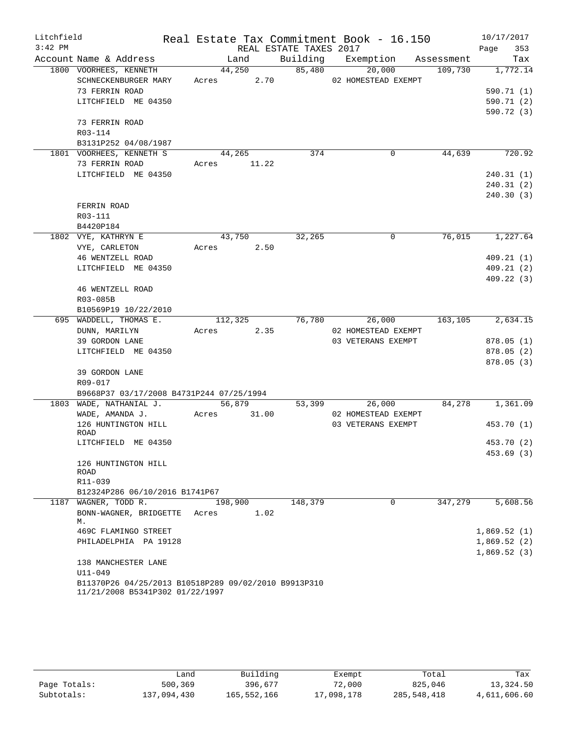| Litchfield |                                                                                         |        |                  |      |         | Real Estate Tax Commitment Book - 16.150 |         | 10/17/2017  |
|------------|-----------------------------------------------------------------------------------------|--------|------------------|------|---------|------------------------------------------|---------|-------------|
| $3:42$ PM  |                                                                                         |        |                  |      |         | REAL ESTATE TAXES 2017                   |         | Page<br>353 |
|            | Account Name & Address                                                                  |        | Land             |      |         | Building Exemption Assessment            |         | Tax         |
|            | 1800 VOORHEES, KENNETH                                                                  |        | 44,250           |      | 85,480  | 20,000                                   | 109,730 | 1,772.14    |
|            | SCHNECKENBURGER MARY                                                                    |        | Acres 2.70       |      |         | 02 HOMESTEAD EXEMPT                      |         |             |
|            | 73 FERRIN ROAD                                                                          |        |                  |      |         |                                          |         | 590.71(1)   |
|            | LITCHFIELD ME 04350                                                                     |        |                  |      |         |                                          |         | 590.71 (2)  |
|            |                                                                                         |        |                  |      |         |                                          |         | 590.72 (3)  |
|            | 73 FERRIN ROAD                                                                          |        |                  |      |         |                                          |         |             |
|            | R03-114                                                                                 |        |                  |      |         |                                          |         |             |
|            | B3131P252 04/08/1987                                                                    |        |                  |      |         |                                          |         |             |
|            | 1801 VOORHEES, KENNETH S                                                                | 44,265 |                  |      | 374     | 0                                        | 44,639  | 720.92      |
|            | 73 FERRIN ROAD                                                                          |        | Acres 11.22      |      |         |                                          |         |             |
|            | LITCHFIELD ME 04350                                                                     |        |                  |      |         |                                          |         | 240.31(1)   |
|            |                                                                                         |        |                  |      |         |                                          |         | 240.31(2)   |
|            |                                                                                         |        |                  |      |         |                                          |         | 240.30 (3)  |
|            | FERRIN ROAD                                                                             |        |                  |      |         |                                          |         |             |
|            | R03-111                                                                                 |        |                  |      |         |                                          |         |             |
|            | B4420P184                                                                               |        |                  |      |         |                                          |         |             |
|            | 1802 VYE, KATHRYN E                                                                     |        | 43,750           |      | 32,265  | 0                                        | 76,015  | 1,227.64    |
|            | VYE, CARLETON                                                                           | Acres  |                  | 2.50 |         |                                          |         |             |
|            | 46 WENTZELL ROAD                                                                        |        |                  |      |         |                                          |         | 409.21(1)   |
|            | LITCHFIELD ME 04350                                                                     |        |                  |      |         |                                          |         | 409.21(2)   |
|            |                                                                                         |        |                  |      |         |                                          |         | 409.22(3)   |
|            | 46 WENTZELL ROAD                                                                        |        |                  |      |         |                                          |         |             |
|            | R03-085B                                                                                |        |                  |      |         |                                          |         |             |
|            | B10569P19 10/22/2010                                                                    |        |                  |      |         |                                          |         |             |
|            | 695 WADDELL, THOMAS E.                                                                  |        | $112,325$ 76,780 |      |         | 26,000                                   | 163,105 | 2,634.15    |
|            | DUNN, MARILYN                                                                           |        | Acres 2.35       |      |         | 02 HOMESTEAD EXEMPT                      |         |             |
|            | 39 GORDON LANE                                                                          |        |                  |      |         | 03 VETERANS EXEMPT                       |         | 878.05(1)   |
|            | LITCHFIELD ME 04350                                                                     |        |                  |      |         |                                          |         | 878.05 (2)  |
|            |                                                                                         |        |                  |      |         |                                          |         | 878.05 (3)  |
|            | 39 GORDON LANE                                                                          |        |                  |      |         |                                          |         |             |
|            | R09-017                                                                                 |        |                  |      |         |                                          |         |             |
|            | B9668P37 03/17/2008 B4731P244 07/25/1994                                                |        |                  |      |         |                                          |         |             |
|            | 1803 WADE, NATHANIAL J.                                                                 |        | 56,879           |      | 53,399  | 26,000                                   | 84,278  | 1,361.09    |
|            | WADE, AMANDA J.                                                                         |        | Acres 31.00      |      |         | 02 HOMESTEAD EXEMPT                      |         |             |
|            | 126 HUNTINGTON HILL                                                                     |        |                  |      |         | 03 VETERANS EXEMPT                       |         | 453.70 (1)  |
|            | ROAD                                                                                    |        |                  |      |         |                                          |         |             |
|            | LITCHFIELD ME 04350                                                                     |        |                  |      |         |                                          |         | 453.70 (2)  |
|            |                                                                                         |        |                  |      |         |                                          |         | 453.69 (3)  |
|            | 126 HUNTINGTON HILL                                                                     |        |                  |      |         |                                          |         |             |
|            | ROAD<br>R11-039                                                                         |        |                  |      |         |                                          |         |             |
|            | B12324P286 06/10/2016 B1741P67                                                          |        |                  |      |         |                                          |         |             |
| 1187       | WAGNER, TODD R.                                                                         |        | 198,900          |      | 148,379 | 0                                        | 347,279 | 5,608.56    |
|            | BONN-WAGNER, BRIDGETTE                                                                  | Acres  |                  | 1.02 |         |                                          |         |             |
|            | М.                                                                                      |        |                  |      |         |                                          |         |             |
|            | 469C FLAMINGO STREET                                                                    |        |                  |      |         |                                          |         | 1,869.52(1) |
|            | PHILADELPHIA PA 19128                                                                   |        |                  |      |         |                                          |         | 1,869.52(2) |
|            |                                                                                         |        |                  |      |         |                                          |         | 1,869.52(3) |
|            | 138 MANCHESTER LANE                                                                     |        |                  |      |         |                                          |         |             |
|            | U11-049                                                                                 |        |                  |      |         |                                          |         |             |
|            | B11370P26 04/25/2013 B10518P289 09/02/2010 B9913P310<br>11/21/2008 B5341P302 01/22/1997 |        |                  |      |         |                                          |         |             |

|              | Land        | Building    | Exempt     | Total       | Tax          |
|--------------|-------------|-------------|------------|-------------|--------------|
| Page Totals: | 500,369     | 396,677     | 72,000     | 825,046     | 13,324.50    |
| Subtotals:   | 137,094,430 | 165,552,166 | 17,098,178 | 285,548,418 | 4,611,606.60 |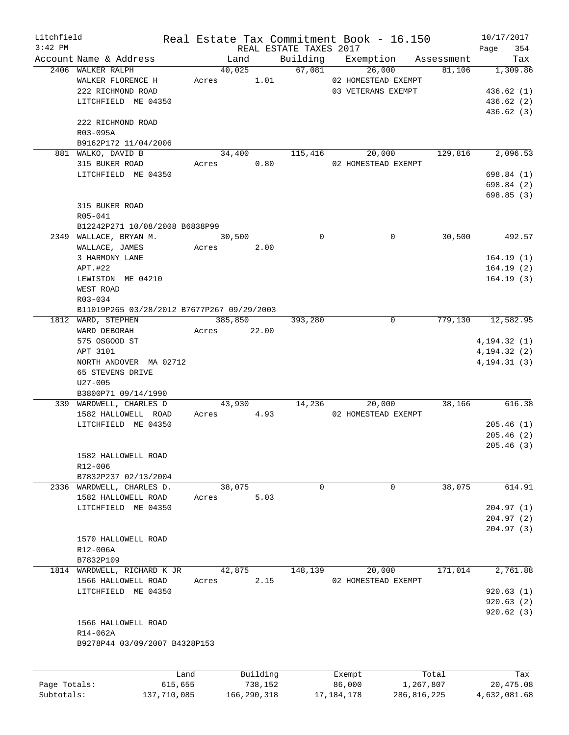| Litchfield   |                                            |         |          |                                    | Real Estate Tax Commitment Book - 16.150 |            | 10/17/2017         |
|--------------|--------------------------------------------|---------|----------|------------------------------------|------------------------------------------|------------|--------------------|
| $3:42$ PM    | Account Name & Address                     | Land    |          | REAL ESTATE TAXES 2017<br>Building | Exemption                                | Assessment | 354<br>Page<br>Tax |
|              | 2406 WALKER RALPH                          | 40,025  |          | 67,081                             | 26,000                                   | 81,106     | 1,309.86           |
|              |                                            |         |          |                                    |                                          |            |                    |
|              | WALKER FLORENCE H                          | Acres   | 1.01     |                                    | 02 HOMESTEAD EXEMPT                      |            |                    |
|              | 222 RICHMOND ROAD                          |         |          |                                    | 03 VETERANS EXEMPT                       |            | 436.62(1)          |
|              | LITCHFIELD ME 04350                        |         |          |                                    |                                          |            | 436.62(2)          |
|              |                                            |         |          |                                    |                                          |            | 436.62 (3)         |
|              | 222 RICHMOND ROAD                          |         |          |                                    |                                          |            |                    |
|              | R03-095A                                   |         |          |                                    |                                          |            |                    |
|              | B9162P172 11/04/2006                       |         |          |                                    |                                          |            |                    |
|              | 881 WALKO, DAVID B                         | 34,400  |          | 115,416                            | 20,000                                   | 129,816    | 2,096.53           |
|              | 315 BUKER ROAD                             | Acres   | 0.80     |                                    | 02 HOMESTEAD EXEMPT                      |            |                    |
|              | LITCHFIELD ME 04350                        |         |          |                                    |                                          |            | 698.84 (1)         |
|              |                                            |         |          |                                    |                                          |            | 698.84 (2)         |
|              |                                            |         |          |                                    |                                          |            | 698.85 (3)         |
|              | 315 BUKER ROAD                             |         |          |                                    |                                          |            |                    |
|              | R05-041                                    |         |          |                                    |                                          |            |                    |
|              | B12242P271 10/08/2008 B6838P99             |         |          |                                    |                                          |            |                    |
|              | 2349 WALLACE, BRYAN M.                     | 30,500  |          | $\Omega$                           | $\mathbf 0$                              | 30,500     | 492.57             |
|              |                                            |         |          |                                    |                                          |            |                    |
|              | WALLACE, JAMES                             | Acres   | 2.00     |                                    |                                          |            |                    |
|              | 3 HARMONY LANE                             |         |          |                                    |                                          |            | 164.19(1)          |
|              | APT.#22                                    |         |          |                                    |                                          |            | 164.19(2)          |
|              | LEWISTON ME 04210                          |         |          |                                    |                                          |            | 164.19(3)          |
|              | WEST ROAD                                  |         |          |                                    |                                          |            |                    |
|              | R03-034                                    |         |          |                                    |                                          |            |                    |
|              | B11019P265 03/28/2012 B7677P267 09/29/2003 |         |          |                                    |                                          |            |                    |
|              | 1812 WARD, STEPHEN                         | 385,850 |          | 393,280                            | $\mathbf 0$                              | 779,130    | 12,582.95          |
|              | WARD DEBORAH                               | Acres   | 22.00    |                                    |                                          |            |                    |
|              | 575 OSGOOD ST                              |         |          |                                    |                                          |            | 4, 194.32(1)       |
|              | APT 3101                                   |         |          |                                    |                                          |            | 4, 194.32(2)       |
|              | NORTH ANDOVER MA 02712                     |         |          |                                    |                                          |            | 4, 194.31(3)       |
|              | 65 STEVENS DRIVE                           |         |          |                                    |                                          |            |                    |
|              | $U27 - 005$                                |         |          |                                    |                                          |            |                    |
|              |                                            |         |          |                                    |                                          |            |                    |
|              | B3800P71 09/14/1990                        |         |          |                                    |                                          |            |                    |
|              | 339 WARDWELL, CHARLES D                    | 43,930  |          | 14,236                             | 20,000                                   | 38,166     | 616.38             |
|              | 1582 HALLOWELL ROAD                        | Acres   | 4.93     |                                    | 02 HOMESTEAD EXEMPT                      |            |                    |
|              | LITCHFIELD ME 04350                        |         |          |                                    |                                          |            | 205.46(1)          |
|              |                                            |         |          |                                    |                                          |            | 205.46(2)          |
|              |                                            |         |          |                                    |                                          |            | 205.46(3)          |
|              | 1582 HALLOWELL ROAD                        |         |          |                                    |                                          |            |                    |
|              | R12-006                                    |         |          |                                    |                                          |            |                    |
|              | B7832P237 02/13/2004                       |         |          |                                    |                                          |            |                    |
|              | 2336 WARDWELL, CHARLES D.                  | 38,075  |          | $\mathbf 0$                        | $\mathbf 0$                              | 38,075     | 614.91             |
|              | 1582 HALLOWELL ROAD                        | Acres   | 5.03     |                                    |                                          |            |                    |
|              | LITCHFIELD ME 04350                        |         |          |                                    |                                          |            | 204.97(1)          |
|              |                                            |         |          |                                    |                                          |            | 204.97(2)          |
|              |                                            |         |          |                                    |                                          |            | 204.97(3)          |
|              | 1570 HALLOWELL ROAD                        |         |          |                                    |                                          |            |                    |
|              |                                            |         |          |                                    |                                          |            |                    |
|              | R12-006A                                   |         |          |                                    |                                          |            |                    |
|              | B7832P109                                  |         |          |                                    |                                          |            |                    |
|              | 1814 WARDWELL, RICHARD K JR                | 42,875  |          | 148,139                            | 20,000                                   | 171,014    | 2,761.88           |
|              | 1566 HALLOWELL ROAD                        | Acres   | 2.15     |                                    | 02 HOMESTEAD EXEMPT                      |            |                    |
|              | LITCHFIELD ME 04350                        |         |          |                                    |                                          |            | 920.63(1)          |
|              |                                            |         |          |                                    |                                          |            | 920.63(2)          |
|              |                                            |         |          |                                    |                                          |            | 920.62(3)          |
|              | 1566 HALLOWELL ROAD                        |         |          |                                    |                                          |            |                    |
|              | R14-062A                                   |         |          |                                    |                                          |            |                    |
|              | B9278P44 03/09/2007 B4328P153              |         |          |                                    |                                          |            |                    |
|              |                                            |         |          |                                    |                                          |            |                    |
|              |                                            |         |          |                                    |                                          |            |                    |
|              | Land                                       |         | Building |                                    | Exempt                                   | Total      | Tax                |
| Page Totals: | 615,655                                    |         | 738,152  |                                    | 86,000                                   | 1,267,807  | 20,475.08          |

Subtotals: 137,710,085 166,290,318 17,184,178 286,816,225 4,632,081.68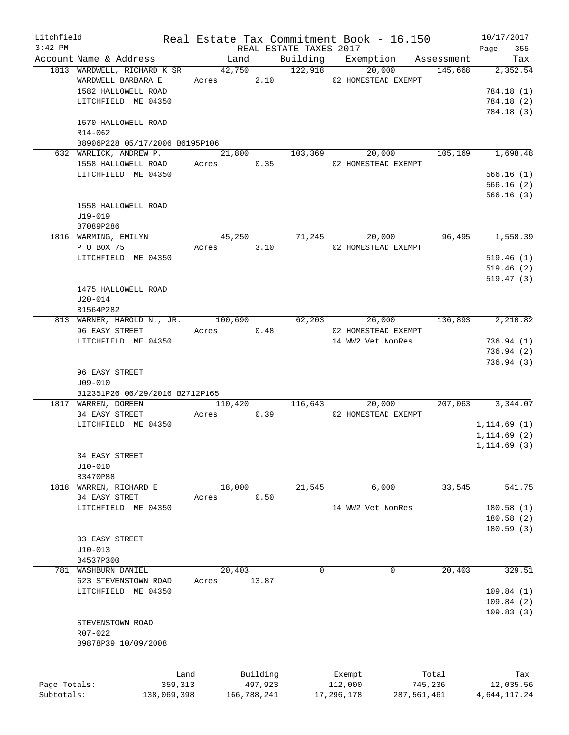| Litchfield   |                                            |       |                        |             | Real Estate Tax Commitment Book - 16.150 |         | 10/17/2017              |
|--------------|--------------------------------------------|-------|------------------------|-------------|------------------------------------------|---------|-------------------------|
| $3:42$ PM    |                                            |       | REAL ESTATE TAXES 2017 |             |                                          |         | 355<br>Page             |
|              | Account Name & Address                     |       | Land                   |             | Building Exemption Assessment            |         | Tax                     |
|              | 1813 WARDWELL, RICHARD K SR 42,750 122,918 |       |                        |             | 20,000                                   |         | 145,668 2,352.54        |
|              | WARDWELL BARBARA E                         |       |                        |             | Acres 2.10 02 HOMESTEAD EXEMPT           |         |                         |
|              | 1582 HALLOWELL ROAD                        |       |                        |             |                                          |         | 784.18 (1)              |
|              | LITCHFIELD ME 04350                        |       |                        |             |                                          |         | 784.18(2)               |
|              |                                            |       |                        |             |                                          |         | 784.18 (3)              |
|              | 1570 HALLOWELL ROAD                        |       |                        |             |                                          |         |                         |
|              | R14-062                                    |       |                        |             |                                          |         |                         |
|              | B8906P228 05/17/2006 B6195P106             |       |                        |             |                                          |         |                         |
|              | 632 WARLICK, ANDREW P.                     |       | 21,800 103,369         |             |                                          |         | 20,000 105,169 1,698.48 |
|              | 1558 HALLOWELL ROAD Acres 0.35             |       |                        |             | 02 HOMESTEAD EXEMPT                      |         |                         |
|              | LITCHFIELD ME 04350                        |       |                        |             |                                          |         | 566.16(1)               |
|              |                                            |       |                        |             |                                          |         | 566.16(2)               |
|              |                                            |       |                        |             |                                          |         | 566.16(3)               |
|              | 1558 HALLOWELL ROAD                        |       |                        |             |                                          |         |                         |
|              | U19-019                                    |       |                        |             |                                          |         |                         |
|              | B7089P286                                  |       |                        |             |                                          |         |                         |
|              | 1816 WARMING, EMILYN                       |       | 45,250 71,245          |             | 20,000                                   |         | 96,495 1,558.39         |
|              | P O BOX 75                                 |       |                        |             | Acres 3.10 02 HOMESTEAD EXEMPT           |         |                         |
|              | LITCHFIELD ME 04350                        |       |                        |             |                                          |         | 519.46(1)               |
|              |                                            |       |                        |             |                                          |         | 519.46(2)               |
|              |                                            |       |                        |             |                                          |         | 519.47(3)               |
|              | 1475 HALLOWELL ROAD                        |       |                        |             |                                          |         |                         |
|              | $U20 - 014$                                |       |                        |             |                                          |         |                         |
|              | B1564P282                                  |       |                        |             |                                          |         |                         |
|              | 813 WARNER, HAROLD N., JR. 100,690 62,203  |       |                        |             |                                          |         | 26,000 136,893 2,210.82 |
|              | 96 EASY STREET Acres 0.48                  |       |                        |             | 02 HOMESTEAD EXEMPT                      |         |                         |
|              |                                            |       |                        |             |                                          |         |                         |
|              | LITCHFIELD ME 04350                        |       |                        |             | 14 WW2 Vet NonRes                        |         | 736.94(1)               |
|              |                                            |       |                        |             |                                          |         | 736.94(2)               |
|              | 96 EASY STREET                             |       |                        |             |                                          |         | 736.94(3)               |
|              | $U09 - 010$                                |       |                        |             |                                          |         |                         |
|              |                                            |       |                        |             |                                          |         |                         |
|              | B12351P26 06/29/2016 B2712P165             |       | 110,420 116,643        |             |                                          |         | 20,000 207,063 3,344.07 |
|              | 1817 WARREN, DOREEN                        |       |                        |             |                                          |         |                         |
|              | 34 EASY STREET Acres 0.39                  |       |                        |             | 02 HOMESTEAD EXEMPT                      |         |                         |
|              | LITCHFIELD ME 04350                        |       |                        |             |                                          |         | 1, 114.69(1)            |
|              |                                            |       |                        |             |                                          |         | 1, 114.69(2)            |
|              |                                            |       |                        |             |                                          |         | 1, 114.69(3)            |
|              | 34 EASY STREET                             |       |                        |             |                                          |         |                         |
|              | $U10 - 010$                                |       |                        |             |                                          |         |                         |
|              | B3470P88                                   |       |                        |             |                                          |         |                         |
| 1818         | WARREN, RICHARD E                          |       | 18,000                 | 21,545      | 6,000                                    | 33,545  | 541.75                  |
|              | 34 EASY STRET                              | Acres | 0.50                   |             |                                          |         |                         |
|              | LITCHFIELD ME 04350                        |       |                        |             | 14 WW2 Vet NonRes                        |         | 180.58(1)               |
|              |                                            |       |                        |             |                                          |         | 180.58(2)               |
|              |                                            |       |                        |             |                                          |         | 180.59(3)               |
|              | 33 EASY STREET                             |       |                        |             |                                          |         |                         |
|              | $U10 - 013$                                |       |                        |             |                                          |         |                         |
|              | B4537P300                                  |       |                        |             |                                          |         |                         |
| 781          | WASHBURN DANIEL                            |       | 20,403                 | $\mathbf 0$ | 0                                        | 20,403  | 329.51                  |
|              | 623 STEVENSTOWN ROAD                       | Acres | 13.87                  |             |                                          |         |                         |
|              | LITCHFIELD ME 04350                        |       |                        |             |                                          |         | 109.84(1)               |
|              |                                            |       |                        |             |                                          |         | 109.84(2)               |
|              |                                            |       |                        |             |                                          |         | 109.83(3)               |
|              | STEVENSTOWN ROAD                           |       |                        |             |                                          |         |                         |
|              | R07-022                                    |       |                        |             |                                          |         |                         |
|              | B9878P39 10/09/2008                        |       |                        |             |                                          |         |                         |
|              |                                            |       |                        |             |                                          |         |                         |
|              |                                            |       |                        |             |                                          |         |                         |
|              | Land                                       |       | Building               |             | Exempt                                   | Total   | Tax                     |
| Page Totals: | 359,313                                    |       | 497,923                |             | 112,000                                  | 745,236 | 12,035.56               |
| Subtotals:   | 138,069,398                                |       | 166,788,241            |             | 17,296,178<br>287,561,461                |         | 4,644,117.24            |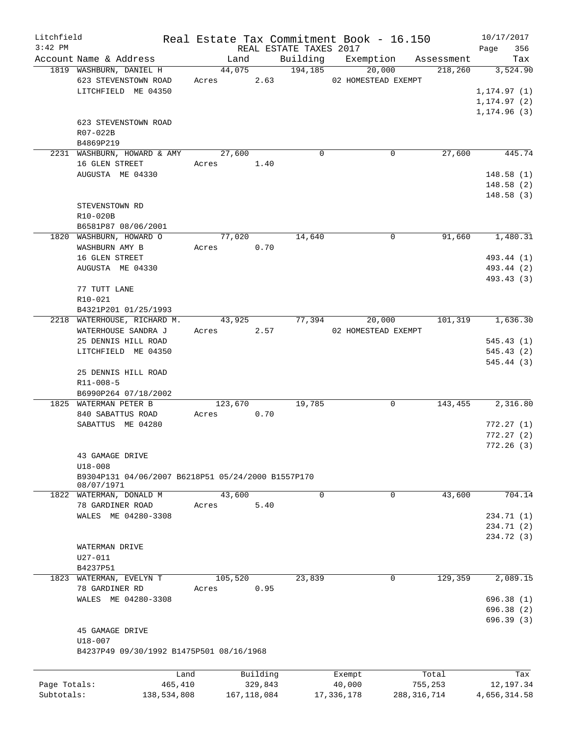| Litchfield   |                                                    |                 |            |         |                     |                        | Real Estate Tax Commitment Book - 16.150 |             |                               | 10/17/2017   |                  |
|--------------|----------------------------------------------------|-----------------|------------|---------|---------------------|------------------------|------------------------------------------|-------------|-------------------------------|--------------|------------------|
| $3:42$ PM    |                                                    |                 |            |         |                     | REAL ESTATE TAXES 2017 |                                          |             |                               | Page         | 356              |
|              | Account Name & Address                             |                 |            | Land    |                     |                        |                                          |             | Building Exemption Assessment |              | Tax              |
|              | 1819 WASHBURN, DANIEL H<br>623 STEVENSTOWN ROAD    |                 | Acres 2.63 | 44,075  |                     | 194, 185               | 02 HOMESTEAD EXEMPT                      | 20,000      | 218,260                       |              | 3,524.90         |
|              | LITCHFIELD ME 04350                                |                 |            |         |                     |                        |                                          |             |                               | 1, 174.97(1) |                  |
|              |                                                    |                 |            |         |                     |                        |                                          |             |                               | 1, 174.97(2) |                  |
|              |                                                    |                 |            |         |                     |                        |                                          |             |                               | 1, 174.96(3) |                  |
|              | 623 STEVENSTOWN ROAD                               |                 |            |         |                     |                        |                                          |             |                               |              |                  |
|              | R07-022B                                           |                 |            |         |                     |                        |                                          |             |                               |              |                  |
|              | B4869P219                                          |                 |            |         |                     |                        |                                          |             |                               |              |                  |
|              | 2231 WASHBURN, HOWARD & AMY                        |                 |            | 27,600  |                     | $\Omega$               |                                          | 0           | 27,600                        |              | 445.74           |
|              | 16 GLEN STREET                                     |                 | Acres 1.40 |         |                     |                        |                                          |             |                               |              |                  |
|              | AUGUSTA ME 04330                                   |                 |            |         |                     |                        |                                          |             |                               | 148.58(1)    |                  |
|              |                                                    |                 |            |         |                     |                        |                                          |             |                               | 148.58(2)    |                  |
|              |                                                    |                 |            |         |                     |                        |                                          |             |                               | 148.58(3)    |                  |
|              | STEVENSTOWN RD                                     |                 |            |         |                     |                        |                                          |             |                               |              |                  |
|              | R10-020B                                           |                 |            |         |                     |                        |                                          |             |                               |              |                  |
|              | B6581P87 08/06/2001                                |                 |            |         |                     |                        |                                          |             |                               |              |                  |
|              | 1820 WASHBURN, HOWARD O                            |                 |            | 77,020  |                     | 14,640                 |                                          | $\Omega$    | 91,660                        |              | 1,480.31         |
|              | WASHBURN AMY B                                     |                 | Acres 0.70 |         |                     |                        |                                          |             |                               |              |                  |
|              | 16 GLEN STREET                                     |                 |            |         |                     |                        |                                          |             |                               | 493.44 (1)   |                  |
|              | AUGUSTA ME 04330                                   |                 |            |         |                     |                        |                                          |             |                               | 493.44 (2)   |                  |
|              |                                                    |                 |            |         |                     |                        |                                          |             |                               | 493.43 (3)   |                  |
|              | 77 TUTT LANE                                       |                 |            |         |                     |                        |                                          |             |                               |              |                  |
|              | R10-021                                            |                 |            |         |                     |                        |                                          |             |                               |              |                  |
|              | B4321P201 01/25/1993                               |                 |            |         |                     |                        |                                          |             |                               |              |                  |
|              | 2218 WATERHOUSE, RICHARD M.                        |                 | 43,925     |         |                     | 77,394                 |                                          | 20,000      | 101,319                       |              | 1,636.30         |
|              | WATERHOUSE SANDRA J                                |                 | Acres 2.57 |         |                     |                        | 02 HOMESTEAD EXEMPT                      |             |                               |              |                  |
|              | 25 DENNIS HILL ROAD                                |                 |            |         |                     |                        |                                          |             |                               | 545.43(1)    |                  |
|              | LITCHFIELD ME 04350                                |                 |            |         |                     |                        |                                          |             |                               | 545.43(2)    |                  |
|              |                                                    |                 |            |         |                     |                        |                                          |             |                               | 545.44(3)    |                  |
|              | 25 DENNIS HILL ROAD                                |                 |            |         |                     |                        |                                          |             |                               |              |                  |
|              | $R11 - 008 - 5$                                    |                 |            |         |                     |                        |                                          |             |                               |              |                  |
|              | B6990P264 07/18/2002                               |                 |            |         |                     |                        |                                          |             |                               |              |                  |
|              | 1825 WATERMAN PETER B                              |                 |            | 123,670 |                     | 19,785                 |                                          | $\Omega$    | 143,455                       |              | 2,316.80         |
|              | 840 SABATTUS ROAD                                  |                 | Acres      |         | 0.70                |                        |                                          |             |                               |              |                  |
|              | SABATTUS ME 04280                                  |                 |            |         |                     |                        |                                          |             |                               | 772.27(1)    |                  |
|              |                                                    |                 |            |         |                     |                        |                                          |             |                               | 772.27(2)    |                  |
|              |                                                    |                 |            |         |                     |                        |                                          |             |                               | 772.26(3)    |                  |
|              | 43 GAMAGE DRIVE<br>$U18 - 008$                     |                 |            |         |                     |                        |                                          |             |                               |              |                  |
|              | B9304P131 04/06/2007 B6218P51 05/24/2000 B1557P170 |                 |            |         |                     |                        |                                          |             |                               |              |                  |
|              | 08/07/1971                                         |                 |            |         |                     |                        |                                          |             |                               |              |                  |
|              | 1822 WATERMAN, DONALD M                            |                 |            | 43,600  |                     | $\mathbf 0$            |                                          | 0           | 43,600                        |              | 704.14           |
|              | 78 GARDINER ROAD                                   |                 | Acres      |         | 5.40                |                        |                                          |             |                               |              |                  |
|              | WALES ME 04280-3308                                |                 |            |         |                     |                        |                                          |             |                               | 234.71 (1)   |                  |
|              |                                                    |                 |            |         |                     |                        |                                          |             |                               | 234.71 (2)   |                  |
|              |                                                    |                 |            |         |                     |                        |                                          |             |                               | 234.72 (3)   |                  |
|              | WATERMAN DRIVE                                     |                 |            |         |                     |                        |                                          |             |                               |              |                  |
|              | U27-011                                            |                 |            |         |                     |                        |                                          |             |                               |              |                  |
|              | B4237P51                                           |                 |            |         |                     |                        |                                          |             |                               |              |                  |
|              | 1823 WATERMAN, EVELYN T                            |                 |            | 105,520 |                     | 23,839                 |                                          | $\mathbf 0$ | 129,359                       |              | 2,089.15         |
|              | 78 GARDINER RD                                     |                 | Acres      |         | 0.95                |                        |                                          |             |                               |              |                  |
|              | WALES ME 04280-3308                                |                 |            |         |                     |                        |                                          |             |                               | 696.38(1)    |                  |
|              |                                                    |                 |            |         |                     |                        |                                          |             |                               | 696.38(2)    |                  |
|              |                                                    |                 |            |         |                     |                        |                                          |             |                               | 696.39(3)    |                  |
|              | 45 GAMAGE DRIVE                                    |                 |            |         |                     |                        |                                          |             |                               |              |                  |
|              | U18-007                                            |                 |            |         |                     |                        |                                          |             |                               |              |                  |
|              | B4237P49 09/30/1992 B1475P501 08/16/1968           |                 |            |         |                     |                        |                                          |             |                               |              |                  |
|              |                                                    |                 |            |         |                     |                        |                                          |             |                               |              |                  |
| Page Totals: |                                                    | Land<br>465,410 |            |         | Building<br>329,843 |                        | Exempt<br>40,000                         |             | Total<br>755,253              |              | Tax<br>12,197.34 |
| Subtotals:   |                                                    | 138,534,808     |            |         | 167, 118, 084       |                        | 17, 336, 178                             |             | 288, 316, 714                 | 4,656,314.58 |                  |
|              |                                                    |                 |            |         |                     |                        |                                          |             |                               |              |                  |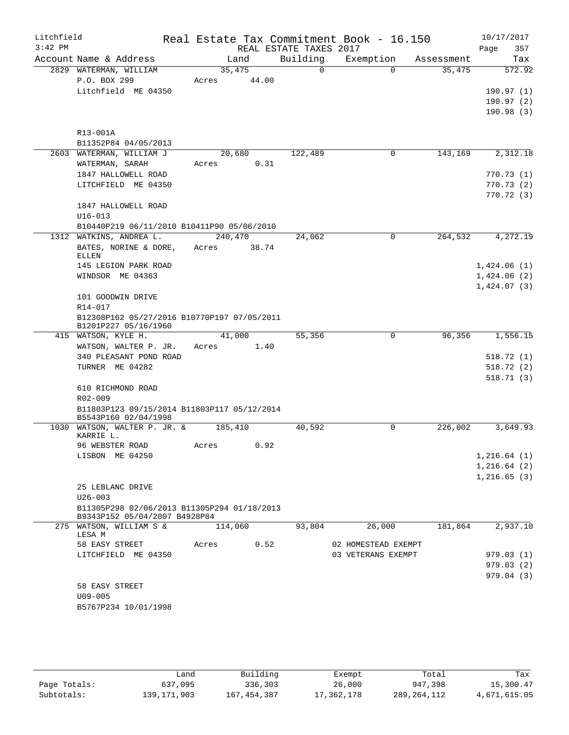| Litchfield<br>$3:42$ PM |                                                                              |            |       | REAL ESTATE TAXES 2017 | Real Estate Tax Commitment Book - 16.150 |            | 10/17/2017<br>Page<br>357 |
|-------------------------|------------------------------------------------------------------------------|------------|-------|------------------------|------------------------------------------|------------|---------------------------|
|                         | Account Name & Address                                                       | Land       |       | Building               | Exemption                                | Assessment | Tax                       |
|                         | 2829 WATERMAN, WILLIAM                                                       | 35,475     |       | $\Omega$               | $\Omega$                                 | 35,475     | 572.92                    |
|                         | P.O. BOX 299                                                                 | Acres      | 44.00 |                        |                                          |            |                           |
|                         | Litchfield ME 04350                                                          |            |       |                        |                                          |            | 190.97(1)                 |
|                         |                                                                              |            |       |                        |                                          |            | 190.97(2)                 |
|                         |                                                                              |            |       |                        |                                          |            | 190.98(3)                 |
|                         |                                                                              |            |       |                        |                                          |            |                           |
|                         | R13-001A                                                                     |            |       |                        |                                          |            |                           |
|                         | B11352P84 04/05/2013                                                         |            |       |                        |                                          |            |                           |
|                         | 2603 WATERMAN, WILLIAM J                                                     | 20,680     |       | 122,489                | $\mathbf 0$                              | 143,169    | 2,312.18                  |
|                         |                                                                              | Acres      | 0.31  |                        |                                          |            |                           |
|                         | WATERMAN, SARAH                                                              |            |       |                        |                                          |            | 770.73 (1)                |
|                         | 1847 HALLOWELL ROAD                                                          |            |       |                        |                                          |            |                           |
|                         | LITCHFIELD ME 04350                                                          |            |       |                        |                                          |            | 770.73(2)                 |
|                         |                                                                              |            |       |                        |                                          |            | 770.72(3)                 |
|                         | 1847 HALLOWELL ROAD                                                          |            |       |                        |                                          |            |                           |
|                         | $U16 - 013$                                                                  |            |       |                        |                                          |            |                           |
|                         | B10440P219 06/11/2010 B10411P90 05/06/2010                                   |            |       |                        |                                          |            |                           |
|                         | 1312 WATKINS, ANDREA L.                                                      | 240,470    |       | 24,062                 | 0                                        | 264,532    | 4,272.19                  |
|                         | BATES, NORINE & DORE, Acres                                                  |            | 38.74 |                        |                                          |            |                           |
|                         | <b>ELLEN</b>                                                                 |            |       |                        |                                          |            |                           |
|                         | 145 LEGION PARK ROAD                                                         |            |       |                        |                                          |            | 1,424.06(1)               |
|                         | WINDSOR ME 04363                                                             |            |       |                        |                                          |            | 1,424.06(2)               |
|                         |                                                                              |            |       |                        |                                          |            | 1,424.07(3)               |
|                         | 101 GOODWIN DRIVE                                                            |            |       |                        |                                          |            |                           |
|                         | R14-017                                                                      |            |       |                        |                                          |            |                           |
|                         | B12308P162 05/27/2016 B10770P197 07/05/2011<br>B1201P227 05/16/1960          |            |       |                        |                                          |            |                           |
|                         | 415 WATSON, KYLE H.                                                          | 41,000     |       | 55,356                 | $\Omega$                                 | 96,356     | 1,556.15                  |
|                         | WATSON, WALTER P. JR.                                                        | Acres      | 1.40  |                        |                                          |            |                           |
|                         | 340 PLEASANT POND ROAD                                                       |            |       |                        |                                          |            | 518.72(1)                 |
|                         | TURNER ME 04282                                                              |            |       |                        |                                          |            | 518.72(2)                 |
|                         |                                                                              |            |       |                        |                                          |            | 518.71(3)                 |
|                         | 610 RICHMOND ROAD                                                            |            |       |                        |                                          |            |                           |
|                         | R02-009                                                                      |            |       |                        |                                          |            |                           |
|                         | B11803P123 09/15/2014 B11803P117 05/12/2014                                  |            |       |                        |                                          |            |                           |
|                         | B5543P160 02/04/1998                                                         |            |       |                        |                                          |            |                           |
|                         | 1030 WATSON, WALTER P. JR. &                                                 | 185,410    |       | 40,592                 | $\mathbf 0$                              | 226,002    | 3,649.93                  |
|                         | KARRIE L.                                                                    |            |       |                        |                                          |            |                           |
|                         | 96 WEBSTER ROAD                                                              | Acres 0.92 |       |                        |                                          |            |                           |
|                         | LISBON ME 04250                                                              |            |       |                        |                                          |            | 1, 216.64(1)              |
|                         |                                                                              |            |       |                        |                                          |            | 1,216.64(2)               |
|                         |                                                                              |            |       |                        |                                          |            | 1, 216.65(3)              |
|                         | 25 LEBLANC DRIVE                                                             |            |       |                        |                                          |            |                           |
|                         | $U26 - 003$                                                                  |            |       |                        |                                          |            |                           |
|                         | B11305P298 02/06/2013 B11305P294 01/18/2013<br>B9343P152 05/04/2007 B4928P84 |            |       |                        |                                          |            |                           |
|                         | 275 WATSON, WILLIAM S &                                                      | 114,060    |       | 93,804                 | 26,000                                   | 181,864    | 2,937.10                  |
|                         | LESA M                                                                       |            |       |                        |                                          |            |                           |
|                         | 58 EASY STREET                                                               | Acres      | 0.52  |                        | 02 HOMESTEAD EXEMPT                      |            |                           |
|                         | LITCHFIELD ME 04350                                                          |            |       |                        | 03 VETERANS EXEMPT                       |            | 979.03(1)                 |
|                         |                                                                              |            |       |                        |                                          |            | 979.03(2)                 |
|                         |                                                                              |            |       |                        |                                          |            | 979.04 (3)                |
|                         | 58 EASY STREET                                                               |            |       |                        |                                          |            |                           |
|                         | $U09 - 005$                                                                  |            |       |                        |                                          |            |                           |
|                         | B5767P234 10/01/1998                                                         |            |       |                        |                                          |            |                           |
|                         |                                                                              |            |       |                        |                                          |            |                           |
|                         |                                                                              |            |       |                        |                                          |            |                           |

|              | Land          | Building      | Exempt     | Total         | Tax          |
|--------------|---------------|---------------|------------|---------------|--------------|
| Page Totals: | 637,095       | 336,303       | 26,000     | 947,398       | 15,300.47    |
| Subtotals:   | 139, 171, 903 | 167, 454, 387 | 17,362,178 | 289, 264, 112 | 4,671,615.05 |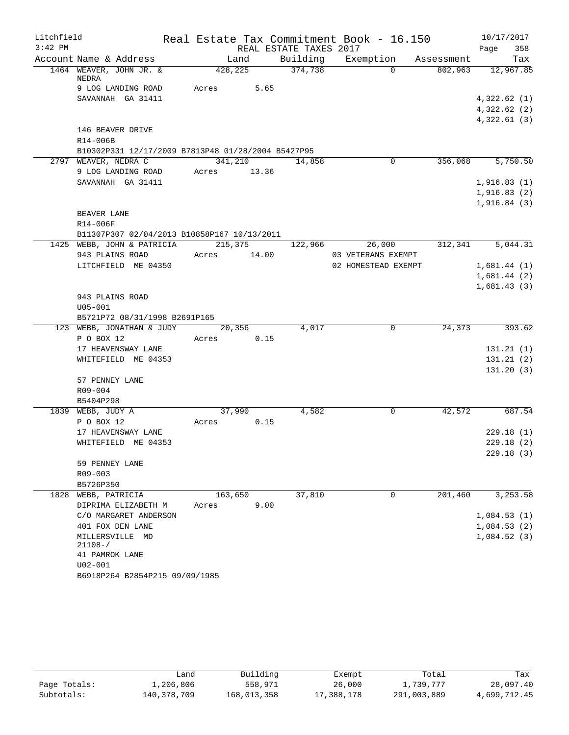| Litchfield |                                                    |         |        |                        | Real Estate Tax Commitment Book - 16.150 |            |             | 10/17/2017 |
|------------|----------------------------------------------------|---------|--------|------------------------|------------------------------------------|------------|-------------|------------|
| $3:42$ PM  |                                                    |         |        | REAL ESTATE TAXES 2017 |                                          |            | Page        | 358        |
|            | Account Name & Address                             |         | Land   | Building               | Exemption                                | Assessment |             | Tax        |
|            | 1464 WEAVER, JOHN JR. &<br>NEDRA                   | 428,225 |        | 374,738                | $\Omega$                                 | 802,963    |             | 12,967.85  |
|            | 9 LOG LANDING ROAD                                 | Acres   | 5.65   |                        |                                          |            |             |            |
|            | SAVANNAH GA 31411                                  |         |        |                        |                                          |            | 4,322.62(1) |            |
|            |                                                    |         |        |                        |                                          |            | 4,322.62(2) |            |
|            |                                                    |         |        |                        |                                          |            | 4,322.61(3) |            |
|            | 146 BEAVER DRIVE                                   |         |        |                        |                                          |            |             |            |
|            | R14-006B                                           |         |        |                        |                                          |            |             |            |
|            | B10302P331 12/17/2009 B7813P48 01/28/2004 B5427P95 |         |        |                        |                                          |            |             |            |
|            | 2797 WEAVER, NEDRA C                               | 341,210 |        | 14,858                 | 0                                        | 356,068    |             | 5,750.50   |
|            | 9 LOG LANDING ROAD                                 | Acres   | 13.36  |                        |                                          |            |             |            |
|            | SAVANNAH GA 31411                                  |         |        |                        |                                          |            | 1,916.83(1) |            |
|            |                                                    |         |        |                        |                                          |            | 1,916.83(2) |            |
|            |                                                    |         |        |                        |                                          |            | 1,916.84(3) |            |
|            | BEAVER LANE                                        |         |        |                        |                                          |            |             |            |
|            | R14-006F                                           |         |        |                        |                                          |            |             |            |
|            | B11307P307 02/04/2013 B10858P167 10/13/2011        |         |        |                        |                                          |            |             |            |
|            | 1425 WEBB, JOHN & PATRICIA                         | 215,375 |        | 122,966                | 26,000                                   | 312,341    |             | 5,044.31   |
|            | 943 PLAINS ROAD                                    | Acres   | 14.00  |                        | 03 VETERANS EXEMPT                       |            |             |            |
|            | LITCHFIELD ME 04350                                |         |        |                        | 02 HOMESTEAD EXEMPT                      |            | 1,681.44(1) |            |
|            |                                                    |         |        |                        |                                          |            | 1,681.44(2) |            |
|            |                                                    |         |        |                        |                                          |            | 1,681.43(3) |            |
|            | 943 PLAINS ROAD                                    |         |        |                        |                                          |            |             |            |
|            | $U05 - 001$                                        |         |        |                        |                                          |            |             |            |
|            | B5721P72 08/31/1998 B2691P165                      |         |        |                        |                                          |            |             |            |
|            | 123 WEBB, JONATHAN & JUDY                          |         | 20,356 | 4,017                  | $\mathbf 0$                              | 24,373     |             | 393.62     |
|            | P O BOX 12                                         | Acres   | 0.15   |                        |                                          |            |             |            |
|            | 17 HEAVENSWAY LANE                                 |         |        |                        |                                          |            |             | 131.21(1)  |
|            | WHITEFIELD ME 04353                                |         |        |                        |                                          |            |             | 131.21(2)  |
|            |                                                    |         |        |                        |                                          |            |             | 131.20(3)  |
|            | 57 PENNEY LANE                                     |         |        |                        |                                          |            |             |            |
|            | R09-004                                            |         |        |                        |                                          |            |             |            |
|            | B5404P298                                          |         |        |                        |                                          |            |             |            |
|            | 1839 WEBB, JUDY A                                  | 37,990  |        | 4,582                  | 0                                        | 42,572     |             | 687.54     |
|            | P O BOX 12                                         | Acres   | 0.15   |                        |                                          |            |             |            |
|            | 17 HEAVENSWAY LANE                                 |         |        |                        |                                          |            |             | 229.18(1)  |
|            | WHITEFIELD ME 04353                                |         |        |                        |                                          |            |             | 229.18(2)  |
|            |                                                    |         |        |                        |                                          |            |             | 229.18(3)  |
|            | 59 PENNEY LANE                                     |         |        |                        |                                          |            |             |            |
|            | R09-003                                            |         |        |                        |                                          |            |             |            |
|            | B5726P350                                          |         |        |                        |                                          |            |             |            |
|            | 1828 WEBB, PATRICIA                                | 163,650 |        | 37,810                 | 0                                        | 201,460    |             | 3,253.58   |
|            | DIPRIMA ELIZABETH M                                | Acres   | 9.00   |                        |                                          |            |             |            |
|            | C/O MARGARET ANDERSON                              |         |        |                        |                                          |            | 1,084.53(1) |            |
|            | 401 FOX DEN LANE                                   |         |        |                        |                                          |            | 1,084.53(2) |            |
|            | MILLERSVILLE MD                                    |         |        |                        |                                          |            | 1,084.52(3) |            |
|            | $21108 - /$                                        |         |        |                        |                                          |            |             |            |
|            | 41 PAMROK LANE                                     |         |        |                        |                                          |            |             |            |
|            | $U02 - 001$                                        |         |        |                        |                                          |            |             |            |
|            | B6918P264 B2854P215 09/09/1985                     |         |        |                        |                                          |            |             |            |

|              | úand        | Building    | Exempt     | Total       | Tax          |
|--------------|-------------|-------------|------------|-------------|--------------|
| Page Totals: | 1,206,806   | 558,971     | 26,000     | 1,739,777   | 28,097.40    |
| Subtotals:   | 140,378,709 | 168,013,358 | 17,388,178 | 291,003,889 | 4,699,712.45 |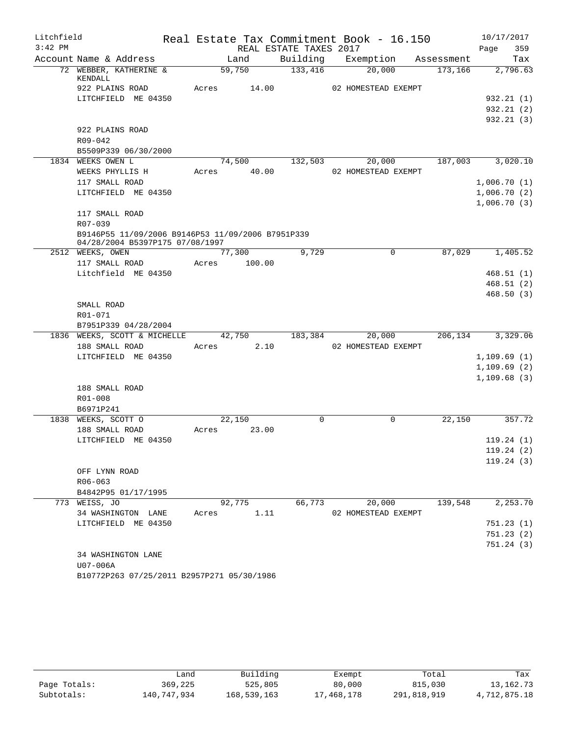| Litchfield |                                                   |       |        |                        | Real Estate Tax Commitment Book - 16.150 |            | 10/17/2017  |
|------------|---------------------------------------------------|-------|--------|------------------------|------------------------------------------|------------|-------------|
| $3:42$ PM  |                                                   |       |        | REAL ESTATE TAXES 2017 |                                          |            | 359<br>Page |
|            | Account Name & Address                            |       | Land   | Building               | Exemption                                | Assessment | Tax         |
|            | 72 WEBBER, KATHERINE &<br>KENDALL                 |       | 59,750 | 133,416                | 20,000                                   | 173,166    | 2,796.63    |
|            | 922 PLAINS ROAD                                   | Acres | 14.00  |                        | 02 HOMESTEAD EXEMPT                      |            |             |
|            | LITCHFIELD ME 04350                               |       |        |                        |                                          |            | 932.21 (1)  |
|            |                                                   |       |        |                        |                                          |            | 932.21(2)   |
|            |                                                   |       |        |                        |                                          |            | 932.21(3)   |
|            | 922 PLAINS ROAD                                   |       |        |                        |                                          |            |             |
|            | R09-042                                           |       |        |                        |                                          |            |             |
|            | B5509P339 06/30/2000                              |       |        |                        |                                          |            |             |
|            | 1834 WEEKS OWEN L                                 |       | 74,500 | 132,503                | 20,000                                   | 187,003    | 3,020.10    |
|            | WEEKS PHYLLIS H                                   | Acres | 40.00  |                        | 02 HOMESTEAD EXEMPT                      |            |             |
|            | 117 SMALL ROAD                                    |       |        |                        |                                          |            | 1,006.70(1) |
|            | LITCHFIELD ME 04350                               |       |        |                        |                                          |            | 1,006.70(2) |
|            |                                                   |       |        |                        |                                          |            | 1,006.70(3) |
|            | 117 SMALL ROAD<br>R07-039                         |       |        |                        |                                          |            |             |
|            | B9146P55 11/09/2006 B9146P53 11/09/2006 B7951P339 |       |        |                        |                                          |            |             |
|            | 04/28/2004 B5397P175 07/08/1997                   |       |        |                        |                                          |            |             |
|            | 2512 WEEKS, OWEN                                  |       | 77,300 | 9,729                  | 0                                        | 87,029     | 1,405.52    |
|            | 117 SMALL ROAD                                    | Acres | 100.00 |                        |                                          |            |             |
|            | Litchfield ME 04350                               |       |        |                        |                                          |            | 468.51(1)   |
|            |                                                   |       |        |                        |                                          |            | 468.51(2)   |
|            |                                                   |       |        |                        |                                          |            | 468.50(3)   |
|            | SMALL ROAD                                        |       |        |                        |                                          |            |             |
|            | R01-071                                           |       |        |                        |                                          |            |             |
|            | B7951P339 04/28/2004                              |       |        |                        |                                          |            |             |
|            | 1836 WEEKS, SCOTT & MICHELLE                      |       | 42,750 | 183,384                | 20,000                                   | 206,134    | 3,329.06    |
|            | 188 SMALL ROAD                                    | Acres | 2.10   |                        | 02 HOMESTEAD EXEMPT                      |            |             |
|            | LITCHFIELD ME 04350                               |       |        |                        |                                          |            | 1,109.69(1) |
|            |                                                   |       |        |                        |                                          |            | 1,109.69(2) |
|            |                                                   |       |        |                        |                                          |            | 1,109.68(3) |
|            | 188 SMALL ROAD                                    |       |        |                        |                                          |            |             |
|            | R01-008                                           |       |        |                        |                                          |            |             |
|            | B6971P241                                         |       |        |                        |                                          |            |             |
|            | 1838 WEEKS, SCOTT O                               |       | 22.150 | 0                      | 0                                        | 22,150     | 357.72      |
|            | 188 SMALL ROAD                                    | Acres | 23.00  |                        |                                          |            |             |
|            | LITCHFIELD ME 04350                               |       |        |                        |                                          |            | 119.24(1)   |
|            |                                                   |       |        |                        |                                          |            | 119.24(2)   |
|            |                                                   |       |        |                        |                                          |            | 119.24(3)   |
|            | OFF LYNN ROAD                                     |       |        |                        |                                          |            |             |
|            | $R06 - 063$                                       |       |        |                        |                                          |            |             |
|            | B4842P95 01/17/1995                               |       |        |                        |                                          |            |             |
|            | 773 WEISS, JO                                     |       | 92,775 | 66,773                 | 20,000                                   | 139,548    | 2,253.70    |
|            | 34 WASHINGTON LANE                                | Acres | 1.11   |                        | 02 HOMESTEAD EXEMPT                      |            |             |
|            | LITCHFIELD ME 04350                               |       |        |                        |                                          |            | 751.23(1)   |
|            |                                                   |       |        |                        |                                          |            | 751.23(2)   |
|            |                                                   |       |        |                        |                                          |            | 751.24(3)   |
|            | 34 WASHINGTON LANE                                |       |        |                        |                                          |            |             |
|            | U07-006A                                          |       |        |                        |                                          |            |             |

B10772P263 07/25/2011 B2957P271 05/30/1986

|              | ∟and        | Building    | Exempt     | Total       | Tax          |
|--------------|-------------|-------------|------------|-------------|--------------|
| Page Totals: | 369,225     | 525,805     | 80,000     | 815,030     | 13,162.73    |
| Subtotals:   | 140,747,934 | 168,539,163 | 17,468,178 | 291,818,919 | 4,712,875.18 |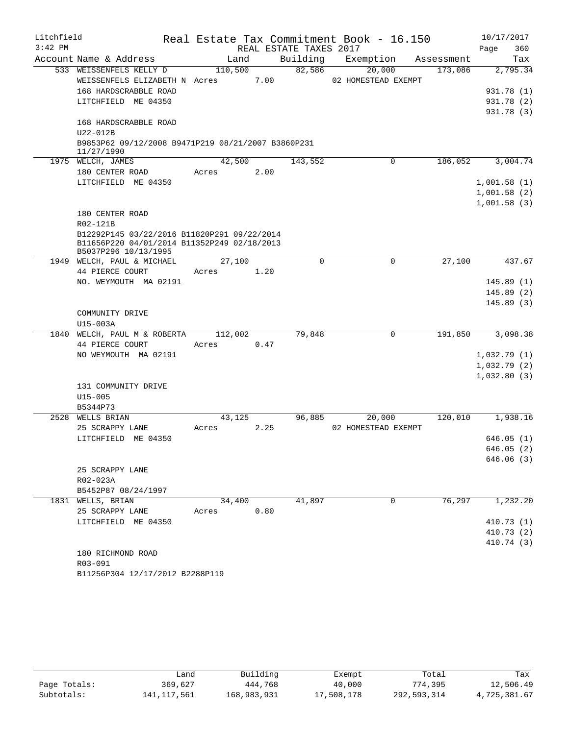| Litchfield |                                                                     |         |      |                        |          | Real Estate Tax Commitment Book - 16.150 |            | 10/17/2017  |
|------------|---------------------------------------------------------------------|---------|------|------------------------|----------|------------------------------------------|------------|-------------|
| $3:42$ PM  |                                                                     |         |      | REAL ESTATE TAXES 2017 |          |                                          |            | Page<br>360 |
|            | Account Name & Address                                              | Land    |      | Building               |          | Exemption                                | Assessment | Tax         |
|            | 533 WEISSENFELS KELLY D                                             | 110,500 |      | 82,586                 |          | 20,000                                   | 173,086    | 2,795.34    |
|            | WEISSENFELS ELIZABETH N Acres                                       |         | 7.00 |                        |          | 02 HOMESTEAD EXEMPT                      |            |             |
|            | 168 HARDSCRABBLE ROAD                                               |         |      |                        |          |                                          |            | 931.78 (1)  |
|            | LITCHFIELD ME 04350                                                 |         |      |                        |          |                                          |            | 931.78 (2)  |
|            |                                                                     |         |      |                        |          |                                          |            | 931.78 (3)  |
|            | 168 HARDSCRABBLE ROAD                                               |         |      |                        |          |                                          |            |             |
|            | U22-012B                                                            |         |      |                        |          |                                          |            |             |
|            | B9853P62 09/12/2008 B9471P219 08/21/2007 B3860P231<br>11/27/1990    |         |      |                        |          |                                          |            |             |
|            | 1975 WELCH, JAMES                                                   | 42,500  |      | 143,552                |          | 0                                        | 186,052    | 3,004.74    |
|            | 180 CENTER ROAD                                                     | Acres   | 2.00 |                        |          |                                          |            |             |
|            | LITCHFIELD ME 04350                                                 |         |      |                        |          |                                          |            | 1,001.58(1) |
|            |                                                                     |         |      |                        |          |                                          |            | 1,001.58(2) |
|            |                                                                     |         |      |                        |          |                                          |            | 1,001.58(3) |
|            | 180 CENTER ROAD                                                     |         |      |                        |          |                                          |            |             |
|            | R02-121B                                                            |         |      |                        |          |                                          |            |             |
|            | B12292P145 03/22/2016 B11820P291 09/22/2014                         |         |      |                        |          |                                          |            |             |
|            | B11656P220 04/01/2014 B11352P249 02/18/2013<br>B5037P296 10/13/1995 |         |      |                        |          |                                          |            |             |
|            | 1949 WELCH, PAUL & MICHAEL                                          | 27,100  |      |                        | $\Omega$ | 0                                        | 27,100     | 437.67      |
|            | 44 PIERCE COURT                                                     | Acres   | 1.20 |                        |          |                                          |            |             |
|            | NO. WEYMOUTH MA 02191                                               |         |      |                        |          |                                          |            | 145.89(1)   |
|            |                                                                     |         |      |                        |          |                                          |            | 145.89(2)   |
|            |                                                                     |         |      |                        |          |                                          |            | 145.89(3)   |
|            | COMMUNITY DRIVE                                                     |         |      |                        |          |                                          |            |             |
|            | U15-003A                                                            |         |      |                        |          |                                          |            |             |
|            | 1840 WELCH, PAUL M & ROBERTA                                        | 112,002 |      | 79,848                 |          | 0                                        | 191,850    | 3,098.38    |
|            | 44 PIERCE COURT                                                     | Acres   | 0.47 |                        |          |                                          |            |             |
|            | NO WEYMOUTH MA 02191                                                |         |      |                        |          |                                          |            | 1,032.79(1) |
|            |                                                                     |         |      |                        |          |                                          |            | 1,032.79(2) |
|            |                                                                     |         |      |                        |          |                                          |            | 1,032.80(3) |
|            | 131 COMMUNITY DRIVE                                                 |         |      |                        |          |                                          |            |             |
|            | $U15 - 005$                                                         |         |      |                        |          |                                          |            |             |
|            | B5344P73                                                            |         |      |                        |          |                                          |            |             |
|            | 2528 WELLS BRIAN                                                    | 43,125  |      | 96,885                 |          | 20,000                                   | 120,010    | 1,938.16    |
|            | 25 SCRAPPY LANE                                                     | Acres   | 2.25 |                        |          | 02 HOMESTEAD EXEMPT                      |            |             |
|            | LITCHFIELD ME 04350                                                 |         |      |                        |          |                                          |            | 646.05(1)   |
|            |                                                                     |         |      |                        |          |                                          |            | 646.05(2)   |
|            |                                                                     |         |      |                        |          |                                          |            | 646.06(3)   |
|            | 25 SCRAPPY LANE                                                     |         |      |                        |          |                                          |            |             |
|            | R02-023A                                                            |         |      |                        |          |                                          |            |             |
|            | B5452P87 08/24/1997                                                 |         |      |                        |          |                                          |            |             |
|            | 1831 WELLS, BRIAN                                                   | 34,400  |      | 41,897                 |          | 0                                        | 76,297     | 1,232.20    |
|            | 25 SCRAPPY LANE                                                     | Acres   | 0.80 |                        |          |                                          |            |             |
|            | LITCHFIELD ME 04350                                                 |         |      |                        |          |                                          |            | 410.73(1)   |
|            |                                                                     |         |      |                        |          |                                          |            | 410.73(2)   |
|            |                                                                     |         |      |                        |          |                                          |            | 410.74 (3)  |
|            | 180 RICHMOND ROAD                                                   |         |      |                        |          |                                          |            |             |
|            | R03-091                                                             |         |      |                        |          |                                          |            |             |
|            | B11256P304 12/17/2012 B2288P119                                     |         |      |                        |          |                                          |            |             |

|              | ف and       | Building    | Exempt     | Total       | Tax          |
|--------------|-------------|-------------|------------|-------------|--------------|
| Page Totals: | 369,627     | 444,768     | 40,000     | 774,395     | 12,506.49    |
| Subtotals:   | 141,117,561 | 168,983,931 | 17,508,178 | 292,593,314 | 4,725,381.67 |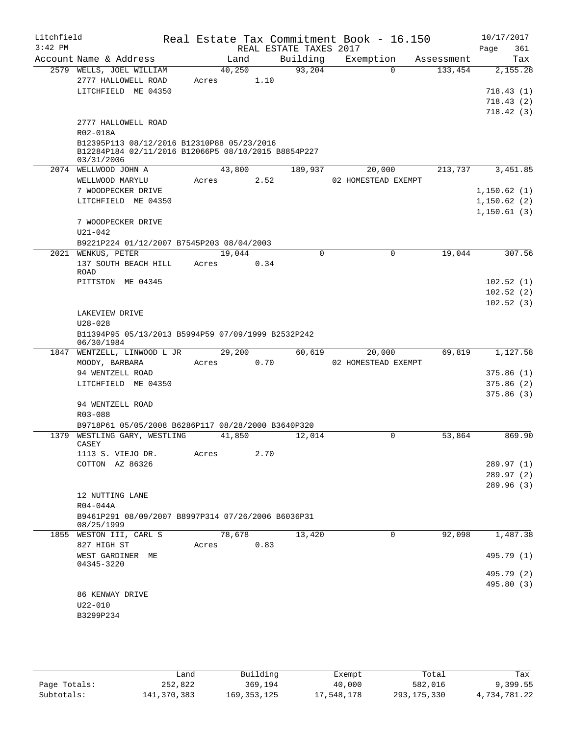| Litchfield<br>$3:42$ PM |                                                                   |       |        |      | REAL ESTATE TAXES 2017 | Real Estate Tax Commitment Book - 16.150 |             |            | 10/17/2017<br>Page<br>361 |
|-------------------------|-------------------------------------------------------------------|-------|--------|------|------------------------|------------------------------------------|-------------|------------|---------------------------|
|                         | Account Name & Address                                            |       | Land   |      | Building               | Exemption                                |             | Assessment | Tax                       |
|                         | 2579 WELLS, JOEL WILLIAM                                          |       | 40,250 |      | 93,204                 |                                          | $\Omega$    | 133,454    | 2,155.28                  |
|                         | 2777 HALLOWELL ROAD                                               | Acres |        | 1.10 |                        |                                          |             |            |                           |
|                         | LITCHFIELD ME 04350                                               |       |        |      |                        |                                          |             |            | 718.43(1)                 |
|                         |                                                                   |       |        |      |                        |                                          |             |            | 718.43(2)                 |
|                         |                                                                   |       |        |      |                        |                                          |             |            | 718.42(3)                 |
|                         | 2777 HALLOWELL ROAD                                               |       |        |      |                        |                                          |             |            |                           |
|                         | R02-018A                                                          |       |        |      |                        |                                          |             |            |                           |
|                         | B12395P113 08/12/2016 B12310P88 05/23/2016                        |       |        |      |                        |                                          |             |            |                           |
|                         | B12284P184 02/11/2016 B12066P5 08/10/2015 B8854P227<br>03/31/2006 |       |        |      |                        |                                          |             |            |                           |
|                         | 2074 WELLWOOD JOHN A                                              |       | 43,800 |      | 189,937                | 20,000                                   |             | 213,737    | 3,451.85                  |
|                         | WELLWOOD MARYLU                                                   | Acres |        | 2.52 |                        | 02 HOMESTEAD EXEMPT                      |             |            |                           |
|                         | 7 WOODPECKER DRIVE                                                |       |        |      |                        |                                          |             |            | 1,150.62(1)               |
|                         | LITCHFIELD ME 04350                                               |       |        |      |                        |                                          |             |            | 1,150.62(2)               |
|                         |                                                                   |       |        |      |                        |                                          |             |            | 1,150.61(3)               |
|                         | 7 WOODPECKER DRIVE                                                |       |        |      |                        |                                          |             |            |                           |
|                         | $U21 - 042$                                                       |       |        |      |                        |                                          |             |            |                           |
|                         | B9221P224 01/12/2007 B7545P203 08/04/2003                         |       |        |      |                        |                                          |             |            |                           |
|                         | 2021 WENKUS, PETER                                                |       | 19,044 |      | $\Omega$               |                                          | $\mathbf 0$ | 19,044     | 307.56                    |
|                         | 137 SOUTH BEACH HILL                                              | Acres |        | 0.34 |                        |                                          |             |            |                           |
|                         | <b>ROAD</b>                                                       |       |        |      |                        |                                          |             |            |                           |
|                         | PITTSTON ME 04345                                                 |       |        |      |                        |                                          |             |            | 102.52(1)                 |
|                         |                                                                   |       |        |      |                        |                                          |             |            | 102.52(2)                 |
|                         |                                                                   |       |        |      |                        |                                          |             |            | 102.52(3)                 |
|                         | LAKEVIEW DRIVE<br>$U28 - 028$                                     |       |        |      |                        |                                          |             |            |                           |
|                         | B11394P95 05/13/2013 B5994P59 07/09/1999 B2532P242                |       |        |      |                        |                                          |             |            |                           |
|                         | 06/30/1984                                                        |       |        |      |                        |                                          |             |            |                           |
| 1847                    | WENTZELL, LINWOOD L JR                                            |       | 29,200 |      | 60,619                 | 20,000                                   |             | 69,819     | 1,127.58                  |
|                         | MOODY, BARBARA                                                    | Acres |        | 0.70 |                        | 02 HOMESTEAD EXEMPT                      |             |            |                           |
|                         | 94 WENTZELL ROAD                                                  |       |        |      |                        |                                          |             |            | 375.86(1)                 |
|                         | LITCHFIELD ME 04350                                               |       |        |      |                        |                                          |             |            | 375.86(2)                 |
|                         |                                                                   |       |        |      |                        |                                          |             |            | 375.86(3)                 |
|                         | 94 WENTZELL ROAD                                                  |       |        |      |                        |                                          |             |            |                           |
|                         | R03-088                                                           |       |        |      |                        |                                          |             |            |                           |
|                         | B9718P61 05/05/2008 B6286P117 08/28/2000 B3640P320                |       |        |      |                        |                                          |             |            |                           |
| 1379                    | WESTLING GARY, WESTLING<br>CASEY                                  |       | 41,850 |      | 12,014                 |                                          | 0           | 53,864     | 869.90                    |
|                         | 1113 S. VIEJO DR.                                                 | Acres |        | 2.70 |                        |                                          |             |            |                           |
|                         | COTTON AZ 86326                                                   |       |        |      |                        |                                          |             |            | 289.97 (1)                |
|                         |                                                                   |       |        |      |                        |                                          |             |            | 289.97(2)                 |
|                         |                                                                   |       |        |      |                        |                                          |             |            | 289.96 (3)                |
|                         | 12 NUTTING LANE                                                   |       |        |      |                        |                                          |             |            |                           |
|                         | R04-044A                                                          |       |        |      |                        |                                          |             |            |                           |
|                         | B9461P291 08/09/2007 B8997P314 07/26/2006 B6036P31                |       |        |      |                        |                                          |             |            |                           |
|                         | 08/25/1999                                                        |       |        |      |                        |                                          |             |            |                           |
|                         | 1855 WESTON III, CARL S                                           |       | 78,678 |      | 13,420                 |                                          | 0           | 92,098     | 1,487.38                  |
|                         | 827 HIGH ST                                                       | Acres |        | 0.83 |                        |                                          |             |            |                           |
|                         | WEST GARDINER ME                                                  |       |        |      |                        |                                          |             |            | 495.79 (1)                |
|                         | 04345-3220                                                        |       |        |      |                        |                                          |             |            | 495.79 (2)                |
|                         |                                                                   |       |        |      |                        |                                          |             |            | 495.80 (3)                |
|                         | 86 KENWAY DRIVE                                                   |       |        |      |                        |                                          |             |            |                           |
|                         | $U22 - 010$                                                       |       |        |      |                        |                                          |             |            |                           |
|                         | B3299P234                                                         |       |        |      |                        |                                          |             |            |                           |
|                         |                                                                   |       |        |      |                        |                                          |             |            |                           |
|                         |                                                                   |       |        |      |                        |                                          |             |            |                           |

|              | Land        | Building      | Exempt     | Total         | Tax          |
|--------------|-------------|---------------|------------|---------------|--------------|
| Page Totals: | 252,822     | 369,194       | 40,000     | 582,016       | 9,399.55     |
| Subtotals:   | 141,370,383 | 169, 353, 125 | 17,548,178 | 293, 175, 330 | 4,734,781.22 |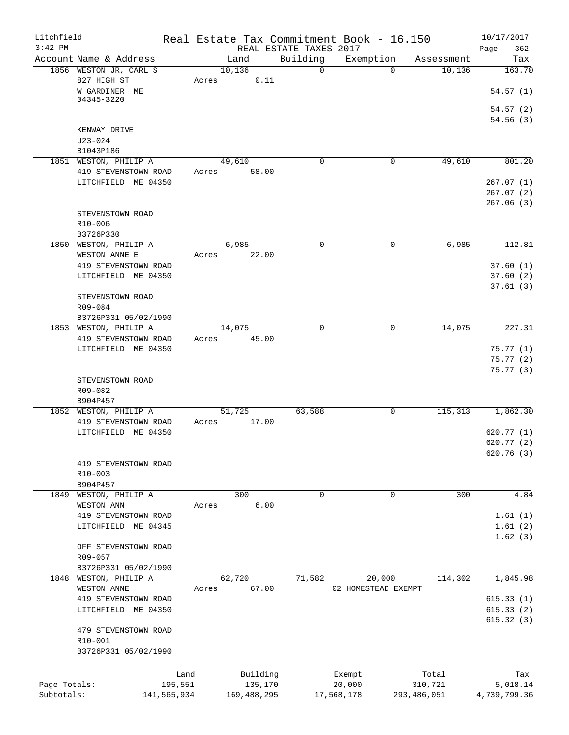| Litchfield<br>$3:42$ PM |                                               |       |                 | REAL ESTATE TAXES 2017 | Real Estate Tax Commitment Book - 16.150 |             | 10/17/2017<br>Page<br>362 |
|-------------------------|-----------------------------------------------|-------|-----------------|------------------------|------------------------------------------|-------------|---------------------------|
|                         | Account Name & Address                        |       | Land            | Building               | Exemption                                | Assessment  | Tax                       |
|                         | 1856 WESTON JR, CARL S<br>827 HIGH ST         | Acres | 10,136<br>0.11  | $\Omega$               | $\Omega$                                 | 10,136      | 163.70                    |
|                         | W GARDINER ME<br>04345-3220                   |       |                 |                        |                                          |             | 54.57(1)                  |
|                         |                                               |       |                 |                        |                                          |             | 54.57(2)<br>54.56(3)      |
|                         | KENWAY DRIVE<br>$U23 - 024$                   |       |                 |                        |                                          |             |                           |
|                         | B1043P186                                     |       |                 |                        |                                          |             |                           |
|                         | 1851 WESTON, PHILIP A                         |       | 49,610          | $\Omega$               | $\mathbf 0$                              | 49,610      | 801.20                    |
|                         | 419 STEVENSTOWN ROAD                          | Acres | 58.00           |                        |                                          |             |                           |
|                         | LITCHFIELD ME 04350                           |       |                 |                        |                                          |             | 267.07(1)                 |
|                         |                                               |       |                 |                        |                                          |             | 267.07 (2)<br>267.06(3)   |
|                         | STEVENSTOWN ROAD                              |       |                 |                        |                                          |             |                           |
|                         | R10-006<br>B3726P330                          |       |                 |                        |                                          |             |                           |
|                         | 1850 WESTON, PHILIP A                         |       | 6,985           | $\mathbf 0$            | 0                                        | 6,985       | 112.81                    |
|                         | WESTON ANNE E                                 | Acres | 22.00           |                        |                                          |             |                           |
|                         | 419 STEVENSTOWN ROAD                          |       |                 |                        |                                          |             | 37.60(1)                  |
|                         | LITCHFIELD ME 04350                           |       |                 |                        |                                          |             | 37.60(2)                  |
|                         |                                               |       |                 |                        |                                          |             | 37.61(3)                  |
|                         | STEVENSTOWN ROAD                              |       |                 |                        |                                          |             |                           |
|                         | R09-084<br>B3726P331 05/02/1990               |       |                 |                        |                                          |             |                           |
|                         | 1853 WESTON, PHILIP A                         |       | 14,075          | $\Omega$               | 0                                        | 14,075      | 227.31                    |
|                         | 419 STEVENSTOWN ROAD                          | Acres | 45.00           |                        |                                          |             |                           |
|                         | LITCHFIELD ME 04350                           |       |                 |                        |                                          |             | 75.77(1)                  |
|                         |                                               |       |                 |                        |                                          |             | 75.77(2)                  |
|                         |                                               |       |                 |                        |                                          |             | 75.77 (3)                 |
|                         | STEVENSTOWN ROAD                              |       |                 |                        |                                          |             |                           |
|                         | R09-082                                       |       |                 |                        |                                          |             |                           |
|                         | B904P457                                      |       |                 | 63,588                 | 0                                        | 115,313     | 1,862.30                  |
|                         | 1852 WESTON, PHILIP A<br>419 STEVENSTOWN ROAD | Acres | 51,725<br>17.00 |                        |                                          |             |                           |
|                         | LITCHFIELD ME 04350                           |       |                 |                        |                                          |             | 620.77(1)                 |
|                         |                                               |       |                 |                        |                                          |             | 620.77(2)                 |
|                         |                                               |       |                 |                        |                                          |             | 620.76(3)                 |
|                         | 419 STEVENSTOWN ROAD                          |       |                 |                        |                                          |             |                           |
|                         | R10-003                                       |       |                 |                        |                                          |             |                           |
|                         | B904P457                                      |       |                 |                        |                                          |             |                           |
| 1849                    | WESTON, PHILIP A                              |       | 300             | 0                      | 0                                        | 300         | 4.84                      |
|                         | WESTON ANN                                    | Acres | 6.00            |                        |                                          |             |                           |
|                         | 419 STEVENSTOWN ROAD<br>LITCHFIELD ME 04345   |       |                 |                        |                                          |             | 1.61(1)<br>1.61(2)        |
|                         |                                               |       |                 |                        |                                          |             | 1.62(3)                   |
|                         | OFF STEVENSTOWN ROAD                          |       |                 |                        |                                          |             |                           |
|                         | R09-057                                       |       |                 |                        |                                          |             |                           |
|                         | B3726P331 05/02/1990                          |       |                 |                        |                                          |             |                           |
| 1848                    | WESTON, PHILIP A                              |       | 62,720          | 71,582                 | 20,000                                   | 114,302     | 1,845.98                  |
|                         | WESTON ANNE                                   | Acres | 67.00           |                        | 02 HOMESTEAD EXEMPT                      |             |                           |
|                         | 419 STEVENSTOWN ROAD                          |       |                 |                        |                                          |             | 615.33(1)                 |
|                         | LITCHFIELD ME 04350                           |       |                 |                        |                                          |             | 615.33(2)                 |
|                         |                                               |       |                 |                        |                                          |             | 615.32(3)                 |
|                         | 479 STEVENSTOWN ROAD<br>R10-001               |       |                 |                        |                                          |             |                           |
|                         | B3726P331 05/02/1990                          |       |                 |                        |                                          |             |                           |
|                         |                                               |       |                 |                        |                                          |             |                           |
|                         |                                               | Land  | Building        |                        | Exempt                                   | Total       | Tax                       |
| Page Totals:            | 195,551                                       |       | 135,170         |                        | 20,000                                   | 310,721     | 5,018.14                  |
| Subtotals:              | 141,565,934                                   |       | 169,488,295     |                        | 17,568,178                               | 293,486,051 | 4,739,799.36              |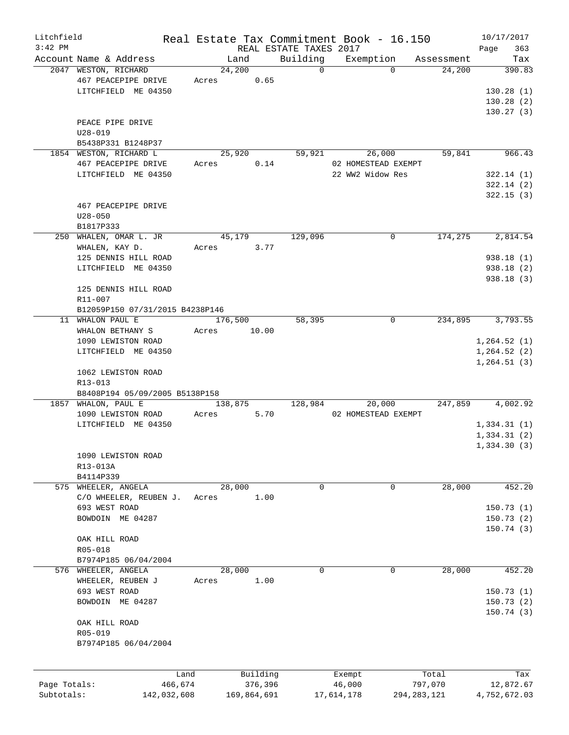| Litchfield   |                                                       |         |                |             |                        | Real Estate Tax Commitment Book - 16.150 |                      | 10/17/2017             |
|--------------|-------------------------------------------------------|---------|----------------|-------------|------------------------|------------------------------------------|----------------------|------------------------|
| $3:42$ PM    |                                                       |         |                |             | REAL ESTATE TAXES 2017 |                                          |                      | 363<br>Page            |
|              | Account Name & Address<br>2047 WESTON, RICHARD        |         | Land<br>24,200 |             | Building<br>$\Omega$   | Exemption<br>$\Omega$                    | Assessment<br>24,200 | Tax<br>390.83          |
|              | 467 PEACEPIPE DRIVE<br>LITCHFIELD ME 04350            | Acres   |                | 0.65        |                        |                                          |                      | 130.28(1)              |
|              |                                                       |         |                |             |                        |                                          |                      | 130.28(2)              |
|              |                                                       |         |                |             |                        |                                          |                      | 130.27(3)              |
|              | PEACE PIPE DRIVE                                      |         |                |             |                        |                                          |                      |                        |
|              | $U28 - 019$<br>B5438P331 B1248P37                     |         |                |             |                        |                                          |                      |                        |
|              | 1854 WESTON, RICHARD L                                |         | 25,920         |             | 59,921                 | 26,000                                   | 59,841               | 966.43                 |
|              | 467 PEACEPIPE DRIVE                                   | Acres   |                | 0.14        |                        | 02 HOMESTEAD EXEMPT                      |                      |                        |
|              | LITCHFIELD ME 04350                                   |         |                |             |                        | 22 WW2 Widow Res                         |                      | 322.14(1)              |
|              |                                                       |         |                |             |                        |                                          |                      | 322.14(2)              |
|              |                                                       |         |                |             |                        |                                          |                      | 322.15(3)              |
|              | 467 PEACEPIPE DRIVE                                   |         |                |             |                        |                                          |                      |                        |
|              | $U28 - 050$                                           |         |                |             |                        |                                          |                      |                        |
|              | B1817P333                                             |         |                |             |                        |                                          |                      |                        |
|              | 250 WHALEN, OMAR L. JR                                |         | 45,179         |             | 129,096                | 0                                        | 174,275              | 2,814.54               |
|              | WHALEN, KAY D.                                        | Acres   |                | 3.77        |                        |                                          |                      |                        |
|              | 125 DENNIS HILL ROAD<br>LITCHFIELD ME 04350           |         |                |             |                        |                                          |                      | 938.18(1)<br>938.18(2) |
|              |                                                       |         |                |             |                        |                                          |                      | 938.18(3)              |
|              | 125 DENNIS HILL ROAD                                  |         |                |             |                        |                                          |                      |                        |
|              | R11-007                                               |         |                |             |                        |                                          |                      |                        |
|              | B12059P150 07/31/2015 B4238P146                       |         |                |             |                        |                                          |                      |                        |
|              | 11 WHALON PAUL E                                      |         | 176,500        |             | 58,395                 | 0                                        | 234,895              | 3,793.55               |
|              | WHALON BETHANY S                                      | Acres   |                | 10.00       |                        |                                          |                      |                        |
|              | 1090 LEWISTON ROAD                                    |         |                |             |                        |                                          |                      | 1, 264.52(1)           |
|              | LITCHFIELD ME 04350                                   |         |                |             |                        |                                          |                      | 1, 264.52(2)           |
|              |                                                       |         |                |             |                        |                                          |                      | 1,264.51(3)            |
|              | 1062 LEWISTON ROAD                                    |         |                |             |                        |                                          |                      |                        |
|              | R13-013                                               |         |                |             |                        |                                          |                      |                        |
|              | B8408P194 05/09/2005 B5138P158<br>1857 WHALON, PAUL E |         | 138,875        |             | 128,984                | 20,000                                   | 247,859              | 4,002.92               |
|              | 1090 LEWISTON ROAD                                    | Acres   |                | 5.70        |                        | 02 HOMESTEAD EXEMPT                      |                      |                        |
|              | LITCHFIELD ME 04350                                   |         |                |             |                        |                                          |                      | 1,334.31(1)            |
|              |                                                       |         |                |             |                        |                                          |                      | 1,334.31(2)            |
|              |                                                       |         |                |             |                        |                                          |                      | 1,334.30(3)            |
|              | 1090 LEWISTON ROAD                                    |         |                |             |                        |                                          |                      |                        |
|              | R13-013A                                              |         |                |             |                        |                                          |                      |                        |
|              | B4114P339                                             |         |                |             |                        |                                          |                      |                        |
|              | 575 WHEELER, ANGELA                                   |         | 28,000         |             | $\mathbf 0$            | $\mathbf 0$                              | 28,000               | 452.20                 |
|              | C/O WHEELER, REUBEN J.                                | Acres   |                | 1.00        |                        |                                          |                      |                        |
|              | 693 WEST ROAD                                         |         |                |             |                        |                                          |                      | 150.73(1)              |
|              | BOWDOIN ME 04287                                      |         |                |             |                        |                                          |                      | 150.73(2)              |
|              |                                                       |         |                |             |                        |                                          |                      | 150.74(3)              |
|              | OAK HILL ROAD<br>R05-018                              |         |                |             |                        |                                          |                      |                        |
|              | B7974P185 06/04/2004                                  |         |                |             |                        |                                          |                      |                        |
| 576          | WHEELER, ANGELA                                       |         | 28,000         |             | 0                      | $\mathbf 0$                              | 28,000               | 452.20                 |
|              | WHEELER, REUBEN J                                     | Acres   |                | 1.00        |                        |                                          |                      |                        |
|              | 693 WEST ROAD                                         |         |                |             |                        |                                          |                      | 150.73(1)              |
|              | BOWDOIN ME 04287                                      |         |                |             |                        |                                          |                      | 150.73(2)              |
|              |                                                       |         |                |             |                        |                                          |                      | 150.74(3)              |
|              | OAK HILL ROAD                                         |         |                |             |                        |                                          |                      |                        |
|              | R05-019                                               |         |                |             |                        |                                          |                      |                        |
|              | B7974P185 06/04/2004                                  |         |                |             |                        |                                          |                      |                        |
|              |                                                       |         |                |             |                        |                                          |                      |                        |
|              |                                                       | Land    |                | Building    |                        | Exempt                                   | Total                | Tax                    |
| Page Totals: |                                                       | 466,674 |                | 376,396     |                        | 46,000                                   | 797,070              | 12,872.67              |
| Subtotals:   | 142,032,608                                           |         |                | 169,864,691 |                        | 17,614,178                               | 294, 283, 121        | 4,752,672.03           |
|              |                                                       |         |                |             |                        |                                          |                      |                        |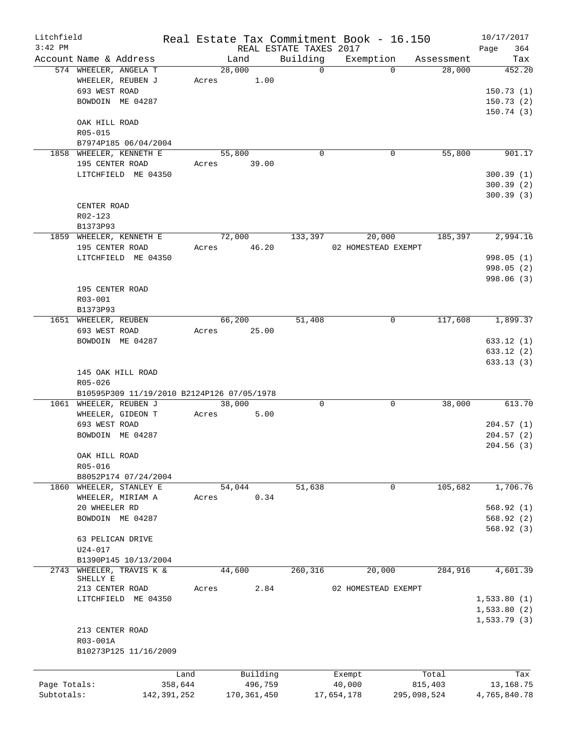| Litchfield   |                                                                            |             |       |                 |         |                        | Real Estate Tax Commitment Book - 16.150 |             |            | 10/17/2017              |
|--------------|----------------------------------------------------------------------------|-------------|-------|-----------------|---------|------------------------|------------------------------------------|-------------|------------|-------------------------|
| $3:42$ PM    |                                                                            |             |       |                 |         | REAL ESTATE TAXES 2017 |                                          |             |            | 364<br>Page             |
|              | Account Name & Address                                                     |             |       | Land            |         | Building               | Exemption                                |             | Assessment | Tax                     |
|              | 574 WHEELER, ANGELA T<br>WHEELER, REUBEN J<br>693 WEST ROAD                |             | Acres | 28,000          | 1.00    | $\Omega$               |                                          | $\Omega$    | 28,000     | 452.20<br>150.73(1)     |
|              | BOWDOIN ME 04287                                                           |             |       |                 |         |                        |                                          |             |            | 150.73(2)<br>150.74 (3) |
|              | OAK HILL ROAD<br>R05-015                                                   |             |       |                 |         |                        |                                          |             |            |                         |
|              | B7974P185 06/04/2004                                                       |             |       |                 |         |                        |                                          |             |            |                         |
|              | 1858 WHEELER, KENNETH E<br>195 CENTER ROAD                                 |             | Acres | 55,800<br>39.00 |         | 0                      |                                          | 0           | 55,800     | 901.17                  |
|              | LITCHFIELD ME 04350                                                        |             |       |                 |         |                        |                                          |             |            | 300.39(1)               |
|              |                                                                            |             |       |                 |         |                        |                                          |             |            | 300.39(2)               |
|              |                                                                            |             |       |                 |         |                        |                                          |             |            | 300.39(3)               |
|              | CENTER ROAD                                                                |             |       |                 |         |                        |                                          |             |            |                         |
|              | R02-123                                                                    |             |       |                 |         |                        |                                          |             |            |                         |
|              | B1373P93                                                                   |             |       |                 |         |                        |                                          |             |            |                         |
|              | 1859 WHEELER, KENNETH E                                                    |             |       | 72,000          |         | 133,397                | 20,000                                   |             | 185,397    | 2,994.16                |
|              | 195 CENTER ROAD                                                            |             | Acres | 46.20           |         |                        | 02 HOMESTEAD EXEMPT                      |             |            |                         |
|              | LITCHFIELD ME 04350                                                        |             |       |                 |         |                        |                                          |             |            | 998.05 (1)              |
|              |                                                                            |             |       |                 |         |                        |                                          |             |            | 998.05 (2)              |
|              |                                                                            |             |       |                 |         |                        |                                          |             |            | 998.06 (3)              |
|              | 195 CENTER ROAD                                                            |             |       |                 |         |                        |                                          |             |            |                         |
|              | R03-001                                                                    |             |       |                 |         |                        |                                          |             |            |                         |
|              | B1373P93                                                                   |             |       |                 |         |                        |                                          |             |            |                         |
|              | 1651 WHEELER, REUBEN                                                       |             |       | 66,200          |         | 51,408                 |                                          | 0           | 117,608    | 1,899.37                |
|              | 693 WEST ROAD                                                              |             | Acres |                 | 25.00   |                        |                                          |             |            |                         |
|              | BOWDOIN ME 04287                                                           |             |       |                 |         |                        |                                          |             |            | 633.12(1)<br>633.12(2)  |
|              |                                                                            |             |       |                 |         |                        |                                          |             |            | 633.13(3)               |
|              | 145 OAK HILL ROAD<br>R05-026<br>B10595P309 11/19/2010 B2124P126 07/05/1978 |             |       |                 |         |                        |                                          |             |            |                         |
|              | 1061 WHEELER, REUBEN J                                                     |             |       | 38,000          |         | $\mathbf 0$            |                                          | $\Omega$    | 38,000     | 613.70                  |
|              | WHEELER, GIDEON T                                                          |             | Acres |                 | 5.00    |                        |                                          |             |            |                         |
|              | 693 WEST ROAD                                                              |             |       |                 |         |                        |                                          |             |            | 204.57(1)               |
|              | BOWDOIN ME 04287                                                           |             |       |                 |         |                        |                                          |             |            | 204.57(2)               |
|              |                                                                            |             |       |                 |         |                        |                                          |             |            | 204.56(3)               |
|              | OAK HILL ROAD                                                              |             |       |                 |         |                        |                                          |             |            |                         |
|              | R05-016<br>B8052P174 07/24/2004                                            |             |       |                 |         |                        |                                          |             |            |                         |
| 1860         | WHEELER, STANLEY E                                                         |             |       | 54,044          |         | 51,638                 |                                          | $\mathbf 0$ | 105,682    | 1,706.76                |
|              | WHEELER, MIRIAM A                                                          |             | Acres |                 | 0.34    |                        |                                          |             |            |                         |
|              | 20 WHEELER RD                                                              |             |       |                 |         |                        |                                          |             |            | 568.92(1)               |
|              | BOWDOIN ME 04287                                                           |             |       |                 |         |                        |                                          |             |            | 568.92(2)               |
|              |                                                                            |             |       |                 |         |                        |                                          |             |            | 568.92 (3)              |
|              | 63 PELICAN DRIVE                                                           |             |       |                 |         |                        |                                          |             |            |                         |
|              | U24-017                                                                    |             |       |                 |         |                        |                                          |             |            |                         |
|              | B1390P145 10/13/2004                                                       |             |       |                 |         |                        |                                          |             |            |                         |
| 2743         | WHEELER, TRAVIS K &                                                        |             |       | 44,600          |         | 260,316                | 20,000                                   |             | 284,916    | 4,601.39                |
|              | SHELLY E                                                                   |             |       |                 |         |                        |                                          |             |            |                         |
|              | 213 CENTER ROAD<br>LITCHFIELD ME 04350                                     |             | Acres |                 | 2.84    |                        | 02 HOMESTEAD EXEMPT                      |             |            | 1,533.80(1)             |
|              |                                                                            |             |       |                 |         |                        |                                          |             |            | 1,533.80(2)             |
|              |                                                                            |             |       |                 |         |                        |                                          |             |            | 1,533.79(3)             |
|              | 213 CENTER ROAD                                                            |             |       |                 |         |                        |                                          |             |            |                         |
|              | R03-001A                                                                   |             |       |                 |         |                        |                                          |             |            |                         |
|              | B10273P125 11/16/2009                                                      |             |       |                 |         |                        |                                          |             |            |                         |
|              |                                                                            |             |       |                 |         |                        |                                          |             |            |                         |
|              |                                                                            | Land        |       | Building        |         |                        | Exempt                                   |             | Total      | Tax                     |
| Page Totals: |                                                                            | 358,644     |       |                 | 496,759 |                        | 40,000                                   |             | 815,403    | 13,168.75               |
| Subtotals:   |                                                                            | 142,391,252 |       | 170, 361, 450   |         |                        | 17,654,178                               | 295,098,524 |            | 4,765,840.78            |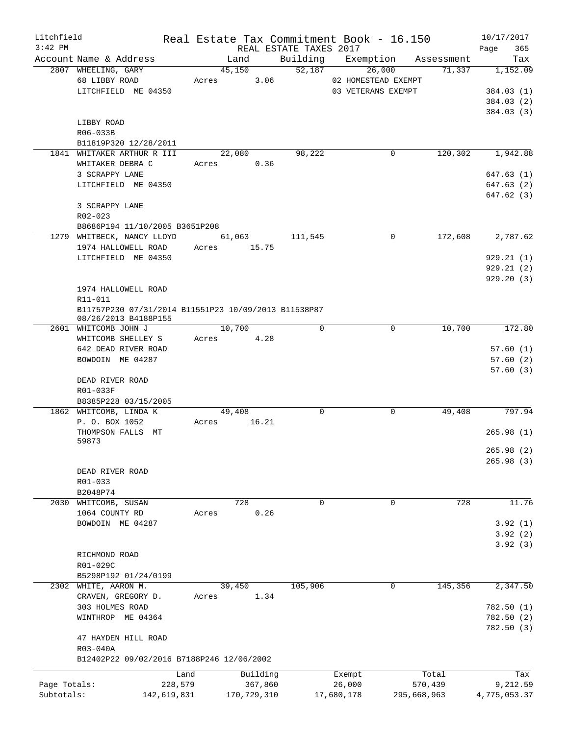| Litchfield<br>$3:42$ PM |                                                      |             |                 |          | REAL ESTATE TAXES 2017 | Real Estate Tax Commitment Book - 16.150 |                               | 10/17/2017<br>Page<br>365 |
|-------------------------|------------------------------------------------------|-------------|-----------------|----------|------------------------|------------------------------------------|-------------------------------|---------------------------|
|                         | Account Name & Address                               |             | Land            |          |                        |                                          | Building Exemption Assessment | Tax                       |
|                         | 2807 WHEELING, GARY<br>68 LIBBY ROAD                 |             | 45,150<br>Acres | 3.06     | 52,187                 | 26,000<br>02 HOMESTEAD EXEMPT            | 71,337                        | 1,152.09                  |
|                         | LITCHFIELD ME 04350                                  |             |                 |          |                        | 03 VETERANS EXEMPT                       |                               | 384.03 (1)                |
|                         |                                                      |             |                 |          |                        |                                          |                               | 384.03 (2)                |
|                         |                                                      |             |                 |          |                        |                                          |                               | 384.03 (3)                |
|                         | LIBBY ROAD                                           |             |                 |          |                        |                                          |                               |                           |
|                         | R06-033B                                             |             |                 |          |                        |                                          |                               |                           |
|                         | B11819P320 12/28/2011                                |             |                 |          |                        |                                          |                               |                           |
|                         | 1841 WHITAKER ARTHUR R III                           |             | 22,080          |          | 98,222                 |                                          | 120,302<br>0                  | 1,942.88                  |
|                         | WHITAKER DEBRA C                                     |             | Acres 0.36      |          |                        |                                          |                               |                           |
|                         | 3 SCRAPPY LANE                                       |             |                 |          |                        |                                          |                               | 647.63(1)                 |
|                         | LITCHFIELD ME 04350                                  |             |                 |          |                        |                                          |                               | 647.63(2)                 |
|                         |                                                      |             |                 |          |                        |                                          |                               | 647.62(3)                 |
|                         | 3 SCRAPPY LANE<br>$R02 - 023$                        |             |                 |          |                        |                                          |                               |                           |
|                         | B8686P194 11/10/2005 B3651P208                       |             |                 |          |                        |                                          |                               |                           |
|                         | 1279 WHITBECK, NANCY LLOYD                           |             | 61,063          |          | 111,545                |                                          | 172,608<br>0                  | 2,787.62                  |
|                         | 1974 HALLOWELL ROAD                                  | Acres       | 15.75           |          |                        |                                          |                               |                           |
|                         | LITCHFIELD ME 04350                                  |             |                 |          |                        |                                          |                               | 929.21(1)                 |
|                         |                                                      |             |                 |          |                        |                                          |                               | 929.21(2)                 |
|                         |                                                      |             |                 |          |                        |                                          |                               | 929.20(3)                 |
|                         | 1974 HALLOWELL ROAD                                  |             |                 |          |                        |                                          |                               |                           |
|                         | R11-011                                              |             |                 |          |                        |                                          |                               |                           |
|                         | B11757P230 07/31/2014 B11551P23 10/09/2013 B11538P87 |             |                 |          |                        |                                          |                               |                           |
|                         | 08/26/2013 B4188P155                                 |             |                 |          |                        |                                          |                               |                           |
|                         | 2601 WHITCOMB JOHN J                                 |             | 10,700          |          | $\Omega$               |                                          | 10,700<br>0                   | 172.80                    |
|                         | WHITCOMB SHELLEY S                                   | Acres       |                 | 4.28     |                        |                                          |                               |                           |
|                         | 642 DEAD RIVER ROAD                                  |             |                 |          |                        |                                          |                               | 57.60(1)                  |
|                         | BOWDOIN ME 04287                                     |             |                 |          |                        |                                          |                               | 57.60(2)                  |
|                         |                                                      |             |                 |          |                        |                                          |                               | 57.60(3)                  |
|                         | DEAD RIVER ROAD<br>R01-033F                          |             |                 |          |                        |                                          |                               |                           |
|                         | B8385P228 03/15/2005                                 |             |                 |          |                        |                                          |                               |                           |
|                         | 1862 WHITCOMB, LINDA K                               |             | 49,408          |          | 0                      |                                          | $\mathbf 0$<br>49,408         | 797.94                    |
|                         | P. O. BOX 1052                                       | Acres       |                 | 16.21    |                        |                                          |                               |                           |
|                         | THOMPSON FALLS MT                                    |             |                 |          |                        |                                          |                               | 265.98(1)                 |
|                         | 59873                                                |             |                 |          |                        |                                          |                               |                           |
|                         |                                                      |             |                 |          |                        |                                          |                               | 265.98 (2)                |
|                         |                                                      |             |                 |          |                        |                                          |                               | 265.98(3)                 |
|                         | DEAD RIVER ROAD                                      |             |                 |          |                        |                                          |                               |                           |
|                         | R01-033                                              |             |                 |          |                        |                                          |                               |                           |
|                         | B2048P74                                             |             |                 |          |                        |                                          |                               |                           |
| 2030                    | WHITCOMB, SUSAN                                      |             | 728             |          | 0                      |                                          | $\mathbf 0$                   | 11.76<br>728              |
|                         | 1064 COUNTY RD<br>BOWDOIN ME 04287                   | Acres       |                 | 0.26     |                        |                                          |                               |                           |
|                         |                                                      |             |                 |          |                        |                                          |                               | 3.92(1)<br>3.92(2)        |
|                         |                                                      |             |                 |          |                        |                                          |                               | 3.92(3)                   |
|                         | RICHMOND ROAD                                        |             |                 |          |                        |                                          |                               |                           |
|                         | R01-029C                                             |             |                 |          |                        |                                          |                               |                           |
|                         | B5298P192 01/24/0199                                 |             |                 |          |                        |                                          |                               |                           |
|                         | 2302 WHITE, AARON M.                                 |             | 39,450          |          | 105,906                |                                          | 0<br>145,356                  | 2,347.50                  |
|                         | CRAVEN, GREGORY D.                                   | Acres       |                 | 1.34     |                        |                                          |                               |                           |
|                         | 303 HOLMES ROAD                                      |             |                 |          |                        |                                          |                               | 782.50(1)                 |
|                         | WINTHROP ME 04364                                    |             |                 |          |                        |                                          |                               | 782.50(2)                 |
|                         |                                                      |             |                 |          |                        |                                          |                               | 782.50(3)                 |
|                         | 47 HAYDEN HILL ROAD                                  |             |                 |          |                        |                                          |                               |                           |
|                         | R03-040A                                             |             |                 |          |                        |                                          |                               |                           |
|                         | B12402P22 09/02/2016 B7188P246 12/06/2002            |             |                 |          |                        |                                          |                               |                           |
|                         |                                                      | Land        |                 | Building |                        | Exempt                                   | Total                         | Tax                       |
| Page Totals:            |                                                      | 228,579     |                 | 367,860  |                        | 26,000                                   | 570,439                       | 9,212.59                  |
| Subtotals:              |                                                      | 142,619,831 | 170,729,310     |          |                        | 17,680,178                               | 295,668,963                   | 4,775,053.37              |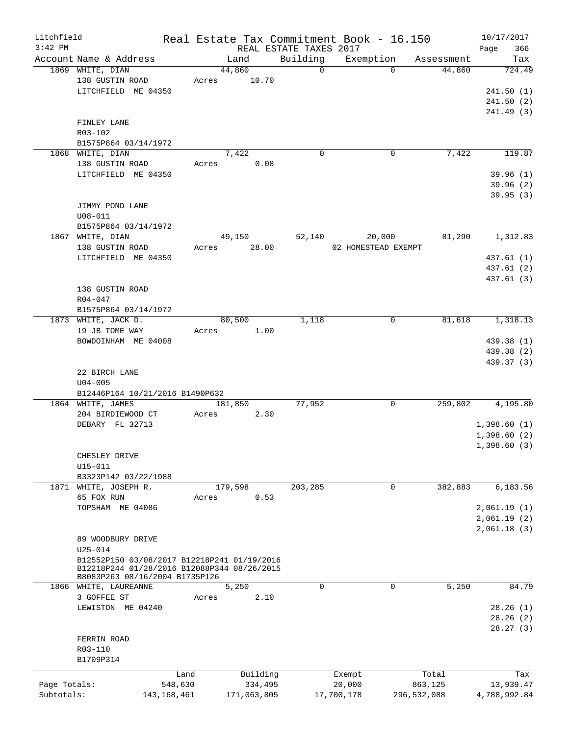| Litchfield   |                                                                               |               |       |             |                        | Real Estate Tax Commitment Book - 16.150 |             |            | 10/17/2017   |
|--------------|-------------------------------------------------------------------------------|---------------|-------|-------------|------------------------|------------------------------------------|-------------|------------|--------------|
| $3:42$ PM    |                                                                               |               |       |             | REAL ESTATE TAXES 2017 |                                          |             |            | 366<br>Page  |
|              | Account Name & Address                                                        |               |       | Land        | Building               | Exemption                                |             | Assessment | Tax          |
|              | 1869 WHITE, DIAN                                                              |               |       | 44,860      | $\Omega$               |                                          | $\Omega$    | 44,860     | 724.49       |
|              | 138 GUSTIN ROAD                                                               |               | Acres | 10.70       |                        |                                          |             |            |              |
|              | LITCHFIELD ME 04350                                                           |               |       |             |                        |                                          |             |            | 241.50(1)    |
|              |                                                                               |               |       |             |                        |                                          |             |            | 241.50(2)    |
|              |                                                                               |               |       |             |                        |                                          |             |            | 241.49 (3)   |
|              | FINLEY LANE                                                                   |               |       |             |                        |                                          |             |            |              |
|              | R03-102                                                                       |               |       |             |                        |                                          |             |            |              |
|              | B1575P864 03/14/1972                                                          |               |       | 7,422       | $\mathbf 0$            |                                          | 0           | 7,422      | 119.87       |
|              | 1868 WHITE, DIAN<br>138 GUSTIN ROAD                                           |               | Acres | 0.08        |                        |                                          |             |            |              |
|              | LITCHFIELD ME 04350                                                           |               |       |             |                        |                                          |             |            | 39.96(1)     |
|              |                                                                               |               |       |             |                        |                                          |             |            | 39.96(2)     |
|              |                                                                               |               |       |             |                        |                                          |             |            | 39.95(3)     |
|              | JIMMY POND LANE                                                               |               |       |             |                        |                                          |             |            |              |
|              | $U08 - 011$                                                                   |               |       |             |                        |                                          |             |            |              |
|              | B1575P864 03/14/1972                                                          |               |       |             |                        |                                          |             |            |              |
|              | 1867 WHITE, DIAN                                                              |               |       | 49,150      | 52,140                 | 20,000                                   |             | 81,290     | 1,312.83     |
|              | 138 GUSTIN ROAD                                                               |               | Acres | 28.00       |                        | 02 HOMESTEAD EXEMPT                      |             |            |              |
|              | LITCHFIELD ME 04350                                                           |               |       |             |                        |                                          |             |            | 437.61 (1)   |
|              |                                                                               |               |       |             |                        |                                          |             |            | 437.61 (2)   |
|              |                                                                               |               |       |             |                        |                                          |             |            | 437.61 (3)   |
|              | 138 GUSTIN ROAD                                                               |               |       |             |                        |                                          |             |            |              |
|              | R04-047                                                                       |               |       |             |                        |                                          |             |            |              |
|              | B1575P864 03/14/1972                                                          |               |       |             |                        |                                          |             |            |              |
|              | 1873 WHITE, JACK D.                                                           |               |       | 80,500      | 1,118                  |                                          | 0           | 81,618     | 1,318.13     |
|              | 19 JB TOME WAY                                                                |               | Acres | 1.00        |                        |                                          |             |            |              |
|              | BOWDOINHAM ME 04008                                                           |               |       |             |                        |                                          |             |            | 439.38 (1)   |
|              |                                                                               |               |       |             |                        |                                          |             |            | 439.38 (2)   |
|              |                                                                               |               |       |             |                        |                                          |             |            | 439.37 (3)   |
|              | 22 BIRCH LANE                                                                 |               |       |             |                        |                                          |             |            |              |
|              | $U04 - 005$                                                                   |               |       |             |                        |                                          |             |            |              |
|              | B12446P164 10/21/2016 B1490P632                                               |               |       |             |                        |                                          |             |            |              |
|              | 1864 WHITE, JAMES                                                             |               |       | 181,850     | 77,952                 |                                          | $\mathbf 0$ | 259,802    | 4,195.80     |
|              | 204 BIRDIEWOOD CT                                                             |               | Acres | 2.30        |                        |                                          |             |            |              |
|              | DEBARY FL 32713                                                               |               |       |             |                        |                                          |             |            | 1,398.60(1)  |
|              |                                                                               |               |       |             |                        |                                          |             |            | 1,398.60(2)  |
|              |                                                                               |               |       |             |                        |                                          |             |            | 1,398.60(3)  |
|              | CHESLEY DRIVE                                                                 |               |       |             |                        |                                          |             |            |              |
|              | U15-011                                                                       |               |       |             |                        |                                          |             |            |              |
|              | B3323P142 03/22/1988                                                          |               |       |             |                        |                                          |             |            |              |
|              | 1871 WHITE, JOSEPH R.                                                         |               |       | 179,598     | 203,285                |                                          | $\mathbf 0$ | 382,883    | 6, 183.56    |
|              | 65 FOX RUN                                                                    |               | Acres | 0.53        |                        |                                          |             |            |              |
|              | TOPSHAM ME 04086                                                              |               |       |             |                        |                                          |             |            | 2,061.19(1)  |
|              |                                                                               |               |       |             |                        |                                          |             |            | 2,061.19(2)  |
|              |                                                                               |               |       |             |                        |                                          |             |            | 2,061.18(3)  |
|              | 89 WOODBURY DRIVE                                                             |               |       |             |                        |                                          |             |            |              |
|              | $U25 - 014$                                                                   |               |       |             |                        |                                          |             |            |              |
|              | B12552P150 03/08/2017 B12218P241 01/19/2016                                   |               |       |             |                        |                                          |             |            |              |
|              | B12218P244 01/28/2016 B12088P344 08/26/2015<br>B8083P263 08/16/2004 B1735P126 |               |       |             |                        |                                          |             |            |              |
|              | 1866 WHITE, LAUREANNE                                                         |               |       | 5,250       | $\mathbf 0$            |                                          | $\mathbf 0$ | 5,250      | 84.79        |
|              | 3 GOFFEE ST                                                                   |               | Acres | 2.10        |                        |                                          |             |            |              |
|              | LEWISTON ME 04240                                                             |               |       |             |                        |                                          |             |            | 28.26(1)     |
|              |                                                                               |               |       |             |                        |                                          |             |            | 28.26(2)     |
|              |                                                                               |               |       |             |                        |                                          |             |            | 28.27(3)     |
|              | FERRIN ROAD                                                                   |               |       |             |                        |                                          |             |            |              |
|              | R03-110                                                                       |               |       |             |                        |                                          |             |            |              |
|              | B1709P314                                                                     |               |       |             |                        |                                          |             |            |              |
|              |                                                                               |               |       |             |                        |                                          |             |            |              |
|              |                                                                               | Land          |       | Building    |                        | Exempt                                   |             | Total      | Tax          |
| Page Totals: |                                                                               | 548,630       |       | 334,495     |                        | 20,000                                   |             | 863,125    | 13,939.47    |
| Subtotals:   |                                                                               | 143, 168, 461 |       | 171,063,805 |                        | 17,700,178                               | 296,532,088 |            | 4,788,992.84 |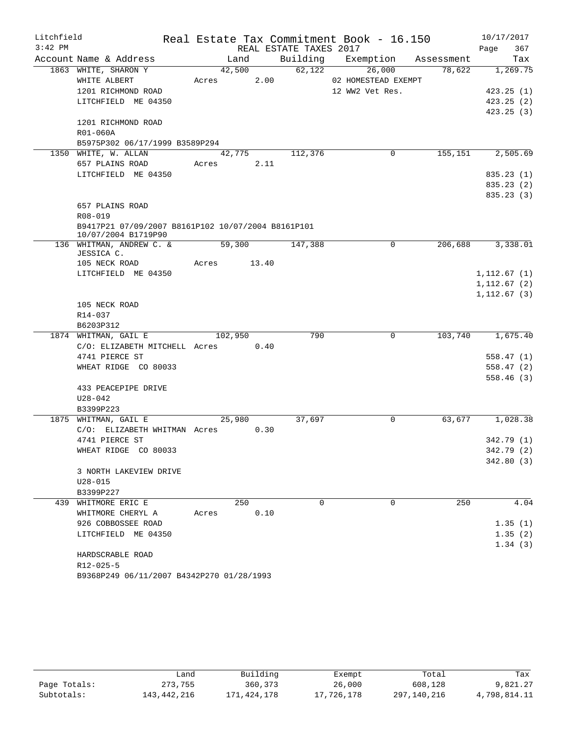| Litchfield |                                                                           |        |             |      |                        | Real Estate Tax Commitment Book - 16.150 |         | 10/17/2017   |
|------------|---------------------------------------------------------------------------|--------|-------------|------|------------------------|------------------------------------------|---------|--------------|
| $3:42$ PM  |                                                                           |        |             |      | REAL ESTATE TAXES 2017 |                                          |         | Page<br>367  |
|            | Account Name & Address                                                    |        | Land        |      |                        | Building Exemption Assessment            |         | Tax          |
|            | 1863 WHITE, SHARON Y                                                      |        | 42,500      |      | 62,122                 | 26,000                                   | 78,622  | 1,269.75     |
|            | WHITE ALBERT                                                              | Acres  |             | 2.00 |                        | 02 HOMESTEAD EXEMPT                      |         |              |
|            | 1201 RICHMOND ROAD                                                        |        |             |      |                        | 12 WW2 Vet Res.                          |         | 423.25(1)    |
|            | LITCHFIELD ME 04350                                                       |        |             |      |                        |                                          |         | 423.25(2)    |
|            |                                                                           |        |             |      |                        |                                          |         | 423.25(3)    |
|            | 1201 RICHMOND ROAD                                                        |        |             |      |                        |                                          |         |              |
|            | R01-060A                                                                  |        |             |      |                        |                                          |         |              |
|            | B5975P302 06/17/1999 B3589P294                                            |        |             |      |                        |                                          |         |              |
|            | 1350 WHITE, W. ALLAN                                                      |        | 42,775      |      | 112,376                | 0                                        | 155,151 | 2,505.69     |
|            | 657 PLAINS ROAD                                                           |        | Acres 2.11  |      |                        |                                          |         |              |
|            | LITCHFIELD ME 04350                                                       |        |             |      |                        |                                          |         | 835.23(1)    |
|            |                                                                           |        |             |      |                        |                                          |         | 835.23(2)    |
|            |                                                                           |        |             |      |                        |                                          |         | 835.23(3)    |
|            | 657 PLAINS ROAD                                                           |        |             |      |                        |                                          |         |              |
|            | R08-019                                                                   |        |             |      |                        |                                          |         |              |
|            | B9417P21 07/09/2007 B8161P102 10/07/2004 B8161P101<br>10/07/2004 B1719P90 |        |             |      |                        |                                          |         |              |
|            | 136 WHITMAN, ANDREW C. &                                                  | 59,300 |             |      | 147,388                | 0                                        | 206,688 | 3,338.01     |
|            | JESSICA C.                                                                |        |             |      |                        |                                          |         |              |
|            | 105 NECK ROAD                                                             |        | Acres 13.40 |      |                        |                                          |         |              |
|            | LITCHFIELD ME 04350                                                       |        |             |      |                        |                                          |         | 1, 112.67(1) |
|            |                                                                           |        |             |      |                        |                                          |         | 1,112.67(2)  |
|            |                                                                           |        |             |      |                        |                                          |         | 1, 112.67(3) |
|            | 105 NECK ROAD                                                             |        |             |      |                        |                                          |         |              |
|            | R14-037                                                                   |        |             |      |                        |                                          |         |              |
|            | B6203P312                                                                 |        |             |      |                        |                                          |         |              |
|            | 1874 WHITMAN, GAIL E                                                      |        | 102,950     |      | 790                    | 0                                        | 103,740 | 1,675.40     |
|            | C/O: ELIZABETH MITCHELL Acres 0.40                                        |        |             |      |                        |                                          |         |              |
|            | 4741 PIERCE ST                                                            |        |             |      |                        |                                          |         | 558.47(1)    |
|            | WHEAT RIDGE CO 80033                                                      |        |             |      |                        |                                          |         | 558.47(2)    |
|            |                                                                           |        |             |      |                        |                                          |         | 558.46(3)    |
|            | 433 PEACEPIPE DRIVE                                                       |        |             |      |                        |                                          |         |              |
|            | $U28 - 042$                                                               |        |             |      |                        |                                          |         |              |
|            | B3399P223                                                                 |        |             |      |                        |                                          |         |              |
|            | 1875 WHITMAN, GAIL E                                                      |        | 25,980      |      | 37,697                 | 0                                        | 63,677  | 1,028.38     |
|            | $C/O:$ ELIZABETH WHITMAN Acres 0.30                                       |        |             |      |                        |                                          |         |              |
|            | 4741 PIERCE ST                                                            |        |             |      |                        |                                          |         | 342.79 (1)   |
|            | WHEAT RIDGE CO 80033                                                      |        |             |      |                        |                                          |         | 342.79 (2)   |
|            |                                                                           |        |             |      |                        |                                          |         | 342.80(3)    |
|            | 3 NORTH LAKEVIEW DRIVE                                                    |        |             |      |                        |                                          |         |              |
|            | $U28 - 015$                                                               |        |             |      |                        |                                          |         |              |
|            | B3399P227                                                                 |        |             |      |                        |                                          |         |              |
|            | 439 WHITMORE ERIC E                                                       |        | 250         |      | $\Omega$               | $\Omega$                                 | 250     | 4.04         |
|            | WHITMORE CHERYL A                                                         | Acres  |             | 0.10 |                        |                                          |         |              |
|            | 926 COBBOSSEE ROAD                                                        |        |             |      |                        |                                          |         | 1.35(1)      |
|            | LITCHFIELD ME 04350                                                       |        |             |      |                        |                                          |         | 1.35(2)      |
|            |                                                                           |        |             |      |                        |                                          |         | 1.34(3)      |
|            | HARDSCRABLE ROAD                                                          |        |             |      |                        |                                          |         |              |
|            | $R12 - 025 - 5$                                                           |        |             |      |                        |                                          |         |              |
|            | B9368P249 06/11/2007 B4342P270 01/28/1993                                 |        |             |      |                        |                                          |         |              |

|              | Land        | Building    | Exempt     | Total       | Tax          |
|--------------|-------------|-------------|------------|-------------|--------------|
| Page Totals: | 273,755     | 360, 373    | 26,000     | 608,128     | 9,821.27     |
| Subtotals:   | 143,442,216 | 171,424,178 | 17,726,178 | 297,140,216 | 4,798,814.11 |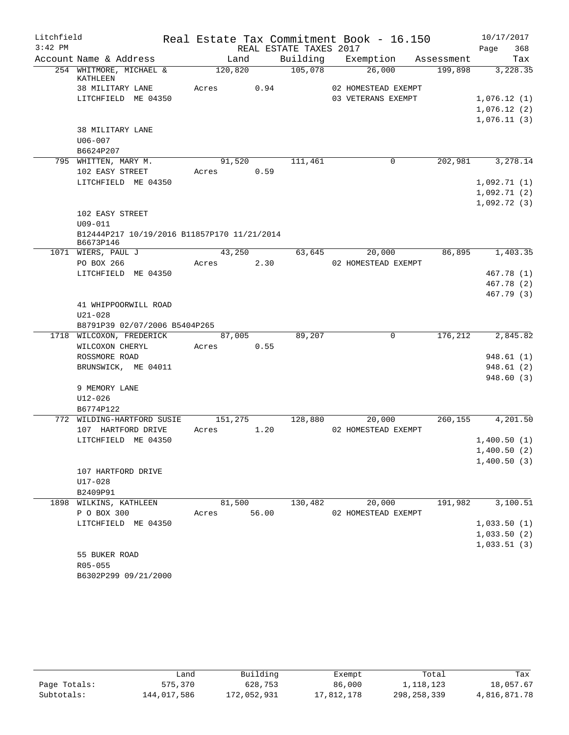| Litchfield |                                                           |                 |       |                        | Real Estate Tax Commitment Book - 16.150  |            | 10/17/2017                 |
|------------|-----------------------------------------------------------|-----------------|-------|------------------------|-------------------------------------------|------------|----------------------------|
| $3:42$ PM  |                                                           |                 |       | REAL ESTATE TAXES 2017 |                                           |            | Page<br>368                |
|            | Account Name & Address                                    | Land            |       | Building               | Exemption                                 | Assessment | Tax                        |
|            | 254 WHITMORE, MICHAEL &                                   | 120,820         |       | 105,078                | 26,000                                    | 199,898    | 3,228.35                   |
|            | KATHLEEN                                                  |                 |       |                        |                                           |            |                            |
|            | 38 MILITARY LANE                                          | Acres           | 0.94  |                        | 02 HOMESTEAD EXEMPT<br>03 VETERANS EXEMPT |            |                            |
|            | LITCHFIELD ME 04350                                       |                 |       |                        |                                           |            | 1,076.12(1)<br>1,076.12(2) |
|            |                                                           |                 |       |                        |                                           |            | 1,076.11(3)                |
|            | 38 MILITARY LANE                                          |                 |       |                        |                                           |            |                            |
|            | $U06 - 007$                                               |                 |       |                        |                                           |            |                            |
|            | B6624P207                                                 |                 |       |                        |                                           |            |                            |
|            | 795 WHITTEN, MARY M.                                      | 91,520          |       | 111,461                | 0                                         | 202,981    | 3,278.14                   |
|            | 102 EASY STREET                                           | Acres           | 0.59  |                        |                                           |            |                            |
|            | LITCHFIELD ME 04350                                       |                 |       |                        |                                           |            | 1,092.71(1)                |
|            |                                                           |                 |       |                        |                                           |            | 1,092.71(2)                |
|            |                                                           |                 |       |                        |                                           |            | 1,092.72(3)                |
|            | 102 EASY STREET                                           |                 |       |                        |                                           |            |                            |
|            | $U09 - 011$                                               |                 |       |                        |                                           |            |                            |
|            | B12444P217 10/19/2016 B11857P170 11/21/2014<br>B6673P146  |                 |       |                        |                                           |            |                            |
|            | 1071 WIERS, PAUL J                                        | 43,250          |       | 63,645                 | 20,000                                    | 86,895     | 1,403.35                   |
|            | PO BOX 266                                                | Acres           | 2.30  |                        | 02 HOMESTEAD EXEMPT                       |            |                            |
|            | LITCHFIELD ME 04350                                       |                 |       |                        |                                           |            | 467.78 (1)                 |
|            |                                                           |                 |       |                        |                                           |            | 467.78 (2)                 |
|            |                                                           |                 |       |                        |                                           |            | 467.79 (3)                 |
|            | 41 WHIPPOORWILL ROAD                                      |                 |       |                        |                                           |            |                            |
|            | $U21 - 028$                                               |                 |       |                        |                                           |            |                            |
|            | B8791P39 02/07/2006 B5404P265<br>1718 WILCOXON, FREDERICK |                 |       | 89,207                 | $\mathbf 0$                               | 176,212    | 2,845.82                   |
|            | WILCOXON CHERYL                                           | 87,005<br>Acres | 0.55  |                        |                                           |            |                            |
|            | ROSSMORE ROAD                                             |                 |       |                        |                                           |            | 948.61(1)                  |
|            | BRUNSWICK, ME 04011                                       |                 |       |                        |                                           |            | 948.61(2)                  |
|            |                                                           |                 |       |                        |                                           |            | 948.60(3)                  |
|            | 9 MEMORY LANE                                             |                 |       |                        |                                           |            |                            |
|            | $U12 - 026$                                               |                 |       |                        |                                           |            |                            |
|            | B6774P122                                                 |                 |       |                        |                                           |            |                            |
| 772        | WILDING-HARTFORD SUSIE                                    | 151,275         |       | 128,880                | 20,000                                    | 260,155    | 4,201.50                   |
|            | 107 HARTFORD DRIVE                                        | Acres           | 1.20  |                        | 02 HOMESTEAD EXEMPT                       |            |                            |
|            | LITCHFIELD ME 04350                                       |                 |       |                        |                                           |            | 1,400.50(1)                |
|            |                                                           |                 |       |                        |                                           |            | 1,400.50(2)                |
|            |                                                           |                 |       |                        |                                           |            | 1,400.50(3)                |
|            | 107 HARTFORD DRIVE                                        |                 |       |                        |                                           |            |                            |
|            | U17-028                                                   |                 |       |                        |                                           |            |                            |
|            | B2409P91                                                  |                 |       |                        |                                           |            |                            |
|            | 1898 WILKINS, KATHLEEN                                    | 81,500          |       | 130,482                | 20,000<br>02 HOMESTEAD EXEMPT             | 191,982    | 3,100.51                   |
|            | P O BOX 300<br>LITCHFIELD ME 04350                        | Acres           | 56.00 |                        |                                           |            | 1,033.50(1)                |
|            |                                                           |                 |       |                        |                                           |            | 1,033.50(2)                |
|            |                                                           |                 |       |                        |                                           |            | 1,033.51(3)                |
|            | 55 BUKER ROAD                                             |                 |       |                        |                                           |            |                            |
|            | R05-055                                                   |                 |       |                        |                                           |            |                            |
|            | B6302P299 09/21/2000                                      |                 |       |                        |                                           |            |                            |
|            |                                                           |                 |       |                        |                                           |            |                            |

|              | Land        | Building    | Exempt     | Total       | Tax          |
|--------------|-------------|-------------|------------|-------------|--------------|
| Page Totals: | 575,370     | 628,753     | 86,000     | 1,118,123   | 18,057.67    |
| Subtotals:   | 144,017,586 | 172,052,931 | 17,812,178 | 298,258,339 | 4,816,871.78 |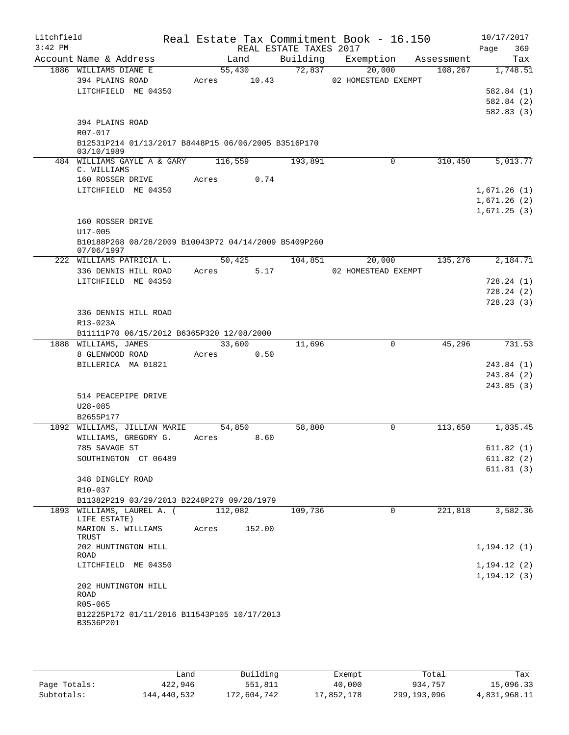| Litchfield<br>$3:42$ PM |                                                                    |                 | REAL ESTATE TAXES 2017 | Real Estate Tax Commitment Book - 16.150 |            | 10/17/2017<br>Page<br>369 |
|-------------------------|--------------------------------------------------------------------|-----------------|------------------------|------------------------------------------|------------|---------------------------|
|                         | Account Name & Address                                             | Land            |                        | Building Exemption                       | Assessment | Tax                       |
|                         | 1886 WILLIAMS DIANE E                                              | 55,430          | 72,837                 | 20,000                                   | 108,267    | 1,748.51                  |
|                         | 394 PLAINS ROAD                                                    | 10.43<br>Acres  |                        | 02 HOMESTEAD EXEMPT                      |            |                           |
|                         | LITCHFIELD ME 04350                                                |                 |                        |                                          |            | 582.84(1)                 |
|                         |                                                                    |                 |                        |                                          |            | 582.84 (2)                |
|                         |                                                                    |                 |                        |                                          |            | 582.83(3)                 |
|                         | 394 PLAINS ROAD                                                    |                 |                        |                                          |            |                           |
|                         | R07-017<br>B12531P214 01/13/2017 B8448P15 06/06/2005 B3516P170     |                 |                        |                                          |            |                           |
|                         | 03/10/1989                                                         |                 |                        |                                          |            |                           |
|                         | 484 WILLIAMS GAYLE A & GARY<br>C. WILLIAMS                         | 116,559         | 193,891                | $\mathbf 0$                              | 310,450    | 5,013.77                  |
|                         | 160 ROSSER DRIVE                                                   | 0.74<br>Acres   |                        |                                          |            |                           |
|                         | LITCHFIELD ME 04350                                                |                 |                        |                                          |            | 1,671.26(1)               |
|                         |                                                                    |                 |                        |                                          |            | 1,671.26(2)               |
|                         |                                                                    |                 |                        |                                          |            | 1,671.25(3)               |
|                         | 160 ROSSER DRIVE                                                   |                 |                        |                                          |            |                           |
|                         | $U17 - 005$                                                        |                 |                        |                                          |            |                           |
|                         | B10188P268 08/28/2009 B10043P72 04/14/2009 B5409P260<br>07/06/1997 |                 |                        |                                          |            |                           |
|                         | 222 WILLIAMS PATRICIA L.                                           | 50,425          | 104,851                | 20,000                                   | 135,276    | 2,184.71                  |
|                         | 336 DENNIS HILL ROAD                                               | 5.17<br>Acres   |                        | 02 HOMESTEAD EXEMPT                      |            |                           |
|                         | LITCHFIELD ME 04350                                                |                 |                        |                                          |            | 728.24(1)                 |
|                         |                                                                    |                 |                        |                                          |            | 728.24(2)                 |
|                         |                                                                    |                 |                        |                                          |            | 728.23(3)                 |
|                         | 336 DENNIS HILL ROAD                                               |                 |                        |                                          |            |                           |
|                         | R13-023A                                                           |                 |                        |                                          |            |                           |
|                         | B11111P70 06/15/2012 B6365P320 12/08/2000                          |                 |                        |                                          |            |                           |
|                         | 1888 WILLIAMS, JAMES                                               | 33,600          | 11,696                 | 0                                        | 45,296     | 731.53                    |
|                         | 8 GLENWOOD ROAD<br>BILLERICA MA 01821                              | Acres<br>0.50   |                        |                                          |            | 243.84(1)                 |
|                         |                                                                    |                 |                        |                                          |            | 243.84 (2)                |
|                         |                                                                    |                 |                        |                                          |            | 243.85(3)                 |
|                         | 514 PEACEPIPE DRIVE                                                |                 |                        |                                          |            |                           |
|                         | $U28 - 085$                                                        |                 |                        |                                          |            |                           |
|                         | B2655P177                                                          |                 |                        |                                          |            |                           |
|                         | 1892 WILLIAMS, JILLIAN MARIE                                       | 54,850          | 58,800                 | $\Omega$                                 | 113,650    | 1,835.45                  |
|                         | WILLIAMS, GREGORY G.                                               | 8.60<br>Acres   |                        |                                          |            |                           |
|                         | 785 SAVAGE ST                                                      |                 |                        |                                          |            | 611.82(1)                 |
|                         | SOUTHINGTON CT 06489                                               |                 |                        |                                          |            | 611.82(2)                 |
|                         | 348 DINGLEY ROAD                                                   |                 |                        |                                          |            | 611.81(3)                 |
|                         | R10-037                                                            |                 |                        |                                          |            |                           |
|                         | B11382P219 03/29/2013 B2248P279 09/28/1979                         |                 |                        |                                          |            |                           |
|                         | 1893 WILLIAMS, LAUREL A. (                                         | 112,082         | 109,736                | $\Omega$                                 | 221,818    | 3,582.36                  |
|                         | LIFE ESTATE)                                                       |                 |                        |                                          |            |                           |
|                         | MARION S. WILLIAMS                                                 | 152.00<br>Acres |                        |                                          |            |                           |
|                         | TRUST<br>202 HUNTINGTON HILL                                       |                 |                        |                                          |            | 1, 194.12(1)              |
|                         | ROAD                                                               |                 |                        |                                          |            |                           |
|                         | LITCHFIELD ME 04350                                                |                 |                        |                                          |            | 1, 194.12(2)              |
|                         |                                                                    |                 |                        |                                          |            | 1, 194.12(3)              |
|                         | 202 HUNTINGTON HILL<br>ROAD                                        |                 |                        |                                          |            |                           |
|                         | R05-065                                                            |                 |                        |                                          |            |                           |
|                         | B12225P172 01/11/2016 B11543P105 10/17/2013                        |                 |                        |                                          |            |                           |
|                         | B3536P201                                                          |                 |                        |                                          |            |                           |
|                         |                                                                    |                 |                        |                                          |            |                           |

|              | Land        | Building    | Exempt     | Total       | Tax          |
|--------------|-------------|-------------|------------|-------------|--------------|
| Page Totals: | 422,946     | 551,811     | 40,000     | 934,757     | 15,096.33    |
| Subtotals:   | 144,440,532 | 172,604,742 | 17,852,178 | 299,193,096 | 4,831,968.11 |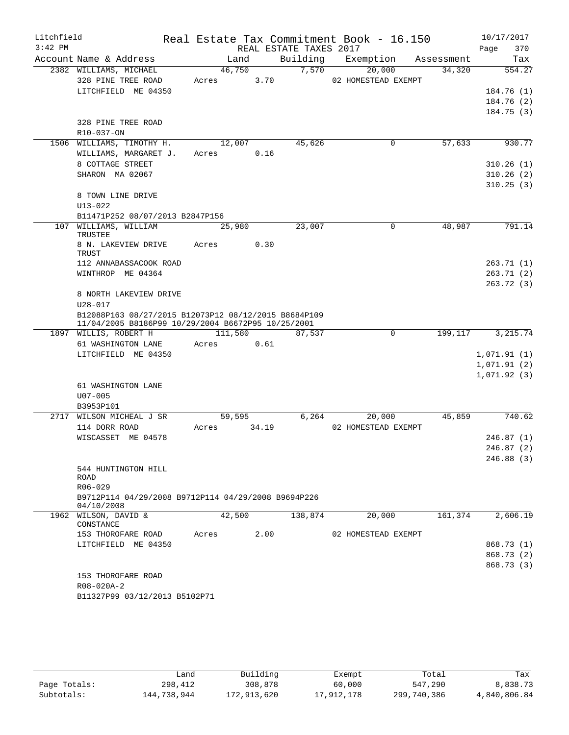| Litchfield |                                                                                                            |         |       |                        | Real Estate Tax Commitment Book - 16.150 |          | 10/17/2017              |
|------------|------------------------------------------------------------------------------------------------------------|---------|-------|------------------------|------------------------------------------|----------|-------------------------|
| $3:42$ PM  |                                                                                                            |         |       | REAL ESTATE TAXES 2017 |                                          |          | Page<br>370             |
|            | Account Name & Address                                                                                     | Land    |       | Building               | Exemption Assessment                     |          | Tax                     |
|            | 2382 WILLIAMS, MICHAEL                                                                                     | 46,750  |       | 7,570                  | 20,000                                   | 34,320   | 554.27                  |
|            | 328 PINE TREE ROAD                                                                                         | Acres   | 3.70  |                        | 02 HOMESTEAD EXEMPT                      |          |                         |
|            | LITCHFIELD ME 04350                                                                                        |         |       |                        |                                          |          | 184.76(1)<br>184.76(2)  |
|            |                                                                                                            |         |       |                        |                                          |          | 184.75(3)               |
|            | 328 PINE TREE ROAD                                                                                         |         |       |                        |                                          |          |                         |
|            | R10-037-ON                                                                                                 |         |       |                        |                                          |          |                         |
|            | 1506 WILLIAMS, TIMOTHY H.                                                                                  | 12,007  |       | 45,626                 | $\mathsf{O}$                             | 57,633   | 930.77                  |
|            | WILLIAMS, MARGARET J.                                                                                      | Acres   | 0.16  |                        |                                          |          |                         |
|            | 8 COTTAGE STREET                                                                                           |         |       |                        |                                          |          | 310.26(1)               |
|            | SHARON MA 02067                                                                                            |         |       |                        |                                          |          | 310.26(2)               |
|            |                                                                                                            |         |       |                        |                                          |          | 310.25(3)               |
|            | 8 TOWN LINE DRIVE                                                                                          |         |       |                        |                                          |          |                         |
|            | $U13 - 022$<br>B11471P252 08/07/2013 B2847P156                                                             |         |       |                        |                                          |          |                         |
|            | 107 WILLIAMS, WILLIAM                                                                                      | 25,980  |       | 23,007                 | $\mathbf 0$                              | 48,987   | 791.14                  |
|            | <b>TRUSTEE</b>                                                                                             |         |       |                        |                                          |          |                         |
|            | 8 N. LAKEVIEW DRIVE<br>TRUST                                                                               | Acres   | 0.30  |                        |                                          |          |                         |
|            | 112 ANNABASSACOOK ROAD                                                                                     |         |       |                        |                                          |          | 263.71(1)               |
|            | WINTHROP ME 04364                                                                                          |         |       |                        |                                          |          | 263.71(2)<br>263.72 (3) |
|            | 8 NORTH LAKEVIEW DRIVE                                                                                     |         |       |                        |                                          |          |                         |
|            | $U28 - 017$                                                                                                |         |       |                        |                                          |          |                         |
|            | B12088P163 08/27/2015 B12073P12 08/12/2015 B8684P109<br>11/04/2005 B8186P99 10/29/2004 B6672P95 10/25/2001 |         |       |                        |                                          |          |                         |
|            | 1897 WILLIS, ROBERT H                                                                                      | 111,580 |       | 87,537                 | $\mathbf 0$                              | 199, 117 | 3, 215.74               |
|            | 61 WASHINGTON LANE                                                                                         | Acres   | 0.61  |                        |                                          |          |                         |
|            | LITCHFIELD ME 04350                                                                                        |         |       |                        |                                          |          | 1,071.91(1)             |
|            |                                                                                                            |         |       |                        |                                          |          | 1,071.91(2)             |
|            | 61 WASHINGTON LANE                                                                                         |         |       |                        |                                          |          | 1,071.92(3)             |
|            | $U07 - 005$                                                                                                |         |       |                        |                                          |          |                         |
|            | B3953P101                                                                                                  |         |       |                        |                                          |          |                         |
|            | 2717 WILSON MICHEAL J SR                                                                                   | 59,595  |       | 6,264                  | 20,000                                   | 45,859   | 740.62                  |
|            | 114 DORR ROAD                                                                                              | Acres   | 34.19 |                        | 02 HOMESTEAD EXEMPT                      |          |                         |
|            | WISCASSET ME 04578                                                                                         |         |       |                        |                                          |          | 246.87(1)               |
|            |                                                                                                            |         |       |                        |                                          |          | 246.87 (2)              |
|            |                                                                                                            |         |       |                        |                                          |          | 246.88(3)               |
|            | 544 HUNTINGTON HILL<br>ROAD                                                                                |         |       |                        |                                          |          |                         |
|            | R06-029                                                                                                    |         |       |                        |                                          |          |                         |
|            | B9712P114 04/29/2008 B9712P114 04/29/2008 B9694P226<br>04/10/2008                                          |         |       |                        |                                          |          |                         |
|            | 1962 WILSON, DAVID &                                                                                       | 42,500  |       | 138,874                | 20,000                                   | 161,374  | 2,606.19                |
|            | CONSTANCE                                                                                                  | Acres   | 2.00  |                        | 02 HOMESTEAD EXEMPT                      |          |                         |
|            | 153 THOROFARE ROAD<br>LITCHFIELD ME 04350                                                                  |         |       |                        |                                          |          | 868.73 (1)              |
|            |                                                                                                            |         |       |                        |                                          |          | 868.73 (2)              |
|            |                                                                                                            |         |       |                        |                                          |          | 868.73 (3)              |
|            | 153 THOROFARE ROAD                                                                                         |         |       |                        |                                          |          |                         |
|            | R08-020A-2                                                                                                 |         |       |                        |                                          |          |                         |
|            | B11327P99 03/12/2013 B5102P71                                                                              |         |       |                        |                                          |          |                         |
|            |                                                                                                            |         |       |                        |                                          |          |                         |

|              | Land        | Building    | Exempt     | Total       | Tax          |
|--------------|-------------|-------------|------------|-------------|--------------|
| Page Totals: | 298,412     | 308,878     | 60,000     | 547,290     | 8,838.73     |
| Subtotals:   | 144,738,944 | 172,913,620 | 17,912,178 | 299,740,386 | 4,840,806.84 |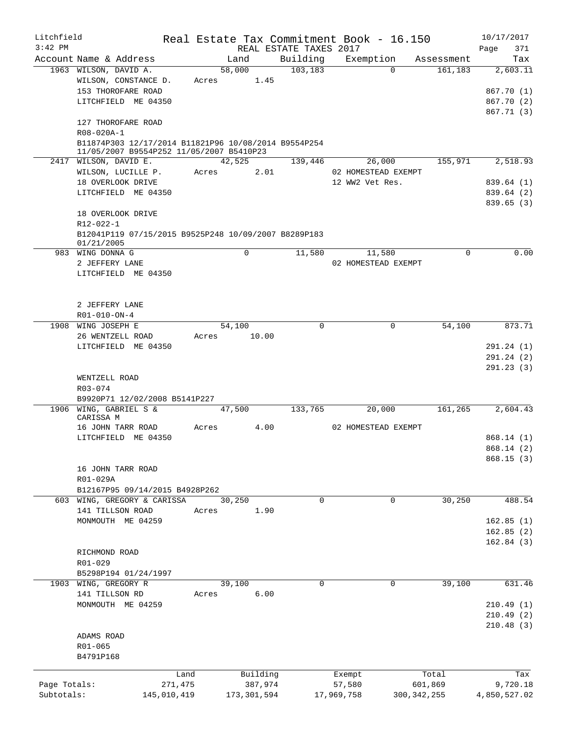| Litchfield   |                                                      |             | Real Estate Tax Commitment Book - 16.150 |                        |            |                     |               | 10/17/2017   |
|--------------|------------------------------------------------------|-------------|------------------------------------------|------------------------|------------|---------------------|---------------|--------------|
| $3:42$ PM    |                                                      |             |                                          | REAL ESTATE TAXES 2017 |            |                     |               | 371<br>Page  |
|              | Account Name & Address                               |             | Land                                     | Building               |            | Exemption           | Assessment    | Tax          |
|              | 1963 WILSON, DAVID A.                                |             | 58,000                                   | 103, 183               |            | $\Omega$            | 161,183       | 2,603.11     |
|              | WILSON, CONSTANCE D.                                 | Acres       | 1.45                                     |                        |            |                     |               |              |
|              | 153 THOROFARE ROAD                                   |             |                                          |                        |            |                     |               | 867.70 (1)   |
|              | LITCHFIELD ME 04350                                  |             |                                          |                        |            |                     |               | 867.70 (2)   |
|              |                                                      |             |                                          |                        |            |                     |               | 867.71 (3)   |
|              | 127 THOROFARE ROAD                                   |             |                                          |                        |            |                     |               |              |
|              | R08-020A-1                                           |             |                                          |                        |            |                     |               |              |
|              | B11874P303 12/17/2014 B11821P96 10/08/2014 B9554P254 |             |                                          |                        |            |                     |               |              |
|              | 11/05/2007 B9554P252 11/05/2007 B5410P23             |             |                                          |                        |            |                     |               |              |
|              | 2417 WILSON, DAVID E.                                |             | 42,525                                   | 139,446                |            | 26,000              | 155,971       | 2,518.93     |
|              | WILSON, LUCILLE P.                                   | Acres       | 2.01                                     |                        |            | 02 HOMESTEAD EXEMPT |               |              |
|              | 18 OVERLOOK DRIVE                                    |             |                                          |                        |            | 12 WW2 Vet Res.     |               | 839.64 (1)   |
|              | LITCHFIELD ME 04350                                  |             |                                          |                        |            |                     |               | 839.64 (2)   |
|              |                                                      |             |                                          |                        |            |                     |               | 839.65(3)    |
|              | 18 OVERLOOK DRIVE                                    |             |                                          |                        |            |                     |               |              |
|              | R12-022-1                                            |             |                                          |                        |            |                     |               |              |
|              | B12041P119 07/15/2015 B9525P248 10/09/2007 B8289P183 |             |                                          |                        |            |                     |               |              |
|              | 01/21/2005                                           |             |                                          |                        |            |                     |               |              |
|              | 983 WING DONNA G                                     |             | $\mathbf 0$                              | 11,580                 |            | 11,580              | 0             | 0.00         |
|              | 2 JEFFERY LANE                                       |             |                                          |                        |            | 02 HOMESTEAD EXEMPT |               |              |
|              | LITCHFIELD ME 04350                                  |             |                                          |                        |            |                     |               |              |
|              |                                                      |             |                                          |                        |            |                     |               |              |
|              |                                                      |             |                                          |                        |            |                     |               |              |
|              | 2 JEFFERY LANE                                       |             |                                          |                        |            |                     |               |              |
|              | R01-010-ON-4                                         |             |                                          |                        |            |                     |               |              |
| 1908         | WING JOSEPH E                                        |             | 54,100                                   | $\mathbf 0$            |            | 0                   | 54,100        | 873.71       |
|              | 26 WENTZELL ROAD                                     | Acres       | 10.00                                    |                        |            |                     |               |              |
|              | LITCHFIELD ME 04350                                  |             |                                          |                        |            |                     |               | 291.24 (1)   |
|              |                                                      |             |                                          |                        |            |                     |               | 291.24 (2)   |
|              |                                                      |             |                                          |                        |            |                     |               | 291.23 (3)   |
|              | WENTZELL ROAD                                        |             |                                          |                        |            |                     |               |              |
|              | R03-074                                              |             |                                          |                        |            |                     |               |              |
|              | B9920P71 12/02/2008 B5141P227                        |             |                                          |                        |            |                     |               |              |
|              | 1906 WING, GABRIEL S &                               |             | 47,500                                   | 133,765                |            | 20,000              | 161, 265      | 2,604.43     |
|              | CARISSA M                                            |             |                                          |                        |            |                     |               |              |
|              | 16 JOHN TARR ROAD                                    | Acres       | 4.00                                     |                        |            | 02 HOMESTEAD EXEMPT |               |              |
|              | LITCHFIELD<br>ME 04350                               |             |                                          |                        |            |                     |               | 868.14(1)    |
|              |                                                      |             |                                          |                        |            |                     |               | 868.14 (2)   |
|              |                                                      |             |                                          |                        |            |                     |               | 868.15(3)    |
|              | 16 JOHN TARR ROAD                                    |             |                                          |                        |            |                     |               |              |
|              | R01-029A                                             |             |                                          |                        |            |                     |               |              |
|              | B12167P95 09/14/2015 B4928P262                       |             |                                          |                        |            |                     |               |              |
|              | 603 WING, GREGORY & CARISSA                          |             | 30,250                                   | $\mathbf 0$            |            | 0                   | 30,250        | 488.54       |
|              | 141 TILLSON ROAD                                     | Acres       | 1.90                                     |                        |            |                     |               |              |
|              | MONMOUTH ME 04259                                    |             |                                          |                        |            |                     |               | 162.85(1)    |
|              |                                                      |             |                                          |                        |            |                     |               | 162.85(2)    |
|              |                                                      |             |                                          |                        |            |                     |               | 162.84(3)    |
|              | RICHMOND ROAD                                        |             |                                          |                        |            |                     |               |              |
|              | R01-029                                              |             |                                          |                        |            |                     |               |              |
|              | B5298P194 01/24/1997                                 |             |                                          |                        |            |                     |               |              |
|              | 1903 WING, GREGORY R                                 |             | 39,100                                   | 0                      |            | 0                   | 39,100        | 631.46       |
|              | 141 TILLSON RD                                       | Acres       | 6.00                                     |                        |            |                     |               |              |
|              | MONMOUTH ME 04259                                    |             |                                          |                        |            |                     |               | 210.49(1)    |
|              |                                                      |             |                                          |                        |            |                     |               | 210.49(2)    |
|              |                                                      |             |                                          |                        |            |                     |               | 210.48(3)    |
|              | ADAMS ROAD                                           |             |                                          |                        |            |                     |               |              |
|              | R01-065                                              |             |                                          |                        |            |                     |               |              |
|              | B4791P168                                            |             |                                          |                        |            |                     |               |              |
|              |                                                      |             |                                          |                        |            |                     |               |              |
|              |                                                      | Land        | Building                                 |                        | Exempt     |                     | Total         | Tax          |
| Page Totals: |                                                      | 271,475     | 387,974                                  |                        | 57,580     |                     | 601,869       | 9,720.18     |
| Subtotals:   |                                                      | 145,010,419 | 173,301,594                              |                        | 17,969,758 |                     | 300, 342, 255 | 4,850,527.02 |
|              |                                                      |             |                                          |                        |            |                     |               |              |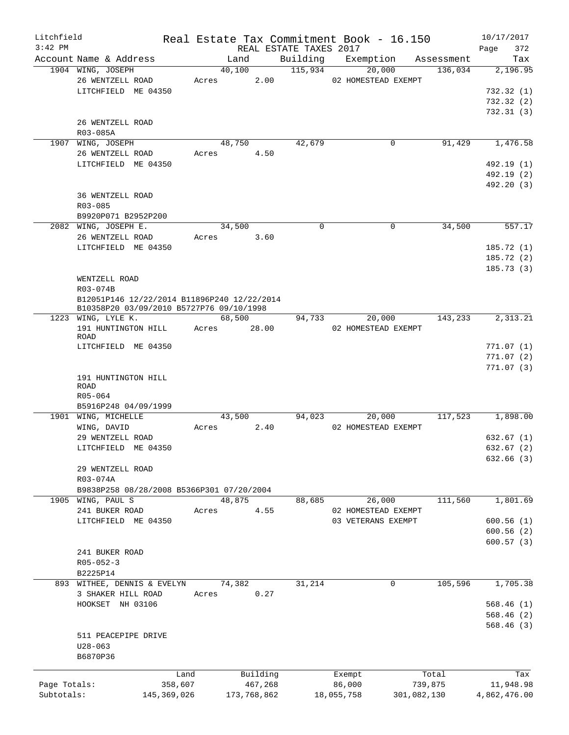| Litchfield                 |                                             |                          |       |                        |                                    | Real Estate Tax Commitment Book - 16.150 |                        | 10/17/2017                |
|----------------------------|---------------------------------------------|--------------------------|-------|------------------------|------------------------------------|------------------------------------------|------------------------|---------------------------|
| $3:42$ PM                  | Account Name & Address                      |                          |       |                        | REAL ESTATE TAXES 2017<br>Building |                                          |                        | 372<br>Page               |
|                            | 1904 WING, JOSEPH                           |                          |       | Land<br>40,100         | 115,934                            | Exemption<br>20,000                      | Assessment<br>136,034  | Tax<br>2,196.95           |
|                            | 26 WENTZELL ROAD                            |                          | Acres | 2.00                   |                                    | 02 HOMESTEAD EXEMPT                      |                        |                           |
|                            | LITCHFIELD ME 04350                         |                          |       |                        |                                    |                                          |                        | 732.32(1)                 |
|                            |                                             |                          |       |                        |                                    |                                          |                        | 732.32(2)                 |
|                            |                                             |                          |       |                        |                                    |                                          |                        | 732.31(3)                 |
|                            | 26 WENTZELL ROAD                            |                          |       |                        |                                    |                                          |                        |                           |
|                            | R03-085A                                    |                          |       |                        |                                    |                                          |                        |                           |
|                            | 1907 WING, JOSEPH                           |                          |       | 48,750                 | 42,679                             | 0                                        | 91,429                 | 1,476.58                  |
|                            | 26 WENTZELL ROAD                            |                          | Acres | 4.50                   |                                    |                                          |                        |                           |
|                            | LITCHFIELD ME 04350                         |                          |       |                        |                                    |                                          |                        | 492.19 (1)                |
|                            |                                             |                          |       |                        |                                    |                                          |                        | 492.19 (2)                |
|                            |                                             |                          |       |                        |                                    |                                          |                        | 492.20 (3)                |
|                            | 36 WENTZELL ROAD                            |                          |       |                        |                                    |                                          |                        |                           |
|                            | $R03 - 085$                                 |                          |       |                        |                                    |                                          |                        |                           |
|                            | B9920P071 B2952P200                         |                          |       |                        |                                    |                                          |                        |                           |
|                            | 2082 WING, JOSEPH E.                        |                          |       | 34,500                 | $\Omega$                           | 0                                        | 34,500                 | 557.17                    |
|                            | 26 WENTZELL ROAD                            |                          | Acres | 3.60                   |                                    |                                          |                        |                           |
|                            | LITCHFIELD ME 04350                         |                          |       |                        |                                    |                                          |                        | 185.72(1)                 |
|                            |                                             |                          |       |                        |                                    |                                          |                        | 185.72(2)                 |
|                            |                                             |                          |       |                        |                                    |                                          |                        | 185.73(3)                 |
|                            | WENTZELL ROAD                               |                          |       |                        |                                    |                                          |                        |                           |
|                            | R03-074B                                    |                          |       |                        |                                    |                                          |                        |                           |
|                            | B12051P146 12/22/2014 B11896P240 12/22/2014 |                          |       |                        |                                    |                                          |                        |                           |
|                            | B10358P20 03/09/2010 B5727P76 09/10/1998    |                          |       |                        |                                    |                                          |                        |                           |
|                            | 1223 WING, LYLE K.                          |                          |       | 68,500                 | 94,733                             | 20,000                                   | 143,233                | 2,313.21                  |
|                            | 191 HUNTINGTON HILL                         |                          | Acres | 28.00                  |                                    | 02 HOMESTEAD EXEMPT                      |                        |                           |
|                            | <b>ROAD</b>                                 |                          |       |                        |                                    |                                          |                        |                           |
|                            | LITCHFIELD ME 04350                         |                          |       |                        |                                    |                                          |                        | 771.07(1)                 |
|                            |                                             |                          |       |                        |                                    |                                          |                        | 771.07(2)                 |
|                            | 191 HUNTINGTON HILL                         |                          |       |                        |                                    |                                          |                        | 771.07(3)                 |
|                            | ROAD                                        |                          |       |                        |                                    |                                          |                        |                           |
|                            | R05-064                                     |                          |       |                        |                                    |                                          |                        |                           |
|                            | B5916P248 04/09/1999                        |                          |       |                        |                                    |                                          |                        |                           |
|                            | 1901 WING, MICHELLE                         |                          |       | 43,500                 | 94,023                             | 20,000                                   | 117,523                | 1,898.00                  |
|                            | WING, DAVID                                 |                          | Acres | 2.40                   |                                    | 02 HOMESTEAD EXEMPT                      |                        |                           |
|                            | 29 WENTZELL ROAD                            |                          |       |                        |                                    |                                          |                        | 632.67(1)                 |
|                            | LITCHFIELD ME 04350                         |                          |       |                        |                                    |                                          |                        | 632.67 (2)                |
|                            |                                             |                          |       |                        |                                    |                                          |                        | 632.66(3)                 |
|                            | 29 WENTZELL ROAD                            |                          |       |                        |                                    |                                          |                        |                           |
|                            | R03-074A                                    |                          |       |                        |                                    |                                          |                        |                           |
|                            | B9838P258 08/28/2008 B5366P301 07/20/2004   |                          |       |                        |                                    |                                          |                        |                           |
|                            | 1905 WING, PAUL S                           |                          |       | 48,875                 | 88,685                             | 26,000                                   | 111,560                | 1,801.69                  |
|                            | 241 BUKER ROAD                              |                          | Acres | 4.55                   |                                    | 02 HOMESTEAD EXEMPT                      |                        |                           |
|                            | LITCHFIELD ME 04350                         |                          |       |                        |                                    | 03 VETERANS EXEMPT                       |                        | 600.56(1)                 |
|                            |                                             |                          |       |                        |                                    |                                          |                        | 600.56(2)                 |
|                            |                                             |                          |       |                        |                                    |                                          |                        | 600.57(3)                 |
|                            | 241 BUKER ROAD                              |                          |       |                        |                                    |                                          |                        |                           |
|                            | $R05 - 052 - 3$                             |                          |       |                        |                                    |                                          |                        |                           |
|                            | B2225P14                                    |                          |       |                        |                                    |                                          |                        |                           |
|                            | 893 WITHEE, DENNIS & EVELYN                 |                          |       | 74,382                 | 31,214                             | 0                                        | 105,596                | 1,705.38                  |
|                            | 3 SHAKER HILL ROAD                          |                          | Acres | 0.27                   |                                    |                                          |                        |                           |
|                            | HOOKSET NH 03106                            |                          |       |                        |                                    |                                          |                        | 568.46(1)                 |
|                            |                                             |                          |       |                        |                                    |                                          |                        | 568.46(2)                 |
|                            |                                             |                          |       |                        |                                    |                                          |                        | 568.46(3)                 |
|                            | 511 PEACEPIPE DRIVE                         |                          |       |                        |                                    |                                          |                        |                           |
|                            | $U28 - 063$                                 |                          |       |                        |                                    |                                          |                        |                           |
|                            | B6870P36                                    |                          |       |                        |                                    |                                          |                        |                           |
|                            |                                             |                          |       |                        |                                    |                                          |                        |                           |
|                            |                                             | Land                     |       | Building               |                                    | Exempt                                   | Total                  | Tax                       |
| Page Totals:<br>Subtotals: |                                             | 358,607<br>145, 369, 026 |       | 467,268<br>173,768,862 |                                    | 86,000<br>18,055,758                     | 739,875<br>301,082,130 | 11,948.98<br>4,862,476.00 |
|                            |                                             |                          |       |                        |                                    |                                          |                        |                           |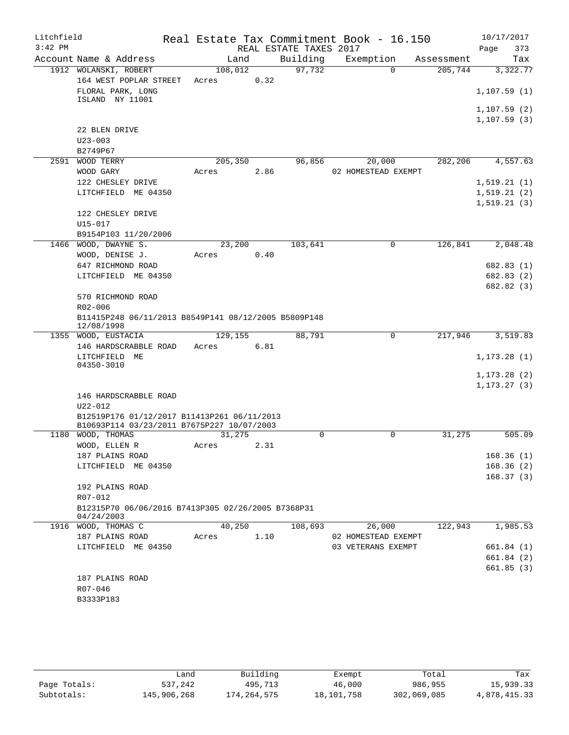| Litchfield |                                                                  |         |      |                        | Real Estate Tax Commitment Book - 16.150 |            | 10/17/2017   |
|------------|------------------------------------------------------------------|---------|------|------------------------|------------------------------------------|------------|--------------|
| $3:42$ PM  |                                                                  |         |      | REAL ESTATE TAXES 2017 |                                          |            | Page<br>373  |
|            | Account Name & Address                                           | Land    |      | Building               | Exemption                                | Assessment | Tax          |
|            | 1912 WOLANSKI, ROBERT                                            | 108,012 |      | 97,732                 | $\Omega$                                 | 205,744    | 3,322.77     |
|            | 164 WEST POPLAR STREET                                           | Acres   | 0.32 |                        |                                          |            |              |
|            | FLORAL PARK, LONG<br>ISLAND NY 11001                             |         |      |                        |                                          |            | 1, 107.59(1) |
|            |                                                                  |         |      |                        |                                          |            | 1, 107.59(2) |
|            |                                                                  |         |      |                        |                                          |            | 1, 107.59(3) |
|            | 22 BLEN DRIVE                                                    |         |      |                        |                                          |            |              |
|            | $U23 - 003$                                                      |         |      |                        |                                          |            |              |
|            | B2749P67                                                         |         |      |                        |                                          |            |              |
|            | 2591 WOOD TERRY                                                  | 205,350 |      | 96,856                 | 20,000                                   | 282,206    | 4,557.63     |
|            | WOOD GARY                                                        | Acres   | 2.86 |                        | 02 HOMESTEAD EXEMPT                      |            |              |
|            | 122 CHESLEY DRIVE                                                |         |      |                        |                                          |            | 1, 519.21(1) |
|            | LITCHFIELD ME 04350                                              |         |      |                        |                                          |            | 1, 519.21(2) |
|            |                                                                  |         |      |                        |                                          |            | 1, 519.21(3) |
|            | 122 CHESLEY DRIVE                                                |         |      |                        |                                          |            |              |
|            | $U15 - 017$                                                      |         |      |                        |                                          |            |              |
|            | B9154P103 11/20/2006                                             |         |      |                        |                                          |            |              |
|            | 1466 WOOD, DWAYNE S.                                             | 23,200  |      | 103,641                | $\mathsf{O}$                             | 126,841    | 2,048.48     |
|            | WOOD, DENISE J.                                                  | Acres   | 0.40 |                        |                                          |            |              |
|            | 647 RICHMOND ROAD                                                |         |      |                        |                                          |            | 682.83(1)    |
|            | LITCHFIELD ME 04350                                              |         |      |                        |                                          |            | 682.83 (2)   |
|            |                                                                  |         |      |                        |                                          |            | 682.82 (3)   |
|            | 570 RICHMOND ROAD                                                |         |      |                        |                                          |            |              |
|            | R02-006                                                          |         |      |                        |                                          |            |              |
|            | B11415P248 06/11/2013 B8549P141 08/12/2005 B5809P148             |         |      |                        |                                          |            |              |
|            | 12/08/1998                                                       |         |      |                        |                                          |            |              |
|            | 1355 WOOD, EUSTACIA                                              | 129,155 |      | 88,791                 | 0                                        | 217,946    | 3,519.83     |
|            | 146 HARDSCRABBLE ROAD                                            | Acres   | 6.81 |                        |                                          |            |              |
|            | LITCHFIELD ME<br>04350-3010                                      |         |      |                        |                                          |            | 1, 173.28(1) |
|            |                                                                  |         |      |                        |                                          |            | 1, 173.28(2) |
|            |                                                                  |         |      |                        |                                          |            | 1, 173.27(3) |
|            | 146 HARDSCRABBLE ROAD                                            |         |      |                        |                                          |            |              |
|            | $U22 - 012$                                                      |         |      |                        |                                          |            |              |
|            | B12519P176 01/12/2017 B11413P261 06/11/2013                      |         |      |                        |                                          |            |              |
|            | B10693P114 03/23/2011 B7675P227 10/07/2003                       |         |      |                        |                                          |            |              |
| 1180       | WOOD, THOMAS                                                     | 31,275  |      | 0                      | 0                                        | 31,275     | 505.09       |
|            | WOOD, ELLEN R                                                    | Acres   | 2.31 |                        |                                          |            |              |
|            | 187 PLAINS ROAD                                                  |         |      |                        |                                          |            | 168.36(1)    |
|            | LITCHFIELD ME 04350                                              |         |      |                        |                                          |            | 168.36(2)    |
|            |                                                                  |         |      |                        |                                          |            | 168.37(3)    |
|            | 192 PLAINS ROAD                                                  |         |      |                        |                                          |            |              |
|            | R07-012                                                          |         |      |                        |                                          |            |              |
|            | B12315P70 06/06/2016 B7413P305 02/26/2005 B7368P31<br>04/24/2003 |         |      |                        |                                          |            |              |
|            | 1916 WOOD, THOMAS C                                              | 40,250  |      | 108,693                | 26,000                                   | 122,943    | 1,985.53     |
|            | 187 PLAINS ROAD                                                  | Acres   | 1.10 |                        | 02 HOMESTEAD EXEMPT                      |            |              |
|            | LITCHFIELD ME 04350                                              |         |      |                        | 03 VETERANS EXEMPT                       |            | 661.84(1)    |
|            |                                                                  |         |      |                        |                                          |            | 661.84 (2)   |
|            |                                                                  |         |      |                        |                                          |            | 661.85(3)    |
|            | 187 PLAINS ROAD                                                  |         |      |                        |                                          |            |              |
|            | R07-046                                                          |         |      |                        |                                          |            |              |
|            | B3333P183                                                        |         |      |                        |                                          |            |              |
|            |                                                                  |         |      |                        |                                          |            |              |

|              | Land        | Building    | Exempt     | Total       | Tax          |
|--------------|-------------|-------------|------------|-------------|--------------|
| Page Totals: | 537,242     | 495,713     | 46,000     | 986,955     | 15,939.33    |
| Subtotals:   | 145,906,268 | 174,264,575 | 18,101,758 | 302,069,085 | 4,878,415.33 |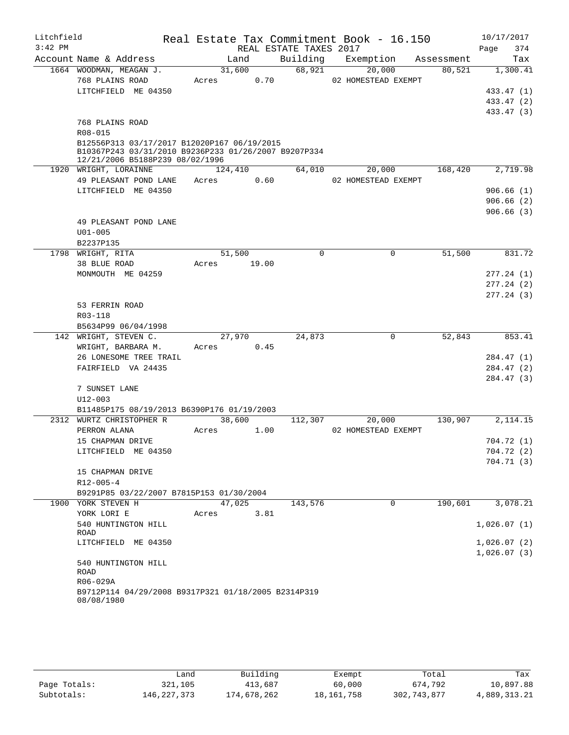| Litchfield<br>$3:42$ PM |                                                                                                                                        |         |       | Real Estate Tax Commitment Book - 16.150<br>REAL ESTATE TAXES 2017 |                     |            | 10/17/2017<br>Page<br>374 |
|-------------------------|----------------------------------------------------------------------------------------------------------------------------------------|---------|-------|--------------------------------------------------------------------|---------------------|------------|---------------------------|
|                         | Account Name & Address                                                                                                                 | Land    |       | Building                                                           | Exemption           | Assessment | Tax                       |
|                         | 1664 WOODMAN, MEAGAN J.                                                                                                                | 31,600  |       | 68,921                                                             | 20,000              | 80,521     | 1,300.41                  |
|                         | 768 PLAINS ROAD                                                                                                                        | Acres   | 0.70  |                                                                    | 02 HOMESTEAD EXEMPT |            |                           |
|                         | LITCHFIELD ME 04350                                                                                                                    |         |       |                                                                    |                     |            | 433.47 (1)                |
|                         |                                                                                                                                        |         |       |                                                                    |                     |            | 433.47 (2)                |
|                         |                                                                                                                                        |         |       |                                                                    |                     |            | 433.47 (3)                |
|                         | 768 PLAINS ROAD                                                                                                                        |         |       |                                                                    |                     |            |                           |
|                         | R08-015                                                                                                                                |         |       |                                                                    |                     |            |                           |
|                         | B12556P313 03/17/2017 B12020P167 06/19/2015<br>B10367P243 03/31/2010 B9236P233 01/26/2007 B9207P334<br>12/21/2006 B5188P239 08/02/1996 |         |       |                                                                    |                     |            |                           |
|                         | 1920 WRIGHT, LORAINNE                                                                                                                  | 124,410 |       | 64,010                                                             | 20,000              | 168,420    | 2,719.98                  |
|                         | 49 PLEASANT POND LANE                                                                                                                  | Acres   | 0.60  |                                                                    | 02 HOMESTEAD EXEMPT |            |                           |
|                         | LITCHFIELD ME 04350                                                                                                                    |         |       |                                                                    |                     |            | 906.66(1)                 |
|                         |                                                                                                                                        |         |       |                                                                    |                     |            | 906.66(2)                 |
|                         |                                                                                                                                        |         |       |                                                                    |                     |            | 906.66(3)                 |
|                         | 49 PLEASANT POND LANE                                                                                                                  |         |       |                                                                    |                     |            |                           |
|                         | $U01 - 005$                                                                                                                            |         |       |                                                                    |                     |            |                           |
|                         | B2237P135                                                                                                                              |         |       |                                                                    |                     |            |                           |
|                         | 1798 WRIGHT, RITA                                                                                                                      | 51,500  |       | $\mathbf 0$                                                        | $\mathbf 0$         | 51,500     | 831.72                    |
|                         | 38 BLUE ROAD                                                                                                                           | Acres   | 19.00 |                                                                    |                     |            |                           |
|                         | MONMOUTH ME 04259                                                                                                                      |         |       |                                                                    |                     |            | 277.24(1)                 |
|                         |                                                                                                                                        |         |       |                                                                    |                     |            | 277.24(2)                 |
|                         |                                                                                                                                        |         |       |                                                                    |                     |            | 277.24(3)                 |
|                         | 53 FERRIN ROAD                                                                                                                         |         |       |                                                                    |                     |            |                           |
|                         | R03-118                                                                                                                                |         |       |                                                                    |                     |            |                           |
|                         | B5634P99 06/04/1998                                                                                                                    |         |       |                                                                    |                     |            |                           |
|                         | 142 WRIGHT, STEVEN C.                                                                                                                  | 27,970  |       | 24,873                                                             | $\Omega$            | 52,843     | 853.41                    |
|                         | WRIGHT, BARBARA M.                                                                                                                     | Acres   | 0.45  |                                                                    |                     |            |                           |
|                         | 26 LONESOME TREE TRAIL                                                                                                                 |         |       |                                                                    |                     |            | 284.47 (1)                |
|                         | FAIRFIELD VA 24435                                                                                                                     |         |       |                                                                    |                     |            | 284.47 (2)                |
|                         |                                                                                                                                        |         |       |                                                                    |                     |            | 284.47 (3)                |
|                         | 7 SUNSET LANE                                                                                                                          |         |       |                                                                    |                     |            |                           |
|                         | $U12 - 003$                                                                                                                            |         |       |                                                                    |                     |            |                           |
|                         | B11485P175 08/19/2013 B6390P176 01/19/2003                                                                                             |         |       |                                                                    |                     |            |                           |
|                         | 2312 WURTZ CHRISTOPHER R                                                                                                               | 38,600  |       | 112,307                                                            | 20,000              | 130,907    | $\overline{2,}114.15$     |
|                         | PERRON ALANA                                                                                                                           | Acres   | 1.00  |                                                                    | 02 HOMESTEAD EXEMPT |            |                           |
|                         | 15 CHAPMAN DRIVE                                                                                                                       |         |       |                                                                    |                     |            | 704.72(1)                 |
|                         | LITCHFIELD ME 04350                                                                                                                    |         |       |                                                                    |                     |            | 704.72 (2)                |
|                         |                                                                                                                                        |         |       |                                                                    |                     |            | 704.71(3)                 |
|                         | 15 CHAPMAN DRIVE                                                                                                                       |         |       |                                                                    |                     |            |                           |
|                         | $R12 - 005 - 4$                                                                                                                        |         |       |                                                                    |                     |            |                           |
|                         | B9291P85 03/22/2007 B7815P153 01/30/2004                                                                                               |         |       |                                                                    |                     |            |                           |
|                         | 1900 YORK STEVEN H                                                                                                                     | 47,025  |       | 143,576                                                            | $\Omega$            | 190,601    | 3,078.21                  |
|                         | YORK LORI E                                                                                                                            | Acres   | 3.81  |                                                                    |                     |            |                           |
|                         | 540 HUNTINGTON HILL                                                                                                                    |         |       |                                                                    |                     |            | 1,026.07(1)               |
|                         | ROAD                                                                                                                                   |         |       |                                                                    |                     |            |                           |
|                         | LITCHFIELD ME 04350                                                                                                                    |         |       |                                                                    |                     |            | 1,026.07(2)               |
|                         |                                                                                                                                        |         |       |                                                                    |                     |            | 1,026.07(3)               |
|                         | 540 HUNTINGTON HILL                                                                                                                    |         |       |                                                                    |                     |            |                           |
|                         | ROAD<br>R06-029A                                                                                                                       |         |       |                                                                    |                     |            |                           |
|                         | B9712P114 04/29/2008 B9317P321 01/18/2005 B2314P319                                                                                    |         |       |                                                                    |                     |            |                           |
|                         | 08/08/1980                                                                                                                             |         |       |                                                                    |                     |            |                           |
|                         |                                                                                                                                        |         |       |                                                                    |                     |            |                           |

|              | Land        | Building    | Exempt       | Total       | Tax          |
|--------------|-------------|-------------|--------------|-------------|--------------|
| Page Totals: | 321,105     | 413,687     | 60,000       | 674,792     | 10,897.88    |
| Subtotals:   | 146,227,373 | 174,678,262 | 18, 161, 758 | 302,743,877 | 4,889,313.21 |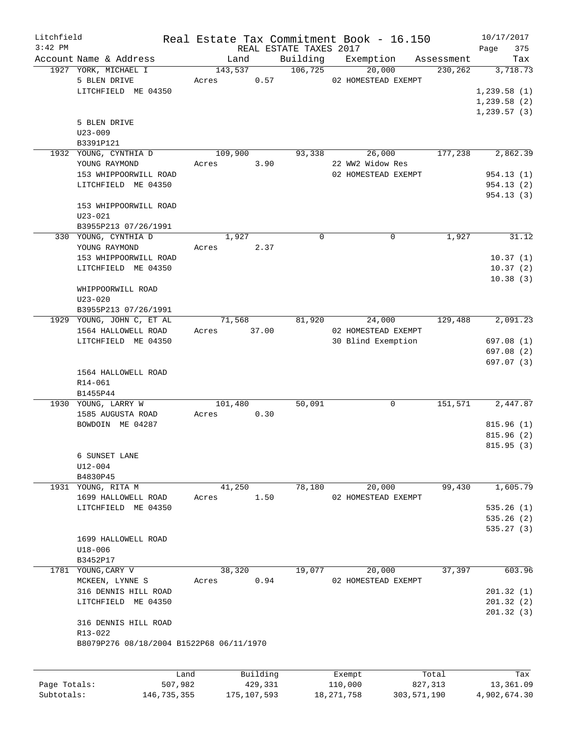| $3:42$ PM<br>REAL ESTATE TAXES 2017<br>Page<br>Building<br>Account Name & Address<br>Exemption<br>Land<br>Tax<br>Assessment<br>1927 YORK, MICHAEL I<br>106,725<br>20,000<br>143,537<br>230,262<br>3,718.73<br>5 BLEN DRIVE<br>0.57<br>02 HOMESTEAD EXEMPT<br>Acres<br>LITCHFIELD ME 04350<br>1,239.58(1)<br>1,239.58(2)<br>1, 239.57(3)<br>5 BLEN DRIVE<br>$U23 - 009$<br>B3391P121<br>1932 YOUNG, CYNTHIA D<br>26,000<br>177,238<br>109,900<br>93,338<br>2,862.39<br>YOUNG RAYMOND<br>3.90<br>22 WW2 Widow Res<br>Acres<br>153 WHIPPOORWILL ROAD<br>02 HOMESTEAD EXEMPT<br>954.13 (1)<br>LITCHFIELD ME 04350<br>954.13(2)<br>954.13 (3)<br>153 WHIPPOORWILL ROAD<br>$U23 - 021$<br>B3955P213 07/26/1991<br>330 YOUNG, CYNTHIA D<br>$\Omega$<br>$\Omega$<br>1,927<br>31.12<br>1,927<br>2.37<br>YOUNG RAYMOND<br>Acres<br>153 WHIPPOORWILL ROAD<br>10.37(1)<br>LITCHFIELD ME 04350<br>10.37(2)<br>10.38(3)<br>WHIPPOORWILL ROAD<br>$U23 - 020$<br>B3955P213 07/26/1991<br>1929 YOUNG, JOHN C, ET AL<br>24,000<br>129,488<br>2,091.23<br>71,568<br>81,920<br>1564 HALLOWELL ROAD<br>37.00<br>02 HOMESTEAD EXEMPT<br>Acres<br>30 Blind Exemption<br>LITCHFIELD ME 04350<br>697.08 (1)<br>697.08 (2)<br>697.07 (3)<br>1564 HALLOWELL ROAD<br>R14-061<br>B1455P44<br>1930 YOUNG, LARRY W<br>50,091<br>151,571<br>101,480<br>$\Omega$<br>0.30<br>1585 AUGUSTA ROAD<br>Acres<br>BOWDOIN ME 04287<br>6 SUNSET LANE<br>U12-004<br>B4830P45<br>41,250<br>78,180<br>20,000<br>99,430<br>1931 YOUNG, RITA M<br>1699 HALLOWELL ROAD<br>1.50<br>02 HOMESTEAD EXEMPT<br>Acres<br>LITCHFIELD ME 04350<br>1699 HALLOWELL ROAD<br>$U18 - 006$<br>B3452P17<br>37,397<br>1781 YOUNG, CARY V<br>38,320<br>19,077<br>20,000<br>MCKEEN, LYNNE S<br>0.94<br>02 HOMESTEAD EXEMPT<br>Acres<br>316 DENNIS HILL ROAD<br>201.32(1)<br>LITCHFIELD ME 04350<br>201.32(2)<br>201.32(3)<br>316 DENNIS HILL ROAD<br>$R13 - 022$<br>B8079P276 08/18/2004 B1522P68 06/11/1970<br>Building<br>Land<br>Exempt<br>Total<br>Tax<br>110,000<br>13,361.09<br>Page Totals:<br>507,982<br>429,331<br>827,313 | Litchfield |  |  |  | Real Estate Tax Commitment Book - 16.150 | 10/17/2017 |
|------------------------------------------------------------------------------------------------------------------------------------------------------------------------------------------------------------------------------------------------------------------------------------------------------------------------------------------------------------------------------------------------------------------------------------------------------------------------------------------------------------------------------------------------------------------------------------------------------------------------------------------------------------------------------------------------------------------------------------------------------------------------------------------------------------------------------------------------------------------------------------------------------------------------------------------------------------------------------------------------------------------------------------------------------------------------------------------------------------------------------------------------------------------------------------------------------------------------------------------------------------------------------------------------------------------------------------------------------------------------------------------------------------------------------------------------------------------------------------------------------------------------------------------------------------------------------------------------------------------------------------------------------------------------------------------------------------------------------------------------------------------------------------------------------------------------------------------------------------------------------------------------------------------------------------------------------------------------------------------------------------------------------------------------------------------|------------|--|--|--|------------------------------------------|------------|
|                                                                                                                                                                                                                                                                                                                                                                                                                                                                                                                                                                                                                                                                                                                                                                                                                                                                                                                                                                                                                                                                                                                                                                                                                                                                                                                                                                                                                                                                                                                                                                                                                                                                                                                                                                                                                                                                                                                                                                                                                                                                  |            |  |  |  |                                          | 375        |
|                                                                                                                                                                                                                                                                                                                                                                                                                                                                                                                                                                                                                                                                                                                                                                                                                                                                                                                                                                                                                                                                                                                                                                                                                                                                                                                                                                                                                                                                                                                                                                                                                                                                                                                                                                                                                                                                                                                                                                                                                                                                  |            |  |  |  |                                          |            |
|                                                                                                                                                                                                                                                                                                                                                                                                                                                                                                                                                                                                                                                                                                                                                                                                                                                                                                                                                                                                                                                                                                                                                                                                                                                                                                                                                                                                                                                                                                                                                                                                                                                                                                                                                                                                                                                                                                                                                                                                                                                                  |            |  |  |  |                                          |            |
|                                                                                                                                                                                                                                                                                                                                                                                                                                                                                                                                                                                                                                                                                                                                                                                                                                                                                                                                                                                                                                                                                                                                                                                                                                                                                                                                                                                                                                                                                                                                                                                                                                                                                                                                                                                                                                                                                                                                                                                                                                                                  |            |  |  |  |                                          |            |
|                                                                                                                                                                                                                                                                                                                                                                                                                                                                                                                                                                                                                                                                                                                                                                                                                                                                                                                                                                                                                                                                                                                                                                                                                                                                                                                                                                                                                                                                                                                                                                                                                                                                                                                                                                                                                                                                                                                                                                                                                                                                  |            |  |  |  |                                          |            |
|                                                                                                                                                                                                                                                                                                                                                                                                                                                                                                                                                                                                                                                                                                                                                                                                                                                                                                                                                                                                                                                                                                                                                                                                                                                                                                                                                                                                                                                                                                                                                                                                                                                                                                                                                                                                                                                                                                                                                                                                                                                                  |            |  |  |  |                                          |            |
|                                                                                                                                                                                                                                                                                                                                                                                                                                                                                                                                                                                                                                                                                                                                                                                                                                                                                                                                                                                                                                                                                                                                                                                                                                                                                                                                                                                                                                                                                                                                                                                                                                                                                                                                                                                                                                                                                                                                                                                                                                                                  |            |  |  |  |                                          |            |
|                                                                                                                                                                                                                                                                                                                                                                                                                                                                                                                                                                                                                                                                                                                                                                                                                                                                                                                                                                                                                                                                                                                                                                                                                                                                                                                                                                                                                                                                                                                                                                                                                                                                                                                                                                                                                                                                                                                                                                                                                                                                  |            |  |  |  |                                          |            |
|                                                                                                                                                                                                                                                                                                                                                                                                                                                                                                                                                                                                                                                                                                                                                                                                                                                                                                                                                                                                                                                                                                                                                                                                                                                                                                                                                                                                                                                                                                                                                                                                                                                                                                                                                                                                                                                                                                                                                                                                                                                                  |            |  |  |  |                                          |            |
|                                                                                                                                                                                                                                                                                                                                                                                                                                                                                                                                                                                                                                                                                                                                                                                                                                                                                                                                                                                                                                                                                                                                                                                                                                                                                                                                                                                                                                                                                                                                                                                                                                                                                                                                                                                                                                                                                                                                                                                                                                                                  |            |  |  |  |                                          |            |
|                                                                                                                                                                                                                                                                                                                                                                                                                                                                                                                                                                                                                                                                                                                                                                                                                                                                                                                                                                                                                                                                                                                                                                                                                                                                                                                                                                                                                                                                                                                                                                                                                                                                                                                                                                                                                                                                                                                                                                                                                                                                  |            |  |  |  |                                          |            |
|                                                                                                                                                                                                                                                                                                                                                                                                                                                                                                                                                                                                                                                                                                                                                                                                                                                                                                                                                                                                                                                                                                                                                                                                                                                                                                                                                                                                                                                                                                                                                                                                                                                                                                                                                                                                                                                                                                                                                                                                                                                                  |            |  |  |  |                                          |            |
|                                                                                                                                                                                                                                                                                                                                                                                                                                                                                                                                                                                                                                                                                                                                                                                                                                                                                                                                                                                                                                                                                                                                                                                                                                                                                                                                                                                                                                                                                                                                                                                                                                                                                                                                                                                                                                                                                                                                                                                                                                                                  |            |  |  |  |                                          |            |
|                                                                                                                                                                                                                                                                                                                                                                                                                                                                                                                                                                                                                                                                                                                                                                                                                                                                                                                                                                                                                                                                                                                                                                                                                                                                                                                                                                                                                                                                                                                                                                                                                                                                                                                                                                                                                                                                                                                                                                                                                                                                  |            |  |  |  |                                          |            |
|                                                                                                                                                                                                                                                                                                                                                                                                                                                                                                                                                                                                                                                                                                                                                                                                                                                                                                                                                                                                                                                                                                                                                                                                                                                                                                                                                                                                                                                                                                                                                                                                                                                                                                                                                                                                                                                                                                                                                                                                                                                                  |            |  |  |  |                                          |            |
|                                                                                                                                                                                                                                                                                                                                                                                                                                                                                                                                                                                                                                                                                                                                                                                                                                                                                                                                                                                                                                                                                                                                                                                                                                                                                                                                                                                                                                                                                                                                                                                                                                                                                                                                                                                                                                                                                                                                                                                                                                                                  |            |  |  |  |                                          |            |
|                                                                                                                                                                                                                                                                                                                                                                                                                                                                                                                                                                                                                                                                                                                                                                                                                                                                                                                                                                                                                                                                                                                                                                                                                                                                                                                                                                                                                                                                                                                                                                                                                                                                                                                                                                                                                                                                                                                                                                                                                                                                  |            |  |  |  |                                          |            |
|                                                                                                                                                                                                                                                                                                                                                                                                                                                                                                                                                                                                                                                                                                                                                                                                                                                                                                                                                                                                                                                                                                                                                                                                                                                                                                                                                                                                                                                                                                                                                                                                                                                                                                                                                                                                                                                                                                                                                                                                                                                                  |            |  |  |  |                                          |            |
|                                                                                                                                                                                                                                                                                                                                                                                                                                                                                                                                                                                                                                                                                                                                                                                                                                                                                                                                                                                                                                                                                                                                                                                                                                                                                                                                                                                                                                                                                                                                                                                                                                                                                                                                                                                                                                                                                                                                                                                                                                                                  |            |  |  |  |                                          |            |
|                                                                                                                                                                                                                                                                                                                                                                                                                                                                                                                                                                                                                                                                                                                                                                                                                                                                                                                                                                                                                                                                                                                                                                                                                                                                                                                                                                                                                                                                                                                                                                                                                                                                                                                                                                                                                                                                                                                                                                                                                                                                  |            |  |  |  |                                          |            |
|                                                                                                                                                                                                                                                                                                                                                                                                                                                                                                                                                                                                                                                                                                                                                                                                                                                                                                                                                                                                                                                                                                                                                                                                                                                                                                                                                                                                                                                                                                                                                                                                                                                                                                                                                                                                                                                                                                                                                                                                                                                                  |            |  |  |  |                                          |            |
|                                                                                                                                                                                                                                                                                                                                                                                                                                                                                                                                                                                                                                                                                                                                                                                                                                                                                                                                                                                                                                                                                                                                                                                                                                                                                                                                                                                                                                                                                                                                                                                                                                                                                                                                                                                                                                                                                                                                                                                                                                                                  |            |  |  |  |                                          |            |
|                                                                                                                                                                                                                                                                                                                                                                                                                                                                                                                                                                                                                                                                                                                                                                                                                                                                                                                                                                                                                                                                                                                                                                                                                                                                                                                                                                                                                                                                                                                                                                                                                                                                                                                                                                                                                                                                                                                                                                                                                                                                  |            |  |  |  |                                          |            |
|                                                                                                                                                                                                                                                                                                                                                                                                                                                                                                                                                                                                                                                                                                                                                                                                                                                                                                                                                                                                                                                                                                                                                                                                                                                                                                                                                                                                                                                                                                                                                                                                                                                                                                                                                                                                                                                                                                                                                                                                                                                                  |            |  |  |  |                                          |            |
|                                                                                                                                                                                                                                                                                                                                                                                                                                                                                                                                                                                                                                                                                                                                                                                                                                                                                                                                                                                                                                                                                                                                                                                                                                                                                                                                                                                                                                                                                                                                                                                                                                                                                                                                                                                                                                                                                                                                                                                                                                                                  |            |  |  |  |                                          |            |
|                                                                                                                                                                                                                                                                                                                                                                                                                                                                                                                                                                                                                                                                                                                                                                                                                                                                                                                                                                                                                                                                                                                                                                                                                                                                                                                                                                                                                                                                                                                                                                                                                                                                                                                                                                                                                                                                                                                                                                                                                                                                  |            |  |  |  |                                          |            |
|                                                                                                                                                                                                                                                                                                                                                                                                                                                                                                                                                                                                                                                                                                                                                                                                                                                                                                                                                                                                                                                                                                                                                                                                                                                                                                                                                                                                                                                                                                                                                                                                                                                                                                                                                                                                                                                                                                                                                                                                                                                                  |            |  |  |  |                                          |            |
|                                                                                                                                                                                                                                                                                                                                                                                                                                                                                                                                                                                                                                                                                                                                                                                                                                                                                                                                                                                                                                                                                                                                                                                                                                                                                                                                                                                                                                                                                                                                                                                                                                                                                                                                                                                                                                                                                                                                                                                                                                                                  |            |  |  |  |                                          |            |
|                                                                                                                                                                                                                                                                                                                                                                                                                                                                                                                                                                                                                                                                                                                                                                                                                                                                                                                                                                                                                                                                                                                                                                                                                                                                                                                                                                                                                                                                                                                                                                                                                                                                                                                                                                                                                                                                                                                                                                                                                                                                  |            |  |  |  |                                          |            |
|                                                                                                                                                                                                                                                                                                                                                                                                                                                                                                                                                                                                                                                                                                                                                                                                                                                                                                                                                                                                                                                                                                                                                                                                                                                                                                                                                                                                                                                                                                                                                                                                                                                                                                                                                                                                                                                                                                                                                                                                                                                                  |            |  |  |  |                                          |            |
|                                                                                                                                                                                                                                                                                                                                                                                                                                                                                                                                                                                                                                                                                                                                                                                                                                                                                                                                                                                                                                                                                                                                                                                                                                                                                                                                                                                                                                                                                                                                                                                                                                                                                                                                                                                                                                                                                                                                                                                                                                                                  |            |  |  |  |                                          |            |
|                                                                                                                                                                                                                                                                                                                                                                                                                                                                                                                                                                                                                                                                                                                                                                                                                                                                                                                                                                                                                                                                                                                                                                                                                                                                                                                                                                                                                                                                                                                                                                                                                                                                                                                                                                                                                                                                                                                                                                                                                                                                  |            |  |  |  |                                          |            |
|                                                                                                                                                                                                                                                                                                                                                                                                                                                                                                                                                                                                                                                                                                                                                                                                                                                                                                                                                                                                                                                                                                                                                                                                                                                                                                                                                                                                                                                                                                                                                                                                                                                                                                                                                                                                                                                                                                                                                                                                                                                                  |            |  |  |  |                                          |            |
|                                                                                                                                                                                                                                                                                                                                                                                                                                                                                                                                                                                                                                                                                                                                                                                                                                                                                                                                                                                                                                                                                                                                                                                                                                                                                                                                                                                                                                                                                                                                                                                                                                                                                                                                                                                                                                                                                                                                                                                                                                                                  |            |  |  |  |                                          | 2,447.87   |
|                                                                                                                                                                                                                                                                                                                                                                                                                                                                                                                                                                                                                                                                                                                                                                                                                                                                                                                                                                                                                                                                                                                                                                                                                                                                                                                                                                                                                                                                                                                                                                                                                                                                                                                                                                                                                                                                                                                                                                                                                                                                  |            |  |  |  |                                          |            |
|                                                                                                                                                                                                                                                                                                                                                                                                                                                                                                                                                                                                                                                                                                                                                                                                                                                                                                                                                                                                                                                                                                                                                                                                                                                                                                                                                                                                                                                                                                                                                                                                                                                                                                                                                                                                                                                                                                                                                                                                                                                                  |            |  |  |  |                                          | 815.96(1)  |
|                                                                                                                                                                                                                                                                                                                                                                                                                                                                                                                                                                                                                                                                                                                                                                                                                                                                                                                                                                                                                                                                                                                                                                                                                                                                                                                                                                                                                                                                                                                                                                                                                                                                                                                                                                                                                                                                                                                                                                                                                                                                  |            |  |  |  |                                          | 815.96(2)  |
|                                                                                                                                                                                                                                                                                                                                                                                                                                                                                                                                                                                                                                                                                                                                                                                                                                                                                                                                                                                                                                                                                                                                                                                                                                                                                                                                                                                                                                                                                                                                                                                                                                                                                                                                                                                                                                                                                                                                                                                                                                                                  |            |  |  |  |                                          | 815.95(3)  |
|                                                                                                                                                                                                                                                                                                                                                                                                                                                                                                                                                                                                                                                                                                                                                                                                                                                                                                                                                                                                                                                                                                                                                                                                                                                                                                                                                                                                                                                                                                                                                                                                                                                                                                                                                                                                                                                                                                                                                                                                                                                                  |            |  |  |  |                                          |            |
|                                                                                                                                                                                                                                                                                                                                                                                                                                                                                                                                                                                                                                                                                                                                                                                                                                                                                                                                                                                                                                                                                                                                                                                                                                                                                                                                                                                                                                                                                                                                                                                                                                                                                                                                                                                                                                                                                                                                                                                                                                                                  |            |  |  |  |                                          |            |
|                                                                                                                                                                                                                                                                                                                                                                                                                                                                                                                                                                                                                                                                                                                                                                                                                                                                                                                                                                                                                                                                                                                                                                                                                                                                                                                                                                                                                                                                                                                                                                                                                                                                                                                                                                                                                                                                                                                                                                                                                                                                  |            |  |  |  |                                          |            |
|                                                                                                                                                                                                                                                                                                                                                                                                                                                                                                                                                                                                                                                                                                                                                                                                                                                                                                                                                                                                                                                                                                                                                                                                                                                                                                                                                                                                                                                                                                                                                                                                                                                                                                                                                                                                                                                                                                                                                                                                                                                                  |            |  |  |  |                                          | 1,605.79   |
|                                                                                                                                                                                                                                                                                                                                                                                                                                                                                                                                                                                                                                                                                                                                                                                                                                                                                                                                                                                                                                                                                                                                                                                                                                                                                                                                                                                                                                                                                                                                                                                                                                                                                                                                                                                                                                                                                                                                                                                                                                                                  |            |  |  |  |                                          |            |
|                                                                                                                                                                                                                                                                                                                                                                                                                                                                                                                                                                                                                                                                                                                                                                                                                                                                                                                                                                                                                                                                                                                                                                                                                                                                                                                                                                                                                                                                                                                                                                                                                                                                                                                                                                                                                                                                                                                                                                                                                                                                  |            |  |  |  |                                          | 535.26(1)  |
|                                                                                                                                                                                                                                                                                                                                                                                                                                                                                                                                                                                                                                                                                                                                                                                                                                                                                                                                                                                                                                                                                                                                                                                                                                                                                                                                                                                                                                                                                                                                                                                                                                                                                                                                                                                                                                                                                                                                                                                                                                                                  |            |  |  |  |                                          | 535.26(2)  |
|                                                                                                                                                                                                                                                                                                                                                                                                                                                                                                                                                                                                                                                                                                                                                                                                                                                                                                                                                                                                                                                                                                                                                                                                                                                                                                                                                                                                                                                                                                                                                                                                                                                                                                                                                                                                                                                                                                                                                                                                                                                                  |            |  |  |  |                                          | 535.27(3)  |
|                                                                                                                                                                                                                                                                                                                                                                                                                                                                                                                                                                                                                                                                                                                                                                                                                                                                                                                                                                                                                                                                                                                                                                                                                                                                                                                                                                                                                                                                                                                                                                                                                                                                                                                                                                                                                                                                                                                                                                                                                                                                  |            |  |  |  |                                          |            |
|                                                                                                                                                                                                                                                                                                                                                                                                                                                                                                                                                                                                                                                                                                                                                                                                                                                                                                                                                                                                                                                                                                                                                                                                                                                                                                                                                                                                                                                                                                                                                                                                                                                                                                                                                                                                                                                                                                                                                                                                                                                                  |            |  |  |  |                                          |            |
|                                                                                                                                                                                                                                                                                                                                                                                                                                                                                                                                                                                                                                                                                                                                                                                                                                                                                                                                                                                                                                                                                                                                                                                                                                                                                                                                                                                                                                                                                                                                                                                                                                                                                                                                                                                                                                                                                                                                                                                                                                                                  |            |  |  |  |                                          |            |
|                                                                                                                                                                                                                                                                                                                                                                                                                                                                                                                                                                                                                                                                                                                                                                                                                                                                                                                                                                                                                                                                                                                                                                                                                                                                                                                                                                                                                                                                                                                                                                                                                                                                                                                                                                                                                                                                                                                                                                                                                                                                  |            |  |  |  |                                          | 603.96     |
|                                                                                                                                                                                                                                                                                                                                                                                                                                                                                                                                                                                                                                                                                                                                                                                                                                                                                                                                                                                                                                                                                                                                                                                                                                                                                                                                                                                                                                                                                                                                                                                                                                                                                                                                                                                                                                                                                                                                                                                                                                                                  |            |  |  |  |                                          |            |
|                                                                                                                                                                                                                                                                                                                                                                                                                                                                                                                                                                                                                                                                                                                                                                                                                                                                                                                                                                                                                                                                                                                                                                                                                                                                                                                                                                                                                                                                                                                                                                                                                                                                                                                                                                                                                                                                                                                                                                                                                                                                  |            |  |  |  |                                          |            |
|                                                                                                                                                                                                                                                                                                                                                                                                                                                                                                                                                                                                                                                                                                                                                                                                                                                                                                                                                                                                                                                                                                                                                                                                                                                                                                                                                                                                                                                                                                                                                                                                                                                                                                                                                                                                                                                                                                                                                                                                                                                                  |            |  |  |  |                                          |            |
|                                                                                                                                                                                                                                                                                                                                                                                                                                                                                                                                                                                                                                                                                                                                                                                                                                                                                                                                                                                                                                                                                                                                                                                                                                                                                                                                                                                                                                                                                                                                                                                                                                                                                                                                                                                                                                                                                                                                                                                                                                                                  |            |  |  |  |                                          |            |
|                                                                                                                                                                                                                                                                                                                                                                                                                                                                                                                                                                                                                                                                                                                                                                                                                                                                                                                                                                                                                                                                                                                                                                                                                                                                                                                                                                                                                                                                                                                                                                                                                                                                                                                                                                                                                                                                                                                                                                                                                                                                  |            |  |  |  |                                          |            |
|                                                                                                                                                                                                                                                                                                                                                                                                                                                                                                                                                                                                                                                                                                                                                                                                                                                                                                                                                                                                                                                                                                                                                                                                                                                                                                                                                                                                                                                                                                                                                                                                                                                                                                                                                                                                                                                                                                                                                                                                                                                                  |            |  |  |  |                                          |            |
|                                                                                                                                                                                                                                                                                                                                                                                                                                                                                                                                                                                                                                                                                                                                                                                                                                                                                                                                                                                                                                                                                                                                                                                                                                                                                                                                                                                                                                                                                                                                                                                                                                                                                                                                                                                                                                                                                                                                                                                                                                                                  |            |  |  |  |                                          |            |
|                                                                                                                                                                                                                                                                                                                                                                                                                                                                                                                                                                                                                                                                                                                                                                                                                                                                                                                                                                                                                                                                                                                                                                                                                                                                                                                                                                                                                                                                                                                                                                                                                                                                                                                                                                                                                                                                                                                                                                                                                                                                  |            |  |  |  |                                          |            |
|                                                                                                                                                                                                                                                                                                                                                                                                                                                                                                                                                                                                                                                                                                                                                                                                                                                                                                                                                                                                                                                                                                                                                                                                                                                                                                                                                                                                                                                                                                                                                                                                                                                                                                                                                                                                                                                                                                                                                                                                                                                                  |            |  |  |  |                                          |            |
|                                                                                                                                                                                                                                                                                                                                                                                                                                                                                                                                                                                                                                                                                                                                                                                                                                                                                                                                                                                                                                                                                                                                                                                                                                                                                                                                                                                                                                                                                                                                                                                                                                                                                                                                                                                                                                                                                                                                                                                                                                                                  |            |  |  |  |                                          |            |

Subtotals: 146,735,355 175,107,593 18,271,758 303,571,190 4,902,674.30